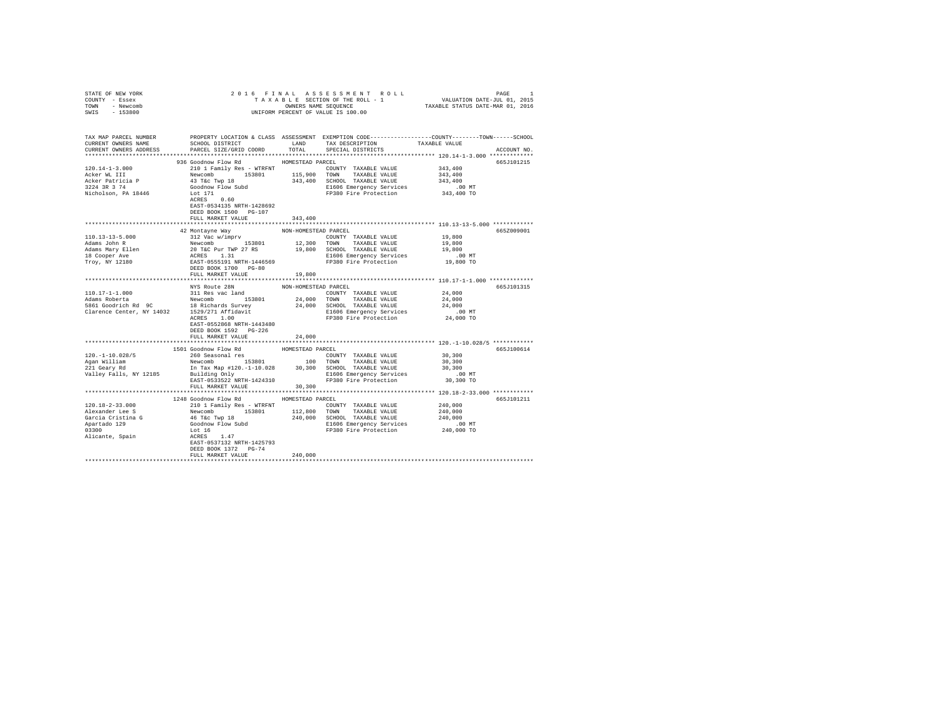| STATE OF NEW YORK                                                                                                                                                                                                                                                                                                |                                       |                      |                                                                                                                                                                                                               |               |             |
|------------------------------------------------------------------------------------------------------------------------------------------------------------------------------------------------------------------------------------------------------------------------------------------------------------------|---------------------------------------|----------------------|---------------------------------------------------------------------------------------------------------------------------------------------------------------------------------------------------------------|---------------|-------------|
| COUNTY - Essex                                                                                                                                                                                                                                                                                                   |                                       |                      |                                                                                                                                                                                                               |               |             |
| TOWN - Newcomb                                                                                                                                                                                                                                                                                                   |                                       |                      |                                                                                                                                                                                                               |               |             |
| SWIS - 153800                                                                                                                                                                                                                                                                                                    |                                       |                      | 2016 FINAL ASSESSMENT ROLL PAGE 1<br>TAXABLE SECTION OF THE ROLL - 1 VALUATION DATE-JUL 01, 2015<br>ONNERS NAME SEQUENCE 1 TAXABLE STATUS DATE-MAR 01, 2016<br>UNIFORM PERCENT OF VALUE IS 100.00             |               |             |
|                                                                                                                                                                                                                                                                                                                  |                                       |                      |                                                                                                                                                                                                               |               |             |
|                                                                                                                                                                                                                                                                                                                  |                                       |                      |                                                                                                                                                                                                               |               |             |
| TAX MAP PARCEL NUMBER PROPERTY LOCATION & CLASS ASSESSMENT EXEMPTION CODE--------------COUNTY-------TOWN------SCHOOL                                                                                                                                                                                             |                                       |                      |                                                                                                                                                                                                               |               |             |
| CURRENT OWNERS NAME                                                                                                                                                                                                                                                                                              | SCHOOL DISTRICT                       |                      |                                                                                                                                                                                                               | TAXABLE VALUE |             |
|                                                                                                                                                                                                                                                                                                                  |                                       |                      | LAND TAX DESCRIPTION                                                                                                                                                                                          |               |             |
| CURRENT OWNERS ADDRESS                                                                                                                                                                                                                                                                                           | PARCEL SIZE/GRID COORD                | TOTAL                | SPECIAL DISTRICTS                                                                                                                                                                                             |               | ACCOUNT NO. |
|                                                                                                                                                                                                                                                                                                                  |                                       |                      |                                                                                                                                                                                                               |               |             |
|                                                                                                                                                                                                                                                                                                                  | 936 Goodnow Flow Rd MOMESTEAD PARCEL  |                      |                                                                                                                                                                                                               |               | 665J101215  |
| $120.14 - 1 - 3.000$                                                                                                                                                                                                                                                                                             | 210 1 Family Res - WTRFNT             |                      | COUNTY TAXABLE VALUE 343,400                                                                                                                                                                                  |               |             |
| Acker WL III                                                                                                                                                                                                                                                                                                     |                                       |                      | Newcomb 15301 115,900 TOWN TAXABLE VALUE<br>43 Tac Twp 18 341,400 SCHOOL TAXABLE VALUE<br>43 Tac Twp 19 342,400 SCHOOL TAXABLE VALUE<br>Goodnow Flow Subd<br>LC 171<br>LC 17380 Fire Protection<br>RCRES 0.60 | 343,400       |             |
| Acker Patricia P<br>3224 3R 3 74                                                                                                                                                                                                                                                                                 |                                       |                      |                                                                                                                                                                                                               | 343,400       |             |
|                                                                                                                                                                                                                                                                                                                  |                                       |                      |                                                                                                                                                                                                               |               |             |
| Nicholson, PA 18446                                                                                                                                                                                                                                                                                              |                                       |                      | D MT E1606 Emergency Services .00 MT<br>FP380 Fire Protection 343,400 TO                                                                                                                                      |               |             |
|                                                                                                                                                                                                                                                                                                                  |                                       |                      |                                                                                                                                                                                                               |               |             |
|                                                                                                                                                                                                                                                                                                                  | EAST-0534135 NRTH-1428692             |                      |                                                                                                                                                                                                               |               |             |
|                                                                                                                                                                                                                                                                                                                  | DEED BOOK 1500 PG-107                 |                      |                                                                                                                                                                                                               |               |             |
|                                                                                                                                                                                                                                                                                                                  | FULL MARKET VALUE                     | 343,400              |                                                                                                                                                                                                               |               |             |
|                                                                                                                                                                                                                                                                                                                  |                                       |                      |                                                                                                                                                                                                               |               |             |
|                                                                                                                                                                                                                                                                                                                  | 42 Montayne Way                       | NON-HOMESTEAD PARCEL |                                                                                                                                                                                                               |               | 665Z009001  |
| $\begin{tabular}{l c c c c c} \hline 110.13-13-5.000 & $\color{red}4$ & $400$ & $400$ & $400$ & $400$ & $400$ & $400$ & $400$ & $400$ & $400$ & $400$ & $400$ & $400$ & $400$ & $400$ & $400$ & $400$ & $400$ & $400$ & $400$ & $400$ & $400$ & $400$ & $400$ & $400$ & $400$ & $400$ & $400$ & $400$ & $400$ &$ |                                       |                      |                                                                                                                                                                                                               |               |             |
|                                                                                                                                                                                                                                                                                                                  |                                       |                      |                                                                                                                                                                                                               |               |             |
|                                                                                                                                                                                                                                                                                                                  |                                       |                      |                                                                                                                                                                                                               |               |             |
|                                                                                                                                                                                                                                                                                                                  |                                       |                      |                                                                                                                                                                                                               |               |             |
|                                                                                                                                                                                                                                                                                                                  |                                       |                      |                                                                                                                                                                                                               |               |             |
|                                                                                                                                                                                                                                                                                                                  |                                       |                      |                                                                                                                                                                                                               |               |             |
|                                                                                                                                                                                                                                                                                                                  |                                       |                      |                                                                                                                                                                                                               |               |             |
|                                                                                                                                                                                                                                                                                                                  | FULL MARKET VALUE                     | 19,800               |                                                                                                                                                                                                               |               |             |
|                                                                                                                                                                                                                                                                                                                  |                                       |                      |                                                                                                                                                                                                               |               |             |
|                                                                                                                                                                                                                                                                                                                  | NYS Route 28N                         | NON-HOMESTEAD PARCEL |                                                                                                                                                                                                               |               | 665J101315  |
|                                                                                                                                                                                                                                                                                                                  |                                       |                      | $\begin{tabular}{lllllll} \textbf{COUNTY} & \textbf{TAXABLE} & \textbf{VALUE} & \textbf{24,000} \end{tabular}$                                                                                                |               |             |
|                                                                                                                                                                                                                                                                                                                  |                                       |                      |                                                                                                                                                                                                               | 24,000        |             |
|                                                                                                                                                                                                                                                                                                                  |                                       |                      |                                                                                                                                                                                                               | 24,000        |             |
|                                                                                                                                                                                                                                                                                                                  |                                       |                      |                                                                                                                                                                                                               | $.00$ MT      |             |
|                                                                                                                                                                                                                                                                                                                  |                                       |                      |                                                                                                                                                                                                               | 24,000 TO     |             |
|                                                                                                                                                                                                                                                                                                                  | EAST-0552868 NRTH-1443480             |                      |                                                                                                                                                                                                               |               |             |
|                                                                                                                                                                                                                                                                                                                  | DEED BOOK 1592    PG-226              |                      |                                                                                                                                                                                                               |               |             |
|                                                                                                                                                                                                                                                                                                                  |                                       |                      |                                                                                                                                                                                                               |               |             |
|                                                                                                                                                                                                                                                                                                                  | FULL MARKET VALUE                     | 24,000               |                                                                                                                                                                                                               |               |             |
|                                                                                                                                                                                                                                                                                                                  |                                       |                      |                                                                                                                                                                                                               |               |             |
|                                                                                                                                                                                                                                                                                                                  |                                       |                      |                                                                                                                                                                                                               |               | 665J100614  |
|                                                                                                                                                                                                                                                                                                                  |                                       |                      |                                                                                                                                                                                                               |               |             |
|                                                                                                                                                                                                                                                                                                                  |                                       |                      |                                                                                                                                                                                                               |               |             |
|                                                                                                                                                                                                                                                                                                                  |                                       |                      |                                                                                                                                                                                                               |               |             |
|                                                                                                                                                                                                                                                                                                                  |                                       |                      |                                                                                                                                                                                                               |               |             |
|                                                                                                                                                                                                                                                                                                                  |                                       |                      |                                                                                                                                                                                                               |               |             |
|                                                                                                                                                                                                                                                                                                                  |                                       |                      |                                                                                                                                                                                                               |               |             |
|                                                                                                                                                                                                                                                                                                                  |                                       |                      |                                                                                                                                                                                                               |               |             |
|                                                                                                                                                                                                                                                                                                                  | 1248 Goodnow Flow Rd HOMESTEAD PARCEL |                      |                                                                                                                                                                                                               |               | 665J101211  |
| 120.18-2-33.000                                                                                                                                                                                                                                                                                                  | 210 1 Family Res - WTRFNT             |                      | COUNTY TAXABLE VALUE                                                                                                                                                                                          | 240,000       |             |
|                                                                                                                                                                                                                                                                                                                  |                                       |                      |                                                                                                                                                                                                               |               |             |
|                                                                                                                                                                                                                                                                                                                  |                                       |                      |                                                                                                                                                                                                               |               |             |
|                                                                                                                                                                                                                                                                                                                  |                                       |                      |                                                                                                                                                                                                               |               |             |
|                                                                                                                                                                                                                                                                                                                  |                                       |                      |                                                                                                                                                                                                               |               |             |
|                                                                                                                                                                                                                                                                                                                  |                                       |                      |                                                                                                                                                                                                               |               |             |
|                                                                                                                                                                                                                                                                                                                  |                                       |                      |                                                                                                                                                                                                               |               |             |
|                                                                                                                                                                                                                                                                                                                  |                                       |                      |                                                                                                                                                                                                               |               |             |
|                                                                                                                                                                                                                                                                                                                  | DEED BOOK 1372 PG-74                  |                      |                                                                                                                                                                                                               |               |             |
|                                                                                                                                                                                                                                                                                                                  | FULL MARKET VALUE                     | 240,000              |                                                                                                                                                                                                               |               |             |
|                                                                                                                                                                                                                                                                                                                  |                                       |                      |                                                                                                                                                                                                               |               |             |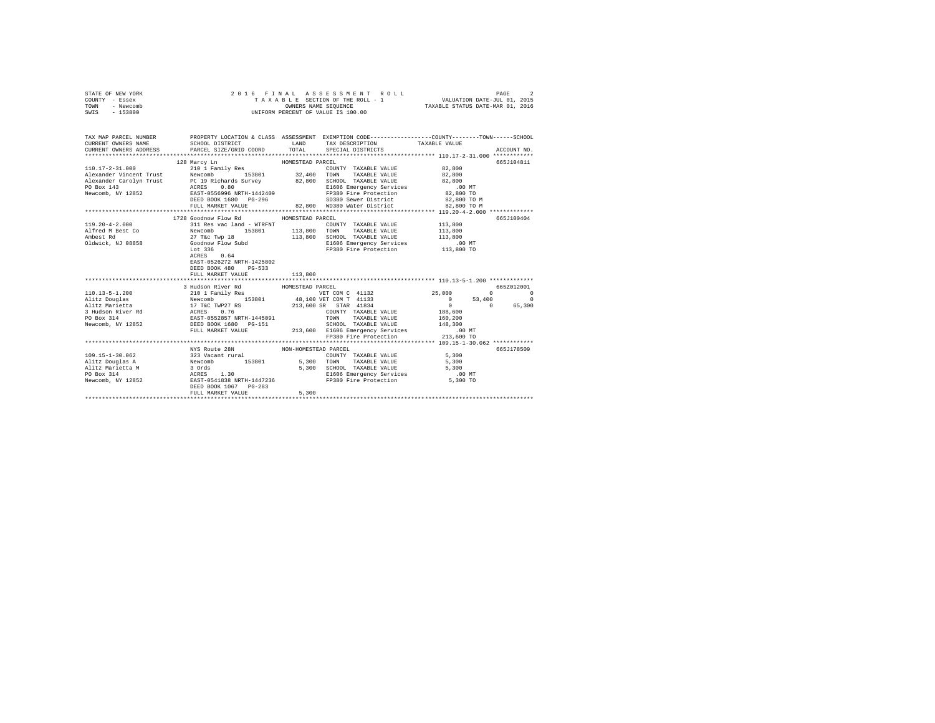| STATE OF NEW YORK |  |  | 2016 FINAL ASSESSMENT ROLL         | PAGE                             |  |
|-------------------|--|--|------------------------------------|----------------------------------|--|
| COUNTY - Essex    |  |  | TAXABLE SECTION OF THE ROLL - 1    | VALUATION DATE-JUL 01, 2015      |  |
| TOWN<br>- Newcomb |  |  | OWNERS NAME SEOUENCE               | TAXABLE STATUS DATE-MAR 01, 2016 |  |
| $-153800$<br>SWIS |  |  | UNIFORM PERCENT OF VALUE IS 100.00 |                                  |  |

| TAX MAP PARCEL NUMBER    | $\begin{tabular}{lllllllll} \texttt{CURERENT} & & & & & & \texttt{CNERENT} & & \texttt{TABLE VALUE} & \\ \texttt{CURERENT} & & & & & \texttt{SCHOL DISTRIBUT} & & \texttt{TAY DESCRIPTION} & & & \texttt{RXABLE VALUE} & & & \texttt{ACCOUNT NO} \\ \texttt{CURERENT} & & & & & \texttt{PACE/GED} & & \texttt{COCND} & & \texttt{SPEGIL D TUS} & & \texttt{SPEGIL D TUS} & & \texttt{NOCOUNT NO} & \\ \texttt{X111111111111111111111111111$ | LAND             | PROPERTY LOCATION & CLASS ASSESSMENT EXEMPTION CODE---------------COUNTY-------TOWN-----SCHOOL                   |            |
|--------------------------|---------------------------------------------------------------------------------------------------------------------------------------------------------------------------------------------------------------------------------------------------------------------------------------------------------------------------------------------------------------------------------------------------------------------------------------------|------------------|------------------------------------------------------------------------------------------------------------------|------------|
|                          |                                                                                                                                                                                                                                                                                                                                                                                                                                             |                  |                                                                                                                  |            |
|                          | 128 Marcy Ln                                                                                                                                                                                                                                                                                                                                                                                                                                | HOMESTEAD PARCEL | ECEL<br>COUNTY TAXABLE VALUE (82,800)<br>------ mayaris value                                                    | 665J104811 |
|                          | $\begin{tabular}{l c c c c c c c c} \hline 110.17-2-31.000 & 14041.7 & 10041.7 & 10041.7 & 10041.7 & 10041.7 & 10041.7 & 10041.7 & 10041.7 & 10041.7 & 10041.7 & 10041.7 & 10041.7 & 10041.7 & 10041.7 & 10041.7 & 10041.7 & 10041.7 & 10041.7 & 10041.7 & 1004$                                                                                                                                                                            |                  |                                                                                                                  |            |
|                          |                                                                                                                                                                                                                                                                                                                                                                                                                                             |                  |                                                                                                                  |            |
|                          |                                                                                                                                                                                                                                                                                                                                                                                                                                             |                  |                                                                                                                  |            |
|                          |                                                                                                                                                                                                                                                                                                                                                                                                                                             |                  |                                                                                                                  |            |
|                          |                                                                                                                                                                                                                                                                                                                                                                                                                                             |                  | E1606 Emergency Services<br>FP380 Fire Protection 82,800 TO<br>SD380 Sewer District 82,800 TO M                  |            |
|                          |                                                                                                                                                                                                                                                                                                                                                                                                                                             |                  |                                                                                                                  |            |
|                          | FULL MARKET VALUE                                                                                                                                                                                                                                                                                                                                                                                                                           |                  | 82,800 WD380 Water District 82,800 TO M                                                                          |            |
|                          |                                                                                                                                                                                                                                                                                                                                                                                                                                             |                  |                                                                                                                  |            |
|                          | 1728 Goodnow Flow Rd MOMESTEAD PARCEL                                                                                                                                                                                                                                                                                                                                                                                                       |                  |                                                                                                                  | 665J100404 |
| $119.20 - 4 - 2.000$     | 311 Res vac land - WTRFNT                                                                                                                                                                                                                                                                                                                                                                                                                   |                  | COUNTY TAXABLE VALUE 113,800                                                                                     |            |
| Alfred M Best Co Newcomb | 153801 113,800 TOWN                                                                                                                                                                                                                                                                                                                                                                                                                         |                  | TAXABLE VALUE 113,800                                                                                            |            |
|                          |                                                                                                                                                                                                                                                                                                                                                                                                                                             |                  |                                                                                                                  |            |
|                          |                                                                                                                                                                                                                                                                                                                                                                                                                                             |                  |                                                                                                                  |            |
|                          |                                                                                                                                                                                                                                                                                                                                                                                                                                             |                  |                                                                                                                  |            |
|                          | ACRES 0.64                                                                                                                                                                                                                                                                                                                                                                                                                                  |                  |                                                                                                                  |            |
|                          | EAST-0526272 NRTH-1425802                                                                                                                                                                                                                                                                                                                                                                                                                   |                  |                                                                                                                  |            |
|                          | DEED BOOK 480 PG-533                                                                                                                                                                                                                                                                                                                                                                                                                        |                  |                                                                                                                  |            |
|                          |                                                                                                                                                                                                                                                                                                                                                                                                                                             |                  |                                                                                                                  |            |
|                          |                                                                                                                                                                                                                                                                                                                                                                                                                                             |                  |                                                                                                                  |            |
|                          | 3 Hudson River Rd                                                                                                                                                                                                                                                                                                                                                                                                                           | HOMESTEAD PARCEL |                                                                                                                  | 665Z012001 |
|                          | 110.13-5-1.200 210 1 Family Res                                                                                                                                                                                                                                                                                                                                                                                                             |                  | $\verb VET COM C  \hspace{2.6cm} 41132 \hspace{2.8cm} 25,000 \hspace{2.8cm} 0 \hspace{2.8cm} 0 \hspace{2.8cm} 0$ |            |
|                          | 1999)<br>1999–1999 - Andre Marcoscoph - Andre Marcoscoph - Andre Marcoscoph - Andre Marcoscoph - Andre Marcoscoph<br>1999–1999 - Andre Marcoscoph - Andre Marcoscoph - Andre Marcoscoph - Andre Marcoscoph - Andre Marcoscoph - And                                                                                                                                                                                                         |                  |                                                                                                                  |            |
|                          |                                                                                                                                                                                                                                                                                                                                                                                                                                             |                  |                                                                                                                  |            |
|                          |                                                                                                                                                                                                                                                                                                                                                                                                                                             |                  |                                                                                                                  |            |
|                          |                                                                                                                                                                                                                                                                                                                                                                                                                                             |                  |                                                                                                                  |            |
|                          |                                                                                                                                                                                                                                                                                                                                                                                                                                             |                  |                                                                                                                  |            |
|                          |                                                                                                                                                                                                                                                                                                                                                                                                                                             |                  |                                                                                                                  |            |
|                          |                                                                                                                                                                                                                                                                                                                                                                                                                                             |                  |                                                                                                                  |            |
|                          |                                                                                                                                                                                                                                                                                                                                                                                                                                             |                  |                                                                                                                  |            |
|                          | NYS Route 28N NON-HOMESTEAD PARCEL                                                                                                                                                                                                                                                                                                                                                                                                          |                  |                                                                                                                  | 665J178509 |
|                          |                                                                                                                                                                                                                                                                                                                                                                                                                                             |                  |                                                                                                                  |            |
|                          |                                                                                                                                                                                                                                                                                                                                                                                                                                             |                  |                                                                                                                  |            |
|                          |                                                                                                                                                                                                                                                                                                                                                                                                                                             |                  |                                                                                                                  |            |
|                          |                                                                                                                                                                                                                                                                                                                                                                                                                                             |                  |                                                                                                                  |            |
|                          |                                                                                                                                                                                                                                                                                                                                                                                                                                             |                  | E1606 Emergency Services 6 100 MT<br>FP380 Fire Protection 5,300 TO                                              |            |
|                          |                                                                                                                                                                                                                                                                                                                                                                                                                                             |                  |                                                                                                                  |            |
|                          | FULL MARKET VALUE                                                                                                                                                                                                                                                                                                                                                                                                                           | 5,300            |                                                                                                                  |            |
|                          |                                                                                                                                                                                                                                                                                                                                                                                                                                             |                  |                                                                                                                  |            |
|                          |                                                                                                                                                                                                                                                                                                                                                                                                                                             |                  |                                                                                                                  |            |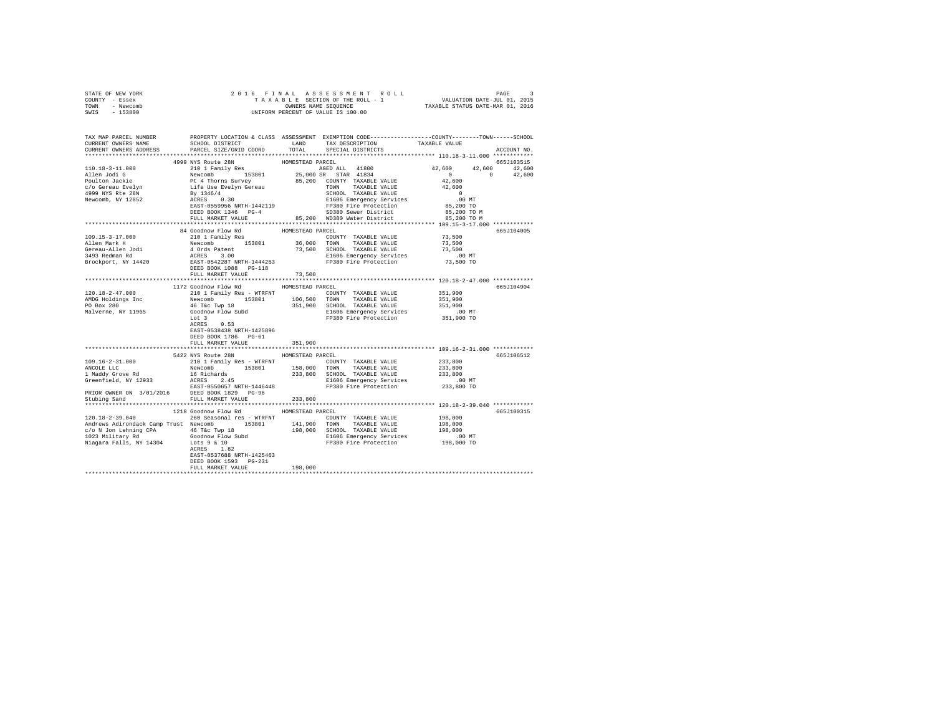| STATE OF NEW YORK<br>COUNTY - Essex                                                                                                                                                                                                                                                                                                                                                                                                                                     |                                        |                  | 2016 FINAL ASSESSMENT ROLL PAGE 3<br>TAXABLE SECTION OF THE ROLL - 1 VALUATION DATE-JUL 01, 2015<br>ONNERS NAME SEQUENCE TAXABLE STATUS DATE-MAR 01, 2016<br>UNIFORM PERCENT OF VALUE IS 100.00 |            |             |
|-------------------------------------------------------------------------------------------------------------------------------------------------------------------------------------------------------------------------------------------------------------------------------------------------------------------------------------------------------------------------------------------------------------------------------------------------------------------------|----------------------------------------|------------------|-------------------------------------------------------------------------------------------------------------------------------------------------------------------------------------------------|------------|-------------|
| TOWN - Newcomb                                                                                                                                                                                                                                                                                                                                                                                                                                                          |                                        |                  |                                                                                                                                                                                                 |            |             |
| SWIS - 153800                                                                                                                                                                                                                                                                                                                                                                                                                                                           |                                        |                  |                                                                                                                                                                                                 |            |             |
|                                                                                                                                                                                                                                                                                                                                                                                                                                                                         |                                        |                  |                                                                                                                                                                                                 |            |             |
|                                                                                                                                                                                                                                                                                                                                                                                                                                                                         |                                        |                  |                                                                                                                                                                                                 |            |             |
| TAX MAP PARCEL NUMBER PROPERTY LOCATION & CLASS ASSESSMENT EXEMPTION CODE---------------COUNTY-------TOWN------SCHOOL<br>CURRENT OWNERS NAME SCHOOL DISTRICT LAND TAX DESCRIPTION TAXABLE VALUE                                                                                                                                                                                                                                                                         |                                        |                  |                                                                                                                                                                                                 |            |             |
|                                                                                                                                                                                                                                                                                                                                                                                                                                                                         |                                        |                  |                                                                                                                                                                                                 |            |             |
| CURRENT OWNERS ADDRESS FARCEL SIZE/GRID COORD TOTAL SPECIAL DISTRICTS                                                                                                                                                                                                                                                                                                                                                                                                   |                                        |                  |                                                                                                                                                                                                 |            | ACCOUNT NO. |
|                                                                                                                                                                                                                                                                                                                                                                                                                                                                         |                                        |                  |                                                                                                                                                                                                 |            |             |
|                                                                                                                                                                                                                                                                                                                                                                                                                                                                         | 4999 NYS Route 28N                     | HOMESTEAD PARCEL |                                                                                                                                                                                                 | 665J103515 |             |
|                                                                                                                                                                                                                                                                                                                                                                                                                                                                         |                                        |                  |                                                                                                                                                                                                 |            |             |
|                                                                                                                                                                                                                                                                                                                                                                                                                                                                         |                                        |                  |                                                                                                                                                                                                 |            |             |
|                                                                                                                                                                                                                                                                                                                                                                                                                                                                         |                                        |                  |                                                                                                                                                                                                 |            |             |
|                                                                                                                                                                                                                                                                                                                                                                                                                                                                         |                                        |                  |                                                                                                                                                                                                 |            |             |
|                                                                                                                                                                                                                                                                                                                                                                                                                                                                         |                                        |                  |                                                                                                                                                                                                 |            |             |
|                                                                                                                                                                                                                                                                                                                                                                                                                                                                         |                                        |                  |                                                                                                                                                                                                 |            |             |
|                                                                                                                                                                                                                                                                                                                                                                                                                                                                         |                                        |                  |                                                                                                                                                                                                 |            |             |
|                                                                                                                                                                                                                                                                                                                                                                                                                                                                         |                                        |                  |                                                                                                                                                                                                 |            |             |
|                                                                                                                                                                                                                                                                                                                                                                                                                                                                         |                                        |                  |                                                                                                                                                                                                 |            |             |
|                                                                                                                                                                                                                                                                                                                                                                                                                                                                         |                                        |                  |                                                                                                                                                                                                 |            |             |
|                                                                                                                                                                                                                                                                                                                                                                                                                                                                         | 84 Goodnow Flow Rd<br>210 1 Family Res | HOMESTEAD PARCEL |                                                                                                                                                                                                 |            | 665J104005  |
|                                                                                                                                                                                                                                                                                                                                                                                                                                                                         |                                        |                  |                                                                                                                                                                                                 |            |             |
|                                                                                                                                                                                                                                                                                                                                                                                                                                                                         |                                        |                  |                                                                                                                                                                                                 |            |             |
|                                                                                                                                                                                                                                                                                                                                                                                                                                                                         |                                        |                  |                                                                                                                                                                                                 |            |             |
|                                                                                                                                                                                                                                                                                                                                                                                                                                                                         |                                        |                  |                                                                                                                                                                                                 |            |             |
|                                                                                                                                                                                                                                                                                                                                                                                                                                                                         |                                        |                  |                                                                                                                                                                                                 |            |             |
|                                                                                                                                                                                                                                                                                                                                                                                                                                                                         | FULL MARKET VALUE                      | 73,500           |                                                                                                                                                                                                 |            |             |
|                                                                                                                                                                                                                                                                                                                                                                                                                                                                         |                                        |                  |                                                                                                                                                                                                 |            |             |
|                                                                                                                                                                                                                                                                                                                                                                                                                                                                         | 1172 Goodnow Flow Rd MOMESTEAD PARCEL  |                  |                                                                                                                                                                                                 |            | 665J104904  |
| $\begin{tabular}{l c c c c c c c c} \hline 120.18-2-47.000 & $\cdots$ & $100$ & $100$ & $100$ & $100$ & $100$ & $100$ & $100$ & $100$ & $100$ & $100$ & $100$ & $100$ & $100$ & $100$ & $100$ & $100$ & $100$ & $100$ & $100$ & $100$ & $100$ & $100$ & $100$ & $100$ & $100$ & $100$ & $100$ & $100$ & $10$                                                                                                                                                            |                                        |                  |                                                                                                                                                                                                 |            |             |
|                                                                                                                                                                                                                                                                                                                                                                                                                                                                         |                                        |                  |                                                                                                                                                                                                 |            |             |
|                                                                                                                                                                                                                                                                                                                                                                                                                                                                         |                                        |                  |                                                                                                                                                                                                 |            |             |
|                                                                                                                                                                                                                                                                                                                                                                                                                                                                         |                                        |                  |                                                                                                                                                                                                 |            |             |
|                                                                                                                                                                                                                                                                                                                                                                                                                                                                         |                                        |                  |                                                                                                                                                                                                 |            |             |
|                                                                                                                                                                                                                                                                                                                                                                                                                                                                         |                                        |                  |                                                                                                                                                                                                 |            |             |
|                                                                                                                                                                                                                                                                                                                                                                                                                                                                         | EAST-0538438 NRTH-1425896              |                  |                                                                                                                                                                                                 |            |             |
|                                                                                                                                                                                                                                                                                                                                                                                                                                                                         | DEED BOOK 1786 PG-61                   |                  |                                                                                                                                                                                                 |            |             |
|                                                                                                                                                                                                                                                                                                                                                                                                                                                                         | FULL MARKET VALUE                      | 351,900          |                                                                                                                                                                                                 |            |             |
|                                                                                                                                                                                                                                                                                                                                                                                                                                                                         |                                        |                  |                                                                                                                                                                                                 |            |             |
|                                                                                                                                                                                                                                                                                                                                                                                                                                                                         | 5422 NYS Route 28N HOMESTEAD PARCEL    |                  |                                                                                                                                                                                                 |            | 665J106512  |
| 109.16-2-31.000                                                                                                                                                                                                                                                                                                                                                                                                                                                         |                                        |                  | 210 1 Family Res - WTRFNT COUNTY TAXABLE VALUE 233,800                                                                                                                                          |            |             |
|                                                                                                                                                                                                                                                                                                                                                                                                                                                                         |                                        |                  |                                                                                                                                                                                                 |            |             |
|                                                                                                                                                                                                                                                                                                                                                                                                                                                                         |                                        |                  |                                                                                                                                                                                                 |            |             |
| 19.10-22.31.000<br>NACOLE L.C. Newcomb 153801 158,000 TOWN TAXABLE VALUE 233,800<br>19.000 TOWN TAXABLE VALUE 233,800<br>19.000 TOWN TAXABLE VALUE 233,800<br>233,800 GCHOL TAXABLE VALUE 233,800<br>233,800 GCHOL TAXABLE VALUE 233,800                                                                                                                                                                                                                                |                                        |                  |                                                                                                                                                                                                 |            |             |
|                                                                                                                                                                                                                                                                                                                                                                                                                                                                         |                                        |                  |                                                                                                                                                                                                 |            |             |
|                                                                                                                                                                                                                                                                                                                                                                                                                                                                         |                                        |                  |                                                                                                                                                                                                 |            |             |
|                                                                                                                                                                                                                                                                                                                                                                                                                                                                         |                                        |                  |                                                                                                                                                                                                 |            |             |
|                                                                                                                                                                                                                                                                                                                                                                                                                                                                         |                                        |                  |                                                                                                                                                                                                 |            |             |
|                                                                                                                                                                                                                                                                                                                                                                                                                                                                         | 1218 Goodnow Flow Rd MOMESTEAD PARCEL  |                  |                                                                                                                                                                                                 |            | 665J100315  |
| $120.18-2-39.040$ $260$ Seasonal res - WTRFNT COUNTY TAXABLE VALUE 198,000                                                                                                                                                                                                                                                                                                                                                                                              |                                        |                  |                                                                                                                                                                                                 |            |             |
| $\begin{tabular}{l c c c c c c} \hline \texttt{Aardrewo Add} & \texttt{Aardrewo Add} & \texttt{Aardewo And} & \texttt{Aardewo And} & \texttt{Aardewo And} & \texttt{Aardewo And} & \texttt{Aardewo And} & \texttt{Aardewo And} & \texttt{Aardewo And} & \texttt{Aardewo And} & \texttt{Aardewo And} & \texttt{Aardewo And} & \texttt{Aardewo And} & \texttt{Aardewo And} & \texttt{Aardewo And} & \texttt{Aardewo And} & \texttt{Aardewo And} & \texttt{Aardewo And} &$ |                                        |                  |                                                                                                                                                                                                 |            |             |
|                                                                                                                                                                                                                                                                                                                                                                                                                                                                         |                                        |                  |                                                                                                                                                                                                 |            |             |
|                                                                                                                                                                                                                                                                                                                                                                                                                                                                         |                                        |                  |                                                                                                                                                                                                 |            |             |
|                                                                                                                                                                                                                                                                                                                                                                                                                                                                         |                                        |                  |                                                                                                                                                                                                 |            |             |
|                                                                                                                                                                                                                                                                                                                                                                                                                                                                         |                                        |                  |                                                                                                                                                                                                 |            |             |
|                                                                                                                                                                                                                                                                                                                                                                                                                                                                         | EAST-0537688 NRTH-1425463              |                  |                                                                                                                                                                                                 |            |             |
|                                                                                                                                                                                                                                                                                                                                                                                                                                                                         | DEED BOOK 1593 PG-231                  |                  |                                                                                                                                                                                                 |            |             |
|                                                                                                                                                                                                                                                                                                                                                                                                                                                                         | FULL MARKET VALUE 198,000              |                  |                                                                                                                                                                                                 |            |             |
|                                                                                                                                                                                                                                                                                                                                                                                                                                                                         |                                        |                  |                                                                                                                                                                                                 |            |             |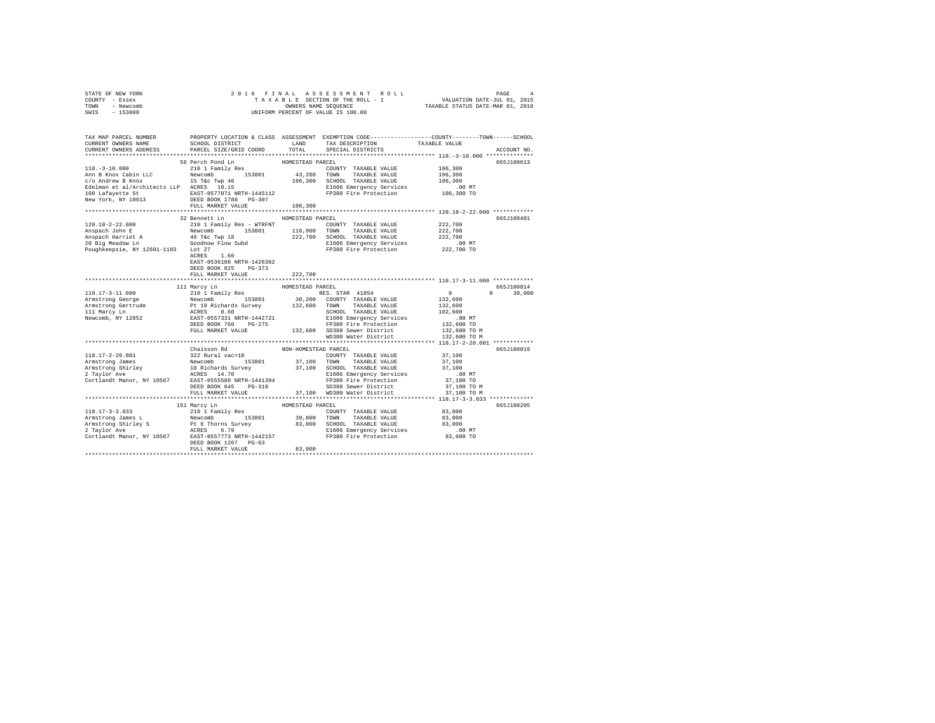| TOWN<br>- Newcomb<br>SWIS<br>$-153800$                                                                                                                                                                                                                                                                                                                                                                            | UNIFORM PERCENT OF VALUE IS 100.00         | TAXABLE STATUS DATE-MAR 01, 2016 |                                                                                                                                                         |                     |               |
|-------------------------------------------------------------------------------------------------------------------------------------------------------------------------------------------------------------------------------------------------------------------------------------------------------------------------------------------------------------------------------------------------------------------|--------------------------------------------|----------------------------------|---------------------------------------------------------------------------------------------------------------------------------------------------------|---------------------|---------------|
|                                                                                                                                                                                                                                                                                                                                                                                                                   |                                            |                                  |                                                                                                                                                         |                     |               |
| TAX MAP PARCEL NUMBER PROPERTY LOCATION & CLASS ASSESSMENT EXEMPTION CODE--------------COUNTY-------TOWN------SCHOOL                                                                                                                                                                                                                                                                                              |                                            |                                  |                                                                                                                                                         |                     |               |
| CURRENT OWNERS NAME                                                                                                                                                                                                                                                                                                                                                                                               | SCHOOL DISTRICT                            |                                  | LAND TAX DESCRIPTION                                                                                                                                    | TAXABLE VALUE       |               |
| CURRENT OWNERS ADDRESS                                                                                                                                                                                                                                                                                                                                                                                            | PARCEL SIZE/GRID COORD                     | TOTAL                            | SPECIAL DISTRICTS                                                                                                                                       |                     | ACCOUNT NO.   |
|                                                                                                                                                                                                                                                                                                                                                                                                                   | 56 Perch Pond Ln                           | HOMESTEAD PARCEL                 |                                                                                                                                                         |                     | 665J100613    |
| $110. - 3 - 10.000$                                                                                                                                                                                                                                                                                                                                                                                               | 210 1 Family Res                           |                                  | COUNTY TAXABLE VALUE                                                                                                                                    | 106,300             |               |
|                                                                                                                                                                                                                                                                                                                                                                                                                   |                                            |                                  |                                                                                                                                                         | 106,300             |               |
|                                                                                                                                                                                                                                                                                                                                                                                                                   |                                            |                                  |                                                                                                                                                         | 106,300             |               |
|                                                                                                                                                                                                                                                                                                                                                                                                                   |                                            |                                  |                                                                                                                                                         | .00MT               |               |
|                                                                                                                                                                                                                                                                                                                                                                                                                   |                                            |                                  | FP380 Fire Protection 106,300 TO                                                                                                                        |                     |               |
|                                                                                                                                                                                                                                                                                                                                                                                                                   |                                            |                                  |                                                                                                                                                         |                     |               |
|                                                                                                                                                                                                                                                                                                                                                                                                                   | FULL MARKET VALUE                          | 106,300                          |                                                                                                                                                         |                     |               |
|                                                                                                                                                                                                                                                                                                                                                                                                                   |                                            |                                  |                                                                                                                                                         |                     |               |
| 120.18-2-22.000                                                                                                                                                                                                                                                                                                                                                                                                   | 32 Bennett Ln<br>210 1 Family Res - WTRFNT | HOMESTEAD PARCEL                 | COUNTY TAXABLE VALUE 222,700                                                                                                                            |                     | 665-7100401   |
| Anspach John E                                                                                                                                                                                                                                                                                                                                                                                                    |                                            |                                  |                                                                                                                                                         | 222,700             |               |
|                                                                                                                                                                                                                                                                                                                                                                                                                   |                                            |                                  | $\begin{tabular}{lcccccc} Newtonb & & 153801 & & 116,900 & TOWN & TAXABLE VALUE \\ 46 T&\&C Two 18 & & 222,700 & SCHOOL TAXABLE VALUE \\ \end{tabular}$ | 222,700             |               |
|                                                                                                                                                                                                                                                                                                                                                                                                                   |                                            |                                  | E1606 Emergency Services                                                                                                                                | .00 MT              |               |
| Poughkeepsie, NY 12601-1103 Lot 27                                                                                                                                                                                                                                                                                                                                                                                |                                            |                                  | FP380 Fire Protection                                                                                                                                   | 222,700 TO          |               |
|                                                                                                                                                                                                                                                                                                                                                                                                                   | ACRES 1.60                                 |                                  |                                                                                                                                                         |                     |               |
|                                                                                                                                                                                                                                                                                                                                                                                                                   | EAST-0536108 NRTH-1426362                  |                                  |                                                                                                                                                         |                     |               |
|                                                                                                                                                                                                                                                                                                                                                                                                                   | DEED BOOK 825 PG-373                       |                                  |                                                                                                                                                         |                     |               |
|                                                                                                                                                                                                                                                                                                                                                                                                                   | FULL MARKET VALUE                          | 222,700                          |                                                                                                                                                         |                     |               |
|                                                                                                                                                                                                                                                                                                                                                                                                                   |                                            |                                  |                                                                                                                                                         |                     |               |
|                                                                                                                                                                                                                                                                                                                                                                                                                   | 111 Marcy Ln                               | HOMESTEAD PARCEL                 |                                                                                                                                                         |                     | 665.T100814   |
| 110.17-3-11.000                                                                                                                                                                                                                                                                                                                                                                                                   | 210 1 Family Res                           |                                  | RES. STAR 41854                                                                                                                                         | $\sim$ 0<br>132,600 | $0 \t 30,000$ |
|                                                                                                                                                                                                                                                                                                                                                                                                                   |                                            |                                  |                                                                                                                                                         | 132,600             |               |
|                                                                                                                                                                                                                                                                                                                                                                                                                   |                                            |                                  |                                                                                                                                                         | 102,600             |               |
| $\begin{tabular}{l c c c c c} \hline Arimstrons & George & & $100.17$-801111$ & $153801$ & $30,200$ & COINTY$ $T$AXABLE VALUE\\ \hline Armstrons & George & & $19$~kichards Survey & $132,600$ & COINTY$ $T$AXABLE VALUE\\ \hline Armstrons & George & & $19$~kichards Survey & $132,600$ & TOINTY$ $T$AXABLE VALUE\\ \hline ATHstrons & Rexcons & & & & & & & & & & & & & & & & & & & & & & & & & & & & & & & &$ |                                            |                                  |                                                                                                                                                         | .00 MT              |               |
|                                                                                                                                                                                                                                                                                                                                                                                                                   |                                            |                                  |                                                                                                                                                         | 132,600 TO          |               |
|                                                                                                                                                                                                                                                                                                                                                                                                                   | FULL MARKET VALUE                          |                                  | 132,600 SD380 Sewer District                                                                                                                            | 132,600 TO M        |               |
|                                                                                                                                                                                                                                                                                                                                                                                                                   |                                            |                                  | WD380 Water District                                                                                                                                    | 132,600 TO M        |               |
|                                                                                                                                                                                                                                                                                                                                                                                                                   |                                            |                                  |                                                                                                                                                         |                     |               |
|                                                                                                                                                                                                                                                                                                                                                                                                                   | Chaisson Rd                                | NON-HOMESTEAD PARCEL             |                                                                                                                                                         |                     | 665J180019    |
| $\begin{tabular}{l c c c c c} \multicolumn{1}{c}{\textbf{110.17--2-20.001}}} & \multicolumn{1}{c}{\textbf{110.17--2-20.001}} & \multicolumn{1}{c}{\textbf{110.17--2-20.001}} & \multicolumn{1}{c}{\textbf{110.17--2-20.001}} & \multicolumn{1}{c}{\textbf{110.17--2-20.001}} & \multicolumn{1}{c}{\textbf{110.17--2-20.001}} & \multicolumn{1}{c}{\textbf{110.17--2-$                                             |                                            |                                  |                                                                                                                                                         | 37,100              |               |
|                                                                                                                                                                                                                                                                                                                                                                                                                   |                                            |                                  |                                                                                                                                                         | 37,100              |               |
|                                                                                                                                                                                                                                                                                                                                                                                                                   |                                            |                                  |                                                                                                                                                         | 37,100<br>$.00$ MT  |               |
|                                                                                                                                                                                                                                                                                                                                                                                                                   |                                            |                                  |                                                                                                                                                         | 37,100 TO           |               |
|                                                                                                                                                                                                                                                                                                                                                                                                                   | DEED BOOK 845 PG-318                       |                                  |                                                                                                                                                         | 37,100 TO M         |               |
|                                                                                                                                                                                                                                                                                                                                                                                                                   | FULL MARKET VALUE                          |                                  | 37,100 WD380 Water District                                                                                                                             | 37,100 TO M         |               |
|                                                                                                                                                                                                                                                                                                                                                                                                                   |                                            |                                  |                                                                                                                                                         |                     |               |
|                                                                                                                                                                                                                                                                                                                                                                                                                   | 151 Marcy Ln                               | HOMESTEAD PARCEL                 |                                                                                                                                                         |                     | 665J100205    |
| $110.17 - 3 - 3.033$                                                                                                                                                                                                                                                                                                                                                                                              | 210 1 Family Res                           |                                  | COUNTY TAXABLE VALUE                                                                                                                                    | 83,000              |               |
|                                                                                                                                                                                                                                                                                                                                                                                                                   |                                            |                                  |                                                                                                                                                         |                     |               |
|                                                                                                                                                                                                                                                                                                                                                                                                                   |                                            |                                  |                                                                                                                                                         |                     |               |
|                                                                                                                                                                                                                                                                                                                                                                                                                   |                                            |                                  |                                                                                                                                                         |                     |               |
| Armstrong Shirley S. Alu I family New 2001 1998<br>Armstrong Shirley S. Rev. 2001 29,800 TOWN TAXABLE VALUE 83,000<br>2 Taylor Avec Britley S. ACRES 6.79 83,000 SCHOOL TAXABLE VALUE 83,000<br>2 Taylor Avec ACRES 6.79 ELEGO Emerg                                                                                                                                                                              |                                            |                                  |                                                                                                                                                         |                     |               |
|                                                                                                                                                                                                                                                                                                                                                                                                                   | DEED BOOK 1267 PG-63<br>FULL MARKET VALUE  | 83,000                           |                                                                                                                                                         |                     |               |
|                                                                                                                                                                                                                                                                                                                                                                                                                   |                                            |                                  |                                                                                                                                                         |                     |               |
|                                                                                                                                                                                                                                                                                                                                                                                                                   |                                            |                                  |                                                                                                                                                         |                     |               |

STATE OF NEW YORK 2 0 1 6 F I N A L A S S E S S M E N T R O L L PAGE 4 COUNTY - Essex T A X A B L E SECTION OF THE ROLL - 1 VALUATION DATE-JUL 01, 2015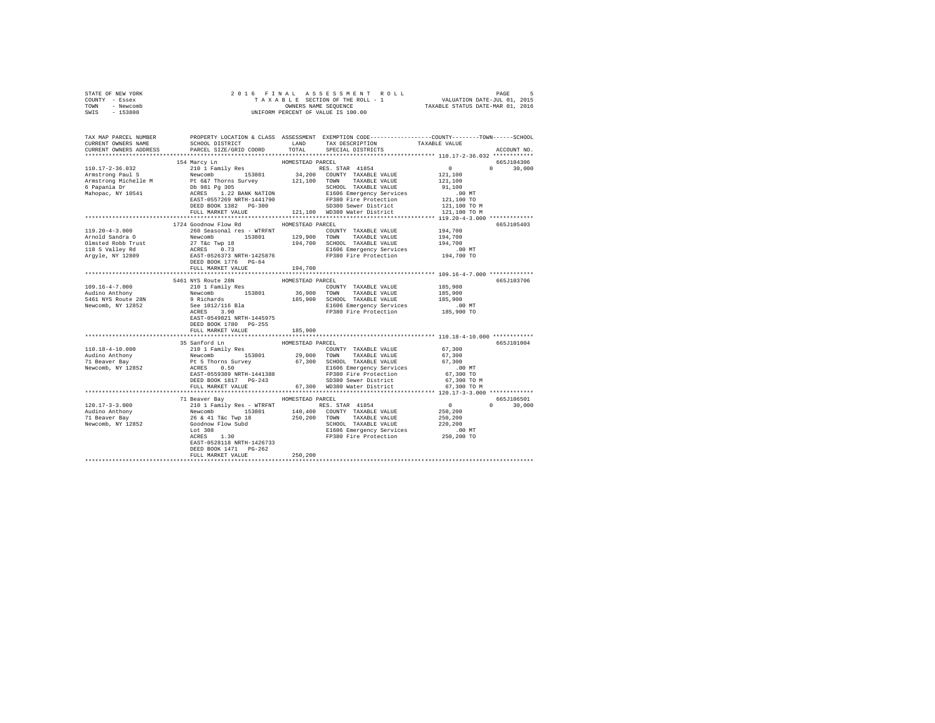| STATE OF NEW YORK    | 2016 FINAL ASSESSMENT ROLL PAGE 5<br>TAXABLE SECTION OF THE ROLL - 1 VALUATION DATE-JUL 01, 2015<br>OWNERS NAME SEQUENCE 5 TAXABLE STATUS DATE-MAR 01, 2016<br>UNIFORM PERCENT OF VALUE IS 100.00                                                                                                                                                                     |                  |                                                                 |         |            |
|----------------------|-----------------------------------------------------------------------------------------------------------------------------------------------------------------------------------------------------------------------------------------------------------------------------------------------------------------------------------------------------------------------|------------------|-----------------------------------------------------------------|---------|------------|
| COUNTY - Essex       |                                                                                                                                                                                                                                                                                                                                                                       |                  |                                                                 |         |            |
| TOWN - Newcomb       |                                                                                                                                                                                                                                                                                                                                                                       |                  |                                                                 |         |            |
| SWIS - 153800        |                                                                                                                                                                                                                                                                                                                                                                       |                  |                                                                 |         |            |
|                      |                                                                                                                                                                                                                                                                                                                                                                       |                  |                                                                 |         |            |
|                      |                                                                                                                                                                                                                                                                                                                                                                       |                  |                                                                 |         |            |
|                      |                                                                                                                                                                                                                                                                                                                                                                       |                  |                                                                 |         |            |
|                      |                                                                                                                                                                                                                                                                                                                                                                       |                  |                                                                 |         |            |
|                      |                                                                                                                                                                                                                                                                                                                                                                       |                  |                                                                 |         |            |
|                      |                                                                                                                                                                                                                                                                                                                                                                       |                  |                                                                 |         |            |
|                      | 19 Marcy Line 2010 1 MARKET 110.17-2-36.032<br>164 Marcy Line 2010 1 ROMESTEAD PARCEL<br>2010 1 ROMESTEAD PARCEL<br>Armstrong Michelle M Bev. 2010 1 MARKER VALUE 2011<br>21,100 TOWN TAXABLE VALUE 21,100<br>6 Fapania Dr. 91,100 1 Dr.                                                                                                                              |                  |                                                                 |         | 665J104306 |
|                      |                                                                                                                                                                                                                                                                                                                                                                       |                  |                                                                 |         |            |
|                      |                                                                                                                                                                                                                                                                                                                                                                       |                  |                                                                 |         |            |
|                      |                                                                                                                                                                                                                                                                                                                                                                       |                  |                                                                 |         |            |
|                      |                                                                                                                                                                                                                                                                                                                                                                       |                  |                                                                 |         |            |
|                      |                                                                                                                                                                                                                                                                                                                                                                       |                  |                                                                 |         |            |
|                      |                                                                                                                                                                                                                                                                                                                                                                       |                  |                                                                 |         |            |
|                      |                                                                                                                                                                                                                                                                                                                                                                       |                  |                                                                 |         |            |
|                      |                                                                                                                                                                                                                                                                                                                                                                       |                  |                                                                 |         |            |
|                      |                                                                                                                                                                                                                                                                                                                                                                       |                  |                                                                 |         |            |
|                      | 1724 Goodnow Flow Rd MOMESTEAD PARCEL                                                                                                                                                                                                                                                                                                                                 |                  |                                                                 |         | 665J105403 |
| $119.20 - 4 - 3.000$ | 260 Seasonal res - WTRFNT COUNTY TAXABLE VALUE                                                                                                                                                                                                                                                                                                                        |                  |                                                                 | 194,700 |            |
|                      |                                                                                                                                                                                                                                                                                                                                                                       |                  |                                                                 |         |            |
|                      |                                                                                                                                                                                                                                                                                                                                                                       |                  |                                                                 |         |            |
|                      |                                                                                                                                                                                                                                                                                                                                                                       |                  |                                                                 |         |            |
|                      | Arnold Sandra 0 200 oceausiai res – wiking 194,700<br>Arnold Sandra 0 Newcomb 153801 129,900 TOWN TAXABLE VALUE 194,700<br>194,700 SCHOOL TAXABLE VALUE 194,700<br>194,700 SCHOOL TAXABLE VALUE 194,700<br>194,700 ECHOOL TAXABLE VALU                                                                                                                                |                  |                                                                 |         |            |
|                      |                                                                                                                                                                                                                                                                                                                                                                       |                  |                                                                 |         |            |
|                      | FULL MARKET VALUE                                                                                                                                                                                                                                                                                                                                                     | 194,700          |                                                                 |         |            |
|                      |                                                                                                                                                                                                                                                                                                                                                                       |                  |                                                                 |         |            |
|                      |                                                                                                                                                                                                                                                                                                                                                                       |                  |                                                                 |         |            |
|                      | 5461 NYS Route 28N                                                                                                                                                                                                                                                                                                                                                    | HOMESTEAD PARCEL |                                                                 |         | 665J103706 |
|                      |                                                                                                                                                                                                                                                                                                                                                                       |                  |                                                                 |         |            |
|                      |                                                                                                                                                                                                                                                                                                                                                                       |                  |                                                                 |         |            |
|                      |                                                                                                                                                                                                                                                                                                                                                                       |                  |                                                                 |         |            |
|                      |                                                                                                                                                                                                                                                                                                                                                                       |                  |                                                                 |         |            |
|                      |                                                                                                                                                                                                                                                                                                                                                                       |                  |                                                                 |         |            |
|                      |                                                                                                                                                                                                                                                                                                                                                                       |                  |                                                                 |         |            |
|                      | DEED BOOK 1780 PG-255                                                                                                                                                                                                                                                                                                                                                 |                  |                                                                 |         |            |
|                      | FULL MARKET VALUE                                                                                                                                                                                                                                                                                                                                                     | 185,900          |                                                                 |         |            |
|                      |                                                                                                                                                                                                                                                                                                                                                                       |                  | ********************************** 110.18-4-10.000 ************ |         |            |
|                      | 35 Sanford Ln                                                                                                                                                                                                                                                                                                                                                         | HOMESTEAD PARCEL |                                                                 |         | 665J101004 |
|                      |                                                                                                                                                                                                                                                                                                                                                                       |                  |                                                                 |         |            |
|                      |                                                                                                                                                                                                                                                                                                                                                                       |                  |                                                                 |         |            |
|                      | $\begin{tabular}{l c c c c c} \hline 110.18-4-10.000 & 35\ \hline \texttt{S}} & 210\ \hline \texttt{110.18} & 110.18-4-10.000 & 150\ \hline \texttt{110.18} & 210\ \hline \texttt{110.18} & 210\ \hline \texttt{110.18} & 210\ \hline \texttt{110.18} & 210\ \hline \texttt{110.18} & 210\ \hline \texttt{110.18} & 210\ \hline \texttt$                              |                  |                                                                 |         |            |
|                      |                                                                                                                                                                                                                                                                                                                                                                       |                  |                                                                 |         |            |
|                      |                                                                                                                                                                                                                                                                                                                                                                       |                  |                                                                 |         |            |
|                      |                                                                                                                                                                                                                                                                                                                                                                       |                  |                                                                 |         |            |
|                      |                                                                                                                                                                                                                                                                                                                                                                       |                  |                                                                 |         |            |
|                      |                                                                                                                                                                                                                                                                                                                                                                       |                  |                                                                 |         |            |
|                      |                                                                                                                                                                                                                                                                                                                                                                       |                  |                                                                 |         |            |
|                      | $\begin{tabular}{l c c c c c} \multicolumn{1}{c}{\textbf{120.17-3-3.000}} & \multicolumn{1}{c}{\textbf{71}-\textbf{8-3.000}} & \multicolumn{1}{c}{\textbf{120.17-3-3.000}} & \multicolumn{1}{c}{\textbf{120.17-3-3.000}} & \multicolumn{1}{c}{\textbf{120.17-3-3.000}} & \multicolumn{1}{c}{\textbf{120.17-3-3.000}} & \multicolumn{1}{c}{\textbf{120.18-3.000}} & \$ |                  |                                                                 |         |            |
|                      |                                                                                                                                                                                                                                                                                                                                                                       |                  |                                                                 |         |            |
|                      |                                                                                                                                                                                                                                                                                                                                                                       |                  |                                                                 |         |            |
|                      |                                                                                                                                                                                                                                                                                                                                                                       |                  |                                                                 |         |            |
|                      |                                                                                                                                                                                                                                                                                                                                                                       |                  |                                                                 |         |            |
|                      |                                                                                                                                                                                                                                                                                                                                                                       |                  |                                                                 |         |            |
|                      |                                                                                                                                                                                                                                                                                                                                                                       |                  |                                                                 |         |            |
|                      | DEED BOOK 1471    PG-262                                                                                                                                                                                                                                                                                                                                              |                  |                                                                 |         |            |
|                      | FULL MARKET VALUE 250.200                                                                                                                                                                                                                                                                                                                                             |                  |                                                                 |         |            |
|                      |                                                                                                                                                                                                                                                                                                                                                                       |                  |                                                                 |         |            |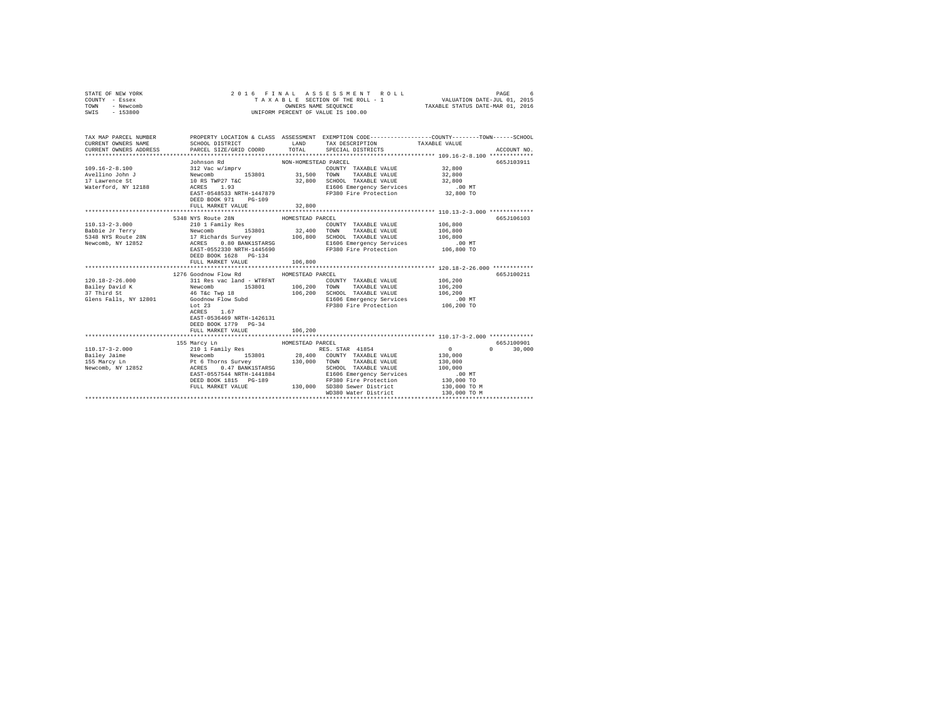| STATE OF NEW YORK<br>COUNTY - Essex<br>- Newcomb<br>TOWN<br>SWIS - 153800                                                                                                                                                                                                                                                                                                                                       | 2016 FINAL                                                                                                                                                                                                                                                                                                                                                                                                          |                                                 | ASSESSMENT ROLL<br>T A X A B L E SECTION OF THE ROLL - 1<br>OWNERS NAME SEQUENCE<br>UNIFORM PERCENT OF VALUE IS 100.00 | VALUATION DATE-JUL 01, 2015<br>TAXABLE STATUS DATE-MAR 01, 2016                                     | PAGE<br>6                    |
|-----------------------------------------------------------------------------------------------------------------------------------------------------------------------------------------------------------------------------------------------------------------------------------------------------------------------------------------------------------------------------------------------------------------|---------------------------------------------------------------------------------------------------------------------------------------------------------------------------------------------------------------------------------------------------------------------------------------------------------------------------------------------------------------------------------------------------------------------|-------------------------------------------------|------------------------------------------------------------------------------------------------------------------------|-----------------------------------------------------------------------------------------------------|------------------------------|
| TAX MAP PARCEL NUMBER<br>CURRENT OWNERS NAME<br>CURRENT OWNERS ADDRESS                                                                                                                                                                                                                                                                                                                                          | SCHOOL DISTRICT TAND TAX DESCRIPTION<br>PARCEL SIZE/GRID COORD TOTAL                                                                                                                                                                                                                                                                                                                                                |                                                 | PROPERTY LOCATION & CLASS ASSESSMENT EXEMPTION CODE---------------COUNTY-------TOWN------SCHOOL<br>SPECIAL DISTRICTS   | TAXABLE VALUE                                                                                       | ACCOUNT NO.                  |
|                                                                                                                                                                                                                                                                                                                                                                                                                 | EAST-0548533 NRTH-1447879<br>DEED BOOK 971 PG-109<br>FULL MARKET VALUE                                                                                                                                                                                                                                                                                                                                              | 32,800                                          | COUNTY TAXABLE VALUE 32,800<br>E1606 Emergency Services<br>FP380 Fire Protection                                       | 32,800<br>32,800<br>$.00$ MT<br>32,800 TO                                                           | 665J103911                   |
|                                                                                                                                                                                                                                                                                                                                                                                                                 |                                                                                                                                                                                                                                                                                                                                                                                                                     |                                                 |                                                                                                                        |                                                                                                     |                              |
| $\begin{tabular}{c c c c c} \hline 110.13-2-3.000 & \hline $106,800$ & \hline $100.13-2-3.000$ & \hline $106,800$ & \hline $100.13-2-3.000$ & \hline $106,800$ & \hline $106,800$ & \hline $106,800$ & \hline $106,800$ & \hline $106,800$ & \hline $106,800$ & \hline $106,800$ & \hline $106,800$ & \hline $106,800$ & \h$<br>$120.18 - 2 - 26.000$<br>Bailey David K<br>37 Third St<br>Glens Falls, NY 12801 | 5348 NYS Route 28N<br>DEED BOOK 1628 PG-134<br>FULL MARKET VALUE<br>1276 Goodnow Flow Rd<br>311 Res vac land - WTRFNT COUNTY TAXABLE VALUE<br>Newcomb 153801 106,200 TOWN TAXABLE VALUE<br>46 T&C Twp 18 106,200 SCHOOL TAXABLE VALUE<br>Goodnow Flow Subd E1666 Emergency Services<br>15.00 Electron Engless in the COMP Service<br>Lot $23$<br>1.67<br>ACRES<br>EAST-0536469 NRTH-1426131<br>DEED BOOK 1779 PG-34 | HOMESTEAD PARCEL<br>106,800<br>HOMESTEAD PARCEL | COUNTY TAXABLE VALUE<br>E1606 Emergency Services<br>FP380 Fire Protection                                              | 106,200<br>106,200<br>106,200<br>$.00$ MT<br>106,200 TO                                             | 665J106103<br>665J100211     |
|                                                                                                                                                                                                                                                                                                                                                                                                                 | FULL MARKET VALUE                                                                                                                                                                                                                                                                                                                                                                                                   | 106,200                                         |                                                                                                                        |                                                                                                     |                              |
| $110.17 - 3 - 2.000$<br>Bailey Jaime<br>155 Marcy Ln<br>Newcomb, NY 12852                                                                                                                                                                                                                                                                                                                                       | 155 Marcy Ln<br>210 1 Family Res<br>Newton, 153801 28,400 CONTY TAXABLE VALUE<br>Pt 6 Thorns Survey 130,000 CONTY TAXABLE VALUE<br>RCRES 0.47 BANK1STARSG 130,000 TOWN TAXABLE VALUE<br>RCRES 0.47 BANK1STARSG SCHOOL TAXABLE VALUE<br>EAST-0557544 NRTH-1441884<br>FULL MARKET VALUE 130,000 SD380 Sewer District                                                                                                  | HOMESTEAD PARCEL                                | WD380 Water District                                                                                                   | $\sim$ 0<br>130,000<br>130,000<br>100,000<br>$.00$ MT<br>130,000 TO<br>130,000 TO M<br>130,000 TO M | 665.7100901<br>$0 \t 30,000$ |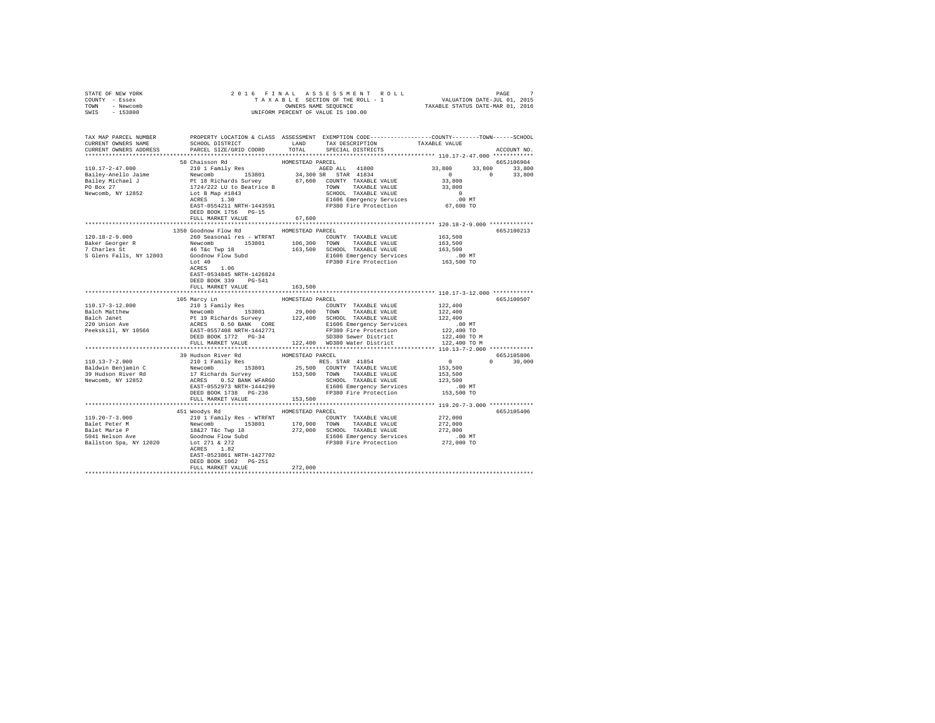| STATE OF NEW YORK<br>COUNTY - Essex                                                                                                                                                                                                                                                                                                                                                                                                                                      |                                       |                  |                         |               |
|--------------------------------------------------------------------------------------------------------------------------------------------------------------------------------------------------------------------------------------------------------------------------------------------------------------------------------------------------------------------------------------------------------------------------------------------------------------------------|---------------------------------------|------------------|-------------------------|---------------|
| TOWN - Newcomb                                                                                                                                                                                                                                                                                                                                                                                                                                                           |                                       |                  |                         |               |
| SWIS - 153800                                                                                                                                                                                                                                                                                                                                                                                                                                                            |                                       |                  |                         |               |
|                                                                                                                                                                                                                                                                                                                                                                                                                                                                          |                                       |                  |                         |               |
|                                                                                                                                                                                                                                                                                                                                                                                                                                                                          |                                       |                  |                         |               |
| TAX MAP PARCEL NUMBER PROPERTY LOCATION & CLASS ASSESSMENT EXEMPTION CODE---------------COUNTY-------TOWN------SCHOOL<br>CURRENT OWNERS NAME SCHOOL DISTRICT LAND TAX DESCRIPTION TAXABLE VALUE                                                                                                                                                                                                                                                                          |                                       |                  |                         |               |
| CURRENT OWNERS ADDRESS PARCEL SIZE/GRID COORD                                                                                                                                                                                                                                                                                                                                                                                                                            |                                       |                  |                         |               |
|                                                                                                                                                                                                                                                                                                                                                                                                                                                                          |                                       |                  | TOTAL SPECIAL DISTRICTS | ACCOUNT NO.   |
|                                                                                                                                                                                                                                                                                                                                                                                                                                                                          |                                       |                  |                         |               |
|                                                                                                                                                                                                                                                                                                                                                                                                                                                                          | 58 Chaisson Rd                        | HOMESTEAD PARCEL |                         | 665J106904    |
|                                                                                                                                                                                                                                                                                                                                                                                                                                                                          |                                       |                  |                         |               |
|                                                                                                                                                                                                                                                                                                                                                                                                                                                                          |                                       |                  |                         |               |
|                                                                                                                                                                                                                                                                                                                                                                                                                                                                          |                                       |                  |                         |               |
|                                                                                                                                                                                                                                                                                                                                                                                                                                                                          |                                       |                  |                         |               |
|                                                                                                                                                                                                                                                                                                                                                                                                                                                                          |                                       |                  |                         |               |
|                                                                                                                                                                                                                                                                                                                                                                                                                                                                          |                                       |                  |                         |               |
|                                                                                                                                                                                                                                                                                                                                                                                                                                                                          | DEED BOOK 1756 PG-15                  |                  |                         |               |
|                                                                                                                                                                                                                                                                                                                                                                                                                                                                          | FULL MARKET VALUE                     | 67.600           |                         |               |
|                                                                                                                                                                                                                                                                                                                                                                                                                                                                          |                                       |                  |                         |               |
|                                                                                                                                                                                                                                                                                                                                                                                                                                                                          | 1350 Goodnow Flow Rd HOMESTEAD PARCEL |                  |                         | 665J100213    |
|                                                                                                                                                                                                                                                                                                                                                                                                                                                                          |                                       |                  |                         |               |
|                                                                                                                                                                                                                                                                                                                                                                                                                                                                          |                                       |                  |                         |               |
|                                                                                                                                                                                                                                                                                                                                                                                                                                                                          |                                       |                  |                         |               |
|                                                                                                                                                                                                                                                                                                                                                                                                                                                                          |                                       |                  |                         |               |
|                                                                                                                                                                                                                                                                                                                                                                                                                                                                          |                                       |                  |                         |               |
|                                                                                                                                                                                                                                                                                                                                                                                                                                                                          | ACRES 1.06                            |                  |                         |               |
|                                                                                                                                                                                                                                                                                                                                                                                                                                                                          | EAST-0534845 NRTH-1426824             |                  |                         |               |
|                                                                                                                                                                                                                                                                                                                                                                                                                                                                          | DEED BOOK 339 PG-541                  |                  |                         |               |
|                                                                                                                                                                                                                                                                                                                                                                                                                                                                          | FULL MARKET VALUE                     | 163,500          |                         |               |
|                                                                                                                                                                                                                                                                                                                                                                                                                                                                          |                                       |                  |                         |               |
| $[10.17-3-12.000 \begin{array}{c} 105 \text{ Marcy Im} \\ \text{Balch } \text{Math.} \\ \text{Balch } \text{Math.} \\ \text{Balch } \text{Math.} \\ \text{Balch } \text{Math.} \\ \text{Balch } \text{Math.} \\ \text{Balch } \text{Math.} \\ \text{Balch } \text{Math.} \\ \text{Balch } \text{Math.} \\ \text{Balch } \text{Math.} \\ \text{Balch } \text{Math.} \\ \text{Balch } \text{Math.} \\ \text{Balch } \text{Math.} \\ \text{Balch } \text{Math.} \\ \text{B$ | 105 Marcy Ln                          | HOMESTEAD PARCEL |                         | 665J100507    |
|                                                                                                                                                                                                                                                                                                                                                                                                                                                                          |                                       |                  |                         |               |
|                                                                                                                                                                                                                                                                                                                                                                                                                                                                          |                                       |                  |                         |               |
|                                                                                                                                                                                                                                                                                                                                                                                                                                                                          |                                       |                  |                         |               |
|                                                                                                                                                                                                                                                                                                                                                                                                                                                                          |                                       |                  |                         |               |
|                                                                                                                                                                                                                                                                                                                                                                                                                                                                          |                                       |                  |                         |               |
|                                                                                                                                                                                                                                                                                                                                                                                                                                                                          |                                       |                  |                         |               |
|                                                                                                                                                                                                                                                                                                                                                                                                                                                                          |                                       |                  |                         |               |
|                                                                                                                                                                                                                                                                                                                                                                                                                                                                          |                                       |                  |                         | 665J105806    |
|                                                                                                                                                                                                                                                                                                                                                                                                                                                                          |                                       |                  |                         | $0 \t 30,000$ |
|                                                                                                                                                                                                                                                                                                                                                                                                                                                                          |                                       |                  |                         |               |
|                                                                                                                                                                                                                                                                                                                                                                                                                                                                          |                                       |                  |                         |               |
| 110.13-7-2.000<br>39 Budson River Rd<br>2011 Family Res<br>BOMESTEAD PARCEL<br>BOMESTEAD PARCEL<br>ERIGNIN Benjamin C<br>210 1 Family Res<br>25,500 COUNTY TAXABLE VALUE<br>25,500 COUNTY TAXABLE VALUE<br>39 Budson River Rd<br>39 Budson River R                                                                                                                                                                                                                       |                                       |                  |                         |               |
|                                                                                                                                                                                                                                                                                                                                                                                                                                                                          |                                       |                  |                         |               |
|                                                                                                                                                                                                                                                                                                                                                                                                                                                                          |                                       |                  |                         |               |
|                                                                                                                                                                                                                                                                                                                                                                                                                                                                          | FULL MARKET VALUE                     | 153,500          |                         |               |
|                                                                                                                                                                                                                                                                                                                                                                                                                                                                          |                                       |                  |                         |               |
|                                                                                                                                                                                                                                                                                                                                                                                                                                                                          | 451 Woodys Rd MOMESTEAD PARCEL        |                  |                         | 665J105406    |
|                                                                                                                                                                                                                                                                                                                                                                                                                                                                          |                                       |                  |                         |               |
|                                                                                                                                                                                                                                                                                                                                                                                                                                                                          |                                       |                  |                         |               |
|                                                                                                                                                                                                                                                                                                                                                                                                                                                                          |                                       |                  |                         |               |
|                                                                                                                                                                                                                                                                                                                                                                                                                                                                          |                                       |                  |                         |               |
|                                                                                                                                                                                                                                                                                                                                                                                                                                                                          |                                       |                  |                         |               |
|                                                                                                                                                                                                                                                                                                                                                                                                                                                                          | EAST-0523861 NRTH-1427702             |                  |                         |               |
|                                                                                                                                                                                                                                                                                                                                                                                                                                                                          | DEED BOOK 1062 PG-251                 |                  |                         |               |
|                                                                                                                                                                                                                                                                                                                                                                                                                                                                          | FULL MARKET VALUE                     | 272,000          |                         |               |
|                                                                                                                                                                                                                                                                                                                                                                                                                                                                          |                                       |                  |                         |               |
|                                                                                                                                                                                                                                                                                                                                                                                                                                                                          |                                       |                  |                         |               |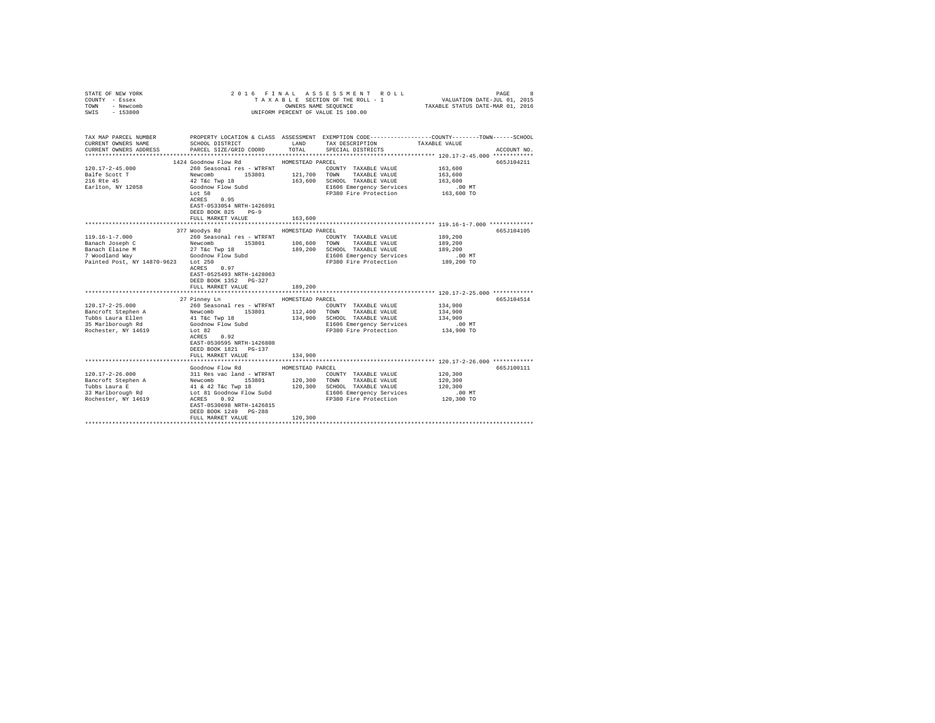| COUNTY - Essex<br>TOWN<br>- Newcomb<br>SWIS<br>$-153800$                                                            |                                                                                                                                                                                                                         | OWNERS NAME SEQUENCE                   | TAXABLE SECTION OF THE ROLL - 1 VALUATION DATE-JUL 01, 2015<br>UNIFORM PERCENT OF VALUE IS 100.00                                                             | TAXABLE STATUS DATE-MAR 01, 2016                        |             |
|---------------------------------------------------------------------------------------------------------------------|-------------------------------------------------------------------------------------------------------------------------------------------------------------------------------------------------------------------------|----------------------------------------|---------------------------------------------------------------------------------------------------------------------------------------------------------------|---------------------------------------------------------|-------------|
| TAX MAP PARCEL NUMBER<br>CURRENT OWNERS NAME<br>CURRENT OWNERS ADDRESS                                              | SCHOOL DISTRICT<br>PARCEL SIZE/GRID COORD                                                                                                                                                                               | LAND<br>TOTAL                          | PROPERTY LOCATION & CLASS ASSESSMENT EXEMPTION CODE---------------COUNTY-------TOWN------SCHOOL<br>TAX DESCRIPTION<br>SPECIAL DISTRICTS                       | TAXABLE VALUE                                           | ACCOUNT NO. |
|                                                                                                                     |                                                                                                                                                                                                                         |                                        |                                                                                                                                                               |                                                         |             |
| $120.17 - 2 - 45.000$<br>Balfe Scott T<br>216 Rte 45<br>Earlton, NY 12058                                           | 1424 Goodnow Flow Rd<br>260 Seasonal res - WTRFNT<br>121,700 TOWN 153801 121,700 TOWN<br>Newcomb<br>Newcomb 153801<br>42 T&c Twp 18<br>Goodnow Flow Subd<br>Lot 58<br>$0.95$ $\,$<br>ACRES<br>EAST-0533054 NRTH-1426891 | HOMESTEAD PARCEL                       | COUNTY TAXABLE VALUE<br>TAXABLE VALUE<br>163,600 SCHOOL TAXABLE VALUE<br>E1606 Emergency Services<br>FP380 Fire Protection                                    | 163,600<br>163,600<br>163,600<br>.00MT<br>163,600 TO    | 665J104211  |
|                                                                                                                     | DEED BOOK 825 PG-9                                                                                                                                                                                                      |                                        |                                                                                                                                                               |                                                         |             |
|                                                                                                                     | FULL MARKET VALUE                                                                                                                                                                                                       | 163,600                                |                                                                                                                                                               |                                                         | 665J104105  |
| $119.16 - 1 - 7.000$<br>Banach Joseph C<br>Banach Elaine M<br>7 Woodland Way<br>Painted Post, NY 14870-9623 Lot 250 | 377 Woodys Rd<br>260 Seasonal res - WTRFNT<br>Newcomb 153801<br>27 T&c Twp 18<br>Goodnow Flow Subd<br>22 Lot 250<br>ACRES 0.97<br>EAST-0525493 NRTH-1428063<br>DEED BOOK 1352 PG-327                                    | HOMESTEAD PARCEL<br>106,600<br>189,200 | COUNTY TAXABLE VALUE<br>TOWN<br>TAXABLE VALUE<br>SCHOOL TAXABLE VALUE<br>E1606 Emergency Services .00 MT<br>FP380 Fire Protection 189,200 TO                  | 189,200<br>189,200<br>189,200                           |             |
|                                                                                                                     | FULL MARKET VALUE                                                                                                                                                                                                       | 189,200                                |                                                                                                                                                               |                                                         |             |
| $120.17 - 2 - 25.000$<br>Bancroft Stephen A<br>Tubbs Laura Ellen<br>35 Marlborough Rd<br>Rochester, NY 14619        | 27 Pinney Ln<br>260 Seasonal res - WTRFNT<br>Lot 82<br>ACRES 0.92<br>EAST-0530595 NRTH-1426808<br>DEED BOOK 1821 PG-137<br>FULL MARKET VALUE                                                                            | HOMESTEAD PARCEL<br>134,900            | COUNTY TAXABLE VALUE<br>SCHOOL TAXABLE VALUE<br>E1606 Emergency Services<br>FP380 Fire Protection                                                             | 134,900<br>134,900<br>134,900<br>.00 MT<br>134,900 TO   | 665J104514  |
|                                                                                                                     |                                                                                                                                                                                                                         |                                        |                                                                                                                                                               |                                                         |             |
| 120.17-2-26.000<br>Example 2 153801<br>Tubbs Laura E 41 & 42 T&C Twp 18<br>33 Marlborough Rd<br>Rochester, NY 14619 | Goodnow Flow Rd<br>311 Res vac land - WTRFNT<br>Lot 81 Goodnow Flow Subd<br>ACRES 0.92<br>EAST-0530698 NRTH-1426815<br>DEED BOOK 1249 PG-288<br>FULL MARKET VALUE                                                       | HOMESTEAD PARCEL<br>120,300            | COUNTY TAXABLE VALUE<br>120,300 TOWN TAXABLE VALUE<br>120,300 SCHOOL TAXABLE VALUE<br>TOWN TAXABLE VALUE<br>E1606 Emergency Services<br>FP380 Fire Protection | 120,300<br>120,300<br>120,300<br>$.00$ MT<br>120,300 TO | 665J100111  |
|                                                                                                                     |                                                                                                                                                                                                                         |                                        |                                                                                                                                                               |                                                         |             |

STATE OF NEW YORK 2 0 1 6 F I N A L A S S E S S M E N T R O L L PAGE 8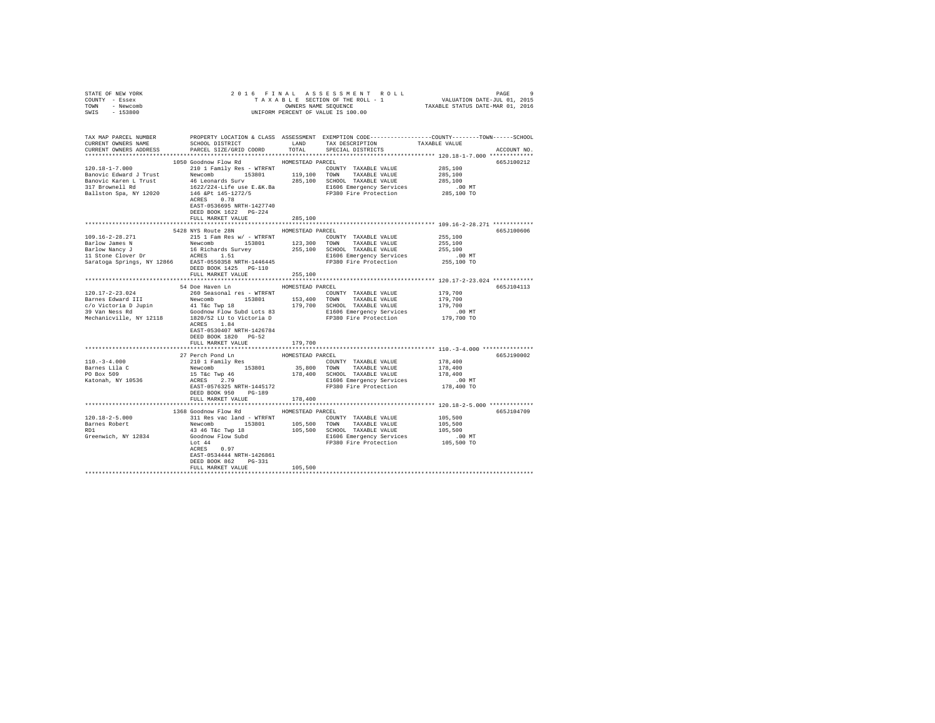| STATE OF NEW YORK<br>COUNTY - Essex<br>TOWN - Newcomb                                                                                                                                                                                                                                                                                                                                                                           |                                                                                      |                  |                                                                                                                                   |                                                                                                                                                                                                                |
|---------------------------------------------------------------------------------------------------------------------------------------------------------------------------------------------------------------------------------------------------------------------------------------------------------------------------------------------------------------------------------------------------------------------------------|--------------------------------------------------------------------------------------|------------------|-----------------------------------------------------------------------------------------------------------------------------------|----------------------------------------------------------------------------------------------------------------------------------------------------------------------------------------------------------------|
| SWIS - 153800                                                                                                                                                                                                                                                                                                                                                                                                                   |                                                                                      |                  |                                                                                                                                   |                                                                                                                                                                                                                |
| CURRENT OWNERS ADDRESS PARCEL SIZE/GRID COORD TOTAL SPECIAL DISTRICTS                                                                                                                                                                                                                                                                                                                                                           |                                                                                      |                  |                                                                                                                                   | TAX MAP PARCEL NUMBER PROPERTY LOCATION & CLASS ASSESSMENT EXEMPTION CODE---------------COUNTY-------TOWN------SCHOOL<br>CURRENT OWNERS NAME SCHOOL DISTRICT LAND TAX DESCRIPTION TAXABLE VALUE<br>ACCOUNT NO. |
|                                                                                                                                                                                                                                                                                                                                                                                                                                 |                                                                                      |                  |                                                                                                                                   |                                                                                                                                                                                                                |
|                                                                                                                                                                                                                                                                                                                                                                                                                                 | 1050 Goodnow Flow Rd MOMESTEAD PARCEL                                                |                  |                                                                                                                                   | 665J100212                                                                                                                                                                                                     |
|                                                                                                                                                                                                                                                                                                                                                                                                                                 |                                                                                      |                  |                                                                                                                                   |                                                                                                                                                                                                                |
|                                                                                                                                                                                                                                                                                                                                                                                                                                 |                                                                                      |                  |                                                                                                                                   |                                                                                                                                                                                                                |
|                                                                                                                                                                                                                                                                                                                                                                                                                                 |                                                                                      |                  |                                                                                                                                   |                                                                                                                                                                                                                |
|                                                                                                                                                                                                                                                                                                                                                                                                                                 |                                                                                      |                  |                                                                                                                                   |                                                                                                                                                                                                                |
|                                                                                                                                                                                                                                                                                                                                                                                                                                 | EAST-0536695 NRTH-1427740<br>DEED BOOK 1622 PG-224                                   |                  |                                                                                                                                   |                                                                                                                                                                                                                |
|                                                                                                                                                                                                                                                                                                                                                                                                                                 | FULL MARKET VALUE                                                                    | 285,100          |                                                                                                                                   |                                                                                                                                                                                                                |
|                                                                                                                                                                                                                                                                                                                                                                                                                                 | 5428 NYS Route 28N HOMESTEAD PARCEL                                                  |                  |                                                                                                                                   | 665J100606                                                                                                                                                                                                     |
| 109.16-2-28.271                                                                                                                                                                                                                                                                                                                                                                                                                 |                                                                                      |                  |                                                                                                                                   |                                                                                                                                                                                                                |
|                                                                                                                                                                                                                                                                                                                                                                                                                                 |                                                                                      |                  |                                                                                                                                   |                                                                                                                                                                                                                |
|                                                                                                                                                                                                                                                                                                                                                                                                                                 |                                                                                      |                  | COUNTY TAXABLE VALUE<br>TOWN TAXABLE VALUE 255,100<br>SCHOOL TAXABLE VALUE 255,100<br>E1606 Emergency Services 255,100<br>2.00 MT |                                                                                                                                                                                                                |
|                                                                                                                                                                                                                                                                                                                                                                                                                                 |                                                                                      |                  |                                                                                                                                   |                                                                                                                                                                                                                |
|                                                                                                                                                                                                                                                                                                                                                                                                                                 |                                                                                      |                  |                                                                                                                                   |                                                                                                                                                                                                                |
|                                                                                                                                                                                                                                                                                                                                                                                                                                 | DEED BOOK 1425 PG-110                                                                |                  |                                                                                                                                   |                                                                                                                                                                                                                |
|                                                                                                                                                                                                                                                                                                                                                                                                                                 | FULL MARKET VALUE                                                                    | 255,100          |                                                                                                                                   |                                                                                                                                                                                                                |
|                                                                                                                                                                                                                                                                                                                                                                                                                                 |                                                                                      |                  |                                                                                                                                   |                                                                                                                                                                                                                |
|                                                                                                                                                                                                                                                                                                                                                                                                                                 | 54 Doe Haven Ln                                                                      | HOMESTEAD PARCEL |                                                                                                                                   | 665J104113<br>179,700<br>179,700<br>179,700                                                                                                                                                                    |
|                                                                                                                                                                                                                                                                                                                                                                                                                                 |                                                                                      |                  |                                                                                                                                   |                                                                                                                                                                                                                |
|                                                                                                                                                                                                                                                                                                                                                                                                                                 |                                                                                      |                  |                                                                                                                                   |                                                                                                                                                                                                                |
|                                                                                                                                                                                                                                                                                                                                                                                                                                 |                                                                                      |                  |                                                                                                                                   |                                                                                                                                                                                                                |
| $\begin{tabular}{l c c c c c c c c} \hline & 120.17-2-23.024 & \multicolumn{3}{c }{20.838800a1} res & \multicolumn{3}{c }{\small{two-6}} & \multicolumn{3}{c }{\small{two-6}} & \multicolumn{3}{c }{\small{two-6}} & \multicolumn{3}{c }{\small{two-6}} & \multicolumn{3}{c }{\small{two-6}} & \multicolumn{3}{c }{\small{two-6}} & \multicolumn{3}{c }{\small{two-6}} & \multicolumn{3}{c }{\small{two-6}} & \multicolumn{3}{$ |                                                                                      |                  |                                                                                                                                   |                                                                                                                                                                                                                |
|                                                                                                                                                                                                                                                                                                                                                                                                                                 | ACRES 1.84<br>EAST-0530407 NRTH-1426784<br>DEED BOOK 1820 PG-52<br>FULL MARKET VALUE |                  |                                                                                                                                   |                                                                                                                                                                                                                |
|                                                                                                                                                                                                                                                                                                                                                                                                                                 |                                                                                      | 179,700          |                                                                                                                                   |                                                                                                                                                                                                                |
|                                                                                                                                                                                                                                                                                                                                                                                                                                 |                                                                                      |                  |                                                                                                                                   | 665J190002                                                                                                                                                                                                     |
|                                                                                                                                                                                                                                                                                                                                                                                                                                 |                                                                                      |                  |                                                                                                                                   |                                                                                                                                                                                                                |
|                                                                                                                                                                                                                                                                                                                                                                                                                                 |                                                                                      |                  |                                                                                                                                   |                                                                                                                                                                                                                |
|                                                                                                                                                                                                                                                                                                                                                                                                                                 |                                                                                      |                  |                                                                                                                                   |                                                                                                                                                                                                                |
|                                                                                                                                                                                                                                                                                                                                                                                                                                 |                                                                                      |                  |                                                                                                                                   |                                                                                                                                                                                                                |
|                                                                                                                                                                                                                                                                                                                                                                                                                                 |                                                                                      |                  |                                                                                                                                   |                                                                                                                                                                                                                |
|                                                                                                                                                                                                                                                                                                                                                                                                                                 | FULL MARKET VALUE                                                                    | 178,400          |                                                                                                                                   |                                                                                                                                                                                                                |
|                                                                                                                                                                                                                                                                                                                                                                                                                                 |                                                                                      |                  |                                                                                                                                   |                                                                                                                                                                                                                |
|                                                                                                                                                                                                                                                                                                                                                                                                                                 | 1368 Goodnow Flow Rd                                                                 | HOMESTEAD PARCEL |                                                                                                                                   | 665J104709                                                                                                                                                                                                     |
| $120.18 - 2 - 5.000$                                                                                                                                                                                                                                                                                                                                                                                                            |                                                                                      |                  | 311 Res vac land - WTRFNT COUNTY TAXABLE VALUE 105,500                                                                            |                                                                                                                                                                                                                |
|                                                                                                                                                                                                                                                                                                                                                                                                                                 |                                                                                      |                  |                                                                                                                                   |                                                                                                                                                                                                                |
|                                                                                                                                                                                                                                                                                                                                                                                                                                 |                                                                                      |                  |                                                                                                                                   |                                                                                                                                                                                                                |
|                                                                                                                                                                                                                                                                                                                                                                                                                                 |                                                                                      |                  |                                                                                                                                   |                                                                                                                                                                                                                |
|                                                                                                                                                                                                                                                                                                                                                                                                                                 |                                                                                      |                  |                                                                                                                                   |                                                                                                                                                                                                                |
| $\begin{tabular}{l c c c c c c c c} \multicolumn{3}{c c c c} \multicolumn{3}{c c c} \multicolumn{3}{c c c} \multicolumn{3}{c c c} \multicolumn{3}{c c c} \multicolumn{3}{c c c} \multicolumn{3}{c c c} \multicolumn{3}{c c c} \multicolumn{3}{c c c} \multicolumn{3}{c c c} \multicolumn{3}{c c c} \multicolumn{3}{c c c} \multicolumn{3}{c c c} \multicolumn{3}{c c c} \multicolumn{3}{c c c$                                  |                                                                                      |                  |                                                                                                                                   |                                                                                                                                                                                                                |
|                                                                                                                                                                                                                                                                                                                                                                                                                                 | EAST-0534444 NRTH-1426861<br>DEED BOOK 862 PG-331                                    |                  |                                                                                                                                   |                                                                                                                                                                                                                |
|                                                                                                                                                                                                                                                                                                                                                                                                                                 | FULL MARKET VALUE                                                                    | 105,500          |                                                                                                                                   |                                                                                                                                                                                                                |
|                                                                                                                                                                                                                                                                                                                                                                                                                                 |                                                                                      |                  |                                                                                                                                   |                                                                                                                                                                                                                |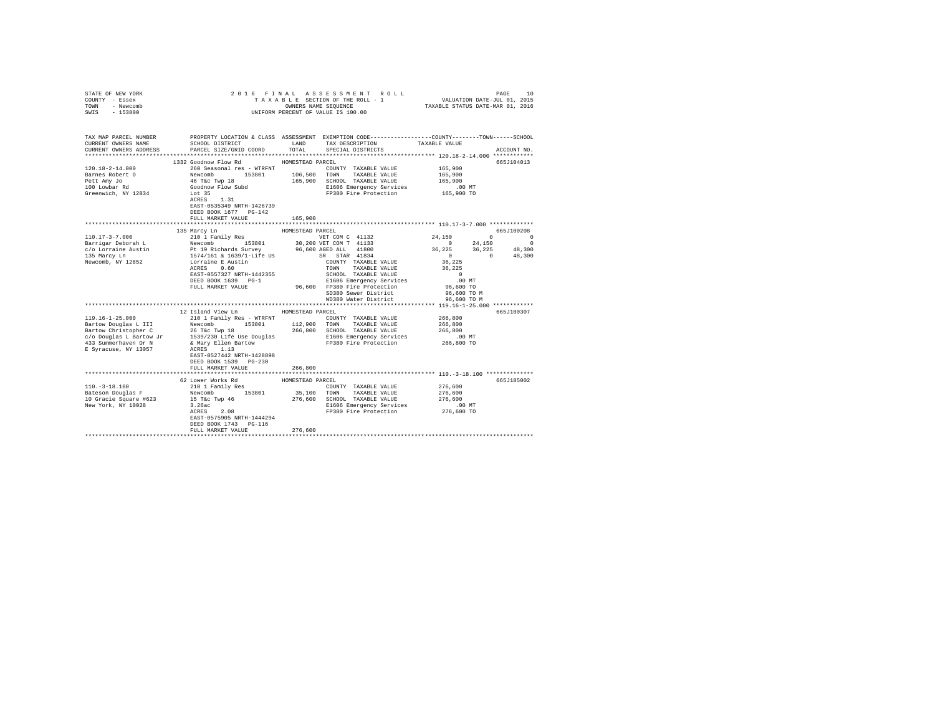| COUNTY - Essex<br>TOWN<br>- Newcomb<br>SWIS<br>$-153800$                                                                                                                 |                                                                                                                                                                                                                                                                                                | TAXABLE SECTION OF THE ROLL - 1 VALUATION DATE-JUL 01, 2015<br>OWNERS NAME SEQUENCE<br>UNIFORM PERCENT OF VALUE IS 100.00                                                                                                                                                                                                                                                          | TAXABLE STATUS DATE-MAR 01, 2016                                                                                                                                                                                                                                                                       |
|--------------------------------------------------------------------------------------------------------------------------------------------------------------------------|------------------------------------------------------------------------------------------------------------------------------------------------------------------------------------------------------------------------------------------------------------------------------------------------|------------------------------------------------------------------------------------------------------------------------------------------------------------------------------------------------------------------------------------------------------------------------------------------------------------------------------------------------------------------------------------|--------------------------------------------------------------------------------------------------------------------------------------------------------------------------------------------------------------------------------------------------------------------------------------------------------|
| TAX MAP PARCEL NUMBER<br>CURRENT OWNERS NAME<br>CURRENT OWNERS ADDRESS                                                                                                   | SCHOOL DISTRICT<br>PARCEL SIZE/GRID COORD                                                                                                                                                                                                                                                      | PROPERTY LOCATION & CLASS ASSESSMENT EXEMPTION CODE---------------COUNTY-------TOWN------SCHOOL<br>LAND<br>TAX DESCRIPTION<br>TOTAL<br>SPECIAL DISTRICTS                                                                                                                                                                                                                           | TAXABLE VALUE<br>ACCOUNT NO.                                                                                                                                                                                                                                                                           |
| $120.18 - 2 - 14.000$<br>Barnes Robert O<br>Pett Amy Jo<br>100 Lowbar Rd<br>Greenwich, NY 12834                                                                          | 1332 Goodnow Flow Rd<br>260 Seasonal res - WTRFNT<br>Newcomb 153801 106,500<br>46 T&c Twp 18 165,900<br>Goodnow Flow Subd<br>Lot 35<br>ACRES 1.31<br>EAST-0535349 NRTH-1426739<br>DEED BOOK 1677 PG-142<br>FULL MARKET VALUE                                                                   | HOMESTEAD PARCEL<br>COUNTY TAXABLE VALUE<br>TOWN TAXABLE VALUE<br>165,900 SCHOOL TAXABLE VALUE<br>E1606 Emergency Services<br>FP380 Fire Protection<br>165,900                                                                                                                                                                                                                     | 665J104013<br>165,900<br>165,900<br>165,900<br>.00 MT<br>165,900 TO                                                                                                                                                                                                                                    |
|                                                                                                                                                                          |                                                                                                                                                                                                                                                                                                |                                                                                                                                                                                                                                                                                                                                                                                    |                                                                                                                                                                                                                                                                                                        |
|                                                                                                                                                                          | 135 Marcy Ln                                                                                                                                                                                                                                                                                   | HOMESTEAD PARCEL                                                                                                                                                                                                                                                                                                                                                                   | 665J100208                                                                                                                                                                                                                                                                                             |
| $110.17 - 3 - 7.000$<br>$119.16 - 1 - 25.000$<br>Bartow Douglas L III<br>Bartow Christopher C<br>c/o Douglas L Bartow Jr<br>433 Summerhaven Dr N<br>E Syracuse, NY 13057 | 210 1 Family Res<br>Lorraine E Austin<br>ACRES 0.60<br>EAST-0557327 NRTH-1442355<br>DEED BOOK 1639 PG-1<br>FULL MARKET VALUE<br>12 Island View Ln<br>210 1 Family Res - WTRFNT<br>Newcomb<br>153801<br>& Mary Ellen Bartow<br>ACRES 1.13<br>EAST-0527442 NRTH-1428898<br>DEED BOOK 1539 PG-230 | VET COM C 41132<br>TOWN TAXABLE VALUE<br>SCHOOL TAXABLE VALUE<br>E1606 Emergency Services<br>96,600 FP380 Fire Protection<br>SD380 Sewer District<br>WD380 Water District<br>HOMESTEAD PARCEL<br>COUNTY TAXABLE VALUE<br>112,900 TOWN TAXABLE VALUE<br>26 T&C Twp 18<br>1539/230 Life Use Douglas<br>1539/230 Life Use Douglas<br>1606 Emergency Services<br>FP380 Fire Protection | 24,150<br>$\begin{array}{ccc} & & 0 & & & 0 \end{array}$<br>$\sim$ 0<br>24,150<br>$\Omega$<br>$36,225$ $36,225$ $48,300$<br>0 0 $48,300$<br>36,225<br>36,225<br>$\sim$ 0<br>$.00$ MT<br>96,600 TO<br>96,600 TO M<br>96,600 TO M<br>665J100307<br>266,800<br>266,800<br>266,800<br>.00 MT<br>266,800 TO |
|                                                                                                                                                                          | FULL MARKET VALUE                                                                                                                                                                                                                                                                              | 266,800                                                                                                                                                                                                                                                                                                                                                                            |                                                                                                                                                                                                                                                                                                        |
| $110. -3 - 18.100$<br>Bateson Douglas F<br>10 Gracie Square #623<br>New York, NY 10028                                                                                   | 62 Lower Works Rd<br>210 1 Family Res<br>Newcomb 153801<br>15 T&c Twp 46 276,6<br>3.26ac<br>ACRES 2.08<br>EAST-0575905 NRTH-1444294<br>DEED BOOK 1743 PG-116<br>FULL MARKET VALUE                                                                                                              | HOMESTEAD PARCEL<br>COUNTY TAXABLE VALUE<br>35,100 TOWN TAXABLE VALUE<br>276,600<br>SCHOOL TAXABLE VALUE<br>E1606 Emergency Services<br>FP380 Fire Protection<br>276,600                                                                                                                                                                                                           | 665J185002<br>276,600<br>276,600<br>276,600<br>.00 MT<br>276,600 TO                                                                                                                                                                                                                                    |

STATE OF NEW YORK 2 0 1 6 F I N A L A S S E S S M E N T R O L L PAGE 10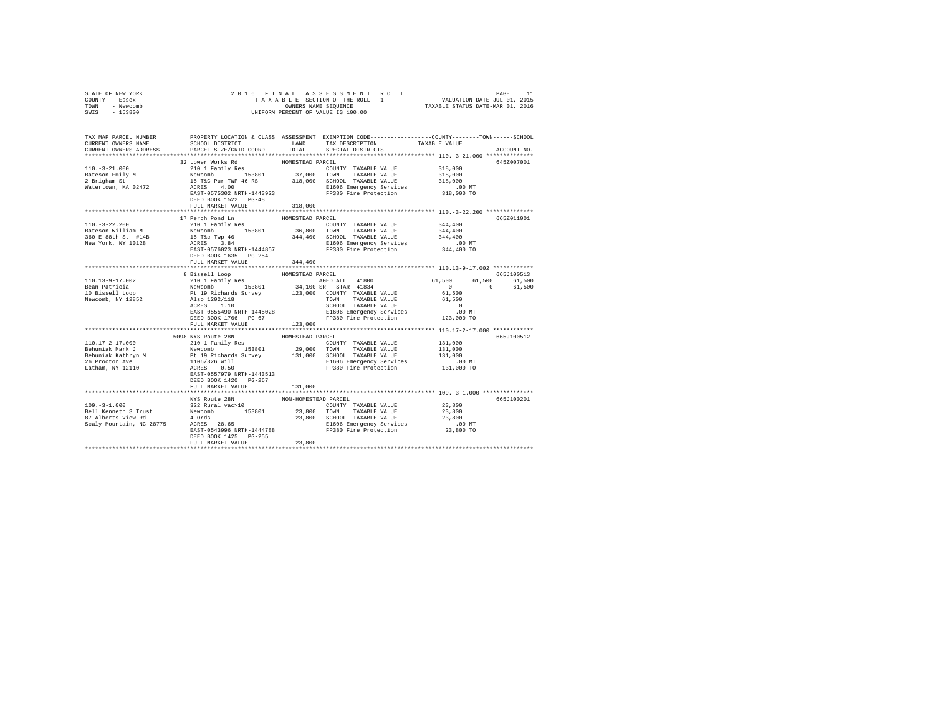| COUNTY - Essex<br>TOWN - Newcomb<br>SWIS - 153800 |                                                                                                                                                                                                                                                                                                                        |                                | UNIFORM PERCENT OF VALUE IS 100.00 |         |             |     |     |     |      |         |     |     |     |     |     |     |     |     |     |     |     |     |                             |                      |         |            |
|---------------------------------------------------|------------------------------------------------------------------------------------------------------------------------------------------------------------------------------------------------------------------------------------------------------------------------------------------------------------------------|--------------------------------|------------------------------------|---------|-------------|-----|-----|-----|------|---------|-----|-----|-----|-----|-----|-----|-----|-----|-----|-----|-----|-----|-----------------------------|----------------------|---------|------------|
| CURRENT OWNERS NAME<br>CURRENT OWNERS ADDRESS     | TAX MAP PARCEL NUMBER PROPERTY LOCATION & CLASS ASSESSMENT EXEMPTION CODE--------------COUNTY-------TOWN-----SCHOOL<br>SCHOOL DISTRICT                       LAND        TAX DESCRIPTION                  TAXABLE VALUE<br>PARCEL SIZE/GRID COORD                                                                      | TOTAL                          | SPECIAL DISTRICTS                  |         | ACCOUNT NO. |     |     |     |      |         |     |     |     |     |     |     |     |     |     |     |     |     |                             |                      |         |            |
| $110.-3-21.000$                                   | 32 Lower Works Rd<br>210 1 Family Res<br>$\n\n\n100.-5-21.000\n210\n240\n240\n240\n240\n240\n\n\n1010\n237.000\n250\n240\n240\n240\n240\n240\n240\n240\n240\n240\n240\n240\nDEED BOOK 1522 PG-48FULL MARKET VALUE$                                                                                                     | 100.-5-21.000                  | 210                                | 240     | 240         | 240 | 240 | 240 | 1010 | 237.000 | 250 | 240 | 240 | 240 | 240 | 240 | 240 | 240 | 240 | 240 | 240 | 240 | HOMESTEAD PARCEL<br>318,000 | COUNTY TAXABLE VALUE | 318,000 | 645Z007001 |
| 100.-5-21.000                                     | 210                                                                                                                                                                                                                                                                                                                    | 240                            | 240                                | 240     | 240         | 240 |     |     |      |         |     |     |     |     |     |     |     |     |     |     |     |     |                             |                      |         |            |
| 1010                                              | 237.000                                                                                                                                                                                                                                                                                                                | 250                            | 240                                | 240     | 240         | 240 | 240 | 240 | 240  | 240     | 240 | 240 | 240 |     |     |     |     |     |     |     |     |     |                             |                      |         |            |
|                                                   |                                                                                                                                                                                                                                                                                                                        |                                |                                    |         |             |     |     |     |      |         |     |     |     |     |     |     |     |     |     |     |     |     |                             |                      |         |            |
| $110. - 3 - 22.200$                               | 17 Perch Pond Ln MOMESTEAD PARCEL<br>210 1 Family Res<br>Pattern William M Mewcomb 153801 36,800 TOWN TAXABLE VALUE 344,400<br>360 TOWN TAXABLE VALUE 344,400<br>360 TOWN TAXABLE VALUE 344,400<br>360 E 88th St #14B 15 Tac Twp 46<br>New York, NY 10128 ACRES 3.84<br>REST -0576023 NRTH-144485<br>FULL MARKET VALUE | 344,400                        | COUNTY TAXABLE VALUE               | 344,400 | 665Z011001  |     |     |     |      |         |     |     |     |     |     |     |     |     |     |     |     |     |                             |                      |         |            |
|                                                   |                                                                                                                                                                                                                                                                                                                        |                                |                                    |         |             |     |     |     |      |         |     |     |     |     |     |     |     |     |     |     |     |     |                             |                      |         |            |
|                                                   | 3 Bissell Loop<br>8 Bissell Loop<br>2010 1 Family Res (1,500 1,500 61,500 61,500 61,500 61,500 61,500 61,500 61,500 61,500 6653100513<br>10 Bissell Loop<br>2010 Pewcomb 153801 34,100 SR STAR 41834<br>10 Bissell Loop<br>2010 Per Line (<br>FULL MARKET VALUE                                                        | 123,000                        |                                    |         |             |     |     |     |      |         |     |     |     |     |     |     |     |     |     |     |     |     |                             |                      |         |            |
|                                                   | ****************************                                                                                                                                                                                                                                                                                           |                                |                                    |         |             |     |     |     |      |         |     |     |     |     |     |     |     |     |     |     |     |     |                             |                      |         |            |
|                                                   | 5098 NYS Route 28N<br>DEED BOOK 1420 PG-267<br>FULL MARKET VALUE                                                                                                                                                                                                                                                       | HOMESTEAD PARCEL<br>131,000    |                                    |         | 665J100512  |     |     |     |      |         |     |     |     |     |     |     |     |     |     |     |     |     |                             |                      |         |            |
|                                                   |                                                                                                                                                                                                                                                                                                                        |                                |                                    |         |             |     |     |     |      |         |     |     |     |     |     |     |     |     |     |     |     |     |                             |                      |         |            |
|                                                   | NYS Route 28N<br>FULL MARKET VALUE                                                                                                                                                                                                                                                                                     | NON-HOMESTEAD PARCEL<br>23,800 |                                    |         | 665J100201  |     |     |     |      |         |     |     |     |     |     |     |     |     |     |     |     |     |                             |                      |         |            |
|                                                   |                                                                                                                                                                                                                                                                                                                        |                                |                                    |         |             |     |     |     |      |         |     |     |     |     |     |     |     |     |     |     |     |     |                             |                      |         |            |

STATE OF NEW YORK 2 0 1 6 F I N A L A S S E S S M E N T R O L L PAGE 11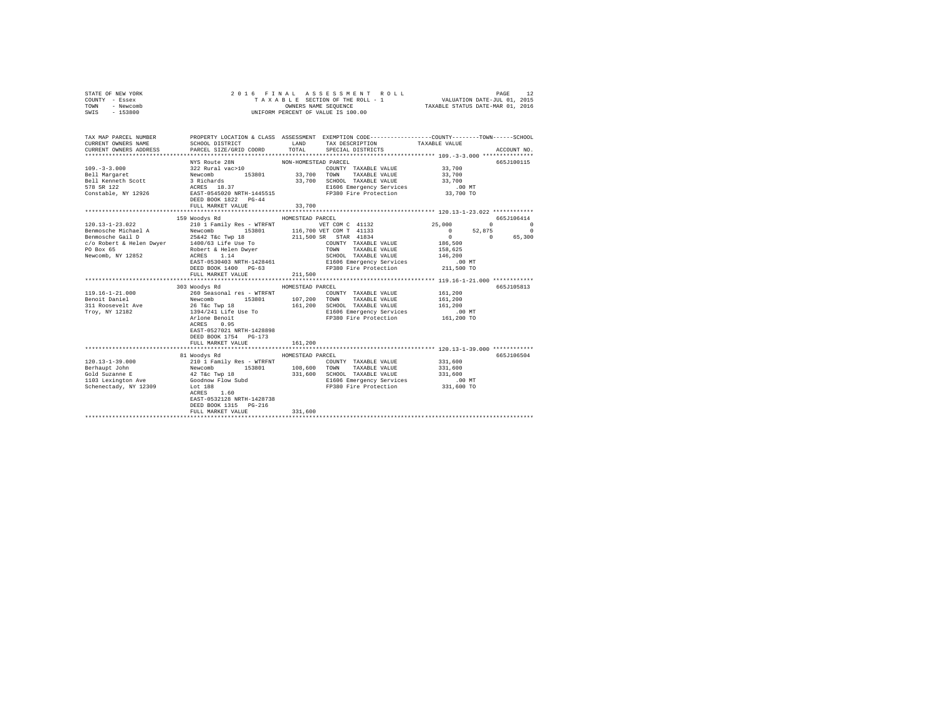| STATE OF NEW YORK<br>COUNTY - Essex<br>TOWN - Newcomb<br>SWIS - 153800                                                                                                 |                                                                                                                                                                                                                                            |                                                            | UNIFORM PERCENT OF VALUE IS 100.00                                                                                                                                                |                                                                                                                                                                                        |                                                                                                                                      |
|------------------------------------------------------------------------------------------------------------------------------------------------------------------------|--------------------------------------------------------------------------------------------------------------------------------------------------------------------------------------------------------------------------------------------|------------------------------------------------------------|-----------------------------------------------------------------------------------------------------------------------------------------------------------------------------------|----------------------------------------------------------------------------------------------------------------------------------------------------------------------------------------|--------------------------------------------------------------------------------------------------------------------------------------|
| TAX MAP PARCEL NUMBER PROPERTY LOCATION & CLASS ASSESSMENT EXEMPTION CODE---------------COUNTY-------TOWN------SCHOOL<br>CURRENT OWNERS NAME<br>CURRENT OWNERS ADDRESS | SCHOOL DISTRICT                     LAND        TAX DESCRIPTION                  TAXABLE VALUE<br>PARCEL SIZE/GRID COORD TOTAL SPECIAL DISTRICTS                                                                                           |                                                            |                                                                                                                                                                                   |                                                                                                                                                                                        | ACCOUNT NO.                                                                                                                          |
|                                                                                                                                                                        | FULL MARKET VALUE                                                                                                                                                                                                                          | 33,700                                                     | COUNTY TAXABLE VALUE 33,700<br>E1606 Emergency Services .00 MT<br>FP380 Fire Protection 33,700 TO                                                                                 | 33,700<br>33,700                                                                                                                                                                       | 665J100115                                                                                                                           |
|                                                                                                                                                                        |                                                                                                                                                                                                                                            |                                                            |                                                                                                                                                                                   |                                                                                                                                                                                        |                                                                                                                                      |
| $119.16 - 1 - 21.000$<br>Benoit Daniel<br>311 Roosevelt Ave<br>Troy, NY 12182                                                                                          | 159 Woodys Rd<br>EAST-0530403 NRTH-1428461<br>DEED BOOK 1400 PG-63<br>FULL MARKET VALUE<br>303 Woodys Rd<br>1394/241 Life Use To<br>Arlone Benoit<br>ACRES 0.95<br>EAST-0527021 NRTH-1428898<br>DEED BOOK 1754 PG-173<br>FULL MARKET VALUE | HOMESTEAD PARCEL<br>211,500<br>HOMESTEAD PARCEL<br>161,200 | SCHOOL TAXABLE VALUE 146,200<br>E1606 Emergency Services<br>FP380 Fire Protection 211,500 TO<br>161,200 SCHOOL TAXABLE VALUE<br>E1606 Emergency Services<br>FP380 Fire Protection | 25,000<br>$\sim$ 0.000 $\sim$ 0.000 $\sim$ 0.000 $\sim$ 0.000 $\sim$ 0.000 $\sim$<br>186,500<br>158,625<br>$.00$ MT<br>161,200<br>161,200<br>161,200<br>$.00 \text{ MT}$<br>161,200 TO | 665J106414<br>$\begin{array}{ccc}\n0 & & & 0\n\end{array}$<br>52,875<br>$\overline{\phantom{0}}$<br>$0 \t 0 \t 65,300$<br>665J105813 |
|                                                                                                                                                                        |                                                                                                                                                                                                                                            |                                                            |                                                                                                                                                                                   |                                                                                                                                                                                        |                                                                                                                                      |
| 120.13-1-39.000                                                                                                                                                        | 81 Woodys Rd<br>$ACRES$ 1.60<br>EAST-0532128 NRTH-1428738<br>DEED BOOK 1315 PG-216<br>FULL MARKET VALUE                                                                                                                                    | HOMESTEAD PARCEL<br>331,600                                |                                                                                                                                                                                   |                                                                                                                                                                                        | 665J106504                                                                                                                           |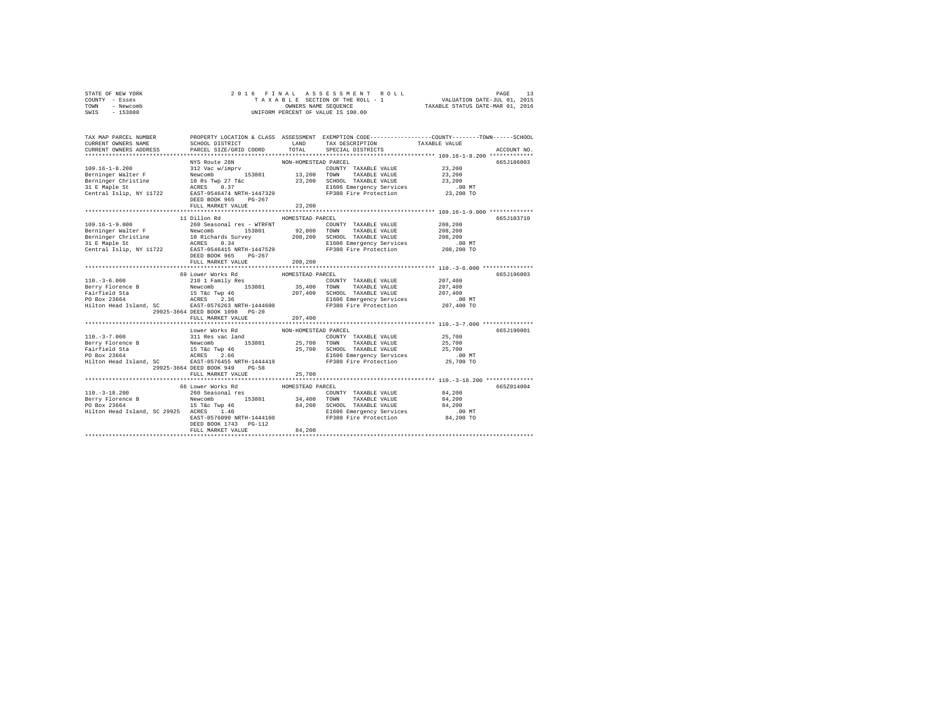| STATE OF NEW YORK | 2016 FINAL ASSESSMENT ROLL         | PAGE                             |
|-------------------|------------------------------------|----------------------------------|
| COUNTY - Essex    | TAXABLE SECTION OF THE ROLL - 1    | VALUATION DATE-JUL 01, 2015      |
| TOWN<br>- Newcomb | OWNERS NAME SEOUENCE               | TAXABLE STATUS DATE-MAR 01, 2016 |
| - 153800<br>SWIS  | UNIFORM PERCENT OF VALUE IS 100.00 |                                  |

| TAX MAP PARCEL NUMBER<br>CURRENT OWNERS NAME | PROPERTY LOCATION & CLASS ASSESSMENT EXEMPTION CODE---------------COUNTY-------TOWN-----SCHOOL<br>LAND<br>SCHOOL DISTRICT<br>CURRENT OWNERS ADDRESS PARCEL SIZE/GRID COORD                                                                                                                                                                 | TOTAL                          | TAX DESCRIPTION TAXABLE VALUE<br>SPECIAL DISTRICTS                                                                                                                                                                                                                                |                                                                            | ACCOUNT NO. |
|----------------------------------------------|--------------------------------------------------------------------------------------------------------------------------------------------------------------------------------------------------------------------------------------------------------------------------------------------------------------------------------------------|--------------------------------|-----------------------------------------------------------------------------------------------------------------------------------------------------------------------------------------------------------------------------------------------------------------------------------|----------------------------------------------------------------------------|-------------|
|                                              | NYS Route 28N<br>FULL MARKET VALUE                                                                                                                                                                                                                                                                                                         | NON-HOMESTEAD PARCEL<br>23,200 | COUNTY TAXABLE VALUE<br>TAXABLE VALUE 23,200<br>23,200 SCHOOL TAXABLE VALUE 23,200 PERSON MARINE 23,200 PERSON MARINE 23,200 PERSON PRESON PRESON PRESON PRESON<br>FR380 PERSON PRESON PRESON PRESON PRESON PRESON PRESON PRESON PRESON PRESON PRESON PRESON PRESON PRESON PRESON | 23,200<br>*********************************** 109.16-1-9.000 ************* | 665J186003  |
|                                              | DEED BOOK 965 PG-267<br>FULL MARKET VALUE                                                                                                                                                                                                                                                                                                  | 208,200                        |                                                                                                                                                                                                                                                                                   | ********************************** 110.-3-6.000 *****************          | 665J103710  |
| $110 - 3 - 6.000$                            | 69 Lower Works Rd<br>$\begin{tabular}{lcccccc} 210 & 1 & Family & Res & & & \text{COUNTY} & TAXABLE & VALUE \\ \text{Newton} & & 153801 & & 35,400 & Town & TAXABLE & VALUE \\ \end{tabular}$<br>Hilton Head Island, SC BAST-0576263 NRTH-1444600 FP380 Fire Protection 207,400 TO<br>29925-3664 DEED BOOK 1098 PG-20<br>FULL MARKET VALUE | HOMESTEAD PARCEL<br>207,400    | $\verb COUNTY TAXABLE VALUE 207,400 \\$                                                                                                                                                                                                                                           |                                                                            | 665J196003  |
|                                              | Lower Works Rd<br>29925-3664 DEED BOOK 949 PG-58<br>FULL MARKET VALUE                                                                                                                                                                                                                                                                      | NON-HOMESTEAD PARCEL<br>25,700 |                                                                                                                                                                                                                                                                                   |                                                                            | 665J190001  |
| $110. -3 - 18.200$                           | 66 Lower Works Rd<br>260 Seasonal res<br>DEED BOOK 1743    PG-112<br>FULL MARKET VALUE                                                                                                                                                                                                                                                     | HOMESTEAD PARCEL<br>84,200     | COUNTY TAXABLE VALUE 84,200                                                                                                                                                                                                                                                       |                                                                            | 665Z014004  |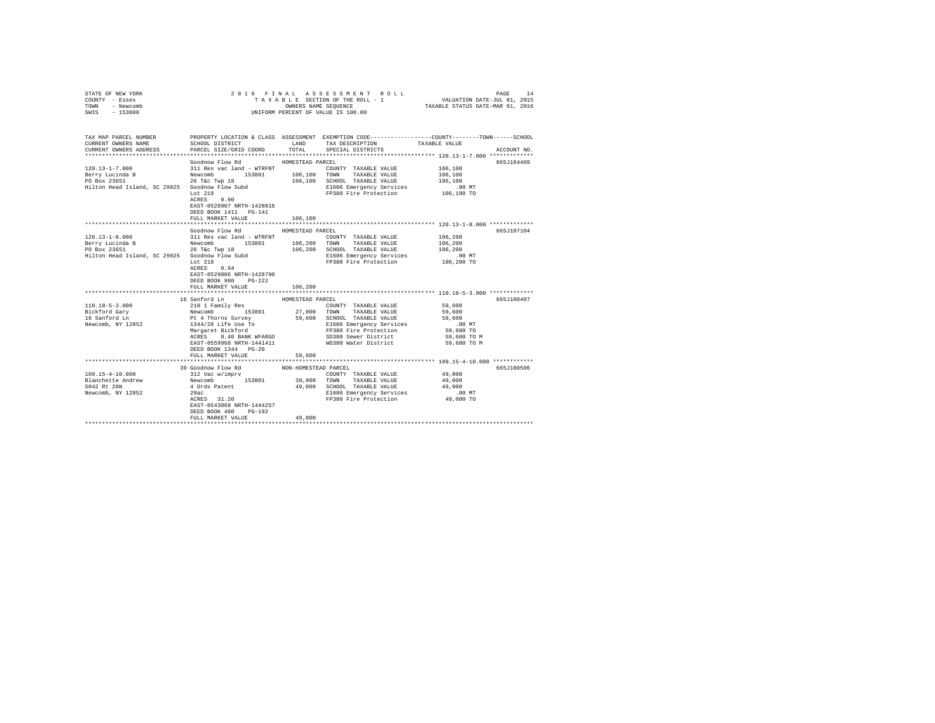| STATE OF NEW YORK<br>COUNTY - Essex<br>TOWN - Newcomb<br>SWIS - 153800 |                                                                                                     |                      | 2016 FINAL ASSESSMENT ROLL<br>TAXABLE SECTION OF THE ROLL - 1 VALUATION DATE-JUL 01, 2015<br>CONNERS NAME SEQUENCE<br>UNIFORM PERCENT OF VALUE IS 100.00 |             | PAGE<br>14  |
|------------------------------------------------------------------------|-----------------------------------------------------------------------------------------------------|----------------------|----------------------------------------------------------------------------------------------------------------------------------------------------------|-------------|-------------|
|                                                                        |                                                                                                     |                      |                                                                                                                                                          |             |             |
| TAX MAP PARCEL NUMBER<br>CURRENT OWNERS NAME                           | SCHOOL DISTRICT                                                                                     |                      | PROPERTY LOCATION & CLASS ASSESSMENT EXEMPTION CODE----------------COUNTY-------TOWN------SCHOOL<br>LAND TAX DESCRIPTION TAXABLE VALUE                   |             |             |
| CURRENT OWNERS ADDRESS                                                 | PARCEL SIZE/GRID COORD                                                                              | TOTAL                | SPECIAL DISTRICTS                                                                                                                                        |             | ACCOUNT NO. |
|                                                                        | Goodnow Flow Rd                                                                                     | HOMESTEAD PARCEL     |                                                                                                                                                          |             | 665J104409  |
| $120.13 - 1 - 7.000$                                                   | 311 Res vac land - WTRFNT                                                                           |                      | COUNTY TAXABLE VALUE                                                                                                                                     | 106,100     |             |
| Berry Lucinda B                                                        |                                                                                                     |                      |                                                                                                                                                          | 106,100     |             |
| PO Box 23651                                                           | Newcomb 153801 106,100 TOWN TAXABLE VALUE<br>26 T&c Twp 18 106,100 SCHOOL TAXABLE VALUE             |                      |                                                                                                                                                          | 106,100     |             |
| Hilton Head Island, SC 29925 Goodnow Flow Subd                         |                                                                                                     |                      | E1606 Emergency Services                                                                                                                                 | .00 MT      |             |
|                                                                        | Let 219                                                                                             |                      | FP380 Fire Protection                                                                                                                                    | 106,100 TO  |             |
|                                                                        | ACRES 0.90                                                                                          |                      |                                                                                                                                                          |             |             |
|                                                                        | EAST-0528907 NRTH-1428816                                                                           |                      |                                                                                                                                                          |             |             |
|                                                                        | DEED BOOK 1411 PG-141                                                                               |                      |                                                                                                                                                          |             |             |
|                                                                        | FULL MARKET VALUE                                                                                   | 106,100              |                                                                                                                                                          |             |             |
|                                                                        | Goodnow Flow Rd                                                                                     | HOMESTEAD PARCEL     |                                                                                                                                                          |             | 665J107104  |
| $120.13 - 1 - 8.000$                                                   | 311 Res vac land - WTRFNT                                                                           |                      | COUNTY TAXABLE VALUE 106,200                                                                                                                             |             |             |
|                                                                        | Newcomb                                                                                             |                      | 153801   106,200   TOWN   TAXABLE VALUE                                                                                                                  | 106,200     |             |
| 120.15-1<br>Berry Lucinda B                                            | 26 T&c Twp 18                                                                                       |                      |                                                                                                                                                          | 106,200     |             |
| Hilton Head Island, SC 29925 Goodnow Flow Subd                         |                                                                                                     |                      | 106,200 SCHOOL TAXABLE VALUE<br>E1606 Emergency Services                                                                                                 | .00 MT      |             |
|                                                                        | Lot $218$                                                                                           |                      | FP380 Fire Protection 106,200 TO                                                                                                                         |             |             |
|                                                                        | ACRES 0.94                                                                                          |                      |                                                                                                                                                          |             |             |
|                                                                        | EAST-0529006 NRTH-1428790                                                                           |                      |                                                                                                                                                          |             |             |
|                                                                        | DEED BOOK 980 PG-222                                                                                |                      |                                                                                                                                                          |             |             |
|                                                                        | FULL MARKET VALUE                                                                                   | 106,200              |                                                                                                                                                          |             |             |
|                                                                        | 16 Sanford Ln                                                                                       | HOMESTEAD PARCEL     |                                                                                                                                                          |             | 665J100407  |
| $110.18 - 5 - 3.000$                                                   | 210 1 Family Res                                                                                    |                      | COUNTY TAXABLE VALUE                                                                                                                                     | 59,600      |             |
|                                                                        | x<br>Newcomb 153801 27,000<br>Pt 4 Thorns Survey 59,600<br>1344/20 Life Use To<br>Margaret Bickford |                      | 27,000 TOWN TAXABLE VALUE                                                                                                                                | 59,600      |             |
| Bickford Gary<br>16 Sanford Ln                                         |                                                                                                     |                      | 59,600 SCHOOL TAXABLE VALUE                                                                                                                              | 59,600      |             |
| Newcomb, NY 12852                                                      |                                                                                                     |                      |                                                                                                                                                          | $.00$ MT    |             |
|                                                                        |                                                                                                     |                      | E1606 Emergency Services<br>FP380 Fire Protection                                                                                                        | 59,600 TO   |             |
|                                                                        | ACRES 0.40 BANK WFARGO                                                                              |                      | SD380 Sewer District                                                                                                                                     | 59,600 TO M |             |
|                                                                        |                                                                                                     |                      | EAST-0559968 NRTH-1441411 WD380 Water District                                                                                                           | 59,600 TO M |             |
|                                                                        | DEED BOOK 1344 PG-20                                                                                |                      |                                                                                                                                                          |             |             |
|                                                                        | FULL MARKET VALUE                                                                                   | 59,600               |                                                                                                                                                          |             |             |
|                                                                        |                                                                                                     |                      |                                                                                                                                                          |             |             |
| 109.15-4-10.000                                                        | 39 Goodnow Flow Rd<br>312 Vac w/imprv                                                               | NON-HOMESTEAD PARCEL | COUNTY TAXABLE VALUE                                                                                                                                     | 49,000      | 665J100506  |
| Blanchette Andrew Newcomb 153801 39,900 TOWN TAXABLE VALUE             |                                                                                                     |                      |                                                                                                                                                          | 49,000      |             |
| 5042 Rt 28N                                                            | 4 Ords Patent                                                                                       |                      | 49,000 SCHOOL TAXABLE VALUE                                                                                                                              | 49,000      |             |
| Newcomb, NY 12852                                                      | 29ac                                                                                                |                      |                                                                                                                                                          |             |             |
|                                                                        | $ACRES$ 31.20                                                                                       |                      | E1606 Emergency Services 6.00 MT<br>FP380 Fire Protection 49,000 TO                                                                                      |             |             |
|                                                                        | EAST-0543068 NRTH-1444257                                                                           |                      |                                                                                                                                                          |             |             |
|                                                                        | DEED BOOK 480 PG-192                                                                                |                      |                                                                                                                                                          |             |             |
|                                                                        | FULL MARKET VALUE                                                                                   | 49,000               |                                                                                                                                                          |             |             |
|                                                                        |                                                                                                     |                      |                                                                                                                                                          |             |             |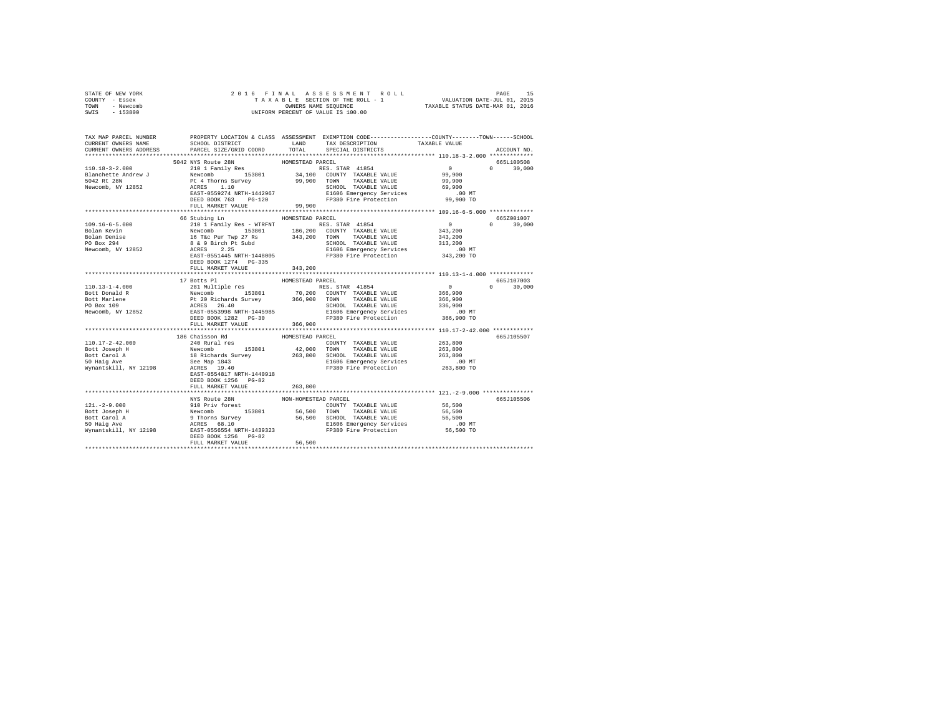| STATE OF NEW YORK<br>COUNTY - Essex<br>TOWN - Newcomb<br>SWIS - 153800                                                                                                                                                                           | 2016 FINAL                             |                      | OWNERS NAME SEQUENCE<br>UNIFORM PERCENT OF VALUE IS 100.00          |                                         |                             |
|--------------------------------------------------------------------------------------------------------------------------------------------------------------------------------------------------------------------------------------------------|----------------------------------------|----------------------|---------------------------------------------------------------------|-----------------------------------------|-----------------------------|
|                                                                                                                                                                                                                                                  |                                        |                      |                                                                     |                                         |                             |
| TAX MAP PARCEL NUMBER PROPERTY LOCATION & CLASS ASSESSMENT EXEMPTION CODE---------------COUNTY-------TOWN------SCHOOL                                                                                                                            |                                        |                      |                                                                     |                                         |                             |
| CURRENT OWNERS NAME                                                                                                                                                                                                                              |                                        |                      | SCHOOL DISTRICT LAND TAX DESCRIPTION TAXABLE VALUE                  |                                         |                             |
| CURRENT OWNERS ADDRESS                                                                                                                                                                                                                           | PARCEL SIZE/GRID COORD                 | TOTAL                | SPECIAL DISTRICTS                                                   |                                         | ACCOUNT NO.                 |
|                                                                                                                                                                                                                                                  |                                        |                      |                                                                     |                                         |                             |
| $110.18 - 3 - 2.000$                                                                                                                                                                                                                             | 5042 NYS Route 28N<br>210 1 Family Res | HOMESTEAD PARCEL     | RES. STAR 41854                                                     | $\sim$ 0                                | 665L100508<br>$0 \t 30,000$ |
|                                                                                                                                                                                                                                                  |                                        |                      |                                                                     |                                         |                             |
|                                                                                                                                                                                                                                                  |                                        |                      |                                                                     |                                         |                             |
|                                                                                                                                                                                                                                                  |                                        |                      |                                                                     |                                         |                             |
|                                                                                                                                                                                                                                                  |                                        |                      |                                                                     | $.00$ MT                                |                             |
|                                                                                                                                                                                                                                                  |                                        |                      |                                                                     | 99,900 TO                               |                             |
|                                                                                                                                                                                                                                                  | FULL MARKET VALUE                      | 99,900               |                                                                     |                                         |                             |
|                                                                                                                                                                                                                                                  |                                        |                      |                                                                     |                                         |                             |
|                                                                                                                                                                                                                                                  | 66 Stubing Ln MOMESTEAD PARCEL         |                      |                                                                     |                                         | 665Z001007                  |
|                                                                                                                                                                                                                                                  |                                        |                      |                                                                     |                                         | $0 \t 30.000$               |
|                                                                                                                                                                                                                                                  |                                        |                      |                                                                     |                                         |                             |
|                                                                                                                                                                                                                                                  |                                        |                      |                                                                     |                                         |                             |
|                                                                                                                                                                                                                                                  |                                        |                      |                                                                     |                                         |                             |
|                                                                                                                                                                                                                                                  |                                        |                      |                                                                     |                                         |                             |
|                                                                                                                                                                                                                                                  |                                        |                      |                                                                     |                                         |                             |
|                                                                                                                                                                                                                                                  |                                        |                      |                                                                     |                                         |                             |
|                                                                                                                                                                                                                                                  | FULL MARKET VALUE                      | 343,200              |                                                                     |                                         |                             |
| 17 Botts Players<br>17 Botts Players<br>17 Botts Players<br>281 Multiple res RES. STAR 41854<br>BOMESTEAD PARCEL<br>BOMESTEAD PARCEL<br>FOR SCRIP RES. STAR 41854<br>BOLD TOWN TAXABLE VALUE<br>FOR BOX 109 BOX 1282<br>PRES 26.400 CONNY TAXABL |                                        |                      |                                                                     |                                         | 665J107003                  |
|                                                                                                                                                                                                                                                  |                                        |                      |                                                                     |                                         | $0 \t 30,000$               |
|                                                                                                                                                                                                                                                  |                                        |                      |                                                                     | $\begin{array}{c}0\\366,900\end{array}$ |                             |
|                                                                                                                                                                                                                                                  |                                        |                      |                                                                     |                                         |                             |
|                                                                                                                                                                                                                                                  |                                        |                      |                                                                     | 366,900<br>336,900                      |                             |
|                                                                                                                                                                                                                                                  |                                        |                      |                                                                     |                                         |                             |
|                                                                                                                                                                                                                                                  |                                        |                      | E1606 Emergency Services .00 MT<br>FP380 Fire Protection 366,900 TO |                                         |                             |
|                                                                                                                                                                                                                                                  | FULL MARKET VALUE                      | 366,900              |                                                                     |                                         |                             |
|                                                                                                                                                                                                                                                  |                                        |                      |                                                                     |                                         |                             |
|                                                                                                                                                                                                                                                  | 186 Chaisson Rd                        | HOMESTEAD PARCEL     |                                                                     |                                         | 665.7105507                 |
|                                                                                                                                                                                                                                                  |                                        |                      |                                                                     | 263,800                                 |                             |
|                                                                                                                                                                                                                                                  |                                        |                      |                                                                     | 263,800                                 |                             |
|                                                                                                                                                                                                                                                  |                                        |                      |                                                                     | 263,800                                 |                             |
|                                                                                                                                                                                                                                                  |                                        |                      |                                                                     | $.00$ MT<br>263,800 TO                  |                             |
|                                                                                                                                                                                                                                                  | EAST-0554817 NRTH-1440918              |                      |                                                                     |                                         |                             |
|                                                                                                                                                                                                                                                  | DEED BOOK 1256 PG-82                   |                      |                                                                     |                                         |                             |
|                                                                                                                                                                                                                                                  | FULL MARKET VALUE                      | 263,800              |                                                                     |                                         |                             |
|                                                                                                                                                                                                                                                  |                                        |                      |                                                                     |                                         |                             |
|                                                                                                                                                                                                                                                  | NYS Route 28N                          | NON-HOMESTEAD PARCEL |                                                                     |                                         | 665J105506                  |
|                                                                                                                                                                                                                                                  |                                        |                      |                                                                     |                                         |                             |
|                                                                                                                                                                                                                                                  |                                        |                      |                                                                     |                                         |                             |
|                                                                                                                                                                                                                                                  |                                        |                      |                                                                     |                                         |                             |
|                                                                                                                                                                                                                                                  |                                        |                      |                                                                     |                                         |                             |
|                                                                                                                                                                                                                                                  |                                        |                      |                                                                     |                                         |                             |
|                                                                                                                                                                                                                                                  | DEED BOOK 1256 PG-82                   |                      |                                                                     |                                         |                             |
|                                                                                                                                                                                                                                                  | FULL MARKET VALUE                      | 56,500               |                                                                     |                                         |                             |
|                                                                                                                                                                                                                                                  |                                        |                      |                                                                     |                                         |                             |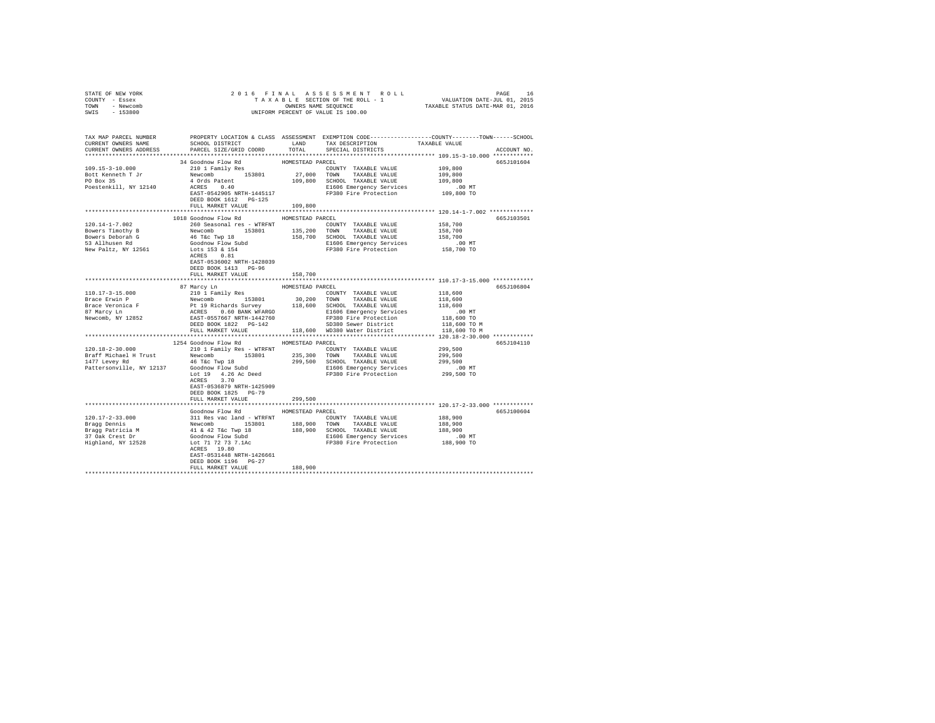| STATE OF NEW YORK<br>COUNTY - Essex<br>TOWN - Newcomb<br>SWIS - 153800                                                                                                                                                                                                                                                                                                 | $\begin{tabular}{lcccccc} 2 & 0 & 1 & 6 & $\texttt{F} \texttt{ I N A L} & \texttt{A S S E S S M E N T} & \texttt{R O L L} & & & & \texttt{PAGE} & 16 \\ & $\texttt{T A X A B L E S C T T O N O F T H E R O L L} - 1 & & & & \texttt{VALUATION DATE-JUL 01, 2015} \\ & & & & & & \texttt{ONNERS NAME SEQUENCE} & & & \texttt{TAXABLE STATUS DATE-MAR 01, 2016} \\ & & & & & & & \texttt{UNIFORM PERCENT OF VALUE IS 100.00} \end{tabular}$ |                  |                                                                     |                                                       |             |
|------------------------------------------------------------------------------------------------------------------------------------------------------------------------------------------------------------------------------------------------------------------------------------------------------------------------------------------------------------------------|-------------------------------------------------------------------------------------------------------------------------------------------------------------------------------------------------------------------------------------------------------------------------------------------------------------------------------------------------------------------------------------------------------------------------------------------|------------------|---------------------------------------------------------------------|-------------------------------------------------------|-------------|
| TAX MAP PARCEL NUMBER PROPERTY LOCATION & CLASS ASSESSMENT EXEMPTION CODE---------------COUNTY-------TOWN------SCHOOL<br>CURRENT OWNERS NAME SCHOOL DISTRICT LAND TAX DESCRIPTION TAXABLE VALUE<br>CURRENT OWNERS ADDRESS PARCEL SIZE/GRID COORD                                                                                                                       |                                                                                                                                                                                                                                                                                                                                                                                                                                           |                  | TOTAL SPECIAL DISTRICTS                                             |                                                       | ACCOUNT NO. |
| 109.15-3-10.000<br>Bott Kenneth T Jr<br>PO Box 35<br>Poestenkill, NY 12140                                                                                                                                                                                                                                                                                             | 34 Goodnow Flow Rd<br>ACRES 0.40<br>EAST-0542905 NRTH-1445117<br>ERST-0542905 NRTH-1445117<br>DEED BOOK 1612 PG-125<br>FULL MARKET VALUE 109,800                                                                                                                                                                                                                                                                                          |                  |                                                                     | 109,800<br>109,800<br>109,800<br>.00 MT<br>109,800 TO | 665J101604  |
|                                                                                                                                                                                                                                                                                                                                                                        |                                                                                                                                                                                                                                                                                                                                                                                                                                           |                  |                                                                     |                                                       |             |
| $120.14 - 1 - 7.002$<br>Exercise Timothy B<br>Bowers Timothy B<br>Sowers Deborah G<br>S3 Allhusen Rd<br>New Paltz, NY 12561                                                                                                                                                                                                                                            | 1018 Goodnow Flow Rd MOMESTEAD PARCEL<br>260 Seasonal res - WTRFNT<br>Newcomb 153801 135,200 TOWN TAXABLE VALUE<br>Newcomb 153801 135,200 TOWN TAXABLE VALUE<br>46 Tec Twp 18 158,700 SCHOOL TAXABLE VALUE<br>46 Tec Twp 18 158,700 SCHOOL TAXABLE VALUE<br>1653 6 154 FP380 Fire<br>EAST-0536002 NRTH-1428039<br>DEED BOOK 1413 PG-96<br>FULL MARKET VALUE                                                                               | 158,700          |                                                                     | 158,700<br>158,700<br>158,700<br>00 MT<br>158,700 TO  | 665J103501  |
|                                                                                                                                                                                                                                                                                                                                                                        |                                                                                                                                                                                                                                                                                                                                                                                                                                           |                  |                                                                     |                                                       |             |
| $\begin{tabular}{l c c c c c} \hline 110.17-3-15.000 & 87~\mbox{MCTY} & 110~\mbox{K000} & 110~\mbox{J} & 10~\mbox{J} & 10~\mbox{J} & 10~\mbox{J} & 10~\mbox{J} & 10~\mbox{J} & 10~\mbox{J} & 10~\mbox{J} & 10~\mbox{J} & 10~\mbox{J} & 10~\mbox{J} & 10~\mbox{J} & 10~\mbox{J} & 10~\mbox{J}$                                                                          | 87 Marcy Ln                                                                                                                                                                                                                                                                                                                                                                                                                               | HOMESTEAD PARCEL |                                                                     | 118,600<br>118,600<br>118,600                         | 665J106804  |
|                                                                                                                                                                                                                                                                                                                                                                        |                                                                                                                                                                                                                                                                                                                                                                                                                                           |                  |                                                                     |                                                       |             |
|                                                                                                                                                                                                                                                                                                                                                                        | 1254 Goodnow Flow Rd MOMESTEAD PARCEL<br>ACRES 3.70<br>EAST-0536879 NRTH-1425909                                                                                                                                                                                                                                                                                                                                                          |                  |                                                                     |                                                       | 665J104110  |
|                                                                                                                                                                                                                                                                                                                                                                        | DEED BOOK 1825 PG-79<br>FULL MARKET VALUE<br>Goodnow Flow Rd MOMESTEAD PARCEL                                                                                                                                                                                                                                                                                                                                                             | 299,500          |                                                                     |                                                       | 665J100604  |
| 120.17-2-33.000<br>$\begin{array}{r} \text{SUB} \text{D} \text{C} \text{OMIV} \text{N} \end{array}$<br>Exagg Dennis<br>Bragg Patricia M<br>$\begin{array}{r} \text{S11 Res} \text{ vac } 1 \text{ and } - \text{WTRFNT} \end{array}$<br>EVERITY TAXABLE VALUE<br>Bragg Patricia M<br>$\begin{array}{r} \text{S201} \\ \text{S3201} \\ \text{S42 } \text{TeC Twp} \end$ | ACRES 19.80<br>EAST-0531448 NRTH-1426661<br>DEED BOOK 1196 PG-27<br>FULL MARKET VALUE                                                                                                                                                                                                                                                                                                                                                     | 188,900          | E1606 Emergency Services .00 MT<br>FP380 Fire Protection 188,900 TO | 188,900<br>188,900<br>188,900                         |             |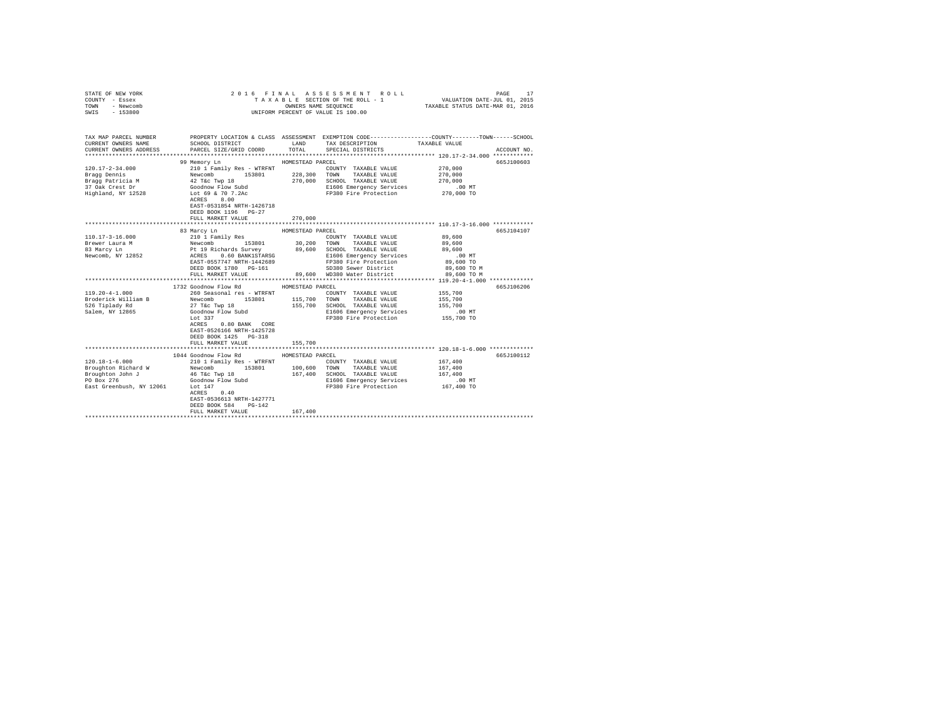| STATE OF NEW YORK<br>COUNTY - Essex<br>TOWN<br>- Newcomb<br>$-153800$<br>SWIS                             |                                                                                                                                                                                                                                                                                               |                             | 2016 FINAL ASSESSMENT ROLL<br>TAXABLE SECTION OF THE ROLL - 1<br>OWNERS NAME SEQUENCE<br>UNIFORM PERCENT OF VALUE IS 100.00                                                                  | PAGE<br>17<br>VALUATION DATE-JUL 01, 2015<br>TAXABLE STATUS DATE-MAR 01, 2016                                                   |
|-----------------------------------------------------------------------------------------------------------|-----------------------------------------------------------------------------------------------------------------------------------------------------------------------------------------------------------------------------------------------------------------------------------------------|-----------------------------|----------------------------------------------------------------------------------------------------------------------------------------------------------------------------------------------|---------------------------------------------------------------------------------------------------------------------------------|
| TAX MAP PARCEL NUMBER<br>CURRENT OWNERS NAME<br>CURRENT OWNERS ADDRESS                                    | SCHOOL DISTRICT TAND TAX DESCRIPTION<br>PARCEL SIZE/GRID COORD TOTAL SPECIAL DISTRICTS                                                                                                                                                                                                        |                             |                                                                                                                                                                                              | PROPERTY LOCATION & CLASS ASSESSMENT EXEMPTION CODE---------------COUNTY-------TOWN------SCHOOL<br>TAXABLE VALUE<br>ACCOUNT NO. |
| $120.17 - 2 - 34.000$<br>Bragg Dennis<br>Bragg Patricia M<br>37 Oak Crest Dr<br>Highland, NY 12528        | 99 Memory Ln<br>210 1 Family Res - WTRFNT<br>228,300 TOWN TAXABLE VALUE<br>42 T&C TWD 18 270,000 SCHOOL TAXABLE VALUE<br>APPERTURE TWO 18<br>Goodnow Flow Subd<br>Lot 69 & 70 7.2Ac<br>APPERTURE 8 00<br>ACRES 8.00<br>EAST-0531854 NRTH-1426718<br>DEED BOOK 1196 PG-27<br>FULL MARKET VALUE | HOMESTEAD PARCEL<br>270,000 | COUNTY TAXABLE VALUE<br>E1606 Emergency Services<br>FP380 Fire Protection 270,000 TO                                                                                                         | 665J100603<br>270,000<br>270,000<br>270,000<br>$.00$ MT                                                                         |
|                                                                                                           | 83 Marcy Ln                                                                                                                                                                                                                                                                                   | HOMESTEAD PARCEL            |                                                                                                                                                                                              | ********************************** 110.17-3-16.000 ************<br>665J104107                                                   |
| $110.17 - 3 - 16.000$<br>Brewer Laura M<br>83 Marcy Ln<br>Newcomb, NY 12852                               | 210 1 Family Res<br>210 1 ramily Res<br>Newcomb 153801<br>Pt 19 Richards Survey<br>ACRES 0.60 BANK1STARSG<br>EAST-0557747 NRTH-1442689<br>DEED BOOK 1780 PG-161<br>FULL MARKET VALUE                                                                                                          |                             | COUNTY TAXABLE VALUE<br>30,200 TOWN TAXABLE VALUE<br>89,600 SCHOOL TAXABLE VALUE<br>E1606 Emergency Services<br>FP380 Fire Protection<br>SD380 Sewer District<br>89,600 WD380 Water District | 89,600<br>89,600<br>89,600<br>$.00$ MT<br>89,600 TO<br>89,600 TO M<br>89,600 TO M                                               |
|                                                                                                           | 1732 Goodnow Flow Rd                                                                                                                                                                                                                                                                          | HOMESTEAD PARCEL            |                                                                                                                                                                                              | 665J106206                                                                                                                      |
| $119.20 - 4 - 1.000$<br>Broderick William B<br>526 Tiplady Rd<br>Salem, NY 12865                          | 260 Seasonal res - WTRFNT<br>153801 115,700<br>Newcomb<br>27 T&C Twp 18<br>27 IWC IWF 10<br>Goodnow Flow Subd<br>Lot 337<br>ACRES 0.80 BANK CORE<br>EAST-0526166 NRTH-1425728<br>DEED BOOK 1425 PG-318<br>FULL MARKET VALUE                                                                   | 155,700                     | COUNTY TAXABLE VALUE<br>TOWN<br>TAXABLE VALUE<br>155,700 SCHOOL TAXABLE VALUE<br>E1606 Emergency Services<br>FP380 Fire Protection                                                           | 155,700<br>155,700<br>155,700<br>$.00$ MT<br>155,700 TO                                                                         |
|                                                                                                           |                                                                                                                                                                                                                                                                                               |                             |                                                                                                                                                                                              |                                                                                                                                 |
| $120.18 - 1 - 6.000$<br>Broughton Richard W<br>Broughton John J<br>PO Box 276<br>East Greenbush, NY 12061 | 1044 Goodnow Flow Rd<br>210 1 Family Res - WTRFNT<br>153801 100,600<br>Newcomb<br>46 T&c Twp 18<br>Goodnow Flow Subd<br>Lot 147<br>$ACRES$ 0.40<br>EAST-0536613 NRTH-1427771<br>DEED BOOK 584 PG-142<br>FULL MARKET VALUE                                                                     | HOMESTEAD PARCEL<br>167,400 | COUNTY TAXABLE VALUE<br>TOWN TAXABLE VALUE<br>167,400 SCHOOL TAXABLE VALUE<br>E1606 Emergency Services<br>FP380 Fire Protection 167,400 TO                                                   | 665J100112<br>167,400<br>167,400<br>167,400<br>$.00$ MT                                                                         |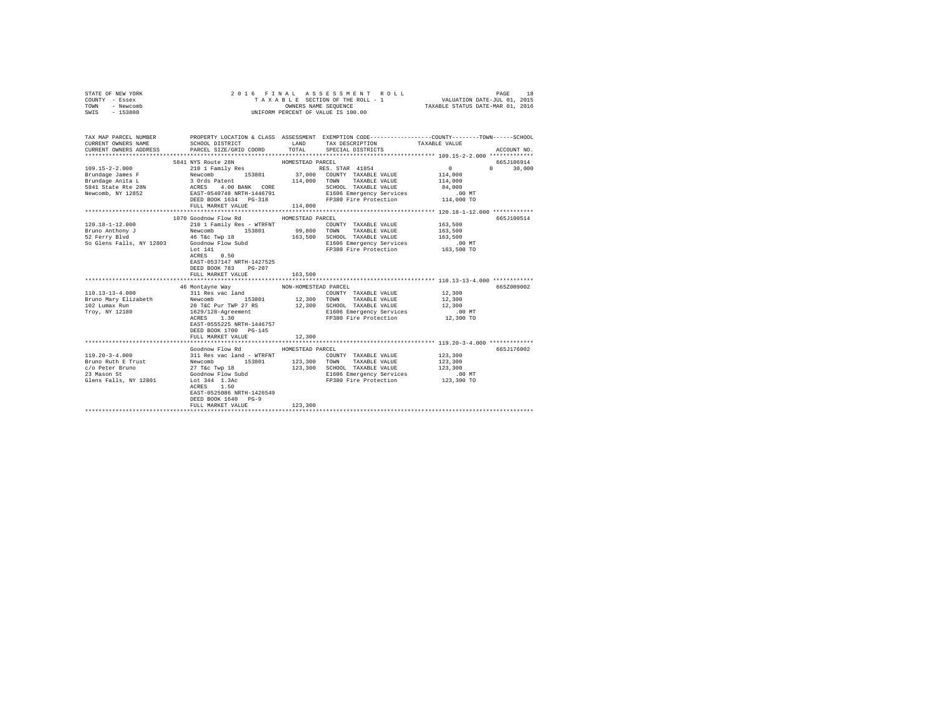| STATE OF NEW YORK | 2016 FINAL ASSESSMENT ROLL         | 18<br>PAGE                       |
|-------------------|------------------------------------|----------------------------------|
| COUNTY - Essex    | TAXABLE SECTION OF THE ROLL - 1    | VALUATION DATE-JUL 01, 2015      |
| TOWN<br>- Newcomb | OWNERS NAME SEOUENCE               | TAXABLE STATUS DATE-MAR 01, 2016 |
| - 153800<br>SWIS  | UNIFORM PERCENT OF VALUE IS 100.00 |                                  |

| TAX MAP PARCEL NUMBER<br>CURRENT OWNERS NAME | SCHOOL DISTRICT<br>LAND TAX DESCRIPTION                                                                                                                                                                                                                                                                                                       |                      | PROPERTY LOCATION & CLASS ASSESSMENT EXEMPTION CODE---------------COUNTY-------TOWN------SCHOOL | TAXABLE VALUE      |               |
|----------------------------------------------|-----------------------------------------------------------------------------------------------------------------------------------------------------------------------------------------------------------------------------------------------------------------------------------------------------------------------------------------------|----------------------|-------------------------------------------------------------------------------------------------|--------------------|---------------|
|                                              | CURRENT OWNERS ADDRESS PARCEL SIZE/GRID COORD TOTAL SPECIAL DISTRICTS                                                                                                                                                                                                                                                                         |                      |                                                                                                 |                    | ACCOUNT NO.   |
|                                              | 5841 NYS Route 28N MOMESTEAD PARCEL                                                                                                                                                                                                                                                                                                           |                      |                                                                                                 |                    | 665J106914    |
|                                              |                                                                                                                                                                                                                                                                                                                                               |                      |                                                                                                 |                    | $0 \t 30.000$ |
|                                              |                                                                                                                                                                                                                                                                                                                                               |                      |                                                                                                 |                    |               |
|                                              |                                                                                                                                                                                                                                                                                                                                               |                      |                                                                                                 |                    |               |
|                                              |                                                                                                                                                                                                                                                                                                                                               |                      |                                                                                                 |                    |               |
|                                              |                                                                                                                                                                                                                                                                                                                                               |                      |                                                                                                 |                    |               |
|                                              |                                                                                                                                                                                                                                                                                                                                               |                      |                                                                                                 |                    |               |
|                                              |                                                                                                                                                                                                                                                                                                                                               |                      |                                                                                                 |                    |               |
|                                              |                                                                                                                                                                                                                                                                                                                                               |                      |                                                                                                 |                    |               |
|                                              | 1070 Goodnow Flow Rd                                                                                                                                                                                                                                                                                                                          | HOMESTEAD PARCEL     |                                                                                                 |                    | 665J100514    |
|                                              |                                                                                                                                                                                                                                                                                                                                               |                      | COUNTY TAXABLE VALUE 163,500                                                                    |                    |               |
|                                              | $\begin{array}{cccccc} 120.18-1-12.000 & & & & 210&1\text{ Family Res - WITH} & & & \text{COUNTY TAXABLE VALUE} \\ \text{Bruno Anthony J} & & & & \text{Newton} & & & 153801 & & 99,800 & \text{TONN} & \text{TXABLE VALUE} \\ \text{S2 Ferry B1vd} & & & & & \text{Mewcomb} & & & 163,500 & \text{SCHODL} & \text{TXABLE VALUE} \end{array}$ |                      |                                                                                                 | 163,500            |               |
|                                              |                                                                                                                                                                                                                                                                                                                                               |                      | 163,500 SCHOOL TAXABLE VALUE 163,500                                                            |                    |               |
|                                              | So Glens Falls, NY 12803 Goodnow Flow Subd                                                                                                                                                                                                                                                                                                    |                      | E1606 Emergency Services 6.00 MT<br>FP380 Fire Protection 163,500 TO                            |                    |               |
|                                              | Lot 141                                                                                                                                                                                                                                                                                                                                       |                      |                                                                                                 |                    |               |
|                                              | ACRES 0.50                                                                                                                                                                                                                                                                                                                                    |                      |                                                                                                 |                    |               |
|                                              | EAST-0537147 NRTH-1427525                                                                                                                                                                                                                                                                                                                     |                      |                                                                                                 |                    |               |
|                                              | DEED BOOK 783 PG-207                                                                                                                                                                                                                                                                                                                          |                      |                                                                                                 |                    |               |
|                                              |                                                                                                                                                                                                                                                                                                                                               |                      |                                                                                                 |                    |               |
|                                              |                                                                                                                                                                                                                                                                                                                                               |                      |                                                                                                 |                    |               |
|                                              | 46 Montavne Way                                                                                                                                                                                                                                                                                                                               | NON-HOMESTEAD PARCEL |                                                                                                 |                    | 665Z009002    |
| $110.13 - 13 - 4.000$                        | 311 Res vac land                                                                                                                                                                                                                                                                                                                              |                      | COUNTY TAXABLE VALUE 12,300                                                                     |                    |               |
|                                              |                                                                                                                                                                                                                                                                                                                                               |                      | $12,300 \qquad {\tt TOWN} \qquad {\tt TAXABLE\ VALUE} \qquad \qquad 12,300$                     |                    |               |
|                                              |                                                                                                                                                                                                                                                                                                                                               |                      | 12,300 SCHOOL TAXABLE VALUE                                                                     | 12,300             |               |
|                                              | $\begin{tabular}{lcccc} {\bf Bruno May Elizabeth} & {\bf Newcomb} & {\bf 153801} & {\bf 12,300} \\ {\bf Bruno May Elizabeth} & {\bf 20 TEC Pur TWP 27 RS} & {\bf 12,300} \\ {\bf 102 Lumax Run} & {\bf 20 J128-Agreenement} & {\bf 12,300} \\ {\bf Troy, NY 12180} & {\bf 1629/128-Agreenent} & {\bf 130} \\ \end{tabular}$                   |                      | E1606 Emergency Services .00 MT                                                                 |                    |               |
|                                              |                                                                                                                                                                                                                                                                                                                                               |                      | FP380 Fire Protection 12,300 TO                                                                 |                    |               |
|                                              | EAST-0555225 NRTH-1446757                                                                                                                                                                                                                                                                                                                     |                      |                                                                                                 |                    |               |
|                                              | DEED BOOK 1700 PG-145                                                                                                                                                                                                                                                                                                                         | 12,300               |                                                                                                 |                    |               |
|                                              | FULL MARKET VALUE                                                                                                                                                                                                                                                                                                                             |                      |                                                                                                 |                    |               |
|                                              | Goodnow Flow Rd MOMESTEAD PARCEL                                                                                                                                                                                                                                                                                                              |                      |                                                                                                 |                    | 665J176002    |
|                                              |                                                                                                                                                                                                                                                                                                                                               |                      |                                                                                                 |                    |               |
|                                              |                                                                                                                                                                                                                                                                                                                                               |                      |                                                                                                 | 123,300<br>123,300 |               |
|                                              |                                                                                                                                                                                                                                                                                                                                               |                      | 123,300 SCHOOL TAXABLE VALUE 123,300                                                            |                    |               |
|                                              |                                                                                                                                                                                                                                                                                                                                               |                      |                                                                                                 |                    |               |
|                                              |                                                                                                                                                                                                                                                                                                                                               |                      | E1606 Emergency Services 6.00 MT<br>FP380 Fire Protection 123,300 TO                            |                    |               |
|                                              | ACRES 1.50                                                                                                                                                                                                                                                                                                                                    |                      |                                                                                                 |                    |               |
|                                              | EAST-0525086 NRTH-1426549                                                                                                                                                                                                                                                                                                                     |                      |                                                                                                 |                    |               |
|                                              | DEED BOOK 1640 PG-9                                                                                                                                                                                                                                                                                                                           |                      |                                                                                                 |                    |               |
|                                              | FULL MARKET VALUE                                                                                                                                                                                                                                                                                                                             | 123,300              |                                                                                                 |                    |               |
|                                              |                                                                                                                                                                                                                                                                                                                                               |                      |                                                                                                 |                    |               |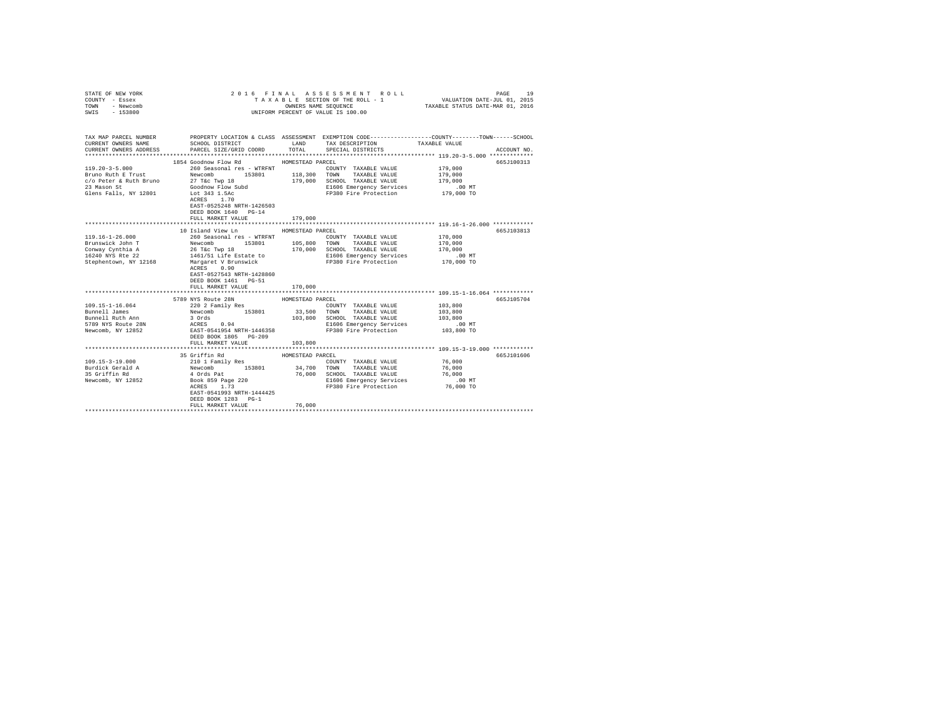| COUNTY - Essex<br>TOWN<br>- Newcomb<br>SWIS<br>$-153800$ | OWNERS NAME SEQUENCE<br>UNIFORM PERCENT OF VALUE IS 100.00                                                                                                                                                        |                                                              | TAXABLE SECTION OF THE ROLL - 1 VALUATION DATE-JUL 01, 2015<br>TAXABLE STATUS DATE-MAR 01, 2016                                                       |
|----------------------------------------------------------|-------------------------------------------------------------------------------------------------------------------------------------------------------------------------------------------------------------------|--------------------------------------------------------------|-------------------------------------------------------------------------------------------------------------------------------------------------------|
| CURRENT OWNERS NAME<br>CURRENT OWNERS ADDRESS            | SCHOOL DISTRICT LAND<br>PARCEL SIZE/GRID COORD                                                                                                                                                                    | TAX DESCRIPTION<br>TOTAL<br>SPECIAL DISTRICTS                | TAX MAP PARCEL NUMBER PROPERTY LOCATION & CLASS ASSESSMENT EXEMPTION CODE---------------COUNTY-------TOWN------SCHOOL<br>TAXABLE VALUE<br>ACCOUNT NO. |
|                                                          | 1854 Goodnow Flow Rd                                                                                                                                                                                              | HOMESTEAD PARCEL                                             | 665J100313                                                                                                                                            |
| $119.20 - 3 - 5.000$                                     | 260 Seasonal res - WTRFNT                                                                                                                                                                                         | COUNTY TAXABLE VALUE                                         | 179,000                                                                                                                                               |
|                                                          | 153801                                                                                                                                                                                                            | 118,300<br>TOWN<br>TAXABLE VALUE                             | 179,000                                                                                                                                               |
|                                                          |                                                                                                                                                                                                                   | 179,000<br>SCHOOL TAXABLE VALUE                              | 179,000                                                                                                                                               |
|                                                          |                                                                                                                                                                                                                   | E1606 Emergency Services                                     | 00 MT.<br>179,000 TO                                                                                                                                  |
|                                                          | ACRES 1.70<br>EAST-0525248 NRTH-1426503<br>DEED BOOK 1640 PG-14<br>FULL MARKET VALUE                                                                                                                              | FP380 Fire Protection                                        |                                                                                                                                                       |
|                                                          |                                                                                                                                                                                                                   | 179,000                                                      |                                                                                                                                                       |
|                                                          | 10 Island View Ln                                                                                                                                                                                                 | HOMESTEAD PARCEL                                             | 665J103813                                                                                                                                            |
| 119.16-1-26.000                                          | 260 Seasonal res - WTRFNT                                                                                                                                                                                         | COUNTY TAXABLE VALUE                                         | 170,000                                                                                                                                               |
| Brunswick John T                                         | 153801 105,800                                                                                                                                                                                                    | TOWN<br>TAXABLE VALUE                                        | 170,000                                                                                                                                               |
| Conway Cynthia A                                         |                                                                                                                                                                                                                   | 170,000 SCHOOL TAXABLE VALUE                                 | 170,000                                                                                                                                               |
| 16240 NYS Rte 22                                         |                                                                                                                                                                                                                   | E1606 Emergency Services                                     |                                                                                                                                                       |
| Stephentown, NY 12168                                    | Newcomb 153801 105,80<br>26 Tec Twp 18<br>26 Tec Twp 1880 105,80<br>1461/51 Life Estate to 170,00<br>Margaret V Brunswick<br>ACRES 0.90<br>EAST-0527543 NRTH-1428860<br>DEED BOOK 1461 PG-51<br>FULL MARKET VALUE | E1606 Emergency Services<br>FP380 Fire Protection<br>170,000 | 00 MT.<br>170,000 TO                                                                                                                                  |
|                                                          |                                                                                                                                                                                                                   |                                                              |                                                                                                                                                       |
|                                                          | 5789 NYS Route 28N                                                                                                                                                                                                | HOMESTEAD PARCEL                                             | 665J105704                                                                                                                                            |
| 109.15-1-16.064<br>Bunnell James                         | 220 2 Family Res<br>Newcomb 153801 33,500                                                                                                                                                                         | COUNTY TAXABLE VALUE                                         | 103,800                                                                                                                                               |
|                                                          |                                                                                                                                                                                                                   | TAXABLE VALUE<br>TOWN<br>103,800<br>SCHOOL TAXABLE VALUE     | 103,800<br>103,800                                                                                                                                    |
|                                                          |                                                                                                                                                                                                                   | E1606 Emergency Services                                     | .00 MT                                                                                                                                                |
|                                                          |                                                                                                                                                                                                                   | FP380 Fire Protection                                        | 103,800 TO                                                                                                                                            |
|                                                          | FULL MARKET VALUE<br>***************************                                                                                                                                                                  | 103,800<br>************                                      | ************************** 109.15-3-19.000 ************                                                                                               |
|                                                          | 35 Griffin Rd                                                                                                                                                                                                     | HOMESTEAD PARCEL                                             | 665J101606                                                                                                                                            |
| $109.15 - 3 - 19.000$                                    |                                                                                                                                                                                                                   | COUNTY TAXABLE VALUE                                         |                                                                                                                                                       |
| Burdick Gerald A                                         |                                                                                                                                                                                                                   | 34,700<br>TOWN<br>TAXABLE VALUE                              | 76,000<br>76,000                                                                                                                                      |
| 35 Griffin Rd                                            |                                                                                                                                                                                                                   |                                                              | TUWN TRADIME VIET TO TAXABLE VALUE<br>SCHOOL TAXABLE VALUE 76,000 MT                                                                                  |
| Newcomb, NY 12852                                        |                                                                                                                                                                                                                   | 76,000                                                       |                                                                                                                                                       |
|                                                          | 210 1 Family Res<br>Newcomb<br>4 Ords Pat<br>Book 859 Page 220<br>ACRES 1.73                                                                                                                                      | FP380 Fire Protection                                        | 76,000 TO                                                                                                                                             |
|                                                          | EAST-0541993 NRTH-1444425<br>DEED BOOK 1283 PG-1                                                                                                                                                                  |                                                              |                                                                                                                                                       |
|                                                          | FULL MARKET VALUE                                                                                                                                                                                                 | 76,000                                                       |                                                                                                                                                       |
|                                                          |                                                                                                                                                                                                                   |                                                              |                                                                                                                                                       |

STATE OF NEW YORK 2016 FINAL ASSESSMENT ROLL PAGE 19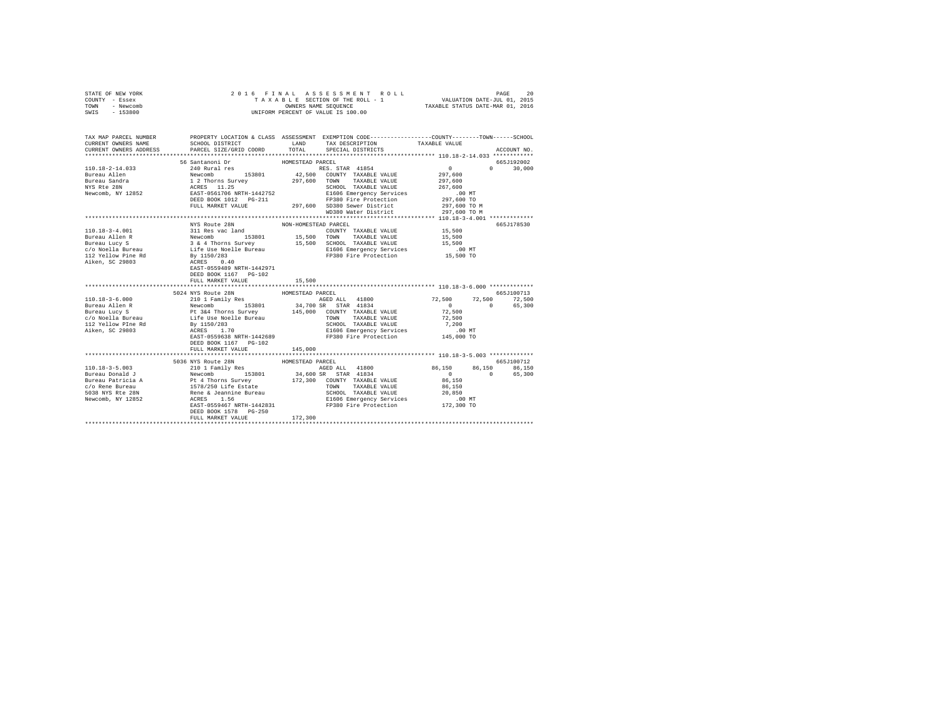| STATE OF NEW YORK                                                                                                                              |                              |                      |                                                             |                                                                                                                          |               |
|------------------------------------------------------------------------------------------------------------------------------------------------|------------------------------|----------------------|-------------------------------------------------------------|--------------------------------------------------------------------------------------------------------------------------|---------------|
| COUNTY - Essex                                                                                                                                 |                              |                      |                                                             |                                                                                                                          |               |
| TOWN - Newcomb                                                                                                                                 |                              |                      |                                                             |                                                                                                                          |               |
| SWIS - 153800                                                                                                                                  |                              |                      | UNIFORM PERCENT OF VALUE IS 100.00                          |                                                                                                                          |               |
|                                                                                                                                                |                              |                      |                                                             |                                                                                                                          |               |
|                                                                                                                                                |                              |                      |                                                             |                                                                                                                          |               |
|                                                                                                                                                |                              |                      |                                                             |                                                                                                                          |               |
| TAX MAP PARCEL NUMBER<br>CURRENT ONNERS NAME SCHOOL DISTRICT & CLASS ASSESSMENT EXEMPTION CODE------------------COUNTY--------TOWN------SCHOOL |                              |                      |                                                             |                                                                                                                          |               |
|                                                                                                                                                |                              |                      |                                                             |                                                                                                                          |               |
| CURRENT OWNERS ADDRESS                                                                                                                         | PARCEL SIZE/GRID COORD TOTAL |                      | SPECIAL DISTRICTS                                           |                                                                                                                          | ACCOUNT NO.   |
|                                                                                                                                                |                              |                      |                                                             |                                                                                                                          |               |
|                                                                                                                                                | 56 Santanoni Dr              | HOMESTEAD PARCEL     |                                                             |                                                                                                                          | 665J192002    |
| 110.18-2-14.033                                                                                                                                |                              |                      |                                                             | $\sim$ 0                                                                                                                 | $0 \t 30.000$ |
| Bureau Allen                                                                                                                                   |                              |                      |                                                             | 297,600                                                                                                                  |               |
|                                                                                                                                                |                              |                      |                                                             | 297,600                                                                                                                  |               |
| Bureau Sandra<br>NYS Rte 28N                                                                                                                   |                              |                      | SCHOOL TAXABLE VALUE 267,600                                |                                                                                                                          |               |
| Newcomb, NY 12852                                                                                                                              |                              |                      |                                                             |                                                                                                                          |               |
|                                                                                                                                                |                              |                      |                                                             | 00 MT.<br>297,600 TO                                                                                                     |               |
|                                                                                                                                                |                              |                      |                                                             | 297,600 TO M                                                                                                             |               |
|                                                                                                                                                |                              |                      | WD380 Water District                                        | 297,600 TO M                                                                                                             |               |
|                                                                                                                                                |                              |                      |                                                             | *************** 110.18-3-4.001 *************                                                                             |               |
|                                                                                                                                                | NYS Route 28N                | NON-HOMESTEAD PARCEL |                                                             |                                                                                                                          | 665J178530    |
|                                                                                                                                                |                              |                      | PERIODITY TAXABLE VALUE 15,500<br>TOWN TAXABLE VALUE 15,500 |                                                                                                                          |               |
|                                                                                                                                                |                              |                      |                                                             |                                                                                                                          |               |
|                                                                                                                                                |                              |                      |                                                             | 15,500                                                                                                                   |               |
|                                                                                                                                                |                              |                      |                                                             |                                                                                                                          |               |
|                                                                                                                                                |                              |                      | E1606 Emergency Services<br>FP380 Fire Protection           | 00 MT.<br>15,500 TO                                                                                                      |               |
|                                                                                                                                                |                              |                      |                                                             |                                                                                                                          |               |
|                                                                                                                                                |                              |                      |                                                             |                                                                                                                          |               |
|                                                                                                                                                | DEED BOOK 1167 PG-102        |                      |                                                             |                                                                                                                          |               |
|                                                                                                                                                |                              |                      |                                                             |                                                                                                                          |               |
|                                                                                                                                                | FULL MARKET VALUE            | 15,500               |                                                             |                                                                                                                          |               |
|                                                                                                                                                |                              |                      |                                                             |                                                                                                                          |               |
|                                                                                                                                                |                              |                      |                                                             |                                                                                                                          |               |
|                                                                                                                                                |                              |                      |                                                             |                                                                                                                          |               |
|                                                                                                                                                |                              |                      |                                                             |                                                                                                                          |               |
|                                                                                                                                                |                              |                      |                                                             |                                                                                                                          |               |
|                                                                                                                                                |                              |                      |                                                             |                                                                                                                          |               |
|                                                                                                                                                |                              |                      |                                                             |                                                                                                                          |               |
|                                                                                                                                                |                              |                      |                                                             |                                                                                                                          |               |
|                                                                                                                                                |                              |                      |                                                             |                                                                                                                          |               |
|                                                                                                                                                | DEED BOOK 1167 PG-102        |                      |                                                             |                                                                                                                          |               |
|                                                                                                                                                | FULL MARKET VALUE            | 145,000              |                                                             |                                                                                                                          |               |
|                                                                                                                                                |                              |                      |                                                             |                                                                                                                          |               |
|                                                                                                                                                | 5036 NYS Route 28N           | HOMESTEAD PARCEL     |                                                             |                                                                                                                          | 665J100712    |
|                                                                                                                                                |                              |                      |                                                             | $\begin{array}{cccc} 86\,, 150 & \quad & 86\,, 150 & \quad & 86\,, 150 \\ 0 & \quad & 0 & \quad & 65\,, 300 \end{array}$ |               |
|                                                                                                                                                |                              |                      |                                                             |                                                                                                                          |               |
|                                                                                                                                                |                              |                      |                                                             |                                                                                                                          |               |
|                                                                                                                                                |                              |                      |                                                             |                                                                                                                          |               |
|                                                                                                                                                |                              |                      |                                                             |                                                                                                                          |               |
|                                                                                                                                                |                              |                      |                                                             |                                                                                                                          |               |
|                                                                                                                                                |                              |                      |                                                             |                                                                                                                          |               |
|                                                                                                                                                |                              |                      |                                                             |                                                                                                                          |               |
|                                                                                                                                                |                              |                      |                                                             |                                                                                                                          |               |
|                                                                                                                                                | FULL MARKET VALUE            | 172,300              |                                                             |                                                                                                                          |               |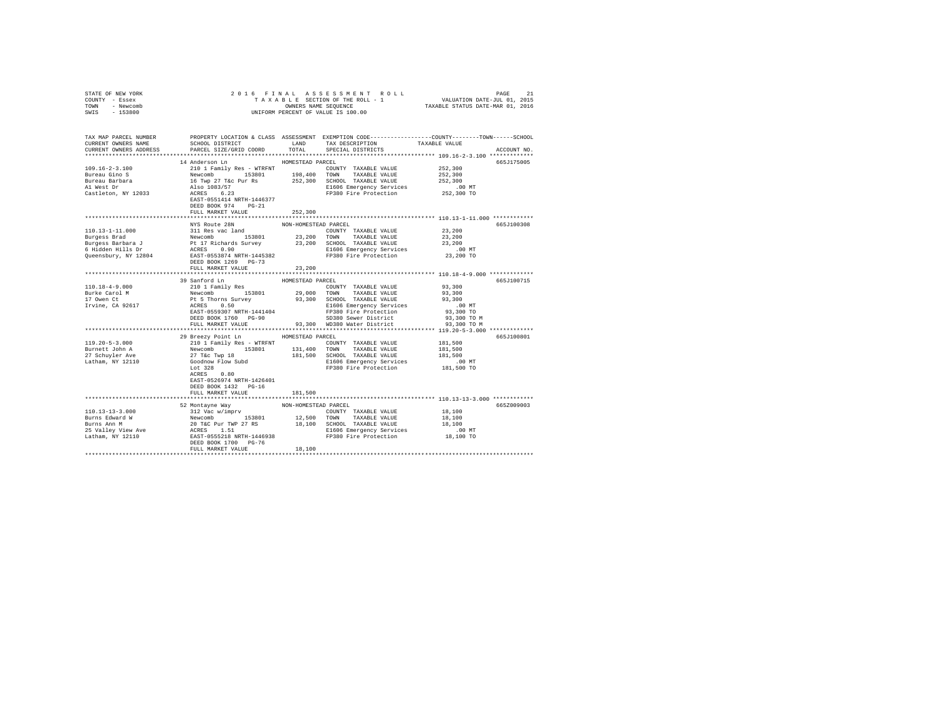| STATE OF NEW YORK           |                                                                                                                                                                                                                                                                                                                                                                                                                                                        |                      |                                                                       |                                                                                                                                                                                                                  |  |
|-----------------------------|--------------------------------------------------------------------------------------------------------------------------------------------------------------------------------------------------------------------------------------------------------------------------------------------------------------------------------------------------------------------------------------------------------------------------------------------------------|----------------------|-----------------------------------------------------------------------|------------------------------------------------------------------------------------------------------------------------------------------------------------------------------------------------------------------|--|
| COUNTY - Essex              |                                                                                                                                                                                                                                                                                                                                                                                                                                                        |                      |                                                                       |                                                                                                                                                                                                                  |  |
| TOWN - Newcomb              |                                                                                                                                                                                                                                                                                                                                                                                                                                                        |                      |                                                                       |                                                                                                                                                                                                                  |  |
| SWIS - 153800               |                                                                                                                                                                                                                                                                                                                                                                                                                                                        |                      |                                                                       |                                                                                                                                                                                                                  |  |
|                             |                                                                                                                                                                                                                                                                                                                                                                                                                                                        |                      |                                                                       |                                                                                                                                                                                                                  |  |
|                             |                                                                                                                                                                                                                                                                                                                                                                                                                                                        |                      |                                                                       |                                                                                                                                                                                                                  |  |
|                             |                                                                                                                                                                                                                                                                                                                                                                                                                                                        |                      |                                                                       |                                                                                                                                                                                                                  |  |
|                             |                                                                                                                                                                                                                                                                                                                                                                                                                                                        |                      |                                                                       |                                                                                                                                                                                                                  |  |
|                             |                                                                                                                                                                                                                                                                                                                                                                                                                                                        |                      |                                                                       | TAX MAP PARCEL NUMBER     PROPERTY LOCATION & CLASS ASSESSMENT EXEMPTION CODE--------------COUNTY-------TOWN------SCHOOL<br>CURRENT OWNERS NAME     SCHOOL DISTRICT     LAND   TAX DESCRIPTION     TAXABLE VALUE |  |
| CURRENT OWNERS ADDRESS      | PARCEL SIZE/GRID COORD                                                                                                                                                                                                                                                                                                                                                                                                                                 | TOTAL                | SPECIAL DISTRICTS                                                     | ACCOUNT NO.                                                                                                                                                                                                      |  |
|                             |                                                                                                                                                                                                                                                                                                                                                                                                                                                        |                      |                                                                       |                                                                                                                                                                                                                  |  |
|                             |                                                                                                                                                                                                                                                                                                                                                                                                                                                        | HOMESTEAD PARCEL     |                                                                       |                                                                                                                                                                                                                  |  |
|                             | 14 Anderson Ln                                                                                                                                                                                                                                                                                                                                                                                                                                         |                      |                                                                       | 665J175005                                                                                                                                                                                                       |  |
|                             |                                                                                                                                                                                                                                                                                                                                                                                                                                                        |                      |                                                                       | 252,300                                                                                                                                                                                                          |  |
|                             |                                                                                                                                                                                                                                                                                                                                                                                                                                                        |                      |                                                                       | 252,300                                                                                                                                                                                                          |  |
|                             |                                                                                                                                                                                                                                                                                                                                                                                                                                                        |                      |                                                                       | 252,300                                                                                                                                                                                                          |  |
|                             |                                                                                                                                                                                                                                                                                                                                                                                                                                                        |                      |                                                                       | .00 MT                                                                                                                                                                                                           |  |
|                             |                                                                                                                                                                                                                                                                                                                                                                                                                                                        |                      |                                                                       | 252,300 TO                                                                                                                                                                                                       |  |
|                             |                                                                                                                                                                                                                                                                                                                                                                                                                                                        |                      |                                                                       |                                                                                                                                                                                                                  |  |
|                             | DEED BOOK 974 PG-21                                                                                                                                                                                                                                                                                                                                                                                                                                    |                      |                                                                       |                                                                                                                                                                                                                  |  |
|                             | FULL MARKET VALUE                                                                                                                                                                                                                                                                                                                                                                                                                                      | 252,300              |                                                                       |                                                                                                                                                                                                                  |  |
|                             |                                                                                                                                                                                                                                                                                                                                                                                                                                                        |                      |                                                                       |                                                                                                                                                                                                                  |  |
|                             | NYS Route 28N                                                                                                                                                                                                                                                                                                                                                                                                                                          |                      |                                                                       |                                                                                                                                                                                                                  |  |
|                             |                                                                                                                                                                                                                                                                                                                                                                                                                                                        | NON-HOMESTEAD PARCEL |                                                                       | 665J100308                                                                                                                                                                                                       |  |
|                             |                                                                                                                                                                                                                                                                                                                                                                                                                                                        |                      | COUNTY TAXABLE VALUE 23, 200                                          |                                                                                                                                                                                                                  |  |
|                             |                                                                                                                                                                                                                                                                                                                                                                                                                                                        |                      |                                                                       | 23,200                                                                                                                                                                                                           |  |
|                             |                                                                                                                                                                                                                                                                                                                                                                                                                                                        |                      |                                                                       | 23,200                                                                                                                                                                                                           |  |
|                             |                                                                                                                                                                                                                                                                                                                                                                                                                                                        |                      |                                                                       | $.00$ MT                                                                                                                                                                                                         |  |
|                             |                                                                                                                                                                                                                                                                                                                                                                                                                                                        |                      |                                                                       | 23,200 TO                                                                                                                                                                                                        |  |
|                             | DEED BOOK 1269 PG-73                                                                                                                                                                                                                                                                                                                                                                                                                                   |                      |                                                                       |                                                                                                                                                                                                                  |  |
|                             | FULL MARKET VALUE                                                                                                                                                                                                                                                                                                                                                                                                                                      | 23,200               |                                                                       |                                                                                                                                                                                                                  |  |
|                             |                                                                                                                                                                                                                                                                                                                                                                                                                                                        |                      |                                                                       |                                                                                                                                                                                                                  |  |
|                             |                                                                                                                                                                                                                                                                                                                                                                                                                                                        |                      |                                                                       |                                                                                                                                                                                                                  |  |
|                             |                                                                                                                                                                                                                                                                                                                                                                                                                                                        |                      |                                                                       |                                                                                                                                                                                                                  |  |
|                             |                                                                                                                                                                                                                                                                                                                                                                                                                                                        |                      |                                                                       | 665J100715                                                                                                                                                                                                       |  |
| $110.18 - 4 - 9.000$        |                                                                                                                                                                                                                                                                                                                                                                                                                                                        |                      |                                                                       |                                                                                                                                                                                                                  |  |
|                             |                                                                                                                                                                                                                                                                                                                                                                                                                                                        |                      |                                                                       |                                                                                                                                                                                                                  |  |
| Burke Carol M<br>17 Owen Ct |                                                                                                                                                                                                                                                                                                                                                                                                                                                        |                      |                                                                       |                                                                                                                                                                                                                  |  |
| Irvine, CA 92617            |                                                                                                                                                                                                                                                                                                                                                                                                                                                        |                      |                                                                       | $.00$ MT                                                                                                                                                                                                         |  |
|                             |                                                                                                                                                                                                                                                                                                                                                                                                                                                        |                      |                                                                       | 93,300 TO                                                                                                                                                                                                        |  |
|                             |                                                                                                                                                                                                                                                                                                                                                                                                                                                        |                      |                                                                       | 93,300 TO M                                                                                                                                                                                                      |  |
|                             |                                                                                                                                                                                                                                                                                                                                                                                                                                                        |                      |                                                                       | 93,300 TO M                                                                                                                                                                                                      |  |
|                             |                                                                                                                                                                                                                                                                                                                                                                                                                                                        |                      |                                                                       |                                                                                                                                                                                                                  |  |
|                             |                                                                                                                                                                                                                                                                                                                                                                                                                                                        |                      |                                                                       |                                                                                                                                                                                                                  |  |
|                             | 29 Breezy Point Ln                                                                                                                                                                                                                                                                                                                                                                                                                                     | HOMESTEAD PARCEL     |                                                                       | 665J100801                                                                                                                                                                                                       |  |
| $119.20 - 5 - 3.000$        |                                                                                                                                                                                                                                                                                                                                                                                                                                                        |                      | COUNTY TAXABLE VALUE 181,500                                          |                                                                                                                                                                                                                  |  |
| Burnett John A              |                                                                                                                                                                                                                                                                                                                                                                                                                                                        |                      |                                                                       | 181,500                                                                                                                                                                                                          |  |
| 27 Schuyler Ave             |                                                                                                                                                                                                                                                                                                                                                                                                                                                        |                      | 181,500 SCHOOL TAXABLE VALUE                                          | 181,500                                                                                                                                                                                                          |  |
| Latham, NY 12110            |                                                                                                                                                                                                                                                                                                                                                                                                                                                        |                      |                                                                       |                                                                                                                                                                                                                  |  |
|                             |                                                                                                                                                                                                                                                                                                                                                                                                                                                        |                      | E1606 Emergency Services 60 00 MT<br>FP380 Fire Protection 181,500 TO |                                                                                                                                                                                                                  |  |
|                             |                                                                                                                                                                                                                                                                                                                                                                                                                                                        |                      |                                                                       |                                                                                                                                                                                                                  |  |
|                             | 2101 Family Res - WTRFNT<br>Newcomb 153801 131,400 TOMN TAXABLE VALUE<br>27 TEC TWP 18 183901 181,500 SCHOOL TAXABLE VALUE<br>27 TEC TWP 18 181,500 SCHOOL TAXABLE VALUE<br>COOMROW Flow Subd 181,500 SCHOOL TAXABLE VALUE<br>LC 128<br>AC<br>EAST-0526974 NRTH-1426401                                                                                                                                                                                |                      |                                                                       |                                                                                                                                                                                                                  |  |
|                             | DEED BOOK 1432 PG-16                                                                                                                                                                                                                                                                                                                                                                                                                                   |                      |                                                                       |                                                                                                                                                                                                                  |  |
|                             |                                                                                                                                                                                                                                                                                                                                                                                                                                                        |                      |                                                                       |                                                                                                                                                                                                                  |  |
|                             | FULL MARKET VALUE                                                                                                                                                                                                                                                                                                                                                                                                                                      | 181,500              |                                                                       |                                                                                                                                                                                                                  |  |
|                             |                                                                                                                                                                                                                                                                                                                                                                                                                                                        |                      |                                                                       |                                                                                                                                                                                                                  |  |
|                             | 52 Montayne Way                                                                                                                                                                                                                                                                                                                                                                                                                                        | NON-HOMESTEAD PARCEL |                                                                       | 665Z009003                                                                                                                                                                                                       |  |
|                             |                                                                                                                                                                                                                                                                                                                                                                                                                                                        |                      | COUNTY TAXABLE VALUE 18,100                                           |                                                                                                                                                                                                                  |  |
|                             |                                                                                                                                                                                                                                                                                                                                                                                                                                                        |                      |                                                                       | 18,100                                                                                                                                                                                                           |  |
|                             |                                                                                                                                                                                                                                                                                                                                                                                                                                                        |                      |                                                                       | 18,100                                                                                                                                                                                                           |  |
|                             |                                                                                                                                                                                                                                                                                                                                                                                                                                                        |                      |                                                                       |                                                                                                                                                                                                                  |  |
|                             |                                                                                                                                                                                                                                                                                                                                                                                                                                                        |                      |                                                                       | 00 MT.<br>18,100 TO                                                                                                                                                                                              |  |
|                             |                                                                                                                                                                                                                                                                                                                                                                                                                                                        |                      |                                                                       |                                                                                                                                                                                                                  |  |
|                             | $\begin{tabular}{l c c c c c} \multicolumn{1}{c}{110.13-13-3.000} & \multicolumn{1}{c}{52\; Montayne\;Way} & \multicolumn{1}{c}{\textsf{NON-HOMESTEAD} \begin{tabular}{llllll} \multicolumn{1}{c}{110.13-13-3.000} & \multicolumn{1}{c}{52\; Montayne\;Way} & \multicolumn{1}{c}{\textsf{NONN-TANABLE VALUE}} \\ \multicolumn{1}{c}{\textsf{Burns} \begin{tabular}{llllllll} \multicolumn{1}{c}{\textsf{Burns} \end{tabular} & \$<br>FULL MARKET VALUE | 18,100               |                                                                       |                                                                                                                                                                                                                  |  |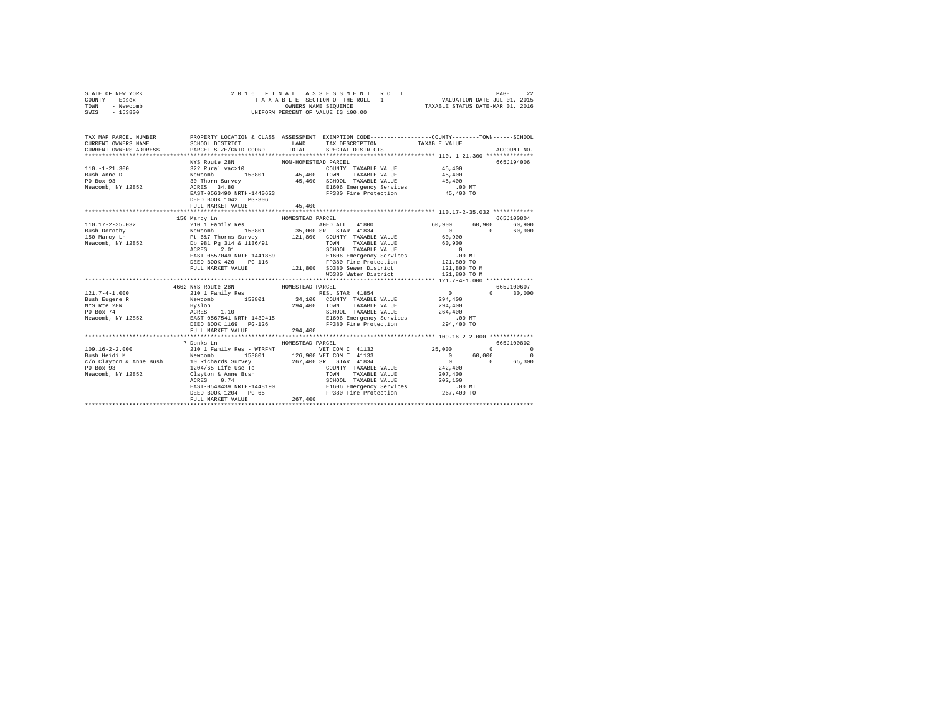| STATE OF NEW YORK<br>COUNTY - Essex<br>TOWN - Newcomb<br>SWIS - 153800                                                                      | 2016 FINAL ASSESSMENT R<br>TAXABLE SECTION OF THE ROLL - 1<br>ONNERS NAME SEQUENCE<br>UNIFORM PERCENT OF VALUE IS 100.00                                                                                                               |                      | 2016 FINAL ASSESSMENT ROLL                                                                          |                                                    |               |               |
|---------------------------------------------------------------------------------------------------------------------------------------------|----------------------------------------------------------------------------------------------------------------------------------------------------------------------------------------------------------------------------------------|----------------------|-----------------------------------------------------------------------------------------------------|----------------------------------------------------|---------------|---------------|
| TAX MAP PARCEL NUMBER PROPERTY LOCATION & CLASS ASSESSMENT EXEMPTION CODE--------------COUNTY-------TOWN------SCHOOL<br>CURRENT OWNERS NAME |                                                                                                                                                                                                                                        |                      | SCHOOL DISTRICT                        LAND         TAX DESCRIPTION                   TAXABLE VALUE |                                                    |               |               |
| CURRENT OWNERS ADDRESS                                                                                                                      | PARCEL SIZE/GRID COORD                                                                                                                                                                                                                 |                      | TOTAL SPECIAL DISTRICTS                                                                             |                                                    |               | ACCOUNT NO.   |
|                                                                                                                                             |                                                                                                                                                                                                                                        |                      |                                                                                                     |                                                    |               |               |
|                                                                                                                                             | NYS Route 28N                                                                                                                                                                                                                          | NON-HOMESTEAD PARCEL |                                                                                                     |                                                    |               | 665-7194006   |
| $110. - 1 - 21.300$                                                                                                                         |                                                                                                                                                                                                                                        |                      |                                                                                                     |                                                    |               |               |
| Bush Anne D                                                                                                                                 |                                                                                                                                                                                                                                        |                      |                                                                                                     |                                                    |               |               |
| PO Box 93<br>Newcomb, NY 12852                                                                                                              |                                                                                                                                                                                                                                        |                      |                                                                                                     |                                                    |               |               |
|                                                                                                                                             |                                                                                                                                                                                                                                        |                      |                                                                                                     |                                                    |               |               |
|                                                                                                                                             | A POLATION NON-TOWALS AND COUNTY TAXABLE VALUE 45,400<br>Newcomb 153801 45,400 TOWN TAXABLE VALUE 45,400<br>20 Then Survey 45,400 TOWN TAXABLE VALUE 45,400<br>20 Then Survey 45,400 EL606 Emergency Services 45,400<br>EAST-0563490 N |                      |                                                                                                     |                                                    |               |               |
|                                                                                                                                             | FULL MARKET VALUE                                                                                                                                                                                                                      | 45,400               |                                                                                                     |                                                    |               |               |
|                                                                                                                                             |                                                                                                                                                                                                                                        |                      |                                                                                                     |                                                    |               |               |
|                                                                                                                                             |                                                                                                                                                                                                                                        |                      |                                                                                                     |                                                    |               | 665.T100804   |
|                                                                                                                                             |                                                                                                                                                                                                                                        |                      |                                                                                                     |                                                    | 60,900 60,900 |               |
|                                                                                                                                             |                                                                                                                                                                                                                                        |                      |                                                                                                     |                                                    | $\sim$ 0      | 60,900        |
|                                                                                                                                             |                                                                                                                                                                                                                                        |                      |                                                                                                     |                                                    |               |               |
|                                                                                                                                             |                                                                                                                                                                                                                                        |                      |                                                                                                     |                                                    |               |               |
|                                                                                                                                             |                                                                                                                                                                                                                                        |                      |                                                                                                     |                                                    |               |               |
|                                                                                                                                             |                                                                                                                                                                                                                                        |                      |                                                                                                     |                                                    |               |               |
|                                                                                                                                             |                                                                                                                                                                                                                                        |                      |                                                                                                     |                                                    |               |               |
|                                                                                                                                             |                                                                                                                                                                                                                                        |                      |                                                                                                     |                                                    |               |               |
|                                                                                                                                             |                                                                                                                                                                                                                                        |                      |                                                                                                     |                                                    |               |               |
|                                                                                                                                             |                                                                                                                                                                                                                                        |                      |                                                                                                     |                                                    |               | 665J100607    |
|                                                                                                                                             |                                                                                                                                                                                                                                        |                      |                                                                                                     |                                                    |               | $0 \t 30,000$ |
|                                                                                                                                             |                                                                                                                                                                                                                                        |                      |                                                                                                     |                                                    |               |               |
|                                                                                                                                             |                                                                                                                                                                                                                                        |                      |                                                                                                     |                                                    |               |               |
|                                                                                                                                             |                                                                                                                                                                                                                                        |                      |                                                                                                     |                                                    |               |               |
|                                                                                                                                             |                                                                                                                                                                                                                                        |                      |                                                                                                     |                                                    |               |               |
|                                                                                                                                             |                                                                                                                                                                                                                                        |                      |                                                                                                     |                                                    |               |               |
|                                                                                                                                             | FULL MARKET VALUE                                                                                                                                                                                                                      | 294,400              |                                                                                                     |                                                    |               |               |
|                                                                                                                                             |                                                                                                                                                                                                                                        |                      |                                                                                                     |                                                    |               |               |
| $109.16 - 2 - 2.000$                                                                                                                        | 7 Donks Ln<br>210 1 Family Res - WTRFNT VET COM C 41132                                                                                                                                                                                | HOMESTEAD PARCEL     |                                                                                                     |                                                    |               | 665J100802    |
|                                                                                                                                             |                                                                                                                                                                                                                                        |                      |                                                                                                     | $25,000$ 0<br>0 60,000 0<br>0 60,000 0<br>0 65,300 |               |               |
|                                                                                                                                             |                                                                                                                                                                                                                                        |                      |                                                                                                     |                                                    |               |               |
|                                                                                                                                             |                                                                                                                                                                                                                                        |                      |                                                                                                     |                                                    |               |               |
|                                                                                                                                             |                                                                                                                                                                                                                                        |                      |                                                                                                     |                                                    |               |               |
|                                                                                                                                             |                                                                                                                                                                                                                                        |                      |                                                                                                     |                                                    |               |               |
|                                                                                                                                             |                                                                                                                                                                                                                                        |                      |                                                                                                     |                                                    |               |               |
|                                                                                                                                             |                                                                                                                                                                                                                                        |                      |                                                                                                     |                                                    |               |               |
|                                                                                                                                             |                                                                                                                                                                                                                                        |                      |                                                                                                     |                                                    |               |               |
|                                                                                                                                             |                                                                                                                                                                                                                                        |                      |                                                                                                     |                                                    |               |               |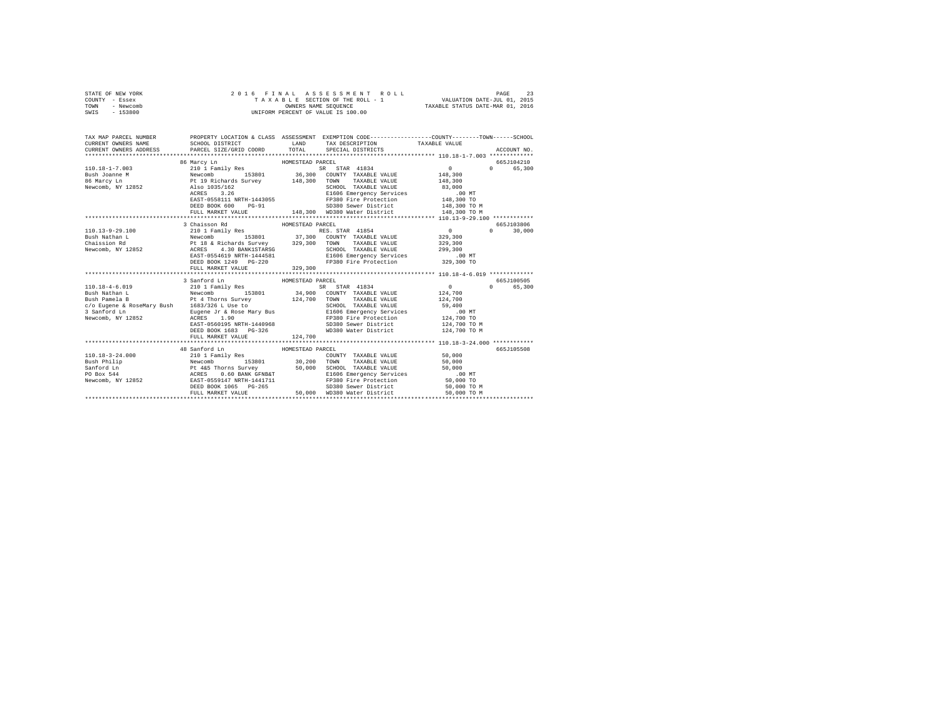| STATE OF NEW YORK                                                     |                                                       |             | 2016 FINAL ASSESSMENT ROLL                                  |              | 23<br>PAGE         |  |  |
|-----------------------------------------------------------------------|-------------------------------------------------------|-------------|-------------------------------------------------------------|--------------|--------------------|--|--|
| COUNTY<br>- Essex                                                     |                                                       |             | TAXABLE SECTION OF THE ROLL - 1 VALUATION DATE-JUL 01, 2015 |              |                    |  |  |
| - Newcomb<br>TOWN                                                     | OWNERS NAME SEQUENCE TAXABLE STATUS DATE-MAR 01, 2016 |             |                                                             |              |                    |  |  |
| SWIS - 153800                                                         |                                                       |             | UNIFORM PERCENT OF VALUE IS 100.00                          |              |                    |  |  |
|                                                                       |                                                       |             |                                                             |              |                    |  |  |
|                                                                       |                                                       |             |                                                             |              |                    |  |  |
|                                                                       |                                                       |             |                                                             |              |                    |  |  |
| TAX MAP PARCEL NUMBER TROPERTY LOCATION & CLASS ASSESSMENT            |                                                       |             | EXEMPTION CODE-----------------COUNTY-------TOWN-----SCHOOL |              |                    |  |  |
| CURRENT OWNERS NAME                                                   | SCHOOL DISTRICT                                       | <b>LAND</b> | TAX DESCRIPTION TAXABLE VALUE                               |              |                    |  |  |
| CURRENT OWNERS ADDRESS PARCEL SIZE/GRID COORD TOTAL SPECIAL DISTRICTS |                                                       |             |                                                             |              | ACCOUNT NO.        |  |  |
| **************************                                            |                                                       |             |                                                             |              |                    |  |  |
|                                                                       | 86 Marcy Ln Mexico HOMESTEAD PARCEL                   |             |                                                             |              | 665J104210         |  |  |
| 110.18-1-7.003 210 1 Family Res                                       |                                                       |             | SR STAR 41834 0                                             |              | 65,300<br>$\Omega$ |  |  |
| Bush Joanne M                                                         |                                                       |             | Newcomb 153801 36,300 COUNTY TAXABLE VALUE                  | 148,300      |                    |  |  |
| 86 Marcy Ln                   Pt 19 Richards Survey         148,300   |                                                       |             | TOWN<br>TAXABLE VALUE                                       | 148,300      |                    |  |  |
| Newcomb, NY 12852                                                     | Also 1035/162                                         |             | SCHOOL TAXABLE VALUE                                        | 83,000       |                    |  |  |
|                                                                       | ACRES 3.26                                            |             | E1606 Emergency Services .00 MT                             |              |                    |  |  |
|                                                                       | EAST-0558111 NRTH-1443055                             |             | FP380 Fire Protection 148,300 TO                            |              |                    |  |  |
|                                                                       | DEED BOOK 600 PG-91                                   |             | SD380 Sewer District 148.300 TO M                           |              |                    |  |  |
|                                                                       | FULL MARKET VALUE 148,300                             |             | WD380 Water District                                        | 148,300 TO M |                    |  |  |
|                                                                       |                                                       |             |                                                             |              |                    |  |  |

|                  | EASI-USS8111 NRIH-1443USS<br>DEED BOOK 600   | rrssu rire rrotection<br>$PG-91$<br>SD380 Sewer District 148,300 TO M                                                                                                                                                             | 148,300 TO   |                    |
|------------------|----------------------------------------------|-----------------------------------------------------------------------------------------------------------------------------------------------------------------------------------------------------------------------------------|--------------|--------------------|
|                  |                                              |                                                                                                                                                                                                                                   |              |                    |
|                  |                                              |                                                                                                                                                                                                                                   |              |                    |
|                  | 3 Chaisson Rd MOMESTEAD PARCEL               |                                                                                                                                                                                                                                   |              | 665J103806         |
|                  | 110.13-9-29.100 210 1 Family Res             | RES. STAR 41854                                                                                                                                                                                                                   | $\mathbf{0}$ | 30,000<br>$\Omega$ |
|                  |                                              |                                                                                                                                                                                                                                   | 329,300      |                    |
|                  |                                              | TAXABLE VALUE                                                                                                                                                                                                                     | 329,300      |                    |
|                  | Newcomb, NY 12852<br>ACRES 4.30 BANK1STARSG  | SCHOOL TAXABLE VALUE                                                                                                                                                                                                              | 299,300      |                    |
|                  | EAST-0554619 NRTH-1444581                    | E1606 Emergency Services                                                                                                                                                                                                          | .00 MT       |                    |
|                  | DEED BOOK 1249 PG-220                        | FP380 Fire Protection 329,300 TO                                                                                                                                                                                                  |              |                    |
|                  | FULL MARKET VALUE                            | 329.300                                                                                                                                                                                                                           |              |                    |
|                  |                                              |                                                                                                                                                                                                                                   |              |                    |
|                  | 3 Sanford Ln HOMESTEAD PARCEL                | SR STAR 41834                                                                                                                                                                                                                     |              | 665J100505         |
|                  | 110.18-4-6.019 210 1 Family Res              |                                                                                                                                                                                                                                   | $\mathbf{0}$ | 65,300<br>$\Omega$ |
| Bush Nathan L    |                                              | Newcomb 153801 34,900 COUNTY TAXABLE VALUE                                                                                                                                                                                        | 124,700      |                    |
| Bush Pamela B    | Pt 4 Thorns Survey 124,700 TOWN              | TAXABLE VALUE                                                                                                                                                                                                                     | 124,700      |                    |
|                  | c/o Eugene & RoseMary Bush 1683/326 L Use to | SCHOOL TAXABLE VALUE                                                                                                                                                                                                              | 59,400       |                    |
|                  |                                              | E1606 Emergency Services .00 MT                                                                                                                                                                                                   |              |                    |
|                  | ACRES 1.90<br>EAST-0560195 NRTH-1440968      | FP380 Fire Protection                                                                                                                                                                                                             | 124,700 TO   |                    |
|                  |                                              | SD380 Sewer District 124,700 TO M                                                                                                                                                                                                 |              |                    |
|                  | DEED BOOK 1683 PG-326                        | WD380 Water District 124,700 TO M                                                                                                                                                                                                 |              |                    |
|                  | FULL MARKET VALUE 124,700                    |                                                                                                                                                                                                                                   |              |                    |
|                  |                                              |                                                                                                                                                                                                                                   |              |                    |
|                  | 48 Sanford Ln MESTEAD PARCEL                 |                                                                                                                                                                                                                                   |              | 665J105508         |
|                  | 110.18-3-24.000 210 1 Family Res             | COUNTY TAXABLE VALUE                                                                                                                                                                                                              | 50,000       |                    |
|                  |                                              | Example and the state of the contract of the media of the state of the state of the state of the state of the s<br>Bush Philip (1992) and the state of the state of the state of the state of the state of the state of the state | 50,000       |                    |
|                  |                                              | SCHOOL TAXABLE VALUE                                                                                                                                                                                                              | 50,000       |                    |
| PO Box 544 ACRES | 0.60 BANK GFNB&T                             | E1606 Emergency Services                                                                                                                                                                                                          | $.00$ MT     |                    |
|                  | Newcomb, NY 12852 EAST-0559147 NRTH-1441711  | FP380 Fire Protection                                                                                                                                                                                                             | 50,000 TO    |                    |
|                  | DEED BOOK 1065 PG-265                        | SD380 Sewer District                                                                                                                                                                                                              | 50,000 TO M  |                    |
|                  | FULL MARKET VALUE                            | 50.000 WD380 Water District                                                                                                                                                                                                       | 50,000 TO M  |                    |
|                  |                                              |                                                                                                                                                                                                                                   |              |                    |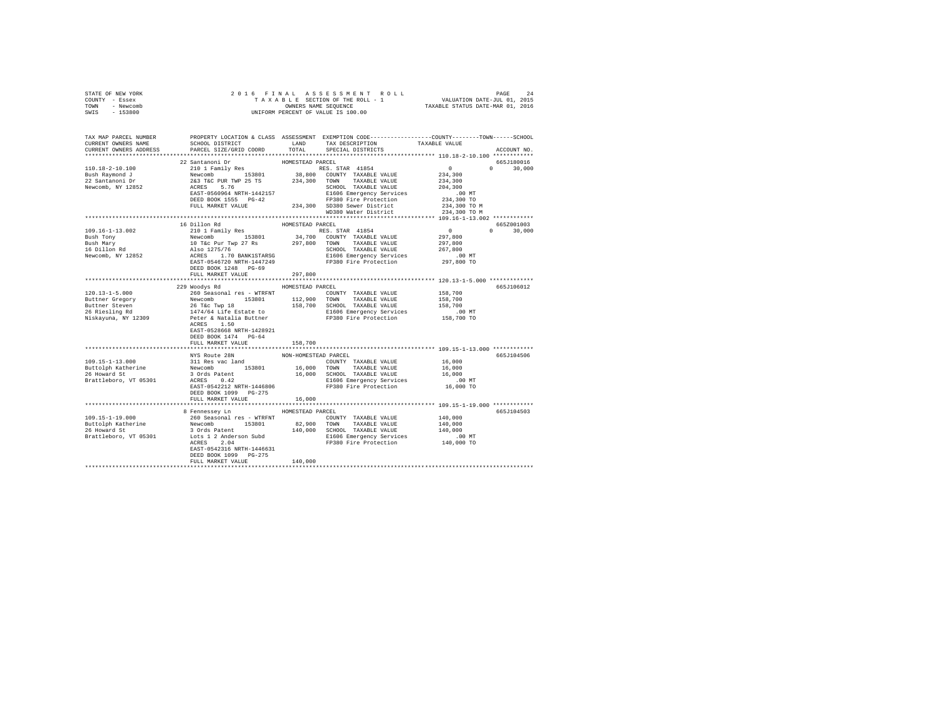| STATE OF NEW YORK                                                                                                                                                                              |                                                                                                                                                                                                                                        |                      |                                                                                                                               |         |               |
|------------------------------------------------------------------------------------------------------------------------------------------------------------------------------------------------|----------------------------------------------------------------------------------------------------------------------------------------------------------------------------------------------------------------------------------------|----------------------|-------------------------------------------------------------------------------------------------------------------------------|---------|---------------|
| COUNTY - Essex                                                                                                                                                                                 |                                                                                                                                                                                                                                        |                      |                                                                                                                               |         |               |
| TOWN - Newcomb                                                                                                                                                                                 |                                                                                                                                                                                                                                        |                      |                                                                                                                               |         |               |
| SWIS - 153800                                                                                                                                                                                  |                                                                                                                                                                                                                                        |                      |                                                                                                                               |         |               |
|                                                                                                                                                                                                |                                                                                                                                                                                                                                        |                      |                                                                                                                               |         |               |
|                                                                                                                                                                                                |                                                                                                                                                                                                                                        |                      |                                                                                                                               |         |               |
|                                                                                                                                                                                                |                                                                                                                                                                                                                                        |                      |                                                                                                                               |         |               |
|                                                                                                                                                                                                |                                                                                                                                                                                                                                        |                      |                                                                                                                               |         |               |
| TAX MAP PARCEL NUMBER PROPERTY LOCATION & CLASS ASSESSMENT EXEMPTION CODE--------------COUNTY-------TOWN------SCHOOL<br>CURRENT OWNERS NAME SCHOOL DISTRICT LAND TAX DESCRIPTION TAXABLE VALUE |                                                                                                                                                                                                                                        |                      | ${\tt SCH OOL\ DISTRICT} \hspace{2.5cm} {\tt LAND} \hspace{2.5cm} {\tt TAX\ DESCRIPTION} \hspace{2.5cm} {\tt TAXABLE\ VALUE}$ |         |               |
| CURRENT OWNERS ADDRESS                                                                                                                                                                         | PARCEL SIZE/GRID COORD                                                                                                                                                                                                                 |                      | TOTAL SPECIAL DISTRICTS                                                                                                       |         | ACCOUNT NO.   |
|                                                                                                                                                                                                |                                                                                                                                                                                                                                        |                      |                                                                                                                               |         |               |
|                                                                                                                                                                                                | 22 Santanoni Dr                                                                                                                                                                                                                        | HOMESTEAD PARCEL     |                                                                                                                               |         | 665J180016    |
| 110.18-2-10.100                                                                                                                                                                                |                                                                                                                                                                                                                                        |                      |                                                                                                                               |         |               |
|                                                                                                                                                                                                |                                                                                                                                                                                                                                        |                      |                                                                                                                               |         |               |
|                                                                                                                                                                                                |                                                                                                                                                                                                                                        |                      |                                                                                                                               |         |               |
| $\begin{tabular}{ll} \texttt{I-1.18--2--10.100} \\ \texttt{Bush Raymond J} \\ \texttt{22 Santanoni Dr} \\ \texttt{Newcomb, NY 12852} \end{tabular}$                                            |                                                                                                                                                                                                                                        |                      |                                                                                                                               |         |               |
|                                                                                                                                                                                                |                                                                                                                                                                                                                                        |                      |                                                                                                                               |         |               |
|                                                                                                                                                                                                |                                                                                                                                                                                                                                        |                      |                                                                                                                               |         |               |
|                                                                                                                                                                                                |                                                                                                                                                                                                                                        |                      |                                                                                                                               |         |               |
|                                                                                                                                                                                                |                                                                                                                                                                                                                                        |                      |                                                                                                                               |         |               |
|                                                                                                                                                                                                |                                                                                                                                                                                                                                        |                      |                                                                                                                               |         |               |
|                                                                                                                                                                                                |                                                                                                                                                                                                                                        |                      |                                                                                                                               |         |               |
|                                                                                                                                                                                                | 16 Dillon Rd                                                                                                                                                                                                                           | HOMESTEAD PARCEL     |                                                                                                                               |         | 665Z001003    |
| 109.16-1-13.002                                                                                                                                                                                | 210 1 Family Res = NUMESTEAN PARKLE RES STAR 41854<br>Newcomb 153801 34,700 COUNTY TAXABLE VALUE 297,800<br>10 T&C PUT Twp 27 Rs 297,800 TOWN TAXABLE VALUE 297,800<br>10 T&C PUT Twp 27 Rs 3297,800 TOWN TAXABLE VALUE 267,800<br>ALS |                      |                                                                                                                               |         | $0 \t 30.000$ |
| Bush Tony                                                                                                                                                                                      |                                                                                                                                                                                                                                        |                      |                                                                                                                               |         |               |
| Bush Mary<br>16 Dillon Rd<br>Newcomb, NY 12852                                                                                                                                                 |                                                                                                                                                                                                                                        |                      |                                                                                                                               |         |               |
|                                                                                                                                                                                                |                                                                                                                                                                                                                                        |                      |                                                                                                                               |         |               |
|                                                                                                                                                                                                |                                                                                                                                                                                                                                        |                      |                                                                                                                               |         |               |
|                                                                                                                                                                                                |                                                                                                                                                                                                                                        |                      |                                                                                                                               |         |               |
|                                                                                                                                                                                                | DEED BOOK 1248 PG-69                                                                                                                                                                                                                   |                      |                                                                                                                               |         |               |
|                                                                                                                                                                                                | FULL MARKET VALUE 297.800                                                                                                                                                                                                              |                      |                                                                                                                               |         |               |
|                                                                                                                                                                                                |                                                                                                                                                                                                                                        |                      |                                                                                                                               |         |               |
|                                                                                                                                                                                                |                                                                                                                                                                                                                                        |                      |                                                                                                                               |         |               |
|                                                                                                                                                                                                | 229 Woodys Rd MOMESTEAD PARCEL                                                                                                                                                                                                         |                      |                                                                                                                               |         | 665J106012    |
|                                                                                                                                                                                                |                                                                                                                                                                                                                                        |                      |                                                                                                                               | 158,700 |               |
|                                                                                                                                                                                                |                                                                                                                                                                                                                                        |                      |                                                                                                                               |         |               |
|                                                                                                                                                                                                |                                                                                                                                                                                                                                        |                      |                                                                                                                               |         |               |
|                                                                                                                                                                                                |                                                                                                                                                                                                                                        |                      |                                                                                                                               |         |               |
|                                                                                                                                                                                                |                                                                                                                                                                                                                                        |                      |                                                                                                                               |         |               |
|                                                                                                                                                                                                |                                                                                                                                                                                                                                        |                      |                                                                                                                               |         |               |
|                                                                                                                                                                                                | EAST-0528668 NRTH-1428921                                                                                                                                                                                                              |                      |                                                                                                                               |         |               |
|                                                                                                                                                                                                | DEED BOOK 1474 PG-64                                                                                                                                                                                                                   |                      |                                                                                                                               |         |               |
|                                                                                                                                                                                                | FULL MARKET VALUE                                                                                                                                                                                                                      | 158,700              |                                                                                                                               |         |               |
|                                                                                                                                                                                                |                                                                                                                                                                                                                                        |                      |                                                                                                                               |         |               |
|                                                                                                                                                                                                | NYS Route 28N                                                                                                                                                                                                                          | NON-HOMESTEAD PARCEL |                                                                                                                               |         | 665J104506    |
|                                                                                                                                                                                                |                                                                                                                                                                                                                                        |                      |                                                                                                                               |         |               |
|                                                                                                                                                                                                |                                                                                                                                                                                                                                        |                      |                                                                                                                               |         |               |
|                                                                                                                                                                                                |                                                                                                                                                                                                                                        |                      |                                                                                                                               |         |               |
|                                                                                                                                                                                                |                                                                                                                                                                                                                                        |                      |                                                                                                                               |         |               |
|                                                                                                                                                                                                |                                                                                                                                                                                                                                        |                      |                                                                                                                               |         |               |
|                                                                                                                                                                                                |                                                                                                                                                                                                                                        |                      |                                                                                                                               |         |               |
|                                                                                                                                                                                                | DEED BOOK 1099 PG-275                                                                                                                                                                                                                  |                      |                                                                                                                               |         |               |
|                                                                                                                                                                                                | FULL MARKET VALUE                                                                                                                                                                                                                      | 16,000               |                                                                                                                               |         |               |
|                                                                                                                                                                                                |                                                                                                                                                                                                                                        |                      |                                                                                                                               |         |               |
|                                                                                                                                                                                                | 8 Fennessey Ln MOMESTEAD PARCEL                                                                                                                                                                                                        |                      |                                                                                                                               |         | 665J104503    |
|                                                                                                                                                                                                |                                                                                                                                                                                                                                        |                      | XCEL<br>COUNTY TAXABLE VALUE 140,000<br>------ TAYABLE VALUE 140,000                                                          |         |               |
|                                                                                                                                                                                                |                                                                                                                                                                                                                                        |                      |                                                                                                                               |         |               |
|                                                                                                                                                                                                |                                                                                                                                                                                                                                        |                      |                                                                                                                               |         |               |
|                                                                                                                                                                                                |                                                                                                                                                                                                                                        |                      |                                                                                                                               |         |               |
|                                                                                                                                                                                                |                                                                                                                                                                                                                                        |                      |                                                                                                                               |         |               |
|                                                                                                                                                                                                | EAST-0542316 NRTH-1446631                                                                                                                                                                                                              |                      |                                                                                                                               |         |               |
|                                                                                                                                                                                                | DEED BOOK 1099 PG-275                                                                                                                                                                                                                  |                      |                                                                                                                               |         |               |
|                                                                                                                                                                                                | FULL MARKET VALUE                                                                                                                                                                                                                      | 140,000              |                                                                                                                               |         |               |
|                                                                                                                                                                                                |                                                                                                                                                                                                                                        |                      |                                                                                                                               |         |               |
|                                                                                                                                                                                                |                                                                                                                                                                                                                                        |                      |                                                                                                                               |         |               |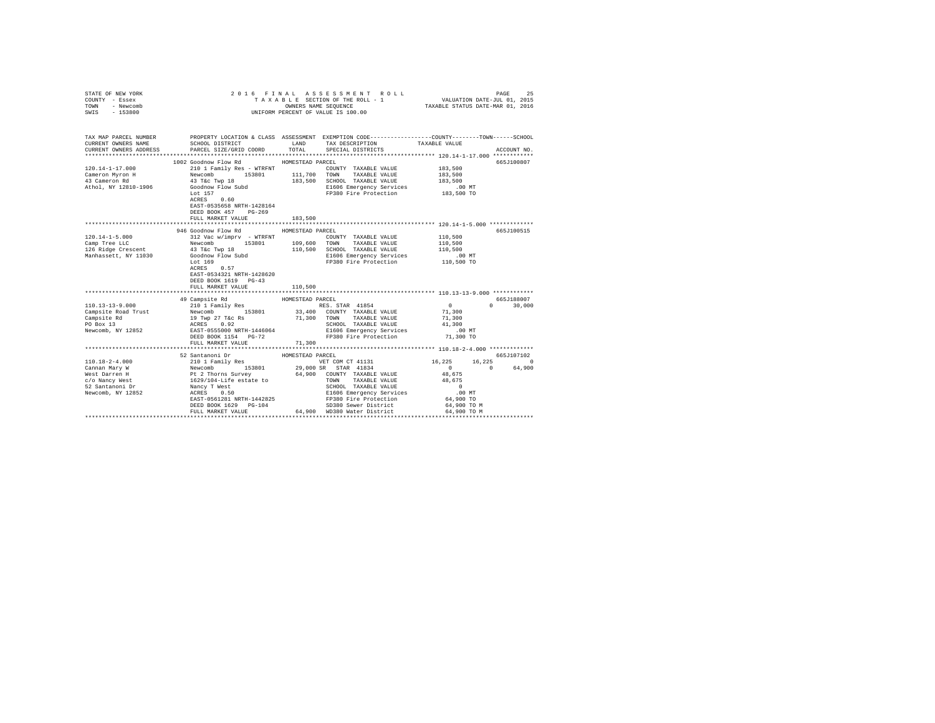| STATE OF NEW YORK<br>COUNTY - Essex<br>TOWN<br>- Newcomb<br>SWIS - 153800                                                                                                                                                                                                                                                                                                                               |                                                                                                                                                                                                                                                                                                                                                                                                                                              |                  | 2016 FINAL ASSESSMENT ROLL<br>TAXABLE SECTION OF THE ROLL - 1<br>OWNERS NAME SEQUENCE<br>UNIFORM PERCENT OF VALUE IS 100.00 | VALUATION DATE-JUL 01, 2015<br>TAXABLE STATUS DATE-MAR 01, 2016 | PAGE<br>25    |
|---------------------------------------------------------------------------------------------------------------------------------------------------------------------------------------------------------------------------------------------------------------------------------------------------------------------------------------------------------------------------------------------------------|----------------------------------------------------------------------------------------------------------------------------------------------------------------------------------------------------------------------------------------------------------------------------------------------------------------------------------------------------------------------------------------------------------------------------------------------|------------------|-----------------------------------------------------------------------------------------------------------------------------|-----------------------------------------------------------------|---------------|
|                                                                                                                                                                                                                                                                                                                                                                                                         |                                                                                                                                                                                                                                                                                                                                                                                                                                              |                  |                                                                                                                             |                                                                 |               |
| CURRENT OWNERS NAME                                                                                                                                                                                                                                                                                                                                                                                     | TAX MAP PARCEL NUMBER PROPERTY LOCATION & CLASS ASSESSMENT EXEMPTION CODE--------------COUNTY-------TOWN-----SCHOOL<br>SCHOOL DISTRICT TAND TAX DESCRIPTION                                                                                                                                                                                                                                                                                  |                  |                                                                                                                             | TAXABLE VALUE                                                   |               |
| CURRENT OWNERS ADDRESS                                                                                                                                                                                                                                                                                                                                                                                  | PARCEL SIZE/GRID COORD TOTAL                                                                                                                                                                                                                                                                                                                                                                                                                 |                  | SPECIAL DISTRICTS                                                                                                           |                                                                 | ACCOUNT NO.   |
|                                                                                                                                                                                                                                                                                                                                                                                                         |                                                                                                                                                                                                                                                                                                                                                                                                                                              |                  |                                                                                                                             |                                                                 | 665J100807    |
| 120.14-1-17.000                                                                                                                                                                                                                                                                                                                                                                                         | 1002 Goodnow Flow Rd MOMESTEAD PARCEL<br>210 1 Family Res - WTRFNT                                                                                                                                                                                                                                                                                                                                                                           |                  | COUNTY TAXABLE VALUE 183,500                                                                                                |                                                                 |               |
|                                                                                                                                                                                                                                                                                                                                                                                                         |                                                                                                                                                                                                                                                                                                                                                                                                                                              |                  | TAXABLE VALUE                                                                                                               | 183,500                                                         |               |
| Cameron Myron H<br>43 Cameron Rd                                                                                                                                                                                                                                                                                                                                                                        |                                                                                                                                                                                                                                                                                                                                                                                                                                              |                  | 183,500 SCHOOL TAXABLE VALUE                                                                                                | 183,500                                                         |               |
| Athol, NY 12810-1906                                                                                                                                                                                                                                                                                                                                                                                    | $\begin{tabular}{l c c c c c} \multicolumn{2}{c}{\textbf{Newcomb}} & \multicolumn{2}{c}{\textbf{153.801}} & \multicolumn{2}{c}{\textbf{111,700}} & \multicolumn{2}{c}{\textbf{TOWN}} \\ \multicolumn{2}{c}{\textbf{Newcomb}} & \multicolumn{2}{c}{\textbf{133.500}} & \multicolumn{2}{c}{\textbf{111,700}} & \multicolumn{2}{c}{\textbf{TOWN}} \\ \multicolumn{2}{c}{\textbf{Goodnow Flow Subd}} & \multicolumn{2}{c}{\textbf{183.500}} & \$ |                  |                                                                                                                             |                                                                 |               |
|                                                                                                                                                                                                                                                                                                                                                                                                         | Lot 157                                                                                                                                                                                                                                                                                                                                                                                                                                      |                  | E1606 Emergency Services .00 MT<br>FP380 Fire Protection 183,500 TO                                                         |                                                                 |               |
|                                                                                                                                                                                                                                                                                                                                                                                                         | ACRES 0.60                                                                                                                                                                                                                                                                                                                                                                                                                                   |                  |                                                                                                                             |                                                                 |               |
|                                                                                                                                                                                                                                                                                                                                                                                                         | EAST-0535658 NRTH-1428164                                                                                                                                                                                                                                                                                                                                                                                                                    |                  |                                                                                                                             |                                                                 |               |
|                                                                                                                                                                                                                                                                                                                                                                                                         | DEED BOOK 457 PG-269                                                                                                                                                                                                                                                                                                                                                                                                                         |                  |                                                                                                                             |                                                                 |               |
|                                                                                                                                                                                                                                                                                                                                                                                                         | FULL MARKET VALUE                                                                                                                                                                                                                                                                                                                                                                                                                            | 183,500          |                                                                                                                             |                                                                 |               |
|                                                                                                                                                                                                                                                                                                                                                                                                         |                                                                                                                                                                                                                                                                                                                                                                                                                                              |                  |                                                                                                                             |                                                                 |               |
|                                                                                                                                                                                                                                                                                                                                                                                                         | 946 Goodnow Flow Rd                                                                                                                                                                                                                                                                                                                                                                                                                          | HOMESTEAD PARCEL |                                                                                                                             |                                                                 | 665J100515    |
| $120.14 - 1 - 5.000$                                                                                                                                                                                                                                                                                                                                                                                    | 312 Vac w/imprv - WTRFNT                                                                                                                                                                                                                                                                                                                                                                                                                     |                  | COUNTY TAXABLE VALUE                                                                                                        | 110,500                                                         |               |
| Camp Tree LLC                                                                                                                                                                                                                                                                                                                                                                                           | Newcomb 153801 109,600 TOWN TAXABLE VALUE<br>43 T&C Twp 18 110,500 SCHOOL TAXABLE VALUE                                                                                                                                                                                                                                                                                                                                                      |                  |                                                                                                                             | 110,500                                                         |               |
| 126 Ridge Crescent<br>Manhassett, NY 11030 Goodnow Flow Subd                                                                                                                                                                                                                                                                                                                                            |                                                                                                                                                                                                                                                                                                                                                                                                                                              |                  | 110,500 SCHOOL TAXABLE VALUE                                                                                                | 110,500                                                         |               |
|                                                                                                                                                                                                                                                                                                                                                                                                         | Lot 169                                                                                                                                                                                                                                                                                                                                                                                                                                      |                  | E1606 Emergency Services                                                                                                    | 00 MT.<br>110,500 TO                                            |               |
|                                                                                                                                                                                                                                                                                                                                                                                                         | ACRES 0.57                                                                                                                                                                                                                                                                                                                                                                                                                                   |                  | FP380 Fire Protection                                                                                                       |                                                                 |               |
|                                                                                                                                                                                                                                                                                                                                                                                                         | EAST-0534321 NRTH-1428620                                                                                                                                                                                                                                                                                                                                                                                                                    |                  |                                                                                                                             |                                                                 |               |
|                                                                                                                                                                                                                                                                                                                                                                                                         | DEED BOOK 1619 PG-43                                                                                                                                                                                                                                                                                                                                                                                                                         |                  |                                                                                                                             |                                                                 |               |
|                                                                                                                                                                                                                                                                                                                                                                                                         | FULL MARKET VALUE                                                                                                                                                                                                                                                                                                                                                                                                                            | 110,500          |                                                                                                                             |                                                                 |               |
|                                                                                                                                                                                                                                                                                                                                                                                                         |                                                                                                                                                                                                                                                                                                                                                                                                                                              |                  |                                                                                                                             |                                                                 |               |
|                                                                                                                                                                                                                                                                                                                                                                                                         |                                                                                                                                                                                                                                                                                                                                                                                                                                              | HOMESTEAD PARCEL |                                                                                                                             |                                                                 | 665J188007    |
| $110.13 - 13 - 9.000$                                                                                                                                                                                                                                                                                                                                                                                   | 49 Campsite Rd<br>210 1 Family Res                                                                                                                                                                                                                                                                                                                                                                                                           |                  | RES. STAR 41854                                                                                                             | $\sim$ 0                                                        | $0 \t 30,000$ |
| Campsite Road Trust                                                                                                                                                                                                                                                                                                                                                                                     | Newcomb 153801                                                                                                                                                                                                                                                                                                                                                                                                                               |                  |                                                                                                                             | 71,300<br>71,300                                                |               |
|                                                                                                                                                                                                                                                                                                                                                                                                         |                                                                                                                                                                                                                                                                                                                                                                                                                                              |                  | 33,400 COUNTY TAXABLE VALUE<br>71,300 TOWN TAXABLE VALUE                                                                    |                                                                 |               |
|                                                                                                                                                                                                                                                                                                                                                                                                         |                                                                                                                                                                                                                                                                                                                                                                                                                                              |                  | SCHOOL TAXABLE VALUE                                                                                                        | 41,300                                                          |               |
| $\begin{tabular}{lllllllllll} \multicolumn{4}{c}{\tt Campsite Rd} & & & 19 \ \texttt{Two } 27 \ \texttt{Ke} & \texttt{RS} \\ \texttt{PO} \ \texttt{Box } 13 & & & & \texttt{ACRES} & 0.92 \\ \texttt{Newcomb, NY } 12852 & & & \texttt{ACRES} & 0.92 \\ \end{tabular}$                                                                                                                                  |                                                                                                                                                                                                                                                                                                                                                                                                                                              |                  | E1606 Emergency Services .00 MT                                                                                             |                                                                 |               |
|                                                                                                                                                                                                                                                                                                                                                                                                         | DEED BOOK 1154 PG-72                                                                                                                                                                                                                                                                                                                                                                                                                         |                  | FP380 Fire Protection                                                                                                       | 71,300 TO                                                       |               |
|                                                                                                                                                                                                                                                                                                                                                                                                         | FULL MARKET VALUE                                                                                                                                                                                                                                                                                                                                                                                                                            | 71,300           |                                                                                                                             |                                                                 |               |
|                                                                                                                                                                                                                                                                                                                                                                                                         |                                                                                                                                                                                                                                                                                                                                                                                                                                              |                  |                                                                                                                             |                                                                 |               |
|                                                                                                                                                                                                                                                                                                                                                                                                         | 52 Santanoni Dr                                                                                                                                                                                                                                                                                                                                                                                                                              | HOMESTEAD PARCEL |                                                                                                                             |                                                                 | 665J107102    |
|                                                                                                                                                                                                                                                                                                                                                                                                         |                                                                                                                                                                                                                                                                                                                                                                                                                                              |                  |                                                                                                                             | 16,225<br>$\sim$ 0<br>$\sim$ 0                                  | 16.225 0      |
|                                                                                                                                                                                                                                                                                                                                                                                                         |                                                                                                                                                                                                                                                                                                                                                                                                                                              |                  |                                                                                                                             |                                                                 | 64,900        |
|                                                                                                                                                                                                                                                                                                                                                                                                         |                                                                                                                                                                                                                                                                                                                                                                                                                                              |                  |                                                                                                                             | 48,675<br>48,675                                                |               |
| $\begin{tabular}{l c c c c c} \hline & 52 Santon101.18-2-4.000 & 52 Santon101 Pure\\ \hline \multicolumn{3}{c}{\texttt{110.18-2-4.000}} & 52 Santon101 Pame11Y Res & 127 OMO STADI & 11311\\ \hline \multicolumn{3}{c}{\texttt{Cannan Mary N}} & \multicolumn{3}{c}{\texttt{Newton}} & 153801 & 29,000 SR & STAR 41834\\ \hline \multicolumn{3}{c}{\texttt{West l2T}} & \multicolumn{3}{c}{\texttt{New$ |                                                                                                                                                                                                                                                                                                                                                                                                                                              |                  |                                                                                                                             | $\sim$ 0                                                        |               |
|                                                                                                                                                                                                                                                                                                                                                                                                         |                                                                                                                                                                                                                                                                                                                                                                                                                                              |                  |                                                                                                                             | .00 MT                                                          |               |
|                                                                                                                                                                                                                                                                                                                                                                                                         |                                                                                                                                                                                                                                                                                                                                                                                                                                              |                  |                                                                                                                             | 64,900 TO                                                       |               |
|                                                                                                                                                                                                                                                                                                                                                                                                         |                                                                                                                                                                                                                                                                                                                                                                                                                                              |                  |                                                                                                                             | 64,900 TO M                                                     |               |
|                                                                                                                                                                                                                                                                                                                                                                                                         |                                                                                                                                                                                                                                                                                                                                                                                                                                              |                  |                                                                                                                             | 64,900 TO M                                                     |               |
|                                                                                                                                                                                                                                                                                                                                                                                                         |                                                                                                                                                                                                                                                                                                                                                                                                                                              |                  |                                                                                                                             |                                                                 |               |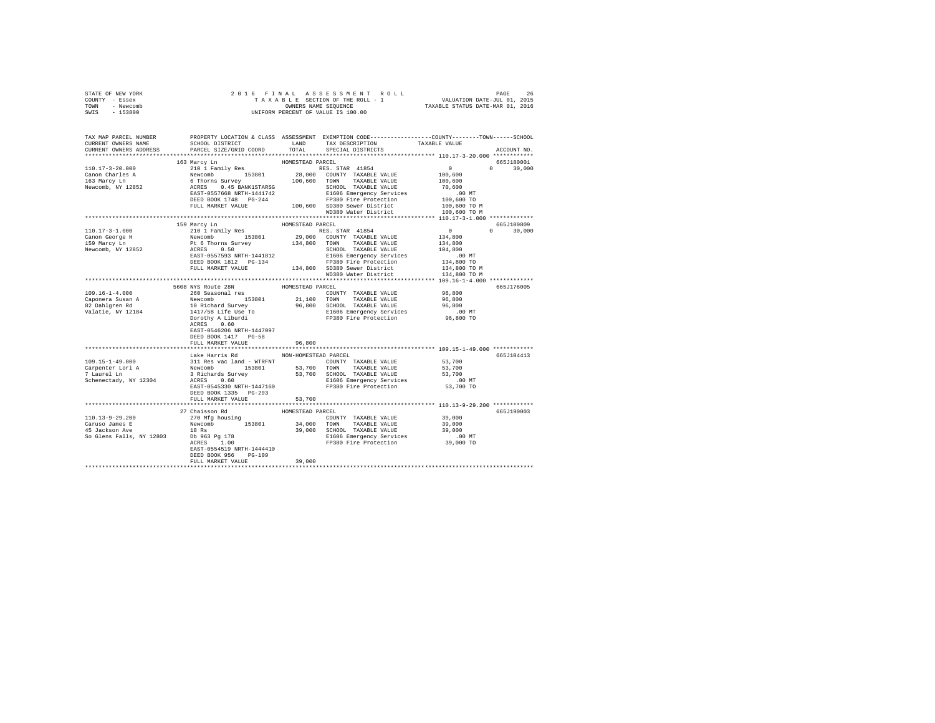| STATE OF NEW YORK                                                                                                                                                                                                                    |                                                                                                                                                                                                                                                          |                      |                                                                            |                                                                                                                                                                                                 |
|--------------------------------------------------------------------------------------------------------------------------------------------------------------------------------------------------------------------------------------|----------------------------------------------------------------------------------------------------------------------------------------------------------------------------------------------------------------------------------------------------------|----------------------|----------------------------------------------------------------------------|-------------------------------------------------------------------------------------------------------------------------------------------------------------------------------------------------|
| COUNTY - Essex                                                                                                                                                                                                                       |                                                                                                                                                                                                                                                          |                      |                                                                            |                                                                                                                                                                                                 |
| TOWN - Newcomb                                                                                                                                                                                                                       |                                                                                                                                                                                                                                                          |                      |                                                                            |                                                                                                                                                                                                 |
| SWIS - 153800                                                                                                                                                                                                                        |                                                                                                                                                                                                                                                          |                      |                                                                            |                                                                                                                                                                                                 |
|                                                                                                                                                                                                                                      |                                                                                                                                                                                                                                                          |                      |                                                                            |                                                                                                                                                                                                 |
|                                                                                                                                                                                                                                      |                                                                                                                                                                                                                                                          |                      |                                                                            |                                                                                                                                                                                                 |
|                                                                                                                                                                                                                                      |                                                                                                                                                                                                                                                          |                      |                                                                            |                                                                                                                                                                                                 |
|                                                                                                                                                                                                                                      |                                                                                                                                                                                                                                                          |                      |                                                                            | TAX MAP PARCEL NUMBER PROPERTY LOCATION & CLASS ASSESSMENT EXEMPTION CODE---------------COUNTY-------TOWN------SCHOOL<br>CURRENT OWNERS NAME SCHOOL DISTRICT LAND TAX DESCRIPTION TAXABLE VALUE |
|                                                                                                                                                                                                                                      |                                                                                                                                                                                                                                                          |                      |                                                                            |                                                                                                                                                                                                 |
| CURRENT OWNERS ADDRESS                                                                                                                                                                                                               | PARCEL SIZE/GRID COORD TOTAL                                                                                                                                                                                                                             |                      | SPECIAL DISTRICTS                                                          | ACCOUNT NO.                                                                                                                                                                                     |
|                                                                                                                                                                                                                                      |                                                                                                                                                                                                                                                          |                      |                                                                            |                                                                                                                                                                                                 |
|                                                                                                                                                                                                                                      | 163 Marcy Ln                                                                                                                                                                                                                                             | HOMESTEAD PARCEL     |                                                                            | 665J180001                                                                                                                                                                                      |
|                                                                                                                                                                                                                                      |                                                                                                                                                                                                                                                          |                      |                                                                            |                                                                                                                                                                                                 |
|                                                                                                                                                                                                                                      |                                                                                                                                                                                                                                                          |                      |                                                                            |                                                                                                                                                                                                 |
|                                                                                                                                                                                                                                      |                                                                                                                                                                                                                                                          |                      |                                                                            |                                                                                                                                                                                                 |
|                                                                                                                                                                                                                                      |                                                                                                                                                                                                                                                          |                      |                                                                            |                                                                                                                                                                                                 |
|                                                                                                                                                                                                                                      |                                                                                                                                                                                                                                                          |                      |                                                                            |                                                                                                                                                                                                 |
|                                                                                                                                                                                                                                      |                                                                                                                                                                                                                                                          |                      |                                                                            |                                                                                                                                                                                                 |
|                                                                                                                                                                                                                                      |                                                                                                                                                                                                                                                          |                      |                                                                            |                                                                                                                                                                                                 |
|                                                                                                                                                                                                                                      |                                                                                                                                                                                                                                                          |                      |                                                                            |                                                                                                                                                                                                 |
|                                                                                                                                                                                                                                      |                                                                                                                                                                                                                                                          |                      |                                                                            |                                                                                                                                                                                                 |
|                                                                                                                                                                                                                                      |                                                                                                                                                                                                                                                          | HOMESTEAD PARCEL     |                                                                            | 665J100809                                                                                                                                                                                      |
|                                                                                                                                                                                                                                      | 159 Marcy Ln<br>210 1 Family Res (1808)<br>PARCEL PRES STAR 41854<br>Newcomb 153801 29,000 COUNTY TAXABLE VALUE 134,800<br>Pt 6 Thorns Survey 134,800 TOWN TAXABLE VALUE 134,800<br>REST-0557593 NRTH-1441812 SCHOOL TAXABLE VALUE 134,800<br>REST-05575 |                      |                                                                            |                                                                                                                                                                                                 |
| $110.17 - 3 - 1.000$                                                                                                                                                                                                                 |                                                                                                                                                                                                                                                          |                      |                                                                            | $0 \t 30,000$                                                                                                                                                                                   |
| Canon George H<br>159 Marcy Ln<br>Newcomb, NY 12852                                                                                                                                                                                  |                                                                                                                                                                                                                                                          |                      |                                                                            |                                                                                                                                                                                                 |
|                                                                                                                                                                                                                                      |                                                                                                                                                                                                                                                          |                      |                                                                            |                                                                                                                                                                                                 |
|                                                                                                                                                                                                                                      |                                                                                                                                                                                                                                                          |                      |                                                                            |                                                                                                                                                                                                 |
|                                                                                                                                                                                                                                      |                                                                                                                                                                                                                                                          |                      |                                                                            |                                                                                                                                                                                                 |
|                                                                                                                                                                                                                                      |                                                                                                                                                                                                                                                          |                      |                                                                            |                                                                                                                                                                                                 |
|                                                                                                                                                                                                                                      |                                                                                                                                                                                                                                                          |                      | 134,800 SD380 Sever District<br>WD380 Wer District<br>WD380 Water District | 134,800 TO M                                                                                                                                                                                    |
|                                                                                                                                                                                                                                      |                                                                                                                                                                                                                                                          |                      |                                                                            | 134,800 TO M                                                                                                                                                                                    |
|                                                                                                                                                                                                                                      |                                                                                                                                                                                                                                                          |                      |                                                                            |                                                                                                                                                                                                 |
|                                                                                                                                                                                                                                      |                                                                                                                                                                                                                                                          |                      |                                                                            |                                                                                                                                                                                                 |
|                                                                                                                                                                                                                                      |                                                                                                                                                                                                                                                          | HOMESTEAD PARCEL     |                                                                            | 665J176005                                                                                                                                                                                      |
|                                                                                                                                                                                                                                      |                                                                                                                                                                                                                                                          |                      | COUNTY TAXABLE VALUE                                                       | 96,800                                                                                                                                                                                          |
| $109.16 - 1 - 4.000$                                                                                                                                                                                                                 | 5608 NYS Route 28N<br>260 Seasonal res                                                                                                                                                                                                                   |                      |                                                                            |                                                                                                                                                                                                 |
|                                                                                                                                                                                                                                      |                                                                                                                                                                                                                                                          |                      |                                                                            |                                                                                                                                                                                                 |
|                                                                                                                                                                                                                                      |                                                                                                                                                                                                                                                          |                      |                                                                            |                                                                                                                                                                                                 |
|                                                                                                                                                                                                                                      |                                                                                                                                                                                                                                                          |                      |                                                                            |                                                                                                                                                                                                 |
|                                                                                                                                                                                                                                      |                                                                                                                                                                                                                                                          |                      |                                                                            |                                                                                                                                                                                                 |
| Caponera Susan A avevolub 153801 21,100 TOWN TAXABLE VALUE 96,800<br>82 Dahlgren Rd 10 Richard Survey 96,800 SCHOOL TAXABLE VALUE 96,800<br>82 Dahlgren Rd 10 Richard Survey A Librard B1606 Emergency Services<br>10 Dorothy A Libr | ACRES 0.60                                                                                                                                                                                                                                               |                      |                                                                            |                                                                                                                                                                                                 |
|                                                                                                                                                                                                                                      | EAST-0546206 NRTH-1447097                                                                                                                                                                                                                                |                      |                                                                            |                                                                                                                                                                                                 |
|                                                                                                                                                                                                                                      | DEED BOOK 1417 PG-58                                                                                                                                                                                                                                     |                      |                                                                            |                                                                                                                                                                                                 |
|                                                                                                                                                                                                                                      | FULL MARKET VALUE                                                                                                                                                                                                                                        | 96,800               |                                                                            |                                                                                                                                                                                                 |
|                                                                                                                                                                                                                                      |                                                                                                                                                                                                                                                          |                      |                                                                            |                                                                                                                                                                                                 |
|                                                                                                                                                                                                                                      | Lake Harris Rd                                                                                                                                                                                                                                           | NON-HOMESTEAD PARCEL |                                                                            | 665J104413                                                                                                                                                                                      |
|                                                                                                                                                                                                                                      |                                                                                                                                                                                                                                                          |                      |                                                                            |                                                                                                                                                                                                 |
|                                                                                                                                                                                                                                      |                                                                                                                                                                                                                                                          |                      |                                                                            |                                                                                                                                                                                                 |
|                                                                                                                                                                                                                                      |                                                                                                                                                                                                                                                          |                      |                                                                            |                                                                                                                                                                                                 |
|                                                                                                                                                                                                                                      |                                                                                                                                                                                                                                                          |                      |                                                                            |                                                                                                                                                                                                 |
|                                                                                                                                                                                                                                      |                                                                                                                                                                                                                                                          |                      |                                                                            |                                                                                                                                                                                                 |
|                                                                                                                                                                                                                                      | DEED BOOK 1335 PG-293                                                                                                                                                                                                                                    |                      |                                                                            |                                                                                                                                                                                                 |
|                                                                                                                                                                                                                                      | FULL MARKET VALUE                                                                                                                                                                                                                                        | 53,700               |                                                                            |                                                                                                                                                                                                 |
|                                                                                                                                                                                                                                      |                                                                                                                                                                                                                                                          |                      |                                                                            |                                                                                                                                                                                                 |
|                                                                                                                                                                                                                                      |                                                                                                                                                                                                                                                          |                      |                                                                            | 665J190003                                                                                                                                                                                      |
|                                                                                                                                                                                                                                      |                                                                                                                                                                                                                                                          |                      |                                                                            |                                                                                                                                                                                                 |
|                                                                                                                                                                                                                                      |                                                                                                                                                                                                                                                          |                      |                                                                            |                                                                                                                                                                                                 |
|                                                                                                                                                                                                                                      |                                                                                                                                                                                                                                                          |                      |                                                                            |                                                                                                                                                                                                 |
|                                                                                                                                                                                                                                      |                                                                                                                                                                                                                                                          |                      |                                                                            |                                                                                                                                                                                                 |
|                                                                                                                                                                                                                                      |                                                                                                                                                                                                                                                          |                      |                                                                            |                                                                                                                                                                                                 |
|                                                                                                                                                                                                                                      |                                                                                                                                                                                                                                                          |                      |                                                                            |                                                                                                                                                                                                 |
|                                                                                                                                                                                                                                      | DEED BOOK 956 PG-109                                                                                                                                                                                                                                     |                      |                                                                            |                                                                                                                                                                                                 |
|                                                                                                                                                                                                                                      | FULL MARKET VALUE                                                                                                                                                                                                                                        | 39,000               |                                                                            |                                                                                                                                                                                                 |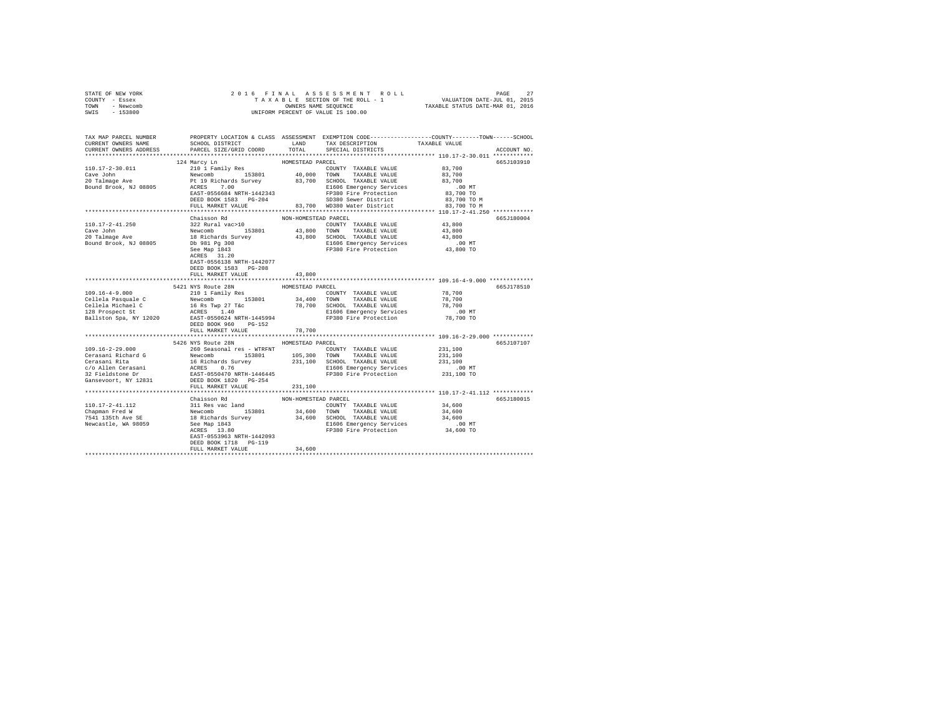| STATE OF NEW YORK                                                                                                     | 2016 FINAL                                                                                 |                      |                                                                                                                                                                                                                           |               |             |
|-----------------------------------------------------------------------------------------------------------------------|--------------------------------------------------------------------------------------------|----------------------|---------------------------------------------------------------------------------------------------------------------------------------------------------------------------------------------------------------------------|---------------|-------------|
| COUNTY - Essex                                                                                                        |                                                                                            |                      | PAGE 27 אפראפים באפראפים באפראפים באפראפים באפראפים באפראפים באפראפים באפראפים באפראפים באפראפים באפראפים באפר<br>101, 2015 - NALUATION DATE-JUL 1<br>0101 0NNERS NAME SEQUENCE באפראפים TAXABLE STATUS DATE-MAR 01, 2016 |               |             |
| TOWN - Newcomb                                                                                                        |                                                                                            |                      | OWNERS NAME SEQUENCE                                                                                                                                                                                                      |               |             |
| $-153800$<br>SWIS                                                                                                     |                                                                                            |                      | UNIFORM PERCENT OF VALUE IS 100.00                                                                                                                                                                                        |               |             |
|                                                                                                                       |                                                                                            |                      |                                                                                                                                                                                                                           |               |             |
|                                                                                                                       |                                                                                            |                      |                                                                                                                                                                                                                           |               |             |
|                                                                                                                       |                                                                                            |                      |                                                                                                                                                                                                                           |               |             |
| TAX MAP PARCEL NUMBER   PROPERTY LOCATION & CLASS ASSESSMENT EXEMPTION CODE--------------COUNTY-------TOWN-----SCHOOL |                                                                                            |                      |                                                                                                                                                                                                                           |               |             |
| CURRENT OWNERS NAME                                                                                                   | SCHOOL DISTRICT LAND                                                                       |                      | TAX DESCRIPTION                                                                                                                                                                                                           | TAXABLE VALUE |             |
| CURRENT OWNERS ADDRESS                                                                                                | PARCEL SIZE/GRID COORD                                                                     | TOTAL                | SPECIAL DISTRICTS                                                                                                                                                                                                         |               | ACCOUNT NO. |
|                                                                                                                       |                                                                                            |                      |                                                                                                                                                                                                                           |               |             |
|                                                                                                                       | 124 Marcy Ln                                                                               | HOMESTEAD PARCEL     |                                                                                                                                                                                                                           |               | 665J103910  |
| $110.17 - 2 - 30.011$                                                                                                 | 210 1 Family Res                                                                           |                      | COUNTY TAXABLE VALUE                                                                                                                                                                                                      | 83,700        |             |
| Cave John                                                                                                             |                                                                                            |                      |                                                                                                                                                                                                                           | 83,700        |             |
|                                                                                                                       |                                                                                            |                      |                                                                                                                                                                                                                           | 83,700        |             |
| 20 Talmage Ave<br>Bound Brook, NJ 08805                                                                               |                                                                                            |                      | Newcomb 153801 40,000 TOWN TAXABLE VALUE<br>Pt 19 Richards Survey 83,700 SCHOOL TAXABLE VALUE<br>ACRES 7.00 RI606 Emergency Services                                                                                      | .00MT         |             |
|                                                                                                                       |                                                                                            |                      | ACRES 7.00<br>EAST-0556684 NRTH-1442343 PP380 Fire Protection<br>here anno 1583 PG-204 SD380 Sewer District                                                                                                               | 83,700 TO     |             |
|                                                                                                                       |                                                                                            |                      |                                                                                                                                                                                                                           | 83,700 TO M   |             |
|                                                                                                                       | FULL MARKET VALUE                                                                          |                      | 83.700 WD380 Water District 83.700 TO M                                                                                                                                                                                   |               |             |
|                                                                                                                       |                                                                                            |                      |                                                                                                                                                                                                                           |               |             |
|                                                                                                                       |                                                                                            |                      |                                                                                                                                                                                                                           |               |             |
|                                                                                                                       | Chaisson Rd                                                                                | NON-HOMESTEAD PARCEL |                                                                                                                                                                                                                           |               | 665J180004  |
| 110.17-2-41.250                                                                                                       | 322 Rural vac>10                                                                           |                      | COUNTY TAXABLE VALUE                                                                                                                                                                                                      | 43,800        |             |
| Cave John                                                                                                             | Newcomb 153801 43,800 TOWN TAXABLE VALUE<br>18 Richards Survey 43,800 SCHOOL TAXABLE VALUE |                      |                                                                                                                                                                                                                           | 43,800        |             |
| 20 Talmage Ave                                                                                                        |                                                                                            |                      |                                                                                                                                                                                                                           | 43,800        |             |
| Bound Brook, NJ 08805                                                                                                 | Db 981 Pg 308                                                                              |                      | E1606 Emergency Services .00 MT<br>FP380 Fire Protection 43,800 TO                                                                                                                                                        |               |             |
|                                                                                                                       | See Map 1843                                                                               |                      |                                                                                                                                                                                                                           |               |             |
|                                                                                                                       | ACRES 31.20                                                                                |                      |                                                                                                                                                                                                                           |               |             |
|                                                                                                                       | EAST-0556138 NRTH-1442077                                                                  |                      |                                                                                                                                                                                                                           |               |             |
|                                                                                                                       | DEED BOOK 1583 PG-208                                                                      |                      |                                                                                                                                                                                                                           |               |             |
|                                                                                                                       | FULL MARKET VALUE                                                                          | 43,800               |                                                                                                                                                                                                                           |               |             |
|                                                                                                                       |                                                                                            |                      |                                                                                                                                                                                                                           |               |             |
|                                                                                                                       | 5421 NYS Route 28N                                                                         | HOMESTEAD PARCEL     |                                                                                                                                                                                                                           |               | 665J178510  |
| $109.16 - 4 - 9.000$                                                                                                  | 210 1 Family Res                                                                           |                      | COUNTY TAXABLE VALUE                                                                                                                                                                                                      | 78,700        |             |
| Cellela Pasquale C                                                                                                    |                                                                                            |                      |                                                                                                                                                                                                                           |               |             |
|                                                                                                                       | Newcomb 153801 34,400 TOWN TAXABLE VALUE                                                   |                      |                                                                                                                                                                                                                           | 78,700        |             |
|                                                                                                                       |                                                                                            |                      |                                                                                                                                                                                                                           |               |             |
|                                                                                                                       |                                                                                            |                      |                                                                                                                                                                                                                           |               |             |
|                                                                                                                       |                                                                                            |                      |                                                                                                                                                                                                                           |               |             |
|                                                                                                                       | DEED BOOK 960 PG-152                                                                       |                      |                                                                                                                                                                                                                           |               |             |
|                                                                                                                       | FULL MARKET VALUE                                                                          | 78,700               |                                                                                                                                                                                                                           |               |             |
|                                                                                                                       |                                                                                            |                      |                                                                                                                                                                                                                           |               |             |
|                                                                                                                       | 5426 NYS Route 28N HOMESTEAD PARCEL                                                        |                      |                                                                                                                                                                                                                           |               | 665J107107  |
| $109.16 - 2 - 29.000$                                                                                                 | 260 Seasonal res - WTRFNT                                                                  |                      | COUNTY TAXABLE VALUE                                                                                                                                                                                                      | 231,100       |             |
|                                                                                                                       |                                                                                            |                      |                                                                                                                                                                                                                           | 231,100       |             |
|                                                                                                                       |                                                                                            |                      |                                                                                                                                                                                                                           | 231,100       |             |
|                                                                                                                       |                                                                                            |                      |                                                                                                                                                                                                                           | $.00$ MT      |             |
|                                                                                                                       |                                                                                            |                      |                                                                                                                                                                                                                           | 231,100 TO    |             |
|                                                                                                                       |                                                                                            |                      |                                                                                                                                                                                                                           |               |             |
|                                                                                                                       |                                                                                            |                      |                                                                                                                                                                                                                           |               |             |
|                                                                                                                       | FULL MARKET VALUE                                                                          | 231,100              |                                                                                                                                                                                                                           |               |             |
|                                                                                                                       |                                                                                            |                      |                                                                                                                                                                                                                           |               |             |
|                                                                                                                       | Chaisson Rd                                                                                | NON-HOMESTEAD PARCEL |                                                                                                                                                                                                                           |               | 665J180015  |
| 110.17-2-41.112                                                                                                       |                                                                                            |                      |                                                                                                                                                                                                                           |               |             |
| Chapman Fred W<br>7541 135th Ave SE                                                                                   |                                                                                            |                      |                                                                                                                                                                                                                           |               |             |
|                                                                                                                       |                                                                                            |                      |                                                                                                                                                                                                                           |               |             |
| Newcastle, WA 98059                                                                                                   |                                                                                            |                      |                                                                                                                                                                                                                           |               |             |
|                                                                                                                       |                                                                                            |                      |                                                                                                                                                                                                                           |               |             |
|                                                                                                                       |                                                                                            |                      |                                                                                                                                                                                                                           |               |             |
|                                                                                                                       | DEED BOOK 1718 PG-119                                                                      |                      |                                                                                                                                                                                                                           |               |             |
|                                                                                                                       | FULL MARKET VALUE                                                                          | 34,600               |                                                                                                                                                                                                                           |               |             |
|                                                                                                                       |                                                                                            |                      |                                                                                                                                                                                                                           |               |             |
|                                                                                                                       |                                                                                            |                      |                                                                                                                                                                                                                           |               |             |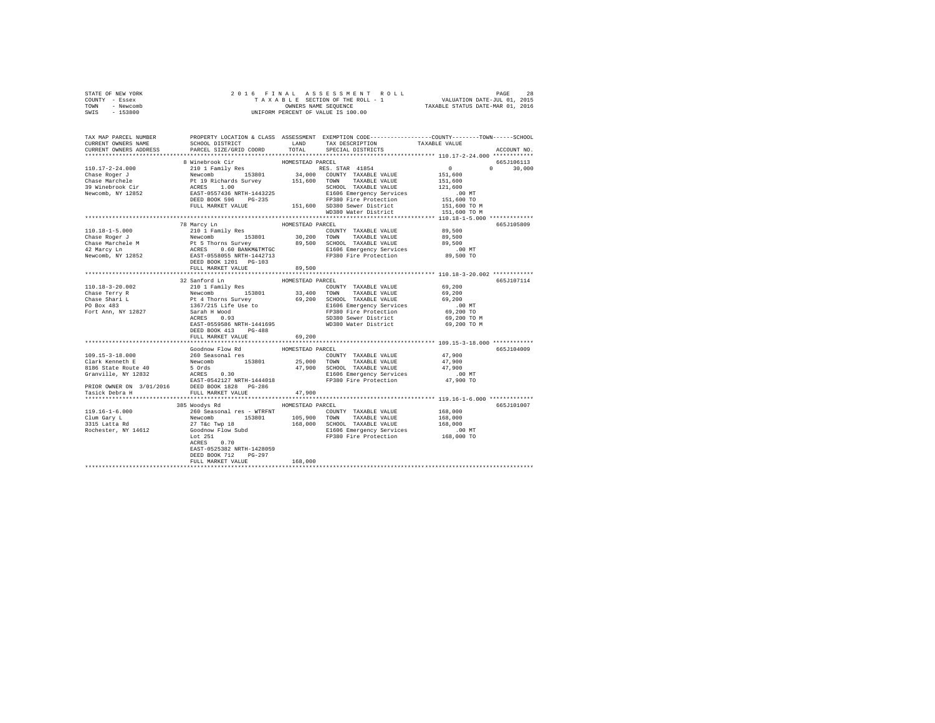| STATE OF NEW YORK | 2016 FINAL ASSESSMENT ROLL         | 28<br>PAGE                       |
|-------------------|------------------------------------|----------------------------------|
| COUNTY<br>- Essex | TAXABLE SECTION OF THE ROLL - 1    | VALUATION DATE-JUL 01, 2015      |
| - Newcomb<br>TOWN | OWNERS NAME SEOUENCE               | TAXABLE STATUS DATE-MAR 01, 2016 |
| $-153800$<br>SWIS | UNIFORM PERCENT OF VALUE IS 100.00 |                                  |

| TAX MAP PARCEL NUMBER<br>CURRENT OWNERS NAME   | PROPERTY LOCATION & CLASS ASSESSMENT EXEMPTION CODE---------------COUNTY-------TOWN------SCHOOL<br>SCHOOL DISTRICT<br>SCHOOL DISTRICT<br>PARCEL SIZE/GRID COORD                                                                        |                  | LAND TAX DESCRIPTION                                                                                                                                                                                                                                                        | TAXABLE VALUE |                                 |
|------------------------------------------------|----------------------------------------------------------------------------------------------------------------------------------------------------------------------------------------------------------------------------------------|------------------|-----------------------------------------------------------------------------------------------------------------------------------------------------------------------------------------------------------------------------------------------------------------------------|---------------|---------------------------------|
| CURRENT OWNERS ADDRESS                         |                                                                                                                                                                                                                                        |                  | TOTAL SPECIAL DISTRICTS                                                                                                                                                                                                                                                     |               | ACCOUNT NO.                     |
|                                                | 3 Winebrook Cir (10.17-2-24.000 2010 Fmily Res (11.53801 PMC 2010 2010 FMARIE VALUE (11.600 CONTY TAXABLE VALUE 151,600 CONTY Chase Reger J<br>Chase Reger J Nichards Survey 151,600 CONTY TAXABLE VALUE 151,600<br>Chase Marchele     |                  |                                                                                                                                                                                                                                                                             |               | 665J106113                      |
|                                                |                                                                                                                                                                                                                                        |                  |                                                                                                                                                                                                                                                                             |               | $\Omega$ and $\Omega$<br>30,000 |
|                                                |                                                                                                                                                                                                                                        |                  |                                                                                                                                                                                                                                                                             |               |                                 |
|                                                |                                                                                                                                                                                                                                        |                  |                                                                                                                                                                                                                                                                             |               |                                 |
|                                                |                                                                                                                                                                                                                                        |                  |                                                                                                                                                                                                                                                                             |               |                                 |
|                                                |                                                                                                                                                                                                                                        |                  |                                                                                                                                                                                                                                                                             |               |                                 |
|                                                |                                                                                                                                                                                                                                        |                  |                                                                                                                                                                                                                                                                             |               |                                 |
|                                                |                                                                                                                                                                                                                                        |                  |                                                                                                                                                                                                                                                                             |               |                                 |
|                                                |                                                                                                                                                                                                                                        |                  |                                                                                                                                                                                                                                                                             |               |                                 |
|                                                |                                                                                                                                                                                                                                        |                  |                                                                                                                                                                                                                                                                             |               |                                 |
|                                                |                                                                                                                                                                                                                                        |                  |                                                                                                                                                                                                                                                                             |               |                                 |
|                                                | 78 Marcy Ln                                                                                                                                                                                                                            | HOMESTEAD PARCEL |                                                                                                                                                                                                                                                                             |               | 665J105809                      |
|                                                |                                                                                                                                                                                                                                        |                  |                                                                                                                                                                                                                                                                             |               |                                 |
|                                                |                                                                                                                                                                                                                                        |                  |                                                                                                                                                                                                                                                                             |               |                                 |
|                                                |                                                                                                                                                                                                                                        |                  |                                                                                                                                                                                                                                                                             |               |                                 |
|                                                |                                                                                                                                                                                                                                        |                  |                                                                                                                                                                                                                                                                             |               |                                 |
|                                                |                                                                                                                                                                                                                                        |                  |                                                                                                                                                                                                                                                                             |               |                                 |
|                                                |                                                                                                                                                                                                                                        |                  |                                                                                                                                                                                                                                                                             |               |                                 |
|                                                | FULL MARKET VALUE                                                                                                                                                                                                                      | 89,500           |                                                                                                                                                                                                                                                                             |               |                                 |
|                                                |                                                                                                                                                                                                                                        |                  |                                                                                                                                                                                                                                                                             |               |                                 |
|                                                | 32 Sanford Ln                                                                                                                                                                                                                          | HOMESTEAD PARCEL |                                                                                                                                                                                                                                                                             |               | 665J107114                      |
|                                                | 21 JOURNAL SERVICE COUNTY TAXABLE VALUE 59, 200<br>Newcomb 193801 33, 400 TOWN TAXABLE VALUE 69, 200<br>Pt 4 Thorns Survey 69, 200 SCHOOL TAXABLE VALUE 69, 200<br>Pt 4 Thorns Survey 56, 200 SCHOOL TAXABLE VALUE 36, 200 NT<br>1367/ |                  |                                                                                                                                                                                                                                                                             |               |                                 |
| 110.18-3-20.002<br>Chase Terry R               |                                                                                                                                                                                                                                        |                  |                                                                                                                                                                                                                                                                             |               |                                 |
|                                                |                                                                                                                                                                                                                                        |                  |                                                                                                                                                                                                                                                                             |               |                                 |
| Chase Shari L<br>PO Box 483                    |                                                                                                                                                                                                                                        |                  |                                                                                                                                                                                                                                                                             |               |                                 |
| Fort Ann, NY 12827                             |                                                                                                                                                                                                                                        |                  |                                                                                                                                                                                                                                                                             |               |                                 |
|                                                |                                                                                                                                                                                                                                        |                  |                                                                                                                                                                                                                                                                             |               |                                 |
|                                                |                                                                                                                                                                                                                                        |                  |                                                                                                                                                                                                                                                                             | 69,200 TO M   |                                 |
|                                                | EAST-0559586 NRTH-1441695                                                                                                                                                                                                              |                  | WD380 Water District                                                                                                                                                                                                                                                        | 69,200 TO M   |                                 |
|                                                | DEED BOOK 413 PG-488                                                                                                                                                                                                                   |                  |                                                                                                                                                                                                                                                                             |               |                                 |
|                                                | FULL MARKET VALUE 69,200                                                                                                                                                                                                               |                  |                                                                                                                                                                                                                                                                             |               |                                 |
|                                                |                                                                                                                                                                                                                                        |                  |                                                                                                                                                                                                                                                                             |               |                                 |
|                                                | Goodnow Flow Rd                                                                                                                                                                                                                        | HOMESTEAD PARCEL |                                                                                                                                                                                                                                                                             |               | 665J104009                      |
|                                                |                                                                                                                                                                                                                                        |                  |                                                                                                                                                                                                                                                                             |               |                                 |
|                                                |                                                                                                                                                                                                                                        |                  |                                                                                                                                                                                                                                                                             |               |                                 |
|                                                |                                                                                                                                                                                                                                        |                  |                                                                                                                                                                                                                                                                             |               |                                 |
|                                                |                                                                                                                                                                                                                                        |                  | $\begin{tabular}{lcccc} \texttt{COUNTY} & \texttt{TAXABLE VALUE} & & & & 47,900 \\ \texttt{TOWN} & \texttt{TAXABLE VALUE} & & & 47,900 \\ \texttt{SCHOOL} & \texttt{TAXABLE VALUE} & & & 47,900 \\ \texttt{E1606} & \texttt{Emergency Services} & & & .00 \\ \end{tabular}$ | $.00$ MT      |                                 |
|                                                |                                                                                                                                                                                                                                        |                  | FP380 Fire Protection                                                                                                                                                                                                                                                       | 47,900 TO     |                                 |
|                                                |                                                                                                                                                                                                                                        |                  |                                                                                                                                                                                                                                                                             |               |                                 |
|                                                |                                                                                                                                                                                                                                        |                  |                                                                                                                                                                                                                                                                             |               |                                 |
|                                                |                                                                                                                                                                                                                                        |                  |                                                                                                                                                                                                                                                                             |               |                                 |
|                                                | 385 Woodys Rd                                                                                                                                                                                                                          | HOMESTEAD PARCEL |                                                                                                                                                                                                                                                                             |               | 665J101007                      |
|                                                |                                                                                                                                                                                                                                        |                  |                                                                                                                                                                                                                                                                             |               |                                 |
|                                                |                                                                                                                                                                                                                                        |                  |                                                                                                                                                                                                                                                                             |               |                                 |
| 119.16-1-6.000<br>Clum Gary L<br>3315 Latta Rd |                                                                                                                                                                                                                                        |                  |                                                                                                                                                                                                                                                                             |               |                                 |
| Rochester, NY 14612                            |                                                                                                                                                                                                                                        |                  |                                                                                                                                                                                                                                                                             |               |                                 |
|                                                |                                                                                                                                                                                                                                        |                  |                                                                                                                                                                                                                                                                             |               |                                 |
|                                                | COUNTY TAXABLE VALUE 168,000<br>Newcomb 153801 105,900 TOWN TAXABLE VALUE 168,000<br>Newcomb 153801 105,900 TOWN TAXABLE VALUE 168,000<br>27 T& Twp 18 168,000 SCHOOL TAXABLE VALUE 168,000<br>COORNOW Flow Subd 168,000 SCHOOL TAXABL |                  |                                                                                                                                                                                                                                                                             |               |                                 |
|                                                | EAST-0525382 NRTH-1428059                                                                                                                                                                                                              |                  |                                                                                                                                                                                                                                                                             |               |                                 |
|                                                | DEED BOOK 712 PG-297                                                                                                                                                                                                                   |                  |                                                                                                                                                                                                                                                                             |               |                                 |
|                                                | FULL MARKET VALUE                                                                                                                                                                                                                      | 168,000          |                                                                                                                                                                                                                                                                             |               |                                 |
|                                                |                                                                                                                                                                                                                                        |                  |                                                                                                                                                                                                                                                                             |               |                                 |
|                                                |                                                                                                                                                                                                                                        |                  |                                                                                                                                                                                                                                                                             |               |                                 |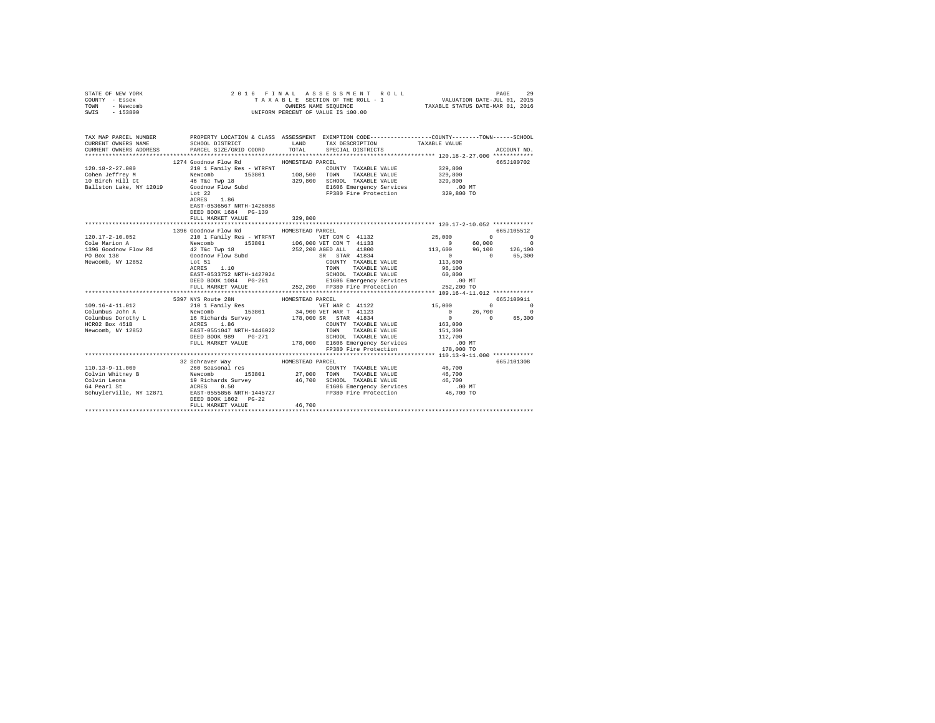| STATE OF NEW YORK<br>COUNTY - Essex<br><b>TOWN</b><br>- Newcomb<br>SWIS - 153800 |                                                                                                                                          |                  | 2016 FINAL ASSESSMENT ROLL<br>UNIFORM PERCENT OF VALUE IS 100.00 |                                                                                                  |                   |                       |
|----------------------------------------------------------------------------------|------------------------------------------------------------------------------------------------------------------------------------------|------------------|------------------------------------------------------------------|--------------------------------------------------------------------------------------------------|-------------------|-----------------------|
|                                                                                  |                                                                                                                                          |                  |                                                                  |                                                                                                  |                   |                       |
| CURRENT OWNERS NAME                                                              | TAX MAP PARCEL NUMBER PROPERTY LOCATION & CLASS ASSESSMENT EXEMPTION CODE---------------COUNTY-------TOWN------SCHOOL<br>SCHOOL DISTRICT | LAND             | TAX DESCRIPTION                                                  | TAXABLE VALUE                                                                                    |                   |                       |
| CURRENT OWNERS ADDRESS                                                           | PARCEL SIZE/GRID COORD                                                                                                                   | TOTAL            | SPECIAL DISTRICTS                                                |                                                                                                  |                   | ACCOUNT NO.           |
|                                                                                  |                                                                                                                                          |                  |                                                                  |                                                                                                  |                   |                       |
|                                                                                  | 1274 Goodnow Flow Rd                                                                                                                     | HOMESTEAD PARCEL |                                                                  |                                                                                                  |                   | 665J100702            |
| $120.18 - 2 - 27.000$                                                            | 210 1 Family Res - WTRFNT                                                                                                                |                  | COUNTY TAXABLE VALUE                                             | 329,800                                                                                          |                   |                       |
| Cohen Jeffrey M                                                                  | Newcomb 153801                                                                                                                           | 108,500          | TOWN TAXABLE VALUE                                               | 329,800                                                                                          |                   |                       |
| 10 Birch Hill Ct<br>Ballston Lake, NY 12019                                      | 46 T&C Twp 18<br>Goodnow Flow Subd                                                                                                       |                  | 329,800 SCHOOL TAXABLE VALUE                                     | 329,800<br>$.00$ MT                                                                              |                   |                       |
|                                                                                  |                                                                                                                                          |                  | E1606 Emergency Services<br>FP380 Fire Protection                | 329,800 TO                                                                                       |                   |                       |
|                                                                                  | Lot 22<br>ACRES 1.86                                                                                                                     |                  |                                                                  |                                                                                                  |                   |                       |
|                                                                                  | EAST-0536567 NRTH-1426088                                                                                                                |                  |                                                                  |                                                                                                  |                   |                       |
|                                                                                  | DEED BOOK 1684 PG-139                                                                                                                    |                  |                                                                  |                                                                                                  |                   |                       |
|                                                                                  | FULL MARKET VALUE                                                                                                                        | 329,800          |                                                                  |                                                                                                  |                   |                       |
|                                                                                  | ********************************                                                                                                         | *************    |                                                                  | ********************** 120.17-2-10.052 ************                                              |                   |                       |
|                                                                                  | 1396 Goodnow Flow Rd                                                                                                                     | HOMESTEAD PARCEL |                                                                  |                                                                                                  |                   | 665J105512            |
| 120.17-2-10.052                                                                  | 210 1 Family Res - WTRFNT WET COM C 41132                                                                                                |                  |                                                                  | 25,000                                                                                           |                   | $\Omega$ and $\Omega$ |
| Cole Marion A                                                                    |                                                                                                                                          |                  |                                                                  |                                                                                                  |                   |                       |
| 1396 Goodnow Flow Rd                                                             |                                                                                                                                          |                  |                                                                  | $\begin{array}{cccc} & 0 & 60,000 & 0 \\ 113,600 & 96,100 & 126,100 \\ & 0 & 65,300 \end{array}$ |                   |                       |
| PO Box 138<br>Newcomb, NY 12852                                                  | Lot 51                                                                                                                                   |                  | SR STAR 41834<br>COUNTY TAXABLE VALUE<br>COUNTY TAXABLE VALUE    | 113,600                                                                                          |                   |                       |
|                                                                                  | Lot 51<br>ACRES 1.10                                                                                                                     |                  | TOWN TAXABLE VALUE                                               | 96,100                                                                                           |                   |                       |
|                                                                                  | EAST-0533752 NRTH-1427024                                                                                                                |                  | SCHOOL TAXABLE VALUE                                             | 60,800                                                                                           |                   |                       |
|                                                                                  | DEED BOOK 1084 PG-261                                                                                                                    |                  | E1606 Emergency Services                                         | $.00$ MT                                                                                         |                   |                       |
|                                                                                  | FULL MARKET VALUE                                                                                                                        |                  | 252,200 FP380 Fire Protection                                    | 252,200 TO                                                                                       |                   |                       |
|                                                                                  |                                                                                                                                          |                  |                                                                  |                                                                                                  |                   |                       |
|                                                                                  | 5397 NYS Route 28N                                                                                                                       | HOMESTEAD PARCEL |                                                                  |                                                                                                  |                   | 665J100911            |
|                                                                                  |                                                                                                                                          |                  | VET WAR C 41122                                                  | 15,000 0 0                                                                                       |                   |                       |
|                                                                                  |                                                                                                                                          |                  | 34,900 VET WAR T 41123<br>178,000 SR STAR 41834                  |                                                                                                  | $0$ 26,700<br>0 0 | $\Omega$              |
|                                                                                  |                                                                                                                                          |                  |                                                                  |                                                                                                  |                   | 65,300                |
|                                                                                  |                                                                                                                                          |                  | COUNTY TAXABLE VALUE                                             | 163,000                                                                                          |                   |                       |
| Newcomb, NY 12852                                                                | EAST-0551047 NRTH-1446022<br>DEED BOOK 989 PG-271                                                                                        |                  | TOWN TAXABLE VALUE<br>SCHOOL TAXABLE VALUE                       | 151,300<br>112,700                                                                               |                   |                       |
|                                                                                  | FULL MARKET VALUE                                                                                                                        |                  | 178,000 E1606 Emergency Services                                 | $.00$ MT                                                                                         |                   |                       |
|                                                                                  |                                                                                                                                          |                  | FP380 Fire Protection                                            | 178,000 TO                                                                                       |                   |                       |
|                                                                                  |                                                                                                                                          |                  |                                                                  |                                                                                                  |                   |                       |
|                                                                                  | 32 Schraver Way                                                                                                                          | HOMESTEAD PARCEL |                                                                  |                                                                                                  |                   | 665J101308            |
| 110.13-9-11.000                                                                  | 260 Seasonal res                                                                                                                         |                  | COUNTY TAXABLE VALUE                                             | 46,700                                                                                           |                   |                       |
| Colvin Whitney B                                                                 | Newcomb 153801                                                                                                                           |                  | 27,000 TOWN TAXABLE VALUE                                        | 46,700                                                                                           |                   |                       |
| Colvin Leona                                                                     | 19 Richards Survey                                                                                                                       |                  | 46,700 SCHOOL TAXABLE VALUE                                      | 46,700                                                                                           |                   |                       |
| 64 Pearl St                                                                      | ACRES 0.50                                                                                                                               |                  | E1606 Emergency Services                                         | $.00$ MT                                                                                         |                   |                       |
| Schuylerville, NY 12871                                                          | EAST-0555856 NRTH-1445727<br>DEED BOOK 1802 PG-22                                                                                        |                  |                                                                  | 46,700 TO                                                                                        |                   |                       |
|                                                                                  | FULL MARKET VALUE                                                                                                                        | 46,700           |                                                                  |                                                                                                  |                   |                       |
|                                                                                  |                                                                                                                                          |                  |                                                                  |                                                                                                  |                   |                       |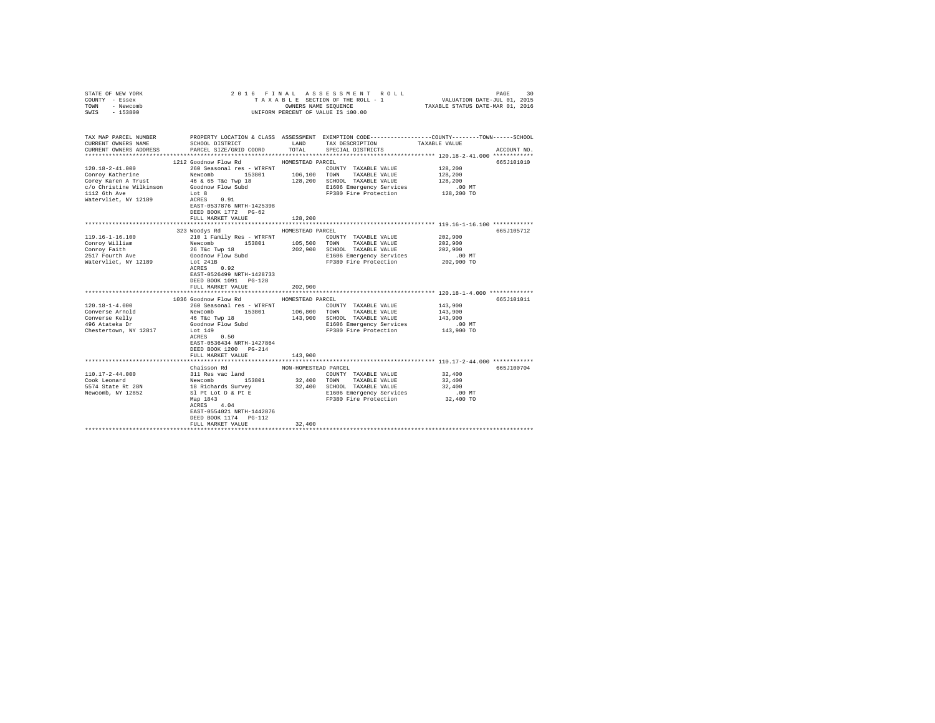| STATE OF NEW YORK<br>COUNTY - Essex<br>TOWN - Newcomb<br>SWIS - 153800                                                                                                                                     | 2016 FINAL ASSESSMENT ROLL<br>PAGE<br>UNIFORM PERCENT OF VALUE IS 100.00                                                                                                                                                                                                                                                                                                      |                                                            |                                                                                                                                                                                                                                                                            |                                                                                                                  |                          |  |  |  |
|------------------------------------------------------------------------------------------------------------------------------------------------------------------------------------------------------------|-------------------------------------------------------------------------------------------------------------------------------------------------------------------------------------------------------------------------------------------------------------------------------------------------------------------------------------------------------------------------------|------------------------------------------------------------|----------------------------------------------------------------------------------------------------------------------------------------------------------------------------------------------------------------------------------------------------------------------------|------------------------------------------------------------------------------------------------------------------|--------------------------|--|--|--|
| TAX MAP PARCEL NUMBER<br>CURRENT OWNERS NAME<br>CURRENT OWNERS ADDRESS                                                                                                                                     | SCHOOL DISTRICT<br>PARCEL SIZE/GRID COORD                                                                                                                                                                                                                                                                                                                                     | TOTAL                                                      | PROPERTY LOCATION & CLASS ASSESSMENT EXEMPTION CODE---------------COUNTY-------TOWN------SCHOOL<br>LAND TAX DESCRIPTION<br>SPECIAL DISTRICTS                                                                                                                               | TAXABLE VALUE                                                                                                    | ACCOUNT NO.              |  |  |  |
|                                                                                                                                                                                                            |                                                                                                                                                                                                                                                                                                                                                                               |                                                            |                                                                                                                                                                                                                                                                            |                                                                                                                  |                          |  |  |  |
| $120.18 - 2 - 41.000$<br>Conroy Katherine<br>Corey Karen A Trust<br>c/o Christine Wilkinson<br>1112 6th Ave<br>Watervliet, NY 12189                                                                        | 1212 Goodnow Flow Rd MOMESTEAD PARCEL<br>260 Seasonal res - WTRFNT<br>Newcomb 153801 106,100 TOWN TAXABLE VALUE<br>46 & 65 T&c Twp 18<br>Goodnow Flow Subd<br>Lot 8<br>ACRES 0.91<br>EAST-0537876 NRTH-1425398                                                                                                                                                                |                                                            | COUNTY TAXABLE VALUE<br>128,200 SCHOOL TAXABLE VALUE<br>E1606 Emergency Services<br>FP380 Fire Protection                                                                                                                                                                  | 128,200<br>128,200<br>128,200<br>$.00$ MT<br>128,200 TO                                                          | 665J101010               |  |  |  |
|                                                                                                                                                                                                            | DEED BOOK 1772    PG-62<br>FULL MARKET VALUE                                                                                                                                                                                                                                                                                                                                  | 128,200                                                    |                                                                                                                                                                                                                                                                            |                                                                                                                  |                          |  |  |  |
|                                                                                                                                                                                                            |                                                                                                                                                                                                                                                                                                                                                                               |                                                            |                                                                                                                                                                                                                                                                            |                                                                                                                  |                          |  |  |  |
| $119.16 - 1 - 16.100$<br>Conroy William<br>Conroy Faith<br>2517 Fourth Ave<br>Watervliet, NY 12189<br>$120.18 - 1 - 4.000$<br>Converse Arnold<br>Converse Kelly<br>496 Atateka Dr<br>Chestertown, NY 12817 | 323 Woodys Rd<br>210 1 Family Res - WTRFNT<br>Newcomb<br>153801<br>26 T&c Twp 18<br>Goodnow Flow Subd<br>Lot 241B<br>ACRES 0.92<br>EAST-0526499 NRTH-1428733<br>DEED BOOK 1091 PG-128<br>FULL MARKET VALUE<br>1036 Goodnow Flow Rd<br>260 Seasonal res - WTRFNT<br>Newcomb 153801<br>46 T&c Twp 18<br>Goodnow Flow Subd<br>Lot 149<br>ACRES 0.50<br>EAST-0536434 NRTH-1427864 | HOMESTEAD PARCEL<br>105,500<br>202.900<br>HOMESTEAD PARCEL | COUNTY TAXABLE VALUE<br>TOWN TAXABLE VALUE<br>202,900 SCHOOL TAXABLE VALUE<br>E1606 Emergency Services<br>FP380 Fire Protection<br>COUNTY TAXABLE VALUE<br>106,800 TOWN TAXABLE VALUE<br>143,900 SCHOOL TAXABLE VALUE<br>E1606 Emergency Services<br>FP380 Fire Protection | 202,900<br>202,900<br>202,900<br>.00 MT<br>202,900 TO<br>143,900<br>143,900<br>143,900<br>$.00$ MT<br>143,900 TO | 665J105712<br>665J101011 |  |  |  |
|                                                                                                                                                                                                            | DEED BOOK 1200 PG-214<br>FULL MARKET VALUE                                                                                                                                                                                                                                                                                                                                    | 143,900                                                    |                                                                                                                                                                                                                                                                            |                                                                                                                  |                          |  |  |  |
|                                                                                                                                                                                                            |                                                                                                                                                                                                                                                                                                                                                                               |                                                            |                                                                                                                                                                                                                                                                            |                                                                                                                  |                          |  |  |  |
| $110.17 - 2 - 44.000$<br>Cook Leonard<br>5574 State Rt 28N<br>Newcomb, NY 12852                                                                                                                            | Chaisson Rd<br>311 Res vac land<br>Newcomb 153801<br>18 Richards Survey<br>Sl Pt Lot D & Pt E<br>Map 1843<br>$\frac{1843}{4.04}$<br>ACRES 4.04<br>EAST-0554021 NRTH-1442876<br>DEED BOOK 1174   PG-112                                                                                                                                                                        | NON-HOMESTEAD PARCEL                                       | COUNTY TAXABLE VALUE<br>32,400 TOWN TAXABLE VALUE<br>32,400 SCHOOL TAXABLE VALUE<br>E1606 Emergency Services<br>FP380 Fire Protection                                                                                                                                      | 32,400<br>32,400<br>32,400<br>$.00$ MT<br>32,400 TO                                                              | 665J100704               |  |  |  |
|                                                                                                                                                                                                            | FULL MARKET VALUE                                                                                                                                                                                                                                                                                                                                                             | 32,400                                                     |                                                                                                                                                                                                                                                                            |                                                                                                                  |                          |  |  |  |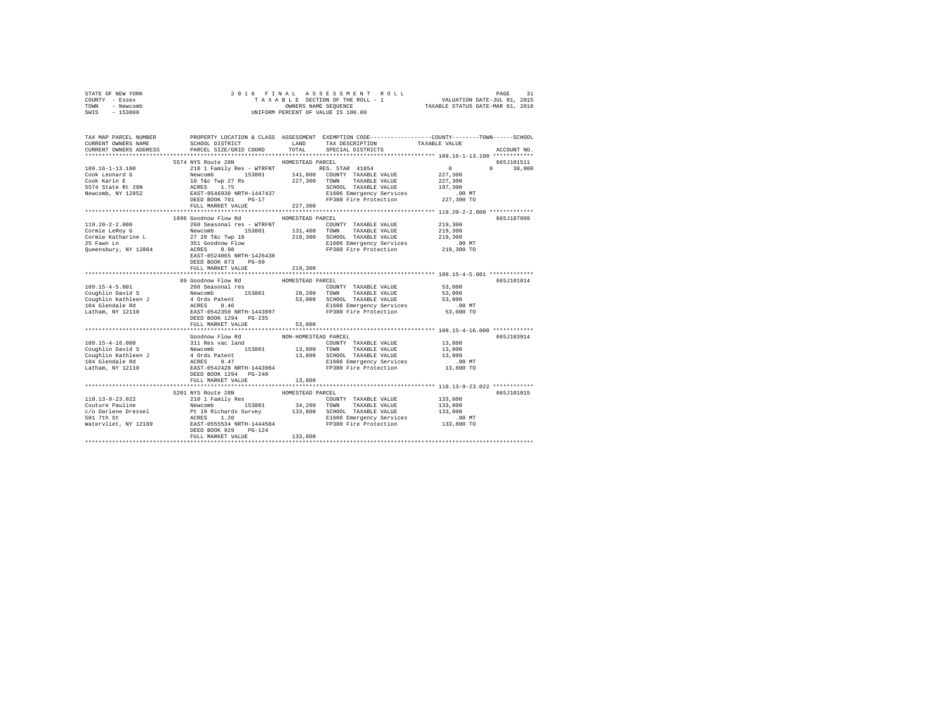| STATE OF NEW YORK |  |  | 2016 FINAL ASSESSMENT ROLL         |                                  | PAGE |  |
|-------------------|--|--|------------------------------------|----------------------------------|------|--|
| COUNTY - Essex    |  |  | TAXABLE SECTION OF THE ROLL - 1    | VALUATION DATE-JUL 01, 2015      |      |  |
| TOWN<br>- Newcomb |  |  | OWNERS NAME SEOUENCE               | TAXABLE STATUS DATE-MAR 01, 2016 |      |  |
| $-153800$<br>SWIS |  |  | UNIFORM PERCENT OF VALUE IS 100.00 |                                  |      |  |

| TAX MAP PARCEL NUMBER<br>CURRENT OWNERS NAME | SCHOOL DISTRICT                                                                                                                                                                                                                              |                      | LAND TAX DESCRIPTION                                        | PROPERTY LOCATION & CLASS ASSESSMENT EXEMPTION CODE----------------COUNTY-------TOWN------SCHOOL<br>TAXABLE VALUE |
|----------------------------------------------|----------------------------------------------------------------------------------------------------------------------------------------------------------------------------------------------------------------------------------------------|----------------------|-------------------------------------------------------------|-------------------------------------------------------------------------------------------------------------------|
| CURRENT OWNERS ADDRESS                       | PARCEL SIZE/GRID COORD                                                                                                                                                                                                                       | TOTAL                | SPECIAL DISTRICTS                                           | ACCOUNT NO.                                                                                                       |
|                                              | 5574 NYS Route 28N HOMESTEAD PARCEL                                                                                                                                                                                                          |                      |                                                             | 665J101511                                                                                                        |
|                                              |                                                                                                                                                                                                                                              |                      |                                                             | $0 \t 30,000$                                                                                                     |
|                                              |                                                                                                                                                                                                                                              |                      |                                                             |                                                                                                                   |
|                                              |                                                                                                                                                                                                                                              |                      |                                                             |                                                                                                                   |
|                                              |                                                                                                                                                                                                                                              |                      |                                                             |                                                                                                                   |
|                                              |                                                                                                                                                                                                                                              |                      |                                                             |                                                                                                                   |
|                                              |                                                                                                                                                                                                                                              |                      |                                                             |                                                                                                                   |
|                                              | FULL MARKET VALUE                                                                                                                                                                                                                            | 227,300              |                                                             |                                                                                                                   |
|                                              |                                                                                                                                                                                                                                              |                      |                                                             |                                                                                                                   |
|                                              | 1896 Goodnow Flow Rd                                                                                                                                                                                                                         | HOMESTEAD PARCEL     |                                                             | 665J187009                                                                                                        |
|                                              |                                                                                                                                                                                                                                              |                      |                                                             |                                                                                                                   |
|                                              |                                                                                                                                                                                                                                              |                      |                                                             |                                                                                                                   |
|                                              |                                                                                                                                                                                                                                              |                      |                                                             |                                                                                                                   |
|                                              |                                                                                                                                                                                                                                              |                      |                                                             | $.00$ MT                                                                                                          |
|                                              | EAST-0524065 NRTH-1426438                                                                                                                                                                                                                    |                      |                                                             | 219,300 TO                                                                                                        |
|                                              | DEED BOOK 873 PG-60                                                                                                                                                                                                                          |                      |                                                             |                                                                                                                   |
|                                              | FULL MARKET VALUE                                                                                                                                                                                                                            | 219,300              |                                                             |                                                                                                                   |
|                                              |                                                                                                                                                                                                                                              |                      |                                                             |                                                                                                                   |
|                                              | 89 Goodnow Flow Rd                                                                                                                                                                                                                           | HOMESTEAD PARCEL     |                                                             | 665J101014                                                                                                        |
|                                              |                                                                                                                                                                                                                                              |                      |                                                             | 53,000                                                                                                            |
|                                              |                                                                                                                                                                                                                                              |                      |                                                             |                                                                                                                   |
|                                              |                                                                                                                                                                                                                                              |                      |                                                             |                                                                                                                   |
|                                              |                                                                                                                                                                                                                                              |                      |                                                             |                                                                                                                   |
|                                              |                                                                                                                                                                                                                                              |                      | E1606 Emergency Services<br>FP380 Fire Protection 53,000 TO |                                                                                                                   |
|                                              | 109.15-4-5.001<br>Coup 11 Developme 109.15-4-5.001<br>Coup 11 Developme 153801 28,200 TOWITY TAXABLE VALUE 53,000<br>Couplin Kathleen J 4 Ords Patent 163,000 SCHOOL TAXABLE VALUE 53,000<br>104 Glendale Rd ACRES 0.46<br>104 Glendal       |                      |                                                             |                                                                                                                   |
|                                              | FULL MARKET VALUE                                                                                                                                                                                                                            | 53,000               |                                                             |                                                                                                                   |
|                                              |                                                                                                                                                                                                                                              |                      |                                                             |                                                                                                                   |
|                                              | Goodnow Flow Rd                                                                                                                                                                                                                              | NON-HOMESTEAD PARCEL |                                                             | 665.T103914                                                                                                       |
|                                              |                                                                                                                                                                                                                                              |                      |                                                             |                                                                                                                   |
|                                              |                                                                                                                                                                                                                                              |                      |                                                             |                                                                                                                   |
|                                              |                                                                                                                                                                                                                                              |                      |                                                             |                                                                                                                   |
|                                              |                                                                                                                                                                                                                                              |                      |                                                             |                                                                                                                   |
|                                              |                                                                                                                                                                                                                                              |                      |                                                             |                                                                                                                   |
|                                              | FULL MARKET VALUE                                                                                                                                                                                                                            | 13,800               |                                                             |                                                                                                                   |
|                                              |                                                                                                                                                                                                                                              |                      |                                                             |                                                                                                                   |
|                                              | 5201 NYS Route 28N                                                                                                                                                                                                                           | HOMESTEAD PARCEL     |                                                             | 665J101015                                                                                                        |
|                                              |                                                                                                                                                                                                                                              |                      |                                                             |                                                                                                                   |
|                                              |                                                                                                                                                                                                                                              |                      |                                                             |                                                                                                                   |
|                                              |                                                                                                                                                                                                                                              |                      |                                                             |                                                                                                                   |
|                                              |                                                                                                                                                                                                                                              |                      |                                                             |                                                                                                                   |
|                                              |                                                                                                                                                                                                                                              |                      |                                                             |                                                                                                                   |
|                                              | 110.13-9-23.022<br>COUNTY TAXABLE VALUE 210.13-9-23.022<br>Couture Pauline Paul Paul Paul Paul 213,800<br>Couture Paul Paul Paul 213,800<br>Couture Paul Paul Paul 213,800<br>Couture 213,800<br>Couture 210 1 Paul 213801<br>COUNTY TAXABLE |                      |                                                             |                                                                                                                   |
|                                              | FULL MARKET VALUE                                                                                                                                                                                                                            | 133,800              |                                                             |                                                                                                                   |
|                                              |                                                                                                                                                                                                                                              |                      |                                                             |                                                                                                                   |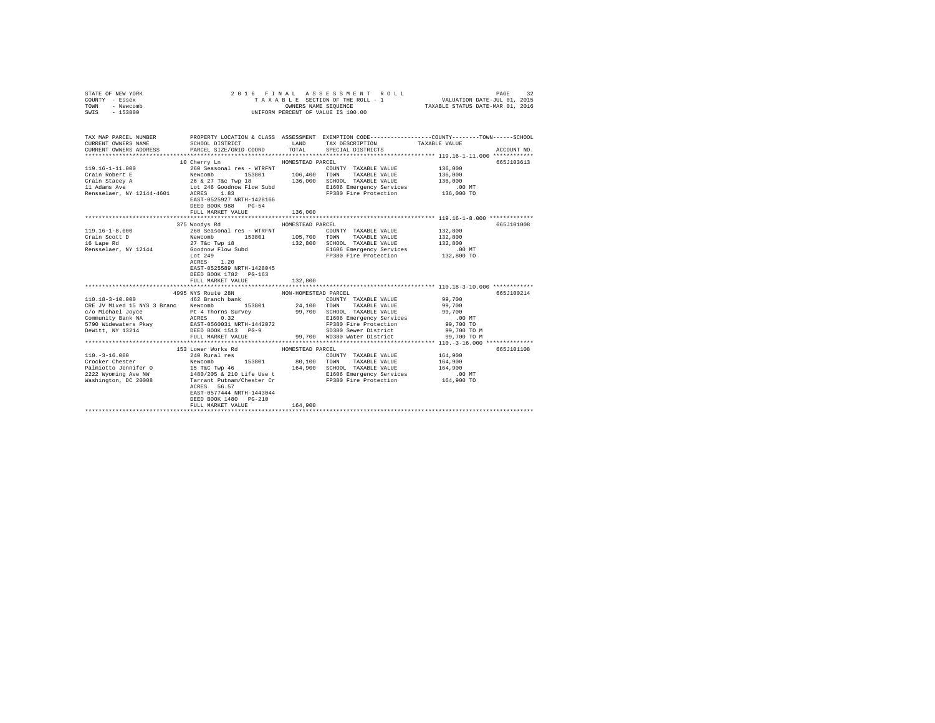| STATE OF NEW YORK<br>COUNTY - Essex<br>TOWN - Newcomb<br>SWIS - 153800                                                                                                                                                                      | UNIFORM PERCENT OF VALUE IS 100.00         |                  |                                                                                                                                                                                                                                                        |                                                                |             |
|---------------------------------------------------------------------------------------------------------------------------------------------------------------------------------------------------------------------------------------------|--------------------------------------------|------------------|--------------------------------------------------------------------------------------------------------------------------------------------------------------------------------------------------------------------------------------------------------|----------------------------------------------------------------|-------------|
| TAX MAP PARCEL NUMBER PROPERTY LOCATION & CLASS ASSESSMENT EXEMPTION CODE--------------COUNTY-------TOWN-----SCHOOL<br>CURRENT OWNERS NAME                                                                                                  |                                            |                  | SCHOOL DISTRICT                     LAND        TAX DESCRIPTION                 TAXABLE VALUE                                                                                                                                                          |                                                                |             |
| CURRENT OWNERS ADDRESS . PARCEL SIZE/GRID COORD . INN TOTAL SPECIAL DISTRICTS                                                                                                                                                               |                                            |                  |                                                                                                                                                                                                                                                        |                                                                | ACCOUNT NO. |
|                                                                                                                                                                                                                                             |                                            |                  |                                                                                                                                                                                                                                                        |                                                                |             |
|                                                                                                                                                                                                                                             | 10 Cherry Ln                               | HOMESTEAD PARCEL |                                                                                                                                                                                                                                                        |                                                                | 665J103613  |
|                                                                                                                                                                                                                                             |                                            |                  |                                                                                                                                                                                                                                                        |                                                                |             |
|                                                                                                                                                                                                                                             |                                            |                  |                                                                                                                                                                                                                                                        |                                                                |             |
| $[119.16-1-11.000$ $[119.16-1-11.000$ $[119.16-1-11.000]$ TAXIBLE VALUE 136,000<br>Crain Robert E<br>Newcomb 19801 16,000<br>Crain Stacey A<br>26 27 Tác Twp 18<br>26 27 Tác Twp 18<br>136,000 SCHOOL TAXIBLE VALUE 136,000<br>136,000 SCHO |                                            |                  |                                                                                                                                                                                                                                                        |                                                                |             |
|                                                                                                                                                                                                                                             |                                            |                  |                                                                                                                                                                                                                                                        |                                                                |             |
|                                                                                                                                                                                                                                             | EAST-0525927 NRTH-1428166                  |                  |                                                                                                                                                                                                                                                        |                                                                |             |
|                                                                                                                                                                                                                                             | DEED BOOK 988 PG-54                        |                  |                                                                                                                                                                                                                                                        |                                                                |             |
|                                                                                                                                                                                                                                             | FULL MARKET VALUE                          | 136,000          |                                                                                                                                                                                                                                                        |                                                                |             |
|                                                                                                                                                                                                                                             |                                            |                  |                                                                                                                                                                                                                                                        |                                                                |             |
|                                                                                                                                                                                                                                             | 375 Woodys Rd MOMESTEAD PARCEL             |                  |                                                                                                                                                                                                                                                        |                                                                | 665J101008  |
| $119.16 - 1 - 8.000$                                                                                                                                                                                                                        |                                            |                  |                                                                                                                                                                                                                                                        |                                                                |             |
|                                                                                                                                                                                                                                             |                                            |                  |                                                                                                                                                                                                                                                        |                                                                |             |
|                                                                                                                                                                                                                                             |                                            |                  |                                                                                                                                                                                                                                                        |                                                                |             |
| Crain Scott D<br>16 Lape Rd<br>Rensselaer, NY 12144                                                                                                                                                                                         |                                            |                  |                                                                                                                                                                                                                                                        |                                                                |             |
|                                                                                                                                                                                                                                             |                                            |                  | 260 Seasonal res - WTRFNT<br>260 Seasonal res - WTRFNT<br>260 Seasonal res - WTRFNT<br>27 T&C TWD 153801<br>27 T&C TWD 18<br>27 T&C TWD 18<br>27 T&C TWD 18<br>27 T&C TWD 18<br>27 T&C TWD 18<br>27 T&C TWD 18<br>27 T&C TWD 18<br>27 T&C TWD 18<br>27 |                                                                |             |
|                                                                                                                                                                                                                                             |                                            |                  |                                                                                                                                                                                                                                                        |                                                                |             |
|                                                                                                                                                                                                                                             | EAST-0525589 NRTH-1428045                  |                  |                                                                                                                                                                                                                                                        |                                                                |             |
|                                                                                                                                                                                                                                             | DEED BOOK 1782 PG-163                      |                  |                                                                                                                                                                                                                                                        |                                                                |             |
|                                                                                                                                                                                                                                             | FULL MARKET VALUE                          | 132,800          |                                                                                                                                                                                                                                                        | ******************************** 110.18-3-10.000 ************* |             |
|                                                                                                                                                                                                                                             |                                            |                  |                                                                                                                                                                                                                                                        |                                                                | 665J100214  |
|                                                                                                                                                                                                                                             |                                            |                  |                                                                                                                                                                                                                                                        |                                                                |             |
|                                                                                                                                                                                                                                             |                                            |                  |                                                                                                                                                                                                                                                        |                                                                |             |
|                                                                                                                                                                                                                                             |                                            |                  |                                                                                                                                                                                                                                                        |                                                                |             |
|                                                                                                                                                                                                                                             |                                            |                  |                                                                                                                                                                                                                                                        |                                                                |             |
|                                                                                                                                                                                                                                             |                                            |                  |                                                                                                                                                                                                                                                        |                                                                |             |
|                                                                                                                                                                                                                                             |                                            |                  |                                                                                                                                                                                                                                                        |                                                                |             |
|                                                                                                                                                                                                                                             |                                            |                  |                                                                                                                                                                                                                                                        |                                                                |             |
|                                                                                                                                                                                                                                             |                                            |                  |                                                                                                                                                                                                                                                        |                                                                |             |
|                                                                                                                                                                                                                                             | 153 Lower Works Rd                         | HOMESTEAD PARCEL |                                                                                                                                                                                                                                                        |                                                                | 665J101108  |
| 110.-3-16.000<br>Crocker Chester                                                                                                                                                                                                            | 240 Rural res                              |                  | COUNTY TAXABLE VALUE                                                                                                                                                                                                                                   | 164,900                                                        |             |
|                                                                                                                                                                                                                                             |                                            |                  |                                                                                                                                                                                                                                                        |                                                                |             |
|                                                                                                                                                                                                                                             |                                            |                  |                                                                                                                                                                                                                                                        |                                                                |             |
|                                                                                                                                                                                                                                             |                                            |                  |                                                                                                                                                                                                                                                        |                                                                |             |
|                                                                                                                                                                                                                                             |                                            |                  |                                                                                                                                                                                                                                                        |                                                                |             |
|                                                                                                                                                                                                                                             |                                            |                  |                                                                                                                                                                                                                                                        |                                                                |             |
|                                                                                                                                                                                                                                             | EAST-0577444 NRTH-1443044                  |                  |                                                                                                                                                                                                                                                        |                                                                |             |
|                                                                                                                                                                                                                                             | DEED BOOK 1480 PG-210<br>FULL MARKET VALUE | 164,900          |                                                                                                                                                                                                                                                        |                                                                |             |
|                                                                                                                                                                                                                                             |                                            |                  |                                                                                                                                                                                                                                                        |                                                                |             |
|                                                                                                                                                                                                                                             |                                            |                  |                                                                                                                                                                                                                                                        |                                                                |             |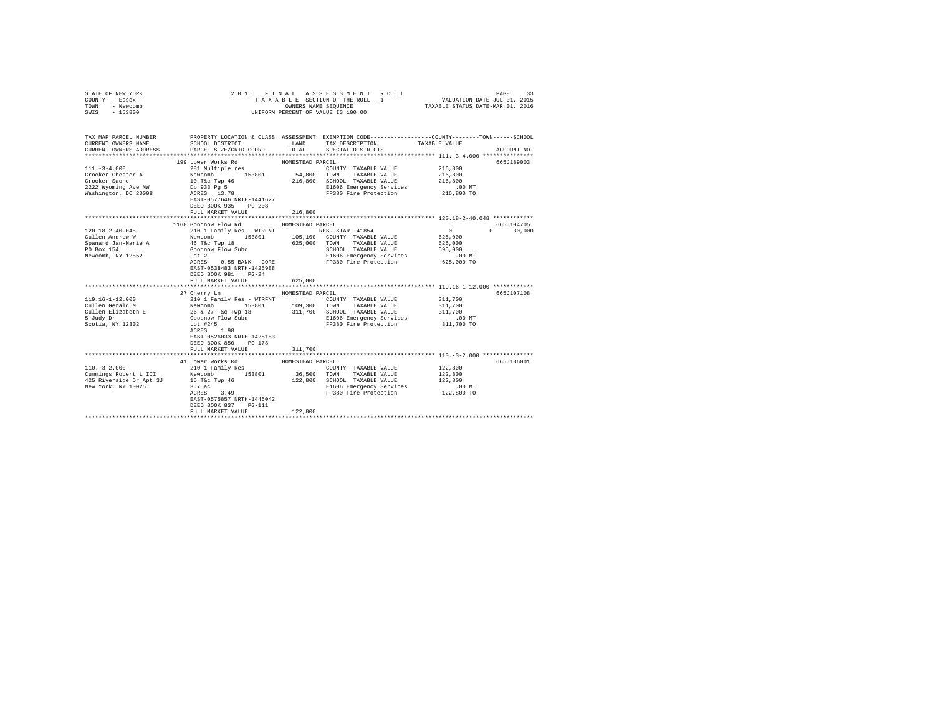| STATE OF NEW YORK<br>COUNTY - Essex<br>TOWN - Newcomb<br>SWIS - 153800                                                                                                                                                                                                                                                                                                                                                                                                                                                                                                                           |                                                                                                                                                                                                                                     |                                                                 | 2016 FINAL ASSESSMENT ROLL<br>TAXABLE SECTION OF THE ROLL - 1 VALUATION DATE-JUL 01, 2015<br>OWNERS NAME SEQUENCE TAXABLE STATUS DATE-MAR 01, 2016<br>UNIFORM PERCENT OF VALUE IS 100.00                                   |                                                                                           | PAGE<br>33                                      |
|--------------------------------------------------------------------------------------------------------------------------------------------------------------------------------------------------------------------------------------------------------------------------------------------------------------------------------------------------------------------------------------------------------------------------------------------------------------------------------------------------------------------------------------------------------------------------------------------------|-------------------------------------------------------------------------------------------------------------------------------------------------------------------------------------------------------------------------------------|-----------------------------------------------------------------|----------------------------------------------------------------------------------------------------------------------------------------------------------------------------------------------------------------------------|-------------------------------------------------------------------------------------------|-------------------------------------------------|
| TAX MAP PARCEL NUMBER PROPERTY LOCATION & CLASS ASSESSMENT EXEMPTION CODE---------------COUNTY-------TOWN------SCHOOL<br>CURRENT OWNERS NAME<br>CURRENT OWNERS ADDRESS                                                                                                                                                                                                                                                                                                                                                                                                                           | SCHOOL DISTRICT<br>PARCEL SIZE/GRID COORD                                                                                                                                                                                           | TOTAL                                                           | LAND TAX DESCRIPTION<br>SPECIAL DISTRICTS                                                                                                                                                                                  | TAXABLE VALUE                                                                             | ACCOUNT NO.                                     |
| $111. - 3 - 4.000$<br>Crocker Chester A<br>Crocker Saone<br>2222 Wyoming Ave NW<br>Washington, DC 20008                                                                                                                                                                                                                                                                                                                                                                                                                                                                                          | 199 Lower Works Rd<br>281 Multiple res<br>Newcomb 153801<br>10 T&c Twp 46<br>Db 933 Pg 5<br>ACRES 13.78<br>EAST-0577646 NRTH-1441627<br>DEED BOOK 935 PG-208<br>FULL MARKET VALUE                                                   | HOMESTEAD PARCEL<br>54,800 TOWN<br>216,800                      | COUNTY TAXABLE VALUE<br>TAXABLE VALUE<br>216,800 SCHOOL TAXABLE VALUE<br>E1606 Emergency Services<br>FP380 Fire Protection                                                                                                 | 216,800<br>216,800<br>216,800<br>$.00$ MT<br>216,800 TO                                   | 665.T189003                                     |
|                                                                                                                                                                                                                                                                                                                                                                                                                                                                                                                                                                                                  |                                                                                                                                                                                                                                     |                                                                 |                                                                                                                                                                                                                            |                                                                                           |                                                 |
| $120.18 - 2 - 40.048$<br>Cullen Andrew W<br>Spanard Jan-Marie A<br>PO Box 154<br>Newcomb, NY 12852<br>$\texttt{119.16--1--12.000}\footnotesize\begin{array}{l}\texttt{119.16--1--12.000}\end{array}\quad\quad \texttt{210 1 'Family Res - WTRENT}\qquad \texttt{2107.300 TANABLE VALUES}\end{array}\quad \texttt{119.301}\quad \texttt{109.300 TANABLE VALUES}\end{array}\quad \texttt{211.700}\quad \texttt{SCHOOL TANABLE VALUES}\qquad \texttt{211.701}\quad \texttt{211.700}\quad \texttt{SCHOOL TANABLE VALUES}\qquad \texttt{211.701}\quad \texttt{211.7$<br>5 Judy Dr<br>Scotia, NY 12302 | 1168 Goodnow Flow Rd<br>46 T&C Twp 18<br>Goodnow Flow Subd<br>Lot 2<br>ACRES 0.55 BANK CORE<br>EAST-0538483 NRTH-1425988<br>DEED BOOK 981 PG-24<br>FULL MARKET VALUE<br>27 Cherry Ln<br>Goodnow Flow Subd<br>Lot #245<br>ACRES 1.98 | HOMESTEAD PARCEL<br>625,000 TOWN<br>625,000<br>HOMESTEAD PARCEL | TAXABLE VALUE<br>SCHOOL TAXABLE VALUE<br>SCHOOL TAXABLE VALUE<br>E1606 Emergency Services<br>FP380 Fire Protection<br>COUNTY TAXABLE VALUE 311,700<br>E1606 Emergency Services 6.00 MT<br>FP380 Fire Protection 311,700 TO | $\sim$ 0<br>625,000<br>625,000<br>595,000<br>$.00$ MT<br>625,000 TO<br>311,700<br>311,700 | 665J104705<br>$\Omega$<br>30,000<br>665-1107108 |
|                                                                                                                                                                                                                                                                                                                                                                                                                                                                                                                                                                                                  | EAST-0526033 NRTH-1428183<br>DEED BOOK 850 PG-178<br>FULL MARKET VALUE                                                                                                                                                              | 311,700                                                         |                                                                                                                                                                                                                            |                                                                                           |                                                 |
| $110. - 3 - 2.000$                                                                                                                                                                                                                                                                                                                                                                                                                                                                                                                                                                               | 41 Lower Works Rd<br>210 1 Family Res<br>EAST-0575857 NRTH-1445042<br>DEED BOOK 837 PG-111<br>FULL MARKET VALUE                                                                                                                     | HOMESTEAD PARCEL<br>122,800                                     | COUNTY TAXABLE VALUE<br>TAXABLE VALUE<br>122,800 SCHOOL TAXABLE VALUE<br>E1606 Emergency Services<br>FP380 Fire Protection                                                                                                 | 122,800<br>122,800<br>122,800<br>$.00$ MT<br>122,800 TO                                   | 665J186001                                      |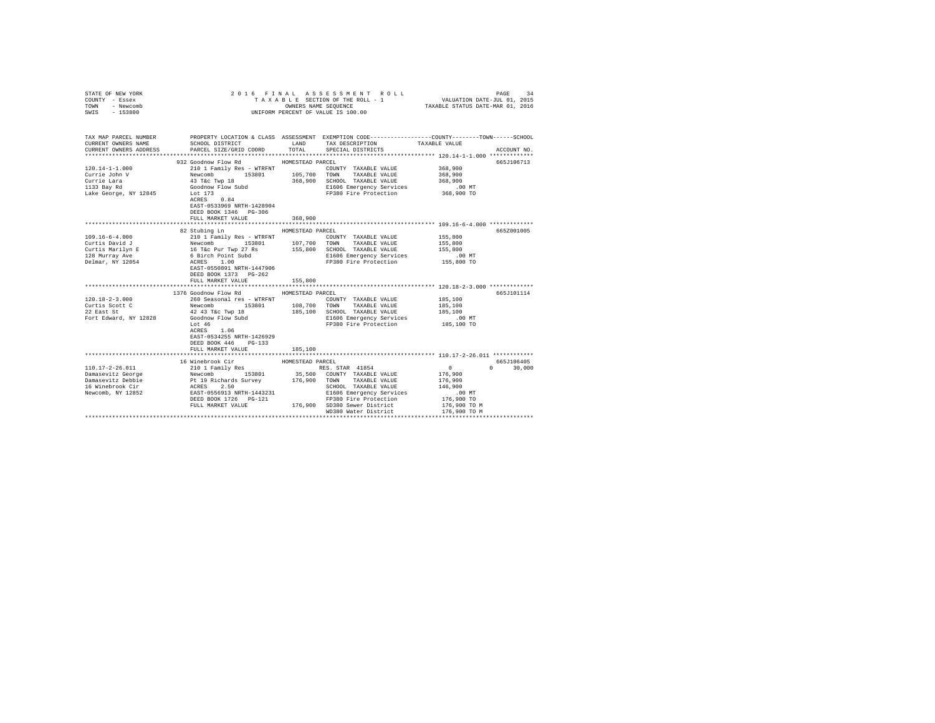| STATE OF NEW YORK<br>COUNTY - Essex<br>TOWN<br>- Newcomb<br>SWIS - 153800                             |                                                                                                                                                                                                                                                                                                                                                                                                                                                                                                                                                                                                    |                                        | 2016 FINAL ASSESSMENT ROLL<br>TAXABLE SECTION OF THE ROLL - 1<br>UNIFORM PERCENT OF VALUE IS 100.00                                                                                    | PAGE<br>34<br>3 L E SECTION OF THE ROLL - 1 VALUATION DATE-JUL 01, 2015<br>OWNERS NAME SEQUENCE TAXABLE STATUS DATE-MAR 01, 2016                    |
|-------------------------------------------------------------------------------------------------------|----------------------------------------------------------------------------------------------------------------------------------------------------------------------------------------------------------------------------------------------------------------------------------------------------------------------------------------------------------------------------------------------------------------------------------------------------------------------------------------------------------------------------------------------------------------------------------------------------|----------------------------------------|----------------------------------------------------------------------------------------------------------------------------------------------------------------------------------------|-----------------------------------------------------------------------------------------------------------------------------------------------------|
| CURRENT OWNERS NAME<br>CURRENT OWNERS ADDRESS                                                         | SCHOOL DISTRICT TAND TAX DESCRIPTION<br>PARCEL SIZE/GRID COORD TOTAL SPECIAL DISTRICTS                                                                                                                                                                                                                                                                                                                                                                                                                                                                                                             |                                        |                                                                                                                                                                                        | TAX MAP PARCEL NUMBER PROPERTY LOCATION & CLASS ASSESSMENT EXEMPTION CODE--------------COUNTY-------TOWN-----SCHOOL<br>TAXABLE VALUE<br>ACCOUNT NO. |
|                                                                                                       |                                                                                                                                                                                                                                                                                                                                                                                                                                                                                                                                                                                                    |                                        |                                                                                                                                                                                        |                                                                                                                                                     |
| $120.14 - 1 - 1.000$<br>Currie John V<br>Currie Lara<br>1133 Bay Rd<br>Lake George, NY 12845 Lot 173  | 932 Goodnow Flow Rd MOMESTEAD PARCEL<br>210 1 Family Res - WTRFNT<br>$\begin{tabular}{l c c c c c c c c} \hline \multicolumn{3}{c}{\textbf{N}} & \multicolumn{3}{c}{\textbf{N}} & \multicolumn{3}{c}{\textbf{N}} & \multicolumn{3}{c}{\textbf{N}} & \multicolumn{3}{c}{\textbf{N}} & \multicolumn{3}{c}{\textbf{N}} & \multicolumn{3}{c}{\textbf{N}} & \multicolumn{3}{c}{\textbf{N}} & \multicolumn{3}{c}{\textbf{N}} & \multicolumn{3}{c}{\textbf{N}} & \multicolumn{3}{c}{\textbf{N}} & \multicolumn{3}{c}{\textbf{N}} & \$<br>ACRES 0.84<br>EAST-0533969 NRTH-1428904<br>DEED BOOK 1346 PG-306 |                                        | COUNTY TAXABLE VALUE<br>E1606 Emergency Services 6 00 MT<br>FP380 Fire Protection 368,900 TO                                                                                           | 665J106713<br>368,900<br>368,900<br>368,900                                                                                                         |
|                                                                                                       | FULL MARKET VALUE                                                                                                                                                                                                                                                                                                                                                                                                                                                                                                                                                                                  | 368,900                                |                                                                                                                                                                                        |                                                                                                                                                     |
| $109.16 - 6 - 4.000$<br>$120.18 - 2 - 3.000$<br>Curtis Scott C<br>22 East St<br>Fort Edward, NY 12828 | 82 Stubing Ln<br>210 1 Family Res - WTRFNT<br>EAST-0550891 NRTH-1447906<br>DEED BOOK 1373 PG-262<br>FULL MARKET VALUE<br>1376 Goodnow Flow Rd MOMESTEAD PARCEL<br>260 Seasonal res - WTRFNT<br>Newcomb 153801 108,700 TOWN TAXABLE VALUE<br>Newcomm<br>42 43 T&C Twp 18<br>Goodnow Flow Subd<br>ACRES 1.06<br>EAST-0534255 NRTH-1426929<br>DEED BOOK 446 PG-133<br>FULL MARKET VALUE                                                                                                                                                                                                               | HOMESTEAD PARCEL<br>155,800<br>185,100 | COUNTY TAXABLE VALUE<br>E1606 Emergency Services<br>FP380 Fire Protection<br>COUNTY TAXABLE VALUE<br>185,100 SCHOOL TAXABLE VALUE<br>E1606 Emergency Services<br>FP380 Fire Protection | 665Z001005<br>155,800<br>155,800<br>155,800<br>00 MT.<br>155,800 TO<br>665J101114<br>185,100<br>185,100<br>185,100<br>.00 MT<br>185,100 TO          |
|                                                                                                       | 16 Winebrook Cir<br>$\begin{tabular}{l c c c c c} \hline 110.17-2-26.011 & \hline \rule{0pt}{2pt} 10 & \hline \rule{0pt}{2pt} 10 & \hline \rule{0pt}{2pt} 10 & \hline \rule{0pt}{2pt} 10 & \hline \rule{0pt}{2pt} 10 & \hline \rule{0pt}{2pt} 10 & \hline \rule{0pt}{2pt} 10 & \hline \rule{0pt}{2pt} 10 & \hline \rule{0pt}{2pt} 10 & \hline \rule{0pt}{2pt} 10 & \hline \rule{0pt}{2pt} 10 & \hline \rule{$                                                                                                                                                                                      | HOMESTEAD PARCEL                       | WD380 Water District                                                                                                                                                                   | 665J106405<br>$0 \t 30,000$<br>$\sim$ 0 $\sim$<br>176,900<br>176,900<br>146,900<br>.00 MT<br>176,900 TO<br>176,900 TO M<br>176,900 TO M             |
|                                                                                                       |                                                                                                                                                                                                                                                                                                                                                                                                                                                                                                                                                                                                    |                                        |                                                                                                                                                                                        |                                                                                                                                                     |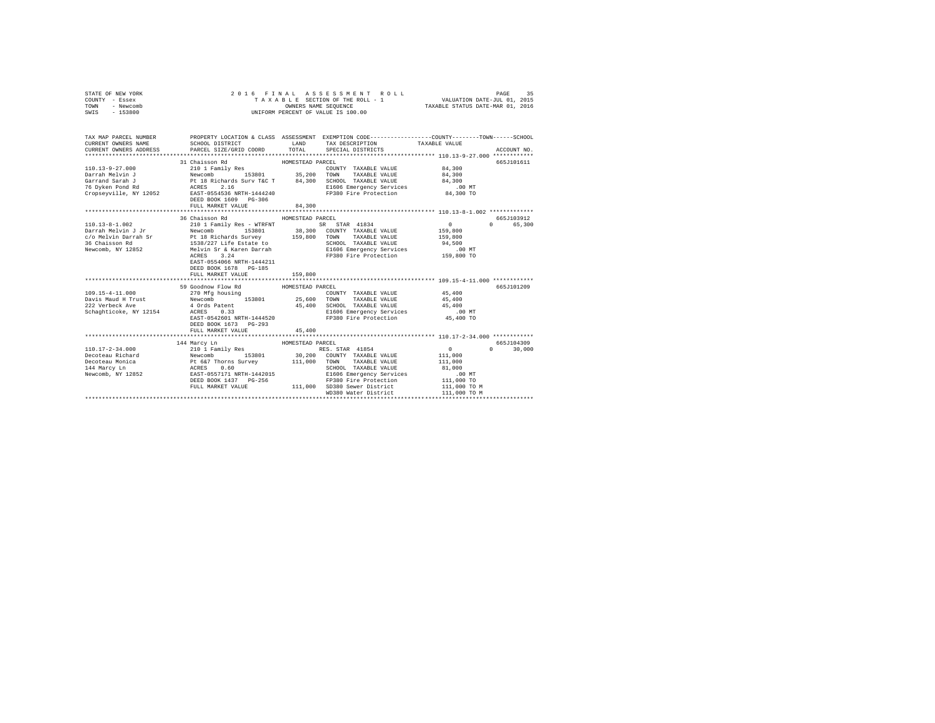| - Newcomb<br>TOWN      |                                                                                                                                                                                                                                |                  | TAXABLE STATUS DATE-MAR 01, 2016                                                               |               |                                 |  |
|------------------------|--------------------------------------------------------------------------------------------------------------------------------------------------------------------------------------------------------------------------------|------------------|------------------------------------------------------------------------------------------------|---------------|---------------------------------|--|
| $-153800$<br>SWIS      | UNIFORM PERCENT OF VALUE IS 100.00                                                                                                                                                                                             |                  |                                                                                                |               |                                 |  |
|                        |                                                                                                                                                                                                                                |                  |                                                                                                |               |                                 |  |
|                        |                                                                                                                                                                                                                                |                  |                                                                                                |               |                                 |  |
| TAX MAP PARCEL NUMBER  |                                                                                                                                                                                                                                |                  | PROPERTY LOCATION & CLASS ASSESSMENT EXEMPTION CODE---------------COUNTY-------TOWN-----SCHOOL |               |                                 |  |
| CURRENT OWNERS NAME    | SCHOOL DISTRICT                                                                                                                                                                                                                | LAND             | TAX DESCRIPTION                                                                                | TAXABLE VALUE |                                 |  |
| CURRENT OWNERS ADDRESS | PARCEL SIZE/GRID COORD                                                                                                                                                                                                         | TOTAL            | SPECIAL DISTRICTS                                                                              |               | ACCOUNT NO.                     |  |
|                        |                                                                                                                                                                                                                                |                  |                                                                                                |               |                                 |  |
|                        | 31 Chaisson Rd                                                                                                                                                                                                                 | HOMESTEAD PARCEL |                                                                                                |               | 665J101611                      |  |
| $110.13 - 9 - 27.000$  | 210 1 Family Res                                                                                                                                                                                                               |                  | COUNTY TAXABLE VALUE                                                                           | 84,300        |                                 |  |
| Darrah Melvin J        | 153801 35,200<br>Newcomb                                                                                                                                                                                                       |                  | TOWN<br>TAXABLE VALUE                                                                          | 84,300        |                                 |  |
| Garrand Sarah J        | Pt 18 Richards Surv T&C T<br>ACRES 2.16                                                                                                                                                                                        | 84,300           | SCHOOL TAXABLE VALUE                                                                           | 84,300        |                                 |  |
| 76 Dyken Pond Rd       |                                                                                                                                                                                                                                |                  | E1606 Emergency Services                                                                       | $.00$ MT      |                                 |  |
|                        | Cropseyville, NY 12052 EAST-0554536 NRTH-1444240                                                                                                                                                                               |                  | FP380 Fire Protection 84,300 TO                                                                |               |                                 |  |
|                        | DEED BOOK 1609 PG-306                                                                                                                                                                                                          |                  |                                                                                                |               |                                 |  |
|                        | FULL MARKET VALUE                                                                                                                                                                                                              | 84,300           |                                                                                                |               |                                 |  |
|                        |                                                                                                                                                                                                                                |                  |                                                                                                |               |                                 |  |
|                        | 36 Chaisson Rd                                                                                                                                                                                                                 | HOMESTEAD PARCEL |                                                                                                |               | 665.7103912                     |  |
| $110.13 - 8 - 1.002$   | 210 1 Family Res - WTRFNT                                                                                                                                                                                                      |                  | mily Res - WTRFNT SR STAR 41834<br>153801 38,300 COUNTY TAXABLE VALUE                          | $\circ$       | $\Omega$<br>65,300              |  |
| Darrah Melvin J Jr     | Newcomb                                                                                                                                                                                                                        |                  |                                                                                                | 159,800       |                                 |  |
|                        |                                                                                                                                                                                                                                |                  | TAXABLE VALUE<br>TOWN                                                                          | 159,800       |                                 |  |
|                        | schewing areas of the method of the state of the state of the state of the state of the state of the state of the state of the state of the state of the state of the state of the state of the state of the state of the stat |                  | SCHOOL TAXABLE VALUE<br>SCHOOL TAXABLE VALUE<br>E1606 Emergency Services                       | 94,500        |                                 |  |
|                        |                                                                                                                                                                                                                                |                  |                                                                                                | .00 MT        |                                 |  |
|                        | ACRES 3.24                                                                                                                                                                                                                     |                  | FP380 Fire Protection 159,800 TO                                                               |               |                                 |  |
|                        | EAST-0554066 NRTH-1444211<br>DEED BOOK 1678 PG-185                                                                                                                                                                             |                  |                                                                                                |               |                                 |  |
|                        | FULL MARKET VALUE                                                                                                                                                                                                              | 159,800          |                                                                                                |               |                                 |  |
|                        |                                                                                                                                                                                                                                |                  |                                                                                                |               |                                 |  |
|                        | 59 Goodnow Flow Rd                                                                                                                                                                                                             | HOMESTEAD PARCEL |                                                                                                |               | 665J101209                      |  |
| 109.15-4-11.000        | 270 Mfg housing                                                                                                                                                                                                                |                  | COUNTY TAXABLE VALUE                                                                           | 45,400        |                                 |  |
| Davis Maud H Trust     | Newcomb<br>153801                                                                                                                                                                                                              | 25,600           | TAXABLE VALUE<br>TOWN                                                                          | 45,400        |                                 |  |
| 222 Verbeck Ave        | 4 Ords Patent                                                                                                                                                                                                                  | 45,400           | SCHOOL TAXABLE VALUE                                                                           | 45,400        |                                 |  |
| Schaghticoke, NY 12154 | ACRES 0.33                                                                                                                                                                                                                     |                  | E1606 Emergency Services                                                                       | .00 MT        |                                 |  |
|                        | EAST-0542601 NRTH-1444520                                                                                                                                                                                                      |                  | FP380 Fire Protection                                                                          | 45,400 TO     |                                 |  |
|                        | DEED BOOK 1673 PG-293                                                                                                                                                                                                          |                  |                                                                                                |               |                                 |  |
|                        | FULL MARKET VALUE                                                                                                                                                                                                              | 45,400           |                                                                                                |               |                                 |  |
|                        |                                                                                                                                                                                                                                |                  |                                                                                                |               |                                 |  |
|                        | 144 Marcy Ln                                                                                                                                                                                                                   | HOMESTEAD PARCEL |                                                                                                |               | 665J104309                      |  |
| $110.17 - 2 - 34.000$  | 210 1 Family Res                                                                                                                                                                                                               |                  | RES. STAR 41854                                                                                | 0             | $\Omega$ and $\Omega$<br>30,000 |  |
| Decoteau Richard       |                                                                                                                                                                                                                                |                  | 30,200 COUNTY TAXABLE VALUE                                                                    | 111,000       |                                 |  |
| Decoteau Monica        |                                                                                                                                                                                                                                | 111,000 TOWN     | TAXABLE VALUE                                                                                  | 111,000       |                                 |  |
| 144 Marcy Ln           | Newcomb 153801<br>Pt 667 Thorns Survey<br>ACRES 0.60<br>EAST-0557171 NRTH-1442015                                                                                                                                              |                  | SCHOOL TAXABLE VALUE                                                                           | 81,000        |                                 |  |
| Newcomb, NY 12852      |                                                                                                                                                                                                                                |                  | E1606 Emergency Services                                                                       | $.00$ MT      |                                 |  |
|                        | DEED BOOK 1437 PG-256                                                                                                                                                                                                          |                  | FP380 Fire Protection                                                                          | 111,000 TO    |                                 |  |
|                        | FULL MARKET VALUE                                                                                                                                                                                                              | 111,000          | SD380 Sewer District                                                                           | 111,000 TO M  |                                 |  |
|                        |                                                                                                                                                                                                                                |                  | WD380 Water District                                                                           | 111,000 TO M  |                                 |  |
|                        |                                                                                                                                                                                                                                |                  |                                                                                                |               |                                 |  |

STATE OF NEW YORK 2 0 1 6 F I N A L A S S E S S M E N T R O L L PAGE 35 COUNTY - Essex T A X A B L E SECTION OF THE ROLL - 1 VALUATION DATE-JUL 01, 2015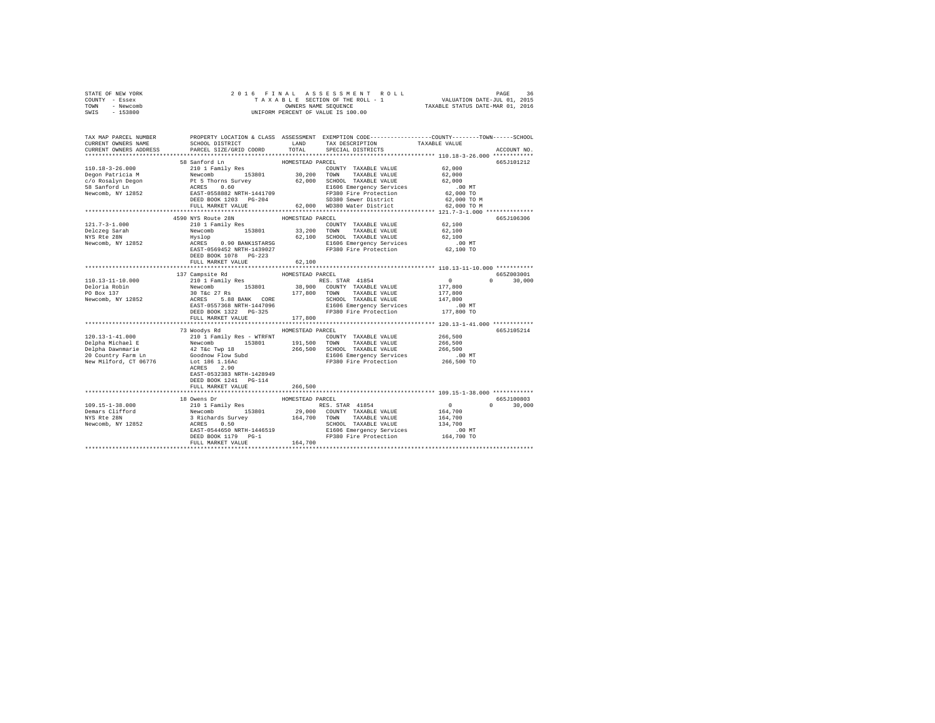| STATE OF NEW YORK |  |  | 2016 FINAL ASSESSMENT ROLL         |                                  | PAGE | 36 |
|-------------------|--|--|------------------------------------|----------------------------------|------|----|
| COUNTY - Essex    |  |  | TAXABLE SECTION OF THE ROLL - 1    | VALUATION DATE-JUL 01, 2015      |      |    |
| TOWN<br>- Newcomb |  |  | OWNERS NAME SEOUENCE               | TAXABLE STATUS DATE-MAR 01, 2016 |      |    |
| $-153800$<br>SWIS |  |  | UNIFORM PERCENT OF VALUE IS 100.00 |                                  |      |    |

| TAX MAP PARCEL NUMBER<br>CURRENT OWNERS NAME                                                                                                                                                                                                                                                              | SCHOOL DISTRICT<br>PARCEL SIZE/GRID COORD | LAND<br>TOTAL    | PROPERTY LOCATION & CLASS ASSESSMENT EXEMPTION CODE---------------COUNTY-------TOWN------SCHOOL<br>TAX DESCRIPTION                                                                                                                                                   | TAXABLE VALUE                                  |               |
|-----------------------------------------------------------------------------------------------------------------------------------------------------------------------------------------------------------------------------------------------------------------------------------------------------------|-------------------------------------------|------------------|----------------------------------------------------------------------------------------------------------------------------------------------------------------------------------------------------------------------------------------------------------------------|------------------------------------------------|---------------|
| CURRENT OWNERS ADDRESS                                                                                                                                                                                                                                                                                    |                                           |                  | SPECIAL DISTRICTS                                                                                                                                                                                                                                                    |                                                | ACCOUNT NO.   |
|                                                                                                                                                                                                                                                                                                           | 58 Sanford Ln                             | HOMESTEAD PARCEL |                                                                                                                                                                                                                                                                      |                                                | 665J101212    |
|                                                                                                                                                                                                                                                                                                           |                                           |                  | COUNTY TAXABLE VALUE 62,000                                                                                                                                                                                                                                          | 62,000<br>62,000                               |               |
|                                                                                                                                                                                                                                                                                                           |                                           |                  |                                                                                                                                                                                                                                                                      | .00MT                                          |               |
|                                                                                                                                                                                                                                                                                                           |                                           |                  |                                                                                                                                                                                                                                                                      | 62,000 TO                                      |               |
|                                                                                                                                                                                                                                                                                                           | DEED BOOK 1203 PG-204                     |                  | DEED BOOK 1203 PG-204 SD380 Sewer District 62,000 TO M<br>FULL MARKET VALUE 62,000 WD380 Water District 62,000 TO M                                                                                                                                                  |                                                |               |
|                                                                                                                                                                                                                                                                                                           |                                           |                  |                                                                                                                                                                                                                                                                      |                                                |               |
|                                                                                                                                                                                                                                                                                                           |                                           |                  |                                                                                                                                                                                                                                                                      | ***************** 121.7-3-1.000 ************** |               |
|                                                                                                                                                                                                                                                                                                           | 4590 NYS Route 28N                        | HOMESTEAD PARCEL |                                                                                                                                                                                                                                                                      |                                                | 665J106306    |
| $121.7 - 3 - 1.000$                                                                                                                                                                                                                                                                                       | 210 1 Family Res                          |                  | COUNTY TAXABLE VALUE 62.100<br>210 1 Family Res $100$ 153801 $33,200$ TOWN TAXABLE VALUE Hyslop<br>Rewcomb 153801 $62,100$ SCHOOL TAXABLE VALUE<br>RUSES 0.90 BANK1STARSG EL606 Emergency Services<br>RACRES 0.90 BANK1STARSG EL606 Emergency Services<br>EAST-05694 |                                                |               |
|                                                                                                                                                                                                                                                                                                           |                                           |                  |                                                                                                                                                                                                                                                                      | 62,100<br>62,100                               |               |
|                                                                                                                                                                                                                                                                                                           |                                           |                  |                                                                                                                                                                                                                                                                      |                                                |               |
| Newcomb, NY 12852                                                                                                                                                                                                                                                                                         |                                           |                  | E1606 Emergency Services<br>FP380 Fire Protection                                                                                                                                                                                                                    | .00 MT.<br>62,100 TO                           |               |
|                                                                                                                                                                                                                                                                                                           | DEED BOOK 1078 PG-223                     |                  |                                                                                                                                                                                                                                                                      |                                                |               |
|                                                                                                                                                                                                                                                                                                           | FULL MARKET VALUE                         | 62,100           |                                                                                                                                                                                                                                                                      |                                                |               |
|                                                                                                                                                                                                                                                                                                           |                                           |                  |                                                                                                                                                                                                                                                                      |                                                |               |
|                                                                                                                                                                                                                                                                                                           | 137 Campsite Rd                           | HOMESTEAD PARCEL |                                                                                                                                                                                                                                                                      |                                                | 665Z003001    |
| 110.13-11-10.000                                                                                                                                                                                                                                                                                          | 210 1 Family Res                          |                  | RES. STAR 41854                                                                                                                                                                                                                                                      | $\sim$ 0                                       | $0 \t 30,000$ |
| Deloria Robin                                                                                                                                                                                                                                                                                             |                                           |                  |                                                                                                                                                                                                                                                                      |                                                |               |
| PO Box 137                                                                                                                                                                                                                                                                                                |                                           |                  |                                                                                                                                                                                                                                                                      |                                                |               |
| Newcomb, NY 12852                                                                                                                                                                                                                                                                                         |                                           |                  |                                                                                                                                                                                                                                                                      |                                                |               |
|                                                                                                                                                                                                                                                                                                           |                                           |                  |                                                                                                                                                                                                                                                                      |                                                |               |
|                                                                                                                                                                                                                                                                                                           |                                           |                  |                                                                                                                                                                                                                                                                      |                                                |               |
|                                                                                                                                                                                                                                                                                                           | FULL MARKET VALUE                         | 177,800          |                                                                                                                                                                                                                                                                      |                                                |               |
|                                                                                                                                                                                                                                                                                                           |                                           |                  |                                                                                                                                                                                                                                                                      |                                                |               |
|                                                                                                                                                                                                                                                                                                           | 73 Woodys Rd                              | HOMESTEAD PARCEL |                                                                                                                                                                                                                                                                      | 266,500                                        | 665J105214    |
|                                                                                                                                                                                                                                                                                                           |                                           |                  |                                                                                                                                                                                                                                                                      | 266,500                                        |               |
|                                                                                                                                                                                                                                                                                                           |                                           |                  | 266,500 SCHOOL TAXABLE VALUE                                                                                                                                                                                                                                         | 266,500                                        |               |
|                                                                                                                                                                                                                                                                                                           |                                           |                  | E1606 Emergency Services .00 MT                                                                                                                                                                                                                                      |                                                |               |
| $\begin{tabular}{l c c c c c c} \hline 120.13-1-41.000 & 12101 Family Res - WITH {\small \bf 20} & 12011 Family Res - WITH {\small \bf 20} & 121011 & 1211,500 & 1211,500 & 1211,500 & 1211,500 & 1211,500 & 1211,500 & 1211,500 & 1211,500 & 1211,500 & 1211,500 & 1211,500 & 1211,500 & 1211,500 & 121$ |                                           |                  | FP380 Fire Protection                                                                                                                                                                                                                                                | 266,500 TO                                     |               |
|                                                                                                                                                                                                                                                                                                           | ACRES 2.90                                |                  |                                                                                                                                                                                                                                                                      |                                                |               |
|                                                                                                                                                                                                                                                                                                           | EAST-0532383 NRTH-1428949                 |                  |                                                                                                                                                                                                                                                                      |                                                |               |
|                                                                                                                                                                                                                                                                                                           | DEED BOOK 1241   PG-114                   |                  |                                                                                                                                                                                                                                                                      |                                                |               |
|                                                                                                                                                                                                                                                                                                           | FULL MARKET VALUE                         | 266,500          |                                                                                                                                                                                                                                                                      |                                                |               |
|                                                                                                                                                                                                                                                                                                           |                                           |                  |                                                                                                                                                                                                                                                                      |                                                |               |
|                                                                                                                                                                                                                                                                                                           |                                           |                  |                                                                                                                                                                                                                                                                      |                                                | 665J100803    |
|                                                                                                                                                                                                                                                                                                           |                                           |                  |                                                                                                                                                                                                                                                                      | $\Omega$                                       | 30,000        |
|                                                                                                                                                                                                                                                                                                           |                                           |                  |                                                                                                                                                                                                                                                                      |                                                |               |
|                                                                                                                                                                                                                                                                                                           |                                           |                  |                                                                                                                                                                                                                                                                      |                                                |               |
|                                                                                                                                                                                                                                                                                                           |                                           |                  |                                                                                                                                                                                                                                                                      |                                                |               |
|                                                                                                                                                                                                                                                                                                           |                                           |                  |                                                                                                                                                                                                                                                                      |                                                |               |
|                                                                                                                                                                                                                                                                                                           |                                           |                  | NCRES 0.50<br>EXERIBITION TRIABLE VALUE 134,700<br>DEED BOOK 1179 PG-1 E1606 Emergency Services 134,700<br>PEP BOOK 1179 PG-1 PULL MARKET VALUE PP380 Fire Protection 164,700 TO<br>PEP BOOK 179 PG-1 164,700                                                        |                                                |               |
|                                                                                                                                                                                                                                                                                                           |                                           |                  |                                                                                                                                                                                                                                                                      |                                                |               |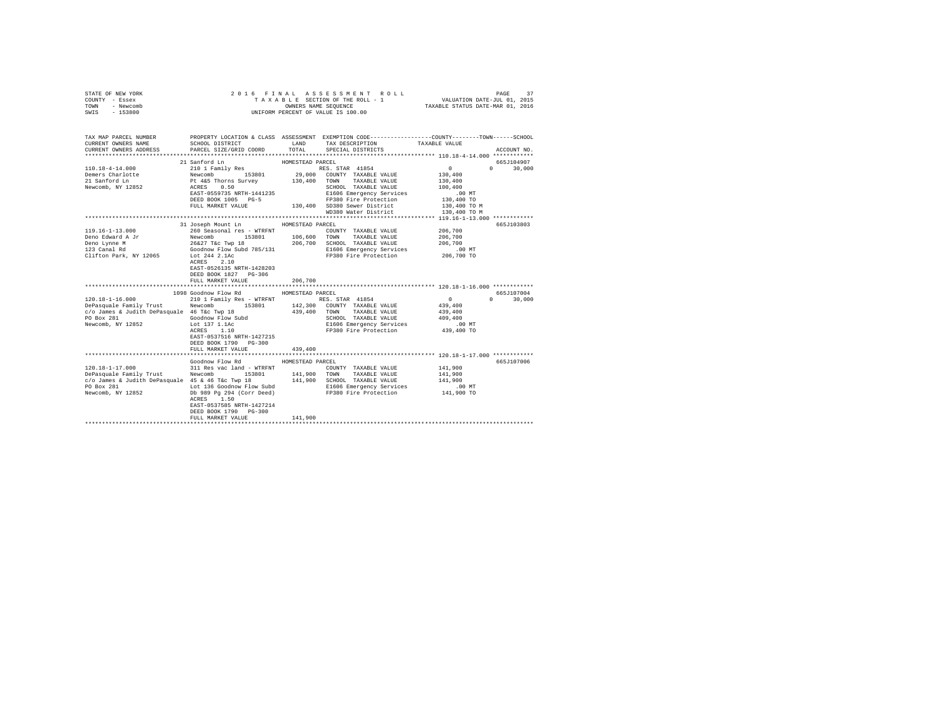| TOWN - Newcomb<br>SWIS - 153800<br>TAX MAP PARCEL NUMBER<br>PROPERTY LOCATION & CLASS ASSESSMENT EXEMPTION CODE---------------COUNTY-------TOWN------SCHOOL<br>SCHOOL DISTRICT<br>TAX DESCRIPTION TAXABLE VALUE<br>CURRENT OWNERS NAME<br>LAND<br>PARCEL SIZE/GRID COORD<br>TOTAL<br>CURRENT OWNERS ADDRESS<br>SPECIAL DISTRICTS<br>ACCOUNT NO.<br>21 Sanford Ln<br>HOMESTEAD PARCEL<br>665J104907<br>$\sim$ 0<br>$110.18 - 4 - 14.000$<br>$0 \t 30,000$<br>130,400<br>Demers Charlotte<br>21 Sanford Ln<br>130,400<br>Newcomb, NY 12852<br>SCHOOL TAXABLE VALUE<br>100,400<br>E1606 Emergency Services<br>.00 MT<br>130,400 TO<br>FP380 Fire Protection<br>130,400 TO M<br>WD380 Water District<br>130,400 TO M<br>*************** 119.16-1-13.000 ************<br>31 Joseph Mount Ln MOMESTEAD PARCEL<br>665J103803<br>260 Seasonal res - WTRFNT<br>119.16-1-13.000<br>206,700<br>COUNTY TAXABLE VALUE<br>Deno Edward A Jr<br>206,700<br>206,700<br>Deno Lynne M<br>123 Canal Rd<br>E1606 Emergency Services<br>00 MT.<br>206,700 TO<br>Lot 244 2.1Ac<br>ACRES 2.10<br>FP380 Fire Protection<br>Clifton Park, NY 12065<br>ACRES 2.10<br>EAST-0526135 NRTH-1428203<br>DEED BOOK 1827 PG-306<br>206,700<br>FULL MARKET VALUE<br>1098 Goodnow Flow Rd<br>HOMESTEAD PARCEL<br>665J107004<br>210 1 Family Res - WTRFNT<br>Newcomb 153801 142,300 COUNTY TAXABLE VALUE<br>$120.18 - 1 - 16.000$<br>$\sim$ 0<br>$0 \t 30,000$<br>439,400<br>DePasquale Family Trust Newcomb<br>c/o James & Judith DePasquale 46 T&c Twp 18<br>439,400 TOWN TAXABLE VALUE<br>439,400<br>Goodnow Flow Subd<br>PO Box 281<br>SCHOOL TAXABLE VALUE<br>409,400<br>Lot 137 1.1Ac<br>ACRES 1.10<br>Newcomb, NY 12852<br>E1606 Emergency Services<br>FP380 Fire Protection<br>$.00$ MT<br>439,400 TO<br>EAST-0537516 NRTH-1427215<br>DEED BOOK 1790 PG-300<br>439,400<br>FULL MARKET VALUE<br>Goodnow Flow Rd<br>665J107006<br>HOMESTEAD PARCEL<br>$120.18 - 1 - 17.000$<br>311 Res vac land - WTRFNT<br>141,900<br>COUNTY TAXABLE VALUE<br>1991 - 11/1900 - 12/1910 - 12/1910 - 12/1910 - 12/1910 - 12/1910 - 12/1910 - 12/1910 - 12/1910 - 12/1910 - 12/<br>1991 - 141,900 - 15/1910 - 15/1910 - 15/1910 - 141,900 - 141,900 - 141,900 - 12/1910 - 12/1910 - 12/1910 - 12<br>1<br>141,900<br>141,900<br>$.00$ MT<br>Db 989 Pg 294 (Corr Deed) FP380 Fire Protection 141,900 TO<br>Newcomb, NY 12852<br>ACRES 1.50<br>EAST-0537585 NRTH-1427214<br>DEED BOOK 1790 PG-300<br>141,900<br>FULL MARKET VALUE | STATE OF NEW YORK<br>COUNTY - Essex |  |  |  |
|------------------------------------------------------------------------------------------------------------------------------------------------------------------------------------------------------------------------------------------------------------------------------------------------------------------------------------------------------------------------------------------------------------------------------------------------------------------------------------------------------------------------------------------------------------------------------------------------------------------------------------------------------------------------------------------------------------------------------------------------------------------------------------------------------------------------------------------------------------------------------------------------------------------------------------------------------------------------------------------------------------------------------------------------------------------------------------------------------------------------------------------------------------------------------------------------------------------------------------------------------------------------------------------------------------------------------------------------------------------------------------------------------------------------------------------------------------------------------------------------------------------------------------------------------------------------------------------------------------------------------------------------------------------------------------------------------------------------------------------------------------------------------------------------------------------------------------------------------------------------------------------------------------------------------------------------------------------------------------------------------------------------------------------------------------------------------------------------------------------------------------------------------------------------------------------------------------------------------------------------------------------------------------------------------------------------------------------------------------------------------------------------------------------------------------------------------------------------------|-------------------------------------|--|--|--|
|                                                                                                                                                                                                                                                                                                                                                                                                                                                                                                                                                                                                                                                                                                                                                                                                                                                                                                                                                                                                                                                                                                                                                                                                                                                                                                                                                                                                                                                                                                                                                                                                                                                                                                                                                                                                                                                                                                                                                                                                                                                                                                                                                                                                                                                                                                                                                                                                                                                                              |                                     |  |  |  |
|                                                                                                                                                                                                                                                                                                                                                                                                                                                                                                                                                                                                                                                                                                                                                                                                                                                                                                                                                                                                                                                                                                                                                                                                                                                                                                                                                                                                                                                                                                                                                                                                                                                                                                                                                                                                                                                                                                                                                                                                                                                                                                                                                                                                                                                                                                                                                                                                                                                                              |                                     |  |  |  |
|                                                                                                                                                                                                                                                                                                                                                                                                                                                                                                                                                                                                                                                                                                                                                                                                                                                                                                                                                                                                                                                                                                                                                                                                                                                                                                                                                                                                                                                                                                                                                                                                                                                                                                                                                                                                                                                                                                                                                                                                                                                                                                                                                                                                                                                                                                                                                                                                                                                                              |                                     |  |  |  |
|                                                                                                                                                                                                                                                                                                                                                                                                                                                                                                                                                                                                                                                                                                                                                                                                                                                                                                                                                                                                                                                                                                                                                                                                                                                                                                                                                                                                                                                                                                                                                                                                                                                                                                                                                                                                                                                                                                                                                                                                                                                                                                                                                                                                                                                                                                                                                                                                                                                                              |                                     |  |  |  |
|                                                                                                                                                                                                                                                                                                                                                                                                                                                                                                                                                                                                                                                                                                                                                                                                                                                                                                                                                                                                                                                                                                                                                                                                                                                                                                                                                                                                                                                                                                                                                                                                                                                                                                                                                                                                                                                                                                                                                                                                                                                                                                                                                                                                                                                                                                                                                                                                                                                                              |                                     |  |  |  |
|                                                                                                                                                                                                                                                                                                                                                                                                                                                                                                                                                                                                                                                                                                                                                                                                                                                                                                                                                                                                                                                                                                                                                                                                                                                                                                                                                                                                                                                                                                                                                                                                                                                                                                                                                                                                                                                                                                                                                                                                                                                                                                                                                                                                                                                                                                                                                                                                                                                                              |                                     |  |  |  |
|                                                                                                                                                                                                                                                                                                                                                                                                                                                                                                                                                                                                                                                                                                                                                                                                                                                                                                                                                                                                                                                                                                                                                                                                                                                                                                                                                                                                                                                                                                                                                                                                                                                                                                                                                                                                                                                                                                                                                                                                                                                                                                                                                                                                                                                                                                                                                                                                                                                                              |                                     |  |  |  |
|                                                                                                                                                                                                                                                                                                                                                                                                                                                                                                                                                                                                                                                                                                                                                                                                                                                                                                                                                                                                                                                                                                                                                                                                                                                                                                                                                                                                                                                                                                                                                                                                                                                                                                                                                                                                                                                                                                                                                                                                                                                                                                                                                                                                                                                                                                                                                                                                                                                                              |                                     |  |  |  |
|                                                                                                                                                                                                                                                                                                                                                                                                                                                                                                                                                                                                                                                                                                                                                                                                                                                                                                                                                                                                                                                                                                                                                                                                                                                                                                                                                                                                                                                                                                                                                                                                                                                                                                                                                                                                                                                                                                                                                                                                                                                                                                                                                                                                                                                                                                                                                                                                                                                                              |                                     |  |  |  |
|                                                                                                                                                                                                                                                                                                                                                                                                                                                                                                                                                                                                                                                                                                                                                                                                                                                                                                                                                                                                                                                                                                                                                                                                                                                                                                                                                                                                                                                                                                                                                                                                                                                                                                                                                                                                                                                                                                                                                                                                                                                                                                                                                                                                                                                                                                                                                                                                                                                                              |                                     |  |  |  |
|                                                                                                                                                                                                                                                                                                                                                                                                                                                                                                                                                                                                                                                                                                                                                                                                                                                                                                                                                                                                                                                                                                                                                                                                                                                                                                                                                                                                                                                                                                                                                                                                                                                                                                                                                                                                                                                                                                                                                                                                                                                                                                                                                                                                                                                                                                                                                                                                                                                                              |                                     |  |  |  |
|                                                                                                                                                                                                                                                                                                                                                                                                                                                                                                                                                                                                                                                                                                                                                                                                                                                                                                                                                                                                                                                                                                                                                                                                                                                                                                                                                                                                                                                                                                                                                                                                                                                                                                                                                                                                                                                                                                                                                                                                                                                                                                                                                                                                                                                                                                                                                                                                                                                                              |                                     |  |  |  |
|                                                                                                                                                                                                                                                                                                                                                                                                                                                                                                                                                                                                                                                                                                                                                                                                                                                                                                                                                                                                                                                                                                                                                                                                                                                                                                                                                                                                                                                                                                                                                                                                                                                                                                                                                                                                                                                                                                                                                                                                                                                                                                                                                                                                                                                                                                                                                                                                                                                                              |                                     |  |  |  |
|                                                                                                                                                                                                                                                                                                                                                                                                                                                                                                                                                                                                                                                                                                                                                                                                                                                                                                                                                                                                                                                                                                                                                                                                                                                                                                                                                                                                                                                                                                                                                                                                                                                                                                                                                                                                                                                                                                                                                                                                                                                                                                                                                                                                                                                                                                                                                                                                                                                                              |                                     |  |  |  |
|                                                                                                                                                                                                                                                                                                                                                                                                                                                                                                                                                                                                                                                                                                                                                                                                                                                                                                                                                                                                                                                                                                                                                                                                                                                                                                                                                                                                                                                                                                                                                                                                                                                                                                                                                                                                                                                                                                                                                                                                                                                                                                                                                                                                                                                                                                                                                                                                                                                                              |                                     |  |  |  |
|                                                                                                                                                                                                                                                                                                                                                                                                                                                                                                                                                                                                                                                                                                                                                                                                                                                                                                                                                                                                                                                                                                                                                                                                                                                                                                                                                                                                                                                                                                                                                                                                                                                                                                                                                                                                                                                                                                                                                                                                                                                                                                                                                                                                                                                                                                                                                                                                                                                                              |                                     |  |  |  |
|                                                                                                                                                                                                                                                                                                                                                                                                                                                                                                                                                                                                                                                                                                                                                                                                                                                                                                                                                                                                                                                                                                                                                                                                                                                                                                                                                                                                                                                                                                                                                                                                                                                                                                                                                                                                                                                                                                                                                                                                                                                                                                                                                                                                                                                                                                                                                                                                                                                                              |                                     |  |  |  |
|                                                                                                                                                                                                                                                                                                                                                                                                                                                                                                                                                                                                                                                                                                                                                                                                                                                                                                                                                                                                                                                                                                                                                                                                                                                                                                                                                                                                                                                                                                                                                                                                                                                                                                                                                                                                                                                                                                                                                                                                                                                                                                                                                                                                                                                                                                                                                                                                                                                                              |                                     |  |  |  |
|                                                                                                                                                                                                                                                                                                                                                                                                                                                                                                                                                                                                                                                                                                                                                                                                                                                                                                                                                                                                                                                                                                                                                                                                                                                                                                                                                                                                                                                                                                                                                                                                                                                                                                                                                                                                                                                                                                                                                                                                                                                                                                                                                                                                                                                                                                                                                                                                                                                                              |                                     |  |  |  |
|                                                                                                                                                                                                                                                                                                                                                                                                                                                                                                                                                                                                                                                                                                                                                                                                                                                                                                                                                                                                                                                                                                                                                                                                                                                                                                                                                                                                                                                                                                                                                                                                                                                                                                                                                                                                                                                                                                                                                                                                                                                                                                                                                                                                                                                                                                                                                                                                                                                                              |                                     |  |  |  |
|                                                                                                                                                                                                                                                                                                                                                                                                                                                                                                                                                                                                                                                                                                                                                                                                                                                                                                                                                                                                                                                                                                                                                                                                                                                                                                                                                                                                                                                                                                                                                                                                                                                                                                                                                                                                                                                                                                                                                                                                                                                                                                                                                                                                                                                                                                                                                                                                                                                                              |                                     |  |  |  |
|                                                                                                                                                                                                                                                                                                                                                                                                                                                                                                                                                                                                                                                                                                                                                                                                                                                                                                                                                                                                                                                                                                                                                                                                                                                                                                                                                                                                                                                                                                                                                                                                                                                                                                                                                                                                                                                                                                                                                                                                                                                                                                                                                                                                                                                                                                                                                                                                                                                                              |                                     |  |  |  |
|                                                                                                                                                                                                                                                                                                                                                                                                                                                                                                                                                                                                                                                                                                                                                                                                                                                                                                                                                                                                                                                                                                                                                                                                                                                                                                                                                                                                                                                                                                                                                                                                                                                                                                                                                                                                                                                                                                                                                                                                                                                                                                                                                                                                                                                                                                                                                                                                                                                                              |                                     |  |  |  |
|                                                                                                                                                                                                                                                                                                                                                                                                                                                                                                                                                                                                                                                                                                                                                                                                                                                                                                                                                                                                                                                                                                                                                                                                                                                                                                                                                                                                                                                                                                                                                                                                                                                                                                                                                                                                                                                                                                                                                                                                                                                                                                                                                                                                                                                                                                                                                                                                                                                                              |                                     |  |  |  |
|                                                                                                                                                                                                                                                                                                                                                                                                                                                                                                                                                                                                                                                                                                                                                                                                                                                                                                                                                                                                                                                                                                                                                                                                                                                                                                                                                                                                                                                                                                                                                                                                                                                                                                                                                                                                                                                                                                                                                                                                                                                                                                                                                                                                                                                                                                                                                                                                                                                                              |                                     |  |  |  |
|                                                                                                                                                                                                                                                                                                                                                                                                                                                                                                                                                                                                                                                                                                                                                                                                                                                                                                                                                                                                                                                                                                                                                                                                                                                                                                                                                                                                                                                                                                                                                                                                                                                                                                                                                                                                                                                                                                                                                                                                                                                                                                                                                                                                                                                                                                                                                                                                                                                                              |                                     |  |  |  |
|                                                                                                                                                                                                                                                                                                                                                                                                                                                                                                                                                                                                                                                                                                                                                                                                                                                                                                                                                                                                                                                                                                                                                                                                                                                                                                                                                                                                                                                                                                                                                                                                                                                                                                                                                                                                                                                                                                                                                                                                                                                                                                                                                                                                                                                                                                                                                                                                                                                                              |                                     |  |  |  |
|                                                                                                                                                                                                                                                                                                                                                                                                                                                                                                                                                                                                                                                                                                                                                                                                                                                                                                                                                                                                                                                                                                                                                                                                                                                                                                                                                                                                                                                                                                                                                                                                                                                                                                                                                                                                                                                                                                                                                                                                                                                                                                                                                                                                                                                                                                                                                                                                                                                                              |                                     |  |  |  |
|                                                                                                                                                                                                                                                                                                                                                                                                                                                                                                                                                                                                                                                                                                                                                                                                                                                                                                                                                                                                                                                                                                                                                                                                                                                                                                                                                                                                                                                                                                                                                                                                                                                                                                                                                                                                                                                                                                                                                                                                                                                                                                                                                                                                                                                                                                                                                                                                                                                                              |                                     |  |  |  |
|                                                                                                                                                                                                                                                                                                                                                                                                                                                                                                                                                                                                                                                                                                                                                                                                                                                                                                                                                                                                                                                                                                                                                                                                                                                                                                                                                                                                                                                                                                                                                                                                                                                                                                                                                                                                                                                                                                                                                                                                                                                                                                                                                                                                                                                                                                                                                                                                                                                                              |                                     |  |  |  |
|                                                                                                                                                                                                                                                                                                                                                                                                                                                                                                                                                                                                                                                                                                                                                                                                                                                                                                                                                                                                                                                                                                                                                                                                                                                                                                                                                                                                                                                                                                                                                                                                                                                                                                                                                                                                                                                                                                                                                                                                                                                                                                                                                                                                                                                                                                                                                                                                                                                                              |                                     |  |  |  |
|                                                                                                                                                                                                                                                                                                                                                                                                                                                                                                                                                                                                                                                                                                                                                                                                                                                                                                                                                                                                                                                                                                                                                                                                                                                                                                                                                                                                                                                                                                                                                                                                                                                                                                                                                                                                                                                                                                                                                                                                                                                                                                                                                                                                                                                                                                                                                                                                                                                                              |                                     |  |  |  |
|                                                                                                                                                                                                                                                                                                                                                                                                                                                                                                                                                                                                                                                                                                                                                                                                                                                                                                                                                                                                                                                                                                                                                                                                                                                                                                                                                                                                                                                                                                                                                                                                                                                                                                                                                                                                                                                                                                                                                                                                                                                                                                                                                                                                                                                                                                                                                                                                                                                                              |                                     |  |  |  |
|                                                                                                                                                                                                                                                                                                                                                                                                                                                                                                                                                                                                                                                                                                                                                                                                                                                                                                                                                                                                                                                                                                                                                                                                                                                                                                                                                                                                                                                                                                                                                                                                                                                                                                                                                                                                                                                                                                                                                                                                                                                                                                                                                                                                                                                                                                                                                                                                                                                                              |                                     |  |  |  |
|                                                                                                                                                                                                                                                                                                                                                                                                                                                                                                                                                                                                                                                                                                                                                                                                                                                                                                                                                                                                                                                                                                                                                                                                                                                                                                                                                                                                                                                                                                                                                                                                                                                                                                                                                                                                                                                                                                                                                                                                                                                                                                                                                                                                                                                                                                                                                                                                                                                                              |                                     |  |  |  |
|                                                                                                                                                                                                                                                                                                                                                                                                                                                                                                                                                                                                                                                                                                                                                                                                                                                                                                                                                                                                                                                                                                                                                                                                                                                                                                                                                                                                                                                                                                                                                                                                                                                                                                                                                                                                                                                                                                                                                                                                                                                                                                                                                                                                                                                                                                                                                                                                                                                                              |                                     |  |  |  |
|                                                                                                                                                                                                                                                                                                                                                                                                                                                                                                                                                                                                                                                                                                                                                                                                                                                                                                                                                                                                                                                                                                                                                                                                                                                                                                                                                                                                                                                                                                                                                                                                                                                                                                                                                                                                                                                                                                                                                                                                                                                                                                                                                                                                                                                                                                                                                                                                                                                                              |                                     |  |  |  |
|                                                                                                                                                                                                                                                                                                                                                                                                                                                                                                                                                                                                                                                                                                                                                                                                                                                                                                                                                                                                                                                                                                                                                                                                                                                                                                                                                                                                                                                                                                                                                                                                                                                                                                                                                                                                                                                                                                                                                                                                                                                                                                                                                                                                                                                                                                                                                                                                                                                                              |                                     |  |  |  |
|                                                                                                                                                                                                                                                                                                                                                                                                                                                                                                                                                                                                                                                                                                                                                                                                                                                                                                                                                                                                                                                                                                                                                                                                                                                                                                                                                                                                                                                                                                                                                                                                                                                                                                                                                                                                                                                                                                                                                                                                                                                                                                                                                                                                                                                                                                                                                                                                                                                                              |                                     |  |  |  |
|                                                                                                                                                                                                                                                                                                                                                                                                                                                                                                                                                                                                                                                                                                                                                                                                                                                                                                                                                                                                                                                                                                                                                                                                                                                                                                                                                                                                                                                                                                                                                                                                                                                                                                                                                                                                                                                                                                                                                                                                                                                                                                                                                                                                                                                                                                                                                                                                                                                                              |                                     |  |  |  |
|                                                                                                                                                                                                                                                                                                                                                                                                                                                                                                                                                                                                                                                                                                                                                                                                                                                                                                                                                                                                                                                                                                                                                                                                                                                                                                                                                                                                                                                                                                                                                                                                                                                                                                                                                                                                                                                                                                                                                                                                                                                                                                                                                                                                                                                                                                                                                                                                                                                                              |                                     |  |  |  |
|                                                                                                                                                                                                                                                                                                                                                                                                                                                                                                                                                                                                                                                                                                                                                                                                                                                                                                                                                                                                                                                                                                                                                                                                                                                                                                                                                                                                                                                                                                                                                                                                                                                                                                                                                                                                                                                                                                                                                                                                                                                                                                                                                                                                                                                                                                                                                                                                                                                                              |                                     |  |  |  |
|                                                                                                                                                                                                                                                                                                                                                                                                                                                                                                                                                                                                                                                                                                                                                                                                                                                                                                                                                                                                                                                                                                                                                                                                                                                                                                                                                                                                                                                                                                                                                                                                                                                                                                                                                                                                                                                                                                                                                                                                                                                                                                                                                                                                                                                                                                                                                                                                                                                                              |                                     |  |  |  |
|                                                                                                                                                                                                                                                                                                                                                                                                                                                                                                                                                                                                                                                                                                                                                                                                                                                                                                                                                                                                                                                                                                                                                                                                                                                                                                                                                                                                                                                                                                                                                                                                                                                                                                                                                                                                                                                                                                                                                                                                                                                                                                                                                                                                                                                                                                                                                                                                                                                                              |                                     |  |  |  |
|                                                                                                                                                                                                                                                                                                                                                                                                                                                                                                                                                                                                                                                                                                                                                                                                                                                                                                                                                                                                                                                                                                                                                                                                                                                                                                                                                                                                                                                                                                                                                                                                                                                                                                                                                                                                                                                                                                                                                                                                                                                                                                                                                                                                                                                                                                                                                                                                                                                                              |                                     |  |  |  |
|                                                                                                                                                                                                                                                                                                                                                                                                                                                                                                                                                                                                                                                                                                                                                                                                                                                                                                                                                                                                                                                                                                                                                                                                                                                                                                                                                                                                                                                                                                                                                                                                                                                                                                                                                                                                                                                                                                                                                                                                                                                                                                                                                                                                                                                                                                                                                                                                                                                                              |                                     |  |  |  |
|                                                                                                                                                                                                                                                                                                                                                                                                                                                                                                                                                                                                                                                                                                                                                                                                                                                                                                                                                                                                                                                                                                                                                                                                                                                                                                                                                                                                                                                                                                                                                                                                                                                                                                                                                                                                                                                                                                                                                                                                                                                                                                                                                                                                                                                                                                                                                                                                                                                                              |                                     |  |  |  |
|                                                                                                                                                                                                                                                                                                                                                                                                                                                                                                                                                                                                                                                                                                                                                                                                                                                                                                                                                                                                                                                                                                                                                                                                                                                                                                                                                                                                                                                                                                                                                                                                                                                                                                                                                                                                                                                                                                                                                                                                                                                                                                                                                                                                                                                                                                                                                                                                                                                                              |                                     |  |  |  |
|                                                                                                                                                                                                                                                                                                                                                                                                                                                                                                                                                                                                                                                                                                                                                                                                                                                                                                                                                                                                                                                                                                                                                                                                                                                                                                                                                                                                                                                                                                                                                                                                                                                                                                                                                                                                                                                                                                                                                                                                                                                                                                                                                                                                                                                                                                                                                                                                                                                                              |                                     |  |  |  |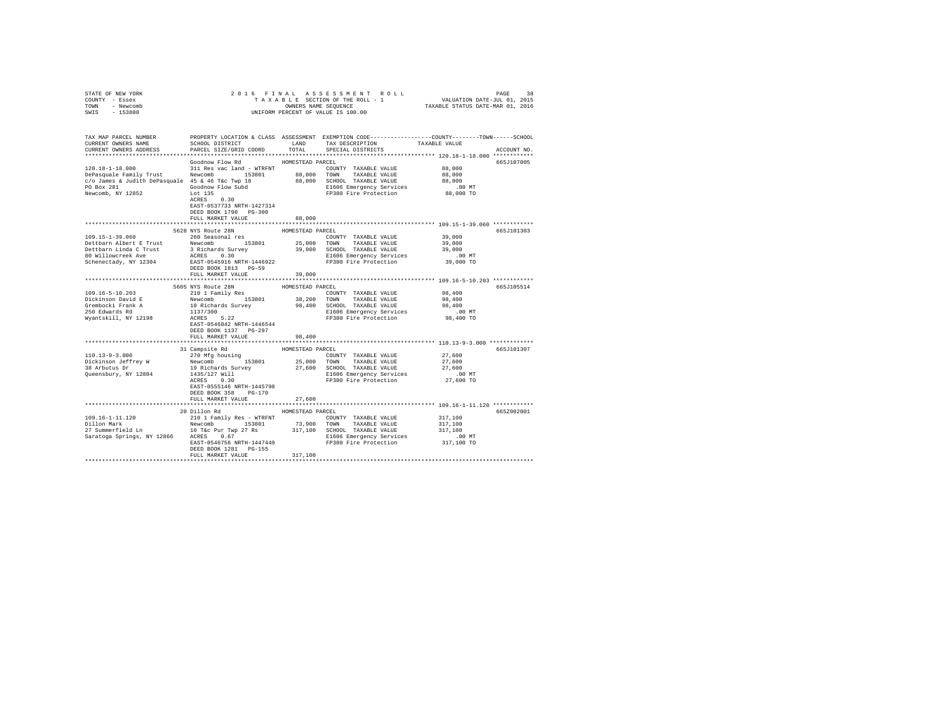| COUNTY - Essex<br>TOWN - Newcomb<br>SWIS - 153800                                                                                                                                                                                                                                                                                                                                                                                     |                                                                            |                  |                                                                                                                                                       |                       |             |
|---------------------------------------------------------------------------------------------------------------------------------------------------------------------------------------------------------------------------------------------------------------------------------------------------------------------------------------------------------------------------------------------------------------------------------------|----------------------------------------------------------------------------|------------------|-------------------------------------------------------------------------------------------------------------------------------------------------------|-----------------------|-------------|
|                                                                                                                                                                                                                                                                                                                                                                                                                                       |                                                                            |                  | UNIFORM PERCENT OF VALUE IS 100.00                                                                                                                    |                       |             |
| TAX MAP PARCEL NUMBER<br>CURRENT OWNERS NAME<br>CURRENT OWNERS ADDRESS                                                                                                                                                                                                                                                                                                                                                                | SCHOOL DISTRICT<br>PARCEL SIZE/GRID COORD                                  | LAND<br>TOTAL    | PROPERTY LOCATION & CLASS ASSESSMENT EXEMPTION CODE---------------COUNTY-------TOWN------SCHOOL<br>TAX DESCRIPTION TAXABLE VALUE<br>SPECIAL DISTRICTS |                       | ACCOUNT NO. |
|                                                                                                                                                                                                                                                                                                                                                                                                                                       |                                                                            |                  |                                                                                                                                                       |                       |             |
|                                                                                                                                                                                                                                                                                                                                                                                                                                       | Goodnow Flow Rd                                                            | HOMESTEAD PARCEL |                                                                                                                                                       |                       | 665J107005  |
|                                                                                                                                                                                                                                                                                                                                                                                                                                       |                                                                            |                  | COUNTY TAXABLE VALUE 88,000                                                                                                                           |                       |             |
|                                                                                                                                                                                                                                                                                                                                                                                                                                       |                                                                            |                  |                                                                                                                                                       | 88,000                |             |
|                                                                                                                                                                                                                                                                                                                                                                                                                                       |                                                                            |                  |                                                                                                                                                       | 88,000                |             |
|                                                                                                                                                                                                                                                                                                                                                                                                                                       |                                                                            |                  |                                                                                                                                                       | .00 MT                |             |
| $\begin{tabular}{l c c c c c c c c} \hline 120.18-1-18.000 & 311\,\mathrm{Res}\text{ vac}\text{ }1\text{ and }\text{--}\text{ WTRENT} & \multicolumn{3}{c}{\text{CUMIT}} & \multicolumn{3}{c}{\text{CUMIT}} & \multicolumn{3}{c}{\text{MMSMSE}} & \multicolumn{3}{c}{\text{D4S}} & \multicolumn{3}{c}{\text{D4S}} & \multicolumn{3}{c}{\text{D4S}} & \multicolumn{3}{c}{\text{D4S}} & \multicolumn{3}{c}{\text{D4S}} & \multicolumn{$ | $ACRES$ 0.30<br>EAST-0537733 NRTH-1427314                                  |                  |                                                                                                                                                       | 88,000 TO             |             |
|                                                                                                                                                                                                                                                                                                                                                                                                                                       | DEED BOOK 1790 PG-300                                                      |                  |                                                                                                                                                       |                       |             |
|                                                                                                                                                                                                                                                                                                                                                                                                                                       | FULL MARKET VALUE                                                          | 88,000           |                                                                                                                                                       |                       |             |
|                                                                                                                                                                                                                                                                                                                                                                                                                                       | 5628 NYS Route 28N                                                         | HOMESTEAD PARCEL |                                                                                                                                                       |                       | 665J101303  |
| 109.15-1-39.060 260 Seasonal res                                                                                                                                                                                                                                                                                                                                                                                                      |                                                                            |                  | COUNTY TAXABLE VALUE                                                                                                                                  | 39,000                |             |
|                                                                                                                                                                                                                                                                                                                                                                                                                                       |                                                                            |                  |                                                                                                                                                       | 39,000                |             |
|                                                                                                                                                                                                                                                                                                                                                                                                                                       |                                                                            |                  |                                                                                                                                                       | 39,000                |             |
|                                                                                                                                                                                                                                                                                                                                                                                                                                       |                                                                            |                  |                                                                                                                                                       | $.00$ MT              |             |
|                                                                                                                                                                                                                                                                                                                                                                                                                                       |                                                                            |                  |                                                                                                                                                       | 39,000 TO             |             |
|                                                                                                                                                                                                                                                                                                                                                                                                                                       | DEED BOOK 1813 PG-59                                                       |                  |                                                                                                                                                       |                       |             |
|                                                                                                                                                                                                                                                                                                                                                                                                                                       | FULL MARKET VALUE                                                          | 39,000           |                                                                                                                                                       |                       |             |
|                                                                                                                                                                                                                                                                                                                                                                                                                                       |                                                                            |                  |                                                                                                                                                       |                       |             |
| 109.16-5-10.203                                                                                                                                                                                                                                                                                                                                                                                                                       | 5605 NYS Route 28N<br>210 1 Family Res                                     | HOMESTEAD PARCEL | COUNTY TAXABLE VALUE                                                                                                                                  | 98,400                | 665J105514  |
|                                                                                                                                                                                                                                                                                                                                                                                                                                       |                                                                            |                  |                                                                                                                                                       | 98,400                |             |
| Dickinson David E<br>Grembocki Frank A                                                                                                                                                                                                                                                                                                                                                                                                |                                                                            |                  | 38,200 TOWN TAXABLE VALUE<br>98,400 SCHOOL TAXABLE VALUE                                                                                              | 98,400                |             |
| 250 Edwards Rd                                                                                                                                                                                                                                                                                                                                                                                                                        |                                                                            |                  | E1606 Emergency Services                                                                                                                              | $.00$ MT              |             |
| Wyantskill, NY 12198                                                                                                                                                                                                                                                                                                                                                                                                                  | Newcomb 153801 38,21<br>10 Richards Survey 98,40<br>1137/300<br>ACRES 5.22 |                  | FP380 Fire Protection                                                                                                                                 | 98,400 TO             |             |
|                                                                                                                                                                                                                                                                                                                                                                                                                                       | EAST-0546842 NRTH-1446544<br>DEED BOOK 1137 PG-297                         |                  |                                                                                                                                                       |                       |             |
|                                                                                                                                                                                                                                                                                                                                                                                                                                       | FULL MARKET VALUE                                                          | 98,400           |                                                                                                                                                       |                       |             |
|                                                                                                                                                                                                                                                                                                                                                                                                                                       | 31 Campsite Rd                                                             | HOMESTEAD PARCEL |                                                                                                                                                       |                       | 665J101307  |
| $110.13 - 9 - 3.000$                                                                                                                                                                                                                                                                                                                                                                                                                  | 270 Mfg housing                                                            |                  | COUNTY TAXABLE VALUE                                                                                                                                  | 27,600                |             |
|                                                                                                                                                                                                                                                                                                                                                                                                                                       | Newcomb 153801                                                             | 25,000 TOWN      | TAXABLE VALUE                                                                                                                                         | 27,600                |             |
|                                                                                                                                                                                                                                                                                                                                                                                                                                       |                                                                            |                  |                                                                                                                                                       | 27,600                |             |
| Dickinson Jeffrey W<br>38 Arbutus Dr<br>Queensbury, NY 12804                                                                                                                                                                                                                                                                                                                                                                          | 1435/127 Will<br>ACRES 0.30                                                |                  | 19 Richards Survey 27,600 SCHOOL TAXABLE VALUE<br>1435/127 Will E1606 Emergency Services                                                              | .00 MT                |             |
|                                                                                                                                                                                                                                                                                                                                                                                                                                       | EAST-0555146 NRTH-1445798                                                  |                  | FP380 Fire Protection                                                                                                                                 | 27,600 TO             |             |
|                                                                                                                                                                                                                                                                                                                                                                                                                                       | DEED BOOK 358 PG-170                                                       |                  |                                                                                                                                                       |                       |             |
|                                                                                                                                                                                                                                                                                                                                                                                                                                       | FULL MARKET VALUE                                                          | 27,600           |                                                                                                                                                       |                       |             |
|                                                                                                                                                                                                                                                                                                                                                                                                                                       | 20 Dillon Rd                                                               | HOMESTEAD PARCEL |                                                                                                                                                       |                       | 665Z002001  |
| 109.16-1-11.120                                                                                                                                                                                                                                                                                                                                                                                                                       | 210 1 Family Res - WTRFNT                                                  |                  | COUNTY TAXABLE VALUE                                                                                                                                  | 317,100               |             |
|                                                                                                                                                                                                                                                                                                                                                                                                                                       |                                                                            |                  |                                                                                                                                                       | 317,100               |             |
|                                                                                                                                                                                                                                                                                                                                                                                                                                       |                                                                            |                  |                                                                                                                                                       | 317,100               |             |
|                                                                                                                                                                                                                                                                                                                                                                                                                                       |                                                                            |                  |                                                                                                                                                       | .00 MT.<br>317,100 TO |             |
|                                                                                                                                                                                                                                                                                                                                                                                                                                       |                                                                            |                  |                                                                                                                                                       |                       |             |
|                                                                                                                                                                                                                                                                                                                                                                                                                                       | DEED BOOK 1281 PG-155                                                      |                  |                                                                                                                                                       |                       |             |
|                                                                                                                                                                                                                                                                                                                                                                                                                                       | FULL MARKET VALUE                                                          | 317,100          |                                                                                                                                                       |                       |             |
|                                                                                                                                                                                                                                                                                                                                                                                                                                       |                                                                            |                  |                                                                                                                                                       |                       |             |

STATE OF NEW YORK 2016 FINAL ASSESSMENT ROLL PAGE 38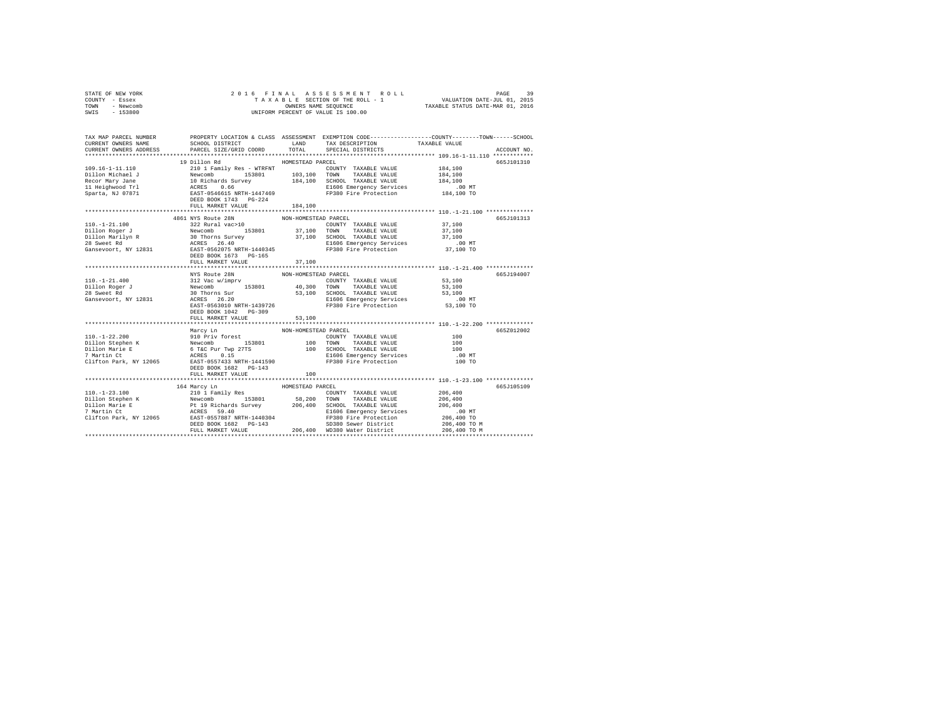| STATE OF NEW YORK                                                                                                                                                                                                                                                                                                                                                                                                                                      |                               |                      |                                                                                                                                                                                                                                                                                                                                                                                                                                      |                                                                                                 |  |
|--------------------------------------------------------------------------------------------------------------------------------------------------------------------------------------------------------------------------------------------------------------------------------------------------------------------------------------------------------------------------------------------------------------------------------------------------------|-------------------------------|----------------------|--------------------------------------------------------------------------------------------------------------------------------------------------------------------------------------------------------------------------------------------------------------------------------------------------------------------------------------------------------------------------------------------------------------------------------------|-------------------------------------------------------------------------------------------------|--|
| COUNTY - Essex                                                                                                                                                                                                                                                                                                                                                                                                                                         |                               |                      |                                                                                                                                                                                                                                                                                                                                                                                                                                      |                                                                                                 |  |
| TOWN - Newcomb                                                                                                                                                                                                                                                                                                                                                                                                                                         |                               |                      |                                                                                                                                                                                                                                                                                                                                                                                                                                      |                                                                                                 |  |
| SWIS - 153800                                                                                                                                                                                                                                                                                                                                                                                                                                          |                               |                      |                                                                                                                                                                                                                                                                                                                                                                                                                                      |                                                                                                 |  |
|                                                                                                                                                                                                                                                                                                                                                                                                                                                        |                               |                      |                                                                                                                                                                                                                                                                                                                                                                                                                                      |                                                                                                 |  |
|                                                                                                                                                                                                                                                                                                                                                                                                                                                        |                               |                      |                                                                                                                                                                                                                                                                                                                                                                                                                                      |                                                                                                 |  |
|                                                                                                                                                                                                                                                                                                                                                                                                                                                        |                               |                      |                                                                                                                                                                                                                                                                                                                                                                                                                                      |                                                                                                 |  |
| TAX MAP PARCEL NUMBER                                                                                                                                                                                                                                                                                                                                                                                                                                  |                               |                      |                                                                                                                                                                                                                                                                                                                                                                                                                                      | PROPERTY LOCATION & CLASS ASSESSMENT EXEMPTION CODE---------------COUNTY-------TOWN------SCHOOL |  |
| CURRENT OWNERS NAME                                                                                                                                                                                                                                                                                                                                                                                                                                    |                               |                      |                                                                                                                                                                                                                                                                                                                                                                                                                                      |                                                                                                 |  |
| CURRENT OWNERS ADDRESS                                                                                                                                                                                                                                                                                                                                                                                                                                 |                               |                      |                                                                                                                                                                                                                                                                                                                                                                                                                                      | ACCOUNT NO.                                                                                     |  |
|                                                                                                                                                                                                                                                                                                                                                                                                                                                        |                               |                      |                                                                                                                                                                                                                                                                                                                                                                                                                                      |                                                                                                 |  |
|                                                                                                                                                                                                                                                                                                                                                                                                                                                        | 19 Dillon Rd MOMESTEAD PARCEL |                      |                                                                                                                                                                                                                                                                                                                                                                                                                                      | 665J101310                                                                                      |  |
|                                                                                                                                                                                                                                                                                                                                                                                                                                                        |                               |                      | COUNTY TAXABLE VALUE 184,100                                                                                                                                                                                                                                                                                                                                                                                                         |                                                                                                 |  |
|                                                                                                                                                                                                                                                                                                                                                                                                                                                        |                               |                      |                                                                                                                                                                                                                                                                                                                                                                                                                                      | 184,100                                                                                         |  |
| $[109.16-1-11.110 \nonumber \\ \hline \texttt{Di1} \texttt{lm} \texttt{Michael J} \texttt{Newcomb} \texttt{Newcomb} \texttt{103,100 TOWN} \texttt{TXABLE VALUE} \texttt{PAKABLE VALUE} \texttt{HOLUTE} \texttt{MIDE} \texttt{VALUE} \texttt{Newcomb} \texttt{103,100 TOWN} \texttt{TXABLE VALUE} \texttt{REUC} \texttt{newcomb} \texttt{104,100 TOWN} \texttt{TXABLE VALUE} \texttt{Newcomb} \texttt{105,100 TOWN} \texttt{TXABLE VALUE} \texttt{108,$ |                               |                      |                                                                                                                                                                                                                                                                                                                                                                                                                                      | 184,100                                                                                         |  |
|                                                                                                                                                                                                                                                                                                                                                                                                                                                        |                               |                      |                                                                                                                                                                                                                                                                                                                                                                                                                                      | .00 MT                                                                                          |  |
|                                                                                                                                                                                                                                                                                                                                                                                                                                                        |                               |                      |                                                                                                                                                                                                                                                                                                                                                                                                                                      | 184,100 TO                                                                                      |  |
|                                                                                                                                                                                                                                                                                                                                                                                                                                                        |                               |                      |                                                                                                                                                                                                                                                                                                                                                                                                                                      |                                                                                                 |  |
|                                                                                                                                                                                                                                                                                                                                                                                                                                                        | FULL MARKET VALUE             | 184,100              |                                                                                                                                                                                                                                                                                                                                                                                                                                      |                                                                                                 |  |
|                                                                                                                                                                                                                                                                                                                                                                                                                                                        |                               |                      |                                                                                                                                                                                                                                                                                                                                                                                                                                      |                                                                                                 |  |
|                                                                                                                                                                                                                                                                                                                                                                                                                                                        |                               |                      |                                                                                                                                                                                                                                                                                                                                                                                                                                      | 665J101313                                                                                      |  |
|                                                                                                                                                                                                                                                                                                                                                                                                                                                        |                               |                      | COUNTY TAXABLE VALUE 37,100                                                                                                                                                                                                                                                                                                                                                                                                          |                                                                                                 |  |
|                                                                                                                                                                                                                                                                                                                                                                                                                                                        |                               |                      |                                                                                                                                                                                                                                                                                                                                                                                                                                      | 37,100                                                                                          |  |
|                                                                                                                                                                                                                                                                                                                                                                                                                                                        |                               |                      |                                                                                                                                                                                                                                                                                                                                                                                                                                      | 37,100                                                                                          |  |
|                                                                                                                                                                                                                                                                                                                                                                                                                                                        |                               |                      |                                                                                                                                                                                                                                                                                                                                                                                                                                      | .00 MT                                                                                          |  |
|                                                                                                                                                                                                                                                                                                                                                                                                                                                        |                               |                      |                                                                                                                                                                                                                                                                                                                                                                                                                                      | 37,100 TO                                                                                       |  |
|                                                                                                                                                                                                                                                                                                                                                                                                                                                        |                               |                      |                                                                                                                                                                                                                                                                                                                                                                                                                                      |                                                                                                 |  |
|                                                                                                                                                                                                                                                                                                                                                                                                                                                        | FULL MARKET VALUE             | 37,100               |                                                                                                                                                                                                                                                                                                                                                                                                                                      |                                                                                                 |  |
|                                                                                                                                                                                                                                                                                                                                                                                                                                                        |                               |                      |                                                                                                                                                                                                                                                                                                                                                                                                                                      |                                                                                                 |  |
|                                                                                                                                                                                                                                                                                                                                                                                                                                                        |                               |                      | MYS Route 28N NON-HOMESTEAD PARCEL<br>312 Vac w/imprv<br>28N NON-HOMESTEAD PARCEL<br>312 Vac w/imprv<br>28N NON-HOMESTEAD PARCEL<br>36 Thorns Survey 153801<br>30 Thorns S1,100<br>30 Thorns S1,100<br>2017 - 53,100<br>2017 - 53,100<br>2017 - 53                                                                                                                                                                                   | 665J194007                                                                                      |  |
| $110. - 1 - 21.400$                                                                                                                                                                                                                                                                                                                                                                                                                                    |                               |                      |                                                                                                                                                                                                                                                                                                                                                                                                                                      |                                                                                                 |  |
| Dillon Roger J<br>28 Sweet Rd                                                                                                                                                                                                                                                                                                                                                                                                                          |                               |                      |                                                                                                                                                                                                                                                                                                                                                                                                                                      |                                                                                                 |  |
| 28 Sweet Rd                                                                                                                                                                                                                                                                                                                                                                                                                                            |                               |                      |                                                                                                                                                                                                                                                                                                                                                                                                                                      |                                                                                                 |  |
| Gansevoort, NY 12831                                                                                                                                                                                                                                                                                                                                                                                                                                   |                               |                      |                                                                                                                                                                                                                                                                                                                                                                                                                                      |                                                                                                 |  |
|                                                                                                                                                                                                                                                                                                                                                                                                                                                        |                               |                      |                                                                                                                                                                                                                                                                                                                                                                                                                                      |                                                                                                 |  |
|                                                                                                                                                                                                                                                                                                                                                                                                                                                        | DEED BOOK 1042 PG-309         |                      |                                                                                                                                                                                                                                                                                                                                                                                                                                      |                                                                                                 |  |
|                                                                                                                                                                                                                                                                                                                                                                                                                                                        | FULL MARKET VALUE             | 53,100               |                                                                                                                                                                                                                                                                                                                                                                                                                                      |                                                                                                 |  |
|                                                                                                                                                                                                                                                                                                                                                                                                                                                        |                               |                      |                                                                                                                                                                                                                                                                                                                                                                                                                                      |                                                                                                 |  |
|                                                                                                                                                                                                                                                                                                                                                                                                                                                        | Marcy Ln                      | NON-HOMESTEAD PARCEL |                                                                                                                                                                                                                                                                                                                                                                                                                                      | 665Z012002                                                                                      |  |
|                                                                                                                                                                                                                                                                                                                                                                                                                                                        |                               |                      |                                                                                                                                                                                                                                                                                                                                                                                                                                      | 100                                                                                             |  |
|                                                                                                                                                                                                                                                                                                                                                                                                                                                        |                               |                      |                                                                                                                                                                                                                                                                                                                                                                                                                                      | 100                                                                                             |  |
| 110.-1-22.200<br>Pilo Priv forest<br>Dillon Marie E & Newcomb<br>210 Priv forest<br>210 Priv FORC PUT TWD 2775<br>210 ONN TAXABLE VALUE<br>210 ONN TAXABLE VALUE<br>210 ONN TAXABLE VALUE<br>210 ONN TAXABLE VALUE<br>210 ONN TAXABLE VALUE<br>21                                                                                                                                                                                                      |                               |                      |                                                                                                                                                                                                                                                                                                                                                                                                                                      | 100                                                                                             |  |
|                                                                                                                                                                                                                                                                                                                                                                                                                                                        |                               |                      |                                                                                                                                                                                                                                                                                                                                                                                                                                      | $.00$ MT                                                                                        |  |
|                                                                                                                                                                                                                                                                                                                                                                                                                                                        |                               |                      |                                                                                                                                                                                                                                                                                                                                                                                                                                      | 100 TO                                                                                          |  |
|                                                                                                                                                                                                                                                                                                                                                                                                                                                        | DEED BOOK 1682 PG-143         |                      |                                                                                                                                                                                                                                                                                                                                                                                                                                      |                                                                                                 |  |
|                                                                                                                                                                                                                                                                                                                                                                                                                                                        | FULL MARKET VALUE             | 100                  |                                                                                                                                                                                                                                                                                                                                                                                                                                      |                                                                                                 |  |
|                                                                                                                                                                                                                                                                                                                                                                                                                                                        |                               |                      |                                                                                                                                                                                                                                                                                                                                                                                                                                      |                                                                                                 |  |
|                                                                                                                                                                                                                                                                                                                                                                                                                                                        |                               |                      |                                                                                                                                                                                                                                                                                                                                                                                                                                      | 665J105109                                                                                      |  |
|                                                                                                                                                                                                                                                                                                                                                                                                                                                        |                               |                      |                                                                                                                                                                                                                                                                                                                                                                                                                                      |                                                                                                 |  |
|                                                                                                                                                                                                                                                                                                                                                                                                                                                        |                               |                      |                                                                                                                                                                                                                                                                                                                                                                                                                                      |                                                                                                 |  |
|                                                                                                                                                                                                                                                                                                                                                                                                                                                        |                               |                      |                                                                                                                                                                                                                                                                                                                                                                                                                                      |                                                                                                 |  |
|                                                                                                                                                                                                                                                                                                                                                                                                                                                        |                               |                      |                                                                                                                                                                                                                                                                                                                                                                                                                                      |                                                                                                 |  |
|                                                                                                                                                                                                                                                                                                                                                                                                                                                        |                               |                      |                                                                                                                                                                                                                                                                                                                                                                                                                                      |                                                                                                 |  |
|                                                                                                                                                                                                                                                                                                                                                                                                                                                        |                               |                      |                                                                                                                                                                                                                                                                                                                                                                                                                                      |                                                                                                 |  |
|                                                                                                                                                                                                                                                                                                                                                                                                                                                        |                               |                      |                                                                                                                                                                                                                                                                                                                                                                                                                                      |                                                                                                 |  |
|                                                                                                                                                                                                                                                                                                                                                                                                                                                        |                               |                      | $\begin{tabular}{l c c c c c} \multicolumn{3}{c}{\text{\small 164~Marcy In}} & \multicolumn{3}{c}{\text{\small 164~Marcy In}} & \multicolumn{3}{c}{\text{\small 165~Macy In}} & \multicolumn{3}{c}{\text{\small 169~Macy In}} & \multicolumn{3}{c}{\text{\small 160.}-123.100}} & \multicolumn{3}{c}{\text{\small 160.}-123.100}} & \multicolumn{3}{c}{\text{\small 160.}-123.100}} & \multicolumn{3}{c}{\text{\small 160.}-123.100$ |                                                                                                 |  |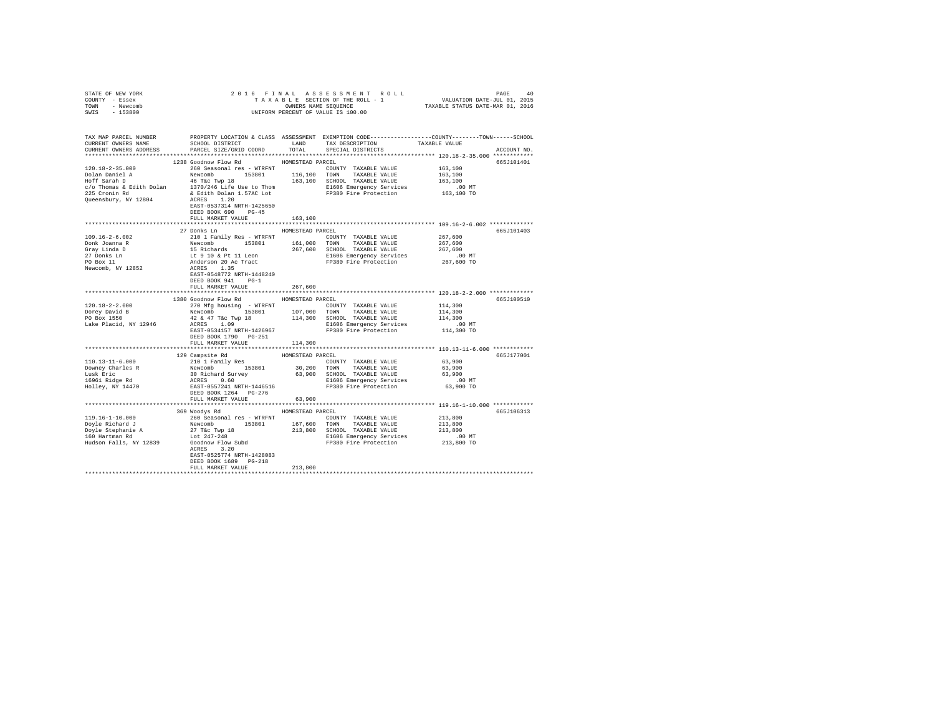| STATE OF NEW YORK<br>COUNTY - Essex                                                                                                                                                             |                                                              |         |                                                                                                                                                                                                                                                    |         |             |
|-------------------------------------------------------------------------------------------------------------------------------------------------------------------------------------------------|--------------------------------------------------------------|---------|----------------------------------------------------------------------------------------------------------------------------------------------------------------------------------------------------------------------------------------------------|---------|-------------|
| TOWN - Newcomb                                                                                                                                                                                  |                                                              |         |                                                                                                                                                                                                                                                    |         |             |
| SWIS - 153800                                                                                                                                                                                   |                                                              |         |                                                                                                                                                                                                                                                    |         |             |
|                                                                                                                                                                                                 |                                                              |         |                                                                                                                                                                                                                                                    |         |             |
|                                                                                                                                                                                                 |                                                              |         |                                                                                                                                                                                                                                                    |         |             |
|                                                                                                                                                                                                 |                                                              |         |                                                                                                                                                                                                                                                    |         |             |
| TAX MAP PARCEL NUMBER PROPERTY LOCATION & CLASS ASSESSMENT EXEMPTION CODE---------------COUNTY-------TOWN------SCHOOL<br>CURRENT OWNERS NAME SCHOOL DISTRICT LAND TAX DESCRIPTION TAXABLE VALUE |                                                              |         |                                                                                                                                                                                                                                                    |         |             |
|                                                                                                                                                                                                 |                                                              |         |                                                                                                                                                                                                                                                    |         |             |
| CURRENT OWNERS ADDRESS PARCEL SIZE/GRID COORD TOTAL SPECIAL DISTRICTS                                                                                                                           |                                                              |         |                                                                                                                                                                                                                                                    |         | ACCOUNT NO. |
|                                                                                                                                                                                                 |                                                              |         |                                                                                                                                                                                                                                                    |         |             |
|                                                                                                                                                                                                 | 1238 Goodnow Flow Rd MOMESTEAD PARCEL                        |         |                                                                                                                                                                                                                                                    |         | 665J101401  |
| 120.18-2-35.000                                                                                                                                                                                 | 260 Seasonal res - WTRFNT               COUNTY TAXABLE VALUE |         |                                                                                                                                                                                                                                                    | 163,100 |             |
|                                                                                                                                                                                                 |                                                              |         |                                                                                                                                                                                                                                                    |         |             |
|                                                                                                                                                                                                 |                                                              |         |                                                                                                                                                                                                                                                    |         |             |
|                                                                                                                                                                                                 |                                                              |         |                                                                                                                                                                                                                                                    |         |             |
|                                                                                                                                                                                                 |                                                              |         |                                                                                                                                                                                                                                                    |         |             |
|                                                                                                                                                                                                 |                                                              |         |                                                                                                                                                                                                                                                    |         |             |
|                                                                                                                                                                                                 |                                                              |         |                                                                                                                                                                                                                                                    |         |             |
|                                                                                                                                                                                                 | DEED BOOK 690 PG-45                                          |         |                                                                                                                                                                                                                                                    |         |             |
|                                                                                                                                                                                                 | FULL MARKET VALUE                                            | 163,100 |                                                                                                                                                                                                                                                    |         |             |
|                                                                                                                                                                                                 |                                                              |         |                                                                                                                                                                                                                                                    |         |             |
|                                                                                                                                                                                                 | 27 Donks Ln MOMESTEAD PARCEL                                 |         |                                                                                                                                                                                                                                                    |         | 665J101403  |
| $109.16 - 2 - 6.002$                                                                                                                                                                            |                                                              |         |                                                                                                                                                                                                                                                    |         |             |
| Donk Joanna R                                                                                                                                                                                   |                                                              |         |                                                                                                                                                                                                                                                    |         |             |
|                                                                                                                                                                                                 |                                                              |         |                                                                                                                                                                                                                                                    |         |             |
| Gray Linda D<br>27 Donks Ln<br>PO Box 11                                                                                                                                                        |                                                              |         |                                                                                                                                                                                                                                                    |         |             |
|                                                                                                                                                                                                 |                                                              |         | 267,600<br>210 1 Family Res - WTRFNT<br>2267,600<br>Newcomb 153801 161,000 TOWNT TAXABLE VALUE<br>267,600<br>15 Richards<br>267,600 20 AC TIL Leon<br>267,600 SCHOOL TAXABLE VALUE<br>267,600<br>267,600 EL 10 & PL 11 Leon<br>267,600 EL 10 AP 11 |         |             |
| Newcomb, NY 12852                                                                                                                                                                               |                                                              |         |                                                                                                                                                                                                                                                    |         |             |
|                                                                                                                                                                                                 | EAST-0548772 NRTH-1448240                                    |         |                                                                                                                                                                                                                                                    |         |             |
|                                                                                                                                                                                                 | DEED BOOK 941 PG-1                                           |         |                                                                                                                                                                                                                                                    |         |             |
|                                                                                                                                                                                                 | FULL MARKET VALUE                                            | 267,600 |                                                                                                                                                                                                                                                    |         |             |
|                                                                                                                                                                                                 |                                                              |         |                                                                                                                                                                                                                                                    |         |             |
|                                                                                                                                                                                                 | 1380 Goodnow Flow Rd MOMESTEAD PARCEL                        |         |                                                                                                                                                                                                                                                    |         | 665J100510  |
| $120.18 - 2 - 2.000$                                                                                                                                                                            |                                                              |         | 270 Mfg housing - WTRFNT COUNTY TAXABLE VALUE 114,300                                                                                                                                                                                              |         |             |
|                                                                                                                                                                                                 |                                                              |         |                                                                                                                                                                                                                                                    |         |             |
|                                                                                                                                                                                                 |                                                              |         |                                                                                                                                                                                                                                                    |         |             |
|                                                                                                                                                                                                 |                                                              |         |                                                                                                                                                                                                                                                    |         |             |
|                                                                                                                                                                                                 |                                                              |         |                                                                                                                                                                                                                                                    |         |             |
|                                                                                                                                                                                                 | DEED BOOK 1790 PG-251<br>FULL MARKET VALUE                   | 114,300 |                                                                                                                                                                                                                                                    |         |             |
|                                                                                                                                                                                                 |                                                              |         |                                                                                                                                                                                                                                                    |         |             |
|                                                                                                                                                                                                 |                                                              |         |                                                                                                                                                                                                                                                    |         | 665J177001  |
|                                                                                                                                                                                                 |                                                              |         |                                                                                                                                                                                                                                                    |         |             |
|                                                                                                                                                                                                 |                                                              |         |                                                                                                                                                                                                                                                    |         |             |
|                                                                                                                                                                                                 |                                                              |         |                                                                                                                                                                                                                                                    |         |             |
|                                                                                                                                                                                                 |                                                              |         |                                                                                                                                                                                                                                                    |         |             |
|                                                                                                                                                                                                 |                                                              |         |                                                                                                                                                                                                                                                    |         |             |
|                                                                                                                                                                                                 |                                                              |         |                                                                                                                                                                                                                                                    |         |             |
|                                                                                                                                                                                                 | FULL MARKET VALUE                                            | 63,900  |                                                                                                                                                                                                                                                    |         |             |
|                                                                                                                                                                                                 |                                                              |         |                                                                                                                                                                                                                                                    |         |             |
|                                                                                                                                                                                                 | 369 Woodys Rd MOMESTEAD PARCEL                               |         |                                                                                                                                                                                                                                                    |         | 665J106313  |
|                                                                                                                                                                                                 |                                                              |         |                                                                                                                                                                                                                                                    |         |             |
|                                                                                                                                                                                                 |                                                              |         |                                                                                                                                                                                                                                                    |         |             |
|                                                                                                                                                                                                 |                                                              |         |                                                                                                                                                                                                                                                    |         |             |
|                                                                                                                                                                                                 |                                                              |         |                                                                                                                                                                                                                                                    |         |             |
|                                                                                                                                                                                                 |                                                              |         |                                                                                                                                                                                                                                                    |         |             |
|                                                                                                                                                                                                 |                                                              |         |                                                                                                                                                                                                                                                    |         |             |
|                                                                                                                                                                                                 | EAST-0525774 NRTH-1428083                                    |         |                                                                                                                                                                                                                                                    |         |             |
|                                                                                                                                                                                                 | DEED BOOK 1689 PG-218                                        |         |                                                                                                                                                                                                                                                    |         |             |
|                                                                                                                                                                                                 | FULL MARKET VALUE                                            | 213,800 |                                                                                                                                                                                                                                                    |         |             |
|                                                                                                                                                                                                 |                                                              |         |                                                                                                                                                                                                                                                    |         |             |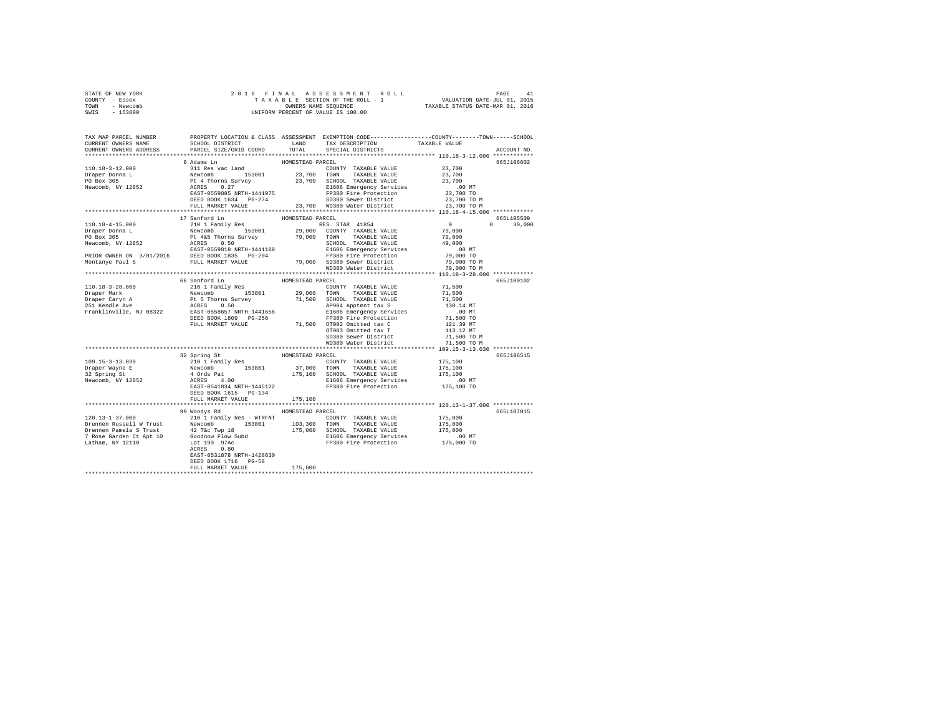| STATE OF NEW YORK | 2016 FINAL ASSESSMENT ROLL         | 41<br>PAGE                       |
|-------------------|------------------------------------|----------------------------------|
| COUNTY - Essex    | TAXABLE SECTION OF THE ROLL - 1    | VALUATION DATE-JUL 01, 2015      |
| TOWN<br>- Newcomb | OWNERS NAME SEOUENCE               | TAXABLE STATUS DATE-MAR 01, 2016 |
| - 153800<br>SWIS  | UNIFORM PERCENT OF VALUE IS 100.00 |                                  |

| TAX MAP PARCEL NUMBER<br>CURRENT OWNERS NAME                                                                                                                                                                                                                                                                                                                                                                       | SCHOOL DISTRICT TAND TAX DESCRIPTION |                  |                         | PROPERTY LOCATION & CLASS ASSESSMENT EXEMPTION CODE---------------COUNTY-------TOWN------SCHOOL<br>TAXABLE VALUE |
|--------------------------------------------------------------------------------------------------------------------------------------------------------------------------------------------------------------------------------------------------------------------------------------------------------------------------------------------------------------------------------------------------------------------|--------------------------------------|------------------|-------------------------|------------------------------------------------------------------------------------------------------------------|
| CURRENT OWNERS ADDRESS                                                                                                                                                                                                                                                                                                                                                                                             | PARCEL SIZE/GRID COORD               |                  | TOTAL SPECIAL DISTRICTS | ACCOUNT NO.                                                                                                      |
| **************************                                                                                                                                                                                                                                                                                                                                                                                         |                                      |                  |                         |                                                                                                                  |
|                                                                                                                                                                                                                                                                                                                                                                                                                    | 8 Adams Ln                           | HOMESTEAD PARCEL |                         | 665J106602                                                                                                       |
|                                                                                                                                                                                                                                                                                                                                                                                                                    |                                      |                  |                         |                                                                                                                  |
|                                                                                                                                                                                                                                                                                                                                                                                                                    |                                      |                  |                         |                                                                                                                  |
|                                                                                                                                                                                                                                                                                                                                                                                                                    |                                      |                  |                         |                                                                                                                  |
|                                                                                                                                                                                                                                                                                                                                                                                                                    |                                      |                  |                         |                                                                                                                  |
|                                                                                                                                                                                                                                                                                                                                                                                                                    |                                      |                  |                         |                                                                                                                  |
| $\begin{tabular}{c c c c c} \hline 110.18-3-12.000 & \hline \multicolumn{3}{c}{\mbox{5301}} & \hline \multicolumn{3}{c}{\mbox{5301}} & \hline \multicolumn{3}{c}{\mbox{5301}} & \hline \multicolumn{3}{c}{\mbox{5301}} & \hline \multicolumn{3}{c}{\mbox{5301}} & \hline \multicolumn{3}{c}{\mbox{5301}} & \hline \multicolumn{3}{c}{\mbox{5301}} & \hline \multicolumn{3}{c}{\mbox{5301}} & \hline \multicolumn{$ |                                      |                  |                         | 23,700 TO M<br>23,700 TO M                                                                                       |
|                                                                                                                                                                                                                                                                                                                                                                                                                    |                                      |                  |                         |                                                                                                                  |
|                                                                                                                                                                                                                                                                                                                                                                                                                    |                                      |                  |                         | 665L105509                                                                                                       |
|                                                                                                                                                                                                                                                                                                                                                                                                                    |                                      |                  |                         | $0 \t 30,000$                                                                                                    |
|                                                                                                                                                                                                                                                                                                                                                                                                                    |                                      |                  |                         |                                                                                                                  |
|                                                                                                                                                                                                                                                                                                                                                                                                                    |                                      |                  |                         |                                                                                                                  |
|                                                                                                                                                                                                                                                                                                                                                                                                                    |                                      |                  |                         |                                                                                                                  |
|                                                                                                                                                                                                                                                                                                                                                                                                                    |                                      |                  |                         |                                                                                                                  |
|                                                                                                                                                                                                                                                                                                                                                                                                                    |                                      |                  |                         |                                                                                                                  |
|                                                                                                                                                                                                                                                                                                                                                                                                                    |                                      |                  |                         |                                                                                                                  |
|                                                                                                                                                                                                                                                                                                                                                                                                                    |                                      |                  |                         |                                                                                                                  |
|                                                                                                                                                                                                                                                                                                                                                                                                                    |                                      |                  |                         |                                                                                                                  |
|                                                                                                                                                                                                                                                                                                                                                                                                                    |                                      |                  |                         | 665J100102                                                                                                       |
|                                                                                                                                                                                                                                                                                                                                                                                                                    |                                      |                  |                         |                                                                                                                  |
|                                                                                                                                                                                                                                                                                                                                                                                                                    |                                      |                  |                         |                                                                                                                  |
|                                                                                                                                                                                                                                                                                                                                                                                                                    |                                      |                  |                         |                                                                                                                  |
|                                                                                                                                                                                                                                                                                                                                                                                                                    |                                      |                  |                         |                                                                                                                  |
|                                                                                                                                                                                                                                                                                                                                                                                                                    |                                      |                  |                         |                                                                                                                  |
|                                                                                                                                                                                                                                                                                                                                                                                                                    |                                      |                  |                         |                                                                                                                  |
|                                                                                                                                                                                                                                                                                                                                                                                                                    |                                      |                  |                         |                                                                                                                  |
|                                                                                                                                                                                                                                                                                                                                                                                                                    |                                      |                  |                         |                                                                                                                  |
|                                                                                                                                                                                                                                                                                                                                                                                                                    |                                      |                  |                         |                                                                                                                  |
|                                                                                                                                                                                                                                                                                                                                                                                                                    |                                      |                  |                         |                                                                                                                  |
|                                                                                                                                                                                                                                                                                                                                                                                                                    |                                      |                  |                         |                                                                                                                  |
|                                                                                                                                                                                                                                                                                                                                                                                                                    |                                      |                  |                         | 665J106515                                                                                                       |
| 109.15-3-13.030                                                                                                                                                                                                                                                                                                                                                                                                    |                                      |                  |                         |                                                                                                                  |
| Draper Wayne E<br>32 Spring St                                                                                                                                                                                                                                                                                                                                                                                     |                                      |                  |                         |                                                                                                                  |
|                                                                                                                                                                                                                                                                                                                                                                                                                    |                                      |                  |                         |                                                                                                                  |
| Newcomb, NY 12852                                                                                                                                                                                                                                                                                                                                                                                                  |                                      |                  |                         |                                                                                                                  |
|                                                                                                                                                                                                                                                                                                                                                                                                                    |                                      |                  |                         |                                                                                                                  |
|                                                                                                                                                                                                                                                                                                                                                                                                                    | DEED BOOK 1615 PG-134                |                  |                         |                                                                                                                  |
|                                                                                                                                                                                                                                                                                                                                                                                                                    | FULL MARKET VALUE                    | 175,100          |                         |                                                                                                                  |
|                                                                                                                                                                                                                                                                                                                                                                                                                    |                                      |                  |                         |                                                                                                                  |
|                                                                                                                                                                                                                                                                                                                                                                                                                    | 99 Woodys Rd                         | HOMESTEAD PARCEL |                         | 665L107015                                                                                                       |
|                                                                                                                                                                                                                                                                                                                                                                                                                    |                                      |                  |                         |                                                                                                                  |
|                                                                                                                                                                                                                                                                                                                                                                                                                    |                                      |                  |                         |                                                                                                                  |
|                                                                                                                                                                                                                                                                                                                                                                                                                    |                                      |                  |                         |                                                                                                                  |
|                                                                                                                                                                                                                                                                                                                                                                                                                    |                                      |                  |                         |                                                                                                                  |
|                                                                                                                                                                                                                                                                                                                                                                                                                    |                                      |                  |                         |                                                                                                                  |
|                                                                                                                                                                                                                                                                                                                                                                                                                    | EAST-0531878 NRTH-1428630            |                  |                         |                                                                                                                  |
|                                                                                                                                                                                                                                                                                                                                                                                                                    | DEED BOOK 1716 PG-58                 |                  |                         |                                                                                                                  |
|                                                                                                                                                                                                                                                                                                                                                                                                                    | FULL MARKET VALUE 175,000            |                  |                         |                                                                                                                  |
|                                                                                                                                                                                                                                                                                                                                                                                                                    |                                      |                  |                         |                                                                                                                  |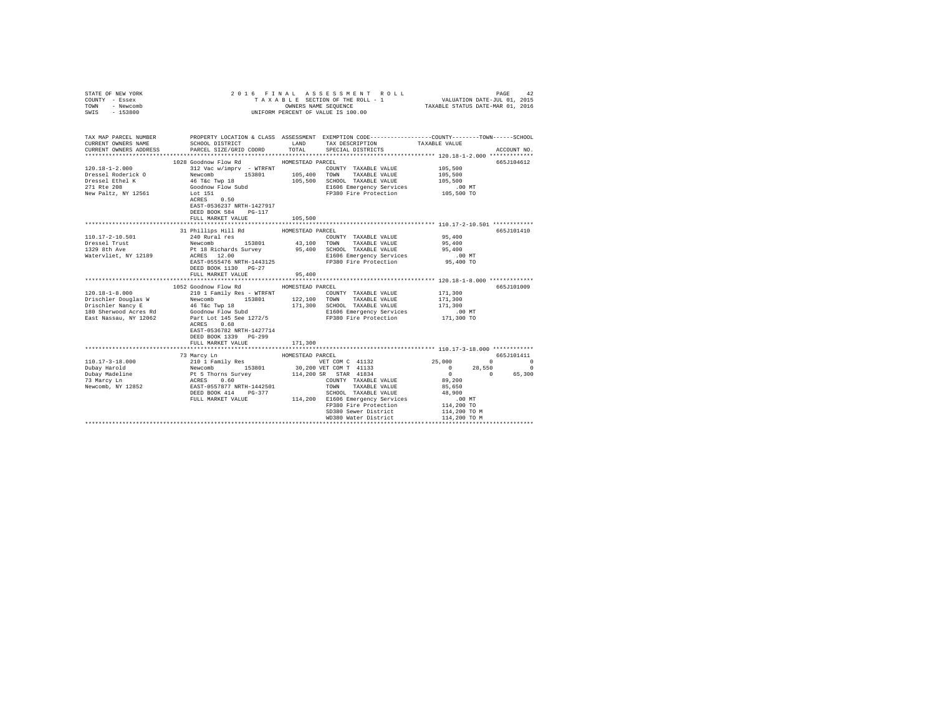| COUNTY - Essex<br>TOWN - Newcomb<br>SWIS - 153800 | UNIFORM PERCENT OF VALUE IS 100.00                                                                                                                                                                                                                                                                                                                                                                                                                   |                  |                                                                         |            |             |
|---------------------------------------------------|------------------------------------------------------------------------------------------------------------------------------------------------------------------------------------------------------------------------------------------------------------------------------------------------------------------------------------------------------------------------------------------------------------------------------------------------------|------------------|-------------------------------------------------------------------------|------------|-------------|
| CURRENT OWNERS NAME                               | TAX MAP PARCEL NUMBER PROPERTY LOCATION & CLASS ASSESSMENT EXEMPTION CODE--------------COUNTY-------TOWN------SCHOOL<br>SCHOOL DISTRICT                     LAND        TAX DESCRIPTION                   TAXABLE VALUE                                                                                                                                                                                                                              |                  |                                                                         |            |             |
| CURRENT OWNERS ADDRESS                            | PARCEL SIZE/GRID COORD TOTAL SPECIAL DISTRICTS                                                                                                                                                                                                                                                                                                                                                                                                       |                  |                                                                         |            | ACCOUNT NO. |
|                                                   |                                                                                                                                                                                                                                                                                                                                                                                                                                                      |                  |                                                                         |            |             |
| $120.18 - 1 - 2.000$                              | 1028 Goodnow Flow Rd HOMESTEAD PARCEL                                                                                                                                                                                                                                                                                                                                                                                                                |                  |                                                                         |            | 665J104612  |
| Dressel Roderick O                                |                                                                                                                                                                                                                                                                                                                                                                                                                                                      |                  |                                                                         |            |             |
| Dressel Ethel K                                   |                                                                                                                                                                                                                                                                                                                                                                                                                                                      |                  |                                                                         |            |             |
| 271 Rte 208                                       |                                                                                                                                                                                                                                                                                                                                                                                                                                                      |                  |                                                                         |            |             |
| New Paltz, NY 12561                               | 312 Vac W/impr<br>v - WTRFNT (COUNTY TAXABLE VALUE 105,500<br>Newcomb 153801 105,400 TOWN TAXABLE VALUE 105,500<br>46 Tax Twp 18 105,500 SCHOOL TAXABLE VALUE 105,500<br>                                                                                                                                                                                                                                                                            |                  |                                                                         |            |             |
|                                                   |                                                                                                                                                                                                                                                                                                                                                                                                                                                      |                  |                                                                         |            |             |
|                                                   | EAST-0536237 NRTH-1427917<br>DEED BOOK 584 PG-117                                                                                                                                                                                                                                                                                                                                                                                                    |                  |                                                                         |            |             |
|                                                   | FULL MARKET VALUE 105,500                                                                                                                                                                                                                                                                                                                                                                                                                            |                  |                                                                         |            |             |
|                                                   |                                                                                                                                                                                                                                                                                                                                                                                                                                                      |                  |                                                                         |            |             |
|                                                   | $31$ Phillips Hill Rd $$\tt HOMESTEAD$ PARCEL                                                                                                                                                                                                                                                                                                                                                                                                        |                  |                                                                         |            | 665J101410  |
|                                                   |                                                                                                                                                                                                                                                                                                                                                                                                                                                      |                  |                                                                         |            |             |
|                                                   |                                                                                                                                                                                                                                                                                                                                                                                                                                                      |                  |                                                                         |            |             |
|                                                   |                                                                                                                                                                                                                                                                                                                                                                                                                                                      |                  |                                                                         |            |             |
|                                                   | $[10.17-2-10.501 \nonumber \\ \begin{tabular}{lcccc} 110.17-2-10.501 \nonumber & 240 {\rm \;Rural res} & 153801 \nonumber \\ \begin{tabular}{lcccc} 110.17-2-10.501 \nonumber & 240 {\rm \;Rural res} & 153801 \nonumber \\ & 153801 \nonumber & 153801 \nonumber & 43,100 \nonumber & 100 {\rm \;NN} & 7XXABLE \text{ VALUES} & 95,400 \nonumber \\ & & 153801 \nonumber & 95,400 \nonumber & 95$                                                   |                  |                                                                         |            |             |
|                                                   | DEED BOOK 1130 PG-27                                                                                                                                                                                                                                                                                                                                                                                                                                 |                  |                                                                         |            |             |
|                                                   | FULL MARKET VALUE                                                                                                                                                                                                                                                                                                                                                                                                                                    | 95,400           |                                                                         |            |             |
|                                                   | 1052 Goodnow Flow Rd                                                                                                                                                                                                                                                                                                                                                                                                                                 | HOMESTEAD PARCEL |                                                                         |            | 665J101009  |
|                                                   |                                                                                                                                                                                                                                                                                                                                                                                                                                                      |                  | COUNTY TAXABLE VALUE 171,300                                            |            |             |
|                                                   |                                                                                                                                                                                                                                                                                                                                                                                                                                                      |                  |                                                                         | 171,300    |             |
|                                                   |                                                                                                                                                                                                                                                                                                                                                                                                                                                      |                  | 171,300 SCHOOL TAXABLE VALUE 171,300<br>E1606 Emergency Services .00 MT |            |             |
|                                                   |                                                                                                                                                                                                                                                                                                                                                                                                                                                      |                  |                                                                         |            |             |
|                                                   | $\begin{tabular}{l c c c c c c c c} \hline 120.18-1-8.000 & \hline \multicolumn{3}{c}{\multicolumn{3}{c}{\multicolumn{3}{c}{\multicolumn{3}{c}{\multicolumn{3}{c}{\multicolumn{3}{c}{\multicolumn{3}{c}{\multicolumn{3}{c}{\multicolumn{3}{c}{\multicolumn{3}{c}{\multicolumn{3}{c}{\multicolumn{3}{c}{\multicolumn{3}{c}{\multicolumn{3}{c}{\multicolumn{3}{c}{\multicolumn{3}{c}{\multicolumn{3}{c}{\multicolumn{3}{c}{\multicolumn{3}{c}{\multic$ |                  |                                                                         | 171,300 TO |             |
|                                                   | EAST-0536782 NRTH-1427714                                                                                                                                                                                                                                                                                                                                                                                                                            |                  |                                                                         |            |             |
|                                                   | DEED BOOK 1339 PG-299                                                                                                                                                                                                                                                                                                                                                                                                                                |                  |                                                                         |            |             |
|                                                   | FULL MARKET VALUE                                                                                                                                                                                                                                                                                                                                                                                                                                    | 171,300          |                                                                         |            |             |
|                                                   |                                                                                                                                                                                                                                                                                                                                                                                                                                                      |                  |                                                                         |            |             |
|                                                   | 73 Marcy Ln                                                                                                                                                                                                                                                                                                                                                                                                                                          | HOMESTEAD PARCEL |                                                                         |            | 665J101411  |
|                                                   |                                                                                                                                                                                                                                                                                                                                                                                                                                                      |                  |                                                                         |            |             |
|                                                   |                                                                                                                                                                                                                                                                                                                                                                                                                                                      |                  |                                                                         |            |             |
|                                                   |                                                                                                                                                                                                                                                                                                                                                                                                                                                      |                  |                                                                         |            |             |
|                                                   |                                                                                                                                                                                                                                                                                                                                                                                                                                                      |                  |                                                                         |            |             |
|                                                   |                                                                                                                                                                                                                                                                                                                                                                                                                                                      |                  |                                                                         |            |             |
|                                                   |                                                                                                                                                                                                                                                                                                                                                                                                                                                      |                  |                                                                         |            |             |
|                                                   |                                                                                                                                                                                                                                                                                                                                                                                                                                                      |                  |                                                                         |            |             |
|                                                   |                                                                                                                                                                                                                                                                                                                                                                                                                                                      |                  | SD380 Sewer District 114,200 TO M<br>WD380 Water District 114,200 TO M  |            |             |
|                                                   |                                                                                                                                                                                                                                                                                                                                                                                                                                                      |                  |                                                                         |            |             |

STATE OF NEW YORK 2 0 1 6 F I N A L A S S E S S M E N T R O L L PAGE 42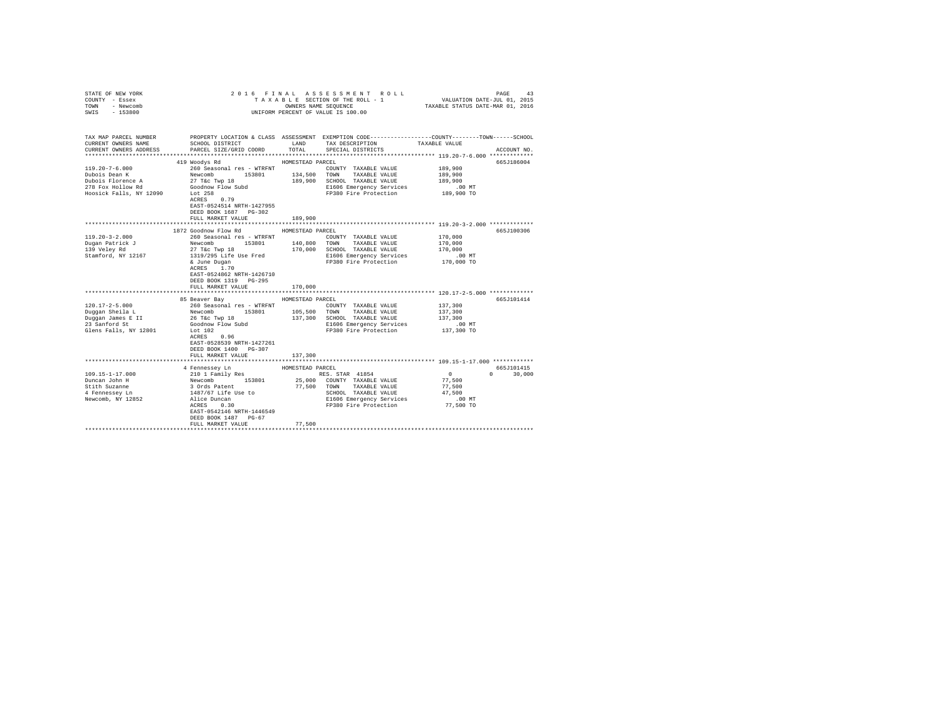| STATE OF NEW YORK<br>COUNTY - Essex<br>TOWN<br>- Newcomb<br>$-153800$<br>SWIS | 2016 FINAL                                                                                      |                  | ASSESSMENT ROLL<br>TAXABLE SECTION OF THE ROLL - 1<br>OWNERS NAME SEQUENCE<br>UNIFORM PERCENT OF VALUE IS 100.00                        | VALUATION DATE-JUL 01, 2015<br>TAXABLE STATUS DATE-MAR 01, 2016 | PAGE<br>43                              |
|-------------------------------------------------------------------------------|-------------------------------------------------------------------------------------------------|------------------|-----------------------------------------------------------------------------------------------------------------------------------------|-----------------------------------------------------------------|-----------------------------------------|
| TAX MAP PARCEL NUMBER<br>CURRENT OWNERS NAME<br>CURRENT OWNERS ADDRESS        | SCHOOL DISTRICT<br>PARCEL SIZE/GRID COORD                                                       | LAND<br>TOTAL    | PROPERTY LOCATION & CLASS ASSESSMENT EXEMPTION CODE---------------COUNTY-------TOWN------SCHOOL<br>TAX DESCRIPTION<br>SPECIAL DISTRICTS | TAXABLE VALUE                                                   | ACCOUNT NO.                             |
|                                                                               |                                                                                                 |                  |                                                                                                                                         |                                                                 |                                         |
|                                                                               | 419 Woodys Rd                                                                                   | HOMESTEAD PARCEL |                                                                                                                                         |                                                                 | 665J186004                              |
| $119.20 - 7 - 6.000$                                                          | 260 Seasonal res - WTRFNT                                                                       |                  | COUNTY TAXABLE VALUE                                                                                                                    | 189,900                                                         |                                         |
| Dubois Dean K                                                                 | Newcomb<br>153801                                                                               |                  | 134,500 TOWN TAXABLE VALUE                                                                                                              | 189,900                                                         |                                         |
| Dubois Florence A                                                             | 27 T&C Twp 18                                                                                   |                  | 189,900 SCHOOL TAXABLE VALUE                                                                                                            | 189,900                                                         |                                         |
| 278 Fox Hollow Rd                                                             | Goodnow Flow Subd                                                                               |                  | E1606 Emergency Services                                                                                                                | $.00$ MT                                                        |                                         |
| Hoosick Falls, NY 12090                                                       | Lot 258<br>0.79<br>ACRES<br>EAST-0524514 NRTH-1427955<br>DEED BOOK 1687 PG-302                  |                  | FP380 Fire Protection                                                                                                                   | 189,900 TO                                                      |                                         |
|                                                                               | FULL MARKET VALUE                                                                               | 189,900          |                                                                                                                                         |                                                                 |                                         |
|                                                                               |                                                                                                 |                  |                                                                                                                                         |                                                                 |                                         |
|                                                                               | 1872 Goodnow Flow Rd                                                                            | HOMESTEAD PARCEL |                                                                                                                                         |                                                                 | 665J100306                              |
| $119.20 - 3 - 2.000$                                                          | 260 Seasonal res - WTRFNT                                                                       |                  | COUNTY TAXABLE VALUE                                                                                                                    | 170,000                                                         |                                         |
| Dugan Patrick J                                                               | Newcomb<br>153801<br>27 T&c Twp 18                                                              |                  | 140,800 TOWN TAXABLE VALUE                                                                                                              | 170,000<br>170,000                                              |                                         |
| 139 Veley Rd<br>Stamford, NY 12167                                            | 1319/295 Life Use Fred                                                                          |                  | 170,000 SCHOOL TAXABLE VALUE<br>E1606 Emergency Services                                                                                | $.00$ MT                                                        |                                         |
|                                                                               | & June Dugan<br>ACRES 1.70<br>EAST-0524862 NRTH-1426710<br>DEED BOOK 1319 PG-295                |                  | FP380 Fire Protection                                                                                                                   | 170,000 TO                                                      |                                         |
|                                                                               | FULL MARKET VALUE                                                                               | 170,000          |                                                                                                                                         |                                                                 |                                         |
|                                                                               |                                                                                                 |                  |                                                                                                                                         |                                                                 |                                         |
|                                                                               | 85 Beaver Bay                                                                                   | HOMESTEAD PARCEL |                                                                                                                                         |                                                                 | 665J101414                              |
| $120.17 - 2 - 5.000$                                                          | 260 Seasonal res - WTRFNT                                                                       |                  | COUNTY TAXABLE VALUE                                                                                                                    | 137,300                                                         |                                         |
| Duggan Sheila L                                                               | Newcomb<br>153801                                                                               |                  | 105,500 TOWN TAXABLE VALUE                                                                                                              | 137,300                                                         |                                         |
| Duggan James E II                                                             | 26 T&C Twp 18                                                                                   | 137,300          | SCHOOL TAXABLE VALUE                                                                                                                    | 137,300                                                         |                                         |
| 23 Sanford St<br>Glens Falls, NY 12801                                        | Goodnow Flow Subd<br>Lot 102                                                                    |                  | E1606 Emergency Services<br>FP380 Fire Protection                                                                                       | $.00$ MT<br>137,300 TO                                          |                                         |
|                                                                               | ACRES<br>0.96<br>EAST-0528539 NRTH-1427261<br>DEED BOOK 1400 PG-307<br>FULL MARKET VALUE        | 137,300          |                                                                                                                                         |                                                                 |                                         |
|                                                                               |                                                                                                 |                  |                                                                                                                                         |                                                                 |                                         |
|                                                                               | 4 Fennessey Ln                                                                                  | HOMESTEAD PARCEL |                                                                                                                                         |                                                                 | 665J101415                              |
| $109.15 - 1 - 17.000$                                                         | 210 1 Family Res                                                                                |                  | RES. STAR 41854                                                                                                                         | $\sim$ 0                                                        | 30,000<br>$\mathbf{0}$ and $\mathbf{0}$ |
| Duncan John H<br>Stith Suzanne                                                | Newcomb 153801<br>3 Ords Patent                                                                 | 77,500 TOWN      | 25,000 COUNTY TAXABLE VALUE<br>TAXABLE VALUE                                                                                            | 77.500<br>77,500                                                |                                         |
| 4 Fennessey Ln                                                                | 1487/67 Life Use to                                                                             |                  | SCHOOL TAXABLE VALUE                                                                                                                    | 47,500                                                          |                                         |
| Newcomb, NY 12852                                                             | Alice Duncan<br>ACRES 0.30<br>Alice Duncan<br>EAST-0542146 NRTH-1446549<br>DEED BOOK 1487 PG-67 |                  | E1606 Emergency Services<br>FP380 Fire Protection                                                                                       | $.00$ MT<br>77,500 TO                                           |                                         |
|                                                                               | FULL MARKET VALUE                                                                               | 77.500           |                                                                                                                                         |                                                                 |                                         |
|                                                                               |                                                                                                 |                  |                                                                                                                                         |                                                                 |                                         |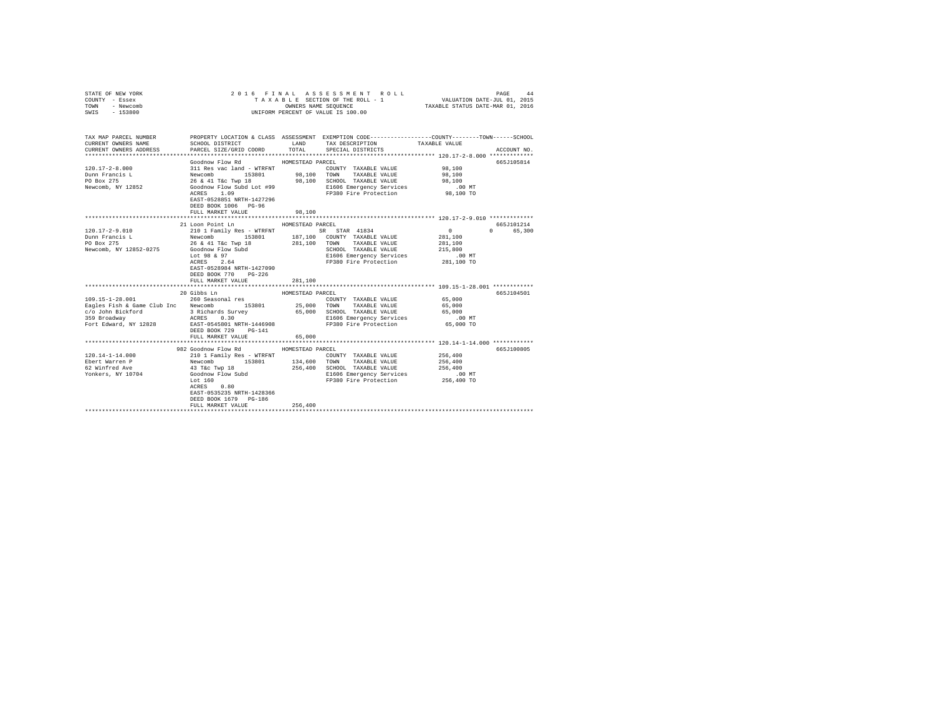| STATE OF NEW YORK<br>COUNTY - Essex<br>TOWN - Newcomb<br>SWIS - 153800                                                                                                                                                                   |                                                                                                                                                                                                                                          |                           | 2016 FINAL ASSESSMENT ROLL<br>UNIFORM PERCENT OF VALUE IS 100.00                                           | VALUATION DATE-JUL 01, 2015                              | PAGE<br>44  |
|------------------------------------------------------------------------------------------------------------------------------------------------------------------------------------------------------------------------------------------|------------------------------------------------------------------------------------------------------------------------------------------------------------------------------------------------------------------------------------------|---------------------------|------------------------------------------------------------------------------------------------------------|----------------------------------------------------------|-------------|
| TAX MAP PARCEL NUMBER PROPERTY LOCATION & CLASS ASSESSMENT EXEMPTION CODE--------------COUNTY-------TOWN------SCHOOL<br>CURRENT OWNERS NAME                                                                                              | SCHOOL DISTRICT                                                                                                                                                                                                                          | LAND                      | TAX DESCRIPTION                                                                                            | TAXABLE VALUE                                            |             |
| CURRENT OWNERS ADDRESS                                                                                                                                                                                                                   | PARCEL SIZE/GRID COORD                                                                                                                                                                                                                   | TOTAL                     | SPECIAL DISTRICTS                                                                                          |                                                          | ACCOUNT NO. |
|                                                                                                                                                                                                                                          |                                                                                                                                                                                                                                          |                           |                                                                                                            |                                                          |             |
|                                                                                                                                                                                                                                          | Goodnow Flow Rd                                                                                                                                                                                                                          | HOMESTEAD PARCEL          |                                                                                                            |                                                          | 665J105814  |
|                                                                                                                                                                                                                                          |                                                                                                                                                                                                                                          |                           |                                                                                                            | 98,100                                                   |             |
|                                                                                                                                                                                                                                          |                                                                                                                                                                                                                                          |                           |                                                                                                            | 98,100                                                   |             |
| 120.17-2-8.000<br>21 Res vac land - WTRFNT<br>Dunn Francis L Newcomb 153801<br>PO Box 275<br>Newcomb, NY 12852<br>Sextern South Pole (1998)<br>Newcomb, NY 12852<br>Stephen Research Pole (1999)<br>POS Box 275<br>Newcomb, NY 12852<br> |                                                                                                                                                                                                                                          |                           |                                                                                                            | 98,100                                                   |             |
|                                                                                                                                                                                                                                          |                                                                                                                                                                                                                                          |                           |                                                                                                            | MT.<br>98,100 TO                                         |             |
|                                                                                                                                                                                                                                          | EAST-0528851 NRTH-1427296<br>DEED BOOK 1006 PG-96                                                                                                                                                                                        |                           |                                                                                                            |                                                          |             |
|                                                                                                                                                                                                                                          | FULL MARKET VALUE                                                                                                                                                                                                                        | 98,100                    |                                                                                                            |                                                          |             |
|                                                                                                                                                                                                                                          |                                                                                                                                                                                                                                          |                           |                                                                                                            |                                                          |             |
|                                                                                                                                                                                                                                          | 21 Loon Point Ln                                                                                                                                                                                                                         | HOMESTEAD PARCEL          |                                                                                                            |                                                          | 665J101214  |
| $120.17 - 2 - 9.010$                                                                                                                                                                                                                     |                                                                                                                                                                                                                                          |                           |                                                                                                            | $\sim$ 0                                                 | 0 65,300    |
| Dunn Francis L<br>PO Box 275                                                                                                                                                                                                             |                                                                                                                                                                                                                                          |                           |                                                                                                            | 281,100                                                  |             |
|                                                                                                                                                                                                                                          |                                                                                                                                                                                                                                          |                           |                                                                                                            | 281,100                                                  |             |
| Newcomb, NY 12852-0275                                                                                                                                                                                                                   |                                                                                                                                                                                                                                          |                           |                                                                                                            | 215,800                                                  |             |
|                                                                                                                                                                                                                                          |                                                                                                                                                                                                                                          |                           |                                                                                                            | .00 MT                                                   |             |
|                                                                                                                                                                                                                                          | 210 1 Family Res - WTRFNT<br>200 1 Family Res - WTRFNT<br>26 6 41 TEC TWP 18 281,100 COUNTY TAXABLE VALUE<br>26 6 41 TEC TWP 18 281,100 COUNTY TAXABLE VALUE<br>26 6 49 7 2160 EMONET CORPORAGE SCRIP CONTRAGE VALUE<br>Lot 98 6 97 2 26 |                           | -- .<br>E1606 Emergency Services<br>FP380 Fire Protection                                                  | 281,100 TO                                               |             |
|                                                                                                                                                                                                                                          | EAST-0528984 NRTH-1427090                                                                                                                                                                                                                |                           |                                                                                                            |                                                          |             |
|                                                                                                                                                                                                                                          | DEED BOOK 770 PG-226                                                                                                                                                                                                                     |                           |                                                                                                            |                                                          |             |
|                                                                                                                                                                                                                                          | FULL MARKET VALUE<br>*****************************                                                                                                                                                                                       | 281,100<br>************** |                                                                                                            | *************************** 109.15-1-28.001 ************ |             |
|                                                                                                                                                                                                                                          | 20 Gibbs Ln                                                                                                                                                                                                                              | HOMESTEAD PARCEL          |                                                                                                            |                                                          | 665J104501  |
| 109.15-1-28.001                                                                                                                                                                                                                          | 260 Seasonal res                                                                                                                                                                                                                         |                           | COUNTY TAXABLE VALUE                                                                                       |                                                          |             |
| Eagles Fish & Game Club Inc Newcomb 153801                                                                                                                                                                                               |                                                                                                                                                                                                                                          |                           | $25\, , 000$ $-$ TOWN $-$ TAXABLE VALUE                                                                    | 65,000<br>65,000                                         |             |
|                                                                                                                                                                                                                                          |                                                                                                                                                                                                                                          |                           |                                                                                                            |                                                          |             |
|                                                                                                                                                                                                                                          |                                                                                                                                                                                                                                          |                           |                                                                                                            |                                                          |             |
| -2, communicational communication of the communication of the communication of the communication of the communication<br>1990 Broadway 1990 ACRES 0.30 CHOOL TAXABLE VAUE 65,000<br>1991 Box 2, 200 Broadway 1998 EAST-0545801 NRTH      | DEED BOOK 729 PG-141                                                                                                                                                                                                                     |                           |                                                                                                            |                                                          |             |
|                                                                                                                                                                                                                                          | FULL MARKET VALUE                                                                                                                                                                                                                        | 65,000                    |                                                                                                            |                                                          |             |
|                                                                                                                                                                                                                                          |                                                                                                                                                                                                                                          |                           |                                                                                                            |                                                          |             |
|                                                                                                                                                                                                                                          | 982 Goodnow Flow Rd MOMESTEAD PARCEL                                                                                                                                                                                                     |                           |                                                                                                            |                                                          | 665J100805  |
|                                                                                                                                                                                                                                          |                                                                                                                                                                                                                                          |                           |                                                                                                            | 256,400                                                  |             |
|                                                                                                                                                                                                                                          |                                                                                                                                                                                                                                          |                           |                                                                                                            | 256,400                                                  |             |
|                                                                                                                                                                                                                                          |                                                                                                                                                                                                                                          |                           |                                                                                                            |                                                          |             |
|                                                                                                                                                                                                                                          |                                                                                                                                                                                                                                          |                           | 256,400 SCHOOL TAXABLE VALUE 256,400<br>E1606 Emergency Services 00 MT<br>FP380 Fire Protection 256,400 TO |                                                          |             |
|                                                                                                                                                                                                                                          | ACRES 0.80                                                                                                                                                                                                                               |                           |                                                                                                            |                                                          |             |
|                                                                                                                                                                                                                                          | EAST-0535235 NRTH-1428366                                                                                                                                                                                                                |                           |                                                                                                            |                                                          |             |
|                                                                                                                                                                                                                                          | DEED BOOK 1679 PG-186                                                                                                                                                                                                                    |                           |                                                                                                            |                                                          |             |
|                                                                                                                                                                                                                                          | FULL MARKET VALUE                                                                                                                                                                                                                        | 256,400                   |                                                                                                            |                                                          |             |
|                                                                                                                                                                                                                                          |                                                                                                                                                                                                                                          |                           |                                                                                                            |                                                          |             |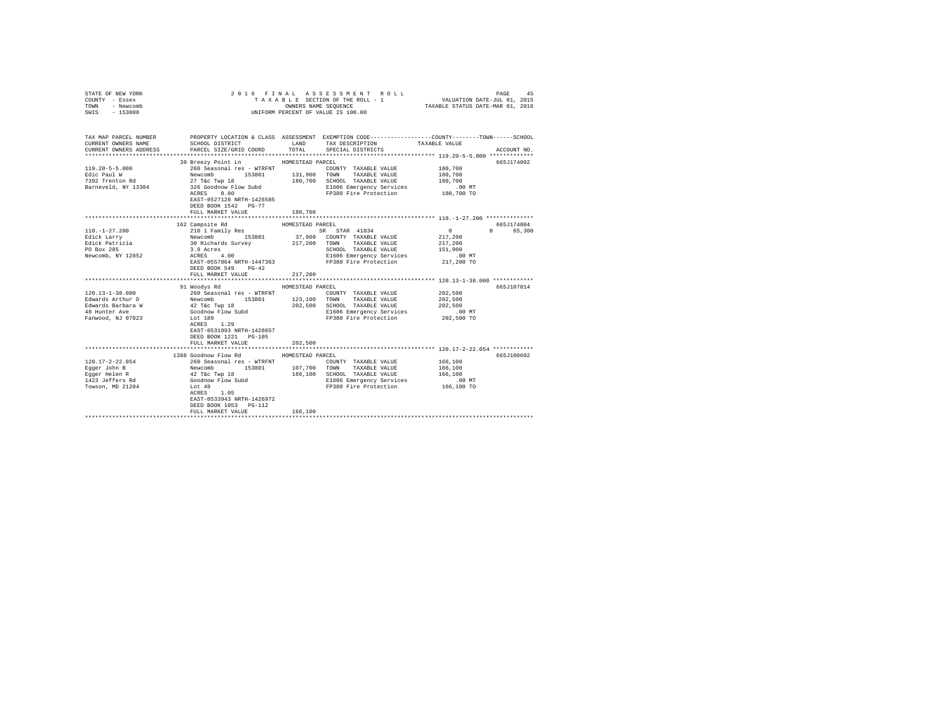| STATE OF NEW YORK<br>COUNTY - Essex<br>TOWN<br>- Newcomb<br>$-153800$<br>SWIS                        |                                                                                                                                                                                                                                                                                                                                                                                                |                             | 2016 FINAL ASSESSMENT ROLL<br>3 L E SECTION OF THE ROLL - 1 VALUATION DATE-JUL 01, 2015<br>OWNERS NAME SEQUENCE TAXABLE STATUS DATE-MAR 01, 2016<br>TAXABLE SECTION OF THE ROLL - 1<br>UNIFORM PERCENT OF VALUE IS 100.00 |                                                                   | 45<br>PAGE             |
|------------------------------------------------------------------------------------------------------|------------------------------------------------------------------------------------------------------------------------------------------------------------------------------------------------------------------------------------------------------------------------------------------------------------------------------------------------------------------------------------------------|-----------------------------|---------------------------------------------------------------------------------------------------------------------------------------------------------------------------------------------------------------------------|-------------------------------------------------------------------|------------------------|
| CURRENT OWNERS NAME<br>CURRENT OWNERS ADDRESS                                                        | TAX MAP PARCEL NUMBER PROPERTY LOCATION & CLASS ASSESSMENT EXEMPTION CODE--------------COUNTY-------TOWN------SCHOOL<br>SCHOOL DISTRICT LAND<br>PARCEL SIZE/GRID COORD TOTAL                                                                                                                                                                                                                   |                             | TAX DESCRIPTION<br>SPECIAL DISTRICTS                                                                                                                                                                                      | TAXABLE VALUE                                                     | ACCOUNT NO.            |
| $119.20 - 5 - 5.000$<br>Edic Paul W<br>7392 Trenton Rd<br>Barneveld, NY 13304                        | 39 Breezy Point Ln MOMESTEAD PARCEL<br>260 Seasonal res - WTRFNT<br>Newcomb<br>27 T&c Twp 18<br>326 Goodnow Flow Subd<br>ACRES 0.80<br>EAST-0527128 NRTH-1426585<br>DEED BOOK 1542 PG-77<br>FULL MARKET VALUE                                                                                                                                                                                  | 180,700                     | COUNTY TAXABLE VALUE 180,700<br>131,900 TOWN TAXABLE VALUE<br>180,700 SCHOOL TAXABLE VALUE<br>E1606 Emergency Services .00 MT<br>FP380 Fire Protection  180,700 TO                                                        | 180,700<br>180,700                                                | 665J174002             |
| $110. - 1 - 27.200$<br>Edick Larry<br>Edick Patricia<br>PO Box 285<br>Newcomb, NY 12852              | 162 Campsite Rd<br>EAST-0557864 NRTH-1447363<br>DEED BOOK 549 PG-42<br>FULL MARKET VALUE                                                                                                                                                                                                                                                                                                       | HOMESTEAD PARCEL<br>217,200 | SR STAR 41834<br>37,000 COUNTY TAXABLE VALUE<br>217,200 TOWN TAXABLE VALUE<br>SCHOOL TAXABLE VALUE<br>E1606 Emergency Services<br>FP380 Fire Protection                                                                   | $\sim$ 0<br>217,200<br>217,200<br>151,900<br>.00 MT<br>217,200 TO | 665J174004<br>0 65,300 |
| $120.13 - 1 - 38.000$<br>Edwards Arthur D<br>Edwards Barbara W<br>48 Hunter Ave<br>Fanwood, NJ 07023 | 91 Woodvs Rd<br>260 Seasonal res - WTRFNT<br>Newcomb 153801 123,100 TOWN TAXABLE VALUE<br>42 T&C TWP 18<br>4000100 FLOW FOR SUDDER 202,500 SCHOOL TAXABLE VALUE<br>40001000 FLOW FOR SUDDER 202,500 ELIOO ELIOO ELIOO ELIOO ELIOO ELIOO ELIOO<br>2020 FL<br>Lot 189<br><b>ACRES</b> 1.29<br>ACRES 1.29<br>East 2521<br>EAST-0531993 NRTH-1428657<br>DEED BOOK 1221 PG-105<br>FULL MARKET VALUE | HOMESTEAD PARCEL<br>202,500 | E1606 Emergency Services<br>FP380 Fire Protection                                                                                                                                                                         | 202,500<br>202,500<br>202,500<br>$.00$ MT<br>202,500 TO           | 665J107014             |
| 120.17-2-22.054<br>Eqqer John B<br>Egger Helen R<br>1423 Jeffers Rd<br>Towson, MD 21204              | 1388 Goodnow Flow Rd<br>260 Seasonal res - WTKKN:<br>Newcomb 153801 107,700<br>42 Tác Twp 18 153801 166,100<br>Goodnow Flow Subd 166,100<br>$ACRES$ 1.05<br>EAST-0533943 NRTH-1426972<br>DEED BOOK 1053 PG-112<br>FULL MARKET VALUE                                                                                                                                                            | HOMESTEAD PARCEL<br>166,100 | COUNTY TAXABLE VALUE<br>TOWN TAXABLE VALUE<br>166,100 SCHOOL TAXABLE VALUE<br>E1606 Emergency Services<br>FP380 Fire Protection 166,100 TO                                                                                | 166,100<br>166,100<br>166,100<br>.00 MT                           | 665J100602             |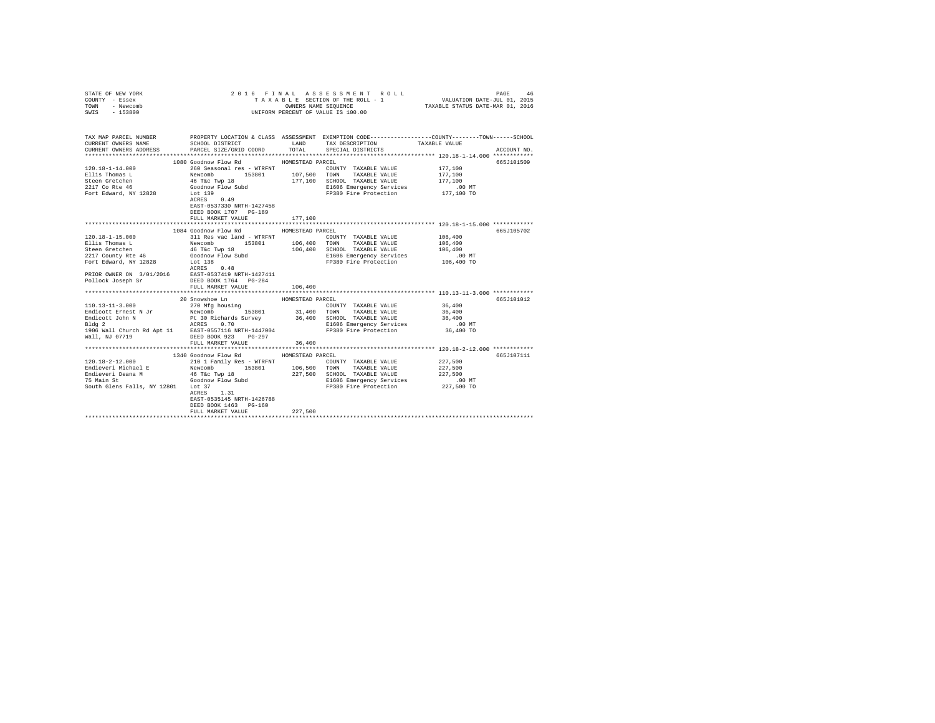| STATE OF NEW YORK<br>COUNTY - Essex                                                                                                        |                                                                                                                      |                  | 2016 FINAL ASSESSMENT ROLL<br>TAXABLE SECTION OF THE ROLL - 1       | VALUATION DATE-JUL 01, 2015      | PAGE<br>46  |
|--------------------------------------------------------------------------------------------------------------------------------------------|----------------------------------------------------------------------------------------------------------------------|------------------|---------------------------------------------------------------------|----------------------------------|-------------|
| TOWN<br>- Newcomb                                                                                                                          |                                                                                                                      |                  | OWNERS NAME SEQUENCE                                                | TAXABLE STATUS DATE-MAR 01, 2016 |             |
| SWIS - 153800                                                                                                                              |                                                                                                                      |                  | UNIFORM PERCENT OF VALUE IS 100.00                                  |                                  |             |
|                                                                                                                                            |                                                                                                                      |                  |                                                                     |                                  |             |
| TAX MAP PARCEL NUMBER PROPERTY LOCATION & CLASS ASSESSMENT EXEMPTION CODE--------------COUNTY-------TOWN-----SCHOOL<br>CURRENT OWNERS NAME | SCHOOL DISTRICT LAND . TAX DESCRIPTION                                                                               |                  |                                                                     | TAXABLE VALUE                    |             |
| CURRENT OWNERS ADDRESS PARCEL SIZE/GRID COORD TOTAL SPECIAL DISTRICTS                                                                      |                                                                                                                      |                  |                                                                     |                                  | ACCOUNT NO. |
|                                                                                                                                            |                                                                                                                      |                  |                                                                     |                                  |             |
|                                                                                                                                            | 1080 Goodnow Flow Rd MOMESTEAD PARCEL                                                                                |                  |                                                                     |                                  | 665J101509  |
| $120.18 - 1 - 14.000$                                                                                                                      | 260 Seasonal res - WTRFNT                                                                                            |                  | COUNTY TAXABLE VALUE                                                | 177,100                          |             |
| Ellis Thomas L                                                                                                                             | Newcomb 153801 107,500 TOWN<br>46 T&c Twp 18 177,100 SCHOOL<br>Goodnow Flow Subd 2166 B1606 B1606<br>Lot 139 FP380 F |                  | TAXABLE VALUE                                                       | 177,100                          |             |
| Steen Gretchen                                                                                                                             |                                                                                                                      |                  | 177.100 SCHOOL TAXABLE VALUE                                        | 177,100                          |             |
| 2217 Co Rte 46                                                                                                                             |                                                                                                                      |                  | E1606 Emergency Services                                            | $.00$ MT                         |             |
| Fort Edward, NY 12828 Lot 139                                                                                                              |                                                                                                                      |                  | FP380 Fire Protection 177,100 TO                                    |                                  |             |
|                                                                                                                                            | ACRES 0.49                                                                                                           |                  |                                                                     |                                  |             |
|                                                                                                                                            | EAST-0537330 NRTH-1427458                                                                                            |                  |                                                                     |                                  |             |
|                                                                                                                                            | DEED BOOK 1707 PG-189                                                                                                |                  |                                                                     |                                  |             |
|                                                                                                                                            | FULL MARKET VALUE                                                                                                    | 177,100          |                                                                     |                                  |             |
|                                                                                                                                            | 1084 Goodnow Flow Rd                                                                                                 | HOMESTEAD PARCEL |                                                                     |                                  | 665J105702  |
| $120.18 - 1 - 15.000$                                                                                                                      | 311 Res vac land - WTRFNT                                                                                            |                  | COUNTY TAXABLE VALUE                                                | 106,400                          |             |
|                                                                                                                                            |                                                                                                                      | 106,400 TOWN     | TAXABLE VALUE                                                       | 106,400                          |             |
|                                                                                                                                            |                                                                                                                      |                  | 106,400 SCHOOL TAXABLE VALUE                                        | 106,400                          |             |
|                                                                                                                                            |                                                                                                                      |                  | E1606 Emergency Services                                            | $.00$ MT                         |             |
|                                                                                                                                            |                                                                                                                      |                  | FP380 Fire Protection                                               | 106,400 TO                       |             |
|                                                                                                                                            |                                                                                                                      |                  |                                                                     |                                  |             |
|                                                                                                                                            |                                                                                                                      |                  |                                                                     |                                  |             |
|                                                                                                                                            |                                                                                                                      |                  |                                                                     |                                  |             |
|                                                                                                                                            | FULL MARKET VALUE                                                                                                    | 106,400          |                                                                     |                                  |             |
|                                                                                                                                            |                                                                                                                      |                  |                                                                     |                                  |             |
|                                                                                                                                            | 20 Snowshoe Ln                                                                                                       | HOMESTEAD PARCEL |                                                                     |                                  | 665J101012  |
| $110.13 - 11 - 3.000$                                                                                                                      | 270 Mfg housing                                                                                                      |                  | COUNTY TAXABLE VALUE                                                | 36,400<br>36,400                 |             |
| Endicott Ernest N Jr<br>Endicott John N                                                                                                    | Newcomb 153801<br>Pt 30 Richards Survey<br>ACRES 0.70                                                                |                  | 31,400 TOWN TAXABLE VALUE<br>36,400 SCHOOL TAXABLE VALUE            | 36,400                           |             |
|                                                                                                                                            |                                                                                                                      |                  |                                                                     |                                  |             |
|                                                                                                                                            |                                                                                                                      |                  |                                                                     |                                  |             |
| Wall, NJ 07719                                                                                                                             | DEED BOOK 923 PG-297                                                                                                 |                  |                                                                     |                                  |             |
|                                                                                                                                            | FULL MARKET VALUE                                                                                                    | 36,400           |                                                                     |                                  |             |
|                                                                                                                                            |                                                                                                                      |                  |                                                                     |                                  |             |
|                                                                                                                                            | 1340 Goodnow Flow Rd                                                                                                 | HOMESTEAD PARCEL |                                                                     |                                  | 665J107111  |
| 120.18-2-12.000                                                                                                                            | 210 1 Family Res - WTRFNT<br>Newcomb 153801 106,500                                                                  |                  | COUNTY TAXABLE VALUE                                                | 227,500                          |             |
| Endieveri Michael E                                                                                                                        |                                                                                                                      |                  | TOWN<br>TAXABLE VALUE                                               | 227,500                          |             |
|                                                                                                                                            |                                                                                                                      |                  | 227.500 SCHOOL TAXABLE VALUE                                        | 227,500                          |             |
|                                                                                                                                            |                                                                                                                      |                  | E1606 Emergency Services .00 MT<br>FP380 Fire Protection 227,500 TO |                                  |             |
| South Glens Falls, NY 12801 Lot 37                                                                                                         |                                                                                                                      |                  |                                                                     |                                  |             |
|                                                                                                                                            | ACRES 1.31                                                                                                           |                  |                                                                     |                                  |             |
|                                                                                                                                            | EAST-0535145 NRTH-1426788                                                                                            |                  |                                                                     |                                  |             |
|                                                                                                                                            | DEED BOOK 1463 PG-160                                                                                                | 227.500          |                                                                     |                                  |             |
|                                                                                                                                            | FULL MARKET VALUE                                                                                                    |                  |                                                                     |                                  |             |
|                                                                                                                                            |                                                                                                                      |                  |                                                                     |                                  |             |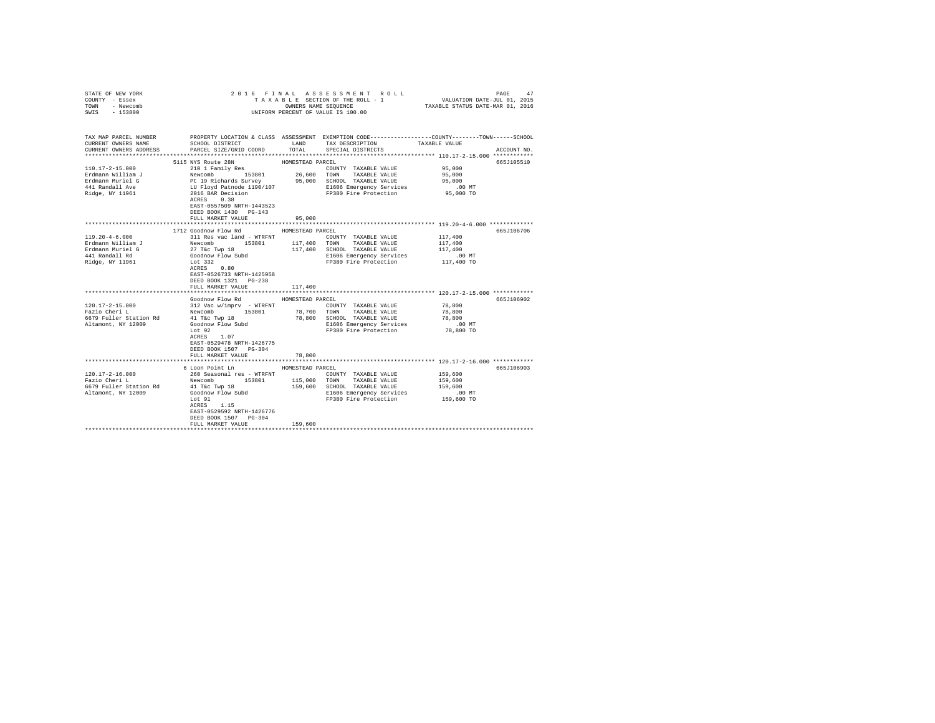| STATE OF NEW YORK<br>COUNTY - Essex<br>TOWN<br>- Newcomb |                                                                                  |                  | 2016 FINAL ASSESSMENT ROLL<br>TAXABLE SECTION OF THE ROLL - 1<br>OWNERS NAME SEQUENCE                                            | VALUATION DATE-JUL 01, 2015<br>TAXABLE STATUS DATE-MAR 01, 2016 | PAGE<br>47  |
|----------------------------------------------------------|----------------------------------------------------------------------------------|------------------|----------------------------------------------------------------------------------------------------------------------------------|-----------------------------------------------------------------|-------------|
| $-153800$<br>SWIS                                        |                                                                                  |                  | UNIFORM PERCENT OF VALUE IS 100.00                                                                                               |                                                                 |             |
| TAX MAP PARCEL NUMBER<br>CURRENT OWNERS NAME             | SCHOOL DISTRICT                                                                  | LAND             | PROPERTY LOCATION & CLASS ASSESSMENT EXEMPTION CODE---------------COUNTY-------TOWN------SCHOOL<br>TAX DESCRIPTION TAXABLE VALUE |                                                                 |             |
| CURRENT OWNERS ADDRESS                                   | PARCEL SIZE/GRID COORD                                                           | TOTAL            | SPECIAL DISTRICTS                                                                                                                |                                                                 | ACCOUNT NO. |
|                                                          |                                                                                  |                  |                                                                                                                                  |                                                                 |             |
|                                                          | 5115 NYS Route 28N                                                               | HOMESTEAD PARCEL |                                                                                                                                  |                                                                 | 665J105510  |
| $110.17 - 2 - 15.000$                                    | 210 1 Family Res                                                                 |                  | COUNTY TAXABLE VALUE                                                                                                             | 95,000                                                          |             |
| Erdmann William J                                        |                                                                                  | 26,600           | TOWN TAXABLE VALUE                                                                                                               | 95,000                                                          |             |
| Erdmann Muriel G                                         | Newcomb<br>Pt 19 Richards Survey<br>LU Floyd Patnode 1190/107<br>COSTER District |                  | 95,000 SCHOOL TAXABLE VALUE                                                                                                      | 95,000                                                          |             |
| 441 Randall Ave                                          |                                                                                  |                  | E1606 Emergency Services                                                                                                         | $.00$ MT                                                        |             |
| Ridge, NY 11961                                          | 2016 BAR Decision<br>ACRES 0.38<br>EAST-0557509 NRTH-1443523                     |                  | FP380 Fire Protection                                                                                                            | 95,000 TO                                                       |             |
|                                                          | DEED BOOK 1430 PG-143                                                            |                  |                                                                                                                                  |                                                                 |             |
|                                                          | FULL MARKET VALUE                                                                | 95,000           |                                                                                                                                  |                                                                 |             |
|                                                          | 1712 Goodnow Flow Rd                                                             | HOMESTEAD PARCEL |                                                                                                                                  |                                                                 | 665J106706  |
| $119.20 - 4 - 6.000$                                     | 311 Res vac land - WTRFNT                                                        |                  | COUNTY TAXABLE VALUE                                                                                                             | 117,400                                                         |             |
| Erdmann William J                                        | Newcomb<br>27 T&C Twp 18<br>Goodnow Flow Subd<br>200                             | 117,400          | TOWN TAXABLE VALUE                                                                                                               | 117,400                                                         |             |
| Erdmann Muriel G                                         |                                                                                  |                  | 117,400 SCHOOL TAXABLE VALUE                                                                                                     | 117,400                                                         |             |
| 441 Randall Rd                                           |                                                                                  |                  | E1606 Emergency Services                                                                                                         | $.00$ MT                                                        |             |
| Ridge, NY 11961                                          | Lot 332                                                                          |                  | FP380 Fire Protection                                                                                                            | 117,400 TO                                                      |             |
|                                                          | $ACRES$ 0.80                                                                     |                  |                                                                                                                                  |                                                                 |             |
|                                                          | EAST-0526733 NRTH-1425958                                                        |                  |                                                                                                                                  |                                                                 |             |
|                                                          | DEED BOOK 1321 PG-238                                                            |                  |                                                                                                                                  |                                                                 |             |
|                                                          | FULL MARKET VALUE                                                                | 117,400          |                                                                                                                                  |                                                                 |             |
|                                                          | Goodnow Flow Rd                                                                  | HOMESTEAD PARCEL |                                                                                                                                  |                                                                 | 665J106902  |
| 120.17-2-15.000                                          | 312 Vac w/imprv - WTRFNT                                                         |                  | COUNTY TAXABLE VALUE                                                                                                             | 78,800                                                          |             |
| Fazio Cheri L                                            | Newcomb<br>153801                                                                | 78,700           | TOWN TAXABLE VALUE                                                                                                               | 78,800                                                          |             |
| 6679 Fuller Station Rd                                   | 41 T&c Twp 18                                                                    |                  | 78,800 SCHOOL TAXABLE VALUE                                                                                                      | 78,800                                                          |             |
| Altamont, NY 12009                                       | Goodnow Flow Subd                                                                |                  | E1606 Emergency Services                                                                                                         | $.00$ MT                                                        |             |
|                                                          | $To$ $to$ 92                                                                     |                  | FP380 Fire Protection                                                                                                            | 78,800 TO                                                       |             |
|                                                          | ACRES 1.07                                                                       |                  |                                                                                                                                  |                                                                 |             |
|                                                          | EAST-0529478 NRTH-1426775                                                        |                  |                                                                                                                                  |                                                                 |             |
|                                                          | DEED BOOK 1507 PG-304                                                            |                  |                                                                                                                                  |                                                                 |             |
|                                                          | FULL MARKET VALUE                                                                | 78,800           |                                                                                                                                  |                                                                 |             |
|                                                          |                                                                                  | .                | **************************** 120.17-2-16.000 ************                                                                        |                                                                 |             |
|                                                          | 6 Loon Point Ln                                                                  | HOMESTEAD PARCEL |                                                                                                                                  |                                                                 | 665J106903  |
| $120.17 - 2 - 16.000$                                    | 260 Seasonal res - WTRFNT                                                        |                  | COUNTY TAXABLE VALUE                                                                                                             | 159,600                                                         |             |
| Fazio Cheri L<br>6679 Fuller Station Rd                  | 153801<br>Newcomb                                                                | 115,000          | TOWN TAXABLE VALUE                                                                                                               | 159,600<br>159,600                                              |             |
| Altamont, NY 12009                                       | 41 T&C Twp 18                                                                    |                  | 159,600 SCHOOL TAXABLE VALUE<br>E1606 Emergency Services                                                                         | $.00$ MT                                                        |             |
|                                                          | Goodnow Flow Subd<br>Lot 91                                                      |                  | FP380 Fire Protection                                                                                                            | 159,600 TO                                                      |             |
|                                                          | $ACRES$ 1.15                                                                     |                  |                                                                                                                                  |                                                                 |             |
|                                                          | EAST-0529592 NRTH-1426776                                                        |                  |                                                                                                                                  |                                                                 |             |
|                                                          | DEED BOOK 1507 PG-304                                                            |                  |                                                                                                                                  |                                                                 |             |
|                                                          | FULL MARKET VALUE                                                                | 159,600          |                                                                                                                                  |                                                                 |             |
|                                                          |                                                                                  |                  |                                                                                                                                  |                                                                 |             |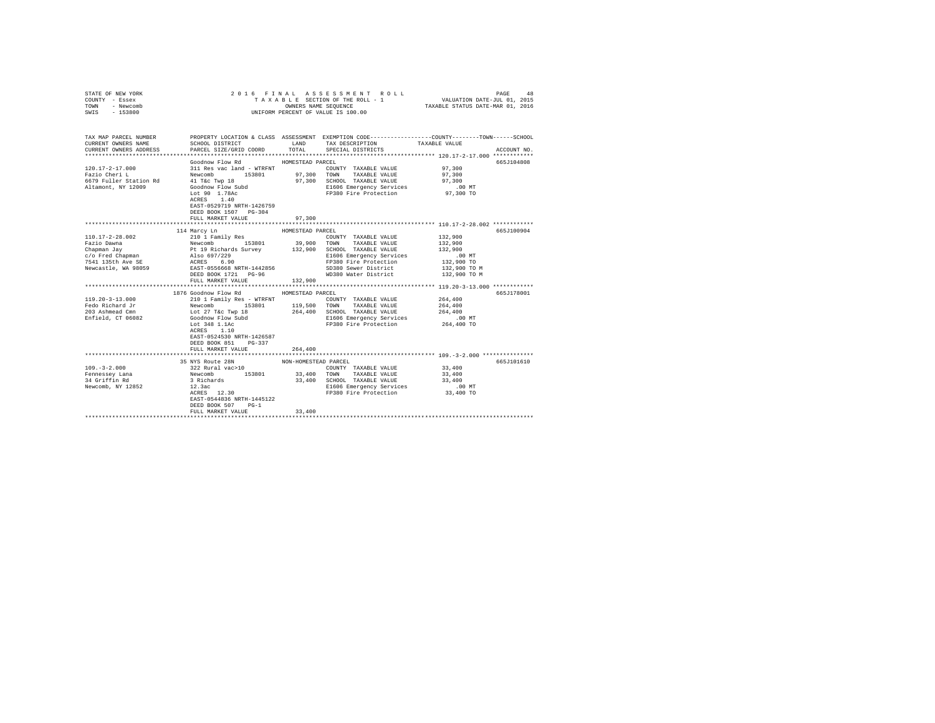| STATE OF NEW YORK<br>COUNTY - Essex<br>TOWN<br>- Newcomb<br>SWIS - 153800                           |                                                                                                                                                                                                                                                                                                                                                                                                                      |                                        | 2016 FINAL ASSESSMENT ROLL<br>TAXABLE SECTION OF THE ROLL - 1<br>UNIFORM PERCENT OF VALUE IS 100.00                                   | PAGE<br>48<br>3 L E SECTION OF THE ROLL - 1 VALUATION DATE-JUL 01, 2015<br>OWNERS NAME SEQUENCE TAXABLE STATUS DATE-MAR 01, 2016                    |
|-----------------------------------------------------------------------------------------------------|----------------------------------------------------------------------------------------------------------------------------------------------------------------------------------------------------------------------------------------------------------------------------------------------------------------------------------------------------------------------------------------------------------------------|----------------------------------------|---------------------------------------------------------------------------------------------------------------------------------------|-----------------------------------------------------------------------------------------------------------------------------------------------------|
| CURRENT OWNERS NAME<br>CURRENT OWNERS ADDRESS                                                       | SCHOOL DISTRICT TAND TAX DESCRIPTION<br>PARCEL SIZE/GRID COORD TOTAL SPECIAL DISTRICTS                                                                                                                                                                                                                                                                                                                               |                                        |                                                                                                                                       | TAX MAP PARCEL NUMBER PROPERTY LOCATION & CLASS ASSESSMENT EXEMPTION CODE--------------COUNTY-------TOWN-----SCHOOL<br>TAXABLE VALUE<br>ACCOUNT NO. |
| $120.17 - 2 - 17.000$<br>Fazio Cheri L<br>6679 Fuller Station Rd<br>Altamont, NY 12009              | Goodnow Flow Rd<br>311 Res vac land - WTRFNT<br>Newcomb 153801 97,300 TOWN TAXABLE VALUE<br>41 T&c Twp 18 97,300 SCHOOL TAXABLE VALUE<br>41 T&c Twp 18<br>Goodnow Flow Subd<br>Lot 90 1.78Ac<br>ACRES 1.40<br>ACRES 1.40<br>EAST-0529719 NRTH-1426759<br>DEED BOOK 1507 PG-304<br>FULL MARKET VALUE                                                                                                                  | HOMESTEAD PARCEL<br>97,300             | COUNTY TAXABLE VALUE 97,300<br>E1606 Emergency Services<br>FP380 Fire Protection 97,300 TO                                            | 665J104808<br>97,300<br>97,300<br>$.00$ MT                                                                                                          |
|                                                                                                     |                                                                                                                                                                                                                                                                                                                                                                                                                      |                                        |                                                                                                                                       |                                                                                                                                                     |
| 110.17-2-28.002<br>$119.20 - 3 - 13.000$<br>Fedo Richard Jr<br>203 Ashmead Cmn<br>Enfield, CT 06082 | 114 Marcy Ln<br>210 1 Family Res<br>FULL MARKET VALUE<br>1876 Goodnow Flow Rd MOMESTEAD PARCEL<br>COUNTY TAXABLE VALUE<br>Newcomb 153801 119,500 TOWN TAXABLE VALUE<br>Newcomb 153801 119,500 TOWN TAXABLE VALUE<br>Lot 27 T&C Twp 18 264,400 SCHOOL TAXABLE VALUE<br>Goodnow Flow Subd 1660 Smergency Services<br>Lot 348 1.1Ac FF380 Fir<br>EAST-0524530 NRTH-1426587<br>DEED BOOK 851 PG-337<br>FULL MARKET VALUE | HOMESTEAD PARCEL<br>132,900<br>264,400 | COUNTY TAXABLE VALUE<br>COUNTY TAXABLE VALUE<br>264,400 SCHOOL TAXABLE VALUE<br>E1606 Emergency Services<br>FP380 Fire Protection     | 665J100904<br>132,900<br>665J178001<br>264,400<br>264,400<br>264,400<br>.00 MT<br>264,400 TO                                                        |
|                                                                                                     | 35 NYS Route 28N<br>$\begin{tabular}{lllllllllll} 109 & -3-2.000 & 100 & 1000 & 1000 & 1000 & 1000 & 1000 & 1000 & 1000 & 1000 & 1000 & 1000 & 1000 & 1000 & 1000 & 1000 & 1000 & 1000 & 1000 & 1000 & 1000 & 1000 & 1000 & 1000 & 1000 & 1000 & 1000 & 1000 & 1000 & 1000 & 1000 & 1000 & 1000 & 1$<br>EAST-0544836 NRTH-1445122<br>DEED BOOK 507 PG-1<br>FULL MARKET VALUE                                         | NON-HOMESTEAD PARCEL<br>33,400         | COUNTY TAXABLE VALUE<br>33,400 TOWN TAXABLE VALUE<br>33,400 SCHOOL TAXABLE VALUE<br>E1606 Emergency Services<br>FP380 Fire Protection | 665J101610<br>33,400<br>33,400<br>33,400<br>$.00$ MT<br>33,400 TO                                                                                   |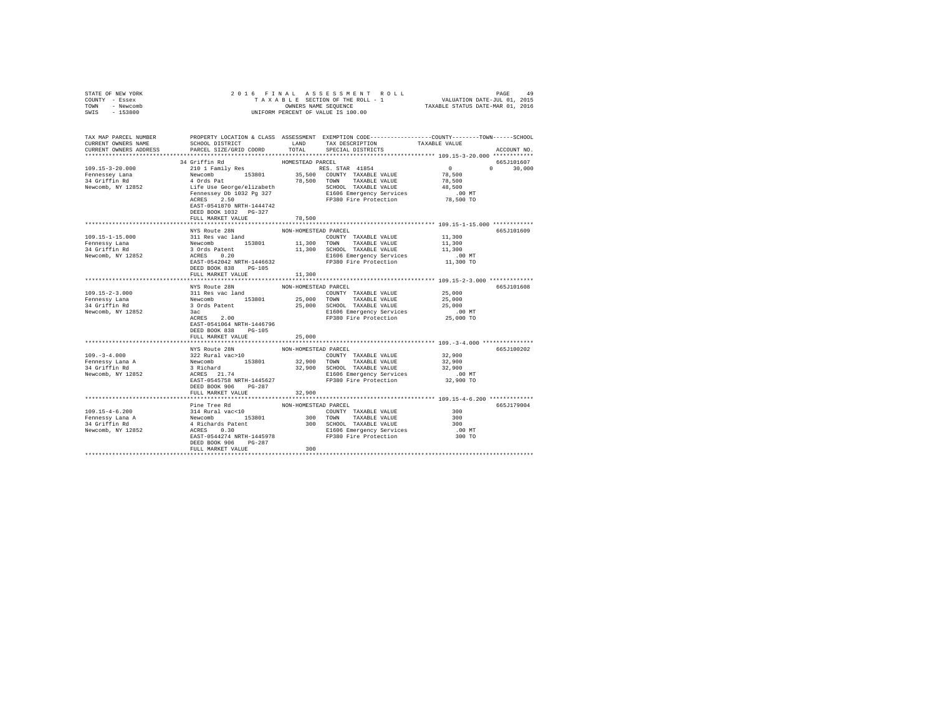| STATE OF NEW YORK                                     |                                                                                                                                                                                                                                                |                      |                                                                                                                                                                                                                                                                                                                                                                                                |                                                                                                                      |
|-------------------------------------------------------|------------------------------------------------------------------------------------------------------------------------------------------------------------------------------------------------------------------------------------------------|----------------------|------------------------------------------------------------------------------------------------------------------------------------------------------------------------------------------------------------------------------------------------------------------------------------------------------------------------------------------------------------------------------------------------|----------------------------------------------------------------------------------------------------------------------|
| COUNTY - Essex                                        |                                                                                                                                                                                                                                                |                      |                                                                                                                                                                                                                                                                                                                                                                                                |                                                                                                                      |
| TOWN - Newcomb<br>SWIS - 153800                       |                                                                                                                                                                                                                                                |                      | OWNERS NAME SEQUENCE<br>UNIFORM PERCENT OF VALUE IS 100.00                                                                                                                                                                                                                                                                                                                                     |                                                                                                                      |
|                                                       |                                                                                                                                                                                                                                                |                      |                                                                                                                                                                                                                                                                                                                                                                                                |                                                                                                                      |
|                                                       |                                                                                                                                                                                                                                                |                      |                                                                                                                                                                                                                                                                                                                                                                                                |                                                                                                                      |
|                                                       |                                                                                                                                                                                                                                                |                      |                                                                                                                                                                                                                                                                                                                                                                                                |                                                                                                                      |
|                                                       |                                                                                                                                                                                                                                                |                      |                                                                                                                                                                                                                                                                                                                                                                                                | TAX MAP PARCEL NUMBER PROPERTY LOCATION & CLASS ASSESSMENT EXEMPTION CODE---------------COUNTY-------TOWN-----SCHOOL |
| CURRENT OWNERS NAME                                   |                                                                                                                                                                                                                                                |                      | SCHOOL DISTRICT                        LAND         TAX DESCRIPTION                   TAXABLE VALUE                                                                                                                                                                                                                                                                                            |                                                                                                                      |
| CURRENT OWNERS ADDRESS                                | PARCEL SIZE/GRID COORD                                                                                                                                                                                                                         | TOTAL                | SPECIAL DISTRICTS                                                                                                                                                                                                                                                                                                                                                                              | ACCOUNT NO.                                                                                                          |
|                                                       | 34 Griffin Rd                                                                                                                                                                                                                                  | HOMESTEAD PARCEL     |                                                                                                                                                                                                                                                                                                                                                                                                | 665J101607                                                                                                           |
| 109.15-3-20.000                                       |                                                                                                                                                                                                                                                |                      |                                                                                                                                                                                                                                                                                                                                                                                                | $0 \t 30,000$                                                                                                        |
|                                                       |                                                                                                                                                                                                                                                |                      |                                                                                                                                                                                                                                                                                                                                                                                                |                                                                                                                      |
|                                                       |                                                                                                                                                                                                                                                |                      |                                                                                                                                                                                                                                                                                                                                                                                                |                                                                                                                      |
| Fennessey Lana<br>34 Griffin Rd<br>Newcomb, NY 12852  |                                                                                                                                                                                                                                                |                      |                                                                                                                                                                                                                                                                                                                                                                                                |                                                                                                                      |
|                                                       |                                                                                                                                                                                                                                                |                      | $\begin{tabular}{l c c c c c} \multicolumn{1}{c}{\textbf{34}}\hspace{0.08cm}\textbf{G1}\hspace{0.08cm}\textbf{15} & \textbf{16} \hspace{0.08cm}\textbf{16} & \textbf{16} \hspace{0.08cm}\textbf{16} & \textbf{16} \hspace{0.08cm}\textbf{16} & \textbf{16} \hspace{0.08cm}\textbf{16} & \textbf{16} \hspace{0.08cm}\textbf{16} & \textbf{16} \hspace{0.08cm}\textbf{16} & \textbf{16} \hspace$ |                                                                                                                      |
|                                                       |                                                                                                                                                                                                                                                |                      |                                                                                                                                                                                                                                                                                                                                                                                                |                                                                                                                      |
|                                                       | EAST-0541870 NRTH-1444742                                                                                                                                                                                                                      |                      |                                                                                                                                                                                                                                                                                                                                                                                                |                                                                                                                      |
|                                                       | DEED BOOK 1032    PG-327                                                                                                                                                                                                                       |                      |                                                                                                                                                                                                                                                                                                                                                                                                |                                                                                                                      |
|                                                       | FULL MARKET VALUE                                                                                                                                                                                                                              | 78,500               |                                                                                                                                                                                                                                                                                                                                                                                                |                                                                                                                      |
|                                                       |                                                                                                                                                                                                                                                |                      |                                                                                                                                                                                                                                                                                                                                                                                                |                                                                                                                      |
|                                                       | NYS Route 28N                                                                                                                                                                                                                                  | NON-HOMESTEAD PARCEL |                                                                                                                                                                                                                                                                                                                                                                                                | 665J101609                                                                                                           |
| 109.15-1-15.000                                       |                                                                                                                                                                                                                                                |                      |                                                                                                                                                                                                                                                                                                                                                                                                | 11,300<br>11,300                                                                                                     |
| Fennessy Lana                                         |                                                                                                                                                                                                                                                |                      | 11 Res vac land<br>Newcomb 153801 11,300 TOWN TAXABLE VALUE<br>3 Ords Patent 153801 11,300 SCHOOL TAXABLE VALUE<br>3 Ords Patent 1446632 21,900 BL606 Energency Services<br>EAST-0542042 NRTH-1446632 21605 Press Protection                                                                                                                                                                   | 11,300                                                                                                               |
| rennessy Lana<br>34 Griffin Rd<br>Newcomb, NY 12852   |                                                                                                                                                                                                                                                |                      |                                                                                                                                                                                                                                                                                                                                                                                                |                                                                                                                      |
|                                                       |                                                                                                                                                                                                                                                |                      | FP380 Fire Protection                                                                                                                                                                                                                                                                                                                                                                          | .00 MT.<br>11,300 TO                                                                                                 |
|                                                       | DEED BOOK 838 PG-105                                                                                                                                                                                                                           |                      |                                                                                                                                                                                                                                                                                                                                                                                                |                                                                                                                      |
|                                                       | FULL MARKET VALUE                                                                                                                                                                                                                              | 11,300               |                                                                                                                                                                                                                                                                                                                                                                                                |                                                                                                                      |
|                                                       |                                                                                                                                                                                                                                                |                      |                                                                                                                                                                                                                                                                                                                                                                                                |                                                                                                                      |
|                                                       | NYS Route 28N                                                                                                                                                                                                                                  | NON-HOMESTEAD PARCEL |                                                                                                                                                                                                                                                                                                                                                                                                | 665J101608                                                                                                           |
| $109.15 - 2 - 3.000$                                  | 311 Res vac land                                                                                                                                                                                                                               |                      | COUNTY TAXABLE VALUE                                                                                                                                                                                                                                                                                                                                                                           | 25,000                                                                                                               |
|                                                       |                                                                                                                                                                                                                                                |                      |                                                                                                                                                                                                                                                                                                                                                                                                | 25,000                                                                                                               |
| Newcomb, NY 12852                                     |                                                                                                                                                                                                                                                |                      |                                                                                                                                                                                                                                                                                                                                                                                                | 25,000                                                                                                               |
|                                                       | 3ac and 3ac and 3ac and 3ac and 3ac and 3ac and 3ac and 3ac and 3ac and 3ac and 3ac and 3ac and 3ac and 3ac and 3ac and 3ac and 3ac and 3ac and 3ac and 3ac and 3ac and 3ac and 3ac and 3ac and 3ac and 3ac and 3ac and 3ac an<br>$ACRES$ 2.00 |                      | E1606 Emergency Services<br>F1606 Emergency Services<br>FP380 Fire Protection 25,000 TO                                                                                                                                                                                                                                                                                                        |                                                                                                                      |
|                                                       |                                                                                                                                                                                                                                                |                      |                                                                                                                                                                                                                                                                                                                                                                                                |                                                                                                                      |
|                                                       | EAST-0541064 NRTH-1446796<br>DEED BOOK 838 PG-105                                                                                                                                                                                              |                      |                                                                                                                                                                                                                                                                                                                                                                                                |                                                                                                                      |
|                                                       | FULL MARKET VALUE                                                                                                                                                                                                                              | 25,000               |                                                                                                                                                                                                                                                                                                                                                                                                |                                                                                                                      |
|                                                       |                                                                                                                                                                                                                                                |                      |                                                                                                                                                                                                                                                                                                                                                                                                |                                                                                                                      |
|                                                       | NYS Route 28N                                                                                                                                                                                                                                  | NON-HOMESTEAD PARCEL |                                                                                                                                                                                                                                                                                                                                                                                                | 665J100202                                                                                                           |
| $109. - 3 - 4.000$                                    |                                                                                                                                                                                                                                                |                      | COUNTY TAXABLE VALUE                                                                                                                                                                                                                                                                                                                                                                           | 32,900                                                                                                               |
|                                                       | NIS ROULE 28N<br>322 Rural vac>10<br>Newcomb<br>3 Richard<br>ACRES 21.74<br>ACRES 21.74<br>21.74                                                                                                                                               |                      |                                                                                                                                                                                                                                                                                                                                                                                                | 32,900                                                                                                               |
| Fennessy Lana A<br>34 Griffin Rd                      |                                                                                                                                                                                                                                                |                      | 32,900 TOWN TAXABLE VALUE<br>32,900 SCHOOL TAXABLE VALUE                                                                                                                                                                                                                                                                                                                                       | 32,900                                                                                                               |
| Newcomb, NY 12852                                     |                                                                                                                                                                                                                                                |                      | E1606 Emergency Services .00 MT<br>FP380 Fire Protection 32,900 TO                                                                                                                                                                                                                                                                                                                             |                                                                                                                      |
|                                                       | EAST-0545758 NRTH-1445627                                                                                                                                                                                                                      |                      |                                                                                                                                                                                                                                                                                                                                                                                                |                                                                                                                      |
|                                                       | DEED BOOK 906 PG-287                                                                                                                                                                                                                           |                      |                                                                                                                                                                                                                                                                                                                                                                                                |                                                                                                                      |
|                                                       | FULL MARKET VALUE                                                                                                                                                                                                                              | 32,900               |                                                                                                                                                                                                                                                                                                                                                                                                |                                                                                                                      |
|                                                       |                                                                                                                                                                                                                                                |                      |                                                                                                                                                                                                                                                                                                                                                                                                |                                                                                                                      |
|                                                       | Pine Tree Rd                                                                                                                                                                                                                                   | NON-HOMESTEAD PARCEL |                                                                                                                                                                                                                                                                                                                                                                                                | 665J179004                                                                                                           |
| $109.15 - 4 - 6.200$                                  |                                                                                                                                                                                                                                                |                      | 21 He ree ROSE (2008)<br>2008 MARINE VALUE (2008)<br>2008 MARINE VALUE 4 Richards Patent (2009)<br>2009 MARINE VALUE 4 Richards Patent (2009)<br>2009 MARINE VALUE ACRES (2009)<br>2009 MARINE VALUE (2009)<br>2009 MARINE POSSEUP (2009)<br><br>COUNTY TAXABLE VALUE 300                                                                                                                      | 300                                                                                                                  |
| Fennessy Lana A<br>34 Griffin Rd<br>Newcomb, NY 12852 |                                                                                                                                                                                                                                                |                      |                                                                                                                                                                                                                                                                                                                                                                                                | 300                                                                                                                  |
|                                                       |                                                                                                                                                                                                                                                |                      |                                                                                                                                                                                                                                                                                                                                                                                                |                                                                                                                      |
|                                                       |                                                                                                                                                                                                                                                |                      |                                                                                                                                                                                                                                                                                                                                                                                                | .00 MT<br>300 TO                                                                                                     |
|                                                       | DEED BOOK 906 PG-287                                                                                                                                                                                                                           |                      |                                                                                                                                                                                                                                                                                                                                                                                                |                                                                                                                      |
|                                                       | FULL MARKET VALUE                                                                                                                                                                                                                              | 300                  |                                                                                                                                                                                                                                                                                                                                                                                                |                                                                                                                      |
|                                                       |                                                                                                                                                                                                                                                |                      |                                                                                                                                                                                                                                                                                                                                                                                                |                                                                                                                      |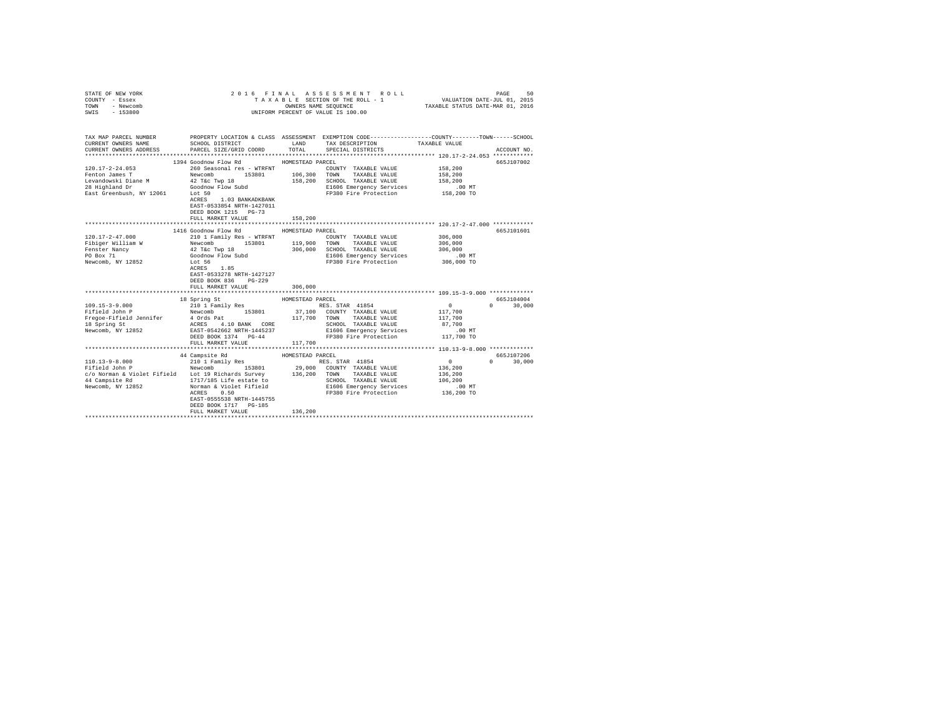| STATE OF NEW YORK<br>COUNTY - Essex<br>TOWN<br>- Newcomb<br>$-153800$<br>SWIS |                                                                                                   |                  | 2016 FINAL ASSESSMENT ROLL<br>TAXABLE SECTION OF THE ROLL - 1<br>OWNERS NAME SEQUENCE<br>UNIFORM PERCENT OF VALUE IS 100.00 | VALUATION DATE-JUL 01, 2015<br>TAXABLE STATUS DATE-MAR 01, 2016 | 50<br>PAGE         |
|-------------------------------------------------------------------------------|---------------------------------------------------------------------------------------------------|------------------|-----------------------------------------------------------------------------------------------------------------------------|-----------------------------------------------------------------|--------------------|
| TAX MAP PARCEL NUMBER                                                         | PROPERTY LOCATION & CLASS ASSESSMENT EXEMPTION CODE-----------------COUNTY-------TOWN------SCHOOL |                  |                                                                                                                             |                                                                 |                    |
| CURRENT OWNERS NAME                                                           | SCHOOL DISTRICT                                                                                   | <b>LAND</b>      | TAX DESCRIPTION                                                                                                             | TAXABLE VALUE                                                   |                    |
| CURRENT OWNERS ADDRESS                                                        | PARCEL SIZE/GRID COORD                                                                            | TOTAL            | SPECIAL DISTRICTS                                                                                                           |                                                                 | ACCOUNT NO.        |
|                                                                               | 1394 Goodnow Flow Rd                                                                              | HOMESTEAD PARCEL |                                                                                                                             |                                                                 | 665J107002         |
| $120.17 - 2 - 24.053$                                                         | 260 Seasonal res - WTRFNT                                                                         |                  | COUNTY TAXABLE VALUE                                                                                                        | 158,200                                                         |                    |
| Fenton James T                                                                | Newcomb 153801                                                                                    | 106,300          | TOWN<br>TAXABLE VALUE                                                                                                       | 158,200                                                         |                    |
| Levandowski Diane M                                                           | 42 T&c Twp 18                                                                                     | 158,200          | SCHOOL TAXABLE VALUE                                                                                                        | 158,200                                                         |                    |
| 28 Highland Dr                                                                | Goodnow Flow Subd                                                                                 |                  | E1606 Emergency Services                                                                                                    | $.00$ MT                                                        |                    |
| East Greenbush, NY 12061 Lot 50                                               |                                                                                                   |                  | FP380 Fire Protection 158,200 TO                                                                                            |                                                                 |                    |
|                                                                               | ACRES 1.03 BANKADKBANK<br>EAST-0533854 NRTH-1427011<br>DEED BOOK 1215 PG-73<br>FULL MARKET VALUE  | 158,200          |                                                                                                                             |                                                                 |                    |
|                                                                               | ********************************                                                                  | ***************  | ***************************** 120.17-2-47.000 ************                                                                  |                                                                 |                    |
|                                                                               | 1416 Goodnow Flow Rd                                                                              | HOMESTEAD PARCEL |                                                                                                                             |                                                                 | 665J101601         |
| $120.17 - 2 - 47.000$                                                         | 210 1 Family Res - WTRFNT                                                                         |                  | COUNTY TAXABLE VALUE                                                                                                        | 306,000                                                         |                    |
| Fibiger William W                                                             | Newcomb 153801                                                                                    | 119,900 TOWN     | TAXABLE VALUE                                                                                                               | 306,000                                                         |                    |
| Fenster Nancy                                                                 | 42 T&c Twp 18                                                                                     | 306,000          | SCHOOL TAXABLE VALUE                                                                                                        | 306,000                                                         |                    |
| PO Box 71                                                                     | Goodnow Flow Subd<br>Lot 56                                                                       |                  | E1606 Emergency Services                                                                                                    | .00 MT                                                          |                    |
| Newcomb, NY 12852                                                             | ACRES 1.85<br>EAST-0533278 NRTH-1427127<br>DEED BOOK 836 PG-229<br>FULL MARKET VALUE              | 306,000          | FP380 Fire Protection                                                                                                       | 306,000 TO                                                      |                    |
|                                                                               | 18 Spring St                                                                                      | HOMESTEAD PARCEL |                                                                                                                             |                                                                 | 665J104004         |
| $109.15 - 3 - 9.000$                                                          | 210 1 Family Res                                                                                  |                  | RES. STAR 41854                                                                                                             | $\sim$ 0                                                        | 30,000<br>$\Omega$ |
| Fifield John P                                                                | Newcomb 153801                                                                                    |                  | 37,100 COUNTY TAXABLE VALUE                                                                                                 | 117,700                                                         |                    |
| Fregoe-Fifield Jennifer                                                       | 4 Ords Pat<br>ACRES 4.10 BANK CORE                                                                | 117,700          | TAXABLE VALUE<br>TOWN                                                                                                       | 117,700                                                         |                    |
| 18 Spring St                                                                  |                                                                                                   |                  | SCHOOL TAXABLE VALUE                                                                                                        | 87,700                                                          |                    |
| Newcomb, NY 12852                                                             | EAST-0542662 NRTH-1445237                                                                         |                  | E1606 Emergency Services                                                                                                    | $.00 \text{ MT}$                                                |                    |
|                                                                               | DEED BOOK 1374 PG-44                                                                              |                  | FP380 Fire Protection                                                                                                       | 117,700 TO                                                      |                    |
|                                                                               | FULL MARKET VALUE                                                                                 | 117,700          |                                                                                                                             |                                                                 |                    |
|                                                                               | 44 Campsite Rd                                                                                    | HOMESTEAD PARCEL |                                                                                                                             |                                                                 | 665J107206         |
| $110.13 - 9 - 8.000$                                                          | 210 1 Family Res                                                                                  |                  | RES. STAR 41854                                                                                                             | $\sim$ 0                                                        | 30,000             |
| Fifield John P                                                                | 153801<br>Newcomb                                                                                 |                  | 29,000 COUNTY TAXABLE VALUE                                                                                                 | 136,200                                                         |                    |
|                                                                               | c/o Norman & Violet Fifield Lot 19 Richards Survey 136,200 TOWN                                   |                  | TAXABLE VALUE                                                                                                               | 136,200                                                         |                    |
| 44 Campsite Rd                                                                | 1717/185 Life estate to                                                                           |                  | SCHOOL TAXABLE VALUE                                                                                                        | 106,200                                                         |                    |
| Newcomb, NY 12852                                                             | Norman & Violet Fifield                                                                           |                  | E1606 Emergency Services                                                                                                    | $.00$ MT                                                        |                    |
|                                                                               | 0.50<br>ACRES                                                                                     |                  | FP380 Fire Protection                                                                                                       | 136,200 TO                                                      |                    |
|                                                                               | EAST-0555538 NRTH-1445755<br>DEED BOOK 1717 PG-185                                                |                  |                                                                                                                             |                                                                 |                    |
|                                                                               | FULL MARKET VALUE                                                                                 | 136,200          |                                                                                                                             |                                                                 |                    |
|                                                                               |                                                                                                   |                  |                                                                                                                             |                                                                 |                    |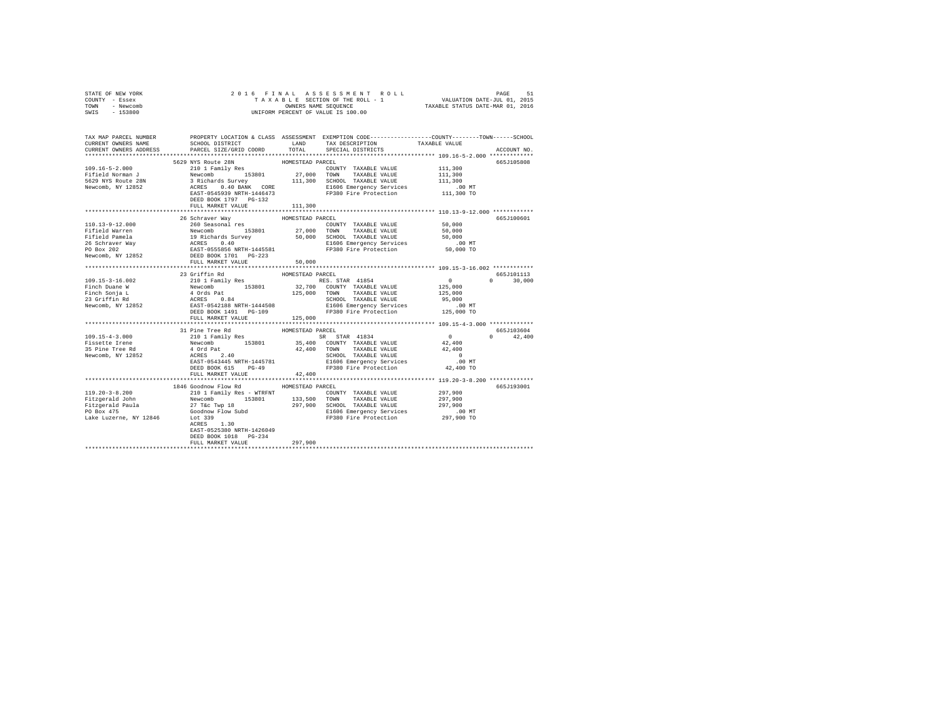| COUNTY - Essex<br>TOWN - Newcomb<br>SWIS - 153800                                                                                                                                                                                                                                                                                                                                                       | T A X A B L E SECTION OF THE ROLL -<br>ONNEERS NAME SEQUENCE<br>UNIFORM PERCENT OF VALUE IS 100.00               |                            |                                                         |  |                             |  |  |
|---------------------------------------------------------------------------------------------------------------------------------------------------------------------------------------------------------------------------------------------------------------------------------------------------------------------------------------------------------------------------------------------------------|------------------------------------------------------------------------------------------------------------------|----------------------------|---------------------------------------------------------|--|-----------------------------|--|--|
| TAX MAP PARCEL NUMBER     PROPERTY LOCATION & CLASS ASSESSMENT EXEMPTION CODE--------------COUNTY-------TOWN------SCHOOL<br>CURRENT OWNERS NAME     SCHOOL DISTRICT     LAND   TAX DESCRIPTION     TAXABLE VALUE<br>CURRENT OWNERS ADDRESS PARCEL SIZE/GRID COORD                                                                                                                                       |                                                                                                                  | TOTAL                      | SPECIAL DISTRICTS                                       |  | ACCOUNT NO.                 |  |  |
| 109.16-5-2.000<br>109.16-5-2.000<br>109.16-5-2.000<br>2011 Family Res = HOMESTEAD PARCEL<br>2011 Family Res = 2018<br>27,000 TOWNTY TAXABLE VALUE<br>211,300 COUNTY TAXABLE VALUE<br>2011 FAMILY RESS 0.40 BAND 113,300<br>27,000 TOWNTY TAXAB                                                                                                                                                          | FULL MARKET VALUE                                                                                                | 111,300                    |                                                         |  | 665J105808                  |  |  |
|                                                                                                                                                                                                                                                                                                                                                                                                         |                                                                                                                  |                            |                                                         |  |                             |  |  |
|                                                                                                                                                                                                                                                                                                                                                                                                         | 26 Schraver Way<br>FULL MARKET VALUE                                                                             | HOMESTEAD PARCEL<br>50,000 |                                                         |  | 665J100601                  |  |  |
|                                                                                                                                                                                                                                                                                                                                                                                                         |                                                                                                                  |                            |                                                         |  | 665J101113                  |  |  |
| $\begin{tabular}{l c c c c c} \multicolumn{1}{c c c c} \multicolumn{1}{c c c} \multicolumn{1}{c c c} \multicolumn{1}{c c c} \multicolumn{1}{c c c} \multicolumn{1}{c c c} \multicolumn{1}{c c c} \multicolumn{1}{c c c} \multicolumn{1}{c c c} \multicolumn{1}{c c c} \multicolumn{1}{c c c} \multicolumn{1}{c c c} \multicolumn{1}{c c c} \multicolumn{1}{c c c} \multicolumn{1}{c c c} \multicolumn{$ |                                                                                                                  |                            |                                                         |  | $0 \t 30,000$               |  |  |
|                                                                                                                                                                                                                                                                                                                                                                                                         |                                                                                                                  |                            |                                                         |  |                             |  |  |
| 1999.15-4-3.000 153801 12000 11 12000 11 12000 12000 12000 12000 12000 12000 12000 12000 12000 12000 12000 12000 12000 12000 12000 12000 12000 12000 12000 12000 12000 12000 12000 12000 12000 12000 12000 12000 12000 12000 1                                                                                                                                                                          |                                                                                                                  |                            |                                                         |  | 665J103604<br>$0 \t 42,400$ |  |  |
|                                                                                                                                                                                                                                                                                                                                                                                                         |                                                                                                                  |                            |                                                         |  |                             |  |  |
|                                                                                                                                                                                                                                                                                                                                                                                                         | 1846 Goodnow Flow Rd MOMESTEAD PARCEL<br>EAST-0525380 NRTH-1426049<br>DEED BOOK 1018 PG-234<br>FULL MARKET VALUE | 297,900                    | ECEL<br>COUNTY TAXABLE VALUE 297,900<br>297,900 297,900 |  | 665J193001                  |  |  |
|                                                                                                                                                                                                                                                                                                                                                                                                         |                                                                                                                  |                            |                                                         |  |                             |  |  |
|                                                                                                                                                                                                                                                                                                                                                                                                         |                                                                                                                  |                            |                                                         |  |                             |  |  |

STATE OF NEW YORK 2 0 1 6 F I N A L A S S E S S M E N T R O L L PAGE 51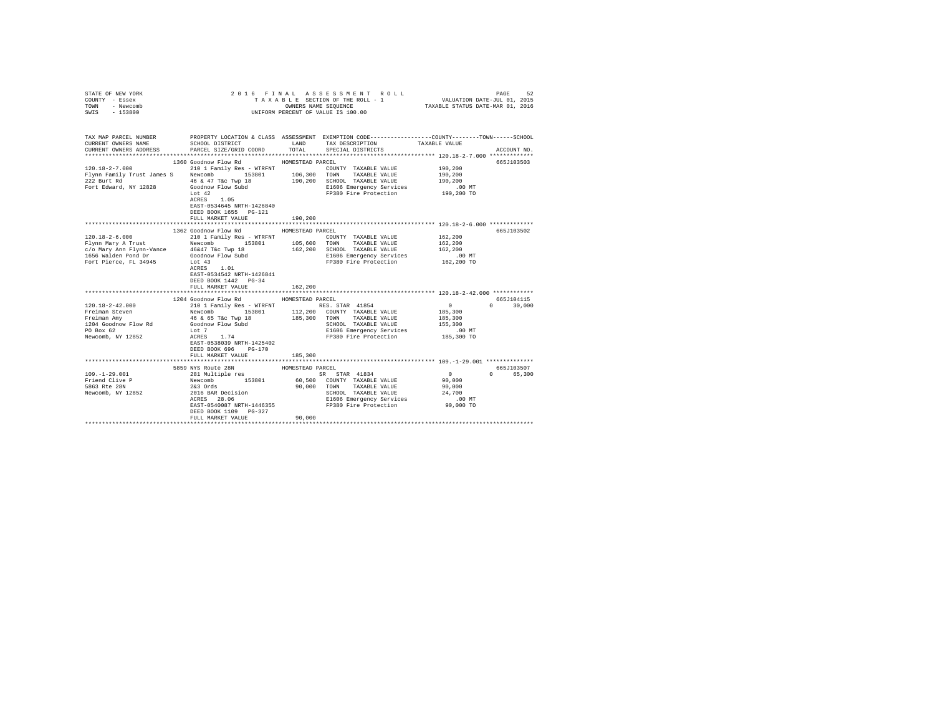| COUNTY - Essex<br>TOWN - Newcomb<br>SWIS - 153800 | UNIFORM PERCENT OF VALUE IS 100.00                                                                                                                                                                                                                                                                                                                                                              |                  |                                                                     |                                  |                             |
|---------------------------------------------------|-------------------------------------------------------------------------------------------------------------------------------------------------------------------------------------------------------------------------------------------------------------------------------------------------------------------------------------------------------------------------------------------------|------------------|---------------------------------------------------------------------|----------------------------------|-----------------------------|
|                                                   | TAX MAP PARCEL NUMBER PROPERTY LOCATION & CLASS ASSESSMENT EXEMPTION CODE--------------COUNTY-------TOWN------SCHOOL<br>CURRENT OWNERS NAME SCHOOL DISTRICT A LAND TAX DESCRIPTION TAXABLE VALUE                                                                                                                                                                                                |                  |                                                                     |                                  |                             |
| CURRENT OWNERS ADDRESS                            | PARCEL SIZE/GRID COORD TOTAL                                                                                                                                                                                                                                                                                                                                                                    |                  | SPECIAL DISTRICTS                                                   |                                  | ACCOUNT NO.                 |
|                                                   |                                                                                                                                                                                                                                                                                                                                                                                                 |                  |                                                                     |                                  |                             |
|                                                   | 1360 Goodnow Flow Rd                                                                                                                                                                                                                                                                                                                                                                            | HOMESTEAD PARCEL |                                                                     |                                  | 665J103503                  |
|                                                   |                                                                                                                                                                                                                                                                                                                                                                                                 |                  | COUNTY TAXABLE VALUE                                                | 190,200                          |                             |
|                                                   | ${\small \begin{tabular}{lcccccc} 120.18-2-7.000 & 210 & 1 Family Res - WTRFNT & 106,300 & TAXABLE VALUE \\ \hline \end{tabular}} \begin{tabular}{lcccccc} 120.18-2-7.000 & 210 & 1 Family Res - WTRFNT & 106,300 & TONN & TAXABLE VALUE \\ \end{tabular}}$                                                                                                                                     |                  |                                                                     | 190,200                          |                             |
|                                                   |                                                                                                                                                                                                                                                                                                                                                                                                 |                  | 190,200 SCHOOL TAXABLE VALUE                                        | 190,200                          |                             |
|                                                   | Flynn Family Trust James Janeson (1847)<br>222 Burt Rd (1847) (1848) (1848) (1848) (1848) (1848)<br>Fort Edward, NY 12828 (1848) (1848) (1848) (1848) (1848)                                                                                                                                                                                                                                    |                  | E1606 Emergency Services .00 MT                                     |                                  |                             |
|                                                   | $ACRES$ 1.05                                                                                                                                                                                                                                                                                                                                                                                    |                  | FP380 Fire Protection                                               | 190,200 TO                       |                             |
|                                                   | EAST-0534645 NRTH-1426840                                                                                                                                                                                                                                                                                                                                                                       |                  |                                                                     |                                  |                             |
|                                                   | DEED BOOK 1655 PG-121                                                                                                                                                                                                                                                                                                                                                                           |                  |                                                                     |                                  |                             |
|                                                   | FULL MARKET VALUE                                                                                                                                                                                                                                                                                                                                                                               | 190,200          |                                                                     |                                  |                             |
|                                                   |                                                                                                                                                                                                                                                                                                                                                                                                 |                  |                                                                     |                                  |                             |
|                                                   |                                                                                                                                                                                                                                                                                                                                                                                                 |                  |                                                                     |                                  | 665J103502                  |
|                                                   |                                                                                                                                                                                                                                                                                                                                                                                                 |                  | COUNTY TAXABLE VALUE 162,200                                        |                                  |                             |
|                                                   |                                                                                                                                                                                                                                                                                                                                                                                                 |                  |                                                                     | 162,200                          |                             |
|                                                   |                                                                                                                                                                                                                                                                                                                                                                                                 |                  |                                                                     | 162,200                          |                             |
|                                                   |                                                                                                                                                                                                                                                                                                                                                                                                 |                  | El606 Emergency Services .00 MT<br>FP380 Fire Protection 162,200 TO |                                  |                             |
|                                                   | $\begin{tabular}{l c c c c c c c c} \multicolumn{2}{c}{\textbf{120.18}-2-6.000 & \multicolumn{2}{c}{\textbf{120.18}-2-6.000 & \multicolumn{2}{c}{\textbf{120.18}-2-6.000 & \multicolumn{2}{c}{\textbf{120.18}-2-6.000 & \multicolumn{2}{c}{\textbf{120.18}-2-6.000 & \multicolumn{2}{c}{\textbf{120.18}-2-6.000 & \multicolumn{2}{c}{\textbf{120.18}-2-6.000 &$<br>$\verb ACRES  1.01$          |                  |                                                                     |                                  |                             |
|                                                   | EAST-0534542 NRTH-1426841                                                                                                                                                                                                                                                                                                                                                                       |                  |                                                                     |                                  |                             |
|                                                   | DEED BOOK 1442 PG-34                                                                                                                                                                                                                                                                                                                                                                            |                  |                                                                     |                                  |                             |
|                                                   | FULL MARKET VALUE                                                                                                                                                                                                                                                                                                                                                                               | 162,200          |                                                                     |                                  |                             |
|                                                   |                                                                                                                                                                                                                                                                                                                                                                                                 |                  |                                                                     |                                  |                             |
|                                                   | 1204 Goodnow Flow Rd MOMESTEAD PARCEL                                                                                                                                                                                                                                                                                                                                                           |                  |                                                                     | $\sim$ 0.000 $\sim$ 0.000 $\sim$ | 665J104115<br>$0 \t 30,000$ |
|                                                   |                                                                                                                                                                                                                                                                                                                                                                                                 |                  |                                                                     | 185,300                          |                             |
|                                                   |                                                                                                                                                                                                                                                                                                                                                                                                 |                  |                                                                     | 185,300                          |                             |
|                                                   |                                                                                                                                                                                                                                                                                                                                                                                                 |                  | SCHOOL TAXABLE VALUE 155,300                                        |                                  |                             |
|                                                   |                                                                                                                                                                                                                                                                                                                                                                                                 |                  | E1606 Emergency Services                                            | .00 MT                           |                             |
|                                                   | $\begin{tabular}{l c c c c c} \multicolumn{1}{c}{\textbf{120.18}-2-42.000 & \multicolumn{1}{c}{\textbf{40.19}} & \multicolumn{1}{c}{\textbf{120.18}-2-42.000} & \multicolumn{1}{c}{\textbf{40.19}} & \multicolumn{1}{c}{\textbf{120.18}-2} & \multicolumn{1}{c}{\textbf{120.18}-2} & \multicolumn{1}{c}{\textbf{120.18}-2} & \multicolumn{1}{c}{\textbf{120.18}} & \multicolumn{1}{c}{\textbf{$ |                  | FP380 Fire Protection 185,300 TO                                    |                                  |                             |
|                                                   |                                                                                                                                                                                                                                                                                                                                                                                                 |                  |                                                                     |                                  |                             |
|                                                   | DEED BOOK 696 PG-170                                                                                                                                                                                                                                                                                                                                                                            |                  |                                                                     |                                  |                             |
|                                                   | FULL MARKET VALUE                                                                                                                                                                                                                                                                                                                                                                               | 185,300          |                                                                     |                                  |                             |
|                                                   |                                                                                                                                                                                                                                                                                                                                                                                                 |                  |                                                                     |                                  | 665J103507                  |
|                                                   |                                                                                                                                                                                                                                                                                                                                                                                                 |                  |                                                                     |                                  | 0 65,300                    |
|                                                   |                                                                                                                                                                                                                                                                                                                                                                                                 |                  |                                                                     |                                  |                             |
|                                                   | 359 NYS Route 28N 2008<br>1008-576AD PARCEL 1008-1-20.000 2008<br>1008-1-20.000 2008<br>Friend Clive P Newcomb 243 Ords<br>281 Multiple res<br>283 Ords<br>283 Ords<br>283 Ords<br>283 Ords<br>283 Ords<br>283 Ords<br>283 Ords<br>29,000 TOWN TAXABLE                                                                                                                                          |                  |                                                                     |                                  |                             |
|                                                   |                                                                                                                                                                                                                                                                                                                                                                                                 |                  |                                                                     |                                  |                             |
|                                                   |                                                                                                                                                                                                                                                                                                                                                                                                 |                  |                                                                     |                                  |                             |
|                                                   |                                                                                                                                                                                                                                                                                                                                                                                                 |                  |                                                                     |                                  |                             |
|                                                   | DEED BOOK 1109 PG-327                                                                                                                                                                                                                                                                                                                                                                           | 90,000           |                                                                     |                                  |                             |
|                                                   | FULL MARKET VALUE                                                                                                                                                                                                                                                                                                                                                                               |                  |                                                                     |                                  |                             |
|                                                   |                                                                                                                                                                                                                                                                                                                                                                                                 |                  |                                                                     |                                  |                             |

STATE OF NEW YORK 2 0 1 6 F I N A L A S S E S S M E N T R O L L PAGE 52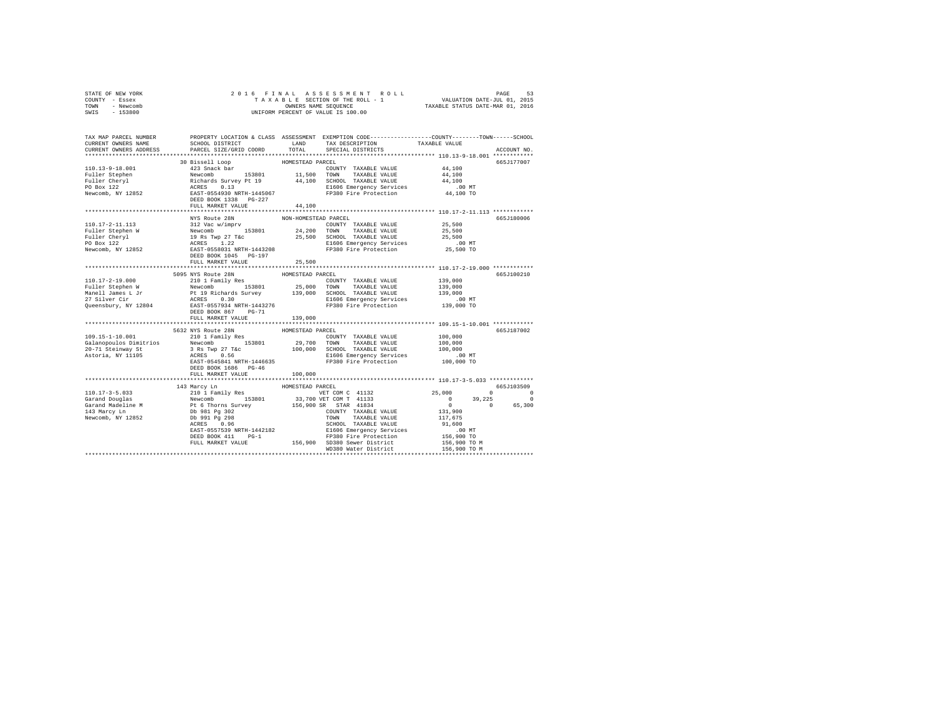| STATE OF NEW YORK<br>COUNTY - Essex |                                                                                                                                                                                                                                                                                                                                                                                                                                              |         |                                   |             |
|-------------------------------------|----------------------------------------------------------------------------------------------------------------------------------------------------------------------------------------------------------------------------------------------------------------------------------------------------------------------------------------------------------------------------------------------------------------------------------------------|---------|-----------------------------------|-------------|
| TOWN - Newcomb                      |                                                                                                                                                                                                                                                                                                                                                                                                                                              |         |                                   |             |
| SWIS - 153800                       |                                                                                                                                                                                                                                                                                                                                                                                                                                              |         |                                   |             |
|                                     |                                                                                                                                                                                                                                                                                                                                                                                                                                              |         |                                   |             |
|                                     |                                                                                                                                                                                                                                                                                                                                                                                                                                              |         |                                   |             |
|                                     |                                                                                                                                                                                                                                                                                                                                                                                                                                              |         |                                   |             |
|                                     | TAX MAP PARCEL NUMBER     PROPERTY LOCATION & CLASS ASSESSMENT EXEMPTION CODE--------------COUNTY-------TOWN------SCHOOL<br>CURRENT OWNERS NAME     SCHOOL DISTRICT     LAND   TAX DESCRIPTION     TAXABLE VALUE                                                                                                                                                                                                                             |         |                                   |             |
| CURRENT OWNERS ADDRESS              | PARCEL SIZE/GRID COORD                                                                                                                                                                                                                                                                                                                                                                                                                       | TOTAL   | SPECIAL DISTRICTS                 | ACCOUNT NO. |
|                                     |                                                                                                                                                                                                                                                                                                                                                                                                                                              |         |                                   |             |
|                                     |                                                                                                                                                                                                                                                                                                                                                                                                                                              |         |                                   | 665J177007  |
|                                     |                                                                                                                                                                                                                                                                                                                                                                                                                                              |         |                                   |             |
|                                     |                                                                                                                                                                                                                                                                                                                                                                                                                                              |         |                                   |             |
|                                     |                                                                                                                                                                                                                                                                                                                                                                                                                                              |         |                                   |             |
|                                     |                                                                                                                                                                                                                                                                                                                                                                                                                                              |         |                                   |             |
|                                     |                                                                                                                                                                                                                                                                                                                                                                                                                                              |         |                                   |             |
|                                     |                                                                                                                                                                                                                                                                                                                                                                                                                                              |         |                                   |             |
|                                     |                                                                                                                                                                                                                                                                                                                                                                                                                                              |         |                                   |             |
|                                     | $\begin{tabular}{l c c c c c} \hline 110.17-2-11.113 & \multicolumn{3}{c}{\texttt{NUS} Rulet 28N} & \multicolumn{3}{c}{\texttt{NNH-MMESTARD PARCH}} & \multicolumn{3}{c}{\texttt{PALIET}} & \multicolumn{3}{c}{\texttt{NON-HOMESTARD PARCH}} & \multicolumn{3}{c}{\texttt{NOLUET}} & \multicolumn{3}{c}{\texttt{24.200} & \multicolumn{3}{c}{\texttt{TANABLE VALUE}} & \multicolumn{3}{c}{\texttt{25.500}} \\ \hline \texttt{Fuller Stephen$ |         |                                   | 665J180006  |
|                                     |                                                                                                                                                                                                                                                                                                                                                                                                                                              |         |                                   |             |
|                                     |                                                                                                                                                                                                                                                                                                                                                                                                                                              |         |                                   |             |
|                                     |                                                                                                                                                                                                                                                                                                                                                                                                                                              |         |                                   |             |
|                                     |                                                                                                                                                                                                                                                                                                                                                                                                                                              |         |                                   |             |
|                                     |                                                                                                                                                                                                                                                                                                                                                                                                                                              |         |                                   |             |
|                                     |                                                                                                                                                                                                                                                                                                                                                                                                                                              |         |                                   |             |
|                                     | FULL MARKET VALUE                                                                                                                                                                                                                                                                                                                                                                                                                            | 25,500  |                                   |             |
|                                     |                                                                                                                                                                                                                                                                                                                                                                                                                                              |         |                                   |             |
|                                     | $\begin{tabular}{l c c c c c c c c} \hline & $5095$ WTS TED RDE & $5095$ WTS U10131$ & $100117-2-19$ & $100117-2-19$ & $100183$ & $100183$ & $100183$ & $100183$ & $100183$ & $100183$ \\ \hline \hline \end{tabular} \hline \begin{tabular}{l c c c c} \hline & $5095$ WTS U10111 & $2401$ & $100183$ & $100183$ & $10018$                                                                                                                  |         |                                   | 665J100210  |
|                                     |                                                                                                                                                                                                                                                                                                                                                                                                                                              |         |                                   |             |
|                                     |                                                                                                                                                                                                                                                                                                                                                                                                                                              |         |                                   |             |
|                                     |                                                                                                                                                                                                                                                                                                                                                                                                                                              |         |                                   |             |
|                                     |                                                                                                                                                                                                                                                                                                                                                                                                                                              |         |                                   |             |
|                                     |                                                                                                                                                                                                                                                                                                                                                                                                                                              |         |                                   |             |
|                                     |                                                                                                                                                                                                                                                                                                                                                                                                                                              |         |                                   |             |
|                                     | FULL MARKET VALUE                                                                                                                                                                                                                                                                                                                                                                                                                            | 139,000 |                                   |             |
|                                     |                                                                                                                                                                                                                                                                                                                                                                                                                                              |         |                                   |             |
|                                     |                                                                                                                                                                                                                                                                                                                                                                                                                                              |         |                                   | 665J187002  |
|                                     |                                                                                                                                                                                                                                                                                                                                                                                                                                              |         |                                   |             |
|                                     |                                                                                                                                                                                                                                                                                                                                                                                                                                              |         |                                   |             |
|                                     |                                                                                                                                                                                                                                                                                                                                                                                                                                              |         |                                   |             |
|                                     |                                                                                                                                                                                                                                                                                                                                                                                                                                              |         |                                   |             |
|                                     | DEED BOOK 1686 PG-46                                                                                                                                                                                                                                                                                                                                                                                                                         |         |                                   |             |
|                                     | FULL MARKET VALUE                                                                                                                                                                                                                                                                                                                                                                                                                            | 100,000 |                                   |             |
|                                     |                                                                                                                                                                                                                                                                                                                                                                                                                                              |         |                                   |             |
|                                     |                                                                                                                                                                                                                                                                                                                                                                                                                                              |         |                                   |             |
|                                     |                                                                                                                                                                                                                                                                                                                                                                                                                                              |         |                                   |             |
|                                     |                                                                                                                                                                                                                                                                                                                                                                                                                                              |         |                                   |             |
|                                     |                                                                                                                                                                                                                                                                                                                                                                                                                                              |         |                                   |             |
|                                     |                                                                                                                                                                                                                                                                                                                                                                                                                                              |         |                                   |             |
|                                     |                                                                                                                                                                                                                                                                                                                                                                                                                                              |         |                                   |             |
|                                     |                                                                                                                                                                                                                                                                                                                                                                                                                                              |         |                                   |             |
|                                     |                                                                                                                                                                                                                                                                                                                                                                                                                                              |         |                                   |             |
|                                     |                                                                                                                                                                                                                                                                                                                                                                                                                                              |         |                                   |             |
|                                     | 131 Marcy Line 1991 Research MAGESTERD PRACEL 110.17-3-5.033 (6657103509)<br>143 Marcy Line 100157832 (2011 Family Res<br>The Thorn Survey of the School of the School of the School of the School of the School of the School of                                                                                                                                                                                                            |         |                                   |             |
|                                     |                                                                                                                                                                                                                                                                                                                                                                                                                                              |         | WD380 Water District 156,900 TO M |             |
|                                     |                                                                                                                                                                                                                                                                                                                                                                                                                                              |         |                                   |             |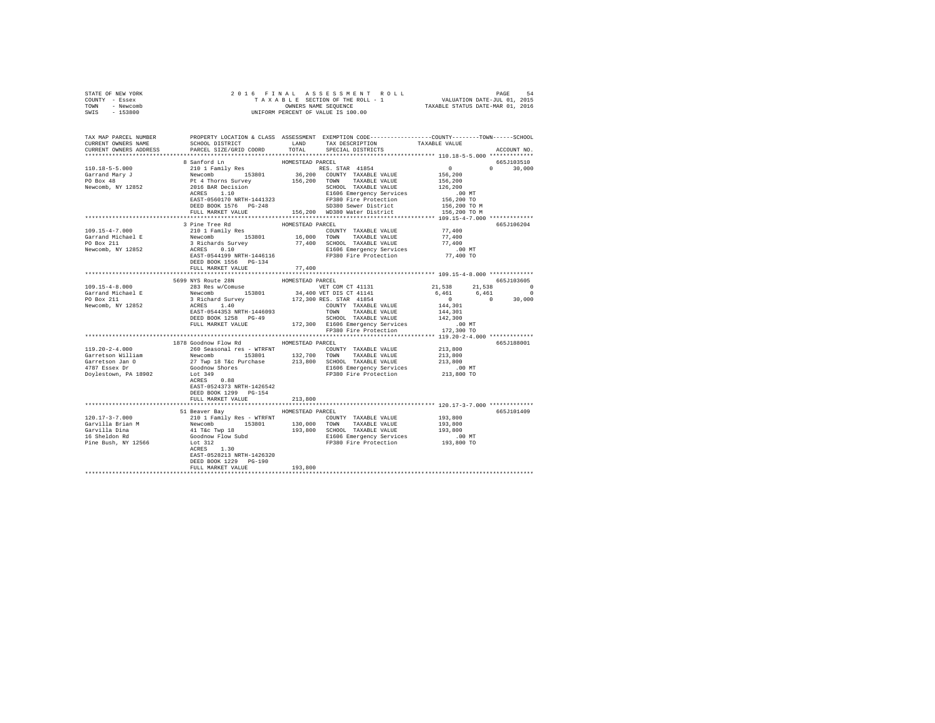| STATE OF NEW YORK<br>COUNTY - Essex<br>TOWN - Newcomb                                                                                                                                                                                                                                                                                                                                                             |                                                             |                  |                                                                                                                                                         |                                                                                                              |               |
|-------------------------------------------------------------------------------------------------------------------------------------------------------------------------------------------------------------------------------------------------------------------------------------------------------------------------------------------------------------------------------------------------------------------|-------------------------------------------------------------|------------------|---------------------------------------------------------------------------------------------------------------------------------------------------------|--------------------------------------------------------------------------------------------------------------|---------------|
| SWIS - 153800                                                                                                                                                                                                                                                                                                                                                                                                     |                                                             |                  |                                                                                                                                                         |                                                                                                              |               |
| TAX MAP PARCEL NUMBER PROPERTY LOCATION & CLASS ASSESSMENT EXEMPTION CODE---------------COUNTY-------TOWN------SCHOOL<br>CURRENT OWNERS NAME SCHOOL DISTRICT LAND TAX DESCRIPTION TAXABLE VALUE                                                                                                                                                                                                                   |                                                             |                  |                                                                                                                                                         |                                                                                                              |               |
| CURRENT OWNERS ADDRESS PARCEL SIZE/GRID COORD TOTAL SPECIAL DISTRICTS                                                                                                                                                                                                                                                                                                                                             |                                                             |                  |                                                                                                                                                         |                                                                                                              | ACCOUNT NO.   |
|                                                                                                                                                                                                                                                                                                                                                                                                                   |                                                             |                  |                                                                                                                                                         |                                                                                                              |               |
|                                                                                                                                                                                                                                                                                                                                                                                                                   | 8 Sanford Ln                                                | HOMESTEAD PARCEL |                                                                                                                                                         |                                                                                                              | 665J103510    |
|                                                                                                                                                                                                                                                                                                                                                                                                                   |                                                             |                  |                                                                                                                                                         |                                                                                                              | $0 \t 30,000$ |
|                                                                                                                                                                                                                                                                                                                                                                                                                   |                                                             |                  |                                                                                                                                                         |                                                                                                              |               |
|                                                                                                                                                                                                                                                                                                                                                                                                                   |                                                             |                  |                                                                                                                                                         |                                                                                                              |               |
|                                                                                                                                                                                                                                                                                                                                                                                                                   |                                                             |                  |                                                                                                                                                         |                                                                                                              |               |
|                                                                                                                                                                                                                                                                                                                                                                                                                   |                                                             |                  |                                                                                                                                                         |                                                                                                              |               |
|                                                                                                                                                                                                                                                                                                                                                                                                                   |                                                             |                  |                                                                                                                                                         |                                                                                                              |               |
|                                                                                                                                                                                                                                                                                                                                                                                                                   |                                                             |                  |                                                                                                                                                         |                                                                                                              |               |
|                                                                                                                                                                                                                                                                                                                                                                                                                   |                                                             |                  |                                                                                                                                                         |                                                                                                              |               |
|                                                                                                                                                                                                                                                                                                                                                                                                                   | $3 \text{ }\texttt{line Tree Rd} \texttt{HOMESTEAD PARCEL}$ |                  |                                                                                                                                                         |                                                                                                              | 665J106204    |
| $109.15 - 4 - 7.000$                                                                                                                                                                                                                                                                                                                                                                                              | 210 1 Family Res                                            |                  | COUNTY TAXABLE VALUE                                                                                                                                    | 77,400                                                                                                       |               |
|                                                                                                                                                                                                                                                                                                                                                                                                                   |                                                             |                  |                                                                                                                                                         | 77,400                                                                                                       |               |
|                                                                                                                                                                                                                                                                                                                                                                                                                   |                                                             |                  |                                                                                                                                                         | 77,400                                                                                                       |               |
|                                                                                                                                                                                                                                                                                                                                                                                                                   |                                                             |                  |                                                                                                                                                         | .00 MT<br>77,400 TO                                                                                          |               |
|                                                                                                                                                                                                                                                                                                                                                                                                                   |                                                             |                  |                                                                                                                                                         |                                                                                                              |               |
|                                                                                                                                                                                                                                                                                                                                                                                                                   | DEED BOOK 1556 PG-134                                       |                  |                                                                                                                                                         |                                                                                                              |               |
| $\begin{tabular}{l c c c c c} \hline \texttt{109.15-4-8.000} & \texttt{5699 NS} & \texttt{ROWESTFAD} & \texttt{HOMESTFAD} & \texttt{RORET} & \texttt{RORISTFAD} & \texttt{PACSE} \\[1mm] \hline \texttt{109.15-4-8.000} & \texttt{599 NS} & \texttt{ROU} & \texttt{HOMESTFAD} & \texttt{WET COM CT 41131} & \texttt{21,538} & \texttt{21,538} \\[1mm] \hline \texttt{Garrand Michael E} & \texttt$                | FULL MARKET VALUE 77,400                                    |                  |                                                                                                                                                         |                                                                                                              |               |
|                                                                                                                                                                                                                                                                                                                                                                                                                   |                                                             |                  |                                                                                                                                                         |                                                                                                              | 665J103605    |
|                                                                                                                                                                                                                                                                                                                                                                                                                   |                                                             |                  |                                                                                                                                                         | 21,538 21,538 0                                                                                              |               |
|                                                                                                                                                                                                                                                                                                                                                                                                                   |                                                             |                  |                                                                                                                                                         |                                                                                                              |               |
|                                                                                                                                                                                                                                                                                                                                                                                                                   |                                                             |                  |                                                                                                                                                         | $\begin{array}{cccc} 6,461 & 61,330 & 0 \\ 6,461 & 6,461 & 0 \\ 0 & 0 & 30,000 \\ 144,301 & & & \end{array}$ |               |
|                                                                                                                                                                                                                                                                                                                                                                                                                   |                                                             |                  |                                                                                                                                                         |                                                                                                              |               |
|                                                                                                                                                                                                                                                                                                                                                                                                                   |                                                             |                  |                                                                                                                                                         |                                                                                                              |               |
|                                                                                                                                                                                                                                                                                                                                                                                                                   |                                                             |                  |                                                                                                                                                         |                                                                                                              |               |
|                                                                                                                                                                                                                                                                                                                                                                                                                   |                                                             |                  |                                                                                                                                                         |                                                                                                              |               |
|                                                                                                                                                                                                                                                                                                                                                                                                                   |                                                             |                  |                                                                                                                                                         |                                                                                                              |               |
|                                                                                                                                                                                                                                                                                                                                                                                                                   | 1878 Goodnow Flow Rd MOMESTEAD PARCEL                       |                  |                                                                                                                                                         | 665J188001                                                                                                   |               |
| $119.20 - 2 - 4.000$                                                                                                                                                                                                                                                                                                                                                                                              |                                                             |                  |                                                                                                                                                         |                                                                                                              |               |
|                                                                                                                                                                                                                                                                                                                                                                                                                   |                                                             |                  |                                                                                                                                                         |                                                                                                              |               |
|                                                                                                                                                                                                                                                                                                                                                                                                                   |                                                             |                  | 260 Seasonal res – WTRFNT<br>Newcomb 1 153601 1937, 132,700 TOWN TAXABLE VALUE 213,800<br>27 Twp 18 T&c Purchase 213,800 SCHOOL TAXABLE VALUE 213,800 1 |                                                                                                              |               |
| Garretson William<br>Garretson Jan O<br>4787 Essex Dr                                                                                                                                                                                                                                                                                                                                                             | Goodnow Shores<br>Lot 349                                   |                  | E1606 Emergency Services 6 00 MT<br>FP380 Fire Protection 213,800 TO                                                                                    | $.00$ MT                                                                                                     |               |
| Doylestown, PA 18902                                                                                                                                                                                                                                                                                                                                                                                              | Lot 349                                                     |                  |                                                                                                                                                         |                                                                                                              |               |
|                                                                                                                                                                                                                                                                                                                                                                                                                   | ACRES 0.88                                                  |                  |                                                                                                                                                         |                                                                                                              |               |
|                                                                                                                                                                                                                                                                                                                                                                                                                   | EAST-0524373 NRTH-1426542                                   |                  |                                                                                                                                                         |                                                                                                              |               |
|                                                                                                                                                                                                                                                                                                                                                                                                                   | DEED BOOK 1299 PG-154                                       |                  |                                                                                                                                                         |                                                                                                              |               |
|                                                                                                                                                                                                                                                                                                                                                                                                                   | FULL MARKET VALUE                                           | 213,800          |                                                                                                                                                         |                                                                                                              |               |
|                                                                                                                                                                                                                                                                                                                                                                                                                   | 51 Beaver Bay MOMESTEAD PARCEL                              |                  |                                                                                                                                                         |                                                                                                              | 665J101409    |
| $[120.17-3-7.000] \begin{minipage}{0.13cm} \begin{minipage}{0.13cm} \text{130,000} & \text{15cm} \end{minipage} & \text{WIREY} & \text{COMITY} & \text{TAXABLE VALUE} & \text{193,800} \\ \text{Gavvilla Dina} & \text{Newcomb} & \text{153801} & \text{130,000} & \text{TANABLE VALUE} & \text{193,800} \\ \text{Gavvilla Dina} & \text{Newcomb} & \text{193,800} & \text{STNOL TAXABLE VALUE} & \text{193,800}$ |                                                             |                  |                                                                                                                                                         |                                                                                                              |               |
|                                                                                                                                                                                                                                                                                                                                                                                                                   |                                                             |                  |                                                                                                                                                         |                                                                                                              |               |
|                                                                                                                                                                                                                                                                                                                                                                                                                   |                                                             |                  |                                                                                                                                                         |                                                                                                              |               |
|                                                                                                                                                                                                                                                                                                                                                                                                                   |                                                             |                  |                                                                                                                                                         |                                                                                                              |               |
|                                                                                                                                                                                                                                                                                                                                                                                                                   |                                                             |                  |                                                                                                                                                         |                                                                                                              |               |
|                                                                                                                                                                                                                                                                                                                                                                                                                   |                                                             |                  |                                                                                                                                                         |                                                                                                              |               |
|                                                                                                                                                                                                                                                                                                                                                                                                                   | EAST-0528213 NRTH-1426320<br>DEED BOOK 1229 PG-190          |                  |                                                                                                                                                         |                                                                                                              |               |
|                                                                                                                                                                                                                                                                                                                                                                                                                   | FULL MARKET VALUE                                           | 193,800          |                                                                                                                                                         |                                                                                                              |               |
|                                                                                                                                                                                                                                                                                                                                                                                                                   |                                                             |                  |                                                                                                                                                         |                                                                                                              |               |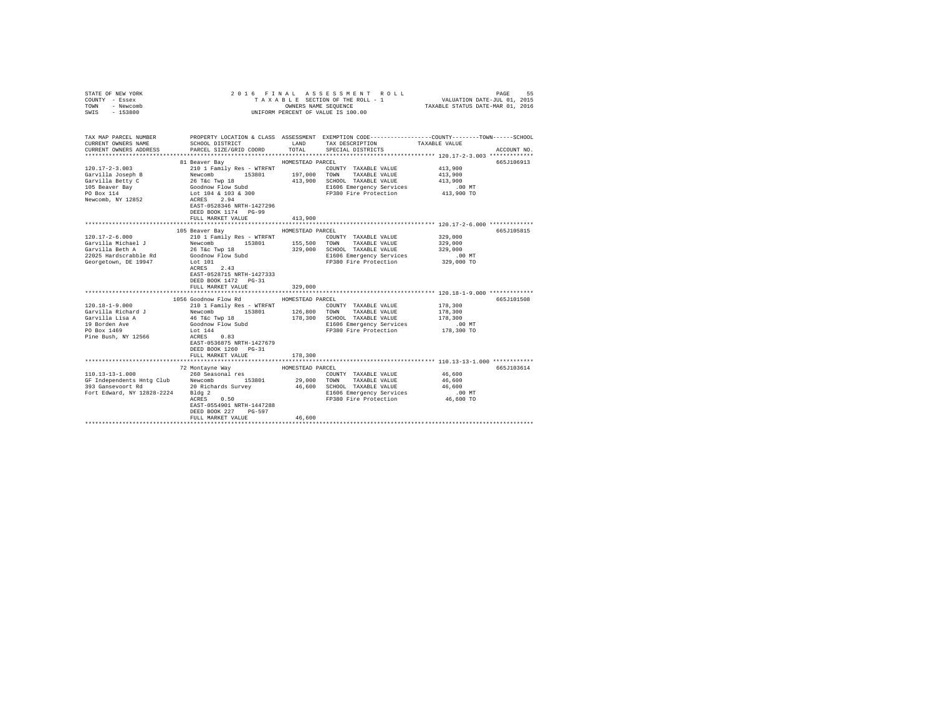| STATE OF NEW YORK<br>COUNTY - Essex<br>TOWN - Newcomb<br>SWIS - 153800                      |                                                                                                 |                  | 2016 FINAL ASSESSMENT ROLL<br>TAXABLE SECTION OF THE ROLL - 1<br>OWNERS NAME SEQUENCE<br>UNIFORM PERCENT OF VALUE IS 100.00 | VALUATION DATE-JUL 01, 2015<br>TAXABLE STATUS DATE-MAR 01, 2016 | PAGE<br>55  |
|---------------------------------------------------------------------------------------------|-------------------------------------------------------------------------------------------------|------------------|-----------------------------------------------------------------------------------------------------------------------------|-----------------------------------------------------------------|-------------|
| TAX MAP PARCEL NUMBER                                                                       |                                                                                                 |                  | PROPERTY LOCATION & CLASS ASSESSMENT EXEMPTION CODE---------------COUNTY-------TOWN------SCHOOL                             |                                                                 |             |
| CURRENT OWNERS NAME                                                                         | SCHOOL DISTRICT<br>PARCEL SIZE/GRID COORD                                                       | LAND<br>TOTAL    | TAX DESCRIPTION                                                                                                             | TAXABLE VALUE                                                   | ACCOUNT NO. |
| CURRENT OWNERS ADDRESS                                                                      |                                                                                                 |                  | SPECIAL DISTRICTS                                                                                                           |                                                                 |             |
|                                                                                             | 81 Beaver Bay                                                                                   | HOMESTEAD PARCEL |                                                                                                                             |                                                                 | 665J106913  |
| $120.17 - 2 - 3.003$                                                                        | 210 1 Family Res - WTRFNT                                                                       |                  | COUNTY TAXABLE VALUE                                                                                                        | 413,900                                                         |             |
| Garvilla Joseph B                                                                           |                                                                                                 |                  | TAXABLE VALUE                                                                                                               | 413,900                                                         |             |
| Garvilla Betty C                                                                            |                                                                                                 |                  | 413,900 SCHOOL TAXABLE VALUE                                                                                                | 413,900                                                         |             |
| 105 Beaver Bay                                                                              |                                                                                                 |                  | E1606 Emergency Services                                                                                                    | $.00$ MT                                                        |             |
| PO Box 114                                                                                  |                                                                                                 |                  | FP380 Fire Protection                                                                                                       | 413,900 TO                                                      |             |
| Newcomb, NY 12852                                                                           | ACRES 2.94<br>EAST-0528346 NRTH-1427296<br>DEED BOOK 1174 PG-99<br>FULL MARKET VALUE            | 413,900          |                                                                                                                             |                                                                 |             |
|                                                                                             |                                                                                                 |                  |                                                                                                                             |                                                                 |             |
|                                                                                             | 105 Beaver Bay                                                                                  | HOMESTEAD PARCEL |                                                                                                                             |                                                                 | 665J105815  |
| $120.17 - 2 - 6.000$                                                                        | 210 1 Family Res - WTRFNT                                                                       |                  | COUNTY TAXABLE VALUE                                                                                                        | 329,000                                                         |             |
| Garvilla Michael J                                                                          |                                                                                                 |                  | 153801 155,500 TOWN TAXABLE VALUE                                                                                           | 329,000                                                         |             |
| Garvilla Beth A                                                                             |                                                                                                 |                  | 329,000 SCHOOL TAXABLE VALUE<br>E1606 Emergency Services                                                                    | 329,000                                                         |             |
| 22025 Hardscrabble Rd                                                                       | Newcomb 153801<br>26 T&c Twp 18<br>Goodnow Flow Subd                                            |                  |                                                                                                                             | .00 MT                                                          |             |
| Georgetown, DE 19947                                                                        | Lot 101<br>ACRES 2.43<br>EAST-0528715 NRTH-1427333<br>DEED BOOK 1472 PG-31<br>FULL MARKET VALUE | 329,000          | FP380 Fire Protection                                                                                                       | 329,000 TO                                                      |             |
|                                                                                             |                                                                                                 |                  |                                                                                                                             |                                                                 |             |
|                                                                                             | 1056 Goodnow Flow Rd                                                                            | HOMESTEAD PARCEL |                                                                                                                             |                                                                 | 665J101508  |
| $120.18 - 1 - 9.000$                                                                        | 210 1 Family Res - WTRFNT                                                                       |                  | COUNTY TAXABLE VALUE                                                                                                        | 178,300                                                         |             |
| Garvilla Richard J                                                                          | Newcomb 153801 126,800                                                                          |                  | TOWN TAXABLE VALUE                                                                                                          | 178,300                                                         |             |
| Garvilla Lisa A                                                                             | 46 T&c Twp 18                                                                                   |                  | 178,300 SCHOOL TAXABLE VALUE                                                                                                | 178,300                                                         |             |
| 19 Borden Ave                                                                               | Goodnow Flow Subd                                                                               |                  | E1606 Emergency Services                                                                                                    | $.00$ MT                                                        |             |
| PO Box 1469                                                                                 | Lot 144                                                                                         |                  | FP380 Fire Protection 178,300 TO                                                                                            |                                                                 |             |
| Pine Bush, NY 12566                                                                         | ACRES 0.83<br>EAST-0536875 NRTH-1427679<br>DEED BOOK 1260 PG-31<br>FULL MARKET VALUE            | 178,300          |                                                                                                                             |                                                                 |             |
|                                                                                             |                                                                                                 |                  | ***************************** 110.13-13-1.000 ************                                                                  |                                                                 |             |
|                                                                                             | 72 Montayne Way                                                                                 | HOMESTEAD PARCEL |                                                                                                                             |                                                                 | 665J103614  |
| $110.13 - 13 - 1.000$                                                                       | 260 Seasonal res                                                                                |                  | COUNTY TAXABLE VALUE                                                                                                        | 46,600                                                          |             |
| 110.13-13.1000<br>GF Independents Hntg Club Newcomb<br>393 Gansevoort Rd 20 Richards Survey |                                                                                                 |                  | 153801  29,000 TOWN TAXABLE VALUE                                                                                           | 46,600                                                          |             |
|                                                                                             |                                                                                                 |                  | 46,600 SCHOOL TAXABLE VALUE                                                                                                 | 46,600                                                          |             |
| Fort Edward, NY 12828-2224 Bldg 2                                                           | 0.50                                                                                            |                  | E1606 Emergency Services                                                                                                    | $.00$ MT                                                        |             |
|                                                                                             | ACRES<br>EAST-0554901 NRTH-1447288<br>DEED BOOK 227 PG-597                                      |                  | FP380 Fire Protection                                                                                                       | 46,600 TO                                                       |             |
|                                                                                             | FULL MARKET VALUE                                                                               | 46,600           |                                                                                                                             |                                                                 |             |
|                                                                                             |                                                                                                 |                  |                                                                                                                             |                                                                 |             |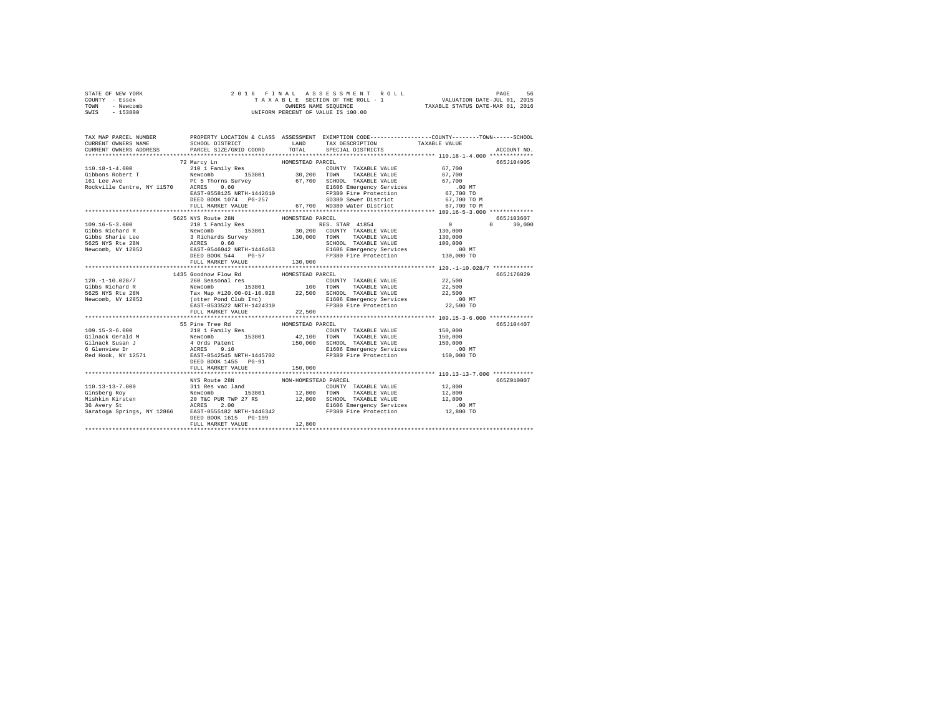|                | STATE OF NEW YORK |  |  | 2016 FINAL ASSESSMENT ROLL         |  | PAGE                             | -56 |
|----------------|-------------------|--|--|------------------------------------|--|----------------------------------|-----|
| COUNTY - Essex |                   |  |  | TAXABLE SECTION OF THE ROLL - 1    |  | VALUATION DATE-JUL 01, 2015      |     |
| TOWN           | - Newcomb         |  |  | OWNERS NAME SEOUENCE               |  | TAXABLE STATUS DATE-MAR 01, 2016 |     |
| SWIS           | - 153800          |  |  | UNIFORM PERCENT OF VALUE IS 100.00 |  |                                  |     |

| TAX MAP PARCEL NUMBER<br>CURRENT OWNERS NAME<br>CURRENT OWNERS ADDRESS PARCEL SIZE/GRID COORD                                                                                                                                                                                                                                                                                                                                                              | PROPERTY LOCATION & CLASS ASSESSMENT EXEMPTION CODE----------------COUNTY-------TOWN-----SCHOOL | TOTAL                       | SPECIAL DISTRICTS    |        | ACCOUNT NO.                                   |
|------------------------------------------------------------------------------------------------------------------------------------------------------------------------------------------------------------------------------------------------------------------------------------------------------------------------------------------------------------------------------------------------------------------------------------------------------------|-------------------------------------------------------------------------------------------------|-----------------------------|----------------------|--------|-----------------------------------------------|
| $\begin{tabular}{ccccc} 110.18-1-4.000 & 72 Mary Ln & HOMESTED PARCH & 110.18-1-4.000 & 210 11 family Res & 67,700 & 200 11 family Res & 67,700 & 200 11 family Res & 67,700 & 200 11 family Res & 67,700 & 200 11 family Res & 67,700 & 67,700 & 67,700 & 67,700 & 67,700 & 67,700 & 67,700 & 67,700 & 67,700 & 67,700 & 67,$                                                                                                                             |                                                                                                 |                             |                      |        | 665J104905                                    |
|                                                                                                                                                                                                                                                                                                                                                                                                                                                            | 5625 NYS Route 28N HOMESTEAD PARCEL<br>FULL MARKET VALUE 130,000                                |                             |                      |        | 665J103607<br>$\Omega$ and $\Omega$<br>30,000 |
| 120.-1-10.028/7<br>$\begin{tabular}{lllllllllllll} \multicolumn{2}{c}{\textbf{G1b5}} & \multicolumn{2}{c}{\textbf{G2b5}} & \multicolumn{2}{c}{\textbf{G2b5}} & \multicolumn{2}{c}{\textbf{G3b5}} & \multicolumn{2}{c}{\textbf{G1b5}} & \multicolumn{2}{c}{\textbf{G2b5}} & \multicolumn{2}{c}{\textbf{G2b5}} & \multicolumn{2}{c}{\textbf{G2b5}} & \multicolumn{2}{c}{\textbf{G3b5}} & \multicolumn{2}{c}{\textbf{G2b5}} & \multicolumn{2}{c}{\textbf{G3b$ | 1435 Goodnow Flow Rd MOMESTEAD PARCEL<br>260 Seasonal res                                       |                             | COUNTY TAXABLE VALUE | 22,500 | 665J176029                                    |
|                                                                                                                                                                                                                                                                                                                                                                                                                                                            | 55 Pine Tree Rd<br>FULL MARKET VALUE                                                            | HOMESTEAD PARCEL<br>150,000 |                      |        | 665J104407                                    |
|                                                                                                                                                                                                                                                                                                                                                                                                                                                            | NYS Route 28N MON-HOMESTEAD PARCEL<br>DEED BOOK 1615 PG-199<br>FULL MARKET VALUE                | 12,800                      |                      |        | 665Z010007                                    |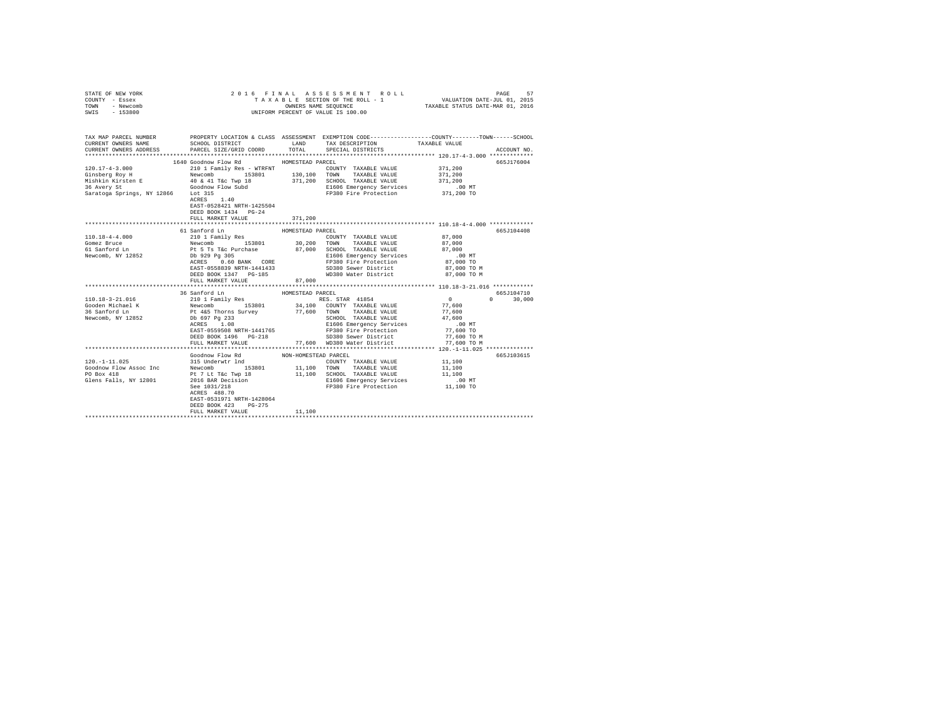| STATE OF NEW YORK<br>COUNTY - Essex<br>TOWN - Newcomb<br>SWIS - 153800                                                                                                                                                                                                                                                                                                                         |                                                                                                                                                                                                                                                |                      | 2016 FINAL ASSESSMENT ROLL<br>TAXABLE SECTION OF THE ROLL - 1<br>OWNERS NAME SEQUENCE<br>UNIFORM PERCENT OF VALUE IS 100.00 | VALUATION DATE-JUL 01, 2015<br>TAXABLE STATUS DATE-MAR 01, 2016 | PAGE<br>57    |
|------------------------------------------------------------------------------------------------------------------------------------------------------------------------------------------------------------------------------------------------------------------------------------------------------------------------------------------------------------------------------------------------|------------------------------------------------------------------------------------------------------------------------------------------------------------------------------------------------------------------------------------------------|----------------------|-----------------------------------------------------------------------------------------------------------------------------|-----------------------------------------------------------------|---------------|
|                                                                                                                                                                                                                                                                                                                                                                                                |                                                                                                                                                                                                                                                |                      |                                                                                                                             |                                                                 |               |
| TAX MAP PARCEL NUMBER PROPERTY LOCATION & CLASS ASSESSMENT EXEMPTION CODE---------------COUNTY-------TOWN-----SCHOOL<br>CURRENT OWNERS NAME                                                                                                                                                                                                                                                    | SCHOOL DISTRICT TAND TAX DESCRIPTION                                                                                                                                                                                                           |                      |                                                                                                                             | TAXABLE VALUE                                                   |               |
| CURRENT OWNERS ADDRESS PARCEL SIZE/GRID COORD TOTAL SPECIAL DISTRICTS                                                                                                                                                                                                                                                                                                                          |                                                                                                                                                                                                                                                |                      |                                                                                                                             |                                                                 | ACCOUNT NO.   |
|                                                                                                                                                                                                                                                                                                                                                                                                |                                                                                                                                                                                                                                                |                      |                                                                                                                             |                                                                 |               |
| $\begin{tabular}{l c c c c c c c c} \multicolumn{2}{c c c c} \multicolumn{2}{c c c c} \multicolumn{2}{c c c} \multicolumn{2}{c c c} \multicolumn{2}{c c c} \multicolumn{2}{c c c} \multicolumn{2}{c c c} \multicolumn{2}{c c c} \multicolumn{2}{c c c} \multicolumn{2}{c c c} \multicolumn{2}{c c c} \multicolumn{2}{c c c} \multicolumn{2}{c c c} \multicolumn{2}{c c c} \multicolumn{2}{c c$ |                                                                                                                                                                                                                                                |                      | COUNTY TAXABLE VALUE                                                                                                        | 371,200                                                         | 665J176004    |
|                                                                                                                                                                                                                                                                                                                                                                                                |                                                                                                                                                                                                                                                |                      |                                                                                                                             | 371,200                                                         |               |
|                                                                                                                                                                                                                                                                                                                                                                                                |                                                                                                                                                                                                                                                |                      |                                                                                                                             | 371,200                                                         |               |
|                                                                                                                                                                                                                                                                                                                                                                                                |                                                                                                                                                                                                                                                |                      |                                                                                                                             |                                                                 |               |
|                                                                                                                                                                                                                                                                                                                                                                                                |                                                                                                                                                                                                                                                |                      | E1606 Emergency Services .00 MT<br>FP380 Fire Protection 371,200 TO                                                         |                                                                 |               |
|                                                                                                                                                                                                                                                                                                                                                                                                | $ACRES$ 1.40                                                                                                                                                                                                                                   |                      |                                                                                                                             |                                                                 |               |
|                                                                                                                                                                                                                                                                                                                                                                                                | EAST-0528421 NRTH-1425504                                                                                                                                                                                                                      |                      |                                                                                                                             |                                                                 |               |
|                                                                                                                                                                                                                                                                                                                                                                                                | DEED BOOK 1434 PG-24                                                                                                                                                                                                                           |                      |                                                                                                                             |                                                                 |               |
|                                                                                                                                                                                                                                                                                                                                                                                                | FULL MARKET VALUE                                                                                                                                                                                                                              | 371,200              |                                                                                                                             |                                                                 |               |
|                                                                                                                                                                                                                                                                                                                                                                                                |                                                                                                                                                                                                                                                |                      |                                                                                                                             |                                                                 |               |
|                                                                                                                                                                                                                                                                                                                                                                                                | 61 Sanford Ln                                                                                                                                                                                                                                  | HOMESTEAD PARCEL     |                                                                                                                             |                                                                 | 665J104408    |
|                                                                                                                                                                                                                                                                                                                                                                                                |                                                                                                                                                                                                                                                |                      |                                                                                                                             | 87,000<br>87,000                                                |               |
|                                                                                                                                                                                                                                                                                                                                                                                                |                                                                                                                                                                                                                                                |                      | 87,000 SCHOOL TAXABLE VALUE                                                                                                 | 87,000                                                          |               |
|                                                                                                                                                                                                                                                                                                                                                                                                |                                                                                                                                                                                                                                                |                      | E1606 Emergency Services                                                                                                    | .00 MT                                                          |               |
|                                                                                                                                                                                                                                                                                                                                                                                                |                                                                                                                                                                                                                                                |                      | FP380 Fire Protection                                                                                                       | 87,000 TO                                                       |               |
|                                                                                                                                                                                                                                                                                                                                                                                                |                                                                                                                                                                                                                                                |                      |                                                                                                                             | 87.000 TO M                                                     |               |
|                                                                                                                                                                                                                                                                                                                                                                                                |                                                                                                                                                                                                                                                |                      |                                                                                                                             | 87,000 TO M                                                     |               |
|                                                                                                                                                                                                                                                                                                                                                                                                | FULL MARKET VALUE                                                                                                                                                                                                                              | 87,000               |                                                                                                                             |                                                                 |               |
|                                                                                                                                                                                                                                                                                                                                                                                                |                                                                                                                                                                                                                                                |                      |                                                                                                                             |                                                                 |               |
|                                                                                                                                                                                                                                                                                                                                                                                                | 36 Sanford Ln                                                                                                                                                                                                                                  | HOMESTEAD PARCEL     |                                                                                                                             |                                                                 | 665J104710    |
| 110.18-3-21.016                                                                                                                                                                                                                                                                                                                                                                                | 210 1 Family Res (1998)<br>Mexomb 1980 1885. STAR 41854<br>Newcomb 153801 34,100 COUNTY TAXABLE VALUE<br>Dr. 697 Pg 233<br>Pt 445 Thorns Survey 77,600 TOWN TAXABLE VALUE<br>Dr. 697 Pg 233<br>SLEGOD TAXABLE VALUE<br>DR. 697 Pg 233<br>SLEGO |                      |                                                                                                                             | $\sim$ 0 $\sim$ 0<br>77,600                                     | $0 \t 30.000$ |
| Gooden Michael K<br>36 Sanford Ln                                                                                                                                                                                                                                                                                                                                                              |                                                                                                                                                                                                                                                |                      |                                                                                                                             |                                                                 |               |
| Newcomb, NY 12852                                                                                                                                                                                                                                                                                                                                                                              |                                                                                                                                                                                                                                                |                      |                                                                                                                             | 77,600<br>47,600                                                |               |
|                                                                                                                                                                                                                                                                                                                                                                                                |                                                                                                                                                                                                                                                |                      | SCHOOL TAXABLE VALUE<br>E1606 Emergency Services                                                                            | .00MT                                                           |               |
|                                                                                                                                                                                                                                                                                                                                                                                                | ACRES 1.08<br>EAST-0559508 NRTH-1441765                                                                                                                                                                                                        |                      | FP380 Fire Protection                                                                                                       | 77,600 TO                                                       |               |
|                                                                                                                                                                                                                                                                                                                                                                                                | DEED BOOK 1496 PG-218                                                                                                                                                                                                                          |                      | SD380 Sewer District                                                                                                        | 77.600 TO M                                                     |               |
|                                                                                                                                                                                                                                                                                                                                                                                                |                                                                                                                                                                                                                                                |                      | FULL MARKET VALUE 77,600 WD380 Water District                                                                               | 77,600 TO M                                                     |               |
|                                                                                                                                                                                                                                                                                                                                                                                                |                                                                                                                                                                                                                                                |                      |                                                                                                                             |                                                                 |               |
|                                                                                                                                                                                                                                                                                                                                                                                                | Goodnow Flow Rd                                                                                                                                                                                                                                | NON-HOMESTEAD PARCEL |                                                                                                                             |                                                                 | 665J103615    |
| 120. -1-11.025                                                                                                                                                                                                                                                                                                                                                                                 |                                                                                                                                                                                                                                                |                      | $\texttt{COUNTY} \quad \texttt{TXABLE} \quad \texttt{VALUE} \qquad \qquad 11\, , 100$                                       |                                                                 |               |
| Goodnow Flow Assoc Inc                                                                                                                                                                                                                                                                                                                                                                         |                                                                                                                                                                                                                                                |                      |                                                                                                                             | 11,100                                                          |               |
| PO Box 418                                                                                                                                                                                                                                                                                                                                                                                     |                                                                                                                                                                                                                                                |                      |                                                                                                                             | 11,100                                                          |               |
| Glens Falls, NY 12801                                                                                                                                                                                                                                                                                                                                                                          |                                                                                                                                                                                                                                                |                      | El606 Emergency Services .00 MT<br>FP380 Fire Protection 11,100 TO                                                          |                                                                 |               |
|                                                                                                                                                                                                                                                                                                                                                                                                | See 1031/218<br>ACRES 488.70                                                                                                                                                                                                                   |                      |                                                                                                                             |                                                                 |               |
|                                                                                                                                                                                                                                                                                                                                                                                                | EAST-0531971 NRTH-1428064                                                                                                                                                                                                                      |                      |                                                                                                                             |                                                                 |               |
|                                                                                                                                                                                                                                                                                                                                                                                                | DEED BOOK 423 PG-275                                                                                                                                                                                                                           |                      |                                                                                                                             |                                                                 |               |
|                                                                                                                                                                                                                                                                                                                                                                                                | FULL MARKET VALUE                                                                                                                                                                                                                              | 11,100               |                                                                                                                             |                                                                 |               |
|                                                                                                                                                                                                                                                                                                                                                                                                |                                                                                                                                                                                                                                                |                      |                                                                                                                             |                                                                 |               |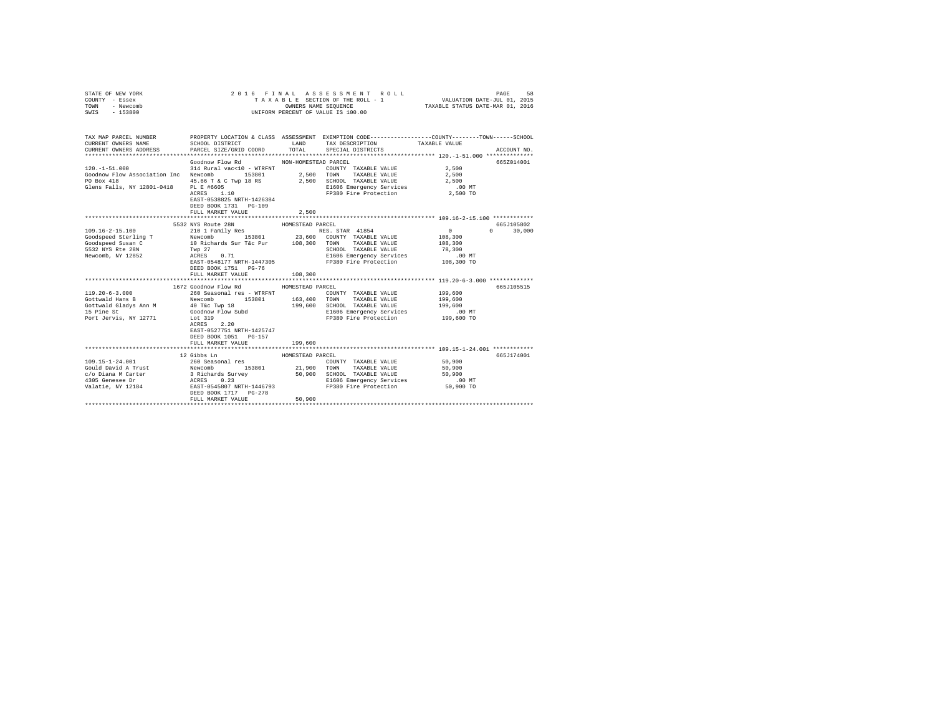| STATE OF NEW YORK<br>COUNTY - Essex<br>TOWN<br>- Newcomb<br>SWIS - 153800                                                                                                                                                                                                                                                                                                        |                                                    |                  | 2016 FINAL ASSESSMENT ROLL<br>UNIFORM PERCENT OF VALUE IS 100.00                             |                 |              |
|----------------------------------------------------------------------------------------------------------------------------------------------------------------------------------------------------------------------------------------------------------------------------------------------------------------------------------------------------------------------------------|----------------------------------------------------|------------------|----------------------------------------------------------------------------------------------|-----------------|--------------|
| TAX MAP PARCEL NUMBER PROPERTY LOCATION & CLASS ASSESSMENT EXEMPTION CODE--------------COUNTY-------TOWN------SCHOOL<br>CURRENT OWNERS NAME                                                                                                                                                                                                                                      | SCHOOL DISTRICT                                    |                  | LAND TAX DESCRIPTION                                                                         | TAXABLE VALUE   |              |
| CURRENT OWNERS ADDRESS                                                                                                                                                                                                                                                                                                                                                           | PARCEL SIZE/GRID COORD TOTAL SPECIAL DISTRICTS     |                  |                                                                                              |                 | ACCOUNT NO.  |
|                                                                                                                                                                                                                                                                                                                                                                                  |                                                    |                  |                                                                                              |                 | 6657014001   |
|                                                                                                                                                                                                                                                                                                                                                                                  | Goodnow Flow Rd MON-HOMESTEAD PARCEL               |                  | COUNTY TAXABLE VALUE                                                                         | 2,500           |              |
| $\begin{tabular}{lllllllll} 120.-1-51.000 & 314~Rural vac<10~-~WTRENT \\ \textbf{Goodnow Flow Association Inc} & Newcomb & 153801 & 2,500 \\ \end{tabular}$                                                                                                                                                                                                                      |                                                    |                  | 2,500 TOWN TAXABLE VALUE                                                                     | 2,500           |              |
| PO Box 418                                                                                                                                                                                                                                                                                                                                                                       |                                                    |                  | 45.66 T & C Twp 18 RS 2,500 SCHOOL TAXABLE VALUE                                             | 2,500           |              |
| Glens Falls, NY 12801-0418 PL E #6605                                                                                                                                                                                                                                                                                                                                            |                                                    |                  | E1606 Emergency Services                                                                     | 2,500<br>.00 MT |              |
|                                                                                                                                                                                                                                                                                                                                                                                  | PL E #6605<br>ACRES 1.10                           |                  | FP380 Fire Protection 2,500 TO                                                               |                 |              |
|                                                                                                                                                                                                                                                                                                                                                                                  | EAST-0538825 NRTH-1426384<br>DEED BOOK 1731 PG-109 |                  |                                                                                              |                 |              |
|                                                                                                                                                                                                                                                                                                                                                                                  | FULL MARKET VALUE                                  | 2.500            |                                                                                              |                 |              |
|                                                                                                                                                                                                                                                                                                                                                                                  | 5532 NYS Route 28N                                 | HOMESTEAD PARCEL |                                                                                              |                 | 665J105802   |
| $109.16 - 2 - 15.100$                                                                                                                                                                                                                                                                                                                                                            | 210 1 Family Res                                   |                  | RES. STAR 41854                                                                              | $\sim$ 0        | $0 \t30,000$ |
|                                                                                                                                                                                                                                                                                                                                                                                  |                                                    |                  |                                                                                              |                 |              |
|                                                                                                                                                                                                                                                                                                                                                                                  |                                                    |                  |                                                                                              |                 |              |
|                                                                                                                                                                                                                                                                                                                                                                                  |                                                    |                  |                                                                                              |                 |              |
|                                                                                                                                                                                                                                                                                                                                                                                  |                                                    |                  |                                                                                              |                 |              |
| Condeped Sterling Transformation of the services of the services of the services of the services of the services of the services of the services of the services of the services of the services of the services of the servic                                                                                                                                                   |                                                    |                  |                                                                                              |                 |              |
|                                                                                                                                                                                                                                                                                                                                                                                  | DEED BOOK 1751 PG-76                               |                  |                                                                                              |                 |              |
|                                                                                                                                                                                                                                                                                                                                                                                  | FULL MARKET VALUE                                  | 108,300          |                                                                                              |                 |              |
|                                                                                                                                                                                                                                                                                                                                                                                  |                                                    |                  |                                                                                              |                 |              |
|                                                                                                                                                                                                                                                                                                                                                                                  | 1672 Goodnow Flow Rd                               | HOMESTEAD PARCEL |                                                                                              |                 | 665J105515   |
|                                                                                                                                                                                                                                                                                                                                                                                  |                                                    |                  | COUNTY TAXABLE VALUE                                                                         | 199,600         |              |
|                                                                                                                                                                                                                                                                                                                                                                                  |                                                    |                  | UNAI LES - WINNIE<br>153801 163,400 TOWN TAXABLE VALUE<br>WP 18 199,600 SCHOOL TAXABLE VALUE | 199,600         |              |
|                                                                                                                                                                                                                                                                                                                                                                                  |                                                    |                  |                                                                                              | 199,600         |              |
|                                                                                                                                                                                                                                                                                                                                                                                  |                                                    |                  | E1606 Emergency Services<br>FP380 Fire Protection                                            | $.00$ MT        |              |
|                                                                                                                                                                                                                                                                                                                                                                                  |                                                    |                  |                                                                                              | 199,600 TO      |              |
|                                                                                                                                                                                                                                                                                                                                                                                  |                                                    |                  |                                                                                              |                 |              |
|                                                                                                                                                                                                                                                                                                                                                                                  | EAST-0527751 NRTH-1425747                          |                  |                                                                                              |                 |              |
|                                                                                                                                                                                                                                                                                                                                                                                  | DEED BOOK 1051 PG-157                              |                  |                                                                                              |                 |              |
|                                                                                                                                                                                                                                                                                                                                                                                  | FULL MARKET VALUE                                  | 199,600          |                                                                                              |                 |              |
|                                                                                                                                                                                                                                                                                                                                                                                  | 12 Gibbs Ln                                        | HOMESTEAD PARCEL |                                                                                              |                 | 665J174001   |
| 109.15-1-24.001                                                                                                                                                                                                                                                                                                                                                                  | 260 Seasonal res                                   |                  | COUNTY TAXABLE VALUE                                                                         | 50,900          |              |
|                                                                                                                                                                                                                                                                                                                                                                                  |                                                    |                  | TOWN TAXABLE VALUE                                                                           | 50,900          |              |
| $\begin{tabular}{l c c c c c c c} \hline \textsc{181} & \textsc{181} & \textsc{181} & \textsc{181} & \textsc{181} & \textsc{181} & \textsc{181} & \textsc{181} & \textsc{181} & \textsc{181} & \textsc{181} & \textsc{181} & \textsc{181} & \textsc{181} & \textsc{181} & \textsc{181} & \textsc{181} & \textsc{181} & \textsc{181} & \textsc{181} & \textsc{181} & \textsc{181$ |                                                    |                  |                                                                                              | 50,900          |              |
|                                                                                                                                                                                                                                                                                                                                                                                  |                                                    |                  | E1606 Emergency Services .00 MT                                                              |                 |              |
|                                                                                                                                                                                                                                                                                                                                                                                  |                                                    |                  | FP380 Fire Protection                                                                        | 50,900 TO       |              |
|                                                                                                                                                                                                                                                                                                                                                                                  | DEED BOOK 1717 PG-278                              |                  |                                                                                              |                 |              |
|                                                                                                                                                                                                                                                                                                                                                                                  | FULL MARKET VALUE                                  | 50,900           |                                                                                              |                 |              |
|                                                                                                                                                                                                                                                                                                                                                                                  |                                                    |                  |                                                                                              |                 |              |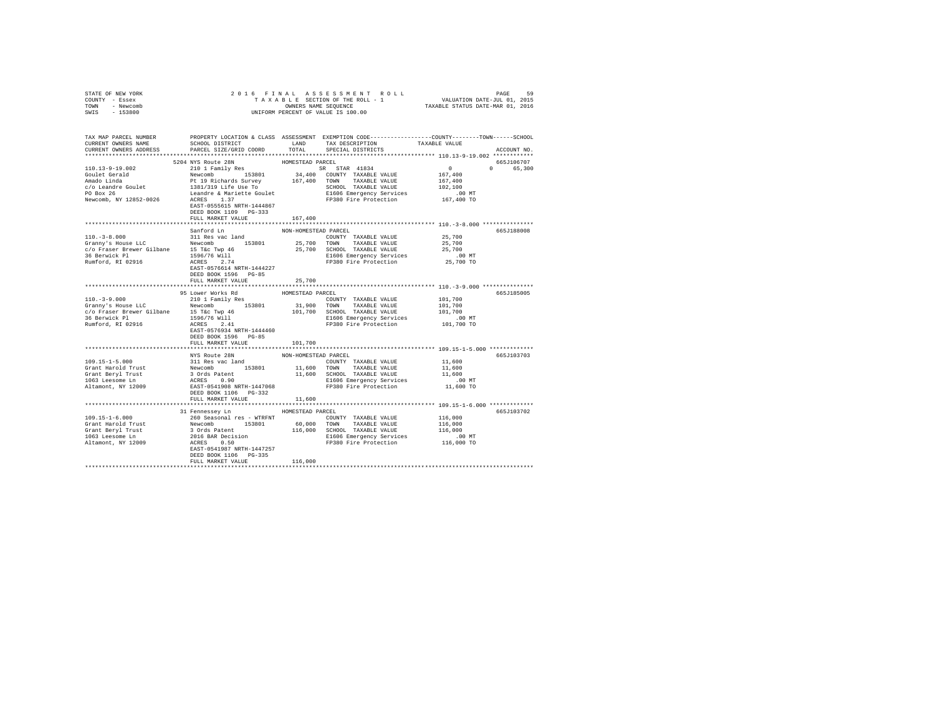| STATE OF NEW YORK                                                                                                                                                                              |                                  |                      |                                                                      |             |
|------------------------------------------------------------------------------------------------------------------------------------------------------------------------------------------------|----------------------------------|----------------------|----------------------------------------------------------------------|-------------|
| COUNTY - Essex                                                                                                                                                                                 |                                  |                      |                                                                      |             |
| TOWN - Newcomb                                                                                                                                                                                 |                                  |                      |                                                                      |             |
| SWIS - 153800                                                                                                                                                                                  |                                  |                      |                                                                      |             |
|                                                                                                                                                                                                |                                  |                      |                                                                      |             |
|                                                                                                                                                                                                |                                  |                      |                                                                      |             |
|                                                                                                                                                                                                |                                  |                      |                                                                      |             |
| TAX MAP PARCEL NUMBER PROPERTY LOCATION & CLASS ASSESSMENT EXEMPTION CODE--------------COUNTY-------TOWN------SCHOOL<br>CURRENT OWNERS NAME SCHOOL DISTRICT LAND TAX DESCRIPTION TAXABLE VALUE |                                  |                      |                                                                      |             |
|                                                                                                                                                                                                |                                  |                      |                                                                      |             |
| CURRENT OWNERS ADDRESS PARCEL SIZE/GRID COORD                                                                                                                                                  |                                  |                      | TOTAL SPECIAL DISTRICTS                                              | ACCOUNT NO. |
|                                                                                                                                                                                                |                                  |                      |                                                                      |             |
|                                                                                                                                                                                                | 5204 NYS Route 28N               | HOMESTEAD PARCEL     |                                                                      | 665J106707  |
|                                                                                                                                                                                                |                                  |                      |                                                                      | 0 65,300    |
|                                                                                                                                                                                                |                                  |                      |                                                                      |             |
|                                                                                                                                                                                                |                                  |                      |                                                                      |             |
|                                                                                                                                                                                                |                                  |                      |                                                                      |             |
|                                                                                                                                                                                                |                                  |                      |                                                                      |             |
|                                                                                                                                                                                                |                                  |                      |                                                                      |             |
|                                                                                                                                                                                                | EAST-0555615 NRTH-1444867        |                      |                                                                      |             |
|                                                                                                                                                                                                | DEED BOOK 1109 PG-333            |                      |                                                                      |             |
|                                                                                                                                                                                                | FULL MARKET VALUE 167,400        |                      |                                                                      |             |
|                                                                                                                                                                                                |                                  |                      |                                                                      |             |
|                                                                                                                                                                                                | Sanford Ln                       | NON-HOMESTEAD PARCEL |                                                                      | 665J188008  |
|                                                                                                                                                                                                |                                  |                      |                                                                      |             |
|                                                                                                                                                                                                |                                  |                      |                                                                      |             |
|                                                                                                                                                                                                |                                  |                      |                                                                      |             |
|                                                                                                                                                                                                |                                  |                      |                                                                      |             |
|                                                                                                                                                                                                |                                  |                      |                                                                      |             |
|                                                                                                                                                                                                |                                  |                      |                                                                      |             |
|                                                                                                                                                                                                |                                  |                      |                                                                      |             |
|                                                                                                                                                                                                | DEED BOOK 1596 PG-85             |                      |                                                                      |             |
|                                                                                                                                                                                                | FULL MARKET VALUE 25,700         |                      |                                                                      |             |
|                                                                                                                                                                                                |                                  |                      |                                                                      |             |
|                                                                                                                                                                                                | 95 Lower Works Rd                |                      |                                                                      |             |
|                                                                                                                                                                                                |                                  |                      |                                                                      | 665J185005  |
|                                                                                                                                                                                                |                                  | HOMESTEAD PARCEL     |                                                                      |             |
|                                                                                                                                                                                                |                                  |                      |                                                                      |             |
|                                                                                                                                                                                                |                                  |                      |                                                                      |             |
|                                                                                                                                                                                                |                                  |                      |                                                                      |             |
|                                                                                                                                                                                                |                                  |                      |                                                                      |             |
|                                                                                                                                                                                                |                                  |                      | E1606 Emergency Services .00 MT<br>FP380 Fire Protection  101,700 TO |             |
|                                                                                                                                                                                                | DEED BOOK 1596 PG-85             |                      |                                                                      |             |
|                                                                                                                                                                                                | FULL MARKET VALUE                | 101,700              |                                                                      |             |
|                                                                                                                                                                                                |                                  |                      |                                                                      |             |
|                                                                                                                                                                                                | NYS Route 28N                    | NON-HOMESTEAD PARCEL |                                                                      | 665J103703  |
|                                                                                                                                                                                                |                                  |                      |                                                                      |             |
|                                                                                                                                                                                                |                                  |                      |                                                                      |             |
|                                                                                                                                                                                                |                                  |                      |                                                                      |             |
|                                                                                                                                                                                                |                                  |                      |                                                                      |             |
|                                                                                                                                                                                                |                                  |                      |                                                                      |             |
|                                                                                                                                                                                                |                                  |                      |                                                                      |             |
|                                                                                                                                                                                                |                                  |                      |                                                                      |             |
|                                                                                                                                                                                                | FULL MARKET VALUE                | 11,600               |                                                                      |             |
|                                                                                                                                                                                                |                                  |                      |                                                                      |             |
|                                                                                                                                                                                                | 31 Fennessey Ln MOMESTEAD PARCEL |                      |                                                                      | 665J103702  |
| $109.15 - 1 - 6.000$                                                                                                                                                                           |                                  |                      |                                                                      |             |
|                                                                                                                                                                                                |                                  |                      |                                                                      |             |
|                                                                                                                                                                                                |                                  |                      |                                                                      |             |
|                                                                                                                                                                                                |                                  |                      |                                                                      |             |
|                                                                                                                                                                                                |                                  |                      |                                                                      |             |
|                                                                                                                                                                                                |                                  |                      |                                                                      |             |
|                                                                                                                                                                                                | DEED BOOK 1106 PG-335            |                      |                                                                      |             |
|                                                                                                                                                                                                | FULL MARKET VALUE                | 116,000              |                                                                      |             |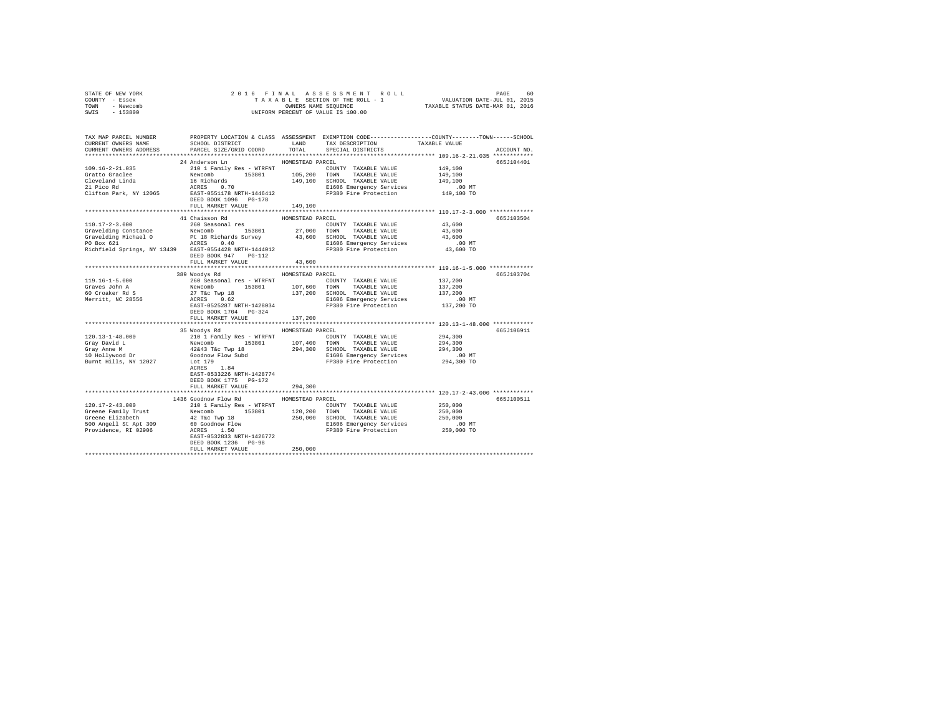| STATE OF NEW YORK                                                                                                     | 2016 FINAL                                                                      |                    |                                    |               |             |
|-----------------------------------------------------------------------------------------------------------------------|---------------------------------------------------------------------------------|--------------------|------------------------------------|---------------|-------------|
| COUNTY - Essex                                                                                                        |                                                                                 |                    |                                    |               |             |
| TOWN<br>- Newcomb                                                                                                     |                                                                                 |                    | OWNERS NAME SEQUENCE               |               |             |
| $-153800$<br>SWIS                                                                                                     |                                                                                 |                    | UNIFORM PERCENT OF VALUE IS 100.00 |               |             |
|                                                                                                                       |                                                                                 |                    |                                    |               |             |
|                                                                                                                       |                                                                                 |                    |                                    |               |             |
|                                                                                                                       |                                                                                 |                    |                                    |               |             |
| TAX MAP PARCEL NUMBER PROPERTY LOCATION & CLASS ASSESSMENT EXEMPTION CODE---------------COUNTY-------TOWN------SCHOOL |                                                                                 |                    |                                    |               |             |
| CURRENT OWNERS NAME                                                                                                   | SCHOOL DISTRICT                                                                 | LAND               | TAX DESCRIPTION                    | TAXABLE VALUE |             |
| CURRENT OWNERS ADDRESS                                                                                                | PARCEL SIZE/GRID COORD                                                          | TOTAL              | SPECIAL DISTRICTS                  |               | ACCOUNT NO. |
|                                                                                                                       |                                                                                 |                    |                                    |               |             |
|                                                                                                                       | 24 Anderson Ln                                                                  | HOMESTEAD PARCEL   |                                    |               | 665J104401  |
| $109.16 - 2 - 21.035$                                                                                                 | 210 1 Family Res - WTRFNT                                                       |                    | COUNTY TAXABLE VALUE               | 149,100       |             |
| Gratto Graclee                                                                                                        |                                                                                 |                    | TOWN TAXABLE VALUE                 | 149,100       |             |
| Cleveland Linda                                                                                                       |                                                                                 | 105,200<br>149,100 | SCHOOL TAXABLE VALUE               | 149,100       |             |
| Cleveland Linda<br>21 Pico Rd                                                                                         | Newcomb 153801<br>16 Richards 153801                                            |                    | E1606 Emergency Services           | $.00$ MT      |             |
| Clifton Park, NY 12065                                                                                                | EAST-0551178 NRTH-1446412                                                       |                    |                                    |               |             |
|                                                                                                                       |                                                                                 |                    | FP380 Fire Protection              | 149,100 TO    |             |
|                                                                                                                       | DEED BOOK 1096 PG-178                                                           |                    |                                    |               |             |
|                                                                                                                       | FULL MARKET VALUE                                                               | 149,100            |                                    |               |             |
|                                                                                                                       |                                                                                 |                    |                                    |               |             |
|                                                                                                                       | 41 Chaisson Rd                                                                  | HOMESTEAD PARCEL   |                                    |               | 665J103504  |
| 110.17-2-3.000                                                                                                        | 260 Seasonal res                                                                |                    | COUNTY TAXABLE VALUE               | 43,600        |             |
| Gravelding Constance                                                                                                  | Newcomb 153801 27,000                                                           |                    | TOWN TAXABLE VALUE                 | 43,600        |             |
| Gravelding Michael O                                                                                                  |                                                                                 |                    | 43,600 SCHOOL TAXABLE VALUE        | 43,600        |             |
| PO Box 621                                                                                                            | Pt 18 Richards Survey<br>ACRES 0.40                                             |                    | E1606 Emergency Services           | $.00$ MT      |             |
| PO Box 621 ACRES 0.40<br>Richfield Springs, NY 13439 EAST-0554428 NRTH-1444012                                        |                                                                                 |                    | FP380 Fire Protection              | 43,600 TO     |             |
|                                                                                                                       | DEED BOOK 947 PG-112                                                            |                    |                                    |               |             |
|                                                                                                                       | FULL MARKET VALUE                                                               | 43,600             |                                    |               |             |
|                                                                                                                       |                                                                                 |                    |                                    |               |             |
|                                                                                                                       |                                                                                 |                    |                                    |               |             |
|                                                                                                                       | 389 Woodys Rd                                                                   | HOMESTEAD PARCEL   |                                    |               | 665J103704  |
| 119.16-1-5.000                                                                                                        | 260 Seasonal res - WTRFNT                                                       |                    | COUNTY TAXABLE VALUE               | 137,200       |             |
| Graves John A                                                                                                         | Newcomb 153801                                                                  | 107,600            | TOWN<br>TAXABLE VALUE              | 137,200       |             |
| 60 Croaker Rd S                                                                                                       | $27$ T&C Twp $18$<br>ACRES 0.62                                                 |                    | 137,200 SCHOOL TAXABLE VALUE       | 137,200       |             |
| Merritt, NC 28556                                                                                                     |                                                                                 |                    | E1606 Emergency Services           | $.00$ MT      |             |
|                                                                                                                       | EAST-0525287 NRTH-1428034                                                       |                    | FP380 Fire Protection              | 137,200 TO    |             |
|                                                                                                                       | DEED BOOK 1704 PG-324                                                           |                    |                                    |               |             |
|                                                                                                                       | FULL MARKET VALUE                                                               | 137,200            |                                    |               |             |
|                                                                                                                       |                                                                                 |                    |                                    |               |             |
|                                                                                                                       | 35 Woodys Rd                                                                    | HOMESTEAD PARCEL   |                                    |               | 665J106911  |
| $120.13 - 1 - 48.000$                                                                                                 |                                                                                 |                    |                                    | 294,300       |             |
|                                                                                                                       | 210 1 Family Res - WTRFNT<br>Newcomb 153801 107,400<br>42&43 T&c Twp 18 294,300 |                    | COUNTY TAXABLE VALUE               |               |             |
| Gray David L                                                                                                          |                                                                                 | 107,400            | TOWN<br>TAXABLE VALUE              | 294,300       |             |
| Gray Anne M                                                                                                           |                                                                                 |                    | 294,300 SCHOOL TAXABLE VALUE       | 294,300       |             |
| 10 Hollywood Dr                                                                                                       | Goodnow Flow Subd                                                               |                    | E1606 Emergency Services           | $.00$ MT      |             |
| Burnt Hills, NY 12027                                                                                                 | Lot 179                                                                         |                    | FP380 Fire Protection              | 294,300 TO    |             |
|                                                                                                                       | ACRES 1.84                                                                      |                    |                                    |               |             |
|                                                                                                                       | EAST-0533226 NRTH-1428774                                                       |                    |                                    |               |             |
|                                                                                                                       | DEED BOOK 1775 PG-172                                                           |                    |                                    |               |             |
|                                                                                                                       | FULL MARKET VALUE                                                               | 294,300            |                                    |               |             |
|                                                                                                                       |                                                                                 |                    |                                    |               |             |
|                                                                                                                       | 1436 Goodnow Flow Rd                                                            | HOMESTEAD PARCEL   |                                    |               | 665J100511  |
|                                                                                                                       |                                                                                 |                    |                                    |               |             |
| 120.17-2-43.000                                                                                                       | 210 1 Family Res - WTRFNT                                                       |                    | COUNTY TAXABLE VALUE               | 250,000       |             |
| Greene Family Trust                                                                                                   | Newcomb 153801                                                                  | 120,200            | TOWN<br>TAXABLE VALUE              | 250,000       |             |
| Greene Elizabeth                                                                                                      | 42 T&c Twp 18<br>60 Goodnow Flow<br>ACRES 1.50                                  |                    | 250,000 SCHOOL TAXABLE VALUE       | 250,000       |             |
| 500 Angell St Apt 309                                                                                                 |                                                                                 |                    | E1606 Emergency Services           | $.00$ MT      |             |
| Providence, RI 02906                                                                                                  |                                                                                 |                    | FP380 Fire Protection              | 250,000 TO    |             |
|                                                                                                                       | EAST-0532833 NRTH-1426772                                                       |                    |                                    |               |             |
|                                                                                                                       | DEED BOOK 1236 PG-98                                                            |                    |                                    |               |             |
|                                                                                                                       | FULL MARKET VALUE                                                               | 250,000            |                                    |               |             |
|                                                                                                                       |                                                                                 |                    |                                    |               |             |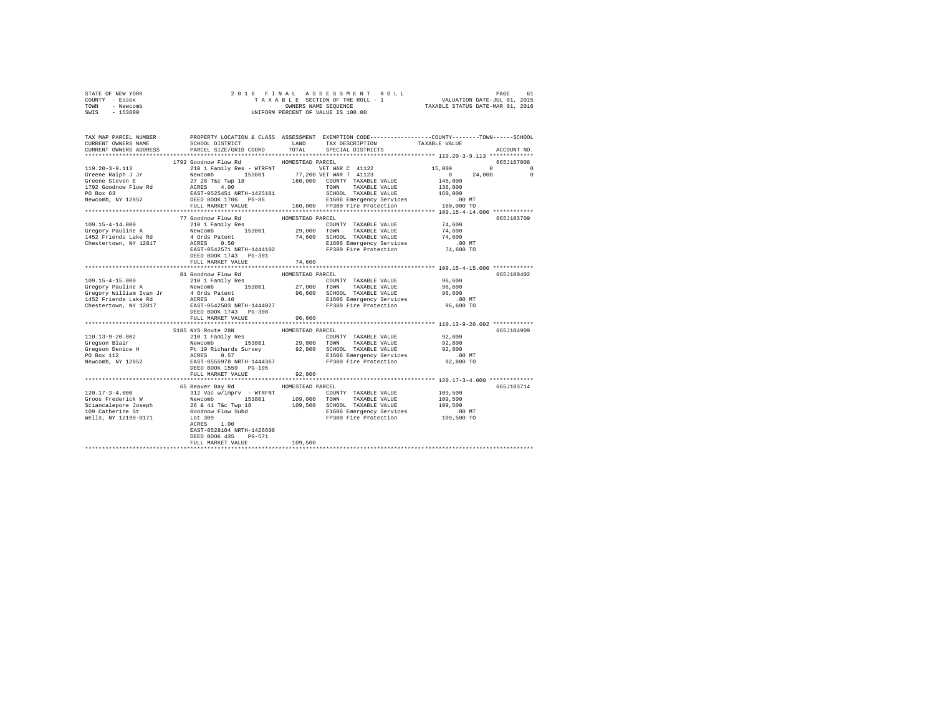|      | STATE OF NEW YORK | 2016 FINAL ASSESSMENT ROLL         | PAGE                             | 61 |
|------|-------------------|------------------------------------|----------------------------------|----|
|      | COUNTY - Essex    | TAXABLE SECTION OF THE ROLL - 1    | VALUATION DATE-JUL 01, 2015      |    |
| TOWN | - Newcomb         | OWNERS NAME SEOUENCE               | TAXABLE STATUS DATE-MAR 01, 2016 |    |
| SWIS | $-153800$         | UNIFORM PERCENT OF VALUE IS 100.00 |                                  |    |

| TAX MAP PARCEL NUMBER<br>CURRENT OWNERS NAME<br>CURRENT OWNERS ADDRESS                                                                                                                                                                                                                                                                                                                 | SCHOOL DISTRICT<br>PARCEL SIZE/GRID COORD       | LAND<br>TOTAL    | PROPERTY LOCATION & CLASS ASSESSMENT EXEMPTION CODE---------------COUNTY-------TOWN------SCHOOL<br>TAX DESCRIPTION<br>SPECIAL DISTRICTS | TAXABLE VALUE                   | ACCOUNT NO.                   |
|----------------------------------------------------------------------------------------------------------------------------------------------------------------------------------------------------------------------------------------------------------------------------------------------------------------------------------------------------------------------------------------|-------------------------------------------------|------------------|-----------------------------------------------------------------------------------------------------------------------------------------|---------------------------------|-------------------------------|
|                                                                                                                                                                                                                                                                                                                                                                                        |                                                 |                  |                                                                                                                                         |                                 |                               |
|                                                                                                                                                                                                                                                                                                                                                                                        | 1792 Goodnow Flow Rd MOMESTEAD PARCEL           |                  |                                                                                                                                         |                                 | 665J187008                    |
|                                                                                                                                                                                                                                                                                                                                                                                        |                                                 |                  |                                                                                                                                         |                                 | $0 \qquad \qquad$<br>$\Omega$ |
|                                                                                                                                                                                                                                                                                                                                                                                        |                                                 |                  |                                                                                                                                         | 24,000                          | $^{\circ}$                    |
|                                                                                                                                                                                                                                                                                                                                                                                        |                                                 |                  |                                                                                                                                         |                                 |                               |
|                                                                                                                                                                                                                                                                                                                                                                                        |                                                 |                  |                                                                                                                                         |                                 |                               |
|                                                                                                                                                                                                                                                                                                                                                                                        |                                                 |                  |                                                                                                                                         |                                 |                               |
|                                                                                                                                                                                                                                                                                                                                                                                        |                                                 |                  |                                                                                                                                         |                                 |                               |
|                                                                                                                                                                                                                                                                                                                                                                                        |                                                 |                  |                                                                                                                                         |                                 |                               |
|                                                                                                                                                                                                                                                                                                                                                                                        | 77 Goodnow Flow Rd                              | HOMESTEAD PARCEL |                                                                                                                                         |                                 | 665J103709                    |
| $109.15 - 4 - 14.000$                                                                                                                                                                                                                                                                                                                                                                  | 210 1 Family Res                                |                  | COUNTY TAXABLE VALUE 74,600                                                                                                             |                                 |                               |
|                                                                                                                                                                                                                                                                                                                                                                                        |                                                 |                  |                                                                                                                                         | 74,600                          |                               |
|                                                                                                                                                                                                                                                                                                                                                                                        |                                                 |                  |                                                                                                                                         | 74,600                          |                               |
|                                                                                                                                                                                                                                                                                                                                                                                        |                                                 |                  |                                                                                                                                         |                                 |                               |
|                                                                                                                                                                                                                                                                                                                                                                                        |                                                 |                  |                                                                                                                                         |                                 |                               |
|                                                                                                                                                                                                                                                                                                                                                                                        | DEED BOOK 1743 PG-301                           |                  |                                                                                                                                         |                                 |                               |
|                                                                                                                                                                                                                                                                                                                                                                                        | FULL MARKET VALUE                               | 74,600           |                                                                                                                                         |                                 |                               |
|                                                                                                                                                                                                                                                                                                                                                                                        |                                                 |                  |                                                                                                                                         |                                 |                               |
|                                                                                                                                                                                                                                                                                                                                                                                        | 81 Goodnow Flow Rd MOMESTEAD PARCEL             |                  |                                                                                                                                         |                                 | 665J100402                    |
| 109.15-4-15.000                                                                                                                                                                                                                                                                                                                                                                        | 210 1 Family Res                                |                  | COUNTY TAXABLE VALUE                                                                                                                    | 96,600                          |                               |
| Gregory Pauline A<br>153801 27,000 TOWN TAXABLE VALUE 96,600<br>1632 Priends Lake Rd a QRIS PARAMAGE VALUE 2015<br>1452 Priends Lake Rd ACRES 0.40<br>2016 Decreol EL606 Emergency Services<br>2016 Priends Lake Rd ACRES 0.40<br>2016 PP3                                                                                                                                             |                                                 |                  |                                                                                                                                         |                                 |                               |
|                                                                                                                                                                                                                                                                                                                                                                                        |                                                 |                  |                                                                                                                                         |                                 |                               |
|                                                                                                                                                                                                                                                                                                                                                                                        |                                                 |                  |                                                                                                                                         |                                 |                               |
|                                                                                                                                                                                                                                                                                                                                                                                        | DEED BOOK 1743 PG-308                           |                  |                                                                                                                                         |                                 |                               |
|                                                                                                                                                                                                                                                                                                                                                                                        | FULL MARKET VALUE                               | 96,600           |                                                                                                                                         |                                 |                               |
|                                                                                                                                                                                                                                                                                                                                                                                        |                                                 |                  |                                                                                                                                         |                                 |                               |
|                                                                                                                                                                                                                                                                                                                                                                                        | 5185 NYS Route 28N                              | HOMESTEAD PARCEL |                                                                                                                                         |                                 | 665J104909                    |
|                                                                                                                                                                                                                                                                                                                                                                                        |                                                 |                  |                                                                                                                                         |                                 |                               |
|                                                                                                                                                                                                                                                                                                                                                                                        |                                                 |                  |                                                                                                                                         |                                 |                               |
|                                                                                                                                                                                                                                                                                                                                                                                        |                                                 |                  |                                                                                                                                         |                                 |                               |
|                                                                                                                                                                                                                                                                                                                                                                                        |                                                 |                  |                                                                                                                                         |                                 |                               |
| $\begin{tabular}{l c c c c c c c c} \hline 110.13-9-20.002 & \hline & 210 & I ramily Res & 0.0007YY TAXABLE VALUE & 92,800 \\ \hline Gregson Blair & Newcomb & 153801 & 29,800 & T0WN & TAXABLE VALUE & 92,800 \\ \hline Cregson Dnic & P11 Richard S \\ \hline P0 Box 112 & \hline & 110.13-620 & 92,800 & T0XABLE VALUE & 92,800 \\ \hline P0 Box 112 & \hline & 111.01252 & 0.57 &$ |                                                 |                  |                                                                                                                                         |                                 |                               |
|                                                                                                                                                                                                                                                                                                                                                                                        | DEED BOOK 1559 PG-195                           |                  |                                                                                                                                         |                                 |                               |
|                                                                                                                                                                                                                                                                                                                                                                                        | FULL MARKET VALUE                               | 92.800           |                                                                                                                                         |                                 |                               |
|                                                                                                                                                                                                                                                                                                                                                                                        |                                                 |                  |                                                                                                                                         |                                 |                               |
|                                                                                                                                                                                                                                                                                                                                                                                        | 65 Beaver Bay Rd MOMESTEAD PARCEL               |                  |                                                                                                                                         |                                 | 665J103714                    |
|                                                                                                                                                                                                                                                                                                                                                                                        | 312 Vac w/imprv - WTRFNT<br>153801 109,000 TOWN |                  | COUNTY TAXABLE VALUE                                                                                                                    | 109,500<br>109,500              |                               |
|                                                                                                                                                                                                                                                                                                                                                                                        |                                                 |                  | TAXABLE VALUE                                                                                                                           |                                 |                               |
|                                                                                                                                                                                                                                                                                                                                                                                        |                                                 |                  | 109,500 SCHOOL TAXABLE VALUE<br>E1606 Emergency Services                                                                                | 109,500<br>00 MT.<br>109,500 TO |                               |
|                                                                                                                                                                                                                                                                                                                                                                                        |                                                 |                  | FP380 Fire Protection                                                                                                                   |                                 |                               |
|                                                                                                                                                                                                                                                                                                                                                                                        | ACRES 1.00                                      |                  |                                                                                                                                         |                                 |                               |
|                                                                                                                                                                                                                                                                                                                                                                                        | EAST-0528104 NRTH-1426608                       |                  |                                                                                                                                         |                                 |                               |
|                                                                                                                                                                                                                                                                                                                                                                                        | DEED BOOK 435 PG-571                            |                  |                                                                                                                                         |                                 |                               |
|                                                                                                                                                                                                                                                                                                                                                                                        | FULL MARKET VALUE                               | 109,500          |                                                                                                                                         |                                 |                               |
|                                                                                                                                                                                                                                                                                                                                                                                        |                                                 |                  |                                                                                                                                         |                                 |                               |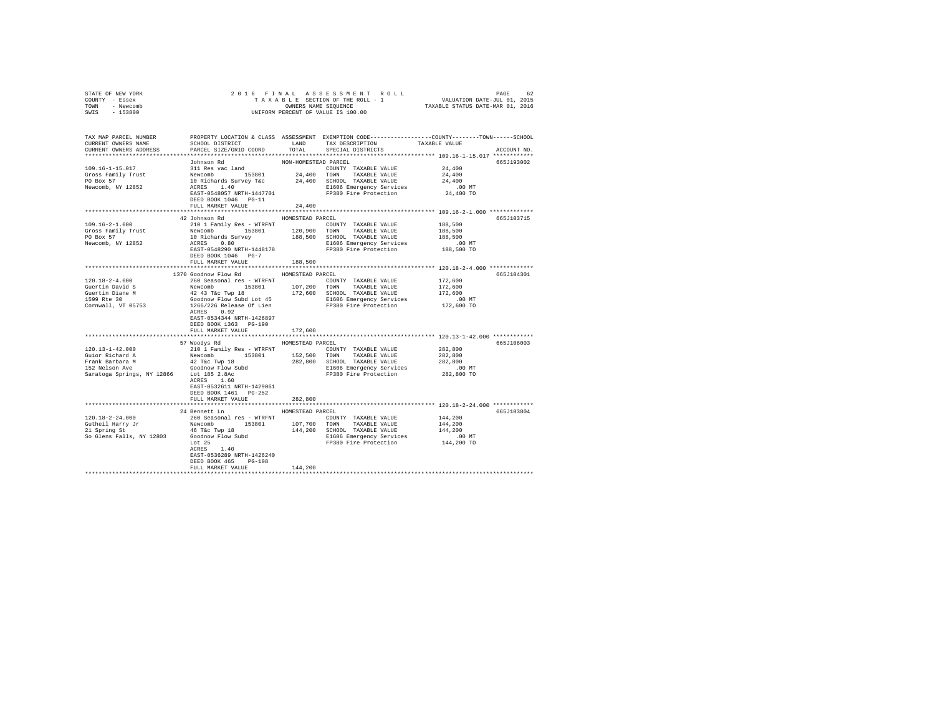| STATE OF NEW YORK<br>COUNTY - Essex                                                                                                                                                                                                            | $\begin{tabular}{ccccc} 2 & 0 & 1 & 6 & F~I~N~A~L & A~S~S~E~S~S~M~E~N~T & R~O~L~L & & & \texttt{PAGE} & 62 \\ \texttt{T} & A~X~A~B~E~SECTION OF THE ROLL - 1 & & & \texttt{VALUATION DATE-JUL 01, 2015} \\ & & & & & \texttt{OWNERS NAMB SEQUENCE} & & & \texttt{TAXABLE STATUS DATE-MAR 01, 2016} \\ & & & & & & \texttt{UNIFORM PERCENT OF VALUE IS 100.00} \end{tabular}$ |                      |                                                                      |           |             |
|------------------------------------------------------------------------------------------------------------------------------------------------------------------------------------------------------------------------------------------------|------------------------------------------------------------------------------------------------------------------------------------------------------------------------------------------------------------------------------------------------------------------------------------------------------------------------------------------------------------------------------|----------------------|----------------------------------------------------------------------|-----------|-------------|
| TOWN - Newcomb                                                                                                                                                                                                                                 |                                                                                                                                                                                                                                                                                                                                                                              |                      |                                                                      |           |             |
| SWIS - 153800                                                                                                                                                                                                                                  |                                                                                                                                                                                                                                                                                                                                                                              |                      |                                                                      |           |             |
|                                                                                                                                                                                                                                                |                                                                                                                                                                                                                                                                                                                                                                              |                      |                                                                      |           |             |
|                                                                                                                                                                                                                                                |                                                                                                                                                                                                                                                                                                                                                                              |                      |                                                                      |           |             |
|                                                                                                                                                                                                                                                |                                                                                                                                                                                                                                                                                                                                                                              |                      |                                                                      |           |             |
| TAX MAP PARCEL NUMBER PROPERTY LOCATION & CLASS ASSESSMENT EXEMPTION CODE---------------COUNTY-------TOWN------SCHOOL<br>CURRENT OWNERS NAME SCHOOL DISTRICT LAND TAX DESCRIPTION TAXABLE VALUE                                                |                                                                                                                                                                                                                                                                                                                                                                              |                      |                                                                      |           |             |
| CURRENT OWNERS ADDRESS PARCEL SIZE/GRID COORD TOTAL SPECIAL DISTRICTS                                                                                                                                                                          |                                                                                                                                                                                                                                                                                                                                                                              |                      |                                                                      |           | ACCOUNT NO. |
|                                                                                                                                                                                                                                                |                                                                                                                                                                                                                                                                                                                                                                              |                      |                                                                      |           |             |
|                                                                                                                                                                                                                                                | Johnson Rd                                                                                                                                                                                                                                                                                                                                                                   | NON-HOMESTEAD PARCEL |                                                                      |           | 665J193002  |
| 109.16-1-15.017                                                                                                                                                                                                                                | 311 Res vac land                                                                                                                                                                                                                                                                                                                                                             |                      | COUNTY TAXABLE VALUE                                                 | 24,400    |             |
|                                                                                                                                                                                                                                                |                                                                                                                                                                                                                                                                                                                                                                              |                      |                                                                      | 24,400    |             |
|                                                                                                                                                                                                                                                |                                                                                                                                                                                                                                                                                                                                                                              |                      |                                                                      | 24,400    |             |
| Consider the Mewcomb and the section of the Mewcomb and the method of the method of the method of the Mewcomb is a section of the method of the method of the method of the method of the method of the method of the method o                 |                                                                                                                                                                                                                                                                                                                                                                              |                      |                                                                      | .00 MT    |             |
|                                                                                                                                                                                                                                                | ACRES 1.40<br>EL606 Emergency Services<br>EAST-0548057 NRTH-1447701<br>FREE POOR 1046 PG-11                                                                                                                                                                                                                                                                                  |                      |                                                                      | 24,400 TO |             |
|                                                                                                                                                                                                                                                | DEED BOOK 1046 PG-11                                                                                                                                                                                                                                                                                                                                                         |                      |                                                                      |           |             |
|                                                                                                                                                                                                                                                | FULL MARKET VALUE 24,400                                                                                                                                                                                                                                                                                                                                                     |                      |                                                                      |           |             |
|                                                                                                                                                                                                                                                |                                                                                                                                                                                                                                                                                                                                                                              |                      |                                                                      |           |             |
|                                                                                                                                                                                                                                                | 42 Johnson Rd MOMESTEAD PARCEL                                                                                                                                                                                                                                                                                                                                               |                      |                                                                      |           | 665J103715  |
|                                                                                                                                                                                                                                                |                                                                                                                                                                                                                                                                                                                                                                              |                      |                                                                      |           |             |
|                                                                                                                                                                                                                                                |                                                                                                                                                                                                                                                                                                                                                                              |                      |                                                                      |           |             |
|                                                                                                                                                                                                                                                |                                                                                                                                                                                                                                                                                                                                                                              |                      |                                                                      |           |             |
|                                                                                                                                                                                                                                                |                                                                                                                                                                                                                                                                                                                                                                              |                      |                                                                      |           |             |
|                                                                                                                                                                                                                                                |                                                                                                                                                                                                                                                                                                                                                                              |                      |                                                                      |           |             |
|                                                                                                                                                                                                                                                |                                                                                                                                                                                                                                                                                                                                                                              |                      |                                                                      |           |             |
|                                                                                                                                                                                                                                                | FULL MARKET VALUE 188,500                                                                                                                                                                                                                                                                                                                                                    |                      |                                                                      |           |             |
|                                                                                                                                                                                                                                                | 1370 Goodnow Flow Rd MOMESTEAD PARCEL                                                                                                                                                                                                                                                                                                                                        |                      |                                                                      |           |             |
|                                                                                                                                                                                                                                                |                                                                                                                                                                                                                                                                                                                                                                              |                      |                                                                      |           | 665J104301  |
| $120.18 - 2 - 4.000$                                                                                                                                                                                                                           | 260 Seasonal res - WTRFNT                                                                                                                                                                                                                                                                                                                                                    |                      | COUNTY TAXABLE VALUE                                                 | 172,600   |             |
|                                                                                                                                                                                                                                                |                                                                                                                                                                                                                                                                                                                                                                              |                      |                                                                      |           |             |
|                                                                                                                                                                                                                                                |                                                                                                                                                                                                                                                                                                                                                                              |                      |                                                                      |           |             |
| Contribution of the Mewcomb 1980<br>Contribution of the Mewcomb 1980<br>Contribution of the Mewcomb 1980<br>Contribution of the Mewcomb 1980<br>Contribution 1980<br>Contribution 1980<br>Contribution 1980<br>Contribution 1980<br>Contributi |                                                                                                                                                                                                                                                                                                                                                                              |                      |                                                                      |           |             |
|                                                                                                                                                                                                                                                |                                                                                                                                                                                                                                                                                                                                                                              |                      |                                                                      |           |             |
|                                                                                                                                                                                                                                                | EAST-0534344 NRTH-1426897                                                                                                                                                                                                                                                                                                                                                    |                      |                                                                      |           |             |
|                                                                                                                                                                                                                                                | DEED BOOK 1363 PG-190                                                                                                                                                                                                                                                                                                                                                        |                      |                                                                      |           |             |
|                                                                                                                                                                                                                                                | FULL MARKET VALUE                                                                                                                                                                                                                                                                                                                                                            | 172,600              |                                                                      |           |             |
|                                                                                                                                                                                                                                                |                                                                                                                                                                                                                                                                                                                                                                              |                      |                                                                      |           |             |
|                                                                                                                                                                                                                                                | 57 Woodys Rd MOMESTEAD PARCEL                                                                                                                                                                                                                                                                                                                                                |                      |                                                                      |           | 665J106003  |
|                                                                                                                                                                                                                                                |                                                                                                                                                                                                                                                                                                                                                                              |                      |                                                                      |           |             |
|                                                                                                                                                                                                                                                |                                                                                                                                                                                                                                                                                                                                                                              |                      |                                                                      |           |             |
|                                                                                                                                                                                                                                                |                                                                                                                                                                                                                                                                                                                                                                              |                      |                                                                      |           |             |
|                                                                                                                                                                                                                                                |                                                                                                                                                                                                                                                                                                                                                                              |                      |                                                                      |           |             |
| $120.13-1-42.000$ $120.19-1-42.000$ $120.19-12.000$ $120.19-12.000$ $120.19-12.000$ $120.19-12.000$ $120.19-12.000$ $120.19-12.000$ $120.19-12.000$ $120.19-12.000$ $120.19-12.000$ $120.19-12.000$ $120.19-12.000$ $120.19-1$                 |                                                                                                                                                                                                                                                                                                                                                                              |                      |                                                                      |           |             |
|                                                                                                                                                                                                                                                | ACRES 1.60                                                                                                                                                                                                                                                                                                                                                                   |                      |                                                                      |           |             |
|                                                                                                                                                                                                                                                | EAST-0532611 NRTH-1429061                                                                                                                                                                                                                                                                                                                                                    |                      |                                                                      |           |             |
|                                                                                                                                                                                                                                                | DEED BOOK 1461 PG-252                                                                                                                                                                                                                                                                                                                                                        |                      |                                                                      |           |             |
|                                                                                                                                                                                                                                                | FULL MARKET VALUE                                                                                                                                                                                                                                                                                                                                                            | 282,800              |                                                                      |           |             |
|                                                                                                                                                                                                                                                |                                                                                                                                                                                                                                                                                                                                                                              |                      |                                                                      |           |             |
|                                                                                                                                                                                                                                                | 24 Bennett Ln                                                                                                                                                                                                                                                                                                                                                                | HOMESTEAD PARCEL     |                                                                      |           | 665J103804  |
| $120.18 - 2 - 24.000$                                                                                                                                                                                                                          | 260 Seasonal res - WTRFNT                                                                                                                                                                                                                                                                                                                                                    |                      | COUNTY TAXABLE VALUE                                                 | 144,200   |             |
|                                                                                                                                                                                                                                                |                                                                                                                                                                                                                                                                                                                                                                              |                      |                                                                      | 144,200   |             |
|                                                                                                                                                                                                                                                |                                                                                                                                                                                                                                                                                                                                                                              |                      |                                                                      | 144,200   |             |
| COLLEGI HATRY JT<br>A REWOOM AND 197,700 TOWN TAXABLE VALUE<br>21 Spring St<br>35 Godinov Flow Subditional HATRY 12803<br>50 Godinov Flow Subditional HATRY 200 SCHOD TAXABLE VALUE<br>LGG6 Emergency Services<br>LGG6 Emergency Services<br>  |                                                                                                                                                                                                                                                                                                                                                                              |                      | E1606 Emergency Services 6.00 MT<br>FP380 Fire Protection 144,200 TO |           |             |
|                                                                                                                                                                                                                                                |                                                                                                                                                                                                                                                                                                                                                                              |                      |                                                                      |           |             |
|                                                                                                                                                                                                                                                | EAST-0536289 NRTH-1426240                                                                                                                                                                                                                                                                                                                                                    |                      |                                                                      |           |             |
|                                                                                                                                                                                                                                                | DEED BOOK 465 PG-108                                                                                                                                                                                                                                                                                                                                                         |                      |                                                                      |           |             |
|                                                                                                                                                                                                                                                | FULL MARKET VALUE                                                                                                                                                                                                                                                                                                                                                            | 144,200              |                                                                      |           |             |
|                                                                                                                                                                                                                                                |                                                                                                                                                                                                                                                                                                                                                                              |                      |                                                                      |           |             |
|                                                                                                                                                                                                                                                |                                                                                                                                                                                                                                                                                                                                                                              |                      |                                                                      |           |             |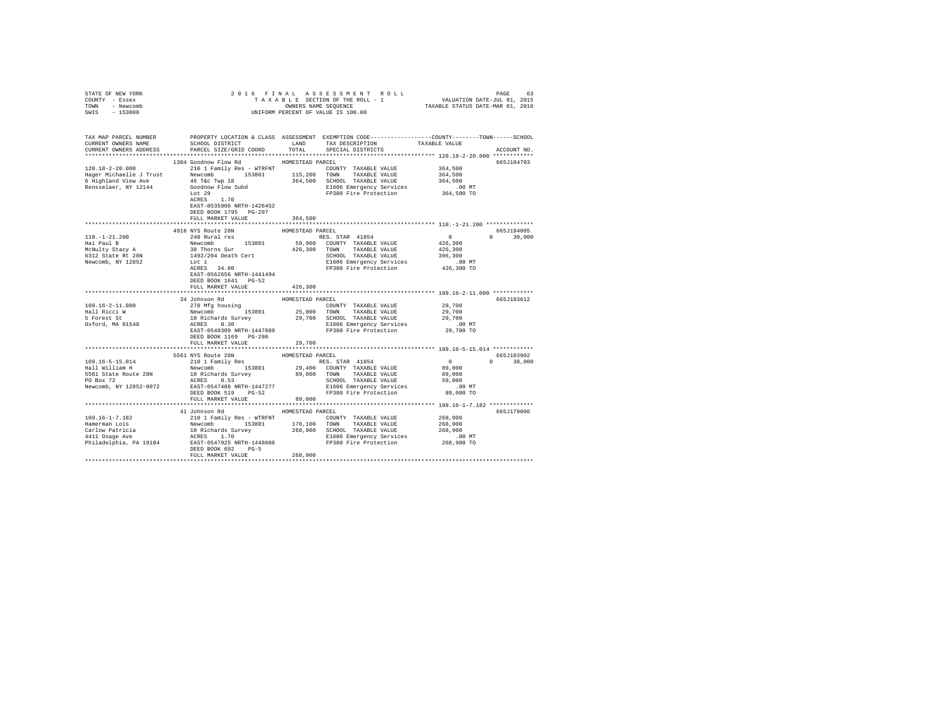| STATE OF NEW YORK                               |                                                                                                                                                                                                                                  |                  |                                                                      |                      |               |
|-------------------------------------------------|----------------------------------------------------------------------------------------------------------------------------------------------------------------------------------------------------------------------------------|------------------|----------------------------------------------------------------------|----------------------|---------------|
| COUNTY - Essex                                  |                                                                                                                                                                                                                                  |                  |                                                                      |                      |               |
| TOWN - Newcomb                                  |                                                                                                                                                                                                                                  |                  |                                                                      |                      |               |
| SWIS - 153800                                   |                                                                                                                                                                                                                                  |                  |                                                                      |                      |               |
|                                                 |                                                                                                                                                                                                                                  |                  |                                                                      |                      |               |
|                                                 |                                                                                                                                                                                                                                  |                  |                                                                      |                      |               |
|                                                 | TAX MAP PARCEL NUMBER PROPERTY LOCATION & CLASS ASSESSMENT EXEMPTION CODE--------------COUNTY-------TOWN------SCHOOL                                                                                                             |                  |                                                                      |                      |               |
| CURRENT OWNERS NAME                             | SCHOOL DISTRICT                                                                                                                                                                                                                  | LAND             | TAX DESCRIPTION                                                      | TAXABLE VALUE        |               |
| CURRENT OWNERS ADDRESS                          | PARCEL SIZE/GRID COORD                                                                                                                                                                                                           | TOTAL            | SPECIAL DISTRICTS                                                    |                      | ACCOUNT NO.   |
|                                                 |                                                                                                                                                                                                                                  |                  |                                                                      |                      |               |
|                                                 | 1304 Goodnow Flow Rd                                                                                                                                                                                                             | HOMESTEAD PARCEL |                                                                      |                      | 665J104703    |
|                                                 | 120.18-2-20.000 210 1 Family Res - WTRFNT                                                                                                                                                                                        |                  | COUNTY TAXABLE VALUE                                                 | 364,500              |               |
|                                                 |                                                                                                                                                                                                                                  |                  |                                                                      | 364,500              |               |
|                                                 |                                                                                                                                                                                                                                  |                  |                                                                      |                      |               |
|                                                 |                                                                                                                                                                                                                                  |                  |                                                                      | 364,500              |               |
|                                                 |                                                                                                                                                                                                                                  |                  | E1606 Emergency Services 6.00 MT<br>FP380 Fire Protection 364,500 TO |                      |               |
|                                                 | Rensselaer, NY 12144<br>Coodnow Flow Subd<br>Lot 29<br>ACRES 1.70                                                                                                                                                                |                  |                                                                      |                      |               |
|                                                 |                                                                                                                                                                                                                                  |                  |                                                                      |                      |               |
|                                                 | EAST-0535906 NRTH-1426452                                                                                                                                                                                                        |                  |                                                                      |                      |               |
|                                                 | DEED BOOK 1795 PG-297                                                                                                                                                                                                            |                  |                                                                      |                      |               |
|                                                 | FULL MARKET VALUE                                                                                                                                                                                                                | 364,500          |                                                                      |                      |               |
|                                                 |                                                                                                                                                                                                                                  |                  |                                                                      |                      |               |
|                                                 | 4916 NYS Route 28N                                                                                                                                                                                                               | HOMESTEAD PARCEL |                                                                      |                      | 665J194005    |
| 110.-1-21.200<br>Hai Paul B                     | 240 Rural res                                                                                                                                                                                                                    |                  | RES. STAR 41854                                                      | $\sim$ 0             | $0 \t 30,000$ |
|                                                 |                                                                                                                                                                                                                                  |                  |                                                                      | 426, 300             |               |
| McNulty Stacy A                                 |                                                                                                                                                                                                                                  |                  |                                                                      | 426,300              |               |
| Achulty Staty A<br>6312 State Rt 28N            |                                                                                                                                                                                                                                  |                  |                                                                      | 396,300              |               |
| Newcomb, NY 12852                               |                                                                                                                                                                                                                                  |                  |                                                                      | .00 MT               |               |
|                                                 |                                                                                                                                                                                                                                  |                  |                                                                      | 426,300 TO           |               |
|                                                 | EAST-0562656 NRTH-1441494                                                                                                                                                                                                        |                  |                                                                      |                      |               |
|                                                 | DEED BOOK 1641 PG-52                                                                                                                                                                                                             |                  |                                                                      |                      |               |
|                                                 | FULL MARKET VALUE                                                                                                                                                                                                                | 426,300          |                                                                      |                      |               |
|                                                 |                                                                                                                                                                                                                                  |                  |                                                                      |                      |               |
|                                                 | 34 Johnson Rd                                                                                                                                                                                                                    | HOMESTEAD PARCEL |                                                                      |                      | 665J103612    |
| $109.16 - 2 - 11.000$                           |                                                                                                                                                                                                                                  |                  |                                                                      | 29,700               |               |
|                                                 |                                                                                                                                                                                                                                  |                  |                                                                      | 29,700               |               |
| Hall Ricci W<br>5 Forest St<br>Oxford, MA 01540 | 34 Johnson Ra<br><br>270 Mfg housing 153801 25,000 TOWN TAXABLE VALUE Newcomb 153801 29,700 SCHODL TAXABLE VALUE 10 Richards Survey 29,700 SCHODL TAXABLE VALUE ACCES<br>ACRES 0.30 SCHOOL TAXABLE VALUE ACRES 10.30 E1606 Emerg |                  |                                                                      | 29,700               |               |
|                                                 |                                                                                                                                                                                                                                  |                  |                                                                      |                      |               |
|                                                 |                                                                                                                                                                                                                                  |                  |                                                                      | $.00$ MT             |               |
|                                                 |                                                                                                                                                                                                                                  |                  |                                                                      | 29,700 TO            |               |
|                                                 |                                                                                                                                                                                                                                  |                  |                                                                      |                      |               |
|                                                 | FULL MARKET VALUE                                                                                                                                                                                                                | 29,700           |                                                                      |                      |               |
|                                                 |                                                                                                                                                                                                                                  |                  |                                                                      |                      |               |
|                                                 | 5561 NYS Route 28N                                                                                                                                                                                                               | HOMESTEAD PARCEL |                                                                      |                      | 665J103902    |
| 109.16-5-15.014<br>Hall William H               | 210 1 Family Res<br>${\small \begin{tabular}{lcccccc} 210 & 1 & Family & Res & & & RES. & STAR & 41854 \\ Newcomb & 153801 & 29,400 & COUNTY & TAXABLE VALUE \\ \end{tabular}}$                                                  |                  |                                                                      | $\sim$ 0             | $0 \t 30,000$ |
|                                                 |                                                                                                                                                                                                                                  |                  |                                                                      | 89,000               |               |
|                                                 |                                                                                                                                                                                                                                  |                  |                                                                      | 89,000               |               |
|                                                 |                                                                                                                                                                                                                                  |                  |                                                                      | 59,000               |               |
|                                                 |                                                                                                                                                                                                                                  |                  |                                                                      | .00 MT               |               |
|                                                 |                                                                                                                                                                                                                                  |                  |                                                                      | 89,000 TO            |               |
|                                                 | FULL MARKET VALUE                                                                                                                                                                                                                | 89,000           |                                                                      |                      |               |
|                                                 |                                                                                                                                                                                                                                  |                  |                                                                      |                      |               |
|                                                 | 41 Johnson Rd                                                                                                                                                                                                                    | HOMESTEAD PARCEL |                                                                      |                      | 665J179006    |
|                                                 |                                                                                                                                                                                                                                  |                  |                                                                      | 268,900              |               |
|                                                 |                                                                                                                                                                                                                                  |                  |                                                                      | 268,900              |               |
|                                                 |                                                                                                                                                                                                                                  |                  |                                                                      | 268,900              |               |
|                                                 |                                                                                                                                                                                                                                  |                  |                                                                      |                      |               |
|                                                 |                                                                                                                                                                                                                                  |                  |                                                                      | 00 MT.<br>268,900 TO |               |
|                                                 |                                                                                                                                                                                                                                  |                  |                                                                      |                      |               |
|                                                 | DEED BOOK 692 PG-5                                                                                                                                                                                                               |                  |                                                                      |                      |               |
|                                                 | FULL MARKET VALUE                                                                                                                                                                                                                | 268,900          |                                                                      |                      |               |
|                                                 |                                                                                                                                                                                                                                  |                  |                                                                      |                      |               |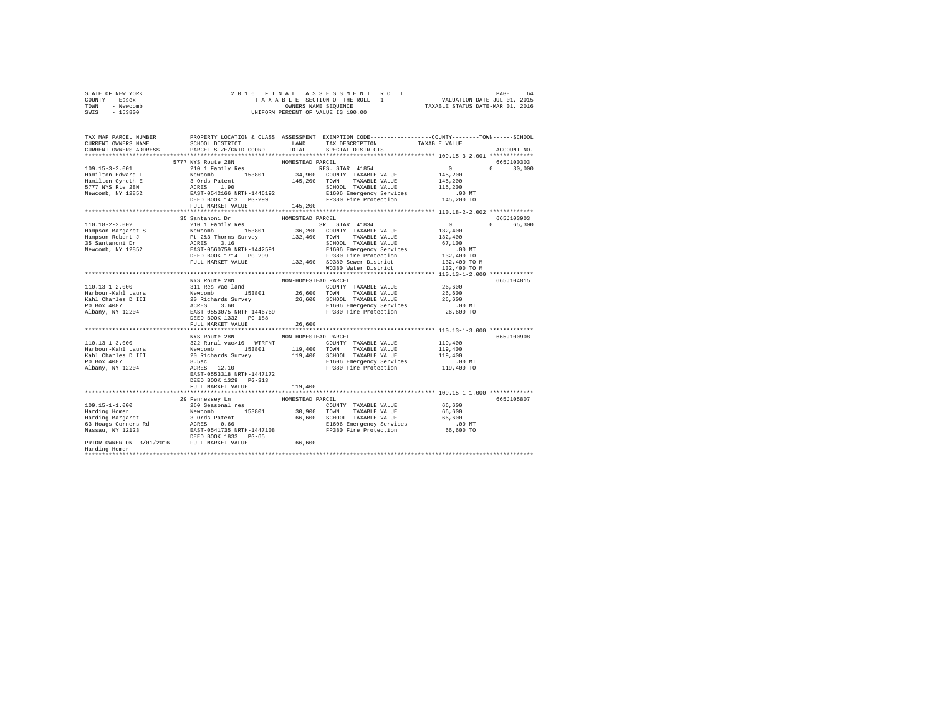| STATE OF NEW YORK |           |  |  |  | 2016 FINAL ASSESSMENT ROLL         |                                  | PAGE | 64 |
|-------------------|-----------|--|--|--|------------------------------------|----------------------------------|------|----|
| COUNTY - Essex    |           |  |  |  | TAXABLE SECTION OF THE ROLL - 1    | VALUATION DATE-JUL 01, 2015      |      |    |
| TOWN              | - Newcomb |  |  |  | OWNERS NAME SEOUENCE               | TAXABLE STATUS DATE-MAR 01, 2016 |      |    |
| SWIS              | - 153800  |  |  |  | UNIFORM PERCENT OF VALUE IS 100.00 |                                  |      |    |

| TAX MAP PARCEL NUMBER<br>CURRENT OWNERS NAME                                                                                                                                                                                               | PROPERTY LOCATION & CLASS ASSESSMENT EXEMPTION CODE----------------COUNTY-------TOWN------SCHOOL<br>SCHOOL DISTRICT                  | LAND                 | TAX DESCRIPTION                                                    | TAXABLE VALUE |                                 |
|--------------------------------------------------------------------------------------------------------------------------------------------------------------------------------------------------------------------------------------------|--------------------------------------------------------------------------------------------------------------------------------------|----------------------|--------------------------------------------------------------------|---------------|---------------------------------|
| CURRENT OWNERS ADDRESS                                                                                                                                                                                                                     | PARCEL SIZE/GRID COORD                                                                                                               | TOTAL                | SPECIAL DISTRICTS                                                  |               | ACCOUNT NO.                     |
|                                                                                                                                                                                                                                            |                                                                                                                                      |                      |                                                                    |               |                                 |
|                                                                                                                                                                                                                                            | 5777 NYS Route 28N                                                                                                                   | HOMESTEAD PARCEL     |                                                                    |               | 665J100303                      |
| $109.15 - 3 - 2.001$                                                                                                                                                                                                                       | 210 1 Family Res                                                                                                                     |                      | RES. STAR 41854<br>RES. STAR 41854<br>34,900 COUNTY TAXABLE VALUE  | $\sim$ 0      | $\Omega$<br>30,000              |
| Hamilton Edward L                                                                                                                                                                                                                          |                                                                                                                                      |                      |                                                                    | 145,200       |                                 |
| Hamilton Gyneth E                                                                                                                                                                                                                          |                                                                                                                                      | 145,200              | TAXABLE VALUE<br>TOWN                                              | 145,200       |                                 |
| 5777 NYS Rte 28N                                                                                                                                                                                                                           |                                                                                                                                      |                      | SCHOOL TAXABLE VALUE                                               | 115,200       |                                 |
| Newcomb, NY 12852                                                                                                                                                                                                                          |                                                                                                                                      |                      | E1606 Emergency Services<br>FP380 Fire Protection                  | .00 MT        |                                 |
|                                                                                                                                                                                                                                            | 210 1 Family Res<br>Newcomb<br>3 Ords Patent<br>3 Ords Patent<br>3 Ords Patent<br>EAST-0542166 NETH-1446192<br>DEED BOOK 1413 PG-299 |                      |                                                                    | 145,200 TO    |                                 |
|                                                                                                                                                                                                                                            | FULL MARKET VALUE                                                                                                                    | 145,200              |                                                                    |               |                                 |
|                                                                                                                                                                                                                                            | 35 Santanoni Dr                                                                                                                      | HOMESTEAD PARCEL     |                                                                    |               | 665J103903                      |
| $110.18 - 2 - 2.002$                                                                                                                                                                                                                       | 210 1 Family Res                                                                                                                     |                      | SR STAR 41834                                                      | $\mathbf{0}$  | 65,300<br>$\Omega$ and $\Omega$ |
| Hampson Margaret S                                                                                                                                                                                                                         | Newcomb                                                                                                                              |                      | 153801 36,200 COUNTY TAXABLE VALUE                                 | 132,400       |                                 |
|                                                                                                                                                                                                                                            |                                                                                                                                      |                      |                                                                    | 132,400       |                                 |
|                                                                                                                                                                                                                                            |                                                                                                                                      |                      |                                                                    | 67,100        |                                 |
|                                                                                                                                                                                                                                            |                                                                                                                                      |                      | E1606 Emergency Services                                           | $.00$ MT      |                                 |
| Hampson Robert J<br>Hampson Robert J<br>25 Santanoni Dr ACRES 3.16<br>25 Santanoni Dr ACRES 3.16<br>25 Newcomb, NY 12852 EAST-0560759 NRTH-1442591<br>26 Newcomb, NY 12852 EXAST-0560759 NRTH-1442591<br>26 Newcomb, NY 12852 EXAST-056075 |                                                                                                                                      |                      | FP380 Fire Protection                                              | 132,400 TO    |                                 |
|                                                                                                                                                                                                                                            | FULL MARKET VALUE                                                                                                                    |                      | 132,400 SD380 Sewer District                                       | 132,400 TO M  |                                 |
|                                                                                                                                                                                                                                            |                                                                                                                                      |                      | WD380 Water District                                               | 132,400 TO M  |                                 |
|                                                                                                                                                                                                                                            |                                                                                                                                      |                      |                                                                    |               |                                 |
|                                                                                                                                                                                                                                            | NYS Route 28N                                                                                                                        | NON-HOMESTEAD PARCEL |                                                                    |               | 665J104815                      |
|                                                                                                                                                                                                                                            |                                                                                                                                      |                      | COUNTY TAXABLE VALUE                                               | 26,600        |                                 |
| 110.13-1-2.000<br>Harbour-Kahl Laura 311 Res vac land<br>Harbour-Kahl Laura Newcomb 153801<br>Kahl Charles D III 20 Richards Survey<br>PO Box 4087<br>20 Richards Survey<br>Albany, NY 12204<br>BEED BOOK 1332 PG-188                      |                                                                                                                                      | 26,600 TOWN          | TAXABLE VALUE                                                      | 26,600        |                                 |
|                                                                                                                                                                                                                                            |                                                                                                                                      | $26\,,\,600$         | SCHOOL TAXABLE VALUE                                               | 26,600        |                                 |
|                                                                                                                                                                                                                                            |                                                                                                                                      |                      |                                                                    |               |                                 |
|                                                                                                                                                                                                                                            |                                                                                                                                      |                      | E1606 Emergency Services .00 MT<br>FP380 Fire Protection 26,600 TO |               |                                 |
|                                                                                                                                                                                                                                            |                                                                                                                                      |                      |                                                                    |               |                                 |
|                                                                                                                                                                                                                                            | FULL MARKET VALUE                                                                                                                    | 26,600               |                                                                    |               |                                 |
|                                                                                                                                                                                                                                            |                                                                                                                                      |                      |                                                                    |               |                                 |
|                                                                                                                                                                                                                                            | NYS Route 28N                                                                                                                        | NON-HOMESTEAD PARCEL |                                                                    |               | 665J100908                      |
|                                                                                                                                                                                                                                            |                                                                                                                                      |                      | COUNTY TAXABLE VALUE                                               | 119,400       |                                 |
|                                                                                                                                                                                                                                            |                                                                                                                                      |                      |                                                                    | 119,400       |                                 |
|                                                                                                                                                                                                                                            |                                                                                                                                      |                      | SCHOOL TAXABLE VALUE                                               | 119,400       |                                 |
|                                                                                                                                                                                                                                            |                                                                                                                                      |                      | E1606 Emergency Services                                           | $.00$ MT      |                                 |
| Albany, NY 12204                                                                                                                                                                                                                           | ACRES 12.10                                                                                                                          |                      | FP380 Fire Protection 119,400 TO                                   |               |                                 |
|                                                                                                                                                                                                                                            | EAST-0553318 NRTH-1447172                                                                                                            |                      |                                                                    |               |                                 |
|                                                                                                                                                                                                                                            | DEED BOOK 1329 PG-313                                                                                                                |                      |                                                                    |               |                                 |
|                                                                                                                                                                                                                                            | FULL MARKET VALUE                                                                                                                    | 119,400              |                                                                    |               |                                 |
|                                                                                                                                                                                                                                            |                                                                                                                                      |                      |                                                                    |               |                                 |
|                                                                                                                                                                                                                                            | 29 Fennessey Ln                                                                                                                      | HOMESTEAD PARCEL     |                                                                    |               | 665J105807                      |
| $109.15 - 1 - 1.000$                                                                                                                                                                                                                       | 260 Seasonal res                                                                                                                     |                      | COUNTY TAXABLE VALUE                                               | 66,600        |                                 |
| Harding Homer                                                                                                                                                                                                                              | Newcomb 153801<br>3 Ords Patent                                                                                                      | 30,900               | TOWN TAXABLE VALUE                                                 | 66,600        |                                 |
| Harding Margaret                                                                                                                                                                                                                           |                                                                                                                                      |                      | 66,600 SCHOOL TAXABLE VALUE                                        | 66,600        |                                 |
| 63 Hoags Corners Rd                                                                                                                                                                                                                        | ACRES 0.66<br>EAST-0541735 NRTH-1447108                                                                                              |                      | E1606 Emergency Services .00 MT<br>FP380 Fire Protection 66,600 TO |               |                                 |
| Nassau, NY 12123                                                                                                                                                                                                                           |                                                                                                                                      |                      |                                                                    |               |                                 |
| PRIOR OWNER ON 3/01/2016 FULL MARKET VALUE                                                                                                                                                                                                 | DEED BOOK 1833 PG-65                                                                                                                 |                      |                                                                    |               |                                 |
| Harding Homer                                                                                                                                                                                                                              |                                                                                                                                      | 66,600               |                                                                    |               |                                 |
|                                                                                                                                                                                                                                            |                                                                                                                                      |                      |                                                                    |               |                                 |
|                                                                                                                                                                                                                                            |                                                                                                                                      |                      |                                                                    |               |                                 |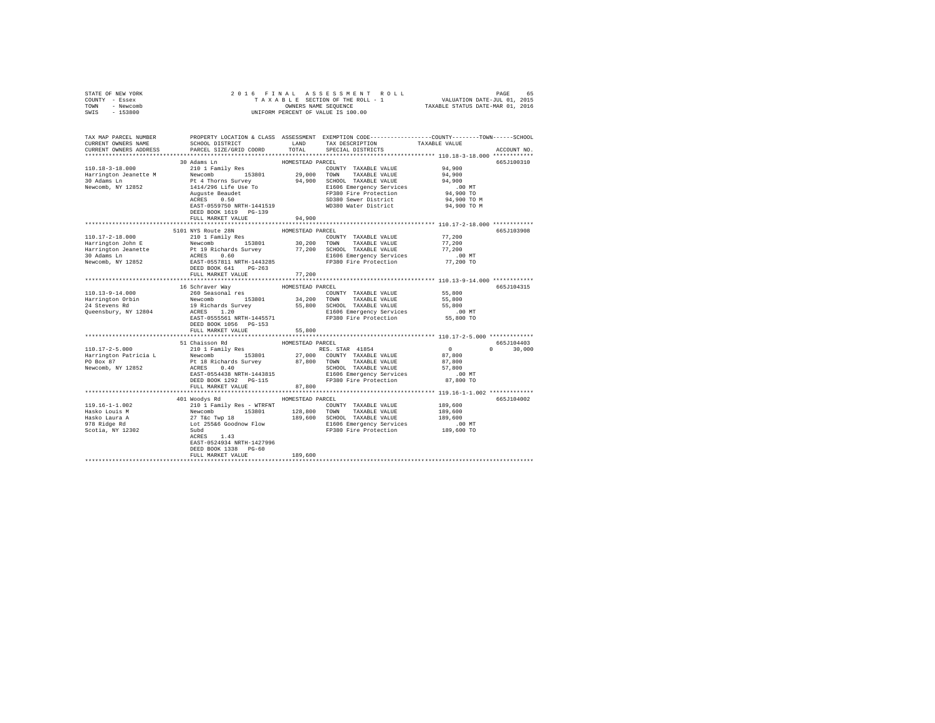| STATE OF NEW YORK                                                                                                                                                                                                                                                                                                                                      |                                                                                                                                                                                                  |                  |                                                                                                                                                                                               |                     |               |
|--------------------------------------------------------------------------------------------------------------------------------------------------------------------------------------------------------------------------------------------------------------------------------------------------------------------------------------------------------|--------------------------------------------------------------------------------------------------------------------------------------------------------------------------------------------------|------------------|-----------------------------------------------------------------------------------------------------------------------------------------------------------------------------------------------|---------------------|---------------|
| COUNTY - Essex                                                                                                                                                                                                                                                                                                                                         |                                                                                                                                                                                                  |                  |                                                                                                                                                                                               |                     |               |
| TOWN - Newcomb                                                                                                                                                                                                                                                                                                                                         |                                                                                                                                                                                                  |                  |                                                                                                                                                                                               |                     |               |
| SWIS - 153800                                                                                                                                                                                                                                                                                                                                          | 2016 FINAL ASSESSMENT ROLL PAGE 65<br>TAXABLE SECTION OF THE ROLL - 1 VALUATION DATE-JUL 01, 2015<br>OWNERS NAME SEQUENCE TAXABLE STATUS DATE-MAR 01, 2016<br>UNIFORM PERCENT OF VALUE IS 100.00 |                  |                                                                                                                                                                                               |                     |               |
|                                                                                                                                                                                                                                                                                                                                                        |                                                                                                                                                                                                  |                  |                                                                                                                                                                                               |                     |               |
| TAX MAP PARCEL NUMBER PROPERTY LOCATION & CLASS ASSESSMENT EXEMPTION CODE--------------COUNTY-------TOWN------SCHOOL                                                                                                                                                                                                                                   |                                                                                                                                                                                                  |                  |                                                                                                                                                                                               |                     |               |
| CURRENT OWNERS NAME                                                                                                                                                                                                                                                                                                                                    | SCHOOL DISTRICT                                                                                                                                                                                  | LAND             | TAX DESCRIPTION TAXABLE VALUE                                                                                                                                                                 |                     |               |
| CURRENT OWNERS ADDRESS                                                                                                                                                                                                                                                                                                                                 | PARCEL SIZE/GRID COORD                                                                                                                                                                           | TOTAL            | SPECIAL DISTRICTS                                                                                                                                                                             |                     | ACCOUNT NO.   |
|                                                                                                                                                                                                                                                                                                                                                        |                                                                                                                                                                                                  |                  |                                                                                                                                                                                               |                     |               |
|                                                                                                                                                                                                                                                                                                                                                        | 30 Adams Ln                                                                                                                                                                                      | HOMESTEAD PARCEL |                                                                                                                                                                                               |                     | 665J100310    |
| 110.18-3-18.000                                                                                                                                                                                                                                                                                                                                        | 210 1 Family Res                                                                                                                                                                                 |                  |                                                                                                                                                                                               |                     |               |
|                                                                                                                                                                                                                                                                                                                                                        |                                                                                                                                                                                                  |                  | COUNTY TAXABLE VALUE 94,900                                                                                                                                                                   |                     |               |
|                                                                                                                                                                                                                                                                                                                                                        |                                                                                                                                                                                                  |                  |                                                                                                                                                                                               | 94,900              |               |
|                                                                                                                                                                                                                                                                                                                                                        |                                                                                                                                                                                                  |                  |                                                                                                                                                                                               | 94,900              |               |
|                                                                                                                                                                                                                                                                                                                                                        |                                                                                                                                                                                                  |                  |                                                                                                                                                                                               | 00 MT.<br>94,900 TO |               |
|                                                                                                                                                                                                                                                                                                                                                        |                                                                                                                                                                                                  |                  |                                                                                                                                                                                               |                     |               |
|                                                                                                                                                                                                                                                                                                                                                        |                                                                                                                                                                                                  |                  |                                                                                                                                                                                               | 94,900 TO M         |               |
|                                                                                                                                                                                                                                                                                                                                                        |                                                                                                                                                                                                  |                  | WD380 Water District                                                                                                                                                                          | 94,900 TO M         |               |
|                                                                                                                                                                                                                                                                                                                                                        | DEED BOOK 1619 PG-139                                                                                                                                                                            |                  |                                                                                                                                                                                               |                     |               |
|                                                                                                                                                                                                                                                                                                                                                        | FULL MARKET VALUE                                                                                                                                                                                | 94,900           |                                                                                                                                                                                               |                     |               |
|                                                                                                                                                                                                                                                                                                                                                        |                                                                                                                                                                                                  |                  |                                                                                                                                                                                               |                     |               |
|                                                                                                                                                                                                                                                                                                                                                        | 5101 NYS Route 28N                                                                                                                                                                               | HOMESTEAD PARCEL |                                                                                                                                                                                               |                     | 665J103908    |
| 110.17-2-18.000                                                                                                                                                                                                                                                                                                                                        | 210 1 Family Res                                                                                                                                                                                 |                  | $\begin{tabular}{lllll} \multicolumn{2}{l}{{\text{COUNTY}}} & \multicolumn{2}{l}{\text{TAXABLE VALUE}} & \multicolumn{2}{l}{\text{YALUE}} & \multicolumn{2}{l}{\text{Y7, 200}} \end{tabular}$ |                     |               |
| 110.17-2-18.000<br>Harrington John E                                                                                                                                                                                                                                                                                                                   |                                                                                                                                                                                                  |                  |                                                                                                                                                                                               | 77,200              |               |
|                                                                                                                                                                                                                                                                                                                                                        |                                                                                                                                                                                                  |                  |                                                                                                                                                                                               | 77,200              |               |
|                                                                                                                                                                                                                                                                                                                                                        |                                                                                                                                                                                                  |                  |                                                                                                                                                                                               | $.00$ MT            |               |
|                                                                                                                                                                                                                                                                                                                                                        |                                                                                                                                                                                                  |                  |                                                                                                                                                                                               | 77,200 TO           |               |
|                                                                                                                                                                                                                                                                                                                                                        | DEED BOOK 641 PG-263                                                                                                                                                                             |                  |                                                                                                                                                                                               |                     |               |
|                                                                                                                                                                                                                                                                                                                                                        | FULL MARKET VALUE                                                                                                                                                                                | 77,200           |                                                                                                                                                                                               |                     |               |
|                                                                                                                                                                                                                                                                                                                                                        |                                                                                                                                                                                                  |                  |                                                                                                                                                                                               |                     |               |
|                                                                                                                                                                                                                                                                                                                                                        | 16 Schraver Way                                                                                                                                                                                  | HOMESTEAD PARCEL |                                                                                                                                                                                               |                     | 665J104315    |
|                                                                                                                                                                                                                                                                                                                                                        |                                                                                                                                                                                                  |                  | $\begin{tabular}{lllllll} \multicolumn{2}{l}{{\text{COUNTY}}} & \multicolumn{2}{l}{\text{TAXABLE VALUE}} & \multicolumn{2}{l}{\text{S5,800}} \end{tabular}$                                   |                     |               |
|                                                                                                                                                                                                                                                                                                                                                        |                                                                                                                                                                                                  |                  |                                                                                                                                                                                               | 55,800              |               |
|                                                                                                                                                                                                                                                                                                                                                        |                                                                                                                                                                                                  |                  |                                                                                                                                                                                               | 55,800              |               |
|                                                                                                                                                                                                                                                                                                                                                        |                                                                                                                                                                                                  |                  |                                                                                                                                                                                               | .00 MT              |               |
|                                                                                                                                                                                                                                                                                                                                                        |                                                                                                                                                                                                  |                  |                                                                                                                                                                                               | 55,800 TO           |               |
|                                                                                                                                                                                                                                                                                                                                                        | DEED BOOK 1056 PG-153                                                                                                                                                                            |                  |                                                                                                                                                                                               |                     |               |
|                                                                                                                                                                                                                                                                                                                                                        | FULL MARKET VALUE                                                                                                                                                                                | 55,800           |                                                                                                                                                                                               |                     |               |
|                                                                                                                                                                                                                                                                                                                                                        |                                                                                                                                                                                                  |                  |                                                                                                                                                                                               |                     |               |
|                                                                                                                                                                                                                                                                                                                                                        |                                                                                                                                                                                                  | HOMESTEAD PARCEL |                                                                                                                                                                                               |                     | 665J104403    |
| $110.17 - 2 - 5.000$                                                                                                                                                                                                                                                                                                                                   | 51 Chaisson Rd<br>210 1 Family Res                                                                                                                                                               |                  | RES. STAR 41854                                                                                                                                                                               | $\overline{a}$      | $0 \t 30.000$ |
|                                                                                                                                                                                                                                                                                                                                                        |                                                                                                                                                                                                  |                  |                                                                                                                                                                                               |                     |               |
|                                                                                                                                                                                                                                                                                                                                                        |                                                                                                                                                                                                  |                  |                                                                                                                                                                                               |                     |               |
|                                                                                                                                                                                                                                                                                                                                                        |                                                                                                                                                                                                  |                  |                                                                                                                                                                                               |                     |               |
|                                                                                                                                                                                                                                                                                                                                                        |                                                                                                                                                                                                  |                  |                                                                                                                                                                                               |                     |               |
|                                                                                                                                                                                                                                                                                                                                                        |                                                                                                                                                                                                  |                  |                                                                                                                                                                                               |                     |               |
|                                                                                                                                                                                                                                                                                                                                                        | FULL MARKET VALUE                                                                                                                                                                                | 87,800           |                                                                                                                                                                                               |                     |               |
|                                                                                                                                                                                                                                                                                                                                                        |                                                                                                                                                                                                  |                  |                                                                                                                                                                                               |                     |               |
|                                                                                                                                                                                                                                                                                                                                                        |                                                                                                                                                                                                  |                  |                                                                                                                                                                                               |                     |               |
|                                                                                                                                                                                                                                                                                                                                                        | 401 Woodys Rd MOMESTEAD PARCEL                                                                                                                                                                   |                  |                                                                                                                                                                                               |                     | 665J104002    |
|                                                                                                                                                                                                                                                                                                                                                        |                                                                                                                                                                                                  |                  |                                                                                                                                                                                               |                     |               |
| $119.16-1-1.002 \put(0,0){\small 1.19 \put(0,0){\small 1.19 \put(0,0){\small 1.19 \put(0,0){\small 1.19 \put(0,0){\small 1.19 \put(0,0){\small 1.19 \put(0,0){\small 1.19 \put(0,0){\small 1.19 \put(0,0){\small 1.19 \put(0,0){\small 1.19 \put(0,0){\small 1.19 \put(0,0){\small 1.19 \put(0,0){\small 1.19 \put(0,0){\small 1.19 \put(0,0){\small $ |                                                                                                                                                                                                  |                  |                                                                                                                                                                                               |                     |               |
|                                                                                                                                                                                                                                                                                                                                                        |                                                                                                                                                                                                  |                  |                                                                                                                                                                                               |                     |               |
|                                                                                                                                                                                                                                                                                                                                                        |                                                                                                                                                                                                  |                  |                                                                                                                                                                                               |                     |               |
|                                                                                                                                                                                                                                                                                                                                                        |                                                                                                                                                                                                  |                  |                                                                                                                                                                                               |                     |               |
|                                                                                                                                                                                                                                                                                                                                                        | ACRES 1.43                                                                                                                                                                                       |                  |                                                                                                                                                                                               |                     |               |
|                                                                                                                                                                                                                                                                                                                                                        | EAST-0524934 NRTH-1427996                                                                                                                                                                        |                  |                                                                                                                                                                                               |                     |               |
|                                                                                                                                                                                                                                                                                                                                                        | DEED BOOK 1338 PG-60                                                                                                                                                                             |                  |                                                                                                                                                                                               |                     |               |
|                                                                                                                                                                                                                                                                                                                                                        | FULL MARKET VALUE                                                                                                                                                                                | 189,600          |                                                                                                                                                                                               |                     |               |
|                                                                                                                                                                                                                                                                                                                                                        |                                                                                                                                                                                                  |                  |                                                                                                                                                                                               |                     |               |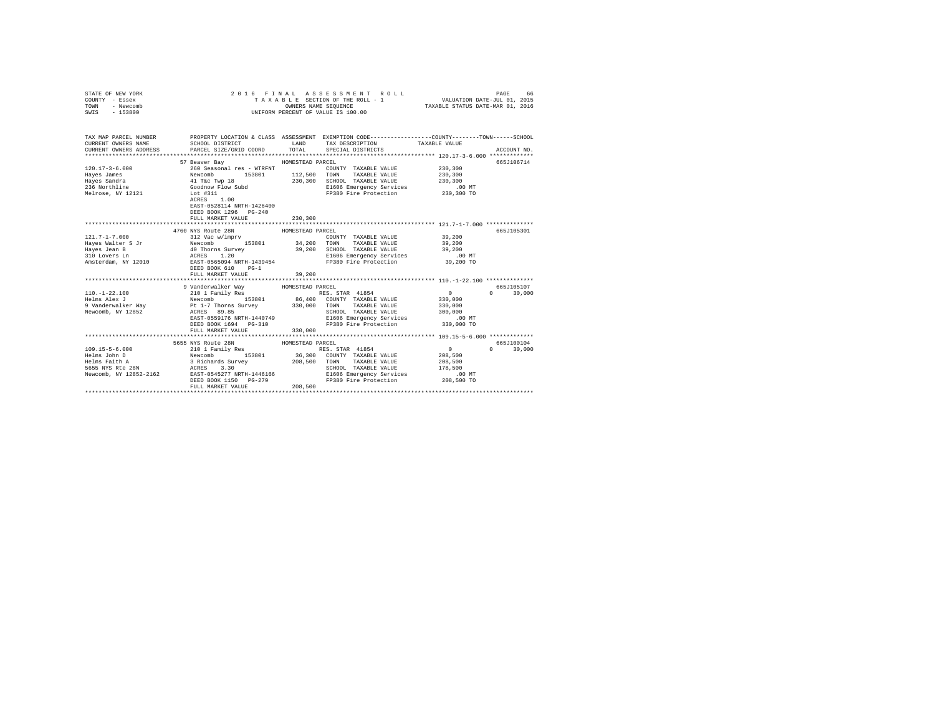| STATE OF NEW YORK<br>COUNTY - Essex<br>TOWN - Newcomb<br>SWIS - 153800                                                                                                                                                                                                                                                                                                                                                                                                                                                          | 2016 FINAL ASSESSMENT R<br>TAXABLE SECTION OF THE ROLL - 1<br>ONNERS NAME SEQUENCE<br>UNIFORM PERCENT OF VALUE IS 100.00 |                  | FINAL ASSESSMENT ROLL (PAGE 66 PINAL ASSESSMENT ROLL)<br>TAXABLE SECTION OF THE ROLL - 1 VALUATION DATE-JUL 01, 2015<br>OWNERS NAME SEQUENCE (TAXABLE STATUS DATE-MAR 01, 2016<br>2016 FINAL ASSESSMENT ROLL |               |
|---------------------------------------------------------------------------------------------------------------------------------------------------------------------------------------------------------------------------------------------------------------------------------------------------------------------------------------------------------------------------------------------------------------------------------------------------------------------------------------------------------------------------------|--------------------------------------------------------------------------------------------------------------------------|------------------|--------------------------------------------------------------------------------------------------------------------------------------------------------------------------------------------------------------|---------------|
| TAX MAP PARCEL NUMBER PROPERTY LOCATION & CLASS ASSESSMENT EXEMPTION CODE---------------COUNTY-------TOWN------SCHOOL                                                                                                                                                                                                                                                                                                                                                                                                           |                                                                                                                          |                  |                                                                                                                                                                                                              |               |
| CURRENT OWNERS NAME<br>CURRENT OWNERS ADDRESS                                                                                                                                                                                                                                                                                                                                                                                                                                                                                   | PARCEL SIZE/GRID COORD TOTAL SPECIAL DISTRICTS                                                                           |                  |                                                                                                                                                                                                              | ACCOUNT NO.   |
|                                                                                                                                                                                                                                                                                                                                                                                                                                                                                                                                 |                                                                                                                          |                  |                                                                                                                                                                                                              |               |
|                                                                                                                                                                                                                                                                                                                                                                                                                                                                                                                                 | 57 Beaver Bay MOMESTEAD PARCEL                                                                                           |                  |                                                                                                                                                                                                              | 665J106714    |
|                                                                                                                                                                                                                                                                                                                                                                                                                                                                                                                                 |                                                                                                                          |                  |                                                                                                                                                                                                              |               |
|                                                                                                                                                                                                                                                                                                                                                                                                                                                                                                                                 |                                                                                                                          |                  |                                                                                                                                                                                                              |               |
|                                                                                                                                                                                                                                                                                                                                                                                                                                                                                                                                 |                                                                                                                          |                  |                                                                                                                                                                                                              |               |
|                                                                                                                                                                                                                                                                                                                                                                                                                                                                                                                                 |                                                                                                                          |                  |                                                                                                                                                                                                              |               |
|                                                                                                                                                                                                                                                                                                                                                                                                                                                                                                                                 |                                                                                                                          |                  | 230,300 SCHOOL TAXABLE VALUE 230,300<br>EI606 Energency Services 230,300<br>FP380 Fire Protection 230,300 TO                                                                                                 |               |
| ${\small \begin{tabular}{l c c c c c c c c} \hline 120.17-3-6.000 & 260\text{ Seasonal res}} & \text{WTRENT} & \text{nonnormal $\mathcal{C} & \text{nonnormal $\mathcal{C} & \text{nonnormal $\mathcal{C} & \text{nonnormal $\mathcal{C} & \text{nonnormal $\mathcal{C} & \text{nonnormal $\mathcal{C} & \text{nonnormal $\mathcal{C} & \text{nonnormal $\mathcal{C} & \text{nonnormal $\mathcal{C} & \text{nonnormal $\mathcal{C} & \text{nonnormal $\mathcal{C} & \text{nonnormal $\mathcal{C} & \text{nonnormal $\mathcal{C$ | EAST-0528114 NRTH-1426400<br>DEED BOOK 1296 PG-240<br>FULL MARKET VALUE                                                  | 230,300          |                                                                                                                                                                                                              |               |
|                                                                                                                                                                                                                                                                                                                                                                                                                                                                                                                                 |                                                                                                                          |                  |                                                                                                                                                                                                              |               |
|                                                                                                                                                                                                                                                                                                                                                                                                                                                                                                                                 | 4760 NYS Route 28N                                                                                                       | HOMESTEAD PARCEL |                                                                                                                                                                                                              | 665J105301    |
|                                                                                                                                                                                                                                                                                                                                                                                                                                                                                                                                 |                                                                                                                          |                  |                                                                                                                                                                                                              |               |
|                                                                                                                                                                                                                                                                                                                                                                                                                                                                                                                                 |                                                                                                                          |                  |                                                                                                                                                                                                              |               |
|                                                                                                                                                                                                                                                                                                                                                                                                                                                                                                                                 |                                                                                                                          |                  |                                                                                                                                                                                                              |               |
|                                                                                                                                                                                                                                                                                                                                                                                                                                                                                                                                 |                                                                                                                          |                  |                                                                                                                                                                                                              |               |
|                                                                                                                                                                                                                                                                                                                                                                                                                                                                                                                                 |                                                                                                                          |                  |                                                                                                                                                                                                              |               |
|                                                                                                                                                                                                                                                                                                                                                                                                                                                                                                                                 | FULL MARKET VALUE                                                                                                        | 39,200           |                                                                                                                                                                                                              |               |
| 39 Anderwalker Way HOMESTEAD PACEL<br>10.1-22.10<br>10.1-22.10<br>10.1-22.10<br>10.11 Family Res<br>Helms Alex J<br>10.11 Family Res<br>2010 1 Family Res<br>2010 17 MARBLE VALUE<br>30,000<br>9 Vanderwalker Way<br>PE 1-7 Thorns Survey<br>230,000 T                                                                                                                                                                                                                                                                          |                                                                                                                          |                  |                                                                                                                                                                                                              | 665J105107    |
|                                                                                                                                                                                                                                                                                                                                                                                                                                                                                                                                 |                                                                                                                          |                  |                                                                                                                                                                                                              | $0 \t 30.000$ |
|                                                                                                                                                                                                                                                                                                                                                                                                                                                                                                                                 |                                                                                                                          |                  |                                                                                                                                                                                                              |               |
|                                                                                                                                                                                                                                                                                                                                                                                                                                                                                                                                 |                                                                                                                          |                  |                                                                                                                                                                                                              |               |
|                                                                                                                                                                                                                                                                                                                                                                                                                                                                                                                                 |                                                                                                                          |                  |                                                                                                                                                                                                              |               |
|                                                                                                                                                                                                                                                                                                                                                                                                                                                                                                                                 |                                                                                                                          |                  |                                                                                                                                                                                                              |               |
|                                                                                                                                                                                                                                                                                                                                                                                                                                                                                                                                 |                                                                                                                          |                  |                                                                                                                                                                                                              |               |
|                                                                                                                                                                                                                                                                                                                                                                                                                                                                                                                                 |                                                                                                                          |                  |                                                                                                                                                                                                              |               |
|                                                                                                                                                                                                                                                                                                                                                                                                                                                                                                                                 |                                                                                                                          |                  |                                                                                                                                                                                                              |               |
|                                                                                                                                                                                                                                                                                                                                                                                                                                                                                                                                 |                                                                                                                          |                  |                                                                                                                                                                                                              | 665J100104    |
|                                                                                                                                                                                                                                                                                                                                                                                                                                                                                                                                 |                                                                                                                          |                  |                                                                                                                                                                                                              | $0 \t 30,000$ |
|                                                                                                                                                                                                                                                                                                                                                                                                                                                                                                                                 |                                                                                                                          |                  |                                                                                                                                                                                                              |               |
|                                                                                                                                                                                                                                                                                                                                                                                                                                                                                                                                 |                                                                                                                          |                  |                                                                                                                                                                                                              |               |
|                                                                                                                                                                                                                                                                                                                                                                                                                                                                                                                                 |                                                                                                                          |                  |                                                                                                                                                                                                              |               |
|                                                                                                                                                                                                                                                                                                                                                                                                                                                                                                                                 |                                                                                                                          |                  |                                                                                                                                                                                                              |               |
| $\begin{tabular}{l c c c c c c c c} \multicolumn{3}{c}{\textbf{555 MTS ROLC}} & \multicolumn{3}{c}{\textbf{555 MTS ROLC}} & \multicolumn{3}{c}{\textbf{555 MTS ROLC}} & \multicolumn{3}{c}{\textbf{555 MTS ROLC}} & \multicolumn{3}{c}{\textbf{555 MTS ROLC}} & \multicolumn{3}{c}{\textbf{555 MTS ROLC}} & \multicolumn{3}{c}{\textbf{555 MTS ROLC}} & \multicolumn{3}{c}{\textbf{555 MTS ROLC}} & \multicolumn{3}{c}{\textbf$                                                                                                 |                                                                                                                          | 208,500          |                                                                                                                                                                                                              |               |
|                                                                                                                                                                                                                                                                                                                                                                                                                                                                                                                                 |                                                                                                                          |                  |                                                                                                                                                                                                              |               |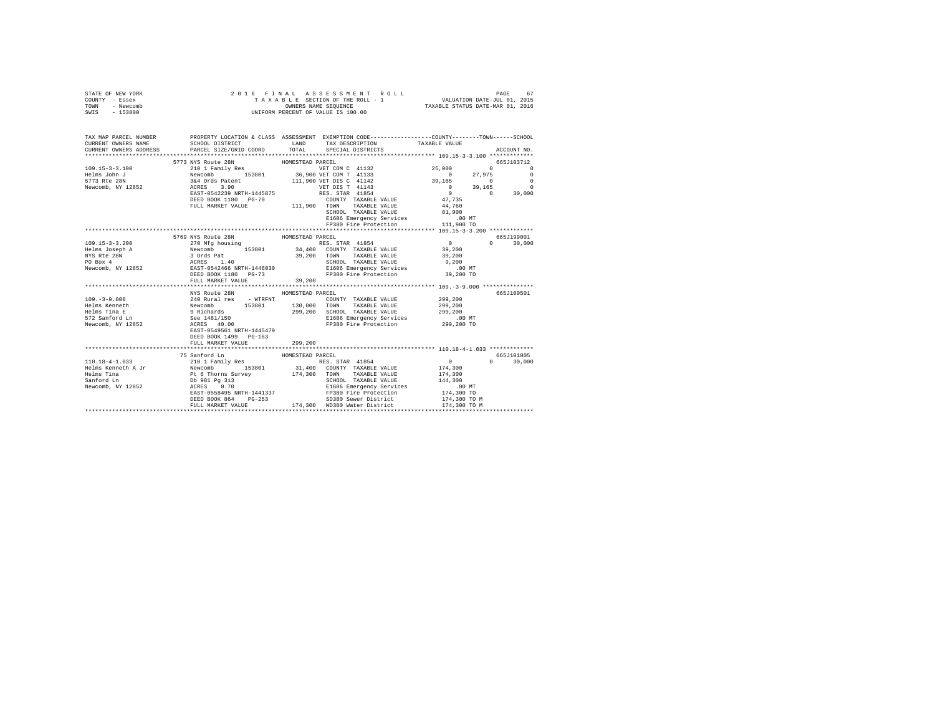| STATE OF NEW YORK<br>COUNTY - Essex<br>TOWN - Newcomb<br>SWIS - 153800                                                                     | 2016 FINAL ASSESSMENT R<br>TAXABLE SECTION OF THE ROLL - 1<br>ONNERS NAME SEQUENCE<br>UNIFORM PERCENT OF VALUE IS 100.00 |                  | 6 FINAL ASSESSMENT ROLL (1975) PAGE 67 FINAL ASSESSMENT ROLL FOR THE SECTION OF THE ROLL PRESS, THE SECTION OF THE SECTION OF THE SECTION OF THE SECTION OF THE SECTION OF THE SECTION OF THE SECTION OF THE SECTION OF THE SE       |                                                        |               |
|--------------------------------------------------------------------------------------------------------------------------------------------|--------------------------------------------------------------------------------------------------------------------------|------------------|--------------------------------------------------------------------------------------------------------------------------------------------------------------------------------------------------------------------------------------|--------------------------------------------------------|---------------|
| TAX MAP PARCEL NUMBER PROPERTY LOCATION & CLASS ASSESSMENT EXEMPTION CODE--------------COUNTY-------TOWN-----SCHOOL<br>CURRENT OWNERS NAME | SCHOOL DISTRICT                                                                                                          | LAND             | TAX DESCRIPTION                                                                                                                                                                                                                      | TAXABLE VALUE                                          |               |
| CURRENT OWNERS ADDRESS                                                                                                                     | PARCEL SIZE/GRID COORD                                                                                                   |                  | TOTAL SPECIAL DISTRICTS                                                                                                                                                                                                              |                                                        | ACCOUNT NO.   |
|                                                                                                                                            |                                                                                                                          |                  |                                                                                                                                                                                                                                      |                                                        |               |
|                                                                                                                                            | 5773 NYS Route 28N                                                                                                       | HOMESTEAD PARCEL |                                                                                                                                                                                                                                      |                                                        | 665J103712    |
|                                                                                                                                            |                                                                                                                          |                  |                                                                                                                                                                                                                                      |                                                        |               |
|                                                                                                                                            |                                                                                                                          |                  |                                                                                                                                                                                                                                      |                                                        |               |
|                                                                                                                                            |                                                                                                                          |                  |                                                                                                                                                                                                                                      |                                                        |               |
|                                                                                                                                            |                                                                                                                          |                  |                                                                                                                                                                                                                                      |                                                        |               |
|                                                                                                                                            |                                                                                                                          |                  |                                                                                                                                                                                                                                      |                                                        |               |
|                                                                                                                                            |                                                                                                                          |                  |                                                                                                                                                                                                                                      |                                                        |               |
|                                                                                                                                            |                                                                                                                          |                  |                                                                                                                                                                                                                                      |                                                        |               |
|                                                                                                                                            |                                                                                                                          |                  | SCHOOL TAXABLE VALUE 081,900<br>E1606 Emergency Services 00 MT<br>FP380 Fire Protection 111,900 TO                                                                                                                                   |                                                        |               |
|                                                                                                                                            |                                                                                                                          |                  |                                                                                                                                                                                                                                      |                                                        |               |
|                                                                                                                                            |                                                                                                                          |                  |                                                                                                                                                                                                                                      |                                                        |               |
|                                                                                                                                            | 5769 NYS Route 28N                                                                                                       | HOMESTEAD PARCEL |                                                                                                                                                                                                                                      | $0$<br>39,200                                          | 665J199001    |
|                                                                                                                                            |                                                                                                                          |                  | $\frac{1}{2}$                                                                                                                                                                                                                        |                                                        | $0 \t 30,000$ |
|                                                                                                                                            |                                                                                                                          |                  |                                                                                                                                                                                                                                      |                                                        |               |
|                                                                                                                                            |                                                                                                                          |                  |                                                                                                                                                                                                                                      |                                                        |               |
|                                                                                                                                            |                                                                                                                          |                  |                                                                                                                                                                                                                                      |                                                        |               |
|                                                                                                                                            |                                                                                                                          |                  |                                                                                                                                                                                                                                      |                                                        |               |
|                                                                                                                                            | FULL MARKET VALUE                                                                                                        | 39,200           |                                                                                                                                                                                                                                      |                                                        |               |
|                                                                                                                                            | ***************************                                                                                              |                  |                                                                                                                                                                                                                                      |                                                        |               |
|                                                                                                                                            | NYS Route 28N                                                                                                            | HOMESTEAD PARCEL |                                                                                                                                                                                                                                      |                                                        | 665J100501    |
| 109.-3-9.000<br>Helms Kenneth                                                                                                              |                                                                                                                          |                  |                                                                                                                                                                                                                                      | 299,200<br>299,200                                     |               |
|                                                                                                                                            |                                                                                                                          |                  |                                                                                                                                                                                                                                      |                                                        |               |
| Helms Tina E<br>572 Sanford Ln                                                                                                             |                                                                                                                          |                  |                                                                                                                                                                                                                                      |                                                        |               |
|                                                                                                                                            |                                                                                                                          |                  | 299,200 SCHOOL TAXABLE VALUE 299,200<br>E1606 Emergency Services<br>FP380 Fire Protection 299,200 TO                                                                                                                                 |                                                        |               |
| Newcomb, NY 12852                                                                                                                          | EAST-0549561 NRTH-1445479                                                                                                |                  |                                                                                                                                                                                                                                      |                                                        |               |
|                                                                                                                                            | DEED BOOK 1499 PG-163                                                                                                    |                  |                                                                                                                                                                                                                                      |                                                        |               |
|                                                                                                                                            | FULL MARKET VALUE                                                                                                        | 299,200          |                                                                                                                                                                                                                                      |                                                        |               |
|                                                                                                                                            |                                                                                                                          |                  |                                                                                                                                                                                                                                      |                                                        |               |
|                                                                                                                                            |                                                                                                                          |                  |                                                                                                                                                                                                                                      |                                                        | 665J101005    |
|                                                                                                                                            |                                                                                                                          |                  | RES. STAR 41854                                                                                                                                                                                                                      |                                                        | $0 \t 30.000$ |
|                                                                                                                                            |                                                                                                                          |                  |                                                                                                                                                                                                                                      | $\begin{array}{c} 0 \\ 174,300 \\ 174,300 \end{array}$ |               |
|                                                                                                                                            |                                                                                                                          |                  |                                                                                                                                                                                                                                      |                                                        |               |
|                                                                                                                                            |                                                                                                                          |                  |                                                                                                                                                                                                                                      |                                                        |               |
|                                                                                                                                            |                                                                                                                          |                  |                                                                                                                                                                                                                                      |                                                        |               |
|                                                                                                                                            |                                                                                                                          |                  |                                                                                                                                                                                                                                      | 174,300 TO M                                           |               |
|                                                                                                                                            |                                                                                                                          |                  | 0991 Pg 313<br>ACRES 0.70<br>ACRES 0.70<br>ACRES 144,300<br>EAST-0558495 NRTH-1441337<br>PP380 Fire Protection 174,300 TO<br>PP380 Fire Protection 174,300 TO<br>DEED BOOK 864 PG-253 Sever District 174,300 TO<br>PULL MARKET VALUE | 174,300 TO M                                           |               |
|                                                                                                                                            |                                                                                                                          |                  |                                                                                                                                                                                                                                      |                                                        |               |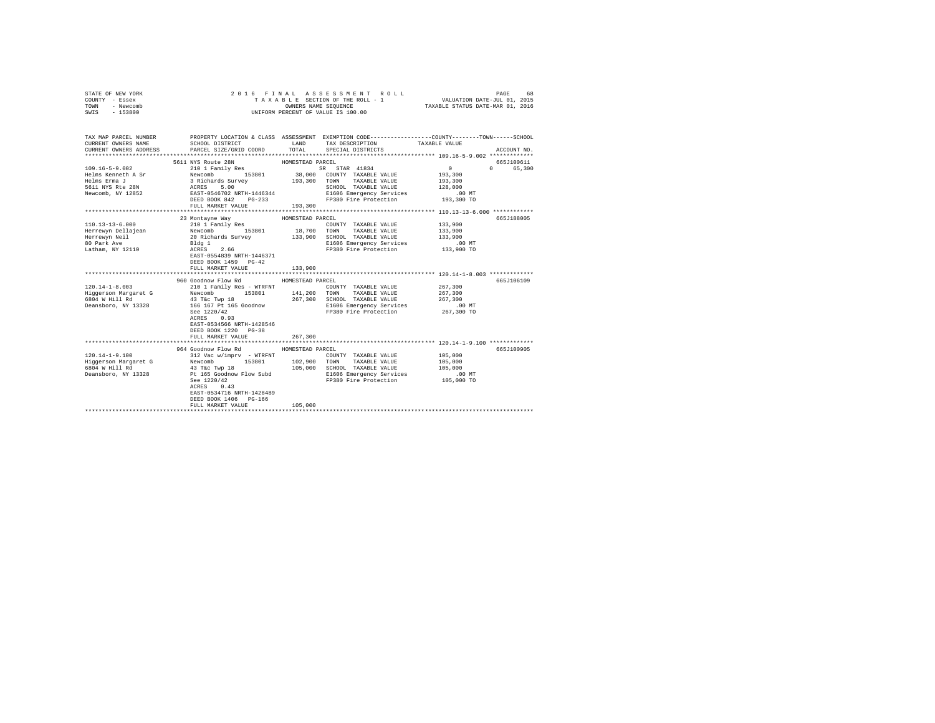| STATE OF NEW YORK<br>COUNTY - Essex<br>TOWN<br>- Newcomb<br>SWIS - 153800                                                                                                                                                                                                                                                                                                                                          |                                                                        |                  | 2016 FINAL ASSESSMENT ROLL<br>UNIFORM PERCENT OF VALUE IS 100.00                  | 68<br>PAGE<br>T A X A B L E SECTION OF THE ROLL - 1 VALUATION DATE-JUL 01, 2015<br>OWNERS NAME SEQUENCE TAXABLE STATUS DATE-MAR 01, 2016 |             |  |
|--------------------------------------------------------------------------------------------------------------------------------------------------------------------------------------------------------------------------------------------------------------------------------------------------------------------------------------------------------------------------------------------------------------------|------------------------------------------------------------------------|------------------|-----------------------------------------------------------------------------------|------------------------------------------------------------------------------------------------------------------------------------------|-------------|--|
| TAX MAP PARCEL NUMBER PROPERTY LOCATION & CLASS ASSESSMENT EXEMPTION CODE--------------COUNTY-------TOWN------SCHOOL                                                                                                                                                                                                                                                                                               |                                                                        |                  |                                                                                   |                                                                                                                                          |             |  |
| CURRENT OWNERS NAME                                                                                                                                                                                                                                                                                                                                                                                                | SCHOOL DISTRICT                                                        |                  | LAND TAX DESCRIPTION<br>TOTAL SPECIAL DISTRICTS                                   | TAXABLE VALUE                                                                                                                            |             |  |
| CURRENT OWNERS ADDRESS                                                                                                                                                                                                                                                                                                                                                                                             | PARCEL SIZE/GRID COORD                                                 |                  |                                                                                   |                                                                                                                                          | ACCOUNT NO. |  |
|                                                                                                                                                                                                                                                                                                                                                                                                                    | 5611 NYS Route 28N                                                     | HOMESTEAD PARCEL |                                                                                   |                                                                                                                                          | 665J100611  |  |
| 109.16-5-9.002                                                                                                                                                                                                                                                                                                                                                                                                     | 210 1 Family Res                                                       |                  | SR STAR 41834                                                                     | $\sim$ 0                                                                                                                                 | 0 65,300    |  |
| ${\small \begin{tabular}{l c c c c c c c c} \multicolumn{1}{c}{\textbf{19.3.00}} & \multicolumn{1}{c}{\textbf{19.3.00}} & \multicolumn{1}{c}{\textbf{19.3.00}} & \multicolumn{1}{c}{\textbf{19.3.00}} & \multicolumn{1}{c}{\textbf{19.3.00}} & \multicolumn{1}{c}{\textbf{19.3.00}} & \multicolumn{1}{c}{\textbf{19.3.00}} & \multicolumn{1}{c}{\textbf{19.3.00}} & \multicolumn{1}{c}{\textbf{19.3.$              |                                                                        |                  |                                                                                   | 193,300                                                                                                                                  |             |  |
|                                                                                                                                                                                                                                                                                                                                                                                                                    |                                                                        |                  |                                                                                   | 193,300                                                                                                                                  |             |  |
|                                                                                                                                                                                                                                                                                                                                                                                                                    |                                                                        |                  | SCHOOL TAXABLE VALUE                                                              | 128,000                                                                                                                                  |             |  |
|                                                                                                                                                                                                                                                                                                                                                                                                                    |                                                                        |                  |                                                                                   | .00 MT                                                                                                                                   |             |  |
|                                                                                                                                                                                                                                                                                                                                                                                                                    |                                                                        |                  | FP380 Fire Protection 193,300 TO                                                  |                                                                                                                                          |             |  |
|                                                                                                                                                                                                                                                                                                                                                                                                                    | FULL MARKET VALUE                                                      | 193,300          |                                                                                   |                                                                                                                                          |             |  |
|                                                                                                                                                                                                                                                                                                                                                                                                                    |                                                                        |                  |                                                                                   |                                                                                                                                          |             |  |
|                                                                                                                                                                                                                                                                                                                                                                                                                    | 23 Montayne Way                                                        | HOMESTEAD PARCEL |                                                                                   |                                                                                                                                          | 665J188005  |  |
| $110.13 - 13 - 6.000$                                                                                                                                                                                                                                                                                                                                                                                              | 210 1 Family Res                                                       |                  | COUNTY TAXABLE VALUE                                                              | 133,900                                                                                                                                  |             |  |
|                                                                                                                                                                                                                                                                                                                                                                                                                    |                                                                        |                  |                                                                                   | 133,900                                                                                                                                  |             |  |
|                                                                                                                                                                                                                                                                                                                                                                                                                    |                                                                        |                  |                                                                                   | 133,900                                                                                                                                  |             |  |
| $\begin{tabular}{l c c c c c c c c} \hline \texttt{Herrewyn Dellajean} & \texttt{Newcomb} & 153801 & 18,700 & \texttt{TONM} & \texttt{TAXABLE VALUE} \\ \hline \texttt{Herrewyn Nell} & 20 & 133,900 & 133,900 & \texttt{SCROOL} & \texttt{TAXABLE VALUE} \\ \hline \texttt{80 Parts} & \texttt{PRU} & \texttt{B101} & \texttt{B102} & \texttt{133,900} & \texttt{SE1606 Emergency Services} \\ \texttt{L161} & \$ |                                                                        |                  | E1606 Emergency Services<br>FP380 Fire Protection                                 | 00 MT.<br>133,900 TO                                                                                                                     |             |  |
|                                                                                                                                                                                                                                                                                                                                                                                                                    | EAST-0554839 NRTH-1446371<br>DEED BOOK 1459 PG-42<br>FULL MARKET VALUE | 133,900          |                                                                                   |                                                                                                                                          |             |  |
|                                                                                                                                                                                                                                                                                                                                                                                                                    |                                                                        |                  |                                                                                   |                                                                                                                                          |             |  |
|                                                                                                                                                                                                                                                                                                                                                                                                                    | 960 Goodnow Flow Rd MOMESTEAD PARCEL                                   |                  |                                                                                   |                                                                                                                                          | 665J106109  |  |
| $120.14 - 1 - 8.003$                                                                                                                                                                                                                                                                                                                                                                                               |                                                                        |                  | COUNTY TAXABLE VALUE                                                              | 267,300                                                                                                                                  |             |  |
| Higgerson Margaret G                                                                                                                                                                                                                                                                                                                                                                                               |                                                                        |                  |                                                                                   | 267,300                                                                                                                                  |             |  |
| 6804 W Hill Rd                                                                                                                                                                                                                                                                                                                                                                                                     | 43 T&C Twp 18                                                          |                  |                                                                                   | 267.300                                                                                                                                  |             |  |
| Deansboro, NY 13328                                                                                                                                                                                                                                                                                                                                                                                                | 15 110 112 10<br>166 167 Pt 165 Goodnow                                |                  | 267,300 SCHOOL TAXABLE VALUE<br>E1606 Emergency Services<br>FP380 Fire Protection | .00 MT                                                                                                                                   |             |  |
|                                                                                                                                                                                                                                                                                                                                                                                                                    | See 1220/42                                                            |                  | FP380 Fire Protection                                                             | 267,300 TO                                                                                                                               |             |  |
|                                                                                                                                                                                                                                                                                                                                                                                                                    | ACRES 0.93                                                             |                  |                                                                                   |                                                                                                                                          |             |  |
|                                                                                                                                                                                                                                                                                                                                                                                                                    | EAST-0534566 NRTH-1428546                                              |                  |                                                                                   |                                                                                                                                          |             |  |
|                                                                                                                                                                                                                                                                                                                                                                                                                    | DEED BOOK 1220 PG-38                                                   |                  |                                                                                   |                                                                                                                                          |             |  |
|                                                                                                                                                                                                                                                                                                                                                                                                                    | FULL MARKET VALUE                                                      | 267,300          |                                                                                   |                                                                                                                                          |             |  |
|                                                                                                                                                                                                                                                                                                                                                                                                                    |                                                                        |                  |                                                                                   |                                                                                                                                          |             |  |
|                                                                                                                                                                                                                                                                                                                                                                                                                    | 964 Goodnow Flow Rd MOMESTEAD PARCEL                                   |                  |                                                                                   | 105,000                                                                                                                                  | 665J100905  |  |
|                                                                                                                                                                                                                                                                                                                                                                                                                    |                                                                        |                  |                                                                                   | 105,000                                                                                                                                  |             |  |
|                                                                                                                                                                                                                                                                                                                                                                                                                    |                                                                        |                  |                                                                                   | 105,000                                                                                                                                  |             |  |
|                                                                                                                                                                                                                                                                                                                                                                                                                    |                                                                        |                  | 105,000 SCHOOL TAXABLE VALUE<br>E1606 Emergency Services                          | .00MT                                                                                                                                    |             |  |
| $\begin{tabular}{lcccc} $120.14-1-9.100$ & $312\text{ Vac w/imprv - WTRFavI} & $102,900\text{ TONRN} & $1.0000\text{ N}^{\prime}$ \\ Higgson Margarev & $1694\text{ W H11 Rd} & $43\text{ Tac Twp 18} & $153601\text{ TNNRABLE VALUE}\\ $6804\text{ W H11 Rd} & $43\text{ Tac Twp 18} & $105,000\text{ SCHODL TAXABLE VALUE}\\ $6804\text{ N}^{\prime}$ & $1322\text{ S} & $1$                                     |                                                                        |                  | FP380 Fire Protection                                                             | 105,000 TO                                                                                                                               |             |  |
|                                                                                                                                                                                                                                                                                                                                                                                                                    | ACRES 0.43                                                             |                  |                                                                                   |                                                                                                                                          |             |  |
|                                                                                                                                                                                                                                                                                                                                                                                                                    | EAST-0534716 NRTH-1428489                                              |                  |                                                                                   |                                                                                                                                          |             |  |
|                                                                                                                                                                                                                                                                                                                                                                                                                    | DEED BOOK 1406 PG-166                                                  |                  |                                                                                   |                                                                                                                                          |             |  |
|                                                                                                                                                                                                                                                                                                                                                                                                                    | FULL MARKET VALUE                                                      | 105,000          |                                                                                   |                                                                                                                                          |             |  |
|                                                                                                                                                                                                                                                                                                                                                                                                                    |                                                                        |                  |                                                                                   |                                                                                                                                          |             |  |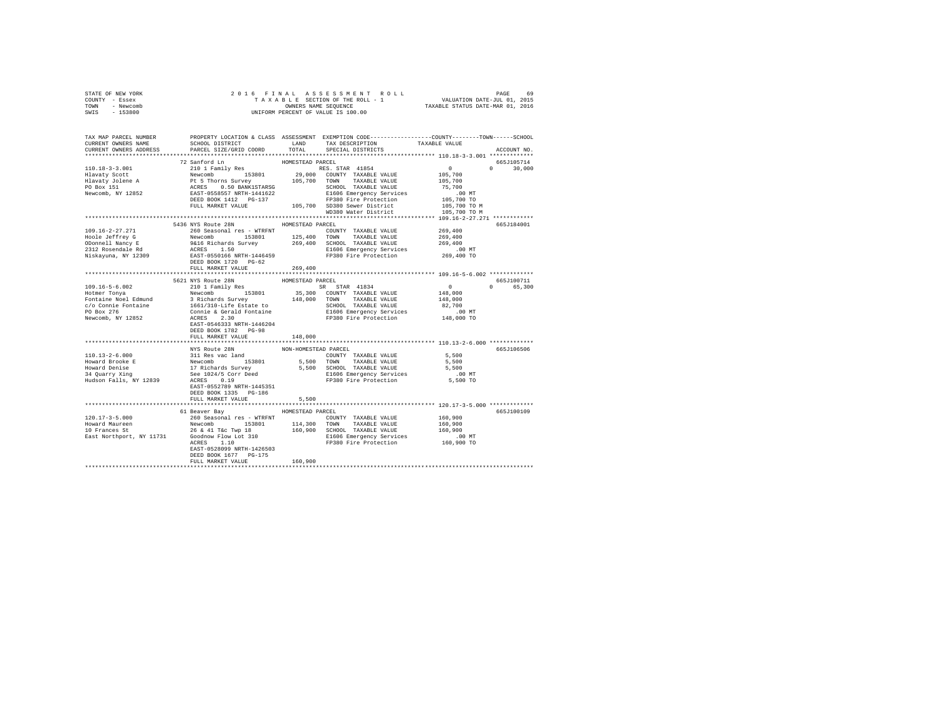| STATE OF NEW YORK | 2016 FINAL ASSESSMENT ROLL         | 69<br>PAGE                       |
|-------------------|------------------------------------|----------------------------------|
| COUNTY - Essex    | TAXABLE SECTION OF THE ROLL - 1    | VALUATION DATE-JUL 01, 2015      |
| - Newcomb<br>TOWN | OWNERS NAME SEOUENCE               | TAXABLE STATUS DATE-MAR 01, 2016 |
| - 153800<br>SWIS  | UNIFORM PERCENT OF VALUE IS 100.00 |                                  |
|                   |                                    |                                  |

| TAX MAP PARCEL NUMBER<br>CURRENT OWNERS NAME                                                                                                                                                                                                                                                                                                                                                                                                                    | SCHOOL DISTRICT                                                                                | LAND                 | PROPERTY LOCATION & CLASS ASSESSMENT EXEMPTION CODE----------------COUNTY-------TOWN------SCHOOL<br>TAX DESCRIPTION | TAXABLE VALUE                                             |                  |
|-----------------------------------------------------------------------------------------------------------------------------------------------------------------------------------------------------------------------------------------------------------------------------------------------------------------------------------------------------------------------------------------------------------------------------------------------------------------|------------------------------------------------------------------------------------------------|----------------------|---------------------------------------------------------------------------------------------------------------------|-----------------------------------------------------------|------------------|
| CURRENT OWNERS ADDRESS                                                                                                                                                                                                                                                                                                                                                                                                                                          | PARCEL SIZE/GRID COORD                                                                         | TOTAL                | SPECIAL DISTRICTS                                                                                                   |                                                           | ACCOUNT NO.      |
|                                                                                                                                                                                                                                                                                                                                                                                                                                                                 |                                                                                                |                      |                                                                                                                     |                                                           |                  |
|                                                                                                                                                                                                                                                                                                                                                                                                                                                                 | 72 Sanford Ln                                                                                  | HOMESTEAD PARCEL     |                                                                                                                     |                                                           | 665J105714       |
|                                                                                                                                                                                                                                                                                                                                                                                                                                                                 |                                                                                                |                      |                                                                                                                     | $\sim$ 0                                                  |                  |
|                                                                                                                                                                                                                                                                                                                                                                                                                                                                 |                                                                                                |                      |                                                                                                                     |                                                           | $0 \t 30,000$    |
|                                                                                                                                                                                                                                                                                                                                                                                                                                                                 |                                                                                                |                      |                                                                                                                     | 105,700                                                   |                  |
| $\begin{tabular}{l c c c c c} \multicolumn{4}{c}{\textbf{A}} & \multicolumn{4}{c}{\textbf{A}} & \multicolumn{4}{c}{\textbf{B}} & \multicolumn{4}{c}{\textbf{B}} & \multicolumn{4}{c}{\textbf{B}} & \multicolumn{4}{c}{\textbf{B}} & \multicolumn{4}{c}{\textbf{B}} & \multicolumn{4}{c}{\textbf{B}} & \multicolumn{4}{c}{\textbf{B}} & \multicolumn{4}{c}{\textbf{B}} & \multicolumn{4}{c}{\textbf{B}} & \multicolumn{4}{c}{\textbf{B}} & \multicolumn{4}{c}{\$ |                                                                                                |                      |                                                                                                                     | 105,700                                                   |                  |
|                                                                                                                                                                                                                                                                                                                                                                                                                                                                 |                                                                                                |                      |                                                                                                                     | 75,700                                                    |                  |
|                                                                                                                                                                                                                                                                                                                                                                                                                                                                 |                                                                                                |                      |                                                                                                                     |                                                           |                  |
|                                                                                                                                                                                                                                                                                                                                                                                                                                                                 |                                                                                                |                      |                                                                                                                     | es<br>00 MT<br>105,700 TO<br>105,700 TO M<br>105,700 TO M |                  |
|                                                                                                                                                                                                                                                                                                                                                                                                                                                                 |                                                                                                |                      |                                                                                                                     |                                                           |                  |
|                                                                                                                                                                                                                                                                                                                                                                                                                                                                 |                                                                                                |                      | WD380 Water District                                                                                                |                                                           |                  |
|                                                                                                                                                                                                                                                                                                                                                                                                                                                                 |                                                                                                |                      |                                                                                                                     |                                                           |                  |
|                                                                                                                                                                                                                                                                                                                                                                                                                                                                 | 5436 NYS Route 28N                                                                             | HOMESTEAD PARCEL     |                                                                                                                     |                                                           | 665J184001       |
| $109.16 - 2 - 27.271$                                                                                                                                                                                                                                                                                                                                                                                                                                           | 260 Seasonal res - WTRFNT                                                                      |                      | COUNTY TAXABLE VALUE                                                                                                | 269,400                                                   |                  |
|                                                                                                                                                                                                                                                                                                                                                                                                                                                                 |                                                                                                |                      |                                                                                                                     | 269,400                                                   |                  |
|                                                                                                                                                                                                                                                                                                                                                                                                                                                                 |                                                                                                |                      |                                                                                                                     | 269,400                                                   |                  |
|                                                                                                                                                                                                                                                                                                                                                                                                                                                                 |                                                                                                |                      | E1606 Emergency Services .00 MT<br>FP380 Fire Protection 269,400 TO                                                 |                                                           |                  |
| Niskayuna, NY 12309                                                                                                                                                                                                                                                                                                                                                                                                                                             | EAST-0550166 NRTH-1446459                                                                      |                      |                                                                                                                     |                                                           |                  |
|                                                                                                                                                                                                                                                                                                                                                                                                                                                                 | DEED BOOK 1720 PG-62                                                                           |                      |                                                                                                                     |                                                           |                  |
|                                                                                                                                                                                                                                                                                                                                                                                                                                                                 | FULL MARKET VALUE                                                                              | 269,400              |                                                                                                                     |                                                           |                  |
|                                                                                                                                                                                                                                                                                                                                                                                                                                                                 |                                                                                                |                      | ********************************** 109.16-5-6.002 *************                                                     |                                                           |                  |
|                                                                                                                                                                                                                                                                                                                                                                                                                                                                 | 5621 NYS Route 28N                                                                             | HOMESTEAD PARCEL     |                                                                                                                     |                                                           | 665J100711       |
| $109.16 - 5 - 6.002$                                                                                                                                                                                                                                                                                                                                                                                                                                            | 210 1 Family Res                                                                               |                      | SR STAR 41834                                                                                                       | $\sim$ 0                                                  | $\cap$<br>65,300 |
| Hotmer Tonya                                                                                                                                                                                                                                                                                                                                                                                                                                                    | Newcomb 153801 35,300 COUNTY TAXABLE VALUE                                                     |                      |                                                                                                                     | 148,000                                                   |                  |
|                                                                                                                                                                                                                                                                                                                                                                                                                                                                 |                                                                                                |                      |                                                                                                                     | 148,000                                                   |                  |
|                                                                                                                                                                                                                                                                                                                                                                                                                                                                 |                                                                                                |                      |                                                                                                                     | 82,700                                                    |                  |
|                                                                                                                                                                                                                                                                                                                                                                                                                                                                 |                                                                                                |                      |                                                                                                                     | $.00$ MT                                                  |                  |
| Newcomb, NY 12852                                                                                                                                                                                                                                                                                                                                                                                                                                               | ACRES 2.30                                                                                     |                      | FP380 Fire Protection 148,000 TO                                                                                    |                                                           |                  |
|                                                                                                                                                                                                                                                                                                                                                                                                                                                                 | EAST-0546333 NRTH-1446204                                                                      |                      |                                                                                                                     |                                                           |                  |
|                                                                                                                                                                                                                                                                                                                                                                                                                                                                 | DEED BOOK 1782 PG-98                                                                           |                      |                                                                                                                     |                                                           |                  |
|                                                                                                                                                                                                                                                                                                                                                                                                                                                                 | FULL MARKET VALUE                                                                              | 148,000              |                                                                                                                     |                                                           |                  |
|                                                                                                                                                                                                                                                                                                                                                                                                                                                                 |                                                                                                |                      |                                                                                                                     |                                                           |                  |
|                                                                                                                                                                                                                                                                                                                                                                                                                                                                 | NYS Route 28N                                                                                  | NON-HOMESTEAD PARCEL |                                                                                                                     |                                                           | 665J106506       |
| $110.13 - 2 - 6.000$                                                                                                                                                                                                                                                                                                                                                                                                                                            |                                                                                                |                      | COUNTY TAXABLE VALUE                                                                                                | 5,500                                                     |                  |
| Howard Brooke E                                                                                                                                                                                                                                                                                                                                                                                                                                                 |                                                                                                |                      |                                                                                                                     |                                                           |                  |
|                                                                                                                                                                                                                                                                                                                                                                                                                                                                 |                                                                                                |                      | 5,500 TOWN TAXABLE VALUE                                                                                            | 5,500                                                     |                  |
| Howard Denise                                                                                                                                                                                                                                                                                                                                                                                                                                                   |                                                                                                |                      | 5,500 SCHOOL TAXABLE VALUE                                                                                          | 5,500                                                     |                  |
| 34 Quarry Xing                                                                                                                                                                                                                                                                                                                                                                                                                                                  | 311 Res vac land<br>Newcomb 153801<br>17 Richards Survey<br>See 1024/5 Corr Deed<br>ACRES 0.19 |                      | E1606 Emergency Services                                                                                            | $.00$ MT                                                  |                  |
| Hudson Falls, NY 12839                                                                                                                                                                                                                                                                                                                                                                                                                                          | ACRES 0.19                                                                                     |                      | FP380 Fire Protection                                                                                               | 5,500 TO                                                  |                  |
|                                                                                                                                                                                                                                                                                                                                                                                                                                                                 | EAST-0552789 NRTH-1445351                                                                      |                      |                                                                                                                     |                                                           |                  |
|                                                                                                                                                                                                                                                                                                                                                                                                                                                                 | DEED BOOK 1335 PG-186                                                                          |                      |                                                                                                                     |                                                           |                  |
|                                                                                                                                                                                                                                                                                                                                                                                                                                                                 | FULL MARKET VALUE                                                                              | 5,500                |                                                                                                                     |                                                           |                  |
|                                                                                                                                                                                                                                                                                                                                                                                                                                                                 |                                                                                                |                      |                                                                                                                     |                                                           |                  |
|                                                                                                                                                                                                                                                                                                                                                                                                                                                                 | 61 Beaver Bay                                                                                  | HOMESTEAD PARCEL     |                                                                                                                     |                                                           | 665J100109       |
| $120.17 - 3 - 5.000$                                                                                                                                                                                                                                                                                                                                                                                                                                            | 260 Seasonal res - WTRFNT                                                                      |                      | COUNTY TAXABLE VALUE                                                                                                | 160,900                                                   |                  |
| Howard Maureen<br>10 Frances St                                                                                                                                                                                                                                                                                                                                                                                                                                 | Newcomb 153801<br>26 & 41 T&c Twp 18<br>-1 $7 \wedge 310$<br>153801 114,300 TOWN               |                      | TAXABLE VALUE                                                                                                       | 160,900                                                   |                  |
|                                                                                                                                                                                                                                                                                                                                                                                                                                                                 |                                                                                                |                      | 160,900 SCHOOL TAXABLE VALUE                                                                                        | 160,900                                                   |                  |
| East Northport, NY 11731 Goodnow Flow Lot 310<br>ACRES 1.10                                                                                                                                                                                                                                                                                                                                                                                                     |                                                                                                |                      | E1606 Emergency Services                                                                                            | 00 MT.<br>160,900 TO                                      |                  |
|                                                                                                                                                                                                                                                                                                                                                                                                                                                                 | ACRES 1.10                                                                                     |                      | FP380 Fire Protection                                                                                               |                                                           |                  |
|                                                                                                                                                                                                                                                                                                                                                                                                                                                                 | EAST-0528099 NRTH-1426503                                                                      |                      |                                                                                                                     |                                                           |                  |
|                                                                                                                                                                                                                                                                                                                                                                                                                                                                 | DEED BOOK 1677 PG-175                                                                          |                      |                                                                                                                     |                                                           |                  |
|                                                                                                                                                                                                                                                                                                                                                                                                                                                                 | FULL MARKET VALUE                                                                              | 160,900              |                                                                                                                     |                                                           |                  |
|                                                                                                                                                                                                                                                                                                                                                                                                                                                                 |                                                                                                |                      |                                                                                                                     |                                                           |                  |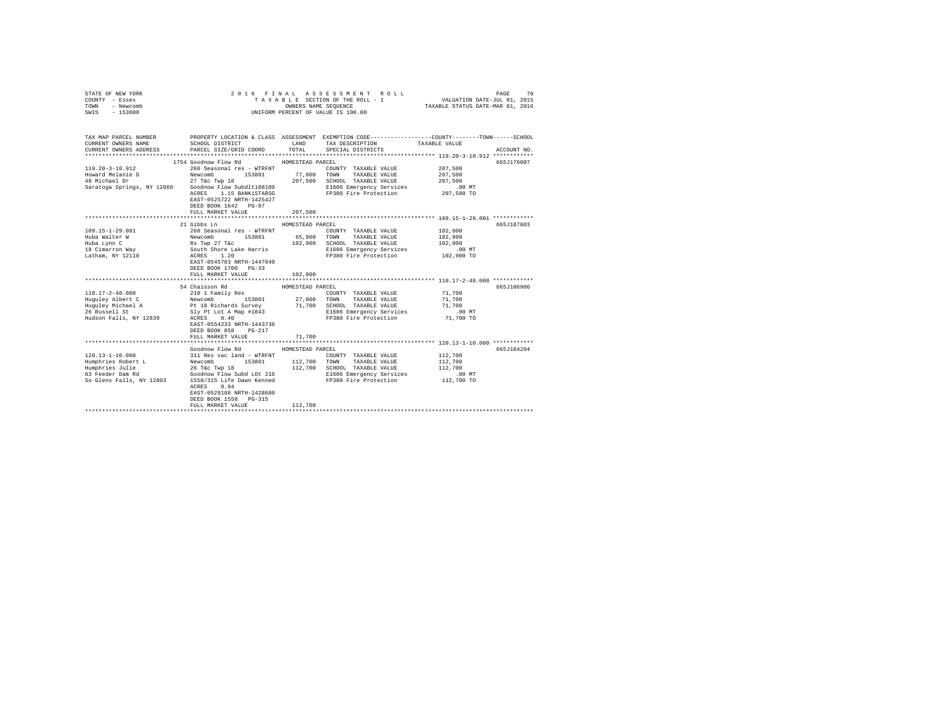| STATE OF NEW YORK<br>COUNTY - Essex<br>TOWN<br>- Newcomb<br>SWIS<br>$-153800$                                  | 2016 FINAL                                                                                                                                                                                                                                                             | OWNERS NAME SEOUENCE                                   | ASSESSMENT ROLL<br>TAXABLE SECTION OF THE ROLL - 1<br>UNIFORM PERCENT OF VALUE IS 100.00                                                                                                 | VALUATION DATE-JUL 01, 2015<br>TAXABLE STATUS DATE-MAR 01, 2016 | 70<br>PAGE  |
|----------------------------------------------------------------------------------------------------------------|------------------------------------------------------------------------------------------------------------------------------------------------------------------------------------------------------------------------------------------------------------------------|--------------------------------------------------------|------------------------------------------------------------------------------------------------------------------------------------------------------------------------------------------|-----------------------------------------------------------------|-------------|
| TAX MAP PARCEL NUMBER<br>CURRENT OWNERS NAME<br>CURRENT OWNERS ADDRESS                                         | SCHOOL DISTRICT<br>PARCEL SIZE/GRID COORD                                                                                                                                                                                                                              | LAND<br>TOTAL                                          | PROPERTY LOCATION & CLASS ASSESSMENT EXEMPTION CODE---------------COUNTY-------TOWN------SCHOOL<br>TAX DESCRIPTION<br>SPECIAL DISTRICTS                                                  | TAXABLE VALUE                                                   | ACCOUNT NO. |
| 119.20-3-10.912<br>Howard Melanie D<br>48 Michael Dr<br>Saratoga Springs, NY 12866 Goodnow Flow Subdlt108109   | 1754 Goodnow Flow Rd<br>260 Seasonal res - WTRFNT<br>Newcomb<br>153801<br>27 T&c Twp 18<br>ACRES 1.15 BANK1STARSG<br>EAST-0525722 NRTH-1425427<br>DEED BOOK 1642 PG-97<br>FULL MARKET VALUE                                                                            | HOMESTEAD PARCEL<br>77,800<br>207,500                  | COUNTY TAXABLE VALUE<br>TOWN<br>TAXABLE VALUE<br>207,500 SCHOOL TAXABLE VALUE<br>E1606 Emergency Services<br>FP380 Fire Protection                                                       | 207,500<br>207,500<br>207,500<br>$.00$ MT<br>207,500 TO         | 665J176007  |
| 109.15-1-29.001<br>Huba Walter W<br>Huba Lynn C<br>18 Cimarron Way<br>Latham, NY 12110                         | 21 Gibbs Ln<br>260 Seasonal res - WTRFNT<br>Newcomb 153801<br>Rs Twp 27 T&c<br>South Shore Lake Harris<br>ACRES 1.20<br>EAST-0545783 NRTH-1447049<br>DEED BOOK 1700 PG-33<br>FULL MARKET VALUE                                                                         | HOMESTEAD PARCEL<br>65,900<br>102,900<br>102,900       | COUNTY TAXABLE VALUE<br>TOWN<br>TAXABLE VALUE<br>SCHOOL TAXABLE VALUE<br>E1606 Emergency Services<br>FP380 Fire Protection                                                               | 102,900<br>102,900<br>102,900<br>$.00$ MT<br>102,900 TO         | 665J187003  |
| 110.17-2-48.000<br>Huguley Albert C<br>Huguley Michael A<br>26 Russell St<br>Hudson Falls, NY 12839            | 54 Chaisson Rd<br>210 1 Family Res<br>153801<br>Newcomb<br>Pt 18 Richards Survey<br>Sly Pt Lot A Map #1843<br>ACRES 0.40<br>EAST-0554233 NRTH-1443736<br>DEED BOOK 858 PG-217<br>FULL MARKET VALUE                                                                     | HOMESTEAD PARCEL<br>27,000<br>71,700<br>71,700         | COUNTY TAXABLE VALUE<br>TOWN<br>TAXABLE VALUE<br>SCHOOL TAXABLE VALUE<br>E1606 Emergency Services<br>FP380 Fire Protection<br>***************************** 120.13-1-10.000 ************ | 71,700<br>71,700<br>71,700<br>$.00$ MT<br>71,700 TO             | 665J106906  |
| $120.13 - 1 - 10.000$<br>Humphries Robert L<br>Humphries Julie<br>63 Feeder Dam Rd<br>So Glens Falls, NY 12803 | Goodnow Flow Rd<br>311 Res vac land - WTRFNT<br>Newcomb<br>153801<br>26 T&C Twp 18<br>Goodnow Flow Subd LOt 216<br>1558/315 Life Dawn Kenned<br>0.94<br>ACRES<br>EAST-0529188 NRTH-1428680<br>DEED BOOK 1558 PG-315<br>FULL MARKET VALUE<br>************************** | HOMESTEAD PARCEL<br>112,700 TOWN<br>112,700<br>112,700 | COUNTY TAXABLE VALUE<br>TAXABLE VALUE<br>SCHOOL TAXABLE VALUE<br>E1606 Emergency Services<br>FP380 Fire Protection                                                                       | 112,700<br>112,700<br>112,700<br>.00 MT<br>112,700 TO           | 665J104204  |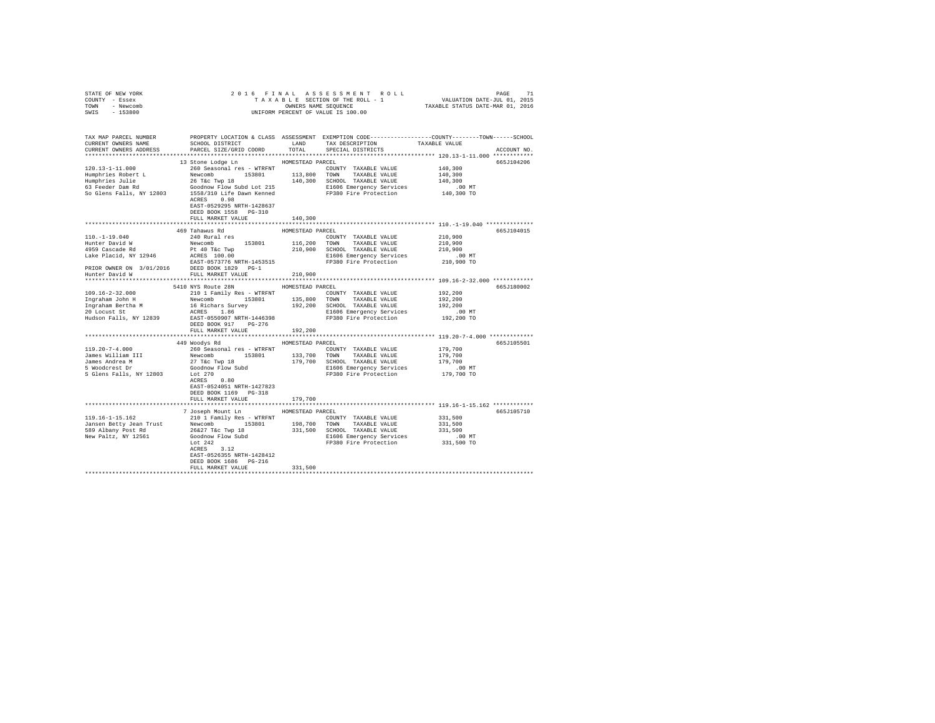| STATE OF NEW YORK                                                                                                                                                                                                                                                                                                                                                                       |                                                   |         |  |             |
|-----------------------------------------------------------------------------------------------------------------------------------------------------------------------------------------------------------------------------------------------------------------------------------------------------------------------------------------------------------------------------------------|---------------------------------------------------|---------|--|-------------|
| COUNTY - Essex                                                                                                                                                                                                                                                                                                                                                                          |                                                   |         |  |             |
| TOWN - Newcomb                                                                                                                                                                                                                                                                                                                                                                          |                                                   |         |  |             |
| SWIS - 153800                                                                                                                                                                                                                                                                                                                                                                           |                                                   |         |  |             |
|                                                                                                                                                                                                                                                                                                                                                                                         |                                                   |         |  |             |
|                                                                                                                                                                                                                                                                                                                                                                                         |                                                   |         |  |             |
| TAX MAP PARCEL NUMBER PROPERTY LOCATION & CLASS ASSESSMENT EXEMPTION CODE---------------COUNTY-------TOWN------SCHOOL<br>CURRENT OWNERS NAME SCHOOL DISTRICT LAND TAX DESCRIPTION TAXABLE VALUE                                                                                                                                                                                         |                                                   |         |  |             |
|                                                                                                                                                                                                                                                                                                                                                                                         |                                                   |         |  |             |
| CURRENT OWNERS ADDRESS PARCEL SIZE/GRID COORD TOTAL SPECIAL DISTRICTS                                                                                                                                                                                                                                                                                                                   |                                                   |         |  | ACCOUNT NO. |
|                                                                                                                                                                                                                                                                                                                                                                                         |                                                   |         |  |             |
|                                                                                                                                                                                                                                                                                                                                                                                         | 13 Stone Lodge Ln MOMESTEAD PARCEL                |         |  | 665J104206  |
|                                                                                                                                                                                                                                                                                                                                                                                         |                                                   |         |  |             |
|                                                                                                                                                                                                                                                                                                                                                                                         |                                                   |         |  |             |
|                                                                                                                                                                                                                                                                                                                                                                                         |                                                   |         |  |             |
|                                                                                                                                                                                                                                                                                                                                                                                         |                                                   |         |  |             |
| $\begin{tabular}{l c c c c c c c c} \hline 120.13-1-11.000 & \multicolumn{3}{c c c c} \hline \multicolumn{3}{c c c} \multicolumn{3}{c c c} \multicolumn{3}{c c c} \multicolumn{3}{c c c} \multicolumn{3}{c c c} \multicolumn{3}{c c c} \multicolumn{3}{c c c} \multicolumn{3}{c c c} \multicolumn{3}{c c c} \multicolumn{3}{c c c} \multicolumn{3}{c c c} \multicolumn{3}{c c c} \mult$ |                                                   |         |  |             |
|                                                                                                                                                                                                                                                                                                                                                                                         |                                                   |         |  |             |
|                                                                                                                                                                                                                                                                                                                                                                                         | EAST-0529295 NRTH-1428637                         |         |  |             |
|                                                                                                                                                                                                                                                                                                                                                                                         | DEED BOOK 1558 PG-310                             |         |  |             |
|                                                                                                                                                                                                                                                                                                                                                                                         | FULL MARKET VALUE                                 | 140,300 |  |             |
|                                                                                                                                                                                                                                                                                                                                                                                         |                                                   |         |  |             |
|                                                                                                                                                                                                                                                                                                                                                                                         |                                                   |         |  | 665J104015  |
|                                                                                                                                                                                                                                                                                                                                                                                         |                                                   |         |  |             |
|                                                                                                                                                                                                                                                                                                                                                                                         |                                                   |         |  |             |
|                                                                                                                                                                                                                                                                                                                                                                                         |                                                   |         |  |             |
|                                                                                                                                                                                                                                                                                                                                                                                         |                                                   |         |  |             |
|                                                                                                                                                                                                                                                                                                                                                                                         |                                                   |         |  |             |
|                                                                                                                                                                                                                                                                                                                                                                                         |                                                   |         |  |             |
|                                                                                                                                                                                                                                                                                                                                                                                         |                                                   |         |  |             |
|                                                                                                                                                                                                                                                                                                                                                                                         |                                                   |         |  |             |
|                                                                                                                                                                                                                                                                                                                                                                                         |                                                   |         |  |             |
|                                                                                                                                                                                                                                                                                                                                                                                         | 5410 NYS Route 28N HOMESTEAD PARCEL               |         |  | 665J180002  |
|                                                                                                                                                                                                                                                                                                                                                                                         |                                                   |         |  |             |
|                                                                                                                                                                                                                                                                                                                                                                                         |                                                   |         |  |             |
|                                                                                                                                                                                                                                                                                                                                                                                         |                                                   |         |  |             |
|                                                                                                                                                                                                                                                                                                                                                                                         |                                                   |         |  |             |
|                                                                                                                                                                                                                                                                                                                                                                                         |                                                   |         |  |             |
|                                                                                                                                                                                                                                                                                                                                                                                         | DEED BOOK 917 PG-276<br>FULL MARKET VALUE 192,200 |         |  |             |
|                                                                                                                                                                                                                                                                                                                                                                                         |                                                   |         |  |             |
|                                                                                                                                                                                                                                                                                                                                                                                         |                                                   |         |  |             |
|                                                                                                                                                                                                                                                                                                                                                                                         | 449 Woodys Rd MOMESTEAD PARCEL                    |         |  | 665J105501  |
|                                                                                                                                                                                                                                                                                                                                                                                         |                                                   |         |  |             |
|                                                                                                                                                                                                                                                                                                                                                                                         |                                                   |         |  |             |
|                                                                                                                                                                                                                                                                                                                                                                                         |                                                   |         |  |             |
|                                                                                                                                                                                                                                                                                                                                                                                         |                                                   |         |  |             |
|                                                                                                                                                                                                                                                                                                                                                                                         |                                                   |         |  |             |
|                                                                                                                                                                                                                                                                                                                                                                                         | ACRES 0.80                                        |         |  |             |
|                                                                                                                                                                                                                                                                                                                                                                                         | EAST-0524051 NRTH-1427823                         |         |  |             |
|                                                                                                                                                                                                                                                                                                                                                                                         | DEED BOOK 1169 PG-318                             |         |  |             |
|                                                                                                                                                                                                                                                                                                                                                                                         | FULL MARKET VALUE                                 | 179,700 |  |             |
|                                                                                                                                                                                                                                                                                                                                                                                         |                                                   |         |  |             |
|                                                                                                                                                                                                                                                                                                                                                                                         | 7 Joseph Mount Ln HOMESTEAD PARCEL                |         |  | 665J105710  |
|                                                                                                                                                                                                                                                                                                                                                                                         |                                                   |         |  |             |
|                                                                                                                                                                                                                                                                                                                                                                                         |                                                   |         |  |             |
|                                                                                                                                                                                                                                                                                                                                                                                         |                                                   |         |  |             |
|                                                                                                                                                                                                                                                                                                                                                                                         |                                                   |         |  |             |
|                                                                                                                                                                                                                                                                                                                                                                                         |                                                   |         |  |             |
|                                                                                                                                                                                                                                                                                                                                                                                         |                                                   |         |  |             |
|                                                                                                                                                                                                                                                                                                                                                                                         | EAST-0526355 NRTH-1428412                         |         |  |             |
|                                                                                                                                                                                                                                                                                                                                                                                         | DEED BOOK 1686 PG-216                             |         |  |             |
|                                                                                                                                                                                                                                                                                                                                                                                         | FULL MARKET VALUE                                 | 331,500 |  |             |
|                                                                                                                                                                                                                                                                                                                                                                                         |                                                   |         |  |             |
|                                                                                                                                                                                                                                                                                                                                                                                         |                                                   |         |  |             |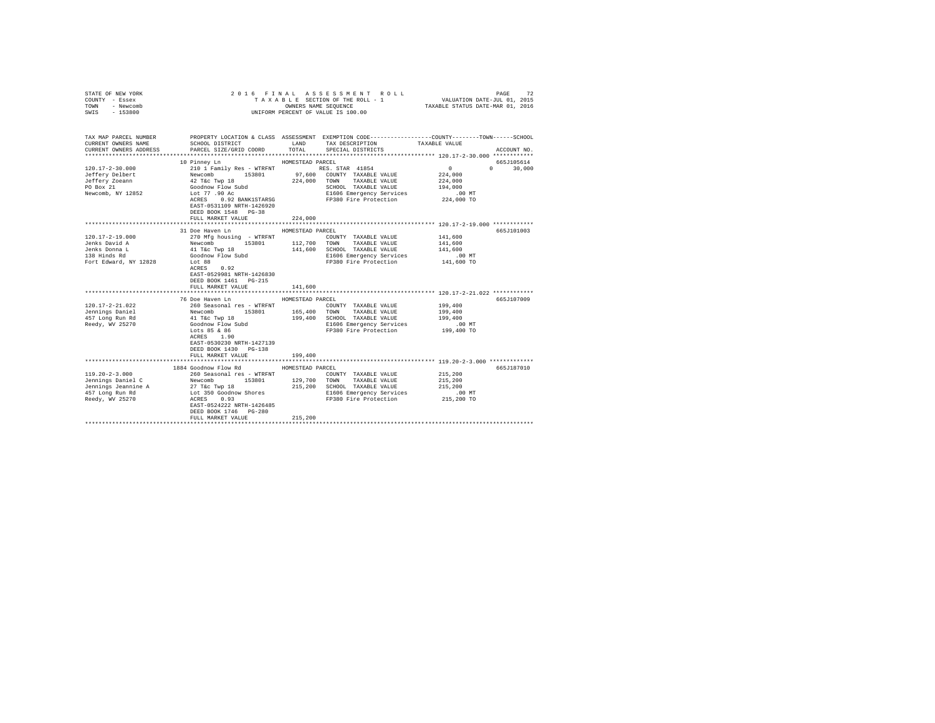| STATE OF NEW YORK<br>COUNTY - Essex<br>TOWN - Newcomb<br>SWIS - 153800                                                                                                                                                                      |                                                                                                                                                                                                                                                  |                  | UNIFORM PERCENT OF VALUE IS 100.00                                                             |                                                                  |  |
|---------------------------------------------------------------------------------------------------------------------------------------------------------------------------------------------------------------------------------------------|--------------------------------------------------------------------------------------------------------------------------------------------------------------------------------------------------------------------------------------------------|------------------|------------------------------------------------------------------------------------------------|------------------------------------------------------------------|--|
|                                                                                                                                                                                                                                             |                                                                                                                                                                                                                                                  |                  |                                                                                                |                                                                  |  |
| TAX MAP PARCEL NUMBER                                                                                                                                                                                                                       |                                                                                                                                                                                                                                                  |                  | PROPERTY LOCATION & CLASS ASSESSMENT EXEMPTION CODE---------------COUNTY-------TOWN-----SCHOOL |                                                                  |  |
| CURRENT OWNERS NAME                                                                                                                                                                                                                         | SCHOOL DISTRICT                                                                                                                                                                                                                                  | TOTAL            | LAND TAX DESCRIPTION TAXABLE VALUE                                                             |                                                                  |  |
| CURRENT OWNERS ADDRESS                                                                                                                                                                                                                      | PARCEL SIZE/GRID COORD                                                                                                                                                                                                                           |                  | SPECIAL DISTRICTS                                                                              | ACCOUNT NO.                                                      |  |
|                                                                                                                                                                                                                                             | 10 Pinney Ln                                                                                                                                                                                                                                     | HOMESTEAD PARCEL |                                                                                                | 665J105614                                                       |  |
| $120.17 - 2 - 30.000$                                                                                                                                                                                                                       |                                                                                                                                                                                                                                                  |                  |                                                                                                | $\mathbf{0}$<br>$0 \t 30,000$                                    |  |
| Jeffery Delbert                                                                                                                                                                                                                             |                                                                                                                                                                                                                                                  |                  |                                                                                                | 224,000                                                          |  |
| Jeffery Zoeann                                                                                                                                                                                                                              |                                                                                                                                                                                                                                                  |                  |                                                                                                | 224,000                                                          |  |
| PO Box 21                                                                                                                                                                                                                                   |                                                                                                                                                                                                                                                  |                  |                                                                                                | 194,000                                                          |  |
| Newcomb, NY 12852                                                                                                                                                                                                                           |                                                                                                                                                                                                                                                  |                  | SCHOOD INDUCED<br>E1606 Emergency Services                                                     | $.00$ MT                                                         |  |
|                                                                                                                                                                                                                                             | ACRES 0.92 BANK1STARSG                                                                                                                                                                                                                           |                  | FP380 Fire Protection 224,000 TO                                                               |                                                                  |  |
|                                                                                                                                                                                                                                             | EAST-0531109 NRTH-1426920                                                                                                                                                                                                                        |                  |                                                                                                |                                                                  |  |
|                                                                                                                                                                                                                                             | DEED BOOK 1548 PG-38                                                                                                                                                                                                                             |                  |                                                                                                |                                                                  |  |
|                                                                                                                                                                                                                                             | FULL MARKET VALUE                                                                                                                                                                                                                                | 224,000          |                                                                                                |                                                                  |  |
|                                                                                                                                                                                                                                             | 31 Doe Haven Ln                                                                                                                                                                                                                                  | HOMESTEAD PARCEL |                                                                                                | 665J101003                                                       |  |
| 120.17-2-19.000                                                                                                                                                                                                                             | 270 Mfg housing - WTRFNT                                                                                                                                                                                                                         |                  | COUNTY TAXABLE VALUE                                                                           | 141,600                                                          |  |
| Jenks David A                                                                                                                                                                                                                               |                                                                                                                                                                                                                                                  |                  |                                                                                                | 141,600                                                          |  |
|                                                                                                                                                                                                                                             |                                                                                                                                                                                                                                                  |                  |                                                                                                | 141,600                                                          |  |
| Jenks Donna L<br>138 Hinds Rd<br>138 Hinds Rd                                                                                                                                                                                               | Newcomb 153801 112,700 TOWN TAXABLE VALUE<br>41 Tax 199 141,600 141,600 NGC 141,600 173<br>Goodnow Flow Subd 141,600 E1600 mergency Services                                                                                                     |                  | 141,600 SCHOOL TAXABLE VALUE<br>E1606 Emergency Services                                       | .00 MT                                                           |  |
| Fort Edward, NY 12828                                                                                                                                                                                                                       | Lot 88                                                                                                                                                                                                                                           |                  | FP380 Fire Protection 141,600 TO                                                               |                                                                  |  |
|                                                                                                                                                                                                                                             | ACRES 0.92                                                                                                                                                                                                                                       |                  |                                                                                                |                                                                  |  |
|                                                                                                                                                                                                                                             | EAST-0529981 NRTH-1426830                                                                                                                                                                                                                        |                  |                                                                                                |                                                                  |  |
|                                                                                                                                                                                                                                             | DEED BOOK 1461 PG-215                                                                                                                                                                                                                            |                  |                                                                                                |                                                                  |  |
|                                                                                                                                                                                                                                             | FULL MARKET VALUE                                                                                                                                                                                                                                | 141,600          |                                                                                                |                                                                  |  |
|                                                                                                                                                                                                                                             | 76 Doe Haven Ln                                                                                                                                                                                                                                  | HOMESTEAD PARCEL |                                                                                                | 665J107009                                                       |  |
| 120.17-2-21.022                                                                                                                                                                                                                             |                                                                                                                                                                                                                                                  |                  |                                                                                                | 199,400                                                          |  |
| Jennings Daniel                                                                                                                                                                                                                             |                                                                                                                                                                                                                                                  |                  |                                                                                                | 199,400                                                          |  |
| 457 Long Run Rd                                                                                                                                                                                                                             |                                                                                                                                                                                                                                                  |                  |                                                                                                | 199,400                                                          |  |
| Reedy, WV 25270                                                                                                                                                                                                                             |                                                                                                                                                                                                                                                  |                  |                                                                                                |                                                                  |  |
|                                                                                                                                                                                                                                             | 260 Seasonal res - WTRFNT<br>MOWELL COUNTY TAXABLE VALUE<br>Newcomb 153801 165,400 TOWN TAXABLE VALUE<br>41 TEC TWP 18 199,400 SCHOOL TAXABLE VALUE<br>40 GOOD TAXABLE VALUE<br>40 SCHOOL TAXABLE VALUE<br>55 & 86<br>55 & 86<br>ACRES 1.90<br>A |                  | E1606 Emergency Services .00 MT<br>FP380 Fire Protection 199,400 TO                            |                                                                  |  |
|                                                                                                                                                                                                                                             | ACRES 1.90                                                                                                                                                                                                                                       |                  |                                                                                                |                                                                  |  |
|                                                                                                                                                                                                                                             | EAST-0530230 NRTH-1427139                                                                                                                                                                                                                        |                  |                                                                                                |                                                                  |  |
|                                                                                                                                                                                                                                             | DEED BOOK 1430 PG-138                                                                                                                                                                                                                            |                  |                                                                                                |                                                                  |  |
|                                                                                                                                                                                                                                             | FULL MARKET VALUE                                                                                                                                                                                                                                | 199,400          |                                                                                                |                                                                  |  |
|                                                                                                                                                                                                                                             |                                                                                                                                                                                                                                                  |                  |                                                                                                | ********************************** 119.20-2-3.000 ************** |  |
|                                                                                                                                                                                                                                             | 1884 Goodnow Flow Rd MOMESTEAD PARCEL                                                                                                                                                                                                            |                  |                                                                                                | 665J187010                                                       |  |
| $119.20 - 2 - 3.000$                                                                                                                                                                                                                        | 260 Seasonal res - WTRFNT                                                                                                                                                                                                                        |                  | COUNTY TAXABLE VALUE                                                                           | 215,200<br>215,200                                               |  |
|                                                                                                                                                                                                                                             |                                                                                                                                                                                                                                                  |                  |                                                                                                | 215,200                                                          |  |
|                                                                                                                                                                                                                                             |                                                                                                                                                                                                                                                  |                  | E1606 Emergency Services                                                                       |                                                                  |  |
|                                                                                                                                                                                                                                             |                                                                                                                                                                                                                                                  |                  | FP380 Fire Protection                                                                          | .00 MT.<br>215,200 TO                                            |  |
| 119.20-2-3.000<br>1997 - 2000 1998 - 2000 1999 - 2000 1999 - 2010 1999 - 2010 1999 - 2010 1999 - 215,200<br>129,700 TOWN TAXABLE VALUE<br>3901 - 225,200 SCHOOL TAXABLE VALUE<br>457 Long Run Rd<br>457 Long Run Rd<br>457 Long Run Rd<br>4 |                                                                                                                                                                                                                                                  |                  |                                                                                                |                                                                  |  |
|                                                                                                                                                                                                                                             | DEED BOOK 1746 PG-280                                                                                                                                                                                                                            |                  |                                                                                                |                                                                  |  |
|                                                                                                                                                                                                                                             | FULL MARKET VALUE                                                                                                                                                                                                                                | 215,200          |                                                                                                |                                                                  |  |
|                                                                                                                                                                                                                                             |                                                                                                                                                                                                                                                  |                  |                                                                                                |                                                                  |  |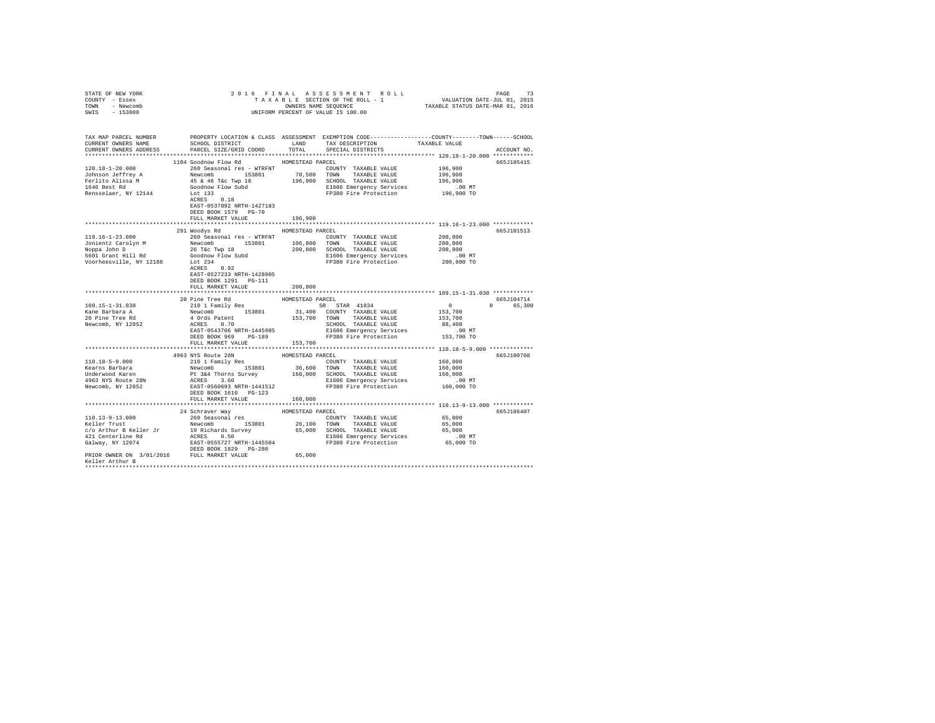| STATE OF NEW YORK                                                                                                                                                                                                                                                                                                                                                                                               |                                                                                                                                                                                                                                        |                    |                                                                     |                                               |             |
|-----------------------------------------------------------------------------------------------------------------------------------------------------------------------------------------------------------------------------------------------------------------------------------------------------------------------------------------------------------------------------------------------------------------|----------------------------------------------------------------------------------------------------------------------------------------------------------------------------------------------------------------------------------------|--------------------|---------------------------------------------------------------------|-----------------------------------------------|-------------|
| COUNTY - Essex                                                                                                                                                                                                                                                                                                                                                                                                  |                                                                                                                                                                                                                                        |                    |                                                                     |                                               |             |
| TOWN - Newcomb                                                                                                                                                                                                                                                                                                                                                                                                  |                                                                                                                                                                                                                                        |                    |                                                                     |                                               |             |
| SWIS - 153800                                                                                                                                                                                                                                                                                                                                                                                                   |                                                                                                                                                                                                                                        |                    |                                                                     |                                               |             |
|                                                                                                                                                                                                                                                                                                                                                                                                                 |                                                                                                                                                                                                                                        |                    |                                                                     |                                               |             |
|                                                                                                                                                                                                                                                                                                                                                                                                                 |                                                                                                                                                                                                                                        |                    |                                                                     |                                               |             |
| TAX MAP PARCEL NUMBER PROPERTY LOCATION & CLASS ASSESSMENT EXEMPTION CODE--------------COUNTY-------TOWN-----SCHOOL                                                                                                                                                                                                                                                                                             |                                                                                                                                                                                                                                        |                    |                                                                     |                                               |             |
| CURRENT OWNERS NAME                                                                                                                                                                                                                                                                                                                                                                                             | SCHOOL DISTRICT LAND TAX DESCRIPTION                                                                                                                                                                                                   |                    |                                                                     | TAXABLE VALUE                                 |             |
| CURRENT OWNERS ADDRESS                                                                                                                                                                                                                                                                                                                                                                                          | PARCEL SIZE/GRID COORD                                                                                                                                                                                                                 | TOTAL              | SPECIAL DISTRICTS                                                   |                                               | ACCOUNT NO. |
|                                                                                                                                                                                                                                                                                                                                                                                                                 |                                                                                                                                                                                                                                        |                    |                                                                     |                                               |             |
|                                                                                                                                                                                                                                                                                                                                                                                                                 | 1104 Goodnow Flow Rd                                                                                                                                                                                                                   | HOMESTEAD PARCEL   |                                                                     |                                               | 665J105415  |
| $120.18 - 1 - 20.000$                                                                                                                                                                                                                                                                                                                                                                                           | 260 Seasonal res - WTRFNT                                                                                                                                                                                                              |                    | COUNTY TAXABLE VALUE                                                | 196,900                                       |             |
|                                                                                                                                                                                                                                                                                                                                                                                                                 |                                                                                                                                                                                                                                        |                    |                                                                     | 196,900                                       |             |
| Johnson Jeffrey A<br>Ferlito Alissa M                                                                                                                                                                                                                                                                                                                                                                           |                                                                                                                                                                                                                                        |                    |                                                                     | 196,900                                       |             |
| 1646 Best Rd                                                                                                                                                                                                                                                                                                                                                                                                    |                                                                                                                                                                                                                                        |                    |                                                                     |                                               |             |
| Rensselaer, NY 12144                                                                                                                                                                                                                                                                                                                                                                                            | New Yorks and the Same Handel Handel Walue<br>193801 70,500 TOWN TAXABLE VALUE<br>45 & 46 Taxa (1978) 196,900 SCHODL TAXABLE VALUE<br>45 & 46 Taxa (1979) 196,900 SCHODL TAXABLE VALUE<br>COGÓNOW FLOW SUM FOR FOREST CONTRACT PRESS O |                    | E1606 Emergency Services .00 MT<br>FP380 Fire Protection 196,900 TO |                                               |             |
|                                                                                                                                                                                                                                                                                                                                                                                                                 |                                                                                                                                                                                                                                        |                    |                                                                     |                                               |             |
|                                                                                                                                                                                                                                                                                                                                                                                                                 | EAST-0537892 NRTH-1427183                                                                                                                                                                                                              |                    |                                                                     |                                               |             |
|                                                                                                                                                                                                                                                                                                                                                                                                                 | DEED BOOK 1579 PG-70                                                                                                                                                                                                                   |                    |                                                                     |                                               |             |
|                                                                                                                                                                                                                                                                                                                                                                                                                 | FULL MARKET VALUE                                                                                                                                                                                                                      | 196,900            |                                                                     |                                               |             |
|                                                                                                                                                                                                                                                                                                                                                                                                                 | ****************************                                                                                                                                                                                                           | ****************** |                                                                     | **************** 119.16-1-23.000 ************ |             |
|                                                                                                                                                                                                                                                                                                                                                                                                                 | 291 Woodys Rd                                                                                                                                                                                                                          | HOMESTEAD PARCEL   |                                                                     |                                               | 665J101513  |
| $119.16 - 1 - 23.000$                                                                                                                                                                                                                                                                                                                                                                                           | 260 Seasonal res - WTRFNT                                                                                                                                                                                                              |                    | COUNTY TAXABLE VALUE                                                | 200,800                                       |             |
|                                                                                                                                                                                                                                                                                                                                                                                                                 |                                                                                                                                                                                                                                        |                    |                                                                     |                                               |             |
|                                                                                                                                                                                                                                                                                                                                                                                                                 |                                                                                                                                                                                                                                        |                    |                                                                     | 200,800                                       |             |
|                                                                                                                                                                                                                                                                                                                                                                                                                 |                                                                                                                                                                                                                                        |                    |                                                                     | 200,800                                       |             |
|                                                                                                                                                                                                                                                                                                                                                                                                                 |                                                                                                                                                                                                                                        |                    |                                                                     | .00 MT                                        |             |
|                                                                                                                                                                                                                                                                                                                                                                                                                 |                                                                                                                                                                                                                                        |                    |                                                                     | 200,800 TO                                    |             |
|                                                                                                                                                                                                                                                                                                                                                                                                                 |                                                                                                                                                                                                                                        |                    |                                                                     |                                               |             |
|                                                                                                                                                                                                                                                                                                                                                                                                                 | EAST-0527233 NRTH-1428905                                                                                                                                                                                                              |                    |                                                                     |                                               |             |
|                                                                                                                                                                                                                                                                                                                                                                                                                 | DEED BOOK 1291   PG-111                                                                                                                                                                                                                |                    |                                                                     |                                               |             |
|                                                                                                                                                                                                                                                                                                                                                                                                                 | FULL MARKET VALUE                                                                                                                                                                                                                      | 200,800            |                                                                     |                                               |             |
|                                                                                                                                                                                                                                                                                                                                                                                                                 |                                                                                                                                                                                                                                        |                    |                                                                     |                                               |             |
|                                                                                                                                                                                                                                                                                                                                                                                                                 | 20 Pine Tree Rd<br>210 1 Family Res                                                                                                                                                                                                    | HOMESTEAD PARCEL   |                                                                     |                                               | 665J104714  |
| 109.15-1-31.030                                                                                                                                                                                                                                                                                                                                                                                                 | $\begin{tabular}{lllllllllllll} 210&1\text{ Family Res} & \text{SR} & \text{STR} & 41834 \\ \text{Newcomb} & 153801 & 31,400 & \text{COUNTY} & \text{TAXABLE VALUE} \end{tabular}$                                                     |                    |                                                                     | $\overline{0}$                                | 0 65,300    |
| Kane Barbara A                                                                                                                                                                                                                                                                                                                                                                                                  |                                                                                                                                                                                                                                        |                    |                                                                     | 153,700                                       |             |
| 20 Pine Tree Rd                                                                                                                                                                                                                                                                                                                                                                                                 |                                                                                                                                                                                                                                        |                    |                                                                     |                                               |             |
| Newcomb, NY 12852                                                                                                                                                                                                                                                                                                                                                                                               |                                                                                                                                                                                                                                        |                    |                                                                     |                                               |             |
|                                                                                                                                                                                                                                                                                                                                                                                                                 |                                                                                                                                                                                                                                        |                    |                                                                     |                                               |             |
|                                                                                                                                                                                                                                                                                                                                                                                                                 |                                                                                                                                                                                                                                        |                    |                                                                     |                                               |             |
|                                                                                                                                                                                                                                                                                                                                                                                                                 |                                                                                                                                                                                                                                        |                    |                                                                     |                                               |             |
|                                                                                                                                                                                                                                                                                                                                                                                                                 |                                                                                                                                                                                                                                        |                    |                                                                     |                                               |             |
|                                                                                                                                                                                                                                                                                                                                                                                                                 | 4963 NYS Route 28N                                                                                                                                                                                                                     | HOMESTEAD PARCEL   |                                                                     |                                               | 665J100708  |
| 110.18-5-9.000<br>Kearns Barbara                                                                                                                                                                                                                                                                                                                                                                                | 210 1 Family Res                                                                                                                                                                                                                       |                    | COUNTY TAXABLE VALUE 160,000                                        |                                               |             |
|                                                                                                                                                                                                                                                                                                                                                                                                                 |                                                                                                                                                                                                                                        |                    |                                                                     |                                               |             |
| 110.18-b-y.uou and Mewcomb 153801 36,600 TOWN TAXABLE VALUE 160,000<br>The Barbara Part of Sa4 Thorns Survey 160,000 SCHOOL TAXABLE VALUE<br>1963 NYS Route 28N PC 364 Thorns Survey 160,000 SCHOOL TAXABLE VALUE<br>1963 NYS Route                                                                                                                                                                             |                                                                                                                                                                                                                                        |                    |                                                                     |                                               |             |
|                                                                                                                                                                                                                                                                                                                                                                                                                 |                                                                                                                                                                                                                                        |                    |                                                                     |                                               |             |
|                                                                                                                                                                                                                                                                                                                                                                                                                 |                                                                                                                                                                                                                                        |                    |                                                                     |                                               |             |
|                                                                                                                                                                                                                                                                                                                                                                                                                 | DEED BOOK 1610 PG-123                                                                                                                                                                                                                  |                    |                                                                     |                                               |             |
|                                                                                                                                                                                                                                                                                                                                                                                                                 | FULL MARKET VALUE                                                                                                                                                                                                                      | 160,000            |                                                                     |                                               |             |
|                                                                                                                                                                                                                                                                                                                                                                                                                 |                                                                                                                                                                                                                                        |                    |                                                                     |                                               |             |
|                                                                                                                                                                                                                                                                                                                                                                                                                 | 24 Schraver Way                                                                                                                                                                                                                        | HOMESTEAD PARCEL   |                                                                     |                                               | 665J106407  |
|                                                                                                                                                                                                                                                                                                                                                                                                                 |                                                                                                                                                                                                                                        |                    | COUNTY TAXABLE VALUE 65,000                                         |                                               |             |
|                                                                                                                                                                                                                                                                                                                                                                                                                 |                                                                                                                                                                                                                                        |                    |                                                                     | 65,000                                        |             |
|                                                                                                                                                                                                                                                                                                                                                                                                                 |                                                                                                                                                                                                                                        |                    |                                                                     | 65,000                                        |             |
|                                                                                                                                                                                                                                                                                                                                                                                                                 |                                                                                                                                                                                                                                        |                    |                                                                     | $.00$ MT                                      |             |
|                                                                                                                                                                                                                                                                                                                                                                                                                 |                                                                                                                                                                                                                                        |                    |                                                                     | 65,000 TO                                     |             |
| $\begin{tabular}{l c c c c c} \multicolumn{1}{c}{\textbf{110.13-9-13.000}} & \multicolumn{1}{c}{\textbf{49. CCLUATE}} & \multicolumn{1}{c}{\textbf{HOMESTFAD} PARC} & \multicolumn{1}{c}{\textbf{260.008}} & \multicolumn{1}{c}{\textbf{HOMESTFAD} PARC} & \multicolumn{1}{c}{\textbf{28.008}} & \multicolumn{1}{c}{\textbf{29.008}} & \multicolumn{1}{c}{\textbf{20.008}} & \multicolumn{1}{c}{\textbf{20.008$ | DEED BOOK 1829 PG-280                                                                                                                                                                                                                  |                    |                                                                     |                                               |             |
| PRIOR OWNER ON 3/01/2016 FULL MARKET VALUE                                                                                                                                                                                                                                                                                                                                                                      |                                                                                                                                                                                                                                        | 65,000             |                                                                     |                                               |             |
| Keller Arthur B                                                                                                                                                                                                                                                                                                                                                                                                 |                                                                                                                                                                                                                                        |                    |                                                                     |                                               |             |
|                                                                                                                                                                                                                                                                                                                                                                                                                 |                                                                                                                                                                                                                                        |                    |                                                                     |                                               |             |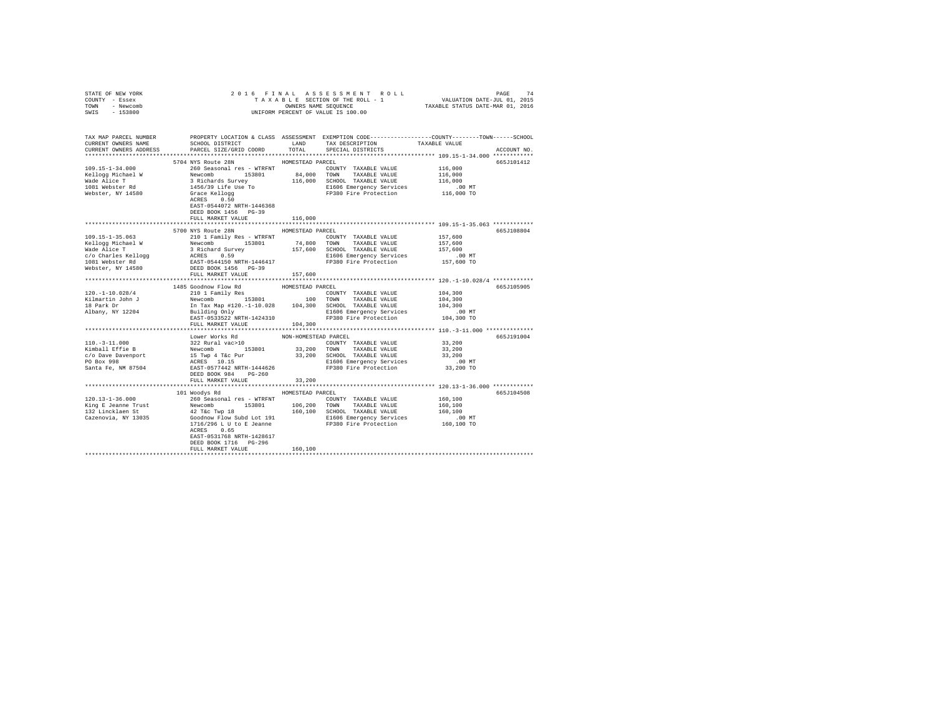| COUNTY - Essex<br>TOWN - Newcomb                                                                                                                                                                                                         |                                            |         |                      |         |             |
|------------------------------------------------------------------------------------------------------------------------------------------------------------------------------------------------------------------------------------------|--------------------------------------------|---------|----------------------|---------|-------------|
| SWIS - 153800                                                                                                                                                                                                                            | UNIFORM PERCENT OF VALUE IS 100.00         |         |                      |         |             |
|                                                                                                                                                                                                                                          |                                            |         |                      |         |             |
| TAX MAP PARCEL NUMBER     PROPERTY LOCATION & CLASS ASSESSMENT EXEMPTION CODE---------------COUNTY-------TOWN------SCHOOL DISTRICT     LAND   TAX DESCRIPTION     TAXABLE VALUE                                                          |                                            |         |                      |         |             |
|                                                                                                                                                                                                                                          |                                            |         |                      |         |             |
|                                                                                                                                                                                                                                          |                                            |         |                      |         | ACCOUNT NO. |
|                                                                                                                                                                                                                                          |                                            |         |                      |         |             |
|                                                                                                                                                                                                                                          | 5704 NYS Route 28N HOMESTEAD PARCEL        |         |                      |         | 665J101412  |
|                                                                                                                                                                                                                                          |                                            |         |                      |         |             |
|                                                                                                                                                                                                                                          |                                            |         |                      |         |             |
|                                                                                                                                                                                                                                          |                                            |         |                      |         |             |
|                                                                                                                                                                                                                                          |                                            |         |                      |         |             |
|                                                                                                                                                                                                                                          |                                            |         |                      |         |             |
|                                                                                                                                                                                                                                          | EAST-0544072 NRTH-1446368                  |         |                      |         |             |
|                                                                                                                                                                                                                                          | DEED BOOK 1456 PG-39                       |         |                      |         |             |
|                                                                                                                                                                                                                                          | FULL MARKET VALUE                          | 116,000 |                      |         |             |
|                                                                                                                                                                                                                                          |                                            |         |                      |         |             |
|                                                                                                                                                                                                                                          | 5700 NYS Route 28N HOMESTEAD PARCEL        |         |                      |         | 665J108804  |
| 109.15-1-35.063                                                                                                                                                                                                                          | 210 1 Family Res - WTRFNT                  |         | COUNTY TAXABLE VALUE | 157,600 |             |
|                                                                                                                                                                                                                                          |                                            |         |                      |         |             |
|                                                                                                                                                                                                                                          |                                            |         |                      |         |             |
| 1991.1-1-35.003<br>ERILOGY PRESS (1992) 1991.1 (2001) 1991.1 (2001) 1991.1 (2001)<br>Wellogy Michael W 2002 (2002) 157,600<br>2002 C/O Charles Rellogy 2CHOL TAXABLE VAUUE<br>2002 C/O Charles Rellogy 2CHOL TAXABLE VAUUE<br>2002 C/O C |                                            |         |                      |         |             |
|                                                                                                                                                                                                                                          |                                            |         |                      |         |             |
|                                                                                                                                                                                                                                          |                                            |         |                      |         |             |
|                                                                                                                                                                                                                                          |                                            |         |                      |         |             |
|                                                                                                                                                                                                                                          |                                            |         |                      |         | 665J105905  |
|                                                                                                                                                                                                                                          |                                            |         |                      |         |             |
|                                                                                                                                                                                                                                          |                                            |         |                      |         |             |
|                                                                                                                                                                                                                                          |                                            |         |                      |         |             |
|                                                                                                                                                                                                                                          |                                            |         |                      |         |             |
|                                                                                                                                                                                                                                          |                                            |         |                      |         |             |
|                                                                                                                                                                                                                                          | FULL MARKET VALUE 104,300                  |         |                      |         |             |
|                                                                                                                                                                                                                                          |                                            |         |                      |         |             |
|                                                                                                                                                                                                                                          |                                            |         |                      |         | 665J191004  |
|                                                                                                                                                                                                                                          |                                            |         |                      |         |             |
|                                                                                                                                                                                                                                          |                                            |         |                      |         |             |
|                                                                                                                                                                                                                                          |                                            |         |                      |         |             |
|                                                                                                                                                                                                                                          |                                            |         |                      |         |             |
|                                                                                                                                                                                                                                          |                                            |         |                      |         |             |
|                                                                                                                                                                                                                                          | FULL MARKET VALUE                          | 33,200  |                      |         |             |
|                                                                                                                                                                                                                                          |                                            |         |                      |         |             |
|                                                                                                                                                                                                                                          | 101 Woodys Rd MOMESTEAD PARCEL             |         |                      |         | 665J104508  |
|                                                                                                                                                                                                                                          |                                            |         |                      |         |             |
|                                                                                                                                                                                                                                          |                                            |         |                      |         |             |
|                                                                                                                                                                                                                                          |                                            |         |                      |         |             |
|                                                                                                                                                                                                                                          |                                            |         |                      |         |             |
|                                                                                                                                                                                                                                          |                                            |         |                      |         |             |
|                                                                                                                                                                                                                                          | ACRES 0.65                                 |         |                      |         |             |
|                                                                                                                                                                                                                                          | EAST-0531768 NRTH-1428617                  |         |                      |         |             |
|                                                                                                                                                                                                                                          | DEED BOOK 1716 PG-296<br>FULL MARKET VALUE |         |                      |         |             |
|                                                                                                                                                                                                                                          |                                            | 160,100 |                      |         |             |
|                                                                                                                                                                                                                                          |                                            |         |                      |         |             |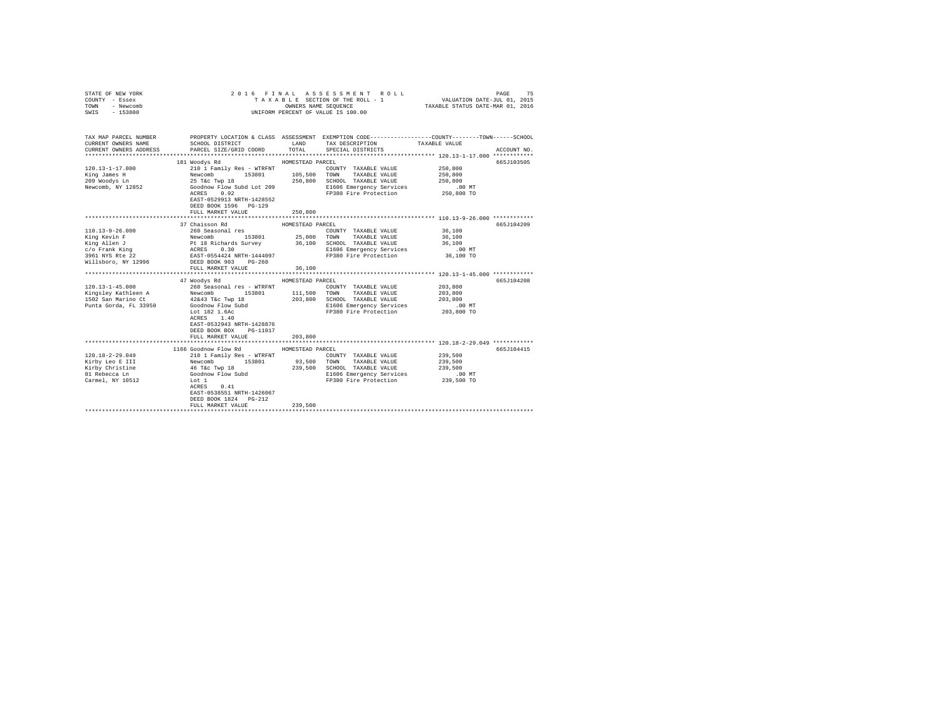| COUNTY - Essex<br>TOWN<br>- Newcomb<br>SWIS<br>$-153800$                                                                                                            | TAXABLE SECTION OF THE ROLL - 1<br>OWNERS NAME SEQUENCE<br>UNIFORM PERCENT OF VALUE IS 100.00                                                                                                                                                                                                                     |                                                                                     |                                                                                                                                                                                                                                                  | VALUATION DATE-JUL 01, 2015<br>TAXABLE STATUS DATE-MAR 01, 2016                                                |                          |
|---------------------------------------------------------------------------------------------------------------------------------------------------------------------|-------------------------------------------------------------------------------------------------------------------------------------------------------------------------------------------------------------------------------------------------------------------------------------------------------------------|-------------------------------------------------------------------------------------|--------------------------------------------------------------------------------------------------------------------------------------------------------------------------------------------------------------------------------------------------|----------------------------------------------------------------------------------------------------------------|--------------------------|
| TAX MAP PARCEL NUMBER<br>CURRENT OWNERS NAME<br>CURRENT OWNERS ADDRESS                                                                                              | SCHOOL DISTRICT<br>PARCEL SIZE/GRID COORD                                                                                                                                                                                                                                                                         | LAND<br>TOTAL                                                                       | PROPERTY LOCATION & CLASS ASSESSMENT EXEMPTION CODE---------------COUNTY-------TOWN------SCHOOL<br>TAX DESCRIPTION<br>SPECIAL DISTRICTS                                                                                                          | TAXABLE VALUE                                                                                                  | ACCOUNT NO.              |
|                                                                                                                                                                     | 181 Woodys Rd                                                                                                                                                                                                                                                                                                     | HOMESTEAD PARCEL                                                                    |                                                                                                                                                                                                                                                  |                                                                                                                | 665J103505               |
| 120.13-1-17.000<br>King James H<br>209 Woodys Ln<br>Newcomb, NY 12852                                                                                               | 210 1 Family Res - WTRFNT<br>Newcomb 153801<br>25 T&c Twp 18<br>153801<br>Goodnow Flow Subd Lot 209<br>ACRES<br>0.92<br>EAST-0529913 NRTH-1428552                                                                                                                                                                 | 105,500<br>250,800                                                                  | COUNTY TAXABLE VALUE<br>TOWN<br>TAXABLE VALUE<br>SCHOOL TAXABLE VALUE<br>E1606 Emergency Services<br>FP380 Fire Protection                                                                                                                       | 250,800<br>250,800<br>250,800<br>$.00$ MT<br>$250,800$ TO                                                      |                          |
|                                                                                                                                                                     | DEED BOOK 1596 PG-129                                                                                                                                                                                                                                                                                             |                                                                                     |                                                                                                                                                                                                                                                  |                                                                                                                |                          |
|                                                                                                                                                                     | FULL MARKET VALUE                                                                                                                                                                                                                                                                                                 | 250,800                                                                             |                                                                                                                                                                                                                                                  |                                                                                                                |                          |
|                                                                                                                                                                     |                                                                                                                                                                                                                                                                                                                   |                                                                                     |                                                                                                                                                                                                                                                  |                                                                                                                |                          |
| $110.13 - 9 - 26.000$<br>King Kevin F<br>King Allen J<br>c/o Frank King<br>3961 NYS Rte 22<br>Willsboro, NY 12996<br>$120.13 - 1 - 45.000$<br>Punta Gorda, FL 33950 | 37 Chaisson Rd<br>260 Seasonal res<br>Newcomb 153801 25,000<br>Pt 18 Richards Survey 36,100<br>ACRES 0.30<br>RAST-0554424 NRTH-1444097<br>DEED BOOK 903 PG-260<br>FULL MARKET VALUE<br>47 Woodys Rd<br>260 Seasonal res - WTRFNT<br>Goodnow Flow Subd<br>Lot 182 1.6Ac<br>ACRES 1.40<br>EAST-0532943 NRTH-1428876 | HOMESTEAD PARCEL<br>25,000 TOWN<br>36,100<br>HOMESTEAD PARCEL<br>111,500<br>203,800 | COUNTY TAXABLE VALUE<br>TAXABLE VALUE<br>SCHOOL TAXABLE VALUE<br>E1606 Emergency Services<br>FP380 Fire Protection<br>COUNTY TAXABLE VALUE<br>TOWN<br>TAXABLE VALUE<br>SCHOOL TAXABLE VALUE<br>E1606 Emergency Services<br>FP380 Fire Protection | 36,100<br>36,100<br>36,100<br>$.00$ MT<br>36,100 TO<br>203,800<br>203,800<br>203,800<br>$.00$ MT<br>203,800 TO | 665J104209<br>665J104208 |
|                                                                                                                                                                     | DEED BOOK BOX<br>PG-11017<br>FULL MARKET VALUE                                                                                                                                                                                                                                                                    | 203,800                                                                             |                                                                                                                                                                                                                                                  |                                                                                                                |                          |
|                                                                                                                                                                     |                                                                                                                                                                                                                                                                                                                   |                                                                                     |                                                                                                                                                                                                                                                  |                                                                                                                |                          |
| $120.18 - 2 - 29.049$<br>Kirby Leo E III<br>Kirby Christine<br>81 Rebecca Ln<br>Carmel, NY 10512                                                                    | 1166 Goodnow Flow Rd<br>210 1 Family Res - WTRFNT<br>153801<br>Newcomb 153801<br>46 T&c Twp 18<br>Goodnow Flow Subd<br>Lot 1<br>ACRES<br>0.41<br>EAST-0538551 NRTH-1426067<br>DEED BOOK 1824 PG-212<br>FULL MARKET VALUE                                                                                          | HOMESTEAD PARCEL<br>93,500<br>239,500                                               | COUNTY TAXABLE VALUE<br>TOWN<br>TAXABLE VALUE<br>239,500 SCHOOL TAXABLE VALUE<br>E1606 Emergency Services<br>FP380 Fire Protection                                                                                                               | 239,500<br>239,500<br>239,500<br>00 MT.<br>239,500 TO                                                          | 665J104415               |
|                                                                                                                                                                     |                                                                                                                                                                                                                                                                                                                   |                                                                                     |                                                                                                                                                                                                                                                  |                                                                                                                |                          |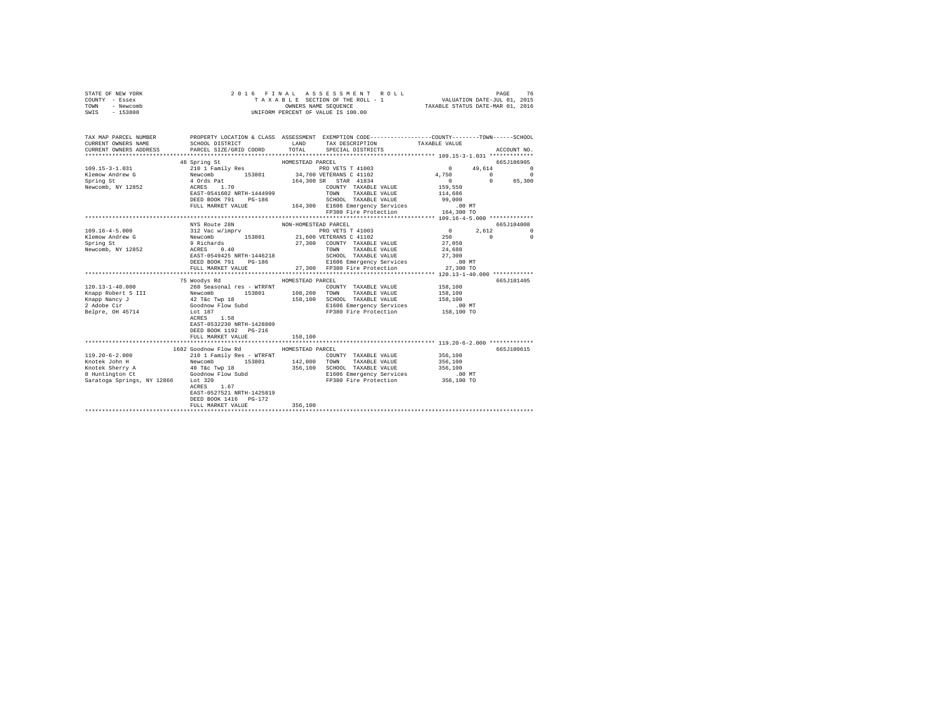| STATE OF NEW YORK<br>COUNTY - Essex<br>TOWN<br>- Newcomb<br>SWIS - 153800                                                                                                                                                                                                                     |                                                                                                                                                                                                                                                                                                                                                                                                          |                      | 6 FINAL ASSESSMENT ROLL (2015)<br>TAXABLE SECTION OF THE ROLL - 1 (2015)<br>OWNERS NAME SEQUENCE (2015) TAXABLE STATUS DATE-JUL (2015)<br>2016 FINAL ASSESSMENT ROLL<br>UNIFORM PERCENT OF VALUE IS 100.00 |                    |                          |
|-----------------------------------------------------------------------------------------------------------------------------------------------------------------------------------------------------------------------------------------------------------------------------------------------|----------------------------------------------------------------------------------------------------------------------------------------------------------------------------------------------------------------------------------------------------------------------------------------------------------------------------------------------------------------------------------------------------------|----------------------|------------------------------------------------------------------------------------------------------------------------------------------------------------------------------------------------------------|--------------------|--------------------------|
|                                                                                                                                                                                                                                                                                               |                                                                                                                                                                                                                                                                                                                                                                                                          |                      |                                                                                                                                                                                                            |                    |                          |
| TAX MAP PARCEL NUMBER PROPERTY LOCATION & CLASS ASSESSMENT EXEMPTION CODE--------------COUNTY-------TOWN------SCHOOL                                                                                                                                                                          |                                                                                                                                                                                                                                                                                                                                                                                                          |                      |                                                                                                                                                                                                            |                    |                          |
| CURRENT OWNERS NAME<br>CURRENT OWNERS ADDRESS                                                                                                                                                                                                                                                 | SCHOOL DISTRICT<br>PARCEL SIZE/GRID COORD TOTAL SPECIAL DISTRICTS                                                                                                                                                                                                                                                                                                                                        |                      | LAND TAX DESCRIPTION TAXABLE VALUE                                                                                                                                                                         |                    | ACCOUNT NO.              |
|                                                                                                                                                                                                                                                                                               |                                                                                                                                                                                                                                                                                                                                                                                                          |                      |                                                                                                                                                                                                            |                    |                          |
|                                                                                                                                                                                                                                                                                               | 48 Spring St                                                                                                                                                                                                                                                                                                                                                                                             | HOMESTEAD PARCEL     |                                                                                                                                                                                                            |                    | 665J106905               |
| $\begin{tabular}{cccccc} 109.15-3-1.031 & 210117 and 19868 & 20117 and 19868 & 20117 and 1028 & 20117 and 1028 & 20117 and 1028 & 20117 and 1028 & 20117 and 1028 & 20117 and 20117 & 20117 and 20117 & 20117 and 20117 & 20117 & 20117 & 20117 & 20117 & 20117 & 20117 & 20117 & 20117 & 20$ |                                                                                                                                                                                                                                                                                                                                                                                                          |                      |                                                                                                                                                                                                            |                    |                          |
|                                                                                                                                                                                                                                                                                               |                                                                                                                                                                                                                                                                                                                                                                                                          |                      |                                                                                                                                                                                                            |                    |                          |
|                                                                                                                                                                                                                                                                                               |                                                                                                                                                                                                                                                                                                                                                                                                          |                      |                                                                                                                                                                                                            |                    |                          |
|                                                                                                                                                                                                                                                                                               |                                                                                                                                                                                                                                                                                                                                                                                                          |                      |                                                                                                                                                                                                            |                    |                          |
|                                                                                                                                                                                                                                                                                               |                                                                                                                                                                                                                                                                                                                                                                                                          |                      |                                                                                                                                                                                                            |                    |                          |
|                                                                                                                                                                                                                                                                                               | DEED BOOK 791 PG-186                                                                                                                                                                                                                                                                                                                                                                                     |                      | SCHOOL TAXABLE VALUE 99,000<br>164,300 E1606 Emergency Services .00 MT                                                                                                                                     |                    |                          |
|                                                                                                                                                                                                                                                                                               | FULL MARKET VALUE                                                                                                                                                                                                                                                                                                                                                                                        |                      |                                                                                                                                                                                                            |                    |                          |
|                                                                                                                                                                                                                                                                                               |                                                                                                                                                                                                                                                                                                                                                                                                          |                      | FP380 Fire Protection                                                                                                                                                                                      | 164,300 TO         |                          |
|                                                                                                                                                                                                                                                                                               |                                                                                                                                                                                                                                                                                                                                                                                                          |                      |                                                                                                                                                                                                            |                    |                          |
| $109.16 - 4 - 5.000$                                                                                                                                                                                                                                                                          | NYS Route 28N                                                                                                                                                                                                                                                                                                                                                                                            | NON-HOMESTEAD PARCEL |                                                                                                                                                                                                            |                    | 665J104008<br>$2,612$ 0  |
| Klemow Andrew G                                                                                                                                                                                                                                                                               |                                                                                                                                                                                                                                                                                                                                                                                                          |                      |                                                                                                                                                                                                            |                    | $\mathbf{0}$<br>$\Omega$ |
|                                                                                                                                                                                                                                                                                               |                                                                                                                                                                                                                                                                                                                                                                                                          |                      |                                                                                                                                                                                                            |                    |                          |
| Spring St<br>Newcomb, NY 12852                                                                                                                                                                                                                                                                |                                                                                                                                                                                                                                                                                                                                                                                                          |                      |                                                                                                                                                                                                            |                    |                          |
|                                                                                                                                                                                                                                                                                               | $\begin{tabular}{lllllllllllll} \texttt{ACRES} & 0.40 & \texttt{TOWM} & \texttt{TAXABLE VALUE} & 24,688 \\ \texttt{EAST}-0549425 NRTH-1446218 & \texttt{SCHODL} & \texttt{TAXABLE VALUE} & 27,300 \\ \texttt{DEED BOK} & \texttt{POI} & \texttt{PC-186} & \texttt{E1606 Emergency Services} & 0.0 M \\ \texttt{PEUL MARKET VALUE} & 27,300 & \texttt{FP380 Fire Protection} & 27,300 T \\ \end{tabular}$ |                      |                                                                                                                                                                                                            |                    |                          |
|                                                                                                                                                                                                                                                                                               |                                                                                                                                                                                                                                                                                                                                                                                                          |                      |                                                                                                                                                                                                            |                    |                          |
|                                                                                                                                                                                                                                                                                               |                                                                                                                                                                                                                                                                                                                                                                                                          |                      |                                                                                                                                                                                                            |                    |                          |
|                                                                                                                                                                                                                                                                                               |                                                                                                                                                                                                                                                                                                                                                                                                          |                      |                                                                                                                                                                                                            |                    |                          |
|                                                                                                                                                                                                                                                                                               | 75 Woodys Rd                                                                                                                                                                                                                                                                                                                                                                                             | HOMESTEAD PARCEL     |                                                                                                                                                                                                            |                    | 665J101405               |
| 120.13-1-40.000                                                                                                                                                                                                                                                                               |                                                                                                                                                                                                                                                                                                                                                                                                          |                      | COUNTY TAXABLE VALUE                                                                                                                                                                                       | 158,100            |                          |
|                                                                                                                                                                                                                                                                                               |                                                                                                                                                                                                                                                                                                                                                                                                          |                      |                                                                                                                                                                                                            | 158,100            |                          |
| Knapp Robert S III<br>Knapp Nancy J<br>2 Adobe Cir                                                                                                                                                                                                                                            |                                                                                                                                                                                                                                                                                                                                                                                                          |                      | 158,100 SCHOOL TAXABLE VALUE                                                                                                                                                                               | 158,100            |                          |
|                                                                                                                                                                                                                                                                                               |                                                                                                                                                                                                                                                                                                                                                                                                          |                      | 158,100 State -<br>E1606 Emergency Services<br>FP380 Fire Protection                                                                                                                                       | $.00$ MT           |                          |
| Belpre, OH 45714                                                                                                                                                                                                                                                                              | Lot 187                                                                                                                                                                                                                                                                                                                                                                                                  |                      | FP380 Fire Protection 158,100 TO                                                                                                                                                                           |                    |                          |
|                                                                                                                                                                                                                                                                                               | ACRES 1.58                                                                                                                                                                                                                                                                                                                                                                                               |                      |                                                                                                                                                                                                            |                    |                          |
|                                                                                                                                                                                                                                                                                               | EAST-0532230 NRTH-1428809                                                                                                                                                                                                                                                                                                                                                                                |                      |                                                                                                                                                                                                            |                    |                          |
|                                                                                                                                                                                                                                                                                               | DEED BOOK 1192 PG-216<br>FULL MARKET VALUE                                                                                                                                                                                                                                                                                                                                                               | 158,100              |                                                                                                                                                                                                            |                    |                          |
|                                                                                                                                                                                                                                                                                               |                                                                                                                                                                                                                                                                                                                                                                                                          |                      |                                                                                                                                                                                                            |                    |                          |
|                                                                                                                                                                                                                                                                                               | 1682 Goodnow Flow Rd MOMESTEAD PARCEL                                                                                                                                                                                                                                                                                                                                                                    |                      |                                                                                                                                                                                                            |                    | 665J100615               |
| $119.20 - 6 - 2.000$                                                                                                                                                                                                                                                                          | 210 1 Family Res - WTRFNT                                                                                                                                                                                                                                                                                                                                                                                |                      | COUNTY TAXABLE VALUE                                                                                                                                                                                       |                    |                          |
| Knotek John H                                                                                                                                                                                                                                                                                 |                                                                                                                                                                                                                                                                                                                                                                                                          |                      |                                                                                                                                                                                                            | 356,100<br>356,100 |                          |
| Knotek Sherry A                                                                                                                                                                                                                                                                               |                                                                                                                                                                                                                                                                                                                                                                                                          |                      |                                                                                                                                                                                                            |                    |                          |
| 8 Huntington Ct                                                                                                                                                                                                                                                                               |                                                                                                                                                                                                                                                                                                                                                                                                          |                      | 356,100 SCHOOL TAXABLE VALUE<br>E1606 Emergency Services<br>356,100 SCHOOL TAXABLE VALUE 356,100<br>E1606 Emergency Services 00 MT<br>FP380 Fire Protection 356,100 TO                                     |                    |                          |
| Saratoga Springs, NY 12866 Lot 320                                                                                                                                                                                                                                                            |                                                                                                                                                                                                                                                                                                                                                                                                          |                      |                                                                                                                                                                                                            |                    |                          |
|                                                                                                                                                                                                                                                                                               | ACRES 1.67                                                                                                                                                                                                                                                                                                                                                                                               |                      |                                                                                                                                                                                                            |                    |                          |
|                                                                                                                                                                                                                                                                                               | EAST-0527521 NRTH-1425819                                                                                                                                                                                                                                                                                                                                                                                |                      |                                                                                                                                                                                                            |                    |                          |
|                                                                                                                                                                                                                                                                                               | DEED BOOK 1416 PG-172                                                                                                                                                                                                                                                                                                                                                                                    |                      |                                                                                                                                                                                                            |                    |                          |
|                                                                                                                                                                                                                                                                                               | FULL MARKET VALUE                                                                                                                                                                                                                                                                                                                                                                                        | 356,100              |                                                                                                                                                                                                            |                    |                          |
|                                                                                                                                                                                                                                                                                               |                                                                                                                                                                                                                                                                                                                                                                                                          |                      |                                                                                                                                                                                                            |                    |                          |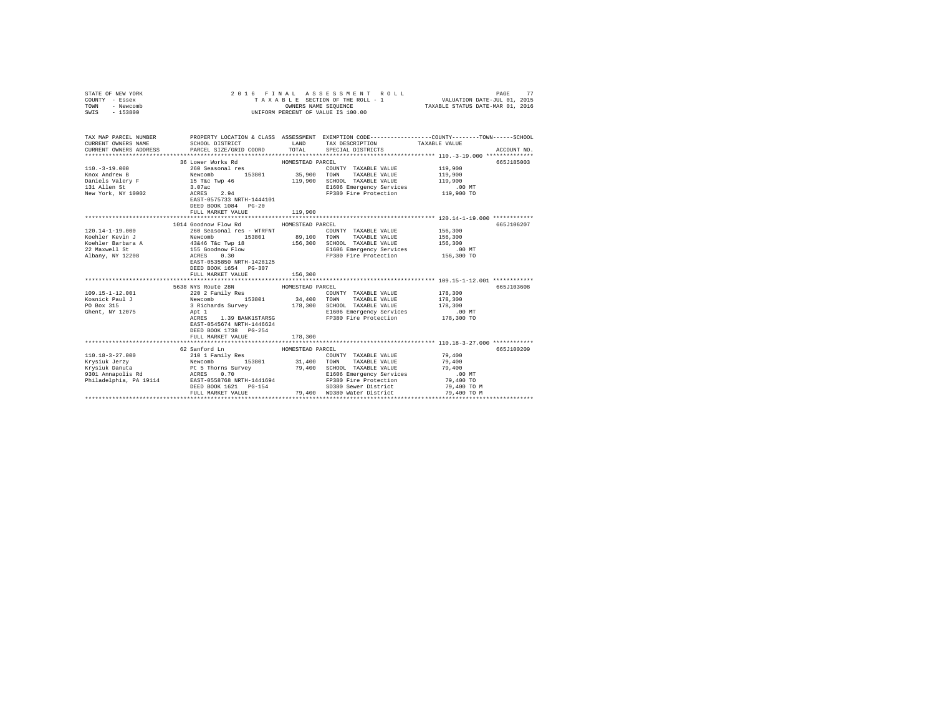| COUNTY - Essex<br>TOWN<br>- Newcomb<br>$-153800$<br>SWTS                                                                                                                                                                                                                                                                                                                                                                                                             | UNIFORM PERCENT OF VALUE IS 100.00             |                  |                                                                                                                                                                                                                                       |             |             |
|----------------------------------------------------------------------------------------------------------------------------------------------------------------------------------------------------------------------------------------------------------------------------------------------------------------------------------------------------------------------------------------------------------------------------------------------------------------------|------------------------------------------------|------------------|---------------------------------------------------------------------------------------------------------------------------------------------------------------------------------------------------------------------------------------|-------------|-------------|
|                                                                                                                                                                                                                                                                                                                                                                                                                                                                      |                                                |                  |                                                                                                                                                                                                                                       |             |             |
| TAX MAP PARCEL NUMBER<br>CURRENT OWNERS NAME                                                                                                                                                                                                                                                                                                                                                                                                                         |                                                |                  | PROPERTY LOCATION & CLASS ASSESSMENT EXEMPTION CODE---------------COUNTY-------TOWN------SCHOOL<br>SCHOOL DISTRICT $\hfill\textsc{LAND}$ TAX DESCRIPTION TAXABLE VALUE                                                                |             |             |
| CURRENT OWNERS ADDRESS                                                                                                                                                                                                                                                                                                                                                                                                                                               | PARCEL SIZE/GRID COORD TOTAL SPECIAL DISTRICTS |                  |                                                                                                                                                                                                                                       |             | ACCOUNT NO. |
|                                                                                                                                                                                                                                                                                                                                                                                                                                                                      |                                                |                  |                                                                                                                                                                                                                                       |             |             |
|                                                                                                                                                                                                                                                                                                                                                                                                                                                                      | 36 Lower Works Rd MOMESTEAD PARCEL             |                  |                                                                                                                                                                                                                                       |             | 665J185003  |
|                                                                                                                                                                                                                                                                                                                                                                                                                                                                      |                                                |                  |                                                                                                                                                                                                                                       |             |             |
|                                                                                                                                                                                                                                                                                                                                                                                                                                                                      |                                                |                  |                                                                                                                                                                                                                                       |             |             |
|                                                                                                                                                                                                                                                                                                                                                                                                                                                                      |                                                |                  |                                                                                                                                                                                                                                       |             |             |
|                                                                                                                                                                                                                                                                                                                                                                                                                                                                      |                                                |                  |                                                                                                                                                                                                                                       |             |             |
|                                                                                                                                                                                                                                                                                                                                                                                                                                                                      |                                                |                  |                                                                                                                                                                                                                                       |             |             |
|                                                                                                                                                                                                                                                                                                                                                                                                                                                                      |                                                |                  |                                                                                                                                                                                                                                       |             |             |
|                                                                                                                                                                                                                                                                                                                                                                                                                                                                      | FULL MARKET VALUE                              | 119,900          |                                                                                                                                                                                                                                       |             |             |
|                                                                                                                                                                                                                                                                                                                                                                                                                                                                      |                                                |                  |                                                                                                                                                                                                                                       |             |             |
|                                                                                                                                                                                                                                                                                                                                                                                                                                                                      | 1014 Goodnow Flow Rd MOMESTEAD PARCEL          |                  |                                                                                                                                                                                                                                       |             | 665J106207  |
| 120.14-1-19.000                                                                                                                                                                                                                                                                                                                                                                                                                                                      | 260 Seasonal res - WTRFNT                      |                  | COUNTY TAXABLE VALUE                                                                                                                                                                                                                  | 156,300     |             |
|                                                                                                                                                                                                                                                                                                                                                                                                                                                                      |                                                |                  |                                                                                                                                                                                                                                       |             |             |
|                                                                                                                                                                                                                                                                                                                                                                                                                                                                      |                                                |                  | TOWN TAXABLE VALUE 156,300<br>SCHOOL TAXABLE VALUE 156,300                                                                                                                                                                            |             |             |
|                                                                                                                                                                                                                                                                                                                                                                                                                                                                      |                                                |                  |                                                                                                                                                                                                                                       |             |             |
| Xeehler Kevin J $\footnotesize\begin{array}{l} \text{New column} \\ \text{Kevolner} \\ \text{Kevoller} \\ \text{Koueller} \\ \text{Kouel} \\ \text{Kouel} \\ \text{Kouel} \\ \text{Kouel} \\ \text{Kouel} \\ \text{Kouel} \\ \text{Kouel} \\ \text{Kouel} \\ \text{Kouel} \\ \text{Kouel} \\ \text{Kouel} \\ \text{Kouel} \\ \text{Kouel} \\ \text{Kouel} \\ \text{Kouel} \\ \text{Kouel} \\ \text{Kouel} \\ \text{Kouel} \\ \text{Kouel} \\ \text{Kouel} \\ \text{$ |                                                |                  |                                                                                                                                                                                                                                       |             |             |
|                                                                                                                                                                                                                                                                                                                                                                                                                                                                      |                                                |                  |                                                                                                                                                                                                                                       |             |             |
|                                                                                                                                                                                                                                                                                                                                                                                                                                                                      | DEED BOOK 1654 PG-307                          |                  |                                                                                                                                                                                                                                       |             |             |
|                                                                                                                                                                                                                                                                                                                                                                                                                                                                      | FULL MARKET VALUE                              | 156,300          |                                                                                                                                                                                                                                       |             |             |
|                                                                                                                                                                                                                                                                                                                                                                                                                                                                      |                                                |                  |                                                                                                                                                                                                                                       |             |             |
|                                                                                                                                                                                                                                                                                                                                                                                                                                                                      | 5638 NYS Route 28N                             | HOMESTEAD PARCEL |                                                                                                                                                                                                                                       |             | 665J103608  |
| 109.15-1-12.001                                                                                                                                                                                                                                                                                                                                                                                                                                                      |                                                |                  | 220 2 Family Res<br>220 2 Family Res<br>178,300 153801 24,400 TOWNY TAXABLE VALUE 178,300<br>34,400 TOWN TAXABLE VALUE 178,300<br>3 Richards Survey 178,300 SCHOOL TAXABLE VALUE 178,300<br>Apt 1 20 178,300 E1606 Emergency Services |             |             |
| Kosnick Paul J                                                                                                                                                                                                                                                                                                                                                                                                                                                       |                                                |                  |                                                                                                                                                                                                                                       |             |             |
| PO Box 315                                                                                                                                                                                                                                                                                                                                                                                                                                                           |                                                |                  |                                                                                                                                                                                                                                       |             |             |
| Ghent, NY 12075                                                                                                                                                                                                                                                                                                                                                                                                                                                      |                                                |                  |                                                                                                                                                                                                                                       |             |             |
|                                                                                                                                                                                                                                                                                                                                                                                                                                                                      |                                                |                  | ACRES 1.39 BANK1STARSG FP380 Fire Protection 178,300 TO                                                                                                                                                                               |             |             |
|                                                                                                                                                                                                                                                                                                                                                                                                                                                                      | EAST-0545674 NRTH-1446624                      |                  |                                                                                                                                                                                                                                       |             |             |
|                                                                                                                                                                                                                                                                                                                                                                                                                                                                      | DEED BOOK 1738 PG-254                          |                  |                                                                                                                                                                                                                                       |             |             |
|                                                                                                                                                                                                                                                                                                                                                                                                                                                                      | FULL MARKET VALUE                              | 178,300          |                                                                                                                                                                                                                                       |             |             |
|                                                                                                                                                                                                                                                                                                                                                                                                                                                                      |                                                |                  |                                                                                                                                                                                                                                       |             |             |
|                                                                                                                                                                                                                                                                                                                                                                                                                                                                      | 62 Sanford Ln                                  | HOMESTEAD PARCEL |                                                                                                                                                                                                                                       |             | 665J100209  |
|                                                                                                                                                                                                                                                                                                                                                                                                                                                                      |                                                |                  |                                                                                                                                                                                                                                       |             |             |
|                                                                                                                                                                                                                                                                                                                                                                                                                                                                      |                                                |                  |                                                                                                                                                                                                                                       |             |             |
|                                                                                                                                                                                                                                                                                                                                                                                                                                                                      |                                                |                  |                                                                                                                                                                                                                                       |             |             |
|                                                                                                                                                                                                                                                                                                                                                                                                                                                                      |                                                |                  |                                                                                                                                                                                                                                       |             |             |
|                                                                                                                                                                                                                                                                                                                                                                                                                                                                      |                                                |                  |                                                                                                                                                                                                                                       |             |             |
|                                                                                                                                                                                                                                                                                                                                                                                                                                                                      |                                                |                  | DEED BOOK 1621 PG-154 SD380 Sewer District<br>FULL MARKET VALUE 79,400 WD380 Water District                                                                                                                                           | 79,400 TO M |             |
|                                                                                                                                                                                                                                                                                                                                                                                                                                                                      |                                                |                  |                                                                                                                                                                                                                                       | 79,400 TO M |             |
|                                                                                                                                                                                                                                                                                                                                                                                                                                                                      |                                                |                  |                                                                                                                                                                                                                                       |             |             |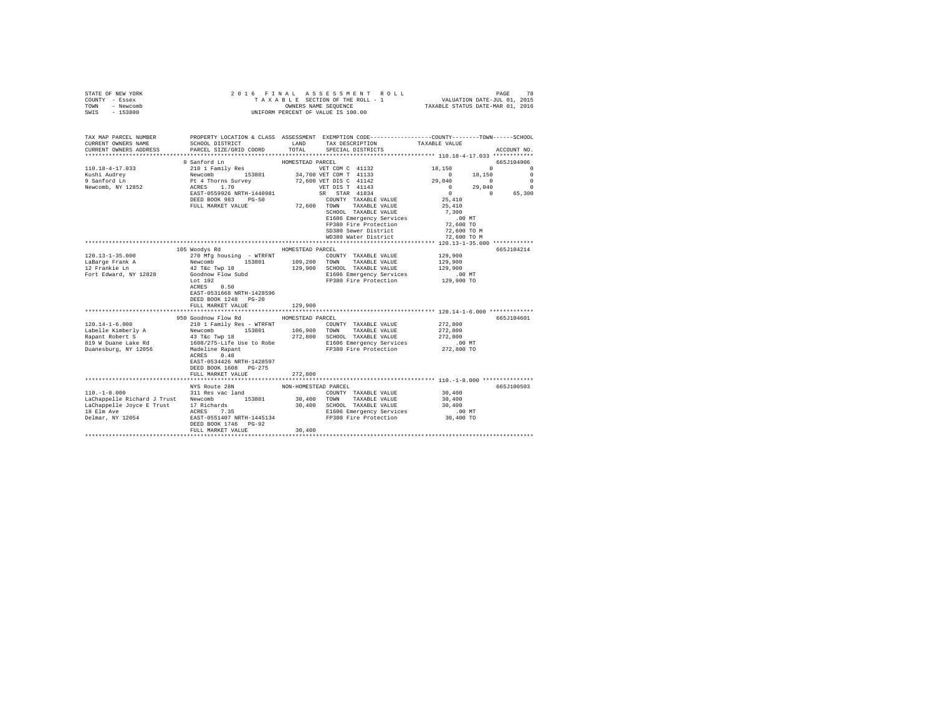| STATE OF NEW YORK<br>COUNTY - Essex<br>TOWN<br>- Newcomb<br>$-153800$<br>SWIS                                   | 2016 FINAL                                                                                     |                      | 5 FINAL ASSESSMENT ROLL (RESERVIT PAGE 78 PRESERVED 1987)<br>TAXABLE SECTION OF THE ROLL - 1 VALUATION DATE-JUL 01, 2015<br>OWNERS NAME SEQUENCE  TAXABLE STATUS DATE-MAR 01, 2016<br>UNIFORM PERCENT OF VALUE IS 100.00 |                          |                                   |
|-----------------------------------------------------------------------------------------------------------------|------------------------------------------------------------------------------------------------|----------------------|--------------------------------------------------------------------------------------------------------------------------------------------------------------------------------------------------------------------------|--------------------------|-----------------------------------|
| TAX MAP PARCEL NUMBER<br>CURRENT OWNERS NAME<br>CURRENT OWNERS ADDRESS                                          | SCHOOL DISTRICT<br>PARCEL SIZE/GRID COORD                                                      | LAND<br>TOTAL        | PROPERTY LOCATION & CLASS ASSESSMENT EXEMPTION CODE---------------COUNTY-------TOWN------SCHOOL<br>TAX DESCRIPTION<br>SPECIAL DISTRICTS                                                                                  | TAXABLE VALUE            | ACCOUNT NO.                       |
|                                                                                                                 |                                                                                                | HOMESTEAD PARCEL     |                                                                                                                                                                                                                          |                          |                                   |
| $110.18 - 4 - 17.033$                                                                                           | 9 Sanford Ln<br>210 1 Family Res                                                               |                      | VET COM C 41132                                                                                                                                                                                                          | 18,150                   | 665J104906<br>$0 \qquad \qquad 0$ |
| Kushi Audrey                                                                                                    |                                                                                                |                      | 34,700 VET COM T 41133                                                                                                                                                                                                   | $\sim$ 0<br>18,150       | $\Omega$                          |
| 9 Sanford Ln                                                                                                    | Newcomb 153801<br>Pt 4 Thorns Survey<br>ACRES 1.70                                             |                      | 72,600 VET DIS C 41142                                                                                                                                                                                                   | 29,040<br>$\sim$ 0       | $\overline{0}$                    |
| Newcomb, NY 12852                                                                                               |                                                                                                |                      | VET DIS T 41143                                                                                                                                                                                                          | $\sim$ 0<br>29,040       | $\sim$ 0                          |
|                                                                                                                 | EAST-0559926 NRTH-1440981                                                                      |                      | SR STAR 41834                                                                                                                                                                                                            | $\mathbf{0}$<br>$\sim$ 0 | 65,300                            |
|                                                                                                                 | DEED BOOK 983 PG-50                                                                            |                      | COUNTY TAXABLE VALUE                                                                                                                                                                                                     | 25,410                   |                                   |
|                                                                                                                 | FULL MARKET VALUE                                                                              |                      | 72,600 TOWN TAXABLE VALUE                                                                                                                                                                                                | 25,410                   |                                   |
|                                                                                                                 |                                                                                                |                      | SCHOOL TAXABLE VALUE                                                                                                                                                                                                     | 7,300                    |                                   |
|                                                                                                                 |                                                                                                |                      | E1606 Emergency Services                                                                                                                                                                                                 | $.00$ MT                 |                                   |
|                                                                                                                 |                                                                                                |                      | FP380 Fire Protection<br>SD380 Sewer District                                                                                                                                                                            | 72,600 TO<br>72,600 TO M |                                   |
|                                                                                                                 |                                                                                                |                      | WD380 Water District                                                                                                                                                                                                     | 72,600 TO M              |                                   |
|                                                                                                                 |                                                                                                |                      |                                                                                                                                                                                                                          |                          |                                   |
|                                                                                                                 | 105 Woodys Rd                                                                                  | HOMESTEAD PARCEL     |                                                                                                                                                                                                                          |                          | 665J104214                        |
| $120.13 - 1 - 35.000$                                                                                           | 270 Mfg housing - WTRFNT                                                                       |                      | COUNTY TAXABLE VALUE                                                                                                                                                                                                     | 129,900                  |                                   |
| LaBarge Frank A                                                                                                 | Newcomb 153801                                                                                 |                      | 109,200 TOWN TAXABLE VALUE                                                                                                                                                                                               | 129,900                  |                                   |
| 12 Frankie Ln                                                                                                   | 42 T&c Twp 18                                                                                  |                      | 129,900 SCHOOL TAXABLE VALUE                                                                                                                                                                                             | 129,900                  |                                   |
| Fort Edward, NY 12828                                                                                           | Goodnow Flow Subd                                                                              |                      | E1606 Emergency Services                                                                                                                                                                                                 | 00 MT.<br>129,900 TO     |                                   |
|                                                                                                                 | Lot 192                                                                                        |                      | FP380 Fire Protection                                                                                                                                                                                                    |                          |                                   |
|                                                                                                                 | ACRES 0.50<br>EAST-0531668 NRTH-1428596                                                        |                      |                                                                                                                                                                                                                          |                          |                                   |
|                                                                                                                 | DEED BOOK 1248 PG-20                                                                           |                      |                                                                                                                                                                                                                          |                          |                                   |
|                                                                                                                 | FULL MARKET VALUE                                                                              | 129,900              |                                                                                                                                                                                                                          |                          |                                   |
|                                                                                                                 |                                                                                                |                      |                                                                                                                                                                                                                          |                          |                                   |
|                                                                                                                 | 950 Goodnow Flow Rd                                                                            | HOMESTEAD PARCEL     |                                                                                                                                                                                                                          |                          | 665J104601                        |
| $120.14 - 1 - 6.000$                                                                                            | 210 1 Family Res - WTRFNT                                                                      |                      | COUNTY TAXABLE VALUE                                                                                                                                                                                                     | 272,800                  |                                   |
| Labelle Kimberly A                                                                                              | Newcomb 153801<br>43 T&c Twp 18                                                                |                      | 106,900 TOWN TAXABLE VALUE                                                                                                                                                                                               | 272,800                  |                                   |
| Rapant Robert S                                                                                                 |                                                                                                |                      | 272,800 SCHOOL TAXABLE VALUE                                                                                                                                                                                             | 272,800                  |                                   |
| 819 W Duane Lake Rd                                                                                             | 1608/275-Life Use to Robe<br>Madeline Rapant 608/275-Life Use to Robe<br>PP380 Fire Protection |                      |                                                                                                                                                                                                                          | $.00$ MT                 |                                   |
| Duanesburg, NY 12056                                                                                            | ACRES 0.48                                                                                     |                      |                                                                                                                                                                                                                          | 272,800 TO               |                                   |
|                                                                                                                 | EAST-0534426 NRTH-1428597                                                                      |                      |                                                                                                                                                                                                                          |                          |                                   |
|                                                                                                                 | DEED BOOK 1608 PG-275                                                                          |                      |                                                                                                                                                                                                                          |                          |                                   |
|                                                                                                                 | FULL MARKET VALUE                                                                              | 272,800              |                                                                                                                                                                                                                          |                          |                                   |
|                                                                                                                 |                                                                                                |                      |                                                                                                                                                                                                                          |                          |                                   |
|                                                                                                                 | NYS Route 28N                                                                                  | NON-HOMESTEAD PARCEL |                                                                                                                                                                                                                          |                          | 665J100503                        |
| $110. - 1 - 8.000$                                                                                              | 311 Res vac land                                                                               |                      | COUNTY TAXABLE VALUE                                                                                                                                                                                                     | 30,400                   |                                   |
| LaChappelle Richard J Trust Newcomb 153801<br>LaChappelle Joyce E Trust 17 Richards<br>18 Elm Ave 18 ACRES 7.35 |                                                                                                | $\bf 30$ , $\bf 400$ | TOWN TAXABLE VALUE                                                                                                                                                                                                       | 30,400                   |                                   |
|                                                                                                                 |                                                                                                |                      | 30,400 SCHOOL TAXABLE VALUE                                                                                                                                                                                              | 30,400                   |                                   |
| Delmar, NY 12054                                                                                                | EAST-0551407 NRTH-1445134                                                                      |                      | E1606 Emergency Services<br>FP380 Fire Protection                                                                                                                                                                        | $.00$ MT<br>30,400 TO    |                                   |
|                                                                                                                 | DEED BOOK 1746 PG-92                                                                           |                      |                                                                                                                                                                                                                          |                          |                                   |
|                                                                                                                 | FULL MARKET VALUE                                                                              | 30,400               |                                                                                                                                                                                                                          |                          |                                   |
|                                                                                                                 |                                                                                                |                      |                                                                                                                                                                                                                          |                          |                                   |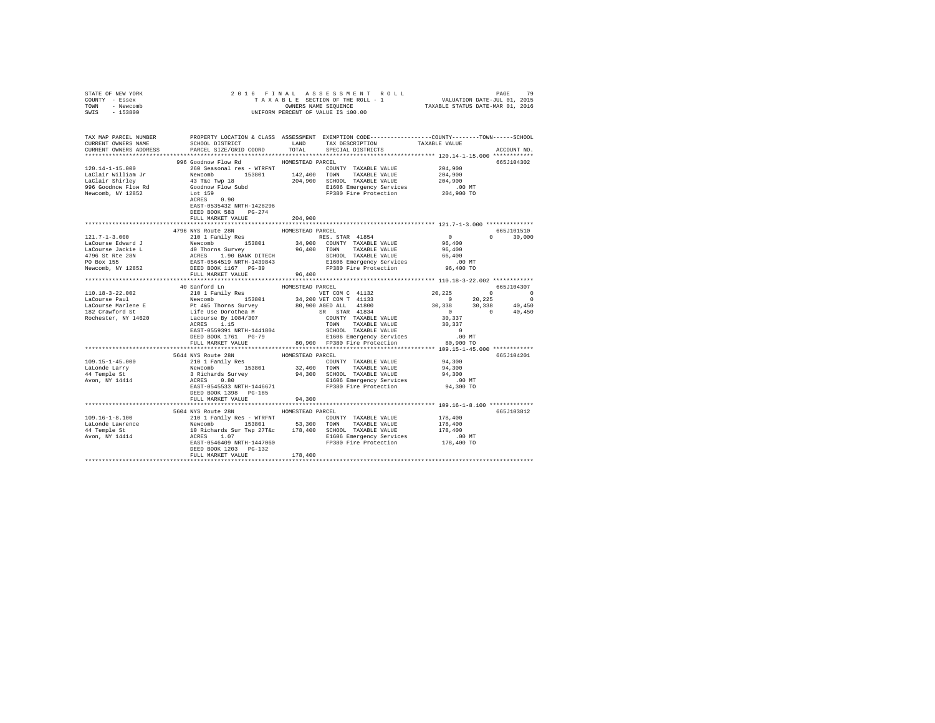| STATE OF NEW YORK                                                                                                                                                                                                                                                                                                                                                                                                               |                                     |                  |                                                                                                                                                                                           |             |
|---------------------------------------------------------------------------------------------------------------------------------------------------------------------------------------------------------------------------------------------------------------------------------------------------------------------------------------------------------------------------------------------------------------------------------|-------------------------------------|------------------|-------------------------------------------------------------------------------------------------------------------------------------------------------------------------------------------|-------------|
| COUNTY - Essex                                                                                                                                                                                                                                                                                                                                                                                                                  |                                     |                  |                                                                                                                                                                                           |             |
| TOWN - Newcomb                                                                                                                                                                                                                                                                                                                                                                                                                  |                                     |                  |                                                                                                                                                                                           |             |
| SWIS - 153800                                                                                                                                                                                                                                                                                                                                                                                                                   |                                     |                  |                                                                                                                                                                                           |             |
|                                                                                                                                                                                                                                                                                                                                                                                                                                 |                                     |                  |                                                                                                                                                                                           |             |
|                                                                                                                                                                                                                                                                                                                                                                                                                                 |                                     |                  |                                                                                                                                                                                           |             |
|                                                                                                                                                                                                                                                                                                                                                                                                                                 |                                     |                  |                                                                                                                                                                                           |             |
|                                                                                                                                                                                                                                                                                                                                                                                                                                 |                                     |                  | SCHOOL DISTRICT $\hfill$ LAND $\hfill$ TAX DESCRIPTION $\hfill$ TAXABLE VALUE                                                                                                             |             |
| CURRENT OWNERS ADDRESS                                                                                                                                                                                                                                                                                                                                                                                                          | PARCEL SIZE/GRID COORD              | TOTAL            | SPECIAL DISTRICTS                                                                                                                                                                         | ACCOUNT NO. |
|                                                                                                                                                                                                                                                                                                                                                                                                                                 |                                     |                  |                                                                                                                                                                                           |             |
|                                                                                                                                                                                                                                                                                                                                                                                                                                 | 996 Goodnow Flow Rd                 | HOMESTEAD PARCEL |                                                                                                                                                                                           | 665J104302  |
| 120.14-1-15.000 260 Seasonal res - WTRFNT                                                                                                                                                                                                                                                                                                                                                                                       |                                     |                  | $\begin{tabular}{lllllll} \multicolumn{2}{l}{{\text{COUNTY}}} & \multicolumn{2}{l}{\text{TAXABLE}} & \multicolumn{2}{l}{\text{VALUE}} & \multicolumn{2}{l}{\text{204,900}} \end{tabular}$ |             |
|                                                                                                                                                                                                                                                                                                                                                                                                                                 |                                     |                  |                                                                                                                                                                                           |             |
|                                                                                                                                                                                                                                                                                                                                                                                                                                 |                                     |                  |                                                                                                                                                                                           |             |
|                                                                                                                                                                                                                                                                                                                                                                                                                                 |                                     |                  |                                                                                                                                                                                           |             |
| $\begin{tabular}{l c c c c c c c c} \hline \texttt{AC1clair William Jr}& \texttt{Aevo} & \texttt{Xevo} & \texttt{Xevo} & \texttt{Xevo} & \texttt{Xevo} & \texttt{Xevo} & \texttt{Xevo} & \texttt{Xevo} \\ \hline \texttt{Lac1alir Shilum Jr}& \texttt{Newcomb}& \texttt{153801}& \texttt{142,400 TOWN} & \texttt{TXABLE VALUE}& \texttt{204,900} \\ \texttt{Lac1alir Shirlley}& \texttt{43 Tec Yup} & \texttt{18} & \$          |                                     |                  |                                                                                                                                                                                           |             |
|                                                                                                                                                                                                                                                                                                                                                                                                                                 |                                     |                  |                                                                                                                                                                                           |             |
|                                                                                                                                                                                                                                                                                                                                                                                                                                 |                                     |                  |                                                                                                                                                                                           |             |
|                                                                                                                                                                                                                                                                                                                                                                                                                                 | DEED BOOK 583 PG-274                |                  |                                                                                                                                                                                           |             |
|                                                                                                                                                                                                                                                                                                                                                                                                                                 |                                     |                  |                                                                                                                                                                                           |             |
|                                                                                                                                                                                                                                                                                                                                                                                                                                 | FULL MARKET VALUE                   | 204,900          |                                                                                                                                                                                           |             |
|                                                                                                                                                                                                                                                                                                                                                                                                                                 |                                     |                  |                                                                                                                                                                                           |             |
|                                                                                                                                                                                                                                                                                                                                                                                                                                 | 4796 NYS Route 28N                  | HOMESTEAD PARCEL |                                                                                                                                                                                           | 665J101510  |
|                                                                                                                                                                                                                                                                                                                                                                                                                                 |                                     |                  |                                                                                                                                                                                           |             |
|                                                                                                                                                                                                                                                                                                                                                                                                                                 |                                     |                  |                                                                                                                                                                                           |             |
|                                                                                                                                                                                                                                                                                                                                                                                                                                 |                                     |                  |                                                                                                                                                                                           |             |
| $\begin{tabular}{cccccccc} \textbf{121.7--1-3.000} & \textbf{47.90 N150 L101} & \textbf{52.901} & \textbf{53.901} & \textbf{12.901} & \textbf{12.901} & \textbf{12.901} & \textbf{12.901} & \textbf{12.901} & \textbf{12.901} & \textbf{12.901} & \textbf{12.901} & \textbf{12.901} & \textbf{12.901} & \textbf{12.901} & \textbf{12.901} & \textbf{1$                                                                          |                                     |                  |                                                                                                                                                                                           |             |
|                                                                                                                                                                                                                                                                                                                                                                                                                                 |                                     |                  |                                                                                                                                                                                           |             |
|                                                                                                                                                                                                                                                                                                                                                                                                                                 |                                     |                  |                                                                                                                                                                                           |             |
|                                                                                                                                                                                                                                                                                                                                                                                                                                 |                                     |                  |                                                                                                                                                                                           |             |
|                                                                                                                                                                                                                                                                                                                                                                                                                                 |                                     |                  |                                                                                                                                                                                           |             |
| $\begin{tabular}{l cccccccc} \textbf{101.18}-3-22.002 & 40 & 8mforcd ln & \textbf{201.18} & \textbf{101.18}-3-22.002 & 6653104307 \\ \textbf{101.18}-3-22.002 & 211 & 1\text{ family } & \textbf{102.18} & \textbf{103.18} & \textbf{101.18}-1\textbf{101.18}-1\textbf{101.18}-1\textbf{101.18}-1\textbf{101.18}-1\textbf{101.18}-1\textbf{1$                                                                                   |                                     |                  |                                                                                                                                                                                           |             |
|                                                                                                                                                                                                                                                                                                                                                                                                                                 |                                     |                  |                                                                                                                                                                                           |             |
|                                                                                                                                                                                                                                                                                                                                                                                                                                 |                                     |                  |                                                                                                                                                                                           |             |
|                                                                                                                                                                                                                                                                                                                                                                                                                                 |                                     |                  |                                                                                                                                                                                           |             |
|                                                                                                                                                                                                                                                                                                                                                                                                                                 |                                     |                  |                                                                                                                                                                                           |             |
|                                                                                                                                                                                                                                                                                                                                                                                                                                 |                                     |                  |                                                                                                                                                                                           |             |
|                                                                                                                                                                                                                                                                                                                                                                                                                                 |                                     |                  |                                                                                                                                                                                           |             |
|                                                                                                                                                                                                                                                                                                                                                                                                                                 |                                     |                  |                                                                                                                                                                                           |             |
|                                                                                                                                                                                                                                                                                                                                                                                                                                 |                                     |                  |                                                                                                                                                                                           |             |
|                                                                                                                                                                                                                                                                                                                                                                                                                                 |                                     |                  |                                                                                                                                                                                           |             |
|                                                                                                                                                                                                                                                                                                                                                                                                                                 |                                     |                  |                                                                                                                                                                                           |             |
|                                                                                                                                                                                                                                                                                                                                                                                                                                 | 5644 NYS Route 28N                  | HOMESTEAD PARCEL |                                                                                                                                                                                           | 665J104201  |
|                                                                                                                                                                                                                                                                                                                                                                                                                                 |                                     |                  |                                                                                                                                                                                           |             |
|                                                                                                                                                                                                                                                                                                                                                                                                                                 |                                     |                  |                                                                                                                                                                                           |             |
|                                                                                                                                                                                                                                                                                                                                                                                                                                 |                                     |                  |                                                                                                                                                                                           |             |
|                                                                                                                                                                                                                                                                                                                                                                                                                                 |                                     |                  |                                                                                                                                                                                           |             |
|                                                                                                                                                                                                                                                                                                                                                                                                                                 |                                     |                  |                                                                                                                                                                                           |             |
|                                                                                                                                                                                                                                                                                                                                                                                                                                 | DEED BOOK 1398 PG-185               |                  |                                                                                                                                                                                           |             |
|                                                                                                                                                                                                                                                                                                                                                                                                                                 | FULL MARKET VALUE                   | 94,300           |                                                                                                                                                                                           |             |
|                                                                                                                                                                                                                                                                                                                                                                                                                                 |                                     |                  |                                                                                                                                                                                           |             |
|                                                                                                                                                                                                                                                                                                                                                                                                                                 | 5604 NYS Route 28N HOMESTEAD PARCEL |                  |                                                                                                                                                                                           | 665J103812  |
| $\begin{tabular}{l c c c c c} \hline 109.16-1-8.100 & \multicolumn{3}{c}{\mbox{\small\tt 100}} & \multicolumn{3}{c}{\mbox{\small\tt 100}} & \multicolumn{3}{c}{\mbox{\small\tt 100}} & \multicolumn{3}{c}{\mbox{\small\tt 100}} & \multicolumn{3}{c}{\mbox{\small\tt 100}} & \multicolumn{3}{c}{\mbox{\small\tt 100}} & \multicolumn{3}{c}{\mbox{\small\tt 100}} & \multicolumn{3}{c}{\mbox{\small\tt 100}} & \multicolumn{3}{$ |                                     |                  |                                                                                                                                                                                           |             |
|                                                                                                                                                                                                                                                                                                                                                                                                                                 |                                     |                  |                                                                                                                                                                                           |             |
|                                                                                                                                                                                                                                                                                                                                                                                                                                 |                                     |                  |                                                                                                                                                                                           |             |
|                                                                                                                                                                                                                                                                                                                                                                                                                                 |                                     |                  |                                                                                                                                                                                           |             |
|                                                                                                                                                                                                                                                                                                                                                                                                                                 |                                     |                  |                                                                                                                                                                                           |             |
|                                                                                                                                                                                                                                                                                                                                                                                                                                 |                                     |                  |                                                                                                                                                                                           |             |
|                                                                                                                                                                                                                                                                                                                                                                                                                                 | FULL MARKET VALUE 178.400           |                  |                                                                                                                                                                                           |             |
|                                                                                                                                                                                                                                                                                                                                                                                                                                 |                                     |                  |                                                                                                                                                                                           |             |
|                                                                                                                                                                                                                                                                                                                                                                                                                                 |                                     |                  |                                                                                                                                                                                           |             |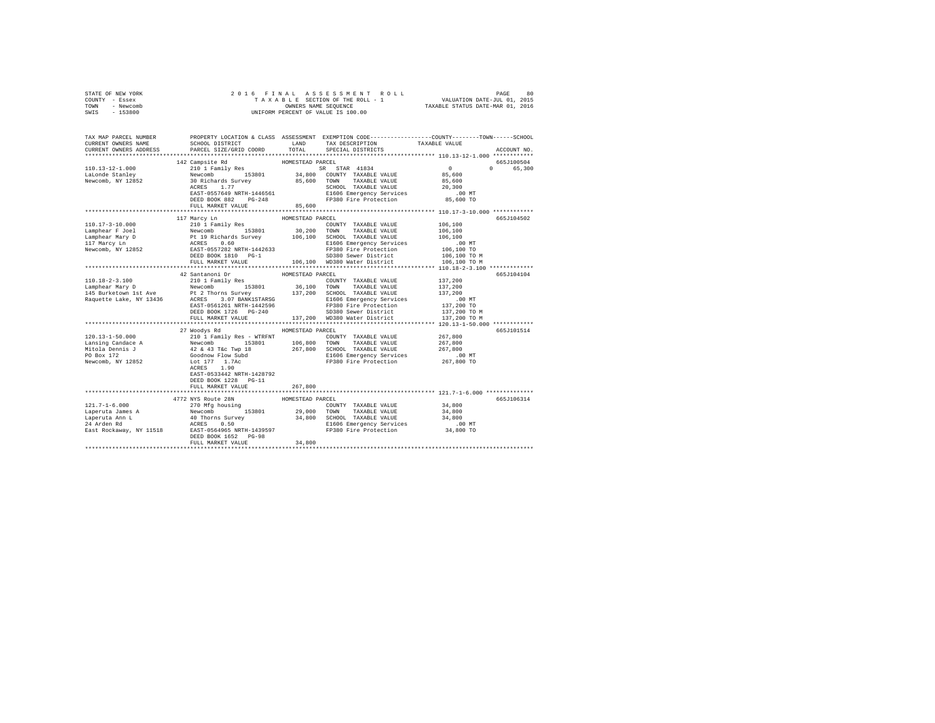| STATE OF NEW YORK<br>COUNTY - Essex<br>TOWN - Newcomb<br>SWIS - 153800                                                                                                                                                                                                                                                                                                                                                                               |                                                      |                  | OWNERS NAME SEQUENCE<br>UNIFORM PERCENT OF VALUE IS 100.00                                                                                                                                                                            |                                 |             |
|------------------------------------------------------------------------------------------------------------------------------------------------------------------------------------------------------------------------------------------------------------------------------------------------------------------------------------------------------------------------------------------------------------------------------------------------------|------------------------------------------------------|------------------|---------------------------------------------------------------------------------------------------------------------------------------------------------------------------------------------------------------------------------------|---------------------------------|-------------|
| TAX MAP PARCEL NUMBER PROPERTY LOCATION & CLASS ASSESSMENT EXEMPTION CODE---------------COUNTY-------TOWN------SCHOOL<br>CURRENT OWNERS NAME<br>CURRENT OWNERS ADDRESS                                                                                                                                                                                                                                                                               | SCHOOL DISTRICT LAND<br>PARCEL SIZE/GRID COORD TOTAL |                  | TAX DESCRIPTION TAXABLE VALUE<br>SPECIAL DISTRICTS                                                                                                                                                                                    |                                 | ACCOUNT NO. |
|                                                                                                                                                                                                                                                                                                                                                                                                                                                      | 142 Campsite Rd                                      | HOMESTEAD PARCEL |                                                                                                                                                                                                                                       |                                 | 665J100504  |
| $110.13 - 12 - 1.000$                                                                                                                                                                                                                                                                                                                                                                                                                                |                                                      |                  | $\begin{tabular}{l c c c c c} \hline 142 & 200 & I ramily Res & 40MESTKAD PANLE-RA & 55 & 57AR & 41834 & 0 & 15801 & 5600 & 15801 & 58 & 57AR & 41834 & 5600 & 5600 & 5600 & 5600 & 5600 & 5600 & 5600 & 5600 & 5600 & 5600 & 5600 &$ |                                 | 0 65,300    |
|                                                                                                                                                                                                                                                                                                                                                                                                                                                      |                                                      |                  |                                                                                                                                                                                                                                       |                                 |             |
| LaLonde Stanley<br>Newcomb, NY 12852                                                                                                                                                                                                                                                                                                                                                                                                                 |                                                      |                  |                                                                                                                                                                                                                                       |                                 |             |
|                                                                                                                                                                                                                                                                                                                                                                                                                                                      |                                                      |                  |                                                                                                                                                                                                                                       |                                 |             |
|                                                                                                                                                                                                                                                                                                                                                                                                                                                      |                                                      |                  |                                                                                                                                                                                                                                       |                                 |             |
|                                                                                                                                                                                                                                                                                                                                                                                                                                                      |                                                      |                  |                                                                                                                                                                                                                                       |                                 |             |
|                                                                                                                                                                                                                                                                                                                                                                                                                                                      | FULL MARKET VALUE                                    | 85,600           |                                                                                                                                                                                                                                       |                                 |             |
|                                                                                                                                                                                                                                                                                                                                                                                                                                                      |                                                      |                  |                                                                                                                                                                                                                                       |                                 |             |
| $[101.17-3-10.000 \newline \text{Lamped ar}= 10.000 \newline \text{Lamped ar}= 10.000 \newline \text{Lamped ar}= 10.000 \newline \text{Lamped ar}= 10.000 \newline \text{Lamped ar}= 10.000 \newline \text{Lamped ar}= 10.000 \newline \text{Lamped ar}= 10.000 \newline \text{Lamped ar}= 10.000 \newline \text{Lamped ar}= 10.000 \newline \text{Lbb} = 10.000 \newline \text{CCE} = 10.000 \newline \text{RCE} = 0.000 \newline \text{RCE} = 0.0$ | 117 Marcy Ln                                         | HOMESTEAD PARCEL |                                                                                                                                                                                                                                       |                                 | 665J104502  |
|                                                                                                                                                                                                                                                                                                                                                                                                                                                      |                                                      |                  | COUNTY TAXABLE VALUE 106,100                                                                                                                                                                                                          |                                 |             |
|                                                                                                                                                                                                                                                                                                                                                                                                                                                      |                                                      |                  |                                                                                                                                                                                                                                       | 106,100                         |             |
|                                                                                                                                                                                                                                                                                                                                                                                                                                                      |                                                      |                  |                                                                                                                                                                                                                                       | 106,100<br>.00 MT<br>106,100 TO |             |
|                                                                                                                                                                                                                                                                                                                                                                                                                                                      |                                                      |                  |                                                                                                                                                                                                                                       |                                 |             |
|                                                                                                                                                                                                                                                                                                                                                                                                                                                      |                                                      |                  |                                                                                                                                                                                                                                       |                                 |             |
|                                                                                                                                                                                                                                                                                                                                                                                                                                                      |                                                      |                  |                                                                                                                                                                                                                                       | 106,100 TO M<br>106,100 TO M    |             |
|                                                                                                                                                                                                                                                                                                                                                                                                                                                      |                                                      |                  |                                                                                                                                                                                                                                       |                                 |             |
|                                                                                                                                                                                                                                                                                                                                                                                                                                                      | 42 Santanoni Dr                                      | HOMESTEAD PARCEL |                                                                                                                                                                                                                                       |                                 | 665J104104  |
| $10.18-2-3.100 \begin{bmatrix} 210 & 1 & Fami 1y & Res \\ 210 & 1 & Fami 1y & Res \\ 145 & Burketoomb & 15301 & 36,100 \\ 145 & Burketovm & 1436 & RCE25 & 3.07 & BannkISTARSG \\ 145 & Roretoth & 2.300 & SCH00L & TAXABLE VALUE \\ 146 & RCE8 & 3.07 & BANKISTARSG \\ 147,200 & SCH00L & TAXABLE VALUE \\ 1460 & RCE9BOS & 1000K & 1726 & 15300 \\ 158$                                                                                            |                                                      |                  | $\texttt{COUNTY} \quad \texttt{TAXABLE} \quad \texttt{VALUE} \qquad \qquad 137,200$                                                                                                                                                   |                                 |             |
|                                                                                                                                                                                                                                                                                                                                                                                                                                                      |                                                      |                  |                                                                                                                                                                                                                                       | 137,200                         |             |
|                                                                                                                                                                                                                                                                                                                                                                                                                                                      |                                                      |                  |                                                                                                                                                                                                                                       | 137,200                         |             |
|                                                                                                                                                                                                                                                                                                                                                                                                                                                      |                                                      |                  |                                                                                                                                                                                                                                       | .00MT                           |             |
|                                                                                                                                                                                                                                                                                                                                                                                                                                                      |                                                      |                  |                                                                                                                                                                                                                                       | 137,200 TO                      |             |
|                                                                                                                                                                                                                                                                                                                                                                                                                                                      |                                                      |                  |                                                                                                                                                                                                                                       | 137,200 TO M                    |             |
|                                                                                                                                                                                                                                                                                                                                                                                                                                                      |                                                      |                  | FULL MARKET VALUE 137,200 WD380 Water District                                                                                                                                                                                        | 137,200 TO M                    |             |
|                                                                                                                                                                                                                                                                                                                                                                                                                                                      |                                                      |                  |                                                                                                                                                                                                                                       |                                 |             |
|                                                                                                                                                                                                                                                                                                                                                                                                                                                      | 27 Woodys Rd HOMESTEAD PARCEL                        |                  |                                                                                                                                                                                                                                       |                                 | 665J101514  |
|                                                                                                                                                                                                                                                                                                                                                                                                                                                      |                                                      |                  |                                                                                                                                                                                                                                       |                                 |             |
|                                                                                                                                                                                                                                                                                                                                                                                                                                                      |                                                      |                  |                                                                                                                                                                                                                                       |                                 |             |
|                                                                                                                                                                                                                                                                                                                                                                                                                                                      |                                                      |                  |                                                                                                                                                                                                                                       |                                 |             |
|                                                                                                                                                                                                                                                                                                                                                                                                                                                      |                                                      |                  |                                                                                                                                                                                                                                       |                                 |             |
| $\begin{tabular}{l c c c c c c c c} \hline $120.13$--50.000 & $``\mbox{\small{nonon}}$ & $``\mbox{\small{nonon}}$ & $``\mbox{\small{nonon}}$ & $``\mbox{\small{nonon}}$ & $``\mbox{\small{nonon}}$ & $``\mbox{\small{nonon}}$ & $267,800$ \\ \hline L and single shaded & $201$ & Fami 1y\mbox{\small{Re}}$ & $15801 & $106,800$ & $70M$ & $74 \mbox{\small{NMBLE}}$ & $267,800$ \\ \hline {\mbox{\small{Meth}}$                                     | ACRES 1.90                                           |                  |                                                                                                                                                                                                                                       |                                 |             |
|                                                                                                                                                                                                                                                                                                                                                                                                                                                      | EAST-0533442 NRTH-1428792                            |                  |                                                                                                                                                                                                                                       |                                 |             |
|                                                                                                                                                                                                                                                                                                                                                                                                                                                      | DEED BOOK 1228 PG-11                                 |                  |                                                                                                                                                                                                                                       |                                 |             |
|                                                                                                                                                                                                                                                                                                                                                                                                                                                      | FULL MARKET VALUE                                    | 267.800          |                                                                                                                                                                                                                                       |                                 |             |
|                                                                                                                                                                                                                                                                                                                                                                                                                                                      |                                                      |                  |                                                                                                                                                                                                                                       |                                 |             |
|                                                                                                                                                                                                                                                                                                                                                                                                                                                      | 4772 NYS Route 28N                                   | HOMESTEAD PARCEL |                                                                                                                                                                                                                                       |                                 | 665J106314  |
| $121.7 - 1 - 6.000$                                                                                                                                                                                                                                                                                                                                                                                                                                  | 270 Mfg housing                                      |                  | COUNTY TAXABLE VALUE 34,800                                                                                                                                                                                                           |                                 |             |
|                                                                                                                                                                                                                                                                                                                                                                                                                                                      |                                                      |                  |                                                                                                                                                                                                                                       |                                 |             |
|                                                                                                                                                                                                                                                                                                                                                                                                                                                      |                                                      |                  |                                                                                                                                                                                                                                       |                                 |             |
|                                                                                                                                                                                                                                                                                                                                                                                                                                                      |                                                      |                  |                                                                                                                                                                                                                                       |                                 |             |
|                                                                                                                                                                                                                                                                                                                                                                                                                                                      |                                                      |                  |                                                                                                                                                                                                                                       |                                 |             |
|                                                                                                                                                                                                                                                                                                                                                                                                                                                      | DEED BOOK 1652 PG-98                                 |                  |                                                                                                                                                                                                                                       |                                 |             |
|                                                                                                                                                                                                                                                                                                                                                                                                                                                      | FULL MARKET VALUE                                    | 34,800           |                                                                                                                                                                                                                                       |                                 |             |
|                                                                                                                                                                                                                                                                                                                                                                                                                                                      |                                                      |                  |                                                                                                                                                                                                                                       |                                 |             |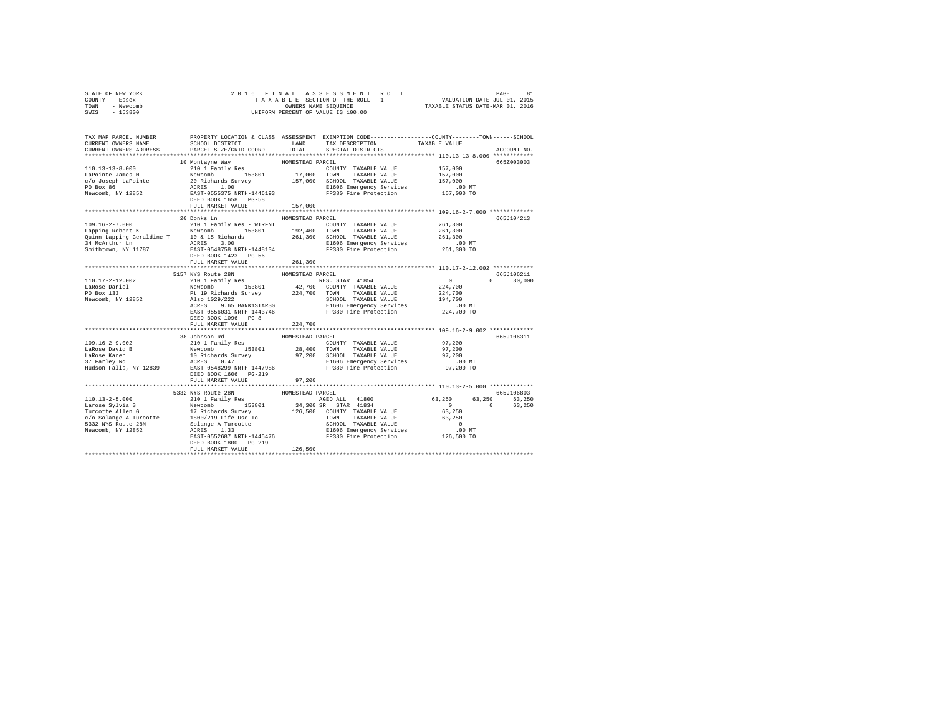| TOWN<br>- Newcomb<br>SWIS<br>$-153800$         | UNIFORM PERCENT OF VALUE IS 100.00 | TAXABLE STATUS DATE-MAR 01, 2016                                                                                                                                                                               |                                                     |
|------------------------------------------------|------------------------------------|----------------------------------------------------------------------------------------------------------------------------------------------------------------------------------------------------------------|-----------------------------------------------------|
| CURRENT OWNERS NAME                            | SCHOOL DISTRICT                    | TAX MAP PARCEL NUMBER PROPERTY LOCATION & CLASS ASSESSMENT EXEMPTION CODE--------------COUNTY-------TOWN------SCHOOL<br>TAX DESCRIPTION<br>LAND                                                                | TAXABLE VALUE                                       |
| CURRENT OWNERS ADDRESS                         | PARCEL SIZE/GRID COORD             | TOTAL<br>SPECIAL DISTRICTS                                                                                                                                                                                     | ACCOUNT NO.                                         |
|                                                | 10 Montayne Way                    | HOMESTEAD PARCEL                                                                                                                                                                                               | 665Z003003                                          |
|                                                |                                    |                                                                                                                                                                                                                | 157,000                                             |
|                                                |                                    |                                                                                                                                                                                                                | 157,000                                             |
|                                                |                                    |                                                                                                                                                                                                                | 157,000                                             |
|                                                |                                    | LIBUD Emergency Services .00 MT<br>FP380 Fire Protection 157,000 TO                                                                                                                                            |                                                     |
|                                                |                                    |                                                                                                                                                                                                                |                                                     |
|                                                | FULL MARKET VALUE                  | 157,000                                                                                                                                                                                                        |                                                     |
|                                                |                                    |                                                                                                                                                                                                                |                                                     |
|                                                | 20 Donks Ln                        | HOMESTEAD PARCEL                                                                                                                                                                                               | 665.T104213                                         |
|                                                |                                    | COUNTY TAXABLE VALUE 261,300                                                                                                                                                                                   |                                                     |
|                                                |                                    | 261,300 SCHOOL TAXABLE VALUE                                                                                                                                                                                   | 261,300<br>261,300                                  |
|                                                |                                    | E1606 Emergency Services                                                                                                                                                                                       | .00MT                                               |
| Smithtown, NY 11787                            | EAST-0548758 NRTH-1448134          | FP380 Fire Protection                                                                                                                                                                                          | 261,300 TO                                          |
|                                                | DEED BOOK 1423 PG-56               |                                                                                                                                                                                                                |                                                     |
|                                                | FULL MARKET VALUE                  | 261,300                                                                                                                                                                                                        |                                                     |
|                                                | ******************************     | ***************************                                                                                                                                                                                    | ******************* 110.17-2-12.002 ************    |
| 110.17-2-12.002                                |                                    |                                                                                                                                                                                                                | 665J106211<br>$0 \t 30.000$                         |
|                                                |                                    |                                                                                                                                                                                                                | $0$<br>224,700                                      |
| LaRose Daniel<br>PO Box 133                    |                                    |                                                                                                                                                                                                                | 224,700                                             |
| Newcomb, NY 12852                              |                                    | SCHOOL TAXABLE VALUE                                                                                                                                                                                           | 194,700<br>.00 MT                                   |
|                                                |                                    |                                                                                                                                                                                                                |                                                     |
|                                                |                                    |                                                                                                                                                                                                                | 224,700 TO                                          |
|                                                |                                    |                                                                                                                                                                                                                |                                                     |
|                                                | FULL MARKET VALUE                  | 224,700                                                                                                                                                                                                        |                                                     |
|                                                | 38 Johnson Rd                      | HOMESTEAD PARCEL                                                                                                                                                                                               | 665J106311                                          |
| $109.16 - 2 - 9.002$                           | 210 1 Family Res                   | COUNTY TAXABLE VALUE                                                                                                                                                                                           | 97,200                                              |
| LaRose David B                                 |                                    |                                                                                                                                                                                                                | 97,200                                              |
| LaRose Lavid B<br>1280se Karen<br>37 Farley Rd |                                    | Newcomb 153801 28,400 TOWN TAXABLE VALUE<br>10 Richards Burvey 97,200 SCHOOL TAXABLE VALUE<br>ACRES 0.47 BI606 BE106 ELOTE 2010 SCHOOL TAXABLE VALUE<br>EAST-0548299 NRTH-1447986 ELOTE PROBE PRESENT CONTRACT | 97,200                                              |
|                                                |                                    |                                                                                                                                                                                                                | $.00$ MT                                            |
| Hudson Falls, NY 12839                         | DEED BOOK 1606 PG-219              |                                                                                                                                                                                                                | 97,200 TO                                           |
|                                                | FULL MARKET VALUE                  | 97,200                                                                                                                                                                                                         |                                                     |
|                                                |                                    | **********************                                                                                                                                                                                         | ********************** 110.13-2-5.000 ************* |
|                                                |                                    |                                                                                                                                                                                                                | 665J106803                                          |
|                                                |                                    |                                                                                                                                                                                                                | AGED ALL 41800 63,250 63,250 63,250                 |
|                                                |                                    |                                                                                                                                                                                                                | 0 0 63.250                                          |
|                                                |                                    |                                                                                                                                                                                                                |                                                     |
|                                                |                                    |                                                                                                                                                                                                                |                                                     |
|                                                |                                    |                                                                                                                                                                                                                |                                                     |
|                                                |                                    |                                                                                                                                                                                                                |                                                     |
|                                                |                                    |                                                                                                                                                                                                                |                                                     |
|                                                | FULL MARKET VALUE                  | 126,500                                                                                                                                                                                                        |                                                     |
|                                                |                                    |                                                                                                                                                                                                                |                                                     |

STATE OF NEW YORK 2 0 1 6 F I N A L A S S E S S M E N T R O L L PAGE 81 COUNTY - Essex T A X A B L E SECTION OF THE ROLL - 1 VALUATION DATE-JUL 01, 2015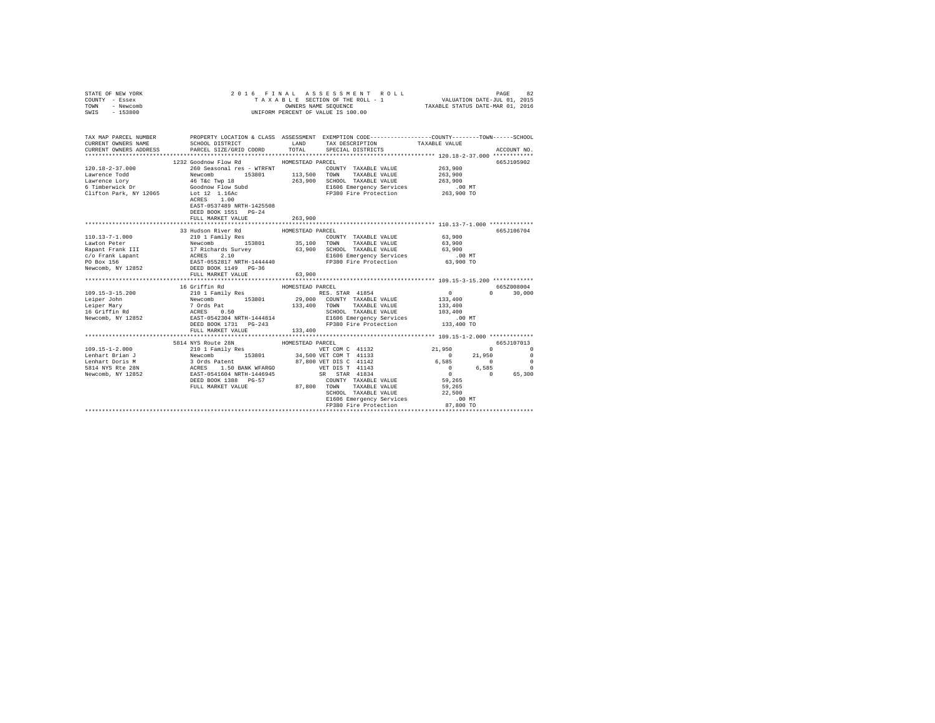| STATE OF NEW YORK<br>COUNTY - Essex<br>TOWN - Newcomb<br>SWIS - 153800                                                                                                                                                                                                                                                                                                                                                                                         |                                              |                  | 2016 FINAL ASSESSMENT ROLL<br>TAXABLE SECTION OF THE ROLL - 1 VALUATION DATE-JUL 01, 2015<br>OWNERS NAME SEQUENCE TAXABLE STATUS DATE-MAR 01, 2016<br>UNIFORM PERCENT OF VALUE IS 100.00                                                    |                                                                                         | PAGE                                                   | 82 |
|----------------------------------------------------------------------------------------------------------------------------------------------------------------------------------------------------------------------------------------------------------------------------------------------------------------------------------------------------------------------------------------------------------------------------------------------------------------|----------------------------------------------|------------------|---------------------------------------------------------------------------------------------------------------------------------------------------------------------------------------------------------------------------------------------|-----------------------------------------------------------------------------------------|--------------------------------------------------------|----|
| TAX MAP PARCEL NUMBER PROPERTY LOCATION & CLASS ASSESSMENT EXEMPTION CODE--------------COUNTY-------TOWN------SCHOOL<br>CURRENT OWNERS NAME                                                                                                                                                                                                                                                                                                                    | SCHOOL DISTRICT                              |                  | LAND TAX DESCRIPTION                                                                                                                                                                                                                        | TAXABLE VALUE                                                                           |                                                        |    |
| CURRENT OWNERS ADDRESS PARCEL SIZE/GRID COORD                                                                                                                                                                                                                                                                                                                                                                                                                  |                                              | $_{\tt TOTAL}$   | SPECIAL DISTRICTS                                                                                                                                                                                                                           |                                                                                         | ACCOUNT NO.                                            |    |
|                                                                                                                                                                                                                                                                                                                                                                                                                                                                |                                              |                  |                                                                                                                                                                                                                                             |                                                                                         |                                                        |    |
|                                                                                                                                                                                                                                                                                                                                                                                                                                                                | 1232 Goodnow Flow Rd MOMESTEAD PARCEL        |                  |                                                                                                                                                                                                                                             |                                                                                         | 665J105902                                             |    |
|                                                                                                                                                                                                                                                                                                                                                                                                                                                                |                                              |                  |                                                                                                                                                                                                                                             | 263,900                                                                                 |                                                        |    |
|                                                                                                                                                                                                                                                                                                                                                                                                                                                                |                                              |                  |                                                                                                                                                                                                                                             | 263,900                                                                                 |                                                        |    |
|                                                                                                                                                                                                                                                                                                                                                                                                                                                                |                                              |                  |                                                                                                                                                                                                                                             | 263,900                                                                                 |                                                        |    |
|                                                                                                                                                                                                                                                                                                                                                                                                                                                                |                                              |                  | E1606 Emergency Services 6.00 MT<br>FP380 Fire Protection 263,900 TO                                                                                                                                                                        |                                                                                         |                                                        |    |
|                                                                                                                                                                                                                                                                                                                                                                                                                                                                | EAST-0537489 NRTH-1425508                    |                  |                                                                                                                                                                                                                                             |                                                                                         |                                                        |    |
|                                                                                                                                                                                                                                                                                                                                                                                                                                                                | DEED BOOK 1551    PG-24<br>FULL MARKET VALUE | 263,900          |                                                                                                                                                                                                                                             |                                                                                         |                                                        |    |
|                                                                                                                                                                                                                                                                                                                                                                                                                                                                |                                              |                  |                                                                                                                                                                                                                                             |                                                                                         |                                                        |    |
|                                                                                                                                                                                                                                                                                                                                                                                                                                                                | 33 Hudson River Rd                           | HOMESTEAD PARCEL |                                                                                                                                                                                                                                             |                                                                                         | 665J106704                                             |    |
|                                                                                                                                                                                                                                                                                                                                                                                                                                                                |                                              |                  |                                                                                                                                                                                                                                             | 63,900                                                                                  |                                                        |    |
|                                                                                                                                                                                                                                                                                                                                                                                                                                                                |                                              |                  |                                                                                                                                                                                                                                             | 63,900                                                                                  |                                                        |    |
|                                                                                                                                                                                                                                                                                                                                                                                                                                                                |                                              |                  |                                                                                                                                                                                                                                             | 63,900                                                                                  |                                                        |    |
|                                                                                                                                                                                                                                                                                                                                                                                                                                                                |                                              |                  |                                                                                                                                                                                                                                             | $.00$ MT                                                                                |                                                        |    |
| $\begin{tabular}{l c c c c c} \hline 110.13-7-1.000 & \hline \multicolumn{3}{c}{110.13-7-1.000} & \hline \multicolumn{3}{c}{110.13-7-1.000} & \hline \multicolumn{3}{c}{110.13-7-1.000} & \hline \multicolumn{3}{c}{110.13-7-1.000} & \hline \multicolumn{3}{c}{110.13-7-1.000} & \hline \multicolumn{3}{c}{110.13-7-1.000} & \hline \multicolumn{3}{c}{110$                                                                                                   |                                              |                  |                                                                                                                                                                                                                                             | 63,900 TO                                                                               |                                                        |    |
|                                                                                                                                                                                                                                                                                                                                                                                                                                                                | FULL MARKET VALUE                            | 63,900           |                                                                                                                                                                                                                                             |                                                                                         |                                                        |    |
|                                                                                                                                                                                                                                                                                                                                                                                                                                                                |                                              |                  |                                                                                                                                                                                                                                             |                                                                                         |                                                        |    |
| $\begin{tabular}{l c c c c c} \multicolumn{1}{c}{\textbf{16}} & \multicolumn{1}{c}{\textbf{16}} & \multicolumn{1}{c}{\textbf{H}} & \multicolumn{1}{c}{\textbf{H}} & \multicolumn{1}{c}{\textbf{H}} & \multicolumn{1}{c}{\textbf{H}} & \multicolumn{1}{c}{\textbf{H}} & \multicolumn{1}{c}{\textbf{H}} & \multicolumn{1}{c}{\textbf{H}} & \multicolumn{1}{c}{\textbf{H}} & \multicolumn{1}{c}{\textbf{H}} & \multicolumn{1}{c}{\textbf{H}} & \multicolumn{1}{c$ |                                              |                  |                                                                                                                                                                                                                                             |                                                                                         | 665Z008004                                             |    |
|                                                                                                                                                                                                                                                                                                                                                                                                                                                                |                                              |                  | RES. STAR 41854                                                                                                                                                                                                                             | $\sim$ 0                                                                                | $0 \t 30,000$                                          |    |
|                                                                                                                                                                                                                                                                                                                                                                                                                                                                |                                              |                  |                                                                                                                                                                                                                                             | $1\,3\,3$ , $4\,0\,0$                                                                   |                                                        |    |
|                                                                                                                                                                                                                                                                                                                                                                                                                                                                |                                              |                  |                                                                                                                                                                                                                                             | 133,400                                                                                 |                                                        |    |
|                                                                                                                                                                                                                                                                                                                                                                                                                                                                |                                              |                  | SCHOOL TAXABLE VALUE 103,400<br>E1606 Emergency Services .00 MT                                                                                                                                                                             |                                                                                         |                                                        |    |
|                                                                                                                                                                                                                                                                                                                                                                                                                                                                |                                              |                  | FP380 Fire Protection 133,400 TO                                                                                                                                                                                                            |                                                                                         |                                                        |    |
|                                                                                                                                                                                                                                                                                                                                                                                                                                                                | FULL MARKET VALUE                            | 133,400          |                                                                                                                                                                                                                                             |                                                                                         |                                                        |    |
|                                                                                                                                                                                                                                                                                                                                                                                                                                                                |                                              |                  |                                                                                                                                                                                                                                             |                                                                                         |                                                        |    |
|                                                                                                                                                                                                                                                                                                                                                                                                                                                                | 5814 NYS Route 28N                           | HOMESTEAD PARCEL |                                                                                                                                                                                                                                             |                                                                                         | 665J107013                                             |    |
|                                                                                                                                                                                                                                                                                                                                                                                                                                                                |                                              |                  |                                                                                                                                                                                                                                             | 21,950                                                                                  | $\begin{array}{ccc} & & & 0 & \quad & & 0 \end{array}$ |    |
|                                                                                                                                                                                                                                                                                                                                                                                                                                                                |                                              |                  |                                                                                                                                                                                                                                             |                                                                                         |                                                        |    |
|                                                                                                                                                                                                                                                                                                                                                                                                                                                                |                                              |                  |                                                                                                                                                                                                                                             |                                                                                         |                                                        |    |
|                                                                                                                                                                                                                                                                                                                                                                                                                                                                |                                              |                  |                                                                                                                                                                                                                                             | $6,585$<br>$6,585$<br>$0$<br>$0$<br>$6,585$<br>$0$<br>$0$<br>$6,585$<br>$0$<br>$65,300$ |                                                        |    |
|                                                                                                                                                                                                                                                                                                                                                                                                                                                                |                                              |                  |                                                                                                                                                                                                                                             |                                                                                         |                                                        |    |
|                                                                                                                                                                                                                                                                                                                                                                                                                                                                |                                              |                  |                                                                                                                                                                                                                                             |                                                                                         |                                                        |    |
|                                                                                                                                                                                                                                                                                                                                                                                                                                                                |                                              |                  | FULL MARKET VALUE 87,800 TOWN TAXABLE VALUE 59,265                                                                                                                                                                                          |                                                                                         |                                                        |    |
|                                                                                                                                                                                                                                                                                                                                                                                                                                                                |                                              |                  | SCHOOL TAXABLE VALUE                                                                                                                                                                                                                        | 22,500                                                                                  |                                                        |    |
|                                                                                                                                                                                                                                                                                                                                                                                                                                                                |                                              |                  | $\begin{tabular}{lllllllllllll} \texttt{SCHOOL} & \texttt{TAXABLE} & \texttt{Value} & & & & & & \\ \texttt{E1606} & \texttt{mergency Services} & & & & .00 MT \\ \texttt{m200} & \texttt{Time Protection} & & & 87,800 TO \\ \end{tabular}$ |                                                                                         |                                                        |    |
|                                                                                                                                                                                                                                                                                                                                                                                                                                                                |                                              |                  | alovo Augigalicy Jervice (من در بالاستخدام به PP300 Figure )<br>PTO 87,800 TO (PSP) Franch (PP300 Figure ) - All (Protection ) - All (Protection ) - All (Protection ) - All (<br>http://www.therat.com/example.html (Protection )          |                                                                                         |                                                        |    |
|                                                                                                                                                                                                                                                                                                                                                                                                                                                                |                                              |                  |                                                                                                                                                                                                                                             |                                                                                         |                                                        |    |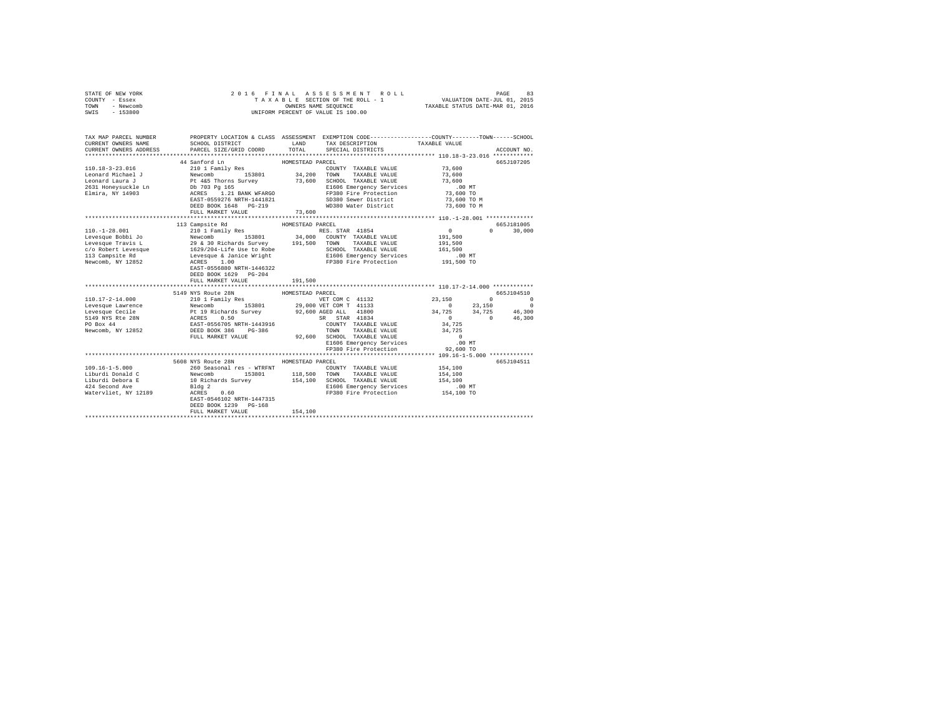| TAX MAP PARCEL NUMBER PROPERTY LOCATION & CLASS ASSESSMENT EXEMPTION CODE---------------COUNTY-------TOWN------SCHOOL<br>CURRENT OWNERS NAME<br>SCHOOL DISTRICT LAND<br>TAX DESCRIPTION<br>TAXABLE VALUE<br>CURRENT OWNERS ADDRESS<br>PARCEL SIZE/GRID COORD TOTAL<br>SPECIAL DISTRICTS<br>ACCOUNT NO.<br>44 Sanford Ln<br>HOMESTEAD PARCEL<br>665J107205<br>aa bannong na<br>210 1 Family Res<br>110.18-3-23.016<br>73,600<br>COUNTY TAXABLE VALUE<br>Newcomb 153801 34,200 YOWN TAXABLE VALUE<br>Pt 465 Thorns Survey 73,600 SCHOOL TAXABLE VALUE<br>Db 703 Pg 165 73,600 SCHOOL TAXABLE VALUE<br>ACRES 1.21 BANK WFARGO F1390 Pira PF 2010 Pr 2010<br>FAST-0559276 NRTH-1441821 5D380 Sewe<br>Leonard Michael J<br>Leonard Laura J<br>73,600<br>73,600<br>2631 Honeysuckle Ln<br>Elmira, NY 14903<br>$.00$ MT<br>E1606 Emergency Services<br>FP380 Fire Protection<br>SD380 Sewer District<br>73,600 TO<br>73,600 TO M<br>DEED BOOK 1648 PG-219<br>WD380 Water District<br>73,600 TO M<br>73,600<br>FULL MARKET VALUE<br>113 Campsite Rd<br>HOMESTEAD PARCEL<br>665J181005<br>RES. STAR 41854<br>$110. - 1 - 28.001$<br>$\sim$ 0<br>$0 \t 30.000$<br>210 1 Family Res<br>191,500<br>191,500<br>161,500<br>.00 MT<br>191,500 TO<br>EAST-0556880 NRTH-1446322<br>DEED BOOK 1629 PG-204<br>191,500<br>FULL MARKET VALUE<br>5149 NYS Route 28N<br>HOMESTEAD PARCEL<br>665J104510<br>$\begin{array}{cc} 2\,3\,,\,1\,5\,0 \qquad \qquad & 0 \\ \,0 \qquad \qquad 2\,3\,,\,1\,5\,0 \end{array}$<br>$\begin{array}{ccccccc}\n0 & & & & 0\n\end{array}$<br>$\Omega$<br>$34,725$ $34,725$ $46,300$<br>0 $46,300$<br>34,725<br>34,725<br>$\sim$ 0<br>00 MT.<br>92,600 TO<br>E1606 Emergency Services<br>FP380 Fire Protection<br>5608 NYS Route 28N<br>665J104511<br>HOMESTEAD PARCEL<br>$109.16 - 1 - 5.000$<br>260 Seasonal res - WTRFNT<br>154,100<br>COUNTY TAXABLE VALUE<br>Newcomb 153801<br>10 Richards Survey<br>118,500<br>Liburdi Donald C<br>153801<br>TOWN TAXABLE VALUE<br>154,100<br>154,100 SCHOOL TAXABLE VALUE<br>Liburdi Debora E<br>154,100<br>424 Second Ave<br>$.00$ MT<br>Bldg 2<br>ACRES 0.60<br>ElbUo <i>Emeryency</i> --<br>FP380 Fire Protection<br>154,100 TO<br>Watervliet, NY 12189<br>EAST-0546102 NRTH-1447315<br>DEED BOOK 1239 PG-168<br>154,100<br>FULL MARKET VALUE | STATE OF NEW YORK<br>COUNTY - Essex<br>- Newcomb<br>TOWN<br>$-153800$<br>SWIS | 2016 FINAL | ASSESSMENT ROLL<br>3 L E SECTION OF THE ROLL - 1 VALUATION DATE-JUL 01, 2015<br>OWNERS NAME SEQUENCE TAXABLE STATUS DATE-MAR 01, 2016<br>TAXABLE SECTION OF THE ROLL - 1<br>UNIFORM PERCENT OF VALUE IS 100.00 | PAGE<br>83 |
|------------------------------------------------------------------------------------------------------------------------------------------------------------------------------------------------------------------------------------------------------------------------------------------------------------------------------------------------------------------------------------------------------------------------------------------------------------------------------------------------------------------------------------------------------------------------------------------------------------------------------------------------------------------------------------------------------------------------------------------------------------------------------------------------------------------------------------------------------------------------------------------------------------------------------------------------------------------------------------------------------------------------------------------------------------------------------------------------------------------------------------------------------------------------------------------------------------------------------------------------------------------------------------------------------------------------------------------------------------------------------------------------------------------------------------------------------------------------------------------------------------------------------------------------------------------------------------------------------------------------------------------------------------------------------------------------------------------------------------------------------------------------------------------------------------------------------------------------------------------------------------------------------------------------------------------------------------------------------------------------------------------------------------------------------------------------------------------------------------------------------------------------------------------------------------------------------------------------------------------------------------------------------------------------|-------------------------------------------------------------------------------|------------|----------------------------------------------------------------------------------------------------------------------------------------------------------------------------------------------------------------|------------|
|                                                                                                                                                                                                                                                                                                                                                                                                                                                                                                                                                                                                                                                                                                                                                                                                                                                                                                                                                                                                                                                                                                                                                                                                                                                                                                                                                                                                                                                                                                                                                                                                                                                                                                                                                                                                                                                                                                                                                                                                                                                                                                                                                                                                                                                                                                |                                                                               |            |                                                                                                                                                                                                                |            |
|                                                                                                                                                                                                                                                                                                                                                                                                                                                                                                                                                                                                                                                                                                                                                                                                                                                                                                                                                                                                                                                                                                                                                                                                                                                                                                                                                                                                                                                                                                                                                                                                                                                                                                                                                                                                                                                                                                                                                                                                                                                                                                                                                                                                                                                                                                |                                                                               |            |                                                                                                                                                                                                                |            |
|                                                                                                                                                                                                                                                                                                                                                                                                                                                                                                                                                                                                                                                                                                                                                                                                                                                                                                                                                                                                                                                                                                                                                                                                                                                                                                                                                                                                                                                                                                                                                                                                                                                                                                                                                                                                                                                                                                                                                                                                                                                                                                                                                                                                                                                                                                |                                                                               |            |                                                                                                                                                                                                                |            |
|                                                                                                                                                                                                                                                                                                                                                                                                                                                                                                                                                                                                                                                                                                                                                                                                                                                                                                                                                                                                                                                                                                                                                                                                                                                                                                                                                                                                                                                                                                                                                                                                                                                                                                                                                                                                                                                                                                                                                                                                                                                                                                                                                                                                                                                                                                |                                                                               |            |                                                                                                                                                                                                                |            |
|                                                                                                                                                                                                                                                                                                                                                                                                                                                                                                                                                                                                                                                                                                                                                                                                                                                                                                                                                                                                                                                                                                                                                                                                                                                                                                                                                                                                                                                                                                                                                                                                                                                                                                                                                                                                                                                                                                                                                                                                                                                                                                                                                                                                                                                                                                |                                                                               |            |                                                                                                                                                                                                                |            |
|                                                                                                                                                                                                                                                                                                                                                                                                                                                                                                                                                                                                                                                                                                                                                                                                                                                                                                                                                                                                                                                                                                                                                                                                                                                                                                                                                                                                                                                                                                                                                                                                                                                                                                                                                                                                                                                                                                                                                                                                                                                                                                                                                                                                                                                                                                |                                                                               |            |                                                                                                                                                                                                                |            |
|                                                                                                                                                                                                                                                                                                                                                                                                                                                                                                                                                                                                                                                                                                                                                                                                                                                                                                                                                                                                                                                                                                                                                                                                                                                                                                                                                                                                                                                                                                                                                                                                                                                                                                                                                                                                                                                                                                                                                                                                                                                                                                                                                                                                                                                                                                |                                                                               |            |                                                                                                                                                                                                                |            |
|                                                                                                                                                                                                                                                                                                                                                                                                                                                                                                                                                                                                                                                                                                                                                                                                                                                                                                                                                                                                                                                                                                                                                                                                                                                                                                                                                                                                                                                                                                                                                                                                                                                                                                                                                                                                                                                                                                                                                                                                                                                                                                                                                                                                                                                                                                |                                                                               |            |                                                                                                                                                                                                                |            |
|                                                                                                                                                                                                                                                                                                                                                                                                                                                                                                                                                                                                                                                                                                                                                                                                                                                                                                                                                                                                                                                                                                                                                                                                                                                                                                                                                                                                                                                                                                                                                                                                                                                                                                                                                                                                                                                                                                                                                                                                                                                                                                                                                                                                                                                                                                |                                                                               |            |                                                                                                                                                                                                                |            |
|                                                                                                                                                                                                                                                                                                                                                                                                                                                                                                                                                                                                                                                                                                                                                                                                                                                                                                                                                                                                                                                                                                                                                                                                                                                                                                                                                                                                                                                                                                                                                                                                                                                                                                                                                                                                                                                                                                                                                                                                                                                                                                                                                                                                                                                                                                |                                                                               |            |                                                                                                                                                                                                                |            |
|                                                                                                                                                                                                                                                                                                                                                                                                                                                                                                                                                                                                                                                                                                                                                                                                                                                                                                                                                                                                                                                                                                                                                                                                                                                                                                                                                                                                                                                                                                                                                                                                                                                                                                                                                                                                                                                                                                                                                                                                                                                                                                                                                                                                                                                                                                |                                                                               |            |                                                                                                                                                                                                                |            |
|                                                                                                                                                                                                                                                                                                                                                                                                                                                                                                                                                                                                                                                                                                                                                                                                                                                                                                                                                                                                                                                                                                                                                                                                                                                                                                                                                                                                                                                                                                                                                                                                                                                                                                                                                                                                                                                                                                                                                                                                                                                                                                                                                                                                                                                                                                |                                                                               |            |                                                                                                                                                                                                                |            |
|                                                                                                                                                                                                                                                                                                                                                                                                                                                                                                                                                                                                                                                                                                                                                                                                                                                                                                                                                                                                                                                                                                                                                                                                                                                                                                                                                                                                                                                                                                                                                                                                                                                                                                                                                                                                                                                                                                                                                                                                                                                                                                                                                                                                                                                                                                |                                                                               |            |                                                                                                                                                                                                                |            |
|                                                                                                                                                                                                                                                                                                                                                                                                                                                                                                                                                                                                                                                                                                                                                                                                                                                                                                                                                                                                                                                                                                                                                                                                                                                                                                                                                                                                                                                                                                                                                                                                                                                                                                                                                                                                                                                                                                                                                                                                                                                                                                                                                                                                                                                                                                |                                                                               |            |                                                                                                                                                                                                                |            |
|                                                                                                                                                                                                                                                                                                                                                                                                                                                                                                                                                                                                                                                                                                                                                                                                                                                                                                                                                                                                                                                                                                                                                                                                                                                                                                                                                                                                                                                                                                                                                                                                                                                                                                                                                                                                                                                                                                                                                                                                                                                                                                                                                                                                                                                                                                |                                                                               |            |                                                                                                                                                                                                                |            |
|                                                                                                                                                                                                                                                                                                                                                                                                                                                                                                                                                                                                                                                                                                                                                                                                                                                                                                                                                                                                                                                                                                                                                                                                                                                                                                                                                                                                                                                                                                                                                                                                                                                                                                                                                                                                                                                                                                                                                                                                                                                                                                                                                                                                                                                                                                |                                                                               |            |                                                                                                                                                                                                                |            |
|                                                                                                                                                                                                                                                                                                                                                                                                                                                                                                                                                                                                                                                                                                                                                                                                                                                                                                                                                                                                                                                                                                                                                                                                                                                                                                                                                                                                                                                                                                                                                                                                                                                                                                                                                                                                                                                                                                                                                                                                                                                                                                                                                                                                                                                                                                |                                                                               |            |                                                                                                                                                                                                                |            |
|                                                                                                                                                                                                                                                                                                                                                                                                                                                                                                                                                                                                                                                                                                                                                                                                                                                                                                                                                                                                                                                                                                                                                                                                                                                                                                                                                                                                                                                                                                                                                                                                                                                                                                                                                                                                                                                                                                                                                                                                                                                                                                                                                                                                                                                                                                |                                                                               |            |                                                                                                                                                                                                                |            |
|                                                                                                                                                                                                                                                                                                                                                                                                                                                                                                                                                                                                                                                                                                                                                                                                                                                                                                                                                                                                                                                                                                                                                                                                                                                                                                                                                                                                                                                                                                                                                                                                                                                                                                                                                                                                                                                                                                                                                                                                                                                                                                                                                                                                                                                                                                |                                                                               |            |                                                                                                                                                                                                                |            |
|                                                                                                                                                                                                                                                                                                                                                                                                                                                                                                                                                                                                                                                                                                                                                                                                                                                                                                                                                                                                                                                                                                                                                                                                                                                                                                                                                                                                                                                                                                                                                                                                                                                                                                                                                                                                                                                                                                                                                                                                                                                                                                                                                                                                                                                                                                |                                                                               |            |                                                                                                                                                                                                                |            |
|                                                                                                                                                                                                                                                                                                                                                                                                                                                                                                                                                                                                                                                                                                                                                                                                                                                                                                                                                                                                                                                                                                                                                                                                                                                                                                                                                                                                                                                                                                                                                                                                                                                                                                                                                                                                                                                                                                                                                                                                                                                                                                                                                                                                                                                                                                |                                                                               |            |                                                                                                                                                                                                                |            |
|                                                                                                                                                                                                                                                                                                                                                                                                                                                                                                                                                                                                                                                                                                                                                                                                                                                                                                                                                                                                                                                                                                                                                                                                                                                                                                                                                                                                                                                                                                                                                                                                                                                                                                                                                                                                                                                                                                                                                                                                                                                                                                                                                                                                                                                                                                |                                                                               |            |                                                                                                                                                                                                                |            |
|                                                                                                                                                                                                                                                                                                                                                                                                                                                                                                                                                                                                                                                                                                                                                                                                                                                                                                                                                                                                                                                                                                                                                                                                                                                                                                                                                                                                                                                                                                                                                                                                                                                                                                                                                                                                                                                                                                                                                                                                                                                                                                                                                                                                                                                                                                |                                                                               |            |                                                                                                                                                                                                                |            |
|                                                                                                                                                                                                                                                                                                                                                                                                                                                                                                                                                                                                                                                                                                                                                                                                                                                                                                                                                                                                                                                                                                                                                                                                                                                                                                                                                                                                                                                                                                                                                                                                                                                                                                                                                                                                                                                                                                                                                                                                                                                                                                                                                                                                                                                                                                |                                                                               |            |                                                                                                                                                                                                                |            |
|                                                                                                                                                                                                                                                                                                                                                                                                                                                                                                                                                                                                                                                                                                                                                                                                                                                                                                                                                                                                                                                                                                                                                                                                                                                                                                                                                                                                                                                                                                                                                                                                                                                                                                                                                                                                                                                                                                                                                                                                                                                                                                                                                                                                                                                                                                |                                                                               |            |                                                                                                                                                                                                                |            |
|                                                                                                                                                                                                                                                                                                                                                                                                                                                                                                                                                                                                                                                                                                                                                                                                                                                                                                                                                                                                                                                                                                                                                                                                                                                                                                                                                                                                                                                                                                                                                                                                                                                                                                                                                                                                                                                                                                                                                                                                                                                                                                                                                                                                                                                                                                |                                                                               |            |                                                                                                                                                                                                                |            |
|                                                                                                                                                                                                                                                                                                                                                                                                                                                                                                                                                                                                                                                                                                                                                                                                                                                                                                                                                                                                                                                                                                                                                                                                                                                                                                                                                                                                                                                                                                                                                                                                                                                                                                                                                                                                                                                                                                                                                                                                                                                                                                                                                                                                                                                                                                |                                                                               |            |                                                                                                                                                                                                                |            |
|                                                                                                                                                                                                                                                                                                                                                                                                                                                                                                                                                                                                                                                                                                                                                                                                                                                                                                                                                                                                                                                                                                                                                                                                                                                                                                                                                                                                                                                                                                                                                                                                                                                                                                                                                                                                                                                                                                                                                                                                                                                                                                                                                                                                                                                                                                |                                                                               |            |                                                                                                                                                                                                                |            |
|                                                                                                                                                                                                                                                                                                                                                                                                                                                                                                                                                                                                                                                                                                                                                                                                                                                                                                                                                                                                                                                                                                                                                                                                                                                                                                                                                                                                                                                                                                                                                                                                                                                                                                                                                                                                                                                                                                                                                                                                                                                                                                                                                                                                                                                                                                |                                                                               |            |                                                                                                                                                                                                                |            |
|                                                                                                                                                                                                                                                                                                                                                                                                                                                                                                                                                                                                                                                                                                                                                                                                                                                                                                                                                                                                                                                                                                                                                                                                                                                                                                                                                                                                                                                                                                                                                                                                                                                                                                                                                                                                                                                                                                                                                                                                                                                                                                                                                                                                                                                                                                |                                                                               |            |                                                                                                                                                                                                                |            |
|                                                                                                                                                                                                                                                                                                                                                                                                                                                                                                                                                                                                                                                                                                                                                                                                                                                                                                                                                                                                                                                                                                                                                                                                                                                                                                                                                                                                                                                                                                                                                                                                                                                                                                                                                                                                                                                                                                                                                                                                                                                                                                                                                                                                                                                                                                |                                                                               |            |                                                                                                                                                                                                                |            |
|                                                                                                                                                                                                                                                                                                                                                                                                                                                                                                                                                                                                                                                                                                                                                                                                                                                                                                                                                                                                                                                                                                                                                                                                                                                                                                                                                                                                                                                                                                                                                                                                                                                                                                                                                                                                                                                                                                                                                                                                                                                                                                                                                                                                                                                                                                |                                                                               |            |                                                                                                                                                                                                                |            |
|                                                                                                                                                                                                                                                                                                                                                                                                                                                                                                                                                                                                                                                                                                                                                                                                                                                                                                                                                                                                                                                                                                                                                                                                                                                                                                                                                                                                                                                                                                                                                                                                                                                                                                                                                                                                                                                                                                                                                                                                                                                                                                                                                                                                                                                                                                |                                                                               |            |                                                                                                                                                                                                                |            |
|                                                                                                                                                                                                                                                                                                                                                                                                                                                                                                                                                                                                                                                                                                                                                                                                                                                                                                                                                                                                                                                                                                                                                                                                                                                                                                                                                                                                                                                                                                                                                                                                                                                                                                                                                                                                                                                                                                                                                                                                                                                                                                                                                                                                                                                                                                |                                                                               |            |                                                                                                                                                                                                                |            |
|                                                                                                                                                                                                                                                                                                                                                                                                                                                                                                                                                                                                                                                                                                                                                                                                                                                                                                                                                                                                                                                                                                                                                                                                                                                                                                                                                                                                                                                                                                                                                                                                                                                                                                                                                                                                                                                                                                                                                                                                                                                                                                                                                                                                                                                                                                |                                                                               |            |                                                                                                                                                                                                                |            |
|                                                                                                                                                                                                                                                                                                                                                                                                                                                                                                                                                                                                                                                                                                                                                                                                                                                                                                                                                                                                                                                                                                                                                                                                                                                                                                                                                                                                                                                                                                                                                                                                                                                                                                                                                                                                                                                                                                                                                                                                                                                                                                                                                                                                                                                                                                |                                                                               |            |                                                                                                                                                                                                                |            |
|                                                                                                                                                                                                                                                                                                                                                                                                                                                                                                                                                                                                                                                                                                                                                                                                                                                                                                                                                                                                                                                                                                                                                                                                                                                                                                                                                                                                                                                                                                                                                                                                                                                                                                                                                                                                                                                                                                                                                                                                                                                                                                                                                                                                                                                                                                |                                                                               |            |                                                                                                                                                                                                                |            |
|                                                                                                                                                                                                                                                                                                                                                                                                                                                                                                                                                                                                                                                                                                                                                                                                                                                                                                                                                                                                                                                                                                                                                                                                                                                                                                                                                                                                                                                                                                                                                                                                                                                                                                                                                                                                                                                                                                                                                                                                                                                                                                                                                                                                                                                                                                |                                                                               |            |                                                                                                                                                                                                                |            |
|                                                                                                                                                                                                                                                                                                                                                                                                                                                                                                                                                                                                                                                                                                                                                                                                                                                                                                                                                                                                                                                                                                                                                                                                                                                                                                                                                                                                                                                                                                                                                                                                                                                                                                                                                                                                                                                                                                                                                                                                                                                                                                                                                                                                                                                                                                |                                                                               |            |                                                                                                                                                                                                                |            |
|                                                                                                                                                                                                                                                                                                                                                                                                                                                                                                                                                                                                                                                                                                                                                                                                                                                                                                                                                                                                                                                                                                                                                                                                                                                                                                                                                                                                                                                                                                                                                                                                                                                                                                                                                                                                                                                                                                                                                                                                                                                                                                                                                                                                                                                                                                |                                                                               |            |                                                                                                                                                                                                                |            |
|                                                                                                                                                                                                                                                                                                                                                                                                                                                                                                                                                                                                                                                                                                                                                                                                                                                                                                                                                                                                                                                                                                                                                                                                                                                                                                                                                                                                                                                                                                                                                                                                                                                                                                                                                                                                                                                                                                                                                                                                                                                                                                                                                                                                                                                                                                |                                                                               |            |                                                                                                                                                                                                                |            |
|                                                                                                                                                                                                                                                                                                                                                                                                                                                                                                                                                                                                                                                                                                                                                                                                                                                                                                                                                                                                                                                                                                                                                                                                                                                                                                                                                                                                                                                                                                                                                                                                                                                                                                                                                                                                                                                                                                                                                                                                                                                                                                                                                                                                                                                                                                |                                                                               |            |                                                                                                                                                                                                                |            |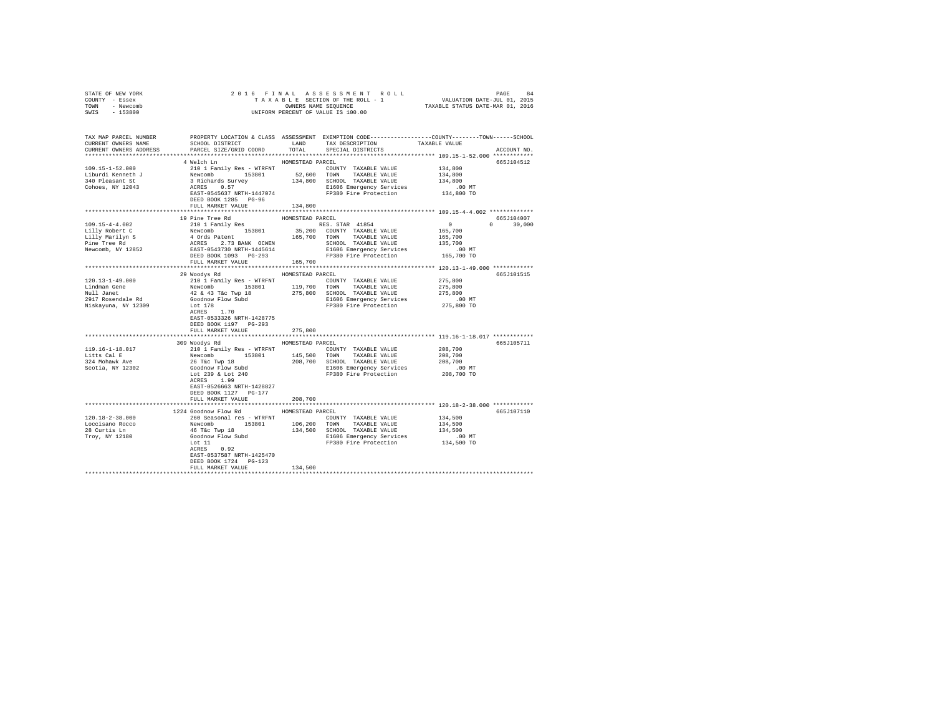| STATE OF NEW YORK<br>COUNTY - Essex<br>TOWN - Newcomb<br>SWIS - 153800                                                                                                                                                                                                                                                                                                                            |                                                                                                                                                                                                                      |                  |                                                                                                 |                                                                                                                                 |               |
|---------------------------------------------------------------------------------------------------------------------------------------------------------------------------------------------------------------------------------------------------------------------------------------------------------------------------------------------------------------------------------------------------|----------------------------------------------------------------------------------------------------------------------------------------------------------------------------------------------------------------------|------------------|-------------------------------------------------------------------------------------------------|---------------------------------------------------------------------------------------------------------------------------------|---------------|
|                                                                                                                                                                                                                                                                                                                                                                                                   |                                                                                                                                                                                                                      |                  |                                                                                                 |                                                                                                                                 |               |
| CURRENT OWNERS NAME                                                                                                                                                                                                                                                                                                                                                                               |                                                                                                                                                                                                                      |                  | SCHOOL DISTRICT                     LAND        TAX DESCRIPTION                   TAXABLE VALUE |                                                                                                                                 |               |
| CURRENT OWNERS ADDRESS PARCEL SIZE/GRID COORD TOTAL SPECIAL DISTRICTS                                                                                                                                                                                                                                                                                                                             |                                                                                                                                                                                                                      |                  |                                                                                                 |                                                                                                                                 | ACCOUNT NO.   |
|                                                                                                                                                                                                                                                                                                                                                                                                   |                                                                                                                                                                                                                      | HOMESTEAD PARCEL |                                                                                                 |                                                                                                                                 | 665J104512    |
|                                                                                                                                                                                                                                                                                                                                                                                                   | 4 Welch Ln                                                                                                                                                                                                           |                  |                                                                                                 | 134,800                                                                                                                         |               |
|                                                                                                                                                                                                                                                                                                                                                                                                   |                                                                                                                                                                                                                      |                  |                                                                                                 |                                                                                                                                 |               |
|                                                                                                                                                                                                                                                                                                                                                                                                   |                                                                                                                                                                                                                      |                  |                                                                                                 |                                                                                                                                 |               |
|                                                                                                                                                                                                                                                                                                                                                                                                   |                                                                                                                                                                                                                      |                  |                                                                                                 | .00 MT                                                                                                                          |               |
|                                                                                                                                                                                                                                                                                                                                                                                                   |                                                                                                                                                                                                                      |                  |                                                                                                 | 134,800 TO                                                                                                                      |               |
|                                                                                                                                                                                                                                                                                                                                                                                                   | DEED BOOK 1285 PG-96                                                                                                                                                                                                 |                  |                                                                                                 |                                                                                                                                 |               |
|                                                                                                                                                                                                                                                                                                                                                                                                   | FULL MARKET VALUE 134,800                                                                                                                                                                                            |                  |                                                                                                 |                                                                                                                                 |               |
|                                                                                                                                                                                                                                                                                                                                                                                                   |                                                                                                                                                                                                                      |                  |                                                                                                 |                                                                                                                                 |               |
|                                                                                                                                                                                                                                                                                                                                                                                                   | 19 Pine Tree Rd                                                                                                                                                                                                      | HOMESTEAD PARCEL |                                                                                                 | $\begin{array}{cccc} & & & & & 665{\bf J104007} \\ & 0 & & & & 30\, , 000 \\ & & 165\, , 700 & & & & 30\, , 000 \\ \end{array}$ |               |
|                                                                                                                                                                                                                                                                                                                                                                                                   |                                                                                                                                                                                                                      |                  |                                                                                                 |                                                                                                                                 | $0 \t 30,000$ |
|                                                                                                                                                                                                                                                                                                                                                                                                   |                                                                                                                                                                                                                      |                  |                                                                                                 |                                                                                                                                 |               |
|                                                                                                                                                                                                                                                                                                                                                                                                   |                                                                                                                                                                                                                      |                  |                                                                                                 |                                                                                                                                 |               |
|                                                                                                                                                                                                                                                                                                                                                                                                   |                                                                                                                                                                                                                      |                  |                                                                                                 |                                                                                                                                 |               |
|                                                                                                                                                                                                                                                                                                                                                                                                   |                                                                                                                                                                                                                      |                  |                                                                                                 |                                                                                                                                 |               |
|                                                                                                                                                                                                                                                                                                                                                                                                   | FULL MARKET VALUE 165,700                                                                                                                                                                                            |                  |                                                                                                 |                                                                                                                                 |               |
|                                                                                                                                                                                                                                                                                                                                                                                                   |                                                                                                                                                                                                                      |                  |                                                                                                 |                                                                                                                                 |               |
|                                                                                                                                                                                                                                                                                                                                                                                                   | 29 Woodys Rd MOMESTEAD PARCEL                                                                                                                                                                                        |                  |                                                                                                 |                                                                                                                                 | 665J101515    |
|                                                                                                                                                                                                                                                                                                                                                                                                   |                                                                                                                                                                                                                      |                  |                                                                                                 |                                                                                                                                 |               |
|                                                                                                                                                                                                                                                                                                                                                                                                   |                                                                                                                                                                                                                      |                  |                                                                                                 |                                                                                                                                 |               |
| $\begin{tabular}{l c c c c c c c c} \multicolumn{3}{c c c c} & \multicolumn{3}{c c c} & \multicolumn{3}{c c c} & \multicolumn{3}{c c c} & \multicolumn{3}{c c c} & \multicolumn{3}{c c c} & \multicolumn{3}{c c c} & \multicolumn{3}{c c c} & \multicolumn{3}{c c c} & \multicolumn{3}{c c c} & \multicolumn{3}{c c c} & \multicolumn{3}{c c c} & \multicolumn{3}{c c c} & \multicolumn{3}{c c c$ |                                                                                                                                                                                                                      |                  |                                                                                                 |                                                                                                                                 |               |
|                                                                                                                                                                                                                                                                                                                                                                                                   |                                                                                                                                                                                                                      |                  |                                                                                                 |                                                                                                                                 |               |
|                                                                                                                                                                                                                                                                                                                                                                                                   |                                                                                                                                                                                                                      |                  |                                                                                                 |                                                                                                                                 |               |
|                                                                                                                                                                                                                                                                                                                                                                                                   |                                                                                                                                                                                                                      |                  |                                                                                                 |                                                                                                                                 |               |
|                                                                                                                                                                                                                                                                                                                                                                                                   | EAST-0533326 NRTH-1428775                                                                                                                                                                                            |                  |                                                                                                 |                                                                                                                                 |               |
|                                                                                                                                                                                                                                                                                                                                                                                                   | DEED BOOK 1197 PG-293                                                                                                                                                                                                |                  |                                                                                                 |                                                                                                                                 |               |
|                                                                                                                                                                                                                                                                                                                                                                                                   | FULL MARKET VALUE                                                                                                                                                                                                    | 275,800          |                                                                                                 |                                                                                                                                 |               |
|                                                                                                                                                                                                                                                                                                                                                                                                   | 309 Woodys Rd MOMESTEAD PARCEL                                                                                                                                                                                       |                  |                                                                                                 |                                                                                                                                 |               |
| 119.16-1-18.017                                                                                                                                                                                                                                                                                                                                                                                   |                                                                                                                                                                                                                      |                  |                                                                                                 |                                                                                                                                 | 665J105711    |
|                                                                                                                                                                                                                                                                                                                                                                                                   |                                                                                                                                                                                                                      |                  |                                                                                                 |                                                                                                                                 |               |
| Litts Cal E<br>324 Mohawk Ave                                                                                                                                                                                                                                                                                                                                                                     |                                                                                                                                                                                                                      |                  |                                                                                                 |                                                                                                                                 |               |
| Scotia, NY 12302                                                                                                                                                                                                                                                                                                                                                                                  |                                                                                                                                                                                                                      |                  |                                                                                                 |                                                                                                                                 |               |
|                                                                                                                                                                                                                                                                                                                                                                                                   |                                                                                                                                                                                                                      |                  |                                                                                                 |                                                                                                                                 |               |
|                                                                                                                                                                                                                                                                                                                                                                                                   | ACRES 1.99                                                                                                                                                                                                           |                  |                                                                                                 |                                                                                                                                 |               |
|                                                                                                                                                                                                                                                                                                                                                                                                   | EAST-0526663 NRTH-1428827                                                                                                                                                                                            |                  |                                                                                                 |                                                                                                                                 |               |
|                                                                                                                                                                                                                                                                                                                                                                                                   | DEED BOOK 1127 PG-177                                                                                                                                                                                                |                  |                                                                                                 |                                                                                                                                 |               |
|                                                                                                                                                                                                                                                                                                                                                                                                   | FULL MARKET VALUE                                                                                                                                                                                                    | 208,700          |                                                                                                 |                                                                                                                                 |               |
|                                                                                                                                                                                                                                                                                                                                                                                                   |                                                                                                                                                                                                                      |                  |                                                                                                 |                                                                                                                                 |               |
|                                                                                                                                                                                                                                                                                                                                                                                                   | 1224 Goodnow Flow Rd MOMESTEAD PARCEL                                                                                                                                                                                |                  |                                                                                                 |                                                                                                                                 | 665J107110    |
| 120.18-2-38.000                                                                                                                                                                                                                                                                                                                                                                                   | 260 Seasonal res - WTRFNT <a> COUNTY TAXABLE VALUE</a>                                                                                                                                                               |                  |                                                                                                 | 134,500                                                                                                                         |               |
| Loccisano Rocco<br>28 Curtis Ln<br>Troy, NY 12180                                                                                                                                                                                                                                                                                                                                                 | Newcomb and the minimal contract the NAME VALUE<br>46 Tax Tay 18 19801 196, 200 TOWN TAXABLE VALUE<br>46 Tax Tay 18 194, 500 SCHOOL TAXABLE VALUE<br>Goodnow Flow Subd<br>500 Tay 1930 Pire Protection<br>ACRES 0.92 |                  |                                                                                                 | 134,500                                                                                                                         |               |
|                                                                                                                                                                                                                                                                                                                                                                                                   |                                                                                                                                                                                                                      |                  |                                                                                                 | 134,500                                                                                                                         |               |
|                                                                                                                                                                                                                                                                                                                                                                                                   |                                                                                                                                                                                                                      |                  | E1606 Emergency Services 00 MT<br>FP380 Fire Protection 134,500 TO                              |                                                                                                                                 |               |
|                                                                                                                                                                                                                                                                                                                                                                                                   |                                                                                                                                                                                                                      |                  |                                                                                                 |                                                                                                                                 |               |
|                                                                                                                                                                                                                                                                                                                                                                                                   | EAST-0537587 NRTH-1425470                                                                                                                                                                                            |                  |                                                                                                 |                                                                                                                                 |               |
|                                                                                                                                                                                                                                                                                                                                                                                                   | DEED BOOK 1724 PG-123                                                                                                                                                                                                |                  |                                                                                                 |                                                                                                                                 |               |
|                                                                                                                                                                                                                                                                                                                                                                                                   | FULL MARKET VALUE                                                                                                                                                                                                    | 134,500          |                                                                                                 |                                                                                                                                 |               |
|                                                                                                                                                                                                                                                                                                                                                                                                   |                                                                                                                                                                                                                      |                  |                                                                                                 |                                                                                                                                 |               |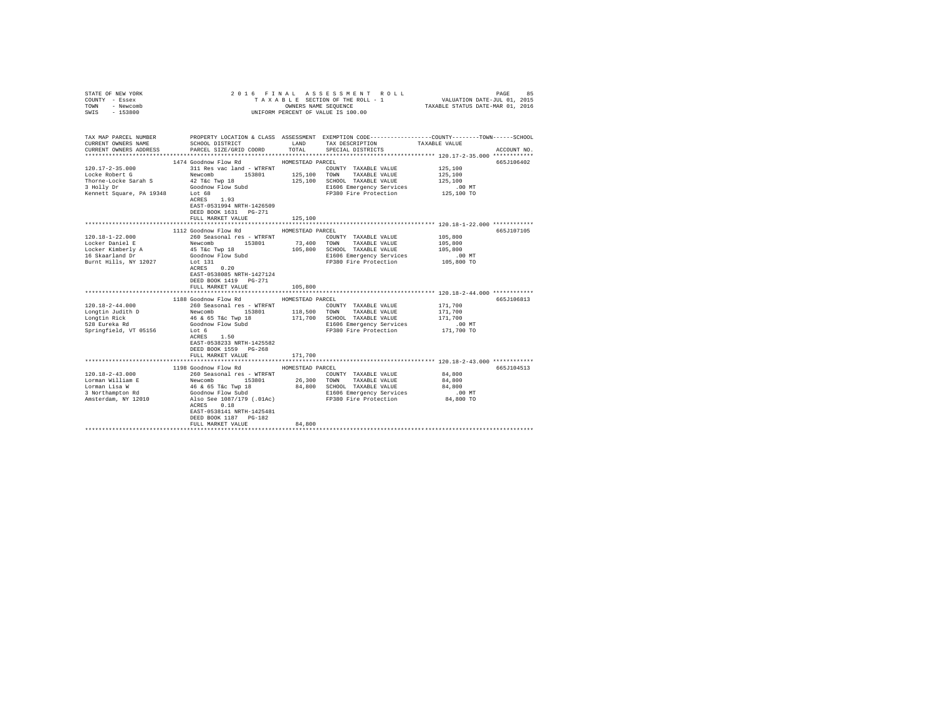| COUNTY - Essex<br>TOWN<br>- Newcomb<br>SWIS<br>$-153800$                                                            | UNIFORM PERCENT OF VALUE IS 100.00                                                                                                                                                                      |                  |                                                                                                                                                                                                                                                                                                                                        |               |             |
|---------------------------------------------------------------------------------------------------------------------|---------------------------------------------------------------------------------------------------------------------------------------------------------------------------------------------------------|------------------|----------------------------------------------------------------------------------------------------------------------------------------------------------------------------------------------------------------------------------------------------------------------------------------------------------------------------------------|---------------|-------------|
|                                                                                                                     |                                                                                                                                                                                                         |                  |                                                                                                                                                                                                                                                                                                                                        |               |             |
| TAX MAP PARCEL NUMBER PROPERTY LOCATION & CLASS ASSESSMENT EXEMPTION CODE--------------COUNTY-------TOWN-----SCHOOL |                                                                                                                                                                                                         |                  |                                                                                                                                                                                                                                                                                                                                        |               |             |
| CURRENT OWNERS NAME                                                                                                 | SCHOOL DISTRICT                                                                                                                                                                                         |                  | LAND TAX DESCRIPTION                                                                                                                                                                                                                                                                                                                   | TAXABLE VALUE |             |
| CURRENT OWNERS ADDRESS                                                                                              | PARCEL SIZE/GRID COORD                                                                                                                                                                                  |                  | TOTAL SPECIAL DISTRICTS                                                                                                                                                                                                                                                                                                                |               | ACCOUNT NO. |
|                                                                                                                     |                                                                                                                                                                                                         |                  |                                                                                                                                                                                                                                                                                                                                        |               |             |
| $120.17 - 2 - 35.000$                                                                                               | 1474 Goodnow Flow Rd<br>311 Res vac land - WTRFNT                                                                                                                                                       | HOMESTEAD PARCEL | COUNTY TAXABLE VALUE                                                                                                                                                                                                                                                                                                                   | 125,100       | 665J106402  |
| Locke Robert G                                                                                                      |                                                                                                                                                                                                         | 125,100          | TOWN TAXABLE VALUE                                                                                                                                                                                                                                                                                                                     | 125,100       |             |
| Thorne-Locke Sarah S                                                                                                | Newcomb 153801<br>42 T&c Twp 18                                                                                                                                                                         |                  | 125,100 SCHOOL TAXABLE VALUE                                                                                                                                                                                                                                                                                                           | 125,100       |             |
| 3 Holly Dr                                                                                                          | Goodnow Flow Subd                                                                                                                                                                                       |                  | E1606 Emergency Services                                                                                                                                                                                                                                                                                                               | $.00$ MT      |             |
| Kennett Square, PA 19348 Lot 68                                                                                     |                                                                                                                                                                                                         |                  | FP380 Fire Protection                                                                                                                                                                                                                                                                                                                  | 125,100 TO    |             |
|                                                                                                                     | $ACRES$ 1.93                                                                                                                                                                                            |                  |                                                                                                                                                                                                                                                                                                                                        |               |             |
|                                                                                                                     | EAST-0531994 NRTH-1426509                                                                                                                                                                               |                  |                                                                                                                                                                                                                                                                                                                                        |               |             |
|                                                                                                                     | DEED BOOK 1631    PG-271                                                                                                                                                                                |                  |                                                                                                                                                                                                                                                                                                                                        |               |             |
|                                                                                                                     | FULL MARKET VALUE                                                                                                                                                                                       | 125,100          | ********************************* 120.18-1-22.000 *************                                                                                                                                                                                                                                                                        |               |             |
|                                                                                                                     | 1112 Goodnow Flow Rd                                                                                                                                                                                    | HOMESTEAD PARCEL |                                                                                                                                                                                                                                                                                                                                        |               | 665J107105  |
| $120.18 - 1 - 22.000$                                                                                               | 260 Seasonal res - WTRFNT                                                                                                                                                                               |                  | COUNTY TAXABLE VALUE                                                                                                                                                                                                                                                                                                                   | 105,800       |             |
| Locker Daniel E                                                                                                     |                                                                                                                                                                                                         |                  | 73,400 TOWN TAXABLE VALUE                                                                                                                                                                                                                                                                                                              | 105,800       |             |
|                                                                                                                     | Newcomb 153801<br>45 T&c Twp 18                                                                                                                                                                         |                  | 105,800 SCHOOL TAXABLE VALUE                                                                                                                                                                                                                                                                                                           | 105,800       |             |
| Locker Kimberly A<br>16 Skaarland Dr                                                                                | Goodnow Flow Subd                                                                                                                                                                                       |                  | E1606 Emergency Services                                                                                                                                                                                                                                                                                                               | .00 MT        |             |
| Burnt Hills, NY 12027                                                                                               | Lot 131                                                                                                                                                                                                 |                  | FP380 Fire Protection                                                                                                                                                                                                                                                                                                                  | 105,800 TO    |             |
|                                                                                                                     | ACRES 0.20                                                                                                                                                                                              |                  |                                                                                                                                                                                                                                                                                                                                        |               |             |
|                                                                                                                     | EAST-0538085 NRTH-1427124                                                                                                                                                                               |                  |                                                                                                                                                                                                                                                                                                                                        |               |             |
|                                                                                                                     | DEED BOOK 1419 PG-271                                                                                                                                                                                   | 105,800          |                                                                                                                                                                                                                                                                                                                                        |               |             |
|                                                                                                                     | FULL MARKET VALUE                                                                                                                                                                                       |                  |                                                                                                                                                                                                                                                                                                                                        |               |             |
|                                                                                                                     | 1188 Goodnow Flow Rd                                                                                                                                                                                    | HOMESTEAD PARCEL |                                                                                                                                                                                                                                                                                                                                        |               | 665J106813  |
| $120.18 - 2 - 44.000$                                                                                               | 260 Seasonal res - WTRFNT<br>Newcomb 153801 118,500 TOWN TAXABLE VALUE<br>46 & 65 T&c Twp 18 171,700 SCHOOL TAXABLE VALUE<br>Goodnow Flow Subd 171,700 SCHOOL TAXABLE VALUE<br>E1606 Emergency Services |                  | COUNTY TAXABLE VALUE                                                                                                                                                                                                                                                                                                                   | 171,700       |             |
|                                                                                                                     |                                                                                                                                                                                                         |                  |                                                                                                                                                                                                                                                                                                                                        | 171,700       |             |
| Longtin Judith D<br>Longtin Rick<br>528 Eureka Rd                                                                   |                                                                                                                                                                                                         |                  | 171,700 SCHOOL TAXABLE VALUE                                                                                                                                                                                                                                                                                                           | 171,700       |             |
|                                                                                                                     |                                                                                                                                                                                                         |                  | E1606 Emergency Services                                                                                                                                                                                                                                                                                                               | .00 MT        |             |
| Springfield, VT 05156                                                                                               | Lot 6                                                                                                                                                                                                   |                  | FP380 Fire Protection                                                                                                                                                                                                                                                                                                                  | 171,700 TO    |             |
|                                                                                                                     | ACRES 1.50                                                                                                                                                                                              |                  |                                                                                                                                                                                                                                                                                                                                        |               |             |
|                                                                                                                     | EAST-0538233 NRTH-1425582<br>DEED BOOK 1559 PG-268                                                                                                                                                      |                  |                                                                                                                                                                                                                                                                                                                                        |               |             |
|                                                                                                                     | FULL MARKET VALUE                                                                                                                                                                                       | 171,700          |                                                                                                                                                                                                                                                                                                                                        |               |             |
|                                                                                                                     |                                                                                                                                                                                                         |                  |                                                                                                                                                                                                                                                                                                                                        |               |             |
|                                                                                                                     | 1198 Goodnow Flow Rd MOMESTEAD PARCEL                                                                                                                                                                   |                  |                                                                                                                                                                                                                                                                                                                                        |               | 665J104513  |
| $120.18 - 2 - 43.000$                                                                                               | 260 Seasonal res - WTRFNT                                                                                                                                                                               |                  | COUNTY TAXABLE VALUE                                                                                                                                                                                                                                                                                                                   | 84,800        |             |
| Lorman William E                                                                                                    |                                                                                                                                                                                                         |                  |                                                                                                                                                                                                                                                                                                                                        |               |             |
| Lorman Lisa W                                                                                                       |                                                                                                                                                                                                         |                  | $\begin{tabular}{l c c c c c} {\bf Newton} & $153801$ & $26,300$ & $70\text{WW}$ & $7A XABLE$ VALUE & $64,800$ \\ 46 & 65 Tcc Two & 18 & $84,800$ & $84,800$ & $7A BLE$ VALUE & $84,800$ \\ 60cm & 60cm & $70cm$ & $18$ & $84,800$ & $84,800$ & $84,800$ \\ 60cm & $70cm$ & $18cm$ & $18cm$ & $18cm$ & $18cm$ & $18cm$ & $18cm$ & $18$ |               |             |
| 3 Northampton Rd                                                                                                    |                                                                                                                                                                                                         |                  |                                                                                                                                                                                                                                                                                                                                        |               |             |
| Amsterdam, NY 12010                                                                                                 | ACRES 0.18                                                                                                                                                                                              |                  |                                                                                                                                                                                                                                                                                                                                        |               |             |
|                                                                                                                     | EAST-0538141 NRTH-1425481                                                                                                                                                                               |                  |                                                                                                                                                                                                                                                                                                                                        |               |             |
|                                                                                                                     | DEED BOOK 1187 PG-182                                                                                                                                                                                   |                  |                                                                                                                                                                                                                                                                                                                                        |               |             |
|                                                                                                                     | FULL MARKET VALUE                                                                                                                                                                                       | 84,800           |                                                                                                                                                                                                                                                                                                                                        |               |             |
|                                                                                                                     |                                                                                                                                                                                                         |                  |                                                                                                                                                                                                                                                                                                                                        |               |             |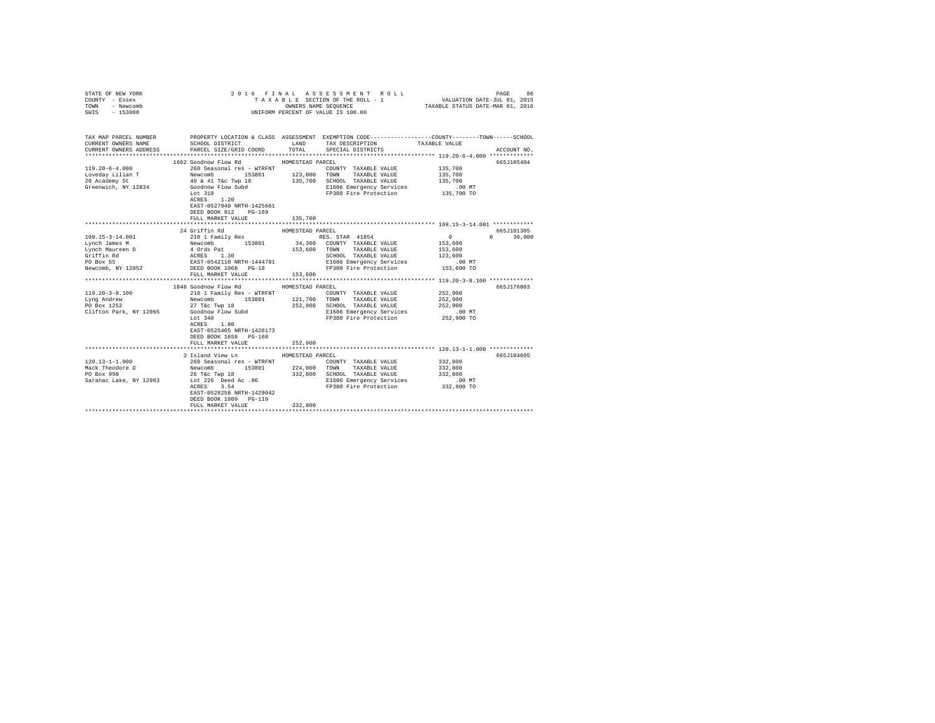| STATE OF NEW YORK<br>COUNTY - Essex<br>TOWN - Newcomb<br>SWIS - 153800                                                                                                                                                                                                                                                                                                                                                       |                                                                                                                                                                                                                |                             | 2016 FINAL ASSESSMENT ROLL<br>UNIFORM PERCENT OF VALUE IS 100.00                                     | PAGE<br>TAXABLE SECTION OF THE ROLL - 1 VALUATION DATE-JUL 01, 2015<br>OWNERS NAME SEQUENCE TAXABLE STATUS DATE-MAR 01, 2016                          | 86 |
|------------------------------------------------------------------------------------------------------------------------------------------------------------------------------------------------------------------------------------------------------------------------------------------------------------------------------------------------------------------------------------------------------------------------------|----------------------------------------------------------------------------------------------------------------------------------------------------------------------------------------------------------------|-----------------------------|------------------------------------------------------------------------------------------------------|-------------------------------------------------------------------------------------------------------------------------------------------------------|----|
| CURRENT OWNERS NAME<br>CURRENT OWNERS ADDRESS                                                                                                                                                                                                                                                                                                                                                                                | SCHOOL DISTRICT LAND<br>PARCEL SIZE/GRID COORD                                                                                                                                                                 | TOTAL                       | TAX DESCRIPTION<br>SPECIAL DISTRICTS                                                                 | TAX MAP PARCEL NUMBER PROPERTY LOCATION & CLASS ASSESSMENT EXEMPTION CODE---------------COUNTY-------TOWN------SCHOOL<br>TAXABLE VALUE<br>ACCOUNT NO. |    |
| Greenwich, NY 12834                                                                                                                                                                                                                                                                                                                                                                                                          | 1662 Goodnow Flow Rd MOMESTEAD PARCEL<br>Goodnow Flow Subd<br>Lot 318<br>Lot 318<br>ACRES 1.20<br>EAST-0527940 NRTH-1425661<br>DEED BOOK 912 PG-169<br>FULL MARKET VALUE                                       | 135,700                     | COUNTY TAXABLE VALUE 135,700<br>E1606 Emergency Services 6.00 MT<br>FP380 Fire Protection 135,700 TO | 665J105404<br>.00 MT                                                                                                                                  |    |
|                                                                                                                                                                                                                                                                                                                                                                                                                              |                                                                                                                                                                                                                |                             |                                                                                                      |                                                                                                                                                       |    |
|                                                                                                                                                                                                                                                                                                                                                                                                                              | 24 Griffin Rd                                                                                                                                                                                                  | HOMESTEAD PARCEL            |                                                                                                      | 665J101305                                                                                                                                            |    |
| $119.20 - 3 - 8.100$<br>Lyng Andrew<br>PO Box 1252<br>Clifton Park, NY 12065 Goodnow Flow Subd Lot 340                                                                                                                                                                                                                                                                                                                       | FULL MARKET VALUE<br>1848 Goodnow Flow Rd MOMESTEAD PARCEL<br>210 1 Family Res - WTRFNT<br>Newcomb<br>Newcomb<br>27 T&c Twp 18 153801 121,700 TOWN TAXABLE VALUE<br>27 T&c Twp 18 252,900 SCHOOL TAXABLE VALUE | 153,600                     | COUNTY TAXABLE VALUE<br>E1606 Emergency Services .00 MT<br>FP380 Fire Protection 252,900 TO          | $\sim$<br>30,000<br>665J176003<br>252,900<br>252,900<br>252,900                                                                                       |    |
|                                                                                                                                                                                                                                                                                                                                                                                                                              | ACRES 1.80<br>EAST-0525405 NRTH-1426173<br>DEED BOOK 1658 PG-160<br>FULL MARKET VALUE                                                                                                                          | 252,900                     |                                                                                                      |                                                                                                                                                       |    |
| $120.13 - 1 - 1.000$<br>$\begin{tabular}{l c c c c c c c c} \multicolumn{2}{c}{\textbf{Meyc} & \textbf{Meyc} & \textbf{Meyc} & \textbf{Meyc} & \textbf{Meyc} & \textbf{Meyc} & \textbf{Meyc} & \textbf{Meyc} & \textbf{Meyc} & \textbf{Meyc} & \textbf{Meyc} & \textbf{Meyc} & \textbf{Meyc} & \textbf{Meyc} & \textbf{Meyc} & \textbf{Meyc} & \textbf{Meyc} & \textbf{Meyc} & \textbf{Meyc} & \textbf{Meyc} & \textbf{Meyc$ | 3 Island View Ln<br>260 Seasonal res - WTRFNT<br>EAST-0528258 NRTH-1429042<br>DEED BOOK 1809 PG-119<br>FULL MARKET VALUE                                                                                       | HOMESTEAD PARCEL<br>332,800 | COUNTY TAXABLE VALUE<br>DO MT E1606 Emergency Services .00 MT<br>FP380 Fire Protection 332,800 TO    | 665J104605<br>332,800<br>332,800                                                                                                                      |    |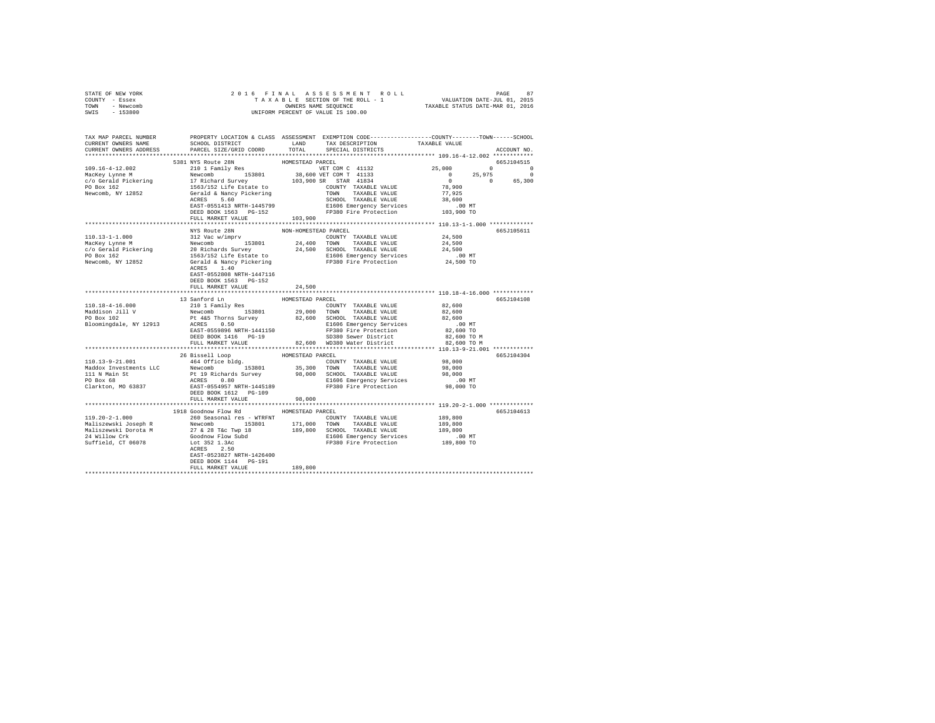| STATE OF NEW YORK<br>COUNTY - Essex<br>TOWN - Newcomb<br>SWIS - 153800                                                                                                                                                                                                                                                                                                                                                                                                                                                                                                             | 2016 FINAL ASSESSMENT ROLL PAGE 87<br>TAXABLE SECTION OF THE ROLL - 1 VALUATION DATE-JUL 01, 2015<br>OWNERS NAME SEQUENCE TAXABLE STATUS DATE-MAR 01, 2016<br>UNIFORM PERCENT OF VALUE IS 100.00 |                      |  |             |
|------------------------------------------------------------------------------------------------------------------------------------------------------------------------------------------------------------------------------------------------------------------------------------------------------------------------------------------------------------------------------------------------------------------------------------------------------------------------------------------------------------------------------------------------------------------------------------|--------------------------------------------------------------------------------------------------------------------------------------------------------------------------------------------------|----------------------|--|-------------|
| TAX MAP PARCEL NUMBER PROPERTY LOCATION & CLASS ASSESSMENT EXEMPTION CODE---------------COUNTY-------TOWN------SCHOOL<br>CURRENT OWNERS NAME SCHOOL DISTRICT LAND TAX DESCRIPTION TAXABLE VALUE                                                                                                                                                                                                                                                                                                                                                                                    |                                                                                                                                                                                                  |                      |  |             |
| CURRENT OWNERS ADDRESS PARCEL SIZE/GRID COORD TOTAL SPECIAL DISTRICTS                                                                                                                                                                                                                                                                                                                                                                                                                                                                                                              |                                                                                                                                                                                                  |                      |  | ACCOUNT NO. |
|                                                                                                                                                                                                                                                                                                                                                                                                                                                                                                                                                                                    |                                                                                                                                                                                                  |                      |  |             |
|                                                                                                                                                                                                                                                                                                                                                                                                                                                                                                                                                                                    | 5381 NYS Route 28N                                                                                                                                                                               | HOMESTEAD PARCEL     |  | 665J104515  |
|                                                                                                                                                                                                                                                                                                                                                                                                                                                                                                                                                                                    |                                                                                                                                                                                                  |                      |  |             |
|                                                                                                                                                                                                                                                                                                                                                                                                                                                                                                                                                                                    |                                                                                                                                                                                                  |                      |  |             |
|                                                                                                                                                                                                                                                                                                                                                                                                                                                                                                                                                                                    |                                                                                                                                                                                                  |                      |  |             |
|                                                                                                                                                                                                                                                                                                                                                                                                                                                                                                                                                                                    |                                                                                                                                                                                                  |                      |  |             |
|                                                                                                                                                                                                                                                                                                                                                                                                                                                                                                                                                                                    |                                                                                                                                                                                                  |                      |  |             |
|                                                                                                                                                                                                                                                                                                                                                                                                                                                                                                                                                                                    |                                                                                                                                                                                                  |                      |  |             |
|                                                                                                                                                                                                                                                                                                                                                                                                                                                                                                                                                                                    |                                                                                                                                                                                                  |                      |  |             |
|                                                                                                                                                                                                                                                                                                                                                                                                                                                                                                                                                                                    |                                                                                                                                                                                                  |                      |  |             |
|                                                                                                                                                                                                                                                                                                                                                                                                                                                                                                                                                                                    |                                                                                                                                                                                                  |                      |  |             |
|                                                                                                                                                                                                                                                                                                                                                                                                                                                                                                                                                                                    | NYS Route 28N                                                                                                                                                                                    | NON-HOMESTEAD PARCEL |  | 665J105611  |
|                                                                                                                                                                                                                                                                                                                                                                                                                                                                                                                                                                                    |                                                                                                                                                                                                  |                      |  |             |
|                                                                                                                                                                                                                                                                                                                                                                                                                                                                                                                                                                                    |                                                                                                                                                                                                  |                      |  |             |
|                                                                                                                                                                                                                                                                                                                                                                                                                                                                                                                                                                                    |                                                                                                                                                                                                  |                      |  |             |
|                                                                                                                                                                                                                                                                                                                                                                                                                                                                                                                                                                                    |                                                                                                                                                                                                  |                      |  |             |
|                                                                                                                                                                                                                                                                                                                                                                                                                                                                                                                                                                                    |                                                                                                                                                                                                  |                      |  |             |
|                                                                                                                                                                                                                                                                                                                                                                                                                                                                                                                                                                                    |                                                                                                                                                                                                  |                      |  |             |
|                                                                                                                                                                                                                                                                                                                                                                                                                                                                                                                                                                                    |                                                                                                                                                                                                  |                      |  |             |
|                                                                                                                                                                                                                                                                                                                                                                                                                                                                                                                                                                                    | DEED BOOK 1563 PG-152                                                                                                                                                                            |                      |  |             |
|                                                                                                                                                                                                                                                                                                                                                                                                                                                                                                                                                                                    | FULL MARKET VALUE                                                                                                                                                                                | 24,500               |  |             |
|                                                                                                                                                                                                                                                                                                                                                                                                                                                                                                                                                                                    |                                                                                                                                                                                                  |                      |  |             |
|                                                                                                                                                                                                                                                                                                                                                                                                                                                                                                                                                                                    | 13 Sanford Ln                                                                                                                                                                                    | HOMESTEAD PARCEL     |  | 665J104108  |
|                                                                                                                                                                                                                                                                                                                                                                                                                                                                                                                                                                                    |                                                                                                                                                                                                  |                      |  |             |
|                                                                                                                                                                                                                                                                                                                                                                                                                                                                                                                                                                                    |                                                                                                                                                                                                  |                      |  |             |
|                                                                                                                                                                                                                                                                                                                                                                                                                                                                                                                                                                                    |                                                                                                                                                                                                  |                      |  |             |
|                                                                                                                                                                                                                                                                                                                                                                                                                                                                                                                                                                                    |                                                                                                                                                                                                  |                      |  |             |
|                                                                                                                                                                                                                                                                                                                                                                                                                                                                                                                                                                                    |                                                                                                                                                                                                  |                      |  |             |
|                                                                                                                                                                                                                                                                                                                                                                                                                                                                                                                                                                                    |                                                                                                                                                                                                  |                      |  |             |
|                                                                                                                                                                                                                                                                                                                                                                                                                                                                                                                                                                                    |                                                                                                                                                                                                  |                      |  |             |
| $[10.13-9-21.001 \newline \hline \texttt{Maddox Investments LLC} \newline \texttt{Maddox Investments LLC} \newline \texttt{Maddox Investments LLC} \newline \texttt{Maddox Investments LLC} \newline \texttt{Maddox Investments LLC} \newline \texttt{Maddox Investments LLC} \newline \texttt{Maddox Investments LLC} \newline \texttt{Maddox Investments LLC} \newline \texttt{Maddox Investments LLC} \newline \texttt{Maddox Investments LLC} \newline \texttt{Maddox Invest~MUC} \newline \texttt{Maddox Invest~MUC} \newline \texttt{Maddox InAVCE} \newline \texttt{Maddox$ |                                                                                                                                                                                                  |                      |  | 665J104304  |
|                                                                                                                                                                                                                                                                                                                                                                                                                                                                                                                                                                                    |                                                                                                                                                                                                  |                      |  |             |
|                                                                                                                                                                                                                                                                                                                                                                                                                                                                                                                                                                                    |                                                                                                                                                                                                  |                      |  |             |
|                                                                                                                                                                                                                                                                                                                                                                                                                                                                                                                                                                                    |                                                                                                                                                                                                  |                      |  |             |
|                                                                                                                                                                                                                                                                                                                                                                                                                                                                                                                                                                                    |                                                                                                                                                                                                  |                      |  |             |
|                                                                                                                                                                                                                                                                                                                                                                                                                                                                                                                                                                                    |                                                                                                                                                                                                  |                      |  |             |
|                                                                                                                                                                                                                                                                                                                                                                                                                                                                                                                                                                                    |                                                                                                                                                                                                  |                      |  |             |
|                                                                                                                                                                                                                                                                                                                                                                                                                                                                                                                                                                                    | FULL MARKET VALUE                                                                                                                                                                                | 98,000               |  |             |
|                                                                                                                                                                                                                                                                                                                                                                                                                                                                                                                                                                                    |                                                                                                                                                                                                  |                      |  |             |
|                                                                                                                                                                                                                                                                                                                                                                                                                                                                                                                                                                                    | 1918 Goodnow Flow Rd HOMESTEAD PARCEL                                                                                                                                                            |                      |  | 665J104613  |
|                                                                                                                                                                                                                                                                                                                                                                                                                                                                                                                                                                                    |                                                                                                                                                                                                  |                      |  |             |
|                                                                                                                                                                                                                                                                                                                                                                                                                                                                                                                                                                                    |                                                                                                                                                                                                  |                      |  |             |
|                                                                                                                                                                                                                                                                                                                                                                                                                                                                                                                                                                                    |                                                                                                                                                                                                  |                      |  |             |
|                                                                                                                                                                                                                                                                                                                                                                                                                                                                                                                                                                                    |                                                                                                                                                                                                  |                      |  |             |
|                                                                                                                                                                                                                                                                                                                                                                                                                                                                                                                                                                                    |                                                                                                                                                                                                  |                      |  |             |
|                                                                                                                                                                                                                                                                                                                                                                                                                                                                                                                                                                                    | EAST-0523827 NRTH-1426400                                                                                                                                                                        |                      |  |             |
|                                                                                                                                                                                                                                                                                                                                                                                                                                                                                                                                                                                    |                                                                                                                                                                                                  |                      |  |             |
|                                                                                                                                                                                                                                                                                                                                                                                                                                                                                                                                                                                    | FULL MARKET VALUE 189,800                                                                                                                                                                        |                      |  |             |
|                                                                                                                                                                                                                                                                                                                                                                                                                                                                                                                                                                                    |                                                                                                                                                                                                  |                      |  |             |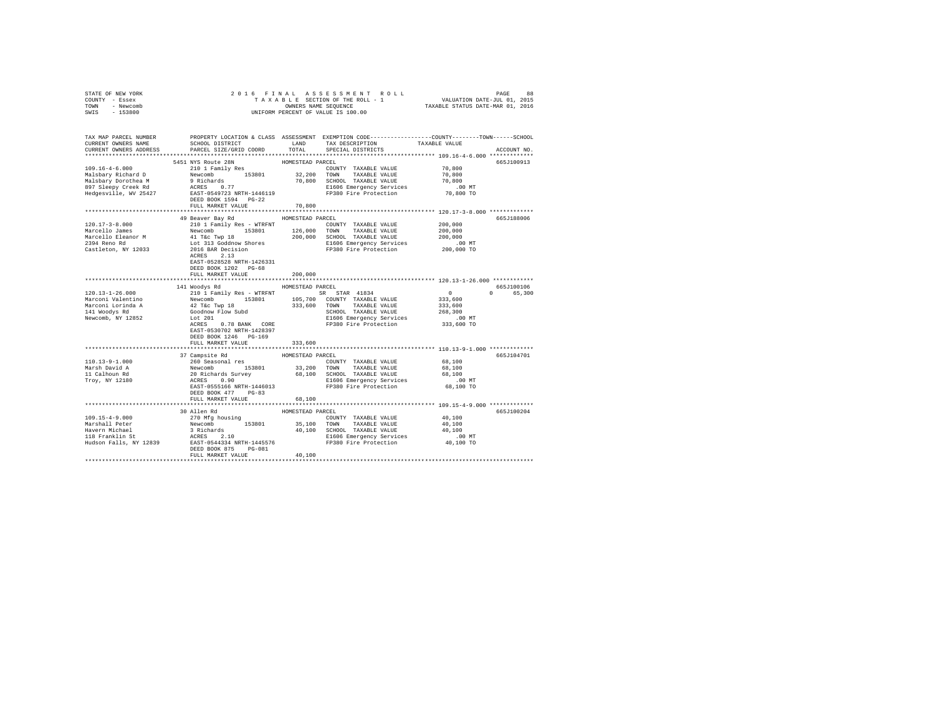| STATE OF NEW YORK                                           |                                                                                                                                                                                                                                                                   |                  |                                                                                                   |                                                                                                                      |  |
|-------------------------------------------------------------|-------------------------------------------------------------------------------------------------------------------------------------------------------------------------------------------------------------------------------------------------------------------|------------------|---------------------------------------------------------------------------------------------------|----------------------------------------------------------------------------------------------------------------------|--|
| COUNTY - Essex                                              |                                                                                                                                                                                                                                                                   |                  |                                                                                                   |                                                                                                                      |  |
| TOWN - Newcomb                                              |                                                                                                                                                                                                                                                                   |                  |                                                                                                   |                                                                                                                      |  |
| SWIS - 153800                                               |                                                                                                                                                                                                                                                                   |                  |                                                                                                   |                                                                                                                      |  |
|                                                             |                                                                                                                                                                                                                                                                   |                  |                                                                                                   |                                                                                                                      |  |
|                                                             |                                                                                                                                                                                                                                                                   |                  |                                                                                                   | TAX MAP PARCEL NUMBER PROPERTY LOCATION & CLASS ASSESSMENT EXEMPTION CODE--------------COUNTY-------TOWN------SCHOOL |  |
| CURRENT OWNERS NAME                                         | SCHOOL DISTRICT                                                                                                                                                                                                                                                   | LAND             | TAX DESCRIPTION                                                                                   | TAXABLE VALUE                                                                                                        |  |
| CURRENT OWNERS ADDRESS                                      | PARCEL SIZE/GRID COORD                                                                                                                                                                                                                                            | TOTAL            | SPECIAL DISTRICTS                                                                                 | ACCOUNT NO.                                                                                                          |  |
|                                                             |                                                                                                                                                                                                                                                                   |                  |                                                                                                   |                                                                                                                      |  |
|                                                             | 5451 NYS Route 28N                                                                                                                                                                                                                                                | HOMESTEAD PARCEL |                                                                                                   | 665J100913                                                                                                           |  |
| $109.16 - 4 - 6.000$                                        | bi NYS Route 28N<br>210 1 Family Res                                                                                                                                                                                                                              |                  |                                                                                                   | 70,800                                                                                                               |  |
|                                                             |                                                                                                                                                                                                                                                                   |                  | COUNTY TAXABLE VALUE                                                                              |                                                                                                                      |  |
|                                                             |                                                                                                                                                                                                                                                                   |                  |                                                                                                   | 70,800                                                                                                               |  |
|                                                             |                                                                                                                                                                                                                                                                   |                  |                                                                                                   | 70,800                                                                                                               |  |
|                                                             |                                                                                                                                                                                                                                                                   |                  |                                                                                                   | .00 MT<br>70,800 TO                                                                                                  |  |
|                                                             |                                                                                                                                                                                                                                                                   |                  |                                                                                                   |                                                                                                                      |  |
|                                                             | DEED BOOK 1594 PG-22                                                                                                                                                                                                                                              |                  |                                                                                                   |                                                                                                                      |  |
|                                                             | FULL MARKET VALUE                                                                                                                                                                                                                                                 | 70,800           |                                                                                                   |                                                                                                                      |  |
|                                                             | 49 Beaver Bay Rd                                                                                                                                                                                                                                                  | HOMESTEAD PARCEL |                                                                                                   | 665J188006                                                                                                           |  |
| 120.17-3-8.000                                              | 210 1 Family Res - WTRFNT                                                                                                                                                                                                                                         |                  | COUNTY TAXABLE VALUE                                                                              | 200,000                                                                                                              |  |
|                                                             |                                                                                                                                                                                                                                                                   |                  |                                                                                                   | 200,000                                                                                                              |  |
|                                                             |                                                                                                                                                                                                                                                                   |                  |                                                                                                   | 200,000                                                                                                              |  |
|                                                             |                                                                                                                                                                                                                                                                   |                  |                                                                                                   | .00MT                                                                                                                |  |
|                                                             |                                                                                                                                                                                                                                                                   |                  |                                                                                                   | 200,000 TO                                                                                                           |  |
|                                                             |                                                                                                                                                                                                                                                                   |                  |                                                                                                   |                                                                                                                      |  |
|                                                             |                                                                                                                                                                                                                                                                   |                  |                                                                                                   |                                                                                                                      |  |
|                                                             | EAST-0528528 NRTH-1426331                                                                                                                                                                                                                                         |                  |                                                                                                   |                                                                                                                      |  |
|                                                             | DEED BOOK 1202 PG-68                                                                                                                                                                                                                                              |                  |                                                                                                   |                                                                                                                      |  |
|                                                             | FULL MARKET VALUE                                                                                                                                                                                                                                                 | 200,000          |                                                                                                   |                                                                                                                      |  |
|                                                             |                                                                                                                                                                                                                                                                   |                  |                                                                                                   |                                                                                                                      |  |
|                                                             |                                                                                                                                                                                                                                                                   |                  |                                                                                                   |                                                                                                                      |  |
|                                                             | 141 Woodys Rd MOMESTEAD PARCEL                                                                                                                                                                                                                                    |                  |                                                                                                   | 665J100106                                                                                                           |  |
| $120.13 - 1 - 26.000$                                       | 210 1 Family Res - WTRFNT SR STAR 41834                                                                                                                                                                                                                           |                  |                                                                                                   | 0 65,300                                                                                                             |  |
| Marconi Valentino                                           |                                                                                                                                                                                                                                                                   |                  |                                                                                                   |                                                                                                                      |  |
|                                                             |                                                                                                                                                                                                                                                                   |                  |                                                                                                   | $0$<br>333,600<br>333,600                                                                                            |  |
|                                                             |                                                                                                                                                                                                                                                                   |                  |                                                                                                   | 268,300                                                                                                              |  |
| Marconi Lorinda A<br>141 Woodys Rd<br>Newcomb, NY 12852     |                                                                                                                                                                                                                                                                   |                  | SCHOOL TAXABLE VALUE<br>E1606 Emergency Services                                                  | .00 MT                                                                                                               |  |
|                                                             | Newcomb 153801 105,700 COUNTY TAXABLE VALUE<br>42 T&C TWP 18 333,600 TOWN TAXABLE VALUE<br>Goodhow Flow Subd 5333,600 TOWN TAXABLE VALUE<br>1506 Emergency Services<br>ACRES 0.78 BANK CORE                                                                       |                  | FP380 Fire Protection                                                                             | 333,600 TO                                                                                                           |  |
|                                                             | EAST-0530702 NRTH-1428397                                                                                                                                                                                                                                         |                  |                                                                                                   |                                                                                                                      |  |
|                                                             | DEED BOOK 1246 PG-169                                                                                                                                                                                                                                             |                  |                                                                                                   |                                                                                                                      |  |
|                                                             | FULL MARKET VALUE                                                                                                                                                                                                                                                 | 333,600          |                                                                                                   |                                                                                                                      |  |
|                                                             |                                                                                                                                                                                                                                                                   |                  |                                                                                                   |                                                                                                                      |  |
|                                                             | 37 Campsite Rd                                                                                                                                                                                                                                                    | HOMESTEAD PARCEL |                                                                                                   | 665J104701                                                                                                           |  |
| 110.13-9-1.000                                              |                                                                                                                                                                                                                                                                   |                  | COUNTY TAXABLE VALUE                                                                              | 68,100                                                                                                               |  |
|                                                             |                                                                                                                                                                                                                                                                   |                  | 33,200 TOWN TAXABLE VALUE                                                                         | 68,100                                                                                                               |  |
|                                                             |                                                                                                                                                                                                                                                                   |                  | 68,100 SCHOOL TAXABLE VALUE                                                                       | 68,100                                                                                                               |  |
|                                                             |                                                                                                                                                                                                                                                                   |                  |                                                                                                   |                                                                                                                      |  |
| Marsh David A<br>11 Calhoun Rd<br>Troy, NY 12180            | 260 Seasonal res<br>Newcomb 153801<br>20 Richards Survey<br>ACRES 0.90                                                                                                                                                                                            |                  |                                                                                                   |                                                                                                                      |  |
|                                                             | EAST-0555166 NRTH-1446013<br>DEED BOOK 477 PG-83                                                                                                                                                                                                                  |                  | ocnoca inambus VADUS 68,100<br>E1606 Emergency Services .00 MT<br>FP380 Fire Protection 68,100 TO |                                                                                                                      |  |
|                                                             | FULL MARKET VALUE                                                                                                                                                                                                                                                 | 68,100           |                                                                                                   |                                                                                                                      |  |
|                                                             |                                                                                                                                                                                                                                                                   |                  |                                                                                                   |                                                                                                                      |  |
|                                                             | 30 Allen Rd                                                                                                                                                                                                                                                       | HOMESTEAD PARCEL |                                                                                                   | 665J100204                                                                                                           |  |
| 109.15-4-9.000                                              |                                                                                                                                                                                                                                                                   |                  |                                                                                                   | 40,100                                                                                                               |  |
| Marshall Peter                                              |                                                                                                                                                                                                                                                                   |                  |                                                                                                   | 40,100                                                                                                               |  |
| Havern Michael                                              |                                                                                                                                                                                                                                                                   |                  |                                                                                                   | 40,100                                                                                                               |  |
|                                                             |                                                                                                                                                                                                                                                                   |                  |                                                                                                   |                                                                                                                      |  |
|                                                             |                                                                                                                                                                                                                                                                   |                  |                                                                                                   | 00 MT.<br>40,100 TO                                                                                                  |  |
| Havern Michael<br>118 Franklin St<br>Hudson Falls, NY 12839 | 30 AIEM RG<br>270 MFg housing 153801 35,100 TOWN TAXABLE VALUE Newcomb 153801 35,100 TOWN TAXABLE VALUE<br>3 Richards 153801 40,100 SCHOOL TAXABLE VALUE<br>ACRES 2.10 160 BCHOOL TAXABLE VALUE<br>ACRES 2.10 1606 Emergency Services<br><br>DEED BOOK 875 PG-081 |                  |                                                                                                   |                                                                                                                      |  |
|                                                             | FULL MARKET VALUE                                                                                                                                                                                                                                                 | 40,100           |                                                                                                   |                                                                                                                      |  |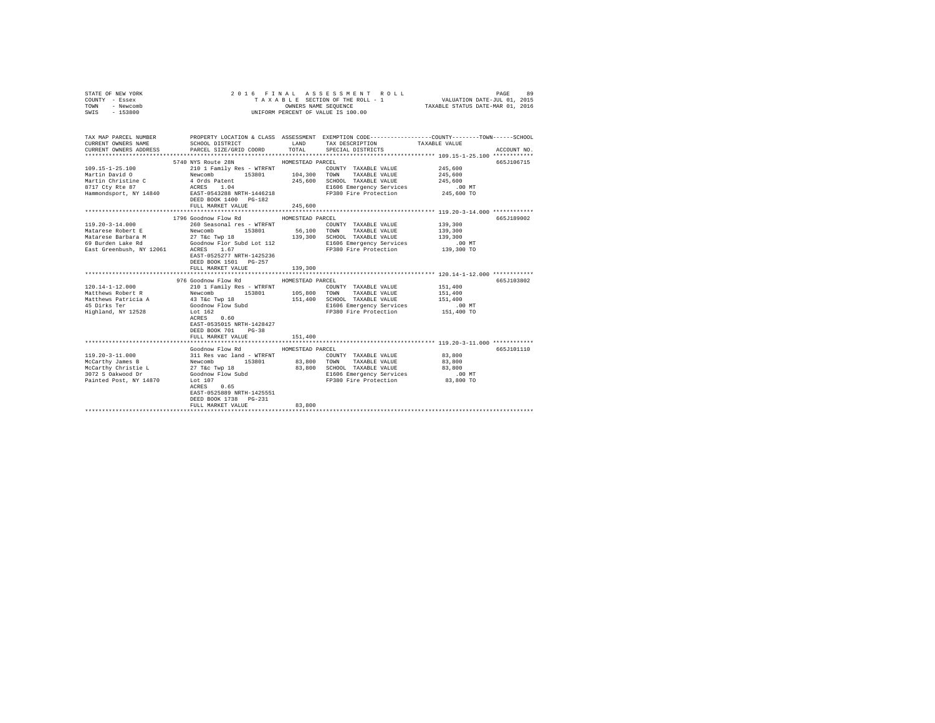| STATE OF NEW YORK<br>COUNTY - Essex<br>TOWN<br>- Newcomb<br>SWIS - 153800                                                                                                                                                                                                                                                                                                                                        |                                                                                                                                                                                                                                            |                  | 2016 FINAL ASSESSMENT ROLL<br>TAXABLE SECTION OF THE ROLL - 1<br>OWNERS NAME SEQUENCE<br>UNIFORM PERCENT OF VALUE IS 100.00 | VALUATION DATE-JUL 01, 2015<br>TAXABLE STATUS DATE-MAR 01, 2016 | PAGE<br>89  |
|------------------------------------------------------------------------------------------------------------------------------------------------------------------------------------------------------------------------------------------------------------------------------------------------------------------------------------------------------------------------------------------------------------------|--------------------------------------------------------------------------------------------------------------------------------------------------------------------------------------------------------------------------------------------|------------------|-----------------------------------------------------------------------------------------------------------------------------|-----------------------------------------------------------------|-------------|
|                                                                                                                                                                                                                                                                                                                                                                                                                  |                                                                                                                                                                                                                                            |                  |                                                                                                                             |                                                                 |             |
| TAX MAP PARCEL NUMBER PROPERTY LOCATION & CLASS ASSESSMENT EXEMPTION CODE--------------COUNTY-------TOWN------SCHOOL<br>CURRENT OWNERS NAME                                                                                                                                                                                                                                                                      | SCHOOL DISTRICT                                                                                                                                                                                                                            |                  | LAND TAX DESCRIPTION                                                                                                        | TAXABLE VALUE                                                   |             |
| CURRENT OWNERS ADDRESS                                                                                                                                                                                                                                                                                                                                                                                           | PARCEL SIZE/GRID COORD                                                                                                                                                                                                                     | TOTAL            | SPECIAL DISTRICTS                                                                                                           |                                                                 | ACCOUNT NO. |
|                                                                                                                                                                                                                                                                                                                                                                                                                  |                                                                                                                                                                                                                                            |                  |                                                                                                                             |                                                                 |             |
|                                                                                                                                                                                                                                                                                                                                                                                                                  | 5740 NYS Route 28N                                                                                                                                                                                                                         | HOMESTEAD PARCEL |                                                                                                                             |                                                                 | 665J106715  |
| $109.15 - 1 - 25.100$                                                                                                                                                                                                                                                                                                                                                                                            | 210 1 Family Res - WTRFNT                                                                                                                                                                                                                  |                  | COUNTY TAXABLE VALUE                                                                                                        | 245,600                                                         |             |
| Martin David O                                                                                                                                                                                                                                                                                                                                                                                                   |                                                                                                                                                                                                                                            |                  |                                                                                                                             | 245,600                                                         |             |
| Martin Christine C                                                                                                                                                                                                                                                                                                                                                                                               |                                                                                                                                                                                                                                            |                  |                                                                                                                             | 245,600                                                         |             |
| 8717 Cty Rte 87                                                                                                                                                                                                                                                                                                                                                                                                  |                                                                                                                                                                                                                                            |                  | E1606 Emergency Services                                                                                                    | $.00 \text{ MT}$                                                |             |
| Hammondsport, NY 14840                                                                                                                                                                                                                                                                                                                                                                                           |                                                                                                                                                                                                                                            |                  | FP380 Fire Protection                                                                                                       | 245,600 TO                                                      |             |
|                                                                                                                                                                                                                                                                                                                                                                                                                  | DEED BOOK 1400 PG-182                                                                                                                                                                                                                      |                  |                                                                                                                             |                                                                 |             |
|                                                                                                                                                                                                                                                                                                                                                                                                                  | FULL MARKET VALUE                                                                                                                                                                                                                          | 245,600          |                                                                                                                             |                                                                 |             |
|                                                                                                                                                                                                                                                                                                                                                                                                                  |                                                                                                                                                                                                                                            |                  |                                                                                                                             |                                                                 |             |
|                                                                                                                                                                                                                                                                                                                                                                                                                  | 1796 Goodnow Flow Rd                                                                                                                                                                                                                       | HOMESTEAD PARCEL |                                                                                                                             |                                                                 | 665J189002  |
| $119.20 - 3 - 14.000$                                                                                                                                                                                                                                                                                                                                                                                            | 260 Seasonal res - WTRFNT                                                                                                                                                                                                                  |                  | COUNTY TAXABLE VALUE                                                                                                        | 139,300                                                         |             |
| $\begin{tabular}{lcccc} Matese Robert E & Newcomb & 153801 & 56,100 TOMN & TAXABLE VALUE \\ Matarese Babara & 27 T & T & 189 & 189,300 & SCHODL TAXABLE VALUE \\ 69 Burdeu Lake Rd & Goodnow Flor Subd Lot 112 & E1606 Emergency Service \\ 69 Burdeu Lif & 139,300 & CEMergerley Service \\ 63 R & 139,300 & 181606 Emergency Service \\ 64 R & 1500 & 1000 & 1000 & 1000 \\ 6500 & 10000 & 1000 & 1000 & 1000$ |                                                                                                                                                                                                                                            |                  | 56,100 TOWN TAXABLE VALUE                                                                                                   | 139,300                                                         |             |
|                                                                                                                                                                                                                                                                                                                                                                                                                  |                                                                                                                                                                                                                                            |                  |                                                                                                                             | 139,300                                                         |             |
|                                                                                                                                                                                                                                                                                                                                                                                                                  |                                                                                                                                                                                                                                            |                  | E1606 Emergency Services<br>FP380 Fire Protection                                                                           | 00 MT.<br>139,300 TO                                            |             |
|                                                                                                                                                                                                                                                                                                                                                                                                                  | EAST-0525277 NRTH-1425236                                                                                                                                                                                                                  |                  |                                                                                                                             |                                                                 |             |
|                                                                                                                                                                                                                                                                                                                                                                                                                  | DEED BOOK 1501 PG-257                                                                                                                                                                                                                      |                  |                                                                                                                             |                                                                 |             |
|                                                                                                                                                                                                                                                                                                                                                                                                                  | FULL MARKET VALUE                                                                                                                                                                                                                          | 139,300          |                                                                                                                             |                                                                 |             |
|                                                                                                                                                                                                                                                                                                                                                                                                                  |                                                                                                                                                                                                                                            |                  |                                                                                                                             |                                                                 |             |
|                                                                                                                                                                                                                                                                                                                                                                                                                  | 976 Goodnow Flow Rd MOMESTEAD PARCEL                                                                                                                                                                                                       |                  |                                                                                                                             |                                                                 | 665J103802  |
| $120.14 - 1 - 12.000$                                                                                                                                                                                                                                                                                                                                                                                            | 210 1 Family Res - WTRFNT                                                                                                                                                                                                                  |                  | COUNTY TAXABLE VALUE                                                                                                        | 151,400                                                         |             |
| Matthews Robert R                                                                                                                                                                                                                                                                                                                                                                                                | Newcomb 153801 105,800 TOWN TAXABLE VALUE                                                                                                                                                                                                  |                  |                                                                                                                             | 151,400                                                         |             |
| Matthews Patricia A                                                                                                                                                                                                                                                                                                                                                                                              |                                                                                                                                                                                                                                            | 151,400          | SCHOOL TAXABLE VALUE                                                                                                        | 151,400                                                         |             |
| 45 Dirks Ter                                                                                                                                                                                                                                                                                                                                                                                                     | 43 T&C Twp 18<br>Goodnow Flow Subd                                                                                                                                                                                                         |                  | E1606 Emergency Services                                                                                                    | .00 MT                                                          |             |
| Highland, NY 12528                                                                                                                                                                                                                                                                                                                                                                                               | Lot 162                                                                                                                                                                                                                                    |                  | FP380 Fire Protection                                                                                                       | 151,400 TO                                                      |             |
|                                                                                                                                                                                                                                                                                                                                                                                                                  | ACRES 0.60                                                                                                                                                                                                                                 |                  |                                                                                                                             |                                                                 |             |
|                                                                                                                                                                                                                                                                                                                                                                                                                  | EAST-0535015 NRTH-1428427                                                                                                                                                                                                                  |                  |                                                                                                                             |                                                                 |             |
|                                                                                                                                                                                                                                                                                                                                                                                                                  | DEED BOOK 701 PG-38                                                                                                                                                                                                                        |                  |                                                                                                                             |                                                                 |             |
|                                                                                                                                                                                                                                                                                                                                                                                                                  | FULL MARKET VALUE                                                                                                                                                                                                                          | 151,400          |                                                                                                                             |                                                                 |             |
|                                                                                                                                                                                                                                                                                                                                                                                                                  |                                                                                                                                                                                                                                            |                  |                                                                                                                             |                                                                 |             |
| $119.20 - 3 - 11.000$                                                                                                                                                                                                                                                                                                                                                                                            | Goodnow Flow Rd                                                                                                                                                                                                                            | HOMESTEAD PARCEL |                                                                                                                             | 83,800                                                          | 665J101110  |
| McCarthy James B                                                                                                                                                                                                                                                                                                                                                                                                 |                                                                                                                                                                                                                                            |                  |                                                                                                                             | 83,800                                                          |             |
| McCarthy Christie L                                                                                                                                                                                                                                                                                                                                                                                              |                                                                                                                                                                                                                                            |                  | SCHOOL TAXABLE VALUE                                                                                                        | 83,800                                                          |             |
| 3072 S Oakwood Dr                                                                                                                                                                                                                                                                                                                                                                                                | 311 Res vac land - WTRFNT<br>Newcomb 153801 83,800 TOWN TAXABLE VALUE<br>27 Tác Twp 18 83,800 SCHOOL TAXABLE VALUE<br>38,800 SCHOOL TAXABLE VALUE<br>39,800 SCHOOL TAXABLE VALUE<br>50001000 Plow Subd<br>1606 Emergency Service PRAGE Pro |                  | E1606 Emergency Services                                                                                                    | .00 MT                                                          |             |
| Painted Post, NY 14870                                                                                                                                                                                                                                                                                                                                                                                           | Lot 107                                                                                                                                                                                                                                    |                  | FP380 Fire Protection                                                                                                       | 83,800 TO                                                       |             |
|                                                                                                                                                                                                                                                                                                                                                                                                                  | ACRES 0.65                                                                                                                                                                                                                                 |                  |                                                                                                                             |                                                                 |             |
|                                                                                                                                                                                                                                                                                                                                                                                                                  | EAST-0525889 NRTH-1425551                                                                                                                                                                                                                  |                  |                                                                                                                             |                                                                 |             |
|                                                                                                                                                                                                                                                                                                                                                                                                                  | DEED BOOK 1738 PG-231                                                                                                                                                                                                                      |                  |                                                                                                                             |                                                                 |             |
|                                                                                                                                                                                                                                                                                                                                                                                                                  | FULL MARKET VALUE                                                                                                                                                                                                                          | 83,800           |                                                                                                                             |                                                                 |             |
|                                                                                                                                                                                                                                                                                                                                                                                                                  | ***************************                                                                                                                                                                                                                |                  |                                                                                                                             |                                                                 |             |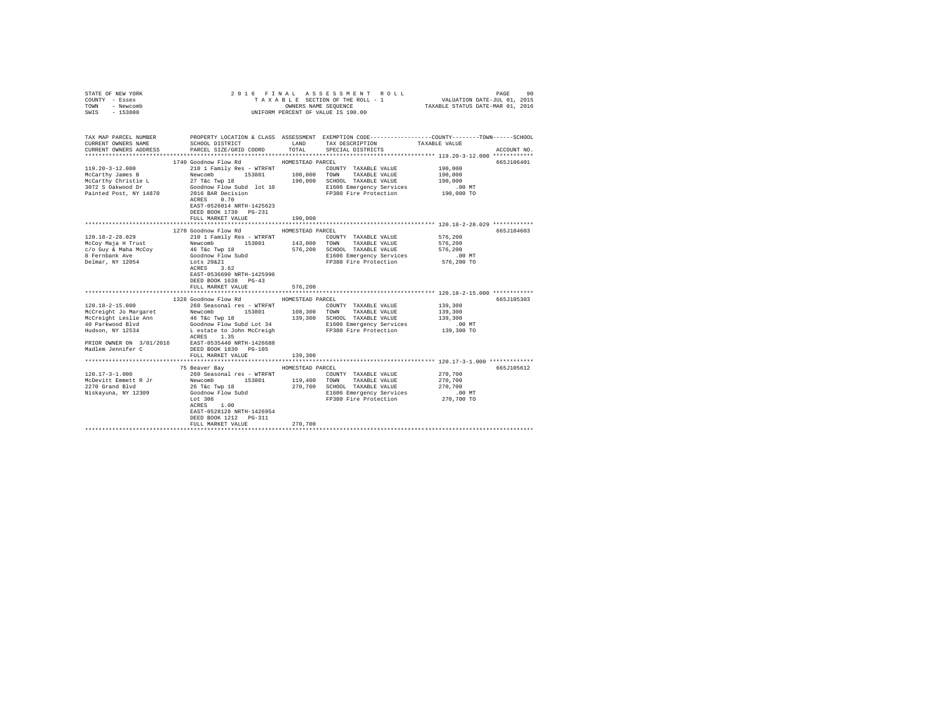| STATE OF NEW YORK<br>COUNTY - Essex<br>TOWN - Newcomb<br>$-153800$<br>SWIS                                                                                                                                                                                                                                                                                             |                                                                                                                                                                                                                                                                                          |                                        | 90 PAGE 90 PAGE 3 A S S E S S M E N T R O L L PAGE 90 PAGE 91 PAGE 91 PAGE 91 PAGE 91 PAGE 91 PAGE 91 PAGE 91 PAGE 91 PAGE 91 PAGE 91 PAGE 91 PAGE 91 PAGE 91 PAGE 91 PAGE 91 PAGE 91 PAGE 91 PAGE 91 PAGE 91 PAGE 91 PAGE 91<br>UNIFORM PERCENT OF VALUE IS 100.00 |                                                                                                                    |                          |
|------------------------------------------------------------------------------------------------------------------------------------------------------------------------------------------------------------------------------------------------------------------------------------------------------------------------------------------------------------------------|------------------------------------------------------------------------------------------------------------------------------------------------------------------------------------------------------------------------------------------------------------------------------------------|----------------------------------------|---------------------------------------------------------------------------------------------------------------------------------------------------------------------------------------------------------------------------------------------------------------------|--------------------------------------------------------------------------------------------------------------------|--------------------------|
| TAX MAP PARCEL NUMBER<br>CURRENT OWNERS NAME<br>CURRENT OWNERS ADDRESS                                                                                                                                                                                                                                                                                                 | SCHOOL DISTRICT LAND<br>PARCEL SIZE/GRID COORD                                                                                                                                                                                                                                           | TOTAL                                  | PROPERTY LOCATION & CLASS ASSESSMENT EXEMPTION CODE---------------COUNTY-------TOWN------SCHOOL<br>TAX DESCRIPTION TAXABLE VALUE<br>SPECIAL DISTRICTS                                                                                                               |                                                                                                                    | ACCOUNT NO.              |
|                                                                                                                                                                                                                                                                                                                                                                        |                                                                                                                                                                                                                                                                                          |                                        |                                                                                                                                                                                                                                                                     |                                                                                                                    |                          |
| $119.20 - 3 - 12.000$<br>McCarthy James B<br>McCarthy Christie L<br>3072 S Oakwood Dr<br>Painted Post, NY 14870                                                                                                                                                                                                                                                        | 1740 Goodnow Flow Rd MOMESTEAD PARCEL<br>210 1 Family Res - WTRFNT<br>Newcomb :<br>27 T&c Twp 18<br>Goodnow Flow Subd lot 10<br>2016 BAR Decision<br>ACRES 0.70                                                                                                                          |                                        | COUNTY TAXABLE VALUE<br>153801 100,000 TOWN TAXABLE VALUE<br>p 18 190,000 SCHOOL TAXABLE VALUE<br>E1606 Emergency Services<br>FP380 Fire Protection                                                                                                                 | 190,000<br>190,000<br>190,000<br>$.00$ MT<br>190,000 TO                                                            | 665J106401               |
|                                                                                                                                                                                                                                                                                                                                                                        | EAST-0526014 NRTH-1425623<br>DEED BOOK 1738 PG-231<br>FULL MARKET VALUE                                                                                                                                                                                                                  | 190,000                                |                                                                                                                                                                                                                                                                     |                                                                                                                    |                          |
|                                                                                                                                                                                                                                                                                                                                                                        |                                                                                                                                                                                                                                                                                          |                                        |                                                                                                                                                                                                                                                                     |                                                                                                                    |                          |
| $120.18 - 2 - 28.029$<br>McCoy Maja H Trust<br>c/o Guy & Maha McCoy<br>8 Fernbank Ave<br>Delmar, NY 12054<br>$120.18 - 2 - 15.000$<br>McCreight Jo Margaret Mewcomb 153801 108,300 TOWN TAXABLE VALUE<br>McCreight Leslie Ann<br>40 Parkwood Blvd<br>Hudson, NY 12534<br>PRIOR OWNER ON 3/01/2016 EAST-0535440 NRTH-1426688<br>Madlem Jennifer C DEED BOOK 1830 PG-105 | 1270 Goodnow Flow Rd<br>210 1 Family Res - WTRFNT<br>EAST-0536690 NRTH-1425996<br>DEED BOOK 1638 PG-43<br>FULL MARKET VALUE<br>1328 Goodnow Flow Rd MOMESTEAD PARCEL<br>260 Seasonal res - WTRFNT<br>46 T&c Twp 18<br>Goodnow Flow Subd Lot 34<br>Lestate to John McCreigh<br>ACRES 1.35 | HOMESTEAD PARCEL<br>576,200            | COUNTY TAXABLE VALUE<br>TOWN TAXABLE VALUE<br>576,200 SCHOOL TAXABLE VALUE<br>E1606 Emergency Services<br>FP380 Fire Protection<br>COUNTY TAXABLE VALUE<br>139,300 SCHOOL TAXABLE VALUE<br>E1606 Emergency Services<br>FP380 Fire Protection                        | 576,200<br>576,200<br>576,200<br>$.00$ MT<br>576,200 TO<br>139,300<br>139,300<br>139,300<br>$.00$ MT<br>139,300 TO | 665J104603<br>665J105303 |
|                                                                                                                                                                                                                                                                                                                                                                        | FULL MARKET VALUE                                                                                                                                                                                                                                                                        | 139,300                                |                                                                                                                                                                                                                                                                     |                                                                                                                    |                          |
|                                                                                                                                                                                                                                                                                                                                                                        |                                                                                                                                                                                                                                                                                          |                                        | **************************** 120.17-3-1.000 *************                                                                                                                                                                                                           |                                                                                                                    |                          |
| $120.17 - 3 - 1.000$<br>McDevitt Emmett R Jr<br>2270 Grand Blvd<br>Niskayuna, NY 12309                                                                                                                                                                                                                                                                                 | 75 Beaver Bay<br>260 Seasonal res - WTRFNT<br>Newcomb<br>153801<br>26 T&c Twp 18<br>Goodnow Flow Subd<br>Lot 306<br>ACRES 1.00<br>EAST-0528128 NRTH-1426954<br>DEED BOOK 1212 PG-311<br>FULL MARKET VALUE                                                                                | HOMESTEAD PARCEL<br>119,400<br>270,700 | COUNTY TAXABLE VALUE<br>TOWN TAXABLE VALUE<br>270,700 SCHOOL TAXABLE VALUE<br>E1606 Emergency Services<br>FP380 Fire Protection                                                                                                                                     | 270,700<br>270,700<br>270,700<br>.00MT<br>270,700 TO                                                               | 665J105612               |
|                                                                                                                                                                                                                                                                                                                                                                        |                                                                                                                                                                                                                                                                                          |                                        |                                                                                                                                                                                                                                                                     |                                                                                                                    |                          |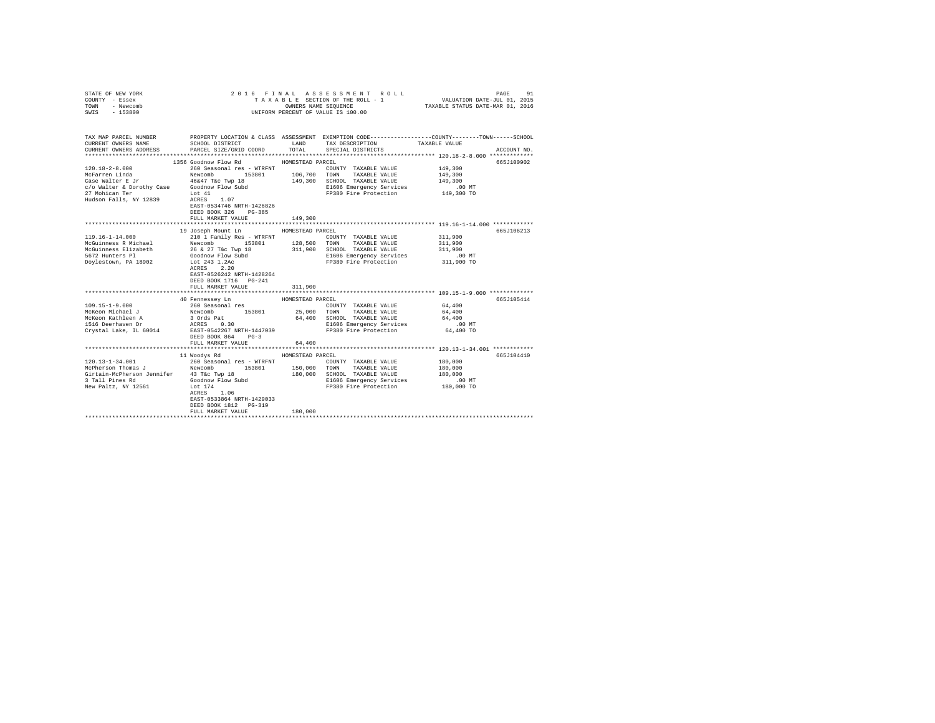| COUNTY - Essex<br>TOWN<br>- Newcomb<br>SWIS - 153800 |                                                                                                                                                                         | OWNERS NAME SEQUENCE      | TAXABLE SECTION OF THE ROLL - 1 VALUATION DATE-JUL 01, 2015<br>UNIFORM PERCENT OF VALUE IS 100.00 | TAXABLE STATUS DATE-MAR 01, 2016                             |             |
|------------------------------------------------------|-------------------------------------------------------------------------------------------------------------------------------------------------------------------------|---------------------------|---------------------------------------------------------------------------------------------------|--------------------------------------------------------------|-------------|
| CURRENT OWNERS NAME<br>CURRENT OWNERS ADDRESS        | TAX MAP PARCEL NUMBER PROPERTY LOCATION & CLASS ASSESSMENT EXEMPTION CODE---------------COUNTY-------TOWN------SCHOOL<br>SCHOOL DISTRICT LAND<br>PARCEL SIZE/GRID COORD | TOTAL                     | TAX DESCRIPTION<br>SPECIAL DISTRICTS                                                              | TAXABLE VALUE                                                | ACCOUNT NO. |
|                                                      | 1356 Goodnow Flow Rd MOMESTEAD PARCEL                                                                                                                                   |                           |                                                                                                   |                                                              | 665J100902  |
|                                                      |                                                                                                                                                                         |                           | COUNTY TAXABLE VALUE                                                                              | 149,300                                                      |             |
|                                                      |                                                                                                                                                                         |                           | TAXABLE VALUE                                                                                     | 149,300                                                      |             |
|                                                      |                                                                                                                                                                         |                           | 149,300 SCHOOL TAXABLE VALUE                                                                      | 149,300                                                      |             |
|                                                      |                                                                                                                                                                         |                           | E1606 Emergency Services                                                                          | .00 MT                                                       |             |
|                                                      |                                                                                                                                                                         |                           | FP380 Fire Protection 149,300 TO                                                                  |                                                              |             |
|                                                      | EAST-0534746 NRTH-1426826<br>DEED BOOK 326 PG-385                                                                                                                       |                           |                                                                                                   |                                                              |             |
|                                                      | FULL MARKET VALUE                                                                                                                                                       | 149,300                   |                                                                                                   |                                                              |             |
|                                                      | 19 Joseph Mount Ln HOMESTEAD PARCEL                                                                                                                                     |                           |                                                                                                   |                                                              | 665J106213  |
|                                                      |                                                                                                                                                                         |                           |                                                                                                   | 311,900                                                      |             |
|                                                      |                                                                                                                                                                         |                           |                                                                                                   | 311,900                                                      |             |
|                                                      |                                                                                                                                                                         |                           |                                                                                                   | 311,900                                                      |             |
|                                                      |                                                                                                                                                                         |                           |                                                                                                   | .00 MT                                                       |             |
| Doylestown, PA 18902                                 | Lot 243 1.2Ac<br>ACRES 2.20<br>EAST-0526242 NRTH-1428264<br>DEED BOOK 1716    PG-241                                                                                    | a Partidos III.<br>Notae  | FP380 Fire Protection 311,900 TO                                                                  |                                                              |             |
|                                                      | FULL MARKET VALUE<br>****************************                                                                                                                       | 311,900<br>************** |                                                                                                   | ******************************* 109.15-1-9.000 ************* |             |
|                                                      | 40 Fennessey Ln                                                                                                                                                         | HOMESTEAD PARCEL          |                                                                                                   |                                                              | 665J105414  |
|                                                      |                                                                                                                                                                         |                           |                                                                                                   |                                                              |             |
|                                                      |                                                                                                                                                                         |                           |                                                                                                   |                                                              |             |
|                                                      |                                                                                                                                                                         |                           |                                                                                                   |                                                              |             |
|                                                      |                                                                                                                                                                         |                           |                                                                                                   |                                                              |             |
|                                                      | DEED BOOK 864 PG-3                                                                                                                                                      |                           |                                                                                                   |                                                              |             |
|                                                      | FULL MARKET VALUE                                                                                                                                                       | 64,400                    |                                                                                                   |                                                              |             |
|                                                      |                                                                                                                                                                         |                           | ******************************* 120.13-1-34.001 ************                                      |                                                              |             |
|                                                      | 11 Woodys Rd                                                                                                                                                            | HOMESTEAD PARCEL          | COUNTY TAXABLE VALUE                                                                              |                                                              | 665J104410  |
|                                                      | 153801 150,000 TOWN                                                                                                                                                     |                           | TAXABLE VALUE                                                                                     | 180,000<br>180,000                                           |             |
|                                                      |                                                                                                                                                                         | 180,000                   | SCHOOL TAXABLE VALUE                                                                              | 180,000                                                      |             |
|                                                      |                                                                                                                                                                         |                           | E1606 Emergency Services                                                                          | .00 MT                                                       |             |
| New Paltz, NY 12561                                  | Lot 174                                                                                                                                                                 |                           | FP380 Fire Protection                                                                             | 180,000 TO                                                   |             |
|                                                      | ACRES 1.06<br>EAST-0533864 NRTH-1429033<br>DEED BOOK 1812 PG-319<br>FULL MARKET VALUE                                                                                   | 180,000                   |                                                                                                   |                                                              |             |
|                                                      |                                                                                                                                                                         |                           |                                                                                                   |                                                              |             |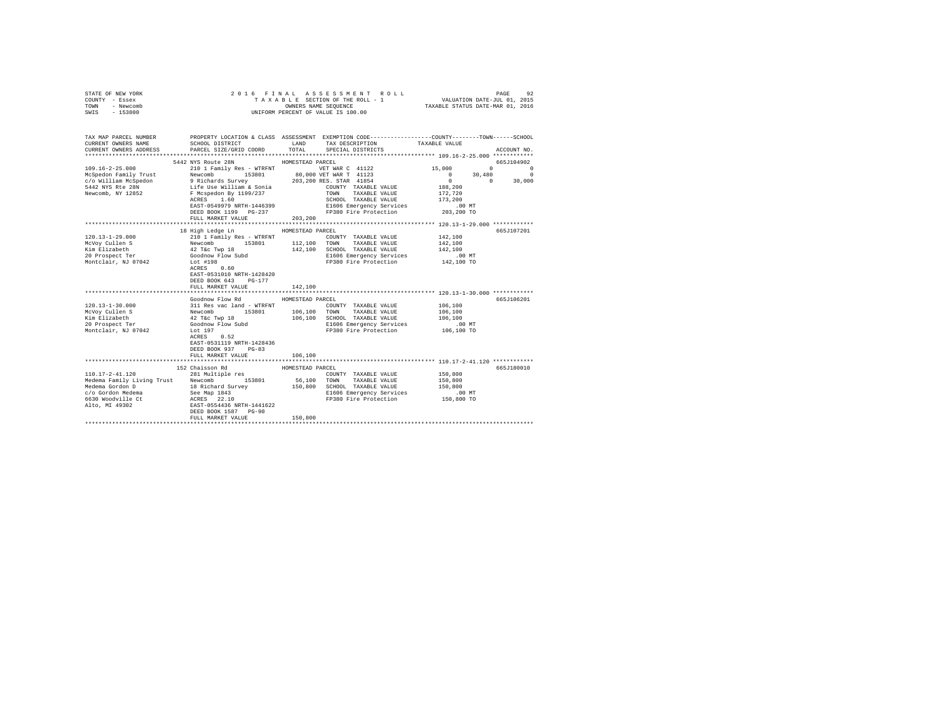| STATE OF NEW YORK<br>COUNTY - Essex<br>TOWN - Newcomb<br>SWIS - 153800 |                                                                                                                                                                                                                                                                                                  |                  | 2016 FINAL ASSESSMENT ROLL VALUATION DATE-JUL 01, 2015<br>TAXABLE SECTION OF THE ROLL - 1 VALUATION DATE-JUL 01, 2015<br>TAXABLE STATUS DATE-MAR 01, 2016<br>UNIFORM PERCENT OF VALUE IS 100.00 |                                                                          |             |
|------------------------------------------------------------------------|--------------------------------------------------------------------------------------------------------------------------------------------------------------------------------------------------------------------------------------------------------------------------------------------------|------------------|-------------------------------------------------------------------------------------------------------------------------------------------------------------------------------------------------|--------------------------------------------------------------------------|-------------|
| TAX MAP PARCEL NUMBER<br>CURRENT OWNERS NAME<br>CURRENT OWNERS ADDRESS | PROPERTY LOCATION & CLASS ASSESSMENT EXEMPTION CODE---------------COUNTY-------TOWN------SCHOOL<br>SCHOOL DISTRICT<br>PARCEL SIZE/GRID COORD                                                                                                                                                     | LAND<br>TOTAL    | TAX DESCRIPTION TAXABLE VALUE<br>SPECIAL DISTRICTS                                                                                                                                              |                                                                          | ACCOUNT NO. |
|                                                                        | 5442 NYS Route 28N HOMESTEAD PARCEL                                                                                                                                                                                                                                                              |                  |                                                                                                                                                                                                 |                                                                          | 665J104902  |
|                                                                        |                                                                                                                                                                                                                                                                                                  |                  |                                                                                                                                                                                                 |                                                                          |             |
|                                                                        |                                                                                                                                                                                                                                                                                                  |                  |                                                                                                                                                                                                 | $\begin{array}{cccc} 15\, ,000 & 0 & 0 \\ 0 & 30\, ,480 & 0 \end{array}$ |             |
|                                                                        |                                                                                                                                                                                                                                                                                                  |                  |                                                                                                                                                                                                 | $0 \t 0 \t 30,000$                                                       |             |
|                                                                        |                                                                                                                                                                                                                                                                                                  |                  |                                                                                                                                                                                                 | 188,200                                                                  |             |
|                                                                        |                                                                                                                                                                                                                                                                                                  |                  |                                                                                                                                                                                                 | 172.720                                                                  |             |
|                                                                        |                                                                                                                                                                                                                                                                                                  |                  | SCHOOL TAXABLE VALUE                                                                                                                                                                            | 173,200                                                                  |             |
|                                                                        | EAST-0549979 NRTH-1446399<br>DEED BOOK 1199 PG-237                                                                                                                                                                                                                                               |                  | E1606 Emergency Services<br>FP380 Fire Protection 203,200 TO                                                                                                                                    | .00MT                                                                    |             |
|                                                                        | FULL MARKET VALUE                                                                                                                                                                                                                                                                                | 203,200          |                                                                                                                                                                                                 |                                                                          |             |
|                                                                        |                                                                                                                                                                                                                                                                                                  |                  |                                                                                                                                                                                                 |                                                                          |             |
|                                                                        | 18 High Ledge Ln                                                                                                                                                                                                                                                                                 | HOMESTEAD PARCEL |                                                                                                                                                                                                 |                                                                          | 665J107201  |
| $120.13 - 1 - 29.000$                                                  |                                                                                                                                                                                                                                                                                                  |                  | COUNTY TAXABLE VALUE 142,100                                                                                                                                                                    |                                                                          |             |
| McVoy Cullen S                                                         |                                                                                                                                                                                                                                                                                                  |                  | 153801 112,100 TOWN TAXABLE VALUE                                                                                                                                                               | 142,100                                                                  |             |
| Kim Elizabeth<br>20 Prospect Ter                                       |                                                                                                                                                                                                                                                                                                  |                  |                                                                                                                                                                                                 | 142,100                                                                  |             |
|                                                                        |                                                                                                                                                                                                                                                                                                  |                  | 142,100 SCHOOL TAXABLE VALUE<br>E1606 Emergency Services                                                                                                                                        | $.00$ MT                                                                 |             |
| Montclair. NJ 07042                                                    | ACRES 0.60<br>EAST-0531010 NRTH-1428420<br>DEED BOOK 643 PG-177                                                                                                                                                                                                                                  |                  | FP380 Fire Protection 142,100 TO                                                                                                                                                                |                                                                          |             |
|                                                                        | FULL MARKET VALUE                                                                                                                                                                                                                                                                                | 142,100          |                                                                                                                                                                                                 |                                                                          |             |
|                                                                        |                                                                                                                                                                                                                                                                                                  |                  |                                                                                                                                                                                                 |                                                                          |             |
|                                                                        | Goodnow Flow Rd                                                                                                                                                                                                                                                                                  | HOMESTEAD PARCEL |                                                                                                                                                                                                 |                                                                          | 665J106201  |
| $120.13 - 1 - 30.000$                                                  |                                                                                                                                                                                                                                                                                                  |                  |                                                                                                                                                                                                 | 106,100                                                                  |             |
| McVoy Cullen S                                                         |                                                                                                                                                                                                                                                                                                  |                  |                                                                                                                                                                                                 | 106,100                                                                  |             |
| Kim Elizabeth                                                          |                                                                                                                                                                                                                                                                                                  |                  |                                                                                                                                                                                                 | 106,100                                                                  |             |
| 20 Prospect Ter                                                        |                                                                                                                                                                                                                                                                                                  |                  | E1606 Emergency Services .00 MT<br>FP380 Fire Protection .00 TO 106,100 TO                                                                                                                      |                                                                          |             |
| Montclair, NJ 07042                                                    | SOLUTION FOR A COUNTY TAXABLE VALUE<br>NOW TOWN TOWN TAXABLE VALUE<br>THE VALUE OF THE SERVICE OF THE SERVICE OF THE SERVICE<br>2 TEC TWP 18<br>106,100 SCHOOL TAXABLE VALUE<br>COORNOW FLOW SUND<br>LOCOL TAXABLE VALUE<br>LOCOL TAYABLE VA<br>EAST-0531119 NRTH-1428436<br>DEED BOOK 937 PG-83 |                  |                                                                                                                                                                                                 |                                                                          |             |
|                                                                        | FULL MARKET VALUE                                                                                                                                                                                                                                                                                | 106,100          | ********************************** 110.17-2-41.120 ************                                                                                                                                 |                                                                          |             |
|                                                                        | 152 Chaisson Rd                                                                                                                                                                                                                                                                                  | HOMESTEAD PARCEL |                                                                                                                                                                                                 |                                                                          | 665J180010  |
| $110.17 - 2 - 41.120$                                                  | 281 Multiple res                                                                                                                                                                                                                                                                                 |                  | COUNTY TAXABLE VALUE                                                                                                                                                                            | 150,800                                                                  |             |
|                                                                        |                                                                                                                                                                                                                                                                                                  |                  | 153801 56,100 TOWN TAXABLE VALUE                                                                                                                                                                | 150,800                                                                  |             |
|                                                                        |                                                                                                                                                                                                                                                                                                  |                  | 150,800 SCHOOL TAXABLE VALUE                                                                                                                                                                    | 150,800                                                                  |             |
|                                                                        |                                                                                                                                                                                                                                                                                                  |                  |                                                                                                                                                                                                 |                                                                          |             |
|                                                                        |                                                                                                                                                                                                                                                                                                  |                  |                                                                                                                                                                                                 |                                                                          |             |
|                                                                        | FULL MARKET VALUE                                                                                                                                                                                                                                                                                | 150,800          |                                                                                                                                                                                                 |                                                                          |             |
|                                                                        |                                                                                                                                                                                                                                                                                                  |                  |                                                                                                                                                                                                 |                                                                          |             |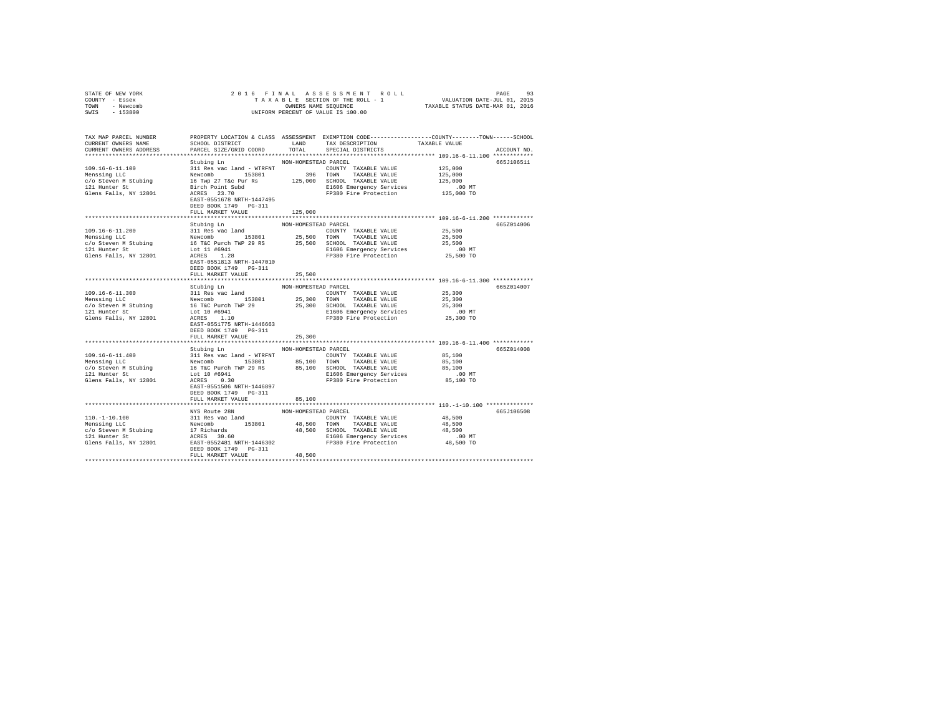| STATE OF NEW YORK                                                                                                                                                                                                                                    |                                           |                      |                                                                                                                                                                                                                                                                                                                                                                                                                        |                                               |             |
|------------------------------------------------------------------------------------------------------------------------------------------------------------------------------------------------------------------------------------------------------|-------------------------------------------|----------------------|------------------------------------------------------------------------------------------------------------------------------------------------------------------------------------------------------------------------------------------------------------------------------------------------------------------------------------------------------------------------------------------------------------------------|-----------------------------------------------|-------------|
| COUNTY - Essex                                                                                                                                                                                                                                       |                                           |                      |                                                                                                                                                                                                                                                                                                                                                                                                                        |                                               |             |
| TOWN - Newcomb                                                                                                                                                                                                                                       |                                           |                      | OWNERS NAME SEQUENCE<br>UNIFORM PERCENT OF VALUE IS 100.00                                                                                                                                                                                                                                                                                                                                                             |                                               |             |
| SWIS - 153800                                                                                                                                                                                                                                        |                                           |                      |                                                                                                                                                                                                                                                                                                                                                                                                                        |                                               |             |
|                                                                                                                                                                                                                                                      |                                           |                      |                                                                                                                                                                                                                                                                                                                                                                                                                        |                                               |             |
|                                                                                                                                                                                                                                                      |                                           |                      |                                                                                                                                                                                                                                                                                                                                                                                                                        |                                               |             |
| TAX MAP PARCEL NUMBER PROPERTY LOCATION & CLASS ASSESSMENT EXEMPTION CODE---------------COUNTY-------TOWN------SCHOOL                                                                                                                                |                                           |                      | LAND TAX DESCRIPTION                                                                                                                                                                                                                                                                                                                                                                                                   |                                               |             |
| CURRENT OWNERS NAME<br>CURRENT OWNERS ADDRESS                                                                                                                                                                                                        | SCHOOL DISTRICT<br>PARCEL SIZE/GRID COORD | TOTAL                | SPECIAL DISTRICTS                                                                                                                                                                                                                                                                                                                                                                                                      | TAXABLE VALUE                                 | ACCOUNT NO. |
|                                                                                                                                                                                                                                                      |                                           |                      |                                                                                                                                                                                                                                                                                                                                                                                                                        |                                               |             |
|                                                                                                                                                                                                                                                      |                                           |                      |                                                                                                                                                                                                                                                                                                                                                                                                                        |                                               | 665J106511  |
| 109.16-6-11.100                                                                                                                                                                                                                                      | Stubing Ln                                | NON-HOMESTEAD PARCEL | $\begin{tabular}{l c c c c} \hline 311 Res & see & and & \texttt{WTRFNT} & \texttt{COMNT} & \texttt{TXXABLE} & \texttt{VALUE} & 125,000 \\ \hline \texttt{Newcomb} & 153801 & 396 & \texttt{TOWN} & \texttt{TXXABLE} & \texttt{VALUE} & 125,000 \\ \hline \texttt{H} & \texttt{Twp} & 27 \text{ Tsec} & \texttt{Pur} & \texttt{R8} & 125,000 \\ \hline \texttt{B} & \texttt{S} & \texttt{D} & \texttt{S} & \texttt{S}$ |                                               |             |
| Menssing LLC                                                                                                                                                                                                                                         |                                           |                      |                                                                                                                                                                                                                                                                                                                                                                                                                        |                                               |             |
|                                                                                                                                                                                                                                                      |                                           |                      |                                                                                                                                                                                                                                                                                                                                                                                                                        |                                               |             |
| $c$ /o Steven M Stubing<br>121 Hunter St<br>121 Hunter St                                                                                                                                                                                            |                                           |                      |                                                                                                                                                                                                                                                                                                                                                                                                                        |                                               |             |
| Glens Falls, NY 12801                                                                                                                                                                                                                                |                                           |                      |                                                                                                                                                                                                                                                                                                                                                                                                                        | 00 MT.<br>125,000 TO                          |             |
|                                                                                                                                                                                                                                                      | EAST-0551678 NRTH-1447495                 |                      |                                                                                                                                                                                                                                                                                                                                                                                                                        |                                               |             |
|                                                                                                                                                                                                                                                      | DEED BOOK 1749    PG-311                  |                      |                                                                                                                                                                                                                                                                                                                                                                                                                        |                                               |             |
|                                                                                                                                                                                                                                                      | FULL MARKET VALUE                         | 125,000              |                                                                                                                                                                                                                                                                                                                                                                                                                        |                                               |             |
|                                                                                                                                                                                                                                                      |                                           |                      |                                                                                                                                                                                                                                                                                                                                                                                                                        |                                               |             |
|                                                                                                                                                                                                                                                      | Stubing Ln                                | NON-HOMESTEAD PARCEL |                                                                                                                                                                                                                                                                                                                                                                                                                        |                                               | 665Z014006  |
|                                                                                                                                                                                                                                                      |                                           |                      |                                                                                                                                                                                                                                                                                                                                                                                                                        | 25,500                                        |             |
|                                                                                                                                                                                                                                                      |                                           |                      |                                                                                                                                                                                                                                                                                                                                                                                                                        | 25,500                                        |             |
|                                                                                                                                                                                                                                                      |                                           |                      |                                                                                                                                                                                                                                                                                                                                                                                                                        | 25,500                                        |             |
|                                                                                                                                                                                                                                                      |                                           |                      |                                                                                                                                                                                                                                                                                                                                                                                                                        | $.00$ MT                                      |             |
| 109.16-6-11.200<br>Menssing LLC<br>Menssing LLC<br>Menssing LLC<br>Menssing LLC<br>11 Res vac land<br>153801<br>25,500 CONTY TAXABLE VALUE<br>26,500 CONTY TAXABLE VALUE<br>26,500 CONTY TAXABLE VALUE<br>27,500 CONTY TAXABLE VALUE<br>27,500 CONTY |                                           |                      |                                                                                                                                                                                                                                                                                                                                                                                                                        | 25,500 TO                                     |             |
|                                                                                                                                                                                                                                                      | EAST-0551813 NRTH-1447010                 |                      |                                                                                                                                                                                                                                                                                                                                                                                                                        |                                               |             |
|                                                                                                                                                                                                                                                      | DEED BOOK 1749    PG-311                  |                      |                                                                                                                                                                                                                                                                                                                                                                                                                        |                                               |             |
|                                                                                                                                                                                                                                                      | FULL MARKET VALUE                         | 25,500               |                                                                                                                                                                                                                                                                                                                                                                                                                        |                                               |             |
|                                                                                                                                                                                                                                                      |                                           |                      |                                                                                                                                                                                                                                                                                                                                                                                                                        | **************** 109.16-6-11.300 ************ |             |
|                                                                                                                                                                                                                                                      | Stubing Ln                                | NON-HOMESTEAD PARCEL |                                                                                                                                                                                                                                                                                                                                                                                                                        |                                               | 665Z014007  |
|                                                                                                                                                                                                                                                      |                                           |                      |                                                                                                                                                                                                                                                                                                                                                                                                                        |                                               |             |
|                                                                                                                                                                                                                                                      |                                           |                      |                                                                                                                                                                                                                                                                                                                                                                                                                        |                                               |             |
|                                                                                                                                                                                                                                                      |                                           |                      |                                                                                                                                                                                                                                                                                                                                                                                                                        |                                               |             |
|                                                                                                                                                                                                                                                      |                                           |                      |                                                                                                                                                                                                                                                                                                                                                                                                                        |                                               |             |
|                                                                                                                                                                                                                                                      |                                           |                      |                                                                                                                                                                                                                                                                                                                                                                                                                        |                                               |             |
|                                                                                                                                                                                                                                                      | EAST-0551775 NRTH-1446663                 |                      |                                                                                                                                                                                                                                                                                                                                                                                                                        |                                               |             |
|                                                                                                                                                                                                                                                      | DEED BOOK 1749 PG-311                     |                      |                                                                                                                                                                                                                                                                                                                                                                                                                        |                                               |             |
|                                                                                                                                                                                                                                                      | FULL MARKET VALUE                         | 25,300               |                                                                                                                                                                                                                                                                                                                                                                                                                        |                                               |             |
|                                                                                                                                                                                                                                                      |                                           |                      |                                                                                                                                                                                                                                                                                                                                                                                                                        |                                               |             |
|                                                                                                                                                                                                                                                      | Stubing Ln MON-HOMESTEAD PARCEL           |                      |                                                                                                                                                                                                                                                                                                                                                                                                                        |                                               | 665Z014008  |
|                                                                                                                                                                                                                                                      |                                           |                      | COUNTY TAXABLE VALUE 85,100                                                                                                                                                                                                                                                                                                                                                                                            |                                               |             |
|                                                                                                                                                                                                                                                      |                                           |                      |                                                                                                                                                                                                                                                                                                                                                                                                                        | 85,100                                        |             |
|                                                                                                                                                                                                                                                      |                                           |                      | 85,100 SCHOOL TAXABLE VALUE                                                                                                                                                                                                                                                                                                                                                                                            | 85,100                                        |             |
|                                                                                                                                                                                                                                                      |                                           |                      | E1606 Emergency Services 6.00 MT<br>FP380 Fire Protection 685,100 TO                                                                                                                                                                                                                                                                                                                                                   |                                               |             |
|                                                                                                                                                                                                                                                      |                                           |                      |                                                                                                                                                                                                                                                                                                                                                                                                                        |                                               |             |
|                                                                                                                                                                                                                                                      | EAST-0551506 NRTH-1446897                 |                      |                                                                                                                                                                                                                                                                                                                                                                                                                        |                                               |             |
|                                                                                                                                                                                                                                                      | DEED BOOK 1749 PG-311                     |                      |                                                                                                                                                                                                                                                                                                                                                                                                                        |                                               |             |
|                                                                                                                                                                                                                                                      | FULL MARKET VALUE                         | 85,100               |                                                                                                                                                                                                                                                                                                                                                                                                                        |                                               |             |
|                                                                                                                                                                                                                                                      |                                           |                      |                                                                                                                                                                                                                                                                                                                                                                                                                        |                                               |             |
|                                                                                                                                                                                                                                                      |                                           |                      |                                                                                                                                                                                                                                                                                                                                                                                                                        |                                               | 665J106508  |
|                                                                                                                                                                                                                                                      |                                           |                      |                                                                                                                                                                                                                                                                                                                                                                                                                        |                                               |             |
|                                                                                                                                                                                                                                                      |                                           |                      |                                                                                                                                                                                                                                                                                                                                                                                                                        |                                               |             |
|                                                                                                                                                                                                                                                      |                                           |                      |                                                                                                                                                                                                                                                                                                                                                                                                                        |                                               |             |
|                                                                                                                                                                                                                                                      |                                           |                      |                                                                                                                                                                                                                                                                                                                                                                                                                        |                                               |             |
|                                                                                                                                                                                                                                                      |                                           |                      |                                                                                                                                                                                                                                                                                                                                                                                                                        |                                               |             |
|                                                                                                                                                                                                                                                      |                                           |                      |                                                                                                                                                                                                                                                                                                                                                                                                                        |                                               |             |
|                                                                                                                                                                                                                                                      | FULL MARKET VALUE                         | 48,500               |                                                                                                                                                                                                                                                                                                                                                                                                                        |                                               |             |
|                                                                                                                                                                                                                                                      |                                           |                      |                                                                                                                                                                                                                                                                                                                                                                                                                        |                                               |             |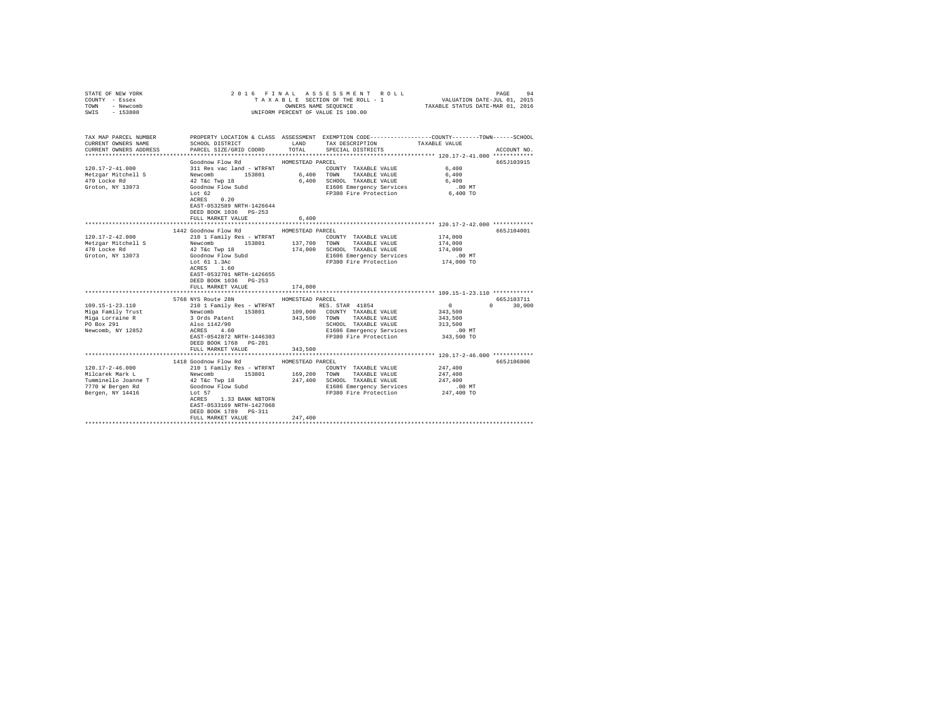| COUNTY - Essex<br>TOWN - Newcomb<br>SWIS - 153800                      |                                                                                                                                                                                                                                         |                  | UNIFORM PERCENT OF VALUE IS 100.00                                                                                                                 |                    |               |
|------------------------------------------------------------------------|-----------------------------------------------------------------------------------------------------------------------------------------------------------------------------------------------------------------------------------------|------------------|----------------------------------------------------------------------------------------------------------------------------------------------------|--------------------|---------------|
| TAX MAP PARCEL NUMBER<br>CURRENT OWNERS NAME<br>CURRENT OWNERS ADDRESS | SCHOOL DISTRICT<br>PARCEL SIZE/GRID COORD                                                                                                                                                                                               |                  | PROPERTY LOCATION & CLASS ASSESSMENT EXEMPTION CODE---------------COUNTY-------TOWN------SCHOOL<br>LAND TAX DESCRIPTION<br>TOTAL SPECIAL DISTRICTS | TAXABLE VALUE      | ACCOUNT NO.   |
|                                                                        |                                                                                                                                                                                                                                         |                  |                                                                                                                                                    |                    |               |
|                                                                        | Goodnow Flow Rd MOMESTEAD PARCEL                                                                                                                                                                                                        |                  |                                                                                                                                                    |                    | 665J103915    |
| $120.17 - 2 - 41.000$                                                  |                                                                                                                                                                                                                                         |                  | COUNTY TAXABLE VALUE                                                                                                                               | 6,400<br>6,400     |               |
| Metzgar Mitchell S                                                     |                                                                                                                                                                                                                                         |                  |                                                                                                                                                    |                    |               |
| 470 Locke Rd                                                           |                                                                                                                                                                                                                                         |                  | 6,400 SCHOOL TAXABLE VALUE                                                                                                                         | 6,400              |               |
| Groton, NY 13073                                                       | Lot 62                                                                                                                                                                                                                                  |                  | E1606 Emergency Services<br>FP380 Fire Protection                                                                                                  | .00 MT<br>6,400 TO |               |
|                                                                        | ACRES 0.20                                                                                                                                                                                                                              |                  |                                                                                                                                                    |                    |               |
|                                                                        | EAST-0532589 NRTH-1426644                                                                                                                                                                                                               |                  |                                                                                                                                                    |                    |               |
|                                                                        | DEED BOOK 1036 PG-253                                                                                                                                                                                                                   |                  |                                                                                                                                                    |                    |               |
|                                                                        | FULL MARKET VALUE                                                                                                                                                                                                                       | 6,400            |                                                                                                                                                    |                    |               |
|                                                                        |                                                                                                                                                                                                                                         |                  |                                                                                                                                                    |                    |               |
|                                                                        | 1442 Goodnow Flow Rd                                                                                                                                                                                                                    | HOMESTEAD PARCEL |                                                                                                                                                    |                    | 665J104001    |
| $120.17 - 2 - 42.000$                                                  | 210 1 Family Res - WTRFNT                                                                                                                                                                                                               |                  | COUNTY TAXABLE VALUE                                                                                                                               | 174,000            |               |
|                                                                        |                                                                                                                                                                                                                                         |                  |                                                                                                                                                    | 174,000            |               |
|                                                                        |                                                                                                                                                                                                                                         |                  |                                                                                                                                                    | 174,000            |               |
|                                                                        |                                                                                                                                                                                                                                         |                  | E1606 Emergency Services 6.00 MT<br>FP380 Fire Protection 174,000 TO                                                                               |                    |               |
|                                                                        |                                                                                                                                                                                                                                         |                  |                                                                                                                                                    |                    |               |
|                                                                        | EAST-0532701 NRTH-1426655                                                                                                                                                                                                               |                  |                                                                                                                                                    |                    |               |
|                                                                        | DEED BOOK 1036 PG-253                                                                                                                                                                                                                   |                  |                                                                                                                                                    |                    |               |
|                                                                        | FULL MARKET VALUE                                                                                                                                                                                                                       | 174,000          |                                                                                                                                                    |                    |               |
|                                                                        |                                                                                                                                                                                                                                         |                  |                                                                                                                                                    |                    |               |
|                                                                        | 5768 NYS Route 28N HOMESTEAD PARCEL                                                                                                                                                                                                     |                  |                                                                                                                                                    |                    | 665J103711    |
| 109.15-1-23.110                                                        |                                                                                                                                                                                                                                         |                  |                                                                                                                                                    | $\sim$ 0           | $0 \t 30.000$ |
| Miga Family Trust                                                      |                                                                                                                                                                                                                                         |                  |                                                                                                                                                    | 343,500            |               |
| Miga Lorraine R<br>PO Box 291                                          | 3 Ords Patent<br>Also 1142/90<br>ACRES 4.60                                                                                                                                                                                             |                  | 343,500 TOWN TAXABLE VALUE<br>SCHOOL TAXABLE VALUE                                                                                                 | 343,500<br>313,500 |               |
| Newcomb, NY 12852                                                      |                                                                                                                                                                                                                                         |                  | E1606 Emergency Services                                                                                                                           | $.00$ MT           |               |
|                                                                        | EAST-0542872 NRTH-1446303 FP380 Fire Protection 343,500 TO                                                                                                                                                                              |                  |                                                                                                                                                    |                    |               |
|                                                                        | DEED BOOK 1768 PG-201                                                                                                                                                                                                                   |                  |                                                                                                                                                    |                    |               |
|                                                                        | FULL MARKET VALUE                                                                                                                                                                                                                       | 343,500          |                                                                                                                                                    |                    |               |
|                                                                        |                                                                                                                                                                                                                                         |                  |                                                                                                                                                    |                    |               |
|                                                                        | 1418 Goodnow Flow Rd                                                                                                                                                                                                                    | HOMESTEAD PARCEL |                                                                                                                                                    |                    | 665J106806    |
| 120.17-2-46.000                                                        | 210 1 Family Res - WTRFNT                                                                                                                                                                                                               |                  | COUNTY TAXABLE VALUE 247,400                                                                                                                       |                    |               |
| Milcarek Mark L                                                        | Newcomb                                                                                                                                                                                                                                 |                  | 153801 169,200 TOWN TAXABLE VALUE                                                                                                                  | 247,400            |               |
|                                                                        | Milcarek War and the control of the Twp 18<br>Tumminello Joanne T<br>7770 W Bergen Rd<br>Concord Control Control Control Control Control Control Control Control Control Control Control Control Control Control Control Control Contro |                  | 247,400 SCHOOL TAXABLE VALUE<br>E1606 Emergency Services                                                                                           | 247,400            |               |
|                                                                        |                                                                                                                                                                                                                                         |                  | FP380 Fire Protection 247,400 TO                                                                                                                   | .00MT              |               |
| Bergen, NY 14416 Lot 57                                                | ACRES 1.33 BANK NBTOFN                                                                                                                                                                                                                  |                  |                                                                                                                                                    |                    |               |
|                                                                        | EAST-0533169 NRTH-1427068                                                                                                                                                                                                               |                  |                                                                                                                                                    |                    |               |
|                                                                        | DEED BOOK 1789 PG-311                                                                                                                                                                                                                   |                  |                                                                                                                                                    |                    |               |
|                                                                        | FULL MARKET VALUE                                                                                                                                                                                                                       | 247,400          |                                                                                                                                                    |                    |               |
|                                                                        |                                                                                                                                                                                                                                         |                  |                                                                                                                                                    |                    |               |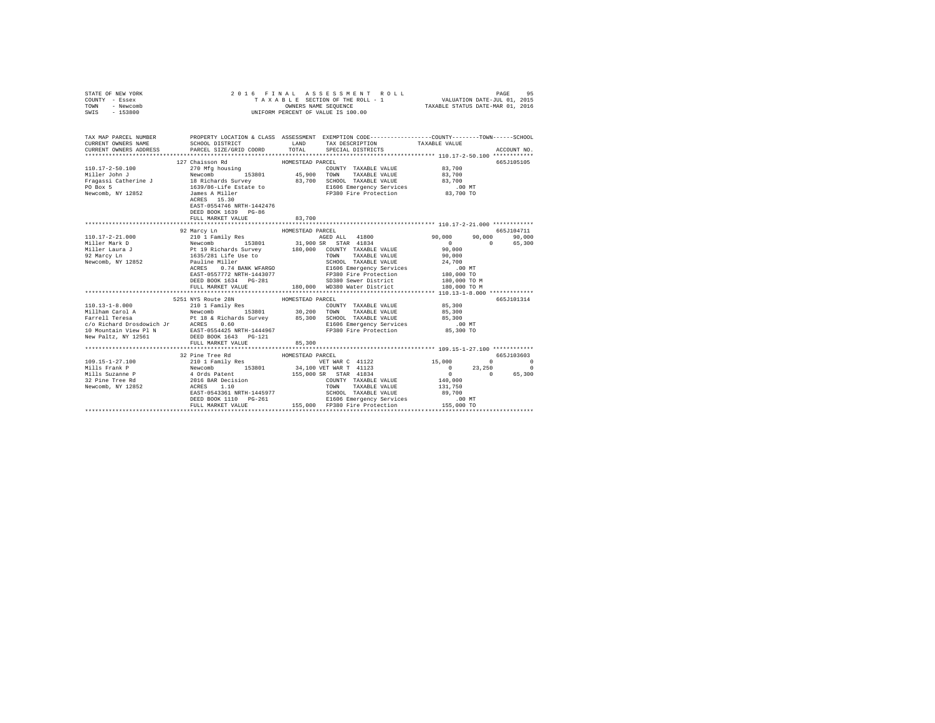| STATE OF NEW YORK<br>COUNTY - Essex<br>TOWN - Newcomb<br>SWIS - 153800                                                                     | 2016 FINAL ASSESSMENT R<br>TAXABLE SECTION OF THE ROLL - 1<br>ONNERS NAME SEQUENCE<br>UNIFORM PERCENT OF VALUE IS 100.00<br>2016 FINAL ASSESSMENT ROLL |                  |  |                                 |               |             |
|--------------------------------------------------------------------------------------------------------------------------------------------|--------------------------------------------------------------------------------------------------------------------------------------------------------|------------------|--|---------------------------------|---------------|-------------|
| TAX MAP PARCEL NUMBER PROPERTY LOCATION & CLASS ASSESSMENT EXEMPTION CODE--------------COUNTY-------TOWN-----SCHOOL<br>CURRENT OWNERS NAME | SCHOOL DISTRICT TAND TAX DESCRIPTION                                                                                                                   |                  |  | TAXABLE VALUE                   |               |             |
| CURRENT OWNERS ADDRESS . PARCEL SIZE/GRID COORD . INN TOTAL SPECIAL DISTRICTS                                                              |                                                                                                                                                        |                  |  |                                 |               | ACCOUNT NO. |
|                                                                                                                                            |                                                                                                                                                        |                  |  |                                 |               |             |
|                                                                                                                                            | 127 Chaisson Rd                                                                                                                                        | HOMESTEAD PARCEL |  |                                 |               | 665J105105  |
|                                                                                                                                            |                                                                                                                                                        |                  |  |                                 |               |             |
|                                                                                                                                            |                                                                                                                                                        |                  |  |                                 |               |             |
|                                                                                                                                            |                                                                                                                                                        |                  |  |                                 |               |             |
|                                                                                                                                            |                                                                                                                                                        |                  |  |                                 |               |             |
|                                                                                                                                            | EAST-0554746 NRTH-1442476<br>DEED BOOK 1639 PG-86<br>FULL MARKET VALUE                                                                                 | 83,700           |  |                                 |               |             |
|                                                                                                                                            |                                                                                                                                                        |                  |  |                                 |               |             |
|                                                                                                                                            | 92 Marcy Ln                                                                                                                                            | HOMESTEAD PARCEL |  |                                 |               | 665J104711  |
|                                                                                                                                            |                                                                                                                                                        |                  |  |                                 | 90,000 90,000 |             |
|                                                                                                                                            |                                                                                                                                                        |                  |  | $0$ 0 65,300<br>90,000 0 65,300 |               |             |
|                                                                                                                                            |                                                                                                                                                        |                  |  |                                 |               |             |
|                                                                                                                                            |                                                                                                                                                        |                  |  |                                 |               |             |
|                                                                                                                                            |                                                                                                                                                        |                  |  |                                 |               |             |
|                                                                                                                                            |                                                                                                                                                        |                  |  |                                 |               |             |
|                                                                                                                                            |                                                                                                                                                        |                  |  |                                 |               |             |
|                                                                                                                                            | DEED BOOK 1634 PG-281 SD380 Sewer District<br>FULL MARKET VALUE 180,000 WD380 Water District                                                           |                  |  | 180,000 TO M<br>180,000 TO M    |               |             |
|                                                                                                                                            |                                                                                                                                                        |                  |  |                                 |               |             |
|                                                                                                                                            | 5251 NYS Route 28N                                                                                                                                     | HOMESTEAD PARCEL |  |                                 |               | 665J101314  |
|                                                                                                                                            |                                                                                                                                                        |                  |  |                                 |               |             |
|                                                                                                                                            |                                                                                                                                                        |                  |  |                                 |               |             |
|                                                                                                                                            |                                                                                                                                                        |                  |  |                                 |               |             |
|                                                                                                                                            |                                                                                                                                                        |                  |  |                                 |               |             |
|                                                                                                                                            |                                                                                                                                                        |                  |  |                                 |               |             |
|                                                                                                                                            |                                                                                                                                                        |                  |  |                                 |               |             |
|                                                                                                                                            |                                                                                                                                                        |                  |  |                                 |               |             |
|                                                                                                                                            |                                                                                                                                                        |                  |  |                                 |               |             |
|                                                                                                                                            |                                                                                                                                                        |                  |  |                                 |               |             |
|                                                                                                                                            |                                                                                                                                                        |                  |  |                                 |               |             |
|                                                                                                                                            |                                                                                                                                                        |                  |  |                                 |               |             |
|                                                                                                                                            |                                                                                                                                                        |                  |  |                                 |               |             |
|                                                                                                                                            |                                                                                                                                                        |                  |  |                                 |               |             |
|                                                                                                                                            |                                                                                                                                                        |                  |  |                                 |               |             |
|                                                                                                                                            |                                                                                                                                                        |                  |  |                                 |               |             |
|                                                                                                                                            |                                                                                                                                                        |                  |  |                                 |               |             |
|                                                                                                                                            |                                                                                                                                                        |                  |  |                                 |               |             |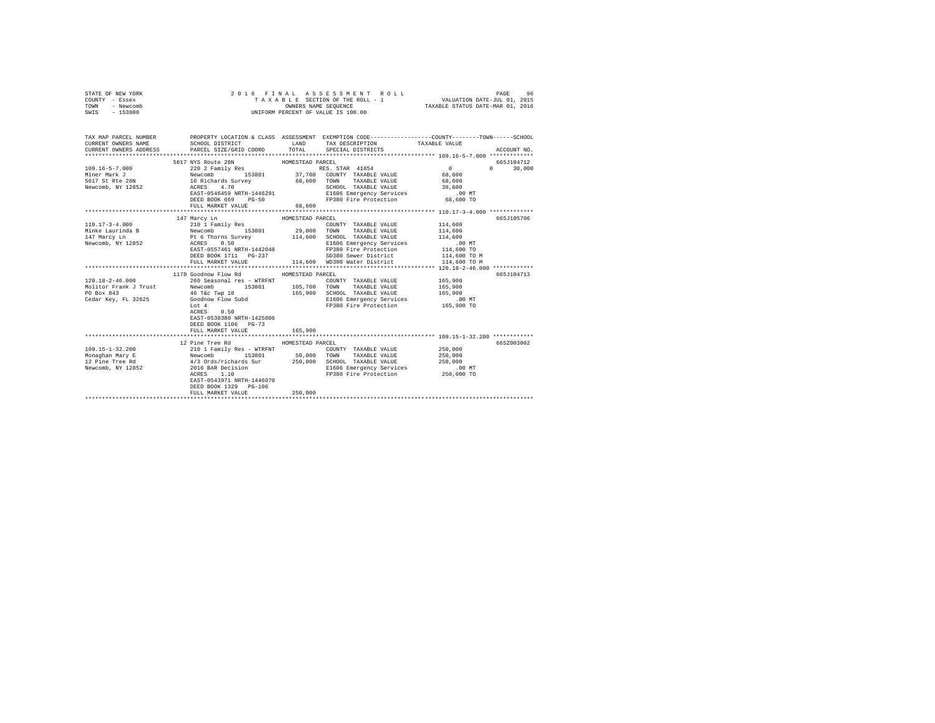| STATE OF NEW YORK<br>COUNTY - Essex<br>TOWN - Newcomb<br>SWIS - 153800                                                                                                                                                         | 7 6 FINAL ASSESS NEXT FRIEROLL - 1<br>TAXABLE SECTION OF THE ROLL - 1<br>ONIFORM PERCENT OF VALUE IS 100.00                                                                                                                                                                                                                                                                                                                                                                                                                                                                                                                                                                                                                     |                  | 2016 FINAL ASSESSMENT ROLL                                                     | 6 FINAL ASSESSMENT ROLL (PAGE 96 PAGE 96 PAGE 96 PAGE 96 PAGE 96 PAGE 96 PAGE 96 PAGE 96 PAGE 96 PAGE 96 PAGE 9<br>TAXABLE SECTION OF THE ROLL - 1 PAXABLE STATUS DATE-MAR 01, 2016 |  |
|--------------------------------------------------------------------------------------------------------------------------------------------------------------------------------------------------------------------------------|---------------------------------------------------------------------------------------------------------------------------------------------------------------------------------------------------------------------------------------------------------------------------------------------------------------------------------------------------------------------------------------------------------------------------------------------------------------------------------------------------------------------------------------------------------------------------------------------------------------------------------------------------------------------------------------------------------------------------------|------------------|--------------------------------------------------------------------------------|-------------------------------------------------------------------------------------------------------------------------------------------------------------------------------------|--|
| CURRENT OWNERS NAME<br>CURRENT OWNERS ADDRESS                                                                                                                                                                                  | SCHOOL DISTRICT TAND TAX DESCRIPTION<br>PARCEL SIZE/GRID COORD TOTAL                                                                                                                                                                                                                                                                                                                                                                                                                                                                                                                                                                                                                                                            |                  | SPECIAL DISTRICTS                                                              | TAX MAP PARCEL NUMBER PROPERTY LOCATION & CLASS ASSESSMENT EXEMPTION CODE--------------COUNTY-------TOWN------SCHOOL<br>TAXABLE VALUE<br>ACCOUNT NO.                                |  |
|                                                                                                                                                                                                                                |                                                                                                                                                                                                                                                                                                                                                                                                                                                                                                                                                                                                                                                                                                                                 |                  |                                                                                | 665J104712                                                                                                                                                                          |  |
| $109.16 - 5 - 7.000$<br>Miner Mark J<br>5617 St Rte 28N<br>Newcomb, NY 12852                                                                                                                                                   | $\begin{tabular}{c c c c c c c c} \texttt{5617 NYS} \texttt{Route 28N} & \texttt{HOMESTEAD PARCH} & \texttt{RRCL} \\ \texttt{202} & \texttt{Fam11Y} & \texttt{Res} & \texttt{RES} & \texttt{STSR} & \texttt{41854} \\ \texttt{Newcomb} & \texttt{153801} & \texttt{37,700} & \texttt{CONTY} & \texttt{TAXABLE VALUE} \\ \texttt{10 Richard Survey} & \texttt{68,600} & \texttt{TONN} & \texttt{TAXABLE VALUE} \\ \texttt{ACKBS} & \texttt{4.70$<br>$\begin{array}{lllllllllllll} \texttt{ACRES} & & 4.70 & & & \\ \texttt{EAST-0546459 NRTH-1446291} & & & & \texttt{SCHOOL} & \texttt{TAXABLE VALUE} & & & 38,600 \\ \texttt{EAST-0546459 NRTH-1446291} & & & & \texttt{E1606 Emergency Services} & & & .00 MT \\ \end{array}$ |                  |                                                                                | $\sim$ 0<br>$0 \t 30,000$<br>68,600<br>68,600                                                                                                                                       |  |
|                                                                                                                                                                                                                                | DEED BOOK 669 PG-50                                                                                                                                                                                                                                                                                                                                                                                                                                                                                                                                                                                                                                                                                                             |                  | FP380 Fire Protection 68,600 TO                                                |                                                                                                                                                                                     |  |
|                                                                                                                                                                                                                                | FULL MARKET VALUE                                                                                                                                                                                                                                                                                                                                                                                                                                                                                                                                                                                                                                                                                                               | 68,600           |                                                                                |                                                                                                                                                                                     |  |
|                                                                                                                                                                                                                                |                                                                                                                                                                                                                                                                                                                                                                                                                                                                                                                                                                                                                                                                                                                                 |                  |                                                                                |                                                                                                                                                                                     |  |
|                                                                                                                                                                                                                                | 147 Marcy Ln                                                                                                                                                                                                                                                                                                                                                                                                                                                                                                                                                                                                                                                                                                                    | HOMESTEAD PARCEL |                                                                                | 665J105706                                                                                                                                                                          |  |
| $[100.18-2-46.000$ $[100.18-2-46.000$ $[100.18-2-46.000]$ $[100.18-246.000$ $[100.18-246.000]$ $[100.18-246.000$ $[100.18-246.000]$ $[100.18-246.000$ $[100.18-246.000$ $[100.18-246.000]$ $[100.18-246.000$ $[100.18-246.000$ | ALXES 0.50<br>EAST-0557461 NRTH-1442048<br>EAST-0557461 NRTH-1442048<br>DEED BOOK 1711 PG-237<br>SD380 Sewer District<br>FUIL NADAPP WATHER THE SD380 Sewer District<br>1178 Goodnow Flow Rd                                                                                                                                                                                                                                                                                                                                                                                                                                                                                                                                    | HOMESTEAD PARCEL | FULL MARKET VALUE 114,600 WD380 Water District<br>COUNTY TAXABLE VALUE 165,900 | 114,600<br>114,600<br>114,600<br>.00 MT<br>114,600 TO<br>114,600 TO M<br>114,600 TO M<br>665J104713<br>165,900<br>165,900<br>.00 MT                                                 |  |
|                                                                                                                                                                                                                                | Lot 4<br>ACRES 0.50<br>EAST-0538380 NRTH-1425806<br>DEED BOOK 1106 PG-73<br>FULL MARKET VALUE                                                                                                                                                                                                                                                                                                                                                                                                                                                                                                                                                                                                                                   | 165,900          | E1606 Emergency Services<br>FP380 Fire Protection                              | 165,900 TO                                                                                                                                                                          |  |
|                                                                                                                                                                                                                                | 12 Pine Tree Rd                                                                                                                                                                                                                                                                                                                                                                                                                                                                                                                                                                                                                                                                                                                 | HOMESTEAD PARCEL |                                                                                | 665Z003002                                                                                                                                                                          |  |
|                                                                                                                                                                                                                                | EAST-0543971 NRTH-1446070<br>DEED BOOK 1329 PG-106                                                                                                                                                                                                                                                                                                                                                                                                                                                                                                                                                                                                                                                                              |                  |                                                                                |                                                                                                                                                                                     |  |
|                                                                                                                                                                                                                                |                                                                                                                                                                                                                                                                                                                                                                                                                                                                                                                                                                                                                                                                                                                                 |                  |                                                                                |                                                                                                                                                                                     |  |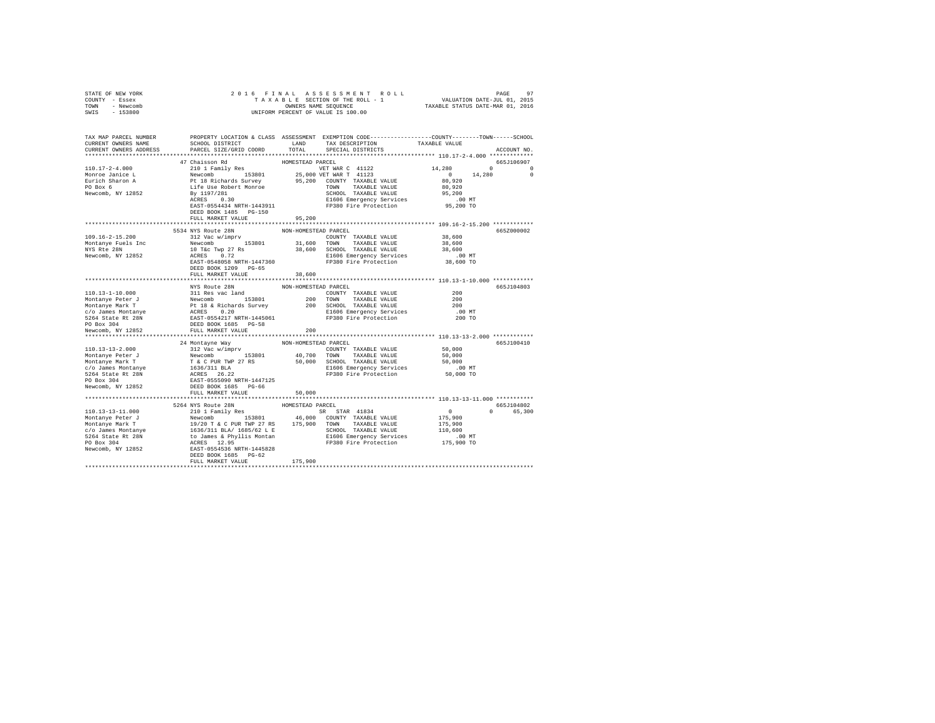| STATE OF NEW YORK |                          |                      |                                                        |            |
|-------------------|--------------------------|----------------------|--------------------------------------------------------|------------|
| COUNTY - Essex    |                          |                      |                                                        |            |
| TOWN - Newcomb    |                          |                      |                                                        |            |
| SWIS - 153800     |                          |                      |                                                        |            |
|                   |                          |                      |                                                        |            |
|                   |                          |                      |                                                        |            |
|                   |                          |                      |                                                        |            |
|                   |                          |                      |                                                        |            |
|                   |                          |                      |                                                        |            |
|                   |                          |                      |                                                        |            |
|                   | 47 Chaisson Rd           | HOMESTEAD PARCEL     |                                                        | 665J106907 |
|                   |                          |                      |                                                        |            |
|                   |                          |                      |                                                        |            |
|                   |                          |                      |                                                        |            |
|                   |                          |                      |                                                        |            |
|                   |                          |                      |                                                        |            |
|                   |                          |                      |                                                        |            |
|                   |                          |                      |                                                        |            |
|                   | DEED BOOK 1485 PG-150    |                      |                                                        |            |
|                   | FULL MARKET VALUE 95,200 |                      |                                                        |            |
|                   |                          |                      |                                                        |            |
|                   | 5534 NYS Route 28N       | NON-HOMESTEAD PARCEL |                                                        | 665Z000002 |
|                   |                          |                      |                                                        |            |
|                   |                          |                      |                                                        |            |
|                   |                          |                      |                                                        |            |
|                   |                          |                      |                                                        |            |
|                   |                          |                      |                                                        |            |
|                   |                          |                      |                                                        |            |
|                   | FULL MARKET VALUE 38,600 |                      |                                                        |            |
|                   |                          |                      |                                                        |            |
|                   | NYS Route 28N            | NON-HOMESTEAD PARCEL |                                                        | 665J104803 |
|                   |                          |                      |                                                        |            |
|                   |                          |                      |                                                        |            |
|                   |                          |                      |                                                        |            |
|                   |                          |                      |                                                        |            |
|                   |                          |                      |                                                        |            |
|                   |                          |                      |                                                        |            |
|                   |                          |                      |                                                        |            |
|                   |                          |                      |                                                        |            |
|                   |                          |                      |                                                        |            |
|                   |                          |                      |                                                        | 665J100410 |
|                   |                          |                      |                                                        |            |
|                   |                          |                      |                                                        |            |
|                   |                          |                      |                                                        |            |
|                   |                          |                      |                                                        |            |
|                   |                          |                      |                                                        |            |
|                   |                          |                      |                                                        |            |
|                   |                          |                      |                                                        |            |
|                   |                          | 50,000               |                                                        |            |
|                   |                          |                      |                                                        |            |
|                   |                          | HOMESTEAD PARCEL     |                                                        | 665J104802 |
|                   |                          |                      |                                                        | 0 65,300   |
|                   |                          |                      |                                                        |            |
|                   |                          |                      | $\begin{array}{c} 0 \\ 175,900 \\ 175,900 \end{array}$ |            |
|                   |                          |                      |                                                        |            |
|                   |                          |                      |                                                        |            |
|                   |                          |                      |                                                        |            |
|                   |                          |                      |                                                        |            |
|                   |                          |                      |                                                        |            |
|                   |                          |                      |                                                        |            |
|                   |                          |                      |                                                        |            |
|                   |                          |                      |                                                        |            |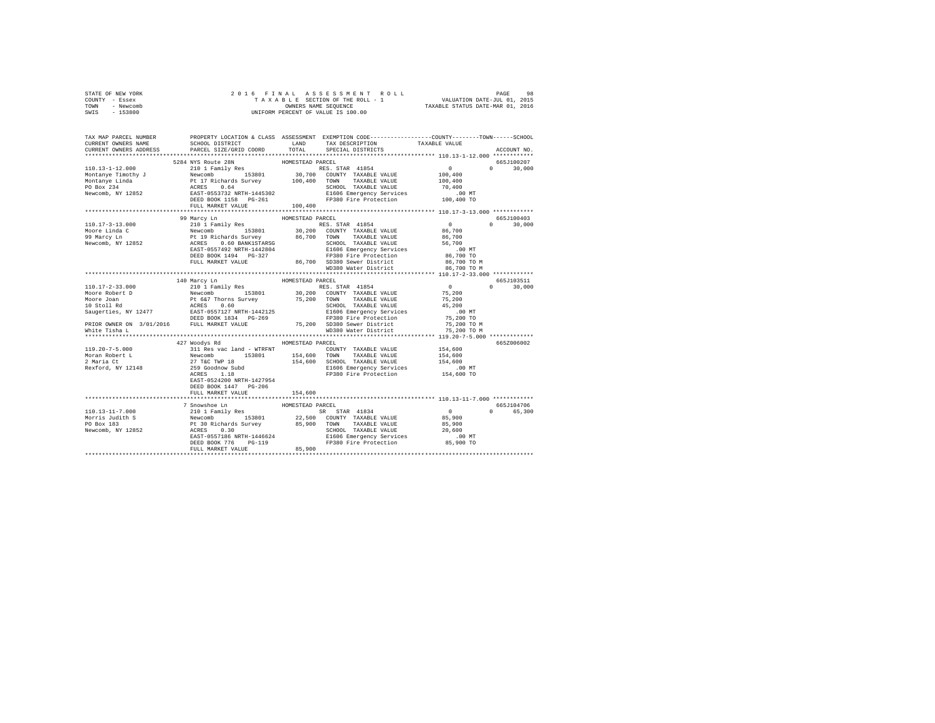|      | STATE OF NEW YORK |  |  | 2016 FINAL ASSESSMENT ROLL         |                                  | PAGE                        | 98 |
|------|-------------------|--|--|------------------------------------|----------------------------------|-----------------------------|----|
|      | COUNTY - Essex    |  |  | TAXABLE SECTION OF THE ROLL - 1    |                                  | VALUATION DATE-JUL 01, 2015 |    |
| TOWN | - Newcomb         |  |  | OWNERS NAME SEOUENCE               | TAXABLE STATUS DATE-MAR 01, 2016 |                             |    |
| SWIS | - 153800          |  |  | UNIFORM PERCENT OF VALUE IS 100.00 |                                  |                             |    |

| TAX MAP PARCEL NUMBER<br>CURRENT OWNERS NAME<br>CURRENT OWNERS ADDRESS | SCHOOL DISTRICT<br>PARCEL SIZE/GRID COORD                                                                                                                                                                                                                                                                                                                                                                                  | LAND<br>TOTAL    | PROPERTY LOCATION & CLASS ASSESSMENT EXEMPTION CODE----------------COUNTY-------TOWN------SCHOOL<br>TAX DESCRIPTION<br>SPECIAL DISTRICTS | TAXABLE VALUE                                                           | ACCOUNT NO.   |
|------------------------------------------------------------------------|----------------------------------------------------------------------------------------------------------------------------------------------------------------------------------------------------------------------------------------------------------------------------------------------------------------------------------------------------------------------------------------------------------------------------|------------------|------------------------------------------------------------------------------------------------------------------------------------------|-------------------------------------------------------------------------|---------------|
| ************************                                               |                                                                                                                                                                                                                                                                                                                                                                                                                            |                  |                                                                                                                                          |                                                                         |               |
|                                                                        | 5284 NYS Route 28N                                                                                                                                                                                                                                                                                                                                                                                                         | HOMESTEAD PARCEL |                                                                                                                                          |                                                                         | 665J100207    |
|                                                                        |                                                                                                                                                                                                                                                                                                                                                                                                                            |                  |                                                                                                                                          | $\begin{smallmatrix}&&0\\&&0\\100\,,\,400\end{smallmatrix}$<br>$\Omega$ | 30,000        |
|                                                                        |                                                                                                                                                                                                                                                                                                                                                                                                                            |                  |                                                                                                                                          |                                                                         |               |
|                                                                        |                                                                                                                                                                                                                                                                                                                                                                                                                            |                  |                                                                                                                                          |                                                                         |               |
|                                                                        |                                                                                                                                                                                                                                                                                                                                                                                                                            |                  |                                                                                                                                          |                                                                         |               |
|                                                                        |                                                                                                                                                                                                                                                                                                                                                                                                                            |                  |                                                                                                                                          |                                                                         |               |
|                                                                        |                                                                                                                                                                                                                                                                                                                                                                                                                            |                  |                                                                                                                                          |                                                                         |               |
|                                                                        | FULL MARKET VALUE                                                                                                                                                                                                                                                                                                                                                                                                          | 100,400          |                                                                                                                                          |                                                                         |               |
|                                                                        |                                                                                                                                                                                                                                                                                                                                                                                                                            |                  |                                                                                                                                          |                                                                         |               |
|                                                                        | 99 Marcy Ln<br>$[10.17-3-13.000$ $[10.17-3-13.000$ $[10.17-3-13.000$ $[10.17-3-13.000]$ $[10.17-3-13.000$ $[10.17-3-13.000]$ $[10.17-3-13.000$ $[10.17-3-13.000]$ $[10.17-3-13.000$ $[10.17-3-13.000]$ $[10.17-3-13.000]$ $[10.17-3-13.000$                                                                                                                                                                                | HOMESTEAD PARCEL |                                                                                                                                          |                                                                         | 665J100403    |
|                                                                        |                                                                                                                                                                                                                                                                                                                                                                                                                            |                  |                                                                                                                                          |                                                                         | $0 \t 30.000$ |
|                                                                        |                                                                                                                                                                                                                                                                                                                                                                                                                            |                  |                                                                                                                                          |                                                                         |               |
|                                                                        |                                                                                                                                                                                                                                                                                                                                                                                                                            |                  |                                                                                                                                          |                                                                         |               |
|                                                                        |                                                                                                                                                                                                                                                                                                                                                                                                                            |                  |                                                                                                                                          |                                                                         |               |
|                                                                        |                                                                                                                                                                                                                                                                                                                                                                                                                            |                  |                                                                                                                                          |                                                                         |               |
|                                                                        |                                                                                                                                                                                                                                                                                                                                                                                                                            |                  |                                                                                                                                          |                                                                         |               |
|                                                                        |                                                                                                                                                                                                                                                                                                                                                                                                                            |                  |                                                                                                                                          |                                                                         |               |
|                                                                        |                                                                                                                                                                                                                                                                                                                                                                                                                            |                  |                                                                                                                                          |                                                                         |               |
|                                                                        |                                                                                                                                                                                                                                                                                                                                                                                                                            |                  |                                                                                                                                          |                                                                         |               |
|                                                                        |                                                                                                                                                                                                                                                                                                                                                                                                                            |                  |                                                                                                                                          |                                                                         | 665J103511    |
|                                                                        |                                                                                                                                                                                                                                                                                                                                                                                                                            |                  |                                                                                                                                          |                                                                         | $0 \t 30,000$ |
|                                                                        |                                                                                                                                                                                                                                                                                                                                                                                                                            |                  |                                                                                                                                          |                                                                         |               |
|                                                                        |                                                                                                                                                                                                                                                                                                                                                                                                                            |                  |                                                                                                                                          |                                                                         |               |
|                                                                        |                                                                                                                                                                                                                                                                                                                                                                                                                            |                  |                                                                                                                                          |                                                                         |               |
|                                                                        |                                                                                                                                                                                                                                                                                                                                                                                                                            |                  |                                                                                                                                          |                                                                         |               |
|                                                                        |                                                                                                                                                                                                                                                                                                                                                                                                                            |                  |                                                                                                                                          |                                                                         |               |
|                                                                        |                                                                                                                                                                                                                                                                                                                                                                                                                            |                  |                                                                                                                                          |                                                                         |               |
|                                                                        |                                                                                                                                                                                                                                                                                                                                                                                                                            |                  |                                                                                                                                          |                                                                         |               |
|                                                                        |                                                                                                                                                                                                                                                                                                                                                                                                                            |                  |                                                                                                                                          |                                                                         |               |
|                                                                        | 427 Woodys Rd                                                                                                                                                                                                                                                                                                                                                                                                              | HOMESTEAD PARCEL |                                                                                                                                          |                                                                         | 665Z006002    |
|                                                                        |                                                                                                                                                                                                                                                                                                                                                                                                                            |                  |                                                                                                                                          |                                                                         |               |
|                                                                        |                                                                                                                                                                                                                                                                                                                                                                                                                            |                  |                                                                                                                                          |                                                                         |               |
|                                                                        |                                                                                                                                                                                                                                                                                                                                                                                                                            |                  |                                                                                                                                          |                                                                         |               |
|                                                                        | $R\ = 0.700 \times 10^{-3} \times 10^{-3} \times 10^{-3} \times 10^{-3} \times 10^{-3} \times 10^{-3} \times 10^{-3} \times 10^{-3} \times 10^{-3} \times 10^{-3} \times 10^{-3} \times 10^{-3} \times 10^{-3} \times 10^{-3} \times 10^{-3} \times 10^{-3} \times 10^{-3} \times 10^{-3} \times 10^{-3} \times 10^{-3} \times 10^{-3} \times 10^{-3} \times 10^{-3} \times 10^{-3} \times 10^{-3} \times 10^{-3} \times $ |                  |                                                                                                                                          |                                                                         |               |
|                                                                        |                                                                                                                                                                                                                                                                                                                                                                                                                            |                  |                                                                                                                                          |                                                                         |               |
|                                                                        | EAST-0524200 NRTH-1427954                                                                                                                                                                                                                                                                                                                                                                                                  |                  |                                                                                                                                          |                                                                         |               |
|                                                                        | DEED BOOK 1447 PG-206                                                                                                                                                                                                                                                                                                                                                                                                      |                  |                                                                                                                                          |                                                                         |               |
|                                                                        | FULL MARKET VALUE                                                                                                                                                                                                                                                                                                                                                                                                          | 154,600          |                                                                                                                                          |                                                                         |               |
|                                                                        |                                                                                                                                                                                                                                                                                                                                                                                                                            |                  |                                                                                                                                          |                                                                         | 665J104706    |
|                                                                        |                                                                                                                                                                                                                                                                                                                                                                                                                            |                  |                                                                                                                                          | $\Omega$                                                                | 65,300        |
|                                                                        |                                                                                                                                                                                                                                                                                                                                                                                                                            |                  |                                                                                                                                          |                                                                         |               |
|                                                                        |                                                                                                                                                                                                                                                                                                                                                                                                                            |                  |                                                                                                                                          |                                                                         |               |
|                                                                        |                                                                                                                                                                                                                                                                                                                                                                                                                            |                  |                                                                                                                                          |                                                                         |               |
|                                                                        |                                                                                                                                                                                                                                                                                                                                                                                                                            |                  |                                                                                                                                          |                                                                         |               |
|                                                                        |                                                                                                                                                                                                                                                                                                                                                                                                                            |                  |                                                                                                                                          |                                                                         |               |
|                                                                        |                                                                                                                                                                                                                                                                                                                                                                                                                            |                  |                                                                                                                                          |                                                                         |               |
|                                                                        |                                                                                                                                                                                                                                                                                                                                                                                                                            |                  |                                                                                                                                          |                                                                         |               |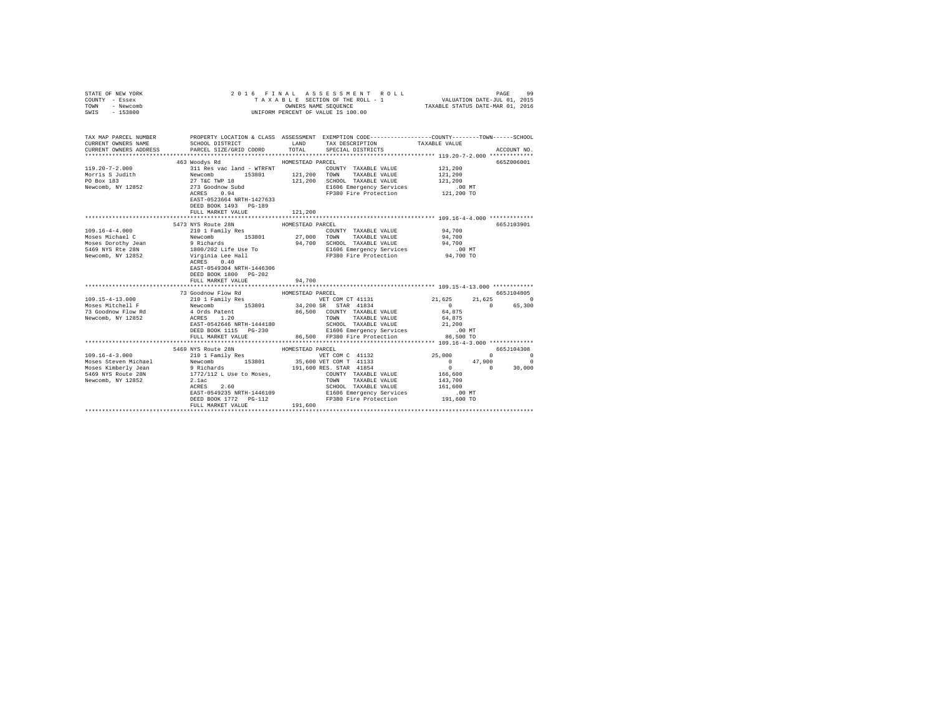| COUNTY - Essex<br>TOWN<br>- Newcomb<br>SWIS<br>$-153800$ |                                                                | T A X A B L E SECTION OF THE ROLL - 1<br>ONIFORM PERCENT OF VALUE SEQUENCE<br>UNIFORM PERCENT OF VALUE IS 100.00                                                                                                                                                                                                                                                           |             |
|----------------------------------------------------------|----------------------------------------------------------------|----------------------------------------------------------------------------------------------------------------------------------------------------------------------------------------------------------------------------------------------------------------------------------------------------------------------------------------------------------------------------|-------------|
| CURRENT OWNERS NAME<br>CURRENT OWNERS ADDRESS            | PARCEL SIZE/GRID COORD                                         | TAX MAP PARCEL NUMBER PROPERTY LOCATION & CLASS ASSESSMENT EXEMPTION CODE--------------COUNTY-------TOWN------SCHOOL<br>SCHOOL DISTRICT                         LAND         TAX DESCRIPTION                  TAXABLE VALUE<br>TOTAL SPECIAL DISTRICTS                                                                                                                     | ACCOUNT NO. |
|                                                          | 463 Woodys Rd                                                  | HOMESTEAD PARCEL                                                                                                                                                                                                                                                                                                                                                           | 665Z006001  |
|                                                          |                                                                |                                                                                                                                                                                                                                                                                                                                                                            |             |
|                                                          |                                                                |                                                                                                                                                                                                                                                                                                                                                                            |             |
|                                                          |                                                                |                                                                                                                                                                                                                                                                                                                                                                            |             |
|                                                          |                                                                |                                                                                                                                                                                                                                                                                                                                                                            |             |
|                                                          | EAST-0523664 NRTH-1427633<br>DEED BOOK 1493 PG-189             |                                                                                                                                                                                                                                                                                                                                                                            |             |
|                                                          | FULL MARKET VALUE                                              | 121,200                                                                                                                                                                                                                                                                                                                                                                    |             |
|                                                          |                                                                |                                                                                                                                                                                                                                                                                                                                                                            |             |
|                                                          | 5473 NYS Route 28N                                             | HOMESTEAD PARCEL                                                                                                                                                                                                                                                                                                                                                           | 665J103901  |
|                                                          |                                                                |                                                                                                                                                                                                                                                                                                                                                                            |             |
|                                                          |                                                                |                                                                                                                                                                                                                                                                                                                                                                            |             |
|                                                          |                                                                |                                                                                                                                                                                                                                                                                                                                                                            |             |
|                                                          |                                                                |                                                                                                                                                                                                                                                                                                                                                                            |             |
|                                                          | EAST-0549304 NRTH-1446306<br>DEED BOOK 1800 PG-202             |                                                                                                                                                                                                                                                                                                                                                                            |             |
|                                                          | FULL MARKET VALUE                                              | 94,700                                                                                                                                                                                                                                                                                                                                                                     |             |
|                                                          | 73 Goodnow Flow Rd                                             | HOMESTEAD PARCEL                                                                                                                                                                                                                                                                                                                                                           | 665.T104805 |
|                                                          |                                                                | $\begin{tabular}{cccccc} 109.15-4-13.000 & \mbox{\sc $10$} & \mbox{\sc $10$} & \mbox{\sc $10$} & \mbox{\sc $10$} & \mbox{\sc $10$} & \mbox{\sc $10$} & \mbox{\sc $10$} & \mbox{\sc $10$} & \mbox{\sc $10$} & \mbox{\sc $10$} & \mbox{\sc $10$} & \mbox{\sc $10$} & \mbox{\sc $10$} & \mbox{\sc $10$} & \mbox{\sc $10$} & \mbox{\sc $10$} & \mbox{\sc $10$} & \mbox{\sc $1$ | 21.625 0    |
|                                                          |                                                                |                                                                                                                                                                                                                                                                                                                                                                            | 0 65,300    |
|                                                          |                                                                |                                                                                                                                                                                                                                                                                                                                                                            |             |
|                                                          |                                                                |                                                                                                                                                                                                                                                                                                                                                                            |             |
|                                                          |                                                                |                                                                                                                                                                                                                                                                                                                                                                            |             |
|                                                          |                                                                |                                                                                                                                                                                                                                                                                                                                                                            |             |
|                                                          |                                                                |                                                                                                                                                                                                                                                                                                                                                                            |             |
|                                                          |                                                                |                                                                                                                                                                                                                                                                                                                                                                            |             |
|                                                          | 5469 NYS Route 28N HOMESTEAD PARCEL<br>210 1 Family Res VET CO |                                                                                                                                                                                                                                                                                                                                                                            | 665J104308  |
|                                                          |                                                                |                                                                                                                                                                                                                                                                                                                                                                            |             |
|                                                          |                                                                |                                                                                                                                                                                                                                                                                                                                                                            |             |
|                                                          |                                                                |                                                                                                                                                                                                                                                                                                                                                                            |             |
|                                                          |                                                                |                                                                                                                                                                                                                                                                                                                                                                            |             |
|                                                          |                                                                |                                                                                                                                                                                                                                                                                                                                                                            |             |
|                                                          |                                                                |                                                                                                                                                                                                                                                                                                                                                                            |             |
|                                                          |                                                                |                                                                                                                                                                                                                                                                                                                                                                            |             |
|                                                          |                                                                |                                                                                                                                                                                                                                                                                                                                                                            |             |
|                                                          |                                                                |                                                                                                                                                                                                                                                                                                                                                                            |             |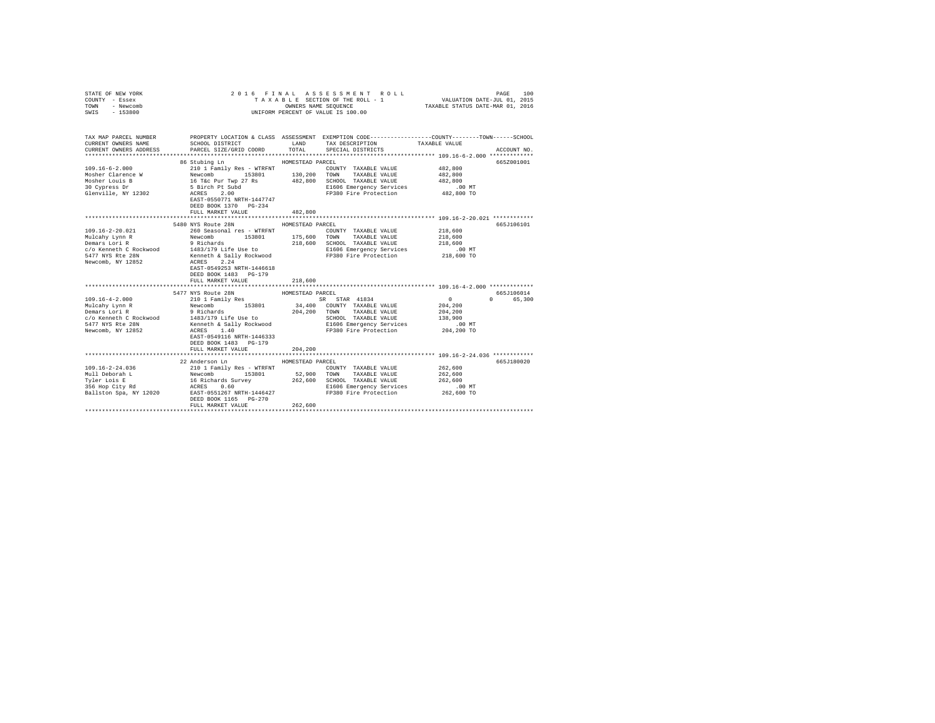| COUNTY - Essex<br>TOWN<br>- Newcomb<br>SWIS<br>$-153800$ |                                                                                   | UNIFORM PERCENT OF VALUE IS 100.00                                                                                                                                  |                                                  |
|----------------------------------------------------------|-----------------------------------------------------------------------------------|---------------------------------------------------------------------------------------------------------------------------------------------------------------------|--------------------------------------------------|
| CURRENT OWNERS NAME<br>CURRENT OWNERS ADDRESS            | SCHOOL DISTRICT LAND<br>PARCEL SIZE/GRID COORD                                    | TAX MAP PARCEL NUMBER PROPERTY LOCATION & CLASS ASSESSMENT EXEMPTION CODE---------------COUNTY-------TOWN------SCHOOL<br>TAX DESCRIPTION<br>TOTAL SPECIAL DISTRICTS | TAXABLE VALUE<br>ACCOUNT NO.                     |
|                                                          | 86 Stubing Ln<br>DEED BOOK 1370 PG-234<br>FULL MARKET VALUE                       | HOMESTEAD PARCEL<br>COUNTY TAXABLE VALUE<br>TAXABLE VALUE<br>482,800 SCHOOL TAXABLE VALUE<br>482,800                                                                | 665Z001001<br>482,800<br>482,800<br>482,800      |
|                                                          | 5480 NYS Route 28N<br>DEED BOOK 1483 PG-179<br>FULL MARKET VALUE                  | HOMESTEAD PARCEL<br>218,600                                                                                                                                         | 665J106101                                       |
|                                                          | 5477 NYS Route 28N<br>DEED BOOK 1483 PG-179                                       | HOMESTEAD PARCEL                                                                                                                                                    | 665J106014<br>0 65,300<br>$.00$ MT<br>204,200 TO |
|                                                          | FULL MARKET VALUE<br>22 Anderson Ln<br>DEED BOOK 1165 PG-270<br>FULL MARKET VALUE | 204,200<br>HOMESTEAD PARCEL<br>262,600                                                                                                                              | 665J180020<br>262,600<br>262,600<br>262,600      |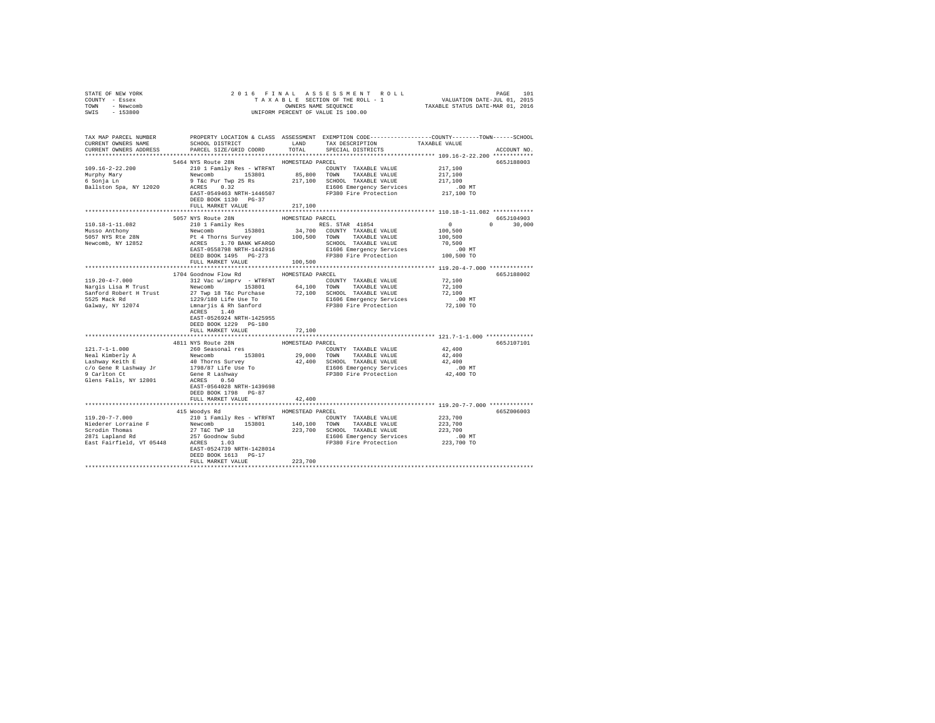| COUNTY - Essex<br>TOWN - Newcomb<br>SWIS - 153800                      |                                                                                                                                                                                                                                                                                                                                                                                    |                             | UNIFORM PERCENT OF VALUE IS 100.00 |                                                         |               |
|------------------------------------------------------------------------|------------------------------------------------------------------------------------------------------------------------------------------------------------------------------------------------------------------------------------------------------------------------------------------------------------------------------------------------------------------------------------|-----------------------------|------------------------------------|---------------------------------------------------------|---------------|
| TAX MAP PARCEL NUMBER<br>CURRENT OWNERS NAME<br>CURRENT OWNERS ADDRESS | PROPERTY LOCATION & CLASS ASSESSMENT EXEMPTION CODE---------------COUNTY-------TOWN-----SCHOOL                                                                                                                                                                                                                                                                                     |                             |                                    |                                                         | ACCOUNT NO.   |
| 109.16-2-22.200<br>Murphy Mary<br>6 Sonja Ln<br>Ballston Spa, NY 12020 | 5464 NYS Route 28N<br>217,100<br>Newcomb Pamily Res - WTRENT MONTH TAXABLE VALUE<br>Newcomb Pamily Res 217,100<br>NCRES PASS 217,100<br>Pack Part (23,200 217,100 SCHOOL TAXABLE VALUE<br>217,100<br>ACRES PASS RES 217,100<br>REST 054463<br>REST 054463<br>REST 0544<br>DEED BOOK 1130 PG-37<br>FULL MARKET VALUE                                                                | HOMESTEAD PARCEL<br>217,100 |                                    |                                                         | 665J188003    |
|                                                                        | 5057 NYS Route 28N                                                                                                                                                                                                                                                                                                                                                                 | HOMESTEAD PARCEL            |                                    | 665J104903                                              |               |
|                                                                        | $\begin{tabular}{l c c c c c} \hline 110.18-1-11.082 & \hline & 1101.8-1-11.082 & \hline & 1101.8-1-11.082 & \hline & 1101.8-1-11.082 & \hline & 1101.8-1-11.082 & \hline & 1011.8-11.082 & \hline & 1011.8-11.082 & \hline & 1011.8-11.082 & \hline & 1011.8-11.082 & \hline & 1011.8-11.082 & \hline$                                                                            |                             |                                    | $\begin{smallmatrix}&&0\\1&0&0&,5&0&0\end{smallmatrix}$ | $0 \t 30,000$ |
|                                                                        |                                                                                                                                                                                                                                                                                                                                                                                    | ************************    |                                    | ************************ 119.20-4-7.000 *************   |               |
| 119.20-4-7.000                                                         | 1704 Goodnow Flow Rd MOMESTEAD PARCEL<br>312 Vac w/imprv - WTRFNT COUNTY TAXABLE VALUE<br>Angle Lies Mewcomb 313801 64,100 TOWN TAXABLE VALUE 72,100<br>Sanford Robert H Trust 27 Twp 18 Tac Purchase 72,100 SCHOOL TAXABLE VALUE 72,100<br>Sanford Robert H Trust 27 Tay 19 Tac Purchase 72,100 SCHOOL TAXABLE VALUE 72,100<br>EAST-0526924 NRTH-1425955<br>DEED BOOK 1229 PG-180 |                             |                                    | 72,100                                                  | 665J188002    |
|                                                                        | FULL MARKET VALUE                                                                                                                                                                                                                                                                                                                                                                  | 72,100                      |                                    |                                                         |               |
|                                                                        | DEED BOOK 1798 PG-87<br>FULL MARKET VALUE                                                                                                                                                                                                                                                                                                                                          | 42,400                      |                                    |                                                         | 665J107101    |
|                                                                        |                                                                                                                                                                                                                                                                                                                                                                                    |                             |                                    |                                                         |               |
|                                                                        | 415 Woodys Rd MOMESTEAD PARCEL<br>EAST-0524739 NRTH-1428014<br>DEED BOOK 1613 PG-17<br>FULL MARKET VALUE                                                                                                                                                                                                                                                                           | 223,700                     |                                    |                                                         | 665Z006003    |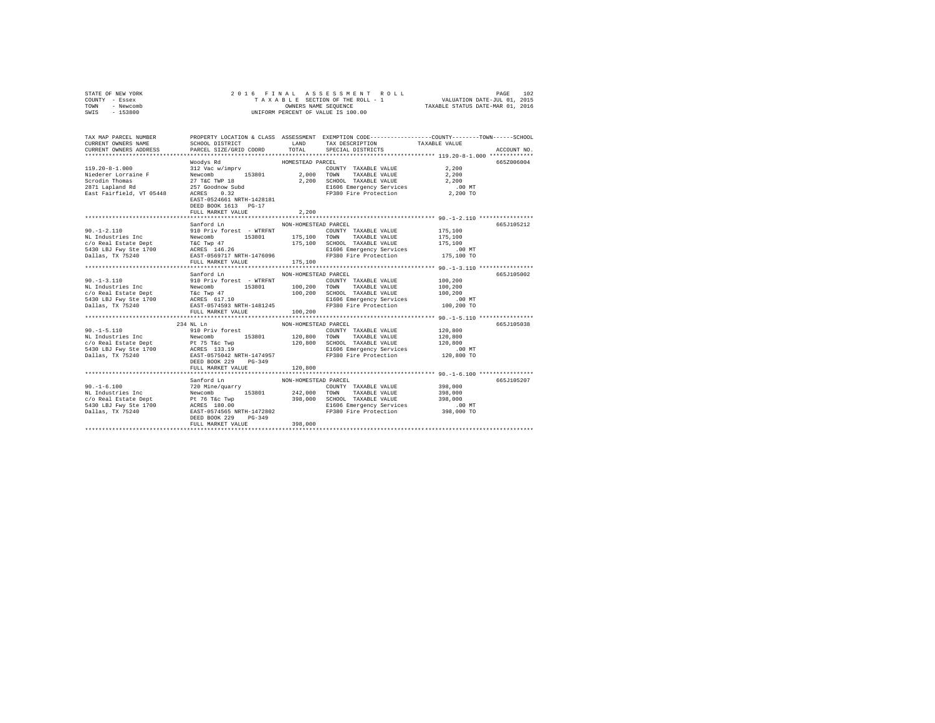|      | STATE OF NEW YORK |  | 2016 FINAL ASSESSMENT ROLL         | 102<br>PAGE                      |
|------|-------------------|--|------------------------------------|----------------------------------|
|      | COUNTY - Essex    |  | TAXABLE SECTION OF THE ROLL - 1    | VALUATION DATE-JUL 01, 2015      |
| TOWN | - Newcomb         |  | OWNERS NAME SEOUENCE               | TAXABLE STATUS DATE-MAR 01, 2016 |
| SWIS | - 153800          |  | UNIFORM PERCENT OF VALUE IS 100.00 |                                  |

| TAX MAP PARCEL NUMBER<br>CURRENT OWNERS NAME | SCHOOL DISTRICT                                                                                                                                                                           | LAND                 | PROPERTY LOCATION & CLASS ASSESSMENT EXEMPTION CODE----------------COUNTY-------TOWN------SCHOOL<br>TAX DESCRIPTION TAXABLE VALUE |            |             |
|----------------------------------------------|-------------------------------------------------------------------------------------------------------------------------------------------------------------------------------------------|----------------------|-----------------------------------------------------------------------------------------------------------------------------------|------------|-------------|
| CURRENT OWNERS ADDRESS                       | PARCEL SIZE/GRID COORD                                                                                                                                                                    | TOTAL                | SPECIAL DISTRICTS                                                                                                                 |            | ACCOUNT NO. |
|                                              |                                                                                                                                                                                           |                      |                                                                                                                                   |            |             |
|                                              | Woodys Rd                                                                                                                                                                                 | HOMESTEAD PARCEL     |                                                                                                                                   |            | 665Z006004  |
| $119.20 - 8 - 1.000$                         | 312 Vac w/imprv                                                                                                                                                                           |                      | COUNTY TAXABLE VALUE                                                                                                              | 2,200      |             |
| Niederer Lorraine F                          | Newcomb 153801 2,000 TOWN<br>27 T&C TWP 18 2,200 SCHOO                                                                                                                                    |                      | TAXABLE VALUE                                                                                                                     | 2,200      |             |
| Scrodin Thomas                               |                                                                                                                                                                                           |                      | SCHOOL TAXABLE VALUE                                                                                                              | 2,200      |             |
| 2871 Lapland Rd                              | 257 Goodnow Subd<br>Actor 0 32                                                                                                                                                            |                      | E1606 Emergency Services .00 MT<br>FP380 Fire Protection 2,200 TO                                                                 |            |             |
| East Fairfield, VT 05448                     | ACRES                                                                                                                                                                                     |                      |                                                                                                                                   |            |             |
|                                              | EAST-0524661 NRTH-1428181                                                                                                                                                                 |                      |                                                                                                                                   |            |             |
|                                              | DEED BOOK 1613 PG-17                                                                                                                                                                      |                      |                                                                                                                                   |            |             |
|                                              | FULL MARKET VALUE                                                                                                                                                                         | 2,200                |                                                                                                                                   |            |             |
|                                              |                                                                                                                                                                                           |                      |                                                                                                                                   |            |             |
|                                              | Sanford Ln                                                                                                                                                                                | NON-HOMESTEAD PARCEL |                                                                                                                                   |            | 665J105212  |
| $90. -1 - 2.110$                             | 910 Priv forest - WTRFNT                                                                                                                                                                  |                      | COUNTY TAXABLE VALUE                                                                                                              | 175,100    |             |
|                                              |                                                                                                                                                                                           | 175,100 TOWN         | TAXABLE VALUE                                                                                                                     | 175,100    |             |
|                                              |                                                                                                                                                                                           |                      | 175,100 SCHOOL TAXABLE VALUE                                                                                                      | 175,100    |             |
|                                              |                                                                                                                                                                                           |                      | E1606 Emergency Services .00 MT<br>FP380 Fire Protection .00 TO 175,100 TO                                                        |            |             |
|                                              |                                                                                                                                                                                           |                      |                                                                                                                                   |            |             |
|                                              | FULL MARKET VALUE                                                                                                                                                                         | 175,100              |                                                                                                                                   |            |             |
|                                              |                                                                                                                                                                                           |                      |                                                                                                                                   |            |             |
|                                              | Sanford Ln                                                                                                                                                                                | NON-HOMESTEAD PARCEL |                                                                                                                                   |            | 665J105002  |
| $90. -1 - 3.110$                             | 910 Priv forest - WTRFNT<br>Newcomb 153801                                                                                                                                                |                      | COUNTY TAXABLE VALUE                                                                                                              | 100,200    |             |
| NL Industries Inc                            |                                                                                                                                                                                           | 100,200 TOWN         | TAXABLE VALUE                                                                                                                     | 100,200    |             |
|                                              |                                                                                                                                                                                           | 100,200              | SCHOOL TAXABLE VALUE                                                                                                              | 100,200    |             |
|                                              |                                                                                                                                                                                           |                      | E1606 Emergency Services .00 MT<br>FP380 Fire Protection .00,200 TO                                                               |            |             |
| Dallas, TX 75240                             | EAST-0574593 NRTH-1481245                                                                                                                                                                 |                      |                                                                                                                                   |            |             |
|                                              | FULL MARKET VALUE                                                                                                                                                                         | 100,200              |                                                                                                                                   |            |             |
|                                              |                                                                                                                                                                                           |                      |                                                                                                                                   |            |             |
|                                              | 234 NL Ln                                                                                                                                                                                 | NON-HOMESTEAD PARCEL |                                                                                                                                   |            | 665J105038  |
| $90. -1 - 5.110$                             | 910 Priv forest                                                                                                                                                                           |                      | COUNTY TAXABLE VALUE                                                                                                              | 120,800    |             |
|                                              | 153801 120,800 TOWN                                                                                                                                                                       |                      | TAXABLE VALUE                                                                                                                     | 120,800    |             |
|                                              |                                                                                                                                                                                           | 120,800              | SCHOOL TAXABLE VALUE                                                                                                              | 120,800    |             |
|                                              |                                                                                                                                                                                           |                      | E1606 Emergency Services<br>FP380 Fire Protection                                                                                 | $.00$ MT   |             |
|                                              |                                                                                                                                                                                           |                      |                                                                                                                                   | 120,800 TO |             |
|                                              | DEED BOOK 229<br>$PG-349$                                                                                                                                                                 |                      |                                                                                                                                   |            |             |
|                                              | FULL MARKET VALUE                                                                                                                                                                         | 120,800              |                                                                                                                                   |            |             |
|                                              | Sanford Ln                                                                                                                                                                                | NON-HOMESTEAD PARCEL |                                                                                                                                   |            | 665J105207  |
| $90. -1 - 6.100$                             | 720 Mine/quarry                                                                                                                                                                           |                      | COUNTY TAXABLE VALUE                                                                                                              | 398,000    |             |
|                                              | 153801 242,000 TOWN                                                                                                                                                                       |                      | TAXABLE VALUE                                                                                                                     | 398,000    |             |
|                                              |                                                                                                                                                                                           |                      | SCHOOL TAXABLE VALUE                                                                                                              | 398,000    |             |
|                                              | 90.-1-6.100<br>NL Industries Inc Mewcomb 153801 242,000<br>C/O Real Estate Dept Pt 76 Tac Twp 398,000<br>5430 LBJ FWy Ste 1700 RCRES 180.00<br>Dallas, TX 75240 REST-0574565 NRTH-1472802 |                      |                                                                                                                                   | $.00$ MT   |             |
|                                              |                                                                                                                                                                                           |                      | E1606 Emergency Services<br>FP380 Fire Protection                                                                                 | 398,000 TO |             |
|                                              | DEED BOOK 229<br>$PG-349$                                                                                                                                                                 |                      |                                                                                                                                   |            |             |
|                                              | FULL MARKET VALUE                                                                                                                                                                         | 398,000              |                                                                                                                                   |            |             |
|                                              |                                                                                                                                                                                           |                      |                                                                                                                                   |            |             |
|                                              |                                                                                                                                                                                           |                      |                                                                                                                                   |            |             |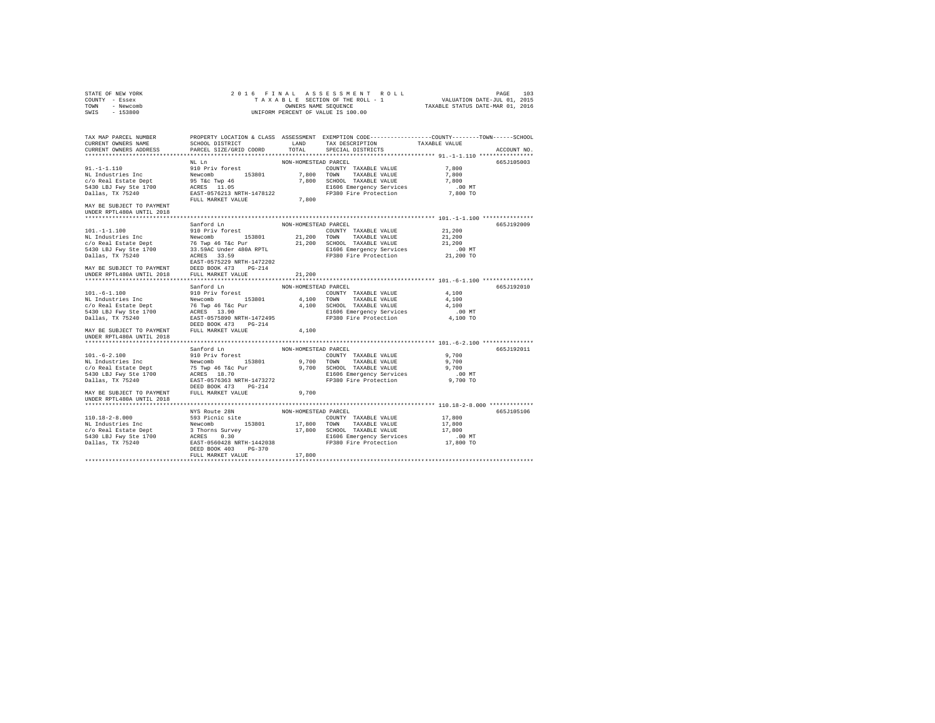| NON-HOMESTEAD PARCEL<br>NL Ln<br>665J105003<br>7,800<br>7,800<br>7,800<br>$.00$ MT<br>7,800 TO<br>FULL MARKET VALUE<br>7,800<br>MAY BE SUBJECT TO PAYMENT<br>UNDER RPTL480A UNTIL 2018<br>Sanford Ln<br>NON-HOMESTEAD PARCEL<br>665J192009<br>21,200<br>COUNTY TAXABLE VALUE<br>$101. - 1 - 1.100$<br>910 Priv forest<br>21,200<br>21,200<br>.00 MT                                                                                                                                                                  |
|----------------------------------------------------------------------------------------------------------------------------------------------------------------------------------------------------------------------------------------------------------------------------------------------------------------------------------------------------------------------------------------------------------------------------------------------------------------------------------------------------------------------|
|                                                                                                                                                                                                                                                                                                                                                                                                                                                                                                                      |
| $\texttt{NL}1-1-1.100\\ \texttt{NL}1-1-1.100\\ \texttt{NL}21, 200 \texttt{TONN} \texttt{TXXABLE VALUE} \\ \texttt{C/O Real East the Dept} \\ \texttt{5430 LB} \texttt{TAW\_HXABLE VALUE} \\ \texttt{5430 LB} \texttt{FW} \texttt{SVE} \\ \texttt{5430 LB} \texttt{FW} \texttt{SVE} \\ \texttt{5431-l} \\ \texttt{5432-l} \\ \texttt{5433-l} \\ \texttt{SFG} \texttt{SVE} \\ \texttt{1636 Emergency Service} \\ \texttt{1636 Em$                                                                                      |
|                                                                                                                                                                                                                                                                                                                                                                                                                                                                                                                      |
|                                                                                                                                                                                                                                                                                                                                                                                                                                                                                                                      |
|                                                                                                                                                                                                                                                                                                                                                                                                                                                                                                                      |
|                                                                                                                                                                                                                                                                                                                                                                                                                                                                                                                      |
|                                                                                                                                                                                                                                                                                                                                                                                                                                                                                                                      |
|                                                                                                                                                                                                                                                                                                                                                                                                                                                                                                                      |
|                                                                                                                                                                                                                                                                                                                                                                                                                                                                                                                      |
|                                                                                                                                                                                                                                                                                                                                                                                                                                                                                                                      |
|                                                                                                                                                                                                                                                                                                                                                                                                                                                                                                                      |
|                                                                                                                                                                                                                                                                                                                                                                                                                                                                                                                      |
|                                                                                                                                                                                                                                                                                                                                                                                                                                                                                                                      |
|                                                                                                                                                                                                                                                                                                                                                                                                                                                                                                                      |
| 21,200 TO                                                                                                                                                                                                                                                                                                                                                                                                                                                                                                            |
|                                                                                                                                                                                                                                                                                                                                                                                                                                                                                                                      |
| DEED BOOK 473 PG-214<br>MAY BE SUBJECT TO PAYMENT                                                                                                                                                                                                                                                                                                                                                                                                                                                                    |
| UNDER RPTL480A UNTIL 2018 FULL MARKET VALUE<br>21,200                                                                                                                                                                                                                                                                                                                                                                                                                                                                |
|                                                                                                                                                                                                                                                                                                                                                                                                                                                                                                                      |
| Sanford Ln NON-HOMESTEAD PARCEL<br>665J192010                                                                                                                                                                                                                                                                                                                                                                                                                                                                        |
| COUNTY TAXABLE VALUE<br>4,100                                                                                                                                                                                                                                                                                                                                                                                                                                                                                        |
| 4,100 TOWN TAXABLE VALUE<br>4,100                                                                                                                                                                                                                                                                                                                                                                                                                                                                                    |
| 4,100 SCHOOL TAXABLE VALUE<br>4,100                                                                                                                                                                                                                                                                                                                                                                                                                                                                                  |
| E1606 Emergency Services<br>$.00$ MT                                                                                                                                                                                                                                                                                                                                                                                                                                                                                 |
| 101.-6-1.100<br>NL Industries Inc Mevicomb 153801<br>NL Industries Inc Newton 153801<br>C/O Real Estate Dept 76 Twp 46 Tkc Pur<br>5430 LBJ Fwy Ste 1700<br>RATE-0575590 NRTH-1472495<br>DEED BOOK 473 PG-214<br>FP380 Fire Protection<br>4,100 TO                                                                                                                                                                                                                                                                    |
| DEED BOOK 473 PG-214<br>MAY BE SUBJECT TO PAYMENT FULL MARKET VALUE<br>4,100                                                                                                                                                                                                                                                                                                                                                                                                                                         |
| UNDER RPTL480A UNTIL 2018                                                                                                                                                                                                                                                                                                                                                                                                                                                                                            |
|                                                                                                                                                                                                                                                                                                                                                                                                                                                                                                                      |
| Sanford Ln<br>NON-HOMESTEAD PARCEL<br>665J192011                                                                                                                                                                                                                                                                                                                                                                                                                                                                     |
| 9,700<br>COUNTY TAXABLE VALUE                                                                                                                                                                                                                                                                                                                                                                                                                                                                                        |
| 101.-6-2.100<br>NL Industries Inc<br>910 Priv forest<br>Newcomb 153801<br>9,700 TOWN TAXABLE VALUE<br>9,700                                                                                                                                                                                                                                                                                                                                                                                                          |
| 9,700                                                                                                                                                                                                                                                                                                                                                                                                                                                                                                                |
|                                                                                                                                                                                                                                                                                                                                                                                                                                                                                                                      |
| $54.30 \begin{array}{l} \texttt{C/O}\ \texttt{Real} \ \texttt{Beta} \ \texttt{Dept} \\ \texttt{S430} \ \texttt{L5J} \ \texttt{S4} \ \texttt{Ne} \ \texttt{J700} \\ \texttt{D430} \ \texttt{E4} \ \texttt{S4} \ \texttt{Ne} \ \texttt{1700} \\ \texttt{D431} \ \texttt{E4} \ \texttt{S4} \ \texttt{Ne} \ \texttt{1701} \\ \texttt{D411} \ \texttt{Re} \ \texttt{S4} \ \texttt{Ne} \ \texttt{Ne} \ \texttt{Ne} \ \texttt$<br>E1606 Emergency Services .00 MT<br>FP380 Fire Protection 9,700 TO<br>DEED BOOK 473 PG-214 |
| FULL MARKET VALUE<br>MAY BE SUBJECT TO PAYMENT<br>9,700                                                                                                                                                                                                                                                                                                                                                                                                                                                              |
| UNDER RPTL480A UNTIL 2018                                                                                                                                                                                                                                                                                                                                                                                                                                                                                            |
|                                                                                                                                                                                                                                                                                                                                                                                                                                                                                                                      |
| NYS Route 28N<br>NON-HOMESTEAD PARCEL<br>665J105106                                                                                                                                                                                                                                                                                                                                                                                                                                                                  |
| 17,800                                                                                                                                                                                                                                                                                                                                                                                                                                                                                                               |
| 17,800                                                                                                                                                                                                                                                                                                                                                                                                                                                                                                               |
| 17,800                                                                                                                                                                                                                                                                                                                                                                                                                                                                                                               |
| 00 MT.<br>17,800 TO                                                                                                                                                                                                                                                                                                                                                                                                                                                                                                  |
| Dallas, TX 75240<br>FP380 Fire Protection<br>EAST-0560428 NRTH-1442038                                                                                                                                                                                                                                                                                                                                                                                                                                               |
| DEED BOOK 403 PG-370<br>17,800<br>FULL MARKET VALUE                                                                                                                                                                                                                                                                                                                                                                                                                                                                  |
|                                                                                                                                                                                                                                                                                                                                                                                                                                                                                                                      |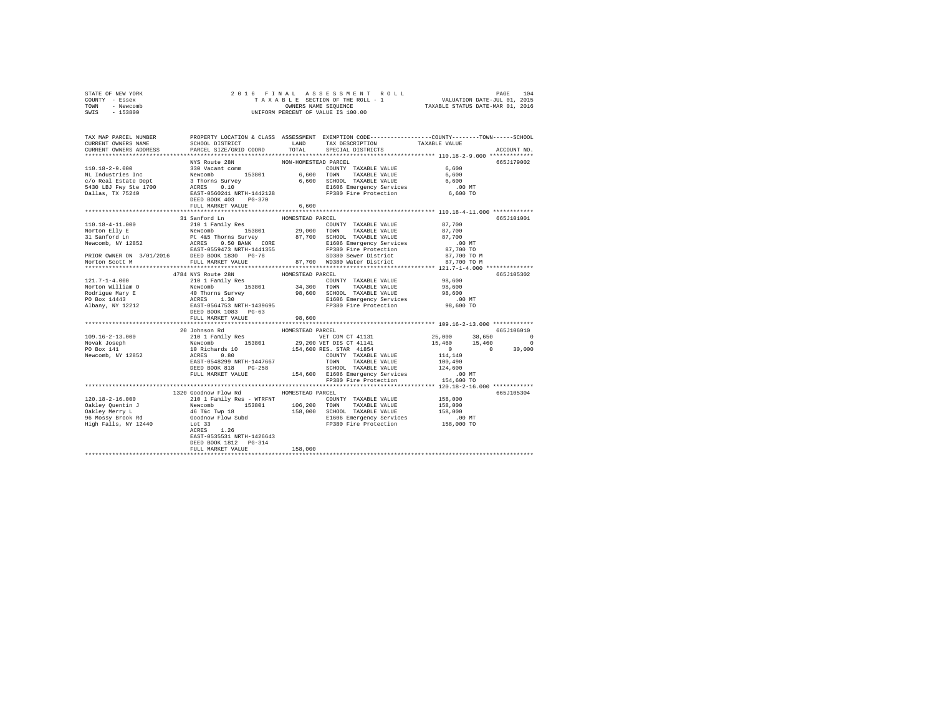|                | STATE OF NEW YORK |  |  |  |  | 2016 FINAL ASSESSMENT ROLL         |                                  | PAGE | 104 |
|----------------|-------------------|--|--|--|--|------------------------------------|----------------------------------|------|-----|
| COUNTY - Essex |                   |  |  |  |  | TAXABLE SECTION OF THE ROLL - 1    | VALUATION DATE-JUL 01, 2015      |      |     |
| TOWN           | - Newcomb         |  |  |  |  | OWNERS NAME SEOUENCE               | TAXABLE STATUS DATE-MAR 01, 2016 |      |     |
| SWIS           | - 153800          |  |  |  |  | UNIFORM PERCENT OF VALUE IS 100.00 |                                  |      |     |

| TAX MAP PARCEL NUMBER<br>CURRENT OWNERS NAME<br>CURRENT OWNERS ADDRESS | SCHOOL DISTRICT LAND<br>PARCEL SIZE/GRID COORD | TOTAL            | PROPERTY LOCATION & CLASS ASSESSMENT EXEMPTION CODE---------------COUNTY-------TOWN-----SCHOOL<br>TAX DESCRIPTION<br>SPECIAL DISTRICTS | TAXABLE VALUE                                                    | ACCOUNT NO. |
|------------------------------------------------------------------------|------------------------------------------------|------------------|----------------------------------------------------------------------------------------------------------------------------------------|------------------------------------------------------------------|-------------|
|                                                                        |                                                |                  |                                                                                                                                        |                                                                  |             |
|                                                                        |                                                |                  |                                                                                                                                        |                                                                  | 665J179002  |
|                                                                        |                                                |                  |                                                                                                                                        |                                                                  |             |
|                                                                        |                                                |                  |                                                                                                                                        |                                                                  |             |
|                                                                        |                                                |                  |                                                                                                                                        |                                                                  |             |
|                                                                        |                                                |                  |                                                                                                                                        |                                                                  |             |
|                                                                        |                                                |                  |                                                                                                                                        |                                                                  |             |
|                                                                        |                                                |                  |                                                                                                                                        |                                                                  |             |
|                                                                        | FULL MARKET VALUE                              | 6,600            |                                                                                                                                        |                                                                  |             |
|                                                                        |                                                |                  |                                                                                                                                        |                                                                  |             |
|                                                                        |                                                |                  |                                                                                                                                        |                                                                  | 665J101001  |
|                                                                        |                                                |                  |                                                                                                                                        |                                                                  |             |
|                                                                        |                                                |                  |                                                                                                                                        |                                                                  |             |
|                                                                        |                                                |                  |                                                                                                                                        |                                                                  |             |
|                                                                        |                                                |                  |                                                                                                                                        |                                                                  |             |
|                                                                        |                                                |                  |                                                                                                                                        |                                                                  |             |
|                                                                        |                                                |                  |                                                                                                                                        |                                                                  |             |
|                                                                        |                                                |                  |                                                                                                                                        |                                                                  |             |
| *******************                                                    |                                                |                  |                                                                                                                                        |                                                                  |             |
|                                                                        | 4784 NYS Route 28N                             | HOMESTEAD PARCEL |                                                                                                                                        |                                                                  | 665J105302  |
|                                                                        |                                                |                  |                                                                                                                                        |                                                                  |             |
|                                                                        |                                                |                  |                                                                                                                                        |                                                                  |             |
|                                                                        |                                                |                  |                                                                                                                                        |                                                                  |             |
|                                                                        |                                                |                  |                                                                                                                                        |                                                                  |             |
|                                                                        |                                                |                  |                                                                                                                                        |                                                                  |             |
|                                                                        |                                                |                  |                                                                                                                                        |                                                                  |             |
|                                                                        |                                                |                  |                                                                                                                                        |                                                                  |             |
|                                                                        |                                                |                  |                                                                                                                                        | *********************************** 109.16-2-13.000 ************ |             |
|                                                                        |                                                |                  |                                                                                                                                        |                                                                  |             |
|                                                                        |                                                |                  |                                                                                                                                        |                                                                  |             |
|                                                                        |                                                |                  |                                                                                                                                        |                                                                  |             |
|                                                                        |                                                |                  |                                                                                                                                        |                                                                  |             |
|                                                                        |                                                |                  |                                                                                                                                        |                                                                  |             |
|                                                                        |                                                |                  |                                                                                                                                        |                                                                  |             |
|                                                                        |                                                |                  |                                                                                                                                        |                                                                  |             |
|                                                                        |                                                |                  |                                                                                                                                        |                                                                  |             |
|                                                                        |                                                |                  |                                                                                                                                        |                                                                  |             |
|                                                                        |                                                |                  |                                                                                                                                        |                                                                  |             |
|                                                                        | 1320 Goodnow Flow Rd MOMESTEAD PARCEL          |                  |                                                                                                                                        |                                                                  | 665J105304  |
|                                                                        |                                                |                  |                                                                                                                                        |                                                                  |             |
|                                                                        |                                                |                  |                                                                                                                                        |                                                                  |             |
|                                                                        |                                                |                  |                                                                                                                                        |                                                                  |             |
|                                                                        |                                                |                  |                                                                                                                                        |                                                                  |             |
|                                                                        |                                                |                  |                                                                                                                                        |                                                                  |             |
|                                                                        |                                                |                  |                                                                                                                                        |                                                                  |             |
|                                                                        | EAST-0535531 NRTH-1426643                      |                  |                                                                                                                                        |                                                                  |             |
|                                                                        | DEED BOOK 1812 PG-314                          |                  |                                                                                                                                        |                                                                  |             |
|                                                                        | FULL MARKET VALUE                              | 158,000          |                                                                                                                                        |                                                                  |             |
|                                                                        |                                                |                  |                                                                                                                                        |                                                                  |             |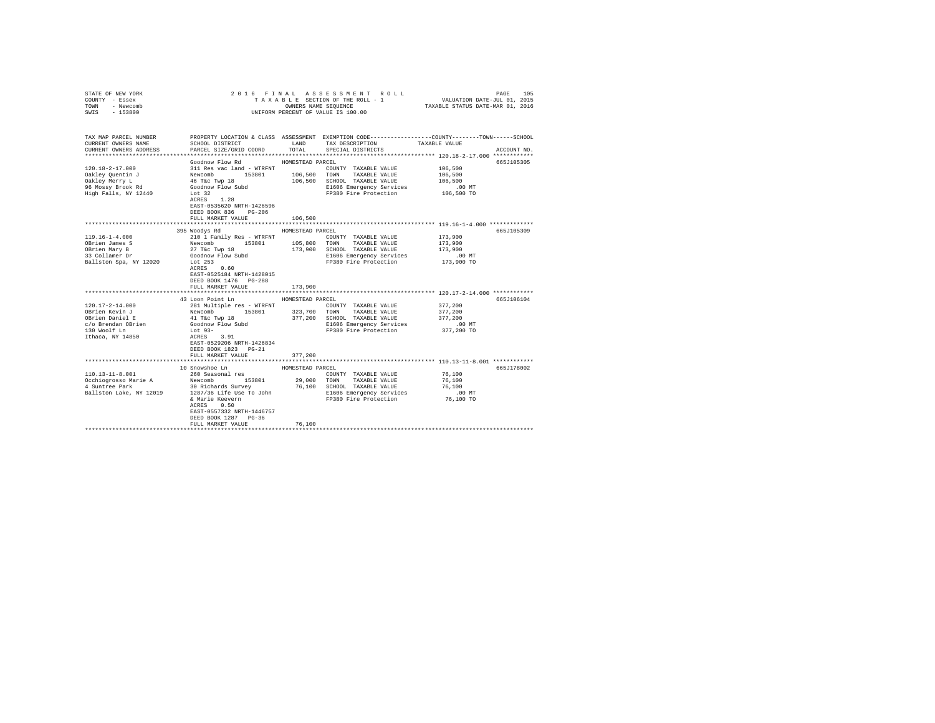| COUNTY - Essex<br>TOWN<br>- Newcomb<br>SWIS<br>$-153800$ |                                                                                                          |                  | UNIFORM PERCENT OF VALUE IS 100.00                                                              |                                                       |             |
|----------------------------------------------------------|----------------------------------------------------------------------------------------------------------|------------------|-------------------------------------------------------------------------------------------------|-------------------------------------------------------|-------------|
|                                                          |                                                                                                          |                  |                                                                                                 |                                                       |             |
| TAX MAP PARCEL NUMBER                                    |                                                                                                          |                  | PROPERTY LOCATION & CLASS ASSESSMENT EXEMPTION CODE---------------COUNTY-------TOWN------SCHOOL |                                                       |             |
| CURRENT OWNERS NAME                                      | SCHOOL DISTRICT                                                                                          |                  | LAND TAX DESCRIPTION                                                                            | TAXABLE VALUE                                         |             |
| CURRENT OWNERS ADDRESS                                   | PARCEL SIZE/GRID COORD                                                                                   | TOTAL            | SPECIAL DISTRICTS                                                                               |                                                       | ACCOUNT NO. |
|                                                          |                                                                                                          |                  |                                                                                                 |                                                       |             |
|                                                          | Goodnow Flow Rd                                                                                          | HOMESTEAD PARCEL |                                                                                                 |                                                       | 665J105305  |
| $120.18 - 2 - 17.000$                                    | 311 Res vac 1<br>and - WTRFNT Newcomb 153801 106,500 $16\  \  \, 160\  \  \, 46\  \  \, 74c\  \  \, 180$ |                  | COUNTY TAXABLE VALUE                                                                            | 106,500                                               |             |
| Oakley Quentin J                                         |                                                                                                          | 106,500          | TOWN<br>TAXABLE VALUE                                                                           | 106,500<br>106,500                                    |             |
| Oakley Merry L<br>96 Mossy Brook Rd                      |                                                                                                          | 106,500          | SCHOOL TAXABLE VALUE                                                                            | $.00$ MT                                              |             |
| High Falls, NY 12440                                     | Goodnow Flow Subd<br>Lot 32                                                                              |                  | E1606 Emergency Services<br>FP380 Fire Protection                                               | 106,500 TO                                            |             |
|                                                          | $ACRES$ 1.28                                                                                             |                  |                                                                                                 |                                                       |             |
|                                                          | EAST-0535620 NRTH-1426596                                                                                |                  |                                                                                                 |                                                       |             |
|                                                          | DEED BOOK 836 PG-206                                                                                     |                  |                                                                                                 |                                                       |             |
|                                                          | FULL MARKET VALUE                                                                                        | 106,500          |                                                                                                 |                                                       |             |
|                                                          |                                                                                                          |                  |                                                                                                 | ************************ 119.16-1-4.000 ************* |             |
|                                                          | 395 Woodys Rd                                                                                            | HOMESTEAD PARCEL |                                                                                                 |                                                       | 665J105309  |
| $119.16 - 1 - 4.000$                                     | 210 1 Family Res - WTRFNT                                                                                |                  | COUNTY TAXABLE VALUE                                                                            | 173,900                                               |             |
| OBrien James S                                           | Newcomb 153801<br>27 T&c Twp 18                                                                          |                  | 105,800 TOWN TAXABLE VALUE                                                                      | 173,900                                               |             |
| OBrien Mary B                                            |                                                                                                          |                  | 173,900 SCHOOL TAXABLE VALUE                                                                    | 173,900                                               |             |
| 33 Collamer Dr                                           | Goodnow Flow Subd                                                                                        |                  | E1606 Emergency Services                                                                        | .00 MT                                                |             |
| Ballston Spa, NY 12020                                   | Lot 253                                                                                                  |                  | FP380 Fire Protection                                                                           | 173,900 TO                                            |             |
|                                                          | ACRES 0.60                                                                                               |                  |                                                                                                 |                                                       |             |
|                                                          | EAST-0525184 NRTH-1428015                                                                                |                  |                                                                                                 |                                                       |             |
|                                                          | DEED BOOK 1476 PG-288                                                                                    | 173,900          |                                                                                                 |                                                       |             |
|                                                          | FULL MARKET VALUE                                                                                        |                  |                                                                                                 |                                                       |             |
|                                                          | 43 Loon Point Ln                                                                                         | HOMESTEAD PARCEL |                                                                                                 |                                                       | 665J106104  |
| 120.17-2-14.000                                          | 281 Multiple res - WTRFNT<br>Newcomb 153801 323,700                                                      |                  | COUNTY TAXABLE VALUE                                                                            | 377,200                                               |             |
| OBrien Kevin J                                           |                                                                                                          |                  | 323,700 TOWN TAXABLE VALUE                                                                      | 377,200                                               |             |
| OBrien Daniel E                                          |                                                                                                          |                  | 377,200 SCHOOL TAXABLE VALUE                                                                    | 377,200                                               |             |
| c/o Brendan OBrien                                       |                                                                                                          |                  | E1606 Emergency Services                                                                        | .00 MT                                                |             |
| 130 Woolf Ln                                             | 41 T&C Twp 18<br>Goodnow Flow Subd<br>Lot 93-                                                            |                  | FP380 Fire Protection                                                                           | 377,200 TO                                            |             |
| Ithaca, NY 14850                                         | ACRES 3.91                                                                                               |                  |                                                                                                 |                                                       |             |
|                                                          | EAST-0529206 NRTH-1426834                                                                                |                  |                                                                                                 |                                                       |             |
|                                                          | DEED BOOK 1823 PG-21                                                                                     |                  |                                                                                                 |                                                       |             |
|                                                          | FULL MARKET VALUE                                                                                        | 377,200          |                                                                                                 |                                                       |             |
|                                                          |                                                                                                          |                  |                                                                                                 |                                                       |             |
|                                                          | 10 Snowshoe Ln                                                                                           | HOMESTEAD PARCEL |                                                                                                 |                                                       | 665J178002  |
| $110.13 - 11 - 8.001$                                    | 260 Seasonal res                                                                                         |                  | COUNTY TAXABLE VALUE                                                                            | 76,100                                                |             |
| Occhiogrosso Marie A<br>4 Suntree Park                   | Newcomb $153801$                                                                                         |                  | 29,000 TOWN TAXABLE VALUE                                                                       | 76,100<br>76,100                                      |             |
| Ballston Lake, NY 12019                                  | 30 Richards Survey<br>1287/36 Life Use To John                                                           |                  | 76,100 SCHOOL TAXABLE VALUE                                                                     | $.00$ MT                                              |             |
|                                                          |                                                                                                          |                  | E1606 Emergency Services<br>FP380 Fire Protection                                               | 76,100 TO                                             |             |
|                                                          | & Marie Keevern<br>ACRES 0.50                                                                            |                  |                                                                                                 |                                                       |             |
|                                                          | EAST-0557332 NRTH-1446757                                                                                |                  |                                                                                                 |                                                       |             |
|                                                          | DEED BOOK 1287 PG-36                                                                                     |                  |                                                                                                 |                                                       |             |
|                                                          | FULL MARKET VALUE                                                                                        | 76,100           |                                                                                                 |                                                       |             |
|                                                          |                                                                                                          |                  |                                                                                                 |                                                       |             |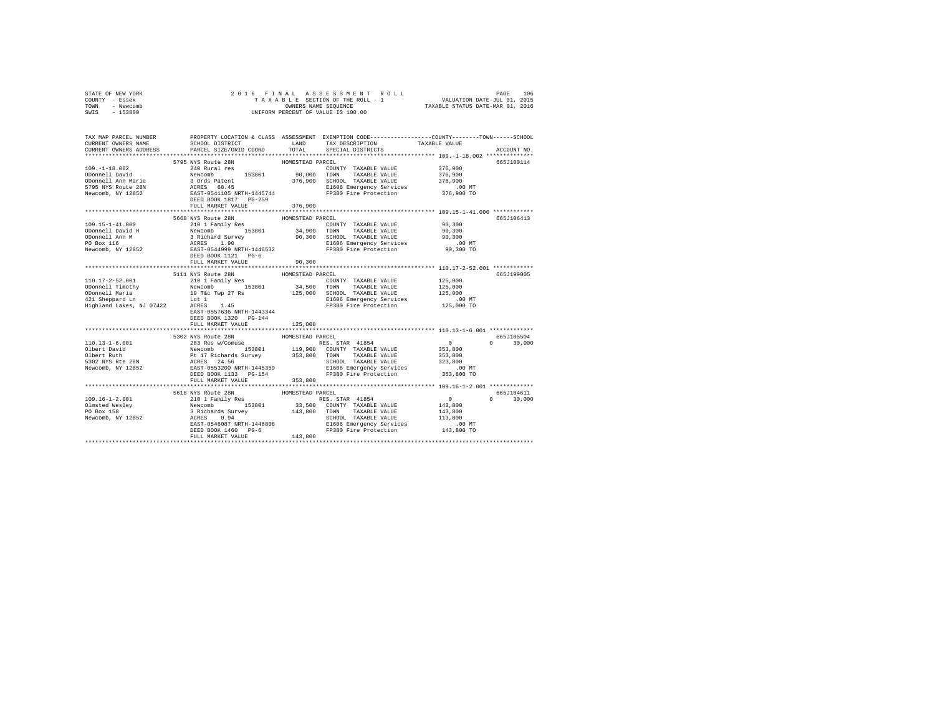| STATE OF NEW YORK<br>COUNTY - Essex | 2016 FINAL                                                                                                                                                                                                                                                                                                                                                                                  |         |                                                                                                     |               |               |  |  |
|-------------------------------------|---------------------------------------------------------------------------------------------------------------------------------------------------------------------------------------------------------------------------------------------------------------------------------------------------------------------------------------------------------------------------------------------|---------|-----------------------------------------------------------------------------------------------------|---------------|---------------|--|--|
| TOWN - Newcomb                      |                                                                                                                                                                                                                                                                                                                                                                                             |         |                                                                                                     |               |               |  |  |
| SWIS - 153800                       |                                                                                                                                                                                                                                                                                                                                                                                             |         |                                                                                                     |               |               |  |  |
|                                     |                                                                                                                                                                                                                                                                                                                                                                                             |         |                                                                                                     |               |               |  |  |
|                                     | TAX MAP PARCEL NUMBER PROPERTY LOCATION & CLASS ASSESSMENT EXEMPTION CODE--------------COUNTY-------TOWN-----SCHOOL                                                                                                                                                                                                                                                                         |         |                                                                                                     |               |               |  |  |
|                                     |                                                                                                                                                                                                                                                                                                                                                                                             |         |                                                                                                     |               |               |  |  |
|                                     |                                                                                                                                                                                                                                                                                                                                                                                             |         |                                                                                                     |               | ACCOUNT NO.   |  |  |
|                                     |                                                                                                                                                                                                                                                                                                                                                                                             |         |                                                                                                     |               |               |  |  |
|                                     |                                                                                                                                                                                                                                                                                                                                                                                             |         |                                                                                                     |               | 665J100114    |  |  |
|                                     |                                                                                                                                                                                                                                                                                                                                                                                             |         |                                                                                                     |               |               |  |  |
|                                     |                                                                                                                                                                                                                                                                                                                                                                                             |         |                                                                                                     |               |               |  |  |
|                                     |                                                                                                                                                                                                                                                                                                                                                                                             |         |                                                                                                     |               |               |  |  |
|                                     |                                                                                                                                                                                                                                                                                                                                                                                             |         |                                                                                                     |               |               |  |  |
|                                     |                                                                                                                                                                                                                                                                                                                                                                                             |         |                                                                                                     |               |               |  |  |
|                                     | FULL MARKET VALUE                                                                                                                                                                                                                                                                                                                                                                           | 376,900 |                                                                                                     |               |               |  |  |
|                                     |                                                                                                                                                                                                                                                                                                                                                                                             |         |                                                                                                     |               |               |  |  |
|                                     |                                                                                                                                                                                                                                                                                                                                                                                             |         |                                                                                                     |               | 665J106413    |  |  |
|                                     |                                                                                                                                                                                                                                                                                                                                                                                             |         |                                                                                                     |               |               |  |  |
|                                     |                                                                                                                                                                                                                                                                                                                                                                                             |         |                                                                                                     |               |               |  |  |
|                                     |                                                                                                                                                                                                                                                                                                                                                                                             |         |                                                                                                     |               |               |  |  |
|                                     |                                                                                                                                                                                                                                                                                                                                                                                             |         |                                                                                                     |               |               |  |  |
|                                     |                                                                                                                                                                                                                                                                                                                                                                                             |         |                                                                                                     |               |               |  |  |
|                                     |                                                                                                                                                                                                                                                                                                                                                                                             |         |                                                                                                     |               |               |  |  |
|                                     | FULL MARKET VALUE                                                                                                                                                                                                                                                                                                                                                                           | 90,300  |                                                                                                     |               |               |  |  |
|                                     |                                                                                                                                                                                                                                                                                                                                                                                             |         |                                                                                                     |               |               |  |  |
|                                     | $[10.17-2-52.001 \nonumber \\ \text{10.17--2-52.001} \nonumber \\ \text{10.17--2-52.001} \nonumber \\ \text{10.17--2-52.001} \nonumber \\ \text{10.17--2-52.001} \nonumber \\ \text{10.17--2-52.002} \nonumber \\ \text{10.17--2-52.003} \nonumber \\ \text{11.18--2.17} \nonumber \\ \text{12.19} \nonumber \\ \text{12.10} \nonumber \\ \text{12.11} \nonumber \\ \text{12.11} \nonumber$ |         |                                                                                                     |               | 665.7199005   |  |  |
|                                     |                                                                                                                                                                                                                                                                                                                                                                                             |         |                                                                                                     |               |               |  |  |
|                                     |                                                                                                                                                                                                                                                                                                                                                                                             |         |                                                                                                     |               |               |  |  |
|                                     |                                                                                                                                                                                                                                                                                                                                                                                             |         |                                                                                                     |               |               |  |  |
|                                     |                                                                                                                                                                                                                                                                                                                                                                                             |         | ounvul Taxable Value 125,000<br>E1606 Emergency Services .00 MT<br>FP380 Fire Protection 125,000 TO |               |               |  |  |
|                                     |                                                                                                                                                                                                                                                                                                                                                                                             |         |                                                                                                     |               |               |  |  |
|                                     | EAST-0557636 NRTH-1443344                                                                                                                                                                                                                                                                                                                                                                   |         |                                                                                                     |               |               |  |  |
|                                     | DEED BOOK 1320 PG-144                                                                                                                                                                                                                                                                                                                                                                       |         |                                                                                                     |               |               |  |  |
|                                     | FULL MARKET VALUE 125,000                                                                                                                                                                                                                                                                                                                                                                   |         |                                                                                                     |               |               |  |  |
|                                     |                                                                                                                                                                                                                                                                                                                                                                                             |         |                                                                                                     |               |               |  |  |
|                                     | 5302 NYS Route 28N HOMESTEAD PARCEL                                                                                                                                                                                                                                                                                                                                                         |         |                                                                                                     |               | 665J105504    |  |  |
|                                     |                                                                                                                                                                                                                                                                                                                                                                                             |         |                                                                                                     | $0 \t 30,000$ |               |  |  |
|                                     |                                                                                                                                                                                                                                                                                                                                                                                             |         |                                                                                                     |               |               |  |  |
|                                     |                                                                                                                                                                                                                                                                                                                                                                                             |         |                                                                                                     |               |               |  |  |
|                                     |                                                                                                                                                                                                                                                                                                                                                                                             |         |                                                                                                     |               |               |  |  |
|                                     |                                                                                                                                                                                                                                                                                                                                                                                             |         |                                                                                                     |               |               |  |  |
|                                     | $\begin{tabular}{l c c c c c} \hline & & 5300 & 5300 & 5300 & 5300 & 5300 & 5300 & 5300 & 5300 & 5300 & 5300 & 5300 & 5300 & 5300 & 5300 & 5300 & 5300 & 5300 & 5300 & 5300 & 5300 & 5300 & 5300 & 5300 & 5300 & 5300 & 5300 & 5300 & 5300 & 5300 & 5300 & 5300 & 5300 & 5300$                                                                                                              |         |                                                                                                     |               |               |  |  |
|                                     | FULL MARKET VALUE 353,800                                                                                                                                                                                                                                                                                                                                                                   |         |                                                                                                     |               |               |  |  |
|                                     |                                                                                                                                                                                                                                                                                                                                                                                             |         |                                                                                                     |               |               |  |  |
|                                     |                                                                                                                                                                                                                                                                                                                                                                                             |         |                                                                                                     |               | 665J104611    |  |  |
|                                     |                                                                                                                                                                                                                                                                                                                                                                                             |         |                                                                                                     |               | $0 \t 30.000$ |  |  |
|                                     |                                                                                                                                                                                                                                                                                                                                                                                             |         |                                                                                                     |               |               |  |  |
|                                     |                                                                                                                                                                                                                                                                                                                                                                                             |         |                                                                                                     |               |               |  |  |
|                                     |                                                                                                                                                                                                                                                                                                                                                                                             |         |                                                                                                     |               |               |  |  |
|                                     |                                                                                                                                                                                                                                                                                                                                                                                             |         |                                                                                                     |               |               |  |  |
|                                     | 1991-16-1-2.0<br>1991-16-1-2.0<br>1991-16-1-2.0<br>1991-16-1-2.0<br>1991-16-1-2.0<br>2010 1 Family Res 100<br>2010 1 Taxable Value 143,800<br>20 Box 158<br>2010 1 Taxable Value 143,800<br>PO Box 158<br>2010 11 2010 143,800<br>2010 11 2010 1201                                                                                                                                         |         |                                                                                                     |               |               |  |  |
|                                     |                                                                                                                                                                                                                                                                                                                                                                                             |         |                                                                                                     |               |               |  |  |
|                                     |                                                                                                                                                                                                                                                                                                                                                                                             |         |                                                                                                     |               |               |  |  |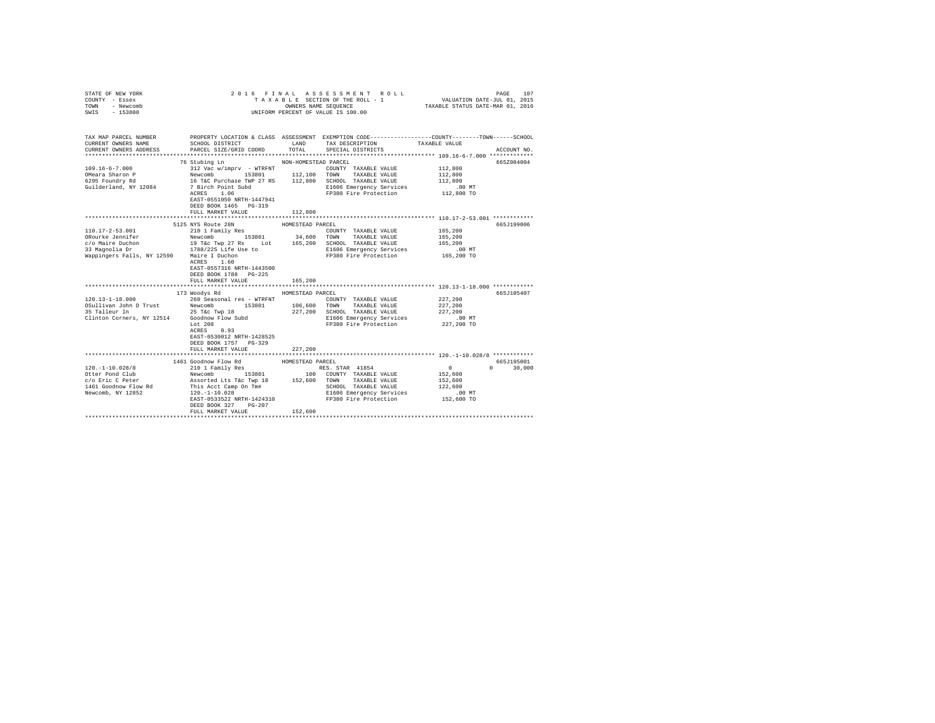| STATE OF NEW YORK<br>COUNTY - Essex<br>- Newcomb<br>TOWN<br>$-153800$<br>SWIS                                                                                                                                                                                      |                                                                                                                                                                                                                                                                                         |                                 | 2016 FINAL ASSESSMENT ROLL<br>TAXABLE SECTION OF THE ROLL - 1<br>OWNERS NAME SEQUENCE TAXABLE STATUS DATE-MAR 01, 2016<br>UNIFORM PERCENT OF VALUE IS 100.00 | VALUATION DATE-JUL 01, 2015                                       | 107<br>PAGE                |
|--------------------------------------------------------------------------------------------------------------------------------------------------------------------------------------------------------------------------------------------------------------------|-----------------------------------------------------------------------------------------------------------------------------------------------------------------------------------------------------------------------------------------------------------------------------------------|---------------------------------|--------------------------------------------------------------------------------------------------------------------------------------------------------------|-------------------------------------------------------------------|----------------------------|
| TAX MAP PARCEL NUMBER PROPERTY LOCATION & CLASS ASSESSMENT EXEMPTION CODE--------------COUNTY-------TOWN------SCHOOL<br>CURRENT OWNERS NAME<br>CURRENT OWNERS ADDRESS                                                                                              | SCHOOL DISTRICT LAND<br>PARCEL SIZE/GRID COORD TOTAL                                                                                                                                                                                                                                    |                                 | TAX DESCRIPTION<br>SPECIAL DISTRICTS                                                                                                                         | TAXABLE VALUE                                                     | ACCOUNT NO.                |
| $109.16 - 6 - 7.000$<br>OMeara Sharon P<br>6295 Foundry Rd<br>Guilderland, NY 12084                                                                                                                                                                                | 76 Stubing Ln<br>312 Vac w/imprv - WTRFNT<br>Newcomb 153801 112,100 TOWN TAXABLE VALUE<br>16 T&C Purchase TWP 27 RS 112,800 SCHOOL TAXABLE VALUE<br>7 Birch Point Subd 16 SCHOOL FIXABLE VALUE<br>ACRES 1.06<br>EAST-0551050 NRTH-1447941<br>DEED BOOK 1465 PG-319<br>FULL MARKET VALUE | NON-HOMESTEAD PARCEL<br>112,800 | COUNTY TAXABLE VALUE<br>E1606 Emergency Services<br>FP380 Fire Protection 112,800 TO                                                                         | 112,800<br>112,800<br>112,800<br>.00 MT                           | 665Z004004                 |
| 110.17-2-53.001                                                                                                                                                                                                                                                    | 5125 NYS Route 28N<br>210 1 Family Res<br>ACRES 1.60<br>EAST-0557316 NRTH-1443500<br>DEED BOOK 1788 PG-225<br>FULL MARKET VALUE                                                                                                                                                         | HOMESTEAD PARCEL<br>165,200     | COUNTY TAXABLE VALUE<br>E1606 Emergency Services 6.00 MT<br>FP380 Fire Protection 165,200 TO                                                                 | 165,200<br>165,200<br>165,200                                     | 665J199006                 |
| $120.13 - 1 - 18.000$<br>106,600 TOWN TAXABLE VALUE<br>35 Talleur In 215 Tec Twp 18 106,600 TOWN TAXABLE VALUE<br>35 Talleur In 25 Tec Twp 18 227,200 SCHOOL TAXABLE VALUE<br>25 Talleur In 25 Tec Twp 18 227,200 E1606 Empergency Services<br>280 Fire Protection | 173 Woodys Rd<br>260 Seasonal res - WTRFNT<br>Lot $208$<br>ACRES 0.93<br>EAST-0530012 NRTH-1428525<br>DEED BOOK 1757 PG-329<br>FULL MARKET VALUE                                                                                                                                        | HOMESTEAD PARCEL<br>227,200     | COUNTY TAXABLE VALUE<br>SCHOOL TAXABLE VALUE<br>E1606 Emergency Services<br>FP380 Fire Protection                                                            | 227,200<br>227,200<br>227,200<br>.00MT<br>227,200 TO              | 665J105407                 |
| $120. - 1 - 10.028/8$<br>1461 Goodnow Flow Rd<br>Newcomb, NY 12852                                                                                                                                                                                                 | 1461 Goodnow Flow Rd<br>210 1 Family Res<br>This Acct Camp On Tm#<br>120.-1-10.028<br>EAST-0533522 NRTH-1424310<br>DEED BOOK 327 PG-207<br>FULL MARKET VALUE                                                                                                                            | HOMESTEAD PARCEL<br>152,600     | RES. STAR 41854<br>SCHOOL TAXABLE VALUE<br>E1606 Emergency Services<br>FP380 Fire Protection                                                                 | $\sim$ 0<br>152,600<br>152,600<br>122,600<br>.00 MT<br>152,600 TO | 665J195001<br>$0 \t30,000$ |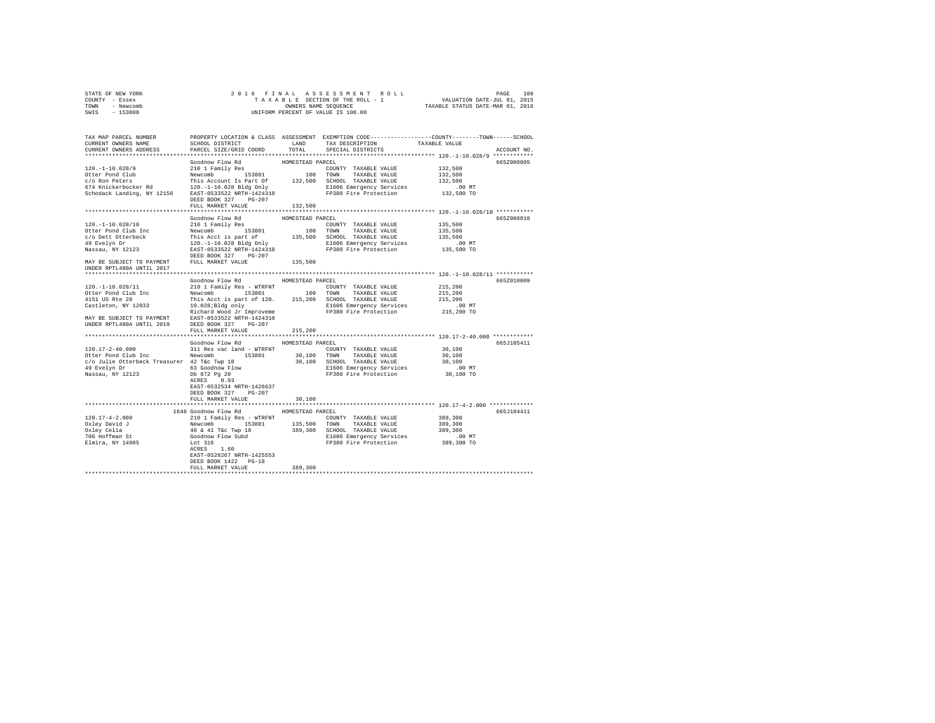| STATE OF NEW YORK<br>COUNTY - Essex                                                                                                                                                                                                   | $\begin{tabular}{ccccc} 2 & 0 & 1 & 6 & $\texttt{F} \text{ I N A L} & \texttt{A S S E S S M E N T} & \texttt{R O L L} & \texttt{PAGE} & \texttt{108} \\ \texttt{TA X A B L E S E C T T O N O T T H E R O L L} & 1 & \texttt{VALUATION DATE-JUL 01, 2015} \\ \texttt{OWNERS NANES SEQUENCE} & \texttt{TXABLE STATUS DATE-MAR 01, 2016} \\ \texttt{UNIFORM PERCENT OF VALUE IS 100.00} & \texttt{TXABLE STATUS DATE-MAR 01, 2016} \\ \end$ |                  |                                                                      |                      |             |
|---------------------------------------------------------------------------------------------------------------------------------------------------------------------------------------------------------------------------------------|------------------------------------------------------------------------------------------------------------------------------------------------------------------------------------------------------------------------------------------------------------------------------------------------------------------------------------------------------------------------------------------------------------------------------------------|------------------|----------------------------------------------------------------------|----------------------|-------------|
| TOWN - Newcomb                                                                                                                                                                                                                        |                                                                                                                                                                                                                                                                                                                                                                                                                                          |                  |                                                                      |                      |             |
| SWIS - 153800                                                                                                                                                                                                                         |                                                                                                                                                                                                                                                                                                                                                                                                                                          |                  |                                                                      |                      |             |
|                                                                                                                                                                                                                                       |                                                                                                                                                                                                                                                                                                                                                                                                                                          |                  |                                                                      |                      |             |
|                                                                                                                                                                                                                                       |                                                                                                                                                                                                                                                                                                                                                                                                                                          |                  |                                                                      |                      |             |
| TAX MAP PARCEL NUMBER<br>CURRENT ONNERS NAME SCHOOL DISTRICT & CLASS ASSESSMENT EXEMPTION CODE---------------COUNTY-------TOWN------SCHOOL<br>CURRENT OWNERS NAME                                                                     | SCHOOL DISTRICT                                                                                                                                                                                                                                                                                                                                                                                                                          |                  | LAND TAX DESCRIPTION                                                 | TAXABLE VALUE        |             |
| CURRENT OWNERS ADDRESS PARCEL SIZE/GRID COORD                                                                                                                                                                                         |                                                                                                                                                                                                                                                                                                                                                                                                                                          |                  | TOTAL SPECIAL DISTRICTS                                              |                      | ACCOUNT NO. |
|                                                                                                                                                                                                                                       |                                                                                                                                                                                                                                                                                                                                                                                                                                          |                  |                                                                      |                      |             |
|                                                                                                                                                                                                                                       | Goodnow Flow Rd                                                                                                                                                                                                                                                                                                                                                                                                                          | HOMESTEAD PARCEL |                                                                      |                      | 665Z000005  |
| 120. -1-10.028/9                                                                                                                                                                                                                      | 210 1 Family Res                                                                                                                                                                                                                                                                                                                                                                                                                         |                  | COUNTY TAXABLE VALUE                                                 | 132,500              |             |
|                                                                                                                                                                                                                                       |                                                                                                                                                                                                                                                                                                                                                                                                                                          |                  |                                                                      | 132,500              |             |
|                                                                                                                                                                                                                                       |                                                                                                                                                                                                                                                                                                                                                                                                                                          |                  |                                                                      | 132,500              |             |
|                                                                                                                                                                                                                                       |                                                                                                                                                                                                                                                                                                                                                                                                                                          |                  |                                                                      | .00 MT               |             |
|                                                                                                                                                                                                                                       |                                                                                                                                                                                                                                                                                                                                                                                                                                          |                  |                                                                      | 132,500 TO           |             |
|                                                                                                                                                                                                                                       |                                                                                                                                                                                                                                                                                                                                                                                                                                          |                  |                                                                      |                      |             |
|                                                                                                                                                                                                                                       | FULL MARKET VALUE 132,500                                                                                                                                                                                                                                                                                                                                                                                                                |                  |                                                                      |                      |             |
|                                                                                                                                                                                                                                       |                                                                                                                                                                                                                                                                                                                                                                                                                                          |                  |                                                                      |                      |             |
|                                                                                                                                                                                                                                       | Goodnow Flow Rd                                                                                                                                                                                                                                                                                                                                                                                                                          | HOMESTEAD PARCEL |                                                                      |                      | 665Z008010  |
|                                                                                                                                                                                                                                       |                                                                                                                                                                                                                                                                                                                                                                                                                                          |                  |                                                                      | 135,500<br>135,500   |             |
|                                                                                                                                                                                                                                       |                                                                                                                                                                                                                                                                                                                                                                                                                                          |                  |                                                                      | 135,500              |             |
|                                                                                                                                                                                                                                       |                                                                                                                                                                                                                                                                                                                                                                                                                                          |                  |                                                                      |                      |             |
| 120.-1-10.028/10<br>210 1 Family Res<br>OUREr Pond Club Inc Mercenhof 2010 1 Family Res<br>C/O Dett Otterbeck<br>This Acct is part of 135801 100 TOWN TAXABLE VALUE<br>49 Evelyn Dr 120.-1-10.028 Bigg only 135,500 SCHOOL TAXABLE VA |                                                                                                                                                                                                                                                                                                                                                                                                                                          |                  | FP380 Fire Protection                                                | .00 MT<br>135,500 TO |             |
|                                                                                                                                                                                                                                       |                                                                                                                                                                                                                                                                                                                                                                                                                                          |                  |                                                                      |                      |             |
|                                                                                                                                                                                                                                       |                                                                                                                                                                                                                                                                                                                                                                                                                                          | 135,500          |                                                                      |                      |             |
| MAY BE SUBJECT TO PAYMENT FULL MARKET VALUE UNDER RPTL480A UNTIL 2017                                                                                                                                                                 |                                                                                                                                                                                                                                                                                                                                                                                                                                          |                  |                                                                      |                      |             |
|                                                                                                                                                                                                                                       |                                                                                                                                                                                                                                                                                                                                                                                                                                          |                  |                                                                      |                      |             |
|                                                                                                                                                                                                                                       | Goodnow Flow Rd MOMESTEAD PARCEL                                                                                                                                                                                                                                                                                                                                                                                                         |                  |                                                                      |                      | 665Z010009  |
|                                                                                                                                                                                                                                       |                                                                                                                                                                                                                                                                                                                                                                                                                                          |                  |                                                                      | 215,200              |             |
|                                                                                                                                                                                                                                       |                                                                                                                                                                                                                                                                                                                                                                                                                                          |                  |                                                                      | 215,200<br>215,200   |             |
|                                                                                                                                                                                                                                       |                                                                                                                                                                                                                                                                                                                                                                                                                                          |                  |                                                                      |                      |             |
|                                                                                                                                                                                                                                       |                                                                                                                                                                                                                                                                                                                                                                                                                                          |                  |                                                                      | .00MT                |             |
|                                                                                                                                                                                                                                       |                                                                                                                                                                                                                                                                                                                                                                                                                                          |                  |                                                                      | 215,200 TO           |             |
|                                                                                                                                                                                                                                       |                                                                                                                                                                                                                                                                                                                                                                                                                                          |                  |                                                                      |                      |             |
|                                                                                                                                                                                                                                       |                                                                                                                                                                                                                                                                                                                                                                                                                                          |                  |                                                                      |                      |             |
|                                                                                                                                                                                                                                       | FULL MARKET VALUE                                                                                                                                                                                                                                                                                                                                                                                                                        | 215,200          |                                                                      |                      |             |
|                                                                                                                                                                                                                                       | Goodnow Flow Rd MOMESTEAD PARCEL                                                                                                                                                                                                                                                                                                                                                                                                         |                  |                                                                      |                      | 665J105411  |
| $120.17 - 2 - 40.000$                                                                                                                                                                                                                 | 311 Res vac land - WTRFNT                 COUNTY TAXABLE VALUE                                                                                                                                                                                                                                                                                                                                                                           |                  |                                                                      | 30,100               |             |
|                                                                                                                                                                                                                                       |                                                                                                                                                                                                                                                                                                                                                                                                                                          |                  |                                                                      | 30,100               |             |
|                                                                                                                                                                                                                                       |                                                                                                                                                                                                                                                                                                                                                                                                                                          |                  |                                                                      | 30,100               |             |
|                                                                                                                                                                                                                                       |                                                                                                                                                                                                                                                                                                                                                                                                                                          |                  |                                                                      |                      |             |
| $\begin{tabular}{lllllllllllll} \textbf{49} & \textbf{Evelyn Dr} & \textbf{63} & \textbf{Goodnow Flow} \\ \textbf{Nassau, NY} & 12123 & \textbf{Db} & 872 & \textbf{Pg 20} \\ & & & \textbf{ACRES} & 0.93 \\ \end{tabular}$           |                                                                                                                                                                                                                                                                                                                                                                                                                                          |                  |                                                                      | 00 MT.<br>30,100 TO  |             |
|                                                                                                                                                                                                                                       |                                                                                                                                                                                                                                                                                                                                                                                                                                          |                  |                                                                      |                      |             |
|                                                                                                                                                                                                                                       | EAST-0532534 NRTH-1426637                                                                                                                                                                                                                                                                                                                                                                                                                |                  |                                                                      |                      |             |
|                                                                                                                                                                                                                                       | DEED BOOK 327 PG-207                                                                                                                                                                                                                                                                                                                                                                                                                     |                  |                                                                      |                      |             |
|                                                                                                                                                                                                                                       | FULL MARKET VALUE                                                                                                                                                                                                                                                                                                                                                                                                                        | 30,100           |                                                                      |                      |             |
|                                                                                                                                                                                                                                       |                                                                                                                                                                                                                                                                                                                                                                                                                                          |                  |                                                                      |                      |             |
|                                                                                                                                                                                                                                       | 1648 Goodnow Flow Rd                                                                                                                                                                                                                                                                                                                                                                                                                     | HOMESTEAD PARCEL |                                                                      |                      | 665J104411  |
| $120.17 - 4 - 2.000$                                                                                                                                                                                                                  |                                                                                                                                                                                                                                                                                                                                                                                                                                          |                  |                                                                      | 389,300              |             |
| Oxley David J<br>Oxley Celia<br>706 Hoffman St<br>Elmira, NY 14905                                                                                                                                                                    | 210 1 Family Res - WTRFNT<br>Newcomb 153801 135,500 TOWNY TAXABLE VALUE<br>Newcomb 153801 135,500 TOWN TAXABLE VALUE<br>40 & 41 T&c Twp 18 389,300 SCHOOL TAXABLE VALUE<br>Goodnow Flow Subd E1606 Emergency Services<br>Let 316 Terre a                                                                                                                                                                                                 |                  |                                                                      | 389,300              |             |
|                                                                                                                                                                                                                                       |                                                                                                                                                                                                                                                                                                                                                                                                                                          |                  |                                                                      | 389,300              |             |
|                                                                                                                                                                                                                                       |                                                                                                                                                                                                                                                                                                                                                                                                                                          |                  | E1606 Emergency Services 6 00 MT<br>FP380 Fire Protection 389,300 TO |                      |             |
|                                                                                                                                                                                                                                       |                                                                                                                                                                                                                                                                                                                                                                                                                                          |                  |                                                                      |                      |             |
|                                                                                                                                                                                                                                       | EAST-0528267 NRTH-1425553                                                                                                                                                                                                                                                                                                                                                                                                                |                  |                                                                      |                      |             |
|                                                                                                                                                                                                                                       | DEED BOOK 1422 PG-18                                                                                                                                                                                                                                                                                                                                                                                                                     |                  |                                                                      |                      |             |
|                                                                                                                                                                                                                                       | FULL MARKET VALUE                                                                                                                                                                                                                                                                                                                                                                                                                        | 389,300          |                                                                      |                      |             |
|                                                                                                                                                                                                                                       |                                                                                                                                                                                                                                                                                                                                                                                                                                          |                  |                                                                      |                      |             |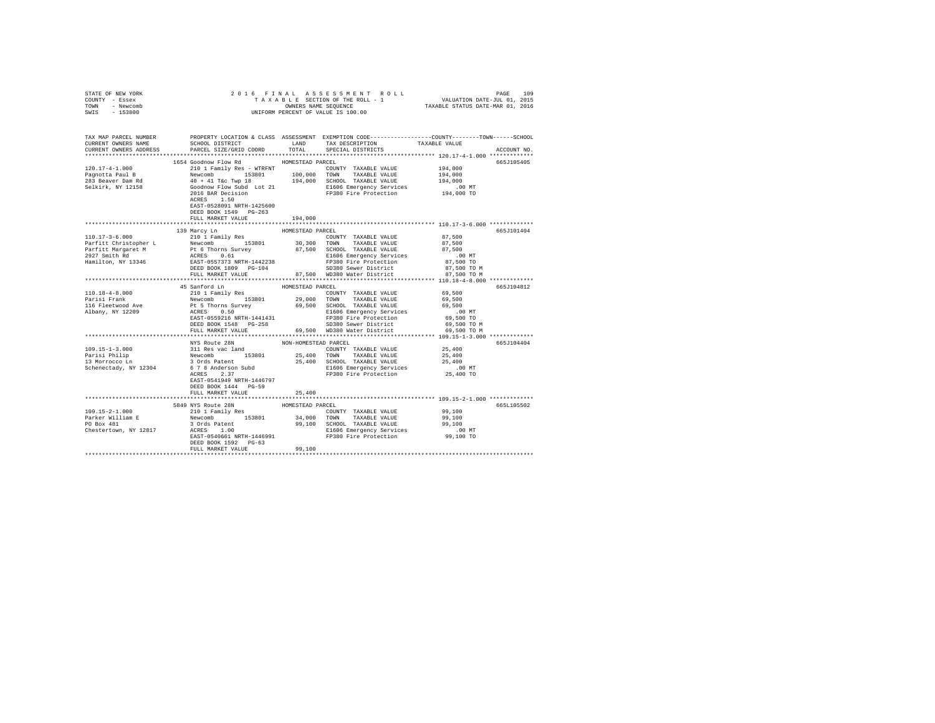| STATE OF NEW YORK<br>COUNTY - Essex<br>TOWN - Newcomb                                                                                                                                                                                                                  |                                                    |                  |                                                                                                                                                                                                                                       |             |
|------------------------------------------------------------------------------------------------------------------------------------------------------------------------------------------------------------------------------------------------------------------------|----------------------------------------------------|------------------|---------------------------------------------------------------------------------------------------------------------------------------------------------------------------------------------------------------------------------------|-------------|
| SWIS - 153800                                                                                                                                                                                                                                                          |                                                    |                  |                                                                                                                                                                                                                                       |             |
| TAX MAP PARCEL NUMBER PROPERTY LOCATION & CLASS ASSESSMENT EXEMPTION CODE--------------COUNTY-------TOWN------SCHOOL<br>CURRENT OWNERS NAME SCHOOL DISTRICT LAND TAX DESCRIPTION TAXARLE VALUE                                                                         |                                                    |                  | SCHOOL DISTRICT                      LAND        TAX DESCRIPTION                 TAXABLE VALUE                                                                                                                                        |             |
| CURRENT OWNERS ADDRESS                                                                                                                                                                                                                                                 | PARCEL SIZE/GRID COORD TOTAL                       |                  | SPECIAL DISTRICTS                                                                                                                                                                                                                     | ACCOUNT NO. |
|                                                                                                                                                                                                                                                                        |                                                    |                  |                                                                                                                                                                                                                                       |             |
|                                                                                                                                                                                                                                                                        | 1654 Goodnow Flow Rd MOMESTEAD PARCEL              |                  |                                                                                                                                                                                                                                       | 665J105405  |
|                                                                                                                                                                                                                                                                        |                                                    |                  |                                                                                                                                                                                                                                       |             |
|                                                                                                                                                                                                                                                                        |                                                    |                  |                                                                                                                                                                                                                                       |             |
|                                                                                                                                                                                                                                                                        |                                                    |                  |                                                                                                                                                                                                                                       |             |
|                                                                                                                                                                                                                                                                        |                                                    |                  |                                                                                                                                                                                                                                       |             |
|                                                                                                                                                                                                                                                                        |                                                    |                  |                                                                                                                                                                                                                                       |             |
|                                                                                                                                                                                                                                                                        | EAST-0528091 NRTH-1425600<br>DEED BOOK 1549 PG-263 |                  |                                                                                                                                                                                                                                       |             |
|                                                                                                                                                                                                                                                                        | FULL MARKET VALUE                                  | 194,000          |                                                                                                                                                                                                                                       |             |
|                                                                                                                                                                                                                                                                        |                                                    |                  |                                                                                                                                                                                                                                       |             |
|                                                                                                                                                                                                                                                                        | 139 Marcy Ln                                       | HOMESTEAD PARCEL |                                                                                                                                                                                                                                       | 665J101404  |
|                                                                                                                                                                                                                                                                        |                                                    |                  |                                                                                                                                                                                                                                       |             |
|                                                                                                                                                                                                                                                                        |                                                    |                  |                                                                                                                                                                                                                                       |             |
|                                                                                                                                                                                                                                                                        |                                                    |                  |                                                                                                                                                                                                                                       |             |
|                                                                                                                                                                                                                                                                        |                                                    |                  |                                                                                                                                                                                                                                       |             |
|                                                                                                                                                                                                                                                                        |                                                    |                  |                                                                                                                                                                                                                                       |             |
| $\begin{tabular}{cccccc} 110.17-3-6.000 & 159.7041 & 110.17-3-6.000 & 159.801 & 10.17 & 10.17 & 10.17 & 10.17 & 10.17 & 10.17 & 10.17 & 10.17 & 10.17 & 10.17 & 10.17 & 10.17 & 10.17 & 10.17 & 10.17 & 10.17 & 10.17 & 10.17 & 10.17 & 10.17 & 10.17 & 10.17 & 10.17$ |                                                    |                  |                                                                                                                                                                                                                                       |             |
|                                                                                                                                                                                                                                                                        |                                                    |                  |                                                                                                                                                                                                                                       |             |
| 110.18-4-8.000<br>Parisi Frank<br>116 Fleetwood Ave<br>Albany, NY 12209                                                                                                                                                                                                | 45 Sanford Ln                                      | HOMESTEAD PARCEL |                                                                                                                                                                                                                                       | 665J104812  |
|                                                                                                                                                                                                                                                                        |                                                    |                  |                                                                                                                                                                                                                                       |             |
|                                                                                                                                                                                                                                                                        |                                                    |                  |                                                                                                                                                                                                                                       |             |
|                                                                                                                                                                                                                                                                        |                                                    |                  | 49 SAINTONI HOMESTEAD PACEL AND TRANSLE VALUE 69,500<br>Newcomb 153801 29,000 TOWN TAXABLE VALUE 69,500<br>PL 5 Thorns Survey 14414311 69,500 SCHOOL TAXABLE VALUE 69,500<br>ACRES 0.50 SCHOOL TAXABLE VALUE 69,500 NOR<br>ACRES 0.50 |             |
|                                                                                                                                                                                                                                                                        |                                                    |                  |                                                                                                                                                                                                                                       |             |
|                                                                                                                                                                                                                                                                        |                                                    |                  |                                                                                                                                                                                                                                       |             |
|                                                                                                                                                                                                                                                                        |                                                    |                  |                                                                                                                                                                                                                                       |             |
|                                                                                                                                                                                                                                                                        |                                                    |                  |                                                                                                                                                                                                                                       |             |
|                                                                                                                                                                                                                                                                        |                                                    |                  |                                                                                                                                                                                                                                       | 665J104404  |
|                                                                                                                                                                                                                                                                        |                                                    |                  |                                                                                                                                                                                                                                       |             |
|                                                                                                                                                                                                                                                                        |                                                    |                  |                                                                                                                                                                                                                                       |             |
|                                                                                                                                                                                                                                                                        |                                                    |                  |                                                                                                                                                                                                                                       |             |
| MYS ROUE 2BN NON-HOMESTEAD PARCEL<br>109.15–1–3.000<br>NS ROUE 2BN NON-HOMESTEAD PARCEL<br>25,400<br>25,400<br>25,400<br>26,400<br>26,400<br>26,400<br>26,400<br>26,400<br>26,400<br>26,400<br>26,400<br>26,400<br>26,400<br>26,400<br>26,400<br>26,400<br>26,400<br>2 |                                                    |                  |                                                                                                                                                                                                                                       |             |
|                                                                                                                                                                                                                                                                        |                                                    |                  |                                                                                                                                                                                                                                       |             |
|                                                                                                                                                                                                                                                                        | DEED BOOK 1444 PG-59<br>FULL MARKET VALUE          | 25,400           |                                                                                                                                                                                                                                       |             |
|                                                                                                                                                                                                                                                                        |                                                    |                  |                                                                                                                                                                                                                                       |             |
|                                                                                                                                                                                                                                                                        | 5849 NYS Route 28N                                 |                  |                                                                                                                                                                                                                                       | 665L105502  |
|                                                                                                                                                                                                                                                                        |                                                    |                  |                                                                                                                                                                                                                                       |             |
|                                                                                                                                                                                                                                                                        |                                                    |                  |                                                                                                                                                                                                                                       |             |
|                                                                                                                                                                                                                                                                        |                                                    |                  |                                                                                                                                                                                                                                       |             |
|                                                                                                                                                                                                                                                                        |                                                    |                  |                                                                                                                                                                                                                                       |             |
|                                                                                                                                                                                                                                                                        | DEED BOOK 1592 PG-63                               |                  |                                                                                                                                                                                                                                       |             |
|                                                                                                                                                                                                                                                                        | FULL MARKET VALUE 99,100                           |                  |                                                                                                                                                                                                                                       |             |
|                                                                                                                                                                                                                                                                        |                                                    |                  |                                                                                                                                                                                                                                       |             |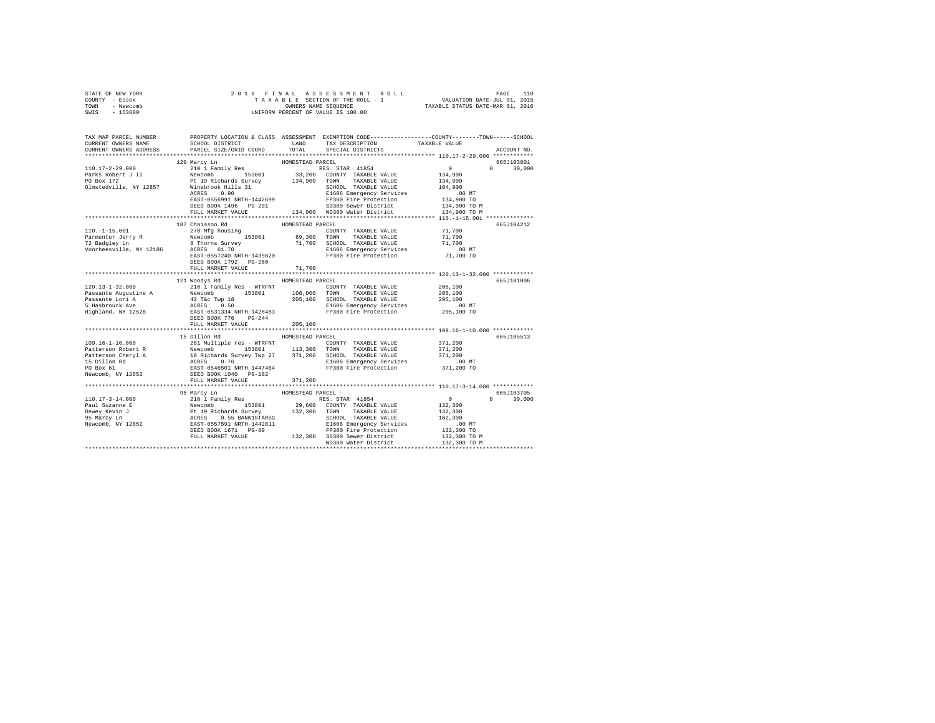| STATE OF NEW YORK<br>COUNTY - Essex<br>TOWN<br>- Newcomb<br>SWIS<br>$-153800$                                                                                                                                                                        | 2016 FINAL                                                                                                                                                                                                                                                                                                                                                                                                                                    |                            | 6 FINAL ASSESSMENT ROLL (2015 PAGE 110 PAGE 110 PAGE 110 PAGE 110 PAGE 110 PAGE 110 PAGE 110 PAGE 110 PAGE 110<br>TAXABLE SECTION OF THE ROLL - 1 PAXABLE STATUS DATE-JUL 01, 2016<br>OWNERS NAME SEQUENCE<br>UNIFORM PERCENT OF VALUE IS 100.00 |                                            |               |
|------------------------------------------------------------------------------------------------------------------------------------------------------------------------------------------------------------------------------------------------------|-----------------------------------------------------------------------------------------------------------------------------------------------------------------------------------------------------------------------------------------------------------------------------------------------------------------------------------------------------------------------------------------------------------------------------------------------|----------------------------|--------------------------------------------------------------------------------------------------------------------------------------------------------------------------------------------------------------------------------------------------|--------------------------------------------|---------------|
| TAX MAP PARCEL NUMBER PROPERTY LOCATION & CLASS ASSESSMENT EXEMPTION CODE---------------COUNTY-------TOWN------SCHOOL<br>CURRENT OWNERS NAME<br>CURRENT OWNERS ADDRESS                                                                               | SCHOOL DISTRICT LAND<br>PARCEL SIZE/GRID COORD                                                                                                                                                                                                                                                                                                                                                                                                | TOTAL                      | TAX DESCRIPTION<br>SPECIAL DISTRICTS                                                                                                                                                                                                             | TAXABLE VALUE                              | ACCOUNT NO.   |
|                                                                                                                                                                                                                                                      |                                                                                                                                                                                                                                                                                                                                                                                                                                               |                            |                                                                                                                                                                                                                                                  |                                            |               |
|                                                                                                                                                                                                                                                      | 120 Marcy Ln                                                                                                                                                                                                                                                                                                                                                                                                                                  | HOMESTEAD PARCEL           |                                                                                                                                                                                                                                                  |                                            | 665J103801    |
| $110.17 - 2 - 29.000$                                                                                                                                                                                                                                | 210 1 Family Res                                                                                                                                                                                                                                                                                                                                                                                                                              |                            | RES. STAR 41854                                                                                                                                                                                                                                  | $\sim$ 0<br>134,900                        | $0 \t 30,000$ |
| Parks Robert J II<br>PO Box 172<br>Olmstedville, NY 12857                                                                                                                                                                                            |                                                                                                                                                                                                                                                                                                                                                                                                                                               |                            |                                                                                                                                                                                                                                                  | 134,900<br>104,900<br>$.00$ MT             |               |
|                                                                                                                                                                                                                                                      | $\begin{tabular}{l c c c} \multicolumn{1}{c}{\textbf{210}} & \multicolumn{1}{c}{\textbf{510}} & \multicolumn{1}{c}{\textbf{520}} & \multicolumn{1}{c}{\textbf{530}} & \multicolumn{1}{c}{\textbf{530}} & \multicolumn{1}{c}{\textbf{530}} & \multicolumn{1}{c}{\textbf{530}} & \multicolumn{1}{c}{\textbf{530}} & \multicolumn{1}{c}{\textbf{530}} & \multicolumn{1}{c}{\textbf{530}} & \multicolumn{1}{c}{\textbf{530}} & \multicolumn{1}{c$ |                            |                                                                                                                                                                                                                                                  | 134,900 TO<br>134,900 TO M<br>134,900 TO M |               |
|                                                                                                                                                                                                                                                      |                                                                                                                                                                                                                                                                                                                                                                                                                                               |                            |                                                                                                                                                                                                                                                  |                                            |               |
| $110. - 1 - 15.001$                                                                                                                                                                                                                                  | 187 Chaisson Rd<br>270 Mfg housing                                                                                                                                                                                                                                                                                                                                                                                                            | HOMESTEAD PARCEL           | COUNTY TAXABLE VALUE                                                                                                                                                                                                                             | 71,700                                     | 665J104212    |
|                                                                                                                                                                                                                                                      |                                                                                                                                                                                                                                                                                                                                                                                                                                               |                            |                                                                                                                                                                                                                                                  | 71,700<br>71,700                           |               |
| Parmenter Jerry R<br>Parmenter Jerry R<br>Parmenter Jerry R<br>Parmenter Jerry R<br>Parmenter Jerry R<br>Parmenter Jerry R<br>Parmenter Jerry R<br>Parmenter Jerry R<br>Parmenter Jerry R<br>Parmenter Jerry R<br>Parmenter Jerry R<br>Parmenter Jer | DEED BOOK 1792    PG-260                                                                                                                                                                                                                                                                                                                                                                                                                      |                            |                                                                                                                                                                                                                                                  | $.00$ MT<br>71,700 TO                      |               |
|                                                                                                                                                                                                                                                      | FULL MARKET VALUE                                                                                                                                                                                                                                                                                                                                                                                                                             | 71,700                     |                                                                                                                                                                                                                                                  |                                            |               |
|                                                                                                                                                                                                                                                      |                                                                                                                                                                                                                                                                                                                                                                                                                                               |                            |                                                                                                                                                                                                                                                  |                                            |               |
| $120.13 - 1 - 32.000$                                                                                                                                                                                                                                | 121 Woodys Rd                                                                                                                                                                                                                                                                                                                                                                                                                                 | HOMESTEAD PARCEL           |                                                                                                                                                                                                                                                  | 205,100                                    | 665J101006    |
|                                                                                                                                                                                                                                                      | 210 1 Family Res - WTRFNT                                                                                                                                                                                                                                                                                                                                                                                                                     |                            | COUNTY TAXABLE VALUE                                                                                                                                                                                                                             | 205,100                                    |               |
|                                                                                                                                                                                                                                                      |                                                                                                                                                                                                                                                                                                                                                                                                                                               |                            |                                                                                                                                                                                                                                                  | 205,100                                    |               |
|                                                                                                                                                                                                                                                      |                                                                                                                                                                                                                                                                                                                                                                                                                                               |                            |                                                                                                                                                                                                                                                  | .00 MT                                     |               |
|                                                                                                                                                                                                                                                      | DEED BOOK 776 PG-244                                                                                                                                                                                                                                                                                                                                                                                                                          |                            |                                                                                                                                                                                                                                                  | 205,100 TO                                 |               |
|                                                                                                                                                                                                                                                      | FULL MARKET VALUE                                                                                                                                                                                                                                                                                                                                                                                                                             | 205,100                    |                                                                                                                                                                                                                                                  |                                            |               |
|                                                                                                                                                                                                                                                      | 15 Dillon Rd                                                                                                                                                                                                                                                                                                                                                                                                                                  | HOMESTEAD PARCEL           |                                                                                                                                                                                                                                                  |                                            | 665J105513    |
|                                                                                                                                                                                                                                                      |                                                                                                                                                                                                                                                                                                                                                                                                                                               |                            |                                                                                                                                                                                                                                                  | 371,200                                    |               |
|                                                                                                                                                                                                                                                      |                                                                                                                                                                                                                                                                                                                                                                                                                                               |                            |                                                                                                                                                                                                                                                  | 371,200                                    |               |
|                                                                                                                                                                                                                                                      |                                                                                                                                                                                                                                                                                                                                                                                                                                               |                            |                                                                                                                                                                                                                                                  | 371,200                                    |               |
|                                                                                                                                                                                                                                                      |                                                                                                                                                                                                                                                                                                                                                                                                                                               |                            |                                                                                                                                                                                                                                                  | $.00$ MT                                   |               |
| $[109.16-1-10.000$ $[109.16-1-10.000$ $[109.16-1-10.000$ $[109.16-1-10.000]$ $[109.16-1-10.000]$ $[109.16-10.000]$ $[109.16-10.000]$ $[109.16-10.000]$ $[109.16-10.000]$ $[109.16-10.000]$ $[109.16-10.000]$ $[109.16-10.000]$                       |                                                                                                                                                                                                                                                                                                                                                                                                                                               |                            |                                                                                                                                                                                                                                                  | 371,200 TO                                 |               |
|                                                                                                                                                                                                                                                      | FULL MARKET VALUE                                                                                                                                                                                                                                                                                                                                                                                                                             | 371,200<br>*************** |                                                                                                                                                                                                                                                  |                                            |               |
|                                                                                                                                                                                                                                                      |                                                                                                                                                                                                                                                                                                                                                                                                                                               | HOMESTEAD PARCEL           |                                                                                                                                                                                                                                                  |                                            | 665.7103705   |
|                                                                                                                                                                                                                                                      | 95 Marcy Ln                                                                                                                                                                                                                                                                                                                                                                                                                                   |                            |                                                                                                                                                                                                                                                  | $\sim$ 0                                   | $0 \t 30.000$ |
|                                                                                                                                                                                                                                                      |                                                                                                                                                                                                                                                                                                                                                                                                                                               |                            |                                                                                                                                                                                                                                                  | 132,300                                    |               |
|                                                                                                                                                                                                                                                      |                                                                                                                                                                                                                                                                                                                                                                                                                                               |                            |                                                                                                                                                                                                                                                  | 132,300                                    |               |
|                                                                                                                                                                                                                                                      |                                                                                                                                                                                                                                                                                                                                                                                                                                               |                            |                                                                                                                                                                                                                                                  | 102,300                                    |               |
|                                                                                                                                                                                                                                                      |                                                                                                                                                                                                                                                                                                                                                                                                                                               |                            |                                                                                                                                                                                                                                                  | .00 MT                                     |               |
|                                                                                                                                                                                                                                                      |                                                                                                                                                                                                                                                                                                                                                                                                                                               |                            |                                                                                                                                                                                                                                                  | 132,300 TO                                 |               |
| $[10.17-3-14.000$ 95 Marcy Lin 119 Ress. STAR 41854<br>Paul Suzanne E Ress. STAR 41854<br>Paul Suzanne E Revoomb 153801 29,600 COUNTY TAXABLE VALUE<br>Dewey Revin J RESS 0.55 BANK1STARSG<br>95 Marcy Lin 2021<br>95 Marcy Lin 2021<br>9            |                                                                                                                                                                                                                                                                                                                                                                                                                                               |                            |                                                                                                                                                                                                                                                  | 132,300 TO M<br>132,300 TO M               |               |
|                                                                                                                                                                                                                                                      |                                                                                                                                                                                                                                                                                                                                                                                                                                               |                            | WD380 Water District                                                                                                                                                                                                                             |                                            |               |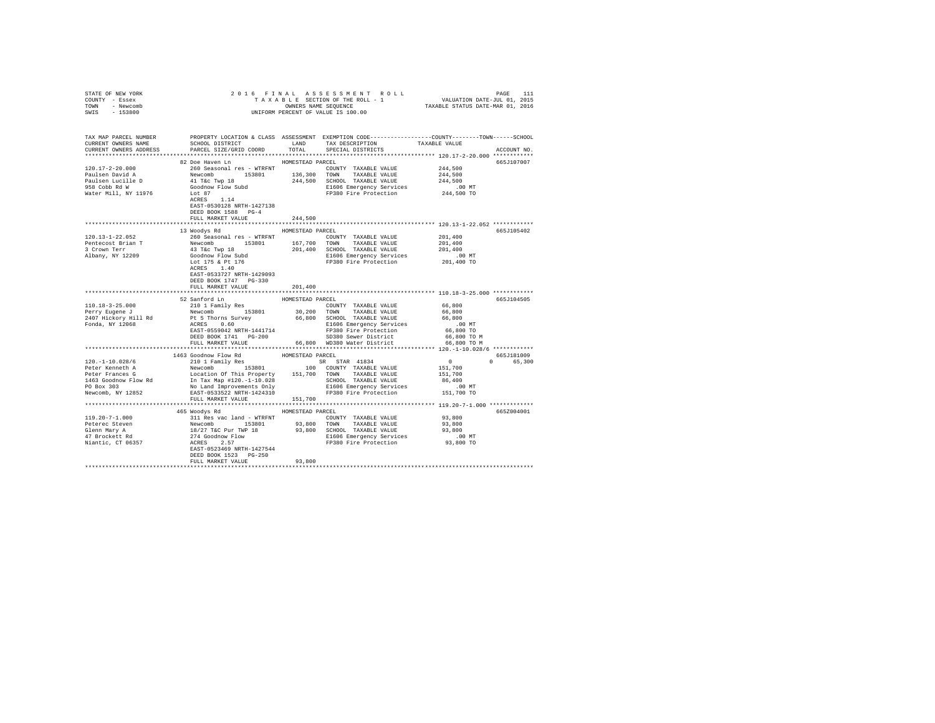| STATE OF NEW YORK                                                                                                                                                                                                                                                                                                                                                                                                  |                                                                                                                                                                                                                                        |                    |                                                                                                                                                                                                                                                                                                                                                                                                                                                                           |                                              |             |
|--------------------------------------------------------------------------------------------------------------------------------------------------------------------------------------------------------------------------------------------------------------------------------------------------------------------------------------------------------------------------------------------------------------------|----------------------------------------------------------------------------------------------------------------------------------------------------------------------------------------------------------------------------------------|--------------------|---------------------------------------------------------------------------------------------------------------------------------------------------------------------------------------------------------------------------------------------------------------------------------------------------------------------------------------------------------------------------------------------------------------------------------------------------------------------------|----------------------------------------------|-------------|
| COUNTY - Essex                                                                                                                                                                                                                                                                                                                                                                                                     | 2016 FINAL ASSESSMENT ROLL PAGE 111<br>TAXABLE SECTION OF THE ROLL - 1 VALUATION DATE-JUL 01, 2015<br>OWNERS NAME SEQUENCE TAXABLE STATUS DATE-MAR 01, 2016<br>UNIFORM PERCENT OF VALUE IS 100.00                                      |                    |                                                                                                                                                                                                                                                                                                                                                                                                                                                                           |                                              |             |
| TOWN - Newcomb                                                                                                                                                                                                                                                                                                                                                                                                     |                                                                                                                                                                                                                                        |                    |                                                                                                                                                                                                                                                                                                                                                                                                                                                                           |                                              |             |
| SWIS - 153800                                                                                                                                                                                                                                                                                                                                                                                                      |                                                                                                                                                                                                                                        |                    |                                                                                                                                                                                                                                                                                                                                                                                                                                                                           |                                              |             |
|                                                                                                                                                                                                                                                                                                                                                                                                                    |                                                                                                                                                                                                                                        |                    |                                                                                                                                                                                                                                                                                                                                                                                                                                                                           |                                              |             |
|                                                                                                                                                                                                                                                                                                                                                                                                                    |                                                                                                                                                                                                                                        |                    |                                                                                                                                                                                                                                                                                                                                                                                                                                                                           |                                              |             |
|                                                                                                                                                                                                                                                                                                                                                                                                                    |                                                                                                                                                                                                                                        |                    |                                                                                                                                                                                                                                                                                                                                                                                                                                                                           |                                              |             |
| TAX MAP PARCEL NUMBER PROPERTY LOCATION & CLASS ASSESSMENT EXEMPTION CODE--------------COUNTY-------TOWN------SCHOOL<br>CURRENT OWNERS NAME SCHOOL DISTRICT LAND TAX DESCRIPTION TAXABLE VALUE                                                                                                                                                                                                                     |                                                                                                                                                                                                                                        |                    |                                                                                                                                                                                                                                                                                                                                                                                                                                                                           |                                              |             |
|                                                                                                                                                                                                                                                                                                                                                                                                                    |                                                                                                                                                                                                                                        |                    |                                                                                                                                                                                                                                                                                                                                                                                                                                                                           |                                              |             |
| CURRENT OWNERS ADDRESS                                                                                                                                                                                                                                                                                                                                                                                             | PARCEL SIZE/GRID COORD TOTAL SPECIAL DISTRICTS                                                                                                                                                                                         |                    |                                                                                                                                                                                                                                                                                                                                                                                                                                                                           |                                              | ACCOUNT NO. |
|                                                                                                                                                                                                                                                                                                                                                                                                                    |                                                                                                                                                                                                                                        |                    |                                                                                                                                                                                                                                                                                                                                                                                                                                                                           |                                              |             |
|                                                                                                                                                                                                                                                                                                                                                                                                                    | 82 Doe Haven Ln                                                                                                                                                                                                                        | HOMESTEAD PARCEL   |                                                                                                                                                                                                                                                                                                                                                                                                                                                                           |                                              | 665J107007  |
|                                                                                                                                                                                                                                                                                                                                                                                                                    |                                                                                                                                                                                                                                        |                    |                                                                                                                                                                                                                                                                                                                                                                                                                                                                           |                                              |             |
|                                                                                                                                                                                                                                                                                                                                                                                                                    |                                                                                                                                                                                                                                        |                    |                                                                                                                                                                                                                                                                                                                                                                                                                                                                           |                                              |             |
|                                                                                                                                                                                                                                                                                                                                                                                                                    |                                                                                                                                                                                                                                        |                    |                                                                                                                                                                                                                                                                                                                                                                                                                                                                           |                                              |             |
|                                                                                                                                                                                                                                                                                                                                                                                                                    |                                                                                                                                                                                                                                        |                    |                                                                                                                                                                                                                                                                                                                                                                                                                                                                           |                                              |             |
| Water Mill, NY 11976                                                                                                                                                                                                                                                                                                                                                                                               | COUNTY TAXABLE VALUE 244,500<br>Newcomb 153801 136,300 TOWN TAXABLE VALUE 244,500<br>Newcomb 153801 136,300 TOWN TAXABLE VALUE 244,500<br>41 T&C TWP 18 244,500 SCHOOL TAXABLE VALUE 244,500<br>40 Goodnow Flow Subd 244,500 SCHOOL TA |                    |                                                                                                                                                                                                                                                                                                                                                                                                                                                                           |                                              |             |
|                                                                                                                                                                                                                                                                                                                                                                                                                    |                                                                                                                                                                                                                                        |                    |                                                                                                                                                                                                                                                                                                                                                                                                                                                                           |                                              |             |
|                                                                                                                                                                                                                                                                                                                                                                                                                    | EAST-0530128 NRTH-1427138                                                                                                                                                                                                              |                    |                                                                                                                                                                                                                                                                                                                                                                                                                                                                           |                                              |             |
|                                                                                                                                                                                                                                                                                                                                                                                                                    | DEED BOOK 1588 PG-4                                                                                                                                                                                                                    |                    |                                                                                                                                                                                                                                                                                                                                                                                                                                                                           |                                              |             |
|                                                                                                                                                                                                                                                                                                                                                                                                                    | FULL MARKET VALUE                                                                                                                                                                                                                      | 244,500            |                                                                                                                                                                                                                                                                                                                                                                                                                                                                           |                                              |             |
|                                                                                                                                                                                                                                                                                                                                                                                                                    |                                                                                                                                                                                                                                        | ****************** |                                                                                                                                                                                                                                                                                                                                                                                                                                                                           | *************** 120.13-1-22.052 ************ |             |
|                                                                                                                                                                                                                                                                                                                                                                                                                    | 13 Woodys Rd MOMESTEAD PARCEL                                                                                                                                                                                                          |                    |                                                                                                                                                                                                                                                                                                                                                                                                                                                                           |                                              | 665J105402  |
| $120.13 - 1 - 22.052$                                                                                                                                                                                                                                                                                                                                                                                              | 260 Seasonal res - WTRFNT                                                                                                                                                                                                              |                    | COUNTY TAXABLE VALUE                                                                                                                                                                                                                                                                                                                                                                                                                                                      | 201,400                                      |             |
|                                                                                                                                                                                                                                                                                                                                                                                                                    |                                                                                                                                                                                                                                        |                    |                                                                                                                                                                                                                                                                                                                                                                                                                                                                           |                                              |             |
|                                                                                                                                                                                                                                                                                                                                                                                                                    |                                                                                                                                                                                                                                        |                    |                                                                                                                                                                                                                                                                                                                                                                                                                                                                           |                                              |             |
|                                                                                                                                                                                                                                                                                                                                                                                                                    |                                                                                                                                                                                                                                        |                    |                                                                                                                                                                                                                                                                                                                                                                                                                                                                           |                                              |             |
| Pentecost Brian T<br>Pentecost Brian T<br>201,400<br>3 Crown Terr The Computer of the Salbany, NY 12209<br>201,400<br>201,400<br>201,400<br>201,400<br>201,400<br>201,400<br>201,400<br>201,400<br>201,400<br>201,400<br>201,400<br>201,400<br>201,400<br>201,4                                                                                                                                                    |                                                                                                                                                                                                                                        |                    |                                                                                                                                                                                                                                                                                                                                                                                                                                                                           |                                              |             |
|                                                                                                                                                                                                                                                                                                                                                                                                                    |                                                                                                                                                                                                                                        |                    |                                                                                                                                                                                                                                                                                                                                                                                                                                                                           |                                              |             |
|                                                                                                                                                                                                                                                                                                                                                                                                                    | EAST-0533727 NRTH-1429093                                                                                                                                                                                                              |                    |                                                                                                                                                                                                                                                                                                                                                                                                                                                                           |                                              |             |
|                                                                                                                                                                                                                                                                                                                                                                                                                    | DEED BOOK 1747 PG-330                                                                                                                                                                                                                  |                    |                                                                                                                                                                                                                                                                                                                                                                                                                                                                           |                                              |             |
|                                                                                                                                                                                                                                                                                                                                                                                                                    | FULL MARKET VALUE                                                                                                                                                                                                                      | 201,400            |                                                                                                                                                                                                                                                                                                                                                                                                                                                                           |                                              |             |
|                                                                                                                                                                                                                                                                                                                                                                                                                    |                                                                                                                                                                                                                                        |                    |                                                                                                                                                                                                                                                                                                                                                                                                                                                                           |                                              |             |
|                                                                                                                                                                                                                                                                                                                                                                                                                    | 52 Sanford Ln                                                                                                                                                                                                                          | HOMESTEAD PARCEL   |                                                                                                                                                                                                                                                                                                                                                                                                                                                                           |                                              | 665J104505  |
|                                                                                                                                                                                                                                                                                                                                                                                                                    | 210 1 Family Res                                                                                                                                                                                                                       |                    |                                                                                                                                                                                                                                                                                                                                                                                                                                                                           |                                              |             |
| 110.18-3-25.000<br>Perry Eugene J<br>2407 Hickory Hill Rd<br>Fonda, NY 12068                                                                                                                                                                                                                                                                                                                                       | $\begin{tabular}{lcccccc} 210 & 1 & Family & Res & & & \textbf{COUNTY} & \textbf{TAABLE VALUE} \\ {\small \textbf{Newcomb}} & & 153801 & & 30,200 & \textbf{TONN} & \textbf{TAXABLE VALUE} \\ \end{tabular}$                           |                    | $\begin{tabular}{lllllllll} \multicolumn{2}{c}{\text{COUNTY}} & \text{TAXABLE VALUE} & \multicolumn{2}{c}{\text{GA} & \text{G0} & \text{G0} & \text{G0} & \text{G0} \\ \multicolumn{2}{c}{\text{TOWN}} & \multicolumn{2}{c}{\text{TAXABLE VALUE}} & \multicolumn{2}{c}{\text{GA} & \text{G0} & \text{G0} & \text{G0} \\ \multicolumn{2}{c}{\text{TOWN}} & \multicolumn{2}{c}{\text{TAXABLE VALUE}} & \multicolumn{2}{c}{\text{GA} & \text{G0} & \text{G0} & \text{G0} \\$ |                                              |             |
|                                                                                                                                                                                                                                                                                                                                                                                                                    |                                                                                                                                                                                                                                        |                    |                                                                                                                                                                                                                                                                                                                                                                                                                                                                           |                                              |             |
|                                                                                                                                                                                                                                                                                                                                                                                                                    |                                                                                                                                                                                                                                        |                    |                                                                                                                                                                                                                                                                                                                                                                                                                                                                           |                                              |             |
|                                                                                                                                                                                                                                                                                                                                                                                                                    |                                                                                                                                                                                                                                        |                    |                                                                                                                                                                                                                                                                                                                                                                                                                                                                           |                                              |             |
|                                                                                                                                                                                                                                                                                                                                                                                                                    |                                                                                                                                                                                                                                        |                    |                                                                                                                                                                                                                                                                                                                                                                                                                                                                           |                                              |             |
|                                                                                                                                                                                                                                                                                                                                                                                                                    | PL STRONG SUIVEY 66,800 SCHOOL TAXABLE VALUE 66,800 MC<br>ACRES 0.600 ACRES 10.00 ELGO EMPETER FOR PLACE FOR SALUE PRESSURE AND FIRED BOOT TO DEEP BOOT TO DEEP DOOR THAT PG-200 TO M<br>DEEP DOOR THAT PG-200 SDBB SWET PINCETING     |                    |                                                                                                                                                                                                                                                                                                                                                                                                                                                                           |                                              |             |
|                                                                                                                                                                                                                                                                                                                                                                                                                    |                                                                                                                                                                                                                                        |                    |                                                                                                                                                                                                                                                                                                                                                                                                                                                                           |                                              |             |
|                                                                                                                                                                                                                                                                                                                                                                                                                    |                                                                                                                                                                                                                                        |                    |                                                                                                                                                                                                                                                                                                                                                                                                                                                                           |                                              |             |
| $\begin{tabular}{l c c c c} \hline 120. -1-10.028/6 & 1463& {\rm Godlow Flow Rd}& {\rm HOWESTEAD PRCBLP} & {\rm SRTR} & 41834 & 0\\ \hline Peter Kenneth A & {\rm Newton} & 153801 & 100& {\rm COUNITY} & {\rm TAXABLE} & {\rm VALUE} & 151,700\\ \hline \hline \end{tabular} \hline \begin{tabular}{l c c c} \hline 1463& {\rm Godlow Flow had} & 153801 & 100& {\rm COUNITY} & {\rm TAXABLE} & {\rm VALUE} & 15$ | 1463 Goodnow Flow Rd                                                                                                                                                                                                                   | HOMESTEAD PARCEL   |                                                                                                                                                                                                                                                                                                                                                                                                                                                                           |                                              | 665J181009  |
|                                                                                                                                                                                                                                                                                                                                                                                                                    |                                                                                                                                                                                                                                        |                    |                                                                                                                                                                                                                                                                                                                                                                                                                                                                           | $\begin{array}{c} 0 \\ 151,700 \end{array}$  | 0 65,300    |
|                                                                                                                                                                                                                                                                                                                                                                                                                    |                                                                                                                                                                                                                                        |                    |                                                                                                                                                                                                                                                                                                                                                                                                                                                                           |                                              |             |
|                                                                                                                                                                                                                                                                                                                                                                                                                    |                                                                                                                                                                                                                                        |                    |                                                                                                                                                                                                                                                                                                                                                                                                                                                                           |                                              |             |
|                                                                                                                                                                                                                                                                                                                                                                                                                    |                                                                                                                                                                                                                                        |                    |                                                                                                                                                                                                                                                                                                                                                                                                                                                                           |                                              |             |
|                                                                                                                                                                                                                                                                                                                                                                                                                    |                                                                                                                                                                                                                                        |                    |                                                                                                                                                                                                                                                                                                                                                                                                                                                                           |                                              |             |
|                                                                                                                                                                                                                                                                                                                                                                                                                    |                                                                                                                                                                                                                                        |                    |                                                                                                                                                                                                                                                                                                                                                                                                                                                                           |                                              |             |
|                                                                                                                                                                                                                                                                                                                                                                                                                    |                                                                                                                                                                                                                                        |                    |                                                                                                                                                                                                                                                                                                                                                                                                                                                                           |                                              |             |
|                                                                                                                                                                                                                                                                                                                                                                                                                    |                                                                                                                                                                                                                                        |                    |                                                                                                                                                                                                                                                                                                                                                                                                                                                                           |                                              |             |
|                                                                                                                                                                                                                                                                                                                                                                                                                    | 465 Woodys Rd MOMESTEAD PARCEL                                                                                                                                                                                                         |                    |                                                                                                                                                                                                                                                                                                                                                                                                                                                                           |                                              | 665Z004001  |
|                                                                                                                                                                                                                                                                                                                                                                                                                    |                                                                                                                                                                                                                                        |                    |                                                                                                                                                                                                                                                                                                                                                                                                                                                                           |                                              |             |
|                                                                                                                                                                                                                                                                                                                                                                                                                    |                                                                                                                                                                                                                                        |                    |                                                                                                                                                                                                                                                                                                                                                                                                                                                                           |                                              |             |
|                                                                                                                                                                                                                                                                                                                                                                                                                    |                                                                                                                                                                                                                                        |                    |                                                                                                                                                                                                                                                                                                                                                                                                                                                                           |                                              |             |
|                                                                                                                                                                                                                                                                                                                                                                                                                    |                                                                                                                                                                                                                                        |                    |                                                                                                                                                                                                                                                                                                                                                                                                                                                                           |                                              |             |
|                                                                                                                                                                                                                                                                                                                                                                                                                    |                                                                                                                                                                                                                                        |                    |                                                                                                                                                                                                                                                                                                                                                                                                                                                                           |                                              |             |
|                                                                                                                                                                                                                                                                                                                                                                                                                    |                                                                                                                                                                                                                                        |                    |                                                                                                                                                                                                                                                                                                                                                                                                                                                                           |                                              |             |
|                                                                                                                                                                                                                                                                                                                                                                                                                    | DEED BOOK 1523 PG-250                                                                                                                                                                                                                  |                    |                                                                                                                                                                                                                                                                                                                                                                                                                                                                           |                                              |             |
|                                                                                                                                                                                                                                                                                                                                                                                                                    | FULL MARKET VALUE                                                                                                                                                                                                                      | 93,800             |                                                                                                                                                                                                                                                                                                                                                                                                                                                                           |                                              |             |
|                                                                                                                                                                                                                                                                                                                                                                                                                    |                                                                                                                                                                                                                                        |                    |                                                                                                                                                                                                                                                                                                                                                                                                                                                                           |                                              |             |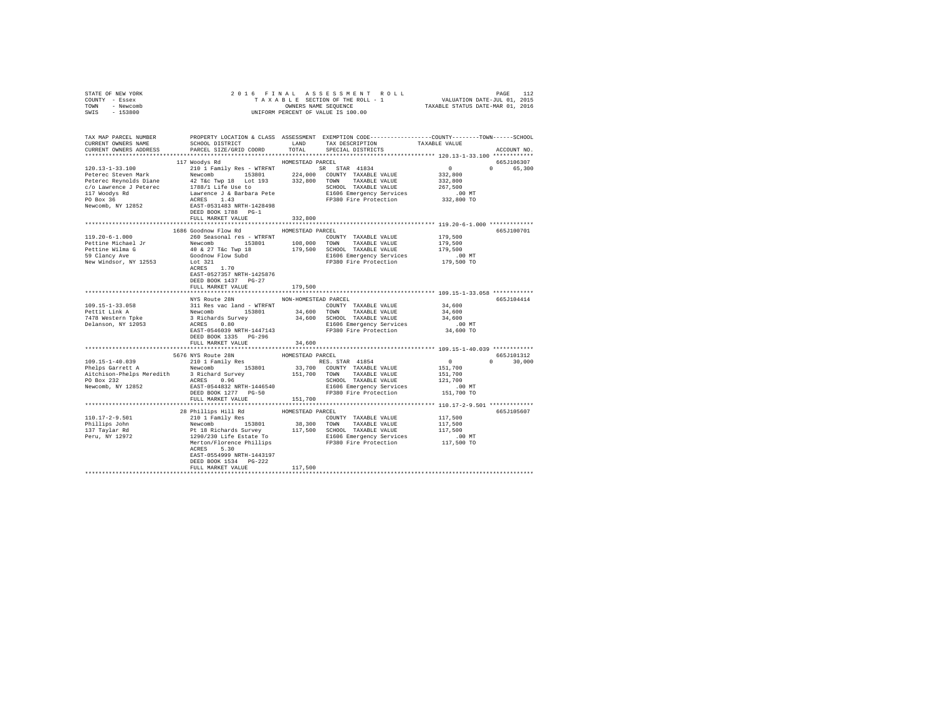| OWNERS NAME SEQUENCE TAXABLE STATUS DATE-MAR 01, 2016<br>UNIFORM PERCENT OF VALUE IS 100.00<br>TOWN - Newcomb<br>SWIS - 153800                                                                                                                                                                                                      |               |
|-------------------------------------------------------------------------------------------------------------------------------------------------------------------------------------------------------------------------------------------------------------------------------------------------------------------------------------|---------------|
|                                                                                                                                                                                                                                                                                                                                     |               |
| TAX MAP PARCEL NUMBER<br>PROPERTY LOCATION & CLASS ASSESSMENT EXEMPTION CODE----------------COUNTY-------TOWN------SCHOOL<br>SCHOOL DISTRICT                         LAND          TAX DESCRIPTION                    TAXABLE VALUE<br>CURRENT OWNERS NAME<br>CURRENT OWNERS ADDRESS PARCEL SIZE/GRID COORD TOTAL SPECIAL DISTRICTS | ACCOUNT NO.   |
| HOMESTEAD PARCEL<br>117 Woodys Rd                                                                                                                                                                                                                                                                                                   | 665J106307    |
| $[100,13-1-33.100$ $[100,13-1-33.100$ $[100,13-1-33.100]$ $[100,13-1-33.100]$ $[100,13-1-33.100]$ $[100,13-1-33.100]$ $[100,13-1-33.100]$ $[100,13-1-33.100]$ $[100,13-1-33.100]$ $[100,13-1-33.100]$ $[100,13-1-33.100]$ $[1$                                                                                                      | 0 65.300      |
| DEED BOOK 1788 PG-1                                                                                                                                                                                                                                                                                                                 |               |
| FULL MARKET VALUE<br>332,800                                                                                                                                                                                                                                                                                                        |               |
|                                                                                                                                                                                                                                                                                                                                     |               |
| 1686 Goodnow Flow Rd MOMESTEAD PARCEL                                                                                                                                                                                                                                                                                               | 665J100701    |
| 260 Seasonal res - WTRFNT<br>$119.20 - 6 - 1.000$<br>COUNTY TAXABLE VALUE                                                                                                                                                                                                                                                           | 179,500       |
|                                                                                                                                                                                                                                                                                                                                     |               |
|                                                                                                                                                                                                                                                                                                                                     |               |
|                                                                                                                                                                                                                                                                                                                                     |               |
| Pettine Michael Jr<br>Pettine Michael Jr<br>In the Mina G and the South and the South Community of the South Community<br>Pettine Michael Jr<br>Pettine Michael Jr<br>In the South Community of the South Community Community of Scienc<br>EAST-0527357 NRTH-1425876<br>DEED BOOK 1437 PG-27                                        |               |
| FULL MARKET VALUE<br>179,500                                                                                                                                                                                                                                                                                                        |               |
|                                                                                                                                                                                                                                                                                                                                     |               |
| NYS Route 28N NON-HOMESTEAD PARCEL                                                                                                                                                                                                                                                                                                  | 665J104414    |
| 109.15-1-33.058                                                                                                                                                                                                                                                                                                                     |               |
|                                                                                                                                                                                                                                                                                                                                     |               |
| Pettit Link A<br>7478 Western Tpke<br>Delanson, NY 12053                                                                                                                                                                                                                                                                            | .00 MT        |
| A COUNTY TAXABLE VALUE 34,600<br>NEW COUNTY TAXABLE VALUE 34,600<br>Newcomb 153801 34,600<br>24,600<br>24,600<br>24,600<br>24,600<br>24,600<br>24,600<br>24,600<br>24,600<br>24,600<br>24,600<br>24,600<br>24,600<br>24,600<br>25,100<br>24,600<br>24,600<br>25,100<br><br>DEED BOOK 1335 PG-296<br>34,600<br>FULL MARKET VALUE     | 34,600 TO     |
|                                                                                                                                                                                                                                                                                                                                     |               |
|                                                                                                                                                                                                                                                                                                                                     | 665J101312    |
|                                                                                                                                                                                                                                                                                                                                     | $0 \t 30,000$ |
|                                                                                                                                                                                                                                                                                                                                     | 151,700       |
|                                                                                                                                                                                                                                                                                                                                     |               |
|                                                                                                                                                                                                                                                                                                                                     |               |
| HOMESTEAD PARCEL AND 109.15-1-40.039 5676 NYS ROULE PARCEL AND MESTEAD PARCEL AND TRIP IN THE PARCEL PRESS ON THE PARCEL PRESS ON THE PARCEL AND MESTEAD PARCEL AND MESTEAD PARCEL AND MESTEAD PARCEL AND MESTEAD TRIP IS RICH                                                                                                      |               |
|                                                                                                                                                                                                                                                                                                                                     |               |
| PO Box 232<br>Newcomb, NY 12852<br>ANCHER UNIT UNIT AND SCHOOL TAXABLE VALUE<br>RAST-0544832 NRTH-1446540 BI606 Emergency Services 121,700 MT<br>DRED BOOK 1277 PG-50 PP380 Fire Protection 151,700 TO<br>FULL MARKET VALUE 151.700                                                                                                 |               |
|                                                                                                                                                                                                                                                                                                                                     |               |
|                                                                                                                                                                                                                                                                                                                                     | 665J105607    |
|                                                                                                                                                                                                                                                                                                                                     |               |
|                                                                                                                                                                                                                                                                                                                                     |               |
|                                                                                                                                                                                                                                                                                                                                     |               |
| 110.1772-9.1<br>28 Phillips Hill Rd<br>2011 I Family Research MANELE VALUE Phillips John Newcomb Newcomb 153801 38,300 TOWNY TAXABLE VALUE 117,500<br>2011 I Revictor 153801 38,300 TOWN TAXABLE VALUE 117,500<br>217 Taylar Rd<br>Peru,<br>ACRES 5.30<br>EAST-0554999 NRTH-1443197                                                 |               |
| DEED BOOK 1534 PG-222<br>117,500<br>FULL MARKET VALUE                                                                                                                                                                                                                                                                               |               |

STATE OF NEW YORK 2 0 1 6 F I N A L A S S E S S M E N T R O L L PAGE 112 COUNTY - Essex T A X A B L E SECTION OF THE ROLL - 1 VALUATION DATE-JUL 01, 2015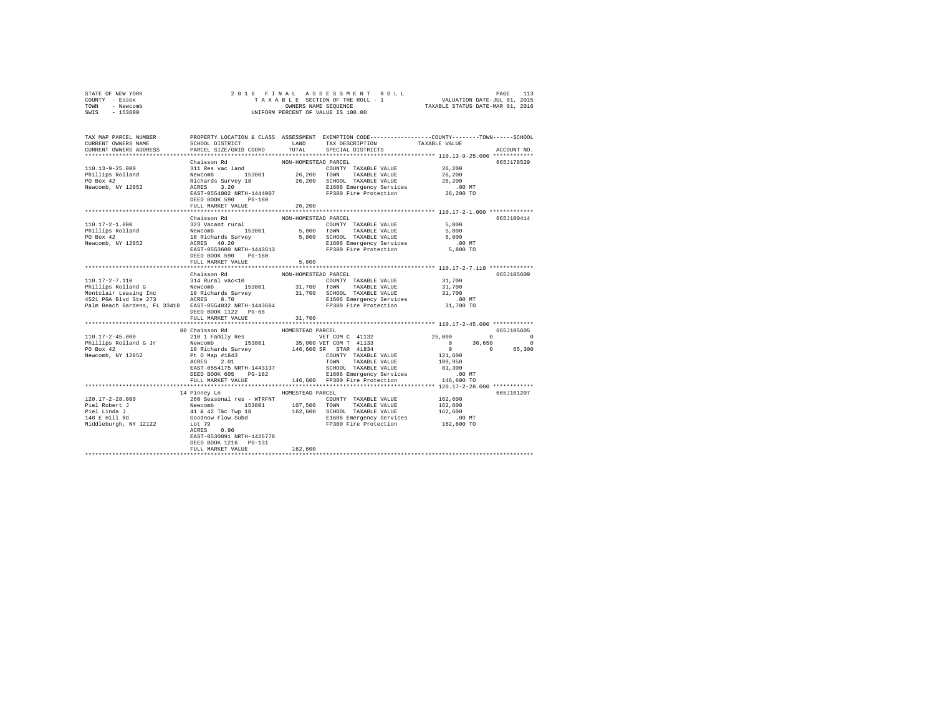| STATE OF NEW YORK<br>COUNTY - Essex                    |                            |                      |                                                                                                                                                                                                                                                                                  |                                       |                                              |
|--------------------------------------------------------|----------------------------|----------------------|----------------------------------------------------------------------------------------------------------------------------------------------------------------------------------------------------------------------------------------------------------------------------------|---------------------------------------|----------------------------------------------|
| TOWN - Newcomb<br>SWIS - 153800                        |                            |                      | OWNERS NAME SEQUENCE<br>UNIFORM PERCENT OF VALUE IS 100.00                                                                                                                                                                                                                       |                                       |                                              |
|                                                        |                            |                      |                                                                                                                                                                                                                                                                                  |                                       |                                              |
| TAX MAP PARCEL NUMBER                                  |                            |                      | PROPERTY LOCATION & CLASS ASSESSMENT EXEMPTION CODE---------------COUNTY-------TOWN------SCHOOL                                                                                                                                                                                  |                                       |                                              |
| CURRENT OWNERS NAME                                    | SCHOOL DISTRICT LAND       |                      | TAX DESCRIPTION                                                                                                                                                                                                                                                                  | TAXABLE VALUE                         |                                              |
| CURRENT OWNERS ADDRESS                                 | PARCEL SIZE/GRID COORD     | TOTAL                | SPECIAL DISTRICTS                                                                                                                                                                                                                                                                |                                       | ACCOUNT NO.                                  |
|                                                        | Chaisson Rd                | NON-HOMESTEAD PARCEL |                                                                                                                                                                                                                                                                                  |                                       | 665J178529                                   |
| 110.13-9-25.000                                        |                            |                      |                                                                                                                                                                                                                                                                                  | 26,200                                |                                              |
|                                                        |                            |                      |                                                                                                                                                                                                                                                                                  | 26,200                                |                                              |
| Phillips Rolland<br>PO Box 42                          |                            |                      |                                                                                                                                                                                                                                                                                  | 26,200                                |                                              |
| Newcomb, NY 12852                                      |                            |                      | 2011 Res vac land<br>Newtoon by 153801 26,200 TOWN TAXABLE VALUE<br>Newtoon by 18 26,200 SCHOOL TAXABLE VALUE<br>ACRES 3.200 ENGL TAXABLE VALUE<br>REST-0554802 NRTH-1444007 FP380 Fire Protection                                                                               | .00 MT                                |                                              |
|                                                        |                            |                      | FP380 Fire Protection                                                                                                                                                                                                                                                            | 26,200 TO                             |                                              |
|                                                        | DEED BOOK 590 PG-180       |                      |                                                                                                                                                                                                                                                                                  |                                       |                                              |
|                                                        | FULL MARKET VALUE          | 26,200               |                                                                                                                                                                                                                                                                                  |                                       |                                              |
|                                                        | Chaisson Rd                | NON-HOMESTEAD PARCEL |                                                                                                                                                                                                                                                                                  |                                       | 665J100414                                   |
|                                                        |                            |                      |                                                                                                                                                                                                                                                                                  | 5,800                                 |                                              |
|                                                        |                            |                      |                                                                                                                                                                                                                                                                                  | 5,800                                 |                                              |
|                                                        |                            |                      |                                                                                                                                                                                                                                                                                  | 5,800                                 |                                              |
|                                                        |                            |                      |                                                                                                                                                                                                                                                                                  | $.00$ MT                              |                                              |
|                                                        |                            |                      |                                                                                                                                                                                                                                                                                  | 5,800 TO                              |                                              |
|                                                        |                            |                      |                                                                                                                                                                                                                                                                                  |                                       |                                              |
|                                                        | FULL MARKET VALUE          | 5,800                |                                                                                                                                                                                                                                                                                  |                                       |                                              |
|                                                        |                            |                      |                                                                                                                                                                                                                                                                                  |                                       |                                              |
|                                                        | Chaisson Rd                | NON-HOMESTEAD PARCEL |                                                                                                                                                                                                                                                                                  |                                       | 665J105609                                   |
|                                                        |                            |                      |                                                                                                                                                                                                                                                                                  | 31,700                                |                                              |
|                                                        |                            |                      |                                                                                                                                                                                                                                                                                  | 31,700<br>31,700                      |                                              |
|                                                        |                            |                      |                                                                                                                                                                                                                                                                                  | $.00$ MT                              |                                              |
| Palm Beach Gardens, FL 33418 EAST-0554832 NRTH-1443684 |                            |                      | FP380 Fire Protection                                                                                                                                                                                                                                                            | 31,700 TO                             |                                              |
|                                                        | DEED BOOK 1122 PG-68       |                      |                                                                                                                                                                                                                                                                                  |                                       |                                              |
|                                                        | FULL MARKET VALUE          | 31,700               |                                                                                                                                                                                                                                                                                  |                                       |                                              |
|                                                        |                            |                      |                                                                                                                                                                                                                                                                                  |                                       |                                              |
|                                                        |                            |                      |                                                                                                                                                                                                                                                                                  |                                       | 665J105605                                   |
|                                                        |                            |                      | VET COM C 41132<br>35,000 VET COM T 41133<br>146,600 SR STAR 41834                                                                                                                                                                                                               | 25,000                                | $\begin{array}{ccc}\n0 & & & 0\n\end{array}$ |
|                                                        |                            |                      |                                                                                                                                                                                                                                                                                  | $0 \t 36,650$<br>0 0<br>36,650        | $\sim$ 0                                     |
|                                                        |                            |                      |                                                                                                                                                                                                                                                                                  |                                       | 65,300                                       |
|                                                        |                            |                      |                                                                                                                                                                                                                                                                                  | 121,600<br>109,950                    |                                              |
|                                                        |                            |                      | EAST-0554175 NRTH-1443137<br>DEED BOOK 605 PG-182<br>PULL MARKET VALUE CHARGE AND E1606 EMPIRENCY SEVILLE<br>PULL MARKET VALUE 146,600 PP380 Fire Protection                                                                                                                     | 81,300                                |                                              |
|                                                        | DEED BOOK 605 PG-182       |                      |                                                                                                                                                                                                                                                                                  | $.00$ MT                              |                                              |
|                                                        |                            |                      |                                                                                                                                                                                                                                                                                  | 146,600 TO                            |                                              |
|                                                        | ************************** |                      | **********************************                                                                                                                                                                                                                                               | ******** 120.17-2-28.000 ************ |                                              |
|                                                        | 14 Pinney Ln               | HOMESTEAD PARCEL     |                                                                                                                                                                                                                                                                                  |                                       | 665J101207                                   |
| 120.17-2-28.000                                        |                            |                      |                                                                                                                                                                                                                                                                                  |                                       |                                              |
| Piel Robert J<br>Piel Linda J<br>148 E Hill Rd         |                            |                      |                                                                                                                                                                                                                                                                                  |                                       |                                              |
|                                                        |                            |                      |                                                                                                                                                                                                                                                                                  |                                       |                                              |
|                                                        |                            |                      | 26 162,600<br>Newcomb 15201 162,600<br>Newcomb 15201 107,500 TOWN TAXABLE VALUE 162,600<br>Newcomb 15201 107,500 TOWN TAXABLE VALUE 162,600<br>41 & 42 Tec Typ 18 162,600 SCHOOL TAXABLE VALUE<br>Goodnow Flow Subd 162,600<br>Lot 79<br>LE6<br>FP380 Fire Protection 162,600 TO | .00 MT                                |                                              |
| Middleburgh, NY 12122                                  |                            |                      |                                                                                                                                                                                                                                                                                  |                                       |                                              |
|                                                        | EAST-0530891 NRTH-1426778  |                      |                                                                                                                                                                                                                                                                                  |                                       |                                              |
|                                                        | DEED BOOK 1216 PG-131      |                      |                                                                                                                                                                                                                                                                                  |                                       |                                              |
|                                                        | FULL MARKET VALUE          | 162,600              |                                                                                                                                                                                                                                                                                  |                                       |                                              |
|                                                        |                            |                      |                                                                                                                                                                                                                                                                                  |                                       |                                              |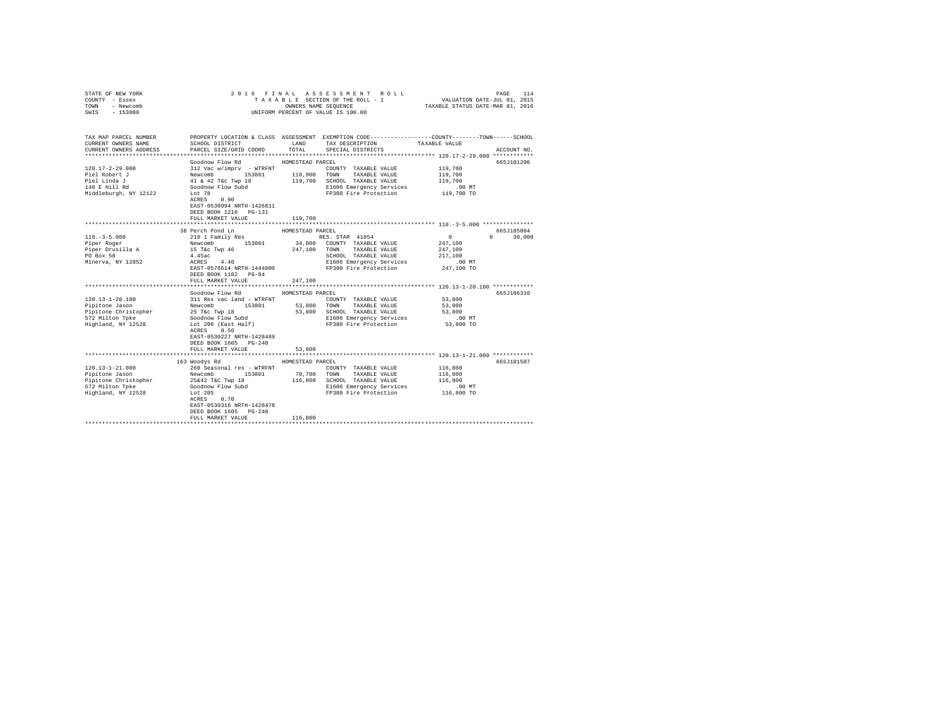| STATE OF NEW YORK<br>COUNTY - Essex<br>TOWN - Newcomb<br>SWIS - 153800                                   |                                                                                                                                                                                                                                                                            |                            | 2016 FINAL ASSESSMENT ROLL<br>TAXABLE SECTION OF THE ROLL - 1<br>OWNERS NAME SEQUENCE TAXABLE STATUS DATE-JUL 01. 2015<br>UNIFORM PERCENT OF VALUE IS 100.00 |                                                                                 | PAGE<br>114 |
|----------------------------------------------------------------------------------------------------------|----------------------------------------------------------------------------------------------------------------------------------------------------------------------------------------------------------------------------------------------------------------------------|----------------------------|--------------------------------------------------------------------------------------------------------------------------------------------------------------|---------------------------------------------------------------------------------|-------------|
| TAX MAP PARCEL NUMBER<br>CURRENT OWNERS NAME<br>CURRENT OWNERS ADDRESS                                   | SCHOOL DISTRICT<br>PARCEL SIZE/GRID COORD                                                                                                                                                                                                                                  | LAND<br>TOTAL              | PROPERTY LOCATION & CLASS ASSESSMENT EXEMPTION CODE---------------COUNTY-------TOWN------SCHOOL<br>TAX DESCRIPTION<br>SPECIAL DISTRICTS                      | TAXABLE VALUE                                                                   | ACCOUNT NO. |
| $120.17 - 2 - 29.000$<br>Piel Robert J<br>Piel Linda J<br>148 E Hill Rd<br>Middleburgh, NY 12122         | Goodnow Flow Rd MOMESTEAD PARCEL<br>312 Vac w/imprv - WTRFNT<br>312 Vac w/imprv - WTRFNT<br>Newcomb 153801 118,900<br>41 & 42 T&c Twp 18 119,700<br>Goodnow Flow Subd<br>Lot 78<br>ACRES 0.90<br>EAST-0530994 NRTH-1426811<br>DEED BOOK 1216   PG-131<br>FULL MARKET VALUE |                            | COUNTY TAXABLE VALUE<br>TOWN TAXABLE VALUE<br>119,700 SCHOOL TAXABLE VALUE<br>E1606 Emergency Services<br>FP380 Fire Protection                              | 119,700<br>119,700<br>119,700<br>$.00$ MT<br>119,700 TO                         | 665.T101206 |
|                                                                                                          |                                                                                                                                                                                                                                                                            | 119,700                    |                                                                                                                                                              | *********************** 110. -3-5.000 ****************                          |             |
|                                                                                                          | 38 Perch Pond Ln                                                                                                                                                                                                                                                           | HOMESTEAD PARCEL           |                                                                                                                                                              |                                                                                 | 665J185004  |
| $110. -3 - 5.000$<br>Piper Roger<br>Piper Drusilla A<br>PO Box 58<br>Minerva, NY 12852                   | 210 1 Family Res<br>Newcomb 153801<br>15 T&c Twp 46<br>4.45ac<br>$ACRES$ 4.40<br>EAST-0576614 NRTH-1444800<br>DEED BOOK 1182    PG-84<br>FULL MARKET VALUE                                                                                                                 | 247,100                    | RES. STAR 41854<br>34,000 COUNTY TAXABLE VALUE<br>247,100 TOWN TAXABLE VALUE<br>SCHOOL TAXABLE VALUE<br>E1606 Emergency Services<br>FP380 Fire Protection    | $\sim$ 0<br>$\Omega$<br>247,100<br>247,100<br>217,100<br>$.00$ MT<br>247,100 TO | 30,000      |
|                                                                                                          | Goodnow Flow Rd                                                                                                                                                                                                                                                            | HOMESTEAD PARCEL           |                                                                                                                                                              |                                                                                 | 665J106310  |
| 120.13-1-20.100<br>Pipitone Jason<br>Pipitone Christopher<br>572 Milton Tpke<br>Highland, NY 12528       | 311 Res vac land - WTRFNT<br>Newcomb 153801<br>25 T&C Twp 18<br>Goodnow Flow Subd<br>Lot 206 (East Half)<br>ACRES 0.50<br>EAST-0530227 NRTH-1428489<br>DEED BOOK 1605 PG-240<br>FULL MARKET VALUE                                                                          | 53,800                     | COUNTY TAXABLE VALUE<br>53,800 TOWN TAXABLE VALUE<br>53,800 SCHOOL TAXABLE VALUE<br>E1606 Emergency Services<br>FP380 Fire Protection 53,800 TO              | 53,800<br>53,800<br>53,800<br>$.00$ MT                                          |             |
|                                                                                                          |                                                                                                                                                                                                                                                                            |                            |                                                                                                                                                              |                                                                                 |             |
| $120.13 - 1 - 21.000$<br>Pipitone Jason<br>Pipitone Christopher<br>572 Milton Tpke<br>Highland, NY 12528 | 163 Woodys Rd<br>260 Seasonal res - WTRFNT<br>Newcomb 153801<br>25&42 T&C Twp 18<br>Goodnow Flow Subd<br>Lot 205<br>ACRES 0.70<br>EAST-0530316 NRTH-1428478<br>DEED BOOK 1605 PG-240                                                                                       | HOMESTEAD PARCEL<br>70,700 | COUNTY TAXABLE VALUE<br>TOWN TAXABLE VALUE<br>116,800 SCHOOL TAXABLE VALUE<br>E1606 Emergency Services<br>FP380 Fire Protection                              | 116,800<br>116,800<br>116,800<br>$.00$ MT<br>116,800 TO                         | 665J101507  |
|                                                                                                          | FULL MARKET VALUE                                                                                                                                                                                                                                                          | 116,800                    |                                                                                                                                                              |                                                                                 |             |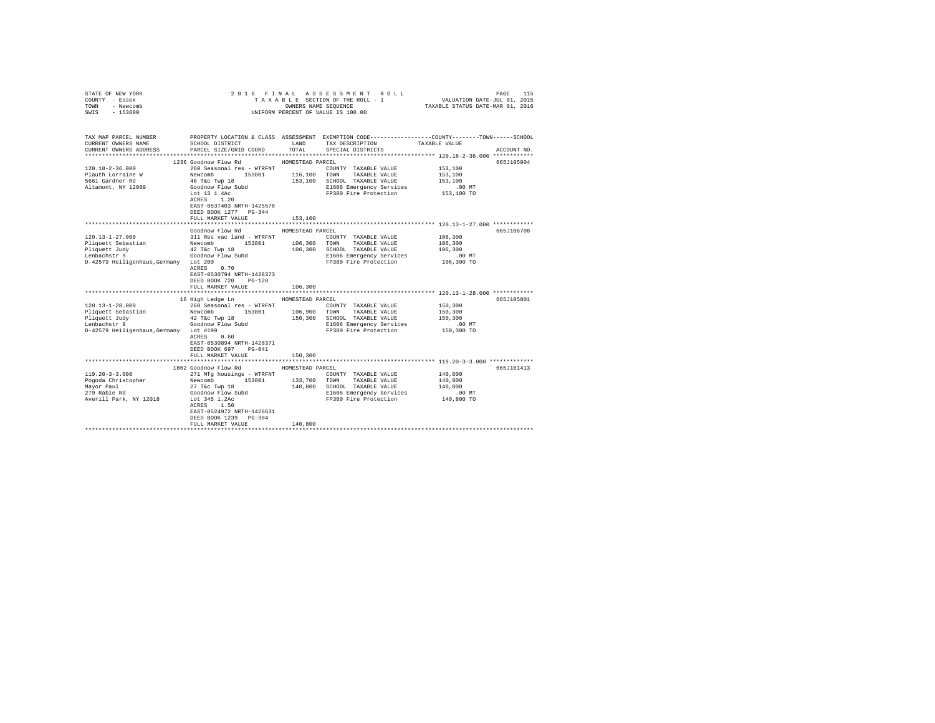| STATE OF NEW YORK<br>COUNTY - Essex<br>TOWN<br>- Newcomb |                                                                   |                  | 2016 FINAL ASSESSMENT ROLL                                                                      |                                                                | PAGE<br>115 |
|----------------------------------------------------------|-------------------------------------------------------------------|------------------|-------------------------------------------------------------------------------------------------|----------------------------------------------------------------|-------------|
| $-153800$<br>SWIS                                        |                                                                   |                  | UNIFORM PERCENT OF VALUE IS 100.00                                                              |                                                                |             |
| TAX MAP PARCEL NUMBER                                    |                                                                   |                  | PROPERTY LOCATION & CLASS ASSESSMENT EXEMPTION CODE---------------COUNTY-------TOWN------SCHOOL |                                                                |             |
| CURRENT OWNERS NAME<br>CURRENT OWNERS ADDRESS            | SCHOOL DISTRICT LAND<br>PARCEL SIZE/GRID COORD                    | TOTAL            | TAX DESCRIPTION TAXABLE VALUE<br>SPECIAL DISTRICTS                                              |                                                                | ACCOUNT NO. |
|                                                          |                                                                   |                  |                                                                                                 |                                                                |             |
|                                                          | 1236 Goodnow Flow Rd MOMESTEAD PARCEL                             |                  |                                                                                                 |                                                                | 665J105904  |
| 120.18-2-36.000                                          | 260 Seasonal res - WTRFNT                                         |                  | COUNTY TAXABLE VALUE                                                                            | 153,100                                                        |             |
| Plauth Lorraine W                                        | Newcomb                                                           |                  | 153801 116,100 TOWN TAXABLE VALUE                                                               | 153,100                                                        |             |
| 5661 Gardner Rd                                          | 46 T&C Twp 18                                                     |                  | 153,100 SCHOOL TAXABLE VALUE                                                                    | 153,100                                                        |             |
| Altamont, NY 12009                                       | Goodnow Flow Subd                                                 |                  | E1606 Emergency Services                                                                        | $.00$ MT                                                       |             |
|                                                          | Lot 13 1.4Ac                                                      |                  | FP380 Fire Protection                                                                           | 153,100 TO                                                     |             |
|                                                          | ACRES 1.20<br>EAST-0537403 NRTH-1425578                           |                  |                                                                                                 |                                                                |             |
|                                                          | DEED BOOK 1277 PG-344                                             |                  |                                                                                                 |                                                                |             |
|                                                          | FULL MARKET VALUE                                                 | 153,100          |                                                                                                 |                                                                |             |
|                                                          |                                                                   |                  |                                                                                                 |                                                                |             |
|                                                          | Goodnow Flow Rd                                                   | HOMESTEAD PARCEL |                                                                                                 |                                                                | 665J106708  |
| $120.13 - 1 - 27.000$                                    | 311 Res vac land - WTRFNT                                         |                  | COUNTY TAXABLE VALUE                                                                            | 106,300                                                        |             |
| Pliquett Sebastian                                       | Newcomb 153801 106,300                                            |                  | TOWN TAXABLE VALUE                                                                              | 106,300                                                        |             |
| Pliquett Judy                                            | 42 T&C Twp 18<br>Goodnow Flow Subd                                |                  | 106,300 SCHOOL TAXABLE VALUE                                                                    | 106,300                                                        |             |
| Lenbachstr 9                                             |                                                                   |                  | E1606 Emergency Services                                                                        | $.00$ MT                                                       |             |
| D-42579 Heiligenhaus, Germany Lot 200                    | $ACRES$ 0.70                                                      |                  | FP380 Fire Protection                                                                           | 106,300 TO                                                     |             |
|                                                          | EAST-0530794 NRTH-1428373                                         |                  |                                                                                                 |                                                                |             |
|                                                          | DEED BOOK 720 PG-128                                              |                  |                                                                                                 |                                                                |             |
|                                                          | FULL MARKET VALUE                                                 | 106,300          |                                                                                                 |                                                                |             |
|                                                          |                                                                   |                  |                                                                                                 |                                                                |             |
|                                                          | 16 High Ledge Ln                                                  | HOMESTEAD PARCEL |                                                                                                 |                                                                | 665J105801  |
| $120.13 - 1 - 28.000$                                    | 260 Seasonal res - WTRFNT                                         |                  | COUNTY TAXABLE VALUE                                                                            | 150,300                                                        |             |
| Pliquett Sebastian                                       | Newcomb 153801                                                    |                  | 106,900 TOWN TAXABLE VALUE                                                                      | 150,300                                                        |             |
| Pliquett Judy<br>Lenbachstr 9                            | 42 T&c Twp 18                                                     |                  | 150,300 SCHOOL TAXABLE VALUE<br>E1606 Emergency Services                                        | 150,300<br>$.00$ MT                                            |             |
| D-42579 Heiligenhaus, Germany Lot #199                   | Goodnow Flow Subd                                                 |                  | FP380 Fire Protection                                                                           | 150,300 TO                                                     |             |
|                                                          | ACRES 0.60                                                        |                  |                                                                                                 |                                                                |             |
|                                                          | EAST-0530894 NRTH-1428371                                         |                  |                                                                                                 |                                                                |             |
|                                                          | DEED BOOK 697 PG-041                                              |                  |                                                                                                 |                                                                |             |
|                                                          | FULL MARKET VALUE                                                 | 150,300          |                                                                                                 |                                                                |             |
|                                                          | ********************************                                  |                  |                                                                                                 | ********************************* 119.20-3-3.000 ************* |             |
|                                                          | 1862 Goodnow Flow Rd                                              | HOMESTEAD PARCEL |                                                                                                 |                                                                | 665J101413  |
| $119.20 - 3 - 3.000$<br>Pogoda Christopher               | 271 Mfg housings - WTRFNT<br>153801                               | 133,700          | COUNTY TAXABLE VALUE<br>TOWN TAXABLE VALUE                                                      | 140,800<br>140,800                                             |             |
|                                                          | Newcomb 1<br>27 T&c Twp 18                                        |                  | 140,800 SCHOOL TAXABLE VALUE                                                                    | 140,800                                                        |             |
| Mayor Paul<br>279 Rabie Rd                               |                                                                   |                  | E1606 Emergency Services                                                                        | $.00$ MT                                                       |             |
| Averill Park, NY 12018                                   | Goodnow Flow Subd<br>Lot 345 1.2Ac<br>AGDES 1 50<br>Lot 345 1.2Ac |                  | FP380 Fire Protection                                                                           | 140,800 TO                                                     |             |
|                                                          | ACRES 1.50                                                        |                  |                                                                                                 |                                                                |             |
|                                                          | EAST-0524972 NRTH-1426631                                         |                  |                                                                                                 |                                                                |             |
|                                                          | DEED BOOK 1239 PG-304                                             |                  |                                                                                                 |                                                                |             |
|                                                          | FULL MARKET VALUE                                                 | 140,800          |                                                                                                 |                                                                |             |
|                                                          |                                                                   |                  |                                                                                                 |                                                                |             |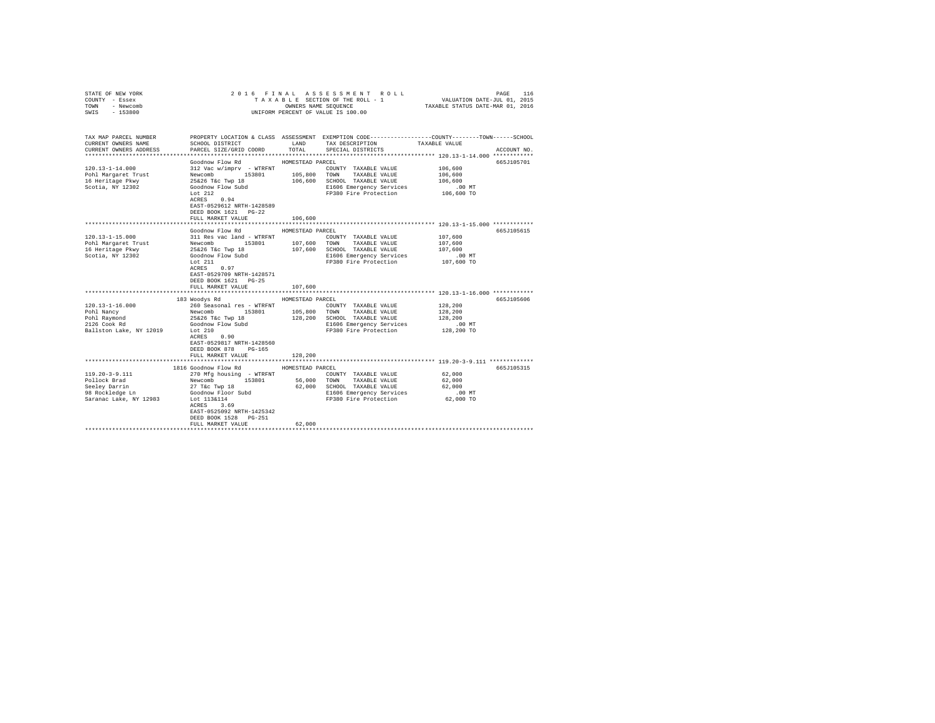| COUNTY - Essex<br>TOWN<br>- Newcomb<br>SWIS<br>$-153800$                                                                                                                               |                                                                                                                                                                                                                                                                                                                                                                | OWNERS NAME SEQUENCE                            | TAXABLE SECTION OF THE ROLL - 1<br>UNIFORM PERCENT OF VALUE IS 100.00                                                                                                                                                                                                              | VALUATION DATE-JUL 01, 2015<br>TAXABLE STATUS DATE-MAR 01, 2016                                                  |                          |
|----------------------------------------------------------------------------------------------------------------------------------------------------------------------------------------|----------------------------------------------------------------------------------------------------------------------------------------------------------------------------------------------------------------------------------------------------------------------------------------------------------------------------------------------------------------|-------------------------------------------------|------------------------------------------------------------------------------------------------------------------------------------------------------------------------------------------------------------------------------------------------------------------------------------|------------------------------------------------------------------------------------------------------------------|--------------------------|
| TAX MAP PARCEL NUMBER<br>CURRENT OWNERS NAME<br>CURRENT OWNERS ADDRESS                                                                                                                 | SCHOOL DISTRICT<br>PARCEL SIZE/GRID COORD                                                                                                                                                                                                                                                                                                                      | TOTAL                                           | PROPERTY LOCATION & CLASS ASSESSMENT EXEMPTION CODE---------------COUNTY-------TOWN------SCHOOL<br>LAND TAX DESCRIPTION<br>SPECIAL DISTRICTS                                                                                                                                       | TAXABLE VALUE                                                                                                    | ACCOUNT NO.              |
| $120.13 - 1 - 14.000$<br>Pohl Margaret Trust<br>16 Heritage Pkwy<br>Scotia, NY 12302                                                                                                   | Goodnow Flow Rd<br>312 Vac w/imprv - WTRFNT<br>Newcomb 153801 105,800<br>25&26 T&c Twp 18 106,600<br>Goodnow Flow Subd<br>Lot $212$<br>$ACRES$ 0.94<br>EAST-0529612 NRTH-1428589<br>DEED BOOK 1621 PG-22<br>FULL MARKET VALUE                                                                                                                                  | HOMESTEAD PARCEL<br>106,600                     | COUNTY TAXABLE VALUE<br>TOWN TAXABLE VALUE<br>106,600 SCHOOL TAXABLE VALUE<br>E1606 Emergency Services<br>FP380 Fire Protection                                                                                                                                                    | 106,600<br>106,600<br>106,600<br>$.00$ MT<br>106,600 TO                                                          | 665J105701               |
|                                                                                                                                                                                        |                                                                                                                                                                                                                                                                                                                                                                |                                                 |                                                                                                                                                                                                                                                                                    | *************************** 120.13-1-15.000 ************                                                         |                          |
| $120.13 - 1 - 15.000$<br>Pohl Margaret Trust<br>16 Heritage Pkwy<br>Scotia, NY 12302<br>$120.13 - 1 - 16.000$<br>Pohl Nancy<br>Pohl Raymond<br>2126 Cook Rd<br>Ballston Lake, NY 12019 | Goodnow Flow Rd<br>311 Res vac land - WTRFNT<br>Newcomb 153801<br>25&26 T&c Twp 18<br>Goodnow Flow Subd<br>Lot $211$<br>ACRES 0.97<br>EAST-0529709 NRTH-1428571<br>DEED BOOK 1621 PG-25<br>FULL MARKET VALUE<br>183 Woodys Rd<br>260 Seasonal res - WTRFNT<br>Newcomb 153801 105,800<br>25&26 T&c Twp 18 128,200<br>Goodnow Flow Subd<br>Let 210<br>ACRES 0.90 | HOMESTEAD PARCEL<br>107,600<br>HOMESTEAD PARCEL | COUNTY TAXABLE VALUE<br>107,600 TOWN TAXABLE VALUE<br>107,600 SCHOOL TAXABLE VALUE<br>E1606 Emergency Services<br>FP380 Fire Protection<br>COUNTY TAXABLE VALUE<br>105,800 TOWN TAXABLE VALUE<br>128,200 SCHOOL TAXABLE VALUE<br>E1606 Emergency Services<br>FP380 Fire Protection | 107,600<br>107,600<br>107,600<br>$.00$ MT<br>107,600 TO<br>128,200<br>128,200<br>128,200<br>.00 MT<br>128,200 TO | 665J105615<br>665J105606 |
|                                                                                                                                                                                        | EAST-0529817 NRTH-1428560<br>DEED BOOK 878<br>PG-165<br>FULL MARKET VALUE                                                                                                                                                                                                                                                                                      | 128,200                                         |                                                                                                                                                                                                                                                                                    |                                                                                                                  |                          |
|                                                                                                                                                                                        |                                                                                                                                                                                                                                                                                                                                                                |                                                 |                                                                                                                                                                                                                                                                                    |                                                                                                                  |                          |
| 119.20-3-9.111<br>Pollock Brad<br>Seeley Darrin<br>98 Rockledge Ln<br>Saranac Lake, NY 12983                                                                                           | 1816 Goodnow Flow Rd<br>270 Mfg housing - WTRFNT<br>Newcomb 153801<br>27 T&C Twp 18<br>Goodnow Floor Subd<br>Lot 113&114<br>ACRES 3.69<br>EAST-0525092 NRTH-1425342<br>DEED BOOK 1528 PG-251<br>FULL MARKET VALUE                                                                                                                                              | HOMESTEAD PARCEL<br>62,000                      | COUNTY TAXABLE VALUE<br>56,000 TOWN TAXABLE VALUE<br>62,000 SCHOOL TAXABLE VALUE<br>E1606 Emergency Services<br>FP380 Fire Protection                                                                                                                                              | 62,000<br>62,000<br>62,000<br>$.00$ MT<br>62,000 TO                                                              | 665J105315               |
|                                                                                                                                                                                        |                                                                                                                                                                                                                                                                                                                                                                |                                                 |                                                                                                                                                                                                                                                                                    |                                                                                                                  |                          |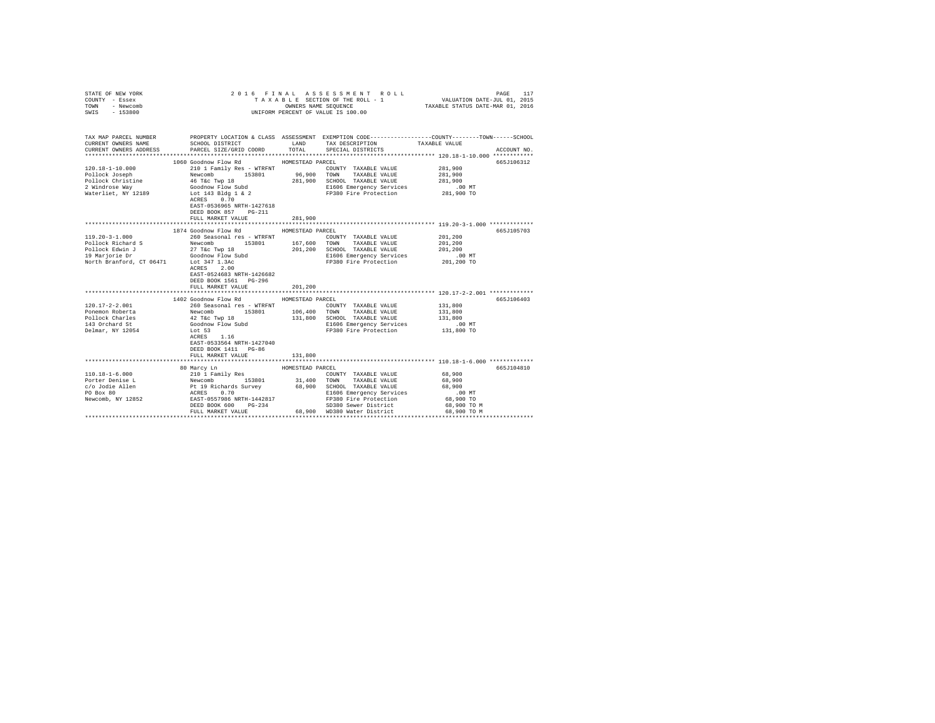| TAXABLE SECTION OF THE ROLL - 1 VALUATION DATE-JUL 01, 2015<br>OWNERS NAME SEQUENCE TAXABLE STATUS DATE-MAR 01, 2016<br>TOWN<br>- Newcomb<br>SWIS - 153800<br>UNIFORM PERCENT OF VALUE IS 100.00<br>TAX MAP PARCEL NUMBER PROPERTY LOCATION & CLASS ASSESSMENT EXEMPTION CODE--------------COUNTY-------TOWN-----SCHOOL<br>SCHOOL DISTRICT TAND TAX DESCRIPTION<br>TAXABLE VALUE<br>CURRENT OWNERS NAME<br>CURRENT OWNERS ADDRESS<br>PARCEL SIZE/GRID COORD TOTAL SPECIAL DISTRICTS<br>ACCOUNT NO.<br>1060 Goodnow Flow Rd<br>HOMESTEAD PARCEL<br>665J106312<br>120.18-1-10.000<br>210 1 Family Res - WTRFNT<br>281,900<br>COUNTY TAXABLE VALUE<br>ACRES 0.70<br>EAST-0536965 NRTH-1427618<br>DEED BOOK 857 PG-211<br>281,900<br>FULL MARKET VALUE<br>********************************** 119.20-3-1.000 *************<br>1874 Goodnow Flow Rd<br>HOMESTEAD PARCEL<br>665J105703<br>260 Seasonal res - WTRFNT<br>$119.20 - 3 - 1.000$<br>201,200<br>COUNTY TAXABLE VALUE<br>201,200<br>201,200 SCHOOL TAXABLE VALUE<br>201,200<br>.00 MT<br>E1606 Emergency Services<br>201,200 TO<br>FP380 Fire Protection<br>ACRES 2.00<br>EAST-0524683 NRTH-1426682<br>DEED BOOK 1561 PG-296<br>FULL MARKET VALUE<br>201,200<br>1402 Goodnow Flow Rd MOMESTEAD PARCEL<br>665J106403<br>260 Seasonal res - WTRFNT<br>$120.17 - 2 - 2.001$<br>131,800<br>COUNTY TAXABLE VALUE<br>106,400 TOWN TAXABLE VALUE<br>131,800 SCHOOL TAXABLE VALUE<br>Newcomb 153801<br>42 T&c Twp 18<br>Goodnow Flow Subd<br>Lot 53<br>Ponemon Roberta<br>131,800<br>Pollock Charles<br>131,800<br>143 Orchard St<br>E1606 Emergency Services<br>$.00$ MT<br>FP380 Fire Protection 131,800 TO<br>Delmar, NY 12054<br>Lot 53<br>ACRES 1.16<br>EAST-0533564 NRTH-1427040<br>DEED BOOK 1411 PG-86<br>FULL MARKET VALUE<br>131,800<br>HOMESTEAD PARCEL<br>665J104810<br>80 Marcy Ln<br>$\begin{tabular}{l c c c c c} \hline 110.18-1-6.000 & 80 \; \text{MWPC} \; \text{L} & \text{HOMED} \; \text{R} & \text{HOMED} \; \text{R} & \text{HOMED} \; \text{L} & \text{HOMED} \; \text{L} & \text{HOMED} \; \text{L} & \text{HOMED} \; \text{L} & \text{HOMED} \; \text{L} & \text{HOMED} \; \text{L} & \text{HOMED} \; \text{L} & \text{HOMED} \; \text{L} & \text{HOMED} \; \text{L$<br>68,900<br>68,900<br>68,900<br>TM 00.<br>68,900 TO<br>68,900 TO M<br>68,900 WD380 Water District<br>68,900 TO M<br>FULL MARKET VALUE | STATE OF NEW YORK |  | 2016 FINAL ASSESSMENT ROLL | PAGE<br>117 |
|----------------------------------------------------------------------------------------------------------------------------------------------------------------------------------------------------------------------------------------------------------------------------------------------------------------------------------------------------------------------------------------------------------------------------------------------------------------------------------------------------------------------------------------------------------------------------------------------------------------------------------------------------------------------------------------------------------------------------------------------------------------------------------------------------------------------------------------------------------------------------------------------------------------------------------------------------------------------------------------------------------------------------------------------------------------------------------------------------------------------------------------------------------------------------------------------------------------------------------------------------------------------------------------------------------------------------------------------------------------------------------------------------------------------------------------------------------------------------------------------------------------------------------------------------------------------------------------------------------------------------------------------------------------------------------------------------------------------------------------------------------------------------------------------------------------------------------------------------------------------------------------------------------------------------------------------------------------------------------------------------------------------------------------------------------------------------------------------------------------------------------------------------------------------------------------------------------------------------------------------------------------------------------------------------------------------------------------------------------------------------------|-------------------|--|----------------------------|-------------|
|                                                                                                                                                                                                                                                                                                                                                                                                                                                                                                                                                                                                                                                                                                                                                                                                                                                                                                                                                                                                                                                                                                                                                                                                                                                                                                                                                                                                                                                                                                                                                                                                                                                                                                                                                                                                                                                                                                                                                                                                                                                                                                                                                                                                                                                                                                                                                                                  | COUNTY - Essex    |  |                            |             |
|                                                                                                                                                                                                                                                                                                                                                                                                                                                                                                                                                                                                                                                                                                                                                                                                                                                                                                                                                                                                                                                                                                                                                                                                                                                                                                                                                                                                                                                                                                                                                                                                                                                                                                                                                                                                                                                                                                                                                                                                                                                                                                                                                                                                                                                                                                                                                                                  |                   |  |                            |             |
|                                                                                                                                                                                                                                                                                                                                                                                                                                                                                                                                                                                                                                                                                                                                                                                                                                                                                                                                                                                                                                                                                                                                                                                                                                                                                                                                                                                                                                                                                                                                                                                                                                                                                                                                                                                                                                                                                                                                                                                                                                                                                                                                                                                                                                                                                                                                                                                  |                   |  |                            |             |
|                                                                                                                                                                                                                                                                                                                                                                                                                                                                                                                                                                                                                                                                                                                                                                                                                                                                                                                                                                                                                                                                                                                                                                                                                                                                                                                                                                                                                                                                                                                                                                                                                                                                                                                                                                                                                                                                                                                                                                                                                                                                                                                                                                                                                                                                                                                                                                                  |                   |  |                            |             |
|                                                                                                                                                                                                                                                                                                                                                                                                                                                                                                                                                                                                                                                                                                                                                                                                                                                                                                                                                                                                                                                                                                                                                                                                                                                                                                                                                                                                                                                                                                                                                                                                                                                                                                                                                                                                                                                                                                                                                                                                                                                                                                                                                                                                                                                                                                                                                                                  |                   |  |                            |             |
|                                                                                                                                                                                                                                                                                                                                                                                                                                                                                                                                                                                                                                                                                                                                                                                                                                                                                                                                                                                                                                                                                                                                                                                                                                                                                                                                                                                                                                                                                                                                                                                                                                                                                                                                                                                                                                                                                                                                                                                                                                                                                                                                                                                                                                                                                                                                                                                  |                   |  |                            |             |
|                                                                                                                                                                                                                                                                                                                                                                                                                                                                                                                                                                                                                                                                                                                                                                                                                                                                                                                                                                                                                                                                                                                                                                                                                                                                                                                                                                                                                                                                                                                                                                                                                                                                                                                                                                                                                                                                                                                                                                                                                                                                                                                                                                                                                                                                                                                                                                                  |                   |  |                            |             |
|                                                                                                                                                                                                                                                                                                                                                                                                                                                                                                                                                                                                                                                                                                                                                                                                                                                                                                                                                                                                                                                                                                                                                                                                                                                                                                                                                                                                                                                                                                                                                                                                                                                                                                                                                                                                                                                                                                                                                                                                                                                                                                                                                                                                                                                                                                                                                                                  |                   |  |                            |             |
|                                                                                                                                                                                                                                                                                                                                                                                                                                                                                                                                                                                                                                                                                                                                                                                                                                                                                                                                                                                                                                                                                                                                                                                                                                                                                                                                                                                                                                                                                                                                                                                                                                                                                                                                                                                                                                                                                                                                                                                                                                                                                                                                                                                                                                                                                                                                                                                  |                   |  |                            |             |
|                                                                                                                                                                                                                                                                                                                                                                                                                                                                                                                                                                                                                                                                                                                                                                                                                                                                                                                                                                                                                                                                                                                                                                                                                                                                                                                                                                                                                                                                                                                                                                                                                                                                                                                                                                                                                                                                                                                                                                                                                                                                                                                                                                                                                                                                                                                                                                                  |                   |  |                            |             |
|                                                                                                                                                                                                                                                                                                                                                                                                                                                                                                                                                                                                                                                                                                                                                                                                                                                                                                                                                                                                                                                                                                                                                                                                                                                                                                                                                                                                                                                                                                                                                                                                                                                                                                                                                                                                                                                                                                                                                                                                                                                                                                                                                                                                                                                                                                                                                                                  |                   |  |                            |             |
|                                                                                                                                                                                                                                                                                                                                                                                                                                                                                                                                                                                                                                                                                                                                                                                                                                                                                                                                                                                                                                                                                                                                                                                                                                                                                                                                                                                                                                                                                                                                                                                                                                                                                                                                                                                                                                                                                                                                                                                                                                                                                                                                                                                                                                                                                                                                                                                  |                   |  |                            |             |
|                                                                                                                                                                                                                                                                                                                                                                                                                                                                                                                                                                                                                                                                                                                                                                                                                                                                                                                                                                                                                                                                                                                                                                                                                                                                                                                                                                                                                                                                                                                                                                                                                                                                                                                                                                                                                                                                                                                                                                                                                                                                                                                                                                                                                                                                                                                                                                                  |                   |  |                            |             |
|                                                                                                                                                                                                                                                                                                                                                                                                                                                                                                                                                                                                                                                                                                                                                                                                                                                                                                                                                                                                                                                                                                                                                                                                                                                                                                                                                                                                                                                                                                                                                                                                                                                                                                                                                                                                                                                                                                                                                                                                                                                                                                                                                                                                                                                                                                                                                                                  |                   |  |                            |             |
|                                                                                                                                                                                                                                                                                                                                                                                                                                                                                                                                                                                                                                                                                                                                                                                                                                                                                                                                                                                                                                                                                                                                                                                                                                                                                                                                                                                                                                                                                                                                                                                                                                                                                                                                                                                                                                                                                                                                                                                                                                                                                                                                                                                                                                                                                                                                                                                  |                   |  |                            |             |
|                                                                                                                                                                                                                                                                                                                                                                                                                                                                                                                                                                                                                                                                                                                                                                                                                                                                                                                                                                                                                                                                                                                                                                                                                                                                                                                                                                                                                                                                                                                                                                                                                                                                                                                                                                                                                                                                                                                                                                                                                                                                                                                                                                                                                                                                                                                                                                                  |                   |  |                            |             |
|                                                                                                                                                                                                                                                                                                                                                                                                                                                                                                                                                                                                                                                                                                                                                                                                                                                                                                                                                                                                                                                                                                                                                                                                                                                                                                                                                                                                                                                                                                                                                                                                                                                                                                                                                                                                                                                                                                                                                                                                                                                                                                                                                                                                                                                                                                                                                                                  |                   |  |                            |             |
|                                                                                                                                                                                                                                                                                                                                                                                                                                                                                                                                                                                                                                                                                                                                                                                                                                                                                                                                                                                                                                                                                                                                                                                                                                                                                                                                                                                                                                                                                                                                                                                                                                                                                                                                                                                                                                                                                                                                                                                                                                                                                                                                                                                                                                                                                                                                                                                  |                   |  |                            |             |
|                                                                                                                                                                                                                                                                                                                                                                                                                                                                                                                                                                                                                                                                                                                                                                                                                                                                                                                                                                                                                                                                                                                                                                                                                                                                                                                                                                                                                                                                                                                                                                                                                                                                                                                                                                                                                                                                                                                                                                                                                                                                                                                                                                                                                                                                                                                                                                                  |                   |  |                            |             |
|                                                                                                                                                                                                                                                                                                                                                                                                                                                                                                                                                                                                                                                                                                                                                                                                                                                                                                                                                                                                                                                                                                                                                                                                                                                                                                                                                                                                                                                                                                                                                                                                                                                                                                                                                                                                                                                                                                                                                                                                                                                                                                                                                                                                                                                                                                                                                                                  |                   |  |                            |             |
|                                                                                                                                                                                                                                                                                                                                                                                                                                                                                                                                                                                                                                                                                                                                                                                                                                                                                                                                                                                                                                                                                                                                                                                                                                                                                                                                                                                                                                                                                                                                                                                                                                                                                                                                                                                                                                                                                                                                                                                                                                                                                                                                                                                                                                                                                                                                                                                  |                   |  |                            |             |
|                                                                                                                                                                                                                                                                                                                                                                                                                                                                                                                                                                                                                                                                                                                                                                                                                                                                                                                                                                                                                                                                                                                                                                                                                                                                                                                                                                                                                                                                                                                                                                                                                                                                                                                                                                                                                                                                                                                                                                                                                                                                                                                                                                                                                                                                                                                                                                                  |                   |  |                            |             |
|                                                                                                                                                                                                                                                                                                                                                                                                                                                                                                                                                                                                                                                                                                                                                                                                                                                                                                                                                                                                                                                                                                                                                                                                                                                                                                                                                                                                                                                                                                                                                                                                                                                                                                                                                                                                                                                                                                                                                                                                                                                                                                                                                                                                                                                                                                                                                                                  |                   |  |                            |             |
|                                                                                                                                                                                                                                                                                                                                                                                                                                                                                                                                                                                                                                                                                                                                                                                                                                                                                                                                                                                                                                                                                                                                                                                                                                                                                                                                                                                                                                                                                                                                                                                                                                                                                                                                                                                                                                                                                                                                                                                                                                                                                                                                                                                                                                                                                                                                                                                  |                   |  |                            |             |
|                                                                                                                                                                                                                                                                                                                                                                                                                                                                                                                                                                                                                                                                                                                                                                                                                                                                                                                                                                                                                                                                                                                                                                                                                                                                                                                                                                                                                                                                                                                                                                                                                                                                                                                                                                                                                                                                                                                                                                                                                                                                                                                                                                                                                                                                                                                                                                                  |                   |  |                            |             |
|                                                                                                                                                                                                                                                                                                                                                                                                                                                                                                                                                                                                                                                                                                                                                                                                                                                                                                                                                                                                                                                                                                                                                                                                                                                                                                                                                                                                                                                                                                                                                                                                                                                                                                                                                                                                                                                                                                                                                                                                                                                                                                                                                                                                                                                                                                                                                                                  |                   |  |                            |             |
|                                                                                                                                                                                                                                                                                                                                                                                                                                                                                                                                                                                                                                                                                                                                                                                                                                                                                                                                                                                                                                                                                                                                                                                                                                                                                                                                                                                                                                                                                                                                                                                                                                                                                                                                                                                                                                                                                                                                                                                                                                                                                                                                                                                                                                                                                                                                                                                  |                   |  |                            |             |
|                                                                                                                                                                                                                                                                                                                                                                                                                                                                                                                                                                                                                                                                                                                                                                                                                                                                                                                                                                                                                                                                                                                                                                                                                                                                                                                                                                                                                                                                                                                                                                                                                                                                                                                                                                                                                                                                                                                                                                                                                                                                                                                                                                                                                                                                                                                                                                                  |                   |  |                            |             |
|                                                                                                                                                                                                                                                                                                                                                                                                                                                                                                                                                                                                                                                                                                                                                                                                                                                                                                                                                                                                                                                                                                                                                                                                                                                                                                                                                                                                                                                                                                                                                                                                                                                                                                                                                                                                                                                                                                                                                                                                                                                                                                                                                                                                                                                                                                                                                                                  |                   |  |                            |             |
|                                                                                                                                                                                                                                                                                                                                                                                                                                                                                                                                                                                                                                                                                                                                                                                                                                                                                                                                                                                                                                                                                                                                                                                                                                                                                                                                                                                                                                                                                                                                                                                                                                                                                                                                                                                                                                                                                                                                                                                                                                                                                                                                                                                                                                                                                                                                                                                  |                   |  |                            |             |
|                                                                                                                                                                                                                                                                                                                                                                                                                                                                                                                                                                                                                                                                                                                                                                                                                                                                                                                                                                                                                                                                                                                                                                                                                                                                                                                                                                                                                                                                                                                                                                                                                                                                                                                                                                                                                                                                                                                                                                                                                                                                                                                                                                                                                                                                                                                                                                                  |                   |  |                            |             |
|                                                                                                                                                                                                                                                                                                                                                                                                                                                                                                                                                                                                                                                                                                                                                                                                                                                                                                                                                                                                                                                                                                                                                                                                                                                                                                                                                                                                                                                                                                                                                                                                                                                                                                                                                                                                                                                                                                                                                                                                                                                                                                                                                                                                                                                                                                                                                                                  |                   |  |                            |             |
|                                                                                                                                                                                                                                                                                                                                                                                                                                                                                                                                                                                                                                                                                                                                                                                                                                                                                                                                                                                                                                                                                                                                                                                                                                                                                                                                                                                                                                                                                                                                                                                                                                                                                                                                                                                                                                                                                                                                                                                                                                                                                                                                                                                                                                                                                                                                                                                  |                   |  |                            |             |
|                                                                                                                                                                                                                                                                                                                                                                                                                                                                                                                                                                                                                                                                                                                                                                                                                                                                                                                                                                                                                                                                                                                                                                                                                                                                                                                                                                                                                                                                                                                                                                                                                                                                                                                                                                                                                                                                                                                                                                                                                                                                                                                                                                                                                                                                                                                                                                                  |                   |  |                            |             |
|                                                                                                                                                                                                                                                                                                                                                                                                                                                                                                                                                                                                                                                                                                                                                                                                                                                                                                                                                                                                                                                                                                                                                                                                                                                                                                                                                                                                                                                                                                                                                                                                                                                                                                                                                                                                                                                                                                                                                                                                                                                                                                                                                                                                                                                                                                                                                                                  |                   |  |                            |             |
|                                                                                                                                                                                                                                                                                                                                                                                                                                                                                                                                                                                                                                                                                                                                                                                                                                                                                                                                                                                                                                                                                                                                                                                                                                                                                                                                                                                                                                                                                                                                                                                                                                                                                                                                                                                                                                                                                                                                                                                                                                                                                                                                                                                                                                                                                                                                                                                  |                   |  |                            |             |
|                                                                                                                                                                                                                                                                                                                                                                                                                                                                                                                                                                                                                                                                                                                                                                                                                                                                                                                                                                                                                                                                                                                                                                                                                                                                                                                                                                                                                                                                                                                                                                                                                                                                                                                                                                                                                                                                                                                                                                                                                                                                                                                                                                                                                                                                                                                                                                                  |                   |  |                            |             |
|                                                                                                                                                                                                                                                                                                                                                                                                                                                                                                                                                                                                                                                                                                                                                                                                                                                                                                                                                                                                                                                                                                                                                                                                                                                                                                                                                                                                                                                                                                                                                                                                                                                                                                                                                                                                                                                                                                                                                                                                                                                                                                                                                                                                                                                                                                                                                                                  |                   |  |                            |             |
|                                                                                                                                                                                                                                                                                                                                                                                                                                                                                                                                                                                                                                                                                                                                                                                                                                                                                                                                                                                                                                                                                                                                                                                                                                                                                                                                                                                                                                                                                                                                                                                                                                                                                                                                                                                                                                                                                                                                                                                                                                                                                                                                                                                                                                                                                                                                                                                  |                   |  |                            |             |
|                                                                                                                                                                                                                                                                                                                                                                                                                                                                                                                                                                                                                                                                                                                                                                                                                                                                                                                                                                                                                                                                                                                                                                                                                                                                                                                                                                                                                                                                                                                                                                                                                                                                                                                                                                                                                                                                                                                                                                                                                                                                                                                                                                                                                                                                                                                                                                                  |                   |  |                            |             |
|                                                                                                                                                                                                                                                                                                                                                                                                                                                                                                                                                                                                                                                                                                                                                                                                                                                                                                                                                                                                                                                                                                                                                                                                                                                                                                                                                                                                                                                                                                                                                                                                                                                                                                                                                                                                                                                                                                                                                                                                                                                                                                                                                                                                                                                                                                                                                                                  |                   |  |                            |             |
|                                                                                                                                                                                                                                                                                                                                                                                                                                                                                                                                                                                                                                                                                                                                                                                                                                                                                                                                                                                                                                                                                                                                                                                                                                                                                                                                                                                                                                                                                                                                                                                                                                                                                                                                                                                                                                                                                                                                                                                                                                                                                                                                                                                                                                                                                                                                                                                  |                   |  |                            |             |
|                                                                                                                                                                                                                                                                                                                                                                                                                                                                                                                                                                                                                                                                                                                                                                                                                                                                                                                                                                                                                                                                                                                                                                                                                                                                                                                                                                                                                                                                                                                                                                                                                                                                                                                                                                                                                                                                                                                                                                                                                                                                                                                                                                                                                                                                                                                                                                                  |                   |  |                            |             |
|                                                                                                                                                                                                                                                                                                                                                                                                                                                                                                                                                                                                                                                                                                                                                                                                                                                                                                                                                                                                                                                                                                                                                                                                                                                                                                                                                                                                                                                                                                                                                                                                                                                                                                                                                                                                                                                                                                                                                                                                                                                                                                                                                                                                                                                                                                                                                                                  |                   |  |                            |             |
|                                                                                                                                                                                                                                                                                                                                                                                                                                                                                                                                                                                                                                                                                                                                                                                                                                                                                                                                                                                                                                                                                                                                                                                                                                                                                                                                                                                                                                                                                                                                                                                                                                                                                                                                                                                                                                                                                                                                                                                                                                                                                                                                                                                                                                                                                                                                                                                  |                   |  |                            |             |
|                                                                                                                                                                                                                                                                                                                                                                                                                                                                                                                                                                                                                                                                                                                                                                                                                                                                                                                                                                                                                                                                                                                                                                                                                                                                                                                                                                                                                                                                                                                                                                                                                                                                                                                                                                                                                                                                                                                                                                                                                                                                                                                                                                                                                                                                                                                                                                                  |                   |  |                            |             |
|                                                                                                                                                                                                                                                                                                                                                                                                                                                                                                                                                                                                                                                                                                                                                                                                                                                                                                                                                                                                                                                                                                                                                                                                                                                                                                                                                                                                                                                                                                                                                                                                                                                                                                                                                                                                                                                                                                                                                                                                                                                                                                                                                                                                                                                                                                                                                                                  |                   |  |                            |             |
|                                                                                                                                                                                                                                                                                                                                                                                                                                                                                                                                                                                                                                                                                                                                                                                                                                                                                                                                                                                                                                                                                                                                                                                                                                                                                                                                                                                                                                                                                                                                                                                                                                                                                                                                                                                                                                                                                                                                                                                                                                                                                                                                                                                                                                                                                                                                                                                  |                   |  |                            |             |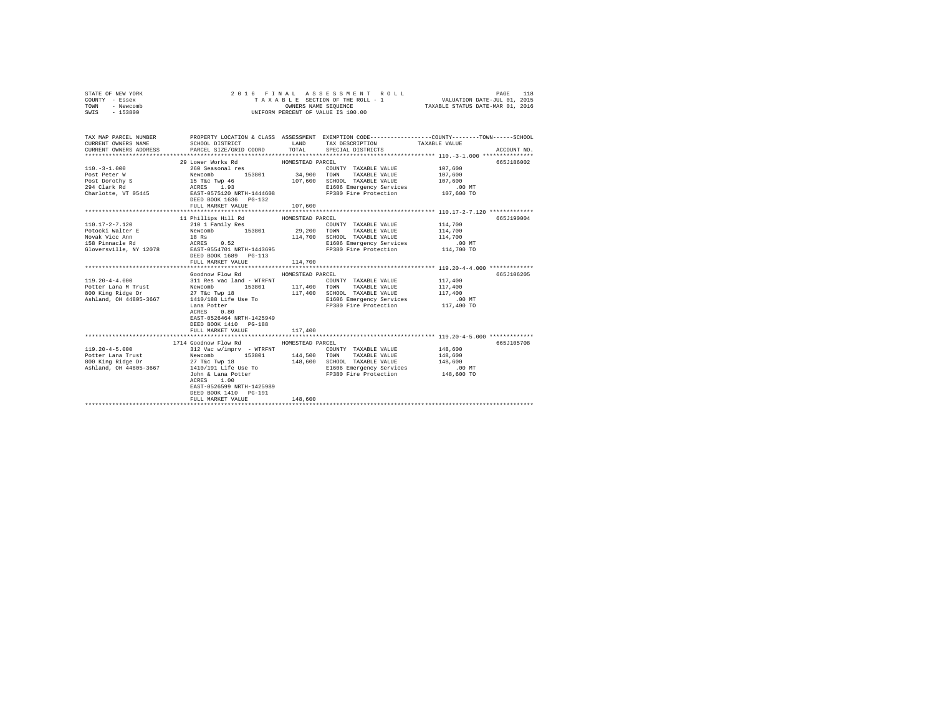| STATE OF NEW YORK<br>COUNTY - Essex<br>TOWN - Newcomb<br>SWIS - 153800 |                                                                                                                                                                                                                                                                                                                                                                                                           |                             | 2016 FINAL ASSESSMENT ROLL<br>T A X A B L E SECTION OF THE ROLL - 1<br>OWNERS NAME SEQUENCE<br>UNIFORM PERCENT OF VALUE IS 100.00 | 118<br>PAGE<br>VALUATION DATE-JUL 01, 2015<br>TAXABLE STATUS DATE-MAR 01, 2016                                                                           |
|------------------------------------------------------------------------|-----------------------------------------------------------------------------------------------------------------------------------------------------------------------------------------------------------------------------------------------------------------------------------------------------------------------------------------------------------------------------------------------------------|-----------------------------|-----------------------------------------------------------------------------------------------------------------------------------|----------------------------------------------------------------------------------------------------------------------------------------------------------|
| CURRENT OWNERS NAME<br>CURRENT OWNERS ADDRESS                          | SCHOOL DISTRICT<br>LAND TAX DESCRIPTION<br>PARCEL SIZE/GRID COORD TOTAL                                                                                                                                                                                                                                                                                                                                   |                             | SPECIAL DISTRICTS                                                                                                                 | TAX MAP PARCEL NUMBER THE PROPERTY LOCATION & CLASS ASSESSMENT EXEMPTION CODE--------------COUNTY-------TOWN------SCHOOL<br>TAXABLE VALUE<br>ACCOUNT NO. |
|                                                                        | 29 Lower Works Rd<br>FULL MARKET VALUE 107,600                                                                                                                                                                                                                                                                                                                                                            | HOMESTEAD PARCEL            |                                                                                                                                   | 665J186002                                                                                                                                               |
| 110.17-2-7.120<br>Potocki Walter E<br>Novak Vicc Ann                   | 11 Phillips Hill Rd MOMESTEAD PARCEL<br>210 1 Family Res<br>Newcomb 153801 29,200 TOWN TAXABLE VALUE<br>18 Rs<br>ACRES 0.52<br>158 Pinnacle Rd<br>Gloversville, NY 12078 EAST-0554701_NRTH-1443695<br>EAST-0554701_NRTH-1443695<br>DEED BOOK 1689 PG-113<br>FULL MARKET VALUE                                                                                                                             | 114,700<br>114,700          | COUNTY TAXABLE VALUE 114,700<br>SCHOOL TAXABLE VALUE<br>E1606 Emergency Services .00 MT<br>FP380 Fire Protection 114,700 TO       | 665J190004<br>114,700<br>114,700                                                                                                                         |
|                                                                        | Goodnow Flow Rd<br>Lana Potter<br>ACRES 0.80<br>EAST-0526464 NRTH-1425949<br>DEED BOOK 1410 PG-188<br>FULL MARKET VALUE                                                                                                                                                                                                                                                                                   | HOMESTEAD PARCEL<br>117,400 | E1606 Emergency Services<br>FP380 Fire Protection                                                                                 | 665J106205<br>117,400<br>117,400<br>117,400<br>.00 MT.<br>117,400 TO                                                                                     |
| $119.20 - 4 - 5.000$                                                   | 1714 Goodnow Flow Rd MOMESTEAD PARCEL<br>312 Vac w/imprv - WTRFNT<br>Potter Lana Trust Mewcomb 153801 144,500 TOWN TAXABLE VALUE<br>800 King Ridge Dr 2 27 T&C TWD 18 148,600 COMB TRIGE VALUE<br>800 King Ridge Dr 2 1410/191 Life Use To 146,600 Blefo6 Emergency Services<br>John & Lana Potter<br>ACRES 1.00<br>ACRES 1.00<br>EAST-0526599 NRTH-1425989<br>DEED BOOK 1410 PG-191<br>FULL MARKET VALUE | 148,600                     | COUNTY TAXABLE VALUE<br>E1606 Emergency Services 6 00 MT<br>FP380 Fire Protection 148,600 TO                                      | 665J105708<br>148,600<br>148,600<br>148,600                                                                                                              |
|                                                                        |                                                                                                                                                                                                                                                                                                                                                                                                           |                             |                                                                                                                                   |                                                                                                                                                          |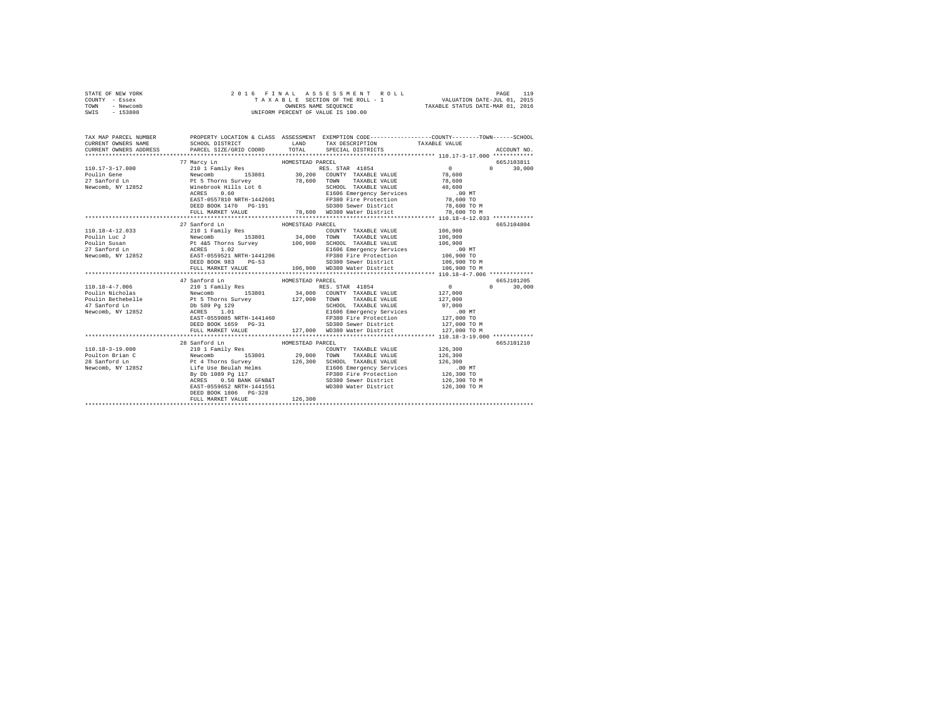|                | STATE OF NEW YORK |  |  |  |  | 2016 FINAL ASSESSMENT ROLL         |                                  | PAGE                        | 119 |
|----------------|-------------------|--|--|--|--|------------------------------------|----------------------------------|-----------------------------|-----|
| COUNTY - Essex |                   |  |  |  |  | TAXABLE SECTION OF THE ROLL - 1    |                                  | VALUATION DATE-JUL 01, 2015 |     |
| TOWN           | - Newcomb         |  |  |  |  | OWNERS NAME SEOUENCE               | TAXABLE STATUS DATE-MAR 01, 2016 |                             |     |
| SWIS           | - 153800          |  |  |  |  | UNIFORM PERCENT OF VALUE IS 100.00 |                                  |                             |     |

| TAX MAP PARCEL NUMBER<br>CURRENT OWNERS NAME                          | SCHOOL DISTRICT                                                                                                                                                                                                                                                                                                                                     |                  | LAND TAX DESCRIPTION                                                           | PROPERTY LOCATION & CLASS ASSESSMENT EXEMPTION CODE---------------COUNTY-------TOWN------SCHOOL<br>TAXABLE VALUE |  |
|-----------------------------------------------------------------------|-----------------------------------------------------------------------------------------------------------------------------------------------------------------------------------------------------------------------------------------------------------------------------------------------------------------------------------------------------|------------------|--------------------------------------------------------------------------------|------------------------------------------------------------------------------------------------------------------|--|
| CURRENT OWNERS ADDRESS PARCEL SIZE/GRID COORD TOTAL SPECIAL DISTRICTS |                                                                                                                                                                                                                                                                                                                                                     |                  |                                                                                | ACCOUNT NO.                                                                                                      |  |
|                                                                       |                                                                                                                                                                                                                                                                                                                                                     |                  |                                                                                |                                                                                                                  |  |
|                                                                       | $\begin{tabular}{lllllllllllll} \textbf{77} & \textbf{Marcy Ln} & \textbf{HOMESTEAD PARCEL} \\ \textbf{210} & \textbf{Family Res} & \textbf{RES} & \textbf{RES} & \textbf{TRR} & \textbf{41854} & \textbf{0} \\ \textbf{Newcomb} & \textbf{153801} & \textbf{30,200} & \textbf{CONTTY} & \textbf{TAXABLE VALUE} & \textbf{78,600} \\ \end{tabular}$ |                  |                                                                                | 665J103811                                                                                                       |  |
| $110.17 - 3 - 17.000$                                                 |                                                                                                                                                                                                                                                                                                                                                     |                  |                                                                                | $\sim$ 0<br>$0 \t30.000$                                                                                         |  |
|                                                                       |                                                                                                                                                                                                                                                                                                                                                     |                  |                                                                                |                                                                                                                  |  |
|                                                                       |                                                                                                                                                                                                                                                                                                                                                     |                  |                                                                                |                                                                                                                  |  |
|                                                                       |                                                                                                                                                                                                                                                                                                                                                     |                  |                                                                                |                                                                                                                  |  |
|                                                                       |                                                                                                                                                                                                                                                                                                                                                     |                  |                                                                                |                                                                                                                  |  |
|                                                                       |                                                                                                                                                                                                                                                                                                                                                     |                  |                                                                                |                                                                                                                  |  |
|                                                                       |                                                                                                                                                                                                                                                                                                                                                     |                  |                                                                                |                                                                                                                  |  |
|                                                                       |                                                                                                                                                                                                                                                                                                                                                     |                  |                                                                                |                                                                                                                  |  |
|                                                                       |                                                                                                                                                                                                                                                                                                                                                     |                  |                                                                                |                                                                                                                  |  |
|                                                                       | 27 Sanford Ln                                                                                                                                                                                                                                                                                                                                       | HOMESTEAD PARCEL |                                                                                | 665-7104804                                                                                                      |  |
| 110.18-4-12.033                                                       | 210 1 Family Res                                                                                                                                                                                                                                                                                                                                    |                  | COUNTY TAXABLE VALUE 106,900                                                   |                                                                                                                  |  |
|                                                                       |                                                                                                                                                                                                                                                                                                                                                     |                  |                                                                                |                                                                                                                  |  |
|                                                                       |                                                                                                                                                                                                                                                                                                                                                     |                  |                                                                                |                                                                                                                  |  |
|                                                                       |                                                                                                                                                                                                                                                                                                                                                     |                  |                                                                                |                                                                                                                  |  |
|                                                                       |                                                                                                                                                                                                                                                                                                                                                     |                  |                                                                                |                                                                                                                  |  |
|                                                                       |                                                                                                                                                                                                                                                                                                                                                     |                  |                                                                                |                                                                                                                  |  |
|                                                                       |                                                                                                                                                                                                                                                                                                                                                     |                  |                                                                                |                                                                                                                  |  |
|                                                                       |                                                                                                                                                                                                                                                                                                                                                     |                  |                                                                                |                                                                                                                  |  |
|                                                                       |                                                                                                                                                                                                                                                                                                                                                     |                  |                                                                                |                                                                                                                  |  |
|                                                                       | 47 Sanford Ln                                                                                                                                                                                                                                                                                                                                       | HOMESTEAD PARCEL |                                                                                | 665J101205                                                                                                       |  |
|                                                                       |                                                                                                                                                                                                                                                                                                                                                     |                  |                                                                                | $0 \t 30,000$                                                                                                    |  |
|                                                                       |                                                                                                                                                                                                                                                                                                                                                     |                  |                                                                                |                                                                                                                  |  |
|                                                                       |                                                                                                                                                                                                                                                                                                                                                     |                  |                                                                                |                                                                                                                  |  |
|                                                                       |                                                                                                                                                                                                                                                                                                                                                     |                  |                                                                                |                                                                                                                  |  |
|                                                                       |                                                                                                                                                                                                                                                                                                                                                     |                  |                                                                                |                                                                                                                  |  |
|                                                                       | EAST-0559085 NRTH-1441460 FP380 Fire Protection 127,000 TO                                                                                                                                                                                                                                                                                          |                  |                                                                                |                                                                                                                  |  |
|                                                                       | DEED BOOK 1659 PG-31                                                                                                                                                                                                                                                                                                                                |                  |                                                                                |                                                                                                                  |  |
|                                                                       | FULL MARKET VALUE                                                                                                                                                                                                                                                                                                                                   |                  | SD380 Sewer District 127,000 TO M<br>127,000 WD380 Water District 127,000 TO M |                                                                                                                  |  |
|                                                                       |                                                                                                                                                                                                                                                                                                                                                     |                  |                                                                                |                                                                                                                  |  |
|                                                                       | 28 Sanford Ln                                                                                                                                                                                                                                                                                                                                       | HOMESTEAD PARCEL |                                                                                | 665J101210                                                                                                       |  |
|                                                                       |                                                                                                                                                                                                                                                                                                                                                     |                  |                                                                                |                                                                                                                  |  |
|                                                                       |                                                                                                                                                                                                                                                                                                                                                     |                  |                                                                                |                                                                                                                  |  |
|                                                                       |                                                                                                                                                                                                                                                                                                                                                     |                  |                                                                                |                                                                                                                  |  |
|                                                                       |                                                                                                                                                                                                                                                                                                                                                     |                  |                                                                                |                                                                                                                  |  |
|                                                                       |                                                                                                                                                                                                                                                                                                                                                     |                  |                                                                                |                                                                                                                  |  |
|                                                                       |                                                                                                                                                                                                                                                                                                                                                     |                  |                                                                                | 126,300 TO M                                                                                                     |  |
|                                                                       | EAST-0559652 NRTH-1441551                                                                                                                                                                                                                                                                                                                           |                  | WD380 Water District                                                           | 126,300 TO M                                                                                                     |  |
|                                                                       | DEED BOOK 1806 PG-328                                                                                                                                                                                                                                                                                                                               |                  |                                                                                |                                                                                                                  |  |
|                                                                       | FULL MARKET VALUE                                                                                                                                                                                                                                                                                                                                   | 126,300          |                                                                                |                                                                                                                  |  |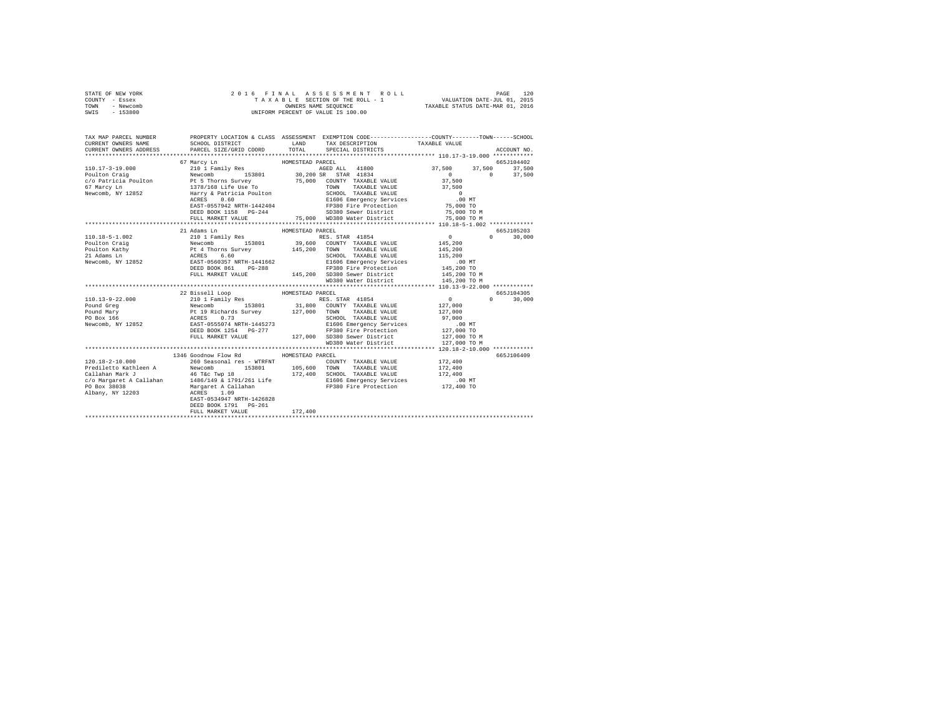|                | STATE OF NEW YORK |  |  |  |  | 2016 FINAL ASSESSMENT ROLL         |                                  | PAGE | 120 |
|----------------|-------------------|--|--|--|--|------------------------------------|----------------------------------|------|-----|
| COUNTY - Essex |                   |  |  |  |  | TAXABLE SECTION OF THE ROLL - 1    | VALUATION DATE-JUL 01, 2015      |      |     |
| TOWN           | - Newcomb         |  |  |  |  | OWNERS NAME SEOUENCE               | TAXABLE STATUS DATE-MAR 01, 2016 |      |     |
| SWIS           | $-153800$         |  |  |  |  | UNIFORM PERCENT OF VALUE IS 100.00 |                                  |      |     |

| TAX MAP PARCEL NUMBER<br>CURRENT OWNERS NAME | PROPERTY LOCATION & CLASS ASSESSMENT EXEMPTION CODE-----------------COUNTY-------TOWN------SCHOOL<br>SCHOOL DISTRICT<br>LAND TAX DESCRIPTION |                  |                                                                                                                                                                                                                                                                                                                                                                                                                                                                                            | TAXABLE VALUE                                                                   |               |
|----------------------------------------------|----------------------------------------------------------------------------------------------------------------------------------------------|------------------|--------------------------------------------------------------------------------------------------------------------------------------------------------------------------------------------------------------------------------------------------------------------------------------------------------------------------------------------------------------------------------------------------------------------------------------------------------------------------------------------|---------------------------------------------------------------------------------|---------------|
| CURRENT OWNERS ADDRESS                       |                                                                                                                                              |                  | PARCEL SIZE/GRID COORD TOTAL SPECIAL DISTRICTS                                                                                                                                                                                                                                                                                                                                                                                                                                             |                                                                                 | ACCOUNT NO.   |
|                                              | 67 Marcy Ln<br>HOMESTEAD PARCEL                                                                                                              |                  |                                                                                                                                                                                                                                                                                                                                                                                                                                                                                            |                                                                                 | 665J104402    |
|                                              |                                                                                                                                              |                  |                                                                                                                                                                                                                                                                                                                                                                                                                                                                                            |                                                                                 |               |
|                                              |                                                                                                                                              |                  |                                                                                                                                                                                                                                                                                                                                                                                                                                                                                            |                                                                                 |               |
|                                              |                                                                                                                                              |                  |                                                                                                                                                                                                                                                                                                                                                                                                                                                                                            |                                                                                 |               |
|                                              |                                                                                                                                              |                  |                                                                                                                                                                                                                                                                                                                                                                                                                                                                                            |                                                                                 |               |
|                                              |                                                                                                                                              |                  |                                                                                                                                                                                                                                                                                                                                                                                                                                                                                            |                                                                                 |               |
|                                              |                                                                                                                                              |                  |                                                                                                                                                                                                                                                                                                                                                                                                                                                                                            |                                                                                 |               |
|                                              |                                                                                                                                              |                  |                                                                                                                                                                                                                                                                                                                                                                                                                                                                                            |                                                                                 |               |
|                                              |                                                                                                                                              |                  |                                                                                                                                                                                                                                                                                                                                                                                                                                                                                            |                                                                                 |               |
|                                              | FULL MARKET VALUE                                                                                                                            |                  | 75,000 WD380 Water District                                                                                                                                                                                                                                                                                                                                                                                                                                                                | 75,000 TO M                                                                     |               |
|                                              |                                                                                                                                              |                  |                                                                                                                                                                                                                                                                                                                                                                                                                                                                                            |                                                                                 |               |
|                                              | 21 Adams Ln                                                                                                                                  | HOMESTEAD PARCEL |                                                                                                                                                                                                                                                                                                                                                                                                                                                                                            |                                                                                 | 665J105203    |
|                                              |                                                                                                                                              |                  |                                                                                                                                                                                                                                                                                                                                                                                                                                                                                            | $\begin{array}{ccccc}\n & & & & 0 \\ \text{VALUE} & & & & 145,200\n\end{array}$ | $0 \t30,000$  |
|                                              |                                                                                                                                              |                  |                                                                                                                                                                                                                                                                                                                                                                                                                                                                                            |                                                                                 |               |
|                                              |                                                                                                                                              |                  |                                                                                                                                                                                                                                                                                                                                                                                                                                                                                            |                                                                                 |               |
|                                              |                                                                                                                                              |                  |                                                                                                                                                                                                                                                                                                                                                                                                                                                                                            |                                                                                 |               |
|                                              |                                                                                                                                              |                  |                                                                                                                                                                                                                                                                                                                                                                                                                                                                                            |                                                                                 |               |
|                                              |                                                                                                                                              |                  |                                                                                                                                                                                                                                                                                                                                                                                                                                                                                            |                                                                                 |               |
|                                              |                                                                                                                                              |                  |                                                                                                                                                                                                                                                                                                                                                                                                                                                                                            |                                                                                 |               |
|                                              |                                                                                                                                              |                  | WD380 Water District 145,200 TO M                                                                                                                                                                                                                                                                                                                                                                                                                                                          |                                                                                 |               |
|                                              |                                                                                                                                              |                  |                                                                                                                                                                                                                                                                                                                                                                                                                                                                                            |                                                                                 |               |
|                                              | 22 Bissell Loop MOMESTEAD PARCEL                                                                                                             |                  |                                                                                                                                                                                                                                                                                                                                                                                                                                                                                            |                                                                                 | 665J104305    |
|                                              |                                                                                                                                              |                  |                                                                                                                                                                                                                                                                                                                                                                                                                                                                                            |                                                                                 | $0 \t 30.000$ |
|                                              |                                                                                                                                              |                  |                                                                                                                                                                                                                                                                                                                                                                                                                                                                                            |                                                                                 |               |
|                                              |                                                                                                                                              |                  |                                                                                                                                                                                                                                                                                                                                                                                                                                                                                            |                                                                                 |               |
|                                              |                                                                                                                                              |                  |                                                                                                                                                                                                                                                                                                                                                                                                                                                                                            |                                                                                 |               |
|                                              |                                                                                                                                              |                  |                                                                                                                                                                                                                                                                                                                                                                                                                                                                                            |                                                                                 |               |
|                                              |                                                                                                                                              |                  |                                                                                                                                                                                                                                                                                                                                                                                                                                                                                            |                                                                                 |               |
|                                              |                                                                                                                                              |                  |                                                                                                                                                                                                                                                                                                                                                                                                                                                                                            |                                                                                 |               |
|                                              |                                                                                                                                              |                  | FULL MARKET VALUE 427,000 127,000 SD380 Sewer District 127,000 TO M<br>WD380 Water District 127,000 TO M                                                                                                                                                                                                                                                                                                                                                                                   |                                                                                 |               |
|                                              |                                                                                                                                              |                  |                                                                                                                                                                                                                                                                                                                                                                                                                                                                                            |                                                                                 |               |
|                                              |                                                                                                                                              |                  |                                                                                                                                                                                                                                                                                                                                                                                                                                                                                            |                                                                                 |               |
|                                              | 1346 Goodnow Flow Rd MOMESTEAD PARCEL                                                                                                        |                  |                                                                                                                                                                                                                                                                                                                                                                                                                                                                                            |                                                                                 | 665J106409    |
|                                              |                                                                                                                                              |                  | COUNTY TAXABLE VALUE 172,400                                                                                                                                                                                                                                                                                                                                                                                                                                                               |                                                                                 |               |
|                                              |                                                                                                                                              |                  | $\begin{tabular}{lllll} \multicolumn{2}{c}{\textbf{TAXABLE} \quad \quad \quad \quad} & \multicolumn{2}{c}{\textbf{TAXABLE} \quad \quad} & \multicolumn{2}{c}{\textbf{0}} \\ \multicolumn{2}{c}{\textbf{L}} & \multicolumn{2}{c}{\textbf{TAXABLE} \quad \quad \quad} & \multicolumn{2}{c}{\textbf{0}} \\ \multicolumn{2}{c}{\textbf{L}} & \multicolumn{2}{c}{\textbf{TAXABLE} \quad \quad} & \multicolumn{2}{c}{\textbf{NLOE}} & \multicolumn{2}{c}{\textbf{172, 400}} \\ \multicolumn{2}{$ |                                                                                 |               |
|                                              |                                                                                                                                              |                  |                                                                                                                                                                                                                                                                                                                                                                                                                                                                                            |                                                                                 |               |
|                                              |                                                                                                                                              |                  |                                                                                                                                                                                                                                                                                                                                                                                                                                                                                            |                                                                                 |               |
|                                              |                                                                                                                                              |                  |                                                                                                                                                                                                                                                                                                                                                                                                                                                                                            |                                                                                 |               |
|                                              |                                                                                                                                              |                  |                                                                                                                                                                                                                                                                                                                                                                                                                                                                                            |                                                                                 |               |
|                                              | EAST-0534947 NRTH-1426828                                                                                                                    |                  |                                                                                                                                                                                                                                                                                                                                                                                                                                                                                            |                                                                                 |               |
|                                              | DEED BOOK 1791    PG-261                                                                                                                     |                  |                                                                                                                                                                                                                                                                                                                                                                                                                                                                                            |                                                                                 |               |
|                                              | FULL MARKET VALUE                                                                                                                            | 172,400          |                                                                                                                                                                                                                                                                                                                                                                                                                                                                                            |                                                                                 |               |
|                                              |                                                                                                                                              |                  |                                                                                                                                                                                                                                                                                                                                                                                                                                                                                            |                                                                                 |               |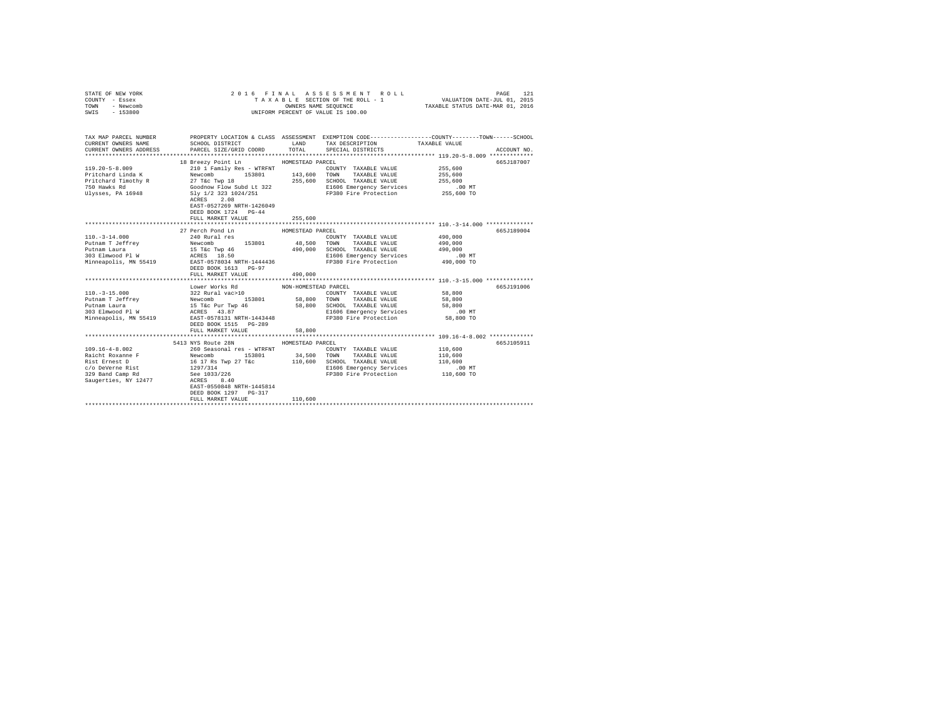| STATE OF NEW YORK<br>COUNTY - Essex<br>TOWN<br>- Newcomb<br>SWIS - 153800                                                                                                                                                     | 2016 FINAL                                                                                                                              |                      | ASSESSMENT ROLL<br>T A X A B L E SECTION OF THE ROLL - 1<br>OWNERS NAME SEQUENCE<br>UNIFORM PERCENT OF VALUE IS 100.00 | PAGE<br>121<br>VALUATION DATE-JUL 01, 2015<br>TAXABLE STATUS DATE-MAR 01, 2016                                                        |
|-------------------------------------------------------------------------------------------------------------------------------------------------------------------------------------------------------------------------------|-----------------------------------------------------------------------------------------------------------------------------------------|----------------------|------------------------------------------------------------------------------------------------------------------------|---------------------------------------------------------------------------------------------------------------------------------------|
| CURRENT OWNERS NAME                                                                                                                                                                                                           | SCHOOL DISTRICT                                                                                                                         |                      | LAND TAX DESCRIPTION                                                                                                   | TAX MAP PARCEL NUMBER PROPERTY LOCATION & CLASS ASSESSMENT EXEMPTION CODE--------------COUNTY-------TOWN------SCHOOL<br>TAXABLE VALUE |
| CURRENT OWNERS ADDRESS                                                                                                                                                                                                        | PARCEL SIZE/GRID COORD                                                                                                                  | TOTAL                | SPECIAL DISTRICTS                                                                                                      | ACCOUNT NO.                                                                                                                           |
|                                                                                                                                                                                                                               |                                                                                                                                         |                      |                                                                                                                        | 665.T187007                                                                                                                           |
| 119.20-5-8.009                                                                                                                                                                                                                | 18 Breezy Point Ln HOMESTEAD PARCEL                                                                                                     |                      | COUNTY TAXABLE VALUE                                                                                                   | 255,600                                                                                                                               |
| Pritchard Linda K                                                                                                                                                                                                             |                                                                                                                                         |                      |                                                                                                                        | 255,600                                                                                                                               |
|                                                                                                                                                                                                                               |                                                                                                                                         |                      |                                                                                                                        | 255,600                                                                                                                               |
|                                                                                                                                                                                                                               |                                                                                                                                         |                      |                                                                                                                        |                                                                                                                                       |
| Pritchard Timothy R<br>27 T&c Twp 18 255,600 SCHOOL TAXABLE VALUE<br>750 Hawks Rd<br>31 1024/251 255,600 SCHOOL TAXABLE VALUE<br>255,600 SCHOOL TAXABLE VALUE<br>255,600 SCHOOL TAXABLE VALUE<br>255,600 SCHOOL TAXABLE VALUE | ACRES 2.08<br>EAST-0527269 NRTH-1426049<br>DEED BOOK 1724 PG-44                                                                         |                      | E1606 Emergency Services 6.00 MT<br>FP380 Fire Protection 255,600 TO                                                   |                                                                                                                                       |
|                                                                                                                                                                                                                               | FULL MARKET VALUE                                                                                                                       | 255,600              |                                                                                                                        |                                                                                                                                       |
|                                                                                                                                                                                                                               |                                                                                                                                         |                      |                                                                                                                        |                                                                                                                                       |
|                                                                                                                                                                                                                               | 27 Perch Pond Ln                                                                                                                        | HOMESTEAD PARCEL     |                                                                                                                        | 665J189004                                                                                                                            |
| 110.-3-14.000<br>Putnam T Jeffrey<br>- Taura                                                                                                                                                                                  |                                                                                                                                         |                      | COUNTY TAXABLE VALUE                                                                                                   | 490,000                                                                                                                               |
|                                                                                                                                                                                                                               |                                                                                                                                         |                      |                                                                                                                        | 490,000                                                                                                                               |
| 303 Elmwood Pl W                                                                                                                                                                                                              |                                                                                                                                         |                      | SCHOOL TAXABLE VALUE<br>E1606 Emergency Services                                                                       | 490,000<br>.00 MT                                                                                                                     |
| Minneapolis, MN 55419 288T-0578034 NRTH-1444436 29380 Fire Protection 490,000 TO                                                                                                                                              |                                                                                                                                         |                      |                                                                                                                        |                                                                                                                                       |
|                                                                                                                                                                                                                               | DEED BOOK 1613 PG-97                                                                                                                    |                      |                                                                                                                        |                                                                                                                                       |
|                                                                                                                                                                                                                               | FULL MARKET VALUE                                                                                                                       | 490,000              |                                                                                                                        |                                                                                                                                       |
|                                                                                                                                                                                                                               |                                                                                                                                         |                      |                                                                                                                        |                                                                                                                                       |
|                                                                                                                                                                                                                               | Lower Works Rd                                                                                                                          | NON-HOMESTEAD PARCEL |                                                                                                                        | 665J191006                                                                                                                            |
| $110. - 3 - 15.000$                                                                                                                                                                                                           |                                                                                                                                         |                      | COUNTY TAXABLE VALUE 58,800                                                                                            |                                                                                                                                       |
| Putnam T Jeffrey<br>Putnam Laura                                                                                                                                                                                              |                                                                                                                                         |                      |                                                                                                                        | 58,800                                                                                                                                |
|                                                                                                                                                                                                                               |                                                                                                                                         |                      |                                                                                                                        | 58,800                                                                                                                                |
| 303 Elmwood Pl W                                                                                                                                                                                                              |                                                                                                                                         |                      |                                                                                                                        | $.00$ MT                                                                                                                              |
| Minneapolis, MN 55419                                                                                                                                                                                                         | DEED BOOK 1515 PG-289                                                                                                                   |                      |                                                                                                                        | 58,800 TO                                                                                                                             |
|                                                                                                                                                                                                                               | FULL MARKET VALUE                                                                                                                       | 58,800               |                                                                                                                        |                                                                                                                                       |
|                                                                                                                                                                                                                               | 5413 NYS Route 28N                                                                                                                      |                      |                                                                                                                        |                                                                                                                                       |
|                                                                                                                                                                                                                               |                                                                                                                                         | HOMESTEAD PARCEL     |                                                                                                                        | 665J105911                                                                                                                            |
| $109.16 - 4 - 8.002$<br>Raicht Roxanne F                                                                                                                                                                                      | 260 Seasonal res - WTRFNT                                                                                                               |                      | COUNTY TAXABLE VALUE                                                                                                   | 110,600<br>110,600                                                                                                                    |
| Rist Ernest D                                                                                                                                                                                                                 |                                                                                                                                         |                      | TOWN<br>TAXABLE VALUE<br>SCHOOL TAXABLE VALUE                                                                          | 110,600                                                                                                                               |
| c/o DeVerne Rist                                                                                                                                                                                                              |                                                                                                                                         |                      | E1606 Emergency Services                                                                                               |                                                                                                                                       |
| 329 Band Camp Rd                                                                                                                                                                                                              |                                                                                                                                         |                      | FP380 Fire Protection                                                                                                  | 00 MT.<br>110,600 TO                                                                                                                  |
| Saugerties, NY 12477 ACRES 8.40                                                                                                                                                                                               | 2000 Seasonnal 188 - Frances 153801<br>16 17 Re Twp 27 Ticc 110,600<br>16 17 Re 1033/226<br>2297/314<br>See 1033/226<br>2477 20RES 8.40 |                      |                                                                                                                        |                                                                                                                                       |
|                                                                                                                                                                                                                               | EAST-0550848 NRTH-1445814                                                                                                               |                      |                                                                                                                        |                                                                                                                                       |
|                                                                                                                                                                                                                               | DEED BOOK 1297 PG-317                                                                                                                   |                      |                                                                                                                        |                                                                                                                                       |
|                                                                                                                                                                                                                               | FULL MARKET VALUE                                                                                                                       | 110,600              |                                                                                                                        |                                                                                                                                       |
|                                                                                                                                                                                                                               |                                                                                                                                         |                      |                                                                                                                        |                                                                                                                                       |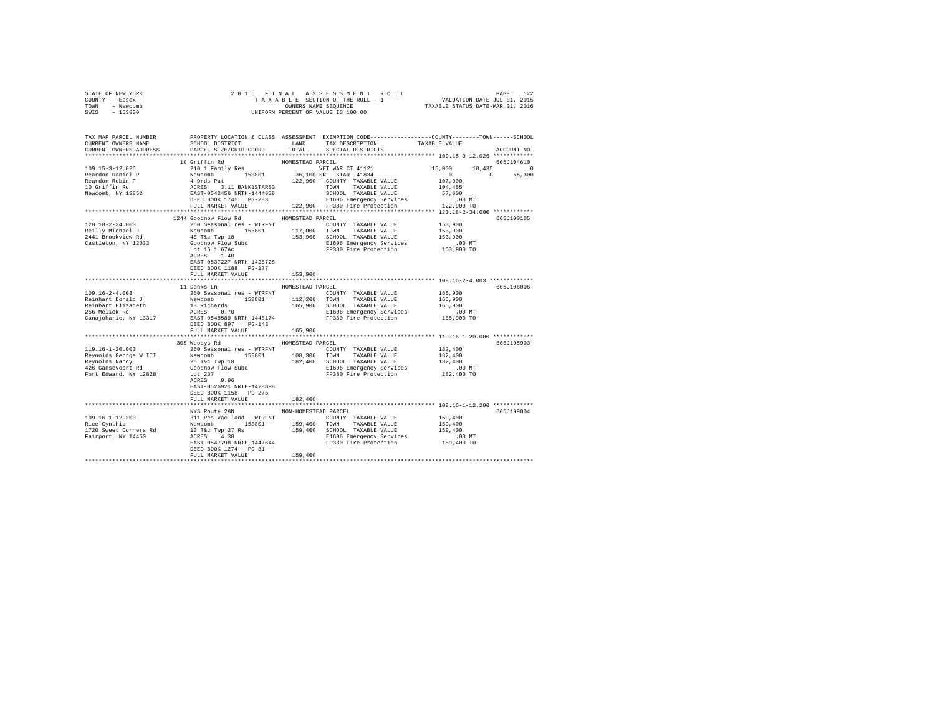| STATE OF NEW YORK | 2016 FINAL ASSESSMENT ROLL         | 122<br>PAGE                      |
|-------------------|------------------------------------|----------------------------------|
| COUNTY - Essex    | TAXABLE SECTION OF THE ROLL - 1    | VALUATION DATE-JUL 01, 2015      |
| TOWN<br>- Newcomb | OWNERS NAME SEOUENCE               | TAXABLE STATUS DATE-MAR 01, 2016 |
| $-153800$<br>SWIS | UNIFORM PERCENT OF VALUE IS 100.00 |                                  |

| TAX MAP PARCEL NUMBER<br>CURRENT OWNERS NAME<br>CURRENT OWNERS ADDRESS                                                                                                                                                                                                                                                                                                                       | SCHOOL DISTRICT<br>PARCEL SIZE/GRID COORD | LAND                 | PROPERTY LOCATION & CLASS ASSESSMENT EXEMPTION CODE----------------COUNTY-------TOWN------SCHOOL<br>TAX DESCRIPTION<br>TOTAL SPECIAL DISTRICTS | TAXABLE VALUE        | ACCOUNT NO. |
|----------------------------------------------------------------------------------------------------------------------------------------------------------------------------------------------------------------------------------------------------------------------------------------------------------------------------------------------------------------------------------------------|-------------------------------------------|----------------------|------------------------------------------------------------------------------------------------------------------------------------------------|----------------------|-------------|
|                                                                                                                                                                                                                                                                                                                                                                                              |                                           |                      |                                                                                                                                                |                      |             |
|                                                                                                                                                                                                                                                                                                                                                                                              | 10 Griffin Rd                             | HOMESTEAD PARCEL     |                                                                                                                                                |                      | 665.T104610 |
| $\begin{tabular}{cccccc} 109.15-3-12.026 & 10\text{ VITL in rad} & 15.000 & 18 \\ \hline \texttt{Reardon Daniel P} & & 210\text{ I Family Res} & 153801 & 36,100\text{ S} & \texttt{STAR CT 41121} & 15,000 & 18 \\ \texttt{Reardon Roin P} & & 4\text{ Ords Pat} & 152801 & 36,100\text{ S} & \texttt{STAR 41834} & 0 \\ \texttt{Reardon Roin P} & & 4\text{ C} \texttt{RS} & 3.11\text{ B$ |                                           |                      |                                                                                                                                                |                      | 18,435 0    |
|                                                                                                                                                                                                                                                                                                                                                                                              |                                           |                      |                                                                                                                                                | $\sim$ 0 $\sim$      | 65,300      |
|                                                                                                                                                                                                                                                                                                                                                                                              |                                           |                      |                                                                                                                                                |                      |             |
|                                                                                                                                                                                                                                                                                                                                                                                              |                                           |                      |                                                                                                                                                |                      |             |
|                                                                                                                                                                                                                                                                                                                                                                                              |                                           |                      |                                                                                                                                                |                      |             |
|                                                                                                                                                                                                                                                                                                                                                                                              |                                           |                      |                                                                                                                                                |                      |             |
|                                                                                                                                                                                                                                                                                                                                                                                              |                                           |                      |                                                                                                                                                |                      |             |
|                                                                                                                                                                                                                                                                                                                                                                                              | 1244 Goodnow Flow Rd                      | HOMESTEAD PARCEL     |                                                                                                                                                |                      | 665J100105  |
| 120.18-2-34.000                                                                                                                                                                                                                                                                                                                                                                              | 260 Seasonal res - WTRFNT                 |                      | COUNTY TAXABLE VALUE                                                                                                                           | 153,900              |             |
|                                                                                                                                                                                                                                                                                                                                                                                              |                                           |                      |                                                                                                                                                | 153,900              |             |
|                                                                                                                                                                                                                                                                                                                                                                                              |                                           |                      |                                                                                                                                                | 153,900              |             |
| Castleton, NY 12033                                                                                                                                                                                                                                                                                                                                                                          | Goodnow Flow Subd<br>Lot 15 1.67Ac        |                      | E1606 Emergency Services .00 MT<br>FP380 Fire Protection  153,900 TO                                                                           |                      |             |
|                                                                                                                                                                                                                                                                                                                                                                                              | ACRES 1.40                                |                      |                                                                                                                                                |                      |             |
|                                                                                                                                                                                                                                                                                                                                                                                              | EAST-0537227 NRTH-1425728                 |                      |                                                                                                                                                |                      |             |
|                                                                                                                                                                                                                                                                                                                                                                                              | DEED BOOK 1188 PG-177                     |                      |                                                                                                                                                |                      |             |
|                                                                                                                                                                                                                                                                                                                                                                                              | FULL MARKET VALUE                         | 153,900              |                                                                                                                                                |                      |             |
|                                                                                                                                                                                                                                                                                                                                                                                              | 11 Donks Ln                               |                      |                                                                                                                                                |                      |             |
|                                                                                                                                                                                                                                                                                                                                                                                              |                                           | HOMESTEAD PARCEL     |                                                                                                                                                |                      | 665J106006  |
|                                                                                                                                                                                                                                                                                                                                                                                              |                                           |                      |                                                                                                                                                |                      |             |
|                                                                                                                                                                                                                                                                                                                                                                                              |                                           |                      |                                                                                                                                                |                      |             |
|                                                                                                                                                                                                                                                                                                                                                                                              |                                           |                      |                                                                                                                                                |                      |             |
|                                                                                                                                                                                                                                                                                                                                                                                              |                                           |                      |                                                                                                                                                |                      |             |
|                                                                                                                                                                                                                                                                                                                                                                                              | DEED BOOK 897 PG-143                      |                      |                                                                                                                                                |                      |             |
|                                                                                                                                                                                                                                                                                                                                                                                              | FULL MARKET VALUE                         | 165,900              |                                                                                                                                                |                      |             |
|                                                                                                                                                                                                                                                                                                                                                                                              | 305 Woodys Rd MOMESTEAD PARCEL            |                      |                                                                                                                                                |                      | 665J105903  |
| 119.16-1-20.000                                                                                                                                                                                                                                                                                                                                                                              | 260 Seasonal res - WTRFNT                 |                      | COUNTY TAXABLE VALUE                                                                                                                           | 182,400              |             |
|                                                                                                                                                                                                                                                                                                                                                                                              |                                           |                      |                                                                                                                                                | 182,400<br>182,400   |             |
|                                                                                                                                                                                                                                                                                                                                                                                              |                                           |                      |                                                                                                                                                |                      |             |
| Meyonolds George WIII Newcomb 153801 108,300 TOWN TAXABLE VALUE<br>Reynolds George WIII 26 Tac Tay 18<br>42,400 SCHOR 26 Tac TaxABLE VALUE<br>426 Gansewoort Rd Goddow Flow Subd 257<br>FP380 Fire Protection<br>FOT Edward, NY 12828 Lot 237                                                                                                                                                |                                           |                      |                                                                                                                                                | 00 MT.<br>182,400 TO |             |
|                                                                                                                                                                                                                                                                                                                                                                                              |                                           |                      | FP380 Fire Protection                                                                                                                          |                      |             |
|                                                                                                                                                                                                                                                                                                                                                                                              | ACRES 0.96<br>EAST-0526921 NRTH-1428898   |                      |                                                                                                                                                |                      |             |
|                                                                                                                                                                                                                                                                                                                                                                                              | DEED BOOK 1158 PG-275                     |                      |                                                                                                                                                |                      |             |
|                                                                                                                                                                                                                                                                                                                                                                                              | FULL MARKET VALUE                         | 182,400              |                                                                                                                                                |                      |             |
|                                                                                                                                                                                                                                                                                                                                                                                              |                                           |                      |                                                                                                                                                |                      |             |
|                                                                                                                                                                                                                                                                                                                                                                                              | NYS Route 28N                             | NON-HOMESTEAD PARCEL |                                                                                                                                                |                      | 665J199004  |
|                                                                                                                                                                                                                                                                                                                                                                                              |                                           |                      |                                                                                                                                                |                      |             |
|                                                                                                                                                                                                                                                                                                                                                                                              |                                           |                      |                                                                                                                                                |                      |             |
|                                                                                                                                                                                                                                                                                                                                                                                              |                                           |                      |                                                                                                                                                | .00 MT               |             |
| 109.16-1-12.200<br>199.16-1-12.200<br>2018<br>Rewomb 153801<br>Newtom 153801<br>199.400<br>199.400<br>2020<br>2020<br>2020<br>2020<br>2020<br>2020<br>2020<br>2020<br>2020<br>2020<br>2020<br>2020<br>2020<br>2020<br>2020<br>2020<br>2020<br>2020<br>2                                                                                                                                      |                                           |                      |                                                                                                                                                | 159,400 TO           |             |
|                                                                                                                                                                                                                                                                                                                                                                                              | DEED BOOK 1274 PG-81                      |                      |                                                                                                                                                |                      |             |
|                                                                                                                                                                                                                                                                                                                                                                                              | FULL MARKET VALUE                         | 159,400              |                                                                                                                                                |                      |             |
|                                                                                                                                                                                                                                                                                                                                                                                              |                                           |                      |                                                                                                                                                |                      |             |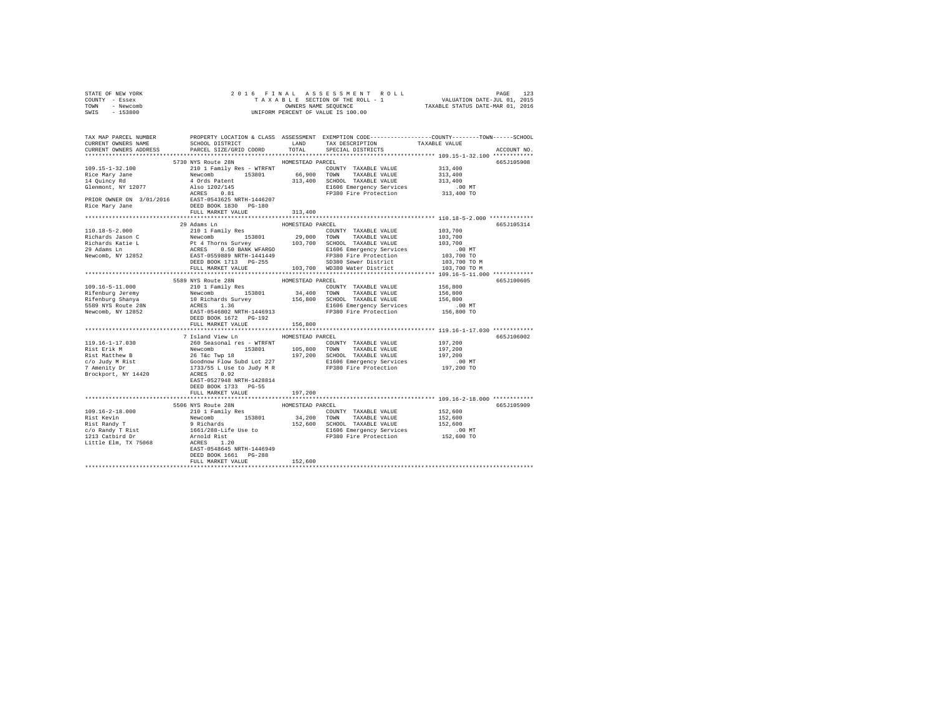| STATE OF NEW YORK                                                                                                                                                                                                                                                                                                                                                                                                                                                |                                   |                             |                                                  |             |
|------------------------------------------------------------------------------------------------------------------------------------------------------------------------------------------------------------------------------------------------------------------------------------------------------------------------------------------------------------------------------------------------------------------------------------------------------------------|-----------------------------------|-----------------------------|--------------------------------------------------|-------------|
| COUNTY - Essex                                                                                                                                                                                                                                                                                                                                                                                                                                                   |                                   |                             |                                                  |             |
| TOWN - Newcomb                                                                                                                                                                                                                                                                                                                                                                                                                                                   |                                   |                             |                                                  |             |
| SWIS - 153800                                                                                                                                                                                                                                                                                                                                                                                                                                                    |                                   |                             |                                                  |             |
|                                                                                                                                                                                                                                                                                                                                                                                                                                                                  |                                   |                             |                                                  |             |
|                                                                                                                                                                                                                                                                                                                                                                                                                                                                  |                                   |                             |                                                  |             |
|                                                                                                                                                                                                                                                                                                                                                                                                                                                                  |                                   |                             |                                                  |             |
|                                                                                                                                                                                                                                                                                                                                                                                                                                                                  |                                   |                             |                                                  |             |
| TAX MAP PARCEL NUMBER     PROPERTY LOCATION & CLASS ASSESSMENT EXEMPTION CODE--------------CCOUNTY-------TOWN------SCHOOL DISTRICT     LAND   TAX DESCRIPTION     TAXABLE VALUE                                                                                                                                                                                                                                                                                  |                                   |                             |                                                  |             |
| CURRENT OWNERS NAME SCHOOL DISTRICT LAND TAX DESCRIPTION TAXABLE VALUE CURRENT OWNERS ADDRESS PARCEL SIZE/GRID COORD TOTAL SPECIAL DISTRICTS                                                                                                                                                                                                                                                                                                                     |                                   |                             |                                                  |             |
|                                                                                                                                                                                                                                                                                                                                                                                                                                                                  |                                   |                             |                                                  | ACCOUNT NO. |
|                                                                                                                                                                                                                                                                                                                                                                                                                                                                  |                                   |                             |                                                  |             |
| $\begin{tabular}{cccc} $109.15$--1$--32.100 & $510$ times true for $200$ & $100$ times true for $200$ & $100$ times true for $200$ & $100$ times true for $200$ & $100$ times true for $200$ & $100$ times true for $200$ & $100$ times true for $200$ & $100$ times true for $200$ & $100$ times true for $200$ & $100$ times true for $200$ & $100$ times true for $200$ & $100$ times true for $200$ & $100$ times true for $200$ & $100$ times true for $20$ | 5730 NYS Route 28N                | HOMESTEAD PARCEL            |                                                  | 665J105908  |
|                                                                                                                                                                                                                                                                                                                                                                                                                                                                  |                                   |                             |                                                  |             |
|                                                                                                                                                                                                                                                                                                                                                                                                                                                                  |                                   |                             |                                                  |             |
|                                                                                                                                                                                                                                                                                                                                                                                                                                                                  |                                   |                             |                                                  |             |
|                                                                                                                                                                                                                                                                                                                                                                                                                                                                  |                                   |                             |                                                  |             |
|                                                                                                                                                                                                                                                                                                                                                                                                                                                                  |                                   |                             |                                                  |             |
|                                                                                                                                                                                                                                                                                                                                                                                                                                                                  |                                   |                             |                                                  |             |
|                                                                                                                                                                                                                                                                                                                                                                                                                                                                  |                                   |                             |                                                  |             |
|                                                                                                                                                                                                                                                                                                                                                                                                                                                                  |                                   |                             |                                                  |             |
|                                                                                                                                                                                                                                                                                                                                                                                                                                                                  |                                   |                             |                                                  |             |
|                                                                                                                                                                                                                                                                                                                                                                                                                                                                  |                                   |                             |                                                  |             |
|                                                                                                                                                                                                                                                                                                                                                                                                                                                                  | 29 Adams Ln                       | HOMESTEAD PARCEL            |                                                  | 665J105314  |
|                                                                                                                                                                                                                                                                                                                                                                                                                                                                  |                                   |                             |                                                  |             |
|                                                                                                                                                                                                                                                                                                                                                                                                                                                                  |                                   |                             |                                                  |             |
|                                                                                                                                                                                                                                                                                                                                                                                                                                                                  |                                   |                             |                                                  |             |
|                                                                                                                                                                                                                                                                                                                                                                                                                                                                  |                                   |                             |                                                  |             |
|                                                                                                                                                                                                                                                                                                                                                                                                                                                                  |                                   |                             |                                                  |             |
|                                                                                                                                                                                                                                                                                                                                                                                                                                                                  |                                   |                             |                                                  |             |
|                                                                                                                                                                                                                                                                                                                                                                                                                                                                  |                                   |                             | 103,700 TO M                                     |             |
|                                                                                                                                                                                                                                                                                                                                                                                                                                                                  |                                   |                             |                                                  |             |
|                                                                                                                                                                                                                                                                                                                                                                                                                                                                  |                                   |                             |                                                  | 665J100605  |
| 109.16–5–11.000<br>199.16–5–11.000<br>199.16–5–11.000<br>2010 I Family Res BOMESTEAD PARCEL.<br>2010 I Family Res COUNTY TAXABLE VALUE 156,800<br>Rifenburg Jeremy Newcomb 153801<br>2010 ISBN 156,800<br>2010 ISBN 156,800<br>2020 ISBN 156,8                                                                                                                                                                                                                   |                                   |                             |                                                  |             |
|                                                                                                                                                                                                                                                                                                                                                                                                                                                                  |                                   |                             |                                                  |             |
|                                                                                                                                                                                                                                                                                                                                                                                                                                                                  |                                   |                             |                                                  |             |
|                                                                                                                                                                                                                                                                                                                                                                                                                                                                  |                                   |                             |                                                  |             |
|                                                                                                                                                                                                                                                                                                                                                                                                                                                                  |                                   |                             |                                                  |             |
|                                                                                                                                                                                                                                                                                                                                                                                                                                                                  |                                   |                             |                                                  |             |
|                                                                                                                                                                                                                                                                                                                                                                                                                                                                  |                                   |                             |                                                  |             |
|                                                                                                                                                                                                                                                                                                                                                                                                                                                                  | FULL MARKET VALUE 152 156,800     |                             |                                                  |             |
|                                                                                                                                                                                                                                                                                                                                                                                                                                                                  |                                   | *************************** | ******************* 119.16-1-17.030 ************ |             |
|                                                                                                                                                                                                                                                                                                                                                                                                                                                                  | 7 Island View Ln MOMESTEAD PARCEL |                             |                                                  | 665J106002  |
|                                                                                                                                                                                                                                                                                                                                                                                                                                                                  |                                   |                             |                                                  |             |
|                                                                                                                                                                                                                                                                                                                                                                                                                                                                  |                                   |                             |                                                  |             |
|                                                                                                                                                                                                                                                                                                                                                                                                                                                                  |                                   |                             |                                                  |             |
|                                                                                                                                                                                                                                                                                                                                                                                                                                                                  |                                   |                             |                                                  |             |
|                                                                                                                                                                                                                                                                                                                                                                                                                                                                  |                                   |                             |                                                  |             |
|                                                                                                                                                                                                                                                                                                                                                                                                                                                                  |                                   |                             |                                                  |             |
|                                                                                                                                                                                                                                                                                                                                                                                                                                                                  |                                   |                             |                                                  |             |
|                                                                                                                                                                                                                                                                                                                                                                                                                                                                  |                                   |                             |                                                  |             |
|                                                                                                                                                                                                                                                                                                                                                                                                                                                                  | DEED BOOK 1733 PG-55              |                             |                                                  |             |
|                                                                                                                                                                                                                                                                                                                                                                                                                                                                  | FULL MARKET VALUE                 | 197,200                     |                                                  |             |
|                                                                                                                                                                                                                                                                                                                                                                                                                                                                  |                                   |                             |                                                  |             |
|                                                                                                                                                                                                                                                                                                                                                                                                                                                                  | 5506 NYS Route 28N                | HOMESTEAD PARCEL            |                                                  | 665J105909  |
|                                                                                                                                                                                                                                                                                                                                                                                                                                                                  |                                   |                             |                                                  |             |
|                                                                                                                                                                                                                                                                                                                                                                                                                                                                  |                                   |                             |                                                  |             |
|                                                                                                                                                                                                                                                                                                                                                                                                                                                                  |                                   |                             |                                                  |             |
|                                                                                                                                                                                                                                                                                                                                                                                                                                                                  |                                   |                             |                                                  |             |
|                                                                                                                                                                                                                                                                                                                                                                                                                                                                  |                                   |                             |                                                  |             |
|                                                                                                                                                                                                                                                                                                                                                                                                                                                                  |                                   |                             |                                                  |             |
|                                                                                                                                                                                                                                                                                                                                                                                                                                                                  |                                   |                             |                                                  |             |
|                                                                                                                                                                                                                                                                                                                                                                                                                                                                  |                                   |                             |                                                  |             |
|                                                                                                                                                                                                                                                                                                                                                                                                                                                                  |                                   |                             |                                                  |             |
|                                                                                                                                                                                                                                                                                                                                                                                                                                                                  | FULL MARKET VALUE                 | 152,600                     |                                                  |             |
|                                                                                                                                                                                                                                                                                                                                                                                                                                                                  |                                   |                             |                                                  |             |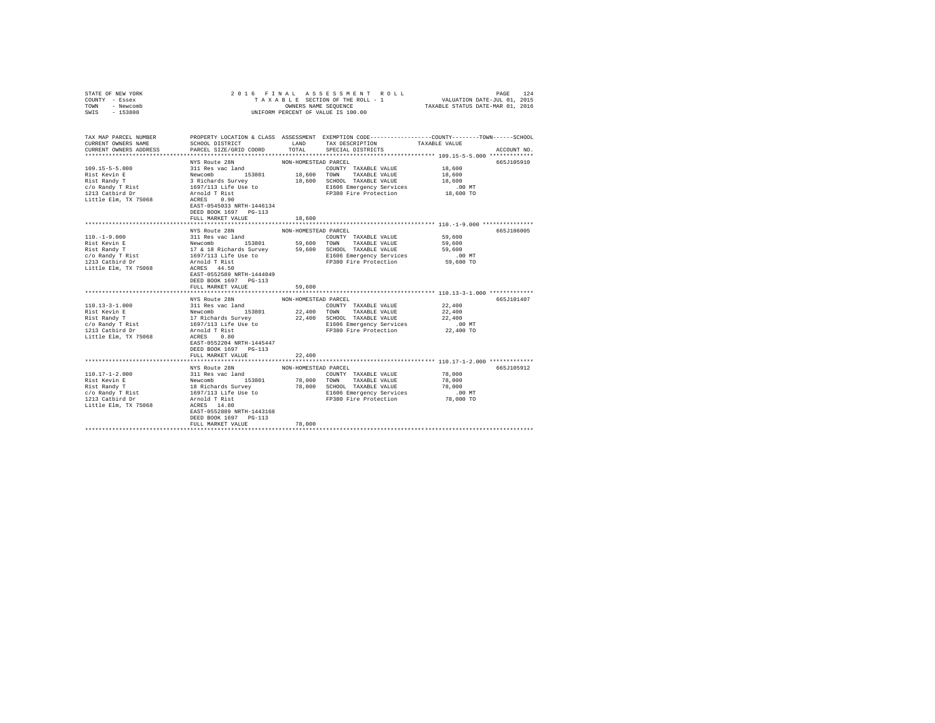| STATE OF NEW YORK<br>COUNTY - Essex                                                                                                                                                                                                                   |                                           |                      |                                                                                                                                                                                                                                                |                                                                                                |  |
|-------------------------------------------------------------------------------------------------------------------------------------------------------------------------------------------------------------------------------------------------------|-------------------------------------------|----------------------|------------------------------------------------------------------------------------------------------------------------------------------------------------------------------------------------------------------------------------------------|------------------------------------------------------------------------------------------------|--|
| TOWN - Newcomb                                                                                                                                                                                                                                        |                                           |                      |                                                                                                                                                                                                                                                |                                                                                                |  |
| $-153800$<br>SWIS                                                                                                                                                                                                                                     |                                           |                      | UNIFORM PERCENT OF VALUE IS 100.00                                                                                                                                                                                                             |                                                                                                |  |
|                                                                                                                                                                                                                                                       |                                           |                      |                                                                                                                                                                                                                                                |                                                                                                |  |
|                                                                                                                                                                                                                                                       |                                           |                      |                                                                                                                                                                                                                                                |                                                                                                |  |
| TAX MAP PARCEL NUMBER                                                                                                                                                                                                                                 |                                           |                      |                                                                                                                                                                                                                                                | PROPERTY LOCATION & CLASS ASSESSMENT EXEMPTION CODE---------------COUNTY-------TOWN-----SCHOOL |  |
| CURRENT OWNERS NAME                                                                                                                                                                                                                                   |                                           |                      | SCHOOL DISTRICT LAND TAX DESCRIPTION TAXABLE VALUE                                                                                                                                                                                             |                                                                                                |  |
| CURRENT OWNERS ADDRESS                                                                                                                                                                                                                                | SCHOOL DISTRICT<br>PARCEL SIZE/GRID COORD |                      | TOTAL SPECIAL DISTRICTS                                                                                                                                                                                                                        | ACCOUNT NO.                                                                                    |  |
|                                                                                                                                                                                                                                                       |                                           |                      |                                                                                                                                                                                                                                                |                                                                                                |  |
|                                                                                                                                                                                                                                                       | NYS Route 28N                             | NON-HOMESTEAD PARCEL |                                                                                                                                                                                                                                                | 665J105910                                                                                     |  |
|                                                                                                                                                                                                                                                       |                                           |                      | COUNTY TAXABLE VALUE                                                                                                                                                                                                                           | 18,600                                                                                         |  |
|                                                                                                                                                                                                                                                       |                                           |                      | 18,600 TOWN TAXABLE VALUE                                                                                                                                                                                                                      | 18,600                                                                                         |  |
|                                                                                                                                                                                                                                                       |                                           |                      | 18,600 SCHOOL TAXABLE VALUE                                                                                                                                                                                                                    | 18,600                                                                                         |  |
|                                                                                                                                                                                                                                                       |                                           |                      | E1606 Emergency Services<br>FP380 Fire Protection                                                                                                                                                                                              | $.00$ MT                                                                                       |  |
|                                                                                                                                                                                                                                                       |                                           |                      | FP380 Fire Protection 18,600 TO                                                                                                                                                                                                                |                                                                                                |  |
|                                                                                                                                                                                                                                                       |                                           |                      |                                                                                                                                                                                                                                                |                                                                                                |  |
|                                                                                                                                                                                                                                                       | EAST-0545033 NRTH-1446134                 |                      |                                                                                                                                                                                                                                                |                                                                                                |  |
|                                                                                                                                                                                                                                                       | DEED BOOK 1697 PG-113                     |                      |                                                                                                                                                                                                                                                |                                                                                                |  |
|                                                                                                                                                                                                                                                       | FULL MARKET VALUE                         | 18,600               |                                                                                                                                                                                                                                                |                                                                                                |  |
|                                                                                                                                                                                                                                                       |                                           |                      |                                                                                                                                                                                                                                                |                                                                                                |  |
|                                                                                                                                                                                                                                                       | NYS Route 28N                             | NON-HOMESTEAD PARCEL |                                                                                                                                                                                                                                                | 665J106005                                                                                     |  |
| $110. - 1 - 9.000$                                                                                                                                                                                                                                    |                                           |                      |                                                                                                                                                                                                                                                |                                                                                                |  |
| Rist Kevin E<br>Rist Randy T<br>C/O Randy T Rist<br>1213 Catbird Dr                                                                                                                                                                                   |                                           |                      | 2011 Res vac land<br>2011 Res vac land<br>2010 TAXABLE VALUE 59,600<br>2010 TAXABLE VALUE 59,600<br>2010 TAXABLE VALUE 59,600<br>2016 The U.S. CHOOL TAXABLE VALUE 59,600<br>2016 Taxable VALUE<br>2016 Emergency Services<br>2016 Taxable Val |                                                                                                |  |
|                                                                                                                                                                                                                                                       |                                           |                      |                                                                                                                                                                                                                                                |                                                                                                |  |
|                                                                                                                                                                                                                                                       |                                           |                      |                                                                                                                                                                                                                                                |                                                                                                |  |
|                                                                                                                                                                                                                                                       |                                           |                      |                                                                                                                                                                                                                                                |                                                                                                |  |
| Little Elm, TX 75068                                                                                                                                                                                                                                  |                                           |                      |                                                                                                                                                                                                                                                |                                                                                                |  |
|                                                                                                                                                                                                                                                       | EAST-0552589 NRTH-1444049                 |                      |                                                                                                                                                                                                                                                |                                                                                                |  |
|                                                                                                                                                                                                                                                       | DEED BOOK 1697 PG-113                     |                      |                                                                                                                                                                                                                                                |                                                                                                |  |
|                                                                                                                                                                                                                                                       | FULL MARKET VALUE                         | 59,600               |                                                                                                                                                                                                                                                |                                                                                                |  |
|                                                                                                                                                                                                                                                       | NYS Route 28N                             | NON-HOMESTEAD PARCEL |                                                                                                                                                                                                                                                | 665J101407                                                                                     |  |
| 110.13-3-1.000<br>Rist Kevin E Mewcomb<br>Rist Randy T<br>Rist Randy T<br>Rist Randy T<br>C/O Randy T Rist 1697/113 Life Use to<br>1213 Catbird Dr<br>2213 Catbird Dr<br>2213 Catbird Dr<br>2213 Catbird Dr<br>2213 Catbird Dr<br>2213 Catbird Dr<br> |                                           |                      | COUNTY TAXABLE VALUE                                                                                                                                                                                                                           | 22,400                                                                                         |  |
|                                                                                                                                                                                                                                                       |                                           |                      | 22,400 TOWN TAXABLE VALUE                                                                                                                                                                                                                      | 22,400                                                                                         |  |
|                                                                                                                                                                                                                                                       |                                           |                      | 22,400 SCHOOL TAXABLE VALUE                                                                                                                                                                                                                    | 22,400                                                                                         |  |
|                                                                                                                                                                                                                                                       |                                           |                      | E1606 Emergency Services                                                                                                                                                                                                                       | $.00$ MT                                                                                       |  |
|                                                                                                                                                                                                                                                       |                                           |                      | FP380 Fire Protection 22,400 TO                                                                                                                                                                                                                |                                                                                                |  |
| Little Elm, TX 75068                                                                                                                                                                                                                                  | ACRES 0.80                                |                      |                                                                                                                                                                                                                                                |                                                                                                |  |
|                                                                                                                                                                                                                                                       | EAST-0552204 NRTH-1445447                 |                      |                                                                                                                                                                                                                                                |                                                                                                |  |
|                                                                                                                                                                                                                                                       | DEED BOOK 1697 PG-113                     |                      |                                                                                                                                                                                                                                                |                                                                                                |  |
|                                                                                                                                                                                                                                                       | FULL MARKET VALUE                         | 22,400               |                                                                                                                                                                                                                                                |                                                                                                |  |
|                                                                                                                                                                                                                                                       |                                           | *************        |                                                                                                                                                                                                                                                | ***************************** 110.17-1-2.000 *************                                     |  |
|                                                                                                                                                                                                                                                       | NYS Route 28N                             | NON-HOMESTEAD PARCEL |                                                                                                                                                                                                                                                | 665J105912                                                                                     |  |
| $110.17 - 1 - 2.000$                                                                                                                                                                                                                                  |                                           |                      |                                                                                                                                                                                                                                                |                                                                                                |  |
| Rist Kevin E                                                                                                                                                                                                                                          |                                           |                      |                                                                                                                                                                                                                                                |                                                                                                |  |
| Rist Randy T                                                                                                                                                                                                                                          |                                           |                      | AN SOURCE 2008 MONT-HOMESIEAD COUNTY TAXABLE VALUE 78,000<br>Newcomb 153801 78,000 TOWN TAXABLE VALUE 78,000<br>18 Richards Survey 78,000 TOWN TAXABLE VALUE 78,000<br>18 Richards Survey 78,000 SCHOOL TAXABLE VALUE 78,000<br>1979/1         |                                                                                                |  |
|                                                                                                                                                                                                                                                       |                                           |                      |                                                                                                                                                                                                                                                |                                                                                                |  |
| c/o Randy T Rist<br>1213 Catbird Dr                                                                                                                                                                                                                   |                                           |                      |                                                                                                                                                                                                                                                |                                                                                                |  |
| Little Elm, TX 75068                                                                                                                                                                                                                                  |                                           |                      |                                                                                                                                                                                                                                                |                                                                                                |  |
|                                                                                                                                                                                                                                                       | EAST-0552889 NRTH-1443168                 |                      |                                                                                                                                                                                                                                                |                                                                                                |  |
|                                                                                                                                                                                                                                                       | DEED BOOK 1697 PG-113                     |                      |                                                                                                                                                                                                                                                |                                                                                                |  |
|                                                                                                                                                                                                                                                       | FULL MARKET VALUE                         | 78,000               |                                                                                                                                                                                                                                                |                                                                                                |  |
|                                                                                                                                                                                                                                                       |                                           |                      |                                                                                                                                                                                                                                                |                                                                                                |  |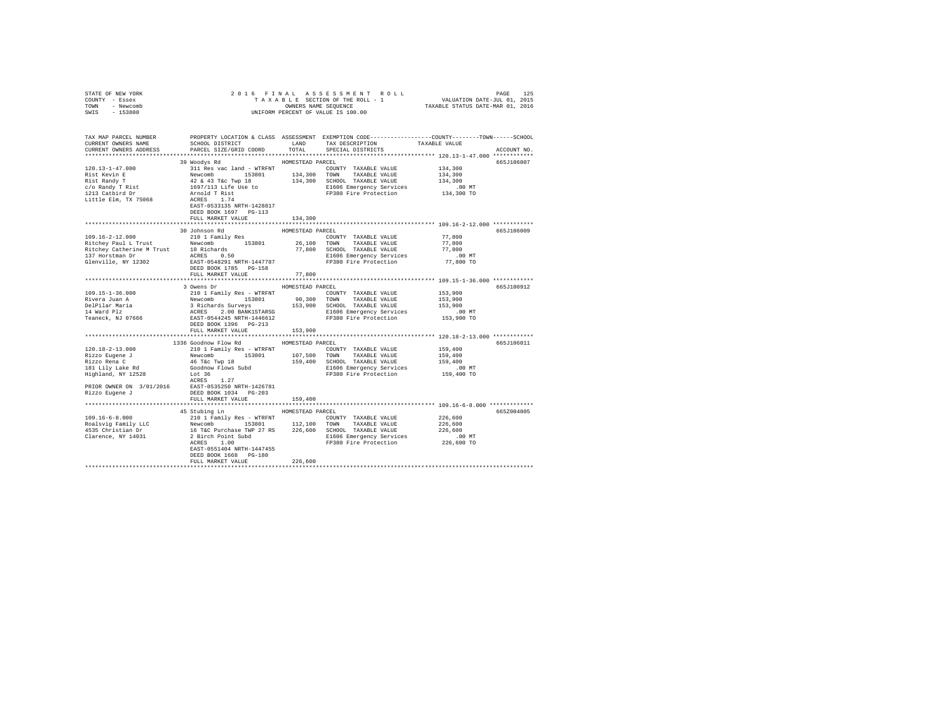| COUNTY - Essex<br>TOWN - Newcomb<br>SWIS - 153800 |                                                                                                                                                                                                                                                                                                                                                                                                                                                                     | OWNERS NAME SEQUENCE | UNIFORM PERCENT OF VALUE IS 100.00                                                               |                                                                                                  |             |
|---------------------------------------------------|---------------------------------------------------------------------------------------------------------------------------------------------------------------------------------------------------------------------------------------------------------------------------------------------------------------------------------------------------------------------------------------------------------------------------------------------------------------------|----------------------|--------------------------------------------------------------------------------------------------|--------------------------------------------------------------------------------------------------|-------------|
|                                                   |                                                                                                                                                                                                                                                                                                                                                                                                                                                                     |                      |                                                                                                  |                                                                                                  |             |
| TAX MAP PARCEL NUMBER                             |                                                                                                                                                                                                                                                                                                                                                                                                                                                                     |                      |                                                                                                  | PROPERTY LOCATION & CLASS ASSESSMENT EXEMPTION CODE----------------COUNTY-------TOWN------SCHOOL |             |
| CURRENT OWNERS NAME<br>CURRENT OWNERS ADDRESS     |                                                                                                                                                                                                                                                                                                                                                                                                                                                                     |                      |                                                                                                  |                                                                                                  | ACCOUNT NO. |
|                                                   |                                                                                                                                                                                                                                                                                                                                                                                                                                                                     |                      |                                                                                                  |                                                                                                  |             |
|                                                   | 39 Woodys Rd                                                                                                                                                                                                                                                                                                                                                                                                                                                        | HOMESTEAD PARCEL     |                                                                                                  |                                                                                                  | 665J106007  |
|                                                   |                                                                                                                                                                                                                                                                                                                                                                                                                                                                     |                      |                                                                                                  |                                                                                                  |             |
|                                                   |                                                                                                                                                                                                                                                                                                                                                                                                                                                                     |                      |                                                                                                  |                                                                                                  |             |
|                                                   |                                                                                                                                                                                                                                                                                                                                                                                                                                                                     |                      |                                                                                                  |                                                                                                  |             |
|                                                   |                                                                                                                                                                                                                                                                                                                                                                                                                                                                     |                      |                                                                                                  |                                                                                                  |             |
|                                                   | $R100.13-1-47.000$ $R100.13-1-47.000$ $R100.13-1-47.000$ $R100.13-1-47.000$ $R100.13-1-47.000$ $R100.13-1-47.000$ $R100.13-1-47.000$ $R100.13-1-47.000$ $R110.13-1-47.000$ $R120.13-1-47.000$ $R130.13-1-47.000$ $R140.13-1-4$                                                                                                                                                                                                                                      |                      |                                                                                                  |                                                                                                  |             |
|                                                   |                                                                                                                                                                                                                                                                                                                                                                                                                                                                     |                      |                                                                                                  |                                                                                                  |             |
|                                                   | EAST-0533135 NRTH-1428817<br>DEED BOOK 1697 PG-113                                                                                                                                                                                                                                                                                                                                                                                                                  |                      |                                                                                                  |                                                                                                  |             |
|                                                   | FULL MARKET VALUE                                                                                                                                                                                                                                                                                                                                                                                                                                                   | 134,300              |                                                                                                  |                                                                                                  |             |
|                                                   |                                                                                                                                                                                                                                                                                                                                                                                                                                                                     |                      |                                                                                                  |                                                                                                  |             |
|                                                   | 30 Johnson Rd                                                                                                                                                                                                                                                                                                                                                                                                                                                       | HOMESTEAD PARCEL     |                                                                                                  |                                                                                                  | 665J106009  |
|                                                   |                                                                                                                                                                                                                                                                                                                                                                                                                                                                     |                      |                                                                                                  | 77,800<br>77,800<br>77,800                                                                       |             |
|                                                   |                                                                                                                                                                                                                                                                                                                                                                                                                                                                     |                      |                                                                                                  |                                                                                                  |             |
|                                                   |                                                                                                                                                                                                                                                                                                                                                                                                                                                                     |                      |                                                                                                  |                                                                                                  |             |
|                                                   |                                                                                                                                                                                                                                                                                                                                                                                                                                                                     |                      |                                                                                                  | $.00$ MT                                                                                         |             |
|                                                   | $[109.16-2-12.000$ 30 Johnson Raily Res<br>210 10 Family Res<br>210 1 Family Res<br>26,100 TOWN TAXABLE VALUE<br>26,100 TOWN TAXABLE VALUE<br>Ritchey Catherine M Trust<br>10 Richards<br>26,100 SCMN TAXABLE VALUE<br>26,100 TOWN TAXABLE VA                                                                                                                                                                                                                       |                      |                                                                                                  | 77,800 TO                                                                                        |             |
|                                                   | DEED BOOK 1785 PG-158<br>FULL MARKET VALUE                                                                                                                                                                                                                                                                                                                                                                                                                          | 77,800               |                                                                                                  |                                                                                                  |             |
|                                                   |                                                                                                                                                                                                                                                                                                                                                                                                                                                                     |                      |                                                                                                  |                                                                                                  |             |
|                                                   | 3 Owens Dr MOMESTEAD PARCEL                                                                                                                                                                                                                                                                                                                                                                                                                                         |                      |                                                                                                  |                                                                                                  | 665J100912  |
|                                                   |                                                                                                                                                                                                                                                                                                                                                                                                                                                                     |                      |                                                                                                  |                                                                                                  |             |
|                                                   |                                                                                                                                                                                                                                                                                                                                                                                                                                                                     |                      |                                                                                                  |                                                                                                  |             |
|                                                   |                                                                                                                                                                                                                                                                                                                                                                                                                                                                     |                      |                                                                                                  |                                                                                                  |             |
|                                                   |                                                                                                                                                                                                                                                                                                                                                                                                                                                                     |                      |                                                                                                  |                                                                                                  |             |
|                                                   |                                                                                                                                                                                                                                                                                                                                                                                                                                                                     |                      |                                                                                                  |                                                                                                  |             |
|                                                   | DEED BOOK 1396 PG-213<br>FULL MARKET VALUE                                                                                                                                                                                                                                                                                                                                                                                                                          | 153,900              |                                                                                                  |                                                                                                  |             |
|                                                   |                                                                                                                                                                                                                                                                                                                                                                                                                                                                     |                      |                                                                                                  |                                                                                                  |             |
|                                                   | 1336 Goodnow Flow Rd HOMESTEAD PARCEL                                                                                                                                                                                                                                                                                                                                                                                                                               |                      |                                                                                                  |                                                                                                  | 665J106011  |
|                                                   |                                                                                                                                                                                                                                                                                                                                                                                                                                                                     |                      | COUNTY TAXABLE VALUE 159,400                                                                     |                                                                                                  |             |
|                                                   |                                                                                                                                                                                                                                                                                                                                                                                                                                                                     |                      | TAXABLE VALUE                                                                                    | 159,400                                                                                          |             |
|                                                   |                                                                                                                                                                                                                                                                                                                                                                                                                                                                     |                      |                                                                                                  |                                                                                                  |             |
|                                                   |                                                                                                                                                                                                                                                                                                                                                                                                                                                                     |                      | 159,400<br>159,400<br>159,400<br>E1606 Emergency Services<br>FP380 Fire Protection<br>159,400 TO |                                                                                                  |             |
|                                                   | $\begin{tabular}{l c c c c c} \hline 120.18-2-13.000 & \textit{isso} \textit{volume} \textit{row} \textit{row} \textit{row} \textit{row} \textit{row} \textit{row} \textit{row} \textit{row} \textit{row} \textit{row} \textit{row} \textit{row} \textit{row} \textit{row} \textit{row} \textit{row} \textit{row} \textit{row} \textit{row} \textit{row} \textit{row} \textit{row} \textit{row} \textit{row} \textit{row} \textit{row} \textit{row} \textit{row} \$ |                      |                                                                                                  |                                                                                                  |             |
|                                                   |                                                                                                                                                                                                                                                                                                                                                                                                                                                                     |                      |                                                                                                  |                                                                                                  |             |
| Rizzo Eugene J                                    |                                                                                                                                                                                                                                                                                                                                                                                                                                                                     |                      |                                                                                                  |                                                                                                  |             |
|                                                   | FULL MARKET VALUE                                                                                                                                                                                                                                                                                                                                                                                                                                                   | 159,400              |                                                                                                  |                                                                                                  |             |
|                                                   |                                                                                                                                                                                                                                                                                                                                                                                                                                                                     |                      |                                                                                                  |                                                                                                  |             |
|                                                   | 45 Stubing Ln MOMESTEAD PARCEL                                                                                                                                                                                                                                                                                                                                                                                                                                      |                      |                                                                                                  |                                                                                                  | 665Z004005  |
|                                                   |                                                                                                                                                                                                                                                                                                                                                                                                                                                                     |                      |                                                                                                  |                                                                                                  |             |
|                                                   |                                                                                                                                                                                                                                                                                                                                                                                                                                                                     |                      |                                                                                                  |                                                                                                  |             |
|                                                   |                                                                                                                                                                                                                                                                                                                                                                                                                                                                     |                      |                                                                                                  |                                                                                                  |             |
|                                                   |                                                                                                                                                                                                                                                                                                                                                                                                                                                                     |                      |                                                                                                  |                                                                                                  |             |
|                                                   | EAST-0551404 NRTH-1447455                                                                                                                                                                                                                                                                                                                                                                                                                                           |                      |                                                                                                  |                                                                                                  |             |
|                                                   | DEED BOOK 1668 PG-180                                                                                                                                                                                                                                                                                                                                                                                                                                               |                      |                                                                                                  |                                                                                                  |             |
|                                                   | FULL MARKET VALUE                                                                                                                                                                                                                                                                                                                                                                                                                                                   | 226,600              |                                                                                                  |                                                                                                  |             |
|                                                   |                                                                                                                                                                                                                                                                                                                                                                                                                                                                     |                      |                                                                                                  |                                                                                                  |             |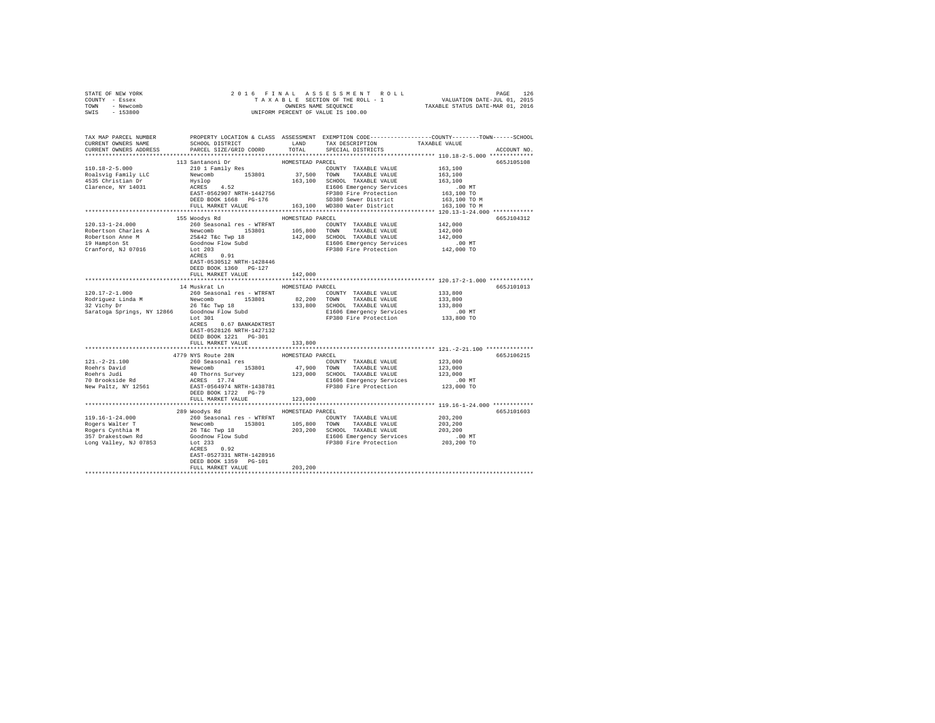| STATE OF NEW YORK<br>COUNTY - Essex<br>TOWN - Newcomb<br>SWIS - 153800                                                                                                                                                                                                                                                                                                   |                                                    |                  |                                           |             |
|--------------------------------------------------------------------------------------------------------------------------------------------------------------------------------------------------------------------------------------------------------------------------------------------------------------------------------------------------------------------------|----------------------------------------------------|------------------|-------------------------------------------|-------------|
|                                                                                                                                                                                                                                                                                                                                                                          |                                                    |                  |                                           |             |
| TAX MAP PARCEL NUMBER PROPERTY LOCATION & CLASS ASSESSMENT EXEMPTION CODE---------------COUNTY-------TOWN------SCHOOL<br>CURRENT OWNERS NAME SCHOOL DISTRICT LAND TAX DESCRIPTION TAXABLE VALUE<br>CURRENT OWNERS ADDRESS PARCEL SIZE/GRID COORD TOTAL SPECIAL DISTRICTS                                                                                                 |                                                    |                  |                                           | ACCOUNT NO. |
|                                                                                                                                                                                                                                                                                                                                                                          |                                                    |                  |                                           |             |
|                                                                                                                                                                                                                                                                                                                                                                          | 113 Santanoni Dr                                   | HOMESTEAD PARCEL |                                           | 665J105108  |
|                                                                                                                                                                                                                                                                                                                                                                          |                                                    |                  | 163,100                                   |             |
|                                                                                                                                                                                                                                                                                                                                                                          |                                                    |                  | 163,100                                   |             |
|                                                                                                                                                                                                                                                                                                                                                                          |                                                    |                  | 163,100                                   |             |
|                                                                                                                                                                                                                                                                                                                                                                          |                                                    |                  | .00MT                                     |             |
| $\begin{tabular}{c c c c} \multicolumn{1}{c}{\textbf{10.18}-2-5.000} & \multicolumn{1}{c}{\textbf{110.18}-2-5.000} & \multicolumn{1}{c}{\textbf{110.18}-2-5.000} & \multicolumn{1}{c}{\textbf{110.18}-2-5.000} & \multicolumn{1}{c}{\textbf{110.18}-2-5.000} & \multicolumn{1}{c}{\textbf{110.18}-2-5.000} & \multicolumn{1}{c}{\textbf{110.18}-2-5.000} & \multicolumn$ |                                                    |                  | 163,100 TO                                |             |
|                                                                                                                                                                                                                                                                                                                                                                          |                                                    |                  | 163,100 TO M                              |             |
|                                                                                                                                                                                                                                                                                                                                                                          |                                                    |                  | 163,100 TO M                              |             |
|                                                                                                                                                                                                                                                                                                                                                                          |                                                    |                  |                                           |             |
|                                                                                                                                                                                                                                                                                                                                                                          | 155 Woodys Rd MOMESTEAD PARCEL                     |                  | 665J104312                                |             |
|                                                                                                                                                                                                                                                                                                                                                                          |                                                    |                  | 142,000                                   |             |
|                                                                                                                                                                                                                                                                                                                                                                          |                                                    |                  |                                           |             |
|                                                                                                                                                                                                                                                                                                                                                                          |                                                    |                  |                                           |             |
|                                                                                                                                                                                                                                                                                                                                                                          |                                                    |                  | 142,000<br>142,000<br>00 MT<br>142,000 TO |             |
| 120.13-1-24.000<br>260 Seasonal res – WTRFNT<br>Robertson Charles A Revomber 193801<br>260 Seasonal res – WTRFNT<br>264 2642 TEC TWP 18<br>2642 TEC TWP 18<br>2642 TEC TWP 18<br>2642 TEC TWP 18<br>2642 TEC TWP 18<br>2642 TEC TWP 18<br>2642 TE                                                                                                                        |                                                    |                  |                                           |             |
|                                                                                                                                                                                                                                                                                                                                                                          | EAST-0530512 NRTH-1428446                          |                  |                                           |             |
|                                                                                                                                                                                                                                                                                                                                                                          | DEED BOOK 1360 PG-127                              |                  |                                           |             |
|                                                                                                                                                                                                                                                                                                                                                                          | FULL MARKET VALUE                                  | 142,000          |                                           |             |
|                                                                                                                                                                                                                                                                                                                                                                          |                                                    |                  |                                           |             |
|                                                                                                                                                                                                                                                                                                                                                                          | 14 Muskrat Ln HOMESTEAD PARCEL                     |                  |                                           | 665J101013  |
|                                                                                                                                                                                                                                                                                                                                                                          |                                                    |                  | 133,800<br>133,800<br>133,800             |             |
|                                                                                                                                                                                                                                                                                                                                                                          |                                                    |                  |                                           |             |
|                                                                                                                                                                                                                                                                                                                                                                          |                                                    |                  |                                           |             |
|                                                                                                                                                                                                                                                                                                                                                                          |                                                    |                  |                                           |             |
|                                                                                                                                                                                                                                                                                                                                                                          |                                                    |                  |                                           |             |
|                                                                                                                                                                                                                                                                                                                                                                          | ACRES 0.67 BANKADKTRST                             |                  |                                           |             |
|                                                                                                                                                                                                                                                                                                                                                                          | EAST-0528126 NRTH-1427132<br>DEED BOOK 1221 PG-301 |                  |                                           |             |
|                                                                                                                                                                                                                                                                                                                                                                          | FULL MARKET VALUE                                  | 133,800          |                                           |             |
|                                                                                                                                                                                                                                                                                                                                                                          |                                                    |                  |                                           |             |
|                                                                                                                                                                                                                                                                                                                                                                          | 4779 NYS Route 28N                                 | HOMESTEAD PARCEL |                                           | 665J106215  |
| $\begin{tabular}{l c c c c c} \hline 121. -2-21.100 & 260 Seasonal res & 100000TT & TAKABLE VALUE & 123,000\nRoehrs Juid & 128001 & 153801 & 47,900 TOMN & TAKABLE VALUE & 123,000\nRoehrs Juid & 40 Thorms Survey & 123,000 SCHOMSLES VALUE & 123,000\n70 Brookside Rd & 40 Thorms & 123,001\nNew Paulz, NY 12561 & 123,001 TOMS & 123,000 TOMN$                        |                                                    |                  |                                           |             |
|                                                                                                                                                                                                                                                                                                                                                                          |                                                    |                  |                                           |             |
|                                                                                                                                                                                                                                                                                                                                                                          |                                                    |                  |                                           |             |
|                                                                                                                                                                                                                                                                                                                                                                          |                                                    |                  |                                           |             |
|                                                                                                                                                                                                                                                                                                                                                                          |                                                    |                  |                                           |             |
|                                                                                                                                                                                                                                                                                                                                                                          | DEED BOOK 1722 PG-79                               |                  |                                           |             |
|                                                                                                                                                                                                                                                                                                                                                                          | FULL MARKET VALUE                                  | 123,000          |                                           |             |
|                                                                                                                                                                                                                                                                                                                                                                          |                                                    |                  |                                           |             |
|                                                                                                                                                                                                                                                                                                                                                                          | 289 Woodys Rd HOMESTEAD PARCEL                     |                  |                                           | 665J101603  |
|                                                                                                                                                                                                                                                                                                                                                                          |                                                    |                  |                                           |             |
|                                                                                                                                                                                                                                                                                                                                                                          |                                                    |                  |                                           |             |
|                                                                                                                                                                                                                                                                                                                                                                          |                                                    |                  |                                           |             |
|                                                                                                                                                                                                                                                                                                                                                                          |                                                    |                  |                                           |             |
|                                                                                                                                                                                                                                                                                                                                                                          |                                                    |                  |                                           |             |
|                                                                                                                                                                                                                                                                                                                                                                          | EAST-0527331 NRTH-1428916                          |                  |                                           |             |
|                                                                                                                                                                                                                                                                                                                                                                          | DEED BOOK 1359 PG-101                              |                  |                                           |             |
|                                                                                                                                                                                                                                                                                                                                                                          | FULL MARKET VALUE                                  | 203,200          |                                           |             |
|                                                                                                                                                                                                                                                                                                                                                                          |                                                    |                  |                                           |             |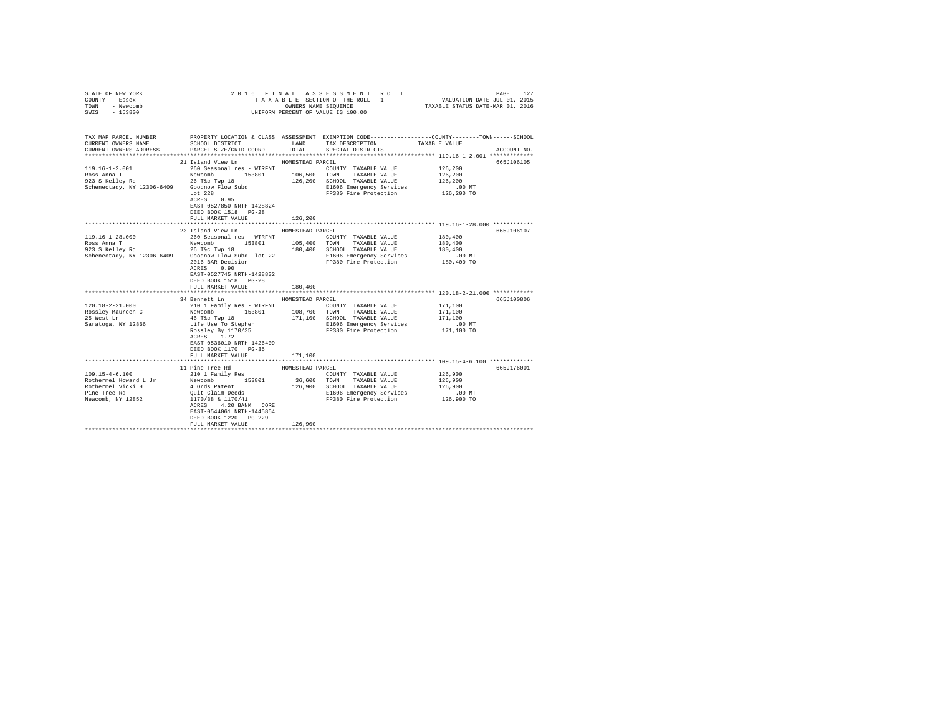| STATE OF NEW YORK<br>COUNTY - Essex<br>TOWN - Newcomb<br>SWIS - 153800                                  |                                                                                                                                                                                                                                                                                                                                                                                                                                                                                                                                                    |                             | UNIFORM PERCENT OF VALUE IS 100.00                                                   | 2016 FINAL ASSESSMENT ROLL TAXABLE SECTION OF THE ROLL - 1<br>TAXABLE SECTION OF THE ROLL - 1 VALUATION DATE-JUL 01, 2015<br>TAXABLE STATUS DATE-MAR 01, 2016 |  |
|---------------------------------------------------------------------------------------------------------|----------------------------------------------------------------------------------------------------------------------------------------------------------------------------------------------------------------------------------------------------------------------------------------------------------------------------------------------------------------------------------------------------------------------------------------------------------------------------------------------------------------------------------------------------|-----------------------------|--------------------------------------------------------------------------------------|---------------------------------------------------------------------------------------------------------------------------------------------------------------|--|
| TAX MAP PARCEL NUMBER<br>CURRENT OWNERS NAME<br>CURRENT OWNERS ADDRESS                                  | PARCEL SIZE/GRID COORD                                                                                                                                                                                                                                                                                                                                                                                                                                                                                                                             |                             | SCHOOL DISTRICT LAND TAX DESCRIPTION TAXABLE VALUE<br>TOTAL SPECIAL DISTRICTS        | PROPERTY LOCATION & CLASS ASSESSMENT EXEMPTION CODE---------------COUNTY-------TOWN------SCHOOL<br>ACCOUNT NO.                                                |  |
| 119.16-1-2.001<br>Schemectady, NY 12306-6409<br>Schemectady, NY 12306-6409<br>Lot 228<br>ACRES 0.95     | 21 Island View Ln MOMESTEAD PARCEL<br>260 Seasonal res - WTRFNT<br>Existe and T<br>Ross Anna T<br>26 Tac Twp 18 106,500 TOWN TAXABLE VALUE<br>26 Tac Twp 18 126,200 SCHOOL TAXABLE VALUE<br>EAST-0527850 NRTH-1428824<br>DEED BOOK 1518 PG-28<br>FULL MARKET VALUE                                                                                                                                                                                                                                                                                 | 126,200                     | COUNTY TAXABLE VALUE<br>E1606 Emergency Services<br>FP380 Fire Protection 126,200 TO | 665J106105<br>126,200<br>126,200<br>126,200<br>$.00$ MT                                                                                                       |  |
| 119.16-1-28.000<br>Ross Anna T<br>923 S Kelley Rd                                                       | 23 Island View Ln<br>923 S Reliev Kd (2010)<br>Schenectady, NY 12306-6409 (300dnow Flow Subd lot 22 F1606 Emergency Services<br>2016 Ran Decision PP380 Fire Protection<br>2016 BAR Decision<br>ACRES 0.90<br>EAST-0527745 NRTH-1428832<br>DEED BOOK 1518 PG-28<br>FULL MARKET VALUE                                                                                                                                                                                                                                                               | HOMESTEAD PARCEL<br>180,400 |                                                                                      | 665J106107<br>180,400<br>180,400<br>180,400<br>$.00$ MT<br>180,400 TO                                                                                         |  |
| $120.18 - 2 - 21.000$<br>Saratoga, NY 12866                                                             | 34 Bennett Ln<br>210 1 Family Res - WTRFNT<br>${\rm{L01.1b}^{2.12.12.1000}} \hbox{Roseley Naureen C} \hbox{Nesey Naupen C} \hbox{Nesey Naupen C} \hbox{Nesey Naupen C} \hbox{Nosey} \hbox{Nsey Naupen C} \hbox{Nsey} \hbox{Nsey Naupen C} \hbox{Nsey} \hbox{Nsey} \hbox{Nsey} \hbox{Nsey} \hbox{Nsey} \hbox{Nsey} \hbox{Nsey} \hbox{Nsey} \hbox{Nsey} \hbox{Nsey} \hbox{Nsey} \hbox{Nsey} \hbox{Nsey} \hbox{$<br>Life Use To Stephen<br>Rossley By 1170/35<br>ACRES 1.72<br>EAST-0536010 NRTH-1426409<br>DEED BOOK 1170 PG-35<br>FULL MARKET VALUE | HOMESTEAD PARCEL<br>171,100 | COUNTY TAXABLE VALUE<br>E1606 Emergency Services<br>FP380 Fire Protection            | 665J100806<br>171,100<br>171,100<br>171,100<br>$.00$ MT<br>171,100 TO                                                                                         |  |
|                                                                                                         |                                                                                                                                                                                                                                                                                                                                                                                                                                                                                                                                                    | ****************            |                                                                                      | ********************************* 109.15-4-6.100 **************                                                                                               |  |
| $109.15 - 4 - 6.100$<br>Rothermel Howard L Jr<br>Rothermel Vicki H<br>Pine Tree Rd<br>Newcomb, NY 12852 | 11 Pine Tree Rd<br>210 1 Family Res<br>Xevel Temminy Research 153801 36,600 TOWN TAXABLE VALUE 126,900<br>4 Ords Patent 126,900 SCHOOL TAXABLE VALUE 126,900<br>Quit Claim Deeds E1606 Emergency Services .00 MT<br>170/38 & 1170/41 FP380 Fire Protection 126,900 TO<br>ACRES 4.20 BANK CORE<br>EAST-0544061 NRTH-1445854<br>DEED BOOK 1220 PG-229<br>FULL MARKET VALUE                                                                                                                                                                           | HOMESTEAD PARCEL<br>126,900 | COUNTY TAXABLE VALUE                                                                 | 665J176001<br>126,900                                                                                                                                         |  |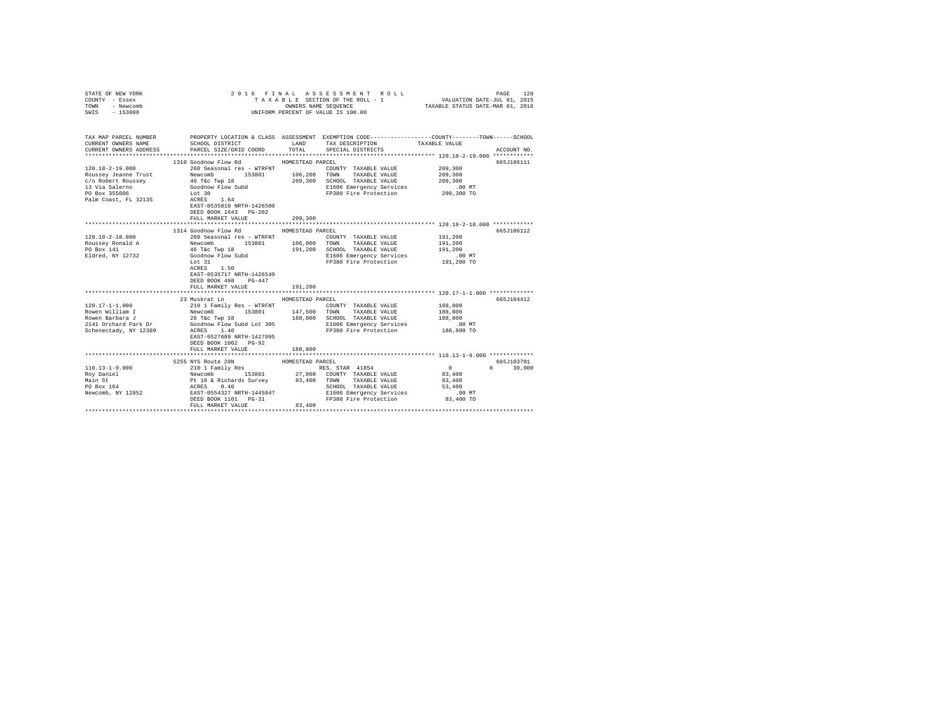| COUNTY - Essex<br>TOWN<br>- Newcomb<br>SWIS<br>$-153800$                                                                                                                                                                             | OWNERS NAME SEQUENCE<br>UNIFORM PERCENT OF VALUE IS 100.00                                                                                                                            |                  | TAXABLE SECTION OF THE ROLL - 1 VALUATION DATE-JUL 01, 2015          |                      | TAXABLE STATUS DATE-MAR 01, 2016 |  |
|--------------------------------------------------------------------------------------------------------------------------------------------------------------------------------------------------------------------------------------|---------------------------------------------------------------------------------------------------------------------------------------------------------------------------------------|------------------|----------------------------------------------------------------------|----------------------|----------------------------------|--|
| CURRENT OWNERS NAME<br>CURRENT OWNERS ADDRESS                                                                                                                                                                                        | TAX MAP PARCEL NUMBER PROPERTY LOCATION & CLASS ASSESSMENT EXEMPTION CODE--------------COUNTY-------TOWN-----SCHOOL<br>SCHOOL DISTRICT TAND TAX DESCRIPTION<br>PARCEL SIZE/GRID COORD | TOTAL            | SPECIAL DISTRICTS                                                    | TAXABLE VALUE        | ACCOUNT NO.                      |  |
|                                                                                                                                                                                                                                      | 1310 Goodnow Flow Rd                                                                                                                                                                  | HOMESTEAD PARCEL |                                                                      |                      | 665J106111                       |  |
| 120.18-2-19.000                                                                                                                                                                                                                      | 260 Seasonal res - WTRFNT                                                                                                                                                             |                  | COUNTY TAXABLE VALUE                                                 | 209,300              |                                  |  |
|                                                                                                                                                                                                                                      | 153801 106,200 TOWN                                                                                                                                                                   |                  | TAXABLE VALUE                                                        | 209,300              |                                  |  |
|                                                                                                                                                                                                                                      |                                                                                                                                                                                       |                  | 209,300 SCHOOL TAXABLE VALUE                                         | 209,300              |                                  |  |
|                                                                                                                                                                                                                                      |                                                                                                                                                                                       |                  |                                                                      |                      |                                  |  |
|                                                                                                                                                                                                                                      |                                                                                                                                                                                       |                  | E1606 Emergency Services 6.00 MT<br>FP380 Fire Protection 209,300 TO |                      |                                  |  |
|                                                                                                                                                                                                                                      | DEED BOOK 1643 PG-202<br>FULL MARKET VALUE                                                                                                                                            | 209,300          |                                                                      |                      |                                  |  |
|                                                                                                                                                                                                                                      | 1314 Goodnow Flow Rd                                                                                                                                                                  |                  |                                                                      |                      |                                  |  |
|                                                                                                                                                                                                                                      |                                                                                                                                                                                       | HOMESTEAD PARCEL |                                                                      |                      | 665J106112                       |  |
| $120.18 - 2 - 18.000$                                                                                                                                                                                                                | 260 Seasonal res - WTRFNT                                                                                                                                                             |                  | COUNTY TAXABLE VALUE                                                 | 191,200              |                                  |  |
|                                                                                                                                                                                                                                      |                                                                                                                                                                                       |                  | TAXABLE VALUE<br>191,200 SCHOOL TAXABLE VALUE                        | 191,200<br>191,200   |                                  |  |
| 1911-10-2 1000 10000 10000 10000 10000 10000 10000 10000 10000 10000 10000 10000 10000 10000 10000 10000 1000<br>1911-2010 1911-2010 100000 100000 100000 100000 100000 100000 100000 10000 10000 10000 10000 1000 1000 1000 10<br>1 |                                                                                                                                                                                       |                  | E1606 Emergency Services                                             |                      |                                  |  |
|                                                                                                                                                                                                                                      | Lot 31                                                                                                                                                                                |                  | FP380 Fire Protection                                                | 00 MT.<br>191,200 TO |                                  |  |
|                                                                                                                                                                                                                                      | ACRES 1.50<br>EAST-0535717 NRTH-1426549<br>DEED BOOK 498 PG-447<br>FULL MARKET VALUE                                                                                                  | 191,200          |                                                                      |                      |                                  |  |
|                                                                                                                                                                                                                                      |                                                                                                                                                                                       |                  |                                                                      |                      |                                  |  |
| $120.17 - 1 - 1.000$                                                                                                                                                                                                                 | 23 Muskrat Ln                                                                                                                                                                         | HOMESTEAD PARCEL |                                                                      |                      | 665J104412                       |  |
| Rowen William I                                                                                                                                                                                                                      | 210 1 Family Res - WTRFNT<br>Newcomb 153801 147,500 TOWN                                                                                                                              |                  | COUNTY TAXABLE VALUE<br>TAXABLE VALUE                                | 188,800<br>188,800   |                                  |  |
|                                                                                                                                                                                                                                      |                                                                                                                                                                                       |                  |                                                                      | 188,800              |                                  |  |
|                                                                                                                                                                                                                                      |                                                                                                                                                                                       |                  | SCHOOL TAXABLE VALUE<br>E1606 Emergency Services                     | .00 MT               |                                  |  |
|                                                                                                                                                                                                                                      |                                                                                                                                                                                       |                  | FP380 Fire Protection                                                | 188,800 TO           |                                  |  |
|                                                                                                                                                                                                                                      | EAST-0527689 NRTH-1427095<br>DEED BOOK 1002 PG-92<br>FULL MARKET VALUE                                                                                                                | 188,800          |                                                                      |                      |                                  |  |
|                                                                                                                                                                                                                                      |                                                                                                                                                                                       |                  |                                                                      |                      |                                  |  |
|                                                                                                                                                                                                                                      | 5255 NYS Route 28N                                                                                                                                                                    | HOMESTEAD PARCEL |                                                                      |                      | 665J103701                       |  |
| 110.13-1-9.000                                                                                                                                                                                                                       |                                                                                                                                                                                       |                  |                                                                      |                      | $0 \t 30,000$                    |  |
| Roy Daniel                                                                                                                                                                                                                           |                                                                                                                                                                                       |                  |                                                                      |                      |                                  |  |
| Main St                                                                                                                                                                                                                              |                                                                                                                                                                                       |                  |                                                                      |                      |                                  |  |
| Main St<br>PO Box 164                                                                                                                                                                                                                |                                                                                                                                                                                       |                  |                                                                      |                      |                                  |  |
| Newcomb, NY 12852                                                                                                                                                                                                                    |                                                                                                                                                                                       |                  |                                                                      |                      |                                  |  |
|                                                                                                                                                                                                                                      |                                                                                                                                                                                       |                  |                                                                      |                      |                                  |  |
|                                                                                                                                                                                                                                      | FULL MARKET VALUE                                                                                                                                                                     | 83,400           |                                                                      |                      |                                  |  |
|                                                                                                                                                                                                                                      |                                                                                                                                                                                       |                  |                                                                      |                      |                                  |  |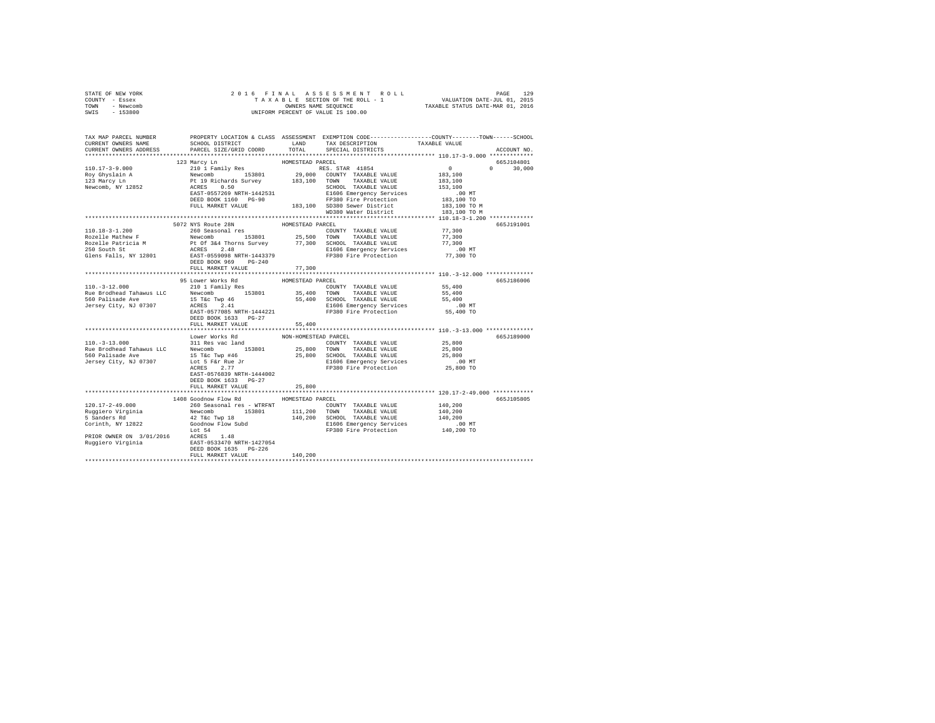| STATE OF NEW YORK      |                                                                                                                                                                                                                                                                                                                                                                                                          |                  |                                                        |                                                                                                       |             |
|------------------------|----------------------------------------------------------------------------------------------------------------------------------------------------------------------------------------------------------------------------------------------------------------------------------------------------------------------------------------------------------------------------------------------------------|------------------|--------------------------------------------------------|-------------------------------------------------------------------------------------------------------|-------------|
| COUNTY - Essex         |                                                                                                                                                                                                                                                                                                                                                                                                          |                  |                                                        |                                                                                                       |             |
| TOWN - Newcomb         |                                                                                                                                                                                                                                                                                                                                                                                                          |                  |                                                        |                                                                                                       |             |
| SWIS - 153800          |                                                                                                                                                                                                                                                                                                                                                                                                          |                  |                                                        |                                                                                                       |             |
|                        |                                                                                                                                                                                                                                                                                                                                                                                                          |                  |                                                        |                                                                                                       |             |
|                        |                                                                                                                                                                                                                                                                                                                                                                                                          |                  |                                                        |                                                                                                       |             |
|                        | TAX MAP PARCEL NUMBER     PROPERTY LOCATION & CLASS ASSESSMENT EXEMPTION CODE--------------COUNTY-------TOWN------SCHOOL DISTRICT     LAND   TAX DESCRIPTION   TAXABLE VALUE                                                                                                                                                                                                                             |                  |                                                        |                                                                                                       |             |
|                        |                                                                                                                                                                                                                                                                                                                                                                                                          |                  |                                                        |                                                                                                       |             |
| CURRENT OWNERS ADDRESS |                                                                                                                                                                                                                                                                                                                                                                                                          |                  |                                                        |                                                                                                       | ACCOUNT NO. |
|                        |                                                                                                                                                                                                                                                                                                                                                                                                          |                  |                                                        |                                                                                                       |             |
|                        | 123 Marcy Ln                                                                                                                                                                                                                                                                                                                                                                                             | HOMESTEAD PARCEL |                                                        |                                                                                                       | 665J104801  |
|                        |                                                                                                                                                                                                                                                                                                                                                                                                          |                  |                                                        |                                                                                                       |             |
|                        |                                                                                                                                                                                                                                                                                                                                                                                                          |                  |                                                        |                                                                                                       |             |
|                        |                                                                                                                                                                                                                                                                                                                                                                                                          |                  |                                                        | $\begin{array}{cccc} & 0 & & & 0 & & 30,000 \\ 183,100 & & & & 30,000 \\ 183,100 & & & & \end{array}$ |             |
|                        |                                                                                                                                                                                                                                                                                                                                                                                                          |                  |                                                        |                                                                                                       |             |
|                        | $\begin{tabular}{l c c c c c} \hline 110.17-3-9.000 & 123 Marov D.11 Ramily Res & \multicolumn{3}{c}{HOMESTERAD RRCSL, STRR 41854} & 0 \\ \hline \text{Roy Ghyslain A} & \multicolumn{3}{c}{Newcomb} & 153801 & 29,000 & \multicolumn{3}{c}{COMITY TAXABLE VALUE} & 183,100 \\ \hline \text{Roy Ghyslain A} & \multicolumn{3}{c}{P19.1917114} & 19.00 & \multicolumn{3}{c}{COMITY TAXABLE VALUE} & 183,$ |                  |                                                        |                                                                                                       |             |
|                        |                                                                                                                                                                                                                                                                                                                                                                                                          |                  |                                                        |                                                                                                       |             |
|                        |                                                                                                                                                                                                                                                                                                                                                                                                          |                  |                                                        |                                                                                                       |             |
|                        |                                                                                                                                                                                                                                                                                                                                                                                                          |                  | 100,100 00000 Demail Dibitrict<br>WD380 Water District | 183,100 TO M                                                                                          |             |
|                        |                                                                                                                                                                                                                                                                                                                                                                                                          |                  |                                                        |                                                                                                       |             |
|                        | 5072 NYS Route 28N                                                                                                                                                                                                                                                                                                                                                                                       | HOMESTEAD PARCEL |                                                        |                                                                                                       | 665J191001  |
| $110.18 - 3 - 1.200$   | 260 Seasonal res                                                                                                                                                                                                                                                                                                                                                                                         |                  | COUNTY TAXABLE VALUE                                   | 77,300                                                                                                |             |
|                        |                                                                                                                                                                                                                                                                                                                                                                                                          |                  |                                                        |                                                                                                       |             |
|                        |                                                                                                                                                                                                                                                                                                                                                                                                          |                  |                                                        |                                                                                                       |             |
|                        |                                                                                                                                                                                                                                                                                                                                                                                                          |                  |                                                        |                                                                                                       |             |
|                        | Rocelle Mathew P<br>For the Mewcomb 153801 25,500 TOWN TAXABLE VALUE 77,300<br>Rozelle Mathew P<br>25,500 TOWN TAXABLE VALUE 77,300<br>ROZEL Pathew P + 0 1 344 Thomas 21606 Emergency Services<br>250 South St RATE:<br>250 Subth St Ra                                                                                                                                                                 |                  |                                                        |                                                                                                       |             |
|                        |                                                                                                                                                                                                                                                                                                                                                                                                          |                  |                                                        |                                                                                                       |             |
|                        | FULL MARKET VALUE                                                                                                                                                                                                                                                                                                                                                                                        | 77,300           |                                                        |                                                                                                       |             |
|                        |                                                                                                                                                                                                                                                                                                                                                                                                          |                  |                                                        |                                                                                                       |             |
|                        |                                                                                                                                                                                                                                                                                                                                                                                                          |                  |                                                        |                                                                                                       | 665J186006  |
|                        |                                                                                                                                                                                                                                                                                                                                                                                                          |                  |                                                        |                                                                                                       |             |
|                        |                                                                                                                                                                                                                                                                                                                                                                                                          |                  |                                                        |                                                                                                       |             |
|                        |                                                                                                                                                                                                                                                                                                                                                                                                          |                  |                                                        |                                                                                                       |             |
|                        |                                                                                                                                                                                                                                                                                                                                                                                                          |                  |                                                        |                                                                                                       |             |
|                        |                                                                                                                                                                                                                                                                                                                                                                                                          |                  |                                                        |                                                                                                       |             |
|                        |                                                                                                                                                                                                                                                                                                                                                                                                          |                  |                                                        |                                                                                                       |             |
|                        |                                                                                                                                                                                                                                                                                                                                                                                                          |                  |                                                        |                                                                                                       |             |
|                        |                                                                                                                                                                                                                                                                                                                                                                                                          |                  |                                                        |                                                                                                       |             |
|                        |                                                                                                                                                                                                                                                                                                                                                                                                          |                  |                                                        |                                                                                                       |             |
|                        |                                                                                                                                                                                                                                                                                                                                                                                                          |                  |                                                        |                                                                                                       | 665J189000  |
|                        |                                                                                                                                                                                                                                                                                                                                                                                                          |                  |                                                        |                                                                                                       |             |
|                        |                                                                                                                                                                                                                                                                                                                                                                                                          |                  |                                                        |                                                                                                       |             |
|                        |                                                                                                                                                                                                                                                                                                                                                                                                          |                  |                                                        |                                                                                                       |             |
|                        |                                                                                                                                                                                                                                                                                                                                                                                                          |                  |                                                        |                                                                                                       |             |
|                        |                                                                                                                                                                                                                                                                                                                                                                                                          |                  |                                                        |                                                                                                       |             |
|                        | EAST-0576839 NRTH-1444002                                                                                                                                                                                                                                                                                                                                                                                |                  |                                                        |                                                                                                       |             |
|                        | DEED BOOK 1633 PG-27                                                                                                                                                                                                                                                                                                                                                                                     |                  |                                                        |                                                                                                       |             |
|                        | FULL MARKET VALUE                                                                                                                                                                                                                                                                                                                                                                                        | 25,800           |                                                        |                                                                                                       |             |
|                        |                                                                                                                                                                                                                                                                                                                                                                                                          |                  |                                                        |                                                                                                       |             |
|                        | 1408 Goodnow Flow Rd MOMESTEAD PARCEL                                                                                                                                                                                                                                                                                                                                                                    |                  |                                                        |                                                                                                       | 665J105805  |
|                        |                                                                                                                                                                                                                                                                                                                                                                                                          |                  |                                                        |                                                                                                       |             |
|                        |                                                                                                                                                                                                                                                                                                                                                                                                          |                  |                                                        |                                                                                                       |             |
|                        |                                                                                                                                                                                                                                                                                                                                                                                                          |                  |                                                        |                                                                                                       |             |
|                        |                                                                                                                                                                                                                                                                                                                                                                                                          |                  |                                                        |                                                                                                       |             |
|                        |                                                                                                                                                                                                                                                                                                                                                                                                          |                  |                                                        |                                                                                                       |             |
|                        |                                                                                                                                                                                                                                                                                                                                                                                                          |                  |                                                        |                                                                                                       |             |
|                        |                                                                                                                                                                                                                                                                                                                                                                                                          |                  |                                                        |                                                                                                       |             |
|                        |                                                                                                                                                                                                                                                                                                                                                                                                          |                  |                                                        |                                                                                                       |             |
|                        | 120.17-2-49.000<br>1406 GOOD POMESTEAD PRIMESTEAD PRIMESTING TRAFFIC 140,200<br>ENDESTEND TRAFFIC COUNTY TAXABLE VALUE<br>NEW TAXABLE VALUE<br>TRIPS 1600 153801 111,200 TOWN TAXABLE VALUE<br>TRIPS 140,200<br>Corinth, NY 12822<br>Good                                                                                                                                                                |                  |                                                        |                                                                                                       |             |
|                        |                                                                                                                                                                                                                                                                                                                                                                                                          |                  |                                                        |                                                                                                       |             |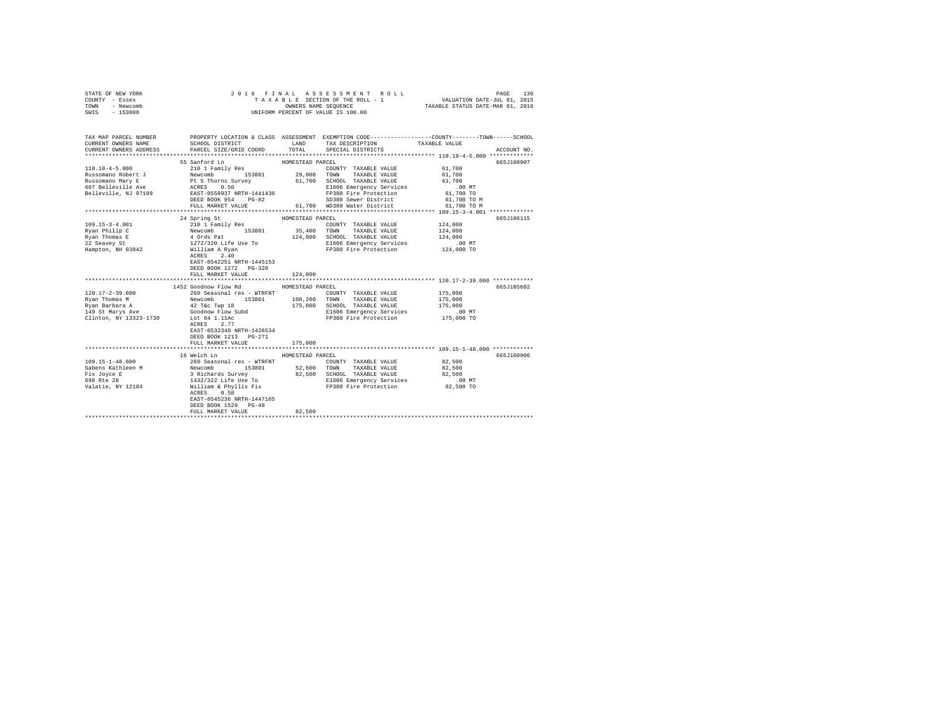| STATE OF NEW YORK | 2016 FINAL ASSESSMENT ROLL         | 130<br>PAGE                      |
|-------------------|------------------------------------|----------------------------------|
| COUNTY - Essex    | TAXABLE SECTION OF THE ROLL - 1    | VALUATION DATE-JUL 01, 2015      |
| TOWN<br>- Newcomb | OWNERS NAME SEOUENCE               | TAXABLE STATUS DATE-MAR 01, 2016 |
| SWIS<br>- 153800  | UNIFORM PERCENT OF VALUE IS 100.00 |                                  |
|                   |                                    |                                  |
|                   |                                    |                                  |

| TAX MAP PARCEL NUMBER<br>CURRENT OWNERS NAME<br>CURRENT OWNERS ADDRESS                                                                                                                                                               | SCHOOL DISTRICT<br>PARCEL SIZE/GRID COORD | <b>LAND</b>      | TAX DESCRIPTION TAXABLE VALUE SPECIAL DISTRICTS<br>TOTAL SPECIAL DISTRICTS                                                                                                            | PROPERTY LOCATION & CLASS ASSESSMENT EXEMPTION CODE----------------COUNTY-------TOWN------SCHOOL<br>ACCOUNT NO. |
|--------------------------------------------------------------------------------------------------------------------------------------------------------------------------------------------------------------------------------------|-------------------------------------------|------------------|---------------------------------------------------------------------------------------------------------------------------------------------------------------------------------------|-----------------------------------------------------------------------------------------------------------------|
|                                                                                                                                                                                                                                      |                                           |                  |                                                                                                                                                                                       |                                                                                                                 |
|                                                                                                                                                                                                                                      | 55 Sanford Ln<br>HOMESTEAD PARCEL         |                  |                                                                                                                                                                                       | 665J100907                                                                                                      |
| $110.18 - 4 - 5.000$                                                                                                                                                                                                                 | 210 1 Family Res                          |                  | COUNTY TAXABLE VALUE 61,700                                                                                                                                                           |                                                                                                                 |
|                                                                                                                                                                                                                                      |                                           |                  |                                                                                                                                                                                       | 61,700<br>61,700                                                                                                |
|                                                                                                                                                                                                                                      |                                           |                  |                                                                                                                                                                                       |                                                                                                                 |
|                                                                                                                                                                                                                                      |                                           |                  | E1606 Emergency Services .00 MT<br>FP380 Fire Protection 61,700 TO                                                                                                                    |                                                                                                                 |
|                                                                                                                                                                                                                                      |                                           |                  | FP380 Fire Protection                                                                                                                                                                 |                                                                                                                 |
| 110/18"-7-Juve TV = 153801 29,000<br>Russomano Robert J = 15 Thorns Survey 61,700<br>607 Belleville Ave = 15 Thorns Survey 61,700<br>Example ACRES 0.50<br>Belleville, NJ 07109 = 2857-0558937 NRTH-1441436<br>DEED BOOK 954 = 03-82 |                                           |                  | SD380 Sewer District 61.700 TO M                                                                                                                                                      |                                                                                                                 |
|                                                                                                                                                                                                                                      |                                           |                  |                                                                                                                                                                                       |                                                                                                                 |
|                                                                                                                                                                                                                                      |                                           |                  |                                                                                                                                                                                       |                                                                                                                 |
|                                                                                                                                                                                                                                      | 24 Spring St                              | HOMESTEAD PARCEL | COUNTY TAXABLE VALUE 124.000                                                                                                                                                          | 665J106115                                                                                                      |
| $\begin{array}{ccccccccc} 109.15-3-4.001 & & & & & 210 & 1 Family Res & & & & \text{COUNTY TAXABLE VALUE} \\ \text{Ryan Philip C} & & & & & & 153801 & & 35,400 & & \text{TONNY} & & \text{TAXABLE VALUE} \end{array}$               |                                           |                  |                                                                                                                                                                                       | 124,000                                                                                                         |
|                                                                                                                                                                                                                                      |                                           |                  |                                                                                                                                                                                       |                                                                                                                 |
|                                                                                                                                                                                                                                      |                                           |                  | 124,000 SCHOOL TAXABLE VALUE 124,000<br>E1606 Emergency Services .00 MT                                                                                                               |                                                                                                                 |
|                                                                                                                                                                                                                                      |                                           |                  |                                                                                                                                                                                       |                                                                                                                 |
| Fran Thomas E<br>22 Seavey St<br>23 Seavey St<br>Hampton, NH 03842<br>William A Ryan<br>Milliam A Ryan<br>Milliam A Ryan<br>A Register 2.40                                                                                          | ACRES 2.40                                |                  |                                                                                                                                                                                       |                                                                                                                 |
|                                                                                                                                                                                                                                      | EAST-0542251 NRTH-1445153                 |                  |                                                                                                                                                                                       |                                                                                                                 |
|                                                                                                                                                                                                                                      | DEED BOOK 1272 PG-320                     |                  |                                                                                                                                                                                       |                                                                                                                 |
|                                                                                                                                                                                                                                      | FULL MARKET VALUE                         | 124,000          |                                                                                                                                                                                       |                                                                                                                 |
|                                                                                                                                                                                                                                      |                                           |                  |                                                                                                                                                                                       |                                                                                                                 |
|                                                                                                                                                                                                                                      |                                           |                  |                                                                                                                                                                                       |                                                                                                                 |
|                                                                                                                                                                                                                                      | 1452 Goodnow Flow Rd                      | HOMESTEAD PARCEL |                                                                                                                                                                                       | 665J105602                                                                                                      |
|                                                                                                                                                                                                                                      |                                           |                  | COUNTY TAXABLE VALUE 175,000                                                                                                                                                          |                                                                                                                 |
|                                                                                                                                                                                                                                      |                                           |                  | TAXABLE VALUE 175,000                                                                                                                                                                 |                                                                                                                 |
|                                                                                                                                                                                                                                      |                                           |                  |                                                                                                                                                                                       |                                                                                                                 |
|                                                                                                                                                                                                                                      |                                           |                  | 175,000 SCHOOL TAXABLE VALUE 175,000<br>E1606 Emergency Services .00 MT                                                                                                               |                                                                                                                 |
| Clinton, NY 13323-1730                                                                                                                                                                                                               | Lot 64 1.11Ac                             |                  | FP380 Fire Protection 175,000 TO                                                                                                                                                      |                                                                                                                 |
|                                                                                                                                                                                                                                      | ACRES 2.77                                |                  |                                                                                                                                                                                       |                                                                                                                 |
|                                                                                                                                                                                                                                      | EAST-0532340 NRTH-1426534                 |                  |                                                                                                                                                                                       |                                                                                                                 |
|                                                                                                                                                                                                                                      | DEED BOOK 1213 PG-271                     |                  |                                                                                                                                                                                       |                                                                                                                 |
|                                                                                                                                                                                                                                      | FULL MARKET VALUE                         | 175,000          |                                                                                                                                                                                       |                                                                                                                 |
|                                                                                                                                                                                                                                      |                                           |                  |                                                                                                                                                                                       |                                                                                                                 |
|                                                                                                                                                                                                                                      | 16 Welch Ln                               | HOMESTEAD PARCEL |                                                                                                                                                                                       | 665J100906                                                                                                      |
| 109.15-1-48.000                                                                                                                                                                                                                      | 260 Seasonal res - WTRFNT                 |                  | COUNTY TAXABLE VALUE 82,500                                                                                                                                                           |                                                                                                                 |
|                                                                                                                                                                                                                                      |                                           |                  | TAXABLE VALUE                                                                                                                                                                         | 82,500                                                                                                          |
|                                                                                                                                                                                                                                      |                                           |                  |                                                                                                                                                                                       | 82,500                                                                                                          |
| 698 Rte 28                                                                                                                                                                                                                           |                                           |                  | 3 Richards Survey                       82,500   SCHOOL TAXABLE VALUE<br>1432/322 Life Use To                             E1606 Emergency Services<br>E1606 Emergency Services .00 MT |                                                                                                                 |
| Valatie, NY 12184                                                                                                                                                                                                                    | William & Phyllis Fix                     |                  | FP380 Fire Protection                                                                                                                                                                 | 82,500 TO                                                                                                       |
|                                                                                                                                                                                                                                      | ACRES 0.58<br>EAST-0545236 NRTH-1447165   |                  |                                                                                                                                                                                       |                                                                                                                 |
|                                                                                                                                                                                                                                      | DEED BOOK 1529 PG-40                      |                  |                                                                                                                                                                                       |                                                                                                                 |
|                                                                                                                                                                                                                                      | FULL MARKET VALUE                         | 82,500           |                                                                                                                                                                                       |                                                                                                                 |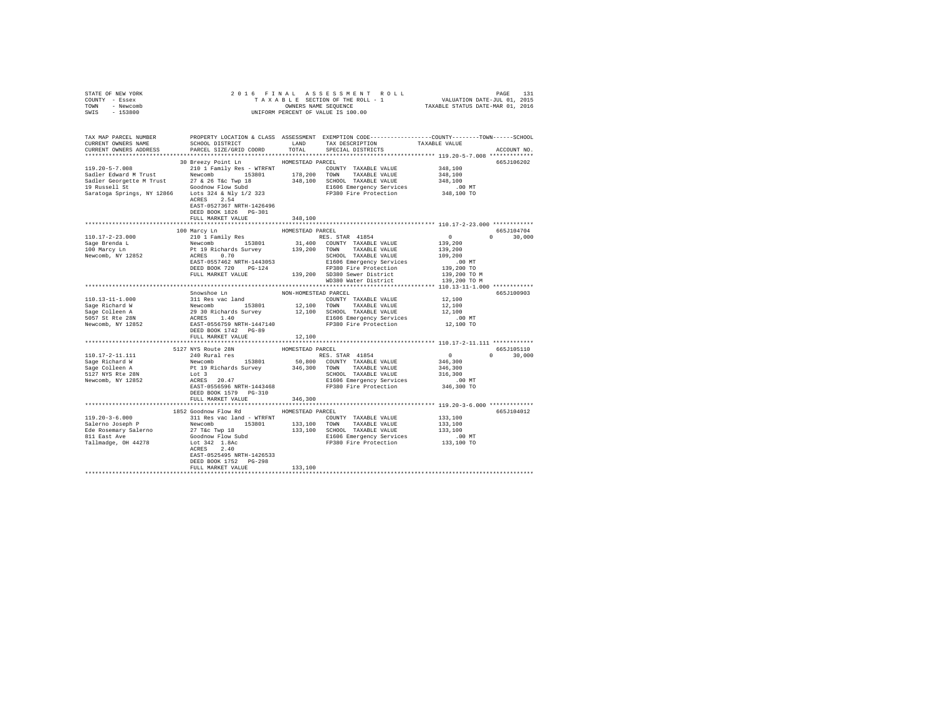| STATE OF NEW YORK<br>COUNTY - Essex                                                                                                                                                                                                                                                                                                                                                                                                                                       |                                       |                      |                                      |               |
|---------------------------------------------------------------------------------------------------------------------------------------------------------------------------------------------------------------------------------------------------------------------------------------------------------------------------------------------------------------------------------------------------------------------------------------------------------------------------|---------------------------------------|----------------------|--------------------------------------|---------------|
| TOWN - Newcomb                                                                                                                                                                                                                                                                                                                                                                                                                                                            |                                       |                      |                                      |               |
| SWIS - 153800                                                                                                                                                                                                                                                                                                                                                                                                                                                             |                                       |                      |                                      |               |
|                                                                                                                                                                                                                                                                                                                                                                                                                                                                           |                                       |                      |                                      |               |
| TAX MAP PARCEL NUMBER PROPERTY LOCATION & CLASS ASSESSMENT EXEMPTION CODE---------------COUNTY-------TOWN------SCHOOL<br>CURRENT OWNERS NAME SCHOOL DISTRICT LAND TAX DESCRIPTION TAXABLE VALUE                                                                                                                                                                                                                                                                           |                                       |                      |                                      |               |
|                                                                                                                                                                                                                                                                                                                                                                                                                                                                           |                                       |                      |                                      |               |
| CURRENT OWNERS ADDRESS FORCEL SIZE/GRID COORD TOTAL SPECIAL DISTRICTS                                                                                                                                                                                                                                                                                                                                                                                                     |                                       |                      |                                      | ACCOUNT NO.   |
|                                                                                                                                                                                                                                                                                                                                                                                                                                                                           |                                       |                      |                                      |               |
|                                                                                                                                                                                                                                                                                                                                                                                                                                                                           | 30 Breezy Point Ln MOMESTEAD PARCEL   |                      |                                      | 665J106202    |
|                                                                                                                                                                                                                                                                                                                                                                                                                                                                           |                                       |                      |                                      |               |
|                                                                                                                                                                                                                                                                                                                                                                                                                                                                           |                                       |                      |                                      |               |
|                                                                                                                                                                                                                                                                                                                                                                                                                                                                           |                                       |                      |                                      |               |
|                                                                                                                                                                                                                                                                                                                                                                                                                                                                           |                                       |                      |                                      |               |
|                                                                                                                                                                                                                                                                                                                                                                                                                                                                           |                                       |                      |                                      |               |
|                                                                                                                                                                                                                                                                                                                                                                                                                                                                           |                                       |                      |                                      |               |
|                                                                                                                                                                                                                                                                                                                                                                                                                                                                           | EAST-0527367 NRTH-1426496             |                      |                                      |               |
|                                                                                                                                                                                                                                                                                                                                                                                                                                                                           | DEED BOOK 1826 PG-301                 |                      |                                      |               |
|                                                                                                                                                                                                                                                                                                                                                                                                                                                                           | FULL MARKET VALUE                     | 348,100              |                                      |               |
|                                                                                                                                                                                                                                                                                                                                                                                                                                                                           |                                       |                      |                                      |               |
|                                                                                                                                                                                                                                                                                                                                                                                                                                                                           |                                       |                      |                                      | 665J104704    |
|                                                                                                                                                                                                                                                                                                                                                                                                                                                                           |                                       |                      | $0 \t 0 \t 30,000$                   |               |
|                                                                                                                                                                                                                                                                                                                                                                                                                                                                           |                                       |                      |                                      |               |
|                                                                                                                                                                                                                                                                                                                                                                                                                                                                           |                                       |                      |                                      |               |
|                                                                                                                                                                                                                                                                                                                                                                                                                                                                           |                                       |                      |                                      |               |
| 110.17-2-23.000 100 Marcy Lm = HOMESTRAD PARCEL<br>100.17-2-23.000 100 Marcy Lm = HOMESTRAD PARCEL<br>210 1 Family Res = Brenda L RES . STAR 41854 VALUE 139,200 1<br>139.200 TOWN TAXABLE VALUE 139,200 1<br>Newcomb, NY 12852 ACRES                                                                                                                                                                                                                                     |                                       |                      |                                      |               |
|                                                                                                                                                                                                                                                                                                                                                                                                                                                                           |                                       |                      |                                      |               |
|                                                                                                                                                                                                                                                                                                                                                                                                                                                                           |                                       |                      |                                      |               |
|                                                                                                                                                                                                                                                                                                                                                                                                                                                                           |                                       |                      | 139,200 TO M                         |               |
|                                                                                                                                                                                                                                                                                                                                                                                                                                                                           |                                       |                      |                                      |               |
|                                                                                                                                                                                                                                                                                                                                                                                                                                                                           | Snowshoe Ln                           | NON-HOMESTEAD PARCEL |                                      | 665J100903    |
|                                                                                                                                                                                                                                                                                                                                                                                                                                                                           |                                       |                      |                                      |               |
|                                                                                                                                                                                                                                                                                                                                                                                                                                                                           |                                       |                      |                                      |               |
|                                                                                                                                                                                                                                                                                                                                                                                                                                                                           |                                       |                      |                                      |               |
|                                                                                                                                                                                                                                                                                                                                                                                                                                                                           |                                       |                      |                                      |               |
|                                                                                                                                                                                                                                                                                                                                                                                                                                                                           |                                       |                      |                                      |               |
|                                                                                                                                                                                                                                                                                                                                                                                                                                                                           | DEED BOOK 1742 PG-89                  |                      |                                      |               |
|                                                                                                                                                                                                                                                                                                                                                                                                                                                                           | FULL MARKET VALUE                     | 12,100               |                                      |               |
|                                                                                                                                                                                                                                                                                                                                                                                                                                                                           |                                       |                      |                                      |               |
|                                                                                                                                                                                                                                                                                                                                                                                                                                                                           | 5127 NYS Route 28N                    | HOMESTEAD PARCEL     | 665J105110                           |               |
|                                                                                                                                                                                                                                                                                                                                                                                                                                                                           |                                       |                      |                                      | $0 \t 30,000$ |
|                                                                                                                                                                                                                                                                                                                                                                                                                                                                           |                                       |                      |                                      |               |
| $\begin{tabular}{l c c c c c} \hline 110.17-2-11.111 & 51279 K \\ 110.17-2-11.111 & 240 R\\ \hline \texttt{Seq} & Newton & Newton & 153801 & 50,800 C\\ \hline \texttt{Seq} & Newton & Newton & 153801 & 50,800 C\\ \hline \texttt{Seq} & Newton & Newton & 153801 & 50,800 C\\ \hline \texttt{Seq} & Newton & Newton & TAMBLEVALUE & 346,300\\ \hline \texttt{Seq} & G. & 10 & 800 C\\ \hline \text$                                                                     |                                       |                      | $0$<br>346,300<br>346,300<br>316,300 |               |
|                                                                                                                                                                                                                                                                                                                                                                                                                                                                           |                                       |                      |                                      |               |
|                                                                                                                                                                                                                                                                                                                                                                                                                                                                           |                                       |                      |                                      |               |
|                                                                                                                                                                                                                                                                                                                                                                                                                                                                           |                                       |                      |                                      |               |
|                                                                                                                                                                                                                                                                                                                                                                                                                                                                           | DEED BOOK 1579    PG-310              |                      |                                      |               |
|                                                                                                                                                                                                                                                                                                                                                                                                                                                                           | FULL MARKET VALUE                     | 346,300              |                                      |               |
|                                                                                                                                                                                                                                                                                                                                                                                                                                                                           |                                       |                      |                                      |               |
|                                                                                                                                                                                                                                                                                                                                                                                                                                                                           | 1852 Goodnow Flow Rd HOMESTEAD PARCEL |                      |                                      | 665J104012    |
| $\begin{tabular}{l c c c c c c c c} \hline 119.20-3-6.000 & \hline & \multicolumn{3}{c}{\text{\small 1}} & \multicolumn{3}{c}{\text{\small 1}} & \multicolumn{3}{c}{\text{\small 1}} & \multicolumn{3}{c}{\text{\small 1}} & \multicolumn{3}{c}{\text{\small 1}} & \multicolumn{3}{c}{\text{\small 1}} & \multicolumn{3}{c}{\text{\small 1}} & \multicolumn{3}{c}{\text{\small 1}} & \multicolumn{3}{c}{\text{\small 1}} & \multicolumn{3}{c}{\text{\small 1}} & \multic$ |                                       |                      |                                      |               |
|                                                                                                                                                                                                                                                                                                                                                                                                                                                                           |                                       |                      |                                      |               |
|                                                                                                                                                                                                                                                                                                                                                                                                                                                                           |                                       |                      |                                      |               |
|                                                                                                                                                                                                                                                                                                                                                                                                                                                                           |                                       |                      |                                      |               |
|                                                                                                                                                                                                                                                                                                                                                                                                                                                                           |                                       |                      |                                      |               |
|                                                                                                                                                                                                                                                                                                                                                                                                                                                                           | ACRES 2.40                            |                      |                                      |               |
|                                                                                                                                                                                                                                                                                                                                                                                                                                                                           | EAST-0525495 NRTH-1426533             |                      |                                      |               |
|                                                                                                                                                                                                                                                                                                                                                                                                                                                                           | DEED BOOK 1752    PG-298              |                      |                                      |               |
|                                                                                                                                                                                                                                                                                                                                                                                                                                                                           | FULL MARKET VALUE 133,100             |                      |                                      |               |
|                                                                                                                                                                                                                                                                                                                                                                                                                                                                           |                                       |                      |                                      |               |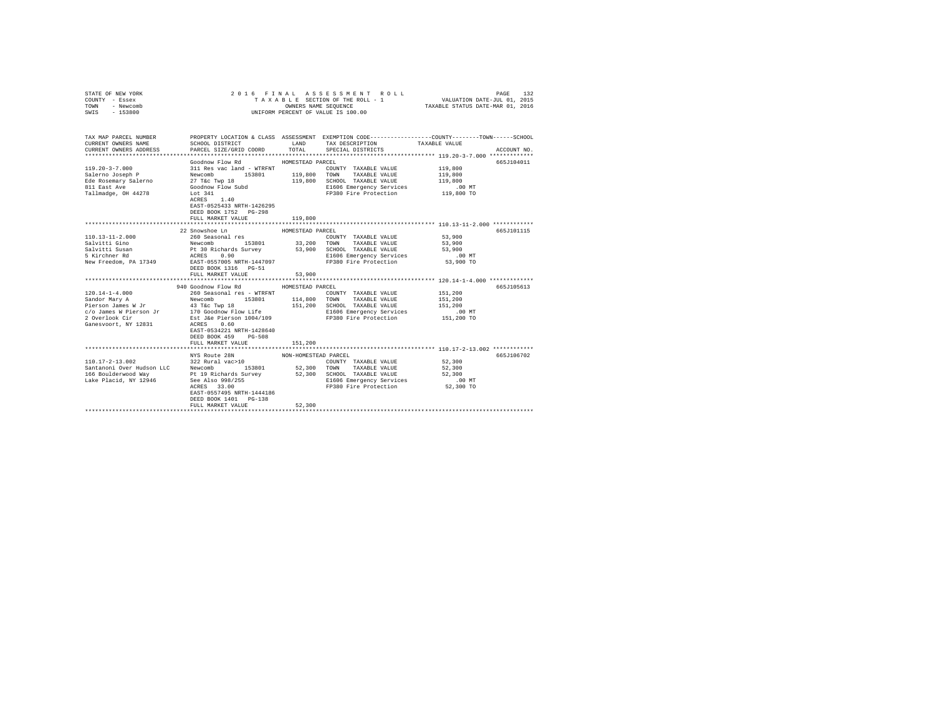| PROPERTY LOCATION & CLASS ASSESSMENT EXEMPTION CODE----------------COUNTY-------TOWN-----SCHOOL<br>TAX MAP PARCEL NUMBER<br>SCHOOL DISTRICT LAND<br>TAXABLE VALUE<br>CURRENT OWNERS NAME<br>TAX DESCRIPTION<br>CURRENT OWNERS ADDRESS<br>TOTAL<br>PARCEL SIZE/GRID COORD<br>SPECIAL DISTRICTS<br>ACCOUNT NO.<br>Goodnow Flow Rd<br>HOMESTEAD PARCEL<br>665J104011<br>311 Res vac land - WTRFNT<br>$119.20 - 3 - 7.000$<br>119,800<br>COUNTY TAXABLE VALUE<br>153801 119,800 TOWN<br>Salerno Joseph P<br>Mewcomb<br>27 Tác Twp 18<br>27 Tác Twp 18<br>811 East Ave Goodnow Flow Subd<br>711 East Ave Goodnow Flow Subd<br>711 Tallmadge, 0H 44278<br>520 Lot 341<br>TAXABLE VALUE<br>119,800<br>119,800 SCHOOL TAXABLE VALUE<br>119,800<br>00 MT.<br>119,800 TO<br>E1606 Emeryency --<br>FP380 Fire Protection<br>ACRES 1.40<br>EAST-0525433 NRTH-1426295<br>DEED BOOK 1752 PG-298<br>FULL MARKET VALUE<br>119,800<br>22 Snowshoe Ln<br>665J101115<br>HOMESTEAD PARCEL<br>53,900<br>COUNTY TAXABLE VALUE<br>53,900<br>TOWN<br>TAXABLE VALUE<br>53,900<br>SCHOOL TAXABLE VALUE<br>E1606 Emergency Services<br>$.00$ MT<br>53,900 TO<br>FP380 Fire Protection<br>DEED BOOK 1316 PG-51<br>53,900<br>FULL MARKET VALUE<br>*************************** 120.14-1-4.000 *************<br>****************************<br>****************<br>940 Goodnow Flow Rd<br>665J105613<br>HOMESTEAD PARCEL<br>151,200<br>COUNTY TAXABLE VALUE<br>153801 114,800 TOWN<br>151,200<br>TAXABLE VALUE<br>151,200 SCHOOL TAXABLE VALUE<br>151,200<br>E1606 Emergency Services<br>.00 MT<br>FP380 Fire Protection 151,200 TO<br>EAST-0534221 NRTH-1428640<br>DEED BOOK 459 PG-508<br>FULL MARKET VALUE<br>151,200<br>NYS Route 28N<br>665J106702<br>NON-HOMESTEAD PARCEL<br>$\begin{tabular}{lllllll} \multicolumn{2}{c}{\textbf{COUNTY}} & \textbf{TAXABLE VALUE} & & & & 52,300 \end{tabular}$<br>52,300<br>52,300<br>$.00$ MT<br>FP380 Fire Protection 52,300 TO<br>EAST-0557495 NRTH-1444186<br>DEED BOOK 1401 PG-138<br>52,300<br>FULL MARKET VALUE | COUNTY - Essex<br>TOWN<br>- Newcomb<br>SWIS<br>$-153800$ | TAXABLE SECTION OF THE ROLL - 1 VALUATION DATE-JUL 01, 2015<br>OWNERS NAME SEQUENCE<br>UNIFORM PERCENT OF VALUE IS 100.00 |  |  | TAXABLE STATUS DATE-MAR 01, 2016 |  |
|-----------------------------------------------------------------------------------------------------------------------------------------------------------------------------------------------------------------------------------------------------------------------------------------------------------------------------------------------------------------------------------------------------------------------------------------------------------------------------------------------------------------------------------------------------------------------------------------------------------------------------------------------------------------------------------------------------------------------------------------------------------------------------------------------------------------------------------------------------------------------------------------------------------------------------------------------------------------------------------------------------------------------------------------------------------------------------------------------------------------------------------------------------------------------------------------------------------------------------------------------------------------------------------------------------------------------------------------------------------------------------------------------------------------------------------------------------------------------------------------------------------------------------------------------------------------------------------------------------------------------------------------------------------------------------------------------------------------------------------------------------------------------------------------------------------------------------------------------------------------------------------------------------------------------------------------------------------------------------------------------------------------------------------|----------------------------------------------------------|---------------------------------------------------------------------------------------------------------------------------|--|--|----------------------------------|--|
|                                                                                                                                                                                                                                                                                                                                                                                                                                                                                                                                                                                                                                                                                                                                                                                                                                                                                                                                                                                                                                                                                                                                                                                                                                                                                                                                                                                                                                                                                                                                                                                                                                                                                                                                                                                                                                                                                                                                                                                                                                   |                                                          |                                                                                                                           |  |  |                                  |  |
|                                                                                                                                                                                                                                                                                                                                                                                                                                                                                                                                                                                                                                                                                                                                                                                                                                                                                                                                                                                                                                                                                                                                                                                                                                                                                                                                                                                                                                                                                                                                                                                                                                                                                                                                                                                                                                                                                                                                                                                                                                   |                                                          |                                                                                                                           |  |  |                                  |  |
|                                                                                                                                                                                                                                                                                                                                                                                                                                                                                                                                                                                                                                                                                                                                                                                                                                                                                                                                                                                                                                                                                                                                                                                                                                                                                                                                                                                                                                                                                                                                                                                                                                                                                                                                                                                                                                                                                                                                                                                                                                   |                                                          |                                                                                                                           |  |  |                                  |  |
|                                                                                                                                                                                                                                                                                                                                                                                                                                                                                                                                                                                                                                                                                                                                                                                                                                                                                                                                                                                                                                                                                                                                                                                                                                                                                                                                                                                                                                                                                                                                                                                                                                                                                                                                                                                                                                                                                                                                                                                                                                   |                                                          |                                                                                                                           |  |  |                                  |  |
|                                                                                                                                                                                                                                                                                                                                                                                                                                                                                                                                                                                                                                                                                                                                                                                                                                                                                                                                                                                                                                                                                                                                                                                                                                                                                                                                                                                                                                                                                                                                                                                                                                                                                                                                                                                                                                                                                                                                                                                                                                   |                                                          |                                                                                                                           |  |  |                                  |  |
|                                                                                                                                                                                                                                                                                                                                                                                                                                                                                                                                                                                                                                                                                                                                                                                                                                                                                                                                                                                                                                                                                                                                                                                                                                                                                                                                                                                                                                                                                                                                                                                                                                                                                                                                                                                                                                                                                                                                                                                                                                   |                                                          |                                                                                                                           |  |  |                                  |  |
|                                                                                                                                                                                                                                                                                                                                                                                                                                                                                                                                                                                                                                                                                                                                                                                                                                                                                                                                                                                                                                                                                                                                                                                                                                                                                                                                                                                                                                                                                                                                                                                                                                                                                                                                                                                                                                                                                                                                                                                                                                   |                                                          |                                                                                                                           |  |  |                                  |  |
|                                                                                                                                                                                                                                                                                                                                                                                                                                                                                                                                                                                                                                                                                                                                                                                                                                                                                                                                                                                                                                                                                                                                                                                                                                                                                                                                                                                                                                                                                                                                                                                                                                                                                                                                                                                                                                                                                                                                                                                                                                   |                                                          |                                                                                                                           |  |  |                                  |  |
|                                                                                                                                                                                                                                                                                                                                                                                                                                                                                                                                                                                                                                                                                                                                                                                                                                                                                                                                                                                                                                                                                                                                                                                                                                                                                                                                                                                                                                                                                                                                                                                                                                                                                                                                                                                                                                                                                                                                                                                                                                   |                                                          |                                                                                                                           |  |  |                                  |  |
|                                                                                                                                                                                                                                                                                                                                                                                                                                                                                                                                                                                                                                                                                                                                                                                                                                                                                                                                                                                                                                                                                                                                                                                                                                                                                                                                                                                                                                                                                                                                                                                                                                                                                                                                                                                                                                                                                                                                                                                                                                   |                                                          |                                                                                                                           |  |  |                                  |  |
|                                                                                                                                                                                                                                                                                                                                                                                                                                                                                                                                                                                                                                                                                                                                                                                                                                                                                                                                                                                                                                                                                                                                                                                                                                                                                                                                                                                                                                                                                                                                                                                                                                                                                                                                                                                                                                                                                                                                                                                                                                   |                                                          |                                                                                                                           |  |  |                                  |  |
|                                                                                                                                                                                                                                                                                                                                                                                                                                                                                                                                                                                                                                                                                                                                                                                                                                                                                                                                                                                                                                                                                                                                                                                                                                                                                                                                                                                                                                                                                                                                                                                                                                                                                                                                                                                                                                                                                                                                                                                                                                   |                                                          |                                                                                                                           |  |  |                                  |  |
|                                                                                                                                                                                                                                                                                                                                                                                                                                                                                                                                                                                                                                                                                                                                                                                                                                                                                                                                                                                                                                                                                                                                                                                                                                                                                                                                                                                                                                                                                                                                                                                                                                                                                                                                                                                                                                                                                                                                                                                                                                   |                                                          |                                                                                                                           |  |  |                                  |  |
|                                                                                                                                                                                                                                                                                                                                                                                                                                                                                                                                                                                                                                                                                                                                                                                                                                                                                                                                                                                                                                                                                                                                                                                                                                                                                                                                                                                                                                                                                                                                                                                                                                                                                                                                                                                                                                                                                                                                                                                                                                   |                                                          |                                                                                                                           |  |  |                                  |  |
|                                                                                                                                                                                                                                                                                                                                                                                                                                                                                                                                                                                                                                                                                                                                                                                                                                                                                                                                                                                                                                                                                                                                                                                                                                                                                                                                                                                                                                                                                                                                                                                                                                                                                                                                                                                                                                                                                                                                                                                                                                   |                                                          |                                                                                                                           |  |  |                                  |  |
|                                                                                                                                                                                                                                                                                                                                                                                                                                                                                                                                                                                                                                                                                                                                                                                                                                                                                                                                                                                                                                                                                                                                                                                                                                                                                                                                                                                                                                                                                                                                                                                                                                                                                                                                                                                                                                                                                                                                                                                                                                   |                                                          |                                                                                                                           |  |  |                                  |  |
|                                                                                                                                                                                                                                                                                                                                                                                                                                                                                                                                                                                                                                                                                                                                                                                                                                                                                                                                                                                                                                                                                                                                                                                                                                                                                                                                                                                                                                                                                                                                                                                                                                                                                                                                                                                                                                                                                                                                                                                                                                   |                                                          |                                                                                                                           |  |  |                                  |  |
|                                                                                                                                                                                                                                                                                                                                                                                                                                                                                                                                                                                                                                                                                                                                                                                                                                                                                                                                                                                                                                                                                                                                                                                                                                                                                                                                                                                                                                                                                                                                                                                                                                                                                                                                                                                                                                                                                                                                                                                                                                   |                                                          |                                                                                                                           |  |  |                                  |  |
|                                                                                                                                                                                                                                                                                                                                                                                                                                                                                                                                                                                                                                                                                                                                                                                                                                                                                                                                                                                                                                                                                                                                                                                                                                                                                                                                                                                                                                                                                                                                                                                                                                                                                                                                                                                                                                                                                                                                                                                                                                   |                                                          |                                                                                                                           |  |  |                                  |  |
|                                                                                                                                                                                                                                                                                                                                                                                                                                                                                                                                                                                                                                                                                                                                                                                                                                                                                                                                                                                                                                                                                                                                                                                                                                                                                                                                                                                                                                                                                                                                                                                                                                                                                                                                                                                                                                                                                                                                                                                                                                   |                                                          |                                                                                                                           |  |  |                                  |  |
|                                                                                                                                                                                                                                                                                                                                                                                                                                                                                                                                                                                                                                                                                                                                                                                                                                                                                                                                                                                                                                                                                                                                                                                                                                                                                                                                                                                                                                                                                                                                                                                                                                                                                                                                                                                                                                                                                                                                                                                                                                   |                                                          |                                                                                                                           |  |  |                                  |  |
|                                                                                                                                                                                                                                                                                                                                                                                                                                                                                                                                                                                                                                                                                                                                                                                                                                                                                                                                                                                                                                                                                                                                                                                                                                                                                                                                                                                                                                                                                                                                                                                                                                                                                                                                                                                                                                                                                                                                                                                                                                   |                                                          |                                                                                                                           |  |  |                                  |  |
|                                                                                                                                                                                                                                                                                                                                                                                                                                                                                                                                                                                                                                                                                                                                                                                                                                                                                                                                                                                                                                                                                                                                                                                                                                                                                                                                                                                                                                                                                                                                                                                                                                                                                                                                                                                                                                                                                                                                                                                                                                   |                                                          |                                                                                                                           |  |  |                                  |  |
|                                                                                                                                                                                                                                                                                                                                                                                                                                                                                                                                                                                                                                                                                                                                                                                                                                                                                                                                                                                                                                                                                                                                                                                                                                                                                                                                                                                                                                                                                                                                                                                                                                                                                                                                                                                                                                                                                                                                                                                                                                   |                                                          |                                                                                                                           |  |  |                                  |  |
|                                                                                                                                                                                                                                                                                                                                                                                                                                                                                                                                                                                                                                                                                                                                                                                                                                                                                                                                                                                                                                                                                                                                                                                                                                                                                                                                                                                                                                                                                                                                                                                                                                                                                                                                                                                                                                                                                                                                                                                                                                   |                                                          |                                                                                                                           |  |  |                                  |  |
|                                                                                                                                                                                                                                                                                                                                                                                                                                                                                                                                                                                                                                                                                                                                                                                                                                                                                                                                                                                                                                                                                                                                                                                                                                                                                                                                                                                                                                                                                                                                                                                                                                                                                                                                                                                                                                                                                                                                                                                                                                   |                                                          |                                                                                                                           |  |  |                                  |  |
|                                                                                                                                                                                                                                                                                                                                                                                                                                                                                                                                                                                                                                                                                                                                                                                                                                                                                                                                                                                                                                                                                                                                                                                                                                                                                                                                                                                                                                                                                                                                                                                                                                                                                                                                                                                                                                                                                                                                                                                                                                   |                                                          |                                                                                                                           |  |  |                                  |  |
|                                                                                                                                                                                                                                                                                                                                                                                                                                                                                                                                                                                                                                                                                                                                                                                                                                                                                                                                                                                                                                                                                                                                                                                                                                                                                                                                                                                                                                                                                                                                                                                                                                                                                                                                                                                                                                                                                                                                                                                                                                   |                                                          |                                                                                                                           |  |  |                                  |  |
|                                                                                                                                                                                                                                                                                                                                                                                                                                                                                                                                                                                                                                                                                                                                                                                                                                                                                                                                                                                                                                                                                                                                                                                                                                                                                                                                                                                                                                                                                                                                                                                                                                                                                                                                                                                                                                                                                                                                                                                                                                   |                                                          |                                                                                                                           |  |  |                                  |  |
|                                                                                                                                                                                                                                                                                                                                                                                                                                                                                                                                                                                                                                                                                                                                                                                                                                                                                                                                                                                                                                                                                                                                                                                                                                                                                                                                                                                                                                                                                                                                                                                                                                                                                                                                                                                                                                                                                                                                                                                                                                   |                                                          |                                                                                                                           |  |  |                                  |  |
|                                                                                                                                                                                                                                                                                                                                                                                                                                                                                                                                                                                                                                                                                                                                                                                                                                                                                                                                                                                                                                                                                                                                                                                                                                                                                                                                                                                                                                                                                                                                                                                                                                                                                                                                                                                                                                                                                                                                                                                                                                   |                                                          |                                                                                                                           |  |  |                                  |  |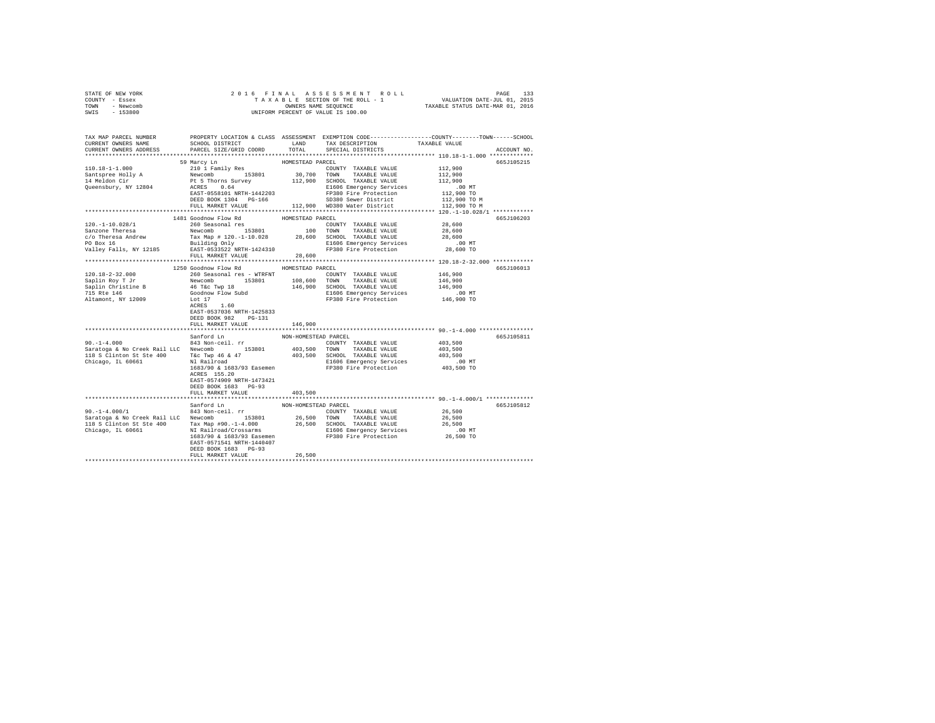| STATE OF NEW YORK                                                                                                                                                                                                                                                                                                                                                                                                      |                                      |                      |                                                                                                                                                                                                                         |                                                 |             |
|------------------------------------------------------------------------------------------------------------------------------------------------------------------------------------------------------------------------------------------------------------------------------------------------------------------------------------------------------------------------------------------------------------------------|--------------------------------------|----------------------|-------------------------------------------------------------------------------------------------------------------------------------------------------------------------------------------------------------------------|-------------------------------------------------|-------------|
| COUNTY - Essex                                                                                                                                                                                                                                                                                                                                                                                                         |                                      |                      |                                                                                                                                                                                                                         |                                                 |             |
| TOWN - Newcomb<br>SWIS - 153800                                                                                                                                                                                                                                                                                                                                                                                        |                                      |                      |                                                                                                                                                                                                                         |                                                 |             |
|                                                                                                                                                                                                                                                                                                                                                                                                                        |                                      |                      |                                                                                                                                                                                                                         |                                                 |             |
|                                                                                                                                                                                                                                                                                                                                                                                                                        |                                      |                      |                                                                                                                                                                                                                         |                                                 |             |
|                                                                                                                                                                                                                                                                                                                                                                                                                        |                                      |                      |                                                                                                                                                                                                                         |                                                 |             |
| TAX MAP PARCEL NUMBER PROPERTY LOCATION & CLASS ASSESSMENT EXEMPTION CODE--------------COUNTY-------TOWN-----SCHOOL<br>CURRENT OWNERS NAME                                                                                                                                                                                                                                                                             | SCHOOL DISTRICT LAND TAX DESCRIPTION |                      |                                                                                                                                                                                                                         | TAXABLE VALUE                                   |             |
| CURRENT OWNERS ADDRESS                                                                                                                                                                                                                                                                                                                                                                                                 | PARCEL SIZE/GRID COORD               |                      | TOTAL SPECIAL DISTRICTS                                                                                                                                                                                                 |                                                 | ACCOUNT NO. |
|                                                                                                                                                                                                                                                                                                                                                                                                                        |                                      |                      |                                                                                                                                                                                                                         |                                                 |             |
|                                                                                                                                                                                                                                                                                                                                                                                                                        | 59 Marcy Ln                          | HOMESTEAD PARCEL     |                                                                                                                                                                                                                         |                                                 | 665J105215  |
| 110.18-1-1.000                                                                                                                                                                                                                                                                                                                                                                                                         |                                      |                      | COUNTY TAXABLE VALUE 112,900<br>210 1 Family Res<br>Newcomb 153801 30,700 TOWNY TAXABLE VALUE<br>PLE 5 Thorns Survey 112,900 SCHOOL TAXABLE VALUE<br>PLE 5 Thorns Survey 112,900 SCHOOL TAXABLE VALUE<br>RCRES<br>ACRES |                                                 |             |
|                                                                                                                                                                                                                                                                                                                                                                                                                        |                                      |                      |                                                                                                                                                                                                                         | 112,900                                         |             |
| Santspree Holly A<br>14 Meldon Cir<br>Queensbury, NY 12804                                                                                                                                                                                                                                                                                                                                                             |                                      |                      |                                                                                                                                                                                                                         | 112,900                                         |             |
|                                                                                                                                                                                                                                                                                                                                                                                                                        |                                      |                      | Ft informs outlet<br>RACRES 0.64 E1606 Emergency Services<br>RACRES 0.64 PG-166 SP380 Server District<br>NEW ROOK 1304 PG-166 SD380 Server District<br>NEW ROOK 1304 PG-166 SD380 Server District                       |                                                 |             |
|                                                                                                                                                                                                                                                                                                                                                                                                                        |                                      |                      |                                                                                                                                                                                                                         | 00 MT.<br>112,900 TO                            |             |
|                                                                                                                                                                                                                                                                                                                                                                                                                        |                                      |                      |                                                                                                                                                                                                                         | 112,900 TO M                                    |             |
|                                                                                                                                                                                                                                                                                                                                                                                                                        |                                      |                      | FULL MARKET VALUE 112.900 WD380 Water District                                                                                                                                                                          | 112,900 TO M                                    |             |
|                                                                                                                                                                                                                                                                                                                                                                                                                        |                                      |                      |                                                                                                                                                                                                                         |                                                 |             |
| $\begin{tabular}{l c c c c c c c c} \multicolumn{2}{c c c c} & \multicolumn{2}{c c c} & \multicolumn{2}{c c c} & \multicolumn{2}{c c c} & \multicolumn{2}{c c c} & \multicolumn{2}{c c} & \multicolumn{2}{c c} & \multicolumn{2}{c c} & \multicolumn{2}{c c} & \multicolumn{2}{c c} & \multicolumn{2}{c c} & \multicolumn{2}{c c} & \multicolumn{2}{c c} & \multicolumn{2}{c c} & \multicolumn{2}{c c} & \multicolumn$ |                                      | HOMESTEAD PARCEL     |                                                                                                                                                                                                                         |                                                 | 665J106203  |
|                                                                                                                                                                                                                                                                                                                                                                                                                        |                                      |                      |                                                                                                                                                                                                                         | 28,600                                          |             |
|                                                                                                                                                                                                                                                                                                                                                                                                                        |                                      |                      |                                                                                                                                                                                                                         | 28,600                                          |             |
|                                                                                                                                                                                                                                                                                                                                                                                                                        |                                      |                      |                                                                                                                                                                                                                         | 28,600                                          |             |
| For sox 10<br>Valley Falls, NY 12185<br>EAST-0533522 NRTH-1424310<br>THE SERVICE SERVICE SERVICE SERVICE SERVICE SERVICE SERVICE SERVICE SERVICE SERVICE SERVICE SERVICE SERVICE S                                                                                                                                                                                                                                     |                                      |                      | Extra the mergency Services<br>FP380 Fire Protection 28,600 TO                                                                                                                                                          |                                                 |             |
|                                                                                                                                                                                                                                                                                                                                                                                                                        |                                      |                      |                                                                                                                                                                                                                         |                                                 |             |
|                                                                                                                                                                                                                                                                                                                                                                                                                        | FULL MARKET VALUE 28,600             |                      |                                                                                                                                                                                                                         |                                                 |             |
|                                                                                                                                                                                                                                                                                                                                                                                                                        |                                      |                      |                                                                                                                                                                                                                         |                                                 |             |
|                                                                                                                                                                                                                                                                                                                                                                                                                        |                                      |                      |                                                                                                                                                                                                                         |                                                 | 665J106013  |
|                                                                                                                                                                                                                                                                                                                                                                                                                        |                                      |                      |                                                                                                                                                                                                                         |                                                 |             |
|                                                                                                                                                                                                                                                                                                                                                                                                                        |                                      |                      |                                                                                                                                                                                                                         |                                                 |             |
|                                                                                                                                                                                                                                                                                                                                                                                                                        |                                      |                      |                                                                                                                                                                                                                         |                                                 |             |
|                                                                                                                                                                                                                                                                                                                                                                                                                        |                                      |                      | E1606 Emergency Services .00 MT<br>FP380 Fire Protection  146,900 TO                                                                                                                                                    |                                                 |             |
|                                                                                                                                                                                                                                                                                                                                                                                                                        |                                      |                      |                                                                                                                                                                                                                         |                                                 |             |
|                                                                                                                                                                                                                                                                                                                                                                                                                        | EAST-0537036 NRTH-1425833            |                      |                                                                                                                                                                                                                         |                                                 |             |
|                                                                                                                                                                                                                                                                                                                                                                                                                        | DEED BOOK 982 PG-131                 |                      |                                                                                                                                                                                                                         |                                                 |             |
|                                                                                                                                                                                                                                                                                                                                                                                                                        | FULL MARKET VALUE                    | 146,900              |                                                                                                                                                                                                                         |                                                 |             |
|                                                                                                                                                                                                                                                                                                                                                                                                                        |                                      |                      |                                                                                                                                                                                                                         |                                                 |             |
|                                                                                                                                                                                                                                                                                                                                                                                                                        | Sanford Ln                           | NON-HOMESTEAD PARCEL |                                                                                                                                                                                                                         |                                                 | 665J105811  |
| $90. -1 - 4.000$                                                                                                                                                                                                                                                                                                                                                                                                       | 843 Non-ceil. rr                     |                      | COUNTY TAXABLE VALUE                                                                                                                                                                                                    | 403,500                                         |             |
|                                                                                                                                                                                                                                                                                                                                                                                                                        |                                      |                      |                                                                                                                                                                                                                         |                                                 |             |
|                                                                                                                                                                                                                                                                                                                                                                                                                        |                                      |                      |                                                                                                                                                                                                                         |                                                 |             |
|                                                                                                                                                                                                                                                                                                                                                                                                                        |                                      |                      |                                                                                                                                                                                                                         |                                                 |             |
| Chicago, IL 60661 LLC Newcomb<br>2013,500 TOWN TAXABLE VALUE 403,500<br>2013 SCHICH ST SEE 400 The Tailroad & 47 403,500 SCHOOL TAXABLE VALUE 403,500<br>2018 Chicago, IL 60661 N1 Railroad E1606 E1606 E1606 E1606 E1606 E1606 E16                                                                                                                                                                                    |                                      |                      |                                                                                                                                                                                                                         |                                                 |             |
|                                                                                                                                                                                                                                                                                                                                                                                                                        | ACRES 155.20                         |                      |                                                                                                                                                                                                                         |                                                 |             |
|                                                                                                                                                                                                                                                                                                                                                                                                                        | EAST-0574909 NRTH-1473421            |                      |                                                                                                                                                                                                                         |                                                 |             |
|                                                                                                                                                                                                                                                                                                                                                                                                                        | DEED BOOK 1683 PG-93                 |                      |                                                                                                                                                                                                                         |                                                 |             |
|                                                                                                                                                                                                                                                                                                                                                                                                                        | FULL MARKET VALUE                    | 403,500              |                                                                                                                                                                                                                         |                                                 |             |
|                                                                                                                                                                                                                                                                                                                                                                                                                        |                                      |                      |                                                                                                                                                                                                                         | ***************** 90.-1-4.000/1 *************** |             |
|                                                                                                                                                                                                                                                                                                                                                                                                                        | Sanford Ln NON-HOMESTEAD PARCEL      |                      |                                                                                                                                                                                                                         |                                                 | 665J105812  |
| $90. -1 - 4.000 / 1$                                                                                                                                                                                                                                                                                                                                                                                                   | 843 Non-ceil. rr                     |                      | COUNTY TAXABLE VALUE                                                                                                                                                                                                    | 26,500                                          |             |
|                                                                                                                                                                                                                                                                                                                                                                                                                        |                                      |                      |                                                                                                                                                                                                                         |                                                 |             |
|                                                                                                                                                                                                                                                                                                                                                                                                                        |                                      |                      |                                                                                                                                                                                                                         |                                                 |             |
|                                                                                                                                                                                                                                                                                                                                                                                                                        |                                      |                      |                                                                                                                                                                                                                         |                                                 |             |
|                                                                                                                                                                                                                                                                                                                                                                                                                        |                                      |                      |                                                                                                                                                                                                                         |                                                 |             |
|                                                                                                                                                                                                                                                                                                                                                                                                                        | DEED BOOK 1683 PG-93                 |                      |                                                                                                                                                                                                                         |                                                 |             |
|                                                                                                                                                                                                                                                                                                                                                                                                                        | FULL MARKET VALUE                    | 26,500               |                                                                                                                                                                                                                         |                                                 |             |
|                                                                                                                                                                                                                                                                                                                                                                                                                        |                                      |                      |                                                                                                                                                                                                                         |                                                 |             |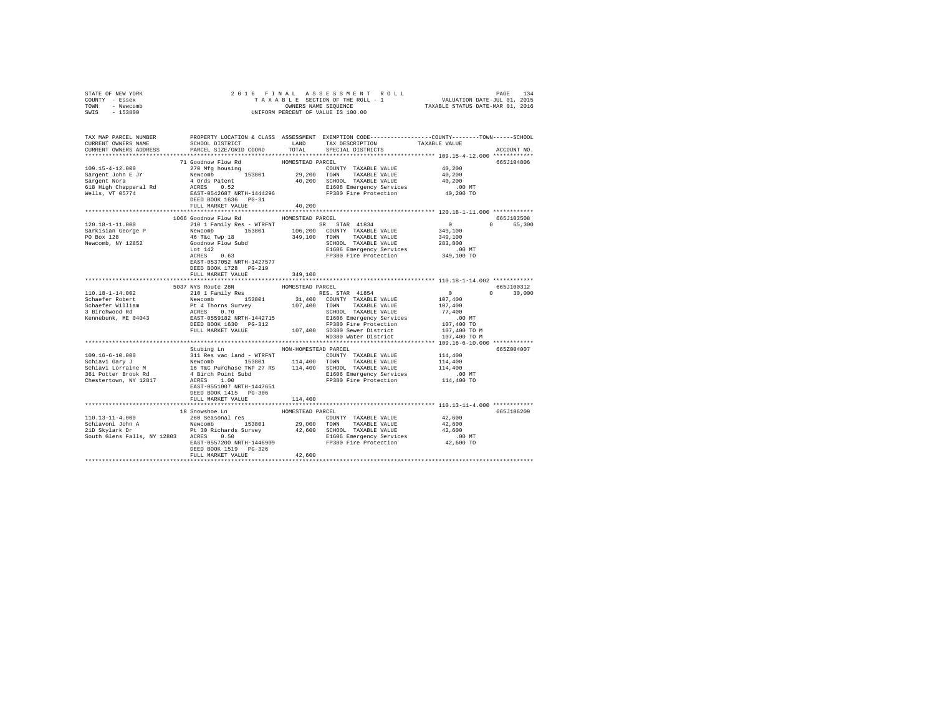| STATE OF NEW YORK                                                                                                                                                                                                                                                                                                                                                                                                         | 2016 FINAL ASSESSMENT ROLL PAGE 134<br>TAXABLE SECTION OF THE ROLL - 1 VALUATION DATE-JUL 01, 2015<br>OWNERS NAME SEQUENCE TAXABLE STATUS DATE-MAR 01, 2016<br>UNIFORM PERCENT OF VALUE IS 100.00 |                  |                   |                                                   |               |
|---------------------------------------------------------------------------------------------------------------------------------------------------------------------------------------------------------------------------------------------------------------------------------------------------------------------------------------------------------------------------------------------------------------------------|---------------------------------------------------------------------------------------------------------------------------------------------------------------------------------------------------|------------------|-------------------|---------------------------------------------------|---------------|
| COUNTY - Essex                                                                                                                                                                                                                                                                                                                                                                                                            |                                                                                                                                                                                                   |                  |                   |                                                   |               |
| TOWN - Newcomb<br>SWIS - 153800                                                                                                                                                                                                                                                                                                                                                                                           |                                                                                                                                                                                                   |                  |                   |                                                   |               |
|                                                                                                                                                                                                                                                                                                                                                                                                                           |                                                                                                                                                                                                   |                  |                   |                                                   |               |
|                                                                                                                                                                                                                                                                                                                                                                                                                           |                                                                                                                                                                                                   |                  |                   |                                                   |               |
|                                                                                                                                                                                                                                                                                                                                                                                                                           |                                                                                                                                                                                                   |                  |                   |                                                   |               |
| TAX MAP PARCEL NUMBER     PROPERTY LOCATION & CLASS ASSESSMENT EXEMPTION CODE--------------COUNTY-------TOWN------SCHOOL<br>CURRENT OWNERS NAME     SCHOOL DISTRICT     LAND   TAX DESCRIPTION     TAXABLE VALUE                                                                                                                                                                                                          | SCHOOL DISTRICT LAND TAX DESCRIPTION                                                                                                                                                              |                  |                   | TAXABLE VALUE                                     |               |
| CURRENT OWNERS ADDRESS                                                                                                                                                                                                                                                                                                                                                                                                    | PARCEL SIZE/GRID COORD                                                                                                                                                                            | TOTAL            | SPECIAL DISTRICTS |                                                   | ACCOUNT NO.   |
|                                                                                                                                                                                                                                                                                                                                                                                                                           |                                                                                                                                                                                                   |                  |                   |                                                   |               |
|                                                                                                                                                                                                                                                                                                                                                                                                                           |                                                                                                                                                                                                   |                  |                   |                                                   | 665J104806    |
|                                                                                                                                                                                                                                                                                                                                                                                                                           |                                                                                                                                                                                                   |                  |                   |                                                   |               |
|                                                                                                                                                                                                                                                                                                                                                                                                                           |                                                                                                                                                                                                   |                  |                   |                                                   |               |
|                                                                                                                                                                                                                                                                                                                                                                                                                           |                                                                                                                                                                                                   |                  |                   |                                                   |               |
|                                                                                                                                                                                                                                                                                                                                                                                                                           |                                                                                                                                                                                                   |                  |                   |                                                   |               |
|                                                                                                                                                                                                                                                                                                                                                                                                                           |                                                                                                                                                                                                   |                  |                   |                                                   |               |
|                                                                                                                                                                                                                                                                                                                                                                                                                           |                                                                                                                                                                                                   |                  |                   |                                                   |               |
|                                                                                                                                                                                                                                                                                                                                                                                                                           |                                                                                                                                                                                                   |                  |                   |                                                   |               |
|                                                                                                                                                                                                                                                                                                                                                                                                                           |                                                                                                                                                                                                   |                  |                   |                                                   |               |
|                                                                                                                                                                                                                                                                                                                                                                                                                           | 1066 Goodnow Flow Rd MOMESTEAD PARCEL                                                                                                                                                             |                  |                   |                                                   | 665J103508    |
| $\begin{tabular}{l c c c c c} \multicolumn{1}{c}{\textbf{120.18--1-11.000}} & \multicolumn{1}{c}{\textbf{120.18--1-11.000}} & \multicolumn{1}{c}{\textbf{120.18--1-11.000}} & \multicolumn{1}{c}{\textbf{120.18--1-11.000}} & \multicolumn{1}{c}{\textbf{120.18--1-11.000}} & \multicolumn{1}{c}{\textbf{120.18--10.18--10.18}} & \multicolumn{1}{c}{\textbf{120.18$                                                      |                                                                                                                                                                                                   |                  |                   |                                                   | 0 65,300      |
|                                                                                                                                                                                                                                                                                                                                                                                                                           |                                                                                                                                                                                                   |                  |                   |                                                   |               |
|                                                                                                                                                                                                                                                                                                                                                                                                                           |                                                                                                                                                                                                   |                  |                   |                                                   |               |
|                                                                                                                                                                                                                                                                                                                                                                                                                           |                                                                                                                                                                                                   |                  |                   |                                                   |               |
|                                                                                                                                                                                                                                                                                                                                                                                                                           |                                                                                                                                                                                                   |                  |                   |                                                   |               |
|                                                                                                                                                                                                                                                                                                                                                                                                                           |                                                                                                                                                                                                   |                  |                   |                                                   |               |
|                                                                                                                                                                                                                                                                                                                                                                                                                           | EAST-0537052 NRTH-1427577                                                                                                                                                                         |                  |                   |                                                   |               |
|                                                                                                                                                                                                                                                                                                                                                                                                                           | DEED BOOK 1728 PG-219                                                                                                                                                                             |                  |                   |                                                   |               |
|                                                                                                                                                                                                                                                                                                                                                                                                                           | FULL MARKET VALUE                                                                                                                                                                                 | 349,100          |                   |                                                   |               |
|                                                                                                                                                                                                                                                                                                                                                                                                                           |                                                                                                                                                                                                   |                  |                   | ******************** 110.18-1-14.002 ************ |               |
| $\begin{tabular}{l c c c c c} \hline & \texttt{3D10.18-1-14.002} & \texttt{3D37} & \texttt{3D0MESTRAD RCELL} & \texttt{HOMESTBAD PARECEL} & \texttt{3D1 Pam1Y} & \texttt{RES} & \texttt{HOMESTBAD PARECEL} & \texttt{0} \\ \hline & \texttt{Schaefer Robert} & \texttt{Newcomb} & \texttt{153801} & \texttt{31,400} & \texttt{COMNT TAXABLE VALUE} & \texttt{107,400} \\ \hline \texttt{Schaefer William} & \texttt{Pt 4$ | 5037 NYS Route 28N HOMESTEAD PARCEL                                                                                                                                                               |                  |                   |                                                   | 665J100312    |
|                                                                                                                                                                                                                                                                                                                                                                                                                           |                                                                                                                                                                                                   |                  |                   |                                                   | $0 \t 30,000$ |
|                                                                                                                                                                                                                                                                                                                                                                                                                           |                                                                                                                                                                                                   |                  |                   |                                                   |               |
|                                                                                                                                                                                                                                                                                                                                                                                                                           |                                                                                                                                                                                                   |                  |                   |                                                   |               |
|                                                                                                                                                                                                                                                                                                                                                                                                                           |                                                                                                                                                                                                   |                  |                   |                                                   |               |
|                                                                                                                                                                                                                                                                                                                                                                                                                           |                                                                                                                                                                                                   |                  |                   |                                                   |               |
|                                                                                                                                                                                                                                                                                                                                                                                                                           |                                                                                                                                                                                                   |                  |                   |                                                   |               |
|                                                                                                                                                                                                                                                                                                                                                                                                                           |                                                                                                                                                                                                   |                  |                   |                                                   |               |
|                                                                                                                                                                                                                                                                                                                                                                                                                           |                                                                                                                                                                                                   |                  |                   |                                                   |               |
|                                                                                                                                                                                                                                                                                                                                                                                                                           | Stubing Ln NON-HOMESTEAD PARCEL                                                                                                                                                                   |                  |                   |                                                   | 665Z004007    |
|                                                                                                                                                                                                                                                                                                                                                                                                                           |                                                                                                                                                                                                   |                  |                   |                                                   |               |
|                                                                                                                                                                                                                                                                                                                                                                                                                           |                                                                                                                                                                                                   |                  |                   |                                                   |               |
|                                                                                                                                                                                                                                                                                                                                                                                                                           |                                                                                                                                                                                                   |                  |                   |                                                   |               |
|                                                                                                                                                                                                                                                                                                                                                                                                                           |                                                                                                                                                                                                   |                  |                   |                                                   |               |
|                                                                                                                                                                                                                                                                                                                                                                                                                           |                                                                                                                                                                                                   |                  |                   |                                                   |               |
|                                                                                                                                                                                                                                                                                                                                                                                                                           | EAST-0551007 NRTH-1447651                                                                                                                                                                         |                  |                   |                                                   |               |
|                                                                                                                                                                                                                                                                                                                                                                                                                           | DEED BOOK 1415 PG-306                                                                                                                                                                             |                  |                   |                                                   |               |
|                                                                                                                                                                                                                                                                                                                                                                                                                           | FULL MARKET VALUE                                                                                                                                                                                 | 114,400          |                   |                                                   |               |
|                                                                                                                                                                                                                                                                                                                                                                                                                           |                                                                                                                                                                                                   |                  |                   |                                                   |               |
|                                                                                                                                                                                                                                                                                                                                                                                                                           | 18 Snowshoe Ln                                                                                                                                                                                    | HOMESTEAD PARCEL |                   |                                                   | 665J106209    |
|                                                                                                                                                                                                                                                                                                                                                                                                                           |                                                                                                                                                                                                   |                  |                   |                                                   |               |
|                                                                                                                                                                                                                                                                                                                                                                                                                           |                                                                                                                                                                                                   |                  |                   |                                                   |               |
|                                                                                                                                                                                                                                                                                                                                                                                                                           |                                                                                                                                                                                                   |                  |                   |                                                   |               |
|                                                                                                                                                                                                                                                                                                                                                                                                                           |                                                                                                                                                                                                   |                  |                   |                                                   |               |
|                                                                                                                                                                                                                                                                                                                                                                                                                           |                                                                                                                                                                                                   |                  |                   |                                                   |               |
|                                                                                                                                                                                                                                                                                                                                                                                                                           | DEED BOOK 1519 PG-326<br>FULL MARKET VALUE                                                                                                                                                        | 42,600           |                   |                                                   |               |
|                                                                                                                                                                                                                                                                                                                                                                                                                           |                                                                                                                                                                                                   |                  |                   |                                                   |               |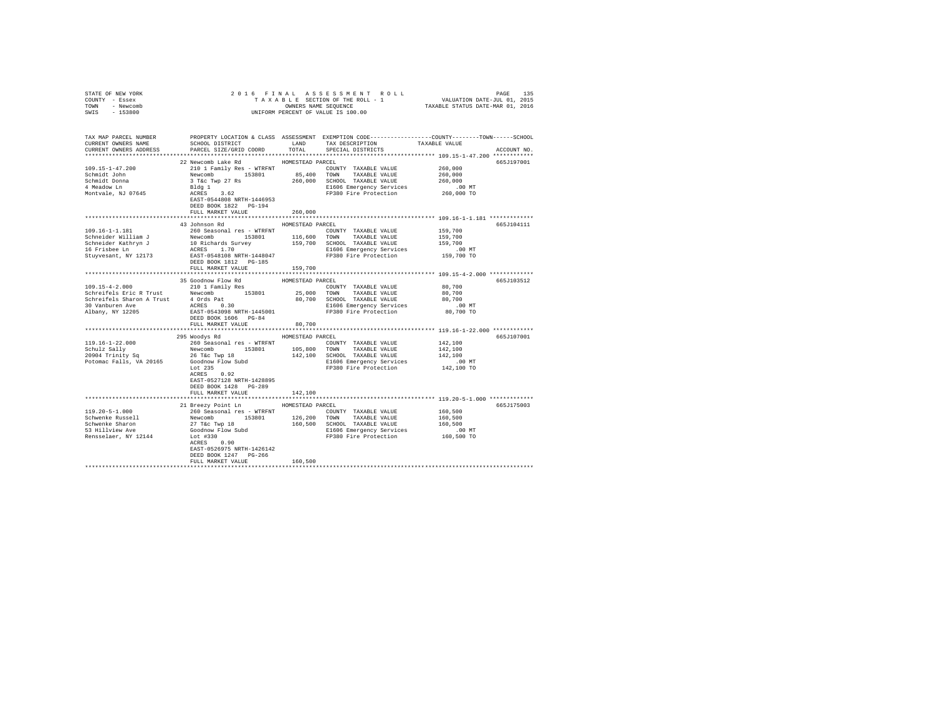| COUNTY - Essex<br>TOWN - Newcomb<br>SWIS - 153800                                                            |                                                                                                                                                                                                                                                                                                                                                                           | UNIFORM PERCENT OF VALUE IS 100.00 |                                                                      |                                                                                                               |
|--------------------------------------------------------------------------------------------------------------|---------------------------------------------------------------------------------------------------------------------------------------------------------------------------------------------------------------------------------------------------------------------------------------------------------------------------------------------------------------------------|------------------------------------|----------------------------------------------------------------------|---------------------------------------------------------------------------------------------------------------|
| TAX MAP PARCEL NUMBER<br>CURRENT OWNERS NAME<br>CURRENT OWNERS ADDRESS                                       |                                                                                                                                                                                                                                                                                                                                                                           |                                    |                                                                      | PROPERTY LOCATION & CLASS ASSESSMENT EXEMPTION CODE---------------COUNTY-------TOWN-----SCHOOL<br>ACCOUNT NO. |
| $109.15 - 1 - 47.200$<br>Schmidt John<br>Schmidt Donna<br>schmidt Donna<br>4 Meadow Ln<br>Montvale, NJ 07645 | 22 Newcomb Lake Rd HOMESTEAD PARCEL<br>22 REVOLUME 1982 ATTERS TO THE MUNISIPAL PROPERTY TAXABLE VALUE<br>Newcomb 153801 85,400 TOWN TAXABLE VALUE<br>3 TeC WP 27 Rs 260,000 SCHOLD TAXABLE VALUE<br>Bldg 1<br>ACRES 3 62<br>RATE-0544808 NRTH-1446953 FP380 Fire Protection<br>D<br>FULL MARKET VALUE                                                                    | 260,000                            |                                                                      | 665J197001<br>260,000<br>260,000<br>260,000<br>$.00$ MT<br>260,000 TO                                         |
| 109.16-1-1.181                                                                                               | 43 Johnson Rd MOMESTEAD PARCEL<br>260 Seasonal res - WTRFNT<br>FULL MARKET VALUE 159,700                                                                                                                                                                                                                                                                                  |                                    | COUNTY TAXABLE VALUE                                                 | 665J104111<br>159,700                                                                                         |
| Albany, NY 12205                                                                                             | 109.15-4-2.1<br>25 Goodnow Flow Rd<br>2011 Family Res<br>2011 Tamily Res<br>2011 Tamily Res<br>2011 Tamily Res<br>2011 Tamily Res<br>2011 Tamily Res<br>2013 OCHONG TAXABLE VALUE AND ENDING RANDE<br>25,000 TOWN TAXABLE VALUE 80,700<br>25,000 T<br>DEED BOOK 1606 PG-84                                                                                                |                                    |                                                                      | 665J103512                                                                                                    |
|                                                                                                              | FULL MARKET VALUE                                                                                                                                                                                                                                                                                                                                                         | 80,700                             |                                                                      |                                                                                                               |
|                                                                                                              | 295 Woodys Rd MOMESTEAD PARCEL<br>119.16-1-22.000<br>250 Seasonal res – WTRFNT<br>260 Seasonal res – WTRFNT<br>260 Seasonal res – WTRFNT<br>260 Seasonal res – WTRFNT<br>260 1000 1000 257000 1000 200000<br>26 Tec Twp 18<br>26 26 Tec Twp 18<br>260 26 142,100 SCHOOL TAXABLE<br>EAST-0527128 NRTH-1428895<br>DEED BOOK 1428 PG-289                                     |                                    | E1606 Emergency Services 6.00 MT<br>FP380 Fire Protection 142,100 TO | 665J107001<br>142,100<br>142,100<br>142,100                                                                   |
| $119.20 - 5 - 1.000$<br>Schwenke Russell<br>Schwenke Sharon<br>53 Hillview Ave<br>Rensselaer, NY 12144       | FULL MARKET VALUE<br>21 Breezy Point Ln HOMESTEAD PARCEL<br>- 260 Seasonal Pes - WIRFNI<br>260 Seasonal Pes - WIRFNI<br>27 T&c Twp 18 19801 160,500 TOWN TAXABLE VALUE 160,500<br>27 T&c Twp 18 160,500 160,500 EHOOE NATABLE VALUE 160,500<br>Goodnow Plow Subd 160,500 EI606 Emergency Services<br><br>ACRES 0.90<br>EAST-0526975 NRTH-1426142<br>DEED BOOK 1247 PG-266 | 142,100                            |                                                                      | 665J175003                                                                                                    |
|                                                                                                              | FULL MARKET VALUE                                                                                                                                                                                                                                                                                                                                                         | 160,500                            |                                                                      |                                                                                                               |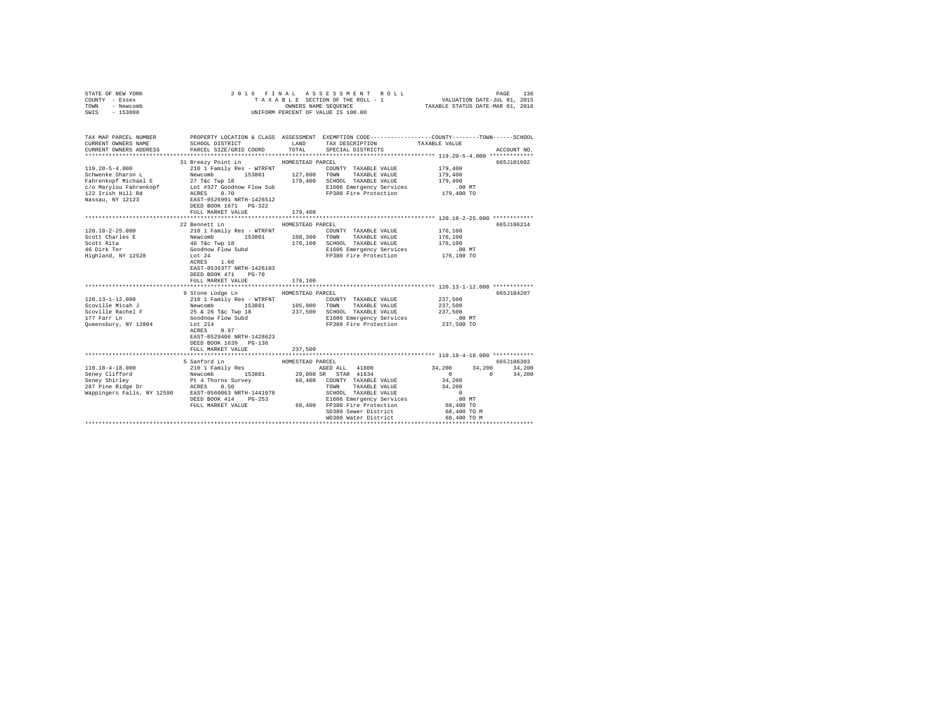| COUNTY - Essex<br>TOWN - Newcomb<br>SWIS - 153800 | UNIFORM PERCENT OF VALUE IS 100.00                                                                                                                                |                  |                                                  |                      |               |
|---------------------------------------------------|-------------------------------------------------------------------------------------------------------------------------------------------------------------------|------------------|--------------------------------------------------|----------------------|---------------|
| CURRENT OWNERS NAME<br>CURRENT OWNERS ADDRESS     | TAX MAP PARCEL NUMBER PROPERTY LOCATION & CLASS ASSESSMENT EXEMPTION CODE--------------COUNTY-------TOWN------SCHOOL<br>SCHOOL DISTRICT<br>PARCEL SIZE/GRID COORD | TOTAL            | LAND TAX DESCRIPTION<br>SPECIAL DISTRICTS        | TAXABLE VALUE        | ACCOUNT NO.   |
|                                                   |                                                                                                                                                                   |                  |                                                  |                      |               |
|                                                   | 31 Breezy Point Ln HOMESTEAD PARCEL                                                                                                                               |                  |                                                  |                      | 665J101602    |
| $119.20 - 5 - 4.000$                              |                                                                                                                                                                   |                  | COUNTY TAXABLE VALUE                             | 179,400              |               |
| Schwenke Sharon L                                 | 210 1 Family Res - WTRFNT COUNT<br>Newcomb 153801 127,800 TOWN                                                                                                    |                  | TAXABLE VALUE                                    | 179,400              |               |
| Fahrenkopf Michael E                              | 27 T&C Twp 18                                                                                                                                                     |                  | 179,400 SCHOOL TAXABLE VALUE                     | 179,400              |               |
|                                                   |                                                                                                                                                                   |                  | E1606 Emergency Services                         | .00 MT               |               |
|                                                   |                                                                                                                                                                   |                  | FP380 Fire Protection                            | 179,400 TO           |               |
|                                                   |                                                                                                                                                                   |                  |                                                  |                      |               |
|                                                   |                                                                                                                                                                   |                  |                                                  |                      |               |
|                                                   | FULL MARKET VALUE                                                                                                                                                 | 179,400          |                                                  |                      |               |
|                                                   | 22 Bennett Ln                                                                                                                                                     | HOMESTEAD PARCEL |                                                  |                      | 665J106214    |
| 120.18-2-25.000                                   |                                                                                                                                                                   |                  | COUNTY TAXABLE VALUE                             | 176,100              |               |
| Scott Charles E                                   |                                                                                                                                                                   |                  |                                                  | 176,100              |               |
| Scott Rita                                        |                                                                                                                                                                   |                  | 176,100 SCHOOL TAXABLE VALUE                     | 176,100              |               |
| 46 Dirk Ter                                       |                                                                                                                                                                   |                  | E1606 Emergency Services                         | .00 MT               |               |
| Highland, NY 12528                                |                                                                                                                                                                   |                  | FP380 Fire Protection                            | 176,100 TO           |               |
|                                                   | ACRES 1.66<br>EAST-0536377 NRTH-1426183<br>DEED BOOK 471 PG-70<br>FULL MARKET VALUE                                                                               | 176,100          |                                                  |                      |               |
|                                                   |                                                                                                                                                                   |                  |                                                  |                      |               |
|                                                   | 9 Stone Lodge Ln                                                                                                                                                  | HOMESTEAD PARCEL |                                                  |                      | 665J104207    |
| $120.13 - 1 - 12.000$                             | 210 1 Family Res - WTRFNT                                                                                                                                         |                  | COUNTY TAXABLE VALUE                             | 237,500              |               |
| Scoville Micah J                                  |                                                                                                                                                                   |                  |                                                  | 237,500              |               |
| Scoville Rachel F                                 |                                                                                                                                                                   |                  |                                                  | 237,500              |               |
| 177 Farr Ln                                       |                                                                                                                                                                   |                  |                                                  | $.00$ MT             |               |
| Queensbury, NY 12804                              | EAST-0529406 NRTH-1428623<br>DEED BOOK 1639 PG-136<br>FULL MARKET VALUE                                                                                           | 237,500          |                                                  | 237,500 TO           |               |
|                                                   |                                                                                                                                                                   |                  |                                                  |                      |               |
|                                                   | 5 Sanford Ln                                                                                                                                                      | HOMESTEAD PARCEL |                                                  |                      | 665J106303    |
|                                                   |                                                                                                                                                                   |                  | AGED ALL 41800                                   | 34,200               | 34,200 34,200 |
|                                                   |                                                                                                                                                                   |                  |                                                  | $\sim$ 0<br>$\sim$ 0 | 34,200        |
|                                                   |                                                                                                                                                                   |                  |                                                  | 34,200               |               |
|                                                   |                                                                                                                                                                   |                  |                                                  | 34,200               |               |
|                                                   | Wappingers Falls, NY 12590 EAST-0560063 NRTH-1441078                                                                                                              |                  | SCHOOL TAXABLE VALUE<br>E1606 Emergency Services | $\sim$ 0             |               |
|                                                   | DEED BOOK 414 PG-253<br>FULL MARKET VALUE                                                                                                                         |                  | 68,400 FP380 Fire Protection                     | .00MT<br>68,400 TO   |               |
|                                                   |                                                                                                                                                                   |                  | SD380 Sewer District                             | 68,400 TO M          |               |
|                                                   |                                                                                                                                                                   |                  | WD380 Water District                             | 68,400 TO M          |               |
|                                                   |                                                                                                                                                                   |                  |                                                  |                      |               |

STATE OF NEW YORK 2 0 1 6 F I N A L A S S E S S M E N T R O L L PAGE 136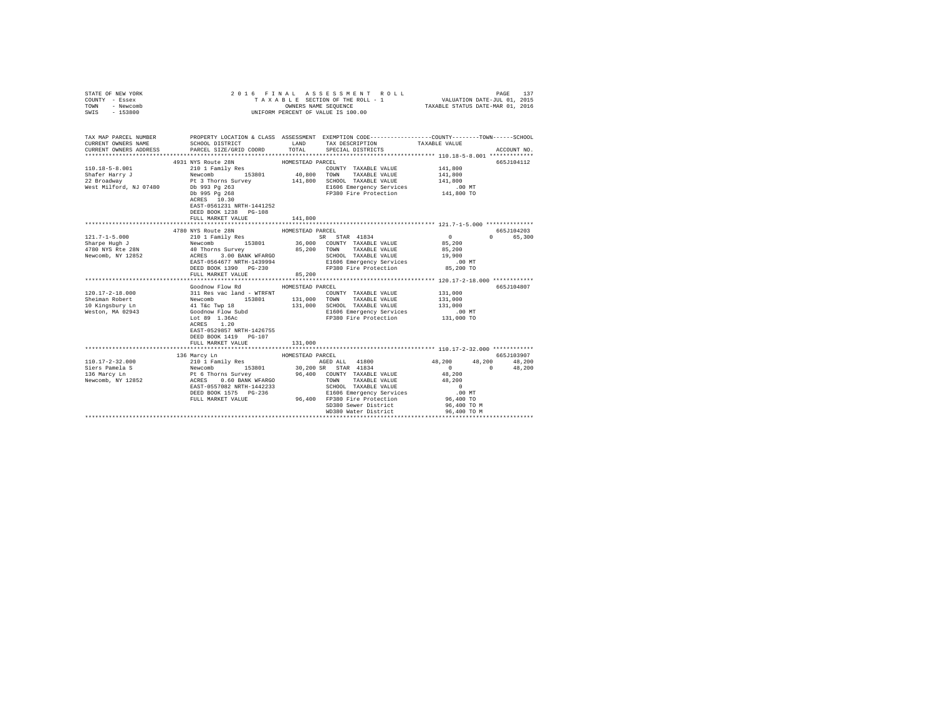| STATE OF NEW YORK<br>COUNTY - Essex<br>TOWN<br>- Newcomb<br>SWIS - 153800 |                                                                                                                                                                                                                                                                                                                                                                                                                                                                                                         |                  | 2016 FINAL ASSESSMENT ROLL<br>UNIFORM PERCENT OF VALUE IS 100.00                                                                                                                                                                                                                                                                                                                                                                                                 |                      | 137<br>PAGE             |
|---------------------------------------------------------------------------|---------------------------------------------------------------------------------------------------------------------------------------------------------------------------------------------------------------------------------------------------------------------------------------------------------------------------------------------------------------------------------------------------------------------------------------------------------------------------------------------------------|------------------|------------------------------------------------------------------------------------------------------------------------------------------------------------------------------------------------------------------------------------------------------------------------------------------------------------------------------------------------------------------------------------------------------------------------------------------------------------------|----------------------|-------------------------|
| CURRENT OWNERS NAME                                                       | TAX MAP PARCEL NUMBER PROPERTY LOCATION & CLASS ASSESSMENT EXEMPTION CODE---------------COUNTY-------TOWN-----SCHOOL<br>SCHOOL DISTRICT LAND                                                                                                                                                                                                                                                                                                                                                            |                  | TAX DESCRIPTION                                                                                                                                                                                                                                                                                                                                                                                                                                                  | TAXABLE VALUE        |                         |
|                                                                           | CURRENT OWNERS ADDRESS PARCEL SIZE/GRID COORD TOTAL                                                                                                                                                                                                                                                                                                                                                                                                                                                     |                  | SPECIAL DISTRICTS                                                                                                                                                                                                                                                                                                                                                                                                                                                |                      | ACCOUNT NO.             |
|                                                                           |                                                                                                                                                                                                                                                                                                                                                                                                                                                                                                         |                  |                                                                                                                                                                                                                                                                                                                                                                                                                                                                  |                      | 665J104112              |
| 110.18-5-8.001                                                            |                                                                                                                                                                                                                                                                                                                                                                                                                                                                                                         |                  |                                                                                                                                                                                                                                                                                                                                                                                                                                                                  |                      |                         |
| Shafer Harry J<br>22 Broadway                                             |                                                                                                                                                                                                                                                                                                                                                                                                                                                                                                         |                  |                                                                                                                                                                                                                                                                                                                                                                                                                                                                  |                      |                         |
|                                                                           |                                                                                                                                                                                                                                                                                                                                                                                                                                                                                                         |                  |                                                                                                                                                                                                                                                                                                                                                                                                                                                                  |                      |                         |
| West Milford, NJ 07480                                                    |                                                                                                                                                                                                                                                                                                                                                                                                                                                                                                         |                  |                                                                                                                                                                                                                                                                                                                                                                                                                                                                  |                      |                         |
|                                                                           | $\begin{tabular}{c c c c} \multicolumn{1}{c}{\textbf{4931 NYS}} \textbf{Route 28N} & \multicolumn{1}{c}{\textbf{HOMESTEAD PARCL}} & \multicolumn{1}{c}{\textbf{40,800}} & \multicolumn{1}{c}{\textbf{41,800}} & \multicolumn{1}{c}{\textbf{41,800}} & \multicolumn{1}{c}{\textbf{41,800}} & \multicolumn{1}{c}{\textbf{41,800}} & \multicolumn{1}{c}{\textbf{41,800}} & \multicolumn{1}{c}{\textbf{41,800}} & \multicolumn{$<br>EAST-0561231 NRTH-1441252<br>DEED BOOK 1238 PG-108<br>FULL MARKET VALUE | 141,800          |                                                                                                                                                                                                                                                                                                                                                                                                                                                                  |                      |                         |
|                                                                           |                                                                                                                                                                                                                                                                                                                                                                                                                                                                                                         |                  |                                                                                                                                                                                                                                                                                                                                                                                                                                                                  |                      |                         |
|                                                                           | 4780 NYS Route 28N                                                                                                                                                                                                                                                                                                                                                                                                                                                                                      | HOMESTEAD PARCEL |                                                                                                                                                                                                                                                                                                                                                                                                                                                                  |                      | 665J104203              |
|                                                                           |                                                                                                                                                                                                                                                                                                                                                                                                                                                                                                         |                  |                                                                                                                                                                                                                                                                                                                                                                                                                                                                  | $\sim$ 0<br>85,200   | 0 65,300                |
|                                                                           |                                                                                                                                                                                                                                                                                                                                                                                                                                                                                                         |                  |                                                                                                                                                                                                                                                                                                                                                                                                                                                                  | 85,200               |                         |
|                                                                           |                                                                                                                                                                                                                                                                                                                                                                                                                                                                                                         |                  | SCHOOL TAXABLE VALUE 19,900                                                                                                                                                                                                                                                                                                                                                                                                                                      |                      |                         |
|                                                                           |                                                                                                                                                                                                                                                                                                                                                                                                                                                                                                         |                  | E1606 Emergency Services                                                                                                                                                                                                                                                                                                                                                                                                                                         | .00 MT               |                         |
|                                                                           | DEED BOOK 1390 PG-230                                                                                                                                                                                                                                                                                                                                                                                                                                                                                   |                  | FP380 Fire Protection 85,200 TO                                                                                                                                                                                                                                                                                                                                                                                                                                  |                      |                         |
|                                                                           | FULL MARKET VALUE                                                                                                                                                                                                                                                                                                                                                                                                                                                                                       | 85,200           |                                                                                                                                                                                                                                                                                                                                                                                                                                                                  |                      |                         |
|                                                                           | Goodnow Flow Rd                                                                                                                                                                                                                                                                                                                                                                                                                                                                                         | HOMESTEAD PARCEL |                                                                                                                                                                                                                                                                                                                                                                                                                                                                  |                      | 665J104807              |
|                                                                           |                                                                                                                                                                                                                                                                                                                                                                                                                                                                                                         |                  |                                                                                                                                                                                                                                                                                                                                                                                                                                                                  | 131,000              |                         |
|                                                                           |                                                                                                                                                                                                                                                                                                                                                                                                                                                                                                         |                  |                                                                                                                                                                                                                                                                                                                                                                                                                                                                  | 131,000              |                         |
|                                                                           |                                                                                                                                                                                                                                                                                                                                                                                                                                                                                                         |                  |                                                                                                                                                                                                                                                                                                                                                                                                                                                                  | 131,000              |                         |
|                                                                           |                                                                                                                                                                                                                                                                                                                                                                                                                                                                                                         |                  | 131,000 SCHOOL TAXABLE VALUE<br>E1606 Emergency Services<br>FP380 Fire Protection                                                                                                                                                                                                                                                                                                                                                                                | .00 MT               |                         |
|                                                                           | EAST-0529857 NRTH-1426755<br>DEED BOOK 1419 PG-107<br>FULL MARKET VALUE                                                                                                                                                                                                                                                                                                                                                                                                                                 | 131,000          |                                                                                                                                                                                                                                                                                                                                                                                                                                                                  | 131,000 TO           |                         |
|                                                                           | $\begin{tabular}{l c c c c c} \multicolumn{3}{c}{\textbf{110}} & $\mathbf{110} & $\mathbf{120} & $\mathbf{120} & $\mathbf{120} & $\mathbf{120} & $\mathbf{120} & $\mathbf{120} & $\mathbf{120} & $\mathbf{120} & $\mathbf{120} & $\mathbf{120} & $\mathbf{120} & $\mathbf{120} & $\mathbf{120} & $\mathbf{120} & $\mathbf{120} & $\mathbf{120} & $\mathbf{120} & $\mathbf{120} & $\mathbf{120} & $\mathbf{$                                                                                             |                  |                                                                                                                                                                                                                                                                                                                                                                                                                                                                  |                      |                         |
|                                                                           |                                                                                                                                                                                                                                                                                                                                                                                                                                                                                                         |                  |                                                                                                                                                                                                                                                                                                                                                                                                                                                                  |                      | 665J103907              |
|                                                                           |                                                                                                                                                                                                                                                                                                                                                                                                                                                                                                         |                  | AGED ALL 41800 48,200                                                                                                                                                                                                                                                                                                                                                                                                                                            | $\sim$ 0<br>$\sim$ 0 | 48,200 48,200<br>48,200 |
|                                                                           |                                                                                                                                                                                                                                                                                                                                                                                                                                                                                                         |                  |                                                                                                                                                                                                                                                                                                                                                                                                                                                                  |                      |                         |
|                                                                           |                                                                                                                                                                                                                                                                                                                                                                                                                                                                                                         |                  |                                                                                                                                                                                                                                                                                                                                                                                                                                                                  |                      |                         |
|                                                                           |                                                                                                                                                                                                                                                                                                                                                                                                                                                                                                         |                  |                                                                                                                                                                                                                                                                                                                                                                                                                                                                  |                      |                         |
|                                                                           |                                                                                                                                                                                                                                                                                                                                                                                                                                                                                                         |                  |                                                                                                                                                                                                                                                                                                                                                                                                                                                                  |                      |                         |
|                                                                           |                                                                                                                                                                                                                                                                                                                                                                                                                                                                                                         |                  |                                                                                                                                                                                                                                                                                                                                                                                                                                                                  |                      |                         |
|                                                                           |                                                                                                                                                                                                                                                                                                                                                                                                                                                                                                         |                  | $\begin{tabular}{lllllllllllll} \multicolumn{4}{c}{\textbf{COUTY}} & \textbf{TAALG} & \textbf{TAALG} \\ \multicolumn{4}{c}{\textbf{CNOT}} & \textbf{TAXABLE} & \textbf{VALUE} \\ \multicolumn{4}{c}{\textbf{SCHOOL}} & \textbf{TAXABLE} & \textbf{VALUE} \\ \multicolumn{4}{c}{\textbf{EIG06} } & \textbf{mergency} & \textbf{SFT} \\ \multicolumn{4}{c}{\textbf{EIG06} } & \textbf{mergency} & \textbf{SFT} \\ \multicolumn{4}{c}{\textbf{CPTO}} & \textbf{P1}$ |                      |                         |
|                                                                           |                                                                                                                                                                                                                                                                                                                                                                                                                                                                                                         |                  |                                                                                                                                                                                                                                                                                                                                                                                                                                                                  |                      |                         |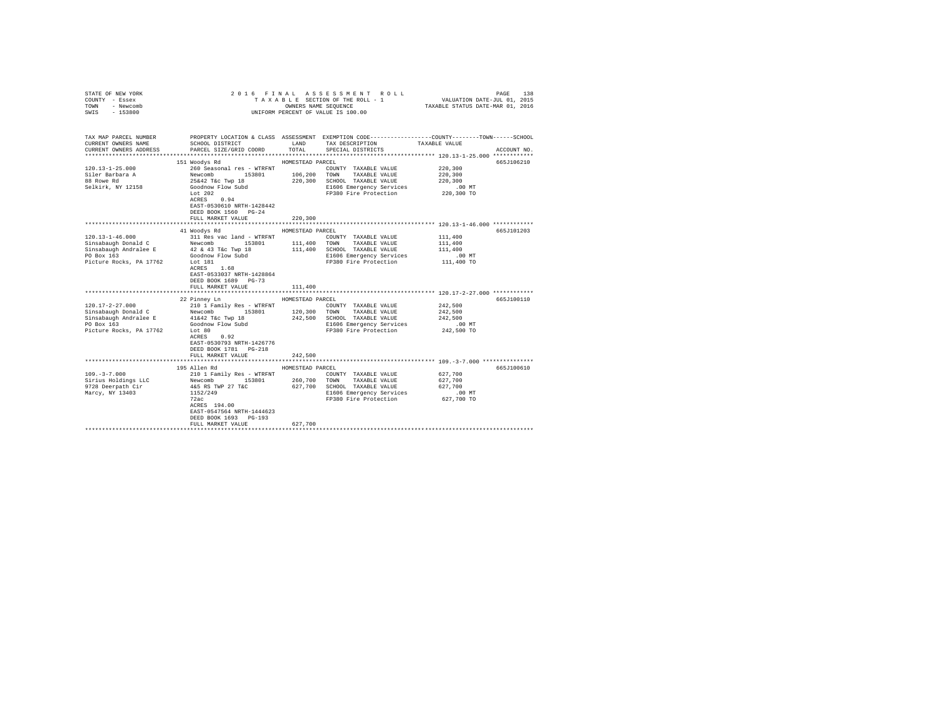| COUNTY - Essex<br>TOWN<br>- Newcomb<br>SWIS<br>$-153800$                                                                                                                                                                                          | TAXABLE SECTION OF THE ROLL - 1<br>OWNERS NAME SEQUENCE<br>UNIFORM PERCENT OF VALUE IS 100.00                                                                                                                                                                                                                            |                                                                                  |                                                                                                                                                                                                                                                            | VALUATION DATE-JUL 01, 2015<br>TAXABLE STATUS DATE-MAR 01, 2016                                                  |                          |
|---------------------------------------------------------------------------------------------------------------------------------------------------------------------------------------------------------------------------------------------------|--------------------------------------------------------------------------------------------------------------------------------------------------------------------------------------------------------------------------------------------------------------------------------------------------------------------------|----------------------------------------------------------------------------------|------------------------------------------------------------------------------------------------------------------------------------------------------------------------------------------------------------------------------------------------------------|------------------------------------------------------------------------------------------------------------------|--------------------------|
| TAX MAP PARCEL NUMBER<br>CURRENT OWNERS NAME<br>CURRENT OWNERS ADDRESS                                                                                                                                                                            | SCHOOL DISTRICT<br>PARCEL SIZE/GRID COORD                                                                                                                                                                                                                                                                                | LAND<br>TOTAL                                                                    | PROPERTY LOCATION & CLASS ASSESSMENT EXEMPTION CODE---------------COUNTY-------TOWN------SCHOOL<br>TAX DESCRIPTION<br>SPECIAL DISTRICTS                                                                                                                    | TAXABLE VALUE                                                                                                    | ACCOUNT NO.              |
| $120.13 - 1 - 25.000$<br>Siler Barbara A<br>88 Rowe Rd<br>Selkirk, NY 12158                                                                                                                                                                       | 151 Woodys Rd<br>260 Seasonal res - WTRFNT<br>Newcomb<br>25442 T&c Twp 18<br>Goodnow Flow Subd<br>Let 202<br>Lot 202<br>$ACRES$ 0.94<br>EAST-0530610 NRTH-1428442<br>DEED BOOK 1560 PG-24<br>FULL MARKET VALUE                                                                                                           | HOMESTEAD PARCEL<br>106, 200<br>220,300<br>220,300                               | COUNTY TAXABLE VALUE<br>TOWN<br>TAXABLE VALUE<br>SCHOOL TAXABLE VALUE<br>E1606 Emergency Services<br>FP380 Fire Protection                                                                                                                                 | 220,300<br>220,300<br>220,300<br>$.00$ MT<br>220,300 TO                                                          | 665J106210               |
|                                                                                                                                                                                                                                                   |                                                                                                                                                                                                                                                                                                                          |                                                                                  |                                                                                                                                                                                                                                                            | *********************** 120.13-1-46.000 ************                                                             |                          |
| $120.13 - 1 - 46.000$<br>Sinsabaugh Donald C<br>Sinsabaugh Andralee E<br>PO Box 163<br>Picture Rocks, PA 17762<br>$120.17 - 2 - 27.000$<br>Sinsabaugh Donald C<br>Sinsabaugh Andralee E 41&42 T&c Twp 18<br>PO Box 163<br>Picture Rocks, PA 17762 | 41 Woodys Rd<br>311 Res vac land - WTRFNT<br>153801<br>Newcomb<br>42 & 43 T&c Twp 18<br>Goodnow Flow Subd<br>Lot 181<br>ACRES 1.68<br>EAST-0533037 NRTH-1428864<br>DEED BOOK 1689 PG-73<br>FULL MARKET VALUE<br>22 Pinney Ln<br>210 1 Family Res - WTRFNT<br>Newcomb 153801<br>Goodnow Flow Subd<br>Lot 80<br>ACRES 0.92 | HOMESTEAD PARCEL<br>111,400<br>111,400<br>HOMESTEAD PARCEL<br>120,300<br>242,500 | COUNTY TAXABLE VALUE<br>111,400 TOWN TAXABLE VALUE<br>SCHOOL TAXABLE VALUE<br>E1606 Emergency Services<br>FP380 Fire Protection<br>COUNTY TAXABLE VALUE<br>TOWN TAXABLE VALUE<br>SCHOOL TAXABLE VALUE<br>E1606 Emergency Services<br>FP380 Fire Protection | 111,400<br>111,400<br>111,400<br>$.00$ MT<br>111,400 TO<br>242,500<br>242,500<br>242,500<br>.00 MT<br>242,500 TO | 665J101203<br>665J100110 |
|                                                                                                                                                                                                                                                   | EAST-0530793 NRTH-1426776<br>DEED BOOK 1781 PG-218<br>FULL MARKET VALUE                                                                                                                                                                                                                                                  | 242,500                                                                          |                                                                                                                                                                                                                                                            |                                                                                                                  |                          |
|                                                                                                                                                                                                                                                   |                                                                                                                                                                                                                                                                                                                          |                                                                                  |                                                                                                                                                                                                                                                            |                                                                                                                  |                          |
| $109. - 3 - 7.000$<br>Sirius Holdings LLC<br>9728 Deerpath Cir<br>Marcy, NY 13403                                                                                                                                                                 | 195 Allen Rd<br>210 1 Family Res - WTRFNT<br>Newcomb 153801<br>4&5 RS TWP 27 T&C<br>1152/249<br>72ac<br>ACRES 194.00<br>EAST-0547564 NRTH-1444623<br>DEED BOOK 1693 PG-193<br>FULL MARKET VALUE                                                                                                                          | HOMESTEAD PARCEL<br>260,700<br>627,700<br>627,700                                | COUNTY TAXABLE VALUE<br>TOWN<br>TAXABLE VALUE<br>SCHOOL TAXABLE VALUE<br>E1606 Emergency Services<br>FP380 Fire Protection                                                                                                                                 | 627,700<br>627,700<br>627,700<br>$.00$ MT<br>627,700 TO                                                          | 665J100610               |
|                                                                                                                                                                                                                                                   |                                                                                                                                                                                                                                                                                                                          |                                                                                  |                                                                                                                                                                                                                                                            |                                                                                                                  |                          |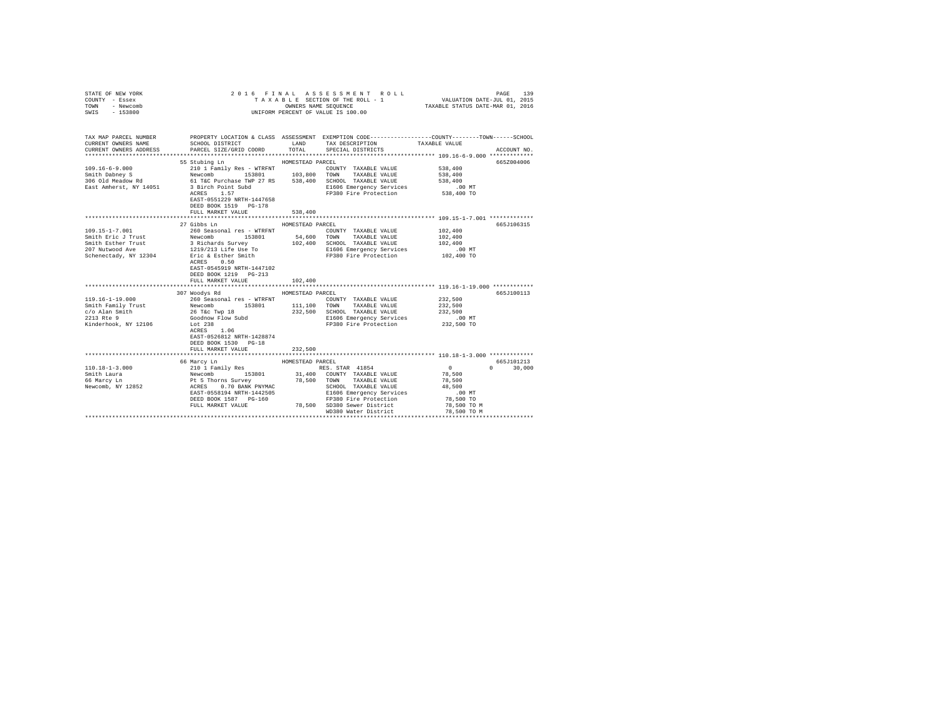| STATE OF NEW YORK<br>COUNTY - Essex<br>TOWN<br>- Newcomb<br>SWIS - 153800                           |                                                                                                                                                                                                                                                                                                                                                                  |                             | 2016 FINAL ASSESSMENT ROLL<br>TAXABLE SECTION OF THE ROLL - 1<br>UNIFORM PERCENT OF VALUE IS 100.00       | PAGE<br>139                                                                                                                                           |
|-----------------------------------------------------------------------------------------------------|------------------------------------------------------------------------------------------------------------------------------------------------------------------------------------------------------------------------------------------------------------------------------------------------------------------------------------------------------------------|-----------------------------|-----------------------------------------------------------------------------------------------------------|-------------------------------------------------------------------------------------------------------------------------------------------------------|
| CURRENT OWNERS NAME                                                                                 | SCHOOL DISTRICT LAND<br>CURRENT OWNERS ADDRESS PARCEL SIZE/GRID COORD TOTAL                                                                                                                                                                                                                                                                                      |                             | TAX DESCRIPTION<br>SPECIAL DISTRICTS                                                                      | TAX MAP PARCEL NUMBER PROPERTY LOCATION & CLASS ASSESSMENT EXEMPTION CODE---------------COUNTY-------TOWN------SCHOOL<br>TAXABLE VALUE<br>ACCOUNT NO. |
|                                                                                                     | 55 Stubing Ln<br>ACRES 1.57<br>EAST-0551229 NRTH-1447658<br>DEED BOOK 1519 PG-178<br>FULL MARKET VALUE                                                                                                                                                                                                                                                           | HOMESTEAD PARCEL<br>538,400 | COUNTY TAXABLE VALUE<br>E1606 Emergency Services 6 00 MT<br>FP380 Fire Protection 538,400 TO              | 665Z004006<br>538,400<br>538,400<br>538,400                                                                                                           |
|                                                                                                     | 27 Gibbs Ln<br>ACRES 0.50<br>EAST-0545919 NRTH-1447102<br>DEED BOOK 1219 PG-213<br>FULL MARKET VALUE                                                                                                                                                                                                                                                             | HOMESTEAD PARCEL<br>102,400 |                                                                                                           | 665J106315                                                                                                                                            |
| $119.16 - 1 - 19.000$<br>Smith Family Trust<br>c/o Alan Smith<br>2213 Rte 9<br>Kinderhook, NY 12106 | 307 Woodys Rd<br>260 Seasonal res - WTRFNT<br>260 Seasonal res - wikiwith the moment of NAZABLE VALUE 26 Tkc Twp 18<br>26 Tkc Twp 18 232,500 SCHOOL TAXABLE VALUE<br>360 Goodnow Flow Subd 232,500 SCHOOL TAXABLE VALUE<br>376 Eregency Services<br>1730 Fire Protection<br>ACRES 1.06<br>EAST-0526812 NRTH-1428874<br>DEED BOOK 1530 PG-18<br>FULL MARKET VALUE | HOMESTEAD PARCEL<br>232,500 | COUNTY TAXABLE VALUE<br>232.500 SCHOOL TAXABLE VALUE<br>E1606 Emergency Services<br>FP380 Fire Protection | 665J100113<br>232,500<br>232,500<br>232,500<br>.00 MT<br>232,500 TO                                                                                   |
| $110.18 - 1 - 3.000$<br>Smith Laura<br>66 Marcy Ln<br>Newcomb, NY 12852                             | 66 Marcy Ln<br>210 1 Family Res<br>Newcomb 153801<br>Pt 5 Thorns Survey<br>ACRES 0.70 BANK PNYMAC<br>EAST-0558194 NRTH-1442505<br>DEED BOOK 1587 PG-160 FP380 Fire Protection<br>FULL MARKET VALUE 78,500 SD380 Sewer District                                                                                                                                   | HOMESTEAD PARCEL            | RES. STAR 41854<br>31,400 COUNTY TAXABLE VALUE<br>78,500 TOWN TAXABLE VALUE<br>WD380 Water District       | 665J101213<br>$\sim$ 0<br>$0 \t 30,000$<br>78,500<br>78,500<br>78,500 TO M<br>78,500 TO M                                                             |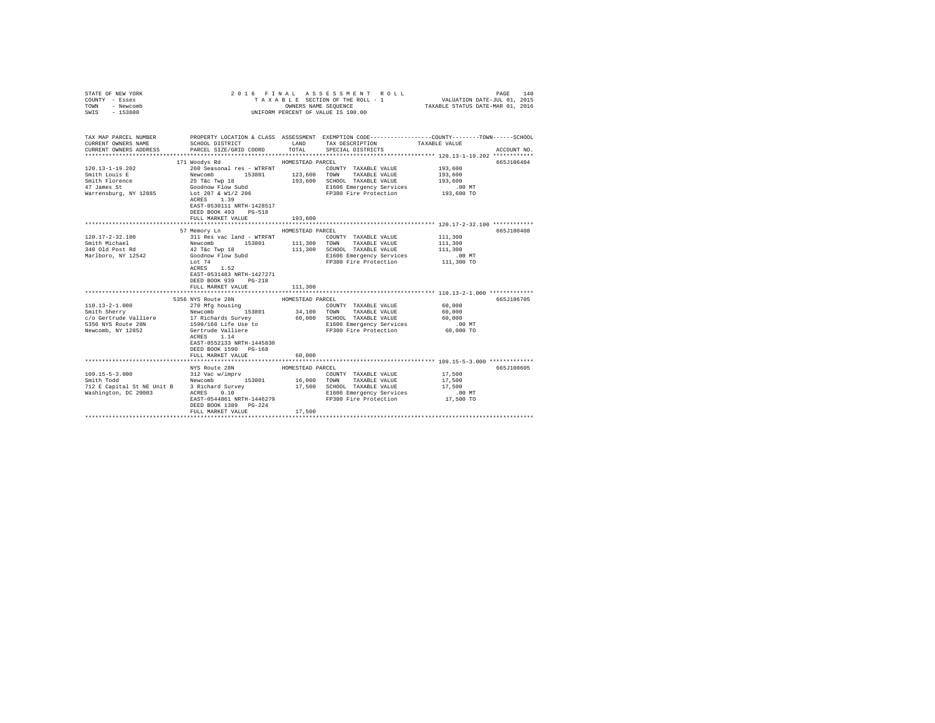| STATE OF NEW YORK<br>COUNTY - Essex<br>TOWN<br>- Newcomb                                                                                                               | 2016 FINAL ASSESSMENT ROLL                                   | 140<br>PAGE<br>TAXABLE SECTION OF THE ROLL - 1 VALUATION DATE-JUL 01, 2015<br>OWNERS NAME SEQUENCE TAXABLE STATUS DATE-MAR 01, 2016 |                                                            |                                                                                                 |
|------------------------------------------------------------------------------------------------------------------------------------------------------------------------|--------------------------------------------------------------|-------------------------------------------------------------------------------------------------------------------------------------|------------------------------------------------------------|-------------------------------------------------------------------------------------------------|
| $-153800$<br>SWIS                                                                                                                                                      |                                                              |                                                                                                                                     | UNIFORM PERCENT OF VALUE IS 100.00                         |                                                                                                 |
| TAX MAP PARCEL NUMBER                                                                                                                                                  |                                                              |                                                                                                                                     |                                                            | PROPERTY LOCATION & CLASS ASSESSMENT EXEMPTION CODE---------------COUNTY-------TOWN------SCHOOL |
| CURRENT OWNERS NAME                                                                                                                                                    | SCHOOL DISTRICT TAND TAX DESCRIPTION                         |                                                                                                                                     |                                                            | TAXABLE VALUE                                                                                   |
| CURRENT OWNERS ADDRESS                                                                                                                                                 | PARCEL SIZE/GRID COORD TOTAL                                 |                                                                                                                                     | SPECIAL DISTRICTS                                          | ACCOUNT NO.                                                                                     |
|                                                                                                                                                                        |                                                              |                                                                                                                                     |                                                            |                                                                                                 |
| $120.13 - 1 - 19.202$                                                                                                                                                  | 171 Woodys Rd<br>260 Seasonal res - WTRFNT                   | HOMESTEAD PARCEL                                                                                                                    | COUNTY TAXABLE VALUE                                       | 665J106404<br>193,600                                                                           |
| Smith Louis E                                                                                                                                                          | Newcomb 153801                                               |                                                                                                                                     |                                                            | 193,600                                                                                         |
| Smith Florence                                                                                                                                                         |                                                              |                                                                                                                                     | 123,600 TOWN TAXABLE VALUE<br>193,600 SCHOOL TAXABLE VALUE | 193,600                                                                                         |
|                                                                                                                                                                        | 25 T&C Twp 18<br>Goodnow Flow Subd                           |                                                                                                                                     |                                                            |                                                                                                 |
|                                                                                                                                                                        |                                                              |                                                                                                                                     |                                                            |                                                                                                 |
|                                                                                                                                                                        |                                                              |                                                                                                                                     |                                                            |                                                                                                 |
|                                                                                                                                                                        | EAST-0530111 NRTH-1428517<br>DEED BOOK 493 PG-518            |                                                                                                                                     |                                                            |                                                                                                 |
|                                                                                                                                                                        | FULL MARKET VALUE                                            | 193,600                                                                                                                             |                                                            |                                                                                                 |
|                                                                                                                                                                        |                                                              |                                                                                                                                     |                                                            | ********************************* 120.17-2-32.100 ************                                  |
|                                                                                                                                                                        | 57 Memory Ln                                                 | HOMESTEAD PARCEL                                                                                                                    |                                                            | 665J100408                                                                                      |
| $120.17 - 2 - 32.100$                                                                                                                                                  | 311 Res vac land - WTRFNT                                    |                                                                                                                                     | COUNTY TAXABLE VALUE                                       | 111,300                                                                                         |
| Smith Michael                                                                                                                                                          | 311 Res vac 1and - WTRFNT<br>Newcomb 153801<br>42 T&c Twp 18 |                                                                                                                                     | 111,300 TOWN TAXABLE VALUE                                 | 111,300                                                                                         |
| 340 Old Post Rd<br>Marlboro, NY 12542                                                                                                                                  |                                                              |                                                                                                                                     | 111,300 SCHOOL TAXABLE VALUE                               | 111,300                                                                                         |
|                                                                                                                                                                        | Goodnow Flow Subd<br>Lot 74                                  |                                                                                                                                     | E1606 Emergency Services<br>FP380 Fire Protection          | .00 MT<br>111,300 TO                                                                            |
|                                                                                                                                                                        | ACRES 1.52                                                   |                                                                                                                                     |                                                            |                                                                                                 |
|                                                                                                                                                                        | EAST-0531483 NRTH-1427271                                    |                                                                                                                                     |                                                            |                                                                                                 |
|                                                                                                                                                                        | DEED BOOK 939 PG-218                                         |                                                                                                                                     |                                                            |                                                                                                 |
|                                                                                                                                                                        | FULL MARKET VALUE                                            | 111,300                                                                                                                             |                                                            |                                                                                                 |
|                                                                                                                                                                        |                                                              |                                                                                                                                     |                                                            |                                                                                                 |
|                                                                                                                                                                        | 5356 NYS Route 28N                                           | HOMESTEAD PARCEL                                                                                                                    |                                                            | 665J106705<br>60,000                                                                            |
| $110.13 - 2 - 1.000$                                                                                                                                                   | 270 Mfg housing<br>Newcomb 153801                            |                                                                                                                                     | COUNTY TAXABLE VALUE<br>34,100 TOWN TAXABLE VALUE          | 60,000                                                                                          |
|                                                                                                                                                                        |                                                              |                                                                                                                                     | 60,000 SCHOOL TAXABLE VALUE                                | 60,000                                                                                          |
|                                                                                                                                                                        |                                                              |                                                                                                                                     | E1606 Emergency Services                                   | $.00$ MT                                                                                        |
| 110.13-2-1.000<br>Smith Sherry<br>c/o Gertrude Valliere 17 Richards Survey<br>2007 - 2018 1590/168 Life Use to<br>1590/168 Life Use to the Nature<br>Newcomb, NY 12852 | 1590/168 Life Use to<br>Gertrude Valliere                    |                                                                                                                                     | FP380 Fire Protection 60,000 TO                            |                                                                                                 |
|                                                                                                                                                                        | ACRES 1.14                                                   |                                                                                                                                     |                                                            |                                                                                                 |
|                                                                                                                                                                        | EAST-0552133 NRTH-1445830                                    |                                                                                                                                     |                                                            |                                                                                                 |
|                                                                                                                                                                        | DEED BOOK 1590 PG-168                                        |                                                                                                                                     |                                                            |                                                                                                 |
|                                                                                                                                                                        | FULL MARKET VALUE                                            | 60,000                                                                                                                              |                                                            |                                                                                                 |
|                                                                                                                                                                        | NYS Route 28N                                                | HOMESTEAD PARCEL                                                                                                                    |                                                            | 665J108605                                                                                      |
|                                                                                                                                                                        |                                                              |                                                                                                                                     | COUNTY TAXABLE VALUE                                       | 17,500                                                                                          |
| $109.15 - 5 - 3.000$<br>cmith Todd                                                                                                                                     | 312 Vac w/imprv<br>Newcomb 153801                            |                                                                                                                                     | 16,000 TOWN TAXABLE VALUE                                  | 17,500                                                                                          |
| 712 E Capital St NE Unit B 3 Richard Survey 17,500 SCHOOL TAXABLE VALUE                                                                                                |                                                              |                                                                                                                                     |                                                            | 17,500                                                                                          |
| Washington, DC 20003                                                                                                                                                   | ACRES 0.10                                                   |                                                                                                                                     | E1606 Emergency Services                                   | $.00$ MT                                                                                        |
|                                                                                                                                                                        | EAST-0544861 NRTH-1446279                                    |                                                                                                                                     | FP380 Fire Protection                                      | 17,500 TO                                                                                       |
|                                                                                                                                                                        | DEED BOOK 1389 PG-224                                        | 17,500                                                                                                                              |                                                            |                                                                                                 |
|                                                                                                                                                                        | FULL MARKET VALUE                                            |                                                                                                                                     |                                                            |                                                                                                 |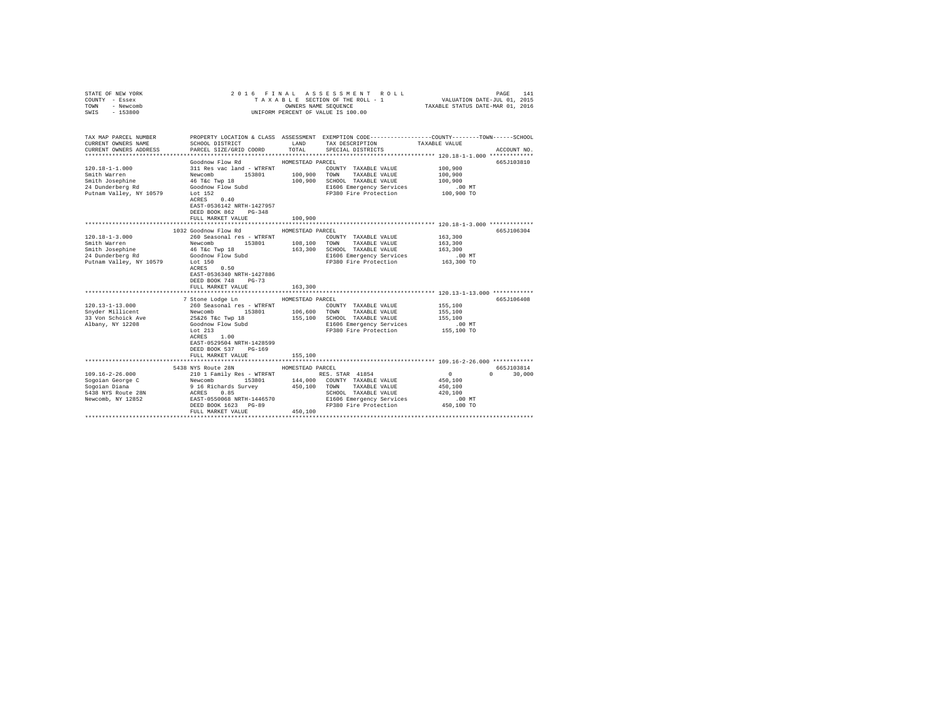| STATE OF NEW YORK<br>COUNTY - Essex<br>TOWN<br>- Newcomb<br>SWIS<br>$-153800$                                                                       |                                                                                                                                                                                                                                                                |                                                                   | 2016 FINAL ASSESSMENT ROLL<br>TAXABLE SECTION OF THE ROLL - 1<br>OWNERS NAME SEQUENCE<br>UNIFORM PERCENT OF VALUE IS 100.00                                      | 141<br>PAGE<br>VALUATION DATE-JUL 01, 2015<br>TAXABLE STATUS DATE-MAR 01, 2016                                                 |
|-----------------------------------------------------------------------------------------------------------------------------------------------------|----------------------------------------------------------------------------------------------------------------------------------------------------------------------------------------------------------------------------------------------------------------|-------------------------------------------------------------------|------------------------------------------------------------------------------------------------------------------------------------------------------------------|--------------------------------------------------------------------------------------------------------------------------------|
| TAX MAP PARCEL NUMBER<br>CURRENT OWNERS NAME<br>CURRENT OWNERS ADDRESS                                                                              | SCHOOL DISTRICT<br>PARCEL SIZE/GRID COORD                                                                                                                                                                                                                      | LAND<br>TOTAL                                                     | TAX DESCRIPTION<br>SPECIAL DISTRICTS                                                                                                                             | PROPERTY LOCATION & CLASS ASSESSMENT EXEMPTION CODE---------------COUNTY-------TOWN-----SCHOOL<br>TAXABLE VALUE<br>ACCOUNT NO. |
|                                                                                                                                                     |                                                                                                                                                                                                                                                                |                                                                   |                                                                                                                                                                  |                                                                                                                                |
| $120.18 - 1 - 1.000$<br>Smith Warren<br>Smith Josephine<br>24 Dunderberg Rd<br>Putnam Valley, NY 10579                                              | Goodnow Flow Rd<br>311 Res vac land - WTRFNT<br>Newcomb 153801<br>46 T&c Twp 18<br>Goodnow Flow Subd<br>Lot 152<br>ACRES 0.40<br>EAST-0536142 NRTH-1427957                                                                                                     | HOMESTEAD PARCEL<br>100,900<br>100,900                            | COUNTY TAXABLE VALUE<br>TOWN<br>TAXABLE VALUE<br>SCHOOL TAXABLE VALUE<br>E1606 Emergency Services<br>FP380 Fire Protection                                       | 665J103810<br>100,900<br>100,900<br>100,900<br>$.00$ MT<br>100,900 TO                                                          |
|                                                                                                                                                     | DEED BOOK 862 PG-348<br>FULL MARKET VALUE<br>******************************                                                                                                                                                                                    | 100,900<br>*************                                          |                                                                                                                                                                  | **************************** 120.18-1-3.000 *************                                                                      |
|                                                                                                                                                     | 1032 Goodnow Flow Rd                                                                                                                                                                                                                                           | HOMESTEAD PARCEL                                                  |                                                                                                                                                                  | 665J106304                                                                                                                     |
| $120.18 - 1 - 3.000$<br>Smith Warren<br>Smith Josephine<br>24 Dunderberg Rd<br>Putnam Valley, NY 10579<br>$120.13 - 1 - 13.000$<br>Snyder Millicent | 260 Seasonal res - WTRFNT<br>Newcomb<br>153801<br>46 T&c Twp 18<br>Goodnow Flow Subd<br>Lot 150<br>ACRES 0.50<br>EAST-0536340 NRTH-1427886<br>DEED BOOK 748<br>$PG-73$<br>FULL MARKET VALUE<br>7 Stone Lodge Ln<br>260 Seasonal res - WTRFNT<br>Newcomb 153801 | 108,100 TOWN<br>163,300<br>163,300<br>HOMESTEAD PARCEL<br>106,600 | COUNTY TAXABLE VALUE<br>TAXABLE VALUE<br>SCHOOL TAXABLE VALUE<br>E1606 Emergency Services<br>FP380 Fire Protection<br>COUNTY TAXABLE VALUE<br>TOWN TAXABLE VALUE | 163,300<br>163,300<br>163,300<br>$.00$ MT<br>163,300 TO<br>665J106408<br>155,100<br>155,100                                    |
| 33 Von Schoick Ave<br>Albany, NY 12208                                                                                                              | 25&26 T&c Twp 18<br>Goodnow Flow Subd<br>Lot 213<br>ACRES 1.00<br>EAST-0529504 NRTH-1428599<br>DEED BOOK 537<br>$PG-169$<br>FULL MARKET VALUE                                                                                                                  | 155,100<br>155,100                                                | SCHOOL TAXABLE VALUE<br>E1606 Emergency Services<br>FP380 Fire Protection                                                                                        | 155,100<br>$.00$ MT<br>155,100 TO                                                                                              |
|                                                                                                                                                     | 5438 NYS Route 28N                                                                                                                                                                                                                                             | HOMESTEAD PARCEL                                                  |                                                                                                                                                                  | 665J103814                                                                                                                     |
| $109.16 - 2 - 26.000$<br>Sogoian George C<br>Sogoian Diana<br>5438 NYS Route 28N<br>Newcomb, NY 12852                                               | 210 1 Family Res - WTRFNT<br>Newcomb 153801<br>9 16 Richards Survey<br>ACRES<br>0.85<br>EAST-0550068 NRTH-1446570<br>DEED BOOK 1623 PG-89<br>FULL MARKET VALUE                                                                                                 | 144,000<br>450,100<br>450,100                                     | RES. STAR 41854<br>COUNTY TAXABLE VALUE<br>TAXABLE VALUE<br>TOWN<br>SCHOOL TAXABLE VALUE<br>E1606 Emergency Services<br>FP380 Fire Protection                    | $\mathbf{0}$<br>30,000<br>$\Omega$<br>450,100<br>450,100<br>420,100<br>.00MT<br>450,100 TO                                     |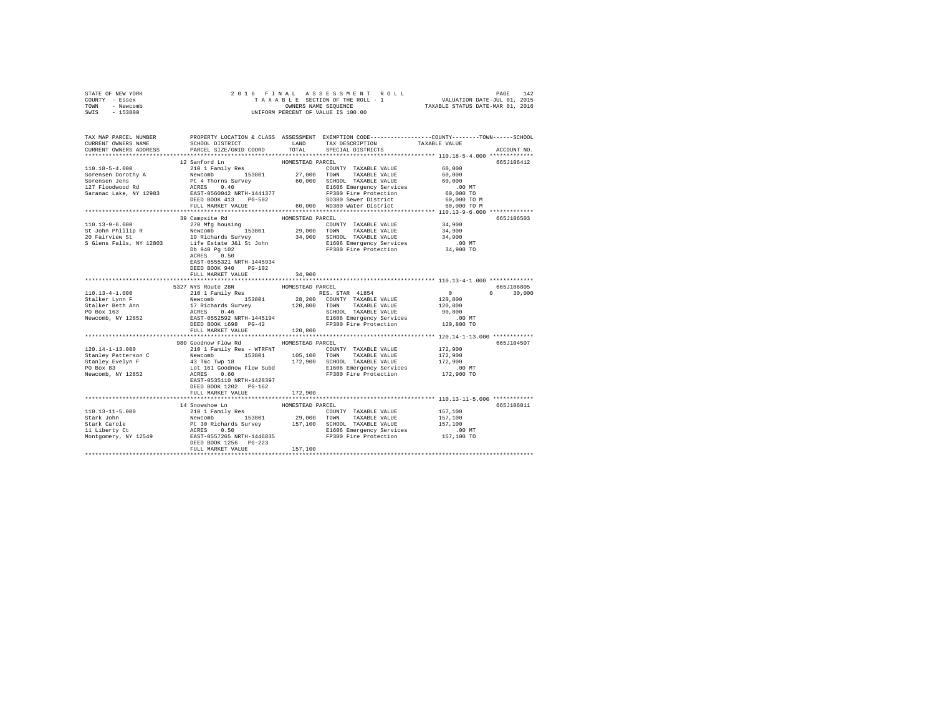| STATE OF NEW YORK | 2016 FINAL ASSESSMENT ROLL         | 142<br>PAGE                      |
|-------------------|------------------------------------|----------------------------------|
| COUNTY - Essex    | TAXABLE SECTION OF THE ROLL - 1    | VALUATION DATE-JUL 01, 2015      |
| TOWN<br>- Newcomb | OWNERS NAME SEOUENCE               | TAXABLE STATUS DATE-MAR 01, 2016 |
| $-153800$<br>SWIS | UNIFORM PERCENT OF VALUE IS 100.00 |                                  |

| TAX MAP PARCEL NUMBER<br>CURRENT OWNERS NAME<br>CURRENT OWNERS ADDRESS | SCHOOL DISTRICT<br>PARCEL SIZE/GRID COORD                                                                                                                                                                                                                                                                                                                                                        | LAND<br>TOTAL    | TAX DESCRIPTION<br>SPECIAL DISTRICTS                                                                                                                                                                                                                                                                                                                                                                                       | PROPERTY LOCATION & CLASS ASSESSMENT EXEMPTION CODE----------------COUNTY-------TOWN------SCHOOL<br>TAXABLE VALUE<br>ACCOUNT NO. |
|------------------------------------------------------------------------|--------------------------------------------------------------------------------------------------------------------------------------------------------------------------------------------------------------------------------------------------------------------------------------------------------------------------------------------------------------------------------------------------|------------------|----------------------------------------------------------------------------------------------------------------------------------------------------------------------------------------------------------------------------------------------------------------------------------------------------------------------------------------------------------------------------------------------------------------------------|----------------------------------------------------------------------------------------------------------------------------------|
|                                                                        |                                                                                                                                                                                                                                                                                                                                                                                                  |                  |                                                                                                                                                                                                                                                                                                                                                                                                                            |                                                                                                                                  |
|                                                                        | 12 Sanford Ln                                                                                                                                                                                                                                                                                                                                                                                    | HOMESTEAD PARCEL |                                                                                                                                                                                                                                                                                                                                                                                                                            | 6657106412                                                                                                                       |
|                                                                        |                                                                                                                                                                                                                                                                                                                                                                                                  |                  |                                                                                                                                                                                                                                                                                                                                                                                                                            |                                                                                                                                  |
|                                                                        |                                                                                                                                                                                                                                                                                                                                                                                                  |                  |                                                                                                                                                                                                                                                                                                                                                                                                                            |                                                                                                                                  |
|                                                                        |                                                                                                                                                                                                                                                                                                                                                                                                  |                  |                                                                                                                                                                                                                                                                                                                                                                                                                            |                                                                                                                                  |
|                                                                        |                                                                                                                                                                                                                                                                                                                                                                                                  |                  |                                                                                                                                                                                                                                                                                                                                                                                                                            |                                                                                                                                  |
|                                                                        |                                                                                                                                                                                                                                                                                                                                                                                                  |                  |                                                                                                                                                                                                                                                                                                                                                                                                                            |                                                                                                                                  |
|                                                                        |                                                                                                                                                                                                                                                                                                                                                                                                  |                  |                                                                                                                                                                                                                                                                                                                                                                                                                            |                                                                                                                                  |
|                                                                        | FULL MARKET VALUE                                                                                                                                                                                                                                                                                                                                                                                |                  | 60,000 WD380 Water District                                                                                                                                                                                                                                                                                                                                                                                                | 60,000 TO M                                                                                                                      |
|                                                                        |                                                                                                                                                                                                                                                                                                                                                                                                  |                  |                                                                                                                                                                                                                                                                                                                                                                                                                            |                                                                                                                                  |
|                                                                        | 39 Campsite Rd                                                                                                                                                                                                                                                                                                                                                                                   | HOMESTEAD PARCEL |                                                                                                                                                                                                                                                                                                                                                                                                                            | 665J106503                                                                                                                       |
|                                                                        | 110.13-9-6.000<br>St John Phillip R Newtombon<br>20 Fairview St 19 Richards Survey<br>20 Fairview St 19 Richards Survey<br>S Glens Falls, NY 12803<br>Life Estate J&L John                                                                                                                                                                                                                       |                  |                                                                                                                                                                                                                                                                                                                                                                                                                            |                                                                                                                                  |
|                                                                        |                                                                                                                                                                                                                                                                                                                                                                                                  |                  | $\begin{tabular}{lllllllllll} \multicolumn{4}{c }{\text{\small COUNTY}} & \texttt{TAXABLE VALUE} & \texttt{34,900} \\ \multicolumn{4}{c }{29,000} & \texttt{TOWN} & \texttt{TAXABLE VALUE} & \texttt{34,900} \\ \multicolumn{4}{c }{34,900} & \multicolumn{4}{c }{34,900} & \multicolumn{4}{c }{34,900} & \multicolumn{4}{c }{34,900} & \multicolumn{4}{c }{34,900} & \multicolumn{4}{c }{34,900} & \multicolumn{4}{c }{3$ |                                                                                                                                  |
|                                                                        |                                                                                                                                                                                                                                                                                                                                                                                                  |                  |                                                                                                                                                                                                                                                                                                                                                                                                                            |                                                                                                                                  |
|                                                                        |                                                                                                                                                                                                                                                                                                                                                                                                  |                  |                                                                                                                                                                                                                                                                                                                                                                                                                            |                                                                                                                                  |
|                                                                        | Db 940 Pg 102                                                                                                                                                                                                                                                                                                                                                                                    |                  | 27,000 2000<br>34,900 SCHOOL TAXABLE VALUE<br>E1606 Emergency Services<br>FP380 Fire Protection                                                                                                                                                                                                                                                                                                                            | 34,900<br>00 MT.<br>34,900 TO                                                                                                    |
|                                                                        | ACRES 0.50                                                                                                                                                                                                                                                                                                                                                                                       |                  |                                                                                                                                                                                                                                                                                                                                                                                                                            |                                                                                                                                  |
|                                                                        | EAST-0555321 NRTH-1445934                                                                                                                                                                                                                                                                                                                                                                        |                  |                                                                                                                                                                                                                                                                                                                                                                                                                            |                                                                                                                                  |
|                                                                        | DEED BOOK 940<br>$PG-102$                                                                                                                                                                                                                                                                                                                                                                        |                  |                                                                                                                                                                                                                                                                                                                                                                                                                            |                                                                                                                                  |
|                                                                        | FULL MARKET VALUE                                                                                                                                                                                                                                                                                                                                                                                | 34,900           |                                                                                                                                                                                                                                                                                                                                                                                                                            |                                                                                                                                  |
|                                                                        |                                                                                                                                                                                                                                                                                                                                                                                                  |                  |                                                                                                                                                                                                                                                                                                                                                                                                                            |                                                                                                                                  |
|                                                                        | 5327 NYS Route 28N                                                                                                                                                                                                                                                                                                                                                                               | HOMESTEAD PARCEL |                                                                                                                                                                                                                                                                                                                                                                                                                            | 665J106805                                                                                                                       |
| 110.13-4-1.000                                                         | AN AUGUST 2010<br>210 1 Family Res<br>Newcomb 153801<br>17 Richards Survey<br>RARS 6.46<br>EAST-0552592 NRTH-1445194<br>DEED BOOK 1698 PG-42                                                                                                                                                                                                                                                     |                  | RES. STAR 41854                                                                                                                                                                                                                                                                                                                                                                                                            | $\sim$ 0<br>$0 \t 30,000$                                                                                                        |
| Stalker Lynn F                                                         |                                                                                                                                                                                                                                                                                                                                                                                                  |                  | ABS. STAR 41854<br>28,200 COUNTY TAXABLE VALUE<br>120,800 TOWN TAXABLE VALUE                                                                                                                                                                                                                                                                                                                                               | 120,800                                                                                                                          |
|                                                                        |                                                                                                                                                                                                                                                                                                                                                                                                  |                  |                                                                                                                                                                                                                                                                                                                                                                                                                            | 120,800                                                                                                                          |
| Stalker Beth Ann<br>PO Box 163                                         |                                                                                                                                                                                                                                                                                                                                                                                                  |                  |                                                                                                                                                                                                                                                                                                                                                                                                                            |                                                                                                                                  |
| Newcomb, NY 12852                                                      |                                                                                                                                                                                                                                                                                                                                                                                                  |                  |                                                                                                                                                                                                                                                                                                                                                                                                                            |                                                                                                                                  |
|                                                                        |                                                                                                                                                                                                                                                                                                                                                                                                  |                  | SCHOOL TAXABLE VALUE 90,800<br>E1606 Emergency Services 00 MT<br>FP380 Fire Protection 120,800 TO                                                                                                                                                                                                                                                                                                                          |                                                                                                                                  |
|                                                                        | FULL MARKET VALUE                                                                                                                                                                                                                                                                                                                                                                                | 120,800          |                                                                                                                                                                                                                                                                                                                                                                                                                            |                                                                                                                                  |
|                                                                        |                                                                                                                                                                                                                                                                                                                                                                                                  |                  |                                                                                                                                                                                                                                                                                                                                                                                                                            |                                                                                                                                  |
|                                                                        | 980 Goodnow Flow Rd                                                                                                                                                                                                                                                                                                                                                                              | HOMESTEAD PARCEL |                                                                                                                                                                                                                                                                                                                                                                                                                            | 665J104507                                                                                                                       |
|                                                                        |                                                                                                                                                                                                                                                                                                                                                                                                  |                  |                                                                                                                                                                                                                                                                                                                                                                                                                            | 172,900                                                                                                                          |
|                                                                        |                                                                                                                                                                                                                                                                                                                                                                                                  |                  |                                                                                                                                                                                                                                                                                                                                                                                                                            | 172,900                                                                                                                          |
|                                                                        |                                                                                                                                                                                                                                                                                                                                                                                                  |                  |                                                                                                                                                                                                                                                                                                                                                                                                                            | 172,900                                                                                                                          |
|                                                                        |                                                                                                                                                                                                                                                                                                                                                                                                  |                  |                                                                                                                                                                                                                                                                                                                                                                                                                            | 00 MT.<br>172,900 TO                                                                                                             |
|                                                                        | $\begin{tabular}{l c c c c c c c c} \multicolumn{1}{c}{\textbf{120.14--1-13.000}} & \multicolumn{1}{c}{\textbf{0.0000}} & \multicolumn{1}{c}{\textbf{0.0000}} & \multicolumn{1}{c}{\textbf{0.0000}} & \multicolumn{1}{c}{\textbf{0.0000}} & \multicolumn{1}{c}{\textbf{0.0000}} & \multicolumn{1}{c}{\textbf{0.0000}} & \multicolumn{1}{c}{\textbf{0.0000}} & \multicolumn{1}{c}{\textbf{0.0000$ |                  |                                                                                                                                                                                                                                                                                                                                                                                                                            |                                                                                                                                  |
|                                                                        |                                                                                                                                                                                                                                                                                                                                                                                                  |                  |                                                                                                                                                                                                                                                                                                                                                                                                                            |                                                                                                                                  |
|                                                                        | DEED BOOK 1202 PG-162                                                                                                                                                                                                                                                                                                                                                                            |                  |                                                                                                                                                                                                                                                                                                                                                                                                                            |                                                                                                                                  |
|                                                                        | FULL MARKET VALUE                                                                                                                                                                                                                                                                                                                                                                                | 172,900          |                                                                                                                                                                                                                                                                                                                                                                                                                            |                                                                                                                                  |
|                                                                        |                                                                                                                                                                                                                                                                                                                                                                                                  |                  |                                                                                                                                                                                                                                                                                                                                                                                                                            |                                                                                                                                  |
|                                                                        | 14 Snowshoe Ln                                                                                                                                                                                                                                                                                                                                                                                   | HOMESTEAD PARCEL |                                                                                                                                                                                                                                                                                                                                                                                                                            | 665J106811                                                                                                                       |
| 110.13-11-5.000<br>Stark John                                          |                                                                                                                                                                                                                                                                                                                                                                                                  |                  | COUNTY TAXABLE VALUE 157,100                                                                                                                                                                                                                                                                                                                                                                                               |                                                                                                                                  |
|                                                                        |                                                                                                                                                                                                                                                                                                                                                                                                  |                  |                                                                                                                                                                                                                                                                                                                                                                                                                            | 157,100                                                                                                                          |
| Stark Carole<br>11 Liberty Ct                                          |                                                                                                                                                                                                                                                                                                                                                                                                  |                  |                                                                                                                                                                                                                                                                                                                                                                                                                            | 157,100<br>.00 MT                                                                                                                |
|                                                                        |                                                                                                                                                                                                                                                                                                                                                                                                  |                  |                                                                                                                                                                                                                                                                                                                                                                                                                            |                                                                                                                                  |
| Montgomery, NY 12549                                                   |                                                                                                                                                                                                                                                                                                                                                                                                  |                  |                                                                                                                                                                                                                                                                                                                                                                                                                            | 157,100 TO                                                                                                                       |
|                                                                        | 14 SOMESTEAD PACEL COUNTY TAXABLE VALUE<br>210 1 Family Res<br>Newcomb 153801 29,000 TOWN TAXABLE VALUE<br>Pt 30 Richards Survey 157,100 SCHOOL TAXABLE VALUE<br>ACRES 0.50<br>EAST-D557265 RRTH-1446835 FP380 Fire Protection<br>DEED BOO                                                                                                                                                       |                  |                                                                                                                                                                                                                                                                                                                                                                                                                            |                                                                                                                                  |
|                                                                        | FULL MARKET VALUE                                                                                                                                                                                                                                                                                                                                                                                | 157,100          |                                                                                                                                                                                                                                                                                                                                                                                                                            |                                                                                                                                  |
|                                                                        |                                                                                                                                                                                                                                                                                                                                                                                                  |                  |                                                                                                                                                                                                                                                                                                                                                                                                                            |                                                                                                                                  |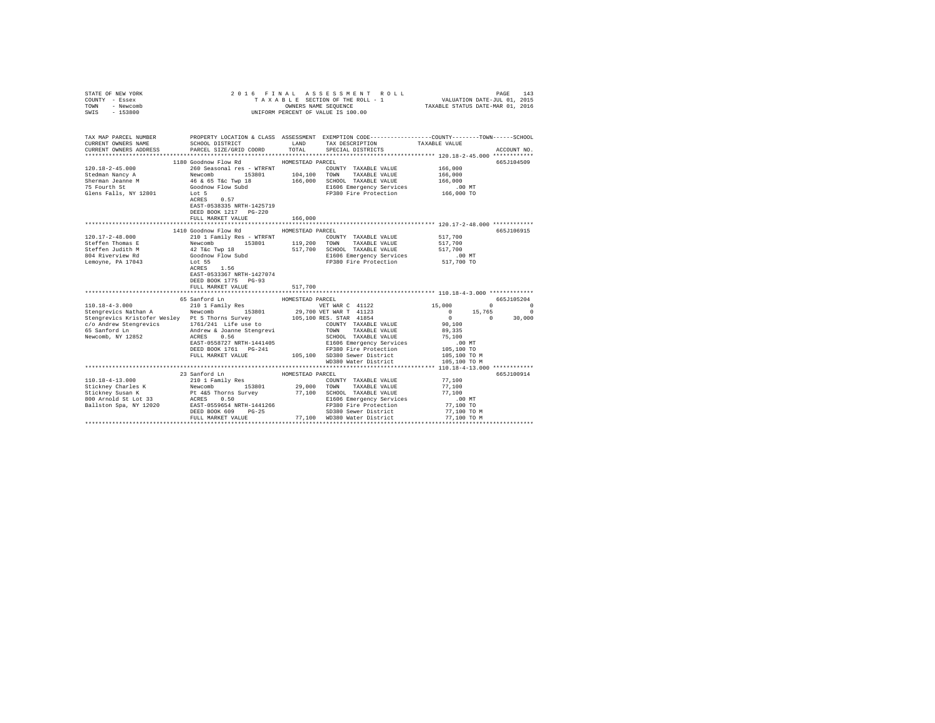| STATE OF NEW YORK<br>COUNTY - Essex<br>- Newcomb<br>TOWN<br>$-153800$<br>SWIS |                                                                                                                                                                 |                  | 2016 FINAL ASSESSMENT ROLL<br>TAXABLE SECTION OF THE ROLL - 1<br>OWNERS NAME SEQUENCE<br>UNIFORM PERCENT OF VALUE IS 100.00 | VALUATION DATE-JUL 01, 2015<br>TAXABLE STATUS DATE-MAR 01, 2016 | PAGE<br>143 |
|-------------------------------------------------------------------------------|-----------------------------------------------------------------------------------------------------------------------------------------------------------------|------------------|-----------------------------------------------------------------------------------------------------------------------------|-----------------------------------------------------------------|-------------|
| TAX MAP PARCEL NUMBER                                                         |                                                                                                                                                                 |                  | PROPERTY LOCATION & CLASS ASSESSMENT EXEMPTION CODE---------------COUNTY-------TOWN------SCHOOL                             |                                                                 |             |
| CURRENT OWNERS NAME                                                           | SCHOOL DISTRICT                                                                                                                                                 | LAND             | TAX DESCRIPTION                                                                                                             | TAXABLE VALUE                                                   |             |
| CURRENT OWNERS ADDRESS<br>**********************                              | PARCEL SIZE/GRID COORD                                                                                                                                          | TOTAL            | SPECIAL DISTRICTS                                                                                                           |                                                                 | ACCOUNT NO. |
|                                                                               | 1180 Goodnow Flow Rd                                                                                                                                            | HOMESTEAD PARCEL |                                                                                                                             |                                                                 | 665J104509  |
| $120.18 - 2 - 45.000$                                                         | 260 Seasonal res - WTRFNT                                                                                                                                       |                  | COUNTY TAXABLE VALUE                                                                                                        | 166,000                                                         |             |
| Stedman Nancy A                                                               | 153801                                                                                                                                                          | 104,100 TOWN     | TAXABLE VALUE                                                                                                               | 166,000                                                         |             |
| Sherman Jeanne M                                                              |                                                                                                                                                                 |                  | 166,000 SCHOOL TAXABLE VALUE                                                                                                | 166,000                                                         |             |
| 75 Fourth St                                                                  | Newcomb<br>46 & 65 T&C Twp 18<br>Goodnow Flow Subd                                                                                                              |                  | E1606 Emergency Services                                                                                                    | .00 MT                                                          |             |
| Glens Falls, NY 12801                                                         | Lot 5<br>ACRES 0.57<br>EAST-0538335 NRTH-1425719                                                                                                                |                  | FP380 Fire Protection                                                                                                       | 166,000 TO                                                      |             |
|                                                                               | DEED BOOK 1217 PG-220<br>FULL MARKET VALUE                                                                                                                      |                  |                                                                                                                             |                                                                 |             |
|                                                                               |                                                                                                                                                                 | 166,000          |                                                                                                                             |                                                                 |             |
|                                                                               | 1410 Goodnow Flow Rd                                                                                                                                            | HOMESTEAD PARCEL |                                                                                                                             |                                                                 | 665J106915  |
| $120.17 - 2 - 48.000$                                                         | 210 1 Family Res - WTRFNT                                                                                                                                       |                  | COUNTY TAXABLE VALUE                                                                                                        | 517,700                                                         |             |
| Steffen Thomas E                                                              | 153801 119,200                                                                                                                                                  |                  | TOWN<br>TAXABLE VALUE                                                                                                       | 517,700                                                         |             |
| Steffen Judith M                                                              |                                                                                                                                                                 |                  | 517,700 SCHOOL TAXABLE VALUE                                                                                                | 517,700                                                         |             |
| 804 Riverview Rd                                                              |                                                                                                                                                                 |                  | E1606 Emergency Services                                                                                                    | .00 MT                                                          |             |
| Lemoyne, PA 17043                                                             | 210 -<br>Newcomb 155001<br>42 T&C Twp 18<br>Goodnow Flow Subd<br>~^* 55<br>ACRES 1.56<br>EAST-0533367 NRTH-1427074<br>DEED BOOK 1775 PG-93<br>FULL MARKET VALUE | 517,700          | FP380 Fire Protection                                                                                                       | 517,700 TO                                                      |             |
|                                                                               |                                                                                                                                                                 |                  |                                                                                                                             |                                                                 |             |
|                                                                               | 65 Sanford Ln                                                                                                                                                   | HOMESTEAD PARCEL |                                                                                                                             |                                                                 | 665J105204  |
| $110.18 - 4 - 3.000$                                                          | 210 1 Family Res                                                                                                                                                |                  | VET WAR C 41122                                                                                                             | 15,000<br>$\overline{0}$                                        | $\sim$ 0    |
| Stengrevics Nathan A Mewcomb 153801                                           |                                                                                                                                                                 |                  | 29,700 VET WAR T 41123<br>105,100 RES. STAR 41854                                                                           | $\begin{array}{ccc} 0 && 15 \, , 765 \\ 0 && 0 \end{array}$     | $\Omega$    |
| Stengrevics Kristofer Wesley Pt 5 Thorns Survey                               |                                                                                                                                                                 |                  | COUNTY TAXABLE VALUE                                                                                                        | 90,100                                                          | 30,000      |
|                                                                               |                                                                                                                                                                 |                  | TOWN TAXABLE VALUE                                                                                                          | 89,335                                                          |             |
| Newcomb, NY 12852                                                             | ACRES 0.56                                                                                                                                                      |                  | SCHOOL TAXABLE VALUE                                                                                                        | 75,100                                                          |             |
|                                                                               | EAST-0558727 NRTH-1441405                                                                                                                                       |                  | E1606 Emergency Services                                                                                                    | .00 MT                                                          |             |
|                                                                               | DEED BOOK 1761 PG-241                                                                                                                                           |                  | FP380 Fire Protection                                                                                                       | 105,100 TO                                                      |             |
|                                                                               | FULL MARKET VALUE                                                                                                                                               |                  | 105,100 SD380 Sewer District                                                                                                | 105,100 TO M                                                    |             |
|                                                                               |                                                                                                                                                                 |                  | WD380 Water District                                                                                                        | 105,100 TO M                                                    |             |
|                                                                               |                                                                                                                                                                 |                  |                                                                                                                             |                                                                 |             |
|                                                                               | 23 Sanford Ln                                                                                                                                                   | HOMESTEAD PARCEL |                                                                                                                             |                                                                 | 665J100914  |
| 110.18-4-13.000                                                               | 210 1 Family Res                                                                                                                                                |                  | COUNTY TAXABLE VALUE                                                                                                        | 77,100                                                          |             |
| Stickney Charles K<br>Stickney Susan K                                        | Newcomb 153801                                                                                                                                                  |                  | 29,000 TOWN TAXABLE VALUE                                                                                                   | 77,100<br>77,100                                                |             |
| 800 Arnold St Lot 33                                                          |                                                                                                                                                                 |                  | Pt 4&5 Thorns Survey 77,100 SCHOOL TAXABLE VALUE<br>ACRES 0.50 E1606 Emergency Services                                     | $.00$ MT                                                        |             |
| Ballston Spa, NY 12020 EAST-0559654 NRTH-1441266                              |                                                                                                                                                                 |                  | FP380 Fire Protection                                                                                                       | 77,100 TO                                                       |             |
|                                                                               | DEED BOOK 609 PG-25                                                                                                                                             |                  | SD380 Sewer District                                                                                                        | 77,100 TO M                                                     |             |
|                                                                               | FULL MARKET VALUE                                                                                                                                               |                  | 77,100 WD380 Water District                                                                                                 | 77.100 TO M                                                     |             |
|                                                                               |                                                                                                                                                                 |                  |                                                                                                                             |                                                                 |             |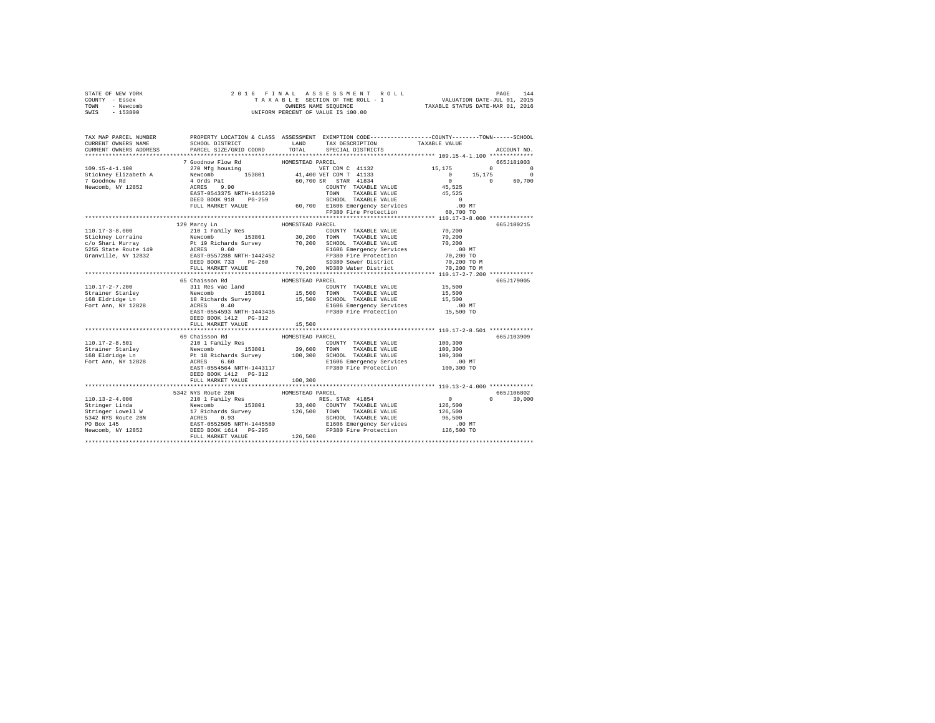| STATE OF NEW YORK | 2016 FINAL ASSESSMENT ROLL         | 144<br>PAGE                      |
|-------------------|------------------------------------|----------------------------------|
| COUNTY - Essex    | TAXABLE SECTION OF THE ROLL - 1    | VALUATION DATE-JUL 01, 2015      |
| TOWN<br>- Newcomb | OWNERS NAME SEOUENCE               | TAXABLE STATUS DATE-MAR 01, 2016 |
| - 153800<br>SWIS  | UNIFORM PERCENT OF VALUE IS 100.00 |                                  |

| TAX MAP PARCEL NUMBER<br>CURRENT OWNERS NAME<br>CURRENT OWNERS ADDRESS PARCEL SIZE/GRID COORD TOTAL                                                                                                                                                     |                                  |                  | PROPERTY LOCATION & CLASS ASSESSMENT EXEMPTION CODE----------------COUNTY-------TOWN-----SCHOOL<br>SCHOOL DISTRICT                      LAND        TAX DESCRIPTION                  TAXABLE VALUE<br>SPECIAL DISTRICTS | ACCOUNT NO.   |
|---------------------------------------------------------------------------------------------------------------------------------------------------------------------------------------------------------------------------------------------------------|----------------------------------|------------------|-------------------------------------------------------------------------------------------------------------------------------------------------------------------------------------------------------------------------|---------------|
|                                                                                                                                                                                                                                                         |                                  |                  |                                                                                                                                                                                                                         |               |
| 109.15-4-1.100<br>109.15-4-1.100<br>270 MFg housing 153801<br>270 MFg housing 153801<br>276 Mewcomb, NY 12852<br>2852 MEXES 9.90<br>2760000 MTM 2852<br>2852 MEXES 9.90<br>2850 MEXES 9.90<br>2850 MEXES 9.90<br>2850 MEXES 9.90<br>2850 MEXES 9.90<br> |                                  |                  |                                                                                                                                                                                                                         |               |
|                                                                                                                                                                                                                                                         |                                  |                  |                                                                                                                                                                                                                         |               |
|                                                                                                                                                                                                                                                         |                                  |                  |                                                                                                                                                                                                                         |               |
|                                                                                                                                                                                                                                                         |                                  |                  |                                                                                                                                                                                                                         |               |
|                                                                                                                                                                                                                                                         |                                  |                  |                                                                                                                                                                                                                         |               |
|                                                                                                                                                                                                                                                         |                                  |                  |                                                                                                                                                                                                                         |               |
|                                                                                                                                                                                                                                                         |                                  |                  |                                                                                                                                                                                                                         |               |
|                                                                                                                                                                                                                                                         |                                  |                  |                                                                                                                                                                                                                         |               |
|                                                                                                                                                                                                                                                         |                                  |                  |                                                                                                                                                                                                                         |               |
|                                                                                                                                                                                                                                                         |                                  |                  |                                                                                                                                                                                                                         |               |
| 110.17-3-8.000                                                                                                                                                                                                                                          | 129 Marcy Ln<br>210 1 Family Res | HOMESTEAD PARCEL | COUNTY TAXABLE VALUE 70,200                                                                                                                                                                                             | 665J100215    |
|                                                                                                                                                                                                                                                         |                                  |                  |                                                                                                                                                                                                                         |               |
| 10.11.7->-0.000 10000 10000 10000 10000 10000 10000 10000 10000 10000 10000 10000 10000 10000 10000 10000 1000<br>19.200 10000 10000 10000 10000 10000 10000 10000 10000 10000 10000 10000 10000 10000 10000 10000 10000 10000 1<br>                    |                                  |                  |                                                                                                                                                                                                                         |               |
|                                                                                                                                                                                                                                                         |                                  |                  |                                                                                                                                                                                                                         |               |
|                                                                                                                                                                                                                                                         |                                  |                  |                                                                                                                                                                                                                         |               |
|                                                                                                                                                                                                                                                         |                                  |                  |                                                                                                                                                                                                                         |               |
|                                                                                                                                                                                                                                                         |                                  |                  |                                                                                                                                                                                                                         |               |
|                                                                                                                                                                                                                                                         |                                  |                  |                                                                                                                                                                                                                         |               |
|                                                                                                                                                                                                                                                         | 65 Chaisson Rd                   | HOMESTEAD PARCEL |                                                                                                                                                                                                                         | 665J179005    |
| 110.17-2-7.200<br>Strainer Stanley 311 Res vac land 15,500<br>Strainer Stanley 168 Richards Survey 15,500 CHOOD TAXABLE VALUE 15,500<br>168 Eldridge Lm 16 Richards Survey 15,500 SCHOOL TAXABLE VALUE 15,500<br>Fort Ann, NY 12828 A                   |                                  |                  |                                                                                                                                                                                                                         |               |
|                                                                                                                                                                                                                                                         |                                  |                  |                                                                                                                                                                                                                         |               |
|                                                                                                                                                                                                                                                         |                                  |                  |                                                                                                                                                                                                                         |               |
|                                                                                                                                                                                                                                                         |                                  |                  |                                                                                                                                                                                                                         |               |
|                                                                                                                                                                                                                                                         |                                  |                  |                                                                                                                                                                                                                         |               |
|                                                                                                                                                                                                                                                         | DEED BOOK 1412    PG-312         |                  |                                                                                                                                                                                                                         |               |
|                                                                                                                                                                                                                                                         | FULL MARKET VALUE                | 15,500           |                                                                                                                                                                                                                         |               |
|                                                                                                                                                                                                                                                         |                                  |                  |                                                                                                                                                                                                                         |               |
|                                                                                                                                                                                                                                                         | 69 Chaisson Rd                   | HOMESTEAD PARCEL |                                                                                                                                                                                                                         | 665.T103909   |
|                                                                                                                                                                                                                                                         |                                  |                  |                                                                                                                                                                                                                         |               |
|                                                                                                                                                                                                                                                         |                                  |                  |                                                                                                                                                                                                                         |               |
|                                                                                                                                                                                                                                                         |                                  |                  |                                                                                                                                                                                                                         |               |
|                                                                                                                                                                                                                                                         |                                  |                  |                                                                                                                                                                                                                         |               |
|                                                                                                                                                                                                                                                         | DEED BOOK 1412    PG-312         |                  |                                                                                                                                                                                                                         |               |
|                                                                                                                                                                                                                                                         |                                  |                  |                                                                                                                                                                                                                         |               |
|                                                                                                                                                                                                                                                         |                                  |                  |                                                                                                                                                                                                                         |               |
|                                                                                                                                                                                                                                                         |                                  | HOMESTEAD PARCEL |                                                                                                                                                                                                                         | 665J106802    |
|                                                                                                                                                                                                                                                         |                                  |                  |                                                                                                                                                                                                                         | $0 \t 30,000$ |
|                                                                                                                                                                                                                                                         |                                  |                  |                                                                                                                                                                                                                         |               |
|                                                                                                                                                                                                                                                         |                                  |                  |                                                                                                                                                                                                                         |               |
|                                                                                                                                                                                                                                                         |                                  |                  |                                                                                                                                                                                                                         |               |
|                                                                                                                                                                                                                                                         |                                  |                  |                                                                                                                                                                                                                         |               |
|                                                                                                                                                                                                                                                         |                                  |                  |                                                                                                                                                                                                                         |               |
|                                                                                                                                                                                                                                                         |                                  |                  |                                                                                                                                                                                                                         |               |
|                                                                                                                                                                                                                                                         |                                  |                  |                                                                                                                                                                                                                         |               |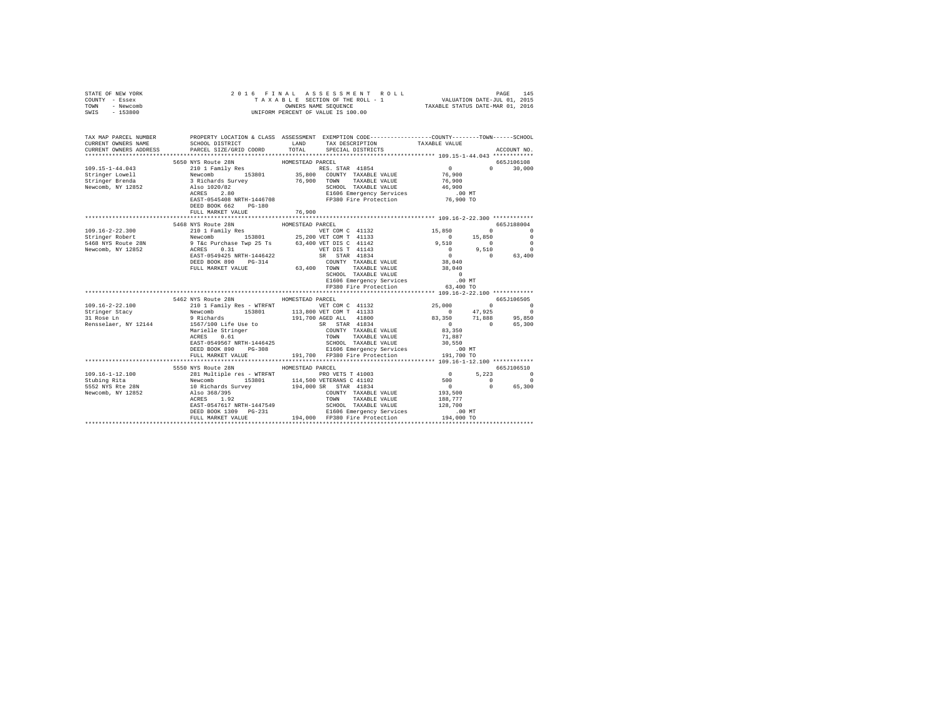| STATE OF NEW YORK<br>COUNTY - Essex<br>TOWN - Newcomb<br>SWIS - 153800                                                                                                                                                                                                                        |                                     |  |  |            |
|-----------------------------------------------------------------------------------------------------------------------------------------------------------------------------------------------------------------------------------------------------------------------------------------------|-------------------------------------|--|--|------------|
|                                                                                                                                                                                                                                                                                               |                                     |  |  |            |
|                                                                                                                                                                                                                                                                                               |                                     |  |  |            |
|                                                                                                                                                                                                                                                                                               |                                     |  |  |            |
| 109.15–14.4043<br>109.16–14.043<br>109.16–14.043<br>109.15–14.4043<br>109.15–14.4043<br>109.16 12.10 1 Family Res HOMESTEAD PARCEL<br>Stringer Rrenda 3 Richards Survey 76,900 COUNTY TAXABLE VALUE 76,900<br>10 30,000<br>10 30,000<br>10 30,00                                              |                                     |  |  |            |
|                                                                                                                                                                                                                                                                                               |                                     |  |  |            |
|                                                                                                                                                                                                                                                                                               |                                     |  |  |            |
|                                                                                                                                                                                                                                                                                               |                                     |  |  |            |
|                                                                                                                                                                                                                                                                                               |                                     |  |  |            |
|                                                                                                                                                                                                                                                                                               |                                     |  |  |            |
|                                                                                                                                                                                                                                                                                               |                                     |  |  |            |
|                                                                                                                                                                                                                                                                                               |                                     |  |  |            |
|                                                                                                                                                                                                                                                                                               |                                     |  |  |            |
|                                                                                                                                                                                                                                                                                               |                                     |  |  |            |
| $\begin{tabular}{cccccc} 109.16-2-22.300 & 5468 NTS UADR.501101004 & 40000537EAD PABCEL & 665,1188004 \\ 109.16-2-22.300 & 15,850 & 0 & 0 \\ 101.117500008 & 153801 & 25,2000 VET COM C & 41132 & 15,850 & 0 \\ 101.120008 & 15000008 & 101 & 0 & 0 \\ 5468 NYS Roule 28N & 0.11 & 0 & 0 \\ $ | 5468 NYS Route 28N HOMESTEAD PARCEL |  |  | 665J188004 |
|                                                                                                                                                                                                                                                                                               |                                     |  |  |            |
|                                                                                                                                                                                                                                                                                               |                                     |  |  |            |
|                                                                                                                                                                                                                                                                                               |                                     |  |  |            |
|                                                                                                                                                                                                                                                                                               |                                     |  |  |            |
|                                                                                                                                                                                                                                                                                               |                                     |  |  |            |
|                                                                                                                                                                                                                                                                                               |                                     |  |  |            |
|                                                                                                                                                                                                                                                                                               |                                     |  |  |            |
|                                                                                                                                                                                                                                                                                               |                                     |  |  |            |
|                                                                                                                                                                                                                                                                                               |                                     |  |  |            |
|                                                                                                                                                                                                                                                                                               |                                     |  |  |            |
|                                                                                                                                                                                                                                                                                               |                                     |  |  |            |
|                                                                                                                                                                                                                                                                                               |                                     |  |  |            |
|                                                                                                                                                                                                                                                                                               |                                     |  |  |            |
|                                                                                                                                                                                                                                                                                               |                                     |  |  |            |
|                                                                                                                                                                                                                                                                                               |                                     |  |  |            |
|                                                                                                                                                                                                                                                                                               |                                     |  |  |            |
|                                                                                                                                                                                                                                                                                               |                                     |  |  |            |
|                                                                                                                                                                                                                                                                                               |                                     |  |  |            |
|                                                                                                                                                                                                                                                                                               |                                     |  |  |            |
| 31 Rose In and Family Res TREAT HOMESTEAD PRCEL<br>19.16-2-22.100 6653106505<br>19.17.700 AGED IN THE STREAM VET COM THI31<br>Tripger Stacy 2011 Family Res TREAT 25801<br>STRIPGer Stacy 2011 Rose In 9 Richards 191,700 AGED ALL 418                                                        |                                     |  |  |            |
|                                                                                                                                                                                                                                                                                               | 5550 NYS Route 28N HOMESTEAD PARCEL |  |  | 665J106510 |
|                                                                                                                                                                                                                                                                                               |                                     |  |  |            |
|                                                                                                                                                                                                                                                                                               |                                     |  |  |            |
|                                                                                                                                                                                                                                                                                               |                                     |  |  |            |
|                                                                                                                                                                                                                                                                                               |                                     |  |  |            |
|                                                                                                                                                                                                                                                                                               |                                     |  |  |            |
|                                                                                                                                                                                                                                                                                               |                                     |  |  |            |
|                                                                                                                                                                                                                                                                                               |                                     |  |  |            |
|                                                                                                                                                                                                                                                                                               |                                     |  |  |            |
|                                                                                                                                                                                                                                                                                               |                                     |  |  |            |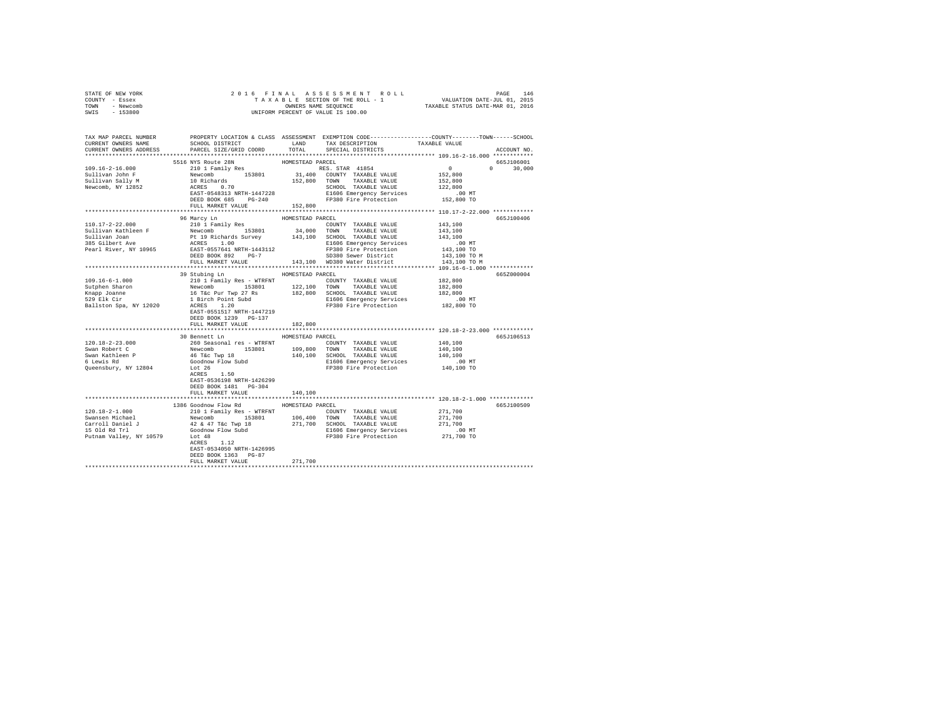| STATE OF NEW YORK                                                                                                                                                                                                                                                                                                                                                                                                                      |                                                                                                                                                                                                                                       |                  |                                                 |             |
|----------------------------------------------------------------------------------------------------------------------------------------------------------------------------------------------------------------------------------------------------------------------------------------------------------------------------------------------------------------------------------------------------------------------------------------|---------------------------------------------------------------------------------------------------------------------------------------------------------------------------------------------------------------------------------------|------------------|-------------------------------------------------|-------------|
| COUNTY - Essex                                                                                                                                                                                                                                                                                                                                                                                                                         |                                                                                                                                                                                                                                       |                  |                                                 |             |
| TOWN - Newcomb                                                                                                                                                                                                                                                                                                                                                                                                                         |                                                                                                                                                                                                                                       |                  |                                                 |             |
| SWIS - 153800                                                                                                                                                                                                                                                                                                                                                                                                                          |                                                                                                                                                                                                                                       |                  |                                                 |             |
|                                                                                                                                                                                                                                                                                                                                                                                                                                        |                                                                                                                                                                                                                                       |                  |                                                 |             |
|                                                                                                                                                                                                                                                                                                                                                                                                                                        |                                                                                                                                                                                                                                       |                  |                                                 |             |
|                                                                                                                                                                                                                                                                                                                                                                                                                                        |                                                                                                                                                                                                                                       |                  |                                                 |             |
| TAX MAP PARCEL NUMBER     PROPERTY LOCATION & CLASS ASSESSMENT EXEMPTION CODE--------------COUNTY-------TOWN------SCHOOL DISTRICT     LAND   TAX DESCRIPTION     TAXABLE VALUE                                                                                                                                                                                                                                                         |                                                                                                                                                                                                                                       |                  |                                                 |             |
|                                                                                                                                                                                                                                                                                                                                                                                                                                        |                                                                                                                                                                                                                                       |                  |                                                 |             |
| CURRENT OWNERS WAND HOT DESCRIPTION OORD HAND TOTAL SPECIAL DISTRICTS CURRENT OWNERS ADDRESS PARCEL SIZE/GRID COORD TOTAL SPECIAL DISTRICTS                                                                                                                                                                                                                                                                                            |                                                                                                                                                                                                                                       |                  |                                                 | ACCOUNT NO. |
|                                                                                                                                                                                                                                                                                                                                                                                                                                        |                                                                                                                                                                                                                                       |                  |                                                 |             |
|                                                                                                                                                                                                                                                                                                                                                                                                                                        | 5516 NYS Route 28N                                                                                                                                                                                                                    | HOMESTEAD PARCEL |                                                 | 665J106001  |
|                                                                                                                                                                                                                                                                                                                                                                                                                                        |                                                                                                                                                                                                                                       |                  |                                                 |             |
|                                                                                                                                                                                                                                                                                                                                                                                                                                        |                                                                                                                                                                                                                                       |                  |                                                 |             |
|                                                                                                                                                                                                                                                                                                                                                                                                                                        |                                                                                                                                                                                                                                       |                  |                                                 |             |
|                                                                                                                                                                                                                                                                                                                                                                                                                                        |                                                                                                                                                                                                                                       |                  |                                                 |             |
|                                                                                                                                                                                                                                                                                                                                                                                                                                        |                                                                                                                                                                                                                                       |                  |                                                 |             |
| 109.16-2-16.000<br>Sullivan John F<br>Sullivan Sally M<br>Newcomb, NY 12852                                                                                                                                                                                                                                                                                                                                                            |                                                                                                                                                                                                                                       |                  |                                                 |             |
|                                                                                                                                                                                                                                                                                                                                                                                                                                        |                                                                                                                                                                                                                                       |                  |                                                 |             |
|                                                                                                                                                                                                                                                                                                                                                                                                                                        | 310 1 Family Res . HUWESTEAD FRES. STAR 41854<br>Newcomb 153801 31,400 COUNTY TAXABLE VALUE 152,800 0 30,000<br>10 Richards 153801 31,400 COUNTY TAXABLE VALUE 152,800<br>ACRES 0.70 152,800 TOWN TAXABLE VALUE 152,800<br>ACRES 0.70 |                  |                                                 |             |
|                                                                                                                                                                                                                                                                                                                                                                                                                                        |                                                                                                                                                                                                                                       |                  |                                                 |             |
| $[10.17-2-22.000$ 96 Marcy Lin 110,17-2-22.000<br>Sullivan Kathleen F<br>Newcomb 153801<br>Newcomb 153801<br>Sullivan TAXABLE VALUE 143,100<br>210 1 Fairch Survey 143,100<br>200 TOWN TAXABLE VALUE 143,100<br>216 March 143,100<br>200 TOWN                                                                                                                                                                                          | 96 Marcy Ln                                                                                                                                                                                                                           | HOMESTEAD PARCEL |                                                 | 665J100406  |
|                                                                                                                                                                                                                                                                                                                                                                                                                                        |                                                                                                                                                                                                                                       |                  |                                                 |             |
|                                                                                                                                                                                                                                                                                                                                                                                                                                        |                                                                                                                                                                                                                                       |                  |                                                 |             |
|                                                                                                                                                                                                                                                                                                                                                                                                                                        |                                                                                                                                                                                                                                       |                  |                                                 |             |
|                                                                                                                                                                                                                                                                                                                                                                                                                                        |                                                                                                                                                                                                                                       |                  |                                                 |             |
|                                                                                                                                                                                                                                                                                                                                                                                                                                        |                                                                                                                                                                                                                                       |                  |                                                 |             |
|                                                                                                                                                                                                                                                                                                                                                                                                                                        |                                                                                                                                                                                                                                       |                  |                                                 |             |
|                                                                                                                                                                                                                                                                                                                                                                                                                                        |                                                                                                                                                                                                                                       |                  |                                                 |             |
|                                                                                                                                                                                                                                                                                                                                                                                                                                        |                                                                                                                                                                                                                                       |                  |                                                 |             |
|                                                                                                                                                                                                                                                                                                                                                                                                                                        | 39 Stubing Ln MESTEAD PARCEL                                                                                                                                                                                                          |                  |                                                 | 665Z000004  |
|                                                                                                                                                                                                                                                                                                                                                                                                                                        |                                                                                                                                                                                                                                       |                  |                                                 |             |
|                                                                                                                                                                                                                                                                                                                                                                                                                                        |                                                                                                                                                                                                                                       |                  |                                                 |             |
|                                                                                                                                                                                                                                                                                                                                                                                                                                        |                                                                                                                                                                                                                                       |                  |                                                 |             |
|                                                                                                                                                                                                                                                                                                                                                                                                                                        |                                                                                                                                                                                                                                       |                  |                                                 |             |
|                                                                                                                                                                                                                                                                                                                                                                                                                                        |                                                                                                                                                                                                                                       |                  |                                                 |             |
|                                                                                                                                                                                                                                                                                                                                                                                                                                        |                                                                                                                                                                                                                                       |                  |                                                 |             |
|                                                                                                                                                                                                                                                                                                                                                                                                                                        | EAST-0551517 NRTH-1447219                                                                                                                                                                                                             |                  |                                                 |             |
|                                                                                                                                                                                                                                                                                                                                                                                                                                        | DEED BOOK 1239 PG-137                                                                                                                                                                                                                 |                  |                                                 |             |
|                                                                                                                                                                                                                                                                                                                                                                                                                                        | FULL MARKET VALUE                                                                                                                                                                                                                     | 182,800          |                                                 |             |
|                                                                                                                                                                                                                                                                                                                                                                                                                                        | *****************************                                                                                                                                                                                                         | **************** | ****************** 120.18-2-23.000 ************ |             |
| $\begin{tabular}{l c c c c c} \hline 120.18-2-23.000 & \multicolumn{3}{c}{\mbox{\small\sc D100}} & \multicolumn{3}{c}{\mbox{\small\sc D100}} & \multicolumn{3}{c}{\mbox{\small\sc D100}} & \multicolumn{3}{c}{\mbox{\small\sc D100}} & \multicolumn{3}{c}{\mbox{\small\sc D100}} & \multicolumn{3}{c}{\mbox{\small\sc D100}} & \multicolumn{3}{c}{\mbox{\small\sc D100}} & \multicolumn{3}{c}{\mbox{\small\sc D100}} & \multicolumn{3$ | 30 Bennett Ln MOMESTEAD PARCEL                                                                                                                                                                                                        |                  |                                                 | 665J106513  |
|                                                                                                                                                                                                                                                                                                                                                                                                                                        |                                                                                                                                                                                                                                       |                  |                                                 |             |
|                                                                                                                                                                                                                                                                                                                                                                                                                                        |                                                                                                                                                                                                                                       |                  |                                                 |             |
|                                                                                                                                                                                                                                                                                                                                                                                                                                        |                                                                                                                                                                                                                                       |                  |                                                 |             |
|                                                                                                                                                                                                                                                                                                                                                                                                                                        |                                                                                                                                                                                                                                       |                  |                                                 |             |
|                                                                                                                                                                                                                                                                                                                                                                                                                                        |                                                                                                                                                                                                                                       |                  |                                                 |             |
|                                                                                                                                                                                                                                                                                                                                                                                                                                        |                                                                                                                                                                                                                                       |                  |                                                 |             |
|                                                                                                                                                                                                                                                                                                                                                                                                                                        | EAST-0536198 NRTH-1426299                                                                                                                                                                                                             |                  |                                                 |             |
|                                                                                                                                                                                                                                                                                                                                                                                                                                        | DEED BOOK 1481    PG-304                                                                                                                                                                                                              |                  |                                                 |             |
|                                                                                                                                                                                                                                                                                                                                                                                                                                        | FULL MARKET VALUE                                                                                                                                                                                                                     | 140,100          |                                                 |             |
|                                                                                                                                                                                                                                                                                                                                                                                                                                        |                                                                                                                                                                                                                                       |                  |                                                 |             |
|                                                                                                                                                                                                                                                                                                                                                                                                                                        | 1386 Goodnow Flow Rd MOMESTEAD PARCEL                                                                                                                                                                                                 |                  |                                                 | 665J100509  |
|                                                                                                                                                                                                                                                                                                                                                                                                                                        |                                                                                                                                                                                                                                       |                  |                                                 |             |
|                                                                                                                                                                                                                                                                                                                                                                                                                                        |                                                                                                                                                                                                                                       |                  |                                                 |             |
|                                                                                                                                                                                                                                                                                                                                                                                                                                        |                                                                                                                                                                                                                                       |                  |                                                 |             |
|                                                                                                                                                                                                                                                                                                                                                                                                                                        |                                                                                                                                                                                                                                       |                  |                                                 |             |
|                                                                                                                                                                                                                                                                                                                                                                                                                                        |                                                                                                                                                                                                                                       |                  |                                                 |             |
|                                                                                                                                                                                                                                                                                                                                                                                                                                        |                                                                                                                                                                                                                                       |                  |                                                 |             |
|                                                                                                                                                                                                                                                                                                                                                                                                                                        | EAST-0534050 NRTH-1426995                                                                                                                                                                                                             |                  |                                                 |             |
|                                                                                                                                                                                                                                                                                                                                                                                                                                        |                                                                                                                                                                                                                                       |                  |                                                 |             |
|                                                                                                                                                                                                                                                                                                                                                                                                                                        | DEED BOOK 1363 PG-87                                                                                                                                                                                                                  |                  |                                                 |             |
|                                                                                                                                                                                                                                                                                                                                                                                                                                        | FULL MARKET VALUE                                                                                                                                                                                                                     | 271,700          |                                                 |             |
|                                                                                                                                                                                                                                                                                                                                                                                                                                        |                                                                                                                                                                                                                                       |                  |                                                 |             |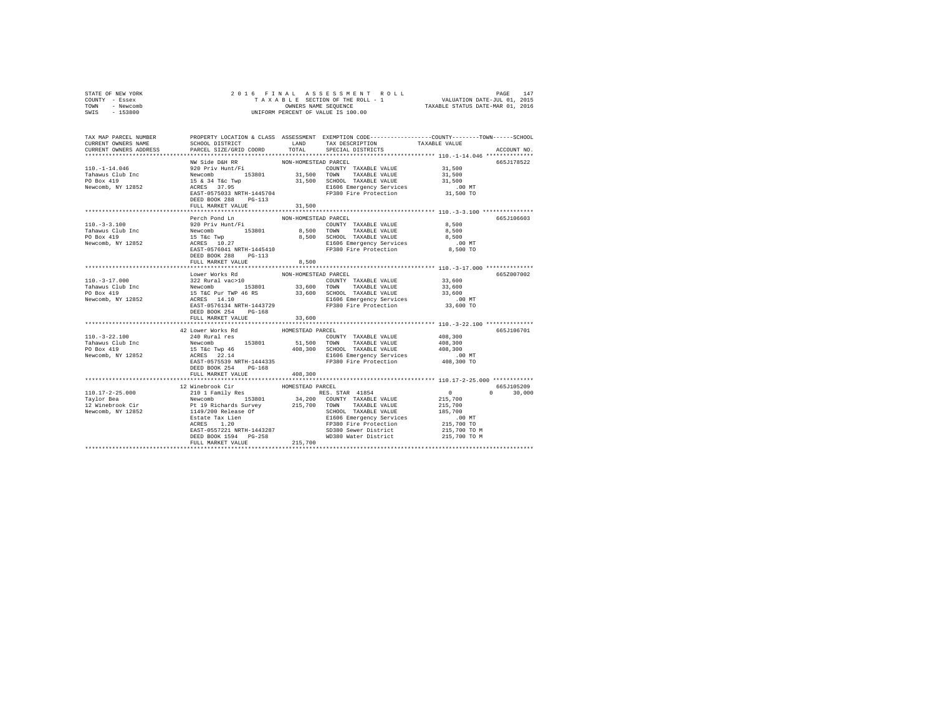| STATE OF NEW YORK<br>COUNTY - Essex<br>TOWN - Newcomb<br>SWIS - 153800                                                                                                                                                                                                                                                                                                                                                                    |                                                                                                                                                                                    |                      |                                                                                                                                                                                                                                          |                                                      |               |
|-------------------------------------------------------------------------------------------------------------------------------------------------------------------------------------------------------------------------------------------------------------------------------------------------------------------------------------------------------------------------------------------------------------------------------------------|------------------------------------------------------------------------------------------------------------------------------------------------------------------------------------|----------------------|------------------------------------------------------------------------------------------------------------------------------------------------------------------------------------------------------------------------------------------|------------------------------------------------------|---------------|
|                                                                                                                                                                                                                                                                                                                                                                                                                                           |                                                                                                                                                                                    |                      |                                                                                                                                                                                                                                          |                                                      |               |
| TAX MAP PARCEL NUMBER PROPERTY LOCATION & CLASS ASSESSMENT EXEMPTION CODE---------------COUNTY-------TOWN------SCHOOL                                                                                                                                                                                                                                                                                                                     |                                                                                                                                                                                    |                      |                                                                                                                                                                                                                                          |                                                      |               |
| CURRENT OWNERS NAME                                                                                                                                                                                                                                                                                                                                                                                                                       | SCHOOL DISTRICT TAND TAX DESCRIPTION                                                                                                                                               |                      |                                                                                                                                                                                                                                          | TAXABLE VALUE                                        |               |
| CURRENT OWNERS ADDRESS                                                                                                                                                                                                                                                                                                                                                                                                                    | PARCEL SIZE/GRID COORD                                                                                                                                                             | <b>TOTAL</b>         | SPECIAL DISTRICTS                                                                                                                                                                                                                        |                                                      | ACCOUNT NO.   |
|                                                                                                                                                                                                                                                                                                                                                                                                                                           | NW Side D&H RR                                                                                                                                                                     | NON-HOMESTEAD PARCEL |                                                                                                                                                                                                                                          |                                                      | 665J178522    |
| $110. -1 - 14.046$                                                                                                                                                                                                                                                                                                                                                                                                                        |                                                                                                                                                                                    |                      |                                                                                                                                                                                                                                          |                                                      |               |
|                                                                                                                                                                                                                                                                                                                                                                                                                                           |                                                                                                                                                                                    |                      |                                                                                                                                                                                                                                          |                                                      |               |
| Tahawus Club Inc<br>PO Box 419                                                                                                                                                                                                                                                                                                                                                                                                            |                                                                                                                                                                                    |                      |                                                                                                                                                                                                                                          |                                                      |               |
| Newcomb, NY 12852                                                                                                                                                                                                                                                                                                                                                                                                                         |                                                                                                                                                                                    |                      |                                                                                                                                                                                                                                          |                                                      |               |
|                                                                                                                                                                                                                                                                                                                                                                                                                                           |                                                                                                                                                                                    |                      |                                                                                                                                                                                                                                          |                                                      |               |
|                                                                                                                                                                                                                                                                                                                                                                                                                                           | DEED BOOK 288 PG-113                                                                                                                                                               |                      |                                                                                                                                                                                                                                          |                                                      |               |
|                                                                                                                                                                                                                                                                                                                                                                                                                                           | FULL MARKET VALUE                                                                                                                                                                  | 31,500               |                                                                                                                                                                                                                                          |                                                      |               |
|                                                                                                                                                                                                                                                                                                                                                                                                                                           | Perch Pond Ln                                                                                                                                                                      | NON-HOMESTEAD PARCEL |                                                                                                                                                                                                                                          |                                                      | 665J106603    |
| $110. -3 -3.100$                                                                                                                                                                                                                                                                                                                                                                                                                          | 920 Priv Hunt/Fi                                                                                                                                                                   |                      | COUNTY TAXABLE VALUE 8,500                                                                                                                                                                                                               |                                                      |               |
|                                                                                                                                                                                                                                                                                                                                                                                                                                           |                                                                                                                                                                                    |                      |                                                                                                                                                                                                                                          | 8,500                                                |               |
|                                                                                                                                                                                                                                                                                                                                                                                                                                           |                                                                                                                                                                                    |                      | 8,500 SCHOOL TAXABLE VALUE                                                                                                                                                                                                               | 8,500                                                |               |
| Tahawus Club Inc<br>PO Box 419<br>Newcomb, NY 12852                                                                                                                                                                                                                                                                                                                                                                                       | Newcomb 153801 8,500 COWN TAXABLE VALUE<br>15 Tkc Twp 8,500 SCHOOL TAXABLE VALUE<br>15 Tkc Twp 8,500 SCHOOL TAXABLE VALUE<br>26 EAST-0576041 NRTH-1445410 E1606 Emergency Services |                      | E1606 Emergency Services                                                                                                                                                                                                                 | $.00$ MT                                             |               |
|                                                                                                                                                                                                                                                                                                                                                                                                                                           |                                                                                                                                                                                    |                      | FP380 Fire Protection                                                                                                                                                                                                                    | 8,500 TO                                             |               |
|                                                                                                                                                                                                                                                                                                                                                                                                                                           | DEED BOOK 288 PG-113                                                                                                                                                               |                      |                                                                                                                                                                                                                                          |                                                      |               |
|                                                                                                                                                                                                                                                                                                                                                                                                                                           | FULL MARKET VALUE                                                                                                                                                                  | 8,500                |                                                                                                                                                                                                                                          | *********************** 110.-3-17.000 ************** |               |
|                                                                                                                                                                                                                                                                                                                                                                                                                                           | Lower Works Rd                                                                                                                                                                     | NON-HOMESTEAD PARCEL |                                                                                                                                                                                                                                          |                                                      | 665Z007002    |
|                                                                                                                                                                                                                                                                                                                                                                                                                                           | 322 Rural vac>10                                                                                                                                                                   |                      | COUNTY TAXABLE VALUE 33,600                                                                                                                                                                                                              |                                                      |               |
|                                                                                                                                                                                                                                                                                                                                                                                                                                           |                                                                                                                                                                                    |                      |                                                                                                                                                                                                                                          |                                                      |               |
| 110.-3-17.000<br>Tahawus Club Inc<br>PO Box 419                                                                                                                                                                                                                                                                                                                                                                                           |                                                                                                                                                                                    |                      |                                                                                                                                                                                                                                          |                                                      |               |
| Newcomb, NY 12852                                                                                                                                                                                                                                                                                                                                                                                                                         |                                                                                                                                                                                    |                      |                                                                                                                                                                                                                                          |                                                      |               |
|                                                                                                                                                                                                                                                                                                                                                                                                                                           | DEED BOOK 254 PG-168                                                                                                                                                               |                      |                                                                                                                                                                                                                                          |                                                      |               |
|                                                                                                                                                                                                                                                                                                                                                                                                                                           | FULL MARKET VALUE                                                                                                                                                                  | 33,600               |                                                                                                                                                                                                                                          |                                                      |               |
|                                                                                                                                                                                                                                                                                                                                                                                                                                           |                                                                                                                                                                                    |                      |                                                                                                                                                                                                                                          |                                                      |               |
|                                                                                                                                                                                                                                                                                                                                                                                                                                           | 42 Lower Works Rd                                                                                                                                                                  | HOMESTEAD PARCEL     |                                                                                                                                                                                                                                          |                                                      | 665J106701    |
| $110.-3-22.100$                                                                                                                                                                                                                                                                                                                                                                                                                           | 240 Rural res                                                                                                                                                                      |                      | COUNTY TAXABLE VALUE                                                                                                                                                                                                                     | 408,300                                              |               |
| Tahawus Club Inc<br>PO Box 419                                                                                                                                                                                                                                                                                                                                                                                                            |                                                                                                                                                                                    |                      |                                                                                                                                                                                                                                          |                                                      |               |
|                                                                                                                                                                                                                                                                                                                                                                                                                                           |                                                                                                                                                                                    |                      |                                                                                                                                                                                                                                          |                                                      |               |
| Newcomb, NY 12852                                                                                                                                                                                                                                                                                                                                                                                                                         |                                                                                                                                                                                    |                      | 240 Kurai 1 = 8<br>Newcomb 153801 51,500 TOWN TAXABLE VALUE 108,300<br>15 Tac Twp 46 300 408,300 SCHOOL TAXABLE VALUE 408,300<br>ACRES 22.14<br>RAST-0575539 RRTH-1444335 FP380 Fire Protection 408,300 TO<br>TRIP TO TAC TRIP 1444335 F |                                                      |               |
|                                                                                                                                                                                                                                                                                                                                                                                                                                           | DEED BOOK 254 PG-168                                                                                                                                                               |                      |                                                                                                                                                                                                                                          |                                                      |               |
|                                                                                                                                                                                                                                                                                                                                                                                                                                           | FULL MARKET VALUE                                                                                                                                                                  | 408,300              |                                                                                                                                                                                                                                          |                                                      |               |
|                                                                                                                                                                                                                                                                                                                                                                                                                                           |                                                                                                                                                                                    |                      |                                                                                                                                                                                                                                          |                                                      |               |
|                                                                                                                                                                                                                                                                                                                                                                                                                                           |                                                                                                                                                                                    |                      |                                                                                                                                                                                                                                          |                                                      | 665J105209    |
|                                                                                                                                                                                                                                                                                                                                                                                                                                           |                                                                                                                                                                                    |                      |                                                                                                                                                                                                                                          | $\sim$ 0                                             | $0 \t 30,000$ |
|                                                                                                                                                                                                                                                                                                                                                                                                                                           |                                                                                                                                                                                    |                      |                                                                                                                                                                                                                                          | 215,700                                              |               |
|                                                                                                                                                                                                                                                                                                                                                                                                                                           |                                                                                                                                                                                    |                      |                                                                                                                                                                                                                                          | $215,700$<br>$185,700$                               |               |
|                                                                                                                                                                                                                                                                                                                                                                                                                                           |                                                                                                                                                                                    |                      |                                                                                                                                                                                                                                          | .00 MT                                               |               |
|                                                                                                                                                                                                                                                                                                                                                                                                                                           |                                                                                                                                                                                    |                      |                                                                                                                                                                                                                                          | 215,700 TO                                           |               |
|                                                                                                                                                                                                                                                                                                                                                                                                                                           |                                                                                                                                                                                    |                      |                                                                                                                                                                                                                                          | 215,700 TO M                                         |               |
| $\begin{tabular}{l c c c c} \multicolumn{1}{c}{\textbf{12} \textbf{WinebrooK} \textbf{Cir}} & \multicolumn{1}{c}{\textbf{13} \textbf{WinebrooK} \textbf{Cir}} & \multicolumn{1}{c}{\textbf{14} \textbf{WinebrooK} \textbf{Cir}} & \multicolumn{1}{c}{\textbf{15} \textbf{W8} \textbf{STRAD} \textbf{PACEL}} \\ \multicolumn{1}{c}{\textbf{12} \textbf{WinebrooK} \textbf{Cir}} & \multicolumn{1}{c}{\textbf{12} \textbf{WinebrooK} \text$ |                                                                                                                                                                                    |                      |                                                                                                                                                                                                                                          | 215,700 TO M                                         |               |
|                                                                                                                                                                                                                                                                                                                                                                                                                                           |                                                                                                                                                                                    |                      |                                                                                                                                                                                                                                          |                                                      |               |
|                                                                                                                                                                                                                                                                                                                                                                                                                                           |                                                                                                                                                                                    |                      |                                                                                                                                                                                                                                          |                                                      |               |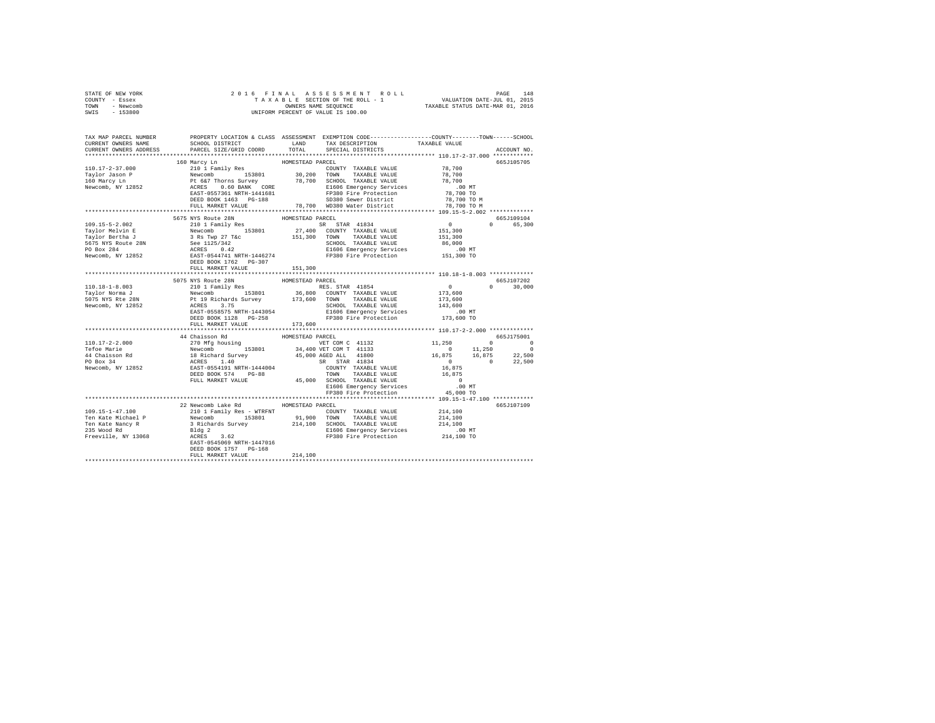| STATE OF NEW YORK |                                     |                  |  |               |
|-------------------|-------------------------------------|------------------|--|---------------|
| COUNTY - Essex    |                                     |                  |  |               |
| TOWN - Newcomb    |                                     |                  |  |               |
| SWIS - 153800     |                                     |                  |  |               |
|                   |                                     |                  |  |               |
|                   |                                     |                  |  |               |
|                   |                                     |                  |  |               |
|                   |                                     |                  |  |               |
|                   |                                     |                  |  |               |
|                   |                                     |                  |  |               |
|                   |                                     |                  |  | 665J105705    |
|                   |                                     |                  |  |               |
|                   |                                     |                  |  |               |
|                   |                                     |                  |  |               |
|                   |                                     |                  |  |               |
|                   |                                     |                  |  |               |
|                   |                                     |                  |  |               |
|                   |                                     |                  |  |               |
|                   |                                     |                  |  |               |
|                   |                                     |                  |  |               |
|                   |                                     |                  |  |               |
|                   |                                     |                  |  |               |
|                   |                                     |                  |  |               |
|                   |                                     |                  |  |               |
|                   |                                     |                  |  |               |
|                   |                                     |                  |  |               |
|                   |                                     |                  |  |               |
|                   |                                     |                  |  |               |
|                   | FULL MARKET VALUE 151,300           |                  |  |               |
|                   |                                     |                  |  |               |
|                   | 5075 NYS Route 28N                  | HOMESTEAD PARCEL |  | 665J107202    |
|                   |                                     |                  |  | $0 \t 30,000$ |
|                   |                                     |                  |  |               |
|                   |                                     |                  |  |               |
|                   |                                     |                  |  |               |
|                   |                                     |                  |  |               |
|                   |                                     |                  |  |               |
|                   |                                     |                  |  |               |
|                   |                                     |                  |  |               |
|                   |                                     |                  |  |               |
|                   |                                     |                  |  |               |
|                   |                                     |                  |  |               |
|                   |                                     |                  |  |               |
|                   |                                     |                  |  |               |
|                   |                                     |                  |  |               |
|                   |                                     |                  |  |               |
|                   |                                     |                  |  |               |
|                   |                                     |                  |  |               |
|                   |                                     |                  |  |               |
|                   |                                     |                  |  |               |
|                   |                                     |                  |  |               |
|                   | 22 Newcomb Lake Rd HOMESTEAD PARCEL |                  |  | 665J107109    |
|                   |                                     |                  |  |               |
|                   |                                     |                  |  |               |
|                   |                                     |                  |  |               |
|                   |                                     |                  |  |               |
|                   |                                     |                  |  |               |
|                   |                                     |                  |  |               |
|                   |                                     |                  |  |               |
|                   | FULL MARKET VALUE                   | 214,100          |  |               |
|                   |                                     |                  |  |               |
|                   |                                     |                  |  |               |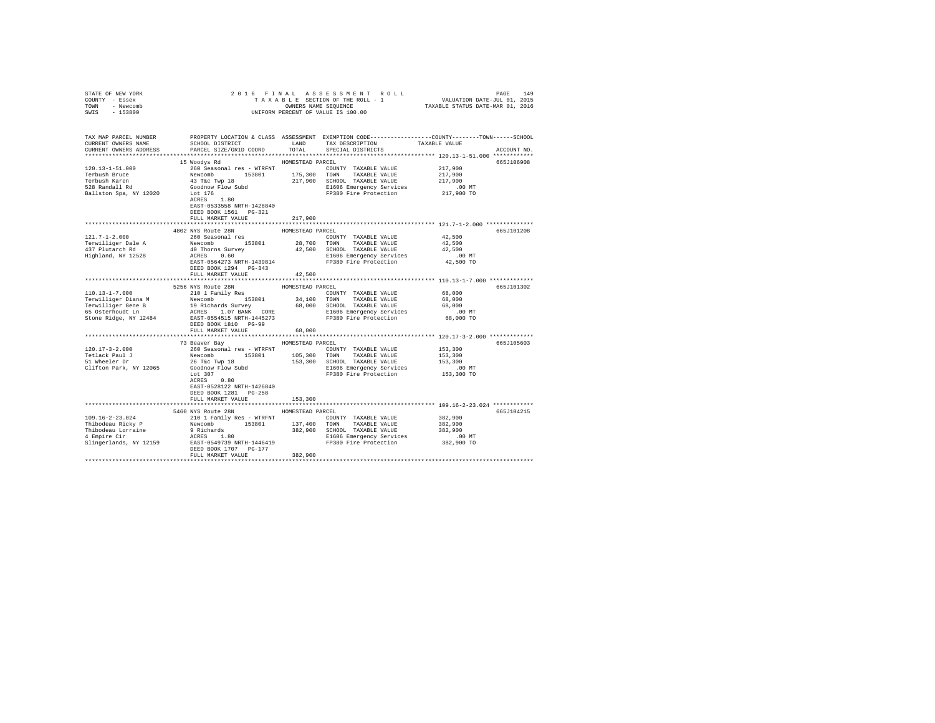| STATE OF NEW YORK                                                                                                                                                                                                                                                                                                                                                                                                                                          |                                                                                                                                                                                                                                        |                  |                                                                      |                      |             |
|------------------------------------------------------------------------------------------------------------------------------------------------------------------------------------------------------------------------------------------------------------------------------------------------------------------------------------------------------------------------------------------------------------------------------------------------------------|----------------------------------------------------------------------------------------------------------------------------------------------------------------------------------------------------------------------------------------|------------------|----------------------------------------------------------------------|----------------------|-------------|
| COUNTY - Essex                                                                                                                                                                                                                                                                                                                                                                                                                                             |                                                                                                                                                                                                                                        |                  |                                                                      |                      |             |
| TOWN - Newcomb                                                                                                                                                                                                                                                                                                                                                                                                                                             |                                                                                                                                                                                                                                        |                  |                                                                      |                      |             |
| SWIS - 153800                                                                                                                                                                                                                                                                                                                                                                                                                                              |                                                                                                                                                                                                                                        |                  |                                                                      |                      |             |
|                                                                                                                                                                                                                                                                                                                                                                                                                                                            |                                                                                                                                                                                                                                        |                  |                                                                      |                      |             |
|                                                                                                                                                                                                                                                                                                                                                                                                                                                            |                                                                                                                                                                                                                                        |                  |                                                                      |                      |             |
| TAX MAP PARCEL NUMBER PROPERTY LOCATION & CLASS ASSESSMENT EXEMPTION CODE--------------COUNTY-------TOWN------SCHOOL                                                                                                                                                                                                                                                                                                                                       |                                                                                                                                                                                                                                        |                  |                                                                      |                      |             |
| CURRENT OWNERS NAME                                                                                                                                                                                                                                                                                                                                                                                                                                        | SCHOOL DISTRICT                                                                                                                                                                                                                        | LAND             | TAX DESCRIPTION                                                      | TAXABLE VALUE        |             |
| CURRENT OWNERS ADDRESS                                                                                                                                                                                                                                                                                                                                                                                                                                     | PARCEL SIZE/GRID COORD                                                                                                                                                                                                                 | TOTAL            | SPECIAL DISTRICTS                                                    |                      | ACCOUNT NO. |
|                                                                                                                                                                                                                                                                                                                                                                                                                                                            |                                                                                                                                                                                                                                        |                  |                                                                      |                      |             |
|                                                                                                                                                                                                                                                                                                                                                                                                                                                            | 15 Woodys Rd                                                                                                                                                                                                                           | HOMESTEAD PARCEL |                                                                      |                      | 665J106908  |
| 120.13-1-51.000                                                                                                                                                                                                                                                                                                                                                                                                                                            | 260 Seasonal res - WTRFNT                                                                                                                                                                                                              |                  | COUNTY TAXABLE VALUE 217,900                                         |                      |             |
| Terbush Bruce                                                                                                                                                                                                                                                                                                                                                                                                                                              |                                                                                                                                                                                                                                        |                  |                                                                      | 217,900              |             |
| Terbush Karen                                                                                                                                                                                                                                                                                                                                                                                                                                              |                                                                                                                                                                                                                                        |                  |                                                                      | 217,900              |             |
| 528 Randall Rd                                                                                                                                                                                                                                                                                                                                                                                                                                             |                                                                                                                                                                                                                                        |                  |                                                                      |                      |             |
|                                                                                                                                                                                                                                                                                                                                                                                                                                                            | Goodnow Flow Subd<br>Lot 176<br>ACRES 1.80                                                                                                                                                                                             |                  | E1606 Emergency Services 6.00 MT<br>FP380 Fire Protection 217,900 TO |                      |             |
| Ballston Spa, NY 12020                                                                                                                                                                                                                                                                                                                                                                                                                                     |                                                                                                                                                                                                                                        |                  |                                                                      |                      |             |
|                                                                                                                                                                                                                                                                                                                                                                                                                                                            |                                                                                                                                                                                                                                        |                  |                                                                      |                      |             |
|                                                                                                                                                                                                                                                                                                                                                                                                                                                            | EAST-0533558 NRTH-1428840                                                                                                                                                                                                              |                  |                                                                      |                      |             |
|                                                                                                                                                                                                                                                                                                                                                                                                                                                            | DEED BOOK 1561 PG-321                                                                                                                                                                                                                  |                  |                                                                      |                      |             |
|                                                                                                                                                                                                                                                                                                                                                                                                                                                            | FULL MARKET VALUE                                                                                                                                                                                                                      | 217,900          |                                                                      |                      |             |
|                                                                                                                                                                                                                                                                                                                                                                                                                                                            |                                                                                                                                                                                                                                        |                  |                                                                      |                      |             |
|                                                                                                                                                                                                                                                                                                                                                                                                                                                            | 4802 NYS Route 28N                                                                                                                                                                                                                     | HOMESTEAD PARCEL |                                                                      |                      | 665J101208  |
|                                                                                                                                                                                                                                                                                                                                                                                                                                                            | 260 Seasonal res                                                                                                                                                                                                                       |                  | COUNTY TAXABLE VALUE                                                 | $4\,2$ , $5\,0\,0$   |             |
| 121.7-1-2.000<br>Terwilliger Dale A<br>437 Plutarch Rd                                                                                                                                                                                                                                                                                                                                                                                                     | 2000 Seasonal Les 153801 28,700 TOWN TAXABLE VALUE 42,500<br>42,500 MOThorns Survey 42,500 SCHOOL TAXABLE VALUE 42,500<br>42,500 MCRES 0.60 SLEOG Emergency Services<br>ERST-0564273 NRTH-1439814 FP380 Fire Protection 42,500 TO<br>R |                  |                                                                      |                      |             |
|                                                                                                                                                                                                                                                                                                                                                                                                                                                            |                                                                                                                                                                                                                                        |                  |                                                                      |                      |             |
| Highland, NY 12528                                                                                                                                                                                                                                                                                                                                                                                                                                         |                                                                                                                                                                                                                                        |                  |                                                                      |                      |             |
|                                                                                                                                                                                                                                                                                                                                                                                                                                                            |                                                                                                                                                                                                                                        |                  |                                                                      |                      |             |
|                                                                                                                                                                                                                                                                                                                                                                                                                                                            | DEED BOOK 1294 PG-343                                                                                                                                                                                                                  |                  |                                                                      |                      |             |
|                                                                                                                                                                                                                                                                                                                                                                                                                                                            | FULL MARKET VALUE                                                                                                                                                                                                                      | 42,500           |                                                                      |                      |             |
|                                                                                                                                                                                                                                                                                                                                                                                                                                                            |                                                                                                                                                                                                                                        |                  |                                                                      |                      |             |
|                                                                                                                                                                                                                                                                                                                                                                                                                                                            | 5256 NYS Route 28N                                                                                                                                                                                                                     | HOMESTEAD PARCEL |                                                                      |                      | 665J101302  |
| $110.13 - 1 - 7.000$                                                                                                                                                                                                                                                                                                                                                                                                                                       | 210 1 Family Res                                                                                                                                                                                                                       |                  | COUNTY TAXABLE VALUE                                                 | 68,000               |             |
|                                                                                                                                                                                                                                                                                                                                                                                                                                                            |                                                                                                                                                                                                                                        |                  | 34,100 TOWN TAXABLE VALUE                                            | 68,000               |             |
|                                                                                                                                                                                                                                                                                                                                                                                                                                                            |                                                                                                                                                                                                                                        |                  |                                                                      | 68,000               |             |
|                                                                                                                                                                                                                                                                                                                                                                                                                                                            |                                                                                                                                                                                                                                        |                  |                                                                      |                      |             |
| $\begin{tabular}{l c c c c c c c c} \hline \multicolumn{3}{c}{\textbf{Terwilliger Diana M}} & \multicolumn{3}{c}{\textbf{Newcomb}} & \multicolumn{3}{c}{\textbf{1.5801}} & \multicolumn{3}{c}{\textbf{34,100}} & \multicolumn{3}{c}{\textbf{TOWM}} & \multicolumn{3}{c}{\textbf{TAXABLE VALUE}} \\ \hline \multicolumn{3}{c}{\textbf{Terwilliger Cleane B}} & \multicolumn{3}{c}{\textbf{1.07 BxMC} & \textbf{68,000}} & \multicolumn{3}{c}{\textbf{58.00$ |                                                                                                                                                                                                                                        |                  |                                                                      | $.00$ MT             |             |
|                                                                                                                                                                                                                                                                                                                                                                                                                                                            |                                                                                                                                                                                                                                        |                  |                                                                      | 68,000 TO            |             |
|                                                                                                                                                                                                                                                                                                                                                                                                                                                            | DEED BOOK 1810 PG-99                                                                                                                                                                                                                   |                  |                                                                      |                      |             |
|                                                                                                                                                                                                                                                                                                                                                                                                                                                            | FULL MARKET VALUE                                                                                                                                                                                                                      | 68,000           |                                                                      |                      |             |
|                                                                                                                                                                                                                                                                                                                                                                                                                                                            |                                                                                                                                                                                                                                        |                  | ***************************** 120.17-3-2.000 ************            |                      |             |
|                                                                                                                                                                                                                                                                                                                                                                                                                                                            | 73 Beaver Bay                                                                                                                                                                                                                          | HOMESTEAD PARCEL |                                                                      |                      | 665J105603  |
| $120.17 - 3 - 2.000$                                                                                                                                                                                                                                                                                                                                                                                                                                       |                                                                                                                                                                                                                                        |                  |                                                                      | 153,300              |             |
|                                                                                                                                                                                                                                                                                                                                                                                                                                                            |                                                                                                                                                                                                                                        |                  |                                                                      | 153,300              |             |
| Tetlack Paul J<br>51 Wheeler Dr                                                                                                                                                                                                                                                                                                                                                                                                                            | 26 T&C Twp 18<br>Goodnow Flow Subd<br>Lot 307                                                                                                                                                                                          |                  |                                                                      | 153,300              |             |
| Clifton Park, NY 12065                                                                                                                                                                                                                                                                                                                                                                                                                                     |                                                                                                                                                                                                                                        |                  | E1606 Emergency Services                                             |                      |             |
|                                                                                                                                                                                                                                                                                                                                                                                                                                                            |                                                                                                                                                                                                                                        |                  | FP380 Fire Protection                                                | 00 MT.<br>153,300 TO |             |
|                                                                                                                                                                                                                                                                                                                                                                                                                                                            | ACRES 0.80                                                                                                                                                                                                                             |                  |                                                                      |                      |             |
|                                                                                                                                                                                                                                                                                                                                                                                                                                                            | EAST-0528122 NRTH-1426840                                                                                                                                                                                                              |                  |                                                                      |                      |             |
|                                                                                                                                                                                                                                                                                                                                                                                                                                                            | DEED BOOK 1281 PG-258                                                                                                                                                                                                                  |                  |                                                                      |                      |             |
|                                                                                                                                                                                                                                                                                                                                                                                                                                                            |                                                                                                                                                                                                                                        |                  |                                                                      |                      |             |
|                                                                                                                                                                                                                                                                                                                                                                                                                                                            | FULL MARKET VALUE                                                                                                                                                                                                                      | 153,300          |                                                                      |                      |             |
|                                                                                                                                                                                                                                                                                                                                                                                                                                                            |                                                                                                                                                                                                                                        |                  |                                                                      |                      |             |
|                                                                                                                                                                                                                                                                                                                                                                                                                                                            | 5460 NYS Route 28N HOMESTEAD PARCEL                                                                                                                                                                                                    |                  |                                                                      |                      | 665J104215  |
|                                                                                                                                                                                                                                                                                                                                                                                                                                                            |                                                                                                                                                                                                                                        |                  |                                                                      | 382,900              |             |
|                                                                                                                                                                                                                                                                                                                                                                                                                                                            |                                                                                                                                                                                                                                        |                  |                                                                      | 382,900              |             |
|                                                                                                                                                                                                                                                                                                                                                                                                                                                            |                                                                                                                                                                                                                                        |                  |                                                                      | 382,900              |             |
|                                                                                                                                                                                                                                                                                                                                                                                                                                                            |                                                                                                                                                                                                                                        |                  |                                                                      | 00 MT.<br>382,900 TO |             |
| $\begin{tabular}{l c c c c c c c c} \hline 109.16-2-23.024 & 210.1~\mbox{Pauliy Res} & 40.10~\mbox{Pamiliy Res} & 40.00000 & 10.000000 & 10.000000 & 10.0000000 & 10.000000 & 10.000000 & 10.000000 & 10.000000 & 10.000000 & 10.000000 & 10.000000 & 10.000000 & 10.00000$                                                                                                                                                                                |                                                                                                                                                                                                                                        |                  |                                                                      |                      |             |
|                                                                                                                                                                                                                                                                                                                                                                                                                                                            | DEED BOOK 1707 PG-177                                                                                                                                                                                                                  |                  |                                                                      |                      |             |
|                                                                                                                                                                                                                                                                                                                                                                                                                                                            | FULL MARKET VALUE                                                                                                                                                                                                                      | 382,900          |                                                                      |                      |             |
|                                                                                                                                                                                                                                                                                                                                                                                                                                                            |                                                                                                                                                                                                                                        |                  |                                                                      |                      |             |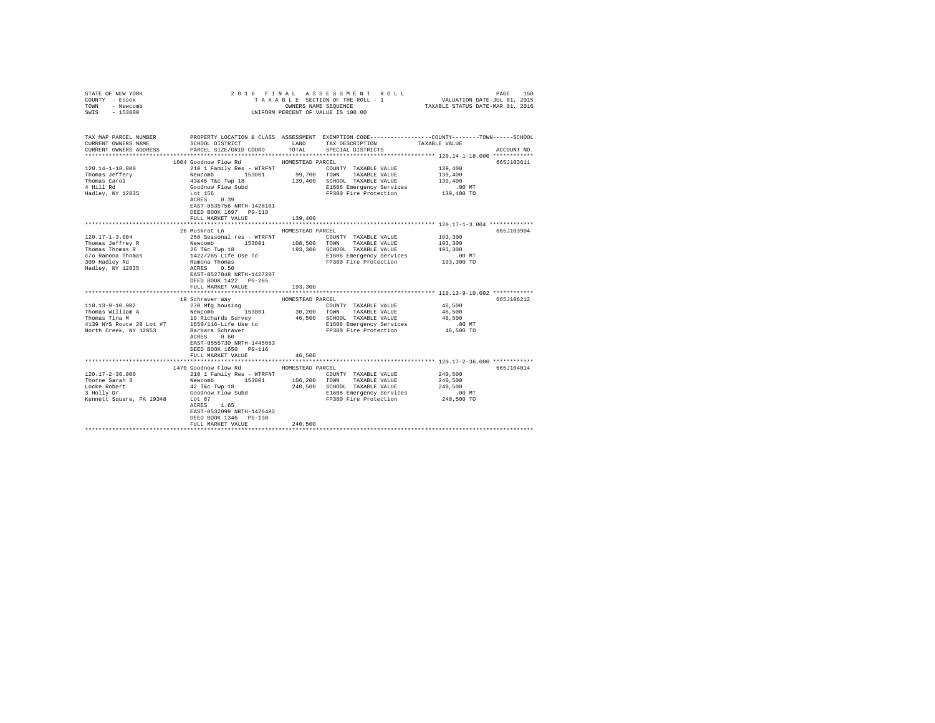| COUNTY - Essex<br>TOWN - Newcomb<br>SWIS - 153800                                                                                                                                                                                                                |                                                                                                                                                                                                                |                  | UNIFORM PERCENT OF VALUE IS 100.00                                                                                                                                         |                      |             |
|------------------------------------------------------------------------------------------------------------------------------------------------------------------------------------------------------------------------------------------------------------------|----------------------------------------------------------------------------------------------------------------------------------------------------------------------------------------------------------------|------------------|----------------------------------------------------------------------------------------------------------------------------------------------------------------------------|----------------------|-------------|
|                                                                                                                                                                                                                                                                  |                                                                                                                                                                                                                |                  |                                                                                                                                                                            |                      |             |
|                                                                                                                                                                                                                                                                  | TAX MAP PARCEL NUMBER THE PROPERTY LOCATION & CLASS ASSESSMENT EXEMPTION CODE--------------COUNTY-------TOWN------SCHOOL                                                                                       |                  |                                                                                                                                                                            |                      |             |
| CURRENT OWNERS NAME                                                                                                                                                                                                                                              | SCHOOL DISTRICT TAND TAX DESCRIPTION                                                                                                                                                                           |                  |                                                                                                                                                                            | TAXABLE VALUE        |             |
| CURRENT OWNERS ADDRESS                                                                                                                                                                                                                                           | PARCEL SIZE/GRID COORD TOTAL                                                                                                                                                                                   |                  | SPECIAL DISTRICTS                                                                                                                                                          |                      | ACCOUNT NO. |
|                                                                                                                                                                                                                                                                  |                                                                                                                                                                                                                |                  |                                                                                                                                                                            |                      |             |
|                                                                                                                                                                                                                                                                  | 1004 Goodnow Flow Rd MOMESTEAD PARCEL                                                                                                                                                                          |                  |                                                                                                                                                                            |                      | 665J103611  |
| $120.14 - 1 - 18.000$                                                                                                                                                                                                                                            | 210 1 Family Res - WTRFNT                                                                                                                                                                                      |                  | COUNTY TAXABLE VALUE                                                                                                                                                       | 139,400              |             |
| Thomas Jeffery<br>Thomas Carol                                                                                                                                                                                                                                   |                                                                                                                                                                                                                |                  |                                                                                                                                                                            | 139,400<br>139,400   |             |
| 4 Hill Rd                                                                                                                                                                                                                                                        |                                                                                                                                                                                                                |                  |                                                                                                                                                                            |                      |             |
| Hadley, NY 12835                                                                                                                                                                                                                                                 |                                                                                                                                                                                                                |                  | E1606 Emergency Services .00 MT<br>FP380 Fire Protection 139,400 TO                                                                                                        |                      |             |
|                                                                                                                                                                                                                                                                  | Xample State (1992)<br>Mewcomb 153801 99,700 TOWN TAXABLE VALUE<br>139400 SCHOOL TAXABLE VALUE<br>139400 SCHOOL TAXABLE VALUE<br>Goodnow Flow Subd<br>Coodnow Flow Subd<br>FP380 Fire Protection<br>XCRES 0.39 |                  |                                                                                                                                                                            |                      |             |
|                                                                                                                                                                                                                                                                  | EAST-0535756 NRTH-1428161                                                                                                                                                                                      |                  |                                                                                                                                                                            |                      |             |
|                                                                                                                                                                                                                                                                  | DEED BOOK 1697 PG-119                                                                                                                                                                                          |                  |                                                                                                                                                                            |                      |             |
|                                                                                                                                                                                                                                                                  | FULL MARKET VALUE                                                                                                                                                                                              | 139,400          |                                                                                                                                                                            |                      |             |
|                                                                                                                                                                                                                                                                  |                                                                                                                                                                                                                |                  | ********************************* 120.17-1-3.004 **************                                                                                                            |                      |             |
|                                                                                                                                                                                                                                                                  | 26 Muskrat Ln                                                                                                                                                                                                  | HOMESTEAD PARCEL |                                                                                                                                                                            |                      | 665J103904  |
| $120.17 - 1 - 3.004$                                                                                                                                                                                                                                             | 260 Seasonal res - WTRFNT                                                                                                                                                                                      |                  | COUNTY TAXABLE VALUE                                                                                                                                                       | 193,300              |             |
|                                                                                                                                                                                                                                                                  |                                                                                                                                                                                                                |                  |                                                                                                                                                                            | 193,300<br>193,300   |             |
|                                                                                                                                                                                                                                                                  |                                                                                                                                                                                                                |                  |                                                                                                                                                                            |                      |             |
|                                                                                                                                                                                                                                                                  |                                                                                                                                                                                                                |                  | E1606 Emergency Services<br>FP380 Fire Protection                                                                                                                          | 00 MT.<br>193,300 TO |             |
| $\begin{tabular}{l c c c c c c c c} \hline 120,171-1-3.004 & 200 & 268600a1 & 26800a1 & 26800a1 & 26800a1 & 26800a1 & 26800a1 & 26800a1 & 26800a1 & 26800a1 & 26800a1 & 26800a1 & 26800a1 & 26800a1 & 26800a1 & 26800a1 & 26800a1 & 26800a1 & 26800a1 & 26800a1$ |                                                                                                                                                                                                                |                  |                                                                                                                                                                            |                      |             |
|                                                                                                                                                                                                                                                                  | EAST-0527848 NRTH-1427207                                                                                                                                                                                      |                  |                                                                                                                                                                            |                      |             |
|                                                                                                                                                                                                                                                                  | DEED BOOK 1422 PG-265                                                                                                                                                                                          |                  |                                                                                                                                                                            |                      |             |
|                                                                                                                                                                                                                                                                  | FULL MARKET VALUE                                                                                                                                                                                              | 193,300          |                                                                                                                                                                            |                      |             |
|                                                                                                                                                                                                                                                                  |                                                                                                                                                                                                                |                  |                                                                                                                                                                            |                      |             |
|                                                                                                                                                                                                                                                                  | 19 Schraver Way                                                                                                                                                                                                | HOMESTEAD PARCEL |                                                                                                                                                                            |                      | 665J106212  |
|                                                                                                                                                                                                                                                                  |                                                                                                                                                                                                                |                  | $\begin{tabular}{lllll} \multicolumn{2}{l}{{\bf COUNTY}} & \multicolumn{2}{l}{\bf TAXABLE} & \multicolumn{2}{l}{\bf VALUE} & \multicolumn{2}{l}{\bf 46,500} \end{tabular}$ |                      |             |
|                                                                                                                                                                                                                                                                  |                                                                                                                                                                                                                |                  | 30,200 TOWN TAXABLE VALUE                                                                                                                                                  | 46,500               |             |
|                                                                                                                                                                                                                                                                  |                                                                                                                                                                                                                |                  | 46,500 SCHOOL TAXABLE VALUE<br>E1606 Emergency Services                                                                                                                    | 46,500<br>$.00$ MT   |             |
| 110.13-9-10.002<br>Thomas William A<br>Thomas Tina M<br>Thomas Tina M<br>19 Richards Survey<br>19 Richards Survey<br>19 Richards Survey<br>19 Richards Survey<br>North Creek, NV 19852<br>1961/116-Life Use to<br>North Creek, NY 12853                          |                                                                                                                                                                                                                |                  | FP380 Fire Protection                                                                                                                                                      | 46,500 TO            |             |
|                                                                                                                                                                                                                                                                  | Barbara Schraver<br>ACRES       0.60<br>ACRES 0.60                                                                                                                                                             |                  |                                                                                                                                                                            |                      |             |
|                                                                                                                                                                                                                                                                  | EAST-0555730 NRTH-1445663                                                                                                                                                                                      |                  |                                                                                                                                                                            |                      |             |
|                                                                                                                                                                                                                                                                  | DEED BOOK 1650 PG-116                                                                                                                                                                                          |                  |                                                                                                                                                                            |                      |             |
|                                                                                                                                                                                                                                                                  | FULL MARKET VALUE                                                                                                                                                                                              | 46,500           |                                                                                                                                                                            |                      |             |
|                                                                                                                                                                                                                                                                  |                                                                                                                                                                                                                |                  |                                                                                                                                                                            |                      |             |
|                                                                                                                                                                                                                                                                  | 1470 Goodnow Flow Rd                                                                                                                                                                                           | HOMESTEAD PARCEL |                                                                                                                                                                            |                      | 665J104014  |
| 120.17-2-36.000                                                                                                                                                                                                                                                  | 210 1 Family Res - WTRFNT                                                                                                                                                                                      |                  | COUNTY TAXABLE VALUE                                                                                                                                                       | 240,500              |             |
| Thorne Sarah S                                                                                                                                                                                                                                                   | Newcomb<br>153801 166,200 TOWN TAXABLE VALUE<br>42 T&c Twp 18 240,500 SCHOOL TAXABLE VALUE                                                                                                                     |                  |                                                                                                                                                                            | 240.500<br>240,500   |             |
|                                                                                                                                                                                                                                                                  |                                                                                                                                                                                                                |                  |                                                                                                                                                                            |                      |             |
|                                                                                                                                                                                                                                                                  |                                                                                                                                                                                                                |                  | E1606 Emergency Services .00 MT<br>FP380 Fire Protection 240,500 TO                                                                                                        |                      |             |
| Locke Robert<br>3 Holly Dr (42 T&c Twp 18<br>3 Holly Dr (300dnow Flow Subd)<br>8 Holly Dr (500dnow Flow Subd)<br>8 ACRES<br>4 ACRES<br>1.65                                                                                                                      |                                                                                                                                                                                                                |                  |                                                                                                                                                                            |                      |             |
|                                                                                                                                                                                                                                                                  | EAST-0532099 NRTH-1426482                                                                                                                                                                                      |                  |                                                                                                                                                                            |                      |             |
|                                                                                                                                                                                                                                                                  | DEED BOOK 1346 PG-130                                                                                                                                                                                          |                  |                                                                                                                                                                            |                      |             |
|                                                                                                                                                                                                                                                                  | FULL MARKET VALUE                                                                                                                                                                                              | 240,500          |                                                                                                                                                                            |                      |             |
|                                                                                                                                                                                                                                                                  |                                                                                                                                                                                                                |                  |                                                                                                                                                                            |                      |             |

STATE OF NEW YORK 2016 FINAL ASSESSMENT ROLL PAGE 150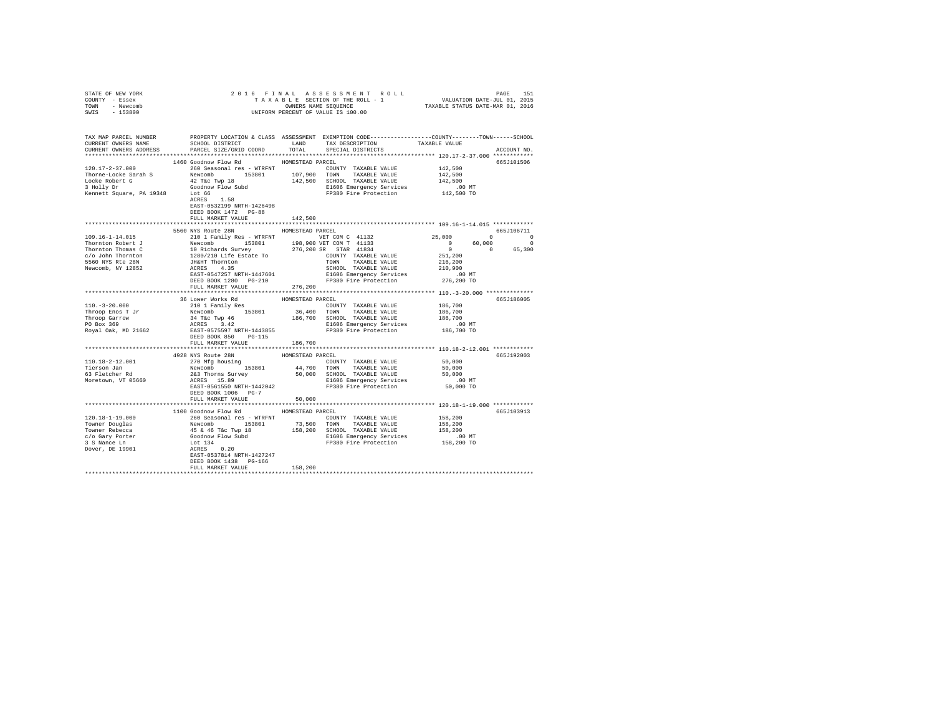| STATE OF NEW YORK<br>COUNTY - Essex                                                                                                                                                            | 2016 FINAL ASSESSMENT ROLL PAGE 151<br>TAXABLE SECTION OF THE ROLL - 1 VALUATION DATE-JUL 01, 2015<br>ONNERS NAME SEQUENCE<br>UNIFORM PERCENT OF VALUE IS 100.00                                                                                 |         |         |             |
|------------------------------------------------------------------------------------------------------------------------------------------------------------------------------------------------|--------------------------------------------------------------------------------------------------------------------------------------------------------------------------------------------------------------------------------------------------|---------|---------|-------------|
| TOWN - Newcomb                                                                                                                                                                                 |                                                                                                                                                                                                                                                  |         |         |             |
| SWIS - 153800                                                                                                                                                                                  |                                                                                                                                                                                                                                                  |         |         |             |
|                                                                                                                                                                                                |                                                                                                                                                                                                                                                  |         |         |             |
|                                                                                                                                                                                                |                                                                                                                                                                                                                                                  |         |         |             |
| TAX MAP PARCEL NUMBER PROPERTY LOCATION & CLASS ASSESSMENT EXEMPTION CODE--------------COUNTY-------TOWN------SCHOOL<br>CURRENT OWNERS NAME SCHOOL DISTRICT LAND TAX DESCRIPTION TAXABLE VALUE |                                                                                                                                                                                                                                                  |         |         |             |
| CURRENT OWNERS ADDRESS PARCEL SIZE/GRID COORD TOTAL SPECIAL DISTRICTS                                                                                                                          |                                                                                                                                                                                                                                                  |         |         | ACCOUNT NO. |
|                                                                                                                                                                                                |                                                                                                                                                                                                                                                  |         |         |             |
|                                                                                                                                                                                                | 1460 Goodnow Flow Rd MOMESTEAD PARCEL                                                                                                                                                                                                            |         |         | 665J101506  |
| 120.17-2-37.000                                                                                                                                                                                | 260 Seasonal res - WTRFNT COUNTY TAXABLE VALUE                                                                                                                                                                                                   |         | 142,500 |             |
|                                                                                                                                                                                                |                                                                                                                                                                                                                                                  |         |         |             |
|                                                                                                                                                                                                |                                                                                                                                                                                                                                                  |         |         |             |
|                                                                                                                                                                                                |                                                                                                                                                                                                                                                  |         |         |             |
|                                                                                                                                                                                                |                                                                                                                                                                                                                                                  |         |         |             |
|                                                                                                                                                                                                |                                                                                                                                                                                                                                                  |         |         |             |
|                                                                                                                                                                                                | EAST-0532199 NRTH-1426498                                                                                                                                                                                                                        |         |         |             |
|                                                                                                                                                                                                | DEED BOOK 1472 PG-88                                                                                                                                                                                                                             |         |         |             |
|                                                                                                                                                                                                | FULL MARKET VALUE                                                                                                                                                                                                                                | 142,500 |         |             |
|                                                                                                                                                                                                |                                                                                                                                                                                                                                                  |         |         |             |
|                                                                                                                                                                                                | 5560 NYS Route 28N HOMESTEAD PARCEL                                                                                                                                                                                                              |         |         | 665J106711  |
|                                                                                                                                                                                                |                                                                                                                                                                                                                                                  |         |         |             |
|                                                                                                                                                                                                |                                                                                                                                                                                                                                                  |         |         |             |
|                                                                                                                                                                                                |                                                                                                                                                                                                                                                  |         |         |             |
|                                                                                                                                                                                                |                                                                                                                                                                                                                                                  |         |         |             |
|                                                                                                                                                                                                |                                                                                                                                                                                                                                                  |         |         |             |
|                                                                                                                                                                                                |                                                                                                                                                                                                                                                  |         |         |             |
|                                                                                                                                                                                                |                                                                                                                                                                                                                                                  |         |         |             |
|                                                                                                                                                                                                |                                                                                                                                                                                                                                                  |         |         |             |
|                                                                                                                                                                                                | FULL MARKET VALUE                                                                                                                                                                                                                                | 276,200 |         |             |
|                                                                                                                                                                                                |                                                                                                                                                                                                                                                  |         |         |             |
|                                                                                                                                                                                                |                                                                                                                                                                                                                                                  |         |         | 665J186005  |
|                                                                                                                                                                                                |                                                                                                                                                                                                                                                  |         |         |             |
|                                                                                                                                                                                                |                                                                                                                                                                                                                                                  |         |         |             |
|                                                                                                                                                                                                |                                                                                                                                                                                                                                                  |         |         |             |
|                                                                                                                                                                                                |                                                                                                                                                                                                                                                  |         |         |             |
|                                                                                                                                                                                                |                                                                                                                                                                                                                                                  |         |         |             |
|                                                                                                                                                                                                | FULL MARKET VALUE                                                                                                                                                                                                                                |         |         |             |
|                                                                                                                                                                                                |                                                                                                                                                                                                                                                  | 186,700 |         |             |
|                                                                                                                                                                                                | 1928 NYS Route 28N<br>2020 NYS Route 28N<br>2020 NEW COUNTY TAXABLE VALUE 50,000<br>263 Thomas Survey 153801<br>263 NYS Route 153801<br>263 NYS Route 153801<br>263 NYS Route 153801<br>263 NYS ROUTE-1442042<br>263 NYS ROUTE-1442042<br>263 NY |         |         | 665J192003  |
| 110.18-2-12.001                                                                                                                                                                                |                                                                                                                                                                                                                                                  |         |         |             |
|                                                                                                                                                                                                |                                                                                                                                                                                                                                                  |         |         |             |
|                                                                                                                                                                                                |                                                                                                                                                                                                                                                  |         |         |             |
| Tierson Jan<br>63 Fletcher Rd<br>Moretown, VT 05660                                                                                                                                            |                                                                                                                                                                                                                                                  |         |         |             |
|                                                                                                                                                                                                |                                                                                                                                                                                                                                                  |         |         |             |
|                                                                                                                                                                                                | DEED BOOK 1006 PG-7                                                                                                                                                                                                                              |         |         |             |
|                                                                                                                                                                                                | FULL MARKET VALUE                                                                                                                                                                                                                                | 50,000  |         |             |
|                                                                                                                                                                                                |                                                                                                                                                                                                                                                  |         |         |             |
|                                                                                                                                                                                                | 1100 Goodnow Flow Rd HOMESTEAD PARCEL                                                                                                                                                                                                            |         |         | 665J103913  |
|                                                                                                                                                                                                |                                                                                                                                                                                                                                                  |         |         |             |
|                                                                                                                                                                                                |                                                                                                                                                                                                                                                  |         |         |             |
|                                                                                                                                                                                                |                                                                                                                                                                                                                                                  |         |         |             |
|                                                                                                                                                                                                |                                                                                                                                                                                                                                                  |         |         |             |
|                                                                                                                                                                                                |                                                                                                                                                                                                                                                  |         |         |             |
|                                                                                                                                                                                                |                                                                                                                                                                                                                                                  |         |         |             |
|                                                                                                                                                                                                |                                                                                                                                                                                                                                                  |         |         |             |
|                                                                                                                                                                                                |                                                                                                                                                                                                                                                  |         |         |             |
|                                                                                                                                                                                                | FULL MARKET VALUE                                                                                                                                                                                                                                | 158,200 |         |             |
|                                                                                                                                                                                                |                                                                                                                                                                                                                                                  |         |         |             |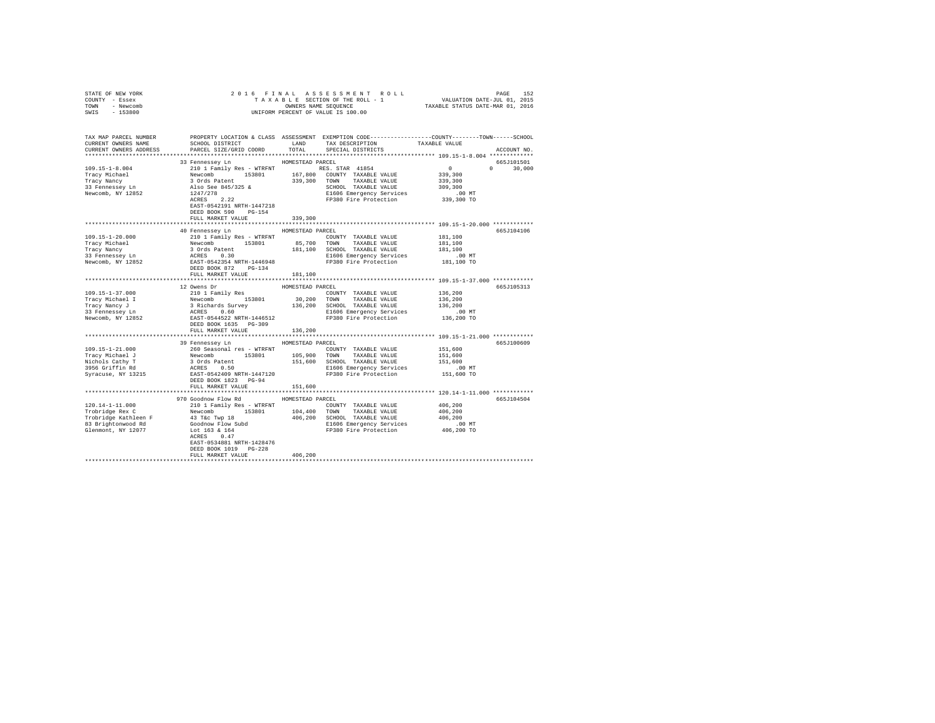| STATE OF NEW YORK                                                                                                                                                                                                                                                                                                                                                                                                                                            |                                      |                  |                                                                                                                                                                                                                                                                                                                                                                                  |                                         |               |
|--------------------------------------------------------------------------------------------------------------------------------------------------------------------------------------------------------------------------------------------------------------------------------------------------------------------------------------------------------------------------------------------------------------------------------------------------------------|--------------------------------------|------------------|----------------------------------------------------------------------------------------------------------------------------------------------------------------------------------------------------------------------------------------------------------------------------------------------------------------------------------------------------------------------------------|-----------------------------------------|---------------|
| COUNTY - Essex                                                                                                                                                                                                                                                                                                                                                                                                                                               |                                      |                  | 2016 FINAL ASSESSMENT ROLL PAGE 152<br>TAXABLE SECTION OF THE ROLL - 1 VALUATION DATE-JUL 01, 2015<br>OWNERS NAME SEQUENCE TAXABLE STATUS DATE-MAR 01, 2016<br>UNIFORM PERCENT OF VALUE IS 100.00                                                                                                                                                                                |                                         |               |
| TOWN - Newcomb                                                                                                                                                                                                                                                                                                                                                                                                                                               |                                      |                  |                                                                                                                                                                                                                                                                                                                                                                                  |                                         |               |
| SWIS - 153800                                                                                                                                                                                                                                                                                                                                                                                                                                                |                                      |                  |                                                                                                                                                                                                                                                                                                                                                                                  |                                         |               |
|                                                                                                                                                                                                                                                                                                                                                                                                                                                              |                                      |                  |                                                                                                                                                                                                                                                                                                                                                                                  |                                         |               |
|                                                                                                                                                                                                                                                                                                                                                                                                                                                              |                                      |                  |                                                                                                                                                                                                                                                                                                                                                                                  |                                         |               |
| TAX MAP PARCEL NUMBER PROPERTY LOCATION & CLASS ASSESSMENT EXEMPTION CODE--------------COUNTY-------TOWN------SCHOOL                                                                                                                                                                                                                                                                                                                                         |                                      |                  |                                                                                                                                                                                                                                                                                                                                                                                  |                                         |               |
| CURRENT OWNERS NAME                                                                                                                                                                                                                                                                                                                                                                                                                                          | SCHOOL DISTRICT                      |                  | LAND TAX DESCRIPTION TAXABLE VALUE                                                                                                                                                                                                                                                                                                                                               |                                         |               |
| CURRENT OWNERS ADDRESS                                                                                                                                                                                                                                                                                                                                                                                                                                       | PARCEL SIZE/GRID COORD               | TOTAL            | SPECIAL DISTRICTS                                                                                                                                                                                                                                                                                                                                                                |                                         | ACCOUNT NO.   |
|                                                                                                                                                                                                                                                                                                                                                                                                                                                              |                                      |                  |                                                                                                                                                                                                                                                                                                                                                                                  |                                         |               |
|                                                                                                                                                                                                                                                                                                                                                                                                                                                              | 33 Fennessey Ln MOMESTEAD PARCEL     |                  |                                                                                                                                                                                                                                                                                                                                                                                  |                                         | 665J101501    |
|                                                                                                                                                                                                                                                                                                                                                                                                                                                              |                                      |                  |                                                                                                                                                                                                                                                                                                                                                                                  |                                         |               |
|                                                                                                                                                                                                                                                                                                                                                                                                                                                              |                                      |                  |                                                                                                                                                                                                                                                                                                                                                                                  | $\begin{array}{c}0\\339,300\end{array}$ | $0 \t 30.000$ |
|                                                                                                                                                                                                                                                                                                                                                                                                                                                              |                                      |                  |                                                                                                                                                                                                                                                                                                                                                                                  |                                         |               |
|                                                                                                                                                                                                                                                                                                                                                                                                                                                              |                                      |                  |                                                                                                                                                                                                                                                                                                                                                                                  |                                         |               |
|                                                                                                                                                                                                                                                                                                                                                                                                                                                              |                                      |                  |                                                                                                                                                                                                                                                                                                                                                                                  |                                         |               |
| $\begin{tabular}{l c c c c c} \hline 109.15-1-8.004 & \textcolor{red}{32.5\textwidth} & \textcolor{red}{210} & \textcolor{red}{11} & \textcolor{red}{120} & \textcolor{red}{120} & \textcolor{red}{120} & \textcolor{red}{120} & \textcolor{red}{120} & \textcolor{red}{120} & \textcolor{red}{120} & \textcolor{red}{120} & \textcolor{red}{120} & \textcolor{red}{120} & \textcolor{red}{120} & \textcolor{red}{120} & \textcolor{red}{120} & \textcolor{$ |                                      |                  |                                                                                                                                                                                                                                                                                                                                                                                  |                                         |               |
|                                                                                                                                                                                                                                                                                                                                                                                                                                                              |                                      |                  |                                                                                                                                                                                                                                                                                                                                                                                  |                                         |               |
|                                                                                                                                                                                                                                                                                                                                                                                                                                                              | EAST-0542191 NRTH-1447218            |                  |                                                                                                                                                                                                                                                                                                                                                                                  |                                         |               |
|                                                                                                                                                                                                                                                                                                                                                                                                                                                              | DEED BOOK 590 PG-154                 |                  |                                                                                                                                                                                                                                                                                                                                                                                  |                                         |               |
|                                                                                                                                                                                                                                                                                                                                                                                                                                                              | FULL MARKET VALUE                    | 339,300          |                                                                                                                                                                                                                                                                                                                                                                                  |                                         |               |
|                                                                                                                                                                                                                                                                                                                                                                                                                                                              |                                      |                  |                                                                                                                                                                                                                                                                                                                                                                                  |                                         |               |
|                                                                                                                                                                                                                                                                                                                                                                                                                                                              | 40 Fennessey Ln                      | HOMESTEAD PARCEL |                                                                                                                                                                                                                                                                                                                                                                                  |                                         | 665J104106    |
|                                                                                                                                                                                                                                                                                                                                                                                                                                                              |                                      |                  |                                                                                                                                                                                                                                                                                                                                                                                  |                                         |               |
|                                                                                                                                                                                                                                                                                                                                                                                                                                                              |                                      |                  |                                                                                                                                                                                                                                                                                                                                                                                  |                                         |               |
|                                                                                                                                                                                                                                                                                                                                                                                                                                                              |                                      |                  |                                                                                                                                                                                                                                                                                                                                                                                  |                                         |               |
| $\begin{tabular}{l c c c c c c c c} \hline 109.15-1-20.000 & 210117amily Res - WTRRNT & 1000071Y & TAXABLE VALUE & 181,100\nTracy Michael & Newton & 153801 & 85,700 TOMN & TAXABLE VALUE & 181,100\n2101111 & Newton & 153801 & 85,700 TOMN & TAXABLE VALUE & 181,100\n57000 TAXABLE VALUE & 181,100\n3700000 & EXIST-0542354 NRTH-14469$                                                                                                                   |                                      |                  |                                                                                                                                                                                                                                                                                                                                                                                  |                                         |               |
|                                                                                                                                                                                                                                                                                                                                                                                                                                                              |                                      |                  |                                                                                                                                                                                                                                                                                                                                                                                  |                                         |               |
|                                                                                                                                                                                                                                                                                                                                                                                                                                                              | DEED BOOK 872 PG-134                 |                  |                                                                                                                                                                                                                                                                                                                                                                                  |                                         |               |
|                                                                                                                                                                                                                                                                                                                                                                                                                                                              | FULL MARKET VALUE                    | 181,100          |                                                                                                                                                                                                                                                                                                                                                                                  |                                         |               |
|                                                                                                                                                                                                                                                                                                                                                                                                                                                              |                                      |                  |                                                                                                                                                                                                                                                                                                                                                                                  |                                         |               |
|                                                                                                                                                                                                                                                                                                                                                                                                                                                              | 12 Owens Dr                          | HOMESTEAD PARCEL |                                                                                                                                                                                                                                                                                                                                                                                  |                                         | 665J105313    |
|                                                                                                                                                                                                                                                                                                                                                                                                                                                              |                                      |                  | $\begin{tabular}{lllllll} \textbf{COUNTY} & \textbf{TAXABLE} & \textbf{VALUE} & & \textbf{136,200} \end{tabular}$                                                                                                                                                                                                                                                                |                                         |               |
|                                                                                                                                                                                                                                                                                                                                                                                                                                                              |                                      |                  |                                                                                                                                                                                                                                                                                                                                                                                  | 136,200                                 |               |
|                                                                                                                                                                                                                                                                                                                                                                                                                                                              |                                      |                  |                                                                                                                                                                                                                                                                                                                                                                                  | 136,200                                 |               |
|                                                                                                                                                                                                                                                                                                                                                                                                                                                              |                                      |                  |                                                                                                                                                                                                                                                                                                                                                                                  | .00 MT                                  |               |
|                                                                                                                                                                                                                                                                                                                                                                                                                                                              |                                      |                  |                                                                                                                                                                                                                                                                                                                                                                                  | 136,200 TO                              |               |
|                                                                                                                                                                                                                                                                                                                                                                                                                                                              |                                      |                  |                                                                                                                                                                                                                                                                                                                                                                                  |                                         |               |
|                                                                                                                                                                                                                                                                                                                                                                                                                                                              | DEED BOOK 1635 PG-309                |                  |                                                                                                                                                                                                                                                                                                                                                                                  |                                         |               |
|                                                                                                                                                                                                                                                                                                                                                                                                                                                              | FULL MARKET VALUE                    | 136,200          |                                                                                                                                                                                                                                                                                                                                                                                  |                                         |               |
|                                                                                                                                                                                                                                                                                                                                                                                                                                                              |                                      |                  | ******************************** 109.15-1-21.000 ************                                                                                                                                                                                                                                                                                                                    |                                         |               |
|                                                                                                                                                                                                                                                                                                                                                                                                                                                              | 39 Fennessey Ln MOMESTEAD PARCEL     |                  |                                                                                                                                                                                                                                                                                                                                                                                  |                                         | 665J100609    |
| $109.15 - 1 - 21.000$                                                                                                                                                                                                                                                                                                                                                                                                                                        |                                      |                  |                                                                                                                                                                                                                                                                                                                                                                                  |                                         |               |
|                                                                                                                                                                                                                                                                                                                                                                                                                                                              |                                      |                  |                                                                                                                                                                                                                                                                                                                                                                                  |                                         |               |
| 1991.1991<br>Tracy Michael J<br>Nichols Cathy T<br>3956 Griffin Rd<br>Syracuse, NY 13215                                                                                                                                                                                                                                                                                                                                                                     |                                      |                  | $\begin{tabular}{lcccc} 260 & Seasonal res & \texttt{WTRFW} & \texttt{151,600} & \texttt{151,600} & \texttt{151,600} & \texttt{151,600} \\ \texttt{Newcomb} & 153801 & 165,900 & \texttt{TONN} & \texttt{TXABALE VALUE} & 151,600 \\ \texttt{30 crds} & 3 \texttt{Ords} & \texttt{21.5,600} & 151,600 & \texttt{151,600} & \texttt{151,600} & \texttt{151,600} \\ \texttt{ACRES$ |                                         |               |
|                                                                                                                                                                                                                                                                                                                                                                                                                                                              |                                      |                  |                                                                                                                                                                                                                                                                                                                                                                                  |                                         |               |
|                                                                                                                                                                                                                                                                                                                                                                                                                                                              |                                      |                  |                                                                                                                                                                                                                                                                                                                                                                                  |                                         |               |
|                                                                                                                                                                                                                                                                                                                                                                                                                                                              | DEED BOOK 1823 PG-94                 |                  |                                                                                                                                                                                                                                                                                                                                                                                  |                                         |               |
|                                                                                                                                                                                                                                                                                                                                                                                                                                                              | FULL MARKET VALUE                    | 151,600          |                                                                                                                                                                                                                                                                                                                                                                                  |                                         |               |
|                                                                                                                                                                                                                                                                                                                                                                                                                                                              |                                      |                  |                                                                                                                                                                                                                                                                                                                                                                                  |                                         |               |
|                                                                                                                                                                                                                                                                                                                                                                                                                                                              | 970 Goodnow Flow Rd MOMESTEAD PARCEL |                  |                                                                                                                                                                                                                                                                                                                                                                                  |                                         | 665J104504    |
|                                                                                                                                                                                                                                                                                                                                                                                                                                                              |                                      |                  |                                                                                                                                                                                                                                                                                                                                                                                  |                                         |               |
|                                                                                                                                                                                                                                                                                                                                                                                                                                                              |                                      |                  |                                                                                                                                                                                                                                                                                                                                                                                  |                                         |               |
|                                                                                                                                                                                                                                                                                                                                                                                                                                                              |                                      |                  |                                                                                                                                                                                                                                                                                                                                                                                  |                                         |               |
|                                                                                                                                                                                                                                                                                                                                                                                                                                                              |                                      |                  |                                                                                                                                                                                                                                                                                                                                                                                  |                                         |               |
|                                                                                                                                                                                                                                                                                                                                                                                                                                                              |                                      |                  |                                                                                                                                                                                                                                                                                                                                                                                  |                                         |               |
|                                                                                                                                                                                                                                                                                                                                                                                                                                                              |                                      |                  |                                                                                                                                                                                                                                                                                                                                                                                  |                                         |               |
|                                                                                                                                                                                                                                                                                                                                                                                                                                                              | EAST-0534881 NRTH-1428476            |                  |                                                                                                                                                                                                                                                                                                                                                                                  |                                         |               |
|                                                                                                                                                                                                                                                                                                                                                                                                                                                              | DEED BOOK 1019 PG-228                |                  |                                                                                                                                                                                                                                                                                                                                                                                  |                                         |               |
|                                                                                                                                                                                                                                                                                                                                                                                                                                                              | FULL MARKET VALUE                    | 406,200          |                                                                                                                                                                                                                                                                                                                                                                                  |                                         |               |
|                                                                                                                                                                                                                                                                                                                                                                                                                                                              |                                      |                  |                                                                                                                                                                                                                                                                                                                                                                                  |                                         |               |
|                                                                                                                                                                                                                                                                                                                                                                                                                                                              |                                      |                  |                                                                                                                                                                                                                                                                                                                                                                                  |                                         |               |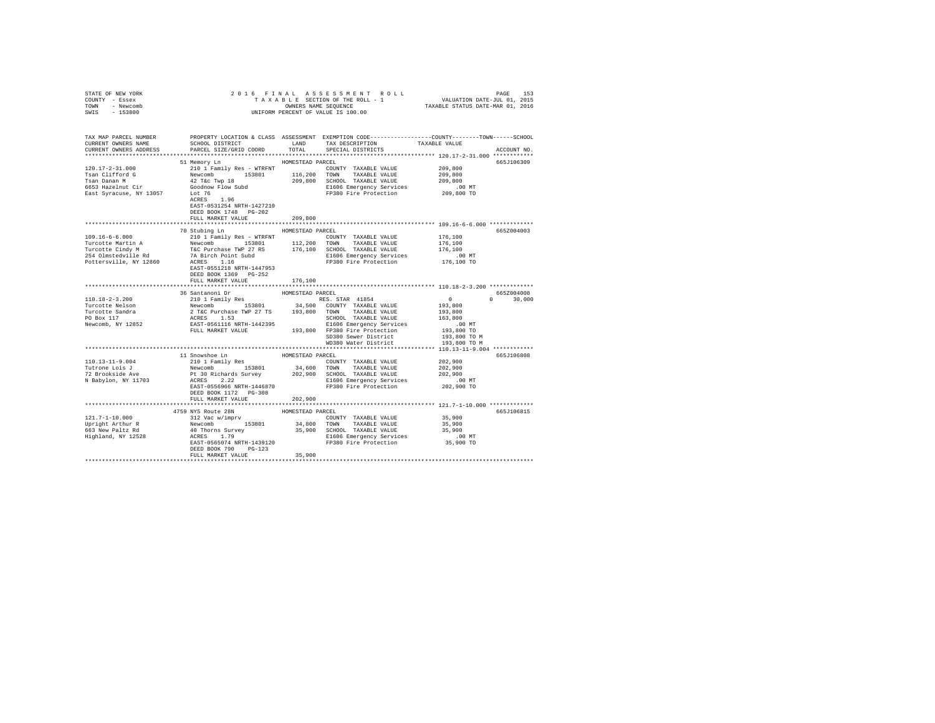| STATE OF NEW YORK                                                            |                                                                                                                                                                                                                                                                                                                                                                                                                              |                  |                                                              |                                                                                             |               |
|------------------------------------------------------------------------------|------------------------------------------------------------------------------------------------------------------------------------------------------------------------------------------------------------------------------------------------------------------------------------------------------------------------------------------------------------------------------------------------------------------------------|------------------|--------------------------------------------------------------|---------------------------------------------------------------------------------------------|---------------|
| COUNTY - Essex                                                               |                                                                                                                                                                                                                                                                                                                                                                                                                              |                  |                                                              |                                                                                             |               |
| TOWN - Newcomb                                                               |                                                                                                                                                                                                                                                                                                                                                                                                                              |                  |                                                              |                                                                                             |               |
| SWIS - 153800                                                                |                                                                                                                                                                                                                                                                                                                                                                                                                              |                  |                                                              |                                                                                             |               |
|                                                                              |                                                                                                                                                                                                                                                                                                                                                                                                                              |                  |                                                              |                                                                                             |               |
|                                                                              |                                                                                                                                                                                                                                                                                                                                                                                                                              |                  |                                                              |                                                                                             |               |
|                                                                              |                                                                                                                                                                                                                                                                                                                                                                                                                              |                  |                                                              |                                                                                             |               |
|                                                                              | SCHOOL DISTRICT                                                                                                                                                                                                                                                                                                                                                                                                              |                  | TAX DESCRIPTION                                              |                                                                                             |               |
| CURRENT OWNERS ADDRESS                                                       | PARCEL SIZE/GRID COORD                                                                                                                                                                                                                                                                                                                                                                                                       | TOTAL            | SPECIAL DISTRICTS                                            |                                                                                             | ACCOUNT NO.   |
|                                                                              |                                                                                                                                                                                                                                                                                                                                                                                                                              |                  |                                                              |                                                                                             |               |
|                                                                              |                                                                                                                                                                                                                                                                                                                                                                                                                              |                  |                                                              |                                                                                             |               |
|                                                                              | 51 Memory Ln                                                                                                                                                                                                                                                                                                                                                                                                                 | HOMESTEAD PARCEL |                                                              |                                                                                             | 665J106309    |
|                                                                              |                                                                                                                                                                                                                                                                                                                                                                                                                              |                  | COUNTY TAXABLE VALUE                                         | 209,800                                                                                     |               |
|                                                                              |                                                                                                                                                                                                                                                                                                                                                                                                                              |                  |                                                              | 209,800                                                                                     |               |
|                                                                              |                                                                                                                                                                                                                                                                                                                                                                                                                              |                  |                                                              | 209,800                                                                                     |               |
|                                                                              |                                                                                                                                                                                                                                                                                                                                                                                                                              |                  |                                                              |                                                                                             |               |
|                                                                              | 120.17-2-31.000<br>Tamily Res - WTRFNT<br>TAXABLE VALUE<br>Tam Clifford G<br>Tamily Res - WTRFNT<br>116,200 TONNY TAXABLE VALUE<br>Tam Dann M<br>TAXABLE VALUE<br>Tam Dann M<br>42 Tac Twp 18<br>42 Tac Twp 18<br>209,800 SCHOOL TAXABLE VALUE<br>ESS                                                                                                                                                                        |                  | E1606 Emergency Services<br>FP380 Fire Protection 209,800 TO |                                                                                             |               |
|                                                                              |                                                                                                                                                                                                                                                                                                                                                                                                                              |                  |                                                              |                                                                                             |               |
|                                                                              | EAST-0531254 NRTH-1427210                                                                                                                                                                                                                                                                                                                                                                                                    |                  |                                                              |                                                                                             |               |
|                                                                              | DEED BOOK 1748 PG-202                                                                                                                                                                                                                                                                                                                                                                                                        |                  |                                                              |                                                                                             |               |
|                                                                              | FULL MARKET VALUE                                                                                                                                                                                                                                                                                                                                                                                                            | 209,800          |                                                              |                                                                                             |               |
|                                                                              |                                                                                                                                                                                                                                                                                                                                                                                                                              |                  |                                                              |                                                                                             |               |
|                                                                              | 70 Stubing Ln MESTEAD PARCEL                                                                                                                                                                                                                                                                                                                                                                                                 |                  |                                                              |                                                                                             | 6657004003    |
|                                                                              |                                                                                                                                                                                                                                                                                                                                                                                                                              |                  |                                                              |                                                                                             |               |
|                                                                              |                                                                                                                                                                                                                                                                                                                                                                                                                              |                  |                                                              |                                                                                             |               |
|                                                                              |                                                                                                                                                                                                                                                                                                                                                                                                                              |                  |                                                              |                                                                                             |               |
|                                                                              |                                                                                                                                                                                                                                                                                                                                                                                                                              |                  |                                                              |                                                                                             |               |
|                                                                              |                                                                                                                                                                                                                                                                                                                                                                                                                              |                  |                                                              |                                                                                             |               |
|                                                                              |                                                                                                                                                                                                                                                                                                                                                                                                                              |                  |                                                              |                                                                                             |               |
|                                                                              | EAST-0551218 NRTH-1447953                                                                                                                                                                                                                                                                                                                                                                                                    |                  |                                                              |                                                                                             |               |
|                                                                              | DEED BOOK 1369 PG-252                                                                                                                                                                                                                                                                                                                                                                                                        |                  |                                                              |                                                                                             |               |
|                                                                              | FULL MARKET VALUE                                                                                                                                                                                                                                                                                                                                                                                                            | 176,100          |                                                              |                                                                                             |               |
|                                                                              | *************************                                                                                                                                                                                                                                                                                                                                                                                                    | ***************  |                                                              | ****************** 110.18-2-3.200 *************                                             |               |
|                                                                              | 36 Santanoni Dr                                                                                                                                                                                                                                                                                                                                                                                                              | HOMESTEAD PARCEL |                                                              | $\begin{array}{cccc} & & 6652004008 & & \\ & & 0 & & 30,000 \\ 193,800 & & & & \end{array}$ |               |
| $110.18 - 2 - 3.200$                                                         | 30 Sahtaunu 17 Res (1885 STAR 41854 Newcomb 195801 1885 STAR 41854 Newcomb 153801 34,500 COUNTY TAXABLE VALUE ACCES 1.53<br>2 TGC Purchase TWP 27 TS 193,800 COWNT TAXABLE VALUE ACRES 1.53<br>2 TGC Purchase TWP 27 TS 193,800 TOWN                                                                                                                                                                                         |                  |                                                              |                                                                                             | $0 \t 30.000$ |
|                                                                              |                                                                                                                                                                                                                                                                                                                                                                                                                              |                  |                                                              |                                                                                             |               |
| Turcotte Nelson<br>Turcotte Sandra<br>PO Box 117<br>Newcomb, NY 12852        |                                                                                                                                                                                                                                                                                                                                                                                                                              |                  |                                                              | 193,800                                                                                     |               |
|                                                                              |                                                                                                                                                                                                                                                                                                                                                                                                                              |                  |                                                              | 163,800                                                                                     |               |
|                                                                              |                                                                                                                                                                                                                                                                                                                                                                                                                              |                  |                                                              | .00 MT                                                                                      |               |
|                                                                              |                                                                                                                                                                                                                                                                                                                                                                                                                              |                  |                                                              |                                                                                             |               |
|                                                                              |                                                                                                                                                                                                                                                                                                                                                                                                                              |                  |                                                              | 193,800 TO                                                                                  |               |
|                                                                              |                                                                                                                                                                                                                                                                                                                                                                                                                              |                  | SD380 Sewer District<br>WD380 Water District                 | 193,800 TO M                                                                                |               |
|                                                                              |                                                                                                                                                                                                                                                                                                                                                                                                                              |                  |                                                              | 193,800 TO M                                                                                |               |
|                                                                              |                                                                                                                                                                                                                                                                                                                                                                                                                              |                  |                                                              |                                                                                             |               |
|                                                                              | 11 Snowshoe Ln                                                                                                                                                                                                                                                                                                                                                                                                               | HOMESTEAD PARCEL |                                                              |                                                                                             | 665J106808    |
| 110.13-11-9.004<br>Tutrone Lois J<br>72 Brookside Ave<br>N Babylon, NY 11703 | 210 1 Family Res                                                                                                                                                                                                                                                                                                                                                                                                             |                  | COUNTY TAXABLE VALUE                                         | 202,900<br>202,900                                                                          |               |
|                                                                              | $\begin{tabular}{l c c c c c} \multicolumn{1}{c}{\textbf{Re} \textbf{N} \textbf{C} \textbf{10 1 P}} \textbf{R} \textbf{10 1 P}} & \multicolumn{1}{c}{\textbf{Re} \textbf{N} \textbf{C} \textbf{10 1 P}} & \multicolumn{1}{c}{\textbf{Me} \textbf{N} \textbf{C} \textbf{10 1 P}} & \multicolumn{1}{c}{\textbf{Me} \textbf{N} \textbf{C} \textbf{10 1 P}} & \multicolumn{1}{c}{\textbf{Me} \textbf{N} \textbf{C} \textbf{N} \$ |                  |                                                              |                                                                                             |               |
|                                                                              |                                                                                                                                                                                                                                                                                                                                                                                                                              |                  |                                                              |                                                                                             |               |
|                                                                              |                                                                                                                                                                                                                                                                                                                                                                                                                              |                  |                                                              |                                                                                             |               |
|                                                                              |                                                                                                                                                                                                                                                                                                                                                                                                                              |                  |                                                              |                                                                                             |               |
|                                                                              | DEED BOOK 1172 PG-308                                                                                                                                                                                                                                                                                                                                                                                                        |                  |                                                              |                                                                                             |               |
|                                                                              | FULL MARKET VALUE                                                                                                                                                                                                                                                                                                                                                                                                            | 202,900          |                                                              |                                                                                             |               |
|                                                                              |                                                                                                                                                                                                                                                                                                                                                                                                                              |                  |                                                              |                                                                                             |               |
|                                                                              |                                                                                                                                                                                                                                                                                                                                                                                                                              | HOMESTEAD PARCEL |                                                              |                                                                                             | 665J106815    |
|                                                                              | x NIS ROULE 28N<br>312 Vac w/imprv                                                                                                                                                                                                                                                                                                                                                                                           |                  | COUNTY TAXABLE VALUE 35,900                                  |                                                                                             |               |
|                                                                              |                                                                                                                                                                                                                                                                                                                                                                                                                              |                  |                                                              |                                                                                             |               |
|                                                                              |                                                                                                                                                                                                                                                                                                                                                                                                                              |                  |                                                              | 35,900                                                                                      |               |
|                                                                              |                                                                                                                                                                                                                                                                                                                                                                                                                              |                  |                                                              | 35,900                                                                                      |               |
|                                                                              |                                                                                                                                                                                                                                                                                                                                                                                                                              |                  |                                                              | 00 MT.<br>35,900 TO                                                                         |               |
|                                                                              |                                                                                                                                                                                                                                                                                                                                                                                                                              |                  |                                                              |                                                                                             |               |
|                                                                              | DEED BOOK 790 PG-123                                                                                                                                                                                                                                                                                                                                                                                                         |                  |                                                              |                                                                                             |               |
|                                                                              | FULL MARKET VALUE                                                                                                                                                                                                                                                                                                                                                                                                            | 35,900           |                                                              |                                                                                             |               |
|                                                                              |                                                                                                                                                                                                                                                                                                                                                                                                                              |                  |                                                              |                                                                                             |               |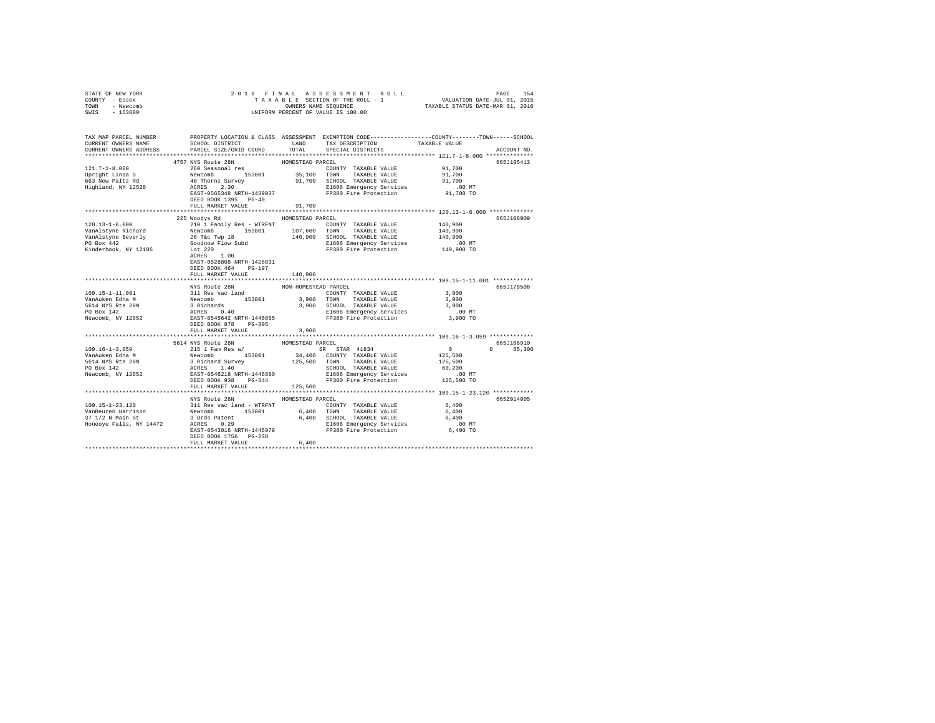| STATE OF NEW YORK<br>COUNTY - Essex<br>TOWN - Newcomb                                                                                                                                                                          |                           |                      |                                                        |                                                         |             |
|--------------------------------------------------------------------------------------------------------------------------------------------------------------------------------------------------------------------------------|---------------------------|----------------------|--------------------------------------------------------|---------------------------------------------------------|-------------|
| SWIS - 153800                                                                                                                                                                                                                  |                           |                      |                                                        |                                                         |             |
| TAX MAP PARCEL NUMBER PROPERTY LOCATION & CLASS ASSESSMENT EXEMPTION CODE--------------COUNTY-------TOWN-----SCHOOL                                                                                                            |                           |                      |                                                        |                                                         |             |
| CURRENT OWNERS NAME                                                                                                                                                                                                            | SCHOOL DISTRICT LAND      |                      | TAX DESCRIPTION                                        | TAXABLE VALUE                                           |             |
| CURRENT OWNERS ADDRESS                                                                                                                                                                                                         | PARCEL SIZE/GRID COORD    | TOTAL                | SPECIAL DISTRICTS                                      |                                                         | ACCOUNT NO. |
|                                                                                                                                                                                                                                | 4757 NYS Route 28N        | HOMESTEAD PARCEL     |                                                        |                                                         | 665J105413  |
| $121.7 - 1 - 8.000$                                                                                                                                                                                                            |                           |                      |                                                        |                                                         |             |
|                                                                                                                                                                                                                                |                           |                      |                                                        |                                                         |             |
| Upright Linda S<br>663 New Paltz Rd                                                                                                                                                                                            |                           |                      |                                                        |                                                         |             |
| Highland, NY 12528                                                                                                                                                                                                             |                           |                      |                                                        |                                                         |             |
|                                                                                                                                                                                                                                |                           |                      |                                                        |                                                         |             |
|                                                                                                                                                                                                                                |                           |                      |                                                        |                                                         |             |
|                                                                                                                                                                                                                                | FULL MARKET VALUE         | 91,700               |                                                        |                                                         |             |
|                                                                                                                                                                                                                                |                           |                      |                                                        |                                                         |             |
|                                                                                                                                                                                                                                | 225 Woodys Rd             | HOMESTEAD PARCEL     |                                                        |                                                         | 665J106909  |
|                                                                                                                                                                                                                                |                           |                      |                                                        |                                                         |             |
|                                                                                                                                                                                                                                |                           |                      |                                                        |                                                         |             |
|                                                                                                                                                                                                                                |                           |                      |                                                        |                                                         |             |
|                                                                                                                                                                                                                                |                           |                      |                                                        |                                                         |             |
|                                                                                                                                                                                                                                |                           |                      |                                                        |                                                         |             |
|                                                                                                                                                                                                                                | EAST-0528808 NRTH-1428831 |                      |                                                        |                                                         |             |
|                                                                                                                                                                                                                                | DEED BOOK 464 PG-197      |                      |                                                        |                                                         |             |
|                                                                                                                                                                                                                                | FULL MARKET VALUE         | 140,900              |                                                        |                                                         |             |
|                                                                                                                                                                                                                                |                           | *************        |                                                        | *************************** 109.15-1-11.001 *********** |             |
|                                                                                                                                                                                                                                | NYS Route 28N             | NON-HOMESTEAD PARCEL |                                                        |                                                         | 665J178508  |
|                                                                                                                                                                                                                                |                           |                      |                                                        | 3,900                                                   |             |
|                                                                                                                                                                                                                                |                           |                      |                                                        | 3,900                                                   |             |
|                                                                                                                                                                                                                                |                           |                      |                                                        | 3,900                                                   |             |
|                                                                                                                                                                                                                                |                           |                      |                                                        | $.00$ MT<br>3,900 TO                                    |             |
| 109.15-1-11.001<br>VARIE VALUE VALUE VALUE VALUE VALUE VALUE VALUE VALUE VALUE VALUE VALUE VALUE VALUE VALUE VALUE VALUE VALUE VALUE VALUE VALUE VALUE VALUE VALUE VALUE VALUE VALUE VALUE VALUE VALUE VALUE VALUE VALUE VALUE | DEED BOOK 878 PG-305      |                      |                                                        |                                                         |             |
|                                                                                                                                                                                                                                | FULL MARKET VALUE         | 3,900                |                                                        |                                                         |             |
|                                                                                                                                                                                                                                |                           |                      |                                                        |                                                         |             |
|                                                                                                                                                                                                                                | 5614 NYS Route 28N        | HOMESTEAD PARCEL     |                                                        |                                                         | 665J106910  |
| $109.16 - 1 - 3.059$                                                                                                                                                                                                           | 215 1 Fam Res w/          |                      | SR STAR 41834                                          | $\begin{array}{c} 0 \\ 125,500 \end{array}$             | 0 65,300    |
|                                                                                                                                                                                                                                |                           |                      |                                                        |                                                         |             |
|                                                                                                                                                                                                                                |                           |                      |                                                        | 125,500                                                 |             |
|                                                                                                                                                                                                                                |                           |                      | TOWN        TAXABLE  VALUE<br>SCHOOL    TAXABLE  VALUE |                                                         |             |
|                                                                                                                                                                                                                                |                           |                      |                                                        |                                                         |             |
|                                                                                                                                                                                                                                |                           |                      |                                                        |                                                         |             |
|                                                                                                                                                                                                                                | FULL MARKET VALUE         | 125,500              |                                                        |                                                         |             |
|                                                                                                                                                                                                                                |                           |                      |                                                        |                                                         |             |
|                                                                                                                                                                                                                                | NYS Route 28N             | HOMESTEAD PARCEL     |                                                        |                                                         | 665Z014005  |
|                                                                                                                                                                                                                                |                           |                      |                                                        |                                                         |             |
|                                                                                                                                                                                                                                |                           |                      |                                                        |                                                         |             |
|                                                                                                                                                                                                                                |                           |                      |                                                        |                                                         |             |
|                                                                                                                                                                                                                                |                           |                      |                                                        |                                                         |             |
|                                                                                                                                                                                                                                | DEED BOOK 1756 PG-238     |                      |                                                        |                                                         |             |
|                                                                                                                                                                                                                                | FULL MARKET VALUE         | 6,400                |                                                        |                                                         |             |
|                                                                                                                                                                                                                                |                           |                      |                                                        |                                                         |             |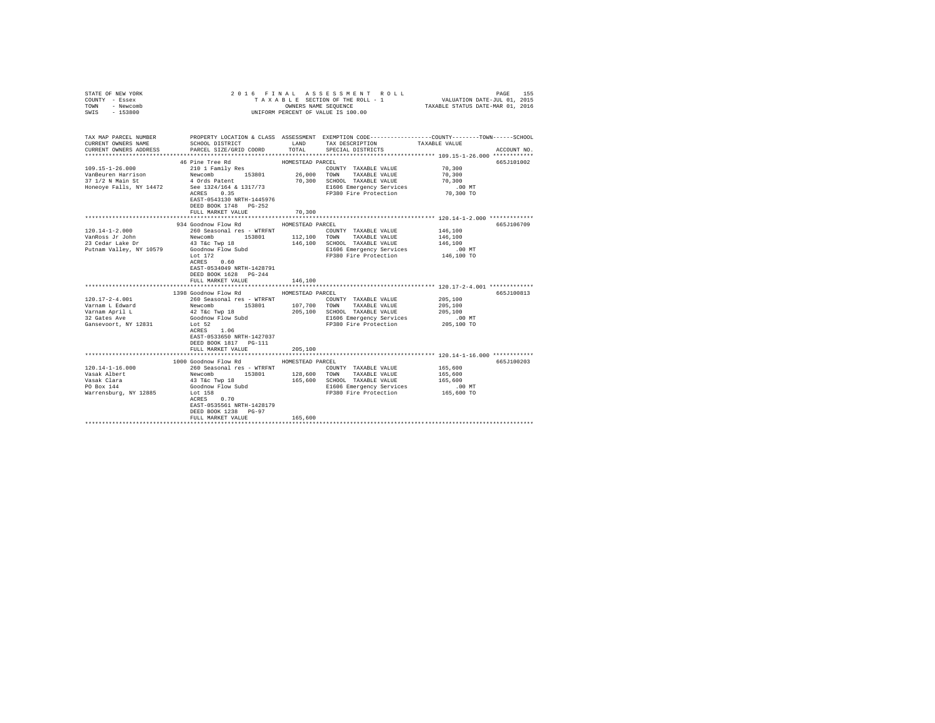| STATE OF NEW YORK<br>COUNTY - Essex<br>TOWN - Newcomb |                                                                                                            |                  | 2016 FINAL ASSESSMENT ROLL<br>TAXABLE SECTION OF THE ROLL - 1<br>OWNERS NAME SEQUENCE          | VALUATION DATE-JUL 01, 2015<br>TAXABLE STATUS DATE-MAR 01, 2016 | 155<br>PAGE |
|-------------------------------------------------------|------------------------------------------------------------------------------------------------------------|------------------|------------------------------------------------------------------------------------------------|-----------------------------------------------------------------|-------------|
| SWIS - 153800                                         |                                                                                                            |                  | UNIFORM PERCENT OF VALUE IS 100.00                                                             |                                                                 |             |
| TAX MAP PARCEL NUMBER                                 |                                                                                                            |                  | PROPERTY LOCATION & CLASS ASSESSMENT EXEMPTION CODE---------------COUNTY-------TOWN-----SCHOOL |                                                                 |             |
| CURRENT OWNERS NAME                                   | SCHOOL DISTRICT                                                                                            | LAND             | TAX DESCRIPTION                                                                                | TAXABLE VALUE                                                   |             |
| CURRENT OWNERS ADDRESS                                | PARCEL SIZE/GRID COORD                                                                                     | TOTAL            | SPECIAL DISTRICTS                                                                              |                                                                 | ACCOUNT NO. |
|                                                       | 46 Pine Tree Rd                                                                                            | HOMESTEAD PARCEL |                                                                                                |                                                                 | 665J101002  |
| $109.15 - 1 - 26.000$                                 | 210 1 Family Res                                                                                           |                  | COUNTY TAXABLE VALUE                                                                           | 70,300                                                          |             |
| VanBeuren Harrison                                    | Newcomb 153801 26,000 TOWN                                                                                 |                  | TAXABLE VALUE                                                                                  | 70,300                                                          |             |
| 37 1/2 N Main St                                      | 4 Ords Patent                                                                                              |                  | 70,300 SCHOOL TAXABLE VALUE                                                                    | 70,300                                                          |             |
| Honeoye Falls, NY 14472                               | See 1324/164 & 1317/73                                                                                     |                  | E1606 Emergency Services                                                                       | $.00$ MT                                                        |             |
|                                                       | ACRES 0.35                                                                                                 |                  | FP380 Fire Protection                                                                          | 70,300 TO                                                       |             |
|                                                       | EAST-0543130 NRTH-1445976                                                                                  |                  |                                                                                                |                                                                 |             |
|                                                       | DEED BOOK 1748 PG-252                                                                                      |                  |                                                                                                |                                                                 |             |
|                                                       | FULL MARKET VALUE                                                                                          | 70,300           |                                                                                                | *********************** 120.14-1-2.000 *************            |             |
|                                                       | 934 Goodnow Flow Rd                                                                                        | HOMESTEAD PARCEL |                                                                                                |                                                                 | 665J106709  |
| 120.14-1-2.000                                        | 260 Seasonal res - WTRFNT                                                                                  |                  | COUNTY TAXABLE VALUE                                                                           | 146,100                                                         |             |
| VanRoss Jr John                                       | Newcomb 153801                                                                                             |                  | 112,100 TOWN TAXABLE VALUE                                                                     | 146,100                                                         |             |
| 23 Cedar Lake Dr                                      | 43 T&c Twp 18                                                                                              |                  | 146,100 SCHOOL TAXABLE VALUE                                                                   | 146,100                                                         |             |
| Putnam Valley, NY 10579                               | Goodnow Flow Subd                                                                                          |                  | E1606 Emergency Services                                                                       | $.00$ MT                                                        |             |
|                                                       | Lot 172                                                                                                    |                  | FP380 Fire Protection                                                                          | 146,100 TO                                                      |             |
|                                                       | ACRES 0.60<br>EAST-0534049 NRTH-1428791                                                                    |                  |                                                                                                |                                                                 |             |
|                                                       | DEED BOOK 1628 PG-244                                                                                      |                  |                                                                                                |                                                                 |             |
|                                                       | FULL MARKET VALUE                                                                                          | 146,100          |                                                                                                |                                                                 |             |
|                                                       |                                                                                                            |                  |                                                                                                |                                                                 |             |
|                                                       | 1398 Goodnow Flow Rd                                                                                       | HOMESTEAD PARCEL |                                                                                                |                                                                 | 665J100813  |
| $120.17 - 2 - 4.001$                                  |                                                                                                            |                  | COUNTY TAXABLE VALUE                                                                           | 205,100                                                         |             |
| Varnam L Edward                                       |                                                                                                            |                  | 107.700 TOWN TAXABLE VALUE                                                                     | 205,100                                                         |             |
| Varnam April L<br>22 Cates Ave                        |                                                                                                            |                  | 205,100 SCHOOL TAXABLE VALUE                                                                   | 205,100                                                         |             |
| 32 Gates Ave<br>Gansevoort, NY 12831                  | 260 Seasonal res - WTRFNT<br>Newcomb 153801 107,700<br>42 Tác Twp 18<br>Codnow Flow Subd 205,100<br>Lot 52 |                  | E1606 Emergency Services<br>FP380 Fire Protection                                              | .00 MT<br>205,100 TO                                            |             |
|                                                       | ACRES 1.06                                                                                                 |                  |                                                                                                |                                                                 |             |
|                                                       | EAST-0533650 NRTH-1427037                                                                                  |                  |                                                                                                |                                                                 |             |
|                                                       | DEED BOOK 1817    PG-111                                                                                   |                  |                                                                                                |                                                                 |             |
|                                                       | FULL MARKET VALUE                                                                                          | 205,100          |                                                                                                |                                                                 |             |
|                                                       |                                                                                                            |                  |                                                                                                |                                                                 |             |
|                                                       | 1000 Goodnow Flow Rd                                                                                       | HOMESTEAD PARCEL |                                                                                                |                                                                 | 665J100203  |
| $120.14 - 1 - 16.000$<br>Vasak Albert                 | 260 Seasonal res - WTRFNT<br>Newcomb 153801                                                                | 128,600          | COUNTY TAXABLE VALUE<br>TOWN<br>TAXABLE VALUE                                                  | 165,600<br>165,600                                              |             |
| Vasak Clara                                           | 43 T&C Twp 18                                                                                              |                  | 165,600 SCHOOL TAXABLE VALUE                                                                   | 165,600                                                         |             |
| PO Box 144                                            |                                                                                                            |                  | E1606 Emergency Services                                                                       | $.00$ MT                                                        |             |
| Warrensburg, NY 12885 Lot 158                         | Goodnow Flow Subd<br>Lot 158                                                                               |                  | FP380 Fire Protection 165,600 TO                                                               |                                                                 |             |
|                                                       | $ACRES$ 0.70                                                                                               |                  |                                                                                                |                                                                 |             |
|                                                       | EAST-0535561 NRTH-1428179                                                                                  |                  |                                                                                                |                                                                 |             |
|                                                       | DEED BOOK 1238 PG-97                                                                                       |                  |                                                                                                |                                                                 |             |
|                                                       | FULL MARKET VALUE                                                                                          | 165,600          |                                                                                                |                                                                 |             |
|                                                       |                                                                                                            |                  |                                                                                                |                                                                 |             |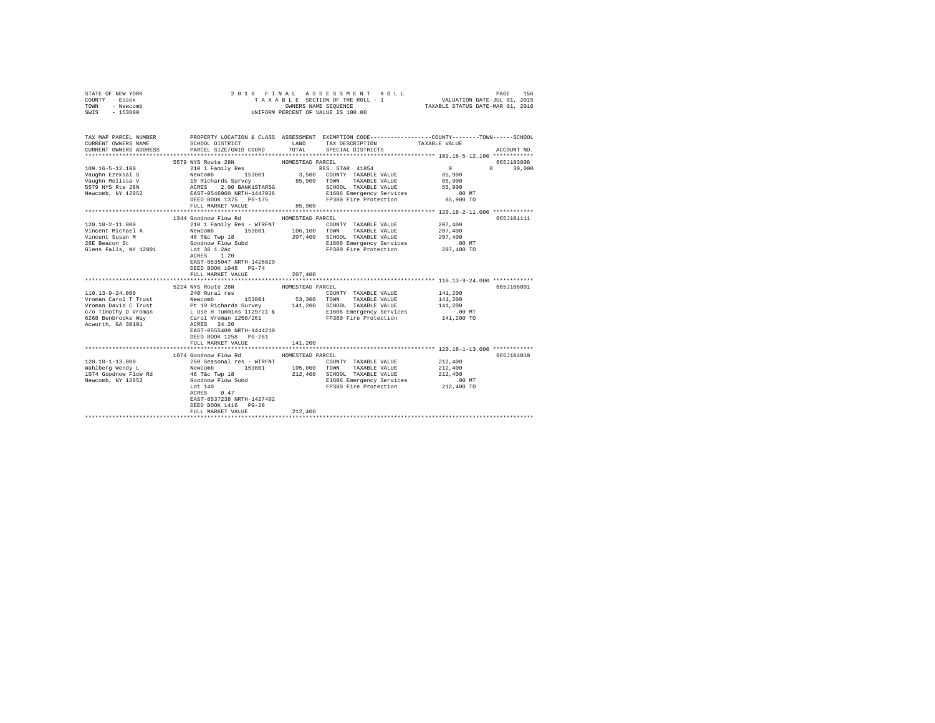| STATE OF NEW YORK<br>COUNTY - Essex<br>TOWN - Newcomb<br>SWIS - 153800                            |                                                                                                                                                                                                                                                              | 2016 FINAL ASSESSMENT ROLL<br>UNIFORM PERCENT OF VALUE IS 100.00                                                                                                                                                                         |                                                                                                |
|---------------------------------------------------------------------------------------------------|--------------------------------------------------------------------------------------------------------------------------------------------------------------------------------------------------------------------------------------------------------------|------------------------------------------------------------------------------------------------------------------------------------------------------------------------------------------------------------------------------------------|------------------------------------------------------------------------------------------------|
| CURRENT OWNERS NAME                                                                               |                                                                                                                                                                                                                                                              | TAX MAP PARCEL NUMBER PROPERTY LOCATION & CLASS ASSESSMENT EXEMPTION CODE--------------COUNTY-------TOWN-----SCHOOL<br>SCHOOL DISTRICT TAND TAX DESCRIPTION<br>CURRENT OWNERS ADDRESS 6 PARCEL SIZE/GRID COORD 6 TOTAL SPECIAL DISTRICTS | TAXABLE VALUE<br>ACCOUNT NO.                                                                   |
| 109.16-5-12.100<br>Vaughn Ezekial S<br>Vaughn Melissa V<br>5579 NYS Rte 28N<br>Newcomb, NY 12852  | 5579 NYS Route 28N<br>210 1 Family Res                                                                                                                                                                                                                       | HOMESTEAD PARCEL<br>RES. STAR 41854                                                                                                                                                                                                      | 665J103808<br>$\sim$ 0<br>$0 \t 30,000$<br>85,900<br>85,900<br>55,900<br>$.00$ MT<br>85,900 TO |
|                                                                                                   | FULL MARKET VALUE                                                                                                                                                                                                                                            | 85,900                                                                                                                                                                                                                                   |                                                                                                |
| 120.18-2-11.000<br>Vincent Michael A<br>Vincent Susan M<br>26E Beacon St<br>Glens Falls, NY 12801 | 1344 Goodnow Flow Rd<br>46 T&c Twp 18<br>Goodnow Flow Subd<br>Lot 38 1.2Ac<br>ACRES 1.20<br>EAST-0535047 NRTH-1426829<br>DEED BOOK 1046 PG-74<br>FULL MARKET VALUE                                                                                           | HOMESTEAD PARCEL<br>COUNTY TAXABLE VALUE<br>207,400 SCHOOL TAXABLE VALUE<br>E1606 Emergency Services<br>FP380 Fire Protection<br>207,400                                                                                                 | 665J101111<br>207,400<br>207,400<br>207,400<br>. 00 MT<br>207,400 TO                           |
| 110.13-9-24.000                                                                                   | 5224 NYS Route 28N<br>240 Rural res<br>EAST-0555409 NRTH-1444210<br>DEED BOOK 1258 PG-261<br>FULL MARKET VALUE                                                                                                                                               | HOMESTEAD PARCEL<br>COUNTY TAXABLE VALUE<br>53,300 TOWN TAXABLE VALUE<br>141,200 SCHOOL TAXABLE VALUE<br>E1606 Emergency Services<br>FP380 Fire Protection<br>141,200                                                                    | 665J106801<br>141,200<br>141,200<br>141,200<br>$.00$ MT<br>141,200 TO                          |
| $120.18 - 1 - 13.000$<br>Wahlberg Wendy L                                                         | 1074 Goodnow Flow Rd<br>260 Seasonal res - WTRFNT<br>wanter when the community of the Tac Twp 18<br>1074 Goodnow Flow Rd<br>Newcomb, NY 12852<br>Coodnow Flow Subd<br>$ACRES$ 0.47<br>EAST-0537238 NRTH-1427492<br>DEED BOOK 1416 PG-28<br>FULL MARKET VALUE | HOMESTEAD PARCEL<br>COUNTY TAXABLE VALUE<br>Newcomb 153801 105,000 TOWN TAXABLE VALUE<br>212,400 SCHOOL TAXABLE VALUE<br>E1606 Emergency Services<br>FP380 Fire Protection 212,400 TO<br>212,400                                         | 665J104010<br>212,400<br>212,400<br>212,400<br>.00 MT                                          |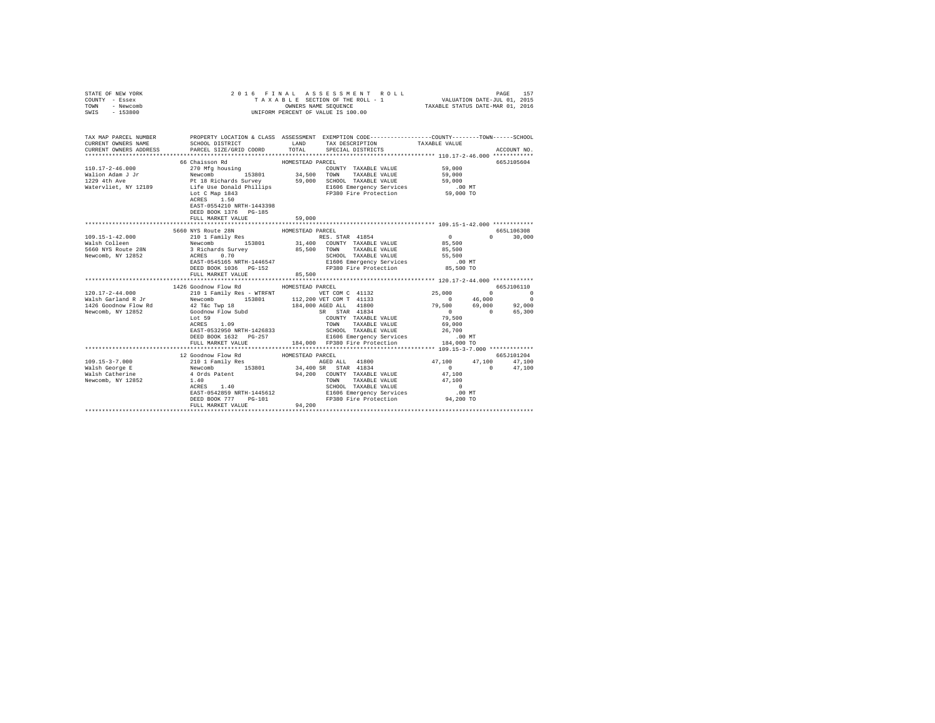| STATE OF NEW YORK<br>COUNTY - Essex<br>TOWN - Newcomb<br>SWIS - 153800 |                                                              | 2016 FINAL ASSESSMENT R<br>TAXABLE SECTION OF THE ROLL - 1<br>ONNERS NAME SEQUENCE<br>UNIFORM PERCENT OF VALUE IS 100.00<br>2016 FINAL ASSESSMENT ROLL                                        | 6 FINAL ASSESSMENT ROLL (AND TRAIN PAGE 157 )<br>TAXABLE SECTION OF THE ROLL - 1 VALUATION DATE-JUL 01, 2015<br>OWNERS NAME SEQUENCE  TAXABLE STATUS DATE-MAR 01, 2016 |
|------------------------------------------------------------------------|--------------------------------------------------------------|-----------------------------------------------------------------------------------------------------------------------------------------------------------------------------------------------|------------------------------------------------------------------------------------------------------------------------------------------------------------------------|
|                                                                        |                                                              |                                                                                                                                                                                               | TAX MAP PARCEL NUMBER PROPERTY LOCATION & CLASS ASSESSMENT EXEMPTION CODE--------------COUNTY-------TOWN-----SCHOOL<br>TAXABLE VALUE<br>ACCOUNT NO.                    |
|                                                                        | 66 Chaisson Rd<br>DEED BOOK 1376 PG-185<br>FULL MARKET VALUE | HOMESTEAD PARCEL<br>59,000                                                                                                                                                                    | 665J105604                                                                                                                                                             |
|                                                                        |                                                              |                                                                                                                                                                                               |                                                                                                                                                                        |
|                                                                        | 5660 NYS Route 28N                                           | HOMESTEAD PARCEL                                                                                                                                                                              | 665L106308                                                                                                                                                             |
|                                                                        | FULL MARKET VALUE                                            | 85,500                                                                                                                                                                                        | $0 \t30,000$                                                                                                                                                           |
|                                                                        |                                                              | ACKES 1.09<br>EAST-0532950 NRTH-1426833 SCHOOL TAXABLE VALUE 26,700<br>DEED BOOK 1632 PG-257 - E1606 Emergency Services 1.00 MT<br>FULL MARKET VALUE 184,000 FP380 Fire Protection 184,000 TO |                                                                                                                                                                        |
|                                                                        |                                                              |                                                                                                                                                                                               | 665J101204<br>47,100 17,100 17,100 17,100 17,100<br>34,400 SR STAR 41834 100 17,100 0 47,100<br>94,200 COUNTY TAXABLE VALUE 1 0 47,100 0 47,100                        |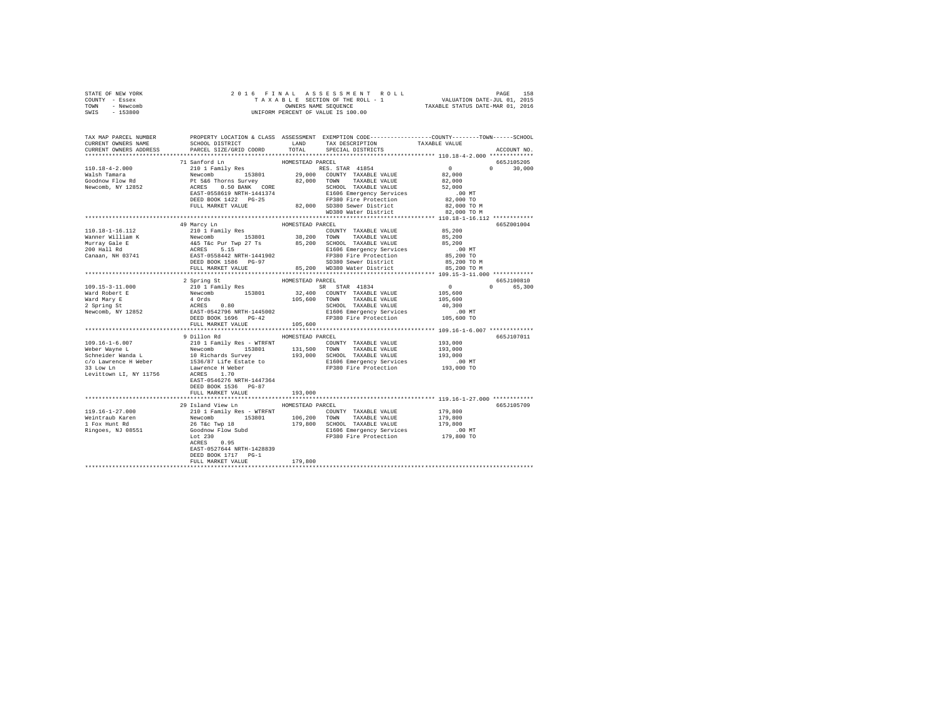| STATE OF NEW YORK | 2016 FINAL ASSESSMENT ROLL         | 158<br>PAGE                      |
|-------------------|------------------------------------|----------------------------------|
| COUNTY - Essex    | TAXABLE SECTION OF THE ROLL - 1    | VALUATION DATE-JUL 01, 2015      |
| TOWN<br>- Newcomb | OWNERS NAME SEOUENCE               | TAXABLE STATUS DATE-MAR 01, 2016 |
| $-153800$<br>SWIS | UNIFORM PERCENT OF VALUE IS 100.00 |                                  |

| TAX MAP PARCEL NUMBER<br>CURRENT OWNERS NAME | PROPERTY LOCATION & CLASS ASSESSMENT EXEMPTION CODE---------------COUNTY-------TOWN-----SCHOOL<br>SCHOOL DISTRICT                                                                                                                            | LAND             | TAX DESCRIPTION                                                                                                | TAXABLE VALUE            |                                 |
|----------------------------------------------|----------------------------------------------------------------------------------------------------------------------------------------------------------------------------------------------------------------------------------------------|------------------|----------------------------------------------------------------------------------------------------------------|--------------------------|---------------------------------|
| CURRENT OWNERS ADDRESS                       | PARCEL SIZE/GRID COORD                                                                                                                                                                                                                       |                  | TOTAL SPECIAL DISTRICTS                                                                                        |                          | ACCOUNT NO.                     |
|                                              |                                                                                                                                                                                                                                              |                  |                                                                                                                |                          |                                 |
|                                              | 71 Sanford Ln                                                                                                                                                                                                                                | HOMESTEAD PARCEL |                                                                                                                | $\sim$ 0                 | 665J105205                      |
| 110.18-4-2.000                               | 210 1 Family Res (2000)<br>Newcomb 153801 29,000<br>Pt 5&6 Thorns Survey 22,000<br>ACRES 0.50 BANK CORE 22,000<br>EAST-0558619 NRTH-1441374                                                                                                  |                  | RES. STAR 41854                                                                                                |                          | $\Omega$ and $\Omega$<br>30,000 |
| Walsh Tamara                                 |                                                                                                                                                                                                                                              |                  | 29,000 COUNTY TAXABLE VALUE                                                                                    | $8\,2$ , $0\,0\,0$       |                                 |
| Goodnow Flow Rd                              |                                                                                                                                                                                                                                              |                  | 82,000 TOWN TAXABLE VALUE                                                                                      | 82,000                   |                                 |
| Newcomb, NY 12852                            |                                                                                                                                                                                                                                              |                  | SCHOOL TAXABLE VALUE                                                                                           | 52,000                   |                                 |
|                                              |                                                                                                                                                                                                                                              |                  | E1606 Emergency Services                                                                                       | .00MT                    |                                 |
|                                              | DEED BOOK 1422 PG-25                                                                                                                                                                                                                         |                  |                                                                                                                |                          |                                 |
|                                              | FULL MARKET VALUE                                                                                                                                                                                                                            |                  | PP380 Fire Protection 62,000 TO<br>82,000 SD380 Sever District 82,000 TO M<br>WD380 Water District 82,000 TO M |                          |                                 |
|                                              |                                                                                                                                                                                                                                              |                  |                                                                                                                |                          |                                 |
|                                              |                                                                                                                                                                                                                                              |                  |                                                                                                                |                          |                                 |
|                                              | 49 Marcy Ln                                                                                                                                                                                                                                  | HOMESTEAD PARCEL |                                                                                                                |                          | 665Z001004                      |
| 110.18-1-16.112                              | 210 1 Family Res                                                                                                                                                                                                                             |                  | COUNTY TAXABLE VALUE                                                                                           | 85,200                   |                                 |
| Wanner William K                             |                                                                                                                                                                                                                                              |                  | 38,200 TOWN TAXABLE VALUE<br>85,200 SCHOOL TAXABLE VALUE                                                       | 85,200                   |                                 |
|                                              |                                                                                                                                                                                                                                              |                  |                                                                                                                | 85,200                   |                                 |
|                                              |                                                                                                                                                                                                                                              |                  | E1606 Emergency Services<br>FP380 Fire Protection                                                              | $.00$ MT                 |                                 |
|                                              |                                                                                                                                                                                                                                              |                  |                                                                                                                | 85,200 TO<br>85,200 TO M |                                 |
|                                              |                                                                                                                                                                                                                                              |                  | SD380 Sewer District                                                                                           |                          |                                 |
|                                              | FULL MARKET VALUE                                                                                                                                                                                                                            |                  | 85.200 WD380 Water District                                                                                    | 85,200 TO M              |                                 |
|                                              |                                                                                                                                                                                                                                              |                  |                                                                                                                |                          |                                 |
|                                              | 2 Spring St                                                                                                                                                                                                                                  | HOMESTEAD PARCEL |                                                                                                                |                          | 665J100810                      |
| 109.15-3-11.000                              | 2012119 1011 1288<br>210 1 Family Res<br>Newcomb 153801 212,400<br>4 Ords 0.80<br>EAST-0542796 NRTH-1445002                                                                                                                                  |                  | SR STAR 41834<br>32,400 COUNTY TAXABLE VALUE                                                                   | $\overline{0}$           | 65,300<br>$\Omega$              |
| Ward Robert E                                |                                                                                                                                                                                                                                              |                  |                                                                                                                | 105,600                  |                                 |
| Ward Mary E                                  |                                                                                                                                                                                                                                              |                  | 105,600 TOWN TAXABLE VALUE                                                                                     | 105,600                  |                                 |
| 2 Spring St<br>Newcomb, NY 12852             |                                                                                                                                                                                                                                              |                  | SCHOOL TAXABLE VALUE                                                                                           | 40,300                   |                                 |
|                                              |                                                                                                                                                                                                                                              |                  | E1606 Emergency Services                                                                                       | $.00$ MT                 |                                 |
|                                              | DEED BOOK 1696 PG-42                                                                                                                                                                                                                         |                  | FP380 Fire Protection 105,600 TO                                                                               |                          |                                 |
|                                              | FULL MARKET VALUE                                                                                                                                                                                                                            | 105,600          |                                                                                                                |                          |                                 |
|                                              |                                                                                                                                                                                                                                              |                  |                                                                                                                |                          |                                 |
|                                              | 9 Dillon Rd                                                                                                                                                                                                                                  | HOMESTEAD PARCEL |                                                                                                                |                          | 665J107011                      |
| $109.16 - 1 - 6.007$                         | 210 1 Family Res - WTRFNT                                                                                                                                                                                                                    |                  | COUNTY TAXABLE VALUE 193,000                                                                                   |                          |                                 |
|                                              |                                                                                                                                                                                                                                              |                  |                                                                                                                | 193,000                  |                                 |
|                                              |                                                                                                                                                                                                                                              |                  |                                                                                                                | 193,000                  |                                 |
|                                              |                                                                                                                                                                                                                                              |                  |                                                                                                                | .00 MT                   |                                 |
|                                              |                                                                                                                                                                                                                                              |                  | FP380 Fire Protection                                                                                          | 193,000 TO               |                                 |
|                                              |                                                                                                                                                                                                                                              |                  |                                                                                                                |                          |                                 |
|                                              | EAST-0546276 NRTH-1447364                                                                                                                                                                                                                    |                  |                                                                                                                |                          |                                 |
|                                              | DEED BOOK 1536 PG-87                                                                                                                                                                                                                         |                  |                                                                                                                |                          |                                 |
|                                              | FULL MARKET VALUE                                                                                                                                                                                                                            | 193,000          |                                                                                                                |                          |                                 |
|                                              |                                                                                                                                                                                                                                              |                  |                                                                                                                |                          |                                 |
|                                              | 29 Island View Ln                                                                                                                                                                                                                            | HOMESTEAD PARCEL |                                                                                                                |                          | 665J105709                      |
| 119.16-1-27.000                              | 21 SIMM VERSION TRINSPORTED TO THE MORE COUNTY TAXABLE VALUE<br>2010 1 Family Res - WTRFNT<br>26 Téc Twp 18 179,800 TONN TAXABLE VALUE<br>26 Téc Twp 18 179,800 SCHOOL TAXABLE VALUE<br>1000 El606 Emergency Service<br>1000 El606 Emergency |                  |                                                                                                                | 179,800                  |                                 |
| Weintraub Karen                              |                                                                                                                                                                                                                                              |                  |                                                                                                                |                          |                                 |
| 1 Fox Hunt Rd                                |                                                                                                                                                                                                                                              |                  | 179,800 SCHOOL TAXABLE VALUE                                                                                   | 179,800<br>179,800       |                                 |
| Ringoes, NJ 08551                            |                                                                                                                                                                                                                                              |                  |                                                                                                                |                          |                                 |
|                                              |                                                                                                                                                                                                                                              |                  | El606 Emergency Services .00 MT<br>FP380 Fire Protection 179,800 TO                                            |                          |                                 |
|                                              |                                                                                                                                                                                                                                              |                  |                                                                                                                |                          |                                 |
|                                              | EAST-0527644 NRTH-1428839                                                                                                                                                                                                                    |                  |                                                                                                                |                          |                                 |
|                                              | DEED BOOK 1717 PG-1                                                                                                                                                                                                                          |                  |                                                                                                                |                          |                                 |
|                                              | FULL MARKET VALUE                                                                                                                                                                                                                            | 179,800          |                                                                                                                |                          |                                 |
|                                              |                                                                                                                                                                                                                                              |                  |                                                                                                                |                          |                                 |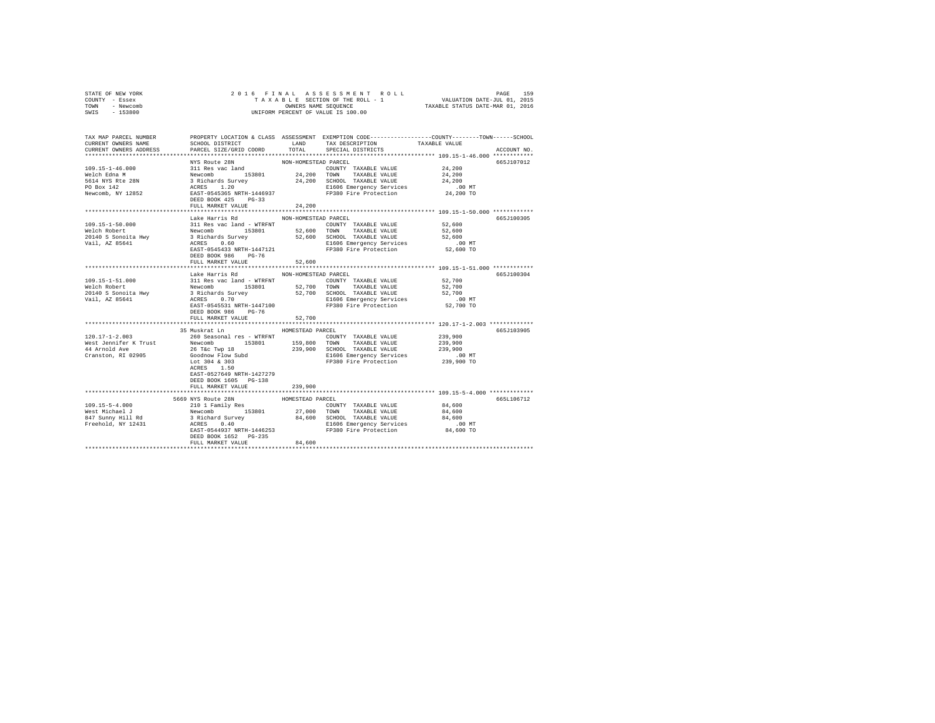|      | STATE OF NEW YORK | 2016 FINAL ASSESSMENT ROLL         | PAGE                             | 159 |
|------|-------------------|------------------------------------|----------------------------------|-----|
|      | COUNTY - Essex    | TAXABLE SECTION OF THE ROLL - 1    | VALUATION DATE-JUL 01, 2015      |     |
| TOWN | - Newcomb         | OWNERS NAME SEOUENCE               | TAXABLE STATUS DATE-MAR 01, 2016 |     |
| SWIS | - 153800          | UNIFORM PERCENT OF VALUE IS 100.00 |                                  |     |
|      |                   |                                    |                                  |     |

| TAX MAP PARCEL NUMBER  |                                                  |                      | PROPERTY LOCATION & CLASS ASSESSMENT EXEMPTION CODE---------------COUNTY-------TOWN------SCHOOL                                                                                                                                                                         |                                                                   |
|------------------------|--------------------------------------------------|----------------------|-------------------------------------------------------------------------------------------------------------------------------------------------------------------------------------------------------------------------------------------------------------------------|-------------------------------------------------------------------|
| CURRENT OWNERS NAME    | SCHOOL DISTRICT                                  | LAND                 | TAX DESCRIPTION                                                                                                                                                                                                                                                         | TAXABLE VALUE                                                     |
| CURRENT OWNERS ADDRESS | PARCEL SIZE/GRID COORD TOTAL                     |                      | SPECIAL DISTRICTS                                                                                                                                                                                                                                                       | ACCOUNT NO.                                                       |
|                        |                                                  |                      |                                                                                                                                                                                                                                                                         |                                                                   |
|                        | NYS Route 28N                                    | NON-HOMESTEAD PARCEL |                                                                                                                                                                                                                                                                         | 665J107012                                                        |
| $109.15 - 1 - 46.000$  |                                                  |                      | COUNTY TAXABLE VALUE 24,200<br>21 Res vac land<br>Mewcomb 153801 24,200 TONIY TAXABLE VALUE<br>3 Richards Survey 24,200 TONIY TAXABLE VALUE<br>3 Richards Survey 24,200 SCHOOL TAXABLE VALUE<br>ACRES 1.200 ECHOOL TAXABLE VALUE<br>RAST-0545365 NRTH-1446937 PP380 Fir |                                                                   |
| Welch Edna M           |                                                  |                      |                                                                                                                                                                                                                                                                         | 24,200                                                            |
| 5614 NYS Rte 28N       |                                                  |                      |                                                                                                                                                                                                                                                                         | 24,200                                                            |
| PO Box 142             |                                                  |                      | E1606 Emergency Services .00 MT<br>FP380 Fire Protection 24,200 TO                                                                                                                                                                                                      |                                                                   |
| Newcomb, NY 12852      |                                                  |                      |                                                                                                                                                                                                                                                                         |                                                                   |
|                        |                                                  |                      |                                                                                                                                                                                                                                                                         |                                                                   |
|                        | FULL MARKET VALUE                                | 24,200               |                                                                                                                                                                                                                                                                         |                                                                   |
|                        |                                                  |                      |                                                                                                                                                                                                                                                                         |                                                                   |
|                        | Lake Harris Rd MON-HOMESTEAD PARCEL              |                      |                                                                                                                                                                                                                                                                         | 665J100305                                                        |
|                        |                                                  |                      |                                                                                                                                                                                                                                                                         |                                                                   |
|                        |                                                  |                      |                                                                                                                                                                                                                                                                         | 52,600<br>52,600                                                  |
|                        |                                                  |                      |                                                                                                                                                                                                                                                                         |                                                                   |
|                        |                                                  |                      |                                                                                                                                                                                                                                                                         | 52,600                                                            |
|                        |                                                  |                      |                                                                                                                                                                                                                                                                         | .00 MT                                                            |
|                        |                                                  |                      | FP380 Fire Protection 52,600 TO                                                                                                                                                                                                                                         |                                                                   |
|                        | DEED BOOK 986 PG-76                              |                      |                                                                                                                                                                                                                                                                         |                                                                   |
|                        | FULL MARKET VALUE                                | 52,600               |                                                                                                                                                                                                                                                                         |                                                                   |
|                        |                                                  |                      |                                                                                                                                                                                                                                                                         |                                                                   |
|                        | Lake Harris Rd                                   | NON-HOMESTEAD PARCEL |                                                                                                                                                                                                                                                                         | 665J100304                                                        |
|                        |                                                  |                      |                                                                                                                                                                                                                                                                         |                                                                   |
|                        |                                                  |                      |                                                                                                                                                                                                                                                                         |                                                                   |
|                        |                                                  |                      |                                                                                                                                                                                                                                                                         |                                                                   |
| Vail, AZ 85641         |                                                  |                      |                                                                                                                                                                                                                                                                         | $.00$ MT                                                          |
|                        |                                                  |                      | FP380 Fire Protection 52,700 TO                                                                                                                                                                                                                                         |                                                                   |
|                        | EAST-0545531 NRTH-1447100<br>DEED BOOK 986 PG-76 |                      |                                                                                                                                                                                                                                                                         |                                                                   |
|                        | FULL MARKET VALUE                                | 52,700               |                                                                                                                                                                                                                                                                         |                                                                   |
|                        |                                                  |                      |                                                                                                                                                                                                                                                                         | ************************************ 120.17-1-2.003 ************* |
|                        | 35 Muskrat Ln                                    | HOMESTEAD PARCEL     |                                                                                                                                                                                                                                                                         | 665J103905                                                        |
|                        |                                                  |                      |                                                                                                                                                                                                                                                                         |                                                                   |
|                        |                                                  |                      |                                                                                                                                                                                                                                                                         |                                                                   |
|                        |                                                  |                      |                                                                                                                                                                                                                                                                         |                                                                   |
|                        |                                                  |                      |                                                                                                                                                                                                                                                                         |                                                                   |
|                        |                                                  |                      |                                                                                                                                                                                                                                                                         |                                                                   |
|                        |                                                  |                      |                                                                                                                                                                                                                                                                         |                                                                   |
|                        | ACRES 1.50                                       |                      |                                                                                                                                                                                                                                                                         |                                                                   |
|                        | EAST-0527649 NRTH-1427279                        |                      |                                                                                                                                                                                                                                                                         |                                                                   |
|                        | DEED BOOK 1605 PG-138                            |                      |                                                                                                                                                                                                                                                                         |                                                                   |
|                        | FULL MARKET VALUE                                | 239,900              |                                                                                                                                                                                                                                                                         |                                                                   |
|                        |                                                  |                      |                                                                                                                                                                                                                                                                         |                                                                   |
|                        | 5669 NYS Route 28N                               | HOMESTEAD PARCEL     |                                                                                                                                                                                                                                                                         | 665L106712                                                        |
|                        |                                                  |                      |                                                                                                                                                                                                                                                                         | 84,600                                                            |
|                        |                                                  |                      |                                                                                                                                                                                                                                                                         | 84,600                                                            |
|                        |                                                  |                      |                                                                                                                                                                                                                                                                         | 84,600                                                            |
|                        |                                                  |                      | E1606 Emergency Services .00 MT                                                                                                                                                                                                                                         |                                                                   |
|                        |                                                  |                      |                                                                                                                                                                                                                                                                         | 84,600 TO                                                         |
|                        | DEED BOOK 1652 PG-235                            |                      |                                                                                                                                                                                                                                                                         |                                                                   |
|                        |                                                  | 84,600               |                                                                                                                                                                                                                                                                         |                                                                   |
|                        |                                                  |                      |                                                                                                                                                                                                                                                                         |                                                                   |
|                        |                                                  |                      |                                                                                                                                                                                                                                                                         |                                                                   |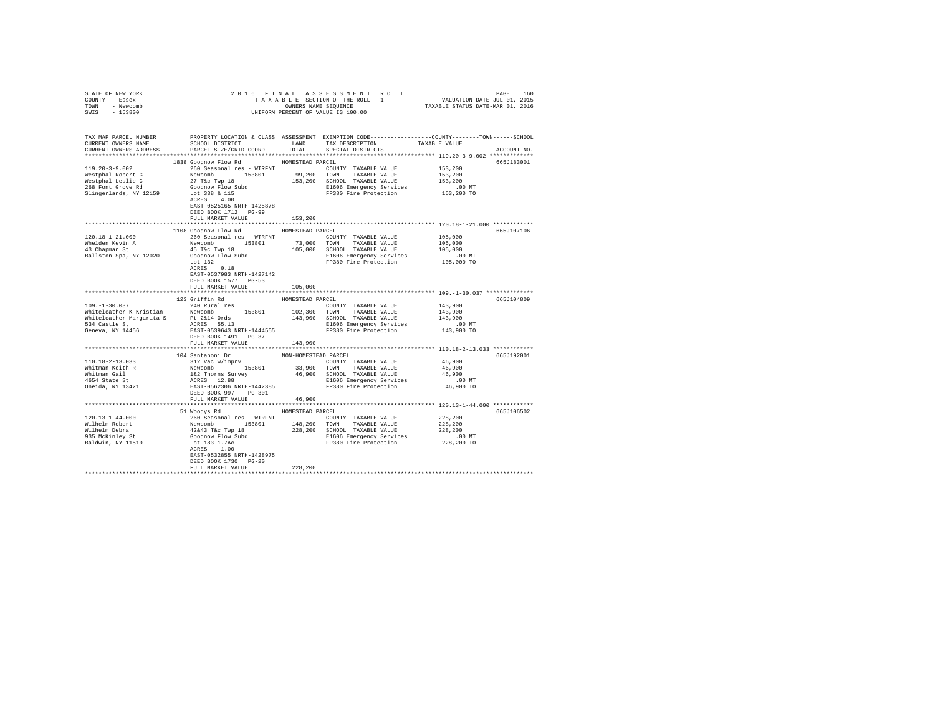| STATE OF NEW YORK<br>COUNTY - Essex                                                                                                                                                                                                              |                                                                                                                                                                                                      |                  | 2016 FINAL ASSESSMENT ROLL PACE 160<br>TAXABLE SECTION OF THE ROLL - 1 VALUATION DATE-JUL 01, 2015<br>OWNERS NAME SEQUENCE TAXABLE STATUS DATE-MAR 01, 2016<br>UNIFORM PERCENT OF VALUE IS 100.00 |                    |             |
|--------------------------------------------------------------------------------------------------------------------------------------------------------------------------------------------------------------------------------------------------|------------------------------------------------------------------------------------------------------------------------------------------------------------------------------------------------------|------------------|---------------------------------------------------------------------------------------------------------------------------------------------------------------------------------------------------|--------------------|-------------|
| TOWN - Newcomb                                                                                                                                                                                                                                   |                                                                                                                                                                                                      |                  |                                                                                                                                                                                                   |                    |             |
| SWIS - 153800                                                                                                                                                                                                                                    |                                                                                                                                                                                                      |                  |                                                                                                                                                                                                   |                    |             |
|                                                                                                                                                                                                                                                  |                                                                                                                                                                                                      |                  |                                                                                                                                                                                                   |                    |             |
|                                                                                                                                                                                                                                                  |                                                                                                                                                                                                      |                  |                                                                                                                                                                                                   |                    |             |
|                                                                                                                                                                                                                                                  |                                                                                                                                                                                                      |                  |                                                                                                                                                                                                   |                    |             |
| TAX MAP PARCEL NUMBER PROPERTY LOCATION & CLASS ASSESSMENT EXEMPTION CODE---------------COUNTY-------TOWN------SCHOOL<br>CURRENT OWNERS NAME SCHOOL DISTRICT LAND TAX DESCRIPTION TAXABLE VALUE                                                  |                                                                                                                                                                                                      |                  |                                                                                                                                                                                                   |                    |             |
|                                                                                                                                                                                                                                                  |                                                                                                                                                                                                      |                  |                                                                                                                                                                                                   |                    |             |
| CURRENT OWNERS ADDRESS PARCEL SIZE/GRID COORD TOTAL SPECIAL DISTRICTS                                                                                                                                                                            |                                                                                                                                                                                                      |                  |                                                                                                                                                                                                   |                    | ACCOUNT NO. |
|                                                                                                                                                                                                                                                  |                                                                                                                                                                                                      |                  |                                                                                                                                                                                                   |                    |             |
|                                                                                                                                                                                                                                                  | 1838 Goodnow Flow Rd MOMESTEAD PARCEL                                                                                                                                                                |                  |                                                                                                                                                                                                   |                    | 665J183001  |
| 119.20-3-9.002                                                                                                                                                                                                                                   | 260 Seasonal res - WTRFNT               COUNTY TAXABLE VALUE                                                                                                                                         |                  |                                                                                                                                                                                                   | 153,200            |             |
|                                                                                                                                                                                                                                                  |                                                                                                                                                                                                      |                  |                                                                                                                                                                                                   | 153,200            |             |
|                                                                                                                                                                                                                                                  |                                                                                                                                                                                                      |                  |                                                                                                                                                                                                   | 153,200            |             |
|                                                                                                                                                                                                                                                  |                                                                                                                                                                                                      |                  |                                                                                                                                                                                                   | .00MT              |             |
| 119.402-5-3.002<br>Mestphal Robert G<br>Mestphal Robert G<br>27 Tex Tex Novemb 153,200 TOWN TAXABLE VALUE<br>Newtophal Lealist G<br>27 Tex Novemb 153,200 TOWN TAXABLE VALUE<br>266 Font Grove Rd<br>266 Font Grove Rd<br>266 Font Grove Rd<br>2 |                                                                                                                                                                                                      |                  |                                                                                                                                                                                                   | 153,200 TO         |             |
|                                                                                                                                                                                                                                                  |                                                                                                                                                                                                      |                  |                                                                                                                                                                                                   |                    |             |
|                                                                                                                                                                                                                                                  | EAST-0525165 NRTH-1425878                                                                                                                                                                            |                  |                                                                                                                                                                                                   |                    |             |
|                                                                                                                                                                                                                                                  | DEED BOOK 1712 PG-99                                                                                                                                                                                 |                  |                                                                                                                                                                                                   |                    |             |
|                                                                                                                                                                                                                                                  | FULL MARKET VALUE                                                                                                                                                                                    | 153,200          |                                                                                                                                                                                                   |                    |             |
|                                                                                                                                                                                                                                                  |                                                                                                                                                                                                      |                  |                                                                                                                                                                                                   |                    |             |
|                                                                                                                                                                                                                                                  | 1108 Goodnow Flow Rd MOMESTEAD PARCEL                                                                                                                                                                |                  |                                                                                                                                                                                                   |                    | 665J107106  |
| 120.18-1-21.000                                                                                                                                                                                                                                  | 260 Seasonal res - WTRFNT                                                                                                                                                                            |                  | COUNTY TAXABLE VALUE                                                                                                                                                                              |                    |             |
|                                                                                                                                                                                                                                                  |                                                                                                                                                                                                      |                  |                                                                                                                                                                                                   | 105,000<br>105,000 |             |
| Whelden Kevin A<br>43 Chapman St                                                                                                                                                                                                                 |                                                                                                                                                                                                      |                  |                                                                                                                                                                                                   | 105,000            |             |
| Ballston Spa, NY 12020                                                                                                                                                                                                                           |                                                                                                                                                                                                      |                  |                                                                                                                                                                                                   |                    |             |
|                                                                                                                                                                                                                                                  | No Seasonal res – wikiwi<br>Newcomb 153801 73,000 TOWN TAXABLE VALUE<br>45 Tác Twp 18 105,000 SCHOOL TAXABLE VALUE<br>Goodnow Plow Subd E1606 Emergency Services<br>Lot 132 E1606 Emergency Services |                  | E1606 Emergency Services .00 MT<br>FP380 Fire Protection .000 TO                                                                                                                                  |                    |             |
|                                                                                                                                                                                                                                                  | ACRES 0.18                                                                                                                                                                                           |                  |                                                                                                                                                                                                   |                    |             |
|                                                                                                                                                                                                                                                  | EAST-0537983 NRTH-1427142                                                                                                                                                                            |                  |                                                                                                                                                                                                   |                    |             |
|                                                                                                                                                                                                                                                  | DEED BOOK 1577 PG-53                                                                                                                                                                                 |                  |                                                                                                                                                                                                   |                    |             |
|                                                                                                                                                                                                                                                  | FULL MARKET VALUE                                                                                                                                                                                    | 105,000          |                                                                                                                                                                                                   |                    |             |
|                                                                                                                                                                                                                                                  |                                                                                                                                                                                                      |                  |                                                                                                                                                                                                   |                    |             |
|                                                                                                                                                                                                                                                  | 123 Griffin Rd                                                                                                                                                                                       | HOMESTEAD PARCEL |                                                                                                                                                                                                   |                    | 665J104809  |
| $109. -1 - 30.037$                                                                                                                                                                                                                               |                                                                                                                                                                                                      |                  |                                                                                                                                                                                                   | 143,900            |             |
|                                                                                                                                                                                                                                                  |                                                                                                                                                                                                      |                  |                                                                                                                                                                                                   |                    |             |
|                                                                                                                                                                                                                                                  |                                                                                                                                                                                                      |                  |                                                                                                                                                                                                   |                    |             |
|                                                                                                                                                                                                                                                  |                                                                                                                                                                                                      |                  |                                                                                                                                                                                                   |                    |             |
| 534 Castle St<br>Geneva, NY 14456                                                                                                                                                                                                                |                                                                                                                                                                                                      |                  |                                                                                                                                                                                                   |                    |             |
|                                                                                                                                                                                                                                                  | DEED BOOK 1491 PG-37                                                                                                                                                                                 |                  |                                                                                                                                                                                                   |                    |             |
|                                                                                                                                                                                                                                                  | FULL MARKET VALUE                                                                                                                                                                                    | 143,900          |                                                                                                                                                                                                   |                    |             |
|                                                                                                                                                                                                                                                  |                                                                                                                                                                                                      |                  |                                                                                                                                                                                                   |                    |             |
|                                                                                                                                                                                                                                                  |                                                                                                                                                                                                      |                  |                                                                                                                                                                                                   |                    | 665J192001  |
|                                                                                                                                                                                                                                                  |                                                                                                                                                                                                      |                  |                                                                                                                                                                                                   |                    |             |
|                                                                                                                                                                                                                                                  |                                                                                                                                                                                                      |                  |                                                                                                                                                                                                   |                    |             |
|                                                                                                                                                                                                                                                  |                                                                                                                                                                                                      |                  |                                                                                                                                                                                                   |                    |             |
|                                                                                                                                                                                                                                                  |                                                                                                                                                                                                      |                  |                                                                                                                                                                                                   |                    |             |
|                                                                                                                                                                                                                                                  |                                                                                                                                                                                                      |                  |                                                                                                                                                                                                   |                    |             |
|                                                                                                                                                                                                                                                  | DEED BOOK 997 PG-301                                                                                                                                                                                 |                  |                                                                                                                                                                                                   |                    |             |
|                                                                                                                                                                                                                                                  | FULL MARKET VALUE                                                                                                                                                                                    | 46,900           |                                                                                                                                                                                                   |                    |             |
|                                                                                                                                                                                                                                                  |                                                                                                                                                                                                      |                  |                                                                                                                                                                                                   |                    |             |
|                                                                                                                                                                                                                                                  | 51 Woodys Rd                                                                                                                                                                                         | HOMESTEAD PARCEL |                                                                                                                                                                                                   |                    | 665J106502  |
|                                                                                                                                                                                                                                                  |                                                                                                                                                                                                      |                  | COUNTY TAXABLE VALUE 228,200                                                                                                                                                                      |                    |             |
|                                                                                                                                                                                                                                                  |                                                                                                                                                                                                      |                  |                                                                                                                                                                                                   | 228,200<br>228,200 |             |
|                                                                                                                                                                                                                                                  |                                                                                                                                                                                                      |                  |                                                                                                                                                                                                   |                    |             |
|                                                                                                                                                                                                                                                  |                                                                                                                                                                                                      |                  | E1606 Emergency Services 6.00 MT<br>FP380 Fire Protection 228,200 TO                                                                                                                              |                    |             |
|                                                                                                                                                                                                                                                  |                                                                                                                                                                                                      |                  |                                                                                                                                                                                                   |                    |             |
|                                                                                                                                                                                                                                                  | ACRES 1.00                                                                                                                                                                                           |                  |                                                                                                                                                                                                   |                    |             |
|                                                                                                                                                                                                                                                  | EAST-0532855 NRTH-1428975                                                                                                                                                                            |                  |                                                                                                                                                                                                   |                    |             |
|                                                                                                                                                                                                                                                  | DEED BOOK 1730 PG-20                                                                                                                                                                                 |                  |                                                                                                                                                                                                   |                    |             |
|                                                                                                                                                                                                                                                  | FULL MARKET VALUE                                                                                                                                                                                    | 228,200          |                                                                                                                                                                                                   |                    |             |
|                                                                                                                                                                                                                                                  |                                                                                                                                                                                                      |                  |                                                                                                                                                                                                   |                    |             |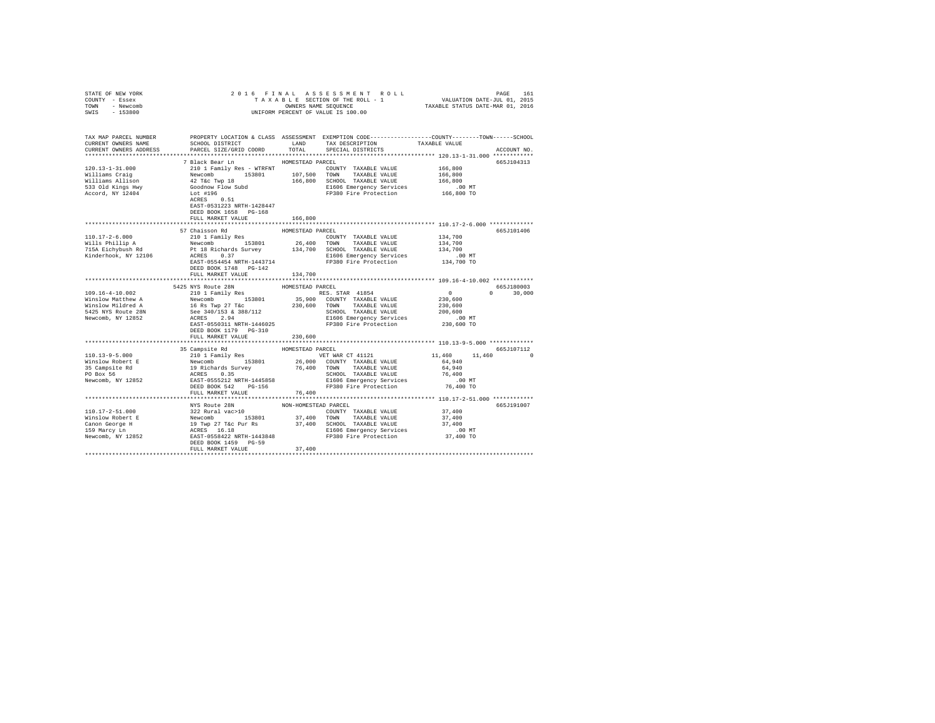|                                                                                                                                                                                                                                                                                 | 2016 FINAL                       |                      |                                                                                                                                                                                              |                     |               |
|---------------------------------------------------------------------------------------------------------------------------------------------------------------------------------------------------------------------------------------------------------------------------------|----------------------------------|----------------------|----------------------------------------------------------------------------------------------------------------------------------------------------------------------------------------------|---------------------|---------------|
| COUNTY - Essex                                                                                                                                                                                                                                                                  |                                  |                      | 5 FINAL ASSESSMENT ROLL (1975) PAGE 161<br>TAXABLE SECTION OF THE ROLL - 1 VALUATION DATE-JUL 01, 2015<br>OWNERS NAME SEQUENCE  TAXABLE STATUS DATE-MAR 01, 2016                             |                     |               |
| TOWN - Newcomb<br>SWIS - 153800                                                                                                                                                                                                                                                 |                                  |                      | OWNERS NAME SEQUENCE<br>UNIFORM PERCENT OF VALUE IS 100.00                                                                                                                                   |                     |               |
|                                                                                                                                                                                                                                                                                 |                                  |                      |                                                                                                                                                                                              |                     |               |
|                                                                                                                                                                                                                                                                                 |                                  |                      |                                                                                                                                                                                              |                     |               |
|                                                                                                                                                                                                                                                                                 |                                  |                      |                                                                                                                                                                                              |                     |               |
| TAX MAP PARCEL NUMBER PROPERTY LOCATION & CLASS ASSESSMENT EXEMPTION CODE--------------COUNTY-------TOWN-----SCHOOL                                                                                                                                                             |                                  |                      |                                                                                                                                                                                              |                     |               |
| CURRENT OWNERS NAME                                                                                                                                                                                                                                                             | SCHOOL DISTRICT LAND             |                      | TAX DESCRIPTION                                                                                                                                                                              | TAXABLE VALUE       |               |
| CURRENT OWNERS ADDRESS                                                                                                                                                                                                                                                          | PARCEL SIZE/GRID COORD           | TOTAL                | SPECIAL DISTRICTS                                                                                                                                                                            |                     | ACCOUNT NO.   |
|                                                                                                                                                                                                                                                                                 |                                  |                      |                                                                                                                                                                                              |                     |               |
|                                                                                                                                                                                                                                                                                 | 7 Black Bear Ln MOMESTEAD PARCEL |                      |                                                                                                                                                                                              |                     | 665J104313    |
| $\begin{tabular}{l c c c c c c c c} \hline 120.13-1-31.000 & 210.113cm & 210.118cm & 210.128cm & 210.128cm & 210.128cm & 210.128cm & 210.128cm & 210.128cm & 210.128cm & 210.128cm & 210.128cm & 210.128cm & 210.128cm & 210.128cm & 210.128cm & 210.128cm & 210.128cm & 210.1$ |                                  |                      |                                                                                                                                                                                              | 166,800             |               |
|                                                                                                                                                                                                                                                                                 |                                  |                      |                                                                                                                                                                                              | 166,800             |               |
|                                                                                                                                                                                                                                                                                 |                                  |                      |                                                                                                                                                                                              | 166,800             |               |
|                                                                                                                                                                                                                                                                                 |                                  |                      |                                                                                                                                                                                              | .00 MT              |               |
|                                                                                                                                                                                                                                                                                 |                                  |                      |                                                                                                                                                                                              | 166,800 TO          |               |
|                                                                                                                                                                                                                                                                                 | EAST-0531223 NRTH-1428447        |                      |                                                                                                                                                                                              |                     |               |
|                                                                                                                                                                                                                                                                                 | DEED BOOK 1658 PG-168            |                      |                                                                                                                                                                                              |                     |               |
|                                                                                                                                                                                                                                                                                 | FULL MARKET VALUE                | 166,800              |                                                                                                                                                                                              |                     |               |
|                                                                                                                                                                                                                                                                                 |                                  |                      |                                                                                                                                                                                              |                     |               |
|                                                                                                                                                                                                                                                                                 | 57 Chaisson Rd                   | HOMESTEAD PARCEL     |                                                                                                                                                                                              |                     | 665J101406    |
| 110.17-2-6.000                                                                                                                                                                                                                                                                  | 210 1 Family Res                 |                      | COUNTY TAXABLE VALUE                                                                                                                                                                         | 134,700             |               |
| Wills Phillip A                                                                                                                                                                                                                                                                 |                                  |                      |                                                                                                                                                                                              | 134,700             |               |
|                                                                                                                                                                                                                                                                                 |                                  |                      |                                                                                                                                                                                              | 134,700             |               |
| wiiis Phillip A<br>715A Eichybush Rd<br>Kinderhook, NY 12106                                                                                                                                                                                                                    |                                  |                      | Newcomb 153801 26,400 TOWN TAXABLE VALUE<br>PL 18 Richards Survey 134,700 SCHOOL TAXABLE VALUE<br>ACRES 0.37 134,700 SCHOOL TAXABLE VALUE<br>RAST-0554454 NRTH-1443714 FP380 Fire Protection | .00 MT              |               |
|                                                                                                                                                                                                                                                                                 |                                  |                      | FP380 Fire Protection                                                                                                                                                                        | 134,700 TO          |               |
|                                                                                                                                                                                                                                                                                 | DEED BOOK 1748 PG-142            |                      |                                                                                                                                                                                              |                     |               |
|                                                                                                                                                                                                                                                                                 | FULL MARKET VALUE                | 134,700              |                                                                                                                                                                                              |                     |               |
|                                                                                                                                                                                                                                                                                 |                                  |                      |                                                                                                                                                                                              |                     |               |
|                                                                                                                                                                                                                                                                                 |                                  |                      |                                                                                                                                                                                              |                     |               |
|                                                                                                                                                                                                                                                                                 | 5425 NYS Route 28N               | HOMESTEAD PARCEL     |                                                                                                                                                                                              |                     | 665J180003    |
| 109.16-4-10.002                                                                                                                                                                                                                                                                 | 210 1 Family Res                 |                      | RES. STAR 41854                                                                                                                                                                              | $\sim$ 0            | $0 \t 30.000$ |
| Winslow Matthew A                                                                                                                                                                                                                                                               |                                  |                      |                                                                                                                                                                                              | 230,600             |               |
| Winslow Mildred A                                                                                                                                                                                                                                                               |                                  |                      |                                                                                                                                                                                              | 230,600             |               |
| 5425 NYS Route 28N                                                                                                                                                                                                                                                              |                                  |                      |                                                                                                                                                                                              | 200,600             |               |
| Newcomb, NY 12852                                                                                                                                                                                                                                                               |                                  |                      |                                                                                                                                                                                              | .00 MT              |               |
|                                                                                                                                                                                                                                                                                 |                                  |                      |                                                                                                                                                                                              | 230,600 TO          |               |
|                                                                                                                                                                                                                                                                                 |                                  |                      |                                                                                                                                                                                              |                     |               |
|                                                                                                                                                                                                                                                                                 | FULL MARKET VALUE                | 230,600              |                                                                                                                                                                                              |                     |               |
|                                                                                                                                                                                                                                                                                 |                                  |                      |                                                                                                                                                                                              |                     |               |
|                                                                                                                                                                                                                                                                                 |                                  |                      |                                                                                                                                                                                              |                     | 665J107112    |
|                                                                                                                                                                                                                                                                                 |                                  |                      |                                                                                                                                                                                              | 11,460 11,460 0     |               |
|                                                                                                                                                                                                                                                                                 |                                  |                      |                                                                                                                                                                                              |                     |               |
|                                                                                                                                                                                                                                                                                 |                                  |                      |                                                                                                                                                                                              |                     |               |
|                                                                                                                                                                                                                                                                                 |                                  |                      |                                                                                                                                                                                              |                     |               |
|                                                                                                                                                                                                                                                                                 |                                  |                      |                                                                                                                                                                                              |                     |               |
|                                                                                                                                                                                                                                                                                 |                                  |                      |                                                                                                                                                                                              |                     |               |
|                                                                                                                                                                                                                                                                                 | FULL MARKET VALUE                | 76,400               |                                                                                                                                                                                              |                     |               |
|                                                                                                                                                                                                                                                                                 |                                  |                      |                                                                                                                                                                                              |                     |               |
|                                                                                                                                                                                                                                                                                 | NYS Route 28N                    | NON-HOMESTEAD PARCEL |                                                                                                                                                                                              |                     | 665J191007    |
|                                                                                                                                                                                                                                                                                 |                                  |                      | COUNTY TAXABLE VALUE 37,400                                                                                                                                                                  |                     |               |
|                                                                                                                                                                                                                                                                                 |                                  |                      |                                                                                                                                                                                              | 37,400              |               |
|                                                                                                                                                                                                                                                                                 |                                  |                      |                                                                                                                                                                                              | 37,400              |               |
|                                                                                                                                                                                                                                                                                 |                                  |                      |                                                                                                                                                                                              |                     |               |
|                                                                                                                                                                                                                                                                                 | DEED BOOK 1459 PG-59             |                      |                                                                                                                                                                                              | .00 MT<br>37,400 TO |               |
|                                                                                                                                                                                                                                                                                 | FULL MARKET VALUE                | 37,400               |                                                                                                                                                                                              |                     |               |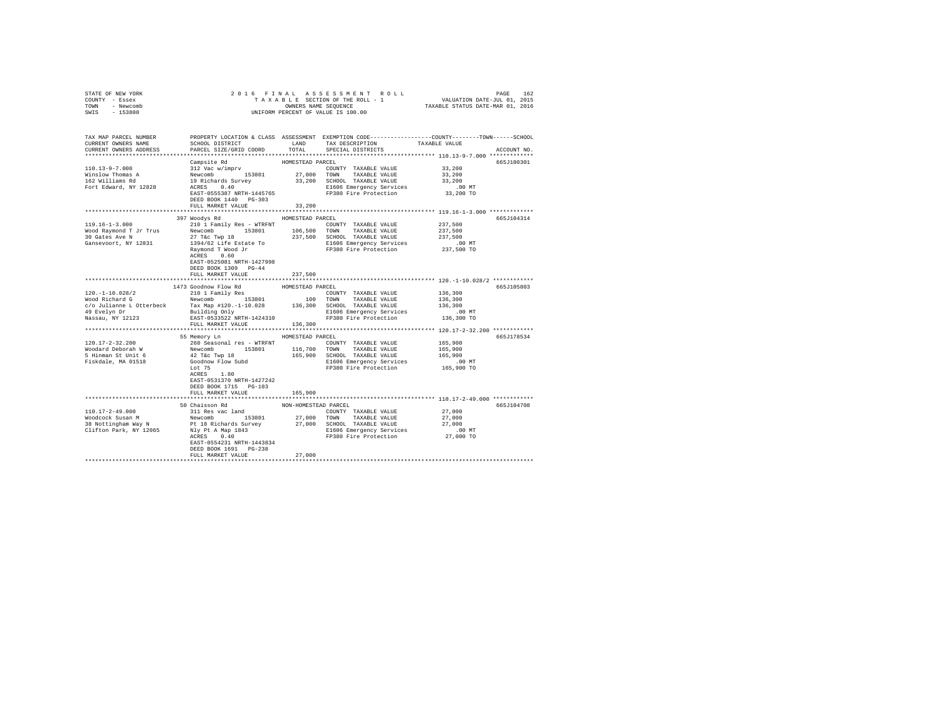| STATE OF NEW YORK                |                                                                                                                                                                                                                                      |                      |                                                                                                 |                       |             |
|----------------------------------|--------------------------------------------------------------------------------------------------------------------------------------------------------------------------------------------------------------------------------------|----------------------|-------------------------------------------------------------------------------------------------|-----------------------|-------------|
| COUNTY - Essex<br>TOWN - Newcomb |                                                                                                                                                                                                                                      |                      |                                                                                                 |                       |             |
| SWIS - 153800                    |                                                                                                                                                                                                                                      |                      |                                                                                                 |                       |             |
|                                  |                                                                                                                                                                                                                                      |                      |                                                                                                 |                       |             |
| TAX MAP PARCEL NUMBER            |                                                                                                                                                                                                                                      |                      | PROPERTY LOCATION & CLASS ASSESSMENT EXEMPTION CODE---------------COUNTY-------TOWN------SCHOOL |                       |             |
| CURRENT OWNERS NAME              | SCHOOL DISTRICT                                                                                                                                                                                                                      | LAND                 | TAX DESCRIPTION                                                                                 | TAXABLE VALUE         |             |
| CURRENT OWNERS ADDRESS           | PARCEL SIZE/GRID COORD                                                                                                                                                                                                               | TOTAL                | SPECIAL DISTRICTS                                                                               |                       | ACCOUNT NO. |
|                                  |                                                                                                                                                                                                                                      |                      |                                                                                                 |                       |             |
|                                  |                                                                                                                                                                                                                                      |                      |                                                                                                 |                       | 665J100301  |
| $110.13 - 9 - 7.000$             |                                                                                                                                                                                                                                      |                      | COUNTY TAXABLE VALUE                                                                            | 33,200                |             |
| Winslow Thomas A                 |                                                                                                                                                                                                                                      |                      |                                                                                                 | 33,200                |             |
| 162 Williams Rd                  |                                                                                                                                                                                                                                      |                      |                                                                                                 | 33,200                |             |
| Fort Edward, NY 12828            |                                                                                                                                                                                                                                      |                      | ACRES 0.40 E1606 Emergency Services<br>EAST-0555387 NRTH-1445765 FP380 Fire Protection          | $.00$ MT<br>33,200 TO |             |
|                                  | DEED BOOK 1440 PG-303                                                                                                                                                                                                                |                      |                                                                                                 |                       |             |
|                                  | FULL MARKET VALUE                                                                                                                                                                                                                    | 33,200               |                                                                                                 |                       |             |
|                                  |                                                                                                                                                                                                                                      |                      |                                                                                                 |                       |             |
|                                  | 397 Woodys Rd                                                                                                                                                                                                                        | HOMESTEAD PARCEL     |                                                                                                 |                       | 665J104314  |
| $119.16 - 1 - 3.000$             | 210 1 Family Res - WTRFNT                                                                                                                                                                                                            |                      | COUNTY TAXABLE VALUE                                                                            | 237,500               |             |
| Wood Raymond T Jr Trus           | Newcomb 153801                                                                                                                                                                                                                       |                      | 106,500 TOWN TAXABLE VALUE                                                                      | 237,500               |             |
| 30 Gates Ave N                   | 27 T&C Twp 18                                                                                                                                                                                                                        |                      | 237,500 SCHOOL TAXABLE VALUE                                                                    | 237,500               |             |
| Gansevoort, NY 12831             | 1394/62 Life Estate To                                                                                                                                                                                                               |                      | E1606 Emergency Services                                                                        | .00 MT                |             |
|                                  | Raymond T Wood Jr<br>ACRES 0 60                                                                                                                                                                                                      |                      | FP380 Fire Protection                                                                           | 237,500 TO            |             |
|                                  | ACRES 0.60<br>EAST-0525081 NRTH-1427998                                                                                                                                                                                              |                      |                                                                                                 |                       |             |
|                                  | DEED BOOK 1309 PG-44                                                                                                                                                                                                                 |                      |                                                                                                 |                       |             |
|                                  | FULL MARKET VALUE                                                                                                                                                                                                                    | 237,500              |                                                                                                 |                       |             |
|                                  |                                                                                                                                                                                                                                      |                      |                                                                                                 |                       |             |
|                                  | 1473 Goodnow Flow Rd                                                                                                                                                                                                                 | HOMESTEAD PARCEL     |                                                                                                 |                       | 665J105803  |
| 120.-1-10.028/2                  | 210 1 Family Res                                                                                                                                                                                                                     |                      | COUNTY TAXABLE VALUE                                                                            | 136,300               |             |
| Wood Richard G                   |                                                                                                                                                                                                                                      |                      |                                                                                                 | 136,300               |             |
|                                  |                                                                                                                                                                                                                                      |                      | 136,300 SCHOOL TAXABLE VALUE                                                                    | 136,300               |             |
| 49 Evelyn Dr<br>Nassau, NY 12123 |                                                                                                                                                                                                                                      |                      | E1606 Emergency Services                                                                        | .00 MT                |             |
|                                  | EAST-0533522 NRTH-1424310                                                                                                                                                                                                            |                      | FP380 Fire Protection                                                                           | 136,300 TO            |             |
|                                  | FULL MARKET VALUE                                                                                                                                                                                                                    | 136,300              |                                                                                                 |                       |             |
|                                  | 55 Memory Ln                                                                                                                                                                                                                         | HOMESTEAD PARCEL     |                                                                                                 |                       | 665J178534  |
| $120.17 - 2 - 32.200$            | 260 Seasonal res - WTRFNT                                                                                                                                                                                                            |                      | COUNTY TAXABLE VALUE                                                                            | 165,900               |             |
| Woodard Deborah W                |                                                                                                                                                                                                                                      |                      | 116,700 TOWN TAXABLE VALUE                                                                      | 165,900               |             |
| 5 Hinman St Unit 6               |                                                                                                                                                                                                                                      |                      | 165,900 SCHOOL TAXABLE VALUE                                                                    | 165,900               |             |
| Fiskdale, MA 01518               | Newcomb<br>42 T&c Twp 18<br>Goodnow Flow Subd<br>5.1 TE                                                                                                                                                                              |                      | E1606 Emergency Services                                                                        | .00 MT                |             |
|                                  | $ACRES$ 1.80                                                                                                                                                                                                                         |                      | FP380 Fire Protection                                                                           | 165,900 TO            |             |
|                                  |                                                                                                                                                                                                                                      |                      |                                                                                                 |                       |             |
|                                  | EAST-0531370 NRTH-1427242                                                                                                                                                                                                            |                      |                                                                                                 |                       |             |
|                                  | DEED BOOK 1715 PG-103                                                                                                                                                                                                                |                      |                                                                                                 |                       |             |
|                                  | FULL MARKET VALUE                                                                                                                                                                                                                    | 165,900              |                                                                                                 |                       |             |
|                                  | 50 Chaisson Rd                                                                                                                                                                                                                       | NON-HOMESTEAD PARCEL |                                                                                                 |                       | 665J104708  |
| 110.17-2-49.000                  | 311 Res vac land                                                                                                                                                                                                                     |                      | COUNTY TAXABLE VALUE                                                                            | 27,000                |             |
| Woodcock Susan M                 | Newcomb 153801                                                                                                                                                                                                                       |                      | 27,000 TOWN TAXABLE VALUE                                                                       | 27,000                |             |
| 38 Nottingham Way N              |                                                                                                                                                                                                                                      |                      |                                                                                                 |                       |             |
|                                  |                                                                                                                                                                                                                                      |                      |                                                                                                 |                       |             |
|                                  | AOCLOUGHING THE TREASURE PRODUCE THE SURFACE SOLUTION OF THE PRODUCED AND THE SURFACE SOLUTION OF THE SURFACE S<br>Clifton Park, NY 12065 NJY PLA Map 1843 THE BIGOS Energency Services (190 MT)<br>ACRES 0.40 TP380 Fire Protection |                      |                                                                                                 |                       |             |
|                                  | EAST-0554231 NRTH-1443834                                                                                                                                                                                                            |                      |                                                                                                 |                       |             |
|                                  | DEED BOOK 1691 PG-238                                                                                                                                                                                                                |                      |                                                                                                 |                       |             |
|                                  | FULL MARKET VALUE                                                                                                                                                                                                                    | 27,000               |                                                                                                 |                       |             |
|                                  |                                                                                                                                                                                                                                      |                      |                                                                                                 |                       |             |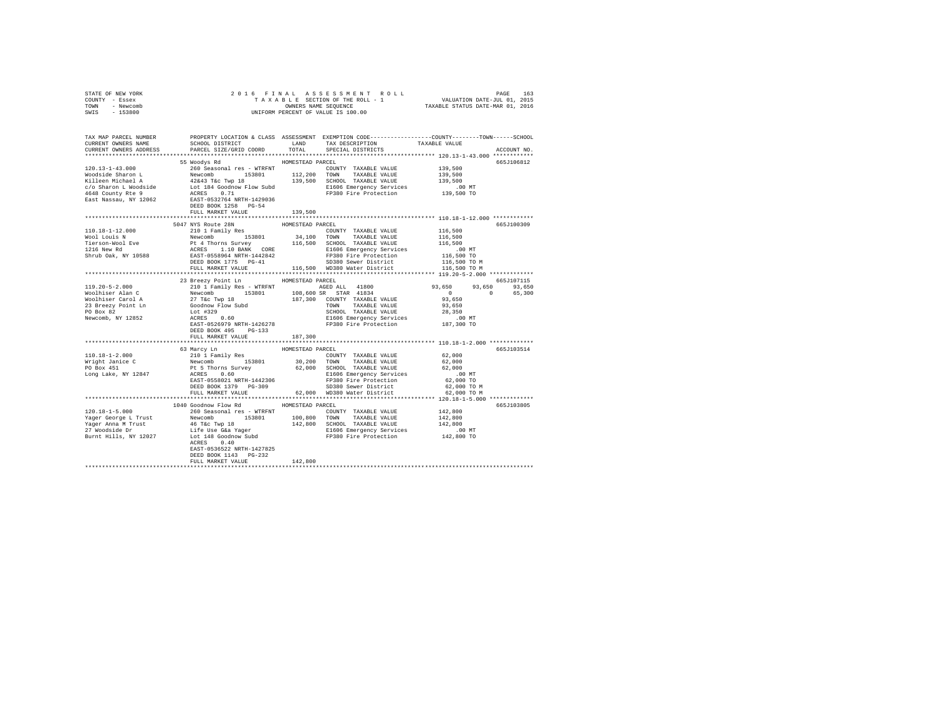| TOWN - Newcomb<br>SWIS - 153800                                                       | OWNERS NAME SEQUENCE<br>UNIFORM PERCENT OF VALUE IS 100.00                                                                                                                                                                                                 |                                                                                                                                                                                                                                                                                                                    | TAXABLE STATUS DATE-MAR 01, 2016                                                                                  |
|---------------------------------------------------------------------------------------|------------------------------------------------------------------------------------------------------------------------------------------------------------------------------------------------------------------------------------------------------------|--------------------------------------------------------------------------------------------------------------------------------------------------------------------------------------------------------------------------------------------------------------------------------------------------------------------|-------------------------------------------------------------------------------------------------------------------|
|                                                                                       |                                                                                                                                                                                                                                                            |                                                                                                                                                                                                                                                                                                                    | PROPERTY LOCATION & CLASS ASSESSMENT EXEMPTION CODE---------------COUNTY-------TOWN-----SCHOOL                    |
| TAX MAP PARCEL NUMBER<br>CURRENT OWNERS NAME                                          | CURRENT OWNERS ADDRESS PARCEL SIZE/GRID COORD                                                                                                                                                                                                              | TOTAL SPECIAL DISTRICTS                                                                                                                                                                                                                                                                                            | ACCOUNT NO.                                                                                                       |
|                                                                                       |                                                                                                                                                                                                                                                            |                                                                                                                                                                                                                                                                                                                    |                                                                                                                   |
|                                                                                       | 55 Woodys Rd                                                                                                                                                                                                                                               | HOMESTEAD PARCEL                                                                                                                                                                                                                                                                                                   | 665.7106812                                                                                                       |
|                                                                                       |                                                                                                                                                                                                                                                            |                                                                                                                                                                                                                                                                                                                    |                                                                                                                   |
|                                                                                       |                                                                                                                                                                                                                                                            |                                                                                                                                                                                                                                                                                                                    |                                                                                                                   |
|                                                                                       |                                                                                                                                                                                                                                                            |                                                                                                                                                                                                                                                                                                                    |                                                                                                                   |
|                                                                                       |                                                                                                                                                                                                                                                            |                                                                                                                                                                                                                                                                                                                    |                                                                                                                   |
|                                                                                       |                                                                                                                                                                                                                                                            |                                                                                                                                                                                                                                                                                                                    |                                                                                                                   |
|                                                                                       | DEED BOOK 1258 PG-54<br>FULL MARKET VALUE                                                                                                                                                                                                                  | 139,500                                                                                                                                                                                                                                                                                                            |                                                                                                                   |
|                                                                                       |                                                                                                                                                                                                                                                            |                                                                                                                                                                                                                                                                                                                    |                                                                                                                   |
|                                                                                       | 5047 NYS Route 28N                                                                                                                                                                                                                                         | HOMESTEAD PARCEL                                                                                                                                                                                                                                                                                                   | 665J100309                                                                                                        |
| $110.18 - 1 - 12.000$                                                                 | 210 1 Family Res                                                                                                                                                                                                                                           |                                                                                                                                                                                                                                                                                                                    |                                                                                                                   |
| Novid Louis<br>Nool Louis N<br>Tierson-Wool Eve<br>1216 New Rd<br>Shrub Oak, NY 10588 |                                                                                                                                                                                                                                                            | $\begin{tabular}{lcccccc} 210&1\text{ Family Res} & & & \text{COUNT} & \text{TXXABLE VALUE} & & 116,500 \\ Newton & & 153801 & & 34,100 & \text{TONY} & \text{TXXABLE VALUE} & & 116,500 \\ P\text{Fe} & 4 \text{ Thorns Survey} & & 116,500 & & 5 \text{CHOX} & \text{TXABLE VALUE} & & 116,500 \\ \end{tabular}$ |                                                                                                                   |
|                                                                                       |                                                                                                                                                                                                                                                            |                                                                                                                                                                                                                                                                                                                    |                                                                                                                   |
|                                                                                       |                                                                                                                                                                                                                                                            | Notes 1.10 BANK CORE<br>ELGOS EMENTE-1442842<br>DES DES PORTE-1442842<br>DES BOOK 1775 PG-41<br>DES DOOK 1775 PG-41<br>DES DES PORTES PORTES PORTES PORTES PORTES PORTES<br>PULL MARKET VALUE<br>116,500 WD380 Water District                                                                                      |                                                                                                                   |
|                                                                                       |                                                                                                                                                                                                                                                            |                                                                                                                                                                                                                                                                                                                    | 00 MT.<br>116,500 TO<br>116,500 TO M                                                                              |
|                                                                                       |                                                                                                                                                                                                                                                            |                                                                                                                                                                                                                                                                                                                    |                                                                                                                   |
|                                                                                       |                                                                                                                                                                                                                                                            |                                                                                                                                                                                                                                                                                                                    | 116,500 TO M                                                                                                      |
|                                                                                       |                                                                                                                                                                                                                                                            |                                                                                                                                                                                                                                                                                                                    |                                                                                                                   |
|                                                                                       | 23 Breezy Point Ln                                                                                                                                                                                                                                         | HOMESTEAD PARCEL                                                                                                                                                                                                                                                                                                   | 665J107115                                                                                                        |
| 119.20-5-2.000<br>119.20-5-2.000<br>Woolhiser Alan C                                  |                                                                                                                                                                                                                                                            |                                                                                                                                                                                                                                                                                                                    |                                                                                                                   |
|                                                                                       |                                                                                                                                                                                                                                                            |                                                                                                                                                                                                                                                                                                                    |                                                                                                                   |
|                                                                                       |                                                                                                                                                                                                                                                            |                                                                                                                                                                                                                                                                                                                    |                                                                                                                   |
|                                                                                       |                                                                                                                                                                                                                                                            |                                                                                                                                                                                                                                                                                                                    |                                                                                                                   |
|                                                                                       | Moolhiser Carol A<br>Noolhiser Carol A<br>27 Tác Twp 18<br>27 Tác Twp 18<br>27 Tác Twp 18<br>27 Tác Twp 18<br>27 Tác Twp 18<br>27 Tác Twp 18<br>27 Tác Twp 18<br>27 Tác Twp 18<br>27 Tác Twp 18<br>20 Box 82<br>20 Revecomb, NY 12852<br>20 ACRES<br>20.60 |                                                                                                                                                                                                                                                                                                                    |                                                                                                                   |
|                                                                                       | EAST-0526979 NRTH-1426278                                                                                                                                                                                                                                  |                                                                                                                                                                                                                                                                                                                    | E1606 Emergency Services .00 MT<br>FP380 Fire Protection 187,300 TO                                               |
|                                                                                       | DEED BOOK 495 PG-133                                                                                                                                                                                                                                       |                                                                                                                                                                                                                                                                                                                    |                                                                                                                   |
|                                                                                       | FULL MARKET VALUE                                                                                                                                                                                                                                          | 187,300                                                                                                                                                                                                                                                                                                            |                                                                                                                   |
|                                                                                       |                                                                                                                                                                                                                                                            |                                                                                                                                                                                                                                                                                                                    |                                                                                                                   |
|                                                                                       |                                                                                                                                                                                                                                                            |                                                                                                                                                                                                                                                                                                                    | 665J103514                                                                                                        |
| $110.18 - 1 - 2.000$                                                                  |                                                                                                                                                                                                                                                            |                                                                                                                                                                                                                                                                                                                    | COUNTY TAXABLE VALUE 62,000                                                                                       |
| Wright Janice C<br>PO Box 451                                                         |                                                                                                                                                                                                                                                            |                                                                                                                                                                                                                                                                                                                    | 62,000                                                                                                            |
|                                                                                       |                                                                                                                                                                                                                                                            |                                                                                                                                                                                                                                                                                                                    | 62,000                                                                                                            |
| Long Lake, NY 12847                                                                   |                                                                                                                                                                                                                                                            |                                                                                                                                                                                                                                                                                                                    | $.00$ MT<br>62,000 TO                                                                                             |
|                                                                                       |                                                                                                                                                                                                                                                            |                                                                                                                                                                                                                                                                                                                    | 62,000 TO M                                                                                                       |
|                                                                                       |                                                                                                                                                                                                                                                            |                                                                                                                                                                                                                                                                                                                    | 62,000 TO M                                                                                                       |
|                                                                                       |                                                                                                                                                                                                                                                            |                                                                                                                                                                                                                                                                                                                    |                                                                                                                   |
|                                                                                       | 1040 Goodnow Flow Rd MOMESTEAD PARCEL                                                                                                                                                                                                                      |                                                                                                                                                                                                                                                                                                                    | 665J103805                                                                                                        |
| $120.18 - 1 - 5.000$                                                                  | 260 Seasonal res - WTRFNT                                                                                                                                                                                                                                  |                                                                                                                                                                                                                                                                                                                    | $\begin{tabular}{lllllll} \textbf{COUNTY} & \textbf{TAXABLE} & \textbf{VALUE} & & \textbf{142,800} \end{tabular}$ |
|                                                                                       |                                                                                                                                                                                                                                                            |                                                                                                                                                                                                                                                                                                                    |                                                                                                                   |
|                                                                                       |                                                                                                                                                                                                                                                            |                                                                                                                                                                                                                                                                                                                    |                                                                                                                   |
|                                                                                       |                                                                                                                                                                                                                                                            |                                                                                                                                                                                                                                                                                                                    |                                                                                                                   |
|                                                                                       | Xager George L Trust Newcomb 153801 100,800 TOWN TAXABLE VALUE 142,800<br>Xager Anna M Trust 142 e 16 Tec Twp 18<br>27 Woodside Dr 16 Tec Twp 18801 142,800 TOWN TAXABLE VALUE 142,800<br>27 Woodside Dr 112 Life Use Gka Yager 2010<br>ACRES 0.40         |                                                                                                                                                                                                                                                                                                                    |                                                                                                                   |
|                                                                                       | EAST-0536522 NRTH-1427825                                                                                                                                                                                                                                  |                                                                                                                                                                                                                                                                                                                    |                                                                                                                   |
|                                                                                       |                                                                                                                                                                                                                                                            |                                                                                                                                                                                                                                                                                                                    |                                                                                                                   |
|                                                                                       | DEED BOOK 1143 PG-232<br>FULL MARKET VALUE                                                                                                                                                                                                                 | 142,800                                                                                                                                                                                                                                                                                                            |                                                                                                                   |

STATE OF NEW YORK 2 0 1 6 F I N A L A S S E S S M E N T R O L L PAGE 163 COUNTY - Essex T A X A B L E SECTION OF THE ROLL - 1 VALUATION DATE-JUL 01, 2015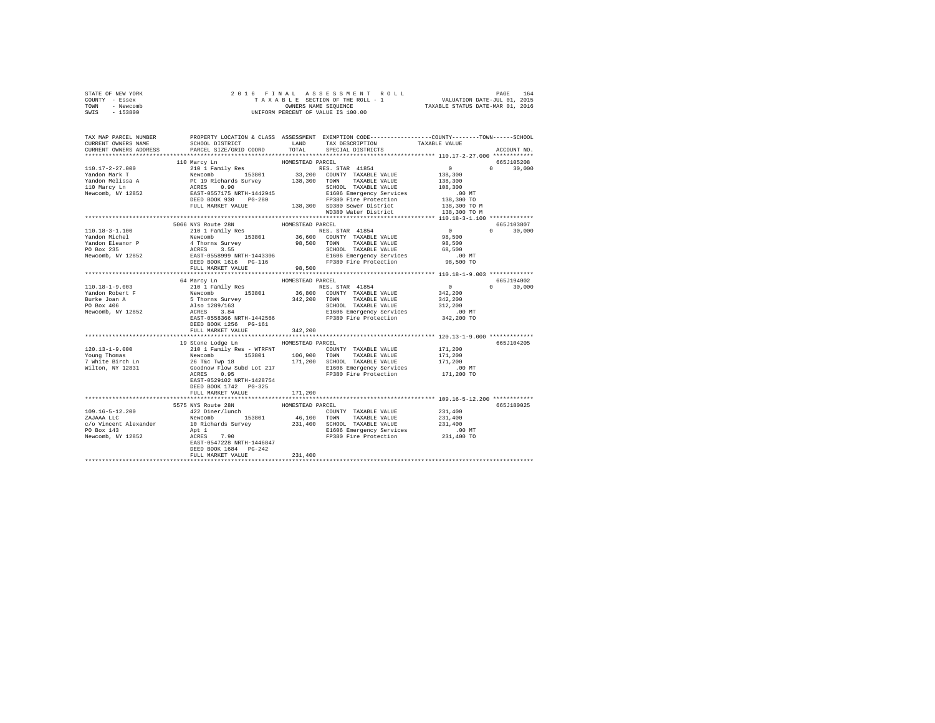| STATE OF NEW YORK      | 2016 FINAL ASSESSMENT ROLL PACE 164 PAGE 164<br>TAXABLE SECTION OF THE ROLL - 1 VALUATION DATE-JUL 01, 2015<br>OWNERS NAME SEQUENCE TAXABLE STATUS DATE-MAR 01, 2016<br>UNIFORM PERCENT OF VALUE IS 100.00                                                                                                                                                                                                                      |                  |                      |                                                     |               |
|------------------------|---------------------------------------------------------------------------------------------------------------------------------------------------------------------------------------------------------------------------------------------------------------------------------------------------------------------------------------------------------------------------------------------------------------------------------|------------------|----------------------|-----------------------------------------------------|---------------|
| COUNTY - Essex         |                                                                                                                                                                                                                                                                                                                                                                                                                                 |                  |                      |                                                     |               |
| TOWN - Newcomb         |                                                                                                                                                                                                                                                                                                                                                                                                                                 |                  |                      |                                                     |               |
| SWIS - 153800          |                                                                                                                                                                                                                                                                                                                                                                                                                                 |                  |                      |                                                     |               |
|                        |                                                                                                                                                                                                                                                                                                                                                                                                                                 |                  |                      |                                                     |               |
|                        |                                                                                                                                                                                                                                                                                                                                                                                                                                 |                  |                      |                                                     |               |
|                        |                                                                                                                                                                                                                                                                                                                                                                                                                                 |                  |                      |                                                     |               |
|                        | TAX MAP PARCEL NUMBER     PROPERTY LOCATION & CLASS ASSESSMENT EXEMPTION CODE---------------COUNTY--------TOWN------SCHOOL DISTRICT     LAND   TAX DESCRIPTION     TAXABLE VALUE                                                                                                                                                                                                                                                |                  |                      |                                                     |               |
|                        |                                                                                                                                                                                                                                                                                                                                                                                                                                 |                  |                      |                                                     |               |
| CURRENT OWNERS ADDRESS |                                                                                                                                                                                                                                                                                                                                                                                                                                 |                  |                      |                                                     | ACCOUNT NO.   |
|                        |                                                                                                                                                                                                                                                                                                                                                                                                                                 |                  |                      |                                                     |               |
|                        | 110 Marcy Ln                                                                                                                                                                                                                                                                                                                                                                                                                    | HOMESTEAD PARCEL |                      |                                                     | 665J105208    |
|                        |                                                                                                                                                                                                                                                                                                                                                                                                                                 |                  |                      |                                                     | $0 \t 30.000$ |
|                        |                                                                                                                                                                                                                                                                                                                                                                                                                                 |                  |                      |                                                     |               |
|                        |                                                                                                                                                                                                                                                                                                                                                                                                                                 |                  |                      |                                                     |               |
|                        |                                                                                                                                                                                                                                                                                                                                                                                                                                 |                  |                      |                                                     |               |
|                        | $\begin{tabular}{l c c c c c} \hline 110.17-2-27.000 & 110\;Marev D & \multicolumn{3}{c}{210\;H\text{amily Res}} & \multicolumn{3}{c}{\text{ROMESTEAD RCES}} & \multicolumn{3}{c}{\text{RZCE}} & \multicolumn{3}{c}{\text{RZCE}} & \multicolumn{3}{c}{\text{RZSE}} & \multicolumn{3}{c}{\text{RZSE}} & \multicolumn{3}{c}{\text{RZSE}} & \multicolumn{3}{c}{\text{RZSE}} & \multicolumn{3}{c}{\text{RZSE}} & \multicolumn{3}{c$ |                  |                      |                                                     |               |
|                        |                                                                                                                                                                                                                                                                                                                                                                                                                                 |                  |                      |                                                     |               |
|                        |                                                                                                                                                                                                                                                                                                                                                                                                                                 |                  |                      |                                                     |               |
|                        |                                                                                                                                                                                                                                                                                                                                                                                                                                 |                  | WD380 Water District | 138,300 TO M                                        |               |
|                        |                                                                                                                                                                                                                                                                                                                                                                                                                                 |                  |                      |                                                     |               |
|                        | 110.18-3-1.100<br>1666 NYS Route 28N<br>1606 NYS Route 28N<br>1606 NYS Route 28N<br>1606 NYS Route 20N<br>1606 NYS Route 20N<br>1606 NYS Route 20N<br>1606 NYS Route 20N<br>1606 NYS Route 20N<br>26, 600 COUNTY TAXABLE VALUE<br>29, 500<br>29, 500                                                                                                                                                                            |                  |                      | 665J103807                                          |               |
|                        |                                                                                                                                                                                                                                                                                                                                                                                                                                 |                  |                      |                                                     | $0 \t 30,000$ |
|                        |                                                                                                                                                                                                                                                                                                                                                                                                                                 |                  |                      |                                                     |               |
|                        |                                                                                                                                                                                                                                                                                                                                                                                                                                 |                  |                      |                                                     |               |
|                        |                                                                                                                                                                                                                                                                                                                                                                                                                                 |                  |                      |                                                     |               |
|                        |                                                                                                                                                                                                                                                                                                                                                                                                                                 |                  |                      |                                                     |               |
|                        |                                                                                                                                                                                                                                                                                                                                                                                                                                 |                  |                      |                                                     |               |
|                        |                                                                                                                                                                                                                                                                                                                                                                                                                                 |                  |                      |                                                     |               |
|                        |                                                                                                                                                                                                                                                                                                                                                                                                                                 |                  |                      | ********************** 110.18-1-9.003 ************* |               |
|                        | 64 Marcy Ln                                                                                                                                                                                                                                                                                                                                                                                                                     | HOMESTEAD PARCEL |                      |                                                     | 665J194002    |
|                        |                                                                                                                                                                                                                                                                                                                                                                                                                                 |                  |                      |                                                     |               |
|                        |                                                                                                                                                                                                                                                                                                                                                                                                                                 |                  |                      |                                                     | $0 \t 30,000$ |
|                        |                                                                                                                                                                                                                                                                                                                                                                                                                                 |                  |                      |                                                     |               |
|                        |                                                                                                                                                                                                                                                                                                                                                                                                                                 |                  |                      |                                                     |               |
|                        |                                                                                                                                                                                                                                                                                                                                                                                                                                 |                  |                      |                                                     |               |
|                        |                                                                                                                                                                                                                                                                                                                                                                                                                                 |                  |                      |                                                     |               |
|                        |                                                                                                                                                                                                                                                                                                                                                                                                                                 |                  |                      |                                                     |               |
|                        | DEED BOOK 1256 PG-161                                                                                                                                                                                                                                                                                                                                                                                                           |                  |                      |                                                     |               |
|                        | FULL MARKET VALUE                                                                                                                                                                                                                                                                                                                                                                                                               | 342,200          |                      |                                                     |               |
|                        |                                                                                                                                                                                                                                                                                                                                                                                                                                 |                  |                      |                                                     |               |
|                        | 19 Stone Lodge Ln MOMESTEAD PARCEL                                                                                                                                                                                                                                                                                                                                                                                              |                  |                      |                                                     | 665J104205    |
|                        |                                                                                                                                                                                                                                                                                                                                                                                                                                 |                  |                      | 171,200                                             |               |
|                        |                                                                                                                                                                                                                                                                                                                                                                                                                                 |                  |                      |                                                     |               |
|                        |                                                                                                                                                                                                                                                                                                                                                                                                                                 |                  |                      |                                                     |               |
|                        |                                                                                                                                                                                                                                                                                                                                                                                                                                 |                  |                      |                                                     |               |
|                        |                                                                                                                                                                                                                                                                                                                                                                                                                                 |                  |                      |                                                     |               |
|                        | EAST-0529102 NRTH-1428754                                                                                                                                                                                                                                                                                                                                                                                                       |                  |                      |                                                     |               |
|                        | DEED BOOK 1742 PG-325                                                                                                                                                                                                                                                                                                                                                                                                           |                  |                      |                                                     |               |
|                        | FULL MARKET VALUE                                                                                                                                                                                                                                                                                                                                                                                                               | 171,200          |                      |                                                     |               |
|                        |                                                                                                                                                                                                                                                                                                                                                                                                                                 |                  |                      |                                                     |               |
|                        | 5575 NYS Route 28N                                                                                                                                                                                                                                                                                                                                                                                                              | HOMESTEAD PARCEL |                      |                                                     | 665J180025    |
|                        |                                                                                                                                                                                                                                                                                                                                                                                                                                 |                  |                      |                                                     |               |
|                        |                                                                                                                                                                                                                                                                                                                                                                                                                                 |                  |                      |                                                     |               |
|                        |                                                                                                                                                                                                                                                                                                                                                                                                                                 |                  |                      |                                                     |               |
|                        |                                                                                                                                                                                                                                                                                                                                                                                                                                 |                  |                      |                                                     |               |
|                        |                                                                                                                                                                                                                                                                                                                                                                                                                                 |                  |                      |                                                     |               |
|                        |                                                                                                                                                                                                                                                                                                                                                                                                                                 |                  |                      |                                                     |               |
|                        |                                                                                                                                                                                                                                                                                                                                                                                                                                 |                  |                      |                                                     |               |
|                        | FULL MARKET VALUE                                                                                                                                                                                                                                                                                                                                                                                                               | 231,400          |                      |                                                     |               |
|                        |                                                                                                                                                                                                                                                                                                                                                                                                                                 |                  |                      |                                                     |               |
|                        |                                                                                                                                                                                                                                                                                                                                                                                                                                 |                  |                      |                                                     |               |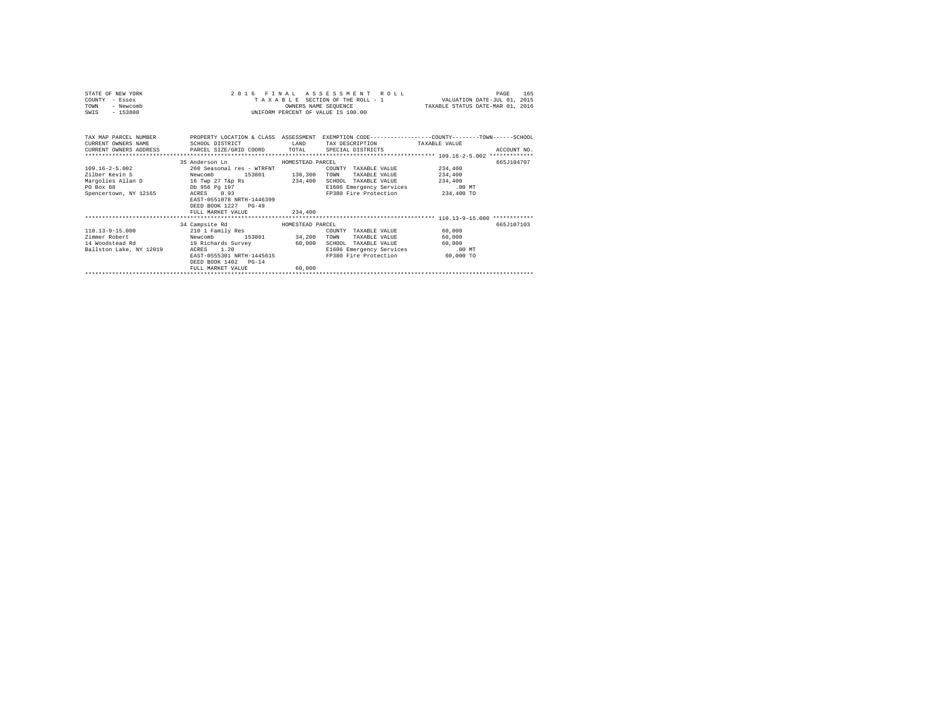| STATE OF NEW YORK<br>COUNTY - Essex<br><b>TOWN</b><br>- Newcomb<br>$-153800$<br>SWIS                                                                    |                                                                                                                                                                                                       |         | 2016 FINAL ASSESSMENT ROLL<br>TAXABLE SECTION OF THE ROLL - 1<br>OWNERS NAME SEQUENCE<br>INIFORM PERCENT OF VALUE IS 100.00           | VALUATION DATE-JUL 01, 2015<br>TAXABLE STATUS DATE-MAR 01, 2016 | 165<br>PAGE |
|---------------------------------------------------------------------------------------------------------------------------------------------------------|-------------------------------------------------------------------------------------------------------------------------------------------------------------------------------------------------------|---------|---------------------------------------------------------------------------------------------------------------------------------------|-----------------------------------------------------------------|-------------|
| TAX MAP PARCEL NUMBER<br>CURRENT OWNERS NAME SCHOOL DISTRICT<br>CURRENT OWNERS ADDRESS PARCEL SIZE/GRID COORD TOTAL SPECIAL DISTRICTS                   |                                                                                                                                                                                                       |         | PROPERTY LOCATION & CLASS ASSESSMENT EXEMPTION CODE---------------COUNTY-------TOWN------SCHOOL<br>LAND TAX DESCRIPTION TAXABLE VALUE |                                                                 | ACCOUNT NO. |
| $109.16 - 2 - 5.002$<br>Zilber Kevin S Newcomb<br>Margolies Allan D 16 Twp 27 T&p Rs 234,400 SCHOOL TAXABLE VALUE<br>PO Box 88<br>Spencertown, NY 12165 | 35 Anderson Ln<br>HOMESTEAD PARCEL<br>260 Seasonal res - WTRENT<br>Db 956 Pa 197<br>ACRES 0.93<br>EAST-0551078 NRTH-1446399<br>DEED BOOK 1227 PG-49                                                   |         | COUNTY TAXABLE VALUE<br>153801 138,300 TOWN TAXABLE VALUE<br>E1606 Emergency Services<br>FP380 Fire Protection                        | 234,400<br>234,400<br>234,400<br>.00 MT<br>234,400 TO           | 665J104707  |
|                                                                                                                                                         | FULL MARKET VALUE                                                                                                                                                                                     | 234,400 |                                                                                                                                       |                                                                 |             |
| $110.13 - 9 - 15.000$<br>Zimmer Robert<br>14 Woodstead Rd<br>Ballston Lake, NY 12019                                                                    | 34 Campsite Rd MOMESTEAD PARCEL<br>210 1 Family Res<br>Newcomb<br>153801 34,200 TOWN<br>19 Richards Survey<br>1.20<br>ACRES<br>EAST-0555301 NRTH-1445615<br>DEED BOOK 1402 PG-14<br>FULL MARKET VALUE | 60,000  | COUNTY TAXABLE VALUE<br>TAXABLE VALUE<br>60,000 SCHOOL TAXABLE VALUE<br>E1606 Emergency Services<br>FP380 Fire Protection             | 60,000<br>60,000<br>60,000<br>$.00$ MT<br>60,000 TO             | 665.7107103 |
|                                                                                                                                                         |                                                                                                                                                                                                       |         |                                                                                                                                       |                                                                 |             |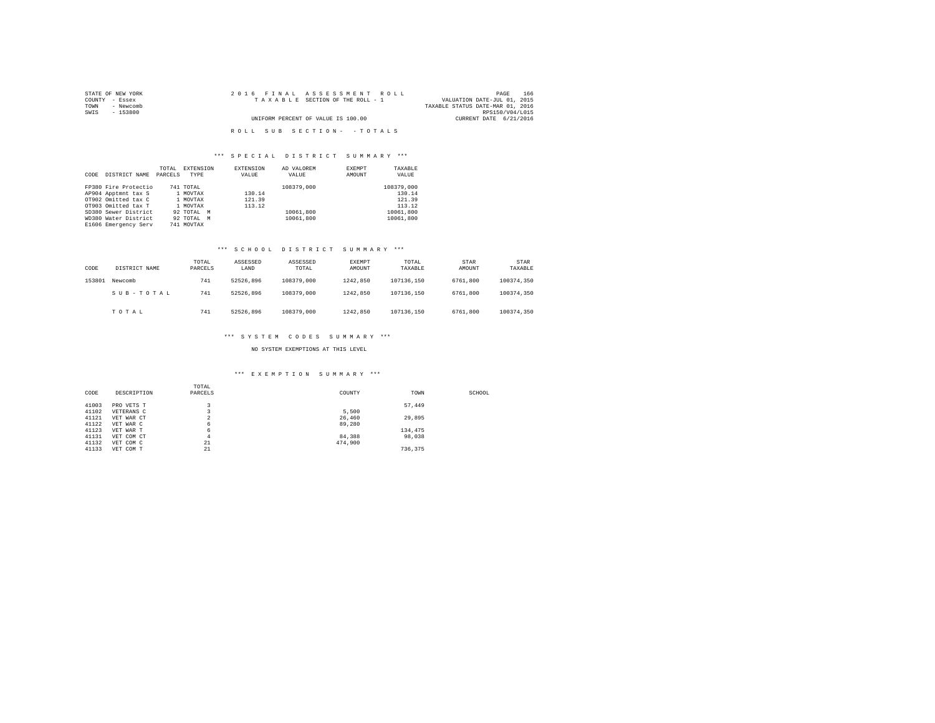| STATE OF NEW YORK | 2016 FINAL ASSESSMENT ROLL         | 166<br>PAGE                      |
|-------------------|------------------------------------|----------------------------------|
| COUNTY - Essex    | TAXABLE SECTION OF THE ROLL - 1    | VALUATION DATE-JUL 01, 2015      |
| TOWN<br>- Newcomb |                                    | TAXABLE STATUS DATE-MAR 01, 2016 |
| SWIS<br>- 153800  |                                    | RPS150/V04/L015                  |
|                   | UNIFORM PERCENT OF VALUE IS 100.00 | CURRENT DATE 6/21/2016           |
|                   |                                    |                                  |
|                   | ROLL SUB SECTION- - TOTALS         |                                  |

### \*\*\* S P E C I A L D I S T R I C T S U M M A R Y \*\*\*

| CODE | DISTRICT NAME        | TOTAL<br>PARCELS | <b>EXTENSION</b><br>TYPE | <b>EXTENSION</b><br>VALUE | AD VALOREM<br>VALUE | EXEMPT<br>AMOUNT | TAXABLE<br>VALUE |
|------|----------------------|------------------|--------------------------|---------------------------|---------------------|------------------|------------------|
|      | FP380 Fire Protectio |                  | 741 TOTAL                |                           | 108379,000          |                  | 108379,000       |
|      | AP904 Apptmnt tax S  |                  | 1 MOVTAX                 | 130.14                    |                     |                  | 130.14           |
|      | OT902 Omitted tax C  |                  | 1 MOVTAX                 | 121.39                    |                     |                  | 121.39           |
|      | OT903 Omitted tax T  |                  | 1 MOVTAX                 | 113.12                    |                     |                  | 113.12           |
|      | SD380 Sewer District |                  | 92 TOTAL M               |                           | 10061,800           |                  | 10061,800        |
|      | WD380 Water District |                  | 92 TOTAL M               |                           | 10061,800           |                  | 10061,800        |
|      | E1606 Emergency Serv |                  | 741 MOVTAX               |                           |                     |                  |                  |

### \*\*\* S C H O O L D I S T R I C T S U M M A R Y \*\*\*

| CODE   | DISTRICT NAME | TOTAL<br>PARCELS | ASSESSED<br>LAND | ASSESSED<br>TOTAL | EXEMPT<br>AMOUNT | TOTAL<br>TAXABLE | STAR<br>AMOUNT | STAR<br>TAXABLE |
|--------|---------------|------------------|------------------|-------------------|------------------|------------------|----------------|-----------------|
| 153801 | Newcomb       | 741              | 52526.896        | 108379,000        | 1242.850         | 107136.150       | 6761,800       | 100374.350      |
|        | SUB-TOTAL     | 741              | 52526.896        | 108379,000        | 1242.850         | 107136.150       | 6761.800       | 100374.350      |
|        | TOTAL         | 741              | 52526.896        | 108379,000        | 1242.850         | 107136.150       | 6761,800       | 100374.350      |

### \*\*\* S Y S T E M C O D E S S U M M A R Y \*\*\*

### NO SYSTEM EXEMPTIONS AT THIS LEVEL

### \*\*\* E X E M P T I O N S U M M A R Y \*\*\*

| CODE  | DESCRIPTION | TOTAL<br>PARCELS | COUNTY  | TOWN    | SCHOOL |
|-------|-------------|------------------|---------|---------|--------|
| 41003 | PRO VETS T  | $\overline{ }$   |         | 57.449  |        |
| 41102 | VETERANS C  |                  | 5.500   |         |        |
| 41121 | VET WAR CT  | n<br>∠           | 26,460  | 29,895  |        |
| 41122 | VET WAR C   | 6                | 89,280  |         |        |
| 41123 | VET WAR T   | 6                |         | 134,475 |        |
| 41131 | VET COM CT  | 4                | 84,388  | 98,038  |        |
| 41132 | VET COM C   | 21               | 474.900 |         |        |
| 41133 | VET COM T   | 21               |         | 736.375 |        |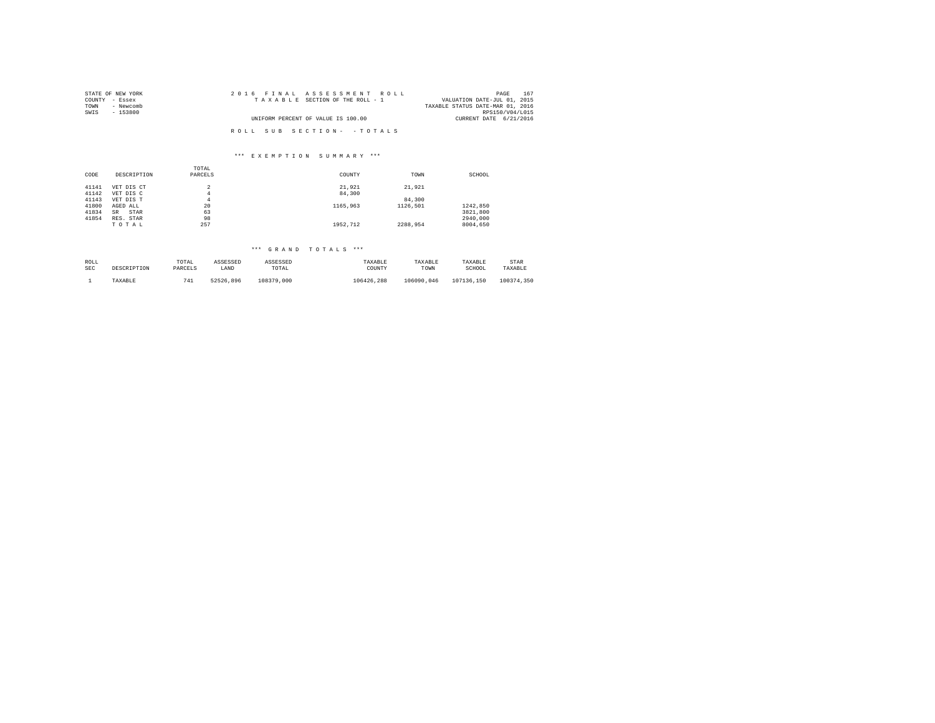| STATE OF NEW YORK | 2016 FINAL ASSESSMENT ROLL         | 167<br>PAGE                      |
|-------------------|------------------------------------|----------------------------------|
| COUNTY - Essex    | TAXABLE SECTION OF THE ROLL - 1    | VALUATION DATE-JUL 01, 2015      |
| TOWN<br>- Newcomb |                                    | TAXABLE STATUS DATE-MAR 01, 2016 |
| SWIS<br>- 153800  |                                    | RPS150/V04/L015                  |
|                   | UNIFORM PERCENT OF VALUE IS 100.00 | CURRENT DATE 6/21/2016           |
|                   | ROLL SUB SECTION- - TOTALS         |                                  |

## \*\*\* E X E M P T I O N S U M M A R Y \*\*\*

|       |             | TOTAL   |          |          |          |
|-------|-------------|---------|----------|----------|----------|
| CODE  | DESCRIPTION | PARCELS | COUNTY   | TOWN     | SCHOOL   |
|       |             |         |          |          |          |
| 41141 | VET DIS CT  |         | 21.921   | 21,921   |          |
| 41142 | VET DIS C   | 4       | 84,300   |          |          |
| 41143 | VET DIS T   | 4       |          | 84,300   |          |
| 41800 | AGED ALL    | 20      | 1165,963 | 1126.501 | 1242.850 |
| 41834 | STAR<br>SR  | 63      |          |          | 3821,800 |
| 41854 | RES. STAR   | 98      |          |          | 2940.000 |
|       | TOTAL       | 257     | 1952.712 | 2288.954 | 8004.650 |

# \*\*\* G R A N D T O T A L S \*\*\*

| ROLL       | DESCRIPTION | TOTAL     | ASSESSED  | ASSESSED   | TAXABLE    | TAXABLE    | TAXABLE    | STAR       |
|------------|-------------|-----------|-----------|------------|------------|------------|------------|------------|
| <b>SEC</b> |             | PARCELS   | LAND      | TOTAL      | COUNTY     | TOWN       | SCHOOL     | TAXABLE    |
|            | TAXABLE     | 741<br>-- | 52526.896 | 108379,000 | 106426.288 | 106090.046 | 107136.150 | 100374.350 |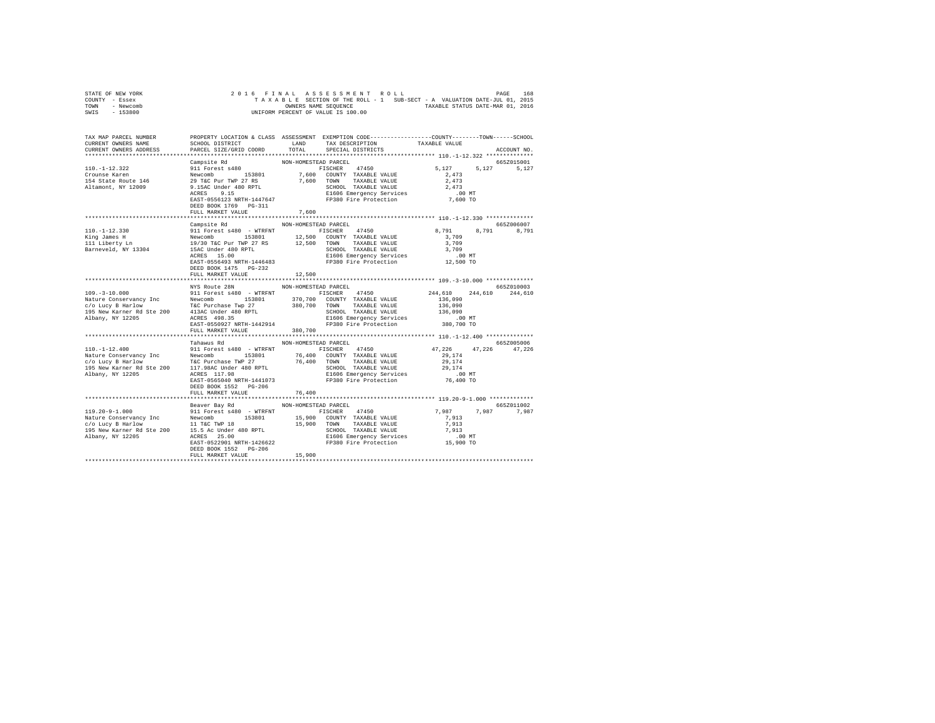| STATE OF NEW YORK |  |  |  | 2016 FINAL ASSESSMENT ROLL         |  |  |  |                                                                          | PAGE | 168 |
|-------------------|--|--|--|------------------------------------|--|--|--|--------------------------------------------------------------------------|------|-----|
| COUNTY - Essex    |  |  |  |                                    |  |  |  | TAXABLE SECTION OF THE ROLL - 1 SUB-SECT - A VALUATION DATE-JUL 01, 2015 |      |     |
| TOWN<br>- Newcomb |  |  |  | OWNERS NAME SEOUENCE               |  |  |  | TAXABLE STATUS DATE-MAR 01, 2016                                         |      |     |
| $-153800$<br>SWIS |  |  |  | UNIFORM PERCENT OF VALUE IS 100.00 |  |  |  |                                                                          |      |     |

| TAX MAP PARCEL NUMBER<br>CURRENT OWNERS NAME<br>CURRENT OWNERS ADDRESS                                                                                                                                                                                                                                                                                                                                                              | SCHOOL DISTRICT LAND<br>PARCEL SIZE/GRID COORD                                | TOTAL                | PROPERTY LOCATION & CLASS ASSESSMENT EXEMPTION CODE---------------COUNTY-------TOWN-----SCHOOL<br>TAX DESCRIPTION<br>SPECIAL DISTRICTS | TAXABLE VALUE        | ACCOUNT NO.         |
|-------------------------------------------------------------------------------------------------------------------------------------------------------------------------------------------------------------------------------------------------------------------------------------------------------------------------------------------------------------------------------------------------------------------------------------|-------------------------------------------------------------------------------|----------------------|----------------------------------------------------------------------------------------------------------------------------------------|----------------------|---------------------|
|                                                                                                                                                                                                                                                                                                                                                                                                                                     |                                                                               |                      |                                                                                                                                        |                      |                     |
| $\begin{tabular}{l c c c c c} \multicolumn{4}{c}{\textbf{Campsite Rd}} & \multicolumn{4}{c}{\textbf{NONF}+{\textbf{COMESTR}}{\textbf{D}}{\textbf{P}+{\textbf{C}CEL}} & \multicolumn{4}{c}{\textbf{5,127}} & \multicolumn{4}{c}{\textbf{5,127}} & \multicolumn{4}{c}{\textbf{5,127}} & \multicolumn{4}{c}{\textbf{5,127}} & \multicolumn{4}{c}{\textbf{5,127}} & \multicolumn{4}{c}{\textbf{5,127}} & \multicolumn{4}{c}{\textbf{5,$ | DEED BOOK 1769 PG-311<br>FULL MARKET VALUE                                    | 7.600                | FISCHER 47450 5,127 5,127<br>7,600 COUNTY TAXABLE VALUE 2,473                                                                          |                      | 665Z015001<br>5.127 |
|                                                                                                                                                                                                                                                                                                                                                                                                                                     | Campsite Rd                                                                   | NON-HOMESTEAD PARCEL |                                                                                                                                        |                      | 665Z006007          |
| $110. -1 - 12.330$<br>King James H<br>King James H<br>111 Liberty Ln<br>Barneveld, NY 13304                                                                                                                                                                                                                                                                                                                                         | DEED BOOK 1475 PG-232<br>FULL MARKET VALUE                                    | 12,500               |                                                                                                                                        |                      | 8,791               |
|                                                                                                                                                                                                                                                                                                                                                                                                                                     | NYS Route 28N                                                                 |                      |                                                                                                                                        |                      | 665Z010003          |
|                                                                                                                                                                                                                                                                                                                                                                                                                                     | FULL MARKET VALUE 380,700                                                     | NON-HOMESTEAD PARCEL |                                                                                                                                        |                      |                     |
|                                                                                                                                                                                                                                                                                                                                                                                                                                     |                                                                               |                      |                                                                                                                                        |                      |                     |
| $110. - 1 - 12.400$                                                                                                                                                                                                                                                                                                                                                                                                                 | Tahawus Rd<br>911 Forest s480 - WTRFNT FISCHER 47450<br>DEED BOOK 1552 PG-206 | NON-HOMESTEAD PARCEL |                                                                                                                                        | 47,226 47,226 47,226 | 665Z005006          |
|                                                                                                                                                                                                                                                                                                                                                                                                                                     | FULL MARKET VALUE                                                             | 76,400               |                                                                                                                                        |                      |                     |
|                                                                                                                                                                                                                                                                                                                                                                                                                                     | Beaver Bay Rd MON-HOMESTEAD PARCEL<br>FULL MARKET VALUE                       | 15,900               |                                                                                                                                        | 7,987 7,987 7,987    | 665Z011002          |
|                                                                                                                                                                                                                                                                                                                                                                                                                                     |                                                                               |                      |                                                                                                                                        |                      |                     |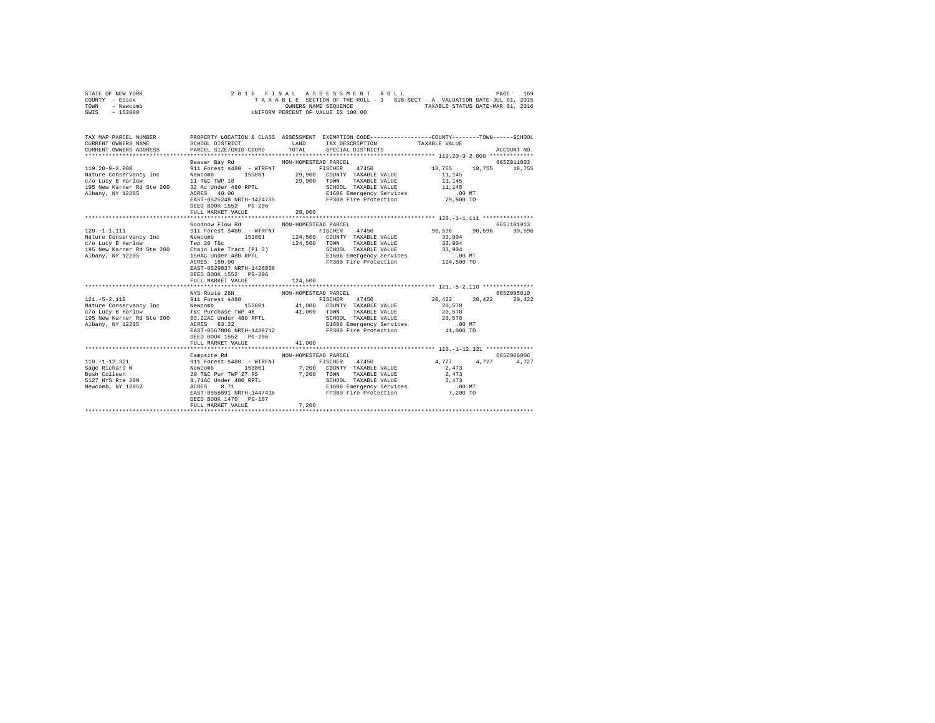|                | STATE OF NEW YORK |  |  |  | 2016 FINAL ASSESSMENT ROLL         |  |  |  |                                                                          | PAGE | 169 |
|----------------|-------------------|--|--|--|------------------------------------|--|--|--|--------------------------------------------------------------------------|------|-----|
| COUNTY - Essex |                   |  |  |  |                                    |  |  |  | TAXABLE SECTION OF THE ROLL - 1 SUB-SECT - A VALUATION DATE-JUL 01, 2015 |      |     |
| TOWN           | - Newcomb         |  |  |  | OWNERS NAME SEOUENCE               |  |  |  | TAXABLE STATUS DATE-MAR 01, 2016                                         |      |     |
| SWIS           | - 153800          |  |  |  | UNIFORM PERCENT OF VALUE IS 100.00 |  |  |  |                                                                          |      |     |

| TAX MAP PARCEL NUMBER                                                                                                                                                                                                                                             |                                                                                                                                |                      | PROPERTY LOCATION & CLASS ASSESSMENT EXEMPTION CODE---------------COUNTY-------TOWN------SCHOOL |                         |             |
|-------------------------------------------------------------------------------------------------------------------------------------------------------------------------------------------------------------------------------------------------------------------|--------------------------------------------------------------------------------------------------------------------------------|----------------------|-------------------------------------------------------------------------------------------------|-------------------------|-------------|
|                                                                                                                                                                                                                                                                   |                                                                                                                                |                      |                                                                                                 |                         |             |
|                                                                                                                                                                                                                                                                   | Beaver Bay Rd         NON-HOMESTEAD PARCEL<br>911 Forest s480 - WTRFNT         FISCHER  47450         18,755   18,755   18,755 |                      |                                                                                                 |                         |             |
| 119.20-9-2.000                                                                                                                                                                                                                                                    |                                                                                                                                |                      |                                                                                                 |                         |             |
|                                                                                                                                                                                                                                                                   |                                                                                                                                |                      |                                                                                                 | 11,145                  |             |
|                                                                                                                                                                                                                                                                   |                                                                                                                                |                      | 29,900 TOWN TAXABLE VALUE                                                                       | 11,145                  |             |
|                                                                                                                                                                                                                                                                   |                                                                                                                                |                      |                                                                                                 |                         |             |
|                                                                                                                                                                                                                                                                   |                                                                                                                                |                      | SCHOOL TAXABLE VALUE 11,145<br>E1606 Emergency Services .00 MT                                  |                         |             |
|                                                                                                                                                                                                                                                                   | EAST-0525248 NRTH-1424735<br>DEED BOOK 1552 PG-206<br>FULL MARKET VALUE                                                        | 29,900               | FP380 Fire Protection 29,900 TO                                                                 |                         |             |
|                                                                                                                                                                                                                                                                   |                                                                                                                                |                      |                                                                                                 |                         |             |
|                                                                                                                                                                                                                                                                   | Goodnow Flow Rd                                                                                                                | NON-HOMESTEAD PARCEL |                                                                                                 |                         | 665.7101913 |
|                                                                                                                                                                                                                                                                   |                                                                                                                                |                      |                                                                                                 | 90,596 90,596 90,596    |             |
|                                                                                                                                                                                                                                                                   |                                                                                                                                |                      |                                                                                                 |                         |             |
|                                                                                                                                                                                                                                                                   |                                                                                                                                |                      |                                                                                                 |                         |             |
|                                                                                                                                                                                                                                                                   |                                                                                                                                |                      |                                                                                                 |                         |             |
|                                                                                                                                                                                                                                                                   |                                                                                                                                |                      |                                                                                                 |                         |             |
| $\begin{tabular}{l c c c c c c c c} \hline 120.-1-1.111 & 90.0-0.0000 & 90.0000 & 90.0000 & 90.0000 & 90.0000 & 90.0000 & 90.0000 & 90.0000 & 90.0000 & 90.0000 & 90.0000 & 90.0000 & 90.0000 & 90.0000 & 90.0000 & 90.0000 & 90.0000 & 90.0000 & 90.0000 & 90.0$ |                                                                                                                                |                      |                                                                                                 |                         |             |
|                                                                                                                                                                                                                                                                   | EAST-0529837 NRTH-1426056                                                                                                      |                      |                                                                                                 |                         |             |
|                                                                                                                                                                                                                                                                   | DEED BOOK 1552 PG-206<br>FULL MARKET VALUE                                                                                     | 124,500              |                                                                                                 |                         |             |
|                                                                                                                                                                                                                                                                   |                                                                                                                                |                      |                                                                                                 |                         |             |
|                                                                                                                                                                                                                                                                   |                                                                                                                                |                      |                                                                                                 |                         | 665Z005010  |
|                                                                                                                                                                                                                                                                   |                                                                                                                                |                      | FISCHER 47450 20,422 20,422                                                                     |                         | 20,422      |
|                                                                                                                                                                                                                                                                   |                                                                                                                                |                      |                                                                                                 |                         |             |
|                                                                                                                                                                                                                                                                   |                                                                                                                                |                      |                                                                                                 |                         |             |
|                                                                                                                                                                                                                                                                   |                                                                                                                                |                      |                                                                                                 |                         |             |
|                                                                                                                                                                                                                                                                   |                                                                                                                                |                      |                                                                                                 |                         |             |
|                                                                                                                                                                                                                                                                   |                                                                                                                                |                      |                                                                                                 |                         |             |
|                                                                                                                                                                                                                                                                   | DEED BOOK 1552 PG-206                                                                                                          |                      |                                                                                                 |                         |             |
|                                                                                                                                                                                                                                                                   | FULL MARKET VALUE                                                                                                              | 41,000               |                                                                                                 |                         |             |
|                                                                                                                                                                                                                                                                   |                                                                                                                                |                      |                                                                                                 |                         |             |
|                                                                                                                                                                                                                                                                   | Campsite Rd                                                                                                                    | NON-HOMESTEAD PARCEL |                                                                                                 |                         | 665Z006006  |
|                                                                                                                                                                                                                                                                   |                                                                                                                                |                      |                                                                                                 | $4,727$ $4,727$ $4,727$ |             |
|                                                                                                                                                                                                                                                                   |                                                                                                                                |                      |                                                                                                 |                         |             |
|                                                                                                                                                                                                                                                                   |                                                                                                                                |                      |                                                                                                 |                         |             |
|                                                                                                                                                                                                                                                                   |                                                                                                                                |                      |                                                                                                 |                         |             |
|                                                                                                                                                                                                                                                                   |                                                                                                                                |                      |                                                                                                 |                         |             |
|                                                                                                                                                                                                                                                                   | EAST-0556691 NRTH-1447416<br>DEED BOOK 1470 PG-187                                                                             |                      | FP380 Fire Protection 7,200 TO                                                                  |                         |             |
|                                                                                                                                                                                                                                                                   | FULL MARKET VALUE                                                                                                              | 7.200                |                                                                                                 |                         |             |
|                                                                                                                                                                                                                                                                   |                                                                                                                                |                      |                                                                                                 |                         |             |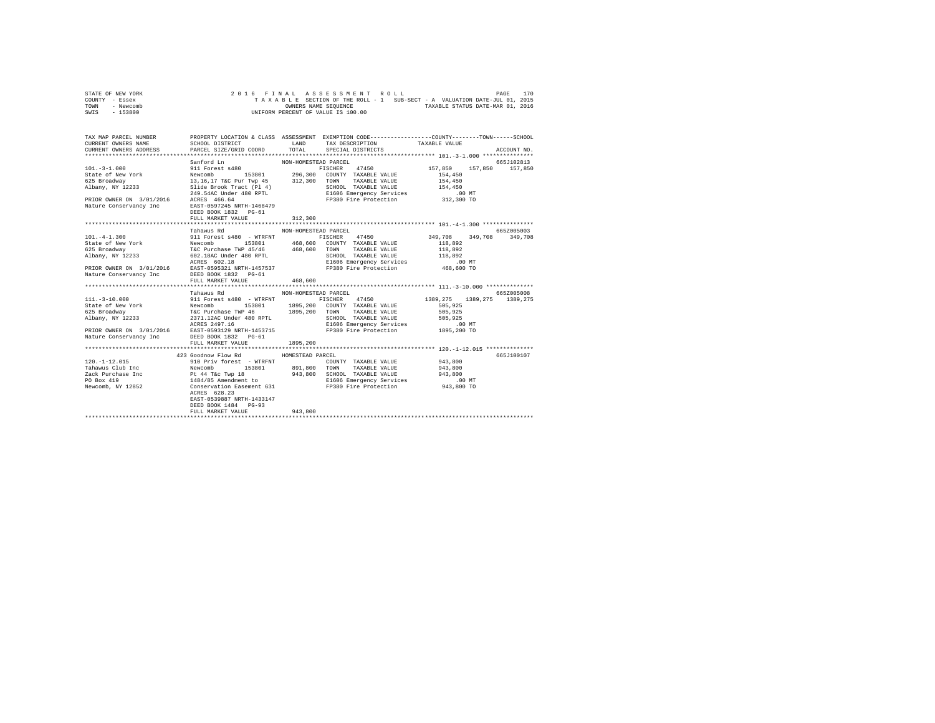| STATE OF NEW YORK |  |  | 2016 FINAL ASSESSMENT ROLL         |  |  |  |                                                                          | PAGE | 170 |
|-------------------|--|--|------------------------------------|--|--|--|--------------------------------------------------------------------------|------|-----|
| COUNTY - Essex    |  |  |                                    |  |  |  | TAXABLE SECTION OF THE ROLL - 1 SUB-SECT - A VALUATION DATE-JUL 01, 2015 |      |     |
| TOWN<br>- Newcomb |  |  | OWNERS NAME SEOUENCE               |  |  |  | TAXABLE STATUS DATE-MAR 01, 2016                                         |      |     |
| - 153800<br>SWIS  |  |  | UNIFORM PERCENT OF VALUE IS 100.00 |  |  |  |                                                                          |      |     |

| TAX MAP PARCEL NUMBER<br>CURRENT OWNERS NAME<br>CURRENT OWNERS ADDRESS PARCEL SIZE/GRID COORD TOTAL SPECIAL DISTRICTS |                                                                                        |          | PROPERTY LOCATION & CLASS ASSESSMENT EXEMPTION CODE---------------COUNTY-------TOWN------SCHOOL<br>ACCOUNT NO. |  |
|-----------------------------------------------------------------------------------------------------------------------|----------------------------------------------------------------------------------------|----------|----------------------------------------------------------------------------------------------------------------|--|
| Nature Conservancy Inc EAST-0597245 NRTH-1468479                                                                      | DEED BOOK 1832    PG-61<br>FULL MARKET VALUE                                           | 312,300  | 665.T102813<br>FISCHER 47450 157,850 157,850 157,850                                                           |  |
|                                                                                                                       |                                                                                        |          |                                                                                                                |  |
|                                                                                                                       | Tahawus Rd MON-HOMESTEAD PARCEL                                                        |          | 6652005003                                                                                                     |  |
|                                                                                                                       | FULL MARKET VALUE 468,600<br>Tahawus Rd MON-HOMESTEAD PARCEL                           |          | FISCHER 47450 349,708 349,708 349,708<br>665Z005008                                                            |  |
| Nature Conservancy Inc BEED BOOK 1832 PG-61                                                                           |                                                                                        |          |                                                                                                                |  |
|                                                                                                                       | FULL MARKET VALUE                                                                      | 1895,200 |                                                                                                                |  |
|                                                                                                                       |                                                                                        |          |                                                                                                                |  |
|                                                                                                                       | 423 Goodnow Flow Rd MOMESTEAD PARCEL                                                   |          | 665J100107                                                                                                     |  |
|                                                                                                                       |                                                                                        |          |                                                                                                                |  |
|                                                                                                                       |                                                                                        |          |                                                                                                                |  |
|                                                                                                                       |                                                                                        |          |                                                                                                                |  |
|                                                                                                                       |                                                                                        |          |                                                                                                                |  |
|                                                                                                                       | ACRES 628.23<br>EAST-0539887 NRTH-1433147<br>DEED BOOK 1484 PG-93<br>FULL MARKET VALUE | 943,800  |                                                                                                                |  |
|                                                                                                                       |                                                                                        |          |                                                                                                                |  |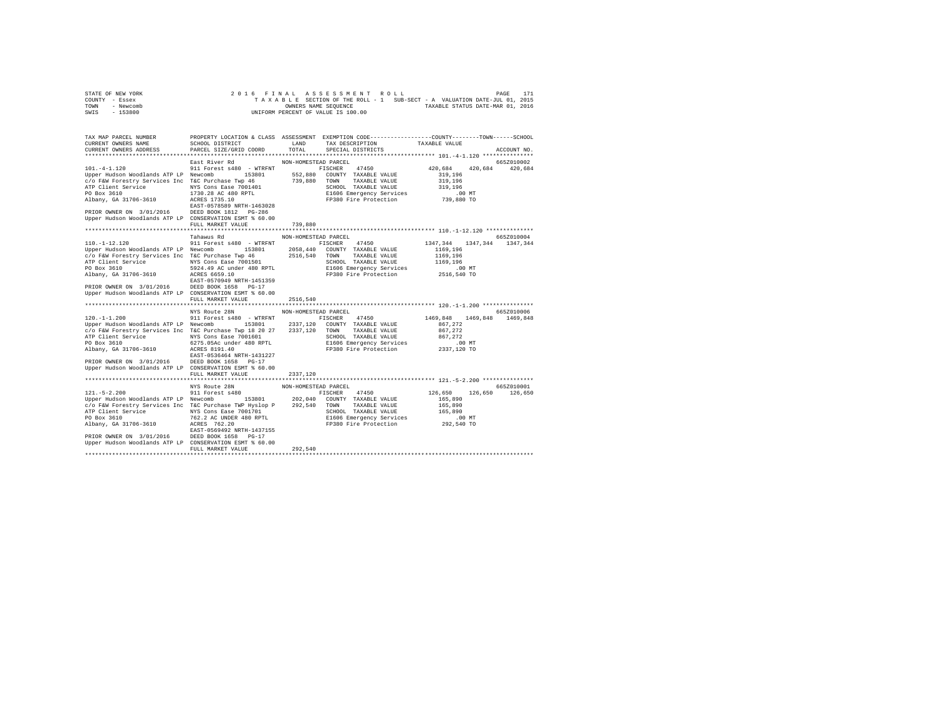|                | STATE OF NEW YORK |  |  |  |  | 2016 FINAL ASSESSMENT ROLL         |  |  |                                                                          |                                  | PAGE | 171 |
|----------------|-------------------|--|--|--|--|------------------------------------|--|--|--------------------------------------------------------------------------|----------------------------------|------|-----|
| COUNTY - Essex |                   |  |  |  |  |                                    |  |  | TAXABLE SECTION OF THE ROLL - 1 SUB-SECT - A VALUATION DATE-JUL 01, 2015 |                                  |      |     |
| TOWN           | - Newcomb         |  |  |  |  | OWNERS NAME SEOUENCE               |  |  |                                                                          | TAXABLE STATUS DATE-MAR 01, 2016 |      |     |
| SWIS           | - 153800          |  |  |  |  | UNIFORM PERCENT OF VALUE IS 100.00 |  |  |                                                                          |                                  |      |     |

| TAX MAP PARCEL NUMBER<br>CURRENT OWNERS NAME<br>CURRENT OWNERS ADDRESS PARCEL SIZE/GRID COORD                                                                                                                                                                                                                                                           |                                                                 |                                  |                                                                    |                         |             |
|---------------------------------------------------------------------------------------------------------------------------------------------------------------------------------------------------------------------------------------------------------------------------------------------------------------------------------------------------------|-----------------------------------------------------------------|----------------------------------|--------------------------------------------------------------------|-------------------------|-------------|
|                                                                                                                                                                                                                                                                                                                                                         |                                                                 |                                  | TOTAL SPECIAL DISTRICTS                                            |                         | ACCOUNT NO. |
| 3<br>2011 Forest A480 - WTRFWT PICCHER AND FIGURE AND PRECENT AND POLATION OF PERIOD PERIOD PERIOD PERIOD PERIOD AND PERIOD STOLEN AND PERIOD AND PERIOD AT A 20,684<br>2009 FEW POLENT SCHEM AND THE STOLEN SCHEM AND STOLEN AND<br>Upper Hudson Woodlands ATP LP CONSERVATION ESMT % 60.00                                                            | East River Rd MON-HOMESTEAD PARCEL<br>FULL MARKET VALUE 739,880 |                                  |                                                                    |                         | 665Z010002  |
|                                                                                                                                                                                                                                                                                                                                                         |                                                                 |                                  |                                                                    |                         |             |
| $110. - 1 - 12.120$<br>1997 -121.120<br>The Termin Construct Communication (1997) -1211 -1212<br>C/O F&W Forestry Services Inc T&C Purchase Twp 46<br>C/O F&W Forestry Services Inc T&C Purchase Twp 46<br>2516,540 TOWN TAXABLE VALUE 1169,196<br>ATP Client S<br>Upper Hudson Woodlands ATP LP CONSERVATION ESMT % 60.00                              | Tahawus Rd<br>FULL MARKET VALUE                                 | NON-HOMESTEAD PARCEL<br>2516,540 | 1991 Forest s480 - WTRFNT FISCHER 47450 1347,344 1347,344 1347,344 |                         | 665Z010004  |
|                                                                                                                                                                                                                                                                                                                                                         |                                                                 |                                  |                                                                    |                         |             |
| 120.12096652010006/https://www.homore.com/more.com/more.com/more.com/more.com/more.com/more.com/more.com/more<br>120.11.200 911 Forest s480 - WTRFNT FISCHER 47450 1469,848 1469,848 1469,848 1469,848<br>Upper Hudson Woodlands ATP LP Newcomb 153801 2337,120 COUNTY TAXABLE VALUE 867,272<br>Upper Hudson Woodlands ATP LP CONSERVATION ESMT % 60.00 |                                                                 |                                  |                                                                    |                         |             |
|                                                                                                                                                                                                                                                                                                                                                         | FULL MARKET VALUE                                               | 2337,120                         |                                                                    |                         |             |
|                                                                                                                                                                                                                                                                                                                                                         |                                                                 |                                  |                                                                    | 126.650 126.650 126.650 | 665Z010001  |
|                                                                                                                                                                                                                                                                                                                                                         | FULL MARKET VALUE                                               | 292,540                          |                                                                    |                         |             |
|                                                                                                                                                                                                                                                                                                                                                         |                                                                 |                                  |                                                                    |                         |             |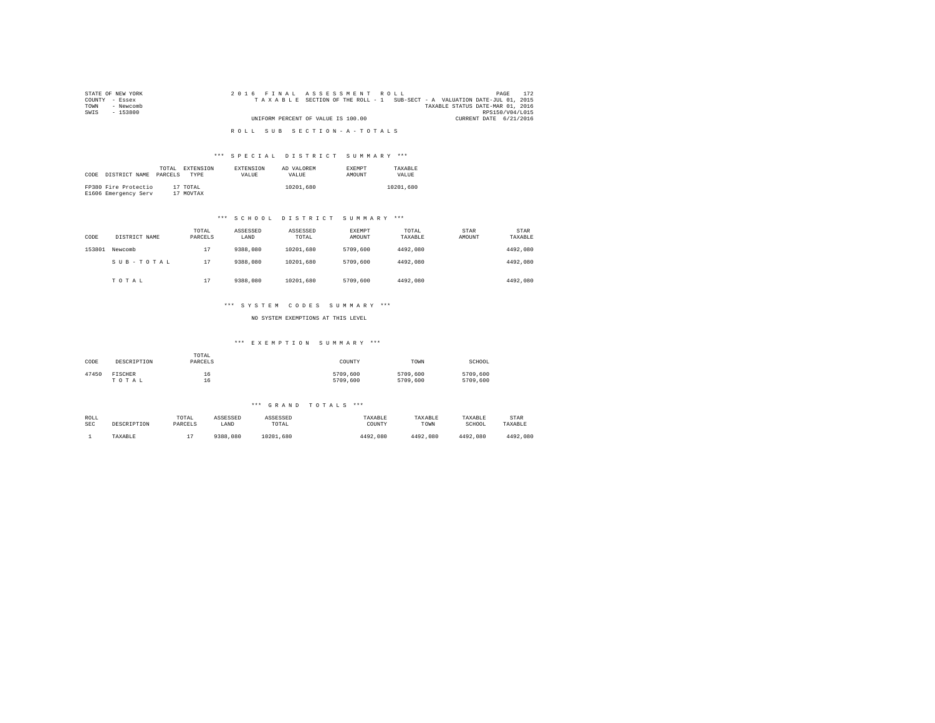| STATE OF NEW YORK | 2016 FINAL ASSESSMENT ROLL                                               | PAGE                   | 172 |
|-------------------|--------------------------------------------------------------------------|------------------------|-----|
| COUNTY - Essex    | TAXABLE SECTION OF THE ROLL - 1 SUB-SECT - A VALUATION DATE-JUL 01, 2015 |                        |     |
| TOWN<br>- Newcomb | TAXABLE STATUS DATE-MAR 01, 2016                                         |                        |     |
| SWIS<br>$-153800$ |                                                                          | RPS150/V04/L015        |     |
|                   | UNIFORM PERCENT OF VALUE IS 100.00                                       | CURRENT DATE 6/21/2016 |     |
|                   |                                                                          |                        |     |
|                   | ROLL SUB SECTION-A-TOTALS                                                |                        |     |

### \*\*\* S P E C I A L D I S T R I C T S U M M A R Y \*\*\*

| CODE | DISTRICT NAME                                | TOTAL<br>PARCELS | <b>EXTENSION</b><br><b>TYPE</b> | <b>EXTENSION</b><br>VALUE | AD VALOREM<br>VALUE | <b>EXEMPT</b><br>AMOUNT | TAXARLE<br>VALUE |
|------|----------------------------------------------|------------------|---------------------------------|---------------------------|---------------------|-------------------------|------------------|
|      | FP380 Fire Protectio<br>E1606 Emergency Serv |                  | 17 TOTAL<br>17 MOVTAX           |                           | 10201,680           |                         | 10201,680        |

### \*\*\* S C H O O L D I S T R I C T S U M M A R Y \*\*\*

| CODE   | DISTRICT NAME | TOTAL<br>PARCELS | ASSESSED<br>LAND | ASSESSED<br>TOTAL | <b>EXEMPT</b><br>AMOUNT | TOTAL<br>TAXABLE | STAR<br>AMOUNT | <b>STAR</b><br>TAXABLE |
|--------|---------------|------------------|------------------|-------------------|-------------------------|------------------|----------------|------------------------|
| 153801 | Newcomb       | 17               | 9388,080         | 10201.680         | 5709,600                | 4492.080         |                | 4492.080               |
|        | SUB-TOTAL     | 17               | 9388,080         | 10201.680         | 5709,600                | 4492.080         |                | 4492.080               |
|        | TOTAL         | 17               | 9388,080         | 10201.680         | 5709,600                | 4492.080         |                | 4492.080               |

### \*\*\* S Y S T E M C O D E S S U M M A R Y \*\*\*

NO SYSTEM EXEMPTIONS AT THIS LEVEL

### \*\*\* E X E M P T I O N S U M M A R Y \*\*\*

| CODE  | DESCRIPTION | TOTAL<br>PARCELS | COUNTY   | TOWN     | SCHOOL   |
|-------|-------------|------------------|----------|----------|----------|
| 47450 | FISCHER     | 16               | 5709,600 | 5709,600 | 5709,600 |
|       | TOTAL       | 16               | 5709,600 | 5709,600 | 5709,600 |

#### \*\*\* G R A N D T O T A L S \*\*\*

| ROLL       | DESCRIPTION | TOTAL   | ASSESSED | ASSESSED  | TAXABLE  | TAXABLE  | TAXABLE  | STAR     |
|------------|-------------|---------|----------|-----------|----------|----------|----------|----------|
| <b>SEC</b> |             | PARCELS | LAND     | TOTAL     | COUNTY   | TOWN     | SCHOOL   | TAXABLE  |
|            | TAXABLE     |         | 9388,080 | 10201.680 | 4492.080 | 4492.080 | 4492.080 | 4492.080 |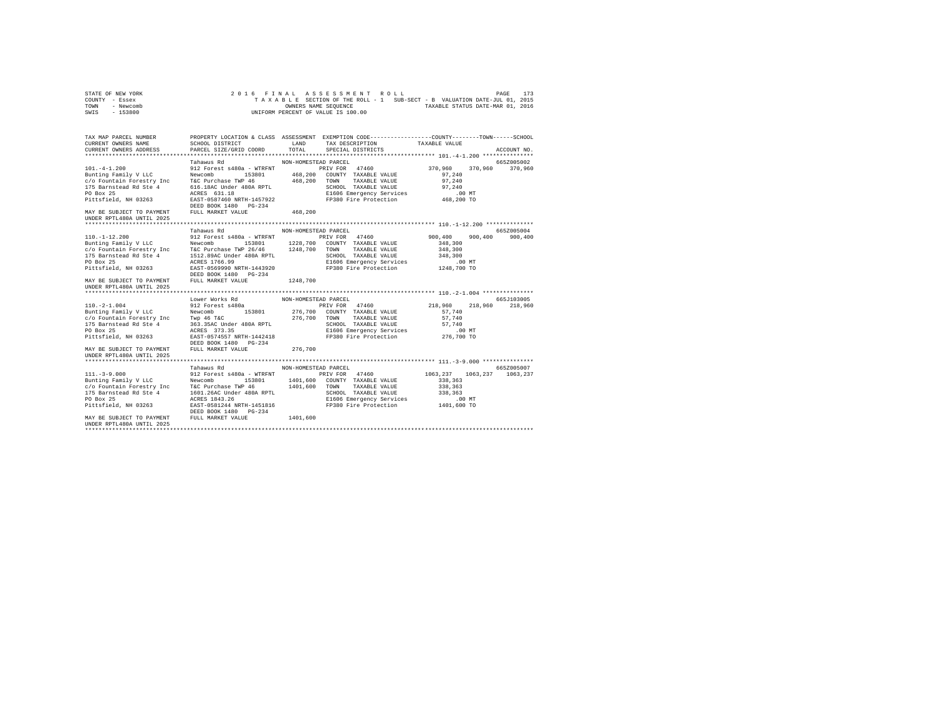|                | STATE OF NEW YORK |  |  |  |  | 2016 FINAL ASSESSMENT ROLL         |  |  |  |  |                                                                          | PAGE | 173 |
|----------------|-------------------|--|--|--|--|------------------------------------|--|--|--|--|--------------------------------------------------------------------------|------|-----|
| COUNTY - Essex |                   |  |  |  |  |                                    |  |  |  |  | TAXABLE SECTION OF THE ROLL - 1 SUB-SECT - B VALUATION DATE-JUL 01, 2015 |      |     |
| TOWN           | - Newcomb         |  |  |  |  | OWNERS NAME SEOUENCE               |  |  |  |  | TAXABLE STATUS DATE-MAR 01, 2016                                         |      |     |
| SWIS           | - 153800          |  |  |  |  | UNIFORM PERCENT OF VALUE IS 100.00 |  |  |  |  |                                                                          |      |     |

| UNDER RPTL480A UNTIL 2025                                                         |                                     | 101.-4-1.200<br>101.-4-1.200<br>101.-4-1.200<br>2012 Tahawus Rd<br>201.-4-1.200<br>2012 The Meycomb 153801<br>2012 Tahawus Rd<br>201.-4-1.200<br>201.-4-1.200<br>201.-4-1.200<br>201.-4-1.200<br>201.-4-1.200<br>201.-4-1.200<br>201.000 TaxABLE VALUE<br> |            |
|-----------------------------------------------------------------------------------|-------------------------------------|------------------------------------------------------------------------------------------------------------------------------------------------------------------------------------------------------------------------------------------------------------|------------|
|                                                                                   | Tahawus Rd MON-HOMESTEAD PARCEL     |                                                                                                                                                                                                                                                            | 6652005004 |
| UNDER RPTL480A UNTIL 2025                                                         | Lower Works Rd MON-HOMESTEAD PARCEL |                                                                                                                                                                                                                                                            | 665J103005 |
| MAY BE SUBJECT TO PAYMENT FULL MARKET VALUE 1401,600<br>UNDER RPTL480A UNTIL 2025 |                                     | 111.-3-9.000<br>111.-3-9.000<br>111.-3-9.000 Tahawus Rd<br>2012 Forest 480a – WIN-HOMESTEAD PARCEL<br>2012 The Newcomb 153801 1401,600 COUNTY TAXABLE VALUE<br>202 238,363<br>2012 TAXABLE VALUE 338,363<br>2013 TAXABLE VALUE 338,363<br>202              |            |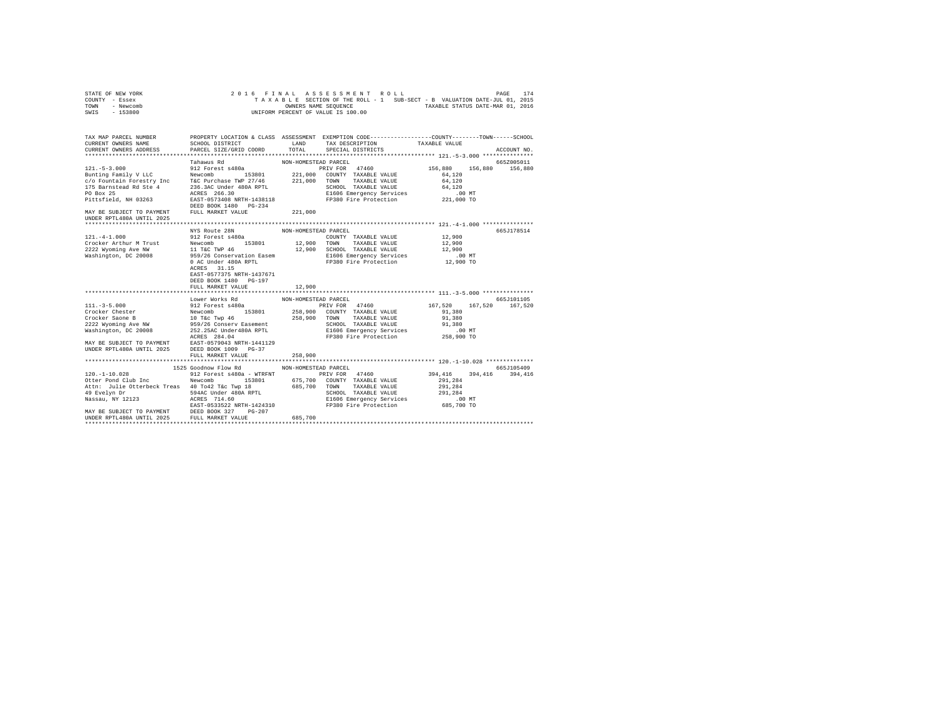|                | STATE OF NEW YORK |  |  |  | 2016 FINAL ASSESSMENT ROLL         |  |  |  |                                                                          | PAGE | 174 |
|----------------|-------------------|--|--|--|------------------------------------|--|--|--|--------------------------------------------------------------------------|------|-----|
| COUNTY - Essex |                   |  |  |  |                                    |  |  |  | TAXABLE SECTION OF THE ROLL - 1 SUB-SECT - B VALUATION DATE-JUL 01, 2015 |      |     |
| TOWN           | - Newcomb         |  |  |  | OWNERS NAME SEOUENCE               |  |  |  | TAXABLE STATUS DATE-MAR 01, 2016                                         |      |     |
| SWIS           | - 153800          |  |  |  | UNIFORM PERCENT OF VALUE IS 100.00 |  |  |  |                                                                          |      |     |

| TAX MAP PARCEL NUMBER                                                                                                                                                                                                                        | PROPERTY LOCATION & CLASS ASSESSMENT EXEMPTION CODE----------------COUNTY--------TOWN-----SCHOOL |                      |                                                                                                                                            |                               |             |
|----------------------------------------------------------------------------------------------------------------------------------------------------------------------------------------------------------------------------------------------|--------------------------------------------------------------------------------------------------|----------------------|--------------------------------------------------------------------------------------------------------------------------------------------|-------------------------------|-------------|
| CURRENT OWNERS NAME                                                                                                                                                                                                                          | SCHOOL DISTRICT                                                                                  |                      | ${\small \begin{tabular}{llllll} \bf{LAND} & \tt{TAX} \atop \tt{DESCRIPITION} & \tt{TXABLE} \atop \tt{DTAL} & \tt{SPECIAL} \end{tabular}}$ |                               |             |
| CURRENT OWNERS ADDRESS PARCEL SIZE/GRID COORD                                                                                                                                                                                                |                                                                                                  |                      |                                                                                                                                            |                               | ACCOUNT NO. |
|                                                                                                                                                                                                                                              |                                                                                                  |                      |                                                                                                                                            |                               |             |
|                                                                                                                                                                                                                                              | Tahawus Rd                                                                                       | NON-HOMESTEAD PARCEL |                                                                                                                                            |                               | 665Z005011  |
|                                                                                                                                                                                                                                              |                                                                                                  |                      | PRIV FOR 47460 156,880 156,880 156,880                                                                                                     |                               |             |
|                                                                                                                                                                                                                                              |                                                                                                  |                      |                                                                                                                                            |                               |             |
|                                                                                                                                                                                                                                              |                                                                                                  |                      |                                                                                                                                            |                               |             |
|                                                                                                                                                                                                                                              |                                                                                                  |                      |                                                                                                                                            |                               |             |
|                                                                                                                                                                                                                                              |                                                                                                  |                      |                                                                                                                                            |                               |             |
|                                                                                                                                                                                                                                              |                                                                                                  |                      |                                                                                                                                            |                               |             |
|                                                                                                                                                                                                                                              |                                                                                                  |                      |                                                                                                                                            |                               |             |
| MAY BE SUBJECT TO PAYMENT FULL MARKET VALUE 221,000                                                                                                                                                                                          |                                                                                                  |                      |                                                                                                                                            |                               |             |
| UNDER RPTL480A UNTIL 2025                                                                                                                                                                                                                    |                                                                                                  |                      |                                                                                                                                            |                               |             |
|                                                                                                                                                                                                                                              |                                                                                                  |                      |                                                                                                                                            |                               |             |
| 121.-4-1.000<br>12 Forest 8480a<br>212 Forest 8480a<br>2222 Wyoming Ave NW 11 T&C TWP 46<br>2222 Wyoming Ave NW 11 T&C TWP 46<br>2222 Wyoming Ave NW 11 T&C TWP 46<br>2222 Wyoming Ave NW 11 T&C TWP 46<br>2222 Wyoming Ave NW 12, 200 20008 |                                                                                                  |                      |                                                                                                                                            |                               | 665J178514  |
|                                                                                                                                                                                                                                              |                                                                                                  |                      |                                                                                                                                            |                               |             |
|                                                                                                                                                                                                                                              |                                                                                                  |                      |                                                                                                                                            |                               |             |
|                                                                                                                                                                                                                                              |                                                                                                  |                      |                                                                                                                                            |                               |             |
|                                                                                                                                                                                                                                              |                                                                                                  |                      |                                                                                                                                            |                               |             |
|                                                                                                                                                                                                                                              |                                                                                                  |                      |                                                                                                                                            |                               |             |
|                                                                                                                                                                                                                                              |                                                                                                  |                      |                                                                                                                                            |                               |             |
|                                                                                                                                                                                                                                              |                                                                                                  |                      |                                                                                                                                            |                               |             |
|                                                                                                                                                                                                                                              |                                                                                                  |                      |                                                                                                                                            |                               |             |
|                                                                                                                                                                                                                                              |                                                                                                  |                      |                                                                                                                                            |                               |             |
|                                                                                                                                                                                                                                              | FULL MARKET VALUE                                                                                | 12,900               |                                                                                                                                            |                               |             |
|                                                                                                                                                                                                                                              |                                                                                                  |                      |                                                                                                                                            |                               |             |
|                                                                                                                                                                                                                                              | Lower Works Rd                                                                                   | NON-HOMESTEAD PARCEL |                                                                                                                                            |                               | 665J101105  |
|                                                                                                                                                                                                                                              |                                                                                                  |                      |                                                                                                                                            | $167,520$ $167,520$ $167,520$ |             |
|                                                                                                                                                                                                                                              |                                                                                                  |                      |                                                                                                                                            |                               |             |
|                                                                                                                                                                                                                                              |                                                                                                  |                      |                                                                                                                                            |                               |             |
|                                                                                                                                                                                                                                              |                                                                                                  |                      |                                                                                                                                            |                               |             |
|                                                                                                                                                                                                                                              |                                                                                                  |                      |                                                                                                                                            |                               |             |
|                                                                                                                                                                                                                                              |                                                                                                  |                      |                                                                                                                                            |                               |             |
| 111. -3-5.000<br>212 Forest side with the PRIV FOR 47460<br>Crocker Chester Reservation (258,900 COUNTY TAXABLE VALUE 91,380<br>Crocker Saone B 10 Tác Twp 46 258,900 COUNTY TAXABLE VALUE 91,380<br>2222 Wyoming Ave NW 959/26 Con          |                                                                                                  |                      |                                                                                                                                            |                               |             |
| UNDER RPTL480A UNTIL 2025 DEED BOOK 1009 PG-37                                                                                                                                                                                               |                                                                                                  |                      |                                                                                                                                            |                               |             |
|                                                                                                                                                                                                                                              | FULL MARKET VALUE                                                                                | 258,900              |                                                                                                                                            |                               |             |
|                                                                                                                                                                                                                                              |                                                                                                  |                      |                                                                                                                                            |                               |             |
|                                                                                                                                                                                                                                              | 1525 Goodnow Flow Rd                                                                             | NON-HOMESTEAD PARCEL |                                                                                                                                            |                               | 665J105409  |
|                                                                                                                                                                                                                                              |                                                                                                  |                      |                                                                                                                                            |                               |             |
|                                                                                                                                                                                                                                              |                                                                                                  |                      |                                                                                                                                            |                               |             |
|                                                                                                                                                                                                                                              |                                                                                                  |                      |                                                                                                                                            |                               |             |
|                                                                                                                                                                                                                                              |                                                                                                  |                      |                                                                                                                                            |                               |             |
|                                                                                                                                                                                                                                              |                                                                                                  |                      |                                                                                                                                            |                               |             |
|                                                                                                                                                                                                                                              |                                                                                                  |                      |                                                                                                                                            |                               |             |
|                                                                                                                                                                                                                                              |                                                                                                  |                      |                                                                                                                                            |                               |             |
|                                                                                                                                                                                                                                              |                                                                                                  |                      |                                                                                                                                            |                               |             |
|                                                                                                                                                                                                                                              |                                                                                                  |                      |                                                                                                                                            |                               |             |
|                                                                                                                                                                                                                                              |                                                                                                  |                      |                                                                                                                                            |                               |             |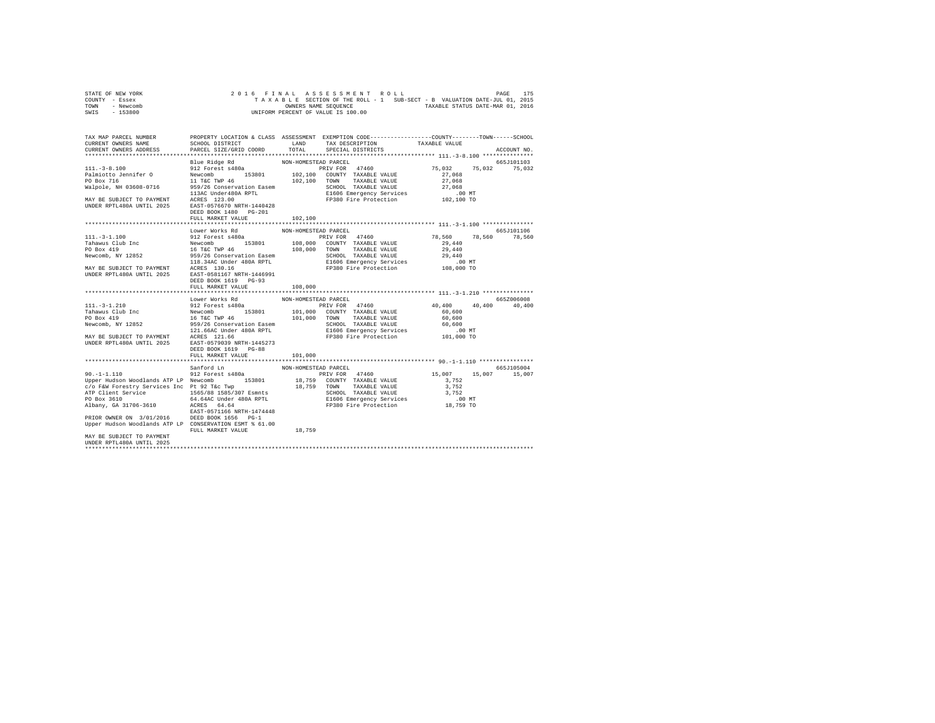| STATE OF NEW YORK | 2016 FINAL ASSESSMENT ROLL                                               | 175<br>PAGE                      |
|-------------------|--------------------------------------------------------------------------|----------------------------------|
| COUNTY - Essex    | TAXABLE SECTION OF THE ROLL - 1 SUB-SECT - B VALUATION DATE-JUL 01, 2015 |                                  |
| TOWN<br>- Newcomb | OWNERS NAME SEOUENCE                                                     | TAXABLE STATUS DATE-MAR 01, 2016 |
| SWIS<br>$-153800$ | UNIFORM PERCENT OF VALUE IS 100.00                                       |                                  |

| TAX MAP PARCEL NUMBER<br>CURRENT OWNERS NAME                                                                                                                                                                                                                                                                   | SCHOOL DISTRICT                                                                                 | LAND                            | PROPERTY LOCATION & CLASS ASSESSMENT EXEMPTION CODE----------------COUNTY-------TOWN-----SCHOOL<br>TAX DESCRIPTION                                      | TAXABLE VALUE                                                                        |                                              |
|----------------------------------------------------------------------------------------------------------------------------------------------------------------------------------------------------------------------------------------------------------------------------------------------------------------|-------------------------------------------------------------------------------------------------|---------------------------------|---------------------------------------------------------------------------------------------------------------------------------------------------------|--------------------------------------------------------------------------------------|----------------------------------------------|
| CURRENT OWNERS ADDRESS                                                                                                                                                                                                                                                                                         | PARCEL SIZE/GRID COORD                                                                          | TOTAL                           | SPECIAL DISTRICTS                                                                                                                                       |                                                                                      | ACCOUNT NO.                                  |
|                                                                                                                                                                                                                                                                                                                |                                                                                                 |                                 |                                                                                                                                                         |                                                                                      | 665J101103                                   |
|                                                                                                                                                                                                                                                                                                                | DEED BOOK 1480 PG-201                                                                           |                                 |                                                                                                                                                         | 75,032<br>27,068<br>27,068<br>27,068<br>.00MT<br>102,100 TO                          | 75,032 75,032                                |
|                                                                                                                                                                                                                                                                                                                | FULL MARKET VALUE                                                                               | 102,100                         |                                                                                                                                                         |                                                                                      |                                              |
|                                                                                                                                                                                                                                                                                                                |                                                                                                 |                                 |                                                                                                                                                         |                                                                                      |                                              |
| 111.-3-1.100<br>212 Forest a480a<br>Tahawus Club Inc<br>212 Forest a480a<br>213801 108,000 COUNTY TAXABLE VALUE<br>20 Box 419<br>20 Box 419<br>20 108,000 COUNTY TAXABLE VALUE<br>20 108,000 COUNTY TAXABLE VALUE<br>216 118.340C doner 480A RP                                                                | Lower Works Rd<br>DEED BOOK 1619 PG-93<br>FULL MARKET VALUE<br>DEED BOOK 1619 PG-88             | NON-HOMESTEAD PARCEL<br>108,000 |                                                                                                                                                         | 78,560 78,560<br>29,440<br>29,440<br>29,440<br>.00 MT<br>108,000 TO<br>40,400 40,400 | 665J101106<br>78,560<br>665Z006008<br>40,400 |
|                                                                                                                                                                                                                                                                                                                | FULL MARKET VALUE                                                                               | 101,000                         |                                                                                                                                                         |                                                                                      |                                              |
|                                                                                                                                                                                                                                                                                                                |                                                                                                 |                                 |                                                                                                                                                         |                                                                                      |                                              |
| $90. -1 - 1.110$<br>Upper Hudson Woodlands ATP LP Newcomb 153801<br>c/o F&W Forestry Services Inc Pt 92 T&c Twp<br>Albany, GA 31706-3610<br>PRIOR OWNER ON 3/01/2016 DEED BOOK 1656 PG-1<br>Upper Hudson Woodlands ATP LP CONSERVATION ESMT \$ 61.00<br>MAY BE SUBJECT TO PAYMENT<br>UNDER RPTL480A UNTIL 2025 | Sanford Ln<br>912 Forest s480a<br>ACRES 64.64<br>EAST-0571166 NRTH-1474448<br>FULL MARKET VALUE | NON-HOMESTEAD PARCEL<br>18,759  | PRIV FOR 47460<br>18,759 COUNTY TAXABLE VALUE<br>18,759 TOWN TAXABLE VALUE<br>SCHOOL TAXABLE VALUE<br>E1606 Emergency Services<br>FP380 Fire Protection | 15,007<br>3,752<br>3,752<br>3.752<br>$5772$<br>.00 MT<br>18,759 TO                   | 665J105004<br>15,007 15,007                  |
|                                                                                                                                                                                                                                                                                                                |                                                                                                 |                                 |                                                                                                                                                         |                                                                                      |                                              |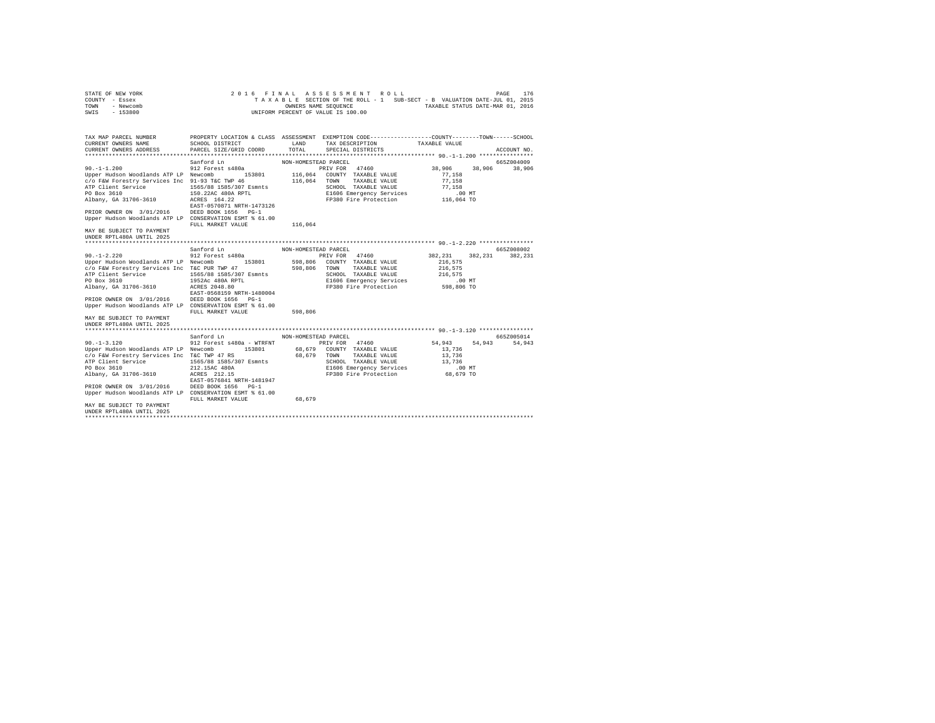| STATE OF NEW YORK<br>COUNTY - Essex<br>TOWN<br>- Newcomb<br>SWIS<br>$-153800$                                                                                                                                                                                                              | 2016 FINAL                                                                                                                                                               |                       | ASSESSMENT ROLL<br>TAXABLE SECTION OF THE ROLL - 1 SUB-SECT - B VALUATION DATE-JUL 01, 2015<br>OWNERS NAME SEQUENCE<br>UNIFORM PERCENT OF VALUE IS 100.00 | TAXABLE STATUS DATE-MAR 01, 2016                                 |         | 176<br>PAGE |
|--------------------------------------------------------------------------------------------------------------------------------------------------------------------------------------------------------------------------------------------------------------------------------------------|--------------------------------------------------------------------------------------------------------------------------------------------------------------------------|-----------------------|-----------------------------------------------------------------------------------------------------------------------------------------------------------|------------------------------------------------------------------|---------|-------------|
| TAX MAP PARCEL NUMBER<br>CURRENT OWNERS NAME<br>CURRENT OWNERS ADDRESS                                                                                                                                                                                                                     | PROPERTY LOCATION & CLASS ASSESSMENT EXEMPTION CODE----------------COUNTY-------TOWN-----SCHOOL<br>SCHOOL DISTRICT<br>PARCEL SIZE/GRID COORD                             | LAND<br>TOTAL         | TAX DESCRIPTION<br>SPECIAL DISTRICTS                                                                                                                      | TAXABLE VALUE                                                    |         | ACCOUNT NO. |
|                                                                                                                                                                                                                                                                                            |                                                                                                                                                                          |                       |                                                                                                                                                           |                                                                  |         |             |
|                                                                                                                                                                                                                                                                                            | Sanford Ln                                                                                                                                                               | NON-HOMESTEAD PARCEL  |                                                                                                                                                           |                                                                  |         | 665Z004009  |
| $90. -1 - 1.200$<br>Upper Hudson Woodlands ATP LP Newcomb<br>c/o F&W Forestry Services Inc 91-93 T&C TWP 46<br>ATP Client Service<br>PO Box 3610<br>Albany, GA 31706-3610<br>PRIOR OWNER ON 3/01/2016                                                                                      | 912 Forest s480a<br>153801<br>1565/88 1585/307 Esmnts<br>150.22AC 480A RPTL<br>ACRES 164.22<br>EAST-0570871 NRTH-1473126<br>DEED BOOK 1656 PG-1                          | 116.064               | PRIV FOR 47460<br>116,064 COUNTY TAXABLE VALUE<br>TOWN<br>TAXABLE VALUE<br>SCHOOL TAXABLE VALUE<br>E1606 Emergency Services<br>FP380 Fire Protection      | 38,906<br>77,158<br>77.158<br>77.158<br>$.00$ MT<br>116,064 TO   | 38,906  | 38,906      |
| Upper Hudson Woodlands ATP LP CONSERVATION ESMT % 61.00                                                                                                                                                                                                                                    | FULL MARKET VALUE                                                                                                                                                        | 116,064               |                                                                                                                                                           |                                                                  |         |             |
| MAY BE SUBJECT TO PAYMENT<br>UNDER RPTL480A UNTIL 2025                                                                                                                                                                                                                                     |                                                                                                                                                                          |                       |                                                                                                                                                           |                                                                  |         |             |
|                                                                                                                                                                                                                                                                                            | Sanford Ln                                                                                                                                                               | NON-HOMESTEAD PARCEL  |                                                                                                                                                           |                                                                  |         | 665Z008002  |
| $90. -1 - 2.220$<br>Upper Hudson Woodlands ATP LP Newcomb<br>c/o F&W Forestry Services Inc T&C PUR TWP 47<br>ATP Client Service<br>PO Box 3610<br>Albany, GA 31706-3610                                                                                                                    | 912 Forest s480a<br>153801<br>1565/88 1585/307 Esmnts<br>1952Ac 480A RPTL<br>ACRES 2048.80<br>EAST-0568159 NRTH-1480004                                                  | 598,806 TOWN          | PRIV FOR 47460<br>598,806 COUNTY TAXABLE VALUE<br>TAXABLE VALUE<br>SCHOOL TAXABLE VALUE<br>E1606 Emergency Services<br>FP380 Fire Protection              | 382.231<br>216,575<br>216,575<br>216,575<br>.00 MT<br>598,806 TO | 382,231 | 382,231     |
| PRIOR OWNER ON 3/01/2016<br>Upper Hudson Woodlands ATP LP CONSERVATION ESMT % 61.00                                                                                                                                                                                                        | DEED BOOK 1656 PG-1<br>FULL MARKET VALUE                                                                                                                                 | 598,806               |                                                                                                                                                           |                                                                  |         |             |
| MAY BE SUBJECT TO PAYMENT<br>UNDER RPTL480A UNTIL 2025                                                                                                                                                                                                                                     |                                                                                                                                                                          |                       |                                                                                                                                                           |                                                                  |         |             |
|                                                                                                                                                                                                                                                                                            | Sanford Ln                                                                                                                                                               | NON-HOMESTEAD PARCEL  |                                                                                                                                                           |                                                                  |         | 665Z005014  |
| $90. -1 - 3.120$<br>Upper Hudson Woodlands ATP LP Newcomb<br>c/o F&W Forestry Services Inc T&C TWP 47 RS<br>ATP Client Service<br>PO Box 3610<br>Albany, GA 31706-3610<br>PRIOR OWNER ON 3/01/2016<br>Upper Hudson Woodlands ATP LP CONSERVATION ESMT % 61.00<br>MAY BE SUBJECT TO PAYMENT | 912 Forest s480a - WTRFNT<br>153801<br>1565/88 1585/307 Esmnts<br>212.15AC 480A<br>ACRES 212.15<br>EAST-0576841 NRTH-1481947<br>DEED BOOK 1656 PG-1<br>FULL MARKET VALUE | 68,679 TOWN<br>68,679 | PRIV FOR 47460<br>68,679 COUNTY TAXABLE VALUE<br>TAXABLE VALUE<br>SCHOOL TAXABLE VALUE<br>E1606 Emergency Services<br>FP380 Fire Protection               | 54,943<br>13,736<br>13,736<br>13,736<br>$.00$ MT<br>68,679 TO    | 54,943  | 54,943      |
| UNDER RPTL480A UNTIL 2025<br>****************************                                                                                                                                                                                                                                  |                                                                                                                                                                          |                       |                                                                                                                                                           |                                                                  |         |             |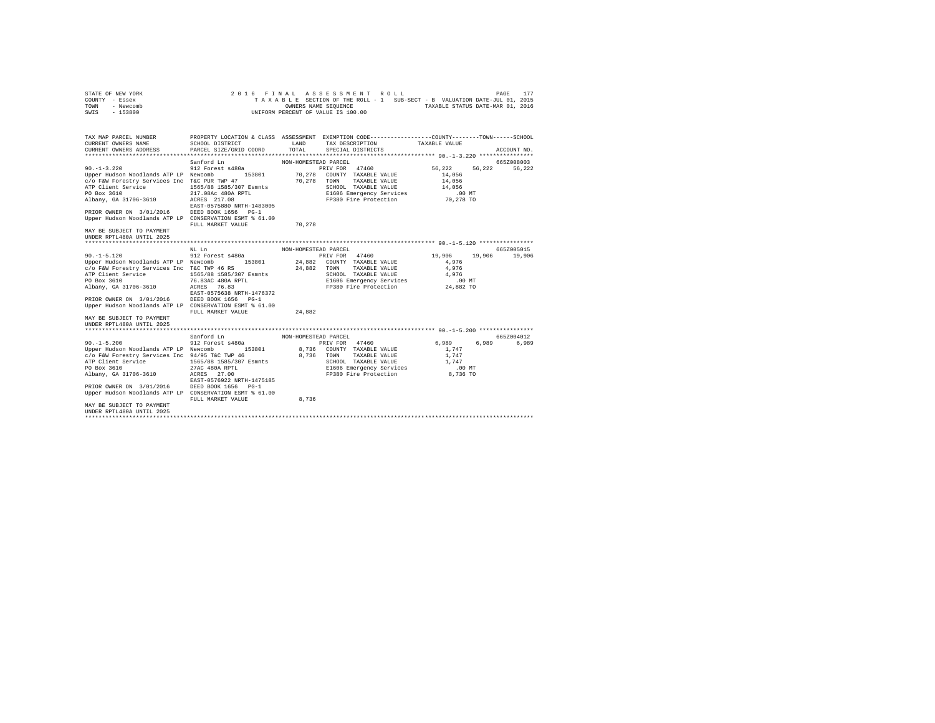| STATE OF NEW YORK<br>COUNTY - Essex<br>TOWN<br>- Newcomb<br>SWIS<br>$-153800$                                                                                                                                                                                                                 |                                                                                                                                                                 |                      | 2016 FINAL ASSESSMENT ROLL<br>TAXABLE SECTION OF THE ROLL - 1 SUB-SECT - B VALUATION DATE-JUL 01, 2015<br>OWNERS NAME SEQUENCE<br>UNIFORM PERCENT OF VALUE IS 100.00 |                                                             | 177<br>PAGE<br>TAXABLE STATUS DATE-MAR 01, 2016 |
|-----------------------------------------------------------------------------------------------------------------------------------------------------------------------------------------------------------------------------------------------------------------------------------------------|-----------------------------------------------------------------------------------------------------------------------------------------------------------------|----------------------|----------------------------------------------------------------------------------------------------------------------------------------------------------------------|-------------------------------------------------------------|-------------------------------------------------|
| TAX MAP PARCEL NUMBER<br>CURRENT OWNERS NAME<br>CURRENT OWNERS ADDRESS                                                                                                                                                                                                                        | PROPERTY LOCATION & CLASS ASSESSMENT EXEMPTION CODE----------------COUNTY-------TOWN-----SCHOOL<br>SCHOOL DISTRICT<br>PARCEL SIZE/GRID COORD                    | LAND<br>TOTAL        | TAX DESCRIPTION<br>SPECIAL DISTRICTS                                                                                                                                 | TAXABLE VALUE                                               | ACCOUNT NO.                                     |
|                                                                                                                                                                                                                                                                                               |                                                                                                                                                                 |                      |                                                                                                                                                                      |                                                             |                                                 |
|                                                                                                                                                                                                                                                                                               | Sanford Ln                                                                                                                                                      | NON-HOMESTEAD PARCEL |                                                                                                                                                                      |                                                             | 665Z008003                                      |
| $90. -1 - 3.220$<br>Upper Hudson Woodlands ATP LP Newcomb<br>c/o F&W Forestry Services Inc T&C PUR TWP 47<br>ATP Client Service<br>PO Box 3610<br>Albany, GA 31706-3610<br>PRIOR OWNER ON 3/01/2016<br>Upper Hudson Woodlands ATP LP CONSERVATION ESMT % 61.00                                | 912 Forest s480a<br>153801<br>1565/88 1585/307 Esmnts<br>217.08Ac 480A RPTL<br>ACRES 217.08<br>EAST-0575880 NRTH-1483005<br>DEED BOOK 1656 PG-1                 | 70,278               | 47460<br>PRIV FOR<br>70,278 COUNTY TAXABLE VALUE<br>TOWN<br>TAXABLE VALUE<br>SCHOOL TAXABLE VALUE<br>E1606 Emergency Services<br>FP380 Fire Protection               | 56,222<br>14,056<br>14,056<br>14,056<br>.00 MT<br>70,278 TO | 56,222<br>56,222                                |
| MAY BE SUBJECT TO PAYMENT<br>UNDER RPTL480A UNTIL 2025                                                                                                                                                                                                                                        | FULL MARKET VALUE                                                                                                                                               | 70,278               |                                                                                                                                                                      |                                                             |                                                 |
|                                                                                                                                                                                                                                                                                               |                                                                                                                                                                 |                      |                                                                                                                                                                      |                                                             |                                                 |
| $90. -1 - 5.120$                                                                                                                                                                                                                                                                              | NL Ln<br>912 Forest s480a                                                                                                                                       | NON-HOMESTEAD PARCEL | PRIV FOR 47460                                                                                                                                                       | 19,906                                                      | 665Z005015<br>19,906<br>19,906                  |
| Upper Hudson Woodlands ATP LP Newcomb<br>c/o F&W Forestry Services Inc T&C TWP 46 RS<br>ATP Client Service<br>PO Box 3610<br>Albany, GA 31706-3610<br>PRIOR OWNER ON 3/01/2016<br>Upper Hudson Woodlands ATP LP CONSERVATION ESMT % 61.00                                                     | 153801<br>1565/88 1585/307 Esmnts<br>76.83AC 480A RPTL<br>ACRES 76.83<br>EAST-0575638 NRTH-1476372<br>DEED BOOK 1656 PG-1                                       | 24,882               | 24,882 COUNTY TAXABLE VALUE<br>TOWN<br>TAXABLE VALUE<br>SCHOOL TAXABLE VALUE<br>E1606 Emergency Services<br>FP380 Fire Protection                                    | 4,976<br>4.976<br>4,976<br>$.00$ MT<br>24,882 TO            |                                                 |
| MAY BE SUBJECT TO PAYMENT<br>UNDER RPTL480A UNTIL 2025                                                                                                                                                                                                                                        | FULL MARKET VALUE                                                                                                                                               | 24,882               |                                                                                                                                                                      |                                                             |                                                 |
|                                                                                                                                                                                                                                                                                               |                                                                                                                                                                 |                      |                                                                                                                                                                      |                                                             |                                                 |
|                                                                                                                                                                                                                                                                                               | Sanford Ln                                                                                                                                                      | NON-HOMESTEAD PARCEL |                                                                                                                                                                      |                                                             | 665Z004012                                      |
| $90. -1 - 5.200$<br>Upper Hudson Woodlands ATP LP Newcomb<br>c/o F&W Forestry Services Inc 94/95 T&C TWP 46<br>ATP Client Service<br>PO Box 3610<br>Albany, GA 31706-3610<br>PRIOR OWNER ON 3/01/2016<br>Upper Hudson Woodlands ATP LP CONSERVATION ESMT % 61.00<br>MAY BE SUBJECT TO PAYMENT | 912 Forest s480a<br>153801<br>1565/88 1585/307 Esmnts<br>27AC 480A RPTL<br>ACRES 27.00<br>EAST-0576922 NRTH-1475185<br>DEED BOOK 1656 PG-1<br>FULL MARKET VALUE | 8,736 TOWN<br>8,736  | PRIV FOR 47460<br>8.736 COUNTY TAXABLE VALUE<br>TAXABLE VALUE<br>SCHOOL TAXABLE VALUE<br>E1606 Emergency Services<br>FP380 Fire Protection                           | 6,989<br>1,747<br>1,747<br>1,747<br>.00 MT<br>8,736 TO      | 6,989<br>6,989                                  |
| UNDER RPTL480A UNTIL 2025<br>***************************                                                                                                                                                                                                                                      |                                                                                                                                                                 |                      |                                                                                                                                                                      |                                                             |                                                 |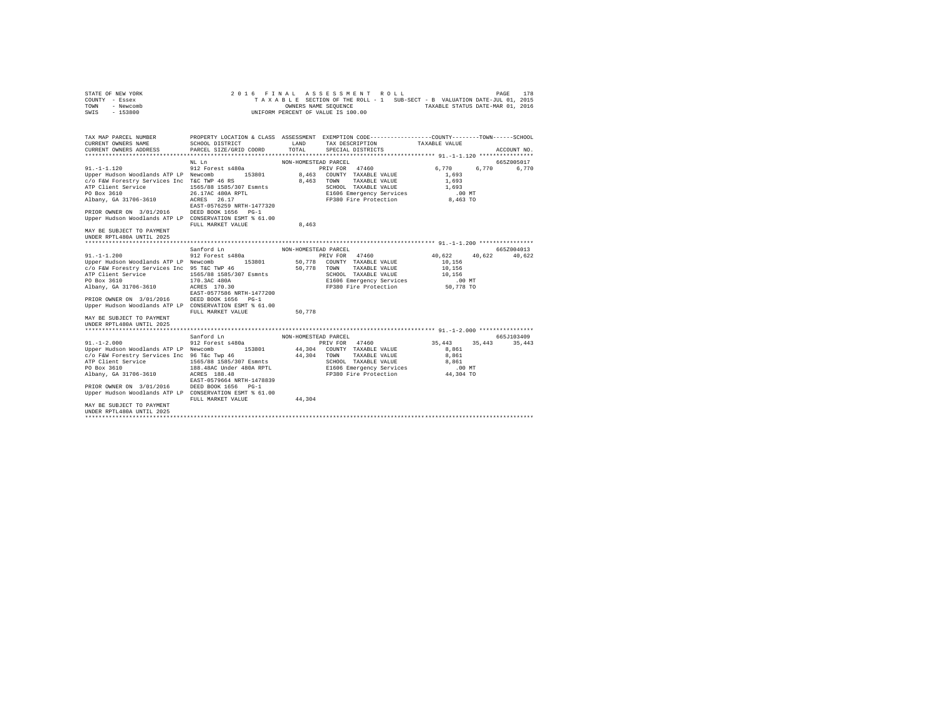| STATE OF NEW YORK<br>COUNTY - Essex<br>TOWN<br>- Newcomb<br>SWIS<br>$-153800$        | 2016 FINAL                                                                                                          |                      | ASSESSMENT ROLL<br>TAXABLE SECTION OF THE ROLL - 1 SUB-SECT - B VALUATION DATE-JUL 01, 2015<br>OWNERS NAME SEQUENCE<br>UNIFORM PERCENT OF VALUE IS 100.00 |                  | 178<br>PAGE<br>TAXABLE STATUS DATE-MAR 01, 2016 |
|--------------------------------------------------------------------------------------|---------------------------------------------------------------------------------------------------------------------|----------------------|-----------------------------------------------------------------------------------------------------------------------------------------------------------|------------------|-------------------------------------------------|
| TAX MAP PARCEL NUMBER<br>CURRENT OWNERS NAME                                         | PROPERTY LOCATION & CLASS ASSESSMENT EXEMPTION CODE----------------COUNTY-------TOWN------SCHOOL<br>SCHOOL DISTRICT | LAND                 | TAX DESCRIPTION                                                                                                                                           | TAXABLE VALUE    |                                                 |
| CURRENT OWNERS ADDRESS                                                               | PARCEL SIZE/GRID COORD                                                                                              | TOTAL                | SPECIAL DISTRICTS                                                                                                                                         |                  | ACCOUNT NO.                                     |
|                                                                                      | NL Ln                                                                                                               | NON-HOMESTEAD PARCEL |                                                                                                                                                           |                  | 665Z005017                                      |
| $91. -1 - 1.120$                                                                     | 912 Forest s480a                                                                                                    |                      | PRIV FOR 47460                                                                                                                                            | 6,770            | 6,770<br>6,770                                  |
| Upper Hudson Woodlands ATP LP Newcomb                                                | 153801                                                                                                              | 8,463                | COUNTY TAXABLE VALUE                                                                                                                                      | 1,693            |                                                 |
| c/o F&W Forestry Services Inc T&C TWP 46 RS                                          |                                                                                                                     | 8,463                | TOWN<br>TAXABLE VALUE                                                                                                                                     | 1,693            |                                                 |
| ATP Client Service                                                                   | 1565/88 1585/307 Esmnts                                                                                             |                      | SCHOOL TAXABLE VALUE                                                                                                                                      | 1,693            |                                                 |
| PO Box 3610                                                                          | 26.17AC 480A RPTL                                                                                                   |                      | E1606 Emergency Services                                                                                                                                  | .00 MT           |                                                 |
| Albany, GA 31706-3610                                                                | 26.17<br>ACRES                                                                                                      |                      | FP380 Fire Protection                                                                                                                                     | 8,463 TO         |                                                 |
|                                                                                      | EAST-0576259 NRTH-1477320                                                                                           |                      |                                                                                                                                                           |                  |                                                 |
| PRIOR OWNER ON 3/01/2016<br>Upper Hudson Woodlands ATP LP CONSERVATION ESMT % 61.00  | DEED BOOK 1656 PG-1                                                                                                 |                      |                                                                                                                                                           |                  |                                                 |
|                                                                                      | FULL MARKET VALUE                                                                                                   | 8,463                |                                                                                                                                                           |                  |                                                 |
| MAY BE SUBJECT TO PAYMENT                                                            |                                                                                                                     |                      |                                                                                                                                                           |                  |                                                 |
| UNDER RPTL480A UNTIL 2025                                                            |                                                                                                                     |                      |                                                                                                                                                           |                  |                                                 |
|                                                                                      |                                                                                                                     |                      |                                                                                                                                                           |                  |                                                 |
|                                                                                      | Sanford Ln                                                                                                          | NON-HOMESTEAD PARCEL |                                                                                                                                                           |                  | 665Z004013                                      |
| $91. -1 -1.200$                                                                      | 912 Forest s480a<br>153801                                                                                          |                      | PRIV FOR 47460                                                                                                                                            | 40.622           | 40.622<br>40.622                                |
| Upper Hudson Woodlands ATP LP Newcomb<br>c/o F&W Forestry Services Inc 95 T&C TWP 46 |                                                                                                                     | 50,778<br>50,778     | COUNTY TAXABLE VALUE<br>TOWN<br>TAXABLE VALUE                                                                                                             | 10,156<br>10,156 |                                                 |
| ATP Client Service                                                                   | 1565/88 1585/307 Esmnts                                                                                             |                      | SCHOOL TAXABLE VALUE                                                                                                                                      | 10,156           |                                                 |
| PO Box 3610                                                                          | 170.3AC 480A                                                                                                        |                      | E1606 Emergency Services                                                                                                                                  | .00 MT           |                                                 |
| Albany, GA 31706-3610                                                                | ACRES 170.30                                                                                                        |                      | FP380 Fire Protection                                                                                                                                     | 50,778 TO        |                                                 |
|                                                                                      | EAST-0577586 NRTH-1477200                                                                                           |                      |                                                                                                                                                           |                  |                                                 |
| PRIOR OWNER ON 3/01/2016                                                             | DEED BOOK 1656 PG-1                                                                                                 |                      |                                                                                                                                                           |                  |                                                 |
| Upper Hudson Woodlands ATP LP CONSERVATION ESMT % 61.00                              |                                                                                                                     |                      |                                                                                                                                                           |                  |                                                 |
|                                                                                      | FULL MARKET VALUE                                                                                                   | 50.778               |                                                                                                                                                           |                  |                                                 |
| MAY BE SUBJECT TO PAYMENT                                                            |                                                                                                                     |                      |                                                                                                                                                           |                  |                                                 |
| UNDER RPTL480A UNTIL 2025                                                            |                                                                                                                     |                      |                                                                                                                                                           |                  |                                                 |
|                                                                                      | Sanford Ln                                                                                                          | NON-HOMESTEAD PARCEL |                                                                                                                                                           |                  | 665J103409                                      |
| $91. -1 - 2.000$                                                                     | 912 Forest s480a                                                                                                    |                      | PRIV FOR 47460                                                                                                                                            | 35,443           | 35,443<br>35,443                                |
| Upper Hudson Woodlands ATP LP Newcomb                                                | 153801                                                                                                              |                      | 44,304 COUNTY TAXABLE VALUE                                                                                                                               | 8,861            |                                                 |
| c/o F&W Forestry Services Inc 96 T&c Twp 46                                          |                                                                                                                     | 44,304 TOWN          | TAXABLE VALUE                                                                                                                                             | 8,861            |                                                 |
| ATP Client Service                                                                   | 1565/88 1585/307 Esmnts                                                                                             |                      | SCHOOL TAXABLE VALUE                                                                                                                                      | 8,861            |                                                 |
| PO Box 3610                                                                          | 188.48AC Under 480A RPTL                                                                                            |                      | E1606 Emergency Services                                                                                                                                  | .00MT            |                                                 |
| Albany, GA 31706-3610                                                                | ACRES 188.48                                                                                                        |                      | FP380 Fire Protection                                                                                                                                     | 44,304 TO        |                                                 |
|                                                                                      | EAST-0579664 NRTH-1478839                                                                                           |                      |                                                                                                                                                           |                  |                                                 |
| PRIOR OWNER ON 3/01/2016                                                             | DEED BOOK 1656 PG-1                                                                                                 |                      |                                                                                                                                                           |                  |                                                 |
| Upper Hudson Woodlands ATP LP CONSERVATION ESMT % 61.00                              | FULL MARKET VALUE                                                                                                   | 44.304               |                                                                                                                                                           |                  |                                                 |
| MAY BE SUBJECT TO PAYMENT                                                            |                                                                                                                     |                      |                                                                                                                                                           |                  |                                                 |
| UNDER RPTL480A UNTIL 2025                                                            |                                                                                                                     |                      |                                                                                                                                                           |                  |                                                 |
| **************************                                                           |                                                                                                                     |                      |                                                                                                                                                           |                  |                                                 |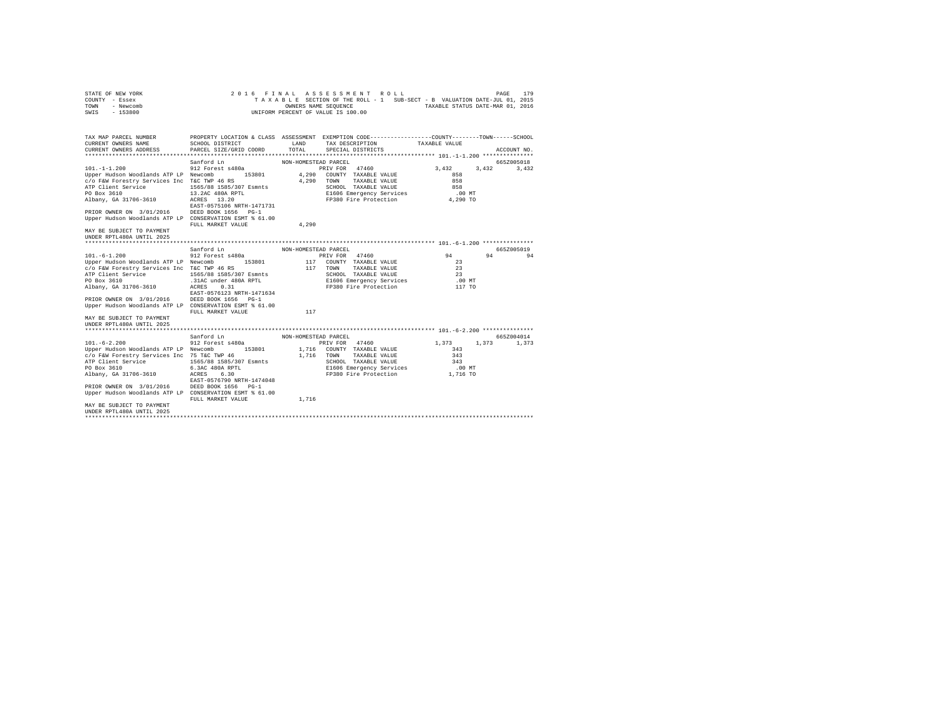| STATE OF NEW YORK<br>COUNTY - Essex<br>TOWN<br>- Newcomb<br>SWIS<br>$-153800$                                                                                                                                                                                                                                             | 2016 FINAL                                                                                                                                                         | OWNERS NAME SEQUENCE | ASSESSMENT ROLL<br>TAXABLE SECTION OF THE ROLL - 1 SUB-SECT - B VALUATION DATE-JUL 01, 2015<br>UNIFORM PERCENT OF VALUE IS 100.00                |                                                    | 179<br>PAGE<br>TAXABLE STATUS DATE-MAR 01, 2016 |    |
|---------------------------------------------------------------------------------------------------------------------------------------------------------------------------------------------------------------------------------------------------------------------------------------------------------------------------|--------------------------------------------------------------------------------------------------------------------------------------------------------------------|----------------------|--------------------------------------------------------------------------------------------------------------------------------------------------|----------------------------------------------------|-------------------------------------------------|----|
| TAX MAP PARCEL NUMBER<br>CURRENT OWNERS NAME<br>CURRENT OWNERS ADDRESS                                                                                                                                                                                                                                                    | PROPERTY LOCATION & CLASS ASSESSMENT EXEMPTION CODE---------------COUNTY-------TOWN-----SCHOOL<br>SCHOOL DISTRICT<br>PARCEL SIZE/GRID COORD                        | LAND<br>TOTAL        | TAX DESCRIPTION<br>SPECIAL DISTRICTS                                                                                                             | TAXABLE VALUE                                      | ACCOUNT NO.                                     |    |
|                                                                                                                                                                                                                                                                                                                           |                                                                                                                                                                    |                      |                                                                                                                                                  |                                                    |                                                 |    |
|                                                                                                                                                                                                                                                                                                                           | Sanford Ln                                                                                                                                                         | NON-HOMESTEAD PARCEL |                                                                                                                                                  |                                                    | 665Z005018                                      |    |
| $101. -1 - 1.200$<br>Upper Hudson Woodlands ATP LP Newcomb<br>c/o F&W Forestry Services Inc T&C TWP 46 RS<br>ATP Client Service<br>PO Box 3610<br>Albany, GA 31706-3610<br>PRIOR OWNER ON 3/01/2016<br>Upper Hudson Woodlands ATP LP CONSERVATION ESMT % 61.00                                                            | 912 Forest s480a<br>153801<br>1565/88 1585/307 Esmnts<br>13.2AC 480A RPTL<br>ACRES 13.20<br>EAST-0575106 NRTH-1471731<br>DEED BOOK 1656 PG-1                       | 4,290<br>4,290       | PRIV FOR 47460<br>COUNTY TAXABLE VALUE<br>TOWN<br>TAXABLE VALUE<br>SCHOOL TAXABLE VALUE<br>E1606 Emergency Services<br>FP380 Fire Protection     | 3.432<br>858<br>858<br>858<br>$.00$ MT<br>4,290 TO | 3,432<br>3,432                                  |    |
|                                                                                                                                                                                                                                                                                                                           | FULL MARKET VALUE                                                                                                                                                  | 4,290                |                                                                                                                                                  |                                                    |                                                 |    |
| MAY BE SUBJECT TO PAYMENT<br>UNDER RPTL480A UNTIL 2025                                                                                                                                                                                                                                                                    |                                                                                                                                                                    |                      |                                                                                                                                                  |                                                    |                                                 |    |
|                                                                                                                                                                                                                                                                                                                           | Sanford Ln                                                                                                                                                         | NON-HOMESTEAD PARCEL |                                                                                                                                                  |                                                    | 665Z005019                                      |    |
| $101. - 6 - 1.200$<br>Upper Hudson Woodlands ATP LP Newcomb<br>c/o F&W Forestry Services Inc T&C TWP 46 RS<br>ATP Client Service<br>PO Box 3610<br>Albany, GA 31706-3610<br>PRIOR OWNER ON 3/01/2016<br>Upper Hudson Woodlands ATP LP CONSERVATION ESMT % 61.00                                                           | 912 Forest s480a<br>153801<br>1565/88 1585/307 Esmnts<br>.31AC under 480A RPTL<br>0.31<br>ACRES<br>EAST-0576123 NRTH-1471634<br>DEED BOOK 1656 PG-1                | 117                  | PRIV FOR 47460<br>117 COUNTY TAXABLE VALUE<br>TAXABLE VALUE<br>TOWN<br>SCHOOL TAXABLE VALUE<br>E1606 Emergency Services<br>FP380 Fire Protection | 94<br>23<br>23<br>23<br>$.00$ MT<br>117 TO         | 94                                              | 94 |
|                                                                                                                                                                                                                                                                                                                           | FULL MARKET VALUE                                                                                                                                                  | 117                  |                                                                                                                                                  |                                                    |                                                 |    |
| MAY BE SUBJECT TO PAYMENT<br>UNDER RPTL480A UNTIL 2025                                                                                                                                                                                                                                                                    |                                                                                                                                                                    |                      |                                                                                                                                                  |                                                    |                                                 |    |
|                                                                                                                                                                                                                                                                                                                           | Sanford Ln                                                                                                                                                         | NON-HOMESTEAD PARCEL |                                                                                                                                                  |                                                    | 665Z004014                                      |    |
| $101. - 6 - 2.200$<br>Upper Hudson Woodlands ATP LP Newcomb<br>c/o F&W Forestry Services Inc 75 T&C TWP 46<br>ATP Client Service<br>PO Box 3610<br>Albany, GA 31706-3610<br>PRIOR OWNER ON 3/01/2016<br>Upper Hudson Woodlands ATP LP CONSERVATION ESMT % 61.00<br>MAY BE SUBJECT TO PAYMENT<br>UNDER RPTL480A UNTIL 2025 | 912 Forest s480a<br>153801<br>1565/88 1585/307 Esmnts<br>6.3AC 480A RPTL<br>6.30<br>ACRES<br>EAST-0576790 NRTH-1474048<br>DEED BOOK 1656 PG-1<br>FULL MARKET VALUE | 1,716 TOWN<br>1,716  | PRIV FOR 47460<br>1,716 COUNTY TAXABLE VALUE<br>TAXABLE VALUE<br>SCHOOL TAXABLE VALUE<br>E1606 Emergency Services<br>FP380 Fire Protection       | 1,373<br>343<br>343<br>343<br>$.00$ MT<br>1,716 TO | 1,373<br>1,373                                  |    |
| ***************************                                                                                                                                                                                                                                                                                               |                                                                                                                                                                    |                      |                                                                                                                                                  |                                                    |                                                 |    |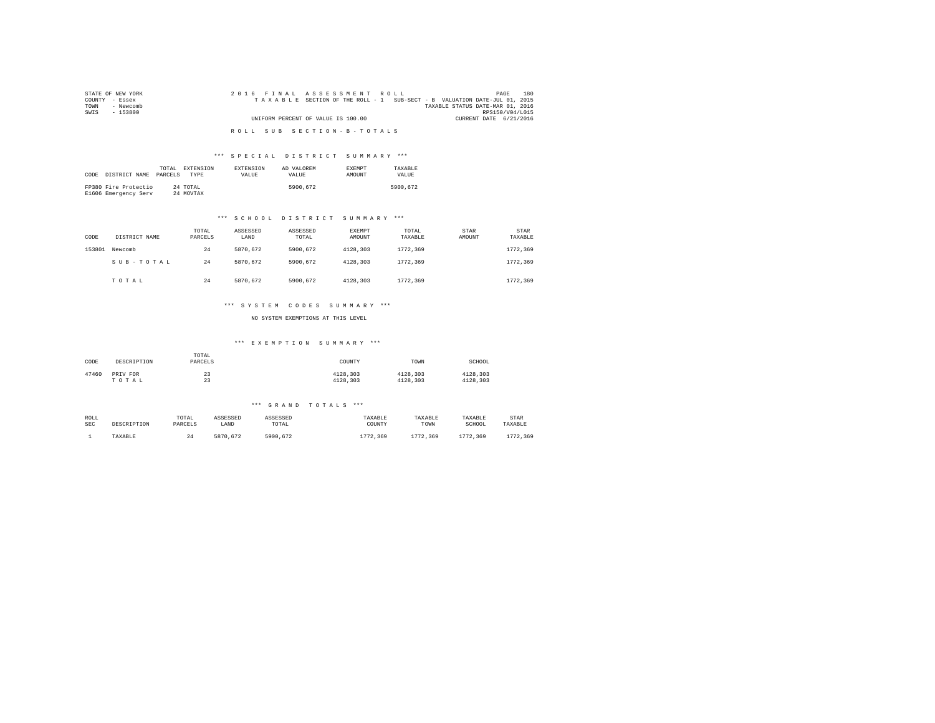| STATE OF NEW YORK | 2016 FINAL ASSESSMENT ROLL                                               | 180<br>PAGE                      |
|-------------------|--------------------------------------------------------------------------|----------------------------------|
| COUNTY - Essex    | TAXABLE SECTION OF THE ROLL - 1 SUB-SECT - B VALUATION DATE-JUL 01, 2015 |                                  |
| TOWN<br>- Newcomb |                                                                          | TAXABLE STATUS DATE-MAR 01, 2016 |
| SWIS<br>$-153800$ |                                                                          | RPS150/V04/L015                  |
|                   | UNIFORM PERCENT OF VALUE IS 100.00                                       | CURRENT DATE 6/21/2016           |
|                   |                                                                          |                                  |
|                   | ROLL SUB SECTION-B-TOTALS                                                |                                  |

### \*\*\* S P E C I A L D I S T R I C T S U M M A R Y \*\*\*

| CODE | DISTRICT NAME                                | TOTAL<br>PARCELS | EXTENSION<br><b>TYPE</b> | <b>EXTENSION</b><br><b>VALUE</b> | AD VALOREM<br>VALUE. | <b>EXEMPT</b><br>AMOUNT | TAXARLE<br>VALUE |
|------|----------------------------------------------|------------------|--------------------------|----------------------------------|----------------------|-------------------------|------------------|
|      | FP380 Fire Protectio<br>E1606 Emergency Serv |                  | 24 TOTAL<br>24 MOVTAX    |                                  | 5900.672             |                         | 5900.672         |

### \*\*\* S C H O O L D I S T R I C T S U M M A R Y \*\*\*

| CODE   | DISTRICT NAME | TOTAL<br>PARCELS | ASSESSED<br>LAND | ASSESSED<br>TOTAL | <b>EXEMPT</b><br>AMOUNT | TOTAL<br>TAXABLE | STAR<br>AMOUNT | <b>STAR</b><br>TAXABLE |
|--------|---------------|------------------|------------------|-------------------|-------------------------|------------------|----------------|------------------------|
| 153801 | Newcomb       | 24               | 5870.672         | 5900.672          | 4128.303                | 1772.369         |                | 1772.369               |
|        | SUB-TOTAL     | 24               | 5870.672         | 5900.672          | 4128.303                | 1772.369         |                | 1772.369               |
|        | TOTAL         | 24               | 5870.672         | 5900.672          | 4128.303                | 1772.369         |                | 1772.369               |

### \*\*\* S Y S T E M C O D E S S U M M A R Y \*\*\*

NO SYSTEM EXEMPTIONS AT THIS LEVEL

### \*\*\* E X E M P T I O N S U M M A R Y \*\*\*

| CODE  | DESCRIPTION | TOTAL<br>PARCELS | COUNTY   | TOWN     | SCHOOL   |
|-------|-------------|------------------|----------|----------|----------|
| 47460 | PRIV FOR    | 23               | 4128.303 | 4128.303 | 4128.303 |
|       | TOTAL       | 23               | 4128.303 | 4128.303 | 4128.303 |

#### \*\*\* G R A N D T O T A L S \*\*\*

| ROLL | DESCRIPTION | TOTAL   | ASSESSED | ASSESSED | TAXABLE  | TAXABLE  | TAXABLE  | STAR     |
|------|-------------|---------|----------|----------|----------|----------|----------|----------|
| SEC  |             | PARCELS | LAND     | TOTAL    | COUNTY   | TOWN     | SCHOOL   | TAXABLE  |
|      | TAXABLE     | 24      | 5870.672 | 5900.672 | 1772.369 | 1772.369 | 1772.369 | 1772.369 |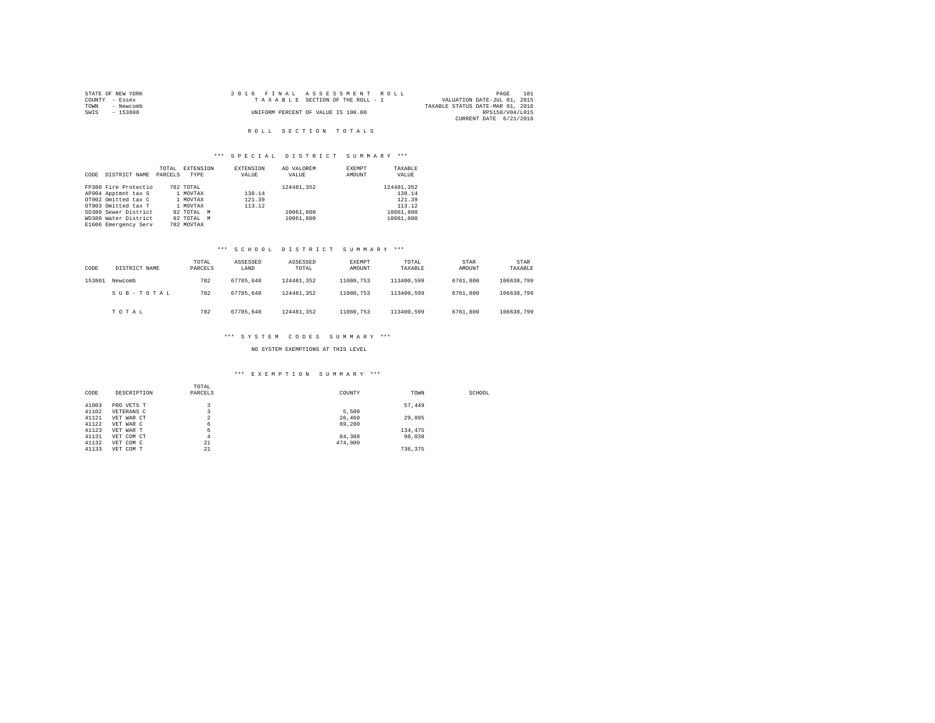|                | STATE OF NEW YORK |  |  | 2016 FINAL ASSESSMENT ROLL         |                                  | PAGE            | 181 |
|----------------|-------------------|--|--|------------------------------------|----------------------------------|-----------------|-----|
| COUNTY - Essex |                   |  |  | TAXABLE SECTION OF THE ROLL - 1    | VALUATION DATE-JUL 01, 2015      |                 |     |
| TOWN           | - Newcomb         |  |  |                                    | TAXABLE STATUS DATE-MAR 01, 2016 |                 |     |
| SWIS           | - 153800          |  |  | UNIFORM PERCENT OF VALUE IS 100.00 |                                  | RPS150/V04/L015 |     |
|                |                   |  |  |                                    | CURRENT DATE 6/21/2016           |                 |     |

# R O L L S E C T I O N T O T A L S

# \*\*\* S P E C I A L D I S T R I C T S U M M A R Y \*\*\*

|      |                      | TOTAL   | EXTENSION  | <b>EXTENSION</b> | AD VALOREM | EXEMPT | TAXABLE    |
|------|----------------------|---------|------------|------------------|------------|--------|------------|
| CODE | DISTRICT NAME        | PARCELS | TYPE       | VALUE            | VALUE      | AMOUNT | VALUE      |
|      | FP380 Fire Protectio |         | 782 TOTAL  |                  | 124481.352 |        | 124481.352 |
|      | AP904 Apptmnt tax S  |         | 1 MOVTAX   | 130.14           |            |        | 130.14     |
|      | OT902 Omitted tax C  |         | 1 MOVTAX   | 121.39           |            |        | 121.39     |
|      | OT903 Omitted tax T  |         | 1 MOVTAX   | 113.12           |            |        | 113.12     |
|      | SD380 Sewer District |         | 92 TOTAL M |                  | 10061,800  |        | 10061,800  |
|      | WD380 Water District |         | 92 TOTAL M |                  | 10061.800  |        | 10061,800  |
|      | E1606 Emergency Serv |         | 782 MOVTAX |                  |            |        |            |

# \*\*\* S C H O O L D I S T R I C T S U M M A R Y \*\*\*

| CODE   | DISTRICT NAME | TOTAL<br>PARCELS | ASSESSED<br>LAND | ASSESSED<br>TOTAL | EXEMPT<br>AMOUNT | TOTAL<br>TAXABLE | STAR<br>AMOUNT | STAR<br>TAXABLE |
|--------|---------------|------------------|------------------|-------------------|------------------|------------------|----------------|-----------------|
| 153801 | Newcomb       | 782              | 67785.648        | 124481.352        | 11080.753        | 113400.599       | 6761,800       | 106638.799      |
|        | SUB-TOTAL     | 782              | 67785.648        | 124481.352        | 11080.753        | 113400.599       | 6761,800       | 106638.799      |
|        | TOTAL         | 782              | 67785.648        | 124481.352        | 11080.753        | 113400.599       | 6761,800       | 106638.799      |

# \*\*\* S Y S T E M C O D E S S U M M A R Y \*\*\*

# NO SYSTEM EXEMPTIONS AT THIS LEVEL

# \*\*\* E X E M P T I O N S U M M A R Y \*\*\*

|       |             | TOTAL   |         |         |        |
|-------|-------------|---------|---------|---------|--------|
| CODE  | DESCRIPTION | PARCELS | COUNTY  | TOWN    | SCHOOL |
|       |             |         |         |         |        |
| 41003 | PRO VETS T  |         |         | 57.449  |        |
| 41102 | VETERANS C  |         | 5,500   |         |        |
| 41121 | VET WAR CT  | $\sim$  | 26,460  | 29,895  |        |
| 41122 | VET WAR C   | 6       | 89,280  |         |        |
| 41123 | VET WAR T   | 6       |         | 134,475 |        |
| 41131 | VET COM CT  | 4       | 84,388  | 98,038  |        |
| 41132 | VET COM C   | 21      | 474,900 |         |        |
| 41133 | VET COM T   | 21      |         | 736.375 |        |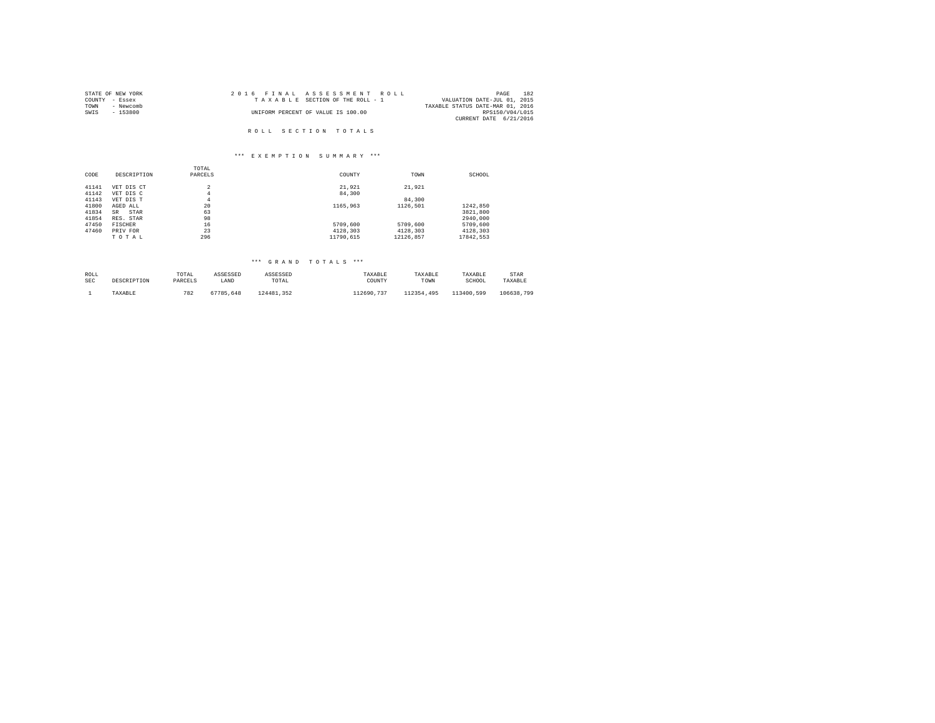| STATE OF NEW YORK | 2016 FINAL ASSESSMENT ROLL         | 182<br>PAGE                      |
|-------------------|------------------------------------|----------------------------------|
| COUNTY - Essex    | TAXABLE SECTION OF THE ROLL - 1    | VALUATION DATE-JUL 01, 2015      |
| TOWN<br>- Newcomb |                                    | TAXABLE STATUS DATE-MAR 01, 2016 |
| SWIS<br>- 153800  | UNIFORM PERCENT OF VALUE IS 100.00 | RPS150/V04/L015                  |
|                   |                                    | CURRENT DATE 6/21/2016           |
|                   |                                    |                                  |
|                   | ROLL SECTION TOTALS                |                                  |

### \*\*\* E X E M P T I O N S U M M A R Y \*\*\*

| CODE  | DESCRIPTION       | TOTAL<br>PARCELS | COUNTY    | TOWN      | SCHOOL    |
|-------|-------------------|------------------|-----------|-----------|-----------|
| 41141 | VET DIS CT        | 2                | 21.921    | 21,921    |           |
| 41142 | VET DIS C         | 4                | 84,300    |           |           |
| 41143 | VET DIS T         | 4                |           | 84,300    |           |
| 41800 | AGED ALL          | 20               | 1165,963  | 1126.501  | 1242.850  |
| 41834 | STAR<br><b>SR</b> | 63               |           |           | 3821,800  |
| 41854 | RES. STAR         | 98               |           |           | 2940.000  |
| 47450 | FISCHER           | 16               | 5709,600  | 5709,600  | 5709,600  |
| 47460 | PRIV FOR          | 23               | 4128,303  | 4128.303  | 4128.303  |
|       | TOTAL             | 296              | 11790.615 | 12126.857 | 17842.553 |

# \*\*\* G R A N D T O T A L S \*\*\*

| ROLL | DESCRIPTION | TOTAL   | ASSESSED  | ASSESSED   | TAXABLE    | TAXABLE    | TAXABLE    | STAR       |
|------|-------------|---------|-----------|------------|------------|------------|------------|------------|
| SEC  |             | PARCELS | LAND      | TOTAL      | COUNTY     | TOWN       | SCHOOL     | TAXABLE    |
|      | TAXABLE     | 782     | 67785.648 | 124481.352 | 112690.737 | 112354.495 | 113400.599 | 106638.799 |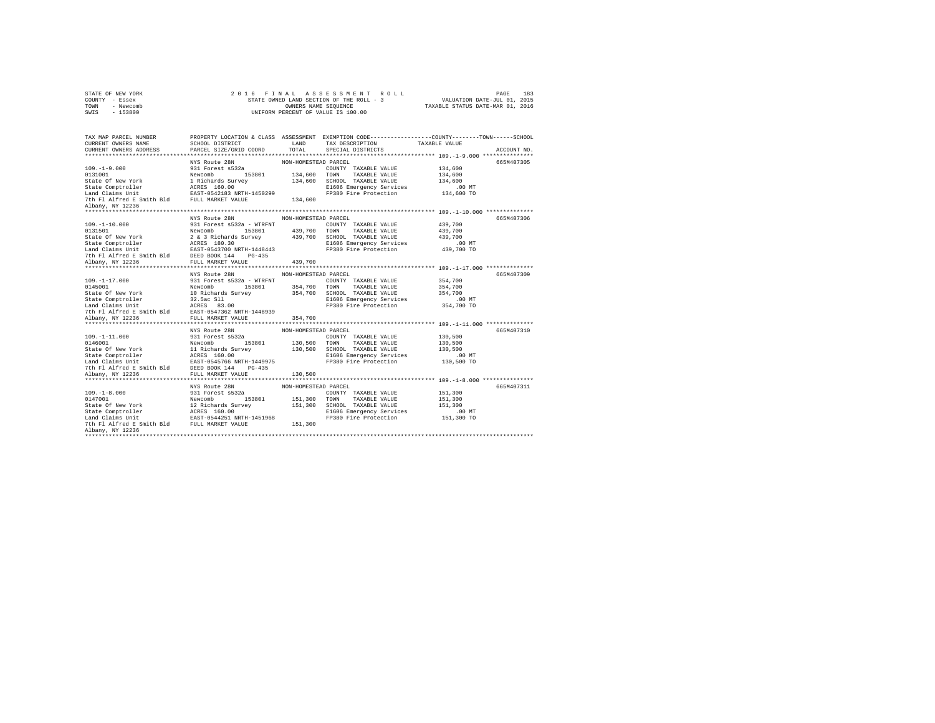|                | STATE OF NEW YORK |  | 2016 FINAL ASSESSMENT ROLL               |                                  | PAGE | 183 |
|----------------|-------------------|--|------------------------------------------|----------------------------------|------|-----|
| COUNTY - Essex |                   |  | STATE OWNED LAND SECTION OF THE ROLL - 3 | VALUATION DATE-JUL 01, 2015      |      |     |
| TOWN           | - Newcomb         |  | OWNERS NAME SEOUENCE                     | TAXABLE STATUS DATE-MAR 01, 2016 |      |     |
| SWIS           | $-153800$         |  | UNIFORM PERCENT OF VALUE IS 100.00       |                                  |      |     |

| TAX MAP PARCEL NUMBER<br>CURRENT OWNERS NAME                   SCHOOL DISTRICT<br>CURRENT OWNERS ADDRESS               PARCEL SIZE/GRID COORD                                                                                                  |               | LAND<br>TOTAL        | PROPERTY LOCATION & CLASS ASSESSMENT EXEMPTION CODE----------------COUNTY-------TOWN------SCHOOL<br>TAX DESCRIPTION TAXABLE VALUE<br>SPECIAL DISTRICTS                                                                                      |                    | ACCOUNT NO. |
|------------------------------------------------------------------------------------------------------------------------------------------------------------------------------------------------------------------------------------------------|---------------|----------------------|---------------------------------------------------------------------------------------------------------------------------------------------------------------------------------------------------------------------------------------------|--------------------|-------------|
|                                                                                                                                                                                                                                                |               |                      |                                                                                                                                                                                                                                             |                    |             |
|                                                                                                                                                                                                                                                | NYS Route 28N | NON-HOMESTEAD PARCEL |                                                                                                                                                                                                                                             |                    | 665M407305  |
|                                                                                                                                                                                                                                                |               |                      |                                                                                                                                                                                                                                             | 134,600<br>134,600 |             |
|                                                                                                                                                                                                                                                |               |                      |                                                                                                                                                                                                                                             |                    |             |
|                                                                                                                                                                                                                                                |               |                      |                                                                                                                                                                                                                                             | 134,600            |             |
|                                                                                                                                                                                                                                                |               |                      | E1606 Emergency Services .00 MT<br>FP380 Fire Protection 134,600 TO                                                                                                                                                                         |                    |             |
|                                                                                                                                                                                                                                                |               |                      |                                                                                                                                                                                                                                             |                    |             |
|                                                                                                                                                                                                                                                |               |                      |                                                                                                                                                                                                                                             |                    |             |
| Albany, NY 12236                                                                                                                                                                                                                               |               |                      |                                                                                                                                                                                                                                             |                    |             |
|                                                                                                                                                                                                                                                | NYS Route 28N | NON-HOMESTEAD PARCEL |                                                                                                                                                                                                                                             |                    | 665M407306  |
|                                                                                                                                                                                                                                                |               |                      |                                                                                                                                                                                                                                             |                    |             |
|                                                                                                                                                                                                                                                |               |                      |                                                                                                                                                                                                                                             |                    |             |
|                                                                                                                                                                                                                                                |               |                      |                                                                                                                                                                                                                                             |                    |             |
|                                                                                                                                                                                                                                                |               |                      |                                                                                                                                                                                                                                             |                    |             |
|                                                                                                                                                                                                                                                |               |                      |                                                                                                                                                                                                                                             |                    |             |
|                                                                                                                                                                                                                                                |               |                      |                                                                                                                                                                                                                                             |                    |             |
|                                                                                                                                                                                                                                                |               |                      |                                                                                                                                                                                                                                             |                    |             |
|                                                                                                                                                                                                                                                |               |                      | 109.-1-10.000<br>109.-1-10.000 NHS NUCLE 26<br>231 Forest 8532a - WTRFNT WAN-TUNDER COUNTY TAXABLE VALUE<br>243,700<br>251 Forest 8532a - WTRFNT 2007 100 NHS NUCLE 439,700<br>251 Forest 86.000 100 150000 NHS NUCLE 26 3 Richards Surv    |                    |             |
|                                                                                                                                                                                                                                                | NYS Route 28N | NON-HOMESTEAD PARCEL |                                                                                                                                                                                                                                             |                    | 665M407309  |
|                                                                                                                                                                                                                                                |               |                      |                                                                                                                                                                                                                                             |                    |             |
|                                                                                                                                                                                                                                                |               |                      |                                                                                                                                                                                                                                             |                    |             |
|                                                                                                                                                                                                                                                |               |                      |                                                                                                                                                                                                                                             |                    |             |
|                                                                                                                                                                                                                                                |               |                      |                                                                                                                                                                                                                                             |                    |             |
|                                                                                                                                                                                                                                                |               |                      |                                                                                                                                                                                                                                             |                    |             |
|                                                                                                                                                                                                                                                |               |                      |                                                                                                                                                                                                                                             |                    |             |
|                                                                                                                                                                                                                                                |               |                      | 109.-1-17.000<br>20145001 201478 MON-HOMESTEAN PRODUCE 2014<br>20145001 2015001 2015001 2015001 2015001 2016020101 2016020101<br>20145001 20161201 20161201 20161201 2016101 20161201 20161201201<br>2016 2018 2019 2018 2019 2018 201      |                    |             |
|                                                                                                                                                                                                                                                | NYS Route 28N | NON-HOMESTEAD PARCEL |                                                                                                                                                                                                                                             |                    | 665M407310  |
|                                                                                                                                                                                                                                                |               |                      |                                                                                                                                                                                                                                             |                    |             |
|                                                                                                                                                                                                                                                |               |                      |                                                                                                                                                                                                                                             |                    |             |
|                                                                                                                                                                                                                                                |               |                      |                                                                                                                                                                                                                                             |                    |             |
|                                                                                                                                                                                                                                                |               |                      |                                                                                                                                                                                                                                             |                    |             |
|                                                                                                                                                                                                                                                |               |                      |                                                                                                                                                                                                                                             |                    |             |
|                                                                                                                                                                                                                                                |               |                      |                                                                                                                                                                                                                                             |                    |             |
|                                                                                                                                                                                                                                                |               |                      | 109.-1-11.000<br>20146001 109.-1-11.000 20131 Forest s532a<br>20146021 120,500<br>20146021 120,500 130,500 130,500 130,500 120,500<br>2016 201812 120,500 130,500 130,500 130,500 120,500<br>2016 201812 120,500 130,500 120,500 201812<br> |                    |             |
|                                                                                                                                                                                                                                                |               |                      |                                                                                                                                                                                                                                             |                    |             |
|                                                                                                                                                                                                                                                | NYS Route 28N | NON-HOMESTEAD PARCEL |                                                                                                                                                                                                                                             |                    | 665M407311  |
|                                                                                                                                                                                                                                                |               |                      | COUNTY TAXABLE VALUE                                                                                                                                                                                                                        | 151,300            |             |
|                                                                                                                                                                                                                                                |               |                      |                                                                                                                                                                                                                                             | 151,300            |             |
| 109.-1-8.000<br>0311 Procest and 2018 2018 151,300 COUNTY TAXABLE VALUE<br>0312 Procest and 22 Sichards Survey<br>21 Richards Survey<br>22 Richards Survey<br>22 Richards Survey<br>22 Richard Survey<br>22 Richard Survey<br>22 Richard Surve |               |                      |                                                                                                                                                                                                                                             | 151,300            |             |
|                                                                                                                                                                                                                                                |               |                      | E1606 Emergency Services .00 MT<br>FP380 Fire Protection .051,300 TO                                                                                                                                                                        |                    |             |
|                                                                                                                                                                                                                                                |               |                      |                                                                                                                                                                                                                                             |                    |             |
|                                                                                                                                                                                                                                                |               |                      |                                                                                                                                                                                                                                             |                    |             |
| Albany, NY 12236                                                                                                                                                                                                                               |               |                      |                                                                                                                                                                                                                                             |                    |             |
|                                                                                                                                                                                                                                                |               |                      |                                                                                                                                                                                                                                             |                    |             |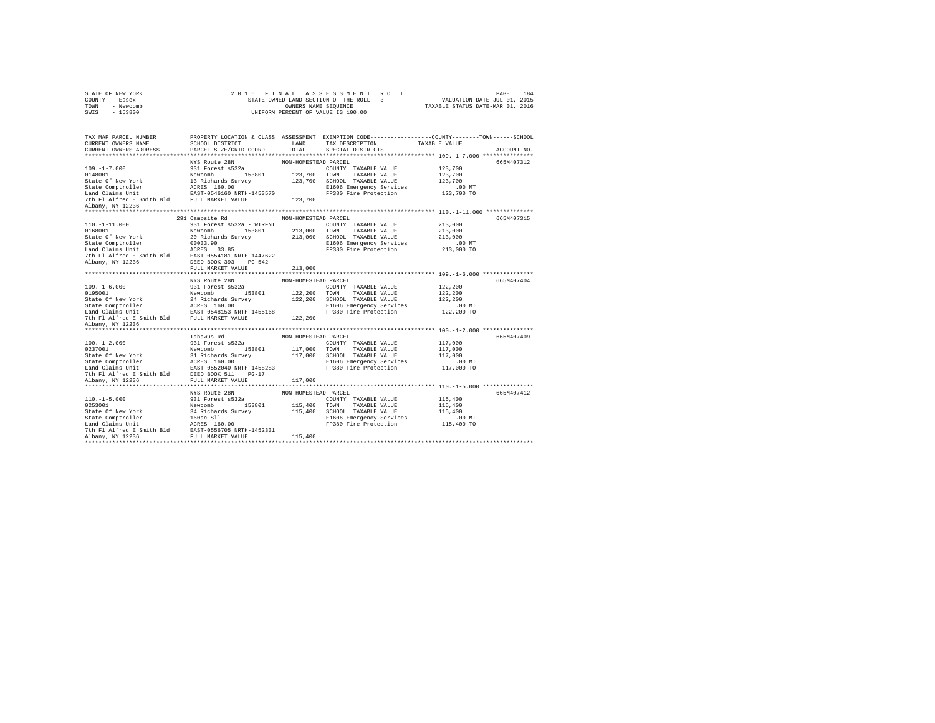| STATE OF NEW YORK |           |  |  |  | 2016 FINAL ASSESSMENT ROLL               |                                  | PAGE                        | 184 |
|-------------------|-----------|--|--|--|------------------------------------------|----------------------------------|-----------------------------|-----|
| COUNTY - Essex    |           |  |  |  | STATE OWNED LAND SECTION OF THE ROLL - 3 |                                  | VALUATION DATE-JUL 01, 2015 |     |
| TOWN              | - Newcomb |  |  |  | OWNERS NAME SEOUENCE                     | TAXABLE STATUS DATE-MAR 01, 2016 |                             |     |
| SWIS              | $-153800$ |  |  |  | UNIFORM PERCENT OF VALUE IS 100.00       |                                  |                             |     |

| TAX MAP PARCEL NUMBER |                                                                                                                                                                                                                                            |                      | PROPERTY LOCATION & CLASS ASSESSMENT EXEMPTION CODE----------------COUNTY-------TOWN------SCHOOL |
|-----------------------|--------------------------------------------------------------------------------------------------------------------------------------------------------------------------------------------------------------------------------------------|----------------------|--------------------------------------------------------------------------------------------------|
|                       |                                                                                                                                                                                                                                            |                      | ACCOUNT NO.                                                                                      |
|                       |                                                                                                                                                                                                                                            |                      | 665M407312                                                                                       |
|                       |                                                                                                                                                                                                                                            |                      |                                                                                                  |
|                       |                                                                                                                                                                                                                                            |                      |                                                                                                  |
|                       |                                                                                                                                                                                                                                            |                      |                                                                                                  |
|                       |                                                                                                                                                                                                                                            |                      |                                                                                                  |
|                       |                                                                                                                                                                                                                                            |                      |                                                                                                  |
|                       |                                                                                                                                                                                                                                            |                      |                                                                                                  |
| Albany, NY 12236      |                                                                                                                                                                                                                                            |                      |                                                                                                  |
|                       |                                                                                                                                                                                                                                            |                      |                                                                                                  |
|                       | 291 Campsite Rd                                                                                                                                                                                                                            | NON-HOMESTEAD PARCEL | 665M407315                                                                                       |
|                       | 110.-1-11.000<br>110.-1-11.000<br>110.-1-11.000<br>151 Forest \$532a - WTRFNT<br>NEW TODIS1.900 COUNTY TAXABLE VALUE 213,000<br>State Comperois (20031.900 213,000 TOWN TAXABLE VALUE 213,000<br>State Comperois (2003.900 213,000 SCHOOL  |                      |                                                                                                  |
|                       |                                                                                                                                                                                                                                            |                      |                                                                                                  |
|                       |                                                                                                                                                                                                                                            |                      |                                                                                                  |
|                       |                                                                                                                                                                                                                                            |                      |                                                                                                  |
|                       |                                                                                                                                                                                                                                            |                      |                                                                                                  |
|                       |                                                                                                                                                                                                                                            |                      |                                                                                                  |
|                       |                                                                                                                                                                                                                                            |                      |                                                                                                  |
|                       |                                                                                                                                                                                                                                            |                      |                                                                                                  |
|                       |                                                                                                                                                                                                                                            |                      |                                                                                                  |
|                       |                                                                                                                                                                                                                                            |                      | 665M407404                                                                                       |
|                       |                                                                                                                                                                                                                                            |                      |                                                                                                  |
|                       | 1997–1990)<br>1997–1990)<br>1997–1990)<br>1997–1990 - 1997–1990 - 1997–1990 - 1997–1990<br>1997–1990 - 1997–1990 - 1997–1990 - 1997–1990<br>2000 - 1998–1990 - 1998–1990 - 1998–1990 - 1998–1990<br>2000 - 1998–1999 - 1998–1999 - 1998–19 |                      |                                                                                                  |
|                       |                                                                                                                                                                                                                                            |                      |                                                                                                  |
|                       |                                                                                                                                                                                                                                            |                      |                                                                                                  |
|                       |                                                                                                                                                                                                                                            |                      |                                                                                                  |
|                       |                                                                                                                                                                                                                                            |                      |                                                                                                  |
| Albany, NY 12236      |                                                                                                                                                                                                                                            |                      |                                                                                                  |
|                       |                                                                                                                                                                                                                                            |                      |                                                                                                  |
|                       | 1991 - 12.000<br>100.-1-2.000 - Tahawus Rd<br>100.-12.000 - 12.000 - 12.000 - 12.000 - 12.000 - 12.000 - 12.000 - 12.000 - 12.000 - 12.000 - 12.000 - 12.000 - 12.000 - 12.000 - 12.000 - 12.000 - 12.000 - 12.000 - 12.000 - 12.0         |                      | 665M407409                                                                                       |
|                       |                                                                                                                                                                                                                                            |                      |                                                                                                  |
|                       |                                                                                                                                                                                                                                            |                      |                                                                                                  |
|                       |                                                                                                                                                                                                                                            |                      |                                                                                                  |
|                       |                                                                                                                                                                                                                                            |                      |                                                                                                  |
|                       |                                                                                                                                                                                                                                            |                      |                                                                                                  |
|                       |                                                                                                                                                                                                                                            |                      |                                                                                                  |
|                       |                                                                                                                                                                                                                                            |                      |                                                                                                  |
|                       |                                                                                                                                                                                                                                            |                      |                                                                                                  |
|                       | NYS Route 28N                                                                                                                                                                                                                              | NON-HOMESTEAD PARCEL | 665M407412                                                                                       |
|                       |                                                                                                                                                                                                                                            |                      |                                                                                                  |
|                       |                                                                                                                                                                                                                                            |                      |                                                                                                  |
|                       |                                                                                                                                                                                                                                            |                      |                                                                                                  |
|                       |                                                                                                                                                                                                                                            |                      |                                                                                                  |
|                       |                                                                                                                                                                                                                                            |                      |                                                                                                  |
|                       |                                                                                                                                                                                                                                            |                      |                                                                                                  |
|                       |                                                                                                                                                                                                                                            |                      |                                                                                                  |
|                       |                                                                                                                                                                                                                                            |                      |                                                                                                  |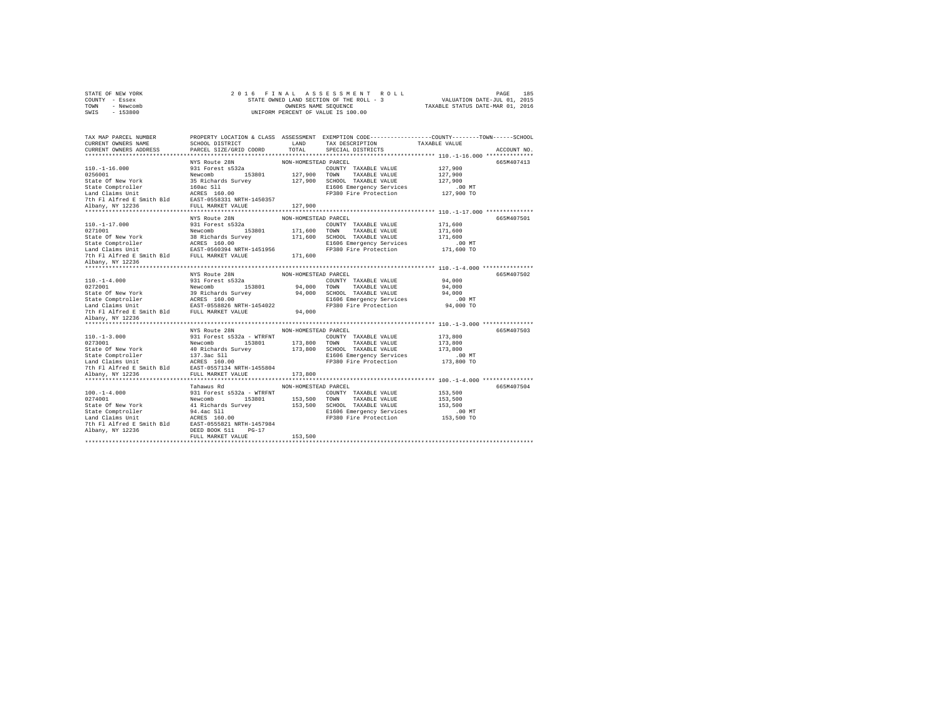| STATE OF NEW YORK |           |  |  |  | 2016 FINAL ASSESSMENT ROLL               |                                  | PAGE                        | 185 |
|-------------------|-----------|--|--|--|------------------------------------------|----------------------------------|-----------------------------|-----|
| COUNTY - Essex    |           |  |  |  | STATE OWNED LAND SECTION OF THE ROLL - 3 |                                  | VALUATION DATE-JUL 01, 2015 |     |
| TOWN              | - Newcomb |  |  |  | OWNERS NAME SEOUENCE                     | TAXABLE STATUS DATE-MAR 01, 2016 |                             |     |
| SWIS              | $-153800$ |  |  |  | UNIFORM PERCENT OF VALUE IS 100.00       |                                  |                             |     |

| TAX MAP PARCEL NUMBER                                                                                                                                                                                                                                                  | PROPERTY LOCATION & CLASS ASSESSMENT EXEMPTION CODE-----------------COUNTY-------TOWN------SCHOOL                                                                                                                           |                      |                                                                                                                                                                                                                                |                 |             |
|------------------------------------------------------------------------------------------------------------------------------------------------------------------------------------------------------------------------------------------------------------------------|-----------------------------------------------------------------------------------------------------------------------------------------------------------------------------------------------------------------------------|----------------------|--------------------------------------------------------------------------------------------------------------------------------------------------------------------------------------------------------------------------------|-----------------|-------------|
| CURRENT OWNERS NAME                                                                                                                                                                                                                                                    | ${\tt SCHOOL\ DISTRICT}\qquad\qquad {\tt LAND}\qquad\qquad {\tt TAX\ DESTRITION}\qquad\qquad {\tt TAXABLE\ VALUE}\qquad\qquad {\tt PARCEL\ SIZE/GRID\ COORD}\qquad\qquad {\tt TOTAL}\qquad\qquad {\tt SPECTAL\ DISTRICTS}}$ |                      |                                                                                                                                                                                                                                |                 |             |
| CURRENT OWNERS ADDRESS PARCEL SIZE/GRID COORD                                                                                                                                                                                                                          |                                                                                                                                                                                                                             |                      |                                                                                                                                                                                                                                |                 | ACCOUNT NO. |
|                                                                                                                                                                                                                                                                        |                                                                                                                                                                                                                             |                      |                                                                                                                                                                                                                                |                 |             |
|                                                                                                                                                                                                                                                                        |                                                                                                                                                                                                                             |                      |                                                                                                                                                                                                                                |                 | 665M407413  |
|                                                                                                                                                                                                                                                                        |                                                                                                                                                                                                                             |                      |                                                                                                                                                                                                                                |                 |             |
|                                                                                                                                                                                                                                                                        |                                                                                                                                                                                                                             |                      |                                                                                                                                                                                                                                |                 |             |
|                                                                                                                                                                                                                                                                        |                                                                                                                                                                                                                             |                      |                                                                                                                                                                                                                                |                 |             |
|                                                                                                                                                                                                                                                                        |                                                                                                                                                                                                                             |                      |                                                                                                                                                                                                                                | ,<br>127,900 TO |             |
|                                                                                                                                                                                                                                                                        |                                                                                                                                                                                                                             |                      |                                                                                                                                                                                                                                |                 |             |
|                                                                                                                                                                                                                                                                        |                                                                                                                                                                                                                             |                      |                                                                                                                                                                                                                                |                 |             |
| *************************                                                                                                                                                                                                                                              | ****************************                                                                                                                                                                                                |                      |                                                                                                                                                                                                                                |                 |             |
|                                                                                                                                                                                                                                                                        |                                                                                                                                                                                                                             |                      |                                                                                                                                                                                                                                |                 | 665M407501  |
|                                                                                                                                                                                                                                                                        | NYS Route 28N                                                                                                                                                                                                               | NON-HOMESTEAD PARCEL |                                                                                                                                                                                                                                |                 |             |
|                                                                                                                                                                                                                                                                        |                                                                                                                                                                                                                             |                      |                                                                                                                                                                                                                                |                 |             |
|                                                                                                                                                                                                                                                                        |                                                                                                                                                                                                                             |                      |                                                                                                                                                                                                                                |                 |             |
| 110.-1-17.000<br>2011 Forest s322<br>2011 Forest S322<br>2011 T1,600 TOWEY TAXABLE VALUE 171,600<br>2016 COUNTY TAXABLE VALUE 171,600<br>2016 COUNTY TAXABLE VALUE 171,600<br>2016 COUNTY TAXABLE VALUE 171,600<br>2016 EMERIC 171,600<br>2016                         |                                                                                                                                                                                                                             |                      |                                                                                                                                                                                                                                |                 |             |
|                                                                                                                                                                                                                                                                        |                                                                                                                                                                                                                             |                      |                                                                                                                                                                                                                                |                 |             |
|                                                                                                                                                                                                                                                                        |                                                                                                                                                                                                                             |                      |                                                                                                                                                                                                                                |                 |             |
|                                                                                                                                                                                                                                                                        |                                                                                                                                                                                                                             |                      |                                                                                                                                                                                                                                |                 |             |
| Albany, NY 12236                                                                                                                                                                                                                                                       |                                                                                                                                                                                                                             |                      |                                                                                                                                                                                                                                |                 |             |
| 110.-1-4.000 NYS Route 28N NON-HOMESTEAD PRACEL<br>101.-1-4.000 931 Forest \$532a 2017<br>20272001 931 Forest \$532a 20272001 934,000 TONNY<br>State Of New York 39 Richards Survey 94,000 SCHOOL<br>1510 FOREST ALGRES 160.00<br>Land Claims U                        |                                                                                                                                                                                                                             |                      |                                                                                                                                                                                                                                |                 | 665M407502  |
|                                                                                                                                                                                                                                                                        |                                                                                                                                                                                                                             |                      | COUNTY TAXABLE VALUE 94,000                                                                                                                                                                                                    |                 |             |
|                                                                                                                                                                                                                                                                        |                                                                                                                                                                                                                             |                      |                                                                                                                                                                                                                                |                 |             |
|                                                                                                                                                                                                                                                                        |                                                                                                                                                                                                                             |                      |                                                                                                                                                                                                                                |                 |             |
|                                                                                                                                                                                                                                                                        |                                                                                                                                                                                                                             |                      |                                                                                                                                                                                                                                |                 |             |
|                                                                                                                                                                                                                                                                        |                                                                                                                                                                                                                             |                      | St B33601<br>153801<br>153801<br>16.000<br>16.000<br>16.000<br>16.000<br>16.000<br>24,000<br>EIG06 Emergency Services<br>16.000<br>EIG06 PERTERPIC SERVICES<br>IF19380 Fire Protection 94,000 TO<br>194,000 PERTERPIC SERVICES |                 |             |
|                                                                                                                                                                                                                                                                        |                                                                                                                                                                                                                             |                      |                                                                                                                                                                                                                                |                 |             |
| Albany, NY 12236                                                                                                                                                                                                                                                       |                                                                                                                                                                                                                             |                      |                                                                                                                                                                                                                                |                 |             |
|                                                                                                                                                                                                                                                                        |                                                                                                                                                                                                                             |                      |                                                                                                                                                                                                                                |                 |             |
|                                                                                                                                                                                                                                                                        | NYS Route 28N NON-HOMESTEAD PARCEL                                                                                                                                                                                          |                      |                                                                                                                                                                                                                                |                 | 665M407503  |
|                                                                                                                                                                                                                                                                        |                                                                                                                                                                                                                             |                      |                                                                                                                                                                                                                                |                 |             |
|                                                                                                                                                                                                                                                                        |                                                                                                                                                                                                                             |                      |                                                                                                                                                                                                                                |                 |             |
|                                                                                                                                                                                                                                                                        |                                                                                                                                                                                                                             |                      |                                                                                                                                                                                                                                |                 |             |
|                                                                                                                                                                                                                                                                        |                                                                                                                                                                                                                             |                      |                                                                                                                                                                                                                                |                 |             |
|                                                                                                                                                                                                                                                                        |                                                                                                                                                                                                                             |                      |                                                                                                                                                                                                                                |                 |             |
|                                                                                                                                                                                                                                                                        |                                                                                                                                                                                                                             |                      |                                                                                                                                                                                                                                |                 |             |
|                                                                                                                                                                                                                                                                        |                                                                                                                                                                                                                             |                      |                                                                                                                                                                                                                                |                 |             |
| 110.-1-3.000 MYS Route 28N<br>110.-1-3.000 MYS Route 2812a - WTREW PARCEL COUNTY TAXABLE VALUE<br>210.-12000 MEW ONE 1532a - WIRENT COUNTY TAXABLE VALUE<br>210.000 STEED 173,800<br>21000 SCHOOL TAXABLE VALUE<br>21000 SCHOOL TAXABLE                                |                                                                                                                                                                                                                             |                      |                                                                                                                                                                                                                                |                 |             |
|                                                                                                                                                                                                                                                                        |                                                                                                                                                                                                                             |                      |                                                                                                                                                                                                                                |                 | 665M407504  |
|                                                                                                                                                                                                                                                                        |                                                                                                                                                                                                                             |                      |                                                                                                                                                                                                                                |                 |             |
|                                                                                                                                                                                                                                                                        |                                                                                                                                                                                                                             |                      |                                                                                                                                                                                                                                |                 |             |
|                                                                                                                                                                                                                                                                        |                                                                                                                                                                                                                             |                      |                                                                                                                                                                                                                                |                 |             |
| 100.-1-4.000<br>100.-1-4.000<br>100.-1-4.000<br>1000.-1-4.000<br>20274001<br>20274001<br>20274001<br>20274001<br>20274001<br>20274001<br>20274001<br>20274001<br>20274001<br>20274001<br>20274001<br>20274001<br>20274001<br>20274001<br>20274001<br>20274001<br>20274 |                                                                                                                                                                                                                             |                      |                                                                                                                                                                                                                                |                 |             |
|                                                                                                                                                                                                                                                                        |                                                                                                                                                                                                                             |                      |                                                                                                                                                                                                                                |                 |             |
|                                                                                                                                                                                                                                                                        |                                                                                                                                                                                                                             |                      |                                                                                                                                                                                                                                |                 |             |
|                                                                                                                                                                                                                                                                        |                                                                                                                                                                                                                             |                      |                                                                                                                                                                                                                                |                 |             |
|                                                                                                                                                                                                                                                                        | FULL MARKET VALUE                                                                                                                                                                                                           | 153,500              |                                                                                                                                                                                                                                |                 |             |
|                                                                                                                                                                                                                                                                        |                                                                                                                                                                                                                             |                      |                                                                                                                                                                                                                                |                 |             |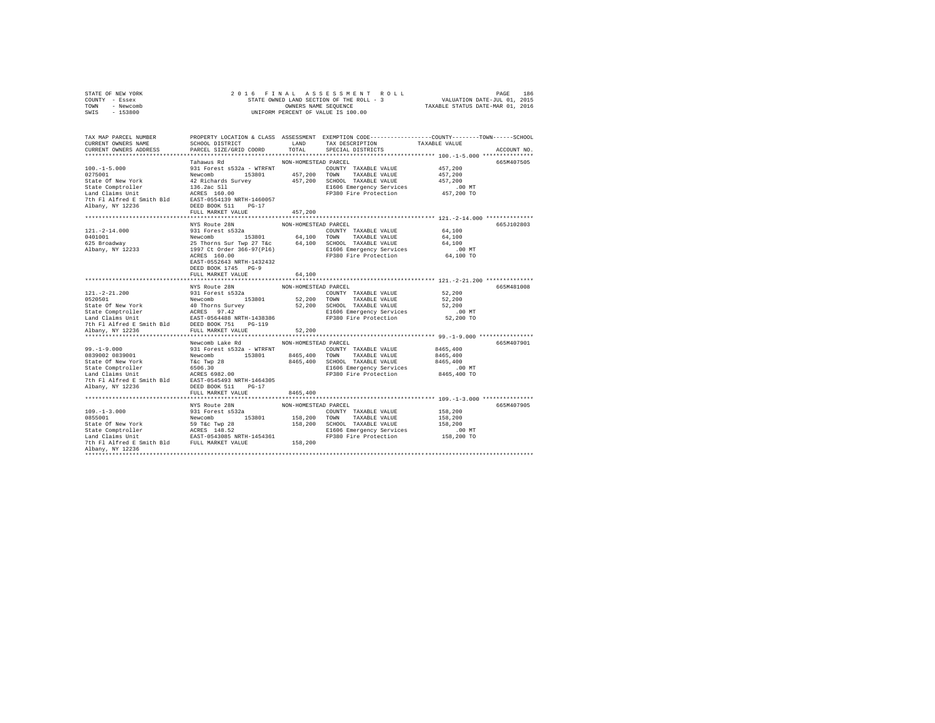| STATE OF NEW YORK | 2016 FINAL ASSESSMENT ROLL               | 186<br>PAGE                      |
|-------------------|------------------------------------------|----------------------------------|
| COUNTY - Essex    | STATE OWNED LAND SECTION OF THE ROLL - 3 | VALUATION DATE-JUL 01, 2015      |
| TOWN<br>- Newcomb | OWNERS NAME SEOUENCE                     | TAXABLE STATUS DATE-MAR 01, 2016 |
| - 153800<br>SWIS  | UNIFORM PERCENT OF VALUE IS 100.00       |                                  |

| TAX MAP PARCEL NUMBER                                                                                                                                                                                                                            | PROPERTY LOCATION & CLASS ASSESSMENT EXEMPTION CODE---------------COUNTY-------TOWN-----SCHOOL |                      |                                   |               |             |
|--------------------------------------------------------------------------------------------------------------------------------------------------------------------------------------------------------------------------------------------------|------------------------------------------------------------------------------------------------|----------------------|-----------------------------------|---------------|-------------|
| CURRENT OWNERS NAME                                                                                                                                                                                                                              | SCHOOL DISTRICT                                                                                | LAND                 | TAX DESCRIPTION                   | TAXABLE VALUE |             |
| CURRENT OWNERS ADDRESS                                                                                                                                                                                                                           | PARCEL SIZE/GRID COORD                                                                         | TOTAL                | SPECIAL DISTRICTS                 |               | ACCOUNT NO. |
|                                                                                                                                                                                                                                                  |                                                                                                |                      |                                   |               |             |
|                                                                                                                                                                                                                                                  | Tahawus Rd                                                                                     | NON-HOMESTEAD PARCEL |                                   |               | 665M407505  |
| $100. -1 - 5.000$                                                                                                                                                                                                                                | 931 Forest s532a - WTRFNT                                                                      |                      | COUNTY TAXABLE VALUE              | 457,200       |             |
| 0275001                                                                                                                                                                                                                                          | Newcomb                                                                                        |                      | 153801 457,200 TOWN TAXABLE VALUE | 457,200       |             |
|                                                                                                                                                                                                                                                  |                                                                                                |                      | 457,200 SCHOOL TAXABLE VALUE      | 457,200       |             |
|                                                                                                                                                                                                                                                  |                                                                                                |                      | E1606 Emergency Services          | $.00$ MT      |             |
|                                                                                                                                                                                                                                                  |                                                                                                |                      | FP380 Fire Protection             | 457,200 TO    |             |
|                                                                                                                                                                                                                                                  |                                                                                                |                      |                                   |               |             |
| State of New York (42 Richards Survey<br>State Comptroller (42 Richards Survey)<br>Land Claims Unit<br>Land Claims Unit<br>2 Richard Samith Bld (2008)<br>2008 11 Palited Bass (2008)<br>2 Richard (2008)<br>2 Richard (2008)<br>2 DEED BOOK 5   |                                                                                                |                      |                                   |               |             |
|                                                                                                                                                                                                                                                  | FULL MARKET VALUE                                                                              | 457.200              |                                   |               |             |
|                                                                                                                                                                                                                                                  |                                                                                                |                      |                                   |               |             |
|                                                                                                                                                                                                                                                  | NYS Route 28N                                                                                  | NON-HOMESTEAD PARCEL |                                   |               | 665J102803  |
| $121. - 2 - 14.000$                                                                                                                                                                                                                              | 931 Forest s532a                                                                               |                      | COUNTY TAXABLE VALUE              | 64,100        |             |
| 0401001                                                                                                                                                                                                                                          | 153801 64,100                                                                                  |                      | TOWN TAXABLE VALUE                | 64,100        |             |
| 625 Broadway                                                                                                                                                                                                                                     |                                                                                                |                      | 64,100 SCHOOL TAXABLE VALUE       | 64,100        |             |
| Albany, NY 12233                                                                                                                                                                                                                                 | Newcomb 153801<br>25 Thorns Sur Twp 27 T&c<br>1997 Ct Order 366-97(P16)                        |                      | E1606 Emergency Services          | .00 MT        |             |
|                                                                                                                                                                                                                                                  | ACRES 160.00                                                                                   |                      | FP380 Fire Protection             | 64,100 TO     |             |
|                                                                                                                                                                                                                                                  | EAST-0552643 NRTH-1432432                                                                      |                      |                                   |               |             |
|                                                                                                                                                                                                                                                  | DEED BOOK 1745 PG-9                                                                            |                      |                                   |               |             |
|                                                                                                                                                                                                                                                  | FULL MARKET VALUE                                                                              | 64,100               |                                   |               |             |
|                                                                                                                                                                                                                                                  |                                                                                                |                      |                                   |               |             |
|                                                                                                                                                                                                                                                  | NYS Route 28N                                                                                  | NON-HOMESTEAD PARCEL |                                   |               | 665M481008  |
| $121. - 2 - 21.200$                                                                                                                                                                                                                              | 931 Forest s532a                                                                               |                      | COUNTY TAXABLE VALUE              | 52,200        |             |
|                                                                                                                                                                                                                                                  |                                                                                                |                      | 52,200 TOWN TAXABLE VALUE         | 52,200        |             |
| 171.-2-21.200<br>1920501 Newcomb<br>State Of New York 40 Thorns Survey<br>State Of New York 40 Thorns Survey<br>State Comptroller<br>Land Claims Unit Example Data Names 71. Prince 71.<br>The Filalized E Smith Bld<br>The Filalized E Smit     |                                                                                                |                      | 52,200 SCHOOL TAXABLE VALUE       | 52,200        |             |
|                                                                                                                                                                                                                                                  |                                                                                                |                      | E1606 Emergency Services          | $.00$ MT      |             |
|                                                                                                                                                                                                                                                  |                                                                                                |                      | FP380 Fire Protection             | 52,200 TO     |             |
|                                                                                                                                                                                                                                                  |                                                                                                |                      |                                   |               |             |
| Albany, NY 12236                                                                                                                                                                                                                                 | FULL MARKET VALUE                                                                              | 52,200               |                                   |               |             |
|                                                                                                                                                                                                                                                  |                                                                                                |                      |                                   |               |             |
|                                                                                                                                                                                                                                                  | Newcomb Lake Rd                                                                                | NON-HOMESTEAD PARCEL |                                   |               | 665M407901  |
| $99. - 1 - 9.000$                                                                                                                                                                                                                                | 931 Forest s532a - WTRFNT                                                                      |                      | COUNTY TAXABLE VALUE              | 8465,400      |             |
| 0839002 0839001                                                                                                                                                                                                                                  | Newcomb<br>153801                                                                              | 8465,400 TOWN        | TAXABLE VALUE                     | 8465,400      |             |
| State Of New York                                                                                                                                                                                                                                |                                                                                                |                      | 8465,400 SCHOOL TAXABLE VALUE     | 8465,400      |             |
| State Comptroller                                                                                                                                                                                                                                |                                                                                                |                      | E1606 Emergency Services          |               |             |
|                                                                                                                                                                                                                                                  | T&c Twp 28<br>6506.30<br>ACRES 6982.00                                                         |                      |                                   | .00 MT        |             |
| Land Claims Unit                                                                                                                                                                                                                                 |                                                                                                |                      | FP380 Fire Protection             | 8465,400 TO   |             |
| 7th Fl Alfred E Smith Bld EAST-0545493 NRTH-1464305                                                                                                                                                                                              |                                                                                                |                      |                                   |               |             |
| Albany, NY 12236                                                                                                                                                                                                                                 | DEED BOOK 511 PG-17                                                                            |                      |                                   |               |             |
|                                                                                                                                                                                                                                                  | FULL MARKET VALUE                                                                              | 8465,400             |                                   |               |             |
|                                                                                                                                                                                                                                                  |                                                                                                |                      |                                   |               |             |
|                                                                                                                                                                                                                                                  | NYS Route 28N                                                                                  | NON-HOMESTEAD PARCEL |                                   |               | 665M407905  |
| $109. - 1 - 3.000$                                                                                                                                                                                                                               | 931 Forest s532a                                                                               |                      | COUNTY TAXABLE VALUE              | 158,200       |             |
| 197-1-3.000<br>State Of New York Newcomb 153801 158,200<br>State Of New York 58 Tac Twp 28<br>Land Claims Unit 188,200<br>2005 - ACRES 148.52<br>2006 - ACRES 148.52<br>2006 - ACRES 148.52<br>2006 - ACRES 148.52<br>2007 - ACRES 148.52<br>200 |                                                                                                |                      | 158,200 TOWN TAXABLE VALUE        | 158,200       |             |
|                                                                                                                                                                                                                                                  |                                                                                                |                      | 158,200 SCHOOL TAXABLE VALUE      | 158,200       |             |
|                                                                                                                                                                                                                                                  |                                                                                                |                      | E1606 Emergency Services          | .00MT         |             |
|                                                                                                                                                                                                                                                  |                                                                                                |                      | FP380 Fire Protection             | 158,200 TO    |             |
|                                                                                                                                                                                                                                                  |                                                                                                |                      |                                   |               |             |
| Albany, NY 12236                                                                                                                                                                                                                                 |                                                                                                |                      |                                   |               |             |
|                                                                                                                                                                                                                                                  |                                                                                                |                      |                                   |               |             |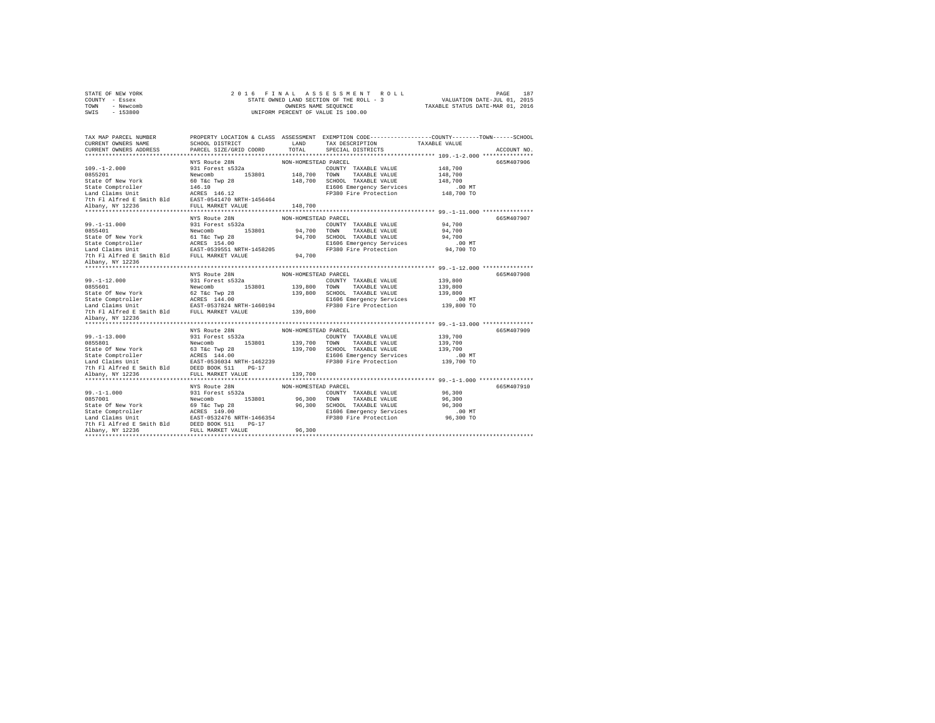| STATE OF NEW YORK |           |  |  |  | 2016 FINAL ASSESSMENT ROLL               |  |                                  | PAGE                        | 187 |
|-------------------|-----------|--|--|--|------------------------------------------|--|----------------------------------|-----------------------------|-----|
| COUNTY - Essex    |           |  |  |  | STATE OWNED LAND SECTION OF THE ROLL - 3 |  |                                  | VALUATION DATE-JUL 01, 2015 |     |
| TOWN              | - Newcomb |  |  |  | OWNERS NAME SEOUENCE                     |  | TAXABLE STATUS DATE-MAR 01, 2016 |                             |     |
| SWIS              | $-153800$ |  |  |  | UNIFORM PERCENT OF VALUE IS 100.00       |  |                                  |                             |     |

| TAX MAP PARCEL NUMBER<br>CURRENT OWNERS NAME                                                                                                                                                                                                |                                    |                      | PROPERTY LOCATION & CLASS ASSESSMENT EXEMPTION CODE---------------COUNTY-------TOWN-----SCHOOL<br>SCHOOL DISTRICT                       LAND        TAX DESCRIPTION                  TAXABLE VALUE |             |
|---------------------------------------------------------------------------------------------------------------------------------------------------------------------------------------------------------------------------------------------|------------------------------------|----------------------|----------------------------------------------------------------------------------------------------------------------------------------------------------------------------------------------------|-------------|
| CURRENT OWNERS ADDRESS PARCEL SIZE/GRID COORD                                                                                                                                                                                               |                                    | TOTAL                | SPECIAL DISTRICTS                                                                                                                                                                                  | ACCOUNT NO. |
|                                                                                                                                                                                                                                             |                                    |                      |                                                                                                                                                                                                    | 665M407906  |
|                                                                                                                                                                                                                                             |                                    |                      |                                                                                                                                                                                                    |             |
|                                                                                                                                                                                                                                             |                                    |                      |                                                                                                                                                                                                    |             |
|                                                                                                                                                                                                                                             |                                    |                      |                                                                                                                                                                                                    |             |
|                                                                                                                                                                                                                                             |                                    |                      |                                                                                                                                                                                                    |             |
|                                                                                                                                                                                                                                             |                                    |                      |                                                                                                                                                                                                    |             |
|                                                                                                                                                                                                                                             |                                    |                      |                                                                                                                                                                                                    |             |
|                                                                                                                                                                                                                                             |                                    |                      |                                                                                                                                                                                                    |             |
|                                                                                                                                                                                                                                             |                                    |                      |                                                                                                                                                                                                    |             |
|                                                                                                                                                                                                                                             | NYS Route 28N                      | NON-HOMESTEAD PARCEL |                                                                                                                                                                                                    | 665M407907  |
|                                                                                                                                                                                                                                             |                                    |                      |                                                                                                                                                                                                    |             |
|                                                                                                                                                                                                                                             |                                    |                      |                                                                                                                                                                                                    |             |
|                                                                                                                                                                                                                                             |                                    |                      |                                                                                                                                                                                                    |             |
|                                                                                                                                                                                                                                             |                                    |                      |                                                                                                                                                                                                    |             |
|                                                                                                                                                                                                                                             |                                    |                      |                                                                                                                                                                                                    |             |
| 99.-1-11.000 MW-HOMESTEAD NON-HOMESTEAD COUNTY TAXABLE VALUE 29<br>0855401 COUNTY TAXABLE VALUE 24,700<br>State Of New York Education 153801 94,700 TOWN TAXABLE VALUE 24,700<br>State Competence of New York 61 Tax The Tay 28<br>Sta      |                                    |                      |                                                                                                                                                                                                    |             |
| Albany, NY 12236                                                                                                                                                                                                                            |                                    |                      |                                                                                                                                                                                                    |             |
|                                                                                                                                                                                                                                             |                                    |                      |                                                                                                                                                                                                    |             |
|                                                                                                                                                                                                                                             | NYS Route 28N                      | NON-HOMESTEAD PARCEL |                                                                                                                                                                                                    | 665M407908  |
|                                                                                                                                                                                                                                             |                                    |                      |                                                                                                                                                                                                    |             |
|                                                                                                                                                                                                                                             |                                    |                      |                                                                                                                                                                                                    |             |
|                                                                                                                                                                                                                                             |                                    |                      |                                                                                                                                                                                                    |             |
|                                                                                                                                                                                                                                             |                                    |                      |                                                                                                                                                                                                    |             |
|                                                                                                                                                                                                                                             |                                    |                      |                                                                                                                                                                                                    |             |
| 99.-1-12.000 99.1 2000 99.1 2000 99.1 2000 99.1 2000 99.1<br>2000 99.1 2000 99.1 2000 99.1 2000 99.2 2000 99.2 2000 99.2 2000 99.2 2000 99.2 2000 99.2 2000 99.2 2000 99.2<br>2000 2000 2000 99.2 2000 99.2 2000 99.2 2000 99.2 20          |                                    |                      |                                                                                                                                                                                                    |             |
| Albany, NY 12236                                                                                                                                                                                                                            |                                    |                      |                                                                                                                                                                                                    |             |
|                                                                                                                                                                                                                                             |                                    |                      |                                                                                                                                                                                                    |             |
|                                                                                                                                                                                                                                             | NYS Route 28N NON-HOMESTEAD PARCEL |                      |                                                                                                                                                                                                    | 665M407909  |
|                                                                                                                                                                                                                                             |                                    |                      |                                                                                                                                                                                                    |             |
|                                                                                                                                                                                                                                             |                                    |                      |                                                                                                                                                                                                    |             |
|                                                                                                                                                                                                                                             |                                    |                      |                                                                                                                                                                                                    |             |
|                                                                                                                                                                                                                                             |                                    |                      |                                                                                                                                                                                                    |             |
|                                                                                                                                                                                                                                             |                                    |                      |                                                                                                                                                                                                    |             |
|                                                                                                                                                                                                                                             |                                    |                      |                                                                                                                                                                                                    |             |
| 99.-1-13.000 MM-HUMESIAN COUNTY TAXABLE VALUE<br>89.1-1-13.000 MM-HUMESIAN COUNTY TAXABLE VALUE<br>816.000 MM VOR New York 63.76c Twp 28 139,700 TONN TAXABLE VALUE<br>816.000 MM SCHOOL TAXABLE VALUE<br>816.000 MM DERD BOOK 511 97.      |                                    |                      |                                                                                                                                                                                                    |             |
|                                                                                                                                                                                                                                             |                                    |                      |                                                                                                                                                                                                    |             |
|                                                                                                                                                                                                                                             | NYS Route 28N NON-HOMESTEAD PARCEL |                      |                                                                                                                                                                                                    | 665M407910  |
|                                                                                                                                                                                                                                             |                                    |                      |                                                                                                                                                                                                    |             |
|                                                                                                                                                                                                                                             |                                    |                      |                                                                                                                                                                                                    |             |
|                                                                                                                                                                                                                                             |                                    |                      |                                                                                                                                                                                                    |             |
|                                                                                                                                                                                                                                             |                                    |                      |                                                                                                                                                                                                    |             |
|                                                                                                                                                                                                                                             |                                    |                      |                                                                                                                                                                                                    |             |
|                                                                                                                                                                                                                                             |                                    |                      |                                                                                                                                                                                                    |             |
| 99.-1-1.000<br>99.-1-1.000<br>99.1-1.000<br>96.300<br>8657001<br>86.300<br>86.300<br>86.300 TOWN TAXABLE VALUE<br>86.300 TOWN TAXABLE VALUE<br>86.300 SCHOD<br>State Comptroller<br>86.300<br>200 SCHOD SCHOD RAMABLE VALUE<br>26.300 SCHOD |                                    |                      |                                                                                                                                                                                                    |             |
|                                                                                                                                                                                                                                             |                                    |                      |                                                                                                                                                                                                    |             |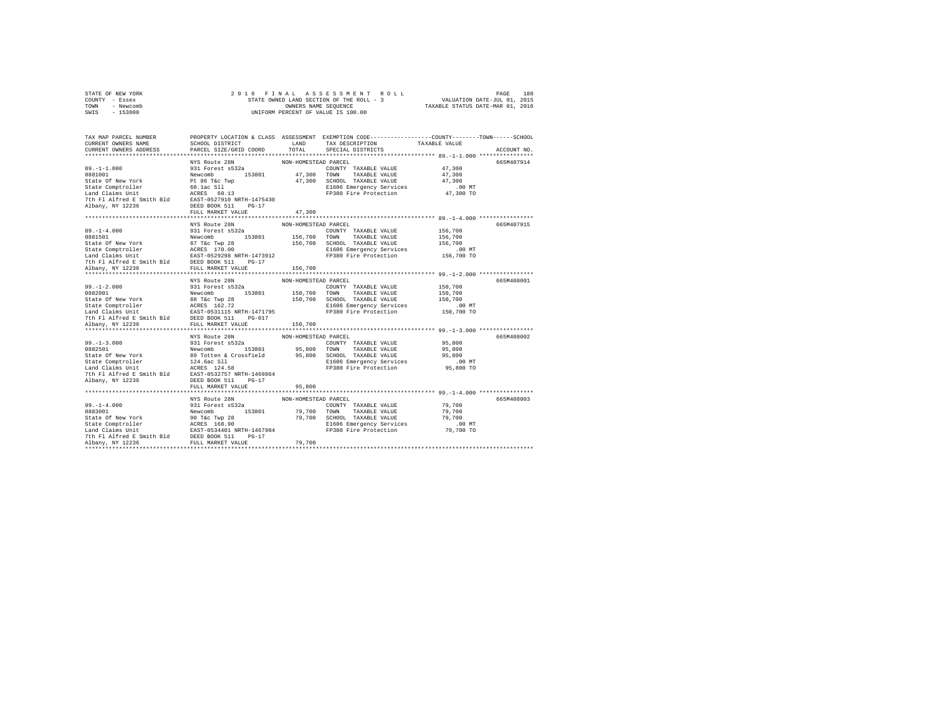|                | STATE OF NEW YORK |  | 2016 FINAL ASSESSMENT ROLL               |                                  | PAGE                        | 188 |
|----------------|-------------------|--|------------------------------------------|----------------------------------|-----------------------------|-----|
| COUNTY - Essex |                   |  | STATE OWNED LAND SECTION OF THE ROLL - 3 |                                  | VALUATION DATE-JUL 01, 2015 |     |
| TOWN           | - Newcomb         |  | OWNERS NAME SEOUENCE                     | TAXABLE STATUS DATE-MAR 01, 2016 |                             |     |
| SWTS           | $-153800$         |  | UNIFORM PERCENT OF VALUE IS 100.00       |                                  |                             |     |

| TAX MAP PARCEL NUMBER<br>CURRENT OWNERS NAME<br>CURRENT OWNERS ADDRESS PARCEL SIZE/GRID COORD                                                                                                                                                   | SCHOOL DISTRICT LAND     | TOTAL                | PROPERTY LOCATION & CLASS ASSESSMENT EXEMPTION CODE----------------COUNTY-------TOWN-----SCHOOL<br>TAX DESCRIPTION<br>SPECIAL DISTRICTS | TAXABLE VALUE | ACCOUNT NO. |
|-------------------------------------------------------------------------------------------------------------------------------------------------------------------------------------------------------------------------------------------------|--------------------------|----------------------|-----------------------------------------------------------------------------------------------------------------------------------------|---------------|-------------|
|                                                                                                                                                                                                                                                 |                          |                      |                                                                                                                                         |               |             |
|                                                                                                                                                                                                                                                 |                          | NON-HOMESTEAD PARCEL |                                                                                                                                         |               | 665M407914  |
|                                                                                                                                                                                                                                                 |                          |                      | COUNTY TAXABLE VALUE 47,300                                                                                                             |               |             |
|                                                                                                                                                                                                                                                 |                          |                      | 47,300 TOWN TAXABLE VALUE                                                                                                               | 47,300        |             |
|                                                                                                                                                                                                                                                 |                          |                      | 47,300 SCHOOL TAXABLE VALUE                                                                                                             | 47,300        |             |
|                                                                                                                                                                                                                                                 |                          |                      | E1606 Emergency Services                                                                                                                | $.00$ MT      |             |
|                                                                                                                                                                                                                                                 |                          |                      | FP380 Fire Protection 47,300 TO                                                                                                         |               |             |
|                                                                                                                                                                                                                                                 |                          |                      |                                                                                                                                         |               |             |
|                                                                                                                                                                                                                                                 |                          |                      |                                                                                                                                         |               |             |
|                                                                                                                                                                                                                                                 | FULL MARKET VALUE        | 47,300               |                                                                                                                                         |               |             |
|                                                                                                                                                                                                                                                 |                          |                      |                                                                                                                                         |               |             |
|                                                                                                                                                                                                                                                 | NYS Route 28N            | NON-HOMESTEAD PARCEL |                                                                                                                                         |               | 665M407915  |
|                                                                                                                                                                                                                                                 |                          |                      | COUNTY TAXABLE VALUE                                                                                                                    | 156,700       |             |
|                                                                                                                                                                                                                                                 |                          |                      |                                                                                                                                         | 156,700       |             |
|                                                                                                                                                                                                                                                 |                          |                      | 156,700 SCHOOL TAXABLE VALUE                                                                                                            | 156,700       |             |
|                                                                                                                                                                                                                                                 |                          |                      | E1606 Emergency Services                                                                                                                | .00 MT        |             |
|                                                                                                                                                                                                                                                 |                          |                      | FP380 Fire Protection 156,700 TO                                                                                                        |               |             |
|                                                                                                                                                                                                                                                 |                          |                      |                                                                                                                                         |               |             |
| Albany, NY 12236                                                                                                                                                                                                                                | FULL MARKET VALUE        | 156,700              |                                                                                                                                         |               |             |
|                                                                                                                                                                                                                                                 |                          |                      |                                                                                                                                         |               |             |
|                                                                                                                                                                                                                                                 | NYS Route 28N            | NON-HOMESTEAD PARCEL |                                                                                                                                         |               | 665M408001  |
|                                                                                                                                                                                                                                                 |                          |                      |                                                                                                                                         |               |             |
|                                                                                                                                                                                                                                                 |                          |                      |                                                                                                                                         |               |             |
|                                                                                                                                                                                                                                                 |                          |                      |                                                                                                                                         |               |             |
|                                                                                                                                                                                                                                                 |                          |                      |                                                                                                                                         |               |             |
|                                                                                                                                                                                                                                                 |                          |                      |                                                                                                                                         |               |             |
|                                                                                                                                                                                                                                                 |                          |                      |                                                                                                                                         |               |             |
|                                                                                                                                                                                                                                                 |                          |                      |                                                                                                                                         |               |             |
|                                                                                                                                                                                                                                                 |                          | NON-HOMESTEAD PARCEL |                                                                                                                                         |               | 665M408002  |
|                                                                                                                                                                                                                                                 |                          |                      | COUNTY TAXABLE VALUE 95,800                                                                                                             |               |             |
|                                                                                                                                                                                                                                                 |                          |                      |                                                                                                                                         | 95,800        |             |
|                                                                                                                                                                                                                                                 |                          |                      |                                                                                                                                         | 95,800        |             |
|                                                                                                                                                                                                                                                 |                          |                      |                                                                                                                                         |               |             |
|                                                                                                                                                                                                                                                 |                          |                      | E1606 Emergency Services 6.00 MT<br>FP380 Fire Protection 65,800 TO                                                                     |               |             |
| 99.-1-3.000<br>99.-1-3.000<br>99.1-3.000<br>982501<br>Newcomb S218801<br>State Of New York<br>89 Totten & Crossfield<br>89 Totten in 124.66<br>24.58<br>24.56<br>24.58<br>24.58<br>24.58<br>24.58<br>24.58<br>24.58<br>24.58<br>24.58<br>25,800 |                          |                      |                                                                                                                                         |               |             |
| Albany, NY 12236                                                                                                                                                                                                                                | DEED BOOK 511<br>$PG-17$ |                      |                                                                                                                                         |               |             |
|                                                                                                                                                                                                                                                 | FULL MARKET VALUE        | 95,800               |                                                                                                                                         |               |             |
|                                                                                                                                                                                                                                                 |                          |                      |                                                                                                                                         |               |             |
|                                                                                                                                                                                                                                                 | NYS Route 28N            | NON-HOMESTEAD PARCEL |                                                                                                                                         |               | 665M408003  |
|                                                                                                                                                                                                                                                 |                          |                      |                                                                                                                                         | 79,700        |             |
|                                                                                                                                                                                                                                                 |                          |                      |                                                                                                                                         | 79,700        |             |
|                                                                                                                                                                                                                                                 |                          |                      |                                                                                                                                         | 79,700        |             |
|                                                                                                                                                                                                                                                 |                          |                      | E1606 Emergency Services                                                                                                                | $.00$ MT      |             |
|                                                                                                                                                                                                                                                 |                          |                      |                                                                                                                                         | 79,700 TO     |             |
|                                                                                                                                                                                                                                                 |                          |                      |                                                                                                                                         |               |             |
| Albany, NY 12236                                                                                                                                                                                                                                | FULL MARKET VALUE        | 79,700               |                                                                                                                                         |               |             |
|                                                                                                                                                                                                                                                 |                          |                      |                                                                                                                                         |               |             |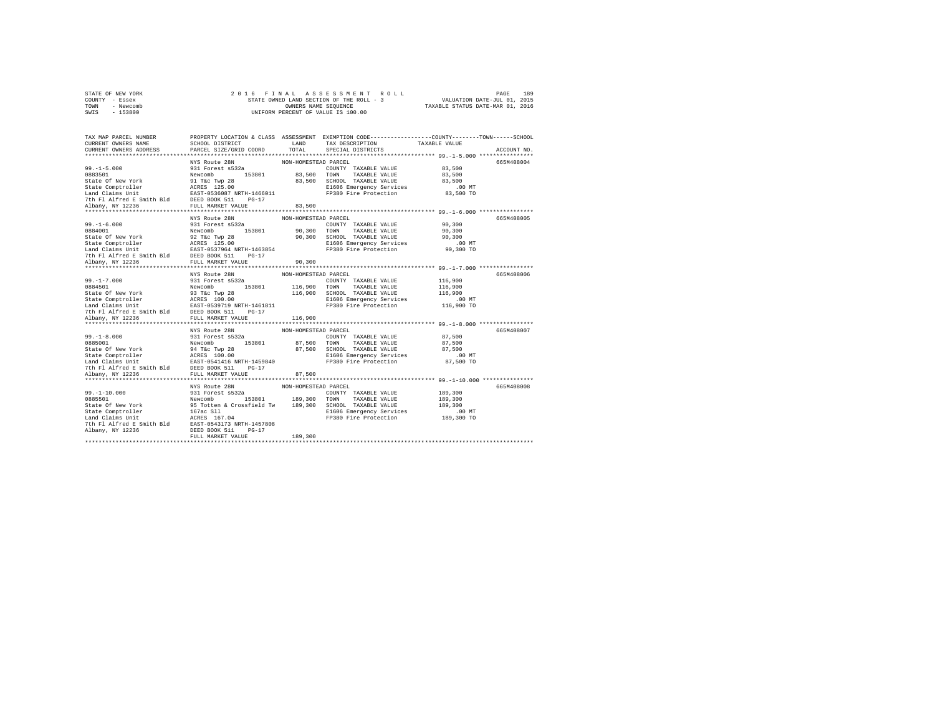| STATE OF NEW YORK | 2016 FINAL ASSESSMENT ROLL               | 189<br>PAGE                      |
|-------------------|------------------------------------------|----------------------------------|
| COUNTY - Essex    | STATE OWNED LAND SECTION OF THE ROLL - 3 | VALUATION DATE-JUL 01, 2015      |
| TOWN<br>- Newcomb | OWNERS NAME SEOUENCE                     | TAXABLE STATUS DATE-MAR 01, 2016 |
| $-153800$<br>SWIS | UNIFORM PERCENT OF VALUE IS 100.00       |                                  |

| TAX MAP PARCEL NUMBER<br>CURRENT OWNERS NAME<br>CURRENT OWNERS ADDRESS                                                                                                                                                                                                | SCHOOL DISTRICT<br>PARCEL SIZE/GRID COORD                                                | LAND<br>TOTAL                                 | PROPERTY LOCATION & CLASS ASSESSMENT EXEMPTION CODE----------------COUNTY-------TOWN------SCHOOL<br>TAX DESCRIPTION<br>SPECIAL DISTRICTS                     | TAXABLE VALUE                                                  | ACCOUNT NO. |
|-----------------------------------------------------------------------------------------------------------------------------------------------------------------------------------------------------------------------------------------------------------------------|------------------------------------------------------------------------------------------|-----------------------------------------------|--------------------------------------------------------------------------------------------------------------------------------------------------------------|----------------------------------------------------------------|-------------|
| 99.-1-5.000<br>99.-1-5.000 NFS Route 288<br>0883501<br>State Of New York Newcomb 153801<br>State Comptroller ACRES 125.00<br>State Comptroller ACRES 125.00<br>Land Claims Unit<br>7th Fl Alfred E DED BOOK 511<br>7th Fl Alfred E DED BOOK 51                        | NYS Route 28N                                                                            | NON-HOMESTEAD PARCEL                          | COUNTY TAXABLE VALUE 83.500<br>153801 83,500 TOWN TAXABLE VALUE 83,500<br>83,500 SCHOOL TAXABLE VALUE<br>E1606 Emergency Services<br>FP380 Fire Protection   | 83,500<br>$83,500$ TO                                          | 665M408004  |
| Albany, NY 12236                                                                                                                                                                                                                                                      | FULL MARKET VALUE                                                                        | 83,500                                        | 90,300 SCHOOL TAXABLE VALUE                                                                                                                                  | 90,300<br>90,300<br>90,300<br>$.00$ MT<br>90,300 TO            | 665M408005  |
| 99.-1-7.000<br>891 Docest a 532a<br>814626 Of New York New York 233601<br>8162 Of New York 233601<br>8162 Of New York 233601<br>8262 Of New York 253601<br>8262 Of New York 2539719<br>701 Albany, NY 12236<br>2000 NEW MARKET VALUE<br>701 Alba                      | NYS Route 28N                                                                            | NON-HOMESTEAD PARCEL<br>116,900               | COUNTY TAXABLE VALUE 116,900<br>153801 116,900 TOWN TAXABLE VALUE<br>MP 28 116,900 SCHOOL TAXABLE VALUE<br>E1606 Emergency Services<br>FP380 Fire Protection | 116,900<br>116,900<br>$.00$ MT<br>116,900 TO                   | 665M408006  |
| 99.-1-8.000<br>0885001 - 931 Forest a532a<br>8tate Of New York - 94 Tkc Twp 28<br>State Comptroller - ACRES 100.00<br>State Comptroller - ACRES 100.00<br>Land Claims Unit - EAST-0541416 NRTH-1459840<br>7th Fl Alfred E Smith Bld DEED BOOK 511<br>Albany, NY 12236 | NYS Route 28N<br>$PG-17$<br>FULL MARKET VALUE                                            | NON-HOMESTEAD PARCEL<br>87,500                | COUNTY TAXABLE VALUE<br>153801 87,500 TOWN TAXABLE VALUE<br>87,500 SCHOOL TAXABLE VALUE<br>E1606 Emergency Services<br>FP380 Fire Protection                 | 87,500<br>87,500<br>87.500<br>$.00$ MT<br>87,500 TO            | 665M408007  |
| 99.-1-10.000<br>2010 1000<br>2010 1000 1000 189,300<br>2010 189,300<br>2010 189,300<br>2010 189,300<br>2010 189,300<br>2010 189,300<br>2010 2020 1200 189,300<br>2010 2020 1200 189,300<br>2010 2020 2030 2030 2040 189,300<br>2010 2020<br>Albany, NY 12236          | **********************<br>NYS Route 28N<br>DEED BOOK 511<br>$PG-17$<br>FULL MARKET VALUE | **********<br>NON-HOMESTEAD PARCEL<br>189,300 | FP380 Fire Protection 189,300 TO                                                                                                                             | ************************ 99.-1-10.000 **************<br>.00 MT | 665M408008  |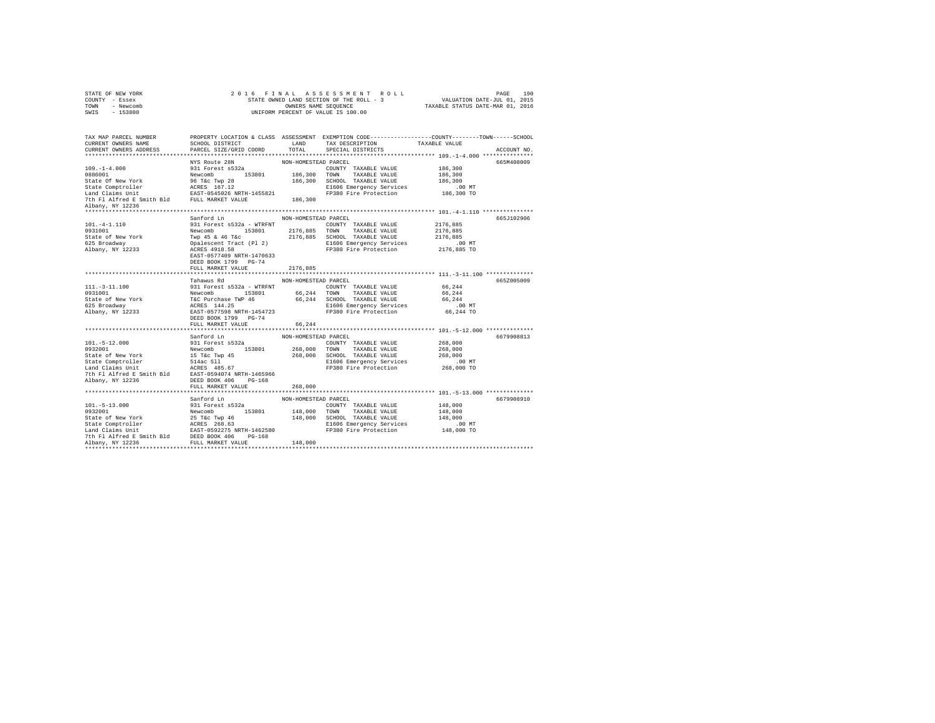|                | STATE OF NEW YORK |  |  |  | 2016 FINAL ASSESSMENT ROLL               |  |  |                                  | PAGE | 190 |
|----------------|-------------------|--|--|--|------------------------------------------|--|--|----------------------------------|------|-----|
| COUNTY - Essex |                   |  |  |  | STATE OWNED LAND SECTION OF THE ROLL - 3 |  |  | VALUATION DATE-JUL 01, 2015      |      |     |
| TOWN           | - Newcomb         |  |  |  | OWNERS NAME SEOUENCE                     |  |  | TAXABLE STATUS DATE-MAR 01, 2016 |      |     |
| SWIS           | $-153800$         |  |  |  | UNIFORM PERCENT OF VALUE IS 100.00       |  |  |                                  |      |     |

| TAX MAP PARCEL NUMBER<br>CURRENT OWNERS NAME<br>CURRENT OWNERS ADDRESS PARCEL SIZE/GRID COORD                                                                                                                                                                                        | PROPERTY LOCATION & CLASS ASSESSMENT EXEMPTION CODE----------------COUNTY-------TOWN-----SCHOOL<br>SCHOOL DISTRICT LAND TAX DESCRIPTION TAXABLE VALUE |                      | TOTAL SPECIAL DISTRICTS | ACCOUNT NO. |
|--------------------------------------------------------------------------------------------------------------------------------------------------------------------------------------------------------------------------------------------------------------------------------------|-------------------------------------------------------------------------------------------------------------------------------------------------------|----------------------|-------------------------|-------------|
|                                                                                                                                                                                                                                                                                      |                                                                                                                                                       |                      |                         |             |
|                                                                                                                                                                                                                                                                                      |                                                                                                                                                       |                      |                         | 665M408009  |
|                                                                                                                                                                                                                                                                                      |                                                                                                                                                       |                      |                         |             |
|                                                                                                                                                                                                                                                                                      |                                                                                                                                                       |                      |                         |             |
|                                                                                                                                                                                                                                                                                      |                                                                                                                                                       |                      |                         |             |
|                                                                                                                                                                                                                                                                                      | Sanford Ln                                                                                                                                            | NON-HOMESTEAD PARCEL |                         | 665J102906  |
| 101.-4-1.110<br>9311 Forest \$532a - WTRFNT RUN-HUMESIEM COUNTY TAXABLE VALUE 2176,885<br>9311001<br>Newcomb 153801<br>Newcomb 153801<br>2176,885 TOWN TAXABLE VALUE 2176,885<br>SCHOL TAXABLE VALUE 2176,885<br>SCHOL TAXABLE VALUE 2176                                            |                                                                                                                                                       |                      |                         |             |
|                                                                                                                                                                                                                                                                                      | FULL MARKET VALUE                                                                                                                                     | 2176,885             |                         |             |
|                                                                                                                                                                                                                                                                                      |                                                                                                                                                       |                      |                         |             |
|                                                                                                                                                                                                                                                                                      |                                                                                                                                                       |                      |                         | 665Z005009  |
|                                                                                                                                                                                                                                                                                      |                                                                                                                                                       |                      |                         |             |
|                                                                                                                                                                                                                                                                                      |                                                                                                                                                       |                      |                         |             |
|                                                                                                                                                                                                                                                                                      |                                                                                                                                                       |                      |                         |             |
|                                                                                                                                                                                                                                                                                      |                                                                                                                                                       |                      |                         |             |
| 111.-3-11.100<br>1211.100<br>1211.100<br>1211.100<br>1211.100<br>1211.100<br>1211.100<br>1211.100<br>12231<br>12232<br>12232<br>12233<br>12233<br>12233<br>12233<br>12233<br>12233<br>12233<br>12233<br>12233<br>12233<br>12233<br>12233<br>12233<br>12233<br>12233<br>12233<br>1223 | FULL MARKET VALUE 66,244                                                                                                                              |                      |                         |             |
|                                                                                                                                                                                                                                                                                      |                                                                                                                                                       |                      |                         |             |
|                                                                                                                                                                                                                                                                                      |                                                                                                                                                       |                      |                         | 6679908813  |
|                                                                                                                                                                                                                                                                                      |                                                                                                                                                       |                      |                         |             |
|                                                                                                                                                                                                                                                                                      |                                                                                                                                                       |                      |                         |             |
|                                                                                                                                                                                                                                                                                      |                                                                                                                                                       |                      |                         |             |
|                                                                                                                                                                                                                                                                                      |                                                                                                                                                       |                      |                         |             |
| 101.-5-12.000<br>101.-5-12.000<br>101.-5-12.000<br>10331001<br>101.-5-12.000<br>268,000<br>268,000<br>268,000<br>268,000<br>268,000<br>268,000<br>268,000<br>268,000<br>268,000<br>268,000<br>268,000<br>268,000<br>268,000<br>268,000<br>268,000<br>268,000<br>268,000<br>          | FULL MARKET VALUE                                                                                                                                     | 268,000              |                         |             |
|                                                                                                                                                                                                                                                                                      |                                                                                                                                                       |                      |                         |             |
| 101.-5-13.000<br>101.-5-13.000<br>9331001<br>9332001<br>9332001<br>934001<br>8310 Forest s532a<br>832001<br>8310 Fire The P66<br>25 Tec Twp 46<br>25 ST - 146,000<br>2000 TAXBLE VALUE<br>26 Tech 148,000<br>2000 TAXBLE VALUE<br>26 Tech 148,000<br>2000 TA                         |                                                                                                                                                       |                      |                         | 6679908910  |
|                                                                                                                                                                                                                                                                                      |                                                                                                                                                       |                      |                         |             |
|                                                                                                                                                                                                                                                                                      |                                                                                                                                                       |                      |                         |             |
|                                                                                                                                                                                                                                                                                      |                                                                                                                                                       |                      |                         |             |
|                                                                                                                                                                                                                                                                                      |                                                                                                                                                       |                      |                         |             |
|                                                                                                                                                                                                                                                                                      |                                                                                                                                                       |                      |                         |             |
|                                                                                                                                                                                                                                                                                      |                                                                                                                                                       |                      |                         |             |
|                                                                                                                                                                                                                                                                                      |                                                                                                                                                       |                      |                         |             |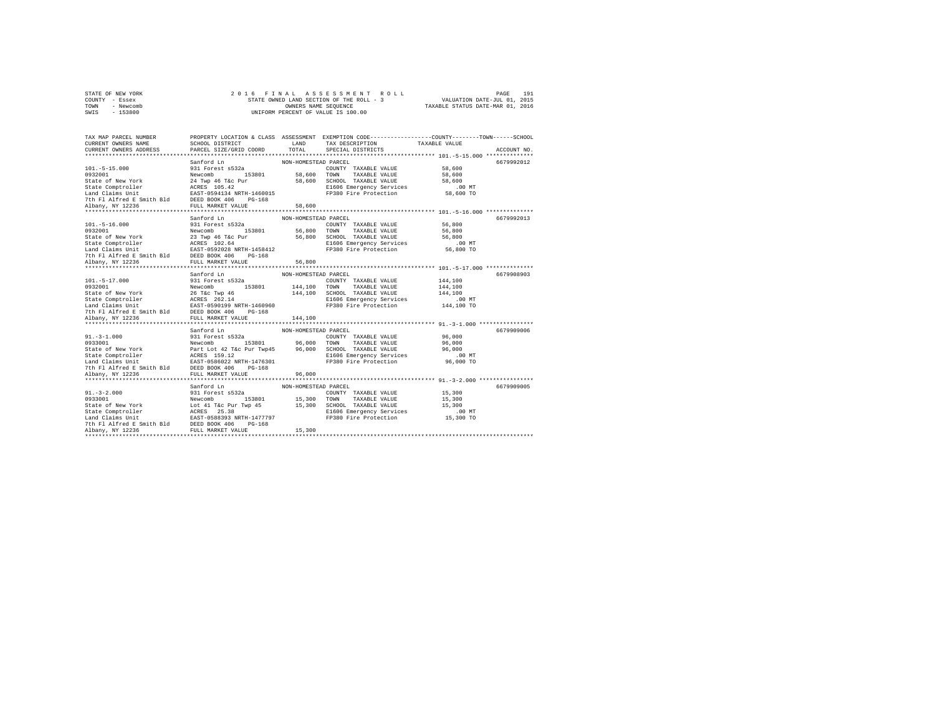| STATE OF NEW YORK | 2016 FINAL ASSESSMENT ROLL               | 191<br>PAGE                      |
|-------------------|------------------------------------------|----------------------------------|
| COUNTY - Essex    | STATE OWNED LAND SECTION OF THE ROLL - 3 | VALUATION DATE-JUL 01, 2015      |
| TOWN<br>- Newcomb | OWNERS NAME SEOUENCE                     | TAXABLE STATUS DATE-MAR 01, 2016 |
| - 153800<br>SWIS  | UNIFORM PERCENT OF VALUE IS 100.00       |                                  |

| TAX MAP PARCEL NUMBER                                                                                                                                                                                                                                      | PROPERTY LOCATION & CLASS ASSESSMENT EXEMPTION CODE---------------COUNTY-------TOWN-----SCHOOL |                      |                                                                     |                  |             |
|------------------------------------------------------------------------------------------------------------------------------------------------------------------------------------------------------------------------------------------------------------|------------------------------------------------------------------------------------------------|----------------------|---------------------------------------------------------------------|------------------|-------------|
| CURRENT OWNERS NAME                                                                                                                                                                                                                                        | SCHOOL DISTRICT                                                                                | LAND                 | TAX DESCRIPTION TAXABLE VALUE SPECIAL DISTRICTS                     |                  |             |
| CURRENT OWNERS ADDRESS PARCEL SIZE/GRID COORD                                                                                                                                                                                                              |                                                                                                | TOTAL                |                                                                     |                  | ACCOUNT NO. |
|                                                                                                                                                                                                                                                            |                                                                                                |                      |                                                                     |                  |             |
|                                                                                                                                                                                                                                                            | Sanford Ln                                                                                     | NON-HOMESTEAD PARCEL |                                                                     |                  | 6679992012  |
|                                                                                                                                                                                                                                                            |                                                                                                |                      |                                                                     | 58,600<br>58,600 |             |
|                                                                                                                                                                                                                                                            |                                                                                                |                      |                                                                     |                  |             |
|                                                                                                                                                                                                                                                            |                                                                                                |                      |                                                                     | 58,600<br>0۱.    |             |
|                                                                                                                                                                                                                                                            |                                                                                                |                      | E1606 Emergency Services .00 MT<br>FP380 Fire Protection 58,600 TO  |                  |             |
|                                                                                                                                                                                                                                                            |                                                                                                |                      |                                                                     |                  |             |
|                                                                                                                                                                                                                                                            |                                                                                                |                      |                                                                     |                  |             |
|                                                                                                                                                                                                                                                            |                                                                                                |                      |                                                                     |                  |             |
|                                                                                                                                                                                                                                                            |                                                                                                |                      |                                                                     |                  |             |
|                                                                                                                                                                                                                                                            |                                                                                                |                      |                                                                     |                  | 6679992013  |
|                                                                                                                                                                                                                                                            |                                                                                                |                      | COUNTY TAXABLE VALUE 56,800                                         |                  |             |
|                                                                                                                                                                                                                                                            |                                                                                                |                      |                                                                     | 56,800<br>56,800 |             |
|                                                                                                                                                                                                                                                            |                                                                                                |                      |                                                                     |                  |             |
|                                                                                                                                                                                                                                                            |                                                                                                |                      | E1606 Emergency Services .00 MT<br>FP380 Fire Protection 56,800 TO  |                  |             |
|                                                                                                                                                                                                                                                            |                                                                                                |                      |                                                                     |                  |             |
|                                                                                                                                                                                                                                                            |                                                                                                |                      |                                                                     |                  |             |
|                                                                                                                                                                                                                                                            |                                                                                                |                      |                                                                     |                  |             |
|                                                                                                                                                                                                                                                            | *****************************                                                                  | ***************      | ************************************ 101.-5-17.000 **************** |                  |             |
|                                                                                                                                                                                                                                                            | Sanford Ln                                                                                     | NON-HOMESTEAD PARCEL |                                                                     |                  | 6679908903  |
|                                                                                                                                                                                                                                                            |                                                                                                |                      |                                                                     |                  |             |
|                                                                                                                                                                                                                                                            |                                                                                                |                      |                                                                     |                  |             |
|                                                                                                                                                                                                                                                            |                                                                                                |                      |                                                                     |                  |             |
|                                                                                                                                                                                                                                                            |                                                                                                |                      |                                                                     |                  |             |
|                                                                                                                                                                                                                                                            |                                                                                                |                      |                                                                     |                  |             |
|                                                                                                                                                                                                                                                            |                                                                                                |                      |                                                                     |                  |             |
| $\begin{tabular}{c c c c} 101 & -5-17.000 & 931\; Forect S32a & 144,100\; 9302001 & 144,100\; 932001 & 144,100\; 932001 & 144,100\; 932001 & 144,100\; 932001 & 144,100\; 932001 & 144,100\; 932001 & 144,100\; 932001 & 144,100\; 932001 & 144,100\; 932$ |                                                                                                |                      |                                                                     |                  |             |
|                                                                                                                                                                                                                                                            |                                                                                                |                      |                                                                     |                  |             |
|                                                                                                                                                                                                                                                            | Sanford Ln                                                                                     | NON-HOMESTEAD PARCEL |                                                                     |                  | 6679909006  |
|                                                                                                                                                                                                                                                            |                                                                                                |                      |                                                                     |                  |             |
|                                                                                                                                                                                                                                                            |                                                                                                |                      |                                                                     |                  |             |
|                                                                                                                                                                                                                                                            |                                                                                                |                      |                                                                     |                  |             |
|                                                                                                                                                                                                                                                            |                                                                                                |                      |                                                                     |                  |             |
|                                                                                                                                                                                                                                                            |                                                                                                |                      |                                                                     |                  |             |
|                                                                                                                                                                                                                                                            |                                                                                                |                      |                                                                     |                  |             |
|                                                                                                                                                                                                                                                            |                                                                                                |                      |                                                                     |                  |             |
|                                                                                                                                                                                                                                                            |                                                                                                |                      |                                                                     |                  | 6679909005  |
|                                                                                                                                                                                                                                                            |                                                                                                |                      |                                                                     |                  |             |
|                                                                                                                                                                                                                                                            |                                                                                                |                      |                                                                     |                  |             |
|                                                                                                                                                                                                                                                            |                                                                                                |                      |                                                                     |                  |             |
|                                                                                                                                                                                                                                                            |                                                                                                |                      |                                                                     |                  |             |
|                                                                                                                                                                                                                                                            |                                                                                                |                      |                                                                     |                  |             |
|                                                                                                                                                                                                                                                            |                                                                                                |                      |                                                                     |                  |             |
|                                                                                                                                                                                                                                                            |                                                                                                |                      |                                                                     |                  |             |
| Albany, NY 12236                                                                                                                                                                                                                                           |                                                                                                | 15,300               |                                                                     |                  |             |
|                                                                                                                                                                                                                                                            |                                                                                                |                      |                                                                     |                  |             |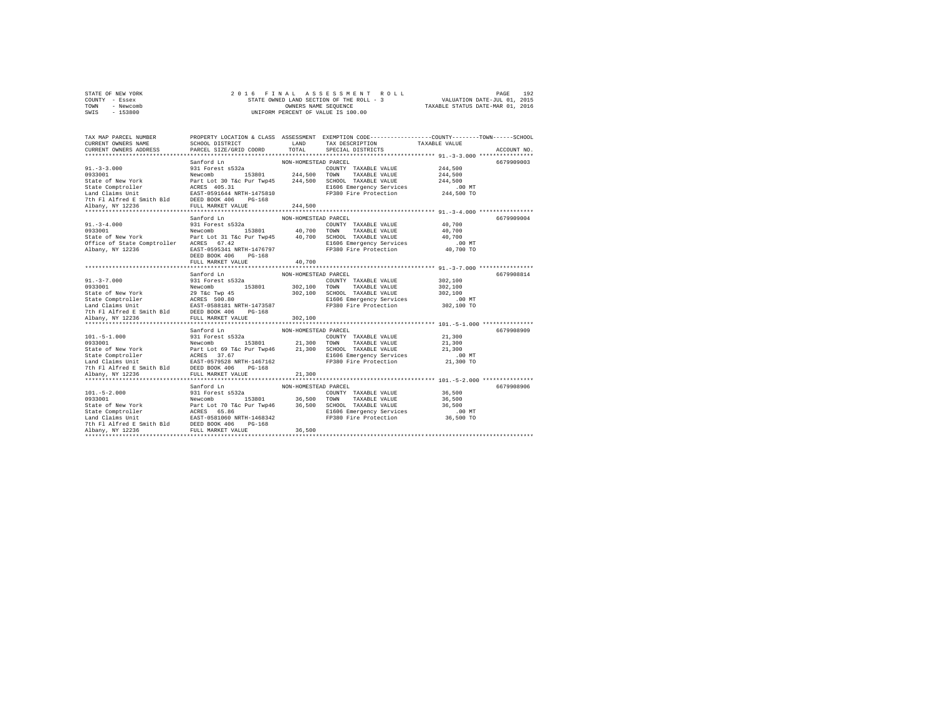| STATE OF NEW YORK | 2016 FINAL ASSESSMENT ROLL               | 192<br>PAGE                      |
|-------------------|------------------------------------------|----------------------------------|
| COUNTY - Essex    | STATE OWNED LAND SECTION OF THE ROLL - 3 | VALUATION DATE-JUL 01, 2015      |
| TOWN<br>- Newcomb | OWNERS NAME SEOUENCE                     | TAXABLE STATUS DATE-MAR 01, 2016 |
| $-153800$<br>SWIS | UNIFORM PERCENT OF VALUE IS 100.00       |                                  |

| TAX MAP PARCEL NUMBER<br>CURRENT OWNERS NAME<br>CURRENT OWNERS ADDRESS                                                                                                                                                                                                                                                                                                                                     | <b>LAND</b><br>SCHOOL DISTRICT<br>PARCEL SIZE/GRID COORD                       | TOTAL                          | PROPERTY LOCATION & CLASS ASSESSMENT EXEMPTION CODE---------------COUNTY-------TOWN------SCHOOL<br>TAX DESCRIPTION<br>SPECIAL DISTRICTS                                                                                                                                                                             | TAXABLE VALUE                                    | ACCOUNT NO. |
|------------------------------------------------------------------------------------------------------------------------------------------------------------------------------------------------------------------------------------------------------------------------------------------------------------------------------------------------------------------------------------------------------------|--------------------------------------------------------------------------------|--------------------------------|---------------------------------------------------------------------------------------------------------------------------------------------------------------------------------------------------------------------------------------------------------------------------------------------------------------------|--------------------------------------------------|-------------|
|                                                                                                                                                                                                                                                                                                                                                                                                            |                                                                                |                                | FP380 Fire Protection 244,500 TO                                                                                                                                                                                                                                                                                    | 244,500<br>244,500<br>244,500<br>.00 MT          | 6679909003  |
| $91. - 3 - 4.000$                                                                                                                                                                                                                                                                                                                                                                                          | Sanford Ln<br>931 Forest s532a<br>DEED BOOK 406<br>PG-168<br>FULL MARKET VALUE | NON-HOMESTEAD PARCEL<br>40,700 | COUNTY TAXABLE VALUE 40.700<br>9131001 - 124681 - 1247 - 1247 - 1247 - 124881 - 1247 - 124881 - 124881 - 124881 - 124881 - 124881 - 124881 - 1<br>9333001 - 124881 - 124881 - 124881 - 124881 - 124881 - 124881 - 124881 - 124881 - 124881 - 124881 - 124881 -<br>E1606 Emergency Services<br>FP380 Fire Protection | 40,700<br>40,700<br>$.00$ MT<br>40,700 TO        | 6679909004  |
| $\begin{tabular}{l c c c c} \multicolumn{4}{c}{\textbf{5.33}}\textbf{1.4} & \multicolumn{4}{c}{\textbf{5.34}}\textbf{1.4} & \multicolumn{4}{c}{\textbf{5.35}}\textbf{2.4} & \multicolumn{4}{c}{\textbf{5.36}}\textbf{1.4} & \multicolumn{4}{c}{\textbf{5.37}}\textbf{2.4} & \multicolumn{4}{c}{\textbf{5.38}}\textbf{2.4} & \multicolumn{4}{c}{\textbf{5.38}}\textbf{2.4} & \multicolumn{4}{c}{\textbf{5.$ |                                                                                |                                | COUNTY TAXABLE VALUE 302,100<br>302,100 SCHOOL TAXABLE VALUE 302,100<br>E1606 Emergency Services 00<br>E1606 Emergency Services<br>FP380 Fire Protection                                                                                                                                                            | 302,100<br>$.00$ MT<br>302,100 TO                | 6679908814  |
|                                                                                                                                                                                                                                                                                                                                                                                                            |                                                                                |                                |                                                                                                                                                                                                                                                                                                                     | 21,300<br>21,300<br>21,300<br>.00MT<br>21,300 TO | 6679908909  |
|                                                                                                                                                                                                                                                                                                                                                                                                            | Sanford Ln                                                                     | NON-HOMESTEAD PARCEL           |                                                                                                                                                                                                                                                                                                                     | 36,500<br>36,500<br>36,500<br>.00MT<br>36,500 TO | 6679908906  |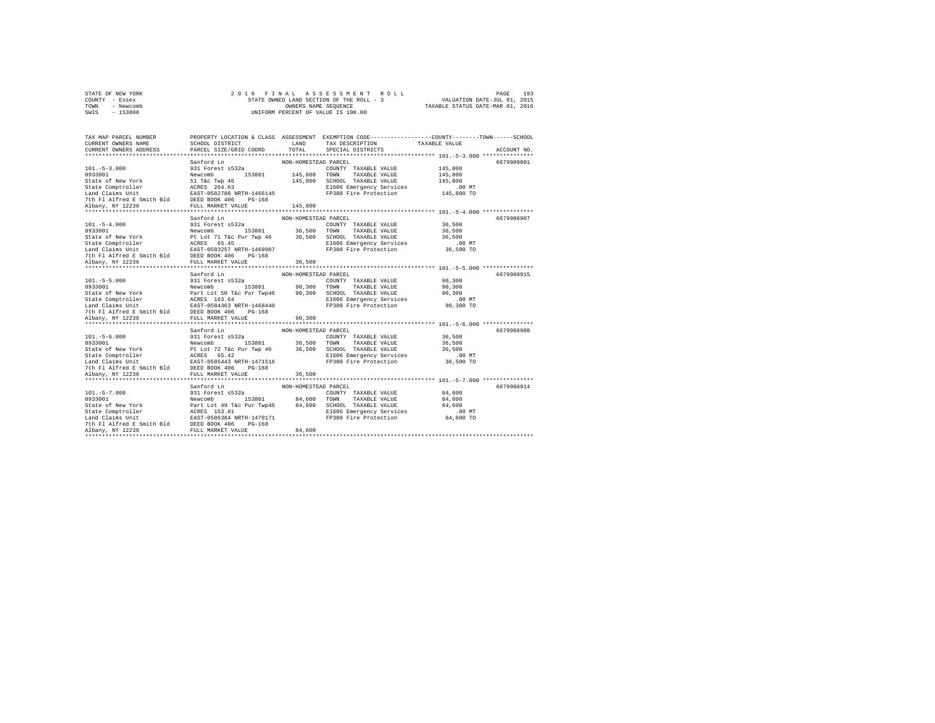| STATE OF NEW YORK |           |  |  | 2016 FINAL ASSESSMENT ROLL               |                                  | PAGE                        | 193 |
|-------------------|-----------|--|--|------------------------------------------|----------------------------------|-----------------------------|-----|
| COUNTY - Essex    |           |  |  | STATE OWNED LAND SECTION OF THE ROLL - 3 |                                  | VALUATION DATE-JUL 01, 2015 |     |
| TOWN              | - Newcomb |  |  | OWNERS NAME SEOUENCE                     | TAXABLE STATUS DATE-MAR 01, 2016 |                             |     |
| SWIS              | $-153800$ |  |  | UNIFORM PERCENT OF VALUE IS 100.00       |                                  |                             |     |

| TAX MAP PARCEL NUMBER<br>CURRENT OWNERS NAME<br>CURRENT OWNERS ADDRESS PARCEL SIZE/GRID COORD                                                                                                                                                        | PROPERTY LOCATION & CLASS ASSESSMENT EXEMPTION CODE---------------COUNTY-------TOWN-----SCHOOL |                      | TOTAL SPECIAL DISTRICTS                                                                             | ACCOUNT NO. |
|------------------------------------------------------------------------------------------------------------------------------------------------------------------------------------------------------------------------------------------------------|------------------------------------------------------------------------------------------------|----------------------|-----------------------------------------------------------------------------------------------------|-------------|
|                                                                                                                                                                                                                                                      |                                                                                                |                      |                                                                                                     |             |
| 101.-5-3.000<br>101.-5-3.000<br>1033001 - Sanford Ln<br>102.-5-3.000<br>1033001 - Sanford Ln<br>203001 - Since The Tele Type 46<br>State of New York<br>State Comptroller<br>201.-5-3.000<br>201.-5-3.000<br>103600 - 145,800<br>201.-5-3.000 - 145, |                                                                                                |                      |                                                                                                     | 6679909001  |
|                                                                                                                                                                                                                                                      |                                                                                                |                      |                                                                                                     |             |
|                                                                                                                                                                                                                                                      |                                                                                                |                      |                                                                                                     |             |
|                                                                                                                                                                                                                                                      |                                                                                                |                      |                                                                                                     |             |
|                                                                                                                                                                                                                                                      |                                                                                                |                      | SCHOOL TAXABLE VALUE 145,800<br>E1606 Emergency Services .00 MT<br>FP380 Fire Protection 145,800 TO |             |
|                                                                                                                                                                                                                                                      |                                                                                                |                      |                                                                                                     |             |
|                                                                                                                                                                                                                                                      |                                                                                                |                      |                                                                                                     |             |
|                                                                                                                                                                                                                                                      |                                                                                                |                      |                                                                                                     |             |
|                                                                                                                                                                                                                                                      |                                                                                                |                      |                                                                                                     |             |
|                                                                                                                                                                                                                                                      |                                                                                                |                      |                                                                                                     | 6679908907  |
|                                                                                                                                                                                                                                                      |                                                                                                |                      |                                                                                                     |             |
|                                                                                                                                                                                                                                                      |                                                                                                |                      |                                                                                                     |             |
|                                                                                                                                                                                                                                                      |                                                                                                |                      |                                                                                                     |             |
|                                                                                                                                                                                                                                                      |                                                                                                |                      |                                                                                                     |             |
|                                                                                                                                                                                                                                                      |                                                                                                |                      |                                                                                                     |             |
|                                                                                                                                                                                                                                                      |                                                                                                |                      |                                                                                                     |             |
|                                                                                                                                                                                                                                                      |                                                                                                |                      |                                                                                                     |             |
|                                                                                                                                                                                                                                                      | Sanford Ln                                                                                     | NON-HOMESTEAD PARCEL |                                                                                                     | 6679908915  |
|                                                                                                                                                                                                                                                      |                                                                                                |                      |                                                                                                     |             |
|                                                                                                                                                                                                                                                      |                                                                                                |                      |                                                                                                     |             |
|                                                                                                                                                                                                                                                      |                                                                                                |                      |                                                                                                     |             |
|                                                                                                                                                                                                                                                      |                                                                                                |                      |                                                                                                     |             |
|                                                                                                                                                                                                                                                      |                                                                                                |                      |                                                                                                     |             |
|                                                                                                                                                                                                                                                      |                                                                                                |                      |                                                                                                     |             |
| 101.-5-5.000 301 Forest \$532<br>90,300 931 Forest \$532<br>90,300 POUNTY TAXABLE VALUE 90,300<br>State of New York Part Lot 50 T&c Pur Twp46 90,300 TOWN TAXABLE VALUE 90,300<br>State Comptroller RAST-054443<br>200 EMOLE RAST (1668 Em           |                                                                                                |                      |                                                                                                     |             |
|                                                                                                                                                                                                                                                      |                                                                                                |                      |                                                                                                     |             |
|                                                                                                                                                                                                                                                      | Sanford Ln                                                                                     | NON-HOMESTEAD PARCEL |                                                                                                     | 6679908908  |
|                                                                                                                                                                                                                                                      |                                                                                                |                      |                                                                                                     |             |
|                                                                                                                                                                                                                                                      |                                                                                                |                      |                                                                                                     |             |
|                                                                                                                                                                                                                                                      |                                                                                                |                      |                                                                                                     |             |
|                                                                                                                                                                                                                                                      |                                                                                                |                      |                                                                                                     |             |
|                                                                                                                                                                                                                                                      |                                                                                                |                      |                                                                                                     |             |
|                                                                                                                                                                                                                                                      |                                                                                                |                      |                                                                                                     |             |
| 101.-5-6.000 931 Forest S532a<br>931 Forest S532a<br>9328000 931 Forest S532a<br>936,500 COUNTY TAXABLE VALUE 36,500<br>9328001 913801 95,500 TONN TAXABLE VALUE 36,500<br>State Comptroller PL tot 72 Tac Pur Tay 46 96,500 SCHOOL TAXA             |                                                                                                |                      |                                                                                                     |             |
|                                                                                                                                                                                                                                                      |                                                                                                |                      |                                                                                                     |             |
|                                                                                                                                                                                                                                                      |                                                                                                |                      |                                                                                                     | 6679908914  |
|                                                                                                                                                                                                                                                      |                                                                                                |                      |                                                                                                     |             |
|                                                                                                                                                                                                                                                      |                                                                                                |                      |                                                                                                     |             |
| 101.-5-7.000<br>101.-5-7.000<br>9331001<br>9331001<br>9331001<br>934,600 TOWN TAXABLE VALUE 84,600<br>State of New York Revicus<br>State Comptroller<br>24.600<br>State Comptroller<br>24.600<br>24.600<br>24.600<br>24.600<br>24.600<br>24.600      |                                                                                                |                      |                                                                                                     |             |
|                                                                                                                                                                                                                                                      |                                                                                                |                      |                                                                                                     |             |
|                                                                                                                                                                                                                                                      |                                                                                                |                      |                                                                                                     |             |
|                                                                                                                                                                                                                                                      |                                                                                                |                      |                                                                                                     |             |
|                                                                                                                                                                                                                                                      |                                                                                                |                      |                                                                                                     |             |
|                                                                                                                                                                                                                                                      |                                                                                                |                      |                                                                                                     |             |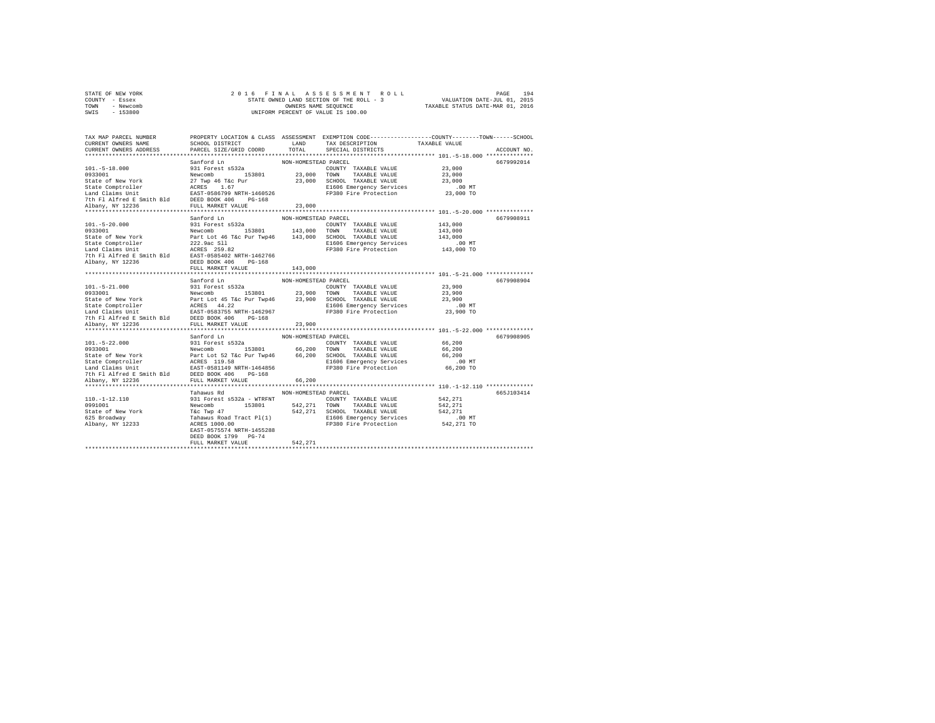| STATE OF NEW YORK | 2016 FINAL ASSESSMENT ROLL               | 194<br>PAGE                      |
|-------------------|------------------------------------------|----------------------------------|
| COUNTY - Essex    | STATE OWNED LAND SECTION OF THE ROLL - 3 | VALUATION DATE-JUL 01, 2015      |
| TOWN<br>- Newcomb | OWNERS NAME SEOUENCE                     | TAXABLE STATUS DATE-MAR 01, 2016 |
| $-153800$<br>SWIS | UNIFORM PERCENT OF VALUE IS 100.00       |                                  |

| TAX MAP PARCEL NUMBER<br>CURRENT OWNERS NAME                                                                                                                                                                                                     | SCHOOL DISTRICT           |                      | PROPERTY LOCATION & CLASS ASSESSMENT EXEMPTION CODE----------------COUNTY-------TOWN------SCHOOL<br>LAND TAX DESCRIPTION | TAXABLE VALUE |             |
|--------------------------------------------------------------------------------------------------------------------------------------------------------------------------------------------------------------------------------------------------|---------------------------|----------------------|--------------------------------------------------------------------------------------------------------------------------|---------------|-------------|
| CURRENT OWNERS ADDRESS                                                                                                                                                                                                                           | PARCEL SIZE/GRID COORD    | TOTAL                | SPECIAL DISTRICTS                                                                                                        |               | ACCOUNT NO. |
|                                                                                                                                                                                                                                                  |                           |                      |                                                                                                                          |               |             |
| 101.-5-18.000<br>101.-5-18.000<br>9331001<br>9331001<br>1033001<br>23,000 MW TAXABLE VALUE 23,000<br>23,000 TOWN TAXABLE VALUE 23,000<br>23,000 TAXABLE VALUE 23,000<br>23,000 TAXABLE VALUE 23,000<br>23,000 TAXABLE VALUE 23,000<br>23,000 TAX |                           |                      |                                                                                                                          |               | 6679992014  |
|                                                                                                                                                                                                                                                  |                           |                      |                                                                                                                          |               |             |
|                                                                                                                                                                                                                                                  |                           |                      |                                                                                                                          |               |             |
|                                                                                                                                                                                                                                                  |                           |                      |                                                                                                                          |               |             |
|                                                                                                                                                                                                                                                  |                           |                      |                                                                                                                          |               |             |
|                                                                                                                                                                                                                                                  |                           |                      |                                                                                                                          |               |             |
|                                                                                                                                                                                                                                                  |                           |                      |                                                                                                                          |               |             |
|                                                                                                                                                                                                                                                  |                           |                      |                                                                                                                          |               |             |
|                                                                                                                                                                                                                                                  |                           |                      |                                                                                                                          |               |             |
|                                                                                                                                                                                                                                                  | Sanford Ln                | NON-HOMESTEAD PARCEL |                                                                                                                          |               | 6679908911  |
|                                                                                                                                                                                                                                                  |                           |                      | COUNTY TAXABLE VALUE 143,000                                                                                             |               |             |
|                                                                                                                                                                                                                                                  |                           |                      |                                                                                                                          | 143,000       |             |
|                                                                                                                                                                                                                                                  |                           |                      |                                                                                                                          | 143,000       |             |
| 101.-5-20.000<br>931 Forest 8532a<br>931 Forest 8532a<br>931 Forest 8532a<br>931 Forest 8532a<br>841 COUNTY TAXABLE VALUE<br>State Comptroller<br>221 Search 143,000 SCHOOL TAXABLE VALUE<br>221 Search 143,000 SCHOOL TAXABLE VALUE<br>221 Sear |                           |                      | E1606 Emergency Services .00 MT<br>FP380 Fire Protection  143,000 TO                                                     |               |             |
|                                                                                                                                                                                                                                                  |                           |                      |                                                                                                                          |               |             |
|                                                                                                                                                                                                                                                  |                           |                      |                                                                                                                          |               |             |
|                                                                                                                                                                                                                                                  |                           |                      |                                                                                                                          |               |             |
|                                                                                                                                                                                                                                                  | FULL MARKET VALUE         | 143,000              |                                                                                                                          |               |             |
|                                                                                                                                                                                                                                                  |                           |                      |                                                                                                                          |               |             |
|                                                                                                                                                                                                                                                  | Sanford Ln                | NON-HOMESTEAD PARCEL |                                                                                                                          |               | 6679908904  |
|                                                                                                                                                                                                                                                  |                           |                      |                                                                                                                          |               |             |
|                                                                                                                                                                                                                                                  |                           |                      |                                                                                                                          |               |             |
|                                                                                                                                                                                                                                                  |                           |                      |                                                                                                                          |               |             |
|                                                                                                                                                                                                                                                  |                           |                      |                                                                                                                          |               |             |
|                                                                                                                                                                                                                                                  |                           |                      |                                                                                                                          |               |             |
|                                                                                                                                                                                                                                                  |                           |                      |                                                                                                                          |               |             |
| ************                                                                                                                                                                                                                                     |                           |                      |                                                                                                                          |               |             |
|                                                                                                                                                                                                                                                  | Sanford Ln                | NON-HOMESTEAD PARCEL |                                                                                                                          |               | 6679908905  |
|                                                                                                                                                                                                                                                  |                           |                      | COUNTY TAXABLE VALUE 66,200                                                                                              |               |             |
|                                                                                                                                                                                                                                                  |                           |                      |                                                                                                                          | 66,200        |             |
|                                                                                                                                                                                                                                                  |                           |                      |                                                                                                                          | 66,200        |             |
|                                                                                                                                                                                                                                                  |                           |                      |                                                                                                                          |               |             |
| 101.-5-22.000<br>9331001 - 9311 Forest 6532a<br>9333001 - 9321 Forest 6532a<br>9333001 - 9321 Forest 5532a<br>State of New York Part Lot 52 T&C Pur Twp46 - 66,200 TOWN TAXABLE VALUE<br>State Comptroller - ACRES 119.58<br>15801 - 66,20       |                           |                      | E1606 Emergency Services 66,200 MT<br>FP380 Fire Protection 66,200 TO                                                    |               |             |
|                                                                                                                                                                                                                                                  |                           |                      |                                                                                                                          |               |             |
|                                                                                                                                                                                                                                                  |                           |                      |                                                                                                                          |               |             |
|                                                                                                                                                                                                                                                  |                           |                      |                                                                                                                          |               |             |
|                                                                                                                                                                                                                                                  |                           |                      |                                                                                                                          |               | 665J103414  |
|                                                                                                                                                                                                                                                  |                           |                      |                                                                                                                          |               |             |
|                                                                                                                                                                                                                                                  |                           |                      |                                                                                                                          |               |             |
|                                                                                                                                                                                                                                                  |                           |                      |                                                                                                                          |               |             |
|                                                                                                                                                                                                                                                  |                           |                      |                                                                                                                          | $.00$ MT      |             |
|                                                                                                                                                                                                                                                  |                           |                      | FP380 Fire Protection 542,271 TO                                                                                         |               |             |
|                                                                                                                                                                                                                                                  | EAST-0575574 NRTH-1455288 |                      |                                                                                                                          |               |             |
|                                                                                                                                                                                                                                                  | DEED BOOK 1799 PG-74      |                      |                                                                                                                          |               |             |
|                                                                                                                                                                                                                                                  | FULL MARKET VALUE         | 542,271              |                                                                                                                          |               |             |
|                                                                                                                                                                                                                                                  |                           |                      |                                                                                                                          |               |             |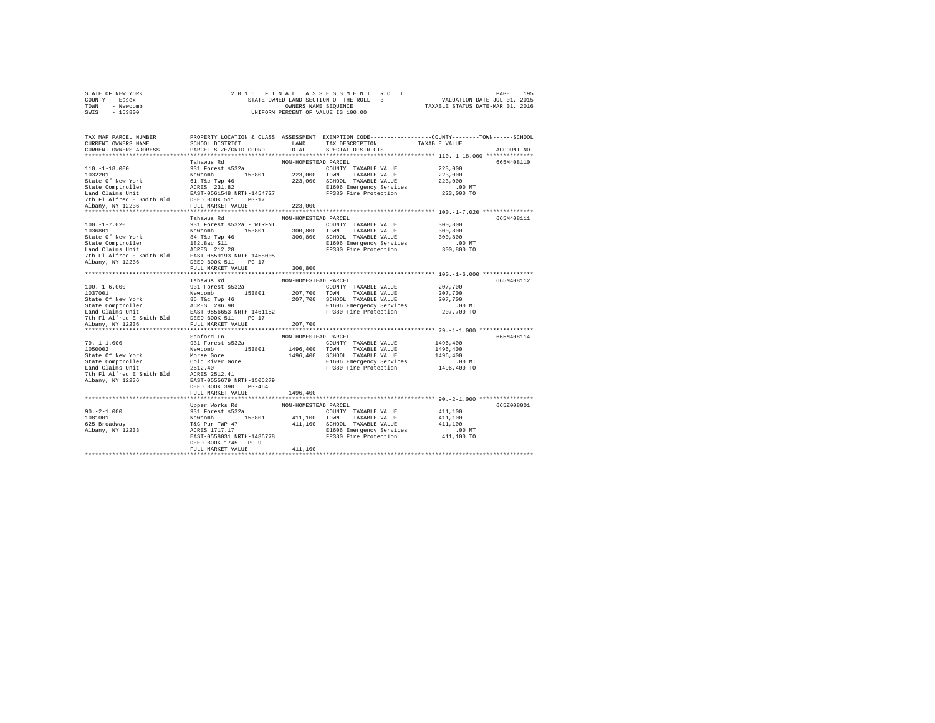| STATE OF NEW YORK | 2016 FINAL ASSESSMENT ROLL               | 195<br>PAGE                      |
|-------------------|------------------------------------------|----------------------------------|
| COUNTY - Essex    | STATE OWNED LAND SECTION OF THE ROLL - 3 | VALUATION DATE-JUL 01, 2015      |
| TOWN<br>- Newcomb | OWNERS NAME SEOUENCE                     | TAXABLE STATUS DATE-MAR 01, 2016 |
| $-153800$<br>SWIS | UNIFORM PERCENT OF VALUE IS 100.00       |                                  |

| TAX MAP PARCEL NUMBER<br>CURRENT OWNERS NAME<br>CURRENT OWNERS ADDRESS                                                                                                                                                           | SCHOOL DISTRICT<br>PARCEL SIZE/GRID COORD    | LAND<br>TOTAL        | PROPERTY LOCATION & CLASS ASSESSMENT EXEMPTION CODE---------------COUNTY-------TOWN------SCHOOL<br>TAX DESCRIPTION<br>SPECIAL DISTRICTS | TAXABLE VALUE | ACCOUNT NO. |
|----------------------------------------------------------------------------------------------------------------------------------------------------------------------------------------------------------------------------------|----------------------------------------------|----------------------|-----------------------------------------------------------------------------------------------------------------------------------------|---------------|-------------|
|                                                                                                                                                                                                                                  |                                              |                      |                                                                                                                                         |               |             |
|                                                                                                                                                                                                                                  | Tahawus Rd                                   | NON-HOMESTEAD PARCEL |                                                                                                                                         |               | 665M408110  |
| $110. - 1 - 18.000$                                                                                                                                                                                                              | 931 Forest s532a                             |                      | COUNTY TAXABLE VALUE                                                                                                                    | 223,000       |             |
| 1032201                                                                                                                                                                                                                          | Newcomb 153801                               |                      | 223,000 TOWN TAXABLE VALUE                                                                                                              | 223,000       |             |
|                                                                                                                                                                                                                                  |                                              |                      | 223,000 SCHOOL TAXABLE VALUE                                                                                                            | 223,000       |             |
|                                                                                                                                                                                                                                  |                                              |                      | E1606 Emergency Services                                                                                                                | .00 MT        |             |
|                                                                                                                                                                                                                                  |                                              |                      | FP380 Fire Protection                                                                                                                   | 223,000 TO    |             |
|                                                                                                                                                                                                                                  |                                              |                      |                                                                                                                                         |               |             |
| Corner of New York (1992)<br>State Of New York (1992)<br>Land Claims Unit<br>Land Claims Unit<br>The Plaired E Smith Bld (1982)<br>DEED BOOK 511 PG-17<br>Albany, NY 12236 (FULL MARKET VALUE)<br>NDEED BOOK (FULL MARKET VALUE) |                                              | 223,000              |                                                                                                                                         |               |             |
|                                                                                                                                                                                                                                  | Tahawus Rd                                   | NON-HOMESTEAD PARCEL |                                                                                                                                         |               | 665M408111  |
| $100. - 1 - 7.020$                                                                                                                                                                                                               | 931 Forest s532a - WTRFNT                    |                      | COUNTY TAXABLE VALUE                                                                                                                    | 300,800       |             |
| 1036801                                                                                                                                                                                                                          | Newcomb 153801                               |                      | 300,800 TOWN TAXABLE VALUE                                                                                                              | 300,800       |             |
| State Of New York                                                                                                                                                                                                                |                                              |                      | 300,800 SCHOOL TAXABLE VALUE                                                                                                            | 300,800       |             |
| State Comptroller                                                                                                                                                                                                                | 84 T&c Twp 46<br>182.8ac Sll<br>ACRES 212.28 |                      | E1606 Emergency Services                                                                                                                | $.00$ MT      |             |
| Land Claims Unit                                                                                                                                                                                                                 |                                              |                      | FP380 Fire Protection                                                                                                                   | 300,800 TO    |             |
| 7th Fl Alfred E Smith Bld                                                                                                                                                                                                        | EAST-0559193 NRTH-1458005                    |                      |                                                                                                                                         |               |             |
| Albany, NY 12236                                                                                                                                                                                                                 | DEED BOOK 511 PG-17                          |                      |                                                                                                                                         |               |             |
|                                                                                                                                                                                                                                  | FULL MARKET VALUE                            | 300,800              |                                                                                                                                         |               |             |
|                                                                                                                                                                                                                                  |                                              |                      |                                                                                                                                         |               |             |
|                                                                                                                                                                                                                                  | Tahawus Rd                                   | NON-HOMESTEAD PARCEL |                                                                                                                                         |               | 665M408112  |
| $100. - 1 - 6.000$                                                                                                                                                                                                               | 931 Forest s532a                             |                      | COUNTY TAXABLE VALUE                                                                                                                    | 207,700       |             |
| 1037001                                                                                                                                                                                                                          | Newcomb 153801                               |                      | 207,700 TOWN TAXABLE VALUE                                                                                                              | 207,700       |             |
| State Of New York and State Of New York and Computer and Computer and Computer and Computer and Computer State Computer State Computer State The Land Computer of the State of the State Order of the State Order of the State   |                                              |                      | 207,700 SCHOOL TAXABLE VALUE                                                                                                            | 207,700       |             |
|                                                                                                                                                                                                                                  |                                              |                      | E1606 Emergency Services                                                                                                                | $.00$ MT      |             |
|                                                                                                                                                                                                                                  |                                              |                      | FP380 Fire Protection 207,700 TO                                                                                                        |               |             |
|                                                                                                                                                                                                                                  |                                              |                      |                                                                                                                                         |               |             |
| Albany, NY 12236                                                                                                                                                                                                                 | FULL MARKET VALUE                            | 207,700              |                                                                                                                                         |               |             |
|                                                                                                                                                                                                                                  |                                              |                      |                                                                                                                                         |               |             |
|                                                                                                                                                                                                                                  | Sanford Ln                                   | NON-HOMESTEAD PARCEL |                                                                                                                                         |               | 665M408114  |
| $79. - 1 - 1.000$                                                                                                                                                                                                                | 931 Forest s532a                             |                      | COUNTY TAXABLE VALUE                                                                                                                    | 1496,400      |             |
| 1050002                                                                                                                                                                                                                          | Newcomb 153801                               |                      | 1496,400 TOWN TAXABLE VALUE                                                                                                             | 1496,400      |             |
| State Of New York                                                                                                                                                                                                                |                                              |                      | 1496,400 SCHOOL TAXABLE VALUE                                                                                                           | 1496,400      |             |
| State Comptroller                                                                                                                                                                                                                |                                              |                      | E1606 Emergency Services                                                                                                                | $.00$ MT      |             |
| Land Claims Unit                                                                                                                                                                                                                 | Morse Gore<br>Cold River Gore<br>2512.40     |                      | FP380 Fire Protection                                                                                                                   | 1496,400 TO   |             |
|                                                                                                                                                                                                                                  |                                              |                      |                                                                                                                                         |               |             |
| Albany, NY 12236                                                                                                                                                                                                                 | EAST-0555679 NRTH-1505279                    |                      |                                                                                                                                         |               |             |
|                                                                                                                                                                                                                                  | DEED BOOK 390<br>$PG-464$                    |                      |                                                                                                                                         |               |             |
|                                                                                                                                                                                                                                  | FULL MARKET VALUE                            | 1496,400             |                                                                                                                                         |               |             |
|                                                                                                                                                                                                                                  |                                              |                      |                                                                                                                                         |               |             |
|                                                                                                                                                                                                                                  | Upper Works Rd                               | NON-HOMESTEAD PARCEL |                                                                                                                                         |               | 665Z008001  |
| $90. -2 - 1.000$                                                                                                                                                                                                                 |                                              |                      | COUNTY TAXABLE VALUE                                                                                                                    | 411,100       |             |
| 1081001                                                                                                                                                                                                                          |                                              |                      |                                                                                                                                         | 411,100       |             |
| 625 Broadway<br>Albany, NY 12233                                                                                                                                                                                                 |                                              |                      |                                                                                                                                         | 411,100       |             |
|                                                                                                                                                                                                                                  |                                              |                      | E1606 Emergency Services                                                                                                                | $.00$ MT      |             |
|                                                                                                                                                                                                                                  | EAST-0558031 NRTH-1486778                    |                      | FP380 Fire Protection                                                                                                                   | 411,100 TO    |             |
|                                                                                                                                                                                                                                  | DEED BOOK 1745 PG-9                          |                      |                                                                                                                                         |               |             |
|                                                                                                                                                                                                                                  | FULL MARKET VALUE                            | 411,100              |                                                                                                                                         |               |             |
|                                                                                                                                                                                                                                  |                                              |                      |                                                                                                                                         |               |             |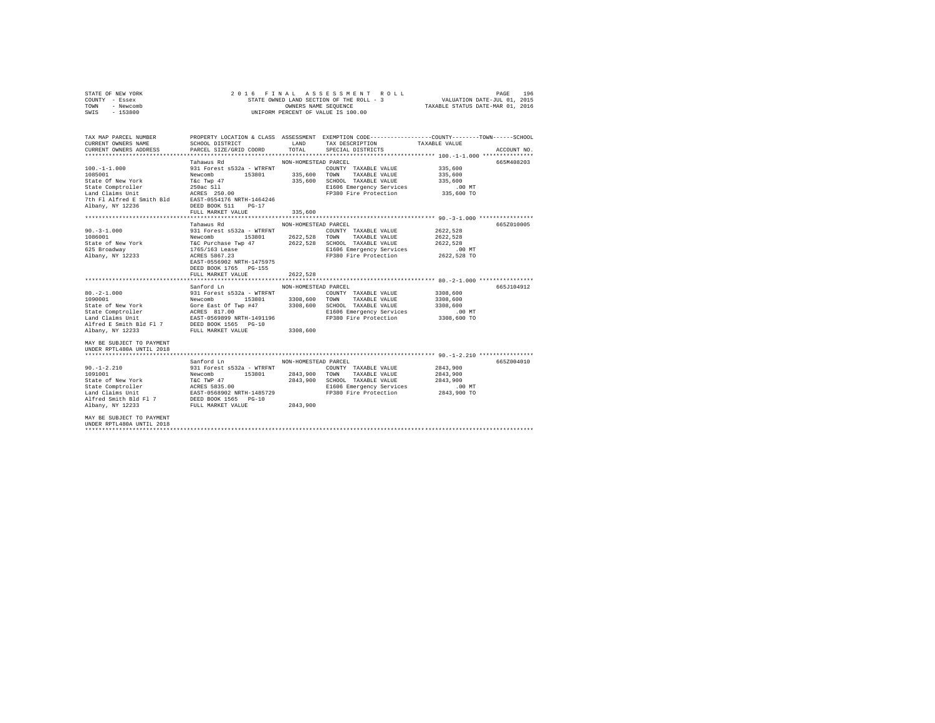| PROPERTY LOCATION & CLASS ASSESSMENT EXEMPTION CODE---------------COUNTY-------TOWN------SCHOOL<br>TAX MAP PARCEL NUMBER<br>NON-HOMESTEAD PARCEL<br>Tahawus Rd<br>335,600<br>335,600<br>335,600<br>E1606 Emergency Services .00 MT<br>FP380 Fire Protection 335,600 TO<br>7th Fl Alfred E Smith Bld EAST-0554176 NRTH-1464246<br>Albany, NY 12236<br>DEED BOOK 511 PG-17<br>335,600<br>FULL MARKET VALUE<br>Tahawus Rd MON-HOMESTEAD PARCEL<br>931 Forest s532a - WTRFNT COUNTY TAXABLE VALUE 2622,528<br>$90. -3 - 1.000$<br>Newcomb 153801 2622,528 TOWN TAXABLE VALUE<br>1086001<br>2622.528<br>625 Broadway 1765/163 Lease<br>Albany, NY 12233 ACRES 5867.23<br>E1606 Emergency Services .00 MT<br>FP380 Fire Protection 2622,528 TO<br>EAST-0556902 NRTH-1475975<br>DEED BOOK 1765 PG-155<br>FULL MARKET VALUE<br>2622.528<br>Sanford Ln<br>NON-HOMESTEAD PARCEL<br>931 Forest s532a - WTRFNT COUNTY TAXABLE VALUE 3308.600<br>$80. -2 - 1.000$<br>Newcomb 153801 3308,600 TOWN TAXABLE VALUE<br>3308,600<br>1090001<br>Gore East Of Twp #47 3308,600 SCHOOL TAXABLE VALUE<br>State of New York<br>3308,600<br>State Comptroller ACRES 817.00<br>E1606 Emergency Services .00 MT<br>EAST-0569899 NRTH-1491196 FP380 Fire Protection 3308,600 TO<br>Land Claims Unit<br>Alfred E Smith Bld Fl 7 DEED BOOK 1565 PG-10<br>Albany, NY 12233 RILL, MARKET VALUE<br>FULL MARKET VALUE 3308.600<br>Albany, NY 12233 | STATE OF NEW YORK<br>COUNTY - Essex<br>TOWN - Newcomb<br>SWIS - 153800 |  | 2016 FINAL ASSESSMENT ROLL<br>STATE OWNED LAND SECTION OF THE ROLL - 3 VALUATION DATE-JUL 01, 2015<br>OWNERS NAME SEQUENCE TAXABLE STATUS DATE-MAR 01, 2016<br>OWNERS NAME SEQUENCE<br>UNIFORM PERCENT OF VALUE IS 100.00 | PAGE 196    |
|-------------------------------------------------------------------------------------------------------------------------------------------------------------------------------------------------------------------------------------------------------------------------------------------------------------------------------------------------------------------------------------------------------------------------------------------------------------------------------------------------------------------------------------------------------------------------------------------------------------------------------------------------------------------------------------------------------------------------------------------------------------------------------------------------------------------------------------------------------------------------------------------------------------------------------------------------------------------------------------------------------------------------------------------------------------------------------------------------------------------------------------------------------------------------------------------------------------------------------------------------------------------------------------------------------------------------------------------------------------------------------------------------------------------|------------------------------------------------------------------------|--|---------------------------------------------------------------------------------------------------------------------------------------------------------------------------------------------------------------------------|-------------|
|                                                                                                                                                                                                                                                                                                                                                                                                                                                                                                                                                                                                                                                                                                                                                                                                                                                                                                                                                                                                                                                                                                                                                                                                                                                                                                                                                                                                                   |                                                                        |  |                                                                                                                                                                                                                           | ACCOUNT NO. |
|                                                                                                                                                                                                                                                                                                                                                                                                                                                                                                                                                                                                                                                                                                                                                                                                                                                                                                                                                                                                                                                                                                                                                                                                                                                                                                                                                                                                                   |                                                                        |  |                                                                                                                                                                                                                           | 665M408203  |
|                                                                                                                                                                                                                                                                                                                                                                                                                                                                                                                                                                                                                                                                                                                                                                                                                                                                                                                                                                                                                                                                                                                                                                                                                                                                                                                                                                                                                   |                                                                        |  |                                                                                                                                                                                                                           | 665Z010005  |
| MAY BE SUBJECT TO PAYMENT                                                                                                                                                                                                                                                                                                                                                                                                                                                                                                                                                                                                                                                                                                                                                                                                                                                                                                                                                                                                                                                                                                                                                                                                                                                                                                                                                                                         |                                                                        |  |                                                                                                                                                                                                                           | 665.7104912 |

\*\*\*\*\*\*\*\*\*\*\*\*\*\*\*\*\*\*\*\*\*\*\*\*\*\*\*\*\*\*\*\*\*\*\*\*\*\*\*\*\*\*\*\*\*\*\*\*\*\*\*\*\*\*\*\*\*\*\*\*\*\*\*\*\*\*\*\*\*\*\*\*\*\*\*\*\*\*\*\*\*\*\*\*\*\*\*\*\*\*\*\*\*\*\*\*\*\*\*\*\*\*\* 90.-1-2.210 \*\*\*\*\*\*\*\*\*\*\*\*\*\*\*\* 39 SANFORT MATERIAL PRESSEAD PARCEL 190.-1-2.<br>
90.1-2.210 331 Forest 5532a - WTRFNT COUNTY TAXABLE VALUE 2843,900<br>
1091001 1001001 168000 1000101 153801 2843,900 TOWN TAXABLE VALUE 2843,900<br>
State of New York 162 TWP 47 28 90.-1-2.210 931 Forest s532a - WTRFNT COUNTY TAXABLE VALUE 2843,900 1091001 Newcomb 153801 2843,900 TOWN TAXABLE VALUE 2843,900 State of New York T&C TWP 47 2843,900 SCHOOL TAXABLE VALUE 2843,900 State Comptroller – ACRES 5835.00 – ISO Emergency Services – 00 MT<br>Land Claims Unit – EXST-0568902 NRTH-1485729 – FP380 Fire Protection – 2843,900 TO<br>Albany, NY 12233 – FULL MARKET VALUE – 2843,900<br>Albany, NY 12233 – FULL MAY BE SUBJECT TO PAYMENT UNDER RPTL480A UNTIL 2018 \*\*\*\*\*\*\*\*\*\*\*\*\*\*\*\*\*\*\*\*\*\*\*\*\*\*\*\*\*\*\*\*\*\*\*\*\*\*\*\*\*\*\*\*\*\*\*\*\*\*\*\*\*\*\*\*\*\*\*\*\*\*\*\*\*\*\*\*\*\*\*\*\*\*\*\*\*\*\*\*\*\*\*\*\*\*\*\*\*\*\*\*\*\*\*\*\*\*\*\*\*\*\*\*\*\*\*\*\*\*\*\*\*\*\*\*\*\*\*\*\*\*\*\*\*\*\*\*\*\*\*\*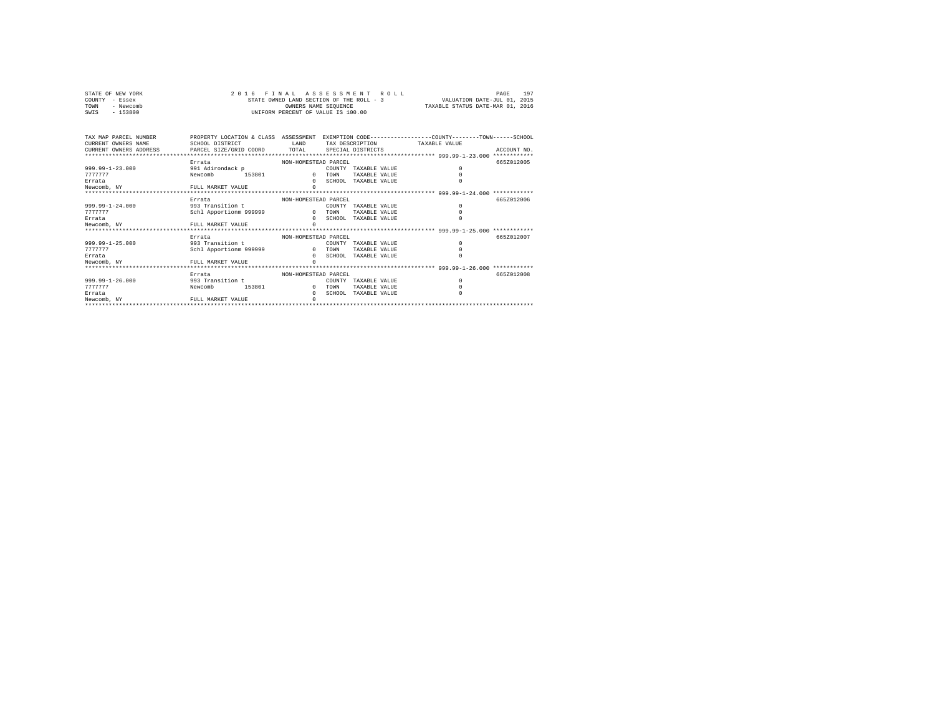| STATE OF NEW YORK | 2016 FINAL ASSESSMENT ROLL               | 197<br>PAGE                      |
|-------------------|------------------------------------------|----------------------------------|
| COUNTY - Essex    | STATE OWNED LAND SECTION OF THE ROLL - 3 | VALUATION DATE-JUL 01, 2015      |
| TOWN<br>- Newcomb | OWNERS NAME SEOUENCE                     | TAXABLE STATUS DATE-MAR 01, 2016 |
| - 153800<br>SWIS  | UNIFORM PERCENT OF VALUE IS 100.00       |                                  |

| TAX MAP PARCEL NUMBER<br>CURRENT OWNERS NAME<br>CURRENT OWNERS ADDRESS PARCEL SIZE/GRID COORD TOTAL | PROPERTY LOCATION & CLASS ASSESSMENT EXEMPTION CODE---------------COUNTY-------TOWN-----SCHOOL<br>SCHOOL DISTRICT | T.AND                                        |                          | TAX DESCRIPTION TAXABLE VALUE<br>SPECIAL DISTRICTS     | ACCOUNT NO.<br>************ |
|-----------------------------------------------------------------------------------------------------|-------------------------------------------------------------------------------------------------------------------|----------------------------------------------|--------------------------|--------------------------------------------------------|-----------------------------|
| $999.99 - 1 - 23.000$<br>7777777<br>Errata<br>Newcomb, NY                                           | Errata<br>991 Adirondack p<br>153801<br>Newcomb<br>FULL MARKET VALUE                                              | NON-HOMESTEAD PARCEL<br>$\Omega$             | COUNTY<br>TOWN           | TAXABLE VALUE<br>TAXABLE VALUE<br>SCHOOL TAXABLE VALUE | 665Z012005                  |
| $999.99 - 1 - 24.000$<br>7777777<br>Errata<br>Newcomb, NY                                           | Errata<br>993 Transition t<br>Schl Apportionm 999999<br>FULL MARKET VALUE                                         | NON-HOMESTEAD PARCEL                         | COUNTY<br>TOWN           | TAXARLE VALUE<br>TAXABLE VALUE<br>SCHOOL TAXABLE VALUE | 6657012006                  |
| $999.99 - 1 - 25.000$<br>7777777<br>Errata<br>Newcomb, NY<br>***********************                | Errata<br>993 Transition t<br>Schl Apportionm 999999<br>FULL MARKET VALUE                                         | NON-HOMESTEAD PARCEL<br>$\Omega$<br>$\Omega$ | COUNTY<br>TOWN<br>SCHOOL | TAXABLE VALUE<br>TAXARLE VALUE<br>TAXABLE VALUE        | 6652012007                  |
| $999.99 - 1 - 26.000$<br>7777777<br>Errata<br>Newcomb, NY                                           | Errata<br>993 Transition t<br>153801<br>Newcomb<br>FULL MARKET VALUE                                              | NON-HOMESTEAD PARCEL<br>$\Omega$<br>$\Omega$ | COUNTY<br>TOWN<br>SCHOOL | TAXABLE VALUE<br>TAXABLE VALUE<br>TAXABLE VALUE        | 6657012008                  |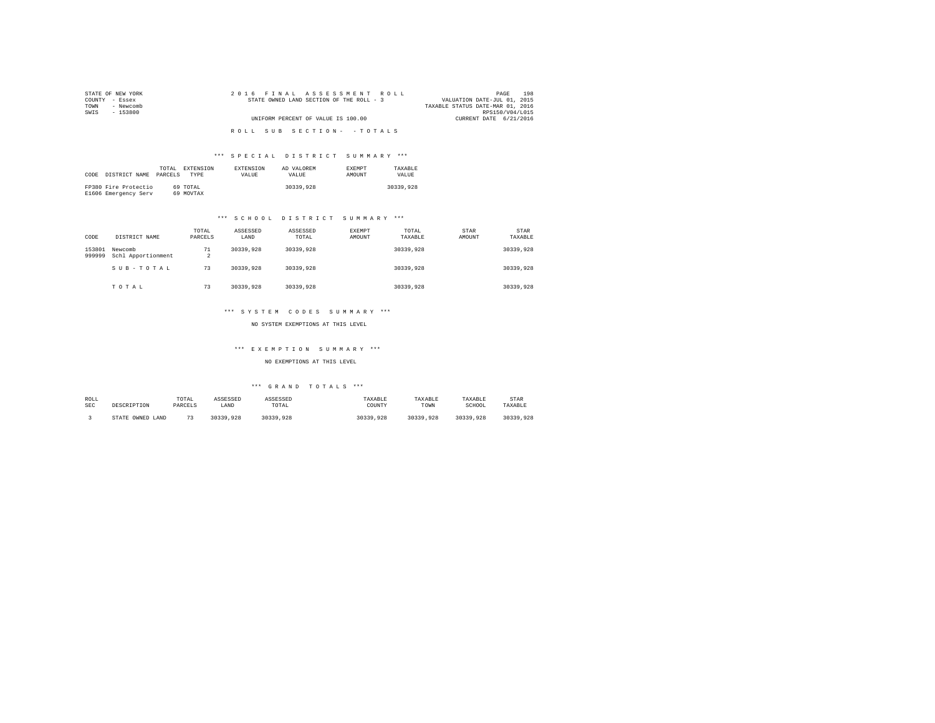| STATE OF NEW YORK | 2016 FINAL ASSESSMENT ROLL               | 198<br>PAGE                      |
|-------------------|------------------------------------------|----------------------------------|
| COUNTY - Essex    | STATE OWNED LAND SECTION OF THE ROLL - 3 | VALUATION DATE-JUL 01, 2015      |
| - Newcomb<br>TOWN |                                          | TAXABLE STATUS DATE-MAR 01, 2016 |
| SWIS<br>- 153800  |                                          | RPS150/V04/L015                  |
|                   | UNIFORM PERCENT OF VALUE IS 100.00       | CURRENT DATE 6/21/2016           |
|                   |                                          |                                  |
|                   | ROLL SUB SECTION- - TOTALS               |                                  |

# \*\*\* S P E C I A L D I S T R I C T S U M M A R Y \*\*\*

| CODE | DISTRICT NAME                                | TOTAL.<br>PARCELS | <b>EXTENSION</b><br><b>TYPE</b> | <b>EXTENSION</b><br>VALUE | AD VALOREM<br><b>VALUE</b> | <b>EXEMPT</b><br>AMOUNT | TAXARLE<br>VALUE |
|------|----------------------------------------------|-------------------|---------------------------------|---------------------------|----------------------------|-------------------------|------------------|
|      | FP380 Fire Protectio<br>E1606 Emergency Serv |                   | 69 TOTAL<br>69 MOVTAX           |                           | 30339,928                  |                         | 30339,928        |

# \*\*\* S C H O O L D I S T R I C T S U M M A R Y \*\*\*

| CODE             | DISTRICT NAME                 | TOTAL<br>PARCELS     | ASSESSED<br>LAND | ASSESSED<br>TOTAL | EXEMPT<br>AMOUNT | TOTAL<br>TAXABLE | STAR<br>AMOUNT | STAR<br>TAXABLE |
|------------------|-------------------------------|----------------------|------------------|-------------------|------------------|------------------|----------------|-----------------|
| 153801<br>999999 | Newcomb<br>Schl Apportionment | 71<br>$\overline{2}$ | 30339,928        | 30339,928         |                  | 30339.928        |                | 30339.928       |
|                  | SUB-TOTAL                     | 73                   | 30339,928        | 30339,928         |                  | 30339.928        |                | 30339.928       |
|                  | TOTAL                         | 73                   | 30339,928        | 30339,928         |                  | 30339,928        |                | 30339.928       |

# \*\*\* S Y S T E M C O D E S S U M M A R Y \*\*\*

NO SYSTEM EXEMPTIONS AT THIS LEVEL

# \*\*\* E X E M P T I O N S U M M A R Y \*\*\*

# NO EXEMPTIONS AT THIS LEVEL

# \*\*\* G R A N D T O T A L S \*\*\*

| ROLL | DESCRIPTION      | TOTAL        | ASSESSED  | ASSESSED  | TAXABLE   | TAXABLE   | TAXABLE   | STAR      |
|------|------------------|--------------|-----------|-----------|-----------|-----------|-----------|-----------|
| SEC  |                  | PARCELS      | LAND      | TOTAL     | COUNTY    | TOWN      | SCHOOL    | TAXABLE   |
|      | STATE OWNED LAND | $\mathbf{a}$ | 30339,928 | 30339.928 | 30339,928 | 30339.928 | 30339,928 | 30339.928 |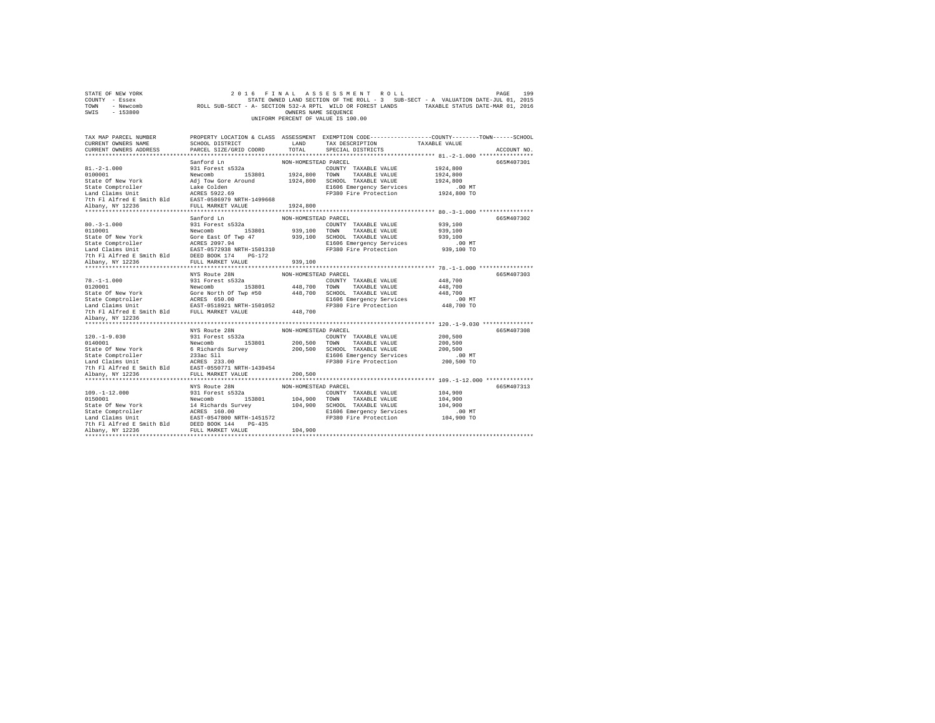| STATE OF NEW YORK<br>COUNTY - Essex<br>TOWN - Newcomb<br>SWIS - 153800                                                                                                                                    |                                            | OWNERS NAME SEQUENCE | 2016 FINAL ASSESSMENT ROLL<br>UNIFORM PERCENT OF VALUE IS 100.00 | 199<br>PAGE<br>STATE OWNED LAND SECTION OF THE ROLL - 3 SUB-SECT - A VALUATION DATE-JUL 01, 2015<br>ROLL SUB-SECT - A- SECTION 532-A RPTL WILD OR FOREST LANDS TAXABLE STATUS DATE-MAR 01, 2016 |
|-----------------------------------------------------------------------------------------------------------------------------------------------------------------------------------------------------------|--------------------------------------------|----------------------|------------------------------------------------------------------|-------------------------------------------------------------------------------------------------------------------------------------------------------------------------------------------------|
| TAX MAP PARCEL NUMBER<br>CURRENT OWNERS NAME<br>CURRENT OWNERS ADDRESS                                                                                                                                    | SCHOOL DISTRICT<br>PARCEL SIZE/GRID COORD  | LAND<br>TOTAL        | TAX DESCRIPTION<br>SPECIAL DISTRICTS                             | PROPERTY LOCATION & CLASS ASSESSMENT EXEMPTION CODE---------------COUNTY-------TOWN-----SCHOOL<br>TAXABLE VALUE<br>ACCOUNT NO.                                                                  |
|                                                                                                                                                                                                           |                                            |                      |                                                                  |                                                                                                                                                                                                 |
|                                                                                                                                                                                                           | Sanford Ln                                 | NON-HOMESTEAD PARCEL |                                                                  | 665M407301                                                                                                                                                                                      |
| $81. -2 - 1.000$                                                                                                                                                                                          | 931 Forest s532a                           |                      | COUNTY TAXABLE VALUE                                             | 1924,800                                                                                                                                                                                        |
| 0100001                                                                                                                                                                                                   | Newcomb 153801                             |                      | 1924,800 TOWN TAXABLE VALUE                                      | 1924,800                                                                                                                                                                                        |
| State Of New York                                                                                                                                                                                         | Adj Tow Gore Around                        |                      | 1924,800 SCHOOL TAXABLE VALUE                                    | 1924,800                                                                                                                                                                                        |
| State Comptroller                                                                                                                                                                                         | Lake Colden                                |                      | E1606 Emergency Services                                         | $.00$ MT                                                                                                                                                                                        |
| Land Claims Unit                                                                                                                                                                                          | ACRES 5922.69                              |                      | FP380 Fire Protection                                            | 1924,800 TO                                                                                                                                                                                     |
| 7th Fl Alfred E Smith Bld EAST-0586979 NRTH-1499668                                                                                                                                                       |                                            |                      |                                                                  |                                                                                                                                                                                                 |
| Albany, NY 12236                                                                                                                                                                                          | FULL MARKET VALUE 1924,800                 |                      |                                                                  |                                                                                                                                                                                                 |
|                                                                                                                                                                                                           | Sanford Ln                                 | NON-HOMESTEAD PARCEL |                                                                  | 665M407302                                                                                                                                                                                      |
| $80. -3 - 1.000$                                                                                                                                                                                          | 931 Forest s532a                           |                      | COUNTY TAXABLE VALUE                                             | 939,100                                                                                                                                                                                         |
| 0110001                                                                                                                                                                                                   | Newcomb 153801                             |                      | 939,100 TOWN TAXABLE VALUE                                       | 939,100                                                                                                                                                                                         |
| State Of New York                                                                                                                                                                                         | Gore East Of Twp 47                        |                      | 939,100 SCHOOL TAXABLE VALUE                                     | 939,100                                                                                                                                                                                         |
| State Comptroller                                                                                                                                                                                         |                                            |                      | E1606 Emergency Services                                         | $.00$ MT                                                                                                                                                                                        |
| state Comptroller<br>Land Claims Unit                                                                                                                                                                     | ACRES 2097.94<br>EAST-0572938 NRTH-1501310 |                      | FP380 Fire Protection                                            | 939,100 TO                                                                                                                                                                                      |
| 7th Fl Alfred E Smith Bld DEED BOOK 174 PG-172                                                                                                                                                            |                                            |                      |                                                                  |                                                                                                                                                                                                 |
| Albany, NY 12236                                                                                                                                                                                          | FULL MARKET VALUE                          | 939,100              |                                                                  |                                                                                                                                                                                                 |
|                                                                                                                                                                                                           |                                            |                      |                                                                  |                                                                                                                                                                                                 |
|                                                                                                                                                                                                           | NYS Route 28N                              | NON-HOMESTEAD PARCEL |                                                                  | 665M407303                                                                                                                                                                                      |
| $78. - 1 - 1.000$                                                                                                                                                                                         | 931 Forest s532a                           |                      | COUNTY TAXABLE VALUE                                             | 448,700                                                                                                                                                                                         |
| 0120001                                                                                                                                                                                                   | Newcomb 153801                             |                      | 448,700 TOWN TAXABLE VALUE                                       | 448,700                                                                                                                                                                                         |
| State Of New York                                                                                                                                                                                         | Gore North Of Twp #50                      |                      | 448,700 SCHOOL TAXABLE VALUE                                     | 448,700                                                                                                                                                                                         |
| State Comptroller ACRES 650.00<br>Land Claims Unit EAST-0518921 NRTH-1501052<br>7th Fl Alfred E Smith Bld FULL MARKET VALUE                                                                               |                                            |                      | E1606 Emergency Services<br>FP380 Fire Protection                | $.00$ MT<br>448,700 TO                                                                                                                                                                          |
|                                                                                                                                                                                                           |                                            | 448,700              |                                                                  |                                                                                                                                                                                                 |
| Albany, NY 12236                                                                                                                                                                                          |                                            |                      |                                                                  |                                                                                                                                                                                                 |
|                                                                                                                                                                                                           |                                            |                      |                                                                  |                                                                                                                                                                                                 |
|                                                                                                                                                                                                           | NYS Route 28N                              | NON-HOMESTEAD PARCEL |                                                                  | 665M407308                                                                                                                                                                                      |
| $120. -1 - 9.030$                                                                                                                                                                                         | 931 Forest s532a                           |                      | COUNTY TAXABLE VALUE                                             | 200,500                                                                                                                                                                                         |
| 0140001                                                                                                                                                                                                   | Newcomb 153801                             |                      | 200,500 TOWN TAXABLE VALUE                                       | 200,500                                                                                                                                                                                         |
| State Of New York                                                                                                                                                                                         | 6 Richards Survey                          |                      | 200,500 SCHOOL TAXABLE VALUE                                     | 200,500                                                                                                                                                                                         |
| State Comptroller 233ac 511<br>Land Claims Unit 1 20RES 233.00<br>7th Fl Alfred E Smith Bld 2AST-0550771 NRTH-1439454                                                                                     |                                            |                      | E1606 Emergency Services                                         | $.00$ MT                                                                                                                                                                                        |
|                                                                                                                                                                                                           |                                            |                      | FP380 Fire Protection                                            | 200,500 TO                                                                                                                                                                                      |
|                                                                                                                                                                                                           |                                            |                      |                                                                  |                                                                                                                                                                                                 |
| Albany, NY 12236                                                                                                                                                                                          | FULL MARKET VALUE                          | 200,500              |                                                                  |                                                                                                                                                                                                 |
|                                                                                                                                                                                                           |                                            | NON-HOMESTEAD PARCEL |                                                                  | 665M407313                                                                                                                                                                                      |
| $109. - 1 - 12.000$                                                                                                                                                                                       | NYS Route 28N                              |                      |                                                                  | 104,900                                                                                                                                                                                         |
| 0150001                                                                                                                                                                                                   | 931 Forest s532a<br>Newcomb 153801         |                      | COUNTY TAXABLE VALUE<br>104,900 TOWN TAXABLE VALUE               | 104,900                                                                                                                                                                                         |
| State Of New York                                                                                                                                                                                         | 14 Richards Survey                         |                      | 104,900 SCHOOL TAXABLE VALUE                                     | 104,900                                                                                                                                                                                         |
|                                                                                                                                                                                                           |                                            |                      | E1606 Emergency Services                                         | $.00$ MT                                                                                                                                                                                        |
|                                                                                                                                                                                                           |                                            |                      | FP380 Fire Protection                                            | 104,900 TO                                                                                                                                                                                      |
| State Comptroller ACRES 160.00<br>Land Claims Unit EAST-0547800 NRTH-1451572<br>7th Fl Alfred E Smith Bld<br>2DEED BOOK 144<br>2DEED BOOK 1444 PG-435<br>2DEED BOOK 1444 PG-435<br>2DEED BOOK 1444 PG-435 |                                            |                      |                                                                  |                                                                                                                                                                                                 |
|                                                                                                                                                                                                           |                                            | 104,900              |                                                                  |                                                                                                                                                                                                 |
|                                                                                                                                                                                                           |                                            |                      |                                                                  |                                                                                                                                                                                                 |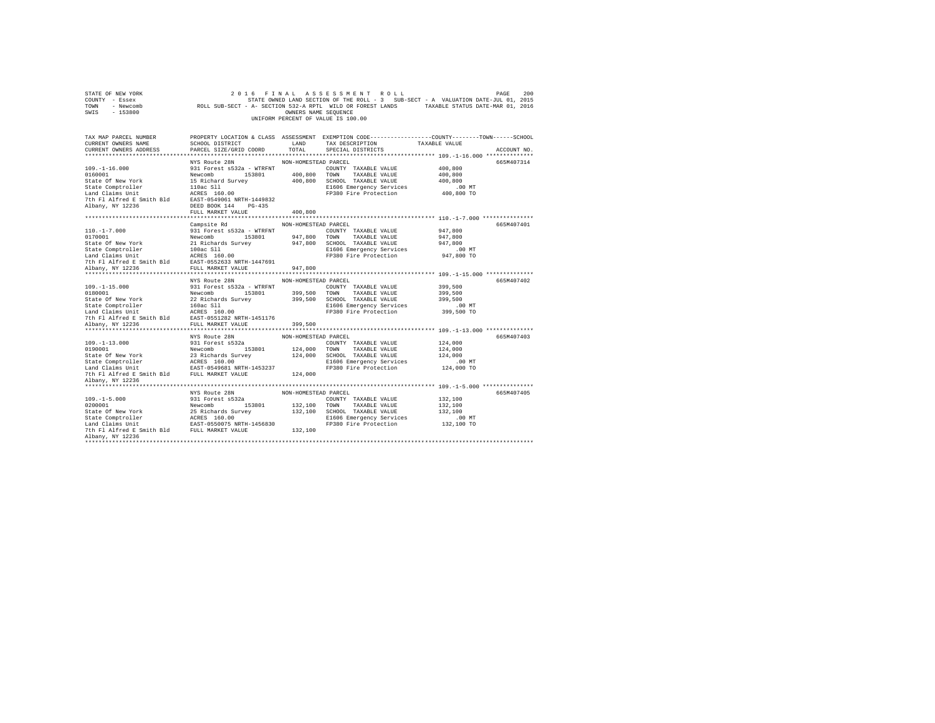| STATE OF NEW YORK<br>COUNTY - Essex<br>TOWN - Newcomb<br>SWIS - 153800                                                                                                                                                                               |                                                                                                                                                                              |                      | 2016 FINAL ASSESSMENT ROLL<br>UNIFORM PERCENT OF VALUE IS 100.00          | PAGE<br>200<br>STATE OWNED LAND SECTION OF THE ROLL - 3 SUB-SECT - A VARIALLY SUB-SECT - A-SECTION 532-A RPTL WILD OR FOREST LANDS<br>ROLL SUB-SECT - A-SECTION 532-A RPTL WILD OR FOREST LANDS<br>AND SECTION OF SECTION SERVITENCE |
|------------------------------------------------------------------------------------------------------------------------------------------------------------------------------------------------------------------------------------------------------|------------------------------------------------------------------------------------------------------------------------------------------------------------------------------|----------------------|---------------------------------------------------------------------------|--------------------------------------------------------------------------------------------------------------------------------------------------------------------------------------------------------------------------------------|
| TAX MAP PARCEL NUMBER<br>CURRENT OWNERS NAME<br>CURRENT OWNERS ADDRESS                                                                                                                                                                               | SCHOOL DISTRICT LAND<br>PARCEL SIZE/GRID COORD                                                                                                                               | TOTAL                | TAX DESCRIPTION<br>SPECIAL DISTRICTS                                      | PROPERTY LOCATION & CLASS ASSESSMENT EXEMPTION CODE---------------COUNTY-------TOWN------SCHOOL<br>TAXABLE VALUE<br>ACCOUNT NO.                                                                                                      |
|                                                                                                                                                                                                                                                      | NYS Route 28N                                                                                                                                                                | NON-HOMESTEAD PARCEL |                                                                           | 665M407314                                                                                                                                                                                                                           |
| $109. - 1 - 16.000$                                                                                                                                                                                                                                  | 931 Forest s532a - WTRFNT<br>Newcombor 153601 400,800 TONN TAXABLE VALUE<br>15 Richard Survey 400,800 SCHOOL TAXABLE VALUE<br>110ac S110 And Taylor 21006 Energency Services |                      | COUNTY TAXABLE VALUE<br>E1606 Emergency Services<br>FP380 Fire Protection | 400,800<br>400,800<br>400,800<br>.00 MT<br>400,800 TO                                                                                                                                                                                |
| Albany, NY 12236                                                                                                                                                                                                                                     | DEED BOOK 144 PG-435                                                                                                                                                         |                      |                                                                           |                                                                                                                                                                                                                                      |
|                                                                                                                                                                                                                                                      | FULL MARKET VALUE                                                                                                                                                            | 400,800              |                                                                           |                                                                                                                                                                                                                                      |
|                                                                                                                                                                                                                                                      |                                                                                                                                                                              |                      |                                                                           |                                                                                                                                                                                                                                      |
|                                                                                                                                                                                                                                                      | Campsite Rd                                                                                                                                                                  | NON-HOMESTEAD PARCEL |                                                                           | 665M407401                                                                                                                                                                                                                           |
| $110. -1 - 7.000$                                                                                                                                                                                                                                    | 931 Forest s532a - WTRFNT                                                                                                                                                    |                      | COUNTY TAXABLE VALUE<br>TOWN TAXABLE VALUE                                | 947,800                                                                                                                                                                                                                              |
| 0170001                                                                                                                                                                                                                                              | Newcomb 153801 947,800                                                                                                                                                       |                      | 947,800 SCHOOL TAXABLE VALUE                                              | 947,800<br>947,800                                                                                                                                                                                                                   |
|                                                                                                                                                                                                                                                      |                                                                                                                                                                              |                      |                                                                           | $.00$ MT                                                                                                                                                                                                                             |
|                                                                                                                                                                                                                                                      |                                                                                                                                                                              |                      | E1606 Emergency Services<br>FP380 Fire Protection                         | 947,800 TO                                                                                                                                                                                                                           |
| State Of New York<br>State Comptroller<br>100ac Sll<br>Land Claims Unit<br>100ac Sll<br>Land Claims Unit<br>7th Fl Alfred E Smith Bld<br>7th Fl Alfred E Smith Bld<br>2027-0552633 NRTH-1447691                                                      |                                                                                                                                                                              |                      |                                                                           |                                                                                                                                                                                                                                      |
| Albany, NY 12236                                                                                                                                                                                                                                     | FULL MARKET VALUE                                                                                                                                                            | 947,800              |                                                                           |                                                                                                                                                                                                                                      |
|                                                                                                                                                                                                                                                      | NYS Route 28N                                                                                                                                                                |                      |                                                                           | 665M407402                                                                                                                                                                                                                           |
| $109. - 1 - 15.000$                                                                                                                                                                                                                                  | 931 Forest s532a - WTRFNT                                                                                                                                                    | NON-HOMESTEAD PARCEL | COUNTY TAXABLE VALUE                                                      | 399,500                                                                                                                                                                                                                              |
|                                                                                                                                                                                                                                                      |                                                                                                                                                                              |                      |                                                                           | 399,500                                                                                                                                                                                                                              |
| 103.001<br>103.001 399.500 100011<br>22 Richards Survey<br>22 Richards Survey<br>22 Richards Survey<br>22 Richards Survey<br>2399,500 5CHOOL TAXABLE VALUE<br>22 Richards Survey<br>299,500 SCHOOL TAXABLE VALUE<br>200.500 200011<br>200.500<br>200 |                                                                                                                                                                              |                      |                                                                           | 399,500                                                                                                                                                                                                                              |
|                                                                                                                                                                                                                                                      |                                                                                                                                                                              |                      |                                                                           | .00 MT                                                                                                                                                                                                                               |
|                                                                                                                                                                                                                                                      |                                                                                                                                                                              |                      | FP380 Fire Protection                                                     | 399,500 TO                                                                                                                                                                                                                           |
|                                                                                                                                                                                                                                                      |                                                                                                                                                                              |                      |                                                                           |                                                                                                                                                                                                                                      |
| Albany, NY 12236                                                                                                                                                                                                                                     | FULL MARKET VALUE                                                                                                                                                            | 399,500              |                                                                           |                                                                                                                                                                                                                                      |
|                                                                                                                                                                                                                                                      | NYS Route 28N                                                                                                                                                                | NON-HOMESTEAD PARCEL |                                                                           | 665M407403                                                                                                                                                                                                                           |
| $109. -1 - 13.000$                                                                                                                                                                                                                                   | 931 Forest s532a                                                                                                                                                             |                      | COUNTY TAXABLE VALUE                                                      | 124,000                                                                                                                                                                                                                              |
| 0190001<br>State Of New York 23 Richards Survey<br>State Comptroller 22 Richards Survey<br>Jand Claims Unit<br>Land Claims Compton 21 RAST-0549681 NRTH-1453237<br>The Fl Alfred E Smith Bld<br>TUL MARKET VALUE                                     |                                                                                                                                                                              |                      | 124,000 TOWN TAXABLE VALUE                                                | 124,000                                                                                                                                                                                                                              |
|                                                                                                                                                                                                                                                      |                                                                                                                                                                              |                      | 124,000 SCHOOL TAXABLE VALUE                                              | 124,000                                                                                                                                                                                                                              |
|                                                                                                                                                                                                                                                      |                                                                                                                                                                              |                      | E1606 Emergency Services                                                  | .00 MT                                                                                                                                                                                                                               |
|                                                                                                                                                                                                                                                      |                                                                                                                                                                              |                      | FP380 Fire Protection                                                     | 124,000 TO                                                                                                                                                                                                                           |
| Albany, NY 12236                                                                                                                                                                                                                                     |                                                                                                                                                                              | 124,000              |                                                                           |                                                                                                                                                                                                                                      |
|                                                                                                                                                                                                                                                      |                                                                                                                                                                              |                      |                                                                           |                                                                                                                                                                                                                                      |
|                                                                                                                                                                                                                                                      | NYS Route 28N                                                                                                                                                                | NON-HOMESTEAD PARCEL |                                                                           | 665M407405                                                                                                                                                                                                                           |
| $109. - 1 - 5.000$<br>000                                                                                                                                                                                                                            | 931 Forest s532a                                                                                                                                                             |                      | COUNTY TAXABLE VALUE                                                      | 132,100                                                                                                                                                                                                                              |
|                                                                                                                                                                                                                                                      |                                                                                                                                                                              |                      | 132,100 TOWN TAXABLE VALUE                                                | 132,100                                                                                                                                                                                                                              |
|                                                                                                                                                                                                                                                      |                                                                                                                                                                              |                      | 132,100 SCHOOL TAXABLE VALUE                                              | 132,100                                                                                                                                                                                                                              |
|                                                                                                                                                                                                                                                      |                                                                                                                                                                              |                      | E1606 Emergency Services                                                  | $.00$ MT                                                                                                                                                                                                                             |
|                                                                                                                                                                                                                                                      |                                                                                                                                                                              | 132,100              | FP380 Fire Protection                                                     | 132,100 TO                                                                                                                                                                                                                           |
| Albany, NY 12236                                                                                                                                                                                                                                     |                                                                                                                                                                              |                      |                                                                           |                                                                                                                                                                                                                                      |
|                                                                                                                                                                                                                                                      |                                                                                                                                                                              |                      |                                                                           |                                                                                                                                                                                                                                      |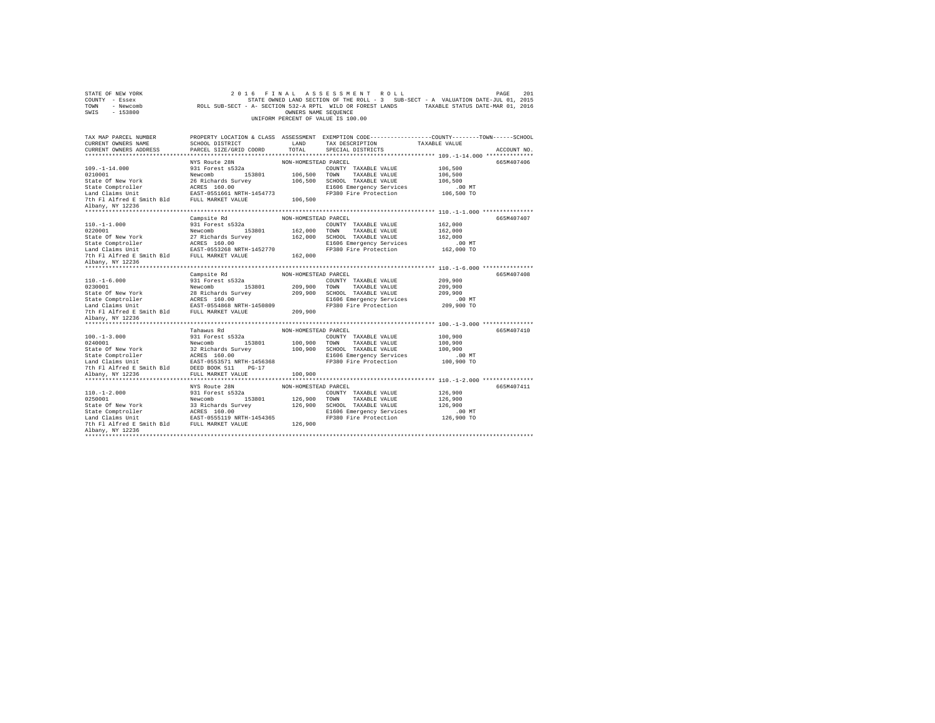| STATE OF NEW YORK                                                                                                                                                                                                                                                                          |                                                                                                                                                                                  |                               | 2016 FINAL ASSESSMENT ROLL                                                                     |                      | 201<br>PAGE |
|--------------------------------------------------------------------------------------------------------------------------------------------------------------------------------------------------------------------------------------------------------------------------------------------|----------------------------------------------------------------------------------------------------------------------------------------------------------------------------------|-------------------------------|------------------------------------------------------------------------------------------------|----------------------|-------------|
| COUNTY - Essex                                                                                                                                                                                                                                                                             | STATE OWNED LAND SECTION OF THE ROLL - 3 SUB-SECT - A VALUATION DATE-JUL 01, 2015<br>ROLL SUB-SECT - A- SECTION 532-A RPTL WILD OR FOREST LANDS TAXABLE STATUS DATE-MAR 01, 2016 |                               | STATE OWNED LAND SECTION OF THE ROLL - 3 SUB-SECT - A VALUATION DATE-JUL 01, 2015              |                      |             |
| TOWN<br>- Newcomb                                                                                                                                                                                                                                                                          |                                                                                                                                                                                  |                               |                                                                                                |                      |             |
| SWIS<br>$-153800$                                                                                                                                                                                                                                                                          |                                                                                                                                                                                  | OWNERS NAME SEQUENCE          |                                                                                                |                      |             |
|                                                                                                                                                                                                                                                                                            |                                                                                                                                                                                  |                               | UNIFORM PERCENT OF VALUE IS 100.00                                                             |                      |             |
| TAX MAP PARCEL NUMBER                                                                                                                                                                                                                                                                      |                                                                                                                                                                                  |                               | PROPERTY LOCATION & CLASS ASSESSMENT EXEMPTION CODE---------------COUNTY-------TOWN-----SCHOOL |                      |             |
| CURRENT OWNERS NAME                                                                                                                                                                                                                                                                        | <b>LAND</b><br>SCHOOL DISTRICT                                                                                                                                                   |                               | TAX DESCRIPTION TAXABLE VALUE                                                                  |                      |             |
| CURRENT OWNERS ADDRESS                                                                                                                                                                                                                                                                     | PARCEL SIZE/GRID COORD                                                                                                                                                           | TOTAL                         | SPECIAL DISTRICTS                                                                              |                      | ACCOUNT NO. |
|                                                                                                                                                                                                                                                                                            |                                                                                                                                                                                  |                               |                                                                                                |                      |             |
|                                                                                                                                                                                                                                                                                            | NYS Route 28N                                                                                                                                                                    | NON-HOMESTEAD PARCEL          |                                                                                                |                      | 665M407406  |
| $109. - 1 - 14.000$                                                                                                                                                                                                                                                                        | 931 Forest s532a                                                                                                                                                                 |                               | COUNTY TAXABLE VALUE                                                                           | 106,500              |             |
| 106,500<br>1071-1-1-000<br>State Of New York 26 Richards Survey 106,500<br>State Comptroller 26 Richards Survey 106,500<br>106,500<br>12 Radical Smith Bld EULL MARKET VALUE<br>7th Fl Alfred B Smith Bld FULL MARKET VALUE 106,500                                                        |                                                                                                                                                                                  | 106,500 TOWN                  | TAXABLE VALUE                                                                                  | 106,500              |             |
|                                                                                                                                                                                                                                                                                            |                                                                                                                                                                                  |                               | 106,500 SCHOOL TAXABLE VALUE                                                                   | 106,500              |             |
|                                                                                                                                                                                                                                                                                            |                                                                                                                                                                                  |                               | E1606 Emergency Services                                                                       | $.00$ MT             |             |
|                                                                                                                                                                                                                                                                                            |                                                                                                                                                                                  |                               | FP380 Fire Protection                                                                          | 106,500 TO           |             |
|                                                                                                                                                                                                                                                                                            |                                                                                                                                                                                  |                               |                                                                                                |                      |             |
| Albany, NY 12236                                                                                                                                                                                                                                                                           |                                                                                                                                                                                  |                               |                                                                                                |                      |             |
|                                                                                                                                                                                                                                                                                            |                                                                                                                                                                                  |                               |                                                                                                |                      |             |
|                                                                                                                                                                                                                                                                                            | Campsite Rd                                                                                                                                                                      | NON-HOMESTEAD PARCEL          |                                                                                                |                      | 665M407407  |
| $110. - 1 - 1.000$                                                                                                                                                                                                                                                                         | 931 Forest s532a                                                                                                                                                                 |                               | COUNTY TAXABLE VALUE                                                                           | 162,000              |             |
|                                                                                                                                                                                                                                                                                            |                                                                                                                                                                                  | 162,000 TOWN                  | TAXABLE VALUE                                                                                  | 162,000              |             |
| 1920.001<br>2020001 - 1920001 - 192001 - 192001 - 193801<br>State Comptroller - 192001 - 192001 - 192001 - 192001 - 192001 - 192001 - 192001 - 192001 - 192001 - 192001 - 1920<br>192001 - 192001 - 192001 - 192001 - 192001 - 19200                                                       |                                                                                                                                                                                  | 162,000                       | SCHOOL TAXABLE VALUE                                                                           | 162,000              |             |
|                                                                                                                                                                                                                                                                                            |                                                                                                                                                                                  |                               | E1606 Emergency Services                                                                       | $.00$ MT             |             |
|                                                                                                                                                                                                                                                                                            |                                                                                                                                                                                  |                               | FP380 Fire Protection                                                                          | 162,000 TO           |             |
|                                                                                                                                                                                                                                                                                            |                                                                                                                                                                                  | 162,000                       |                                                                                                |                      |             |
| Albany, NY 12236                                                                                                                                                                                                                                                                           |                                                                                                                                                                                  |                               |                                                                                                |                      |             |
|                                                                                                                                                                                                                                                                                            |                                                                                                                                                                                  |                               |                                                                                                |                      |             |
|                                                                                                                                                                                                                                                                                            | Campsite Rd                                                                                                                                                                      | NON-HOMESTEAD PARCEL          |                                                                                                |                      | 665M407408  |
| $110. - 1 - 6.000$                                                                                                                                                                                                                                                                         | 931 Forest s532a                                                                                                                                                                 |                               | COUNTY TAXABLE VALUE                                                                           | 209,900              |             |
|                                                                                                                                                                                                                                                                                            |                                                                                                                                                                                  | 209,900 TOWN                  | TAXABLE VALUE                                                                                  | 209,900              |             |
|                                                                                                                                                                                                                                                                                            |                                                                                                                                                                                  |                               | SCHOOL TAXABLE VALUE                                                                           | 209,900              |             |
|                                                                                                                                                                                                                                                                                            |                                                                                                                                                                                  |                               | E1606 Emergency Services<br>FP380 Fire Protection                                              | .00 MT<br>209,900 TO |             |
| 1001-1001<br>209001 Newcomb 153801 209,900<br>State Of New York 28 Richards Survey 209,900<br>State Comptroller RCRES 160.00<br>Land Claims Dnit RESS 160.00<br>The Fl Alfred E Smith Bld FADT-0534668 NRTH-1450809<br>209,900                                                             |                                                                                                                                                                                  |                               |                                                                                                |                      |             |
|                                                                                                                                                                                                                                                                                            |                                                                                                                                                                                  |                               |                                                                                                |                      |             |
| Albany, NY 12236                                                                                                                                                                                                                                                                           |                                                                                                                                                                                  |                               |                                                                                                |                      |             |
|                                                                                                                                                                                                                                                                                            | Tahawus Rd                                                                                                                                                                       | NON-HOMESTEAD PARCEL          |                                                                                                |                      | 665M407410  |
| $100. -1 - 3.000$                                                                                                                                                                                                                                                                          | 931 Forest s532a                                                                                                                                                                 |                               | COUNTY TAXABLE VALUE                                                                           | 100,900              |             |
|                                                                                                                                                                                                                                                                                            |                                                                                                                                                                                  |                               | TAXABLE VALUE                                                                                  | 100,900              |             |
|                                                                                                                                                                                                                                                                                            |                                                                                                                                                                                  | 100,900 TOWN<br>100,900 SCHOO | SCHOOL TAXABLE VALUE                                                                           | 100,900              |             |
|                                                                                                                                                                                                                                                                                            |                                                                                                                                                                                  |                               | E1606 Emergency Services                                                                       | $.00$ MT             |             |
|                                                                                                                                                                                                                                                                                            |                                                                                                                                                                                  |                               | FP380 Fire Protection                                                                          | 100,900 TO           |             |
|                                                                                                                                                                                                                                                                                            |                                                                                                                                                                                  |                               |                                                                                                |                      |             |
|                                                                                                                                                                                                                                                                                            |                                                                                                                                                                                  | 100,900                       |                                                                                                |                      |             |
|                                                                                                                                                                                                                                                                                            |                                                                                                                                                                                  |                               |                                                                                                |                      |             |
|                                                                                                                                                                                                                                                                                            | NYS Route 28N                                                                                                                                                                    | NON-HOMESTEAD PARCEL          |                                                                                                |                      | 665M407411  |
| $110. - 1 - 2.000$                                                                                                                                                                                                                                                                         | 931 Forest s532a                                                                                                                                                                 |                               | COUNTY TAXABLE VALUE                                                                           | 126,900              |             |
| 110: 1 2:000<br>0250001<br>State Of New York<br>1021-12000<br>2020001 - 2020001 - 202001 - 202001<br>202001 - 202001 - 202001 - 202001<br>202002 - 202002 - 202002 - 202002<br>202001 - 202002 - 202002 - 202002<br>2020 - 202002 - 202002 - 202002 - 202002<br>2020 - 202002 - 202002 - 2 | 153801                                                                                                                                                                           |                               | TOWN<br>TAXABLE VALUE                                                                          | 126,900              |             |
|                                                                                                                                                                                                                                                                                            |                                                                                                                                                                                  | 126,900<br>126,900            | SCHOOL TAXABLE VALUE                                                                           | 126,900              |             |
|                                                                                                                                                                                                                                                                                            |                                                                                                                                                                                  |                               | E1606 Emergency Services                                                                       | .00MT                |             |
|                                                                                                                                                                                                                                                                                            |                                                                                                                                                                                  |                               | FP380 Fire Protection                                                                          | 126,900 TO           |             |
|                                                                                                                                                                                                                                                                                            |                                                                                                                                                                                  | 126,900                       |                                                                                                |                      |             |
| Albany, NY 12236                                                                                                                                                                                                                                                                           |                                                                                                                                                                                  |                               |                                                                                                |                      |             |
|                                                                                                                                                                                                                                                                                            |                                                                                                                                                                                  |                               |                                                                                                |                      |             |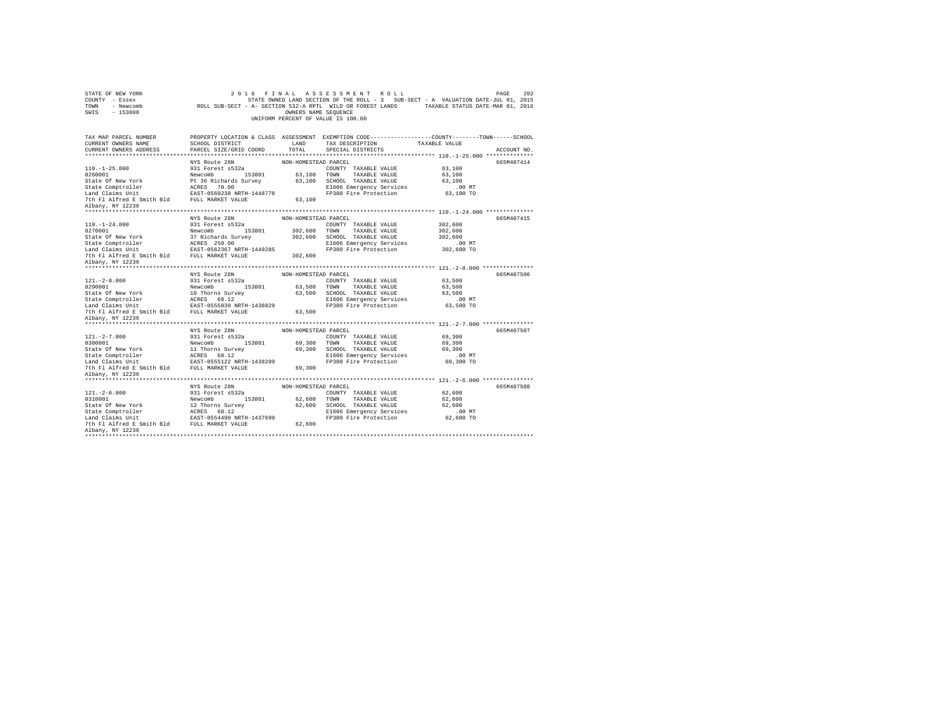| STATE OF NEW YORK<br>COUNTY - Essex<br>TOWN<br>- Newcomb<br>SWIS - 153800                                                                                                                                                        |                                           | OWNERS NAME SEQUENCE | 2016 FINAL ASSESSMENT ROLL<br>STATE OWNED LAND SECTION OF THE ROLL - 3 SUB-SECT - A VALUATION DATE-JUL 01, 2015<br>ROLL SUB-SECT - A- SECTION 532-A RPTL WILD OR FOREST LANDS TAXABLE STATUS DATE-MAR 01, 2016<br>UNIFORM PERCENT OF VALUE IS 100.00 |                  | 202<br>PAGE |
|----------------------------------------------------------------------------------------------------------------------------------------------------------------------------------------------------------------------------------|-------------------------------------------|----------------------|------------------------------------------------------------------------------------------------------------------------------------------------------------------------------------------------------------------------------------------------------|------------------|-------------|
| TAX MAP PARCEL NUMBER                                                                                                                                                                                                            |                                           |                      | PROPERTY LOCATION & CLASS ASSESSMENT EXEMPTION CODE---------------COUNTY-------TOWN------SCHOOL                                                                                                                                                      |                  |             |
| CURRENT OWNERS NAME<br>CURRENT OWNERS ADDRESS                                                                                                                                                                                    | SCHOOL DISTRICT<br>PARCEL SIZE/GRID COORD | LAND<br>TOTAL        | TAX DESCRIPTION<br>SPECIAL DISTRICTS                                                                                                                                                                                                                 | TAXABLE VALUE    | ACCOUNT NO. |
|                                                                                                                                                                                                                                  |                                           |                      |                                                                                                                                                                                                                                                      |                  |             |
|                                                                                                                                                                                                                                  | NYS Route 28N                             | NON-HOMESTEAD PARCEL |                                                                                                                                                                                                                                                      |                  | 665M407414  |
| $110. -1 - 25.000$                                                                                                                                                                                                               | 931 Forest s532a                          |                      | COUNTY TAXABLE VALUE                                                                                                                                                                                                                                 | 63,100           |             |
| 0260001                                                                                                                                                                                                                          | Newcomb 153801                            |                      | 63,100 TOWN TAXABLE VALUE                                                                                                                                                                                                                            | 63,100           |             |
| State Of New York                                                                                                                                                                                                                | Pt 36 Richards Survey                     |                      | 63,100 SCHOOL TAXABLE VALUE                                                                                                                                                                                                                          | 63,100           |             |
| State Comptroller<br>Land Claims Unit                                                                                                                                                                                            | ACRES 70.00<br>EAST-0560238 NRTH-1448778  |                      | E1606 Emergency Services                                                                                                                                                                                                                             | $.00$ MT         |             |
|                                                                                                                                                                                                                                  |                                           |                      | FP380 Fire Protection                                                                                                                                                                                                                                | 63,100 TO        |             |
| 7th Fl Alfred E Smith Bld FULL MARKET VALUE                                                                                                                                                                                      |                                           | 63,100               |                                                                                                                                                                                                                                                      |                  |             |
| Albany, NY 12236                                                                                                                                                                                                                 |                                           |                      |                                                                                                                                                                                                                                                      |                  |             |
|                                                                                                                                                                                                                                  | NYS Route 28N                             | NON-HOMESTEAD PARCEL |                                                                                                                                                                                                                                                      |                  | 665M407415  |
| $110. - 1 - 24.000$                                                                                                                                                                                                              | 931 Forest s532a                          |                      | COUNTY TAXABLE VALUE                                                                                                                                                                                                                                 | 302,600          |             |
| 0270001                                                                                                                                                                                                                          | Newcomb 153801                            |                      | 302,600 TOWN TAXABLE VALUE                                                                                                                                                                                                                           | 302,600          |             |
| State Of New York                                                                                                                                                                                                                | 37 Richards Survey                        |                      | 302,600 SCHOOL TAXABLE VALUE                                                                                                                                                                                                                         | 302,600          |             |
|                                                                                                                                                                                                                                  |                                           |                      | E1606 Emergency Services                                                                                                                                                                                                                             | $.00$ MT         |             |
|                                                                                                                                                                                                                                  |                                           |                      | FP380 Fire Protection                                                                                                                                                                                                                                | 302,600 TO       |             |
| 7th Fl Alfred E Smith Bld FULL MARKET VALUE                                                                                                                                                                                      |                                           | 302,600              |                                                                                                                                                                                                                                                      |                  |             |
| Albany, NY 12236                                                                                                                                                                                                                 |                                           |                      |                                                                                                                                                                                                                                                      |                  |             |
|                                                                                                                                                                                                                                  |                                           |                      |                                                                                                                                                                                                                                                      |                  |             |
|                                                                                                                                                                                                                                  | NYS Route 28N                             | NON-HOMESTEAD PARCEL |                                                                                                                                                                                                                                                      |                  | 665M407506  |
| $121. -2 - 8.000$                                                                                                                                                                                                                | 931 Forest s532a                          |                      | COUNTY TAXABLE VALUE                                                                                                                                                                                                                                 | 63,500           |             |
| 0290001<br>State Of New York                                                                                                                                                                                                     | Newcomb 153801<br>10 Thorns Survey        |                      | 63,500 TOWN TAXABLE VALUE<br>63,500 SCHOOL TAXABLE VALUE                                                                                                                                                                                             | 63,500<br>63,500 |             |
|                                                                                                                                                                                                                                  |                                           |                      | E1606 Emergency Services                                                                                                                                                                                                                             | $.00$ MT         |             |
|                                                                                                                                                                                                                                  |                                           |                      | FP380 Fire Protection                                                                                                                                                                                                                                | 63,500 TO        |             |
| $\begin{tabular}{lllllllllllll} \texttt{State Comptroller} & \texttt{ACRES} & 68.12 \\ \texttt{Land Calams Unit} & \texttt{BASE30 MRTH-1438829} \\ \texttt{The PL Alfred E Smith Bd} & \texttt{FULL MARKET VALUB} \end{tabular}$ |                                           | 63,500               |                                                                                                                                                                                                                                                      |                  |             |
| Albany, NY 12236                                                                                                                                                                                                                 |                                           |                      |                                                                                                                                                                                                                                                      |                  |             |
|                                                                                                                                                                                                                                  |                                           |                      |                                                                                                                                                                                                                                                      |                  |             |
|                                                                                                                                                                                                                                  | NYS Route 28N                             | NON-HOMESTEAD PARCEL |                                                                                                                                                                                                                                                      |                  | 665M407507  |
| $121. -2 - 7.000$                                                                                                                                                                                                                | 931 Forest s532a                          |                      | COUNTY TAXABLE VALUE                                                                                                                                                                                                                                 | 69,300           |             |
| 0300001                                                                                                                                                                                                                          | Newcomb 153801                            |                      | 69,300 TOWN TAXABLE VALUE                                                                                                                                                                                                                            | 69,300           |             |
| State Of New York                                                                                                                                                                                                                | 11 Thorns Survey                          |                      | 69,300 SCHOOL TAXABLE VALUE                                                                                                                                                                                                                          | 69,300           |             |
|                                                                                                                                                                                                                                  |                                           |                      | E1606 Emergency Services                                                                                                                                                                                                                             | $.00$ MT         |             |
|                                                                                                                                                                                                                                  |                                           |                      | FP380 Fire Protection                                                                                                                                                                                                                                | 69,300 TO        |             |
| Albany, NY 12236                                                                                                                                                                                                                 |                                           | 69,300               |                                                                                                                                                                                                                                                      |                  |             |
|                                                                                                                                                                                                                                  |                                           |                      |                                                                                                                                                                                                                                                      |                  |             |
|                                                                                                                                                                                                                                  | NYS Route 28N                             | NON-HOMESTEAD PARCEL |                                                                                                                                                                                                                                                      |                  | 665M407508  |
| $121. - 2 - 6.000$                                                                                                                                                                                                               | 931 Forest s532a                          |                      | COUNTY TAXABLE VALUE                                                                                                                                                                                                                                 | 62,600           |             |
| 0310001                                                                                                                                                                                                                          | Newcomb<br>153801                         | 62,600 TOWN          | TAXABLE VALUE                                                                                                                                                                                                                                        | 62,600           |             |
| State Of New York                                                                                                                                                                                                                | 12 Thorns Survey                          |                      | 62,600 SCHOOL TAXABLE VALUE                                                                                                                                                                                                                          | 62,600           |             |
|                                                                                                                                                                                                                                  |                                           |                      | E1606 Emergency Services                                                                                                                                                                                                                             | $.00$ MT         |             |
| $\begin{tabular}{lllll} State Comptroller & \texttt{ACRES} & 68.12 \\ Land Calims Unit & \texttt{BAST-0554490 MRTH-1437699} \\ 7th Fl Alfred E Smith Bd & \texttt{FULI MARKET VALUE} \end{tabular}$                              |                                           |                      | FP380 Fire Protection                                                                                                                                                                                                                                | 62,600 TO        |             |
|                                                                                                                                                                                                                                  |                                           | 62,600               |                                                                                                                                                                                                                                                      |                  |             |
| Albany, NY 12236                                                                                                                                                                                                                 |                                           |                      |                                                                                                                                                                                                                                                      |                  |             |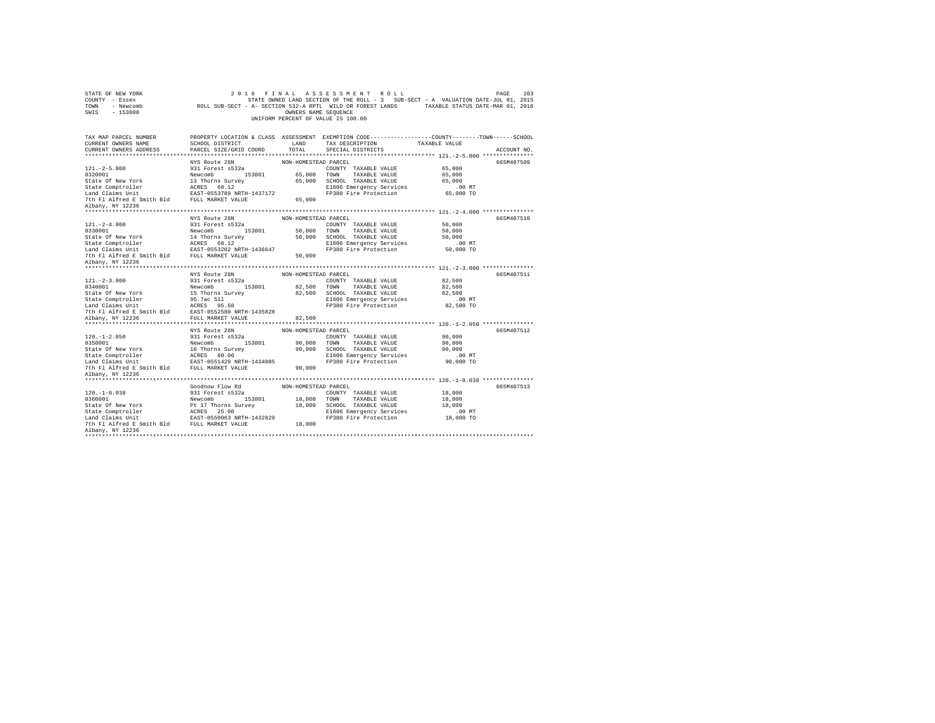| STATE OF NEW YORK<br>COUNTY - Essex<br>TOWN - Newcomb<br>$-153800$<br>SWIS |                                                | OWNERS NAME SEQUENCE | 2016 FINAL ASSESSMENT ROLL<br>STATE OWNED LAND SECTION OF THE ROLL - 3 SUB-SECT - A VALUATION DATE-JUL 01, 2015<br>ROLL SUB-SECT - A- SECTION 532-A RPTL WILD OR FOREST LANDS TAXABLE STATUS DATE-MAR 01, 2016<br>UNIFORM PERCENT OF VALUE IS 100.00 |                       | 203<br>PAGE |
|----------------------------------------------------------------------------|------------------------------------------------|----------------------|------------------------------------------------------------------------------------------------------------------------------------------------------------------------------------------------------------------------------------------------------|-----------------------|-------------|
| TAX MAP PARCEL NUMBER                                                      |                                                |                      | PROPERTY LOCATION & CLASS ASSESSMENT EXEMPTION CODE----------------COUNTY-------TOWN-----SCHOOL                                                                                                                                                      |                       |             |
| CURRENT OWNERS NAME                                                        | SCHOOL DISTRICT                                | LAND                 | TAX DESCRIPTION                                                                                                                                                                                                                                      | TAXABLE VALUE         |             |
| CURRENT OWNERS ADDRESS                                                     | PARCEL SIZE/GRID COORD                         | TOTAL.               | SPECIAL DISTRICTS                                                                                                                                                                                                                                    |                       | ACCOUNT NO. |
|                                                                            |                                                |                      |                                                                                                                                                                                                                                                      |                       |             |
| $121. -2 - 5.000$                                                          | NYS Route 28N                                  | NON-HOMESTEAD PARCEL |                                                                                                                                                                                                                                                      | 65,000                | 665M407509  |
| 0320001                                                                    | 931 Forest s532a<br>Newcomb 153801             |                      | COUNTY TAXABLE VALUE<br>65,000 TOWN TAXABLE VALUE                                                                                                                                                                                                    | 65,000                |             |
| State Of New York                                                          | 13 Thorns Survey                               |                      | 65,000 SCHOOL TAXABLE VALUE                                                                                                                                                                                                                          | 65,000                |             |
| State Comptroller                                                          | ACRES 68.12                                    |                      | E1606 Emergency Services                                                                                                                                                                                                                             | $.00$ MT              |             |
| Land Claims Unit                                                           | EAST-0553789 NRTH-1437172                      |                      | FP380 Fire Protection                                                                                                                                                                                                                                | 65,000 TO             |             |
| 7th Fl Alfred E Smith Bld FULL MARKET VALUE                                |                                                | 65,000               |                                                                                                                                                                                                                                                      |                       |             |
| Albany, NY 12236                                                           |                                                |                      |                                                                                                                                                                                                                                                      |                       |             |
|                                                                            |                                                |                      |                                                                                                                                                                                                                                                      |                       |             |
|                                                                            | NYS Route 28N                                  | NON-HOMESTEAD PARCEL |                                                                                                                                                                                                                                                      |                       | 665M407510  |
| $121. - 2 - 4.000$                                                         | 931 Forest s532a                               |                      | COUNTY TAXABLE VALUE                                                                                                                                                                                                                                 | 50,000                |             |
| 0330001                                                                    | Newcomb 153801                                 | 50,000 TOWN          | TAXABLE VALUE                                                                                                                                                                                                                                        | 50,000                |             |
| State Of New York                                                          | 14 Thorns Survey                               |                      | 50,000 SCHOOL TAXABLE VALUE                                                                                                                                                                                                                          | 50,000                |             |
| State Comptroller<br>Land Claims Unit                                      | ACRES 68.12<br>EAST-0553202 NRTH-1436647       |                      | E1606 Emergency Services<br>FP380 Fire Protection                                                                                                                                                                                                    | $.00$ MT<br>50,000 TO |             |
| 7th Fl Alfred E Smith Bld FULL MARKET VALUE                                |                                                | 50,000               |                                                                                                                                                                                                                                                      |                       |             |
| Albany, NY 12236                                                           |                                                |                      |                                                                                                                                                                                                                                                      |                       |             |
|                                                                            |                                                |                      |                                                                                                                                                                                                                                                      |                       |             |
|                                                                            | NYS Route 28N                                  | NON-HOMESTEAD PARCEL |                                                                                                                                                                                                                                                      |                       | 665M407511  |
| $121. -2 - 3.000$                                                          | 931 Forest s532a                               |                      | COUNTY TAXABLE VALUE                                                                                                                                                                                                                                 | 82,500                |             |
| 0340001                                                                    | Newcomb 153801                                 | 82,500 TOWN          | TAXABLE VALUE                                                                                                                                                                                                                                        | 82,500                |             |
| State Of New York                                                          | 15 Thorns Survey                               |                      | 82.500 SCHOOL TAXABLE VALUE                                                                                                                                                                                                                          | 82,500                |             |
|                                                                            |                                                |                      | E1606 Emergency Services                                                                                                                                                                                                                             | $.00$ MT              |             |
|                                                                            |                                                |                      | FP380 Fire Protection                                                                                                                                                                                                                                | 82,500 TO             |             |
| 7th Fl Alfred E Smith Bld                                                  | EAST-0552580 NRTH-1435828<br>FULL MARKET VALUE |                      |                                                                                                                                                                                                                                                      |                       |             |
| Albany, NY 12236                                                           |                                                | 82,500               |                                                                                                                                                                                                                                                      |                       |             |
|                                                                            | NYS Route 28N                                  | NON-HOMESTEAD PARCEL |                                                                                                                                                                                                                                                      |                       | 665M407512  |
| $120. - 1 - 2.050$                                                         | 931 Forest s532a                               |                      | COUNTY TAXABLE VALUE                                                                                                                                                                                                                                 | 90,000                |             |
| 0350001                                                                    | Newcomb 153801                                 |                      | 90,000 TOWN TAXABLE VALUE                                                                                                                                                                                                                            | 90,000                |             |
| State Of New York                                                          | 16 Thorns Survey                               |                      | 90,000 SCHOOL TAXABLE VALUE                                                                                                                                                                                                                          | 90,000                |             |
|                                                                            |                                                |                      | E1606 Emergency Services                                                                                                                                                                                                                             | $.00$ MT              |             |
|                                                                            |                                                |                      | FP380 Fire Protection                                                                                                                                                                                                                                | 90,000 TO             |             |
| 7th Fl Alfred E Smith Bld FULL MARKET VALUE                                |                                                | 90,000               |                                                                                                                                                                                                                                                      |                       |             |
| Albany, NY 12236                                                           |                                                |                      |                                                                                                                                                                                                                                                      |                       |             |
|                                                                            | Goodnow Flow Rd                                | NON-HOMESTEAD PARCEL |                                                                                                                                                                                                                                                      |                       | 665M407513  |
| $120. -1 - 8.038$                                                          | 931 Forest s532a                               |                      | COUNTY TAXABLE VALUE                                                                                                                                                                                                                                 | 18,000                |             |
| 0360001                                                                    | Newcomb 153801                                 | 18,000 TOWN          | TAXABLE VALUE                                                                                                                                                                                                                                        | 18,000                |             |
| State Of New York                                                          | Pt 17 Thorns Survey                            |                      | 18,000 SCHOOL TAXABLE VALUE                                                                                                                                                                                                                          | 18,000                |             |
|                                                                            | ACRES 25.00                                    |                      | E1606 Emergency Services                                                                                                                                                                                                                             | $.00$ MT              |             |
| State Comptroller<br>Tand Claims Unit                                      | EAST-0550063 NRTH-1432829                      |                      | FP380 Fire Protection                                                                                                                                                                                                                                | 18,000 TO             |             |
| 7th Fl Alfred E Smith Bld FULL MARKET VALUE                                |                                                | 18,000               |                                                                                                                                                                                                                                                      |                       |             |
| Albany, NY 12236                                                           |                                                |                      |                                                                                                                                                                                                                                                      |                       |             |
| ************************                                                   |                                                |                      |                                                                                                                                                                                                                                                      |                       |             |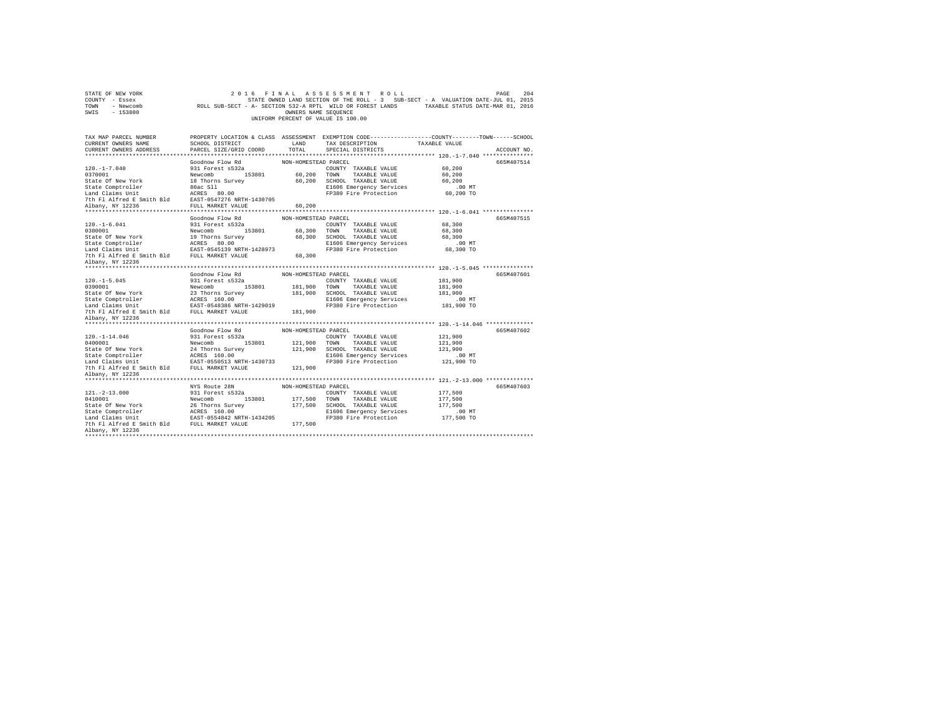| STATE OF NEW YORK<br>COUNTY - Essex<br>TOWN<br>- Newcomb<br>SWIS - 153800                 |                                             | OWNERS NAME SEQUENCE | 2016 FINAL ASSESSMENT ROLL<br>STATE OWNED LAND SECTION OF THE ROLL - 3 SUB-SECT - A VALUATION DATE-JUL 01, 2015<br>ROLL SUB-SECT - A- SECTION 532-A RPTL WILD OR FOREST LANDS TAXABLE STATUS DATE-MAR 01, 2016<br>UNIFORM PERCENT OF VALUE IS 100.00 |                        | 204<br>PAGE |
|-------------------------------------------------------------------------------------------|---------------------------------------------|----------------------|------------------------------------------------------------------------------------------------------------------------------------------------------------------------------------------------------------------------------------------------------|------------------------|-------------|
| TAX MAP PARCEL NUMBER                                                                     |                                             |                      | PROPERTY LOCATION & CLASS ASSESSMENT EXEMPTION CODE---------------COUNTY-------TOWN------SCHOOL                                                                                                                                                      |                        |             |
| CURRENT OWNERS NAME                                                                       | SCHOOL DISTRICT                             | LAND                 | TAX DESCRIPTION                                                                                                                                                                                                                                      | TAXABLE VALUE          |             |
| CURRENT OWNERS ADDRESS                                                                    | PARCEL SIZE/GRID COORD                      | TOTAL.               | SPECIAL DISTRICTS                                                                                                                                                                                                                                    |                        | ACCOUNT NO. |
|                                                                                           |                                             |                      |                                                                                                                                                                                                                                                      |                        |             |
| $120. -1 - 7.040$                                                                         | Goodnow Flow Rd<br>931 Forest s532a         | NON-HOMESTEAD PARCEL |                                                                                                                                                                                                                                                      | 60,200                 | 665M407514  |
| 0370001                                                                                   | Newcomb 153801                              |                      | COUNTY TAXABLE VALUE<br>60,200 TOWN TAXABLE VALUE                                                                                                                                                                                                    | 60,200                 |             |
| State Of New York                                                                         | 18 Thorns Survey                            |                      | 60.200 SCHOOL TAXABLE VALUE                                                                                                                                                                                                                          | 60.200                 |             |
| State Comptroller                                                                         |                                             |                      | E1606 Emergency Services                                                                                                                                                                                                                             | $.00$ MT               |             |
| Land Claims Unit                                                                          | 80ac Sll<br>ACRES 80.00                     |                      | FP380 Fire Protection                                                                                                                                                                                                                                | 60,200 TO              |             |
| 7th Fl Alfred E Smith Bld                                                                 | EAST-0547276 NRTH-1430705                   |                      |                                                                                                                                                                                                                                                      |                        |             |
| Albany, NY 12236                                                                          | FULL MARKET VALUE                           | 60,200               |                                                                                                                                                                                                                                                      |                        |             |
|                                                                                           |                                             |                      |                                                                                                                                                                                                                                                      |                        |             |
|                                                                                           | Goodnow Flow Rd                             | NON-HOMESTEAD PARCEL |                                                                                                                                                                                                                                                      |                        | 665M407515  |
| $120. - 1 - 6.041$                                                                        | 931 Forest s532a                            |                      | COUNTY TAXABLE VALUE                                                                                                                                                                                                                                 | 68,300                 |             |
| 0380001                                                                                   | Newcomb 153801                              |                      | 68,300 TOWN TAXABLE VALUE                                                                                                                                                                                                                            | 68,300                 |             |
| State Of New York                                                                         | 19 Thorns Survey                            |                      | 68,300 SCHOOL TAXABLE VALUE                                                                                                                                                                                                                          | 68,300                 |             |
| State Comptroller<br>Land Claims Unit                                                     | ACRES 80.00                                 |                      | E1606 Emergency Services                                                                                                                                                                                                                             | $.00$ MT               |             |
|                                                                                           | EAST-0545139 NRTH-1428973                   | 68,300               | FP380 Fire Protection                                                                                                                                                                                                                                | 68,300 TO              |             |
| 7th Fl Alfred E Smith Bld FULL MARKET VALUE<br>Albany, NY 12236                           |                                             |                      |                                                                                                                                                                                                                                                      |                        |             |
|                                                                                           |                                             |                      |                                                                                                                                                                                                                                                      |                        |             |
|                                                                                           | Goodnow Flow Rd                             | NON-HOMESTEAD PARCEL |                                                                                                                                                                                                                                                      |                        | 665M407601  |
| $120. -1 - 5.045$                                                                         | 931 Forest s532a                            |                      | COUNTY TAXABLE VALUE                                                                                                                                                                                                                                 | 181,900                |             |
| 0390001                                                                                   | Newcomb 153801                              |                      | 181,900 TOWN TAXABLE VALUE                                                                                                                                                                                                                           | 181,900                |             |
| State Of New York                                                                         | 23 Thorns Survey                            |                      | 181,900 SCHOOL TAXABLE VALUE                                                                                                                                                                                                                         | 181,900                |             |
| State Comptroller                                                                         | ACRES 160.00                                |                      | E1606 Emergency Services                                                                                                                                                                                                                             | $.00$ MT               |             |
| Land Claims Unit                                                                          | EAST-0548386 NRTH-1429019                   |                      |                                                                                                                                                                                                                                                      |                        |             |
|                                                                                           |                                             |                      | FP380 Fire Protection                                                                                                                                                                                                                                | 181,900 TO             |             |
|                                                                                           | 7th Fl Alfred E Smith Bld FULL MARKET VALUE | 181,900              |                                                                                                                                                                                                                                                      |                        |             |
| Albany, NY 12236                                                                          |                                             |                      |                                                                                                                                                                                                                                                      |                        |             |
| *************************                                                                 |                                             |                      |                                                                                                                                                                                                                                                      |                        |             |
|                                                                                           | Goodnow Flow Rd                             | NON-HOMESTEAD PARCEL |                                                                                                                                                                                                                                                      |                        | 665M407602  |
| $120. - 1 - 14.046$                                                                       | 931 Forest s532a                            |                      | COUNTY TAXABLE VALUE                                                                                                                                                                                                                                 | 121,900                |             |
| 0400001                                                                                   | Newcomb 153801                              |                      | 121,900 TOWN TAXABLE VALUE                                                                                                                                                                                                                           | 121,900                |             |
| State Of New York                                                                         | 24 Thorns Survey                            |                      | 121,900 SCHOOL TAXABLE VALUE                                                                                                                                                                                                                         | 121,900                |             |
| State Comptroller                                                                         | ACRES 160.00                                |                      | E1606 Emergency Services                                                                                                                                                                                                                             | $.00$ MT<br>121,900 TO |             |
| Land Claims Unit EAST-0550513 NRTH-1430733<br>7th Fl Alfred E Smith Bld FULL MARKET VALUE |                                             | 121,900              | FP380 Fire Protection                                                                                                                                                                                                                                |                        |             |
| Albany, NY 12236                                                                          |                                             |                      |                                                                                                                                                                                                                                                      |                        |             |
|                                                                                           |                                             |                      |                                                                                                                                                                                                                                                      |                        |             |
|                                                                                           | NYS Route 28N                               | NON-HOMESTEAD PARCEL |                                                                                                                                                                                                                                                      |                        | 665M407603  |
| $121. - 2 - 13.000$                                                                       | 931 Forest s532a                            |                      | COUNTY TAXABLE VALUE                                                                                                                                                                                                                                 | 177,500                |             |
| 0410001                                                                                   | Newcomb<br>153801                           | 177,500 TOWN         | TAXABLE VALUE                                                                                                                                                                                                                                        | 177.500                |             |
| State Of New York                                                                         | 26 Thorns Survey                            |                      | 177,500 SCHOOL TAXABLE VALUE                                                                                                                                                                                                                         | 177.500                |             |
| State Comptroller                                                                         | ACRES 160.00                                |                      | E1606 Emergency Services                                                                                                                                                                                                                             | $.00$ MT               |             |
| Land Claims Unit                                                                          | EAST-0554842 NRTH-1434205                   |                      | FP380 Fire Protection                                                                                                                                                                                                                                | 177,500 TO             |             |
| 7th Fl Alfred E Smith Bld FULL MARKET VALUE<br>Albany, NY 12236                           |                                             | 177,500              |                                                                                                                                                                                                                                                      |                        |             |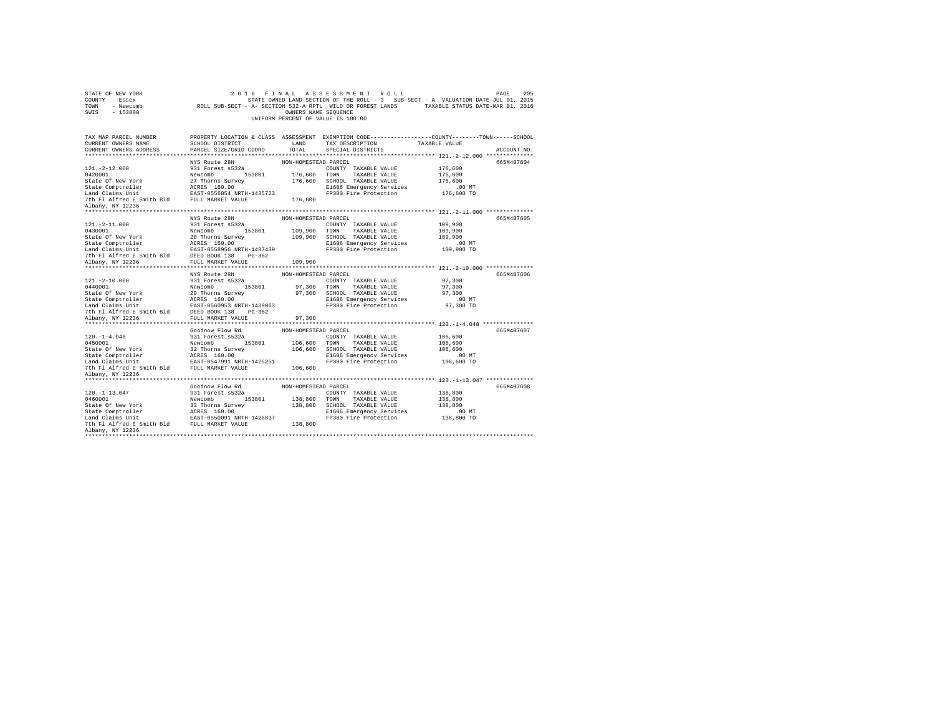| STATE OF NEW YORK<br>COUNTY - Essex<br>TOWN - Newcomb<br>SWIS - 153800 |                                                   | OWNERS NAME SEQUENCE | 2016 FINAL ASSESSMENT ROLL<br>UNIFORM PERCENT OF VALUE IS 100.00 | 205<br>PAGE<br>STATE OWNED LAND SECTION OF THE ROLL - 3 SUB-SECT - A VALUATION DATE-JUL 01, 2015<br>ROLL SUB-SECT - A- SECTION 532-A RPTL WILD OR FOREST LANDS TAXABLE STATUS DATE-MAR 01, 2016 |  |
|------------------------------------------------------------------------|---------------------------------------------------|----------------------|------------------------------------------------------------------|-------------------------------------------------------------------------------------------------------------------------------------------------------------------------------------------------|--|
| TAX MAP PARCEL NUMBER<br>CURRENT OWNERS NAME                           | SCHOOL DISTRICT                                   | LAND                 | TAX DESCRIPTION                                                  | PROPERTY LOCATION & CLASS ASSESSMENT EXEMPTION CODE--------------COUNTY-------TOWN-----SCHOOL<br>TAXABLE VALUE                                                                                  |  |
| CURRENT OWNERS ADDRESS                                                 | PARCEL SIZE/GRID COORD                            | TOTAL                | SPECIAL DISTRICTS                                                | ACCOUNT NO.                                                                                                                                                                                     |  |
|                                                                        |                                                   |                      |                                                                  |                                                                                                                                                                                                 |  |
|                                                                        | NYS Route 28N                                     | NON-HOMESTEAD PARCEL |                                                                  | 665M407604                                                                                                                                                                                      |  |
| $121. - 2 - 12.000$                                                    | 931 Forest s532a                                  |                      | COUNTY TAXABLE VALUE                                             | 176,600                                                                                                                                                                                         |  |
| 0420001                                                                | Newcomb 153801                                    |                      | 176,600 TOWN TAXABLE VALUE                                       | 176,600                                                                                                                                                                                         |  |
| State Of New York                                                      | 27 Thorns Survey                                  |                      | 176,600 SCHOOL TAXABLE VALUE                                     | 176,600                                                                                                                                                                                         |  |
|                                                                        |                                                   |                      | E1606 Emergency Services<br>FP380 Fire Protection                | $.00$ MT<br>176,600 TO                                                                                                                                                                          |  |
|                                                                        |                                                   | 176,600              |                                                                  |                                                                                                                                                                                                 |  |
| 7th F1 Alfred E Smith Bld FULL MARKET VALUE<br>Albany, NY 12236        |                                                   |                      |                                                                  |                                                                                                                                                                                                 |  |
|                                                                        |                                                   |                      |                                                                  |                                                                                                                                                                                                 |  |
|                                                                        | NYS Route 28N                                     | NON-HOMESTEAD PARCEL |                                                                  | 665M407605                                                                                                                                                                                      |  |
| $121. - 2 - 11.000$                                                    | 931 Forest s532a                                  |                      | COUNTY TAXABLE VALUE                                             | 109,900                                                                                                                                                                                         |  |
| 0430001                                                                | Newcomb 153801                                    |                      | 109,900 TOWN TAXABLE VALUE                                       | 109,900                                                                                                                                                                                         |  |
| State Of New York                                                      | 28 Thorns Survey                                  |                      | 109,900 SCHOOL TAXABLE VALUE                                     | 109,900                                                                                                                                                                                         |  |
| State Comptroller MCRES 160.00 Land Claims Unit EAST-0558956 NRTH      |                                                   |                      | E1606 Emergency Services                                         | $.00$ MT                                                                                                                                                                                        |  |
| 7th Fl Alfred E Smith Bld                                              | EAST-0558956 NRTH-1437439<br>DEED BOOK 138 PG-362 |                      | FP380 Fire Protection                                            | 109,900 TO                                                                                                                                                                                      |  |
| Albany, NY 12236                                                       | FULL MARKET VALUE                                 | 109,900              |                                                                  |                                                                                                                                                                                                 |  |
|                                                                        |                                                   |                      |                                                                  |                                                                                                                                                                                                 |  |
|                                                                        | NYS Route 28N                                     | NON-HOMESTEAD PARCEL |                                                                  | 665M407606                                                                                                                                                                                      |  |
| $121. - 2 - 10.000$                                                    | 931 Forest s532a                                  |                      | COUNTY TAXABLE VALUE                                             | 97,300                                                                                                                                                                                          |  |
| 0440001                                                                | Newcomb 153801                                    |                      | 97,300 TOWN TAXABLE VALUE                                        | 97,300                                                                                                                                                                                          |  |
| State Of New York                                                      | 29 Thorns Survey                                  |                      | 97,300 SCHOOL TAXABLE VALUE                                      | 97,300                                                                                                                                                                                          |  |
|                                                                        |                                                   |                      | E1606 Emergency Services                                         | $.00$ MT                                                                                                                                                                                        |  |
|                                                                        |                                                   |                      | FP380 Fire Protection                                            | 97,300 TO                                                                                                                                                                                       |  |
| 7th Fl Alfred E Smith Bld<br>Albany, NY 12236                          | DEED BOOK 138 PG-362<br>FULL MARKET VALUE         | 97,300               |                                                                  |                                                                                                                                                                                                 |  |
|                                                                        |                                                   |                      |                                                                  |                                                                                                                                                                                                 |  |
|                                                                        | Goodnow Flow Rd                                   | NON-HOMESTEAD PARCEL |                                                                  | 665M407607                                                                                                                                                                                      |  |
| $120. -1 - 4.048$                                                      | 931 Forest s532a                                  |                      | COUNTY TAXABLE VALUE                                             | 106,600                                                                                                                                                                                         |  |
| 0450001                                                                | Newcomb 153801                                    |                      | 106,600 TOWN TAXABLE VALUE                                       | 106,600                                                                                                                                                                                         |  |
| State Of New York                                                      | 32 Thorns Survey                                  |                      | 106,600 SCHOOL TAXABLE VALUE                                     | 106,600                                                                                                                                                                                         |  |
|                                                                        |                                                   |                      | E1606 Emergency Services                                         | $.00$ MT                                                                                                                                                                                        |  |
|                                                                        |                                                   |                      | FP380 Fire Protection                                            | 106,600 TO                                                                                                                                                                                      |  |
| 7th Fl Alfred E Smith Bld FULL MARKET VALUE                            |                                                   | 106,600              |                                                                  |                                                                                                                                                                                                 |  |
| Albany, NY 12236                                                       |                                                   |                      |                                                                  |                                                                                                                                                                                                 |  |
|                                                                        | Goodnow Flow Rd                                   | NON-HOMESTEAD PARCEL |                                                                  | 665M407608                                                                                                                                                                                      |  |
| $120. - 1 - 13.047$                                                    | 931 Forest s532a                                  |                      | COUNTY TAXABLE VALUE                                             | 138,800                                                                                                                                                                                         |  |
| 0460001                                                                | Newcomb<br>153801                                 |                      | 138,800 TOWN TAXABLE VALUE                                       | 138,800                                                                                                                                                                                         |  |
| State Of New York                                                      | 33 Thorns Survey                                  |                      | 138,800 SCHOOL TAXABLE VALUE                                     | 138,800                                                                                                                                                                                         |  |
|                                                                        |                                                   |                      | E1606 Emergency Services                                         | .00MT                                                                                                                                                                                           |  |
|                                                                        |                                                   |                      | FP380 Fire Protection                                            | 138,800 TO                                                                                                                                                                                      |  |
| 7th Fl Alfred E Smith Bld FULL MARKET VALUE                            |                                                   | 138,800              |                                                                  |                                                                                                                                                                                                 |  |
| Albany, NY 12236                                                       |                                                   |                      |                                                                  |                                                                                                                                                                                                 |  |
| ********************                                                   |                                                   |                      |                                                                  |                                                                                                                                                                                                 |  |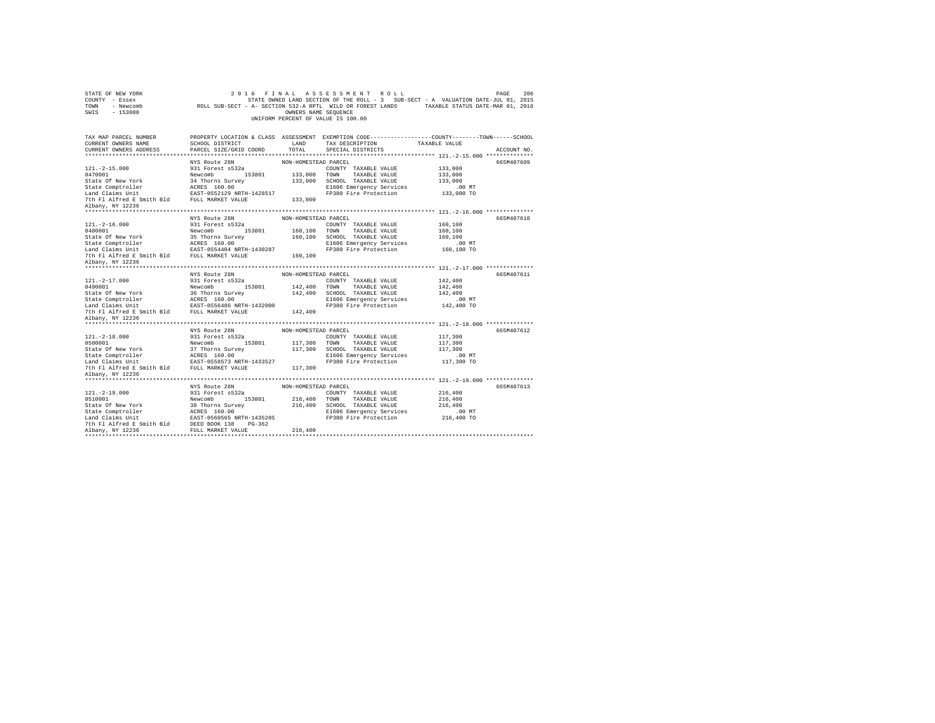| STATE OF NEW YORK<br>COUNTY - Essex<br>TOWN - Newcomb<br>SWIS - 153800 |                                    | OWNERS NAME SEQUENCE | 2016 FINAL ASSESSMENT ROLL<br>STATE OWNED LAND SECTION OF THE ROLL - 3 SUB-SECT - A VALUATION DATE-JUL 01, 2015<br>ROLL SUB-SECT - A- SECTION 532-A RPTL WILD OR FOREST LANDS TAXABLE STATUS DATE-MAR 01, 2016<br>UNIFORM PERCENT OF VALUE IS 100.00 |                        | 206<br>PAGE |
|------------------------------------------------------------------------|------------------------------------|----------------------|------------------------------------------------------------------------------------------------------------------------------------------------------------------------------------------------------------------------------------------------------|------------------------|-------------|
| TAX MAP PARCEL NUMBER                                                  |                                    |                      | PROPERTY LOCATION & CLASS ASSESSMENT EXEMPTION CODE---------------COUNTY-------TOWN------SCHOOL                                                                                                                                                      |                        |             |
| CURRENT OWNERS NAME                                                    | SCHOOL DISTRICT                    | LAND                 | TAX DESCRIPTION                                                                                                                                                                                                                                      | TAXABLE VALUE          |             |
| CURRENT OWNERS ADDRESS                                                 | PARCEL SIZE/GRID COORD             | TOTAL.               | SPECIAL DISTRICTS                                                                                                                                                                                                                                    |                        | ACCOUNT NO. |
|                                                                        |                                    |                      |                                                                                                                                                                                                                                                      |                        |             |
|                                                                        | NYS Route 28N                      | NON-HOMESTEAD PARCEL |                                                                                                                                                                                                                                                      |                        | 665M407609  |
| $121. - 2 - 15.000$<br>0470001                                         | 931 Forest s532a<br>Newcomb 153801 |                      | COUNTY TAXABLE VALUE<br>133,000 TOWN TAXABLE VALUE                                                                                                                                                                                                   | 133,000<br>133,000     |             |
| State Of New York                                                      | 34 Thorns Survey                   |                      | 133,000 SCHOOL TAXABLE VALUE                                                                                                                                                                                                                         | 133,000                |             |
|                                                                        | ACRES 160.00                       |                      | E1606 Emergency Services                                                                                                                                                                                                                             | $.00$ MT               |             |
| State Comptroller<br>Land Claims Unit                                  | EAST-0552129 NRTH-1428517          |                      | FP380 Fire Protection                                                                                                                                                                                                                                | 133,000 TO             |             |
| 7th Fl Alfred E Smith Bld FULL MARKET VALUE                            |                                    | 133,000              |                                                                                                                                                                                                                                                      |                        |             |
| Albany, NY 12236                                                       |                                    |                      |                                                                                                                                                                                                                                                      |                        |             |
|                                                                        |                                    |                      |                                                                                                                                                                                                                                                      |                        |             |
|                                                                        | NYS Route 28N                      | NON-HOMESTEAD PARCEL |                                                                                                                                                                                                                                                      |                        | 665M407610  |
| $121. -2 - 16.000$                                                     | 931 Forest s532a                   |                      | COUNTY TAXABLE VALUE                                                                                                                                                                                                                                 | 160,100                |             |
| 0480001                                                                | Newcomb 153801                     |                      | 160,100 TOWN TAXABLE VALUE                                                                                                                                                                                                                           | 160,100                |             |
| State Of New York                                                      | 35 Thorns Survey                   |                      | 160.100 SCHOOL TAXABLE VALUE                                                                                                                                                                                                                         | 160,100                |             |
|                                                                        |                                    |                      | E1606 Emergency Services<br>FP380 Fire Protection                                                                                                                                                                                                    | .00 MT<br>160,100 TO   |             |
| 7th Fl Alfred E Smith Bld FULL MARKET VALUE                            |                                    | 160,100              |                                                                                                                                                                                                                                                      |                        |             |
| Albany, NY 12236                                                       |                                    |                      |                                                                                                                                                                                                                                                      |                        |             |
|                                                                        |                                    |                      |                                                                                                                                                                                                                                                      |                        |             |
|                                                                        | NYS Route 28N                      | NON-HOMESTEAD PARCEL |                                                                                                                                                                                                                                                      |                        | 665M407611  |
| $121. -2 - 17.000$                                                     | 931 Forest s532a                   |                      | COUNTY TAXABLE VALUE                                                                                                                                                                                                                                 | 142,400                |             |
| 0490001                                                                | Newcomb 153801                     |                      | 142,400 TOWN TAXABLE VALUE                                                                                                                                                                                                                           | 142,400                |             |
| State Of New York                                                      | 36 Thorns Survey                   |                      | 142,400 SCHOOL TAXABLE VALUE                                                                                                                                                                                                                         | 142,400                |             |
|                                                                        |                                    |                      | E1606 Emergency Services                                                                                                                                                                                                                             |                        |             |
|                                                                        |                                    |                      |                                                                                                                                                                                                                                                      | $.00$ MT               |             |
|                                                                        |                                    |                      | FP380 Fire Protection                                                                                                                                                                                                                                | 142,400 TO             |             |
| 7th Fl Alfred E Smith Bld FULL MARKET VALUE                            |                                    | 142,400              |                                                                                                                                                                                                                                                      |                        |             |
| Albany, NY 12236                                                       |                                    |                      |                                                                                                                                                                                                                                                      |                        |             |
|                                                                        |                                    |                      |                                                                                                                                                                                                                                                      |                        |             |
|                                                                        | NYS Route 28N                      | NON-HOMESTEAD PARCEL |                                                                                                                                                                                                                                                      |                        | 665M407612  |
| $121. - 2 - 18.000$<br>0500001                                         | 931 Forest s532a<br>Newcomb 153801 |                      | COUNTY TAXABLE VALUE                                                                                                                                                                                                                                 | 117,300<br>117,300     |             |
| State Of New York                                                      | 37 Thorns Survey                   |                      | 117,300 TOWN TAXABLE VALUE<br>117,300 SCHOOL TAXABLE VALUE                                                                                                                                                                                           | 117,300                |             |
|                                                                        |                                    |                      | E1606 Emergency Services                                                                                                                                                                                                                             | $.00$ MT               |             |
|                                                                        |                                    |                      | FP380 Fire Protection                                                                                                                                                                                                                                | 117,300 TO             |             |
| 7th Fl Alfred E Smith Bld FULL MARKET VALUE 117,300                    |                                    |                      |                                                                                                                                                                                                                                                      |                        |             |
| Albany, NY 12236                                                       |                                    |                      |                                                                                                                                                                                                                                                      |                        |             |
|                                                                        |                                    |                      |                                                                                                                                                                                                                                                      |                        |             |
|                                                                        | NYS Route 28N                      | NON-HOMESTEAD PARCEL |                                                                                                                                                                                                                                                      |                        | 665M407613  |
| $121. -2 - 19.000$                                                     | 931 Forest s532a                   |                      | COUNTY TAXABLE VALUE                                                                                                                                                                                                                                 | 216,400                |             |
| 0510001                                                                | Newcomb<br>153801                  |                      | 216,400 TOWN TAXABLE VALUE                                                                                                                                                                                                                           | 216,400                |             |
| State Of New York                                                      | 38 Thorns Survey                   |                      | 216,400 SCHOOL TAXABLE VALUE                                                                                                                                                                                                                         | 216,400                |             |
|                                                                        |                                    |                      | E1606 Emergency Services<br>FP380 Fire Protection                                                                                                                                                                                                    | $.00$ MT<br>216,400 TO |             |
| 7th Fl Alfred E Smith Bld DEED BOOK 138 PG-362                         |                                    |                      |                                                                                                                                                                                                                                                      |                        |             |
| Albany, NY 12236                                                       | FULL MARKET VALUE                  | 216,400              |                                                                                                                                                                                                                                                      |                        |             |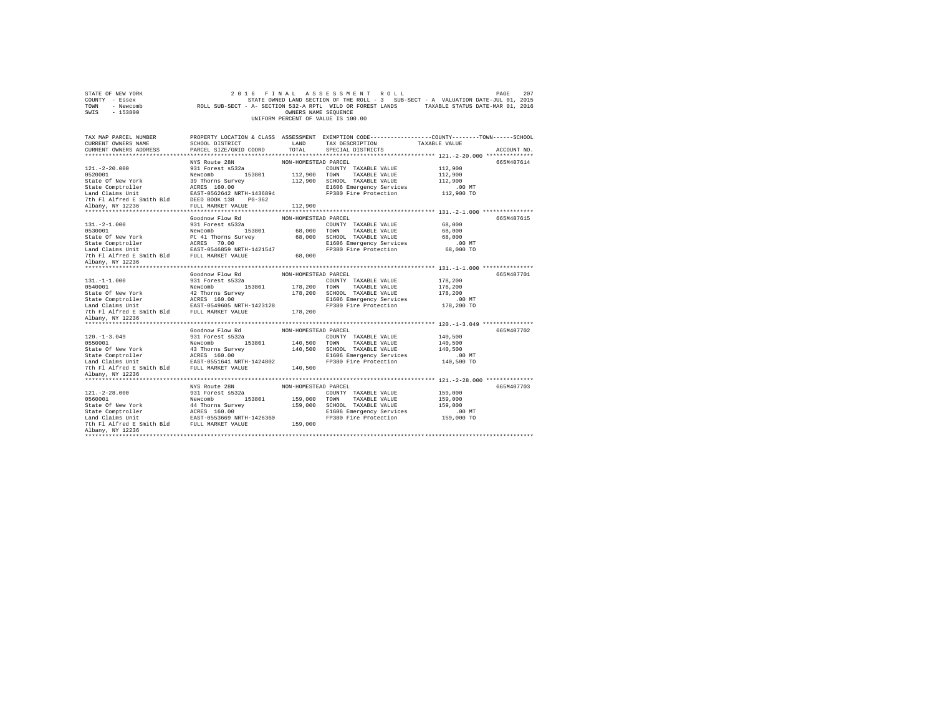| STATE OF NEW YORK<br>2016 FINAL ASSESSMENT ROLL<br>207<br>PAGE<br>COUNTY - Essex<br>STATE OWNED LAND SECTION OF THE ROLL - 3 SUB-SECT - A VALUATION DATE-JUL 01, 2015<br>ROLL SUB-SECT - A- SECTION 532-A RPTL WILD OR FOREST LANDS TAXABLE STATUS DATE-MAR 01, 2016<br>TOWN<br>- Newcomb<br>SWIS - 153800<br>OWNERS NAME SEQUENCE<br>UNIFORM PERCENT OF VALUE IS 100.00 |                                          |                      |                                                   |                                                                                                                |  |
|--------------------------------------------------------------------------------------------------------------------------------------------------------------------------------------------------------------------------------------------------------------------------------------------------------------------------------------------------------------------------|------------------------------------------|----------------------|---------------------------------------------------|----------------------------------------------------------------------------------------------------------------|--|
| TAX MAP PARCEL NUMBER<br>CURRENT OWNERS NAME                                                                                                                                                                                                                                                                                                                             | SCHOOL DISTRICT                          | LAND                 | TAX DESCRIPTION                                   | PROPERTY LOCATION & CLASS ASSESSMENT EXEMPTION CODE--------------COUNTY-------TOWN-----SCHOOL<br>TAXABLE VALUE |  |
| CURRENT OWNERS ADDRESS                                                                                                                                                                                                                                                                                                                                                   | PARCEL SIZE/GRID COORD                   | TOTAL                | SPECIAL DISTRICTS                                 | ACCOUNT NO.                                                                                                    |  |
|                                                                                                                                                                                                                                                                                                                                                                          |                                          |                      |                                                   |                                                                                                                |  |
| $121. - 2 - 20.000$                                                                                                                                                                                                                                                                                                                                                      | NYS Route 28N<br>931 Forest s532a        | NON-HOMESTEAD PARCEL | COUNTY TAXABLE VALUE                              | 665M407614<br>112,900                                                                                          |  |
| 0520001                                                                                                                                                                                                                                                                                                                                                                  | Newcomb 153801                           | 112,900              | TOWN TAXABLE VALUE                                | 112,900                                                                                                        |  |
| State Of New York                                                                                                                                                                                                                                                                                                                                                        | 39 Thorns Survey                         |                      | 112,900 SCHOOL TAXABLE VALUE                      | 112,900                                                                                                        |  |
| State Comptroller                                                                                                                                                                                                                                                                                                                                                        | ACRES 160.00                             |                      | E1606 Emergency Services                          | $.00$ MT                                                                                                       |  |
| Land Claims Unit                                                                                                                                                                                                                                                                                                                                                         | EAST-0562642 NRTH-1436894                |                      | FP380 Fire Protection                             | 112,900 TO                                                                                                     |  |
| 7th Fl Alfred E Smith Bld DEED BOOK 138 PG-362                                                                                                                                                                                                                                                                                                                           |                                          |                      |                                                   |                                                                                                                |  |
| Albany, NY 12236                                                                                                                                                                                                                                                                                                                                                         | FULL MARKET VALUE                        | 112,900              |                                                   |                                                                                                                |  |
|                                                                                                                                                                                                                                                                                                                                                                          |                                          |                      |                                                   |                                                                                                                |  |
|                                                                                                                                                                                                                                                                                                                                                                          | Goodnow Flow Rd                          | NON-HOMESTEAD PARCEL |                                                   | 665M407615                                                                                                     |  |
| $131. -2 - 1.000$                                                                                                                                                                                                                                                                                                                                                        | 931 Forest s532a                         |                      | COUNTY TAXABLE VALUE                              | 68,000                                                                                                         |  |
| 0530001                                                                                                                                                                                                                                                                                                                                                                  | Newcomb 153801                           | 68,000 TOWN          | TAXABLE VALUE                                     | 68,000                                                                                                         |  |
| State Of New York                                                                                                                                                                                                                                                                                                                                                        | Pt 41 Thorns Survey                      |                      | 68,000 SCHOOL TAXABLE VALUE                       | 68,000                                                                                                         |  |
| State Comptroller<br>state Comptroller<br>Land Claims Unit                                                                                                                                                                                                                                                                                                               | ACRES 70.00<br>EAST-0546859 NRTH-1421547 |                      | E1606 Emergency Services<br>FP380 Fire Protection | $.00$ MT                                                                                                       |  |
| 7th Fl Alfred E Smith Bld FULL MARKET VALUE                                                                                                                                                                                                                                                                                                                              |                                          | 68,000               |                                                   | 68,000 TO                                                                                                      |  |
| Albany, NY 12236                                                                                                                                                                                                                                                                                                                                                         |                                          |                      |                                                   |                                                                                                                |  |
| ********************                                                                                                                                                                                                                                                                                                                                                     |                                          |                      |                                                   |                                                                                                                |  |
|                                                                                                                                                                                                                                                                                                                                                                          | Goodnow Flow Rd                          | NON-HOMESTEAD PARCEL |                                                   | 665M407701                                                                                                     |  |
| $131. -1 -1.000$                                                                                                                                                                                                                                                                                                                                                         | 931 Forest s532a                         |                      | COUNTY TAXABLE VALUE                              | 178,200                                                                                                        |  |
| 0540001                                                                                                                                                                                                                                                                                                                                                                  | Newcomb 153801                           |                      | 178,200 TOWN TAXABLE VALUE                        | 178,200                                                                                                        |  |
| State Of New York                                                                                                                                                                                                                                                                                                                                                        | 42 Thorns Survey                         |                      | 178,200 SCHOOL TAXABLE VALUE                      | 178,200                                                                                                        |  |
|                                                                                                                                                                                                                                                                                                                                                                          |                                          |                      | E1606 Emergency Services                          | $.00$ MT                                                                                                       |  |
|                                                                                                                                                                                                                                                                                                                                                                          |                                          |                      | FP380 Fire Protection                             | 178,200 TO                                                                                                     |  |
| 7th Fl Alfred E Smith Bld                                                                                                                                                                                                                                                                                                                                                | FULL MARKET VALUE                        | 178,200              |                                                   |                                                                                                                |  |
| Albany, NY 12236                                                                                                                                                                                                                                                                                                                                                         |                                          |                      |                                                   |                                                                                                                |  |
|                                                                                                                                                                                                                                                                                                                                                                          | Goodnow Flow Rd                          |                      |                                                   |                                                                                                                |  |
| $120. -1 - 3.049$                                                                                                                                                                                                                                                                                                                                                        | 931 Forest s532a                         | NON-HOMESTEAD PARCEL | COUNTY TAXABLE VALUE                              | 665M407702<br>140,500                                                                                          |  |
| 0550001                                                                                                                                                                                                                                                                                                                                                                  | Newcomb 153801                           |                      | 140.500 TOWN TAXABLE VALUE                        | 140,500                                                                                                        |  |
| State Of New York                                                                                                                                                                                                                                                                                                                                                        | 43 Thorns Survey                         |                      | 140,500 SCHOOL TAXABLE VALUE                      | 140,500                                                                                                        |  |
|                                                                                                                                                                                                                                                                                                                                                                          |                                          |                      | E1606 Emergency Services                          | $.00$ MT                                                                                                       |  |
| Land Claims Unit<br>The Plasmachine BAST-0551641<br>The Plasmachine Plasmachine BAST-0551641                                                                                                                                                                                                                                                                             | EAST-0551641 NRTH-1424802                |                      | FP380 Fire Protection                             | 140,500 TO                                                                                                     |  |
| 7th Fl Alfred E Smith Bld                                                                                                                                                                                                                                                                                                                                                | FULL MARKET VALUE                        | 140,500              |                                                   |                                                                                                                |  |
| Albany, NY 12236                                                                                                                                                                                                                                                                                                                                                         |                                          |                      |                                                   |                                                                                                                |  |
|                                                                                                                                                                                                                                                                                                                                                                          |                                          |                      |                                                   |                                                                                                                |  |
|                                                                                                                                                                                                                                                                                                                                                                          | NYS Route 28N                            | NON-HOMESTEAD PARCEL |                                                   | 665M407703                                                                                                     |  |
| $121. - 2 - 28.000$                                                                                                                                                                                                                                                                                                                                                      | 931 Forest s532a                         |                      | COUNTY TAXABLE VALUE                              | 159,000                                                                                                        |  |
| 0560001                                                                                                                                                                                                                                                                                                                                                                  | Newcomb<br>153801                        | 159,000              | TOWN TAXABLE VALUE                                | 159,000                                                                                                        |  |
| State Of New York                                                                                                                                                                                                                                                                                                                                                        | 44 Thorns Survey                         | 159,000              | SCHOOL TAXABLE VALUE<br>E1606 Emergency Services  | 159,000<br>$.00$ MT                                                                                            |  |
|                                                                                                                                                                                                                                                                                                                                                                          |                                          |                      | FP380 Fire Protection                             | 159,000 TO                                                                                                     |  |
| 7th Fl Alfred E Smith Bld FULL MARKET VALUE                                                                                                                                                                                                                                                                                                                              |                                          | 159,000              |                                                   |                                                                                                                |  |
| Albany, NY 12236                                                                                                                                                                                                                                                                                                                                                         |                                          |                      |                                                   |                                                                                                                |  |
| ********************                                                                                                                                                                                                                                                                                                                                                     |                                          |                      |                                                   |                                                                                                                |  |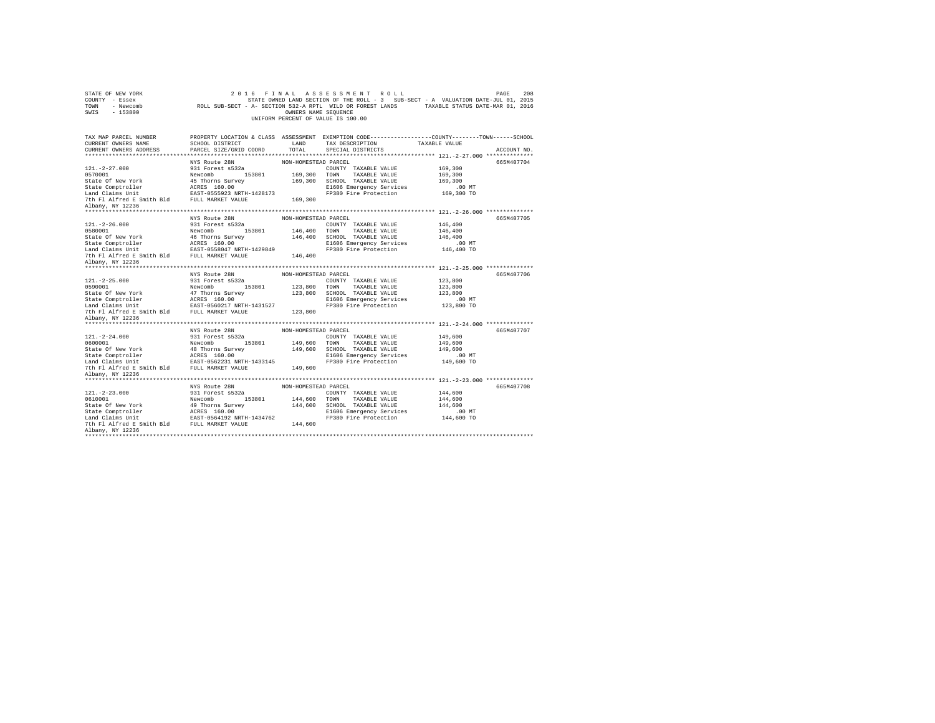| STATE OF NEW YORK<br>COUNTY - Essex<br>TOWN<br>- Newcomb<br>$-153800$<br>SWIS |                                           | OWNERS NAME SEQUENCE | 2016 FINAL ASSESSMENT ROLL<br>STATE OWNED LAND SECTION OF THE ROLL - 3 SUB-SECT - A VALUATION DATE-JUL 01, 2015<br>ROLL SUB-SECT - A- SECTION 532-A RPTL WILD OR FOREST LANDS TAXABLE STATUS DATE-MAR 01, 2016<br>UNIFORM PERCENT OF VALUE IS 100.00 |                        | 208<br>PAGE |
|-------------------------------------------------------------------------------|-------------------------------------------|----------------------|------------------------------------------------------------------------------------------------------------------------------------------------------------------------------------------------------------------------------------------------------|------------------------|-------------|
| TAX MAP PARCEL NUMBER                                                         |                                           |                      | PROPERTY LOCATION & CLASS ASSESSMENT EXEMPTION CODE----------------COUNTY-------TOWN-----SCHOOL                                                                                                                                                      |                        |             |
| CURRENT OWNERS NAME                                                           | SCHOOL DISTRICT                           | LAND                 | TAX DESCRIPTION                                                                                                                                                                                                                                      | TAXABLE VALUE          |             |
| CURRENT OWNERS ADDRESS                                                        | PARCEL SIZE/GRID COORD                    | TOTAL.               | SPECIAL DISTRICTS                                                                                                                                                                                                                                    |                        | ACCOUNT NO. |
|                                                                               |                                           |                      |                                                                                                                                                                                                                                                      |                        |             |
| $121. -2 - 27.000$                                                            | NYS Route 28N                             | NON-HOMESTEAD PARCEL |                                                                                                                                                                                                                                                      | 169,300                | 665M407704  |
| 0570001                                                                       | 931 Forest s532a<br>Newcomb 153801        |                      | COUNTY TAXABLE VALUE<br>169,300 TOWN TAXABLE VALUE                                                                                                                                                                                                   | 169,300                |             |
| State Of New York                                                             | 45 Thorns Survey                          |                      | 169,300 SCHOOL TAXABLE VALUE                                                                                                                                                                                                                         | 169,300                |             |
| State Comptroller                                                             | ACRES 160.00                              |                      | E1606 Emergency Services                                                                                                                                                                                                                             | $.00$ MT               |             |
| Land Claims Unit                                                              | EAST-0555923 NRTH-1428173                 |                      | FP380 Fire Protection                                                                                                                                                                                                                                | 169,300 TO             |             |
| 7th F1 Alfred E Smith Bld FULL MARKET VALUE                                   |                                           | 169,300              |                                                                                                                                                                                                                                                      |                        |             |
| Albany, NY 12236                                                              |                                           |                      |                                                                                                                                                                                                                                                      |                        |             |
|                                                                               |                                           |                      |                                                                                                                                                                                                                                                      |                        |             |
|                                                                               | NYS Route 28N                             | NON-HOMESTEAD PARCEL |                                                                                                                                                                                                                                                      |                        | 665M407705  |
| $121. - 2 - 26.000$                                                           | 931 Forest s532a                          |                      | COUNTY TAXABLE VALUE                                                                                                                                                                                                                                 | 146,400                |             |
| 0580001                                                                       | 153801<br>Newcomb                         | 146,400 TOWN         | TAXABLE VALUE                                                                                                                                                                                                                                        | 146,400                |             |
| State Of New York                                                             | 46 Thorns Survey                          |                      | 146,400 SCHOOL TAXABLE VALUE                                                                                                                                                                                                                         | 146,400                |             |
| State Comptroller<br>Land Claims Unit                                         | ACRES 160.00<br>EAST-0558047 NRTH-1429849 |                      | E1606 Emergency Services<br>FP380 Fire Protection                                                                                                                                                                                                    | $.00$ MT<br>146,400 TO |             |
| 7th F1 Alfred E Smith Bld FULL MARKET VALUE                                   |                                           | 146,400              |                                                                                                                                                                                                                                                      |                        |             |
| Albany, NY 12236                                                              |                                           |                      |                                                                                                                                                                                                                                                      |                        |             |
|                                                                               |                                           |                      |                                                                                                                                                                                                                                                      |                        |             |
|                                                                               | NYS Route 28N                             | NON-HOMESTEAD PARCEL |                                                                                                                                                                                                                                                      |                        | 665M407706  |
| $121. -2 - 25.000$                                                            | 931 Forest s532a                          |                      | COUNTY TAXABLE VALUE                                                                                                                                                                                                                                 | 123,800                |             |
| 0590001                                                                       | 153801<br>Newcomb                         | 123,800 TOWN         | TAXABLE VALUE                                                                                                                                                                                                                                        | 123,800                |             |
| State Of New York                                                             | 47 Thorns Survey                          |                      | 123,800 SCHOOL TAXABLE VALUE                                                                                                                                                                                                                         | 123,800                |             |
| State Comptroller<br>Land Claims Unit                                         | ACRES 160.00                              |                      | E1606 Emergency Services                                                                                                                                                                                                                             | $.00$ MT               |             |
|                                                                               | EAST-0560217 NRTH-1431527                 |                      | FP380 Fire Protection                                                                                                                                                                                                                                | 123,800 TO             |             |
| 7th Fl Alfred E Smith Bld                                                     | FULL MARKET VALUE                         | 123,800              |                                                                                                                                                                                                                                                      |                        |             |
| Albany, NY 12236<br>********************                                      |                                           |                      |                                                                                                                                                                                                                                                      |                        |             |
|                                                                               | NYS Route 28N                             | NON-HOMESTEAD PARCEL |                                                                                                                                                                                                                                                      |                        | 665M407707  |
| $121. - 2 - 24.000$                                                           | 931 Forest s532a                          |                      | COUNTY TAXABLE VALUE                                                                                                                                                                                                                                 | 149,600                |             |
| 0600001                                                                       | Newcomb<br>153801                         |                      | 149,600 TOWN TAXABLE VALUE                                                                                                                                                                                                                           | 149,600                |             |
| State Of New York                                                             | 48 Thorns Survey                          |                      | 149,600 SCHOOL TAXABLE VALUE                                                                                                                                                                                                                         | 149,600                |             |
| State Comptroller                                                             | ACRES 160.00                              |                      | E1606 Emergency Services                                                                                                                                                                                                                             | $.00$ MT               |             |
| Land Claims Unit EAST-0562231 NRTH-1433145                                    |                                           |                      | FP380 Fire Protection                                                                                                                                                                                                                                | 149,600 TO             |             |
| 7th Fl Alfred E Smith Bld FULL MARKET VALUE                                   |                                           | 149,600              |                                                                                                                                                                                                                                                      |                        |             |
| Albany, NY 12236                                                              |                                           |                      |                                                                                                                                                                                                                                                      |                        |             |
|                                                                               |                                           |                      |                                                                                                                                                                                                                                                      |                        |             |
| $121. -2 - 23.000$                                                            | NYS Route 28N<br>931 Forest s532a         | NON-HOMESTEAD PARCEL | COUNTY TAXABLE VALUE                                                                                                                                                                                                                                 | 144,600                | 665M407708  |
| 0610001                                                                       | 153801<br>Newcomb                         | 144,600 TOWN         | TAXABLE VALUE                                                                                                                                                                                                                                        | 144,600                |             |
| State Of New York                                                             | 49 Thorns Survey                          |                      | 144,600 SCHOOL TAXABLE VALUE                                                                                                                                                                                                                         | 144,600                |             |
| State Comptroller                                                             | ACRES 160.00                              |                      | E1606 Emergency Services                                                                                                                                                                                                                             | $.00$ MT               |             |
| Land Claims Unit                                                              | EAST-0564192 NRTH-1434762                 |                      | FP380 Fire Protection                                                                                                                                                                                                                                | 144,600 TO             |             |
| 7th Fl Alfred E Smith Bld                                                     | FULL MARKET VALUE                         | 144,600              |                                                                                                                                                                                                                                                      |                        |             |
| Albany, NY 12236                                                              |                                           |                      |                                                                                                                                                                                                                                                      |                        |             |
| *************                                                                 |                                           |                      |                                                                                                                                                                                                                                                      |                        |             |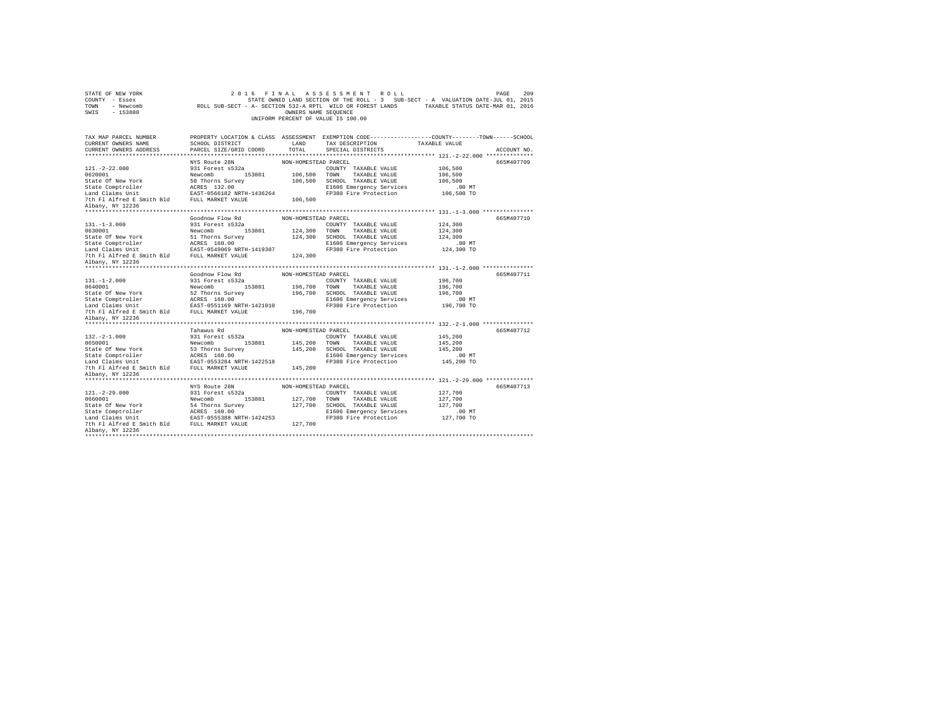| STATE OF NEW YORK<br>COUNTY - Essex<br>TOWN<br>- Newcomb<br>$-153800$<br>SWIS |                                    | OWNERS NAME SEQUENCE | 2016 FINAL ASSESSMENT ROLL<br>STATE OWNED LAND SECTION OF THE ROLL - 3 SUB-SECT - A VALUATION DATE-JUL 01, 2015<br>ROLL SUB-SECT - A- SECTION 532-A RPTL WILD OR FOREST LANDS TAXABLE STATUS DATE-MAR 01, 2016<br>UNIFORM PERCENT OF VALUE IS 100.00 |                     | 209<br>PAGE |
|-------------------------------------------------------------------------------|------------------------------------|----------------------|------------------------------------------------------------------------------------------------------------------------------------------------------------------------------------------------------------------------------------------------------|---------------------|-------------|
| TAX MAP PARCEL NUMBER                                                         |                                    |                      | PROPERTY LOCATION & CLASS ASSESSMENT EXEMPTION CODE----------------COUNTY-------TOWN-----SCHOOL                                                                                                                                                      |                     |             |
| CURRENT OWNERS NAME                                                           | SCHOOL DISTRICT                    | LAND                 | TAX DESCRIPTION                                                                                                                                                                                                                                      | TAXABLE VALUE       |             |
| CURRENT OWNERS ADDRESS                                                        | PARCEL SIZE/GRID COORD             | TOTAL.               | SPECIAL DISTRICTS                                                                                                                                                                                                                                    |                     | ACCOUNT NO. |
|                                                                               | **************************         |                      |                                                                                                                                                                                                                                                      |                     |             |
|                                                                               | NYS Route 28N                      | NON-HOMESTEAD PARCEL |                                                                                                                                                                                                                                                      |                     | 665M407709  |
| $121. -2 - 22.000$                                                            | 931 Forest s532a                   |                      | COUNTY TAXABLE VALUE                                                                                                                                                                                                                                 | 106,500             |             |
| 0620001<br>State Of New York                                                  | Newcomb 153801<br>50 Thorns Survey | 106,500 TOWN         | TAXABLE VALUE<br>106,500 SCHOOL TAXABLE VALUE                                                                                                                                                                                                        | 106,500<br>106,500  |             |
| State Comptroller                                                             | ACRES 132.00                       |                      | E1606 Emergency Services                                                                                                                                                                                                                             | $.00$ MT            |             |
| Land Claims Unit                                                              | EAST-0566182 NRTH-1436264          |                      | FP380 Fire Protection                                                                                                                                                                                                                                | 106,500 TO          |             |
| 7th Fl Alfred E Smith Bld FULL MARKET VALUE                                   |                                    | 106,500              |                                                                                                                                                                                                                                                      |                     |             |
| Albany, NY 12236                                                              |                                    |                      |                                                                                                                                                                                                                                                      |                     |             |
|                                                                               |                                    |                      |                                                                                                                                                                                                                                                      |                     |             |
|                                                                               | Goodnow Flow Rd                    | NON-HOMESTEAD PARCEL |                                                                                                                                                                                                                                                      |                     | 665M407710  |
| $131. -1 - 3.000$                                                             | 931 Forest s532a                   |                      | COUNTY TAXABLE VALUE                                                                                                                                                                                                                                 | 124,300             |             |
| 0630001                                                                       | 153801<br>Newcomb                  | 124,300 TOWN         | TAXABLE VALUE                                                                                                                                                                                                                                        | 124,300             |             |
| State Of New York                                                             | 51 Thorns Survey                   |                      | 124,300 SCHOOL TAXABLE VALUE                                                                                                                                                                                                                         | 124,300             |             |
| State Comptroller<br>Land Claims Unit                                         | ACRES 160.00                       |                      | E1606 Emergency Services                                                                                                                                                                                                                             | $.00$ MT            |             |
| 7th Fl Alfred E Smith Bld FULL MARKET VALUE                                   | EAST-0549069 NRTH-1419307          | 124,300              | FP380 Fire Protection                                                                                                                                                                                                                                | 124,300 TO          |             |
| Albany, NY 12236                                                              |                                    |                      |                                                                                                                                                                                                                                                      |                     |             |
|                                                                               |                                    |                      |                                                                                                                                                                                                                                                      |                     |             |
|                                                                               | Goodnow Flow Rd                    | NON-HOMESTEAD PARCEL |                                                                                                                                                                                                                                                      |                     | 665M407711  |
| $131. - 1 - 2.000$                                                            | 931 Forest s532a                   |                      | COUNTY TAXABLE VALUE                                                                                                                                                                                                                                 | 196,700             |             |
| 0640001                                                                       | 153801<br>Newcomb                  | 196,700 TOWN         | TAXABLE VALUE                                                                                                                                                                                                                                        | 196,700             |             |
| State Of New York                                                             | 52 Thorns Survey                   |                      | 196.700 SCHOOL TAXABLE VALUE                                                                                                                                                                                                                         | 196,700             |             |
| State Comptroller                                                             | ACRES 160.00                       |                      | E1606 Emergency Services                                                                                                                                                                                                                             | $.00$ MT            |             |
| Land Claims Unit                                                              | EAST-0551169 NRTH-1421010          |                      | FP380 Fire Protection                                                                                                                                                                                                                                | 196,700 TO          |             |
| 7th Fl Alfred E Smith Bld                                                     | FULL MARKET VALUE                  | 196,700              |                                                                                                                                                                                                                                                      |                     |             |
| Albany, NY 12236<br>******************                                        |                                    |                      |                                                                                                                                                                                                                                                      |                     |             |
|                                                                               | Tahawus Rd                         | NON-HOMESTEAD PARCEL |                                                                                                                                                                                                                                                      |                     | 665M407712  |
| $132. -2 - 1.000$                                                             | 931 Forest s532a                   |                      | COUNTY TAXABLE VALUE                                                                                                                                                                                                                                 | 145,200             |             |
| 0650001                                                                       | Newcomb 153801                     |                      | 145,200 TOWN TAXABLE VALUE                                                                                                                                                                                                                           | 145,200             |             |
| State Of New York                                                             | 53 Thorns Survey                   |                      | 145,200 SCHOOL TAXABLE VALUE                                                                                                                                                                                                                         | 145,200             |             |
| State Comptroller                                                             | ACRES 160.00                       |                      | E1606 Emergency Services                                                                                                                                                                                                                             | $.00$ MT            |             |
| Land Claims Unit                                                              | EAST-0553284 NRTH-1422518          |                      | FP380 Fire Protection                                                                                                                                                                                                                                | 145,200 TO          |             |
| 7th Fl Alfred E Smith Bld                                                     | FULL MARKET VALUE                  | 145,200              |                                                                                                                                                                                                                                                      |                     |             |
| Albany, NY 12236                                                              |                                    |                      |                                                                                                                                                                                                                                                      |                     |             |
|                                                                               |                                    |                      |                                                                                                                                                                                                                                                      |                     |             |
|                                                                               | NYS Route 28N                      | NON-HOMESTEAD PARCEL |                                                                                                                                                                                                                                                      |                     | 665M407713  |
| $121. -2 - 29.000$                                                            | 931 Forest s532a                   |                      | COUNTY TAXABLE VALUE                                                                                                                                                                                                                                 | 127,700             |             |
| 0660001                                                                       | 153801<br>Newcomb                  | 127,700 TOWN         | TAXABLE VALUE                                                                                                                                                                                                                                        | 127,700             |             |
| State Of New York<br>State Comptroller                                        | 54 Thorns Survey<br>ACRES 160.00   |                      | 127,700 SCHOOL TAXABLE VALUE<br>E1606 Emergency Services                                                                                                                                                                                             | 127,700<br>$.00$ MT |             |
| Land Claims Unit                                                              | EAST-0555388 NRTH-1424253          |                      | FP380 Fire Protection                                                                                                                                                                                                                                | 127,700 TO          |             |
| 7th Fl Alfred E Smith Bld                                                     | FULL MARKET VALUE                  | 127,700              |                                                                                                                                                                                                                                                      |                     |             |
| Albany, NY 12236                                                              |                                    |                      |                                                                                                                                                                                                                                                      |                     |             |
| ************                                                                  |                                    |                      |                                                                                                                                                                                                                                                      |                     |             |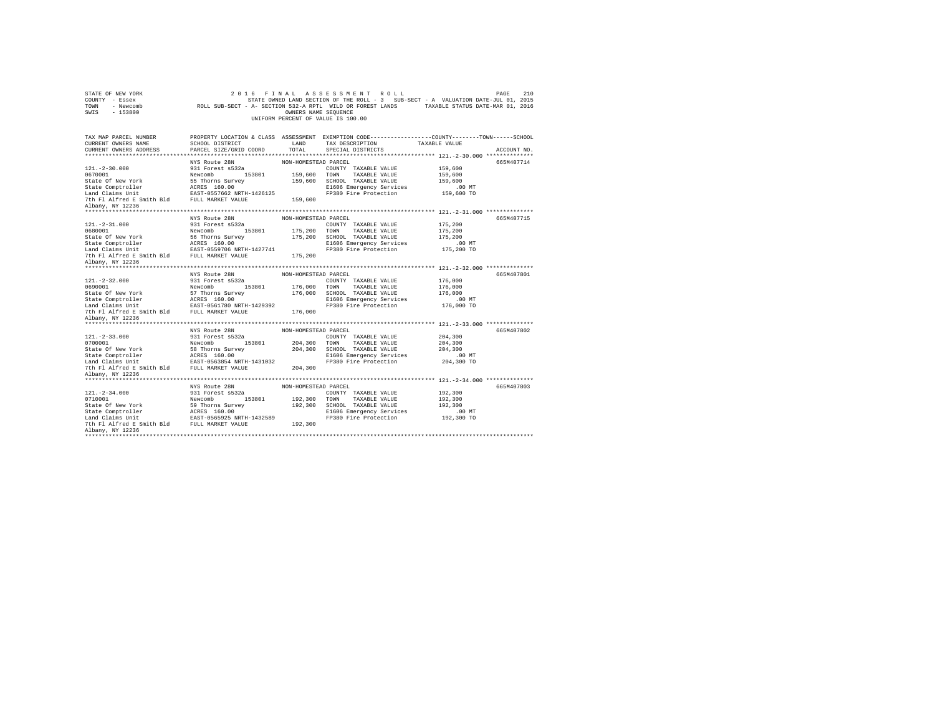| STATE OF NEW YORK<br>COUNTY - Essex<br>TOWN<br>- Newcomb<br>$-153800$<br>SWIS |                                    | OWNERS NAME SEQUENCE | 2016 FINAL ASSESSMENT ROLL<br>STATE OWNED LAND SECTION OF THE ROLL - 3 SUB-SECT - A VALUATION DATE-JUL 01, 2015<br>ROLL SUB-SECT - A- SECTION 532-A RPTL WILD OR FOREST LANDS TAXABLE STATUS DATE-MAR 01, 2016<br>UNIFORM PERCENT OF VALUE IS 100.00 |                      | 210<br>PAGE |
|-------------------------------------------------------------------------------|------------------------------------|----------------------|------------------------------------------------------------------------------------------------------------------------------------------------------------------------------------------------------------------------------------------------------|----------------------|-------------|
| TAX MAP PARCEL NUMBER                                                         |                                    |                      | PROPERTY LOCATION & CLASS ASSESSMENT EXEMPTION CODE---------------COUNTY-------TOWN------SCHOOL                                                                                                                                                      |                      |             |
| CURRENT OWNERS NAME                                                           | SCHOOL DISTRICT                    | LAND                 | TAX DESCRIPTION                                                                                                                                                                                                                                      | TAXABLE VALUE        |             |
| CURRENT OWNERS ADDRESS                                                        | PARCEL SIZE/GRID COORD             | TOTAL.               | SPECIAL DISTRICTS                                                                                                                                                                                                                                    |                      | ACCOUNT NO. |
|                                                                               |                                    |                      |                                                                                                                                                                                                                                                      |                      |             |
|                                                                               | NYS Route 28N                      | NON-HOMESTEAD PARCEL |                                                                                                                                                                                                                                                      |                      | 665M407714  |
| $121. - 2 - 30.000$<br>0670001                                                | 931 Forest s532a<br>Newcomb 153801 |                      | COUNTY TAXABLE VALUE<br>159,600 TOWN TAXABLE VALUE                                                                                                                                                                                                   | 159,600              |             |
| State Of New York                                                             | 55 Thorns Survey                   |                      | 159,600 SCHOOL TAXABLE VALUE                                                                                                                                                                                                                         | 159,600<br>159,600   |             |
| State Comptroller                                                             | ACRES 160.00                       |                      | E1606 Emergency Services                                                                                                                                                                                                                             | $.00$ MT             |             |
| Land Claims Unit                                                              | EAST-0557662 NRTH-1426125          |                      | FP380 Fire Protection                                                                                                                                                                                                                                | 159,600 TO           |             |
| 7th F1 Alfred E Smith Bld FULL MARKET VALUE                                   |                                    | 159,600              |                                                                                                                                                                                                                                                      |                      |             |
| Albany, NY 12236                                                              |                                    |                      |                                                                                                                                                                                                                                                      |                      |             |
|                                                                               |                                    |                      |                                                                                                                                                                                                                                                      |                      |             |
|                                                                               | NYS Route 28N                      | NON-HOMESTEAD PARCEL |                                                                                                                                                                                                                                                      |                      | 665M407715  |
| $121. - 2 - 31.000$                                                           | 931 Forest s532a                   |                      | COUNTY TAXABLE VALUE                                                                                                                                                                                                                                 | 175,200              |             |
| 0680001                                                                       | Newcomb 153801                     |                      | 175,200 TOWN TAXABLE VALUE                                                                                                                                                                                                                           | 175,200              |             |
| State Of New York                                                             | 56 Thorns Survey                   |                      | 175,200 SCHOOL TAXABLE VALUE                                                                                                                                                                                                                         | 175,200              |             |
| State Comptroller<br>Land Claims Unit                                         | ACRES 160.00                       |                      | E1606 Emergency Services                                                                                                                                                                                                                             | $.00$ MT             |             |
|                                                                               | EAST-0559706 NRTH-1427741          | 175,200              | FP380 Fire Protection                                                                                                                                                                                                                                | 175,200 TO           |             |
| 7th Fl Alfred E Smith Bld FULL MARKET VALUE<br>Albany, NY 12236               |                                    |                      |                                                                                                                                                                                                                                                      |                      |             |
|                                                                               |                                    |                      |                                                                                                                                                                                                                                                      |                      |             |
|                                                                               | NYS Route 28N                      | NON-HOMESTEAD PARCEL |                                                                                                                                                                                                                                                      |                      | 665M407801  |
|                                                                               |                                    |                      |                                                                                                                                                                                                                                                      |                      |             |
| $121. -2 - 32.000$                                                            | 931 Forest s532a                   |                      | COUNTY TAXABLE VALUE                                                                                                                                                                                                                                 | 176,000              |             |
| 0690001                                                                       | 153801<br>Newcomb                  |                      | 176,000 TOWN TAXABLE VALUE                                                                                                                                                                                                                           | 176,000              |             |
| State Of New York                                                             | 57 Thorns Survey                   |                      | 176,000 SCHOOL TAXABLE VALUE                                                                                                                                                                                                                         | 176,000              |             |
| State Comptroller                                                             | ACRES 160.00                       |                      | E1606 Emergency Services                                                                                                                                                                                                                             | $.00$ MT             |             |
| Land Claims Unit EAST-0561780 NRTH-1429392                                    |                                    |                      | FP380 Fire Protection                                                                                                                                                                                                                                | 176,000 TO           |             |
| 7th Fl Alfred E Smith Bld FULL MARKET VALUE                                   |                                    | 176,000              |                                                                                                                                                                                                                                                      |                      |             |
| Albany, NY 12236                                                              |                                    |                      |                                                                                                                                                                                                                                                      |                      |             |
| ********************                                                          |                                    |                      |                                                                                                                                                                                                                                                      |                      |             |
|                                                                               | NYS Route 28N                      | NON-HOMESTEAD PARCEL |                                                                                                                                                                                                                                                      |                      | 665M407802  |
| $121. -2 - 33.000$                                                            | 931 Forest s532a                   |                      | COUNTY TAXABLE VALUE                                                                                                                                                                                                                                 | 204,300              |             |
| 0700001                                                                       | Newcomb 153801                     |                      | 204,300 TOWN TAXABLE VALUE                                                                                                                                                                                                                           | 204,300              |             |
| State Of New York                                                             | 58 Thorns Survey                   |                      | 204,300 SCHOOL TAXABLE VALUE                                                                                                                                                                                                                         | 204,300              |             |
|                                                                               |                                    |                      | E1606 Emergency Services<br>FP380 Fire Protection                                                                                                                                                                                                    | .00 MT<br>204,300 TO |             |
| 7th Fl Alfred E Smith Bld FULL MARKET VALUE                                   |                                    | 204,300              |                                                                                                                                                                                                                                                      |                      |             |
| Albany, NY 12236                                                              |                                    |                      |                                                                                                                                                                                                                                                      |                      |             |
|                                                                               |                                    |                      |                                                                                                                                                                                                                                                      |                      |             |
|                                                                               | NYS Route 28N                      | NON-HOMESTEAD PARCEL |                                                                                                                                                                                                                                                      |                      | 665M407803  |
| $121. - 2 - 34.000$                                                           | 931 Forest s532a                   |                      | COUNTY TAXABLE VALUE                                                                                                                                                                                                                                 | 192,300              |             |
| 0710001                                                                       | 153801<br>Newcomb                  |                      | 192,300 TOWN TAXABLE VALUE                                                                                                                                                                                                                           | 192,300              |             |
| State Of New York                                                             | 59 Thorns Survey                   |                      | 192,300 SCHOOL TAXABLE VALUE                                                                                                                                                                                                                         | 192,300              |             |
| State Comptroller                                                             | ACRES 160.00                       |                      | E1606 Emergency Services                                                                                                                                                                                                                             | $.00$ MT             |             |
| Land Claims Unit                                                              | EAST-0565925 NRTH-1432589          |                      | FP380 Fire Protection                                                                                                                                                                                                                                | 192,300 TO           |             |
| 7th Fl Alfred E Smith Bld FULL MARKET VALUE<br>Albany, NY 12236               |                                    | 192,300              |                                                                                                                                                                                                                                                      |                      |             |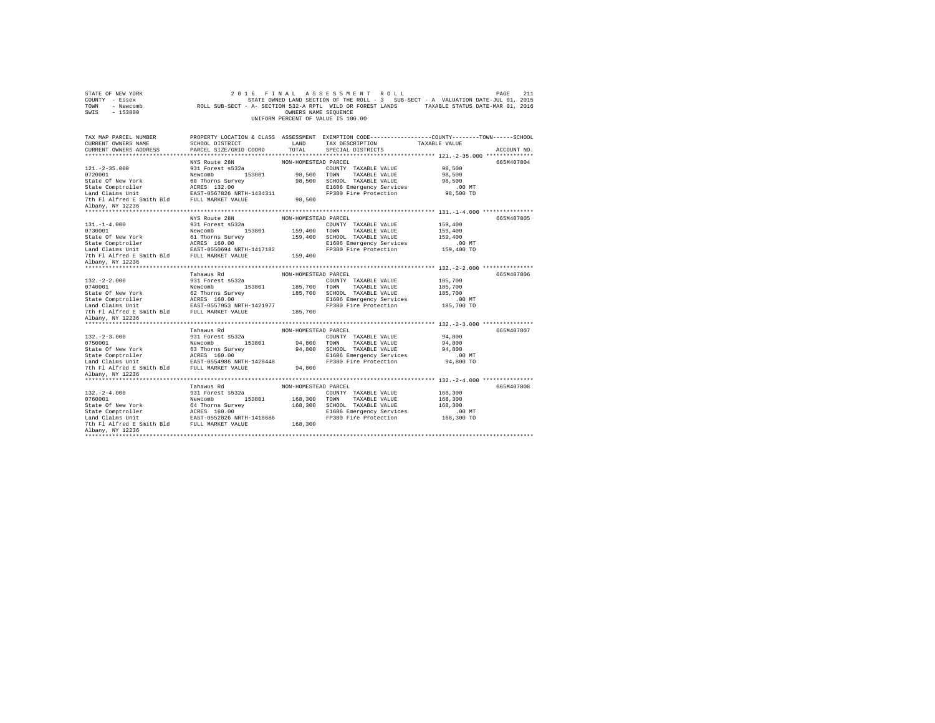| 211<br>STATE OF NEW YORK<br>2016 FINAL ASSESSMENT ROLL<br>PAGE<br>COUNTY - Essex<br>STATE OWNED LAND SECTION OF THE ROLL - 3 SUB-SECT - A VALUATION DATE-JUL 01, 2015<br>ROLL SUB-SECT - A- SECTION 532-A RPTL WILD OR FOREST LANDS TAXABLE STATUS DATE-MAR 01, 2016<br>TOWN<br>- Newcomb<br>$-153800$<br>OWNERS NAME SEQUENCE<br>SWIS<br>UNIFORM PERCENT OF VALUE IS 100.00 |                                    |                      |                                                                                                 |               |             |  |
|------------------------------------------------------------------------------------------------------------------------------------------------------------------------------------------------------------------------------------------------------------------------------------------------------------------------------------------------------------------------------|------------------------------------|----------------------|-------------------------------------------------------------------------------------------------|---------------|-------------|--|
| TAX MAP PARCEL NUMBER                                                                                                                                                                                                                                                                                                                                                        |                                    |                      | PROPERTY LOCATION & CLASS ASSESSMENT EXEMPTION CODE----------------COUNTY-------TOWN-----SCHOOL |               |             |  |
| CURRENT OWNERS NAME                                                                                                                                                                                                                                                                                                                                                          | SCHOOL DISTRICT                    | LAND                 | TAX DESCRIPTION                                                                                 | TAXABLE VALUE |             |  |
| CURRENT OWNERS ADDRESS                                                                                                                                                                                                                                                                                                                                                       | PARCEL SIZE/GRID COORD             | TOTAL.               | SPECIAL DISTRICTS                                                                               |               | ACCOUNT NO. |  |
|                                                                                                                                                                                                                                                                                                                                                                              |                                    |                      |                                                                                                 |               |             |  |
| $121. -2 - 35.000$                                                                                                                                                                                                                                                                                                                                                           | NYS Route 28N<br>931 Forest s532a  | NON-HOMESTEAD PARCEL | COUNTY TAXABLE VALUE                                                                            | 98,500        | 665M407804  |  |
| 0720001                                                                                                                                                                                                                                                                                                                                                                      | Newcomb 153801                     |                      | 98,500 TOWN TAXABLE VALUE                                                                       | 98,500        |             |  |
| State Of New York                                                                                                                                                                                                                                                                                                                                                            | 60 Thorns Survey                   |                      | 98.500 SCHOOL TAXABLE VALUE                                                                     | 98,500        |             |  |
| State Comptroller                                                                                                                                                                                                                                                                                                                                                            | ACRES 132.00                       |                      | E1606 Emergency Services                                                                        | .00 MT        |             |  |
| Land Claims Unit                                                                                                                                                                                                                                                                                                                                                             | EAST-0567826 NRTH-1434311          |                      | FP380 Fire Protection                                                                           | 98,500 TO     |             |  |
| 7th Fl Alfred E Smith Bld FULL MARKET VALUE                                                                                                                                                                                                                                                                                                                                  |                                    | 98,500               |                                                                                                 |               |             |  |
| Albany, NY 12236                                                                                                                                                                                                                                                                                                                                                             |                                    |                      |                                                                                                 |               |             |  |
|                                                                                                                                                                                                                                                                                                                                                                              |                                    |                      |                                                                                                 |               |             |  |
|                                                                                                                                                                                                                                                                                                                                                                              | NYS Route 28N                      | NON-HOMESTEAD PARCEL |                                                                                                 |               | 665M407805  |  |
| $131. -1 - 4.000$                                                                                                                                                                                                                                                                                                                                                            | 931 Forest s532a                   |                      | COUNTY TAXABLE VALUE                                                                            | 159,400       |             |  |
| 0730001                                                                                                                                                                                                                                                                                                                                                                      | Newcomb 153801                     | 159,400 TOWN         | TAXABLE VALUE                                                                                   | 159,400       |             |  |
| State Of New York                                                                                                                                                                                                                                                                                                                                                            | 61 Thorns Survey                   |                      | 159,400 SCHOOL TAXABLE VALUE                                                                    | 159,400       |             |  |
| state Comptroller<br>Land Claims Unit                                                                                                                                                                                                                                                                                                                                        | ACRES 160.00                       |                      | E1606 Emergency Services                                                                        | $.00$ MT      |             |  |
|                                                                                                                                                                                                                                                                                                                                                                              | EAST-0550694 NRTH-1417182          |                      | FP380 Fire Protection                                                                           | 159,400 TO    |             |  |
| 7th Fl Alfred E Smith Bld FULL MARKET VALUE<br>Albany, NY 12236                                                                                                                                                                                                                                                                                                              |                                    | 159,400              |                                                                                                 |               |             |  |
|                                                                                                                                                                                                                                                                                                                                                                              |                                    |                      |                                                                                                 |               |             |  |
|                                                                                                                                                                                                                                                                                                                                                                              | Tahawus Rd                         | NON-HOMESTEAD PARCEL |                                                                                                 |               | 665M407806  |  |
| $132. -2 - 2.000$                                                                                                                                                                                                                                                                                                                                                            | 931 Forest s532a                   |                      | COUNTY TAXABLE VALUE                                                                            | 185,700       |             |  |
| 0740001                                                                                                                                                                                                                                                                                                                                                                      | Newcomb 153801                     | 185,700 TOWN         | TAXABLE VALUE                                                                                   | 185,700       |             |  |
| State Of New York                                                                                                                                                                                                                                                                                                                                                            | 62 Thorns Survey                   |                      | 185,700 SCHOOL TAXABLE VALUE                                                                    | 185,700       |             |  |
| State Comptroller                                                                                                                                                                                                                                                                                                                                                            | ACRES 160.00                       |                      | E1606 Emergency Services                                                                        | $.00$ MT      |             |  |
| Land Claims Unit                                                                                                                                                                                                                                                                                                                                                             | EAST-0557053 NRTH-1421977          |                      | FP380 Fire Protection                                                                           | 185,700 TO    |             |  |
| 7th Fl Alfred E Smith Bld FULL MARKET VALUE                                                                                                                                                                                                                                                                                                                                  |                                    | 185,700              |                                                                                                 |               |             |  |
| Albany, NY 12236                                                                                                                                                                                                                                                                                                                                                             |                                    |                      |                                                                                                 |               |             |  |
| *******************                                                                                                                                                                                                                                                                                                                                                          |                                    |                      |                                                                                                 |               |             |  |
|                                                                                                                                                                                                                                                                                                                                                                              | Tahawus Rd                         | NON-HOMESTEAD PARCEL |                                                                                                 |               | 665M407807  |  |
| $132. -2 - 3.000$<br>0750001                                                                                                                                                                                                                                                                                                                                                 | 931 Forest s532a                   |                      | COUNTY TAXABLE VALUE                                                                            | 94,800        |             |  |
| State Of New York                                                                                                                                                                                                                                                                                                                                                            | Newcomb 153801<br>63 Thorns Survey | 94.800 TOWN          | TAXABLE VALUE                                                                                   | 94,800        |             |  |
|                                                                                                                                                                                                                                                                                                                                                                              |                                    |                      |                                                                                                 |               |             |  |
|                                                                                                                                                                                                                                                                                                                                                                              |                                    |                      | 94.800 SCHOOL TAXABLE VALUE                                                                     | 94,800        |             |  |
| State Comptroller                                                                                                                                                                                                                                                                                                                                                            | ACRES 160.00                       |                      | E1606 Emergency Services                                                                        | .00 MT        |             |  |
| Land Claims Unit                                                                                                                                                                                                                                                                                                                                                             | EAST-0554986 NRTH-1420448          |                      | FP380 Fire Protection                                                                           | 94,800 TO     |             |  |
| 7th Fl Alfred E Smith Bld FULL MARKET VALUE<br>Albany, NY 12236                                                                                                                                                                                                                                                                                                              |                                    | 94,800               |                                                                                                 |               |             |  |
|                                                                                                                                                                                                                                                                                                                                                                              |                                    |                      |                                                                                                 |               |             |  |
|                                                                                                                                                                                                                                                                                                                                                                              | Tahawus Rd                         | NON-HOMESTEAD PARCEL |                                                                                                 |               | 665M407808  |  |
| $132. -2 - 4.000$                                                                                                                                                                                                                                                                                                                                                            | 931 Forest s532a                   |                      | COUNTY TAXABLE VALUE                                                                            | 168,300       |             |  |
| 0760001                                                                                                                                                                                                                                                                                                                                                                      | 153801<br>Newcomb                  | 168,300 TOWN         | TAXABLE VALUE                                                                                   | 168,300       |             |  |
| State Of New York                                                                                                                                                                                                                                                                                                                                                            | 64 Thorns Survey                   |                      | 168,300 SCHOOL TAXABLE VALUE                                                                    | 168,300       |             |  |
| State Comptroller                                                                                                                                                                                                                                                                                                                                                            | ACRES 160.00                       |                      | E1606 Emergency Services                                                                        | .00MT         |             |  |
| Land Claims Unit                                                                                                                                                                                                                                                                                                                                                             | EAST-0552826 NRTH-1418686          |                      | FP380 Fire Protection                                                                           | 168,300 TO    |             |  |
| 7th Fl Alfred E Smith Bld FULL MARKET VALUE<br>Albany, NY 12236                                                                                                                                                                                                                                                                                                              |                                    | 168,300              |                                                                                                 |               |             |  |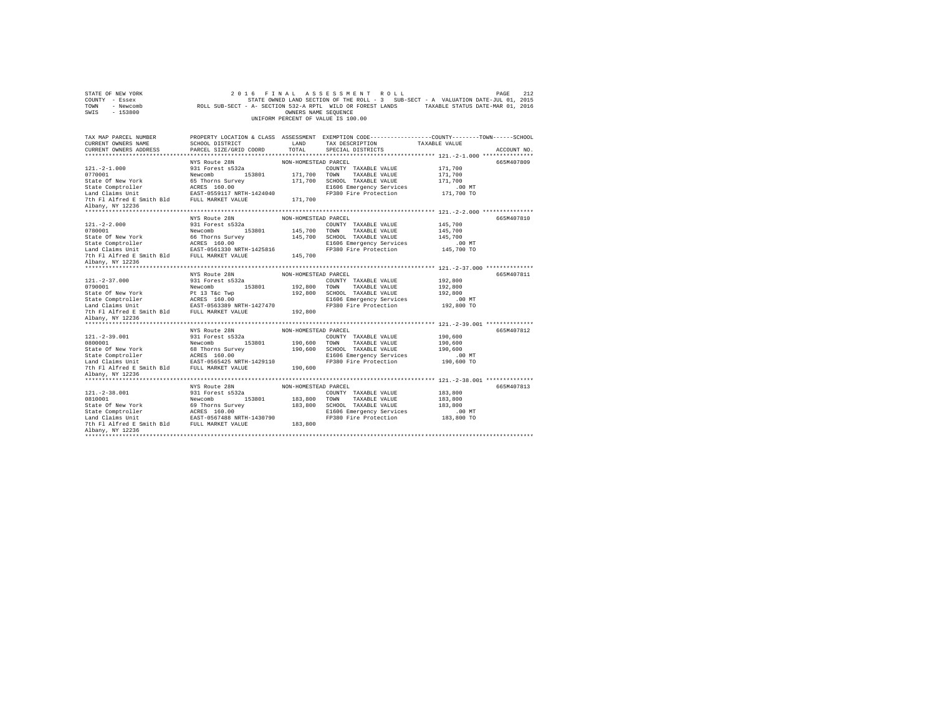| STATE OF NEW YORK<br>COUNTY - Essex<br>TOWN<br>- Newcomb<br>SWIS<br>$-153800$                                                                              |                                           | OWNERS NAME SEQUENCE | 2016 FINAL ASSESSMENT ROLL<br>STATE OWNED LAND SECTION OF THE ROLL - 3 SUB-SECT - A VALUATION DATE-JUL 01, 2015<br>ROLL SUB-SECT - A- SECTION 532-A RPTL WILD OR FOREST LANDS TAXABLE STATUS DATE-MAR 01, 2016<br>UNIFORM PERCENT OF VALUE IS 100.00 |                    | 212<br>PAGE |
|------------------------------------------------------------------------------------------------------------------------------------------------------------|-------------------------------------------|----------------------|------------------------------------------------------------------------------------------------------------------------------------------------------------------------------------------------------------------------------------------------------|--------------------|-------------|
| TAX MAP PARCEL NUMBER                                                                                                                                      |                                           |                      | PROPERTY LOCATION & CLASS ASSESSMENT EXEMPTION CODE---------------COUNTY-------TOWN-----SCHOOL                                                                                                                                                       |                    |             |
| CURRENT OWNERS NAME                                                                                                                                        | SCHOOL DISTRICT                           | LAND                 | TAX DESCRIPTION                                                                                                                                                                                                                                      | TAXABLE VALUE      |             |
| CURRENT OWNERS ADDRESS                                                                                                                                     | PARCEL SIZE/GRID COORD                    | TOTAL                | SPECIAL DISTRICTS                                                                                                                                                                                                                                    |                    | ACCOUNT NO. |
|                                                                                                                                                            | NYS Route 28N                             | NON-HOMESTEAD PARCEL |                                                                                                                                                                                                                                                      |                    | 665M407809  |
| $121. -2 - 1.000$                                                                                                                                          | 931 Forest s532a                          |                      | COUNTY TAXABLE VALUE                                                                                                                                                                                                                                 | 171,700            |             |
| 0770001                                                                                                                                                    | Newcomb 153801                            | 171,700 TOWN         | TAXABLE VALUE                                                                                                                                                                                                                                        | 171,700            |             |
| State Of New York                                                                                                                                          | 65 Thorns Survey                          | 171,700              | SCHOOL TAXABLE VALUE                                                                                                                                                                                                                                 | 171,700            |             |
| State Comptroller<br>Land Claims Unit                                                                                                                      | ACRES 160.00<br>EAST-0559117 NRTH-1424040 |                      | E1606 Emergency Services                                                                                                                                                                                                                             | $.00$ MT           |             |
|                                                                                                                                                            |                                           |                      | FP380 Fire Protection                                                                                                                                                                                                                                | 171,700 TO         |             |
| 7th Fl Alfred E Smith Bld FULL MARKET VALUE                                                                                                                |                                           | 171,700              |                                                                                                                                                                                                                                                      |                    |             |
| Albany, NY 12236                                                                                                                                           |                                           |                      |                                                                                                                                                                                                                                                      |                    |             |
|                                                                                                                                                            | NYS Route 28N                             | NON-HOMESTEAD PARCEL |                                                                                                                                                                                                                                                      |                    | 665M407810  |
| $121. -2 - 2.000$                                                                                                                                          | 931 Forest s532a                          |                      | COUNTY TAXABLE VALUE                                                                                                                                                                                                                                 | 145,700            |             |
| 0780001                                                                                                                                                    | Newcomb 153801                            | 145,700 TOWN         | TAXABLE VALUE                                                                                                                                                                                                                                        | 145,700            |             |
| State Of New York                                                                                                                                          | 66 Thorns Survey                          |                      | 145,700 SCHOOL TAXABLE VALUE                                                                                                                                                                                                                         | 145,700            |             |
| State Comptroller<br>Land Claims Unit                                                                                                                      | ACRES 160.00<br>EAST-0561330 NRTH-1425816 |                      | E1606 Emergency Services                                                                                                                                                                                                                             | $.00$ MT           |             |
|                                                                                                                                                            |                                           |                      | FP380 Fire Protection                                                                                                                                                                                                                                | 145,700 TO         |             |
| 7th Fl Alfred E Smith Bld FULL MARKET VALUE                                                                                                                |                                           | 145,700              |                                                                                                                                                                                                                                                      |                    |             |
| Albany, NY 12236                                                                                                                                           |                                           |                      |                                                                                                                                                                                                                                                      |                    |             |
|                                                                                                                                                            |                                           |                      |                                                                                                                                                                                                                                                      |                    |             |
|                                                                                                                                                            | NYS Route 28N                             | NON-HOMESTEAD PARCEL |                                                                                                                                                                                                                                                      |                    | 665M407811  |
| $121. - 2 - 37.000$<br>0790001                                                                                                                             | 931 Forest s532a<br>Newcomb 153801        | 192.800 TOWN         | COUNTY TAXABLE VALUE<br>TAXABLE VALUE                                                                                                                                                                                                                | 192,800<br>192,800 |             |
| State Of New York                                                                                                                                          | Pt 13 T&c Twp                             |                      | 192,800 SCHOOL TAXABLE VALUE                                                                                                                                                                                                                         | 192,800            |             |
|                                                                                                                                                            |                                           |                      | E1606 Emergency Services                                                                                                                                                                                                                             | $.00$ MT           |             |
| $\begin{tabular}{llllll} \texttt{State Computer} & \texttt{ACRES} & 160.00 \\ \texttt{Land Claus Unit} & \texttt{EAST-0563389 NRTH-1427470} \end{tabular}$ |                                           |                      | FP380 Fire Protection                                                                                                                                                                                                                                | 192,800 TO         |             |
| 7th F1 Alfred E Smith Bld FULL MARKET VALUE                                                                                                                |                                           | 192,800              |                                                                                                                                                                                                                                                      |                    |             |
| Albany, NY 12236                                                                                                                                           |                                           |                      |                                                                                                                                                                                                                                                      |                    |             |
|                                                                                                                                                            |                                           |                      |                                                                                                                                                                                                                                                      |                    |             |
|                                                                                                                                                            | NYS Route 28N                             | NON-HOMESTEAD PARCEL |                                                                                                                                                                                                                                                      |                    | 665M407812  |
| $121. -2 - 39.001$                                                                                                                                         | 931 Forest s532a                          |                      | COUNTY TAXABLE VALUE                                                                                                                                                                                                                                 | 190,600            |             |
| 0800001                                                                                                                                                    | Newcomb<br>153801                         | 190,600 TOWN         | TAXABLE VALUE                                                                                                                                                                                                                                        | 190,600            |             |
| State Of New York                                                                                                                                          | 68 Thorns Survey                          |                      | 190,600 SCHOOL TAXABLE VALUE                                                                                                                                                                                                                         | 190,600            |             |
|                                                                                                                                                            |                                           |                      | E1606 Emergency Services                                                                                                                                                                                                                             | $.00$ MT           |             |
|                                                                                                                                                            |                                           | 190,600              | FP380 Fire Protection                                                                                                                                                                                                                                | 190,600 TO         |             |
| Albany, NY 12236                                                                                                                                           |                                           |                      |                                                                                                                                                                                                                                                      |                    |             |
|                                                                                                                                                            |                                           |                      |                                                                                                                                                                                                                                                      |                    |             |
|                                                                                                                                                            | NYS Route 28N                             | NON-HOMESTEAD PARCEL |                                                                                                                                                                                                                                                      |                    | 665M407813  |
| $121. - 2 - 38.001$                                                                                                                                        | 931 Forest s532a                          |                      | COUNTY TAXABLE VALUE                                                                                                                                                                                                                                 | 183,800            |             |
| 0810001                                                                                                                                                    | 153801<br>Newcomb                         | 183,800 TOWN         | TAXABLE VALUE                                                                                                                                                                                                                                        | 183,800            |             |
|                                                                                                                                                            |                                           |                      |                                                                                                                                                                                                                                                      |                    |             |
| State Of New York                                                                                                                                          | 69 Thorns Survey                          |                      | 183,800 SCHOOL TAXABLE VALUE                                                                                                                                                                                                                         | 183,800            |             |
|                                                                                                                                                            |                                           |                      | E1606 Emergency Services                                                                                                                                                                                                                             | $.00$ MT           |             |
|                                                                                                                                                            |                                           |                      | FP380 Fire Protection                                                                                                                                                                                                                                | 183,800 TO         |             |
| Albany, NY 12236                                                                                                                                           |                                           | 183,800              |                                                                                                                                                                                                                                                      |                    |             |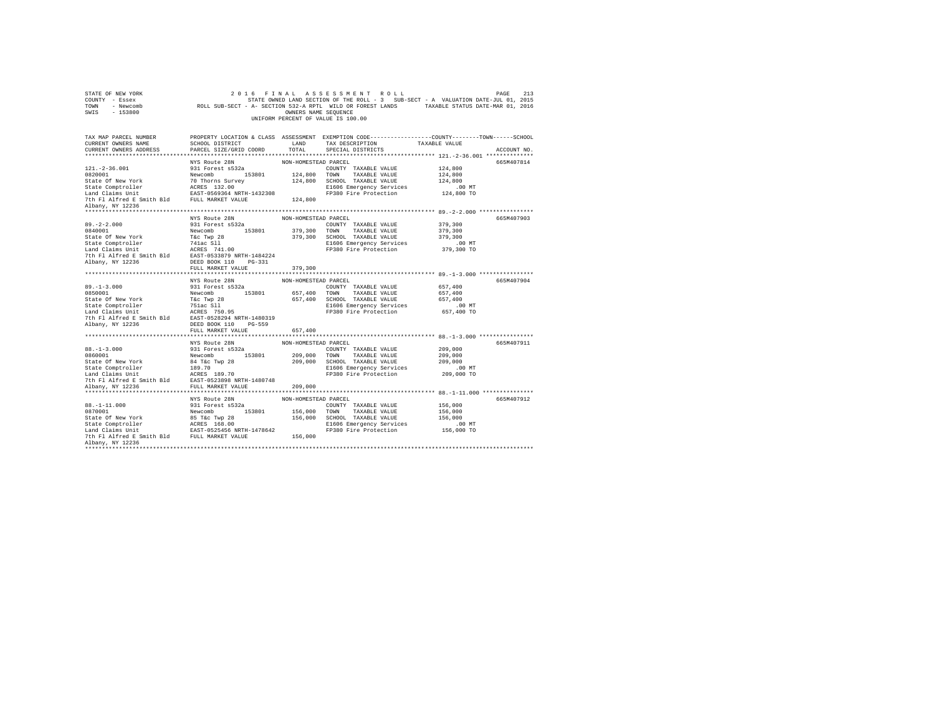| STATE OF NEW YORK<br>COUNTY - Essex<br>TOWN - Newcomb<br>SWIS - 153800 |                                   | OWNERS NAME SEQUENCE | 2016 FINAL ASSESSMENT ROLL<br>213 PAGE 213 PAGE 213 A S S E S S M E N T R O L L<br>STATE OWNED LAND SECTION OF THE ROLL - 3 SUB-SECT - A VALUATION DATE-JUL 01, 2015<br>ROLL SUB-SECT - A- SECTION 532-A RPTL WILD OR FOREST LANDS TAXABLE STATUS DATE-MAR 01, 201<br>UNIFORM PERCENT OF VALUE IS 100.00 |                      | PAGE<br>213 |
|------------------------------------------------------------------------|-----------------------------------|----------------------|----------------------------------------------------------------------------------------------------------------------------------------------------------------------------------------------------------------------------------------------------------------------------------------------------------|----------------------|-------------|
| TAX MAP PARCEL NUMBER<br>CURRENT OWNERS NAME<br>CURRENT OWNERS ADDRESS | PARCEL SIZE/GRID COORD            | TOTAL                | PROPERTY LOCATION & CLASS ASSESSMENT EXEMPTION CODE---------------COUNTY-------TOWN------SCHOOL<br>SCHOOL DISTRICT $\hfill$ LAND TAX DESCRIPTION $\hfill$ TAXABLE VALUE<br>SPECIAL DISTRICTS                                                                                                             |                      | ACCOUNT NO. |
|                                                                        |                                   | NON-HOMESTEAD PARCEL |                                                                                                                                                                                                                                                                                                          |                      | 665M407814  |
|                                                                        | NYS Route 28N<br>931 Forest s532a |                      |                                                                                                                                                                                                                                                                                                          |                      |             |
|                                                                        |                                   |                      |                                                                                                                                                                                                                                                                                                          |                      |             |
|                                                                        |                                   |                      |                                                                                                                                                                                                                                                                                                          |                      |             |
|                                                                        |                                   |                      |                                                                                                                                                                                                                                                                                                          |                      |             |
|                                                                        |                                   |                      |                                                                                                                                                                                                                                                                                                          |                      |             |
| Albany, NY 12236                                                       |                                   |                      |                                                                                                                                                                                                                                                                                                          |                      |             |
|                                                                        |                                   |                      |                                                                                                                                                                                                                                                                                                          |                      |             |
|                                                                        |                                   |                      |                                                                                                                                                                                                                                                                                                          |                      | 665M407903  |
|                                                                        |                                   |                      |                                                                                                                                                                                                                                                                                                          |                      |             |
|                                                                        |                                   |                      |                                                                                                                                                                                                                                                                                                          |                      |             |
|                                                                        |                                   |                      |                                                                                                                                                                                                                                                                                                          |                      |             |
|                                                                        |                                   |                      |                                                                                                                                                                                                                                                                                                          |                      |             |
|                                                                        |                                   |                      |                                                                                                                                                                                                                                                                                                          |                      |             |
|                                                                        |                                   |                      |                                                                                                                                                                                                                                                                                                          |                      |             |
|                                                                        | FULL MARKET VALUE 379,300         |                      |                                                                                                                                                                                                                                                                                                          |                      |             |
|                                                                        |                                   |                      |                                                                                                                                                                                                                                                                                                          |                      |             |
|                                                                        | NYS Route 28N                     | NON-HOMESTEAD PARCEL |                                                                                                                                                                                                                                                                                                          |                      | 665M407904  |
|                                                                        |                                   |                      |                                                                                                                                                                                                                                                                                                          |                      |             |
|                                                                        |                                   |                      |                                                                                                                                                                                                                                                                                                          |                      |             |
|                                                                        |                                   |                      |                                                                                                                                                                                                                                                                                                          |                      |             |
|                                                                        |                                   |                      |                                                                                                                                                                                                                                                                                                          |                      |             |
|                                                                        |                                   |                      |                                                                                                                                                                                                                                                                                                          |                      |             |
|                                                                        |                                   |                      |                                                                                                                                                                                                                                                                                                          |                      |             |
|                                                                        | FULL MARKET VALUE                 | 657,400              |                                                                                                                                                                                                                                                                                                          |                      |             |
|                                                                        |                                   |                      |                                                                                                                                                                                                                                                                                                          |                      |             |
|                                                                        |                                   |                      |                                                                                                                                                                                                                                                                                                          |                      | 665M407911  |
|                                                                        |                                   |                      |                                                                                                                                                                                                                                                                                                          |                      |             |
|                                                                        |                                   |                      |                                                                                                                                                                                                                                                                                                          |                      |             |
|                                                                        |                                   |                      |                                                                                                                                                                                                                                                                                                          |                      |             |
|                                                                        |                                   |                      |                                                                                                                                                                                                                                                                                                          |                      |             |
|                                                                        |                                   |                      |                                                                                                                                                                                                                                                                                                          |                      |             |
|                                                                        |                                   |                      |                                                                                                                                                                                                                                                                                                          |                      |             |
|                                                                        |                                   |                      |                                                                                                                                                                                                                                                                                                          |                      |             |
|                                                                        | NYS Route 28N                     | NON-HOMESTEAD PARCEL |                                                                                                                                                                                                                                                                                                          |                      | 665M407912  |
|                                                                        |                                   |                      | COUNTY TAXABLE VALUE 156,000                                                                                                                                                                                                                                                                             |                      |             |
|                                                                        |                                   |                      |                                                                                                                                                                                                                                                                                                          | 156,000              |             |
|                                                                        |                                   |                      |                                                                                                                                                                                                                                                                                                          | 156,000              |             |
|                                                                        |                                   |                      |                                                                                                                                                                                                                                                                                                          | 00 MT.<br>156,000 TO |             |
|                                                                        |                                   |                      |                                                                                                                                                                                                                                                                                                          |                      |             |
| Albany, NY 12236                                                       |                                   |                      |                                                                                                                                                                                                                                                                                                          |                      |             |
|                                                                        |                                   |                      |                                                                                                                                                                                                                                                                                                          |                      |             |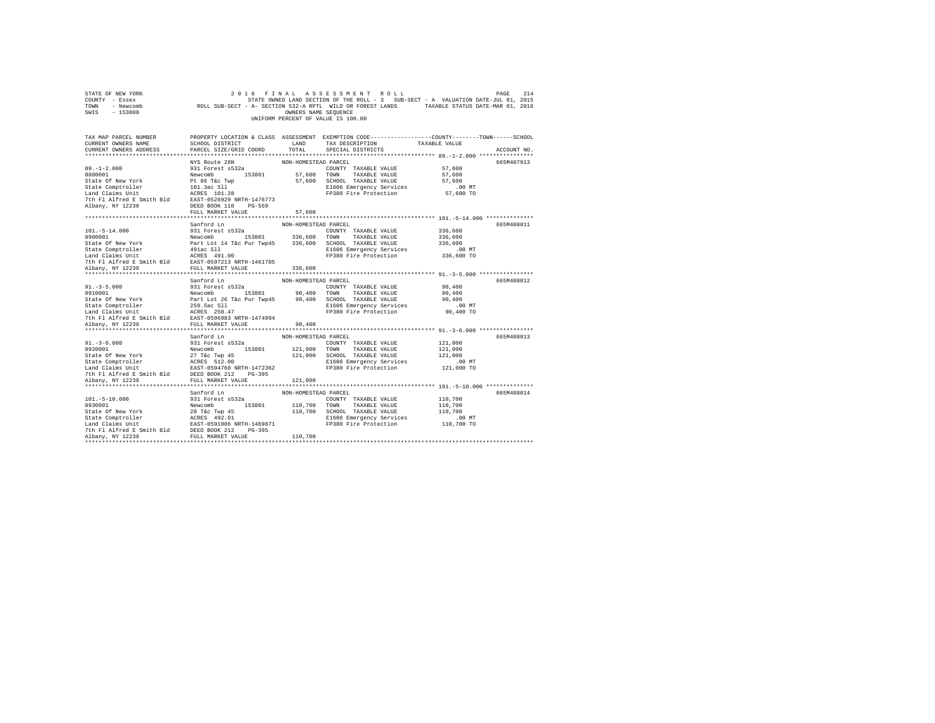| STATE OF NEW YORK<br>COUNTY - Essex<br>TOWN - Newcomb<br>SWIS - 153800                                                                                                                                                                                                                                                                                              |                                                           |                      | 2016 FINAL ASSESSMENT ROLL<br>UNIFORM PERCENT OF VALUE IS 100.00                    | PAGE<br>STATE OWNED LAND SECTION OF THE ROLL - 3 SUB-SECT - A VALUATION CONTROL SUB-SECT - A VALUATION OF THE ROLL - 3 SUB-SECT - A VALUATION OF THE ROLL SUB-SECT - A SECTION 532-A RPTL WILD OR FOREST LANDS TAXABLE STATUS DATE-MAR | 214         |
|---------------------------------------------------------------------------------------------------------------------------------------------------------------------------------------------------------------------------------------------------------------------------------------------------------------------------------------------------------------------|-----------------------------------------------------------|----------------------|-------------------------------------------------------------------------------------|----------------------------------------------------------------------------------------------------------------------------------------------------------------------------------------------------------------------------------------|-------------|
| TAX MAP PARCEL NUMBER PROPERTY LOCATION & CLASS ASSESSMENT EXEMPTION CODE--------------COUNTY-------TOWN-----SCHOOL<br>CURRENT OWNERS NAME<br>CURRENT OWNERS ADDRESS                                                                                                                                                                                                | SCHOOL DISTRICT LAND<br>PARCEL SIZE/GRID COORD            | TOTAL                | TAX DESCRIPTION<br>SPECIAL DISTRICTS                                                | TAXABLE VALUE                                                                                                                                                                                                                          | ACCOUNT NO. |
| $89. - 1 - 2.000$<br>Albany, NY 12236                                                                                                                                                                                                                                                                                                                               | NYS Route 28N<br>931 Forest s532a<br>DEED BOOK 110 PG-559 | NON-HOMESTEAD PARCEL | COUNTY TAXABLE VALUE<br>E1606 Emergency Services<br>FP380 Fire Protection 57,600 TO | 57,600<br>57,600<br>57,600<br>$.00$ MT                                                                                                                                                                                                 | 665M407913  |
|                                                                                                                                                                                                                                                                                                                                                                     | FULL MARKET VALUE                                         | 57,600               |                                                                                     |                                                                                                                                                                                                                                        |             |
| $101.-5-14.000$                                                                                                                                                                                                                                                                                                                                                     | Sanford Ln<br>931 Forest s532a                            | NON-HOMESTEAD PARCEL | COUNTY TAXABLE VALUE                                                                | 336,600<br>336,600<br>336,600                                                                                                                                                                                                          | 665M408011  |
| $\begin{tabular}{l c c c c c} \hline \texttt{16101011} & \texttt{9310101} & \texttt{93101011} & \texttt{931010101} & \texttt{931010101} & \texttt{71XABLE} & \texttt{VALDE} \\ \hline \texttt{1610011} & \texttt{16101011} & \texttt{161011011} & \texttt{1620101011} & \texttt{336,600} & \texttt{TCNN} & \texttt{TAXABLE} & \texttt{VALUE} \\ \texttt{State CGmp$ |                                                           |                      | E1606 Emergency Services 336,600 MT<br>FP380 Fire Protection 336,600 TO             |                                                                                                                                                                                                                                        |             |
|                                                                                                                                                                                                                                                                                                                                                                     |                                                           |                      |                                                                                     |                                                                                                                                                                                                                                        |             |
|                                                                                                                                                                                                                                                                                                                                                                     | Sanford Ln                                                | NON-HOMESTEAD PARCEL |                                                                                     |                                                                                                                                                                                                                                        | 665M408012  |
| $91. - 3 - 5.000$<br>91.-3-5.000<br>91.001 931 Forest 853201 90,400 TOWN TAXABLE VALUE<br>90,400 TOWN TAXABLE VALUE<br>State Of New York Part Lot 26 T&c Pur Twp45 90,400 SCHOOL TAXABLE VALUE<br>State Comptroller 250.5ac S11.4<br>200,400 SCHOOL TAXABLE                                                                                                         | 931 Forest s532a                                          |                      | COUNTY TAXABLE VALUE<br>FP380 Fire Protection                                       | 90,400<br>90,400<br>90,400<br>$.00$ MT<br>00 MT.<br>90,400 TO                                                                                                                                                                          |             |
| Albany, NY 12236                                                                                                                                                                                                                                                                                                                                                    | FULL MARKET VALUE                                         | 90,400               |                                                                                     |                                                                                                                                                                                                                                        |             |
| $91. - 3 - 6.000$<br>91.-3-0.001<br>9320001<br>121,000 TOWN TAXABLE VALUE STATE (New York 1920001<br>22 TAC NEW 27 TAXABLE VALUE State Of New York 27 TAC 2000<br>22 TAC 121,000 SOMNON RANABLE VALUE SAGE STATE (NEW SASE VALUE STATE OF SAMPLE STATE                                                                                                              | Sanford Ln<br>931 Forest s532a                            | NON-HOMESTEAD PARCEL | COUNTY TAXABLE VALUE<br>E1606 Emergency Services<br>FP380 Fire Protection           | 121,000<br>121,000<br>121,000<br>00 MT.<br>121,000 TO                                                                                                                                                                                  | 665M408013  |
|                                                                                                                                                                                                                                                                                                                                                                     |                                                           |                      |                                                                                     |                                                                                                                                                                                                                                        |             |
| $101. - 5 - 10.000$                                                                                                                                                                                                                                                                                                                                                 | Sanford Ln<br>931 Forest s532a                            | NON-HOMESTEAD PARCEL | COUNTY TAXABLE VALUE                                                                | 110,700<br>110,700<br>110,700<br>.00 MT<br>110,700 TO                                                                                                                                                                                  | 665M408014  |
|                                                                                                                                                                                                                                                                                                                                                                     |                                                           |                      |                                                                                     |                                                                                                                                                                                                                                        |             |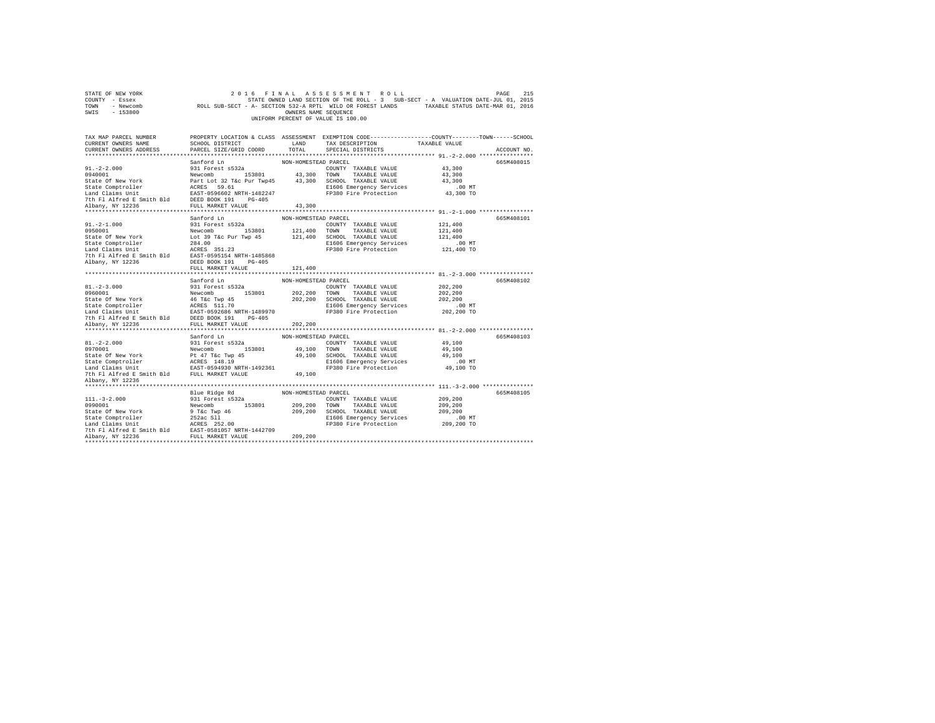| STATE OF NEW YORK<br>COUNTY - Essex<br>TOWN - Newcomb<br>SWIS - 153800                                                                                                                                                                                                                                                                                                                                                                 | 2 U 1 V 1 THE DAND SECTION OF THE ROLL - 3 SUB-SECT - A VARIABLE STATE ONE STATE ONE DE SECTION 512-A RPTL WILD OR FOREST LANDS TAXABLE STATUS DATE-MAR 01, 2016 |                                 | 2016 FINAL ASSESSMENT ROLL<br>UNIFORM PERCENT OF VALUE IS 100.00                                                                                   |                                                         | 215<br>PAGE |
|----------------------------------------------------------------------------------------------------------------------------------------------------------------------------------------------------------------------------------------------------------------------------------------------------------------------------------------------------------------------------------------------------------------------------------------|------------------------------------------------------------------------------------------------------------------------------------------------------------------|---------------------------------|----------------------------------------------------------------------------------------------------------------------------------------------------|---------------------------------------------------------|-------------|
| TAX MAP PARCEL NUMBER PROPERTY LOCATION & CLASS ASSESSMENT EXEMPTION CODE---------------COUNTY-------TOWN-----SCHOOL<br>CURRENT OWNERS NAME<br>CURRENT OWNERS ADDRESS                                                                                                                                                                                                                                                                  | SCHOOL DISTRICT LAND TAX DESCRIPTION<br>PARCEL SIZE/GRID COORD                                                                                                   | TOTAL                           | SPECIAL DISTRICTS                                                                                                                                  | TAXABLE VALUE                                           | ACCOUNT NO. |
| $91. -2 - 2.000$                                                                                                                                                                                                                                                                                                                                                                                                                       | Sanford Ln<br>931 Forest s532a                                                                                                                                   | NON-HOMESTEAD PARCEL            | COUNTY TAXABLE VALUE                                                                                                                               | 43,300                                                  | 665M408015  |
| $91.-2-1.000$<br>0950001                                                                                                                                                                                                                                                                                                                                                                                                               | Sanford Ln<br>931 Forest s532a<br>FULL MARKET VALUE                                                                                                              | NON-HOMESTEAD PARCEL<br>121,400 | COUNTY TAXABLE VALUE                                                                                                                               | 121,400<br>121,400<br>121,400<br>$.00$ MT<br>121,400 TO | 665M408101  |
|                                                                                                                                                                                                                                                                                                                                                                                                                                        |                                                                                                                                                                  |                                 |                                                                                                                                                    |                                                         |             |
| $81. - 2 - 3.000$<br>0960001<br>State Of New York<br>State Comptroller<br>State Compton<br>Land Claims Unit<br>Land Claims Unit<br>The Plate Smith Bld<br>DEED BOOK 191<br>7th Plate Text<br>2010 PLATE COMPT VANTIFIES<br>2011 PLATE COMPT VANTIFIES<br>2011 PLATE COMPT VANTIFIE                                                                                                                                                     | Sanford Ln<br>931 Forest s532a<br>Newcomb 153801                                                                                                                 | NON-HOMESTEAD PARCEL            | COUNTY TAXABLE VALUE<br>202,200 TOWN TAXABLE VALUE<br>202,200 SCHOOL TAXABLE VALUE<br>E1606 Emergency Services<br>FP380 Fire Protection 202,200 TO | 202,200<br>202,200<br>202,200<br>.00 MT                 | 665M408102  |
| Albany, NY 12236                                                                                                                                                                                                                                                                                                                                                                                                                       | FULL MARKET VALUE                                                                                                                                                | 202,200                         |                                                                                                                                                    |                                                         |             |
| $81. -2 - 2.000$<br>917-24.0001<br>2017001<br>2017001 Mewcomb 153801<br>2020101 Mewcomb 153801<br>2020101 MAXABLE VALUE<br>2020101 MAXABLE VALUE<br>2020101 MAXABLE VALUE<br>2020101 MAXABLE VALUE<br>20201021 MAXABLE VALUE<br>20201021 MAXABLE VALUE<br>20201021 MAX                                                                                                                                                                 | Sanford Ln<br>931 Forest s532a                                                                                                                                   | NON-HOMESTEAD PARCEL            | COUNTY TAXABLE VALUE                                                                                                                               | 49,100<br>49,100<br>49,100<br>00 MT.<br>49,100 TO       | 665M408103  |
| Albany, NY 12236                                                                                                                                                                                                                                                                                                                                                                                                                       |                                                                                                                                                                  |                                 |                                                                                                                                                    |                                                         |             |
| $\begin{tabular}{c c c} \hline \texttt{111-5-2.000} & \texttt{Bile Ridge Rd} & \texttt{NON-HOMESTFAD P RACE} & \texttt{NOM-HOMESTFAD P RACE} & \texttt{NOM-FOMESTFAD P RACE} & \texttt{NOMFUT} & \texttt{TXAABLE} & \texttt{VALUE} \\ \hline \texttt{9930001} & \texttt{Newcomb} & \texttt{153801} & \texttt{209,200} & \texttt{TOMN} & \texttt{TAXABLE VALUE} \\ \texttt{State Computer} & \texttt{52} & \texttt{11} & \texttt{209,2$ |                                                                                                                                                                  |                                 | E1606 Emergency Services<br>FP380 Fire Protection                                                                                                  | 209,200<br>209,200<br>209,200<br>$.00$ MT<br>209,200 TO | 665M408105  |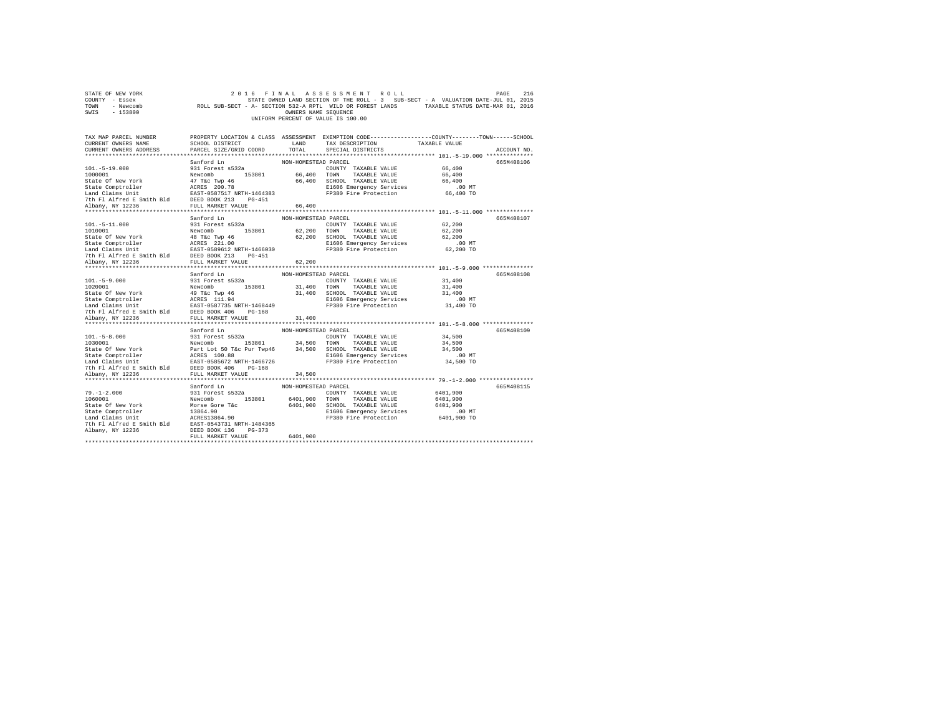| STATE OF NEW YORK<br>COUNTY - Essex<br>TOWN - Newcomb<br>SWIS - 153800                                                                                                                                                                                                                             |                                                                                                                                                                                                                                   | OWNERS NAME SEOUENCE                         | 2016 FINAL ASSESSMENT ROLL<br>STATE OWNED LAND SECTION OF THE ROLL - 3 SUB-SECT - A VALUATION DATE-JUL 01, 2015<br>ROLL SUB-SECT - A- SECTION 532-A RPTL WILD OR FOREST LANDS TAXABLE STATUS DATE-MAR 01, 2016<br>UNIFORM PERCENT OF VALUE IS 100.00 | PAGE                                                      | 216                       |
|----------------------------------------------------------------------------------------------------------------------------------------------------------------------------------------------------------------------------------------------------------------------------------------------------|-----------------------------------------------------------------------------------------------------------------------------------------------------------------------------------------------------------------------------------|----------------------------------------------|------------------------------------------------------------------------------------------------------------------------------------------------------------------------------------------------------------------------------------------------------|-----------------------------------------------------------|---------------------------|
| TAX MAP PARCEL NUMBER<br>CURRENT OWNERS NAME<br>CURRENT OWNERS ADDRESS                                                                                                                                                                                                                             | SCHOOL DISTRICT<br>PARCEL SIZE/GRID COORD<br>Sanford Ln                                                                                                                                                                           | LAND<br>TOTAL<br>NON-HOMESTEAD PARCEL        | PROPERTY LOCATION & CLASS ASSESSMENT EXEMPTION CODE---------------COUNTY-------TOWN------SCHOOL<br>TAX DESCRIPTION<br>SPECIAL DISTRICTS                                                                                                              | TAXABLE VALUE                                             | ACCOUNT NO.<br>665M408106 |
| $101. - 5 - 19.000$<br>1000001<br>State Of New York<br>State Comptroller<br>State-Computering Mark (1987–1987)<br>Land Claims Unit (1987–1987–1987)<br>7th Fl Alfred E Smith Bld (1987–1987)<br>Albany, NY 12236 (1988–1988)<br>TULL MARKET VALUE                                                  | 931 Forest s532a<br>Newcomb 153801<br>47 T&C Twp 46<br>ACRES 200.78                                                                                                                                                               | 66,400                                       | COUNTY TAXABLE VALUE<br>66,400 TOWN TAXABLE VALUE<br>66,400 SCHOOL TAXABLE VALUE<br>E1606 Emergency Services<br>FP380 Fire Protection                                                                                                                | 66,400<br>66,400<br>66,400<br>$.00$ MT<br>66,400 TO       |                           |
|                                                                                                                                                                                                                                                                                                    |                                                                                                                                                                                                                                   |                                              |                                                                                                                                                                                                                                                      |                                                           |                           |
| $101. - 5 - 11.000$<br>1010001<br>State Of New York<br>18 Tac Twp 46<br>State Comptroller<br>18 Tac Twp 46<br>Land Claims Unit<br>19 Alfred E Smith Bld<br>2000 213<br>2000 213<br>2000 213<br>2000 213<br>2000 213<br>2000 213<br>2000 213<br>2000 213<br>2000 213<br>2000 213<br>2000 213<br>200 | Sanford Ln<br>931 Forest s532a<br>Newcomb 153801                                                                                                                                                                                  | NON-HOMESTEAD PARCEL                         | COUNTY TAXABLE VALUE<br>62,200 TOWN TAXABLE VALUE<br>62,200 SCHOOL TAXABLE VALUE<br>E1606 Emergency Services<br>FP380 Fire Protection                                                                                                                | 62,200<br>62,200<br>62,200<br>$.00$ MT<br>62,200 TO       | 665M408107                |
|                                                                                                                                                                                                                                                                                                    |                                                                                                                                                                                                                                   |                                              |                                                                                                                                                                                                                                                      |                                                           |                           |
| Albany, NY 12236                                                                                                                                                                                                                                                                                   | FULL MARKET VALUE                                                                                                                                                                                                                 | 62,200                                       |                                                                                                                                                                                                                                                      |                                                           |                           |
|                                                                                                                                                                                                                                                                                                    |                                                                                                                                                                                                                                   |                                              |                                                                                                                                                                                                                                                      |                                                           |                           |
| $101. - 5 - 9.000$<br>1020001<br>State Of New York 1978 - The Twp 46<br>State Comptroller 1978 - ACRES 111.94<br>Land Claims Unit 1688 - EAST-0587735 NRTH-1468449<br>7th Fl Alfred E Smith Bld DEED BOOK 406 PG-168                                                                               | Sanford Ln<br>931 Forest s532a<br>Newcomb 153801<br>EAST-0587735 NRTH-1468449                                                                                                                                                     | NON-HOMESTEAD PARCEL                         | COUNTY TAXABLE VALUE<br>31,400 TOWN TAXABLE VALUE<br>31,400 SCHOOL TAXABLE VALUE<br>E1606 Emergency Services<br>FP380 Fire Protection                                                                                                                | 31,400<br>31,400<br>31,400<br>$.00$ MT<br>31,400 TO       | 665M408108                |
| Albany, NY 12236                                                                                                                                                                                                                                                                                   | FULL MARKET VALUE                                                                                                                                                                                                                 | 31,400                                       |                                                                                                                                                                                                                                                      |                                                           |                           |
|                                                                                                                                                                                                                                                                                                    |                                                                                                                                                                                                                                   |                                              |                                                                                                                                                                                                                                                      |                                                           |                           |
| $101. - 5 - 8.000$<br>1030001<br>State Of New York<br>State Comptroller<br>Land Claims Unit<br>7th Fl Alfred E Smith Bld                                                                                                                                                                           | Sanford Ln<br>931 Forest s532a<br>Newcomb 153801 34,500 TOWN TAXABLE VALUE<br>Part Lot 50 T&C Pur Twp46 34,500 SCHOOL TAXABLE VALUE<br>ACRES 100.88<br>EXST-0585672 NRTH-1466726 FIFOS Energency Services<br>DEED BOOK 406 PG-168 | NON-HOMESTEAD PARCEL                         | COUNTY TAXABLE VALUE<br>E1606 Emergency Services<br>FP380 Fire Protection                                                                                                                                                                            | 34,500<br>34,500<br>34,500<br>$.00$ MT<br>34,500 TO       | 665M408109                |
| Albany, NY 12236                                                                                                                                                                                                                                                                                   | FULL MARKET VALUE                                                                                                                                                                                                                 | 34,500                                       |                                                                                                                                                                                                                                                      |                                                           |                           |
| **********************                                                                                                                                                                                                                                                                             | *************************                                                                                                                                                                                                         | **************                               |                                                                                                                                                                                                                                                      | **************** 79. -1-2.000 *****************           |                           |
| $79. - 1 - 2.000$<br>1060001<br>State Of New York<br>State Comptroller 13864.90<br>Land Claims Unit 16 12 12 1384.90<br>Tth Fl Alfred E Smith Bld 1283T-0543731 NRTH-1484365<br>Albany, NY 12236                                                                                                   | Sanford Ln<br>931 Forest s532a<br>Newcomb 153801<br>Morse Gore T&c<br>DEED BOOK 136 PG-373                                                                                                                                        | NON-HOMESTEAD PARCEL<br>6401,900<br>6401,900 | COUNTY TAXABLE VALUE<br>TOWN TAXABLE VALUE<br>SCHOOL TAXABLE VALUE<br>E1606 Emergency Services<br>FP380 Fire Protection                                                                                                                              | 6401,900<br>6401,900<br>6401,900<br>.00 MT<br>6401,900 TO | 665M408115                |
|                                                                                                                                                                                                                                                                                                    | FULL MARKET VALUE                                                                                                                                                                                                                 | 6401,900                                     |                                                                                                                                                                                                                                                      |                                                           |                           |
|                                                                                                                                                                                                                                                                                                    |                                                                                                                                                                                                                                   |                                              |                                                                                                                                                                                                                                                      |                                                           |                           |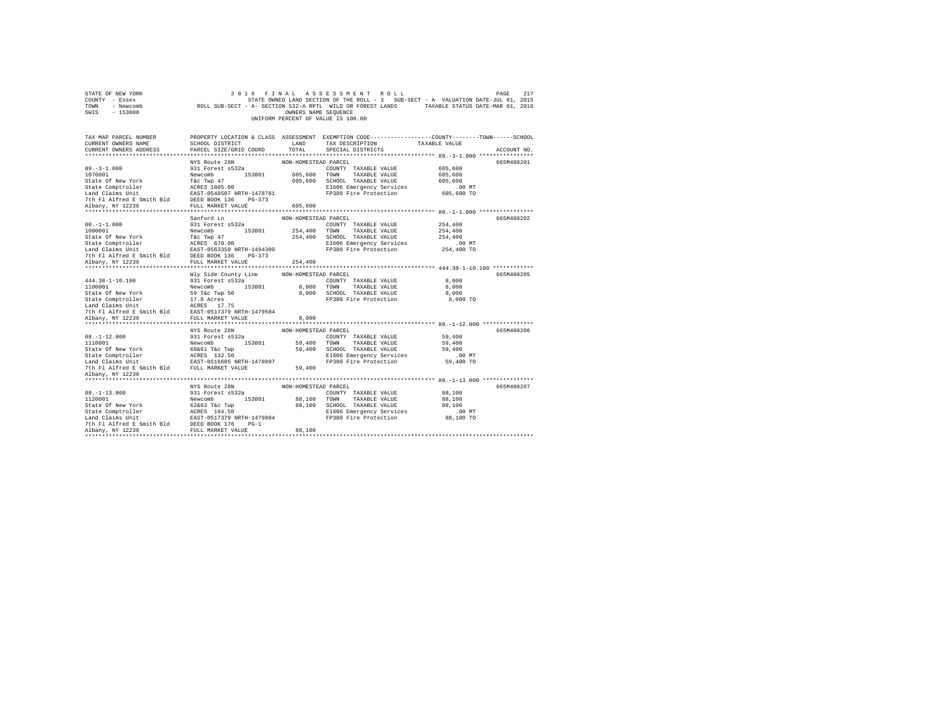| STATE OF NEW YORK<br>COUNTY - Essex<br>TOWN - Newcomb<br>SWIS - 153800                                                                                                                                              |                                                                                                                                                          | OWNERS NAME SEQUENCE            | 2016 FINAL ASSESSMENT ROLL<br>STATE OWNED LAND SECTION OF THE ROLL - 3 SUB-SECT - A VALUATION DATE-JUL 01, 2015<br>ROLL SUB-SECT - A- SECTION 532-A RPTL WILD OR FOREST LANDS TAXABLE STATUS DATE-MAR 01, 2016<br>UNIFORM PERCENT OF VALUE IS 100.00 |                                                         | 217<br>PAGE |
|---------------------------------------------------------------------------------------------------------------------------------------------------------------------------------------------------------------------|----------------------------------------------------------------------------------------------------------------------------------------------------------|---------------------------------|------------------------------------------------------------------------------------------------------------------------------------------------------------------------------------------------------------------------------------------------------|---------------------------------------------------------|-------------|
| TAX MAP PARCEL NUMBER<br>CURRENT OWNERS NAME<br>CURRENT OWNERS ADDRESS                                                                                                                                              | SCHOOL DISTRICT<br>PARCEL SIZE/GRID COORD                                                                                                                | LAND<br>TOTAL                   | PROPERTY LOCATION & CLASS ASSESSMENT EXEMPTION CODE---------------COUNTY-------TOWN------SCHOOL<br>TAX DESCRIPTION<br>SPECIAL DISTRICTS                                                                                                              | TAXABLE VALUE                                           | ACCOUNT NO. |
| $89. - 3 - 1.000$<br>1070001<br>State Of New York<br>State Comptroller<br>Land Claims Unit<br>7th Fl Alfred E Smith Bld DEED BOOK 136 PG-373                                                                        | NYS Route 28N<br>931 Forest s532a<br>Newcomb 153801<br>T&C Twp 47<br>ACRES 1805.00<br>EAST-0548507 NRTH-1478761                                          | NON-HOMESTEAD PARCEL            | COUNTY TAXABLE VALUE<br>605,600 TOWN TAXABLE VALUE<br>605,600 SCHOOL TAXABLE VALUE<br>E1606 Emergency Services<br>FP380 Fire Protection                                                                                                              | 605,600<br>605,600<br>605,600<br>$.00$ MT<br>605,600 TO | 665M408201  |
| Albany, NY 12236                                                                                                                                                                                                    | FULL MARKET VALUE                                                                                                                                        | 605,600                         |                                                                                                                                                                                                                                                      |                                                         |             |
| $80. -1 - 1.000$<br>1080001<br>State Of New York<br>State Comptroller<br>Land Claims Unit<br>7th Fl Alfred E Smith Bld<br>Albany, NY 12236                                                                          | Sanford Ln<br>931 Forest s532a<br>Newcomb 153801<br>T&C Twp 47<br>ACRES 670.00<br>EAST-0563350 NRTH-1494309<br>DEED BOOK 136 PG-373<br>FULL MARKET VALUE | NON-HOMESTEAD PARCEL<br>254,400 | COUNTY TAXABLE VALUE<br>254,400 TOWN TAXABLE VALUE<br>254,400 SCHOOL TAXABLE VALUE<br>E1606 Emergency Services<br>FP380 Fire Protection                                                                                                              | 254,400<br>254,400<br>254,400<br>$.00$ MT<br>254,400 TO | 665M408202  |
| $444.38 - 1 - 10.100$<br>1100001<br>State Of New York<br>State Comptroller<br>Land Claims Unit<br>7th Fl Alfred E Smith Bld EAST-0517379 NRTH-1479584                                                               | Wly Side County Line<br>931 Forest s532a<br>Newcomb 153801<br>59 T&c Twp 50<br>17.8 Acres<br>ACRES 17.75<br>FULL MARKET VALUE                            | NON-HOMESTEAD PARCEL            | COUNTY TAXABLE VALUE<br>8,000 TOWN TAXABLE VALUE<br>8,000 SCHOOL TAXABLE VALUE<br>FP380 Fire Protection                                                                                                                                              | 8,000<br>8,000<br>8,000<br>8,000 TO                     | 665M408205  |
| Albany, NY 12236                                                                                                                                                                                                    |                                                                                                                                                          | 8,000                           |                                                                                                                                                                                                                                                      |                                                         |             |
| $88. - 1 - 12.000$<br>1110001<br>State Of New York<br>State Comptroller<br>Land Claims Unit EAST-0516605 NRTH-1478097<br>7th Fl Alfred E Smith Bld FULL MARKET VALUE<br>Albany, NY 12236                            | NYS Route 28N<br>931 Forest s532a<br>Newcomb 153801<br>60&61 T&c Twp<br>ACRES 132.50                                                                     | NON-HOMESTEAD PARCEL<br>59,400  | COUNTY TAXABLE VALUE<br>59,400 TOWN TAXABLE VALUE<br>59,400 SCHOOL TAXABLE VALUE<br>E1606 Emergency Services<br>FP380 Fire Protection                                                                                                                | 59,400<br>59,400<br>59,400<br>$.00$ MT<br>59,400 TO     | 665M408206  |
|                                                                                                                                                                                                                     |                                                                                                                                                          |                                 |                                                                                                                                                                                                                                                      |                                                         |             |
| $88. - 1 - 13.000$<br>1120001<br>State Of New York<br>State Comptroller<br>Land Claims Unit EAST-0517379 NRTH-1479884<br>7th Fl Alfred E Smith Bld DEED BOOK 176 PG-1<br>Albany, NY 12236<br>********************** | NYS Route 28N<br>931 Forest s532a<br>Newcomb 153801<br>62&63 T&c Twp<br>ACRES 194.50<br>FULL MARKET VALUE                                                | NON-HOMESTEAD PARCEL<br>88,100  | COUNTY TAXABLE VALUE<br>88.100 TOWN TAXABLE VALUE<br>88,100 SCHOOL TAXABLE VALUE<br>E1606 Emergency Services<br>FP380 Fire Protection                                                                                                                | 88,100<br>88,100<br>88,100<br>$.00$ MT<br>88,100 TO     | 665M408207  |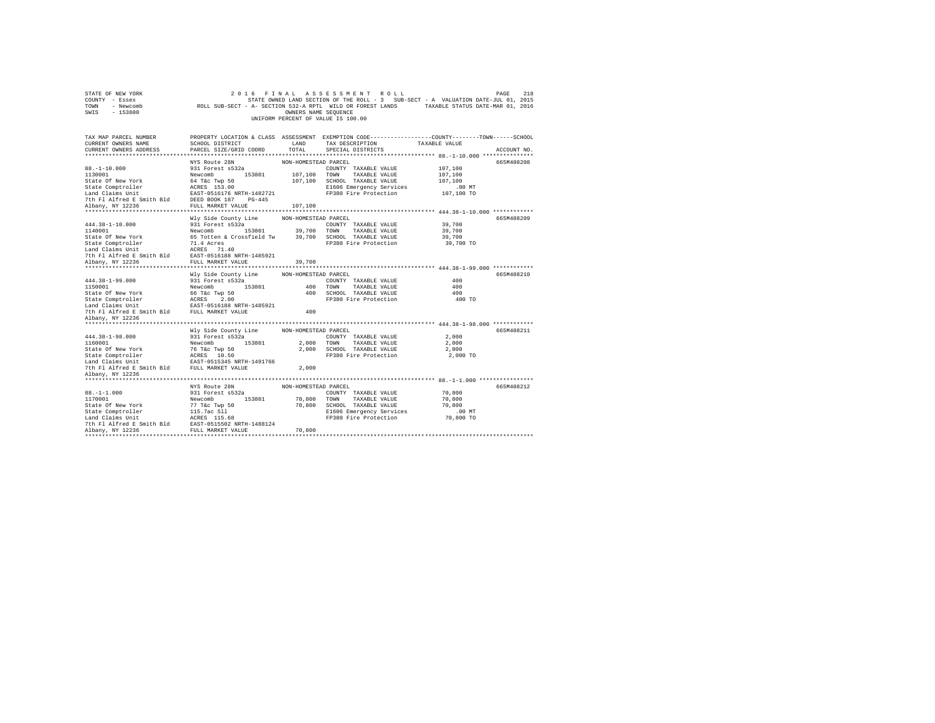| STATE OF NEW YORK<br>COUNTY - Essex<br>TOWN<br>- Newcomb<br>$-153800$<br>SWIS |                                                       | OWNERS NAME SEQUENCE | 2016 FINAL ASSESSMENT ROLL<br>STATE OWNED LAND SECTION OF THE ROLL - 3 SUB-SECT - A VALUATION DATE-JUL 01, 2015<br>ROLL SUB-SECT - A- SECTION 532-A RPTL WILD OR FOREST LANDS TAXABLE STATUS DATE-MAR 01, 2016<br>UNIFORM PERCENT OF VALUE IS 100.00 |               | 218<br>PAGE |
|-------------------------------------------------------------------------------|-------------------------------------------------------|----------------------|------------------------------------------------------------------------------------------------------------------------------------------------------------------------------------------------------------------------------------------------------|---------------|-------------|
| TAX MAP PARCEL NUMBER<br>CURRENT OWNERS NAME                                  | SCHOOL DISTRICT                                       | LAND                 | PROPERTY LOCATION & CLASS ASSESSMENT EXEMPTION CODE---------------COUNTY-------TOWN-----SCHOOL<br>TAX DESCRIPTION                                                                                                                                    | TAXABLE VALUE |             |
| CURRENT OWNERS ADDRESS                                                        | PARCEL SIZE/GRID COORD                                | TOTAL                | SPECIAL DISTRICTS                                                                                                                                                                                                                                    |               | ACCOUNT NO. |
|                                                                               |                                                       |                      |                                                                                                                                                                                                                                                      |               |             |
|                                                                               | NYS Route 28N                                         | NON-HOMESTEAD PARCEL |                                                                                                                                                                                                                                                      |               | 665M408208  |
| $88. - 1 - 10.000$                                                            | 931 Forest s532a                                      |                      | COUNTY TAXABLE VALUE                                                                                                                                                                                                                                 | 107,100       |             |
| 1130001                                                                       | Newcomb 153801                                        | 107,100 TOWN         | TAXABLE VALUE                                                                                                                                                                                                                                        | 107,100       |             |
| State Of New York                                                             | 64 T&c Twp 50                                         |                      | 107,100 SCHOOL TAXABLE VALUE                                                                                                                                                                                                                         | 107,100       |             |
| State Comptroller                                                             | ACRES 153.00                                          |                      | E1606 Emergency Services                                                                                                                                                                                                                             | $.00$ MT      |             |
| Land Claims Unit<br>7th Fl Alfred E Smith Bld                                 | EAST-0516176 NRTH-1482721<br>DEED BOOK 187 PG-445     |                      | FP380 Fire Protection                                                                                                                                                                                                                                | 107,100 TO    |             |
| Albany, NY 12236                                                              | FULL MARKET VALUE                                     | 107,100              |                                                                                                                                                                                                                                                      |               |             |
|                                                                               |                                                       |                      |                                                                                                                                                                                                                                                      |               |             |
|                                                                               | Wly Side County Line                                  | NON-HOMESTEAD PARCEL |                                                                                                                                                                                                                                                      |               | 665M408209  |
| $444.38 - 1 - 10.000$                                                         | 931 Forest s532a                                      |                      | COUNTY TAXABLE VALUE                                                                                                                                                                                                                                 | 39,700        |             |
| 1140001                                                                       | Newcomb 153801                                        | 39,700 TOWN          | TAXABLE VALUE                                                                                                                                                                                                                                        | 39,700        |             |
| State Of New York                                                             | 65 Totten & Crossfield Tw 39,700 SCHOOL TAXABLE VALUE |                      |                                                                                                                                                                                                                                                      | 39,700        |             |
| State Comptroller                                                             | 71.4 Acres<br>ACRES 71.40                             |                      | FP380 Fire Protection                                                                                                                                                                                                                                | 39,700 TO     |             |
| Land Claims Unit                                                              |                                                       |                      |                                                                                                                                                                                                                                                      |               |             |
| 7th Fl Alfred E Smith Bld                                                     | EAST-0516188 NRTH-1485921                             |                      |                                                                                                                                                                                                                                                      |               |             |
| Albany, NY 12236                                                              | FULL MARKET VALUE                                     | 39,700               |                                                                                                                                                                                                                                                      |               |             |
|                                                                               |                                                       |                      |                                                                                                                                                                                                                                                      |               |             |
| 444.38-1-99.000                                                               | Wly Side County Line<br>931 Forest s532a              | NON-HOMESTEAD PARCEL | COUNTY TAXABLE VALUE                                                                                                                                                                                                                                 | 400           | 665M408210  |
| 1150001                                                                       | Newcomb 153801                                        |                      | 400 TOWN TAXABLE VALUE                                                                                                                                                                                                                               | 400           |             |
| State Of New York                                                             | 66 T&c Twp 50                                         |                      | 400 SCHOOL TAXABLE VALUE                                                                                                                                                                                                                             | 400           |             |
|                                                                               |                                                       |                      | FP380 Fire Protection                                                                                                                                                                                                                                | 400 TO        |             |
|                                                                               |                                                       |                      |                                                                                                                                                                                                                                                      |               |             |
| 7th Fl Alfred E Smith Bld FULL MARKET VALUE                                   |                                                       | 400                  |                                                                                                                                                                                                                                                      |               |             |
| Albany, NY 12236                                                              |                                                       |                      |                                                                                                                                                                                                                                                      |               |             |
| ********************                                                          |                                                       |                      |                                                                                                                                                                                                                                                      |               |             |
|                                                                               | Wly Side County Line                                  | NON-HOMESTEAD PARCEL |                                                                                                                                                                                                                                                      |               | 665M408211  |
| 444.38-1-98.000                                                               | 931 Forest s532a                                      |                      | COUNTY TAXABLE VALUE                                                                                                                                                                                                                                 | 2,000         |             |
| 1160001                                                                       | Newcomb 153801                                        |                      | 2.000 TOWN TAXABLE VALUE                                                                                                                                                                                                                             | 2,000         |             |
| State Of New York                                                             | 76 T&c Twp 50<br>ACRES 10.50                          |                      | 2,000 SCHOOL TAXABLE VALUE                                                                                                                                                                                                                           | 2,000         |             |
| State Comptroller<br>Land Claims Unit EAST-0515345 NRTH-1491766               |                                                       |                      | FP380 Fire Protection                                                                                                                                                                                                                                | 2,000 TO      |             |
| 7th Fl Alfred E Smith Bld FULL MARKET VALUE                                   |                                                       | 2,000                |                                                                                                                                                                                                                                                      |               |             |
| Albany, NY 12236                                                              |                                                       |                      |                                                                                                                                                                                                                                                      |               |             |
| **********************                                                        |                                                       |                      |                                                                                                                                                                                                                                                      |               |             |
|                                                                               | NYS Route 28N                                         | NON-HOMESTEAD PARCEL |                                                                                                                                                                                                                                                      |               | 665M408212  |
| $88. - 1 - 1.000$                                                             | 931 Forest s532a                                      |                      | COUNTY TAXABLE VALUE                                                                                                                                                                                                                                 | 70,800        |             |
| 1170001                                                                       | Newcomb<br>153801                                     | 70,800               | TOWN<br>TAXABLE VALUE                                                                                                                                                                                                                                | 70,800        |             |
| State Of New York                                                             | 77 T&c Twp 50                                         |                      | 70,800 SCHOOL TAXABLE VALUE                                                                                                                                                                                                                          | 70,800        |             |
| State Comptroller                                                             | 115.7ac Sll                                           |                      | E1606 Emergency Services                                                                                                                                                                                                                             | .00MT         |             |
| Land Claims Unit                                                              | ACRES 115.68                                          |                      | FP380 Fire Protection                                                                                                                                                                                                                                | 70,800 TO     |             |
| 7th Fl Alfred E Smith Bld EAST-0515502 NRTH-1488124<br>Albany, NY 12236       | FULL MARKET VALUE                                     | 70,800               |                                                                                                                                                                                                                                                      |               |             |
|                                                                               |                                                       |                      |                                                                                                                                                                                                                                                      |               |             |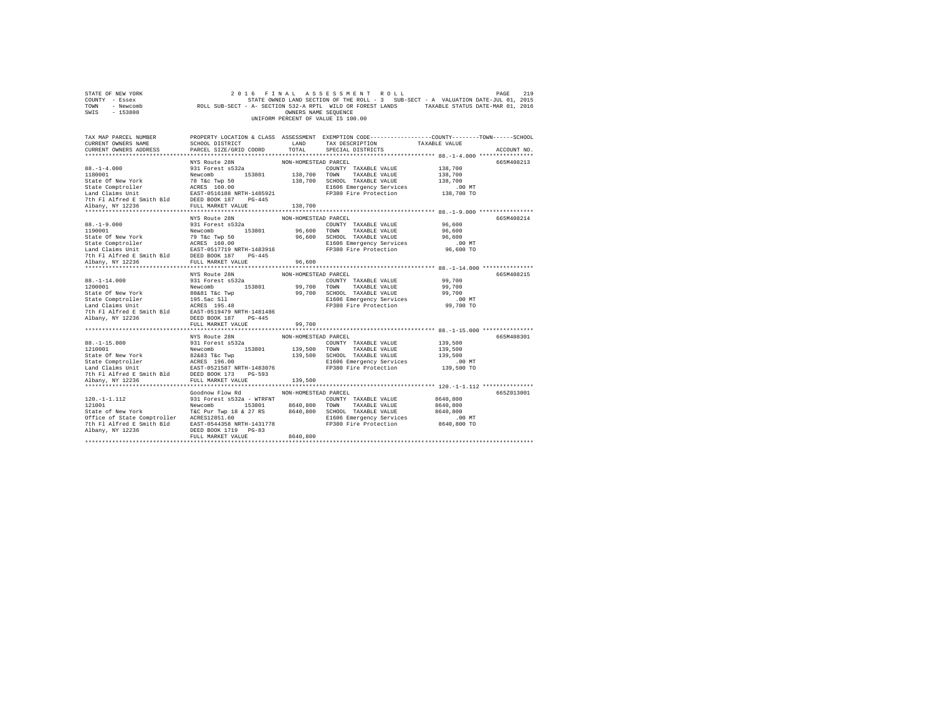| STATE OF NEW YORK<br>COUNTY - Essex<br>TOWN - Newcomb<br>SWIS - 153800                                                                                                                                                                                                                                                                                                                                                                                                                                            |                                                                               |                                  | 2016 FINAL ASSESSMENT ROLL<br>EXECUTED THE ROLL - 3 SUB-SECT - A VALUATION OF STATE OWNED LAND SECTION OF THE ROLL - 3 SUB-SECT - A VALUATION OF SUB-SECT - A VALUATION OF SECTION 532-A RPTL WILD OR FOREST LANDS TAXABLE STATUS DATE-MAR 01, 2016<br>UNIFORM PERCENT OF VALUE IS 100.00 |                                                              | PAGE<br>219 |
|-------------------------------------------------------------------------------------------------------------------------------------------------------------------------------------------------------------------------------------------------------------------------------------------------------------------------------------------------------------------------------------------------------------------------------------------------------------------------------------------------------------------|-------------------------------------------------------------------------------|----------------------------------|-------------------------------------------------------------------------------------------------------------------------------------------------------------------------------------------------------------------------------------------------------------------------------------------|--------------------------------------------------------------|-------------|
| TAX MAP PARCEL NUMBER PROPERTY LOCATION & CLASS ASSESSMENT EXEMPTION CODE---------------COUNTY-------TOWN------SCHOOL<br>CURRENT OWNERS NAME<br>CURRENT OWNERS ADDRESS                                                                                                                                                                                                                                                                                                                                            | SCHOOL DISTRICT<br>LAND TAX DESCRIPTION<br>PARCEL SIZE/GRID COORD             | TOTAL                            | SPECIAL DISTRICTS                                                                                                                                                                                                                                                                         | TAXABLE VALUE                                                | ACCOUNT NO. |
| $88. - 1 - 4.000$<br>88.-1-4.000<br>1180001<br>$\begin{tabular}{l c c c c c} \hline 1180001 & $140001$ & $140001$ & $140001$ & $138,700$ & $10001$ & $138,700$ & $138,700$ & $138,700$ & $138,700$ & $138,700$ & $138,700$ & $138,700$ & $138,700$ & $138,700$ & $138,700$ & $138,700$ & $138,700$ & $138,700$ & $138,700$ & $138,$                                                                                                                                                                               | NYS Route 28N<br>931 Forest s532a                                             | NON-HOMESTEAD PARCEL             | COUNTY TAXABLE VALUE                                                                                                                                                                                                                                                                      | 138,700                                                      | 665M408213  |
|                                                                                                                                                                                                                                                                                                                                                                                                                                                                                                                   |                                                                               |                                  |                                                                                                                                                                                                                                                                                           |                                                              |             |
| $88. -1 - 9.000$<br>1190001                                                                                                                                                                                                                                                                                                                                                                                                                                                                                       | NYS Route 28N<br>931 Forest s532a<br>Newcomb 153801 96,600 TOWN TAXABLE VALUE | NON-HOMESTEAD PARCEL             | COUNTY TAXABLE VALUE                                                                                                                                                                                                                                                                      | 96,600<br>96.600<br>96,600<br>$.00$ MT<br>96,600 TO          | 665M408214  |
|                                                                                                                                                                                                                                                                                                                                                                                                                                                                                                                   |                                                                               |                                  |                                                                                                                                                                                                                                                                                           |                                                              |             |
|                                                                                                                                                                                                                                                                                                                                                                                                                                                                                                                   | NYS Route 28N                                                                 | NON-HOMESTEAD PARCEL             |                                                                                                                                                                                                                                                                                           |                                                              | 665M408215  |
| $88. -1 - 14.000$<br>1200001<br>$\begin{tabular}{lcccc} 1200001 & {\small\texttt{NewComb}} & {\small\texttt{Newcomb}} & {\small\texttt{153801}} & 99,700 & {\small\texttt{TomM}} & {\small\texttt{TXABLE VALUE}} & 99,700 \\ \texttt{State C} & 60 & {\small\texttt{New York}} & 80640 & {\small\texttt{T6} & {\small\texttt{COMD}} & 99,700 & {\small\texttt{COMMBLE VALUE}} & 99,700 \\ \texttt{State Computered} & 195.5ac S11 & 99,700 & {\small\texttt{CMRBLE VALUE}} & 99,700 \\ \text$<br>Albany, NY 12236 | 931 Forest s532a<br>DEED BOOK 187 PG-445                                      |                                  | COUNTY TAXABLE VALUE 99,700                                                                                                                                                                                                                                                               |                                                              |             |
|                                                                                                                                                                                                                                                                                                                                                                                                                                                                                                                   | FULL MARKET VALUE                                                             | 99,700                           |                                                                                                                                                                                                                                                                                           |                                                              |             |
| $88. -1 - 15.000$<br>85.-1-15.000<br>139.500 TOWN TAXABLE VALUE<br>139.500 TOWN TAXABLE VALUE<br>State Of New York<br>State Comptroller<br>State Comptoller<br>139.500 TOWN TAXABLE VALUE<br>State Comptoller<br>139.500 TOWN TAXABLE VALUE<br>State Comptoller<br>139.                                                                                                                                                                                                                                           | NYS Route 28N<br>931 Forest s532a                                             | NON-HOMESTEAD PARCEL             | COUNTY TAXABLE VALUE<br>E1606 Emergency Services<br>FP380 Fire Protection                                                                                                                                                                                                                 | 139,500<br>139,500<br>139,500<br>00 MT.<br>139,500 TO        | 665M408301  |
|                                                                                                                                                                                                                                                                                                                                                                                                                                                                                                                   |                                                                               |                                  |                                                                                                                                                                                                                                                                                           |                                                              |             |
| 7th F1 Alfred E Smith Bld EAST-0544358 NRTH-1431778<br>Albany, NY 12236                                                                                                                                                                                                                                                                                                                                                                                                                                           | Goodnow Flow Rd<br>DEED BOOK 1719 PG-83<br>FULL MARKET VALUE                  | NON-HOMESTEAD PARCEL<br>8640,800 | E1606 Emergency Services<br>FP380 Fire Protection                                                                                                                                                                                                                                         | 8640,800<br>8640,800<br>8640,800<br>.00 MT<br>$8640, 800$ TO | 665Z013001  |
|                                                                                                                                                                                                                                                                                                                                                                                                                                                                                                                   |                                                                               |                                  |                                                                                                                                                                                                                                                                                           |                                                              |             |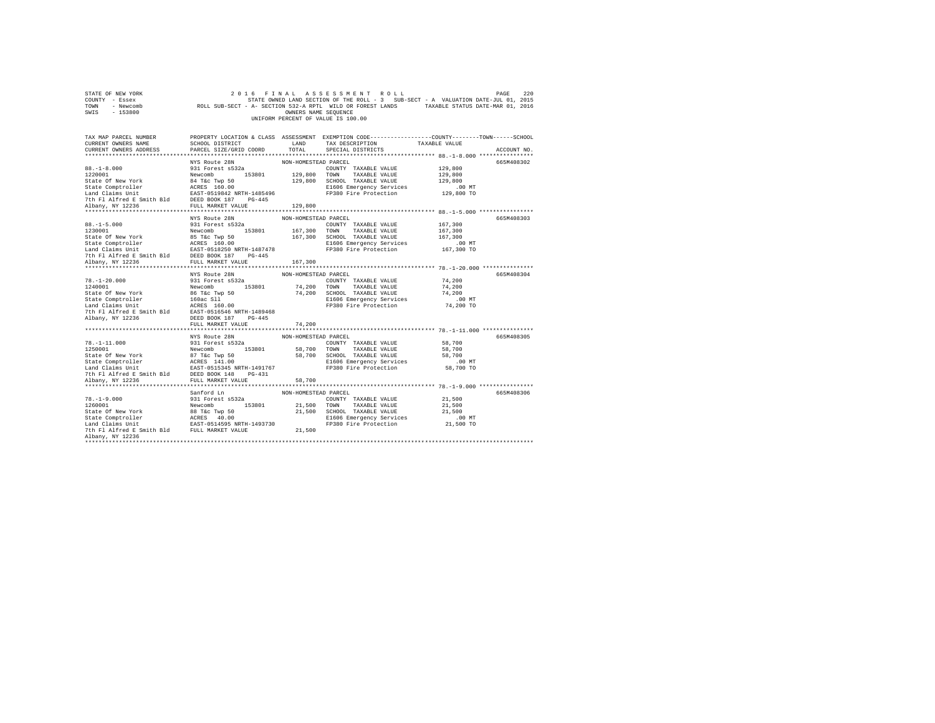| STATE OF NEW YORK<br>COUNTY - Essex<br>TOWN - Newcomb<br>SWIS - 153800                                                                                                                                                                                                                                                                |                                                                         | OWNERS NAME SEQUENCE           | 2016 FINAL ASSESSMENT ROLL<br>2016 FINAL ASSESSMENT ROLL<br>2019 ETATE ONNED LAND SECTION OF THE ROLL - 3 SUB-SECT - A VALUATION DATE<br>ROLL SUB-SECT - A - FSECTION 532-A RPTL WILD OR FOREST LANDS TAXABLE STATUS DATE-MAR 01, 2016<br>UNIFORM PERCENT OF VALUE IS 100.00 |                                                       | PAGE<br>220 |
|---------------------------------------------------------------------------------------------------------------------------------------------------------------------------------------------------------------------------------------------------------------------------------------------------------------------------------------|-------------------------------------------------------------------------|--------------------------------|------------------------------------------------------------------------------------------------------------------------------------------------------------------------------------------------------------------------------------------------------------------------------|-------------------------------------------------------|-------------|
| TAX MAP PARCEL NUMBER PROPERTY LOCATION & CLASS ASSESSMENT EXEMPTION CODE---------------COUNTY-------TOWN------SCHOOL<br>CURRENT OWNERS NAME<br>CURRENT OWNERS ADDRESS                                                                                                                                                                | SCHOOL DISTRICT<br>LAND TAX DESCRIPTION<br>PARCEL SIZE/GRID COORD TOTAL |                                | SPECIAL DISTRICTS                                                                                                                                                                                                                                                            | TAXABLE VALUE                                         | ACCOUNT NO. |
| $88. - 1 - 8.000$<br>88.-1-8.000<br>1220001<br>$\begin{tabular}{l c c c c c} \hline 1220001 & $291$ & $15920$ & $10000$ & $10000$ & $100000$ & $100000$ & $100000$ & $100000$ & $1000000$ & $129,800$ & $129,800$ & $129,800$ & $129,800$ & $129,800$ & $129,800$ & $129,800$ & $129,800$ & $129,800$ & $129,800$ & $129,800$ & $129$ | NYS Route 28N<br>931 Forest s532a                                       | NON-HOMESTEAD PARCEL           | COUNTY TAXABLE VALUE                                                                                                                                                                                                                                                         | 129,800                                               | 665M408302  |
|                                                                                                                                                                                                                                                                                                                                       | NYS Route 28N<br>931 Forest s532a                                       | NON-HOMESTEAD PARCEL           |                                                                                                                                                                                                                                                                              | 167,300<br>167,300<br>167,300<br>.00 MT<br>167,300 TO | 665M408303  |
| $78. -1 - 20.000$<br>1240001                                                                                                                                                                                                                                                                                                          | NYS Route 28N<br>931 Forest s532a                                       | NON-HOMESTEAD PARCEL           | COUNTY TAXABLE VALUE 74,200                                                                                                                                                                                                                                                  |                                                       | 665M408304  |
|                                                                                                                                                                                                                                                                                                                                       | FULL MARKET VALUE<br>NYS Route 28N                                      | 74,200<br>NON-HOMESTEAD PARCEL | COUNTY TAXABLE VALUE 58,700                                                                                                                                                                                                                                                  | 58,700<br>58,700<br>00 MT.<br>58,700 TO               | 665M408305  |
| Albany, NY 12236<br>*************************************                                                                                                                                                                                                                                                                             | Sanford Ln                                                              | NON-HOMESTEAD PARCEL           |                                                                                                                                                                                                                                                                              |                                                       | 665M408306  |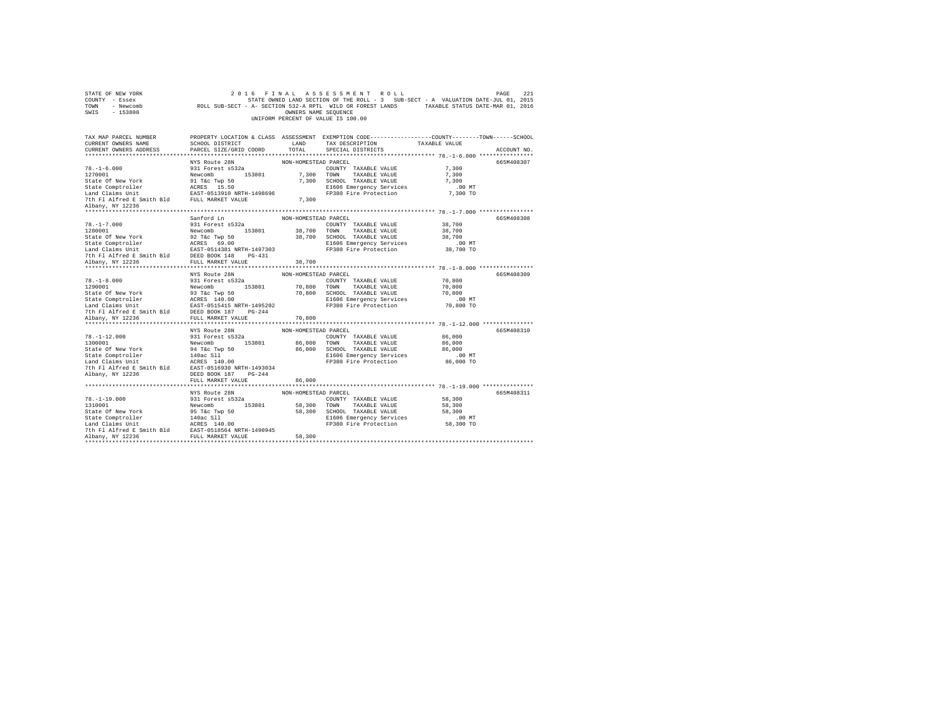| STATE OF NEW YORK<br>COUNTY - Essex<br>TOWN - Newcomb<br>SWIS - 153800                                                                                                                                                                                                                                                                                               |                                                                                                                           | OWNERS NAME SEQUENCE           | 2016 FINAL ASSESSMENT ROLL<br>STATE OWNED LAND SECTION OF THE ROLL - 3 SUB-SECT - A VALUATION DATE-JUL 01, 2015<br>ROLL SUB-SECT - A- SECTION 532-A RPTL WILD OR FOREST LANDS TAXABLE STATUS DATE-MAR 01, 2016<br>UNIFORM PERCENT OF VALUE IS 100.00 |                                                     | 2.21<br>PAGE |
|----------------------------------------------------------------------------------------------------------------------------------------------------------------------------------------------------------------------------------------------------------------------------------------------------------------------------------------------------------------------|---------------------------------------------------------------------------------------------------------------------------|--------------------------------|------------------------------------------------------------------------------------------------------------------------------------------------------------------------------------------------------------------------------------------------------|-----------------------------------------------------|--------------|
| TAX MAP PARCEL NUMBER<br>CURRENT OWNERS NAME<br>CURRENT OWNERS ADDRESS                                                                                                                                                                                                                                                                                               | SCHOOL DISTRICT<br>PARCEL SIZE/GRID COORD                                                                                 | LAND<br>TOTAL                  | PROPERTY LOCATION & CLASS ASSESSMENT EXEMPTION CODE---------------COUNTY-------TOWN------SCHOOL<br>TAX DESCRIPTION<br>SPECIAL DISTRICTS                                                                                                              | TAXABLE VALUE                                       | ACCOUNT NO.  |
|                                                                                                                                                                                                                                                                                                                                                                      |                                                                                                                           |                                |                                                                                                                                                                                                                                                      |                                                     |              |
| $78. - 1 - 6.000$<br>1270001<br>State Of New York<br>State Comptroller<br>Land Claims Unit EAST-0513910 NRTH-1498696<br>7th Fl Alfred E Smith Bld FULL MARKET VALUE<br>Albany, NY 12236                                                                                                                                                                              | NYS Route 28N<br>931 Forest s532a<br>Newcomb 153801<br>91 T&C Twp 50<br>ACRES 15.50                                       | NON-HOMESTEAD PARCEL<br>7,300  | COUNTY TAXABLE VALUE<br>7,300 TOWN TAXABLE VALUE<br>7,300 SCHOOL TAXABLE VALUE<br>E1606 Emergency Services<br>FP380 Fire Protection                                                                                                                  | 7,300<br>7,300<br>7,300<br>$.00$ MT<br>7,300 TO     | 665M408307   |
|                                                                                                                                                                                                                                                                                                                                                                      |                                                                                                                           |                                |                                                                                                                                                                                                                                                      |                                                     |              |
| $78. - 1 - 7.000$<br>1280001<br>State Of New York<br>State Comptroller<br>State Comptroller<br>Land Claims Unit<br>The Fl Alfred E Smith Bld<br>The Fl Alfred E Smith Bld<br>FULL MARKET VALUE                                                                                                                                                                       | Sanford Ln<br>931 Forest s532a<br>Newcomb 153801<br>92 T&C Twp 50<br>ACRES 69.00                                          | NON-HOMESTEAD PARCEL           | COUNTY TAXABLE VALUE<br>38,700 TOWN TAXABLE VALUE<br>38,700 SCHOOL TAXABLE VALUE<br>E1606 Emergency Services<br>FP380 Fire Protection                                                                                                                | 38,700<br>38,700<br>38,700<br>$.00$ MT<br>38,700 TO | 665M408308   |
|                                                                                                                                                                                                                                                                                                                                                                      |                                                                                                                           | 38,700                         |                                                                                                                                                                                                                                                      |                                                     |              |
| $78. - 1 - 8.000$<br>1290001<br>7th Fl Alfred E Smith Bld DEED BOOK 187 PG-244                                                                                                                                                                                                                                                                                       | NYS Route 28N<br>931 Forest s532a<br>Newcomb 153801<br>EAST-0515415 NRTH-1495202                                          | NON-HOMESTEAD PARCEL           | COUNTY TAXABLE VALUE<br>70,800 TOWN TAXABLE VALUE<br>70,800 SCHOOL TAXABLE VALUE<br>E1606 Emergency Services<br>FP380 Fire Protection                                                                                                                | 70,800<br>70,800<br>70,800<br>$.00$ MT<br>70,800 TO | 665M408309   |
| Albany, NY 12236                                                                                                                                                                                                                                                                                                                                                     | FULL MARKET VALUE                                                                                                         | 70,800                         |                                                                                                                                                                                                                                                      |                                                     |              |
| $78. - 1 - 12.000$<br>1300001<br>State Of New York<br>State Comptroller<br>Land Claims Unit<br>7th Fl Alfred E Smith Bld EAST-0516930 NRTH-1493034<br>Albany, NY 12236                                                                                                                                                                                               | NYS Route 28N<br>931 Forest s532a<br>Newcomb 153801<br>94 T&C Twp 50<br>140ac Sll<br>ACRES 140.00<br>DEED BOOK 187 PG-244 | NON-HOMESTEAD PARCEL           | COUNTY TAXABLE VALUE<br>86,000 TOWN TAXABLE VALUE<br>86,000 SCHOOL TAXABLE VALUE<br>E1606 Emergency Services<br>FP380 Fire Protection                                                                                                                | 86,000<br>86,000<br>86,000<br>$.00$ MT<br>86,000 TO | 665M408310   |
|                                                                                                                                                                                                                                                                                                                                                                      | FULL MARKET VALUE                                                                                                         | 86,000                         |                                                                                                                                                                                                                                                      |                                                     |              |
| $78. - 1 - 19.000$<br>1310001<br>State Of New York<br>$\begin{tabular}{lllllllllll} \texttt{State Comptroller} & & & 140 \texttt{ac S11} \\ \texttt{Land Claus Unit} & & & \texttt{ACRES} & 140.00 \\ \texttt{The Alfred E Smith Bild} & & & \texttt{BASET} & 051 \texttt{804} \\ \texttt{Alband, NY 12236} & & & \texttt{FUL} \texttt{ MARKET VALUE} \end{tabular}$ | NYS Route 28N<br>931 Forest s532a<br>Newcomb 153801<br>95 T&C Twp 50                                                      | NON-HOMESTEAD PARCEL<br>58,300 | COUNTY TAXABLE VALUE<br>58,300 TOWN TAXABLE VALUE<br>58,300 SCHOOL TAXABLE VALUE<br>E1606 Emergency Services<br>FP380 Fire Protection                                                                                                                | 58,300<br>58,300<br>58,300<br>$.00$ MT<br>58,300 TO | 665M408311   |
|                                                                                                                                                                                                                                                                                                                                                                      |                                                                                                                           |                                |                                                                                                                                                                                                                                                      |                                                     |              |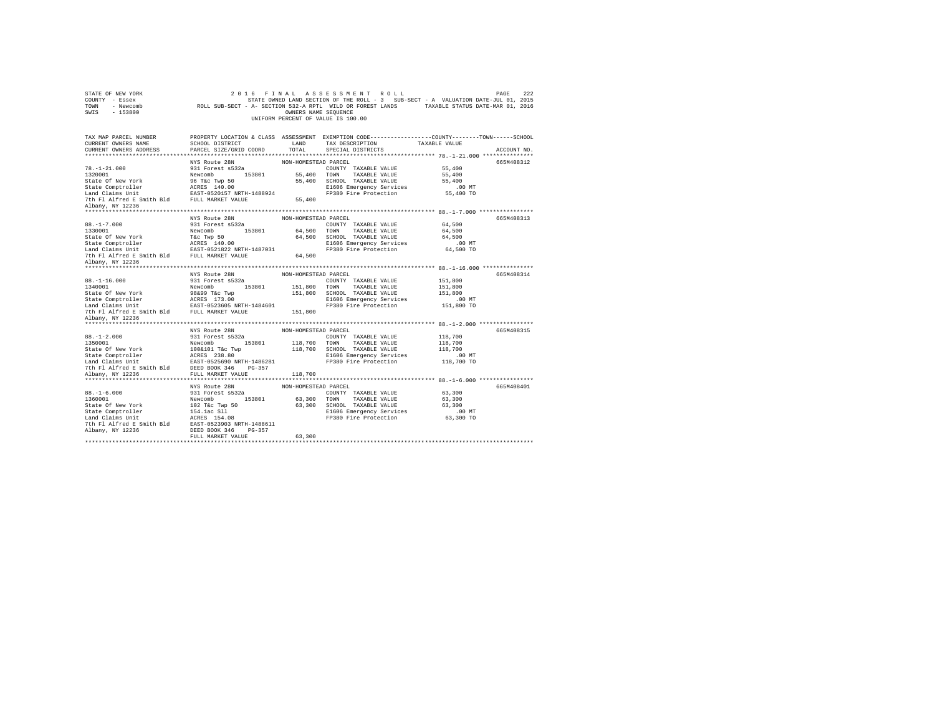| TAX MAP PARCEL NUMBER<br>PROPERTY LOCATION & CLASS ASSESSMENT EXEMPTION CODE---------------COUNTY-------TOWN-----SCHOOL<br>LAND TAX DESCRIPTION TAXABLE VALUE<br>SCHOOL DISTRICT<br>CURRENT OWNERS NAME<br>PARCEL SIZE/GRID COORD<br>TOTAL<br>CURRENT OWNERS ADDRESS<br>SPECIAL DISTRICTS<br>ACCOUNT NO.<br>NYS Route 28N<br>NON-HOMESTEAD PARCEL<br>665M408312<br>COUNTY TAXABLE VALUE 55,400<br>$78. - 1 - 21.000$<br>931 Forest s532a<br>Newcomb<br>96 T&c Twp 50<br>55,400 TOWN TAXABLE VALUE<br>1320001<br>55,400<br>55,400 SCHOOL TAXABLE VALUE<br>State Of New York<br>55,400<br>State Comptroller<br>Land Claims Unit<br>EAST-0520157 NRTH-1488924<br>E1606 Emergency Services 10.00 MT<br>FP380 Fire Protection 55,400 TO<br>7th Fl Alfred E Smith Bld FULL MARKET VALUE<br>55,400<br>Albany, NY 12236<br>665M408313<br>$88. - 1 - 7.000$<br>COUNTY TAXABLE VALUE<br>64,500<br>88.-1-7.000<br>1330001<br>State Of New York<br>Newcomb 153801 64,500 TOWN TAXABLE VALUE<br>T&c Twp 50 64,500 SCHOOL TAXABLE VALUE<br>ACRES 140.00 51606 Emergency Services<br>64,500<br>64,500<br>Albany, NY 12236<br>665M408314<br>$88. - 1 - 16.000$<br>151,800<br>1340001<br>151,800<br>151,800<br>.00 MT<br>151,800 TO<br>7th Fl Alfred E Smith Bld FULL MARKET VALUE 151,800<br>Albany, NY 12236<br>NYS Route 28N<br>NON-HOMESTEAD PARCEL<br>665M408315<br>NYS Route 28N<br>931 Forest s532a<br>COUNTY TAXABLE VALUE<br>118,700 TOWN TAXABLE VALUE<br>$88. - 1 - 2.000$<br>118,700<br>1350001<br>19700 101<br>19700 1012101 118,700 1018,700 1006101 118,700 1006101 118,700 118,700 118,700 118,700 118,700 118,700 118,700<br>198.000 118,700 118,700 118,700 118,700 118,700 118,700 118,700 118,700 118,700 118,700<br>118,700<br>NYS Route 28N<br>NON-HOMESTEAD PARCEL<br>665M408401<br>COUNTY TAXABLE VALUE<br>$88. - 1 - 6.000$<br>931 Forest s532a<br>63,300<br>Newcomb 153801 63,300 TOWN TAXABLE VALUE<br>1360001<br>63,300<br>102 T&C Twp 50<br>154.1ac S11<br>ACRES 154.08<br>State Of New York<br>63,300 SCHOOL TAXABLE VALUE<br>63,300<br>State Comptroller<br>Land Claims Unit<br>The Tale of the RES 154.08<br>The Fl Alfred E Smith Bld EAST-0523903 NRTH-1488611<br>E1606 Emergency Services 63,300 MT<br>FP380 Fire Protection 63,300 TO<br>Albany, NY 12236<br>DEED BOOK 346 PG-357<br>63,300<br>FULL MARKET VALUE<br> | STATE OF NEW YORK<br>COUNTY - Essex<br>TOWN - Newcomb<br>SWIS - 153800 | OWNERS NAME SEQUENCE | 2016 FINAL ASSESSMENT ROLL<br>222 PAGE PINAL ASSESSMENT ROLL<br>STATE ONE DES A VALUATION DATE STATE AND SECTION OF THE ROLL -3 SUB-SECT - A VALUATION DATE-JUL 01, 2015<br>ROLL SUB-SECT - A - SECTION 532-A RPTL WILD OR FOREST LANDS TAXABLE STATUS DATE-MAR 01<br>UNIFORM PERCENT OF VALUE IS 100.00 | PAGE<br>222 |
|-----------------------------------------------------------------------------------------------------------------------------------------------------------------------------------------------------------------------------------------------------------------------------------------------------------------------------------------------------------------------------------------------------------------------------------------------------------------------------------------------------------------------------------------------------------------------------------------------------------------------------------------------------------------------------------------------------------------------------------------------------------------------------------------------------------------------------------------------------------------------------------------------------------------------------------------------------------------------------------------------------------------------------------------------------------------------------------------------------------------------------------------------------------------------------------------------------------------------------------------------------------------------------------------------------------------------------------------------------------------------------------------------------------------------------------------------------------------------------------------------------------------------------------------------------------------------------------------------------------------------------------------------------------------------------------------------------------------------------------------------------------------------------------------------------------------------------------------------------------------------------------------------------------------------------------------------------------------------------------------------------------------------------------------------------------------------------------------------------------------------------------------------------------------------------------------------------------------------------------------------------------------------------------------------------------------------------------------|------------------------------------------------------------------------|----------------------|----------------------------------------------------------------------------------------------------------------------------------------------------------------------------------------------------------------------------------------------------------------------------------------------------------|-------------|
|                                                                                                                                                                                                                                                                                                                                                                                                                                                                                                                                                                                                                                                                                                                                                                                                                                                                                                                                                                                                                                                                                                                                                                                                                                                                                                                                                                                                                                                                                                                                                                                                                                                                                                                                                                                                                                                                                                                                                                                                                                                                                                                                                                                                                                                                                                                                         |                                                                        |                      |                                                                                                                                                                                                                                                                                                          |             |
|                                                                                                                                                                                                                                                                                                                                                                                                                                                                                                                                                                                                                                                                                                                                                                                                                                                                                                                                                                                                                                                                                                                                                                                                                                                                                                                                                                                                                                                                                                                                                                                                                                                                                                                                                                                                                                                                                                                                                                                                                                                                                                                                                                                                                                                                                                                                         |                                                                        |                      |                                                                                                                                                                                                                                                                                                          |             |
|                                                                                                                                                                                                                                                                                                                                                                                                                                                                                                                                                                                                                                                                                                                                                                                                                                                                                                                                                                                                                                                                                                                                                                                                                                                                                                                                                                                                                                                                                                                                                                                                                                                                                                                                                                                                                                                                                                                                                                                                                                                                                                                                                                                                                                                                                                                                         |                                                                        |                      |                                                                                                                                                                                                                                                                                                          |             |
|                                                                                                                                                                                                                                                                                                                                                                                                                                                                                                                                                                                                                                                                                                                                                                                                                                                                                                                                                                                                                                                                                                                                                                                                                                                                                                                                                                                                                                                                                                                                                                                                                                                                                                                                                                                                                                                                                                                                                                                                                                                                                                                                                                                                                                                                                                                                         |                                                                        |                      |                                                                                                                                                                                                                                                                                                          |             |
|                                                                                                                                                                                                                                                                                                                                                                                                                                                                                                                                                                                                                                                                                                                                                                                                                                                                                                                                                                                                                                                                                                                                                                                                                                                                                                                                                                                                                                                                                                                                                                                                                                                                                                                                                                                                                                                                                                                                                                                                                                                                                                                                                                                                                                                                                                                                         |                                                                        |                      |                                                                                                                                                                                                                                                                                                          |             |
|                                                                                                                                                                                                                                                                                                                                                                                                                                                                                                                                                                                                                                                                                                                                                                                                                                                                                                                                                                                                                                                                                                                                                                                                                                                                                                                                                                                                                                                                                                                                                                                                                                                                                                                                                                                                                                                                                                                                                                                                                                                                                                                                                                                                                                                                                                                                         |                                                                        |                      |                                                                                                                                                                                                                                                                                                          |             |
|                                                                                                                                                                                                                                                                                                                                                                                                                                                                                                                                                                                                                                                                                                                                                                                                                                                                                                                                                                                                                                                                                                                                                                                                                                                                                                                                                                                                                                                                                                                                                                                                                                                                                                                                                                                                                                                                                                                                                                                                                                                                                                                                                                                                                                                                                                                                         |                                                                        |                      |                                                                                                                                                                                                                                                                                                          |             |
|                                                                                                                                                                                                                                                                                                                                                                                                                                                                                                                                                                                                                                                                                                                                                                                                                                                                                                                                                                                                                                                                                                                                                                                                                                                                                                                                                                                                                                                                                                                                                                                                                                                                                                                                                                                                                                                                                                                                                                                                                                                                                                                                                                                                                                                                                                                                         |                                                                        |                      |                                                                                                                                                                                                                                                                                                          |             |
|                                                                                                                                                                                                                                                                                                                                                                                                                                                                                                                                                                                                                                                                                                                                                                                                                                                                                                                                                                                                                                                                                                                                                                                                                                                                                                                                                                                                                                                                                                                                                                                                                                                                                                                                                                                                                                                                                                                                                                                                                                                                                                                                                                                                                                                                                                                                         |                                                                        |                      |                                                                                                                                                                                                                                                                                                          |             |
|                                                                                                                                                                                                                                                                                                                                                                                                                                                                                                                                                                                                                                                                                                                                                                                                                                                                                                                                                                                                                                                                                                                                                                                                                                                                                                                                                                                                                                                                                                                                                                                                                                                                                                                                                                                                                                                                                                                                                                                                                                                                                                                                                                                                                                                                                                                                         |                                                                        |                      |                                                                                                                                                                                                                                                                                                          |             |
|                                                                                                                                                                                                                                                                                                                                                                                                                                                                                                                                                                                                                                                                                                                                                                                                                                                                                                                                                                                                                                                                                                                                                                                                                                                                                                                                                                                                                                                                                                                                                                                                                                                                                                                                                                                                                                                                                                                                                                                                                                                                                                                                                                                                                                                                                                                                         |                                                                        |                      |                                                                                                                                                                                                                                                                                                          |             |
|                                                                                                                                                                                                                                                                                                                                                                                                                                                                                                                                                                                                                                                                                                                                                                                                                                                                                                                                                                                                                                                                                                                                                                                                                                                                                                                                                                                                                                                                                                                                                                                                                                                                                                                                                                                                                                                                                                                                                                                                                                                                                                                                                                                                                                                                                                                                         |                                                                        |                      |                                                                                                                                                                                                                                                                                                          |             |
|                                                                                                                                                                                                                                                                                                                                                                                                                                                                                                                                                                                                                                                                                                                                                                                                                                                                                                                                                                                                                                                                                                                                                                                                                                                                                                                                                                                                                                                                                                                                                                                                                                                                                                                                                                                                                                                                                                                                                                                                                                                                                                                                                                                                                                                                                                                                         |                                                                        |                      |                                                                                                                                                                                                                                                                                                          |             |
|                                                                                                                                                                                                                                                                                                                                                                                                                                                                                                                                                                                                                                                                                                                                                                                                                                                                                                                                                                                                                                                                                                                                                                                                                                                                                                                                                                                                                                                                                                                                                                                                                                                                                                                                                                                                                                                                                                                                                                                                                                                                                                                                                                                                                                                                                                                                         |                                                                        |                      |                                                                                                                                                                                                                                                                                                          |             |
|                                                                                                                                                                                                                                                                                                                                                                                                                                                                                                                                                                                                                                                                                                                                                                                                                                                                                                                                                                                                                                                                                                                                                                                                                                                                                                                                                                                                                                                                                                                                                                                                                                                                                                                                                                                                                                                                                                                                                                                                                                                                                                                                                                                                                                                                                                                                         |                                                                        |                      |                                                                                                                                                                                                                                                                                                          |             |
|                                                                                                                                                                                                                                                                                                                                                                                                                                                                                                                                                                                                                                                                                                                                                                                                                                                                                                                                                                                                                                                                                                                                                                                                                                                                                                                                                                                                                                                                                                                                                                                                                                                                                                                                                                                                                                                                                                                                                                                                                                                                                                                                                                                                                                                                                                                                         |                                                                        |                      |                                                                                                                                                                                                                                                                                                          |             |
|                                                                                                                                                                                                                                                                                                                                                                                                                                                                                                                                                                                                                                                                                                                                                                                                                                                                                                                                                                                                                                                                                                                                                                                                                                                                                                                                                                                                                                                                                                                                                                                                                                                                                                                                                                                                                                                                                                                                                                                                                                                                                                                                                                                                                                                                                                                                         |                                                                        |                      |                                                                                                                                                                                                                                                                                                          |             |
|                                                                                                                                                                                                                                                                                                                                                                                                                                                                                                                                                                                                                                                                                                                                                                                                                                                                                                                                                                                                                                                                                                                                                                                                                                                                                                                                                                                                                                                                                                                                                                                                                                                                                                                                                                                                                                                                                                                                                                                                                                                                                                                                                                                                                                                                                                                                         |                                                                        |                      |                                                                                                                                                                                                                                                                                                          |             |
|                                                                                                                                                                                                                                                                                                                                                                                                                                                                                                                                                                                                                                                                                                                                                                                                                                                                                                                                                                                                                                                                                                                                                                                                                                                                                                                                                                                                                                                                                                                                                                                                                                                                                                                                                                                                                                                                                                                                                                                                                                                                                                                                                                                                                                                                                                                                         |                                                                        |                      |                                                                                                                                                                                                                                                                                                          |             |
|                                                                                                                                                                                                                                                                                                                                                                                                                                                                                                                                                                                                                                                                                                                                                                                                                                                                                                                                                                                                                                                                                                                                                                                                                                                                                                                                                                                                                                                                                                                                                                                                                                                                                                                                                                                                                                                                                                                                                                                                                                                                                                                                                                                                                                                                                                                                         |                                                                        |                      |                                                                                                                                                                                                                                                                                                          |             |
|                                                                                                                                                                                                                                                                                                                                                                                                                                                                                                                                                                                                                                                                                                                                                                                                                                                                                                                                                                                                                                                                                                                                                                                                                                                                                                                                                                                                                                                                                                                                                                                                                                                                                                                                                                                                                                                                                                                                                                                                                                                                                                                                                                                                                                                                                                                                         |                                                                        |                      |                                                                                                                                                                                                                                                                                                          |             |
|                                                                                                                                                                                                                                                                                                                                                                                                                                                                                                                                                                                                                                                                                                                                                                                                                                                                                                                                                                                                                                                                                                                                                                                                                                                                                                                                                                                                                                                                                                                                                                                                                                                                                                                                                                                                                                                                                                                                                                                                                                                                                                                                                                                                                                                                                                                                         |                                                                        |                      |                                                                                                                                                                                                                                                                                                          |             |
|                                                                                                                                                                                                                                                                                                                                                                                                                                                                                                                                                                                                                                                                                                                                                                                                                                                                                                                                                                                                                                                                                                                                                                                                                                                                                                                                                                                                                                                                                                                                                                                                                                                                                                                                                                                                                                                                                                                                                                                                                                                                                                                                                                                                                                                                                                                                         |                                                                        |                      |                                                                                                                                                                                                                                                                                                          |             |
|                                                                                                                                                                                                                                                                                                                                                                                                                                                                                                                                                                                                                                                                                                                                                                                                                                                                                                                                                                                                                                                                                                                                                                                                                                                                                                                                                                                                                                                                                                                                                                                                                                                                                                                                                                                                                                                                                                                                                                                                                                                                                                                                                                                                                                                                                                                                         |                                                                        |                      |                                                                                                                                                                                                                                                                                                          |             |
|                                                                                                                                                                                                                                                                                                                                                                                                                                                                                                                                                                                                                                                                                                                                                                                                                                                                                                                                                                                                                                                                                                                                                                                                                                                                                                                                                                                                                                                                                                                                                                                                                                                                                                                                                                                                                                                                                                                                                                                                                                                                                                                                                                                                                                                                                                                                         |                                                                        |                      |                                                                                                                                                                                                                                                                                                          |             |
|                                                                                                                                                                                                                                                                                                                                                                                                                                                                                                                                                                                                                                                                                                                                                                                                                                                                                                                                                                                                                                                                                                                                                                                                                                                                                                                                                                                                                                                                                                                                                                                                                                                                                                                                                                                                                                                                                                                                                                                                                                                                                                                                                                                                                                                                                                                                         |                                                                        |                      |                                                                                                                                                                                                                                                                                                          |             |
|                                                                                                                                                                                                                                                                                                                                                                                                                                                                                                                                                                                                                                                                                                                                                                                                                                                                                                                                                                                                                                                                                                                                                                                                                                                                                                                                                                                                                                                                                                                                                                                                                                                                                                                                                                                                                                                                                                                                                                                                                                                                                                                                                                                                                                                                                                                                         |                                                                        |                      |                                                                                                                                                                                                                                                                                                          |             |
|                                                                                                                                                                                                                                                                                                                                                                                                                                                                                                                                                                                                                                                                                                                                                                                                                                                                                                                                                                                                                                                                                                                                                                                                                                                                                                                                                                                                                                                                                                                                                                                                                                                                                                                                                                                                                                                                                                                                                                                                                                                                                                                                                                                                                                                                                                                                         |                                                                        |                      |                                                                                                                                                                                                                                                                                                          |             |
|                                                                                                                                                                                                                                                                                                                                                                                                                                                                                                                                                                                                                                                                                                                                                                                                                                                                                                                                                                                                                                                                                                                                                                                                                                                                                                                                                                                                                                                                                                                                                                                                                                                                                                                                                                                                                                                                                                                                                                                                                                                                                                                                                                                                                                                                                                                                         |                                                                        |                      |                                                                                                                                                                                                                                                                                                          |             |
|                                                                                                                                                                                                                                                                                                                                                                                                                                                                                                                                                                                                                                                                                                                                                                                                                                                                                                                                                                                                                                                                                                                                                                                                                                                                                                                                                                                                                                                                                                                                                                                                                                                                                                                                                                                                                                                                                                                                                                                                                                                                                                                                                                                                                                                                                                                                         |                                                                        |                      |                                                                                                                                                                                                                                                                                                          |             |
|                                                                                                                                                                                                                                                                                                                                                                                                                                                                                                                                                                                                                                                                                                                                                                                                                                                                                                                                                                                                                                                                                                                                                                                                                                                                                                                                                                                                                                                                                                                                                                                                                                                                                                                                                                                                                                                                                                                                                                                                                                                                                                                                                                                                                                                                                                                                         |                                                                        |                      |                                                                                                                                                                                                                                                                                                          |             |
|                                                                                                                                                                                                                                                                                                                                                                                                                                                                                                                                                                                                                                                                                                                                                                                                                                                                                                                                                                                                                                                                                                                                                                                                                                                                                                                                                                                                                                                                                                                                                                                                                                                                                                                                                                                                                                                                                                                                                                                                                                                                                                                                                                                                                                                                                                                                         |                                                                        |                      |                                                                                                                                                                                                                                                                                                          |             |
|                                                                                                                                                                                                                                                                                                                                                                                                                                                                                                                                                                                                                                                                                                                                                                                                                                                                                                                                                                                                                                                                                                                                                                                                                                                                                                                                                                                                                                                                                                                                                                                                                                                                                                                                                                                                                                                                                                                                                                                                                                                                                                                                                                                                                                                                                                                                         |                                                                        |                      |                                                                                                                                                                                                                                                                                                          |             |
|                                                                                                                                                                                                                                                                                                                                                                                                                                                                                                                                                                                                                                                                                                                                                                                                                                                                                                                                                                                                                                                                                                                                                                                                                                                                                                                                                                                                                                                                                                                                                                                                                                                                                                                                                                                                                                                                                                                                                                                                                                                                                                                                                                                                                                                                                                                                         |                                                                        |                      |                                                                                                                                                                                                                                                                                                          |             |
|                                                                                                                                                                                                                                                                                                                                                                                                                                                                                                                                                                                                                                                                                                                                                                                                                                                                                                                                                                                                                                                                                                                                                                                                                                                                                                                                                                                                                                                                                                                                                                                                                                                                                                                                                                                                                                                                                                                                                                                                                                                                                                                                                                                                                                                                                                                                         |                                                                        |                      |                                                                                                                                                                                                                                                                                                          |             |
|                                                                                                                                                                                                                                                                                                                                                                                                                                                                                                                                                                                                                                                                                                                                                                                                                                                                                                                                                                                                                                                                                                                                                                                                                                                                                                                                                                                                                                                                                                                                                                                                                                                                                                                                                                                                                                                                                                                                                                                                                                                                                                                                                                                                                                                                                                                                         |                                                                        |                      |                                                                                                                                                                                                                                                                                                          |             |
|                                                                                                                                                                                                                                                                                                                                                                                                                                                                                                                                                                                                                                                                                                                                                                                                                                                                                                                                                                                                                                                                                                                                                                                                                                                                                                                                                                                                                                                                                                                                                                                                                                                                                                                                                                                                                                                                                                                                                                                                                                                                                                                                                                                                                                                                                                                                         |                                                                        |                      |                                                                                                                                                                                                                                                                                                          |             |
|                                                                                                                                                                                                                                                                                                                                                                                                                                                                                                                                                                                                                                                                                                                                                                                                                                                                                                                                                                                                                                                                                                                                                                                                                                                                                                                                                                                                                                                                                                                                                                                                                                                                                                                                                                                                                                                                                                                                                                                                                                                                                                                                                                                                                                                                                                                                         |                                                                        |                      |                                                                                                                                                                                                                                                                                                          |             |
|                                                                                                                                                                                                                                                                                                                                                                                                                                                                                                                                                                                                                                                                                                                                                                                                                                                                                                                                                                                                                                                                                                                                                                                                                                                                                                                                                                                                                                                                                                                                                                                                                                                                                                                                                                                                                                                                                                                                                                                                                                                                                                                                                                                                                                                                                                                                         |                                                                        |                      |                                                                                                                                                                                                                                                                                                          |             |
|                                                                                                                                                                                                                                                                                                                                                                                                                                                                                                                                                                                                                                                                                                                                                                                                                                                                                                                                                                                                                                                                                                                                                                                                                                                                                                                                                                                                                                                                                                                                                                                                                                                                                                                                                                                                                                                                                                                                                                                                                                                                                                                                                                                                                                                                                                                                         |                                                                        |                      |                                                                                                                                                                                                                                                                                                          |             |
|                                                                                                                                                                                                                                                                                                                                                                                                                                                                                                                                                                                                                                                                                                                                                                                                                                                                                                                                                                                                                                                                                                                                                                                                                                                                                                                                                                                                                                                                                                                                                                                                                                                                                                                                                                                                                                                                                                                                                                                                                                                                                                                                                                                                                                                                                                                                         |                                                                        |                      |                                                                                                                                                                                                                                                                                                          |             |
|                                                                                                                                                                                                                                                                                                                                                                                                                                                                                                                                                                                                                                                                                                                                                                                                                                                                                                                                                                                                                                                                                                                                                                                                                                                                                                                                                                                                                                                                                                                                                                                                                                                                                                                                                                                                                                                                                                                                                                                                                                                                                                                                                                                                                                                                                                                                         |                                                                        |                      |                                                                                                                                                                                                                                                                                                          |             |
|                                                                                                                                                                                                                                                                                                                                                                                                                                                                                                                                                                                                                                                                                                                                                                                                                                                                                                                                                                                                                                                                                                                                                                                                                                                                                                                                                                                                                                                                                                                                                                                                                                                                                                                                                                                                                                                                                                                                                                                                                                                                                                                                                                                                                                                                                                                                         |                                                                        |                      |                                                                                                                                                                                                                                                                                                          |             |
|                                                                                                                                                                                                                                                                                                                                                                                                                                                                                                                                                                                                                                                                                                                                                                                                                                                                                                                                                                                                                                                                                                                                                                                                                                                                                                                                                                                                                                                                                                                                                                                                                                                                                                                                                                                                                                                                                                                                                                                                                                                                                                                                                                                                                                                                                                                                         |                                                                        |                      |                                                                                                                                                                                                                                                                                                          |             |
|                                                                                                                                                                                                                                                                                                                                                                                                                                                                                                                                                                                                                                                                                                                                                                                                                                                                                                                                                                                                                                                                                                                                                                                                                                                                                                                                                                                                                                                                                                                                                                                                                                                                                                                                                                                                                                                                                                                                                                                                                                                                                                                                                                                                                                                                                                                                         |                                                                        |                      |                                                                                                                                                                                                                                                                                                          |             |
|                                                                                                                                                                                                                                                                                                                                                                                                                                                                                                                                                                                                                                                                                                                                                                                                                                                                                                                                                                                                                                                                                                                                                                                                                                                                                                                                                                                                                                                                                                                                                                                                                                                                                                                                                                                                                                                                                                                                                                                                                                                                                                                                                                                                                                                                                                                                         |                                                                        |                      |                                                                                                                                                                                                                                                                                                          |             |
|                                                                                                                                                                                                                                                                                                                                                                                                                                                                                                                                                                                                                                                                                                                                                                                                                                                                                                                                                                                                                                                                                                                                                                                                                                                                                                                                                                                                                                                                                                                                                                                                                                                                                                                                                                                                                                                                                                                                                                                                                                                                                                                                                                                                                                                                                                                                         |                                                                        |                      |                                                                                                                                                                                                                                                                                                          |             |
|                                                                                                                                                                                                                                                                                                                                                                                                                                                                                                                                                                                                                                                                                                                                                                                                                                                                                                                                                                                                                                                                                                                                                                                                                                                                                                                                                                                                                                                                                                                                                                                                                                                                                                                                                                                                                                                                                                                                                                                                                                                                                                                                                                                                                                                                                                                                         |                                                                        |                      |                                                                                                                                                                                                                                                                                                          |             |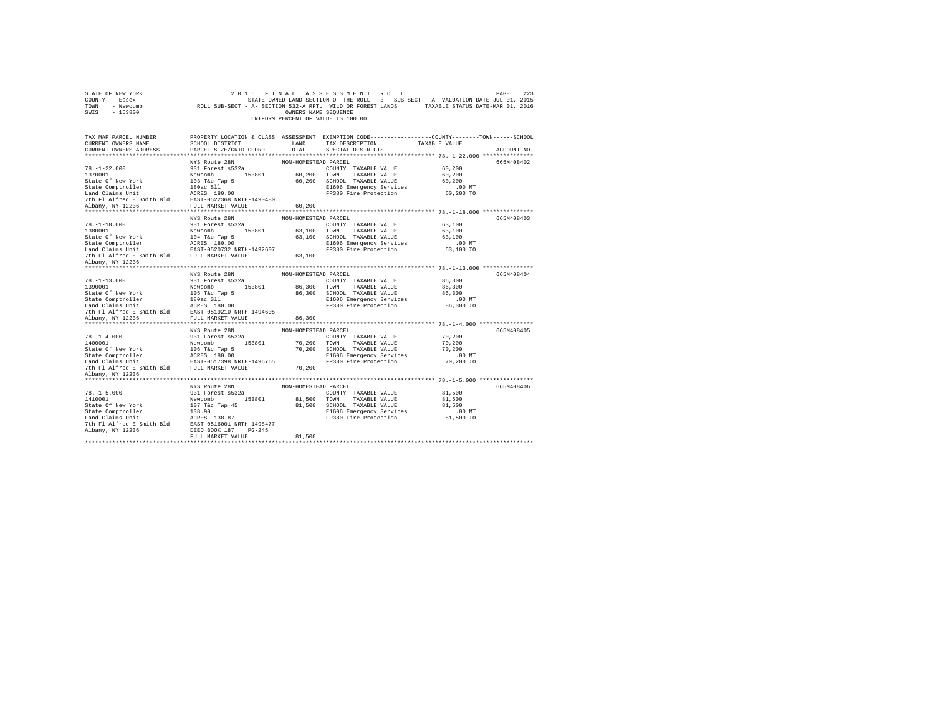| STATE OF NEW YORK<br>COUNTY - Essex<br>TOWN - Newcomb<br>SWIS - 153800                                                                                                                                                                                              |                                                                                                                   | OWNERS NAME SEQUENCE           | 2016 FINAL ASSESSMENT ROLL<br>STATE OWNED LAND SECTION OF THE ROLL - 3<br>SUB-SECT - A VALUATION DATE-JUL 01, 2015<br>ROLL SUB-SECT - A- SECTION 532-A RPTL WILD OR FOREST LANDS TAXABLE STATUS DATE-MAR 01, 2016<br>UNIFORM PERCENT OF VALUE IS 100.00 |                                                     | 223<br>PAGE |
|---------------------------------------------------------------------------------------------------------------------------------------------------------------------------------------------------------------------------------------------------------------------|-------------------------------------------------------------------------------------------------------------------|--------------------------------|---------------------------------------------------------------------------------------------------------------------------------------------------------------------------------------------------------------------------------------------------------|-----------------------------------------------------|-------------|
| TAX MAP PARCEL NUMBER<br>CURRENT OWNERS NAME<br>CURRENT OWNERS ADDRESS                                                                                                                                                                                              | SCHOOL DISTRICT<br>PARCEL SIZE/GRID COORD                                                                         | LAND<br>TOTAL                  | PROPERTY LOCATION & CLASS ASSESSMENT EXEMPTION CODE---------------COUNTY-------TOWN------SCHOOL<br>TAX DESCRIPTION<br>SPECIAL DISTRICTS                                                                                                                 | TAXABLE VALUE                                       | ACCOUNT NO. |
|                                                                                                                                                                                                                                                                     |                                                                                                                   |                                |                                                                                                                                                                                                                                                         |                                                     |             |
| $78. - 1 - 22.000$<br>1370001<br>State Of New York<br>State Comptroller<br>Land Claims Unit<br>The RCRES 180.00<br>7th F1 Alfred E Smith Bld EAST-0522368 NRTH-1490480                                                                                              | NYS Route 28N<br>931 Forest s532a<br>Newcomb 153801<br>103 T&C Twp 5<br>180ac S11                                 | NON-HOMESTEAD PARCEL           | COUNTY TAXABLE VALUE<br>60,200 TOWN TAXABLE VALUE<br>60,200 SCHOOL TAXABLE VALUE<br>E1606 Emergency Services<br>FP380 Fire Protection                                                                                                                   | 60,200<br>60,200<br>60,200<br>$.00$ MT<br>60,200 TO | 665M408402  |
| Albany, NY 12236                                                                                                                                                                                                                                                    | FULL MARKET VALUE                                                                                                 | 60,200                         |                                                                                                                                                                                                                                                         |                                                     |             |
| $78. - 1 - 18.000$<br>1380001<br>State Of New York<br>State Comptroller<br>State Composition of the main composition of the main claims Unit<br>Tand Claims Unit The Essext-0520732 NRTH-1492607<br>The FI Alfred E Smith Bld FULL MARKET VALUE<br>Albany, NY 12236 | NYS Route 28N<br>931 Forest s532a<br>Newcomb 153801<br>104 T&c Twp 5<br>ACRES 180.00                              | NON-HOMESTEAD PARCEL<br>63,100 | COUNTY TAXABLE VALUE<br>63,100 TOWN TAXABLE VALUE<br>63,100 SCHOOL TAXABLE VALUE<br>E1606 Emergency Services<br>FP380 Fire Protection                                                                                                                   | 63,100<br>63,100<br>63,100<br>$.00$ MT<br>63,100 TO | 665M408403  |
|                                                                                                                                                                                                                                                                     |                                                                                                                   |                                |                                                                                                                                                                                                                                                         |                                                     |             |
| $78. - 1 - 13.000$<br>1390001<br>State Of New York<br>State Comptroller<br>Land Claims Unit<br>7th Fl Alfred E Smith Bld EAST-0519210 NRTH-1494605                                                                                                                  | NYS Route 28N<br>931 Forest s532a<br>Newcomb 153801<br>105 T&C Twp 5<br>180ac Sll<br>ACRES 180.00                 | NON-HOMESTEAD PARCEL           | COUNTY TAXABLE VALUE<br>86,300 TOWN TAXABLE VALUE<br>86,300 SCHOOL TAXABLE VALUE<br>E1606 Emergency Services<br>FP380 Fire Protection                                                                                                                   | 86,300<br>86,300<br>86,300<br>$.00$ MT<br>86,300 TO | 665M408404  |
| Albany, NY 12236                                                                                                                                                                                                                                                    | FULL MARKET VALUE                                                                                                 | 86,300                         |                                                                                                                                                                                                                                                         |                                                     |             |
| $78. - 1 - 4.000$<br>1400001<br>State Of New York<br>State Comptroller<br>Land Claims Unit<br>7th F1 Alfred E Smith Bld FULL MARKET VALUE                                                                                                                           | NYS Route 28N<br>931 Forest s532a<br>Newcomb 153801<br>106 T&C Twp 5<br>ACRES 180.00<br>EAST-0517398 NRTH-1496765 | NON-HOMESTEAD PARCEL<br>70,200 | COUNTY TAXABLE VALUE<br>70,200 TOWN TAXABLE VALUE<br>70,200 SCHOOL TAXABLE VALUE<br>E1606 Emergency Services<br>FP380 Fire Protection                                                                                                                   | 70,200<br>70,200<br>70,200<br>$.00$ MT<br>70,200 TO | 665M408405  |
| Albany, NY 12236                                                                                                                                                                                                                                                    |                                                                                                                   |                                |                                                                                                                                                                                                                                                         |                                                     |             |
| ***************************<br>$78. - 1 - 5.000$                                                                                                                                                                                                                    | NYS Route 28N<br>931 Forest s532a                                                                                 | NON-HOMESTEAD PARCEL           | COUNTY TAXABLE VALUE                                                                                                                                                                                                                                    | 81,500                                              | 665M408406  |
| 1410001<br>State Of New York<br>107 T&C Twp 45<br>State Comptroller<br>128.90<br>128.90<br>The Fl Alfred E Smith Bld<br>28.87<br>2018 2019 2018011<br>28.87<br>20180011111498477<br>2018001111498477<br>Albany, NY 12236                                            | Newcomb 153801<br>DEED BOOK 187 PG-245<br>FULL MARKET VALUE                                                       | 81,500                         | 81,500 TOWN TAXABLE VALUE<br>81,500 SCHOOL TAXABLE VALUE<br>E1606 Emergency Services<br>FP380 Fire Protection                                                                                                                                           | 81,500<br>81,500<br>$.00$ MT<br>81,500 TO           |             |
|                                                                                                                                                                                                                                                                     |                                                                                                                   |                                |                                                                                                                                                                                                                                                         |                                                     |             |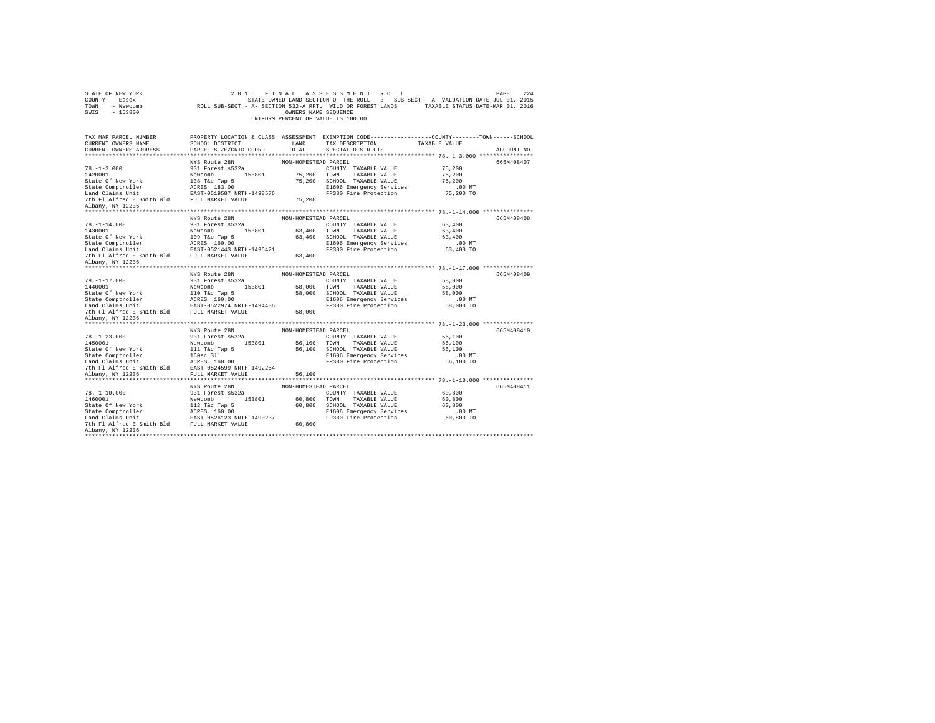| STATE OF NEW YORK<br>COUNTY - Essex<br>TOWN - Newcomb<br>SWIS<br>$-153800$ | ROLL SUB-SECT - A- SECTION 532-A RPTL WILD OR FOREST LANDS TAXABLE STATUS DATE-MAR 01, 2016 | OWNERS NAME SEQUENCE | 2016 FINAL ASSESSMENT ROLL<br>STATE OWNED LAND SECTION OF THE ROLL - 3 SUB-SECT - A VALUATION DATE-JUL 01, 2015<br>UNIFORM PERCENT OF VALUE IS 100.00 |               | 224<br>PAGE |
|----------------------------------------------------------------------------|---------------------------------------------------------------------------------------------|----------------------|-------------------------------------------------------------------------------------------------------------------------------------------------------|---------------|-------------|
| TAX MAP PARCEL NUMBER                                                      |                                                                                             |                      | PROPERTY LOCATION & CLASS ASSESSMENT EXEMPTION CODE---------------COUNTY-------TOWN-----SCHOOL                                                        |               |             |
| CURRENT OWNERS NAME                                                        | SCHOOL DISTRICT                                                                             | LAND                 | TAX DESCRIPTION                                                                                                                                       | TAXABLE VALUE |             |
| CURRENT OWNERS ADDRESS                                                     | PARCEL SIZE/GRID COORD                                                                      | TOTAL.               | SPECIAL DISTRICTS                                                                                                                                     |               | ACCOUNT NO. |
|                                                                            |                                                                                             |                      |                                                                                                                                                       |               |             |
| $78. - 1 - 3.000$                                                          | NYS Route 28N<br>931 Forest s532a                                                           | NON-HOMESTEAD PARCEL | COUNTY TAXABLE VALUE                                                                                                                                  | 75,200        | 665M408407  |
| 1420001                                                                    | Newcomb 153801                                                                              |                      | 75,200 TOWN TAXABLE VALUE                                                                                                                             | 75,200        |             |
| State Of New York                                                          | 108 T&c Twp 5                                                                               |                      | 75,200 SCHOOL TAXABLE VALUE                                                                                                                           | 75,200        |             |
| State Comptroller                                                          | ACRES 183.00                                                                                |                      | E1606 Emergency Services                                                                                                                              | $.00$ MT      |             |
| Land Claims Unit                                                           | EAST-0519587 NRTH-1498576                                                                   |                      | FP380 Fire Protection                                                                                                                                 | 75,200 TO     |             |
| 7th Fl Alfred E Smith Bld FULL MARKET VALUE                                |                                                                                             | 75,200               |                                                                                                                                                       |               |             |
| Albany, NY 12236                                                           |                                                                                             |                      |                                                                                                                                                       |               |             |
|                                                                            |                                                                                             |                      |                                                                                                                                                       |               |             |
|                                                                            | NYS Route 28N                                                                               | NON-HOMESTEAD PARCEL |                                                                                                                                                       |               | 665M408408  |
| $78. - 1 - 14.000$                                                         | 931 Forest s532a                                                                            |                      | COUNTY TAXABLE VALUE                                                                                                                                  | 63,400        |             |
| 1430001                                                                    | Newcomb 153801                                                                              | 63,400 TOWN          | TAXABLE VALUE                                                                                                                                         | 63,400        |             |
| State Of New York                                                          | 109 T&c Twp 5                                                                               |                      | 63,400 SCHOOL TAXABLE VALUE                                                                                                                           | 63,400        |             |
| State Comptroller<br>Land Claims Unit                                      | ACRES 160.00                                                                                |                      | E1606 Emergency Services                                                                                                                              | $.00$ MT      |             |
|                                                                            | EAST-0521443 NRTH-1496421                                                                   |                      | FP380 Fire Protection                                                                                                                                 | 63,400 TO     |             |
| 7th Fl Alfred E Smith Bld FULL MARKET VALUE<br>Albany, NY 12236            |                                                                                             | 63,400               |                                                                                                                                                       |               |             |
|                                                                            |                                                                                             |                      |                                                                                                                                                       |               |             |
|                                                                            | NYS Route 28N                                                                               | NON-HOMESTEAD PARCEL |                                                                                                                                                       |               | 665M408409  |
| $78. - 1 - 17.000$                                                         | 931 Forest s532a                                                                            |                      | COUNTY TAXABLE VALUE                                                                                                                                  | 58,000        |             |
| 1440001                                                                    | Newcomb 153801                                                                              | 58,000 TOWN          | TAXABLE VALUE                                                                                                                                         | 58,000        |             |
| State Of New York                                                          | $110$ T&C Twp $5$                                                                           |                      | 58,000 SCHOOL TAXABLE VALUE                                                                                                                           | 58,000        |             |
| State Comptroller                                                          | ACRES 160.00                                                                                |                      | E1606 Emergency Services                                                                                                                              | $.00$ MT      |             |
| Land Claims Unit EAST-0522974 NRTH-1494436                                 |                                                                                             |                      | FP380 Fire Protection                                                                                                                                 | 58,000 TO     |             |
| 7th Fl Alfred E Smith Bld FULL MARKET VALUE                                |                                                                                             | 58,000               |                                                                                                                                                       |               |             |
| Albany, NY 12236                                                           |                                                                                             |                      |                                                                                                                                                       |               |             |
| ********************                                                       |                                                                                             |                      |                                                                                                                                                       |               |             |
|                                                                            |                                                                                             |                      |                                                                                                                                                       |               |             |
|                                                                            | NYS Route 28N                                                                               | NON-HOMESTEAD PARCEL |                                                                                                                                                       |               | 665M408410  |
| $78. - 1 - 23.000$                                                         | 931 Forest s532a                                                                            |                      | COUNTY TAXABLE VALUE                                                                                                                                  | 56,100        |             |
| 1450001                                                                    | Newcomb 153801                                                                              |                      | 56,100 TOWN<br>TAXABLE VALUE                                                                                                                          | 56,100        |             |
| State Of New York                                                          | 111 T&c Twp 5                                                                               |                      | 56,100 SCHOOL TAXABLE VALUE                                                                                                                           | 56,100        |             |
| State Comptroller                                                          | 160ac Sll                                                                                   |                      | E1606 Emergency Services                                                                                                                              | $.00$ MT      |             |
| Land Claims Unit                                                           | $ACRES \t160.00$                                                                            |                      | FP380 Fire Protection                                                                                                                                 | 56,100 TO     |             |
| 7th Fl Alfred E Smith Bld EAST-0524599 NRTH-1492254<br>Albany, NY 12236    | FULL MARKET VALUE                                                                           | 56,100               |                                                                                                                                                       |               |             |
|                                                                            |                                                                                             |                      |                                                                                                                                                       |               |             |
|                                                                            | NYS Route 28N                                                                               | NON-HOMESTEAD PARCEL |                                                                                                                                                       |               | 665M408411  |
| $78. - 1 - 10.000$                                                         | 931 Forest s532a                                                                            |                      | COUNTY TAXABLE VALUE                                                                                                                                  | 60,800        |             |
| 1460001                                                                    | Newcomb<br>153801                                                                           | 60,800 TOWN          | TAXABLE VALUE                                                                                                                                         | 60,800        |             |
| State Of New York                                                          | 112 T&c Twp 5                                                                               |                      | 60,800 SCHOOL TAXABLE VALUE                                                                                                                           | 60,800        |             |
| State Comptroller                                                          | ACRES 160.00                                                                                |                      | E1606 Emergency Services                                                                                                                              | $.00$ MT      |             |
| Land Claims Unit                                                           | EAST-0526123 NRTH-1490237                                                                   |                      | FP380 Fire Protection                                                                                                                                 | 60,800 TO     |             |
| 7th Fl Alfred E Smith Bld FULL MARKET VALUE<br>Albany, NY 12236            |                                                                                             | 60,800               |                                                                                                                                                       |               |             |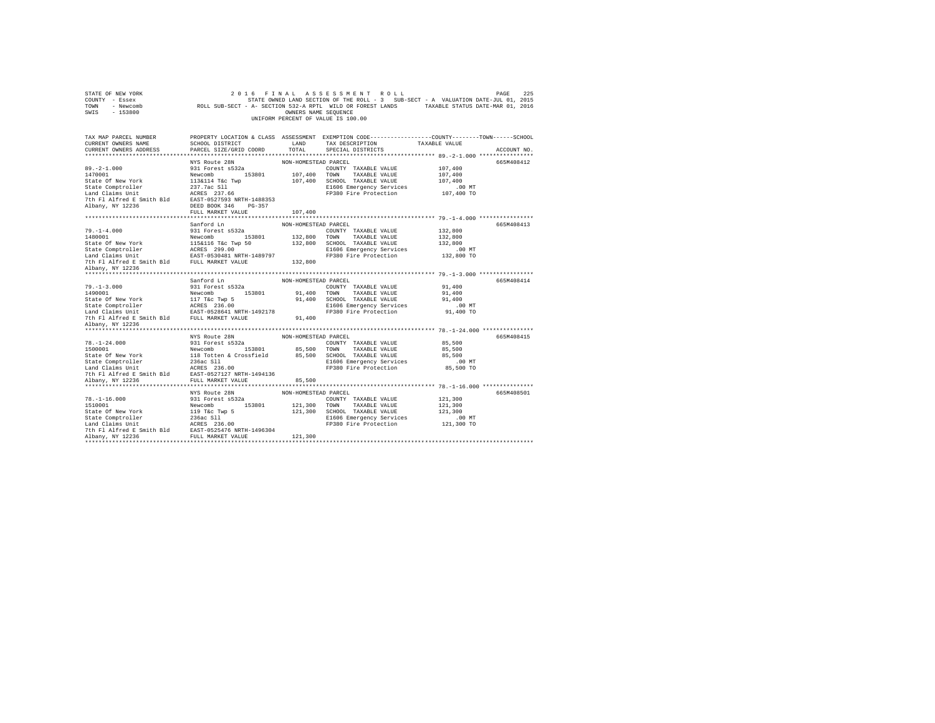| STATE OF NEW YORK<br>COUNTY - Essex<br>TOWN - Newcomb<br>SWIS - 153800 |                                                                                                                                          | OWNERS NAME SEQUENCE | 2016 FINAL ASSESSMENT ROLL<br>STATE OWNED LAND SECTION OF THE ROLL - 3 SUB-SECT - A VALUATION DATE-JUL 01, 2015<br>ROLL SUB-SECT - A- SECTION 532-A RPTL WILD OR FOREST LANDS TAXABLE STATUS DATE-MAR 01, 2016<br>UNIFORM PERCENT OF VALUE IS 100.00 |                                                         | 225<br>PAGE |
|------------------------------------------------------------------------|------------------------------------------------------------------------------------------------------------------------------------------|----------------------|------------------------------------------------------------------------------------------------------------------------------------------------------------------------------------------------------------------------------------------------------|---------------------------------------------------------|-------------|
| TAX MAP PARCEL NUMBER<br>CURRENT OWNERS NAME<br>CURRENT OWNERS ADDRESS | SCHOOL DISTRICT<br>PARCEL SIZE/GRID COORD                                                                                                | LAND<br>TOTAL        | PROPERTY LOCATION & CLASS ASSESSMENT EXEMPTION CODE---------------COUNTY-------TOWN------SCHOOL<br>TAX DESCRIPTION<br>SPECIAL DISTRICTS                                                                                                              | TAXABLE VALUE                                           | ACCOUNT NO. |
|                                                                        |                                                                                                                                          |                      |                                                                                                                                                                                                                                                      |                                                         |             |
| $89. -2 - 1.000$<br>1470001<br>State Of New York                       | NYS Route 28N<br>931 Forest s532a<br>Newcomb 153801<br>113&114 T&c Twp                                                                   | NON-HOMESTEAD PARCEL | COUNTY TAXABLE VALUE<br>107,400 TOWN TAXABLE VALUE<br>107,400 SCHOOL TAXABLE VALUE<br>E1606 Emergency Services<br>FP380 Fire Protection                                                                                                              | 107,400<br>107,400<br>107,400<br>$.00$ MT<br>107,400 TO | 665M408412  |
|                                                                        |                                                                                                                                          |                      |                                                                                                                                                                                                                                                      |                                                         |             |
|                                                                        | FULL MARKET VALUE                                                                                                                        | 107,400              |                                                                                                                                                                                                                                                      |                                                         |             |
| $79. - 1 - 4.000$                                                      | Sanford Ln                                                                                                                               | NON-HOMESTEAD PARCEL |                                                                                                                                                                                                                                                      | 132,800                                                 | 665M408413  |
| 1480001                                                                | 931 Forest s532a                                                                                                                         |                      | COUNTY TAXABLE VALUE<br>TAXABLE VALUE                                                                                                                                                                                                                | 132,800                                                 |             |
| State Of New York                                                      | Newcomb 153801 132,800 TOWN<br>115&116 T&C Twp 50 132,800 SCHOOL<br>ACRES 299.00 HOME 21606 EAGRES<br>EAST-0530481 NRTH-1489797 FP380 F: |                      | 132,800 SCHOOL TAXABLE VALUE                                                                                                                                                                                                                         | 132,800                                                 |             |
| State Comptroller                                                      |                                                                                                                                          |                      |                                                                                                                                                                                                                                                      | $.00$ MT                                                |             |
| Land Claims Unit                                                       |                                                                                                                                          |                      | E1606 Emergency Services<br>FP380 Fire Protection                                                                                                                                                                                                    | 132,800 TO                                              |             |
| 7th Fl Alfred E Smith Bld FULL MARKET VALUE                            |                                                                                                                                          | 132,800              |                                                                                                                                                                                                                                                      |                                                         |             |
| Albany, NY 12236                                                       |                                                                                                                                          |                      |                                                                                                                                                                                                                                                      |                                                         |             |
|                                                                        |                                                                                                                                          |                      |                                                                                                                                                                                                                                                      |                                                         |             |
|                                                                        | Sanford Ln                                                                                                                               | NON-HOMESTEAD PARCEL |                                                                                                                                                                                                                                                      |                                                         | 665M408414  |
| $79. - 1 - 3.000$                                                      | 931 Forest s532a                                                                                                                         |                      | COUNTY TAXABLE VALUE                                                                                                                                                                                                                                 | 91,400                                                  |             |
| 1490001                                                                | Newcomb 153801                                                                                                                           |                      | 91,400 TOWN TAXABLE VALUE                                                                                                                                                                                                                            | 91,400                                                  |             |
| State Of New York                                                      | 117 T&C Twp 5<br>ACRES 236.00<br>EAST-0528641 NRTH-1492178                                                                               |                      | 91,400 SCHOOL TAXABLE VALUE                                                                                                                                                                                                                          | 91,400                                                  |             |
| State Comptroller                                                      |                                                                                                                                          |                      | E1606 Emergency Services                                                                                                                                                                                                                             | $.00$ MT                                                |             |
| Land Claims Unit                                                       |                                                                                                                                          |                      | FP380 Fire Protection                                                                                                                                                                                                                                | 91,400 TO                                               |             |
| 7th Fl Alfred E Smith Bld FULL MARKET VALUE                            |                                                                                                                                          | 91,400               |                                                                                                                                                                                                                                                      |                                                         |             |
| Albany, NY 12236                                                       |                                                                                                                                          |                      |                                                                                                                                                                                                                                                      |                                                         |             |
|                                                                        |                                                                                                                                          |                      |                                                                                                                                                                                                                                                      |                                                         |             |
|                                                                        | NYS Route 28N                                                                                                                            | NON-HOMESTEAD PARCEL |                                                                                                                                                                                                                                                      |                                                         | 665M408415  |
| $78. - 1 - 24.000$                                                     | 931 Forest s532a                                                                                                                         |                      | COUNTY TAXABLE VALUE                                                                                                                                                                                                                                 | 85,500                                                  |             |
|                                                                        |                                                                                                                                          |                      | 85,500 TOWN TAXABLE VALUE                                                                                                                                                                                                                            | 85,500                                                  |             |
|                                                                        |                                                                                                                                          |                      | SCHOOL TAXABLE VALUE                                                                                                                                                                                                                                 | 85,500                                                  |             |
|                                                                        |                                                                                                                                          |                      | E1606 Emergency Services<br>FP380 Fire Protection                                                                                                                                                                                                    | $.00$ MT<br>85,500 TO                                   |             |
|                                                                        |                                                                                                                                          |                      |                                                                                                                                                                                                                                                      |                                                         |             |
|                                                                        |                                                                                                                                          |                      |                                                                                                                                                                                                                                                      |                                                         |             |
|                                                                        |                                                                                                                                          |                      |                                                                                                                                                                                                                                                      |                                                         |             |
|                                                                        | NYS Route 28N                                                                                                                            | NON-HOMESTEAD PARCEL |                                                                                                                                                                                                                                                      |                                                         | 665M408501  |
|                                                                        |                                                                                                                                          |                      | COUNTY TAXABLE VALUE                                                                                                                                                                                                                                 | 121,300                                                 |             |
|                                                                        |                                                                                                                                          |                      | 121,300 TOWN TAXABLE VALUE                                                                                                                                                                                                                           | 121,300                                                 |             |
|                                                                        |                                                                                                                                          |                      | 121,300 SCHOOL TAXABLE VALUE                                                                                                                                                                                                                         | 121,300                                                 |             |
|                                                                        |                                                                                                                                          |                      | E1606 Emergency Services                                                                                                                                                                                                                             | $.00$ MT                                                |             |
|                                                                        |                                                                                                                                          |                      | FP380 Fire Protection                                                                                                                                                                                                                                | 121,300 TO                                              |             |
|                                                                        |                                                                                                                                          |                      |                                                                                                                                                                                                                                                      |                                                         |             |
|                                                                        |                                                                                                                                          | 121,300              |                                                                                                                                                                                                                                                      |                                                         |             |
|                                                                        |                                                                                                                                          |                      |                                                                                                                                                                                                                                                      |                                                         |             |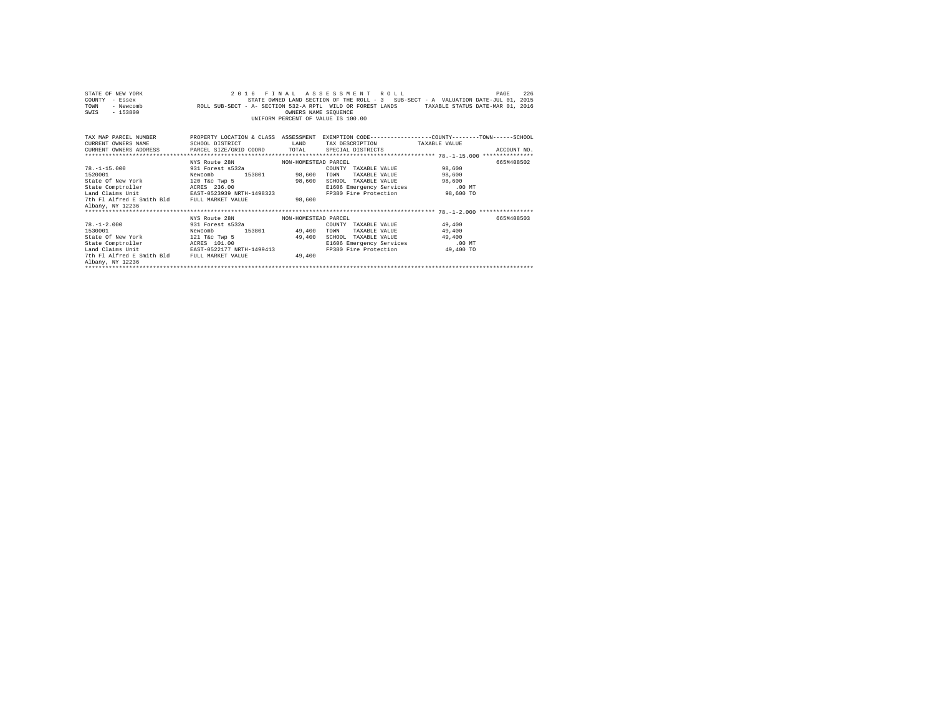| STATE OF NEW YORK                                                                                                                                                                                                                 |                                    | 2016 FINAL ASSESSMENT ROLL         |      |                                                                                   | PAGE     | 226         |
|-----------------------------------------------------------------------------------------------------------------------------------------------------------------------------------------------------------------------------------|------------------------------------|------------------------------------|------|-----------------------------------------------------------------------------------|----------|-------------|
| COUNTY - Essex                                                                                                                                                                                                                    |                                    |                                    |      | STATE OWNED LAND SECTION OF THE ROLL - 3 SUB-SECT - A VALUATION DATE-JUL 01, 2015 |          |             |
| - ESSEA (2011) STATES AND SALLING OF THE RUBBLY AND ASSEARCED AND ARREST THE VIOLATION OF THE MAIL OF A VALUE O<br>- Newcomb ROLL SUB-SECT - A-SECTION 532-A RPTL WILD OR FOREST LANDS - TAXABLE STATUS DATE-MAR 01. 2016<br>TOWN |                                    |                                    |      |                                                                                   |          |             |
| $-153800$<br>SWIS                                                                                                                                                                                                                 |                                    | OWNERS NAME SEQUENCE               |      |                                                                                   |          |             |
|                                                                                                                                                                                                                                   |                                    | UNIFORM PERCENT OF VALUE IS 100.00 |      |                                                                                   |          |             |
|                                                                                                                                                                                                                                   |                                    |                                    |      |                                                                                   |          |             |
|                                                                                                                                                                                                                                   |                                    |                                    |      |                                                                                   |          |             |
| TAX MAP PARCEL NUMBER PROPERTY LOCATION & CLASS ASSESSMENT EXEMPTION CODE--------------COUNTY-------TOWN-----SCHOOL                                                                                                               |                                    |                                    |      |                                                                                   |          |             |
| CURRENT OWNERS NAME                                                                                                                                                                                                               | SCHOOL DISTRICT                    | <b>EAND</b>                        |      | TAX DESCRIPTION TAXABLE VALUE                                                     |          |             |
| CURRENT OWNERS ADDRESS PARCEL SIZE/GRID COORD TOTAL SPECIAL DISTRICTS                                                                                                                                                             |                                    |                                    |      |                                                                                   |          | ACCOUNT NO. |
|                                                                                                                                                                                                                                   |                                    |                                    |      |                                                                                   |          |             |
|                                                                                                                                                                                                                                   | NYS Route 28N MON-HOMESTEAD PARCEL |                                    |      |                                                                                   |          | 665M408502  |
| $78. -1 - 15.000$                                                                                                                                                                                                                 | 931 Forest s532a                   |                                    |      | COUNTY TAXABLE VALUE 98,600                                                       |          |             |
| 1520001                                                                                                                                                                                                                           | Newcomb                            | 153801 98,600                      | TOWN | TAXABLE VALUE 98,600                                                              |          |             |
| State Of New York 120 T&c Twp 5 98,600                                                                                                                                                                                            |                                    |                                    |      | SCHOOL TAXABLE VALUE 98,600                                                       |          |             |
|                                                                                                                                                                                                                                   |                                    |                                    |      | E1606 Emergency Services                                                          | $.00$ MT |             |
|                                                                                                                                                                                                                                   |                                    |                                    |      | FP380 Fire Protection 98,600 TO                                                   |          |             |
| 7th Fl Alfred E Smith Bld FULL MARKET VALUE                                                                                                                                                                                       |                                    | 98.600                             |      |                                                                                   |          |             |
| Albany, NY 12236                                                                                                                                                                                                                  |                                    |                                    |      |                                                                                   |          |             |
|                                                                                                                                                                                                                                   |                                    |                                    |      |                                                                                   |          |             |
|                                                                                                                                                                                                                                   | NYS Route 28N MON-HOMESTEAD PARCEL |                                    |      |                                                                                   |          | 665M408503  |
| 78.-1-2.000 931 Forest s532a                                                                                                                                                                                                      |                                    |                                    |      | COUNTY TAXABLE VALUE 49,400                                                       |          |             |
| 1530001                                                                                                                                                                                                                           | Newcomb                            | 153801 49,400                      | TOWN | TAXABLE VALUE 49,400                                                              |          |             |
| State Of New York 121 T&c Twp 5 49,400                                                                                                                                                                                            |                                    |                                    |      | SCHOOL TAXABLE VALUE 49,400                                                       |          |             |
| State Comptroller ACRES 101.00                                                                                                                                                                                                    |                                    |                                    |      | E1606 Emergency Services                                                          | .00MT    |             |
| Land Claims Unit EAST-0522177 NRTH-1499413                                                                                                                                                                                        |                                    |                                    |      | FP380 Fire Protection 49,400 TO                                                   |          |             |
| 7th Fl Alfred E Smith Bld FULL MARKET VALUE                                                                                                                                                                                       |                                    | 49.400                             |      |                                                                                   |          |             |
| Albany, NY 12236                                                                                                                                                                                                                  |                                    |                                    |      |                                                                                   |          |             |
|                                                                                                                                                                                                                                   |                                    |                                    |      |                                                                                   |          |             |
|                                                                                                                                                                                                                                   |                                    |                                    |      |                                                                                   |          |             |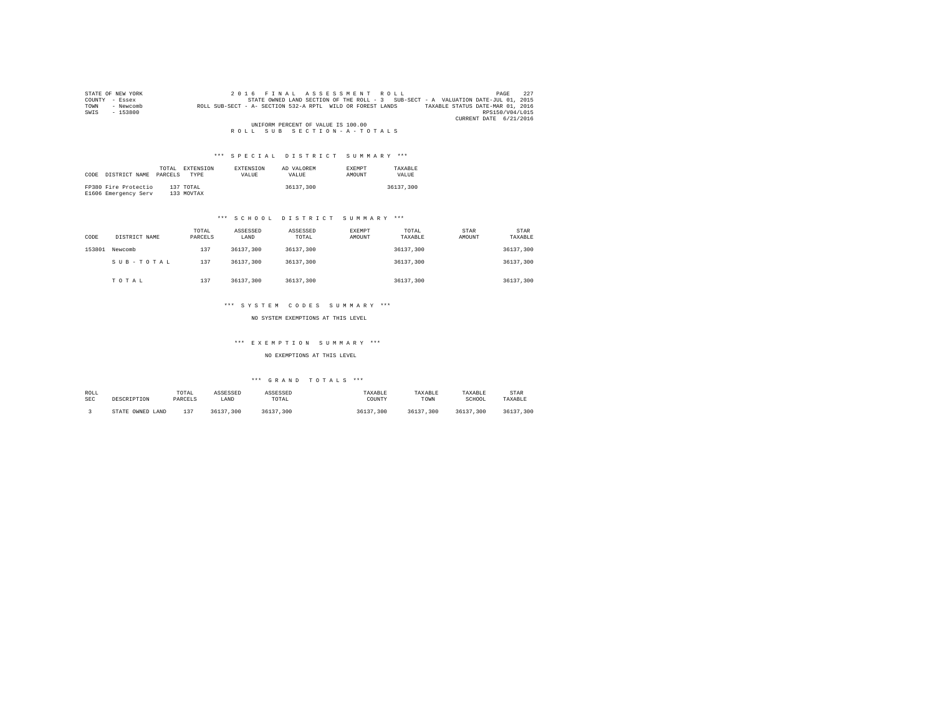|      | STATE OF NEW YORK |  |                                    | 2016 FINAL ASSESSMENT ROLL                                                        | 227<br>PAGE                      |
|------|-------------------|--|------------------------------------|-----------------------------------------------------------------------------------|----------------------------------|
|      | COUNTY - Essex    |  |                                    | STATE OWNED LAND SECTION OF THE ROLL - 3 SUB-SECT - A VALUATION DATE-JUL 01, 2015 |                                  |
| TOWN | - Newcomb         |  |                                    | ROLL SUB-SECT - A- SECTION 532-A RPTL WILD OR FOREST LANDS                        | TAXABLE STATUS DATE-MAR 01, 2016 |
| SWIS | $-153800$         |  |                                    |                                                                                   | RPS150/V04/L015                  |
|      |                   |  |                                    |                                                                                   | CURRENT DATE 6/21/2016           |
|      |                   |  | UNIFORM PERCENT OF VALUE IS 100.00 |                                                                                   |                                  |
|      |                   |  |                                    | ROLL SUB SECTION-A-TOTALS                                                         |                                  |

|      |                      | TOTAL   | EXTENSION  | <b>EXTENSION</b> | AD VALOREM | <b>EXEMPT</b> | TAXARLE   |
|------|----------------------|---------|------------|------------------|------------|---------------|-----------|
| CODE | DISTRICT NAME        | PARCELS | TYPE       | <b>VALUE</b>     | VALUE.     | AMOUNT        | VALUE.    |
|      |                      |         |            |                  |            |               |           |
|      | FP380 Fire Protectio |         | 137 TOTAL  |                  | 36137,300  |               | 36137,300 |
|      | E1606 Emergency Serv |         | 133 MOVTAX |                  |            |               |           |

## \*\*\* S C H O O L D I S T R I C T S U M M A R Y \*\*\*

| CODE   | DISTRICT NAME | TOTAL<br>PARCELS | ASSESSED<br>LAND | ASSESSED<br>TOTAL | <b>EXEMPT</b><br>AMOUNT | TOTAL<br>TAXABLE | STAR<br>AMOUNT | <b>STAR</b><br>TAXABLE |  |
|--------|---------------|------------------|------------------|-------------------|-------------------------|------------------|----------------|------------------------|--|
| 153801 | Newcomb       | 137              | 36137,300        | 36137,300         |                         | 36137.300        |                | 36137,300              |  |
|        | SUB-TOTAL     | 137              | 36137,300        | 36137,300         |                         | 36137.300        |                | 36137,300              |  |
|        | TOTAL         | 137              | 36137,300        | 36137,300         |                         | 36137.300        |                | 36137,300              |  |

## \*\*\* S Y S T E M C O D E S S U M M A R Y \*\*\*

NO SYSTEM EXEMPTIONS AT THIS LEVEL

## \*\*\* E X E M P T I O N S U M M A R Y \*\*\*

NO EXEMPTIONS AT THIS LEVEL

| ROLL       | DESCRIPTION      | TOTAL   | ASSESSED  | ASSESSED  | TAXABLE   | TAXABLE   | TAXABLE   | STAR          |
|------------|------------------|---------|-----------|-----------|-----------|-----------|-----------|---------------|
| <b>SEC</b> |                  | PARCELS | LAND      | TOTAL     | COUNTY    | TOWN      | SCHOOL    | TAXABLE       |
|            | STATE OWNED LAND | 127     | 36137.300 | 36137.300 | 36137,300 | 36137.300 | 36137.300 | 36137<br>.300 |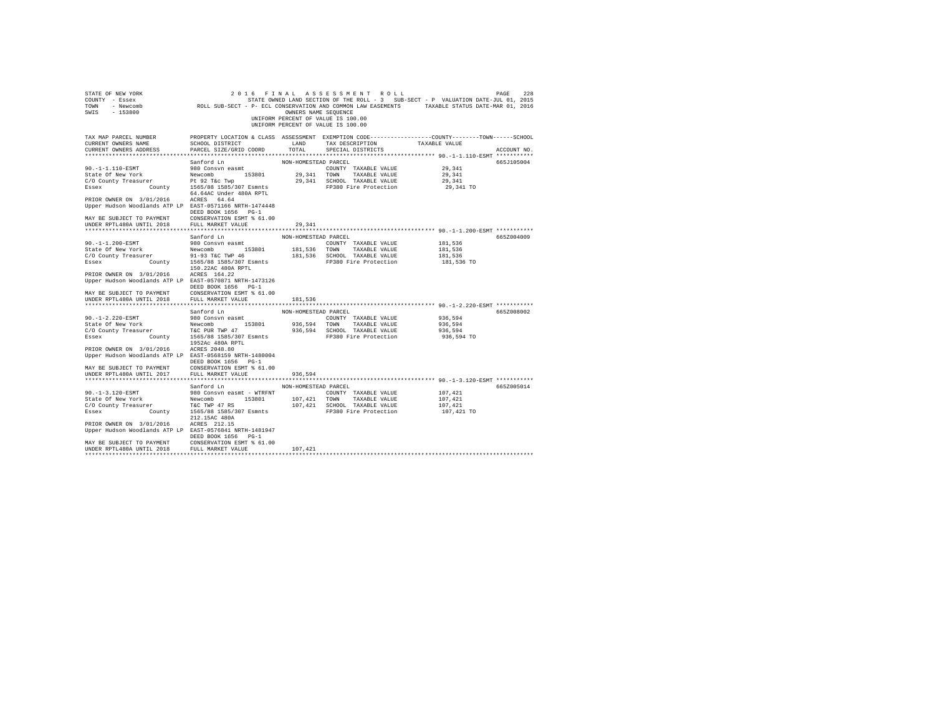| STATE OF NEW YORK<br>COUNTY - Essex<br>TOWN - Newcomb<br>SWIS - 153800                               | ROLL SUB-SECT - P- ECL CONSERVATION AND COMMON LAW EASEMENTS TAXABLE STATUS DATE-MAR 01, 2016                                                 | OWNERS NAME SEQUENCE | 2016 FINAL ASSESSMENT ROLL<br>UNIFORM PERCENT OF VALUE IS 100.00<br>UNIFORM PERCENT OF VALUE IS 100.00 | STATE OWNED LAND SECTION OF THE ROLL - 3 SUB-SECT - P VALUATION DATE-JUL 01, 2015 | 228<br>PAGE |
|------------------------------------------------------------------------------------------------------|-----------------------------------------------------------------------------------------------------------------------------------------------|----------------------|--------------------------------------------------------------------------------------------------------|-----------------------------------------------------------------------------------|-------------|
| TAX MAP PARCEL NUMBER<br>CURRENT OWNERS NAME<br>CURRENT OWNERS ADDRESS<br>************************** | PROPERTY LOCATION & CLASS ASSESSMENT EXEMPTION CODE----------------COUNTY-------TOWN------SCHOOL<br>SCHOOL DISTRICT<br>PARCEL SIZE/GRID COORD | LAND<br>TOTAL        | TAX DESCRIPTION<br>SPECIAL DISTRICTS                                                                   | TAXABLE VALUE                                                                     | ACCOUNT NO. |
|                                                                                                      | Sanford Ln                                                                                                                                    | NON-HOMESTEAD PARCEL |                                                                                                        |                                                                                   | 665J105004  |
| 90. -1-1.110-ESMT                                                                                    | 980 Consvn easmt                                                                                                                              |                      | COUNTY TAXABLE VALUE                                                                                   | 29,341                                                                            |             |
| State Of New York                                                                                    | 153801<br>Newcomb                                                                                                                             | 29,341 TOWN          | TAXABLE VALUE                                                                                          | 29,341                                                                            |             |
| C/O County Treasurer                                                                                 | Pt 92 T&c Twp                                                                                                                                 |                      | 29,341 SCHOOL TAXABLE VALUE                                                                            | 29,341                                                                            |             |
| Essex<br>County                                                                                      | 1565/88 1585/307 Esmnts                                                                                                                       |                      | FP380 Fire Protection                                                                                  | 29,341 TO                                                                         |             |
|                                                                                                      | 64.64AC Under 480A RPTL                                                                                                                       |                      |                                                                                                        |                                                                                   |             |
| PRIOR OWNER ON 3/01/2016 ACRES 64.64                                                                 |                                                                                                                                               |                      |                                                                                                        |                                                                                   |             |
| Upper Hudson Woodlands ATP LP EAST-0571166 NRTH-1474448                                              |                                                                                                                                               |                      |                                                                                                        |                                                                                   |             |
|                                                                                                      | DEED BOOK 1656 PG-1                                                                                                                           |                      |                                                                                                        |                                                                                   |             |
| MAY BE SUBJECT TO PAYMENT                                                                            | CONSERVATION ESMT % 61.00                                                                                                                     |                      |                                                                                                        |                                                                                   |             |
| UNDER RPTL480A UNTIL 2018                                                                            | FULL MARKET VALUE                                                                                                                             | 29,341               |                                                                                                        |                                                                                   |             |
|                                                                                                      |                                                                                                                                               |                      |                                                                                                        |                                                                                   |             |
|                                                                                                      | Sanford Ln                                                                                                                                    | NON-HOMESTEAD PARCEL |                                                                                                        |                                                                                   | 665Z004009  |
| $90. -1 - 1.200 - ESMT$                                                                              | 980 Consyn easmt<br>Newcomb 153801                                                                                                            | 181,536 TOWN         | COUNTY TAXABLE VALUE<br>TAXABLE VALUE                                                                  | 181.536                                                                           |             |
| State Of New York<br>C/O County Treasurer                                                            | 91-93 T&C TWP 46                                                                                                                              |                      | 181,536 SCHOOL TAXABLE VALUE                                                                           | 181,536<br>181,536                                                                |             |
| Essex County                                                                                         | 1565/88 1585/307 Esmnts                                                                                                                       |                      | FP380 Fire Protection                                                                                  | 181,536 TO                                                                        |             |
|                                                                                                      | 150.22AC 480A RPTL                                                                                                                            |                      |                                                                                                        |                                                                                   |             |
| PRIOR OWNER ON 3/01/2016                                                                             | ACRES 164.22                                                                                                                                  |                      |                                                                                                        |                                                                                   |             |
| Upper Hudson Woodlands ATP LP EAST-0570871 NRTH-1473126                                              |                                                                                                                                               |                      |                                                                                                        |                                                                                   |             |
|                                                                                                      | DEED BOOK 1656 PG-1                                                                                                                           |                      |                                                                                                        |                                                                                   |             |
| MAY BE SUBJECT TO PAYMENT                                                                            | CONSERVATION ESMT % 61.00                                                                                                                     |                      |                                                                                                        |                                                                                   |             |
| UNDER RPTL480A UNTIL 2018                                                                            | FULL MARKET VALUE                                                                                                                             | 181,536              |                                                                                                        |                                                                                   |             |
|                                                                                                      |                                                                                                                                               |                      |                                                                                                        |                                                                                   |             |
|                                                                                                      | Sanford Ln                                                                                                                                    | NON-HOMESTEAD PARCEL |                                                                                                        |                                                                                   | 665Z008002  |
| $90. -1 - 2.220 - ESMT$                                                                              | 980 Consvn easmt                                                                                                                              |                      | COUNTY TAXABLE VALUE                                                                                   | 936,594                                                                           |             |
| State Of New York<br>C/O County Treasurer                                                            | Newcomb 153801                                                                                                                                |                      | 936,594 TOWN TAXABLE VALUE                                                                             | 936,594                                                                           |             |
| Essex                                                                                                | er T&C PUR TWP 47<br>County 1565/88 1585/307 Esmnts                                                                                           |                      | 936,594 SCHOOL TAXABLE VALUE<br>FP380 Fire Protection                                                  | 936,594<br>936,594 TO                                                             |             |
|                                                                                                      | 1952Ac 480A RPTL                                                                                                                              |                      |                                                                                                        |                                                                                   |             |
| PRIOR OWNER ON 3/01/2016                                                                             | ACRES 2048.80                                                                                                                                 |                      |                                                                                                        |                                                                                   |             |
| Upper Hudson Woodlands ATP LP EAST-0568159 NRTH-1480004                                              |                                                                                                                                               |                      |                                                                                                        |                                                                                   |             |
|                                                                                                      | DEED BOOK 1656 PG-1                                                                                                                           |                      |                                                                                                        |                                                                                   |             |
| MAY BE SUBJECT TO PAYMENT                                                                            | CONSERVATION ESMT % 61.00                                                                                                                     |                      |                                                                                                        |                                                                                   |             |
| UNDER RPTL480A UNTIL 2017                                                                            | FULL MARKET VALUE                                                                                                                             | 936.594              |                                                                                                        |                                                                                   |             |
|                                                                                                      |                                                                                                                                               |                      |                                                                                                        |                                                                                   |             |
|                                                                                                      | Sanford Ln                                                                                                                                    | NON-HOMESTEAD PARCEL |                                                                                                        |                                                                                   | 665Z005014  |
| $90. -1 - 3.120 - ESMT$                                                                              | 980 Consvn easmt - WTRFNT                                                                                                                     |                      | COUNTY TAXABLE VALUE                                                                                   | 107,421                                                                           |             |
| State Of New York                                                                                    | Newcomb 153801                                                                                                                                | 107,421 TOWN         | TAXABLE VALUE                                                                                          | 107,421                                                                           |             |
| C/O County Treasurer                                                                                 | T&C TWP 47 RS                                                                                                                                 |                      | 107,421 SCHOOL TAXABLE VALUE                                                                           | 107,421                                                                           |             |
| Essex<br>County                                                                                      | 1565/88 1585/307 Esmnts<br>212.15AC 480A                                                                                                      |                      | FP380 Fire Protection                                                                                  | 107,421 TO                                                                        |             |
|                                                                                                      |                                                                                                                                               |                      |                                                                                                        |                                                                                   |             |
| PRIOR OWNER ON 3/01/2016<br>Upper Hudson Woodlands ATP LP EAST-0576841 NRTH-1481947                  | ACRES 212.15                                                                                                                                  |                      |                                                                                                        |                                                                                   |             |
|                                                                                                      | DEED BOOK 1656 PG-1                                                                                                                           |                      |                                                                                                        |                                                                                   |             |
| MAY BE SUBJECT TO PAYMENT                                                                            | CONSERVATION ESMT % 61.00                                                                                                                     |                      |                                                                                                        |                                                                                   |             |
| UNDER RPTL480A UNTIL 2018                                                                            | FULL MARKET VALUE                                                                                                                             | 107,421              |                                                                                                        |                                                                                   |             |
|                                                                                                      |                                                                                                                                               |                      |                                                                                                        |                                                                                   |             |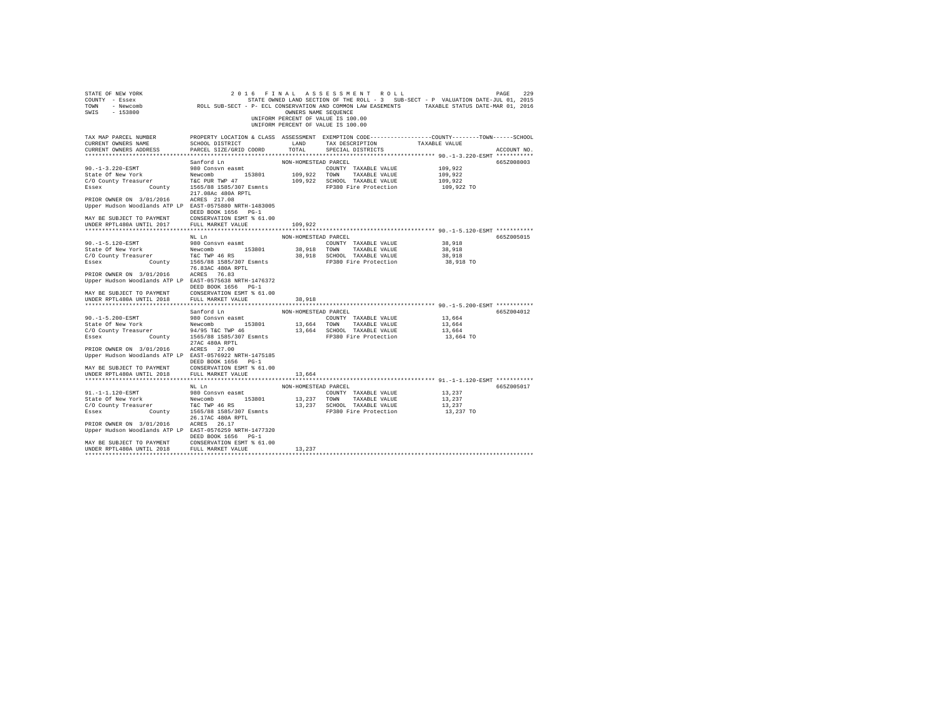| STATE OF NEW YORK<br>COUNTY - Essex<br>CONNI – NEWCOMB – ROLL SUB-SECT – P ECL CONSERVATION AND COMMON LAW EASEMENTS – TAXABLE STATUS DATE-MAR 01, 2016<br>SWIS - 153800 |                                                                                                                                               | OWNERS NAME SEQUENCE | 2016 FINAL ASSESSMENT ROLL<br>UNIFORM PERCENT OF VALUE IS 100.00<br>UNIFORM PERCENT OF VALUE IS 100.00 | STATE OWNED LAND SECTION OF THE ROLL - 3 SUB-SECT - P VALUATION DATE-JUL 01, 2015 | 229<br>PAGE |
|--------------------------------------------------------------------------------------------------------------------------------------------------------------------------|-----------------------------------------------------------------------------------------------------------------------------------------------|----------------------|--------------------------------------------------------------------------------------------------------|-----------------------------------------------------------------------------------|-------------|
| TAX MAP PARCEL NUMBER<br>CURRENT OWNERS NAME<br>CURRENT OWNERS ADDRESS                                                                                                   | PROPERTY LOCATION & CLASS ASSESSMENT EXEMPTION CODE----------------COUNTY-------TOWN------SCHOOL<br>SCHOOL DISTRICT<br>PARCEL SIZE/GRID COORD | LAND<br>TOTAL        | TAX DESCRIPTION<br>SPECIAL DISTRICTS                                                                   | TAXABLE VALUE                                                                     | ACCOUNT NO. |
|                                                                                                                                                                          | Sanford Ln                                                                                                                                    | NON-HOMESTEAD PARCEL |                                                                                                        |                                                                                   | 665Z008003  |
| $90. -1 - 3.220 - ESMT$                                                                                                                                                  | 980 Consvn easmt                                                                                                                              |                      | COUNTY TAXABLE VALUE                                                                                   | 109,922                                                                           |             |
| State Of New York                                                                                                                                                        | Newcomb 153801                                                                                                                                | 109,922 TOWN         | TAXABLE VALUE                                                                                          | 109.922                                                                           |             |
| C/O County Treasurer                                                                                                                                                     | T&C PUR TWP 47                                                                                                                                |                      | 109,922 SCHOOL TAXABLE VALUE                                                                           | 109,922                                                                           |             |
| Essex<br>County                                                                                                                                                          | 1565/88 1585/307 Esmnts                                                                                                                       |                      | FP380 Fire Protection                                                                                  | 109,922 TO                                                                        |             |
|                                                                                                                                                                          | 217.08Ac 480A RPTL                                                                                                                            |                      |                                                                                                        |                                                                                   |             |
| PRIOR OWNER ON 3/01/2016 ACRES 217.08                                                                                                                                    |                                                                                                                                               |                      |                                                                                                        |                                                                                   |             |
| Upper Hudson Woodlands ATP LP EAST-0575880 NRTH-1483005                                                                                                                  |                                                                                                                                               |                      |                                                                                                        |                                                                                   |             |
|                                                                                                                                                                          | DEED BOOK 1656 PG-1                                                                                                                           |                      |                                                                                                        |                                                                                   |             |
| MAY BE SUBJECT TO PAYMENT                                                                                                                                                | CONSERVATION ESMT % 61.00                                                                                                                     |                      |                                                                                                        |                                                                                   |             |
| UNDER RPTL480A UNTIL 2017                                                                                                                                                | FULL MARKET VALUE                                                                                                                             | 109,922              |                                                                                                        |                                                                                   |             |
|                                                                                                                                                                          |                                                                                                                                               |                      |                                                                                                        |                                                                                   |             |
|                                                                                                                                                                          | NL Ln                                                                                                                                         | NON-HOMESTEAD PARCEL |                                                                                                        |                                                                                   | 665Z005015  |
| $90. -1 - 5.120 - ESMT$                                                                                                                                                  | 980 Consvn easmt                                                                                                                              |                      | COUNTY TAXABLE VALUE                                                                                   | 38,918                                                                            |             |
| State Of New York                                                                                                                                                        | Newcomb 153801                                                                                                                                | 38,918 TOWN          | TAXABLE VALUE                                                                                          | 38,918                                                                            |             |
| C/O County Treasurer                                                                                                                                                     | T&C TWP 46 RS                                                                                                                                 |                      | 38,918 SCHOOL TAXABLE VALUE                                                                            | 38,918                                                                            |             |
| Essex County                                                                                                                                                             | 1565/88 1585/307 Esmnts<br>76.83AC 480A RPTL                                                                                                  |                      | FP380 Fire Protection                                                                                  | 38,918 TO                                                                         |             |
| PRIOR OWNER ON 3/01/2016                                                                                                                                                 | ACRES 76.83                                                                                                                                   |                      |                                                                                                        |                                                                                   |             |
| Upper Hudson Woodlands ATP LP EAST-0575638 NRTH-1476372                                                                                                                  | DEED BOOK 1656 PG-1                                                                                                                           |                      |                                                                                                        |                                                                                   |             |
| MAY BE SUBJECT TO PAYMENT                                                                                                                                                | CONSERVATION ESMT % 61.00                                                                                                                     |                      |                                                                                                        |                                                                                   |             |
| UNDER RPTL480A UNTIL 2018                                                                                                                                                | FULL MARKET VALUE                                                                                                                             | 38,918               |                                                                                                        |                                                                                   |             |
|                                                                                                                                                                          |                                                                                                                                               |                      |                                                                                                        |                                                                                   |             |
|                                                                                                                                                                          | Sanford Ln                                                                                                                                    | NON-HOMESTEAD PARCEL |                                                                                                        |                                                                                   | 665Z004012  |
| 90. -1-5.200-ESMT                                                                                                                                                        | 980 Consvn easmt                                                                                                                              |                      | COUNTY TAXABLE VALUE                                                                                   | 13,664                                                                            |             |
| State Of New York                                                                                                                                                        | Newcomb 153801                                                                                                                                |                      | 13,664 TOWN TAXABLE VALUE                                                                              | 13,664                                                                            |             |
| State Of New York<br>C/O County Treasurer 94/95 T&C TWP 46<br>Essex County 1565/88 1585/307 Esmnts<br>The County 1565/88 1585/307 Esmnts                                 |                                                                                                                                               |                      | 13,664 SCHOOL TAXABLE VALUE                                                                            | 13,664                                                                            |             |
|                                                                                                                                                                          |                                                                                                                                               |                      | FP380 Fire Protection                                                                                  | 13,664 TO                                                                         |             |
|                                                                                                                                                                          | 27AC 480A RPTL                                                                                                                                |                      |                                                                                                        |                                                                                   |             |
| PRIOR OWNER ON 3/01/2016                                                                                                                                                 | ACRES 27.00                                                                                                                                   |                      |                                                                                                        |                                                                                   |             |
| Upper Hudson Woodlands ATP LP EAST-0576922 NRTH-1475185                                                                                                                  |                                                                                                                                               |                      |                                                                                                        |                                                                                   |             |
|                                                                                                                                                                          | DEED BOOK 1656 PG-1                                                                                                                           |                      |                                                                                                        |                                                                                   |             |
| MAY BE SUBJECT TO PAYMENT                                                                                                                                                | CONSERVATION ESMT % 61.00                                                                                                                     |                      |                                                                                                        |                                                                                   |             |
| UNDER RPTL480A UNTIL 2018                                                                                                                                                | FULL MARKET VALUE                                                                                                                             | 13,664               |                                                                                                        |                                                                                   |             |
|                                                                                                                                                                          | NL Ln                                                                                                                                         | NON-HOMESTEAD PARCEL |                                                                                                        |                                                                                   | 665Z005017  |
| 91. -1-1.120-ESMT                                                                                                                                                        | 980 Consvn easmt                                                                                                                              |                      | COUNTY TAXABLE VALUE                                                                                   | 13,237                                                                            |             |
| State Of New York                                                                                                                                                        | Newcomb 153801                                                                                                                                | 13,237 TOWN          | TAXABLE VALUE                                                                                          | 13,237                                                                            |             |
| C/O County Treasurer T&C TWP 46 RS                                                                                                                                       |                                                                                                                                               |                      | 13,237 SCHOOL TAXABLE VALUE                                                                            | 13,237                                                                            |             |
| Essex<br>County                                                                                                                                                          | 1565/88 1585/307 Esmnts                                                                                                                       |                      | FP380 Fire Protection                                                                                  | 13,237 TO                                                                         |             |
|                                                                                                                                                                          | 26.17AC 480A RPTL                                                                                                                             |                      |                                                                                                        |                                                                                   |             |
| PRIOR OWNER ON 3/01/2016                                                                                                                                                 | ACRES 26.17                                                                                                                                   |                      |                                                                                                        |                                                                                   |             |
| Upper Hudson Woodlands ATP LP EAST-0576259 NRTH-1477320                                                                                                                  |                                                                                                                                               |                      |                                                                                                        |                                                                                   |             |
|                                                                                                                                                                          | DEED BOOK 1656 PG-1                                                                                                                           |                      |                                                                                                        |                                                                                   |             |
| MAY BE SUBJECT TO PAYMENT                                                                                                                                                | CONSERVATION ESMT % 61.00                                                                                                                     |                      |                                                                                                        |                                                                                   |             |
| UNDER RPTL480A UNTIL 2018                                                                                                                                                | FULL MARKET VALUE                                                                                                                             | 13,237               |                                                                                                        |                                                                                   |             |
|                                                                                                                                                                          |                                                                                                                                               |                      |                                                                                                        |                                                                                   |             |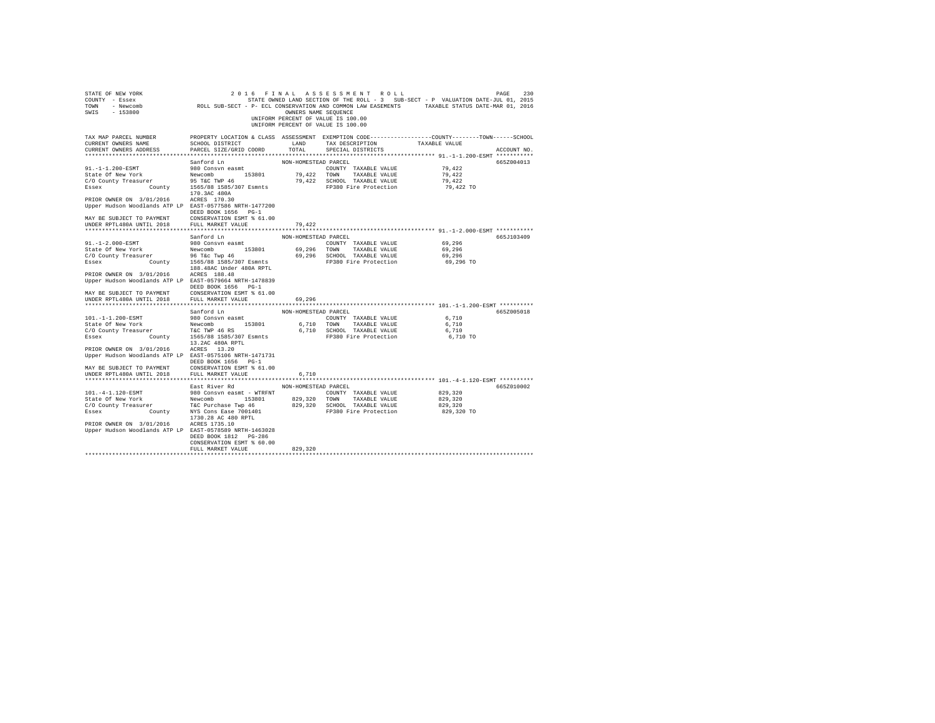| STATE OF NEW YORK<br>COUNTY - Essex<br>TOWN - Newcomb<br>SWIS - 153800                              | ROLL SUB-SECT - P- ECL CONSERVATION AND COMMON LAW EASEMENTS TAXABLE STATUS DATE-MAR 01, 2016                                                 | OWNERS NAME SEQUENCE | 2016 FINAL ASSESSMENT ROLL<br>STATE OWNED LAND SECTION OF THE ROLL - 3 SUB-SECT - P VALUATION DATE-JUL 01, 2015<br>UNIFORM PERCENT OF VALUE IS 100.00<br>UNIFORM PERCENT OF VALUE IS 100.00 |                   | 230<br>PAGE |
|-----------------------------------------------------------------------------------------------------|-----------------------------------------------------------------------------------------------------------------------------------------------|----------------------|---------------------------------------------------------------------------------------------------------------------------------------------------------------------------------------------|-------------------|-------------|
| TAX MAP PARCEL NUMBER<br>CURRENT OWNERS NAME<br>CURRENT OWNERS ADDRESS<br>************************* | PROPERTY LOCATION & CLASS ASSESSMENT EXEMPTION CODE----------------COUNTY-------TOWN------SCHOOL<br>SCHOOL DISTRICT<br>PARCEL SIZE/GRID COORD | LAND<br>TOTAL        | TAX DESCRIPTION<br>SPECIAL DISTRICTS                                                                                                                                                        | TAXABLE VALUE     | ACCOUNT NO. |
|                                                                                                     |                                                                                                                                               |                      |                                                                                                                                                                                             |                   |             |
| $91. -1 - 1.200 - ESMT$                                                                             | Sanford Ln<br>980 Consyn easmt                                                                                                                | NON-HOMESTEAD PARCEL | COUNTY TAXABLE VALUE                                                                                                                                                                        | 79.422            | 665Z004013  |
| State Of New York                                                                                   | Newcomb 153801                                                                                                                                | 79,422 TOWN          | TAXABLE VALUE                                                                                                                                                                               | 79.422            |             |
| C/O County Treasurer                                                                                | 95 T&C TWP 46                                                                                                                                 |                      | 79,422 SCHOOL TAXABLE VALUE                                                                                                                                                                 | 79.422            |             |
| Essex<br>County                                                                                     | 1565/88 1585/307 Esmnts                                                                                                                       |                      | FP380 Fire Protection                                                                                                                                                                       | 79,422 TO         |             |
|                                                                                                     | 170.3AC 480A                                                                                                                                  |                      |                                                                                                                                                                                             |                   |             |
| PRIOR OWNER ON 3/01/2016                                                                            | ACRES 170.30                                                                                                                                  |                      |                                                                                                                                                                                             |                   |             |
| Upper Hudson Woodlands ATP LP EAST-0577586 NRTH-1477200                                             |                                                                                                                                               |                      |                                                                                                                                                                                             |                   |             |
|                                                                                                     | DEED BOOK 1656 PG-1                                                                                                                           |                      |                                                                                                                                                                                             |                   |             |
| MAY BE SUBJECT TO PAYMENT                                                                           | CONSERVATION ESMT % 61.00                                                                                                                     |                      |                                                                                                                                                                                             |                   |             |
| UNDER RPTL480A UNTIL 2018                                                                           | FULL MARKET VALUE                                                                                                                             | 79.422               |                                                                                                                                                                                             |                   |             |
|                                                                                                     |                                                                                                                                               |                      |                                                                                                                                                                                             |                   |             |
|                                                                                                     | Sanford Ln                                                                                                                                    | NON-HOMESTEAD PARCEL |                                                                                                                                                                                             |                   | 665J103409  |
| $91. -1 - 2.000 - ESMT$                                                                             | 980 Consyn easmt<br>Newcomb 153801                                                                                                            |                      | COUNTY TAXABLE VALUE                                                                                                                                                                        | 69,296            |             |
| State Of New York<br>C/O County Treasurer                                                           | 96 T&c Twp 46                                                                                                                                 | 69,296 TOWN          | TAXABLE VALUE<br>69,296 SCHOOL TAXABLE VALUE                                                                                                                                                | 69,296<br>69,296  |             |
| Essex<br>County                                                                                     | 1565/88 1585/307 Esmnts                                                                                                                       |                      | FP380 Fire Protection                                                                                                                                                                       | 69,296 TO         |             |
|                                                                                                     | 188.48AC Under 480A RPTL                                                                                                                      |                      |                                                                                                                                                                                             |                   |             |
| PRIOR OWNER ON 3/01/2016                                                                            | ACRES 188.48                                                                                                                                  |                      |                                                                                                                                                                                             |                   |             |
| Upper Hudson Woodlands ATP LP EAST-0579664 NRTH-1478839                                             |                                                                                                                                               |                      |                                                                                                                                                                                             |                   |             |
|                                                                                                     | DEED BOOK 1656 PG-1                                                                                                                           |                      |                                                                                                                                                                                             |                   |             |
| MAY BE SUBJECT TO PAYMENT                                                                           | CONSERVATION ESMT % 61.00                                                                                                                     |                      |                                                                                                                                                                                             |                   |             |
| UNDER RPTL480A UNTIL 2018                                                                           | FULL MARKET VALUE                                                                                                                             | 69,296               |                                                                                                                                                                                             |                   |             |
|                                                                                                     |                                                                                                                                               |                      |                                                                                                                                                                                             |                   |             |
|                                                                                                     | Sanford Ln                                                                                                                                    | NON-HOMESTEAD PARCEL |                                                                                                                                                                                             |                   | 665Z005018  |
| 101. -1-1.200-ESMT                                                                                  | 980 Consvn easmt                                                                                                                              |                      | COUNTY TAXABLE VALUE                                                                                                                                                                        | 6,710             |             |
| State Of New York<br>C/O County Treasurer                                                           | Newcomb 153801                                                                                                                                | 6,710 TOWN           | TAXABLE VALUE                                                                                                                                                                               | 6,710             |             |
|                                                                                                     | T&C TWP 46 RS<br>County 1565/88 1585/307 Esmnts                                                                                               |                      | 6,710 SCHOOL TAXABLE VALUE<br>FP380 Fire Protection                                                                                                                                         | 6,710<br>6,710 TO |             |
| Essex                                                                                               | 13.2AC 480A RPTL                                                                                                                              |                      |                                                                                                                                                                                             |                   |             |
| PRIOR OWNER ON 3/01/2016                                                                            | ACRES 13.20                                                                                                                                   |                      |                                                                                                                                                                                             |                   |             |
| Upper Hudson Woodlands ATP LP EAST-0575106 NRTH-1471731                                             |                                                                                                                                               |                      |                                                                                                                                                                                             |                   |             |
|                                                                                                     | DEED BOOK 1656 PG-1                                                                                                                           |                      |                                                                                                                                                                                             |                   |             |
| MAY BE SUBJECT TO PAYMENT                                                                           | CONSERVATION ESMT % 61.00                                                                                                                     |                      |                                                                                                                                                                                             |                   |             |
| UNDER RPTL480A UNTIL 2018                                                                           | FULL MARKET VALUE                                                                                                                             | 6,710                |                                                                                                                                                                                             |                   |             |
|                                                                                                     |                                                                                                                                               |                      |                                                                                                                                                                                             |                   |             |
|                                                                                                     | East River Rd                                                                                                                                 | NON-HOMESTEAD PARCEL |                                                                                                                                                                                             |                   | 665Z010002  |
| 101. -4-1.120-ESMT                                                                                  | 980 Consvn easmt - WTRFNT                                                                                                                     |                      | COUNTY TAXABLE VALUE                                                                                                                                                                        | 829,320           |             |
| State Of New York                                                                                   | Newcomb 153801                                                                                                                                | 829,320 TOWN         | TAXABLE VALUE                                                                                                                                                                               | 829,320           |             |
| C/O County Treasurer                                                                                | T&C Purchase Twp 46<br>NYS Cons Ease 7001401                                                                                                  |                      | 829,320 SCHOOL TAXABLE VALUE<br>FP380 Fire Protection                                                                                                                                       | 829,320           |             |
| Essex<br>County                                                                                     | 1730.28 AC 480 RPTL                                                                                                                           |                      |                                                                                                                                                                                             | 829,320 TO        |             |
| PRIOR OWNER ON 3/01/2016                                                                            | ACRES 1735.10                                                                                                                                 |                      |                                                                                                                                                                                             |                   |             |
| Upper Hudson Woodlands ATP LP EAST-0578589 NRTH-1463028                                             |                                                                                                                                               |                      |                                                                                                                                                                                             |                   |             |
|                                                                                                     | DEED BOOK 1812 PG-286                                                                                                                         |                      |                                                                                                                                                                                             |                   |             |
|                                                                                                     | CONSERVATION ESMT % 60.00                                                                                                                     |                      |                                                                                                                                                                                             |                   |             |
|                                                                                                     | FULL MARKET VALUE                                                                                                                             | 829,320              |                                                                                                                                                                                             |                   |             |
|                                                                                                     |                                                                                                                                               |                      |                                                                                                                                                                                             |                   |             |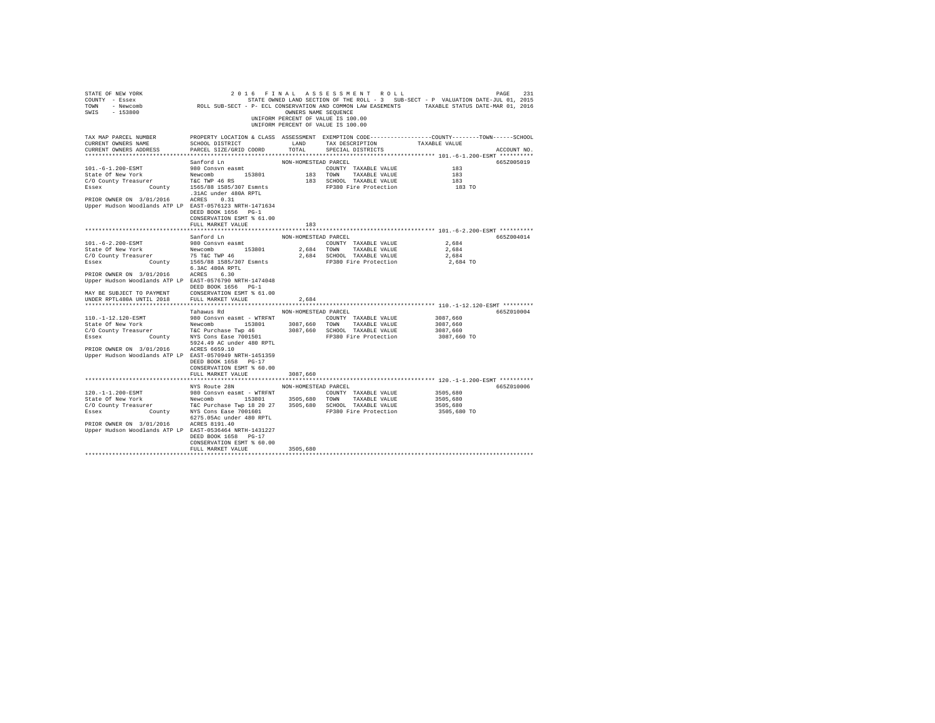| STATE OF NEW YORK<br>COUNTY - Essex<br>TOWN<br>- Newcomb<br>SWIS<br>$-153800$                                                           | ROLL SUB-SECT - P- ECL CONSERVATION AND COMMON LAW EASEMENTS TAXABLE STATUS DATE-MAR 01, 2016                                                | OWNERS NAME SEQUENCE | 2016 FINAL ASSESSMENT ROLL<br>UNIFORM PERCENT OF VALUE IS 100.00<br>UNIFORM PERCENT OF VALUE IS 100.00 | STATE OWNED LAND SECTION OF THE ROLL - 3 SUB-SECT - P VALUATION DATE-JUL 01, 2015 | 231<br>PAGE |
|-----------------------------------------------------------------------------------------------------------------------------------------|----------------------------------------------------------------------------------------------------------------------------------------------|----------------------|--------------------------------------------------------------------------------------------------------|-----------------------------------------------------------------------------------|-------------|
| TAX MAP PARCEL NUMBER<br>CURRENT OWNERS NAME<br>CURRENT OWNERS ADDRESS<br>**************************                                    | PROPERTY LOCATION & CLASS ASSESSMENT EXEMPTION CODE----------------COUNTY-------TOWN-----SCHOOL<br>SCHOOL DISTRICT<br>PARCEL SIZE/GRID COORD | LAND<br>TOTAL        | TAX DESCRIPTION<br>SPECIAL DISTRICTS                                                                   | TAXABLE VALUE                                                                     | ACCOUNT NO. |
|                                                                                                                                         | Sanford Ln                                                                                                                                   | NON-HOMESTEAD PARCEL |                                                                                                        |                                                                                   | 665Z005019  |
| 101. -6-1.200-ESMT                                                                                                                      | 980 Consvn easmt                                                                                                                             |                      | COUNTY TAXABLE VALUE                                                                                   | 183                                                                               |             |
| State Of New York                                                                                                                       | 153801<br>Newcomb                                                                                                                            | 183 TOWN             | TAXABLE VALUE                                                                                          | 183                                                                               |             |
| C/O County Treasurer                                                                                                                    | T&C TWP 46 RS                                                                                                                                |                      | 183 SCHOOL TAXABLE VALUE                                                                               | 183                                                                               |             |
| Essex<br>County                                                                                                                         | 1565/88 1585/307 Esmnts                                                                                                                      |                      | FP380 Fire Protection                                                                                  | 183 TO                                                                            |             |
|                                                                                                                                         | .31AC under 480A RPTL                                                                                                                        |                      |                                                                                                        |                                                                                   |             |
| PRIOR OWNER ON 3/01/2016<br>Upper Hudson Woodlands ATP LP EAST-0576123 NRTH-1471634                                                     | ACRES<br>0.31<br>DEED BOOK 1656 PG-1<br>CONSERVATION ESMT % 61.00                                                                            |                      |                                                                                                        |                                                                                   |             |
|                                                                                                                                         | FULL MARKET VALUE                                                                                                                            | 183                  |                                                                                                        |                                                                                   |             |
|                                                                                                                                         |                                                                                                                                              |                      |                                                                                                        |                                                                                   |             |
| $101. - 6 - 2.200 - ESMT$                                                                                                               | Sanford Ln<br>980 Consyn easmt                                                                                                               | NON-HOMESTEAD PARCEL |                                                                                                        | 2.684                                                                             | 665Z004014  |
| State Of New York                                                                                                                       | Newcomb 153801                                                                                                                               | 2,684 TOWN           | COUNTY TAXABLE VALUE<br>TAXABLE VALUE                                                                  | 2,684                                                                             |             |
| C/O County Treasurer                                                                                                                    |                                                                                                                                              |                      | 2,684 SCHOOL TAXABLE VALUE                                                                             | 2,684                                                                             |             |
| Essex                                                                                                                                   | er 75 T&C TWP 46<br>County 1565/88 1585/307 Esmnts                                                                                           |                      | FP380 Fire Protection                                                                                  | 2,684 TO                                                                          |             |
|                                                                                                                                         | 6.3AC 480A RPTL                                                                                                                              |                      |                                                                                                        |                                                                                   |             |
| PRIOR OWNER ON 3/01/2016                                                                                                                | ACRES 6.30                                                                                                                                   |                      |                                                                                                        |                                                                                   |             |
| Upper Hudson Woodlands ATP LP EAST-0576790 NRTH-1474048                                                                                 |                                                                                                                                              |                      |                                                                                                        |                                                                                   |             |
|                                                                                                                                         | DEED BOOK 1656 PG-1                                                                                                                          |                      |                                                                                                        |                                                                                   |             |
| MAY BE SUBJECT TO PAYMENT                                                                                                               | CONSERVATION ESMT % 61.00                                                                                                                    |                      |                                                                                                        |                                                                                   |             |
| UNDER RPTL480A UNTIL 2018                                                                                                               | FULL MARKET VALUE                                                                                                                            | 2,684                |                                                                                                        |                                                                                   |             |
|                                                                                                                                         |                                                                                                                                              |                      |                                                                                                        |                                                                                   |             |
|                                                                                                                                         | Tahawus Rd                                                                                                                                   | NON-HOMESTEAD PARCEL |                                                                                                        |                                                                                   | 665Z010004  |
| 110. -1-12.120-ESMT                                                                                                                     | 980 Consvn easmt - WTRFNT                                                                                                                    |                      | COUNTY TAXABLE VALUE                                                                                   | 3087,660                                                                          |             |
| State Of New York                                                                                                                       | Newcomb 153801                                                                                                                               | 3087,660 TOWN        | TAXABLE VALUE                                                                                          | 3087,660                                                                          |             |
| CO County Treasurer T&C Purchase Twp 46<br>Essex County NYS Cons Ease 7001501                                                           |                                                                                                                                              |                      | 3087,660 SCHOOL TAXABLE VALUE<br>FP380 Fire Protection                                                 | 3087,660<br>3087,660 TO                                                           |             |
|                                                                                                                                         | 5924.49 AC under 480 RPTL                                                                                                                    |                      |                                                                                                        |                                                                                   |             |
| PRIOR OWNER ON 3/01/2016                                                                                                                | ACRES 6659.10                                                                                                                                |                      |                                                                                                        |                                                                                   |             |
| Upper Hudson Woodlands ATP LP EAST-0570949 NRTH-1451359                                                                                 |                                                                                                                                              |                      |                                                                                                        |                                                                                   |             |
|                                                                                                                                         | DEED BOOK 1658 PG-17                                                                                                                         |                      |                                                                                                        |                                                                                   |             |
|                                                                                                                                         | CONSERVATION ESMT % 60.00                                                                                                                    |                      |                                                                                                        |                                                                                   |             |
|                                                                                                                                         | FULL MARKET VALUE                                                                                                                            | 3087,660             |                                                                                                        |                                                                                   |             |
|                                                                                                                                         |                                                                                                                                              |                      |                                                                                                        |                                                                                   |             |
|                                                                                                                                         | NYS Route 28N                                                                                                                                | NON-HOMESTEAD PARCEL |                                                                                                        |                                                                                   | 665Z010006  |
| 120. -1-1.200-ESMT                                                                                                                      | 980 Consvn easmt - WTRFNT                                                                                                                    |                      | COUNTY TAXABLE VALUE                                                                                   | 3505,680                                                                          |             |
| State Of New York                                                                                                                       | Newcomb 153801                                                                                                                               | 3505,680 TOWN        | TAXABLE VALUE                                                                                          | 3505,680                                                                          |             |
| CO County Treasurer T&C Purchase Twp 18 20 27 3505,680 SCHOOL TAXABLE VALUE<br>Essex County NYS Cons Ease 7001601 FP380 Fire Protection |                                                                                                                                              |                      |                                                                                                        | 3505,680                                                                          |             |
|                                                                                                                                         |                                                                                                                                              |                      |                                                                                                        | 3505,680 TO                                                                       |             |
|                                                                                                                                         | 6275.05Ac under 480 RPTL<br>ACRES 8191.40                                                                                                    |                      |                                                                                                        |                                                                                   |             |
| PRIOR OWNER ON 3/01/2016<br>Upper Hudson Woodlands ATP LP EAST-0536464 NRTH-1431227                                                     |                                                                                                                                              |                      |                                                                                                        |                                                                                   |             |
|                                                                                                                                         | DEED BOOK 1658 PG-17                                                                                                                         |                      |                                                                                                        |                                                                                   |             |
|                                                                                                                                         | CONSERVATION ESMT % 60.00                                                                                                                    |                      |                                                                                                        |                                                                                   |             |
|                                                                                                                                         | FULL MARKET VALUE                                                                                                                            | 3505,680             |                                                                                                        |                                                                                   |             |
|                                                                                                                                         |                                                                                                                                              |                      |                                                                                                        |                                                                                   |             |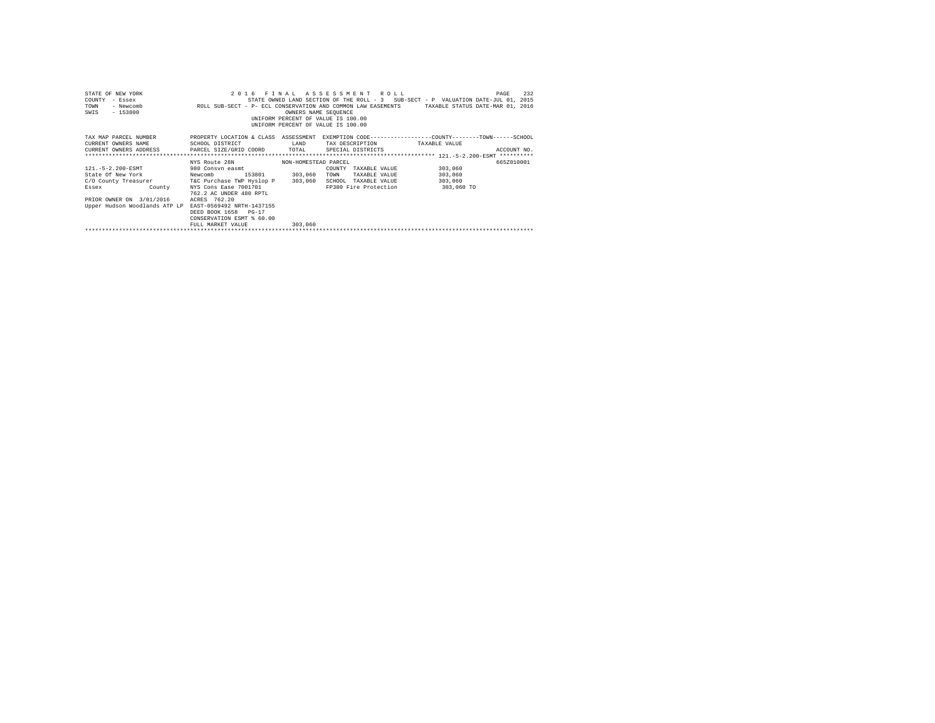| STATE OF NEW YORK<br>COUNTY<br>- Essex<br>TOWN<br>- Newcomb<br>$-153800$<br>SWIS |                           | OWNERS NAME SEQUENCE | 2016 FINAL ASSESSMENT ROLL<br>UNIFORM PERCENT OF VALUE IS 100.00<br>UNIFORM PERCENT OF VALUE IS 100.00 | PAGE<br>STATE OWNED LAND SECTION OF THE ROLL - 3 SUB-SECT - P VALUATION DATE-JUL 01, 2015<br>ROLL SUB-SECT - P- ECL CONSERVATION AND COMMON LAW EASEMENTS TAXABLE STATUS DATE-MAR 01, 2016 | 232         |
|----------------------------------------------------------------------------------|---------------------------|----------------------|--------------------------------------------------------------------------------------------------------|--------------------------------------------------------------------------------------------------------------------------------------------------------------------------------------------|-------------|
| TAX MAP PARCEL NUMBER                                                            |                           |                      |                                                                                                        | PROPERTY LOCATION & CLASS ASSESSMENT EXEMPTION CODE----------------COUNTY-------TOWN------SCHOOL                                                                                           |             |
| CURRENT OWNERS NAME                                                              | SCHOOL DISTRICT           | LAND                 |                                                                                                        | TAX DESCRIPTION TAXABLE VALUE                                                                                                                                                              |             |
| CURRENT OWNERS ADDRESS 6 PARCEL SIZE/GRID COORD TOTAL                            |                           |                      | SPECIAL DISTRICTS                                                                                      |                                                                                                                                                                                            | ACCOUNT NO. |
|                                                                                  |                           |                      |                                                                                                        |                                                                                                                                                                                            |             |
|                                                                                  | NYS Route 28N             | NON-HOMESTEAD PARCEL |                                                                                                        |                                                                                                                                                                                            | 665Z010001  |
| 121. - 5 - 2.200 - ESMT                                                          | 980 Consvn easmt          |                      | COUNTY<br>TAXABLE VALUE                                                                                | 303,060                                                                                                                                                                                    |             |
| State Of New York Newcomb                                                        | 153801                    | 303,060              | TAXABLE VALUE<br>TOWN                                                                                  | 303,060                                                                                                                                                                                    |             |
| C/O County Treasurer T&C Purchase TWP Hyslop P                                   |                           | 303,060              | SCHOOL                                                                                                 | 303,060<br>TAXABLE VALUE                                                                                                                                                                   |             |
| Essex County                                                                     | NYS Cons Ease 7001701     |                      |                                                                                                        | FP380 Fire Protection 303,060 TO                                                                                                                                                           |             |
|                                                                                  | 762.2 AC UNDER 480 RPTL   |                      |                                                                                                        |                                                                                                                                                                                            |             |
| PRIOR OWNER ON 3/01/2016                                                         | ACRES 762.20              |                      |                                                                                                        |                                                                                                                                                                                            |             |
| Upper Hudson Woodlands ATP LP EAST-0569492 NRTH-1437155                          |                           |                      |                                                                                                        |                                                                                                                                                                                            |             |
|                                                                                  | DEED BOOK 1658 PG-17      |                      |                                                                                                        |                                                                                                                                                                                            |             |
|                                                                                  | CONSERVATION ESMT % 60.00 |                      |                                                                                                        |                                                                                                                                                                                            |             |
|                                                                                  | FULL MARKET VALUE         | 303,060              |                                                                                                        |                                                                                                                                                                                            |             |
|                                                                                  |                           |                      |                                                                                                        |                                                                                                                                                                                            |             |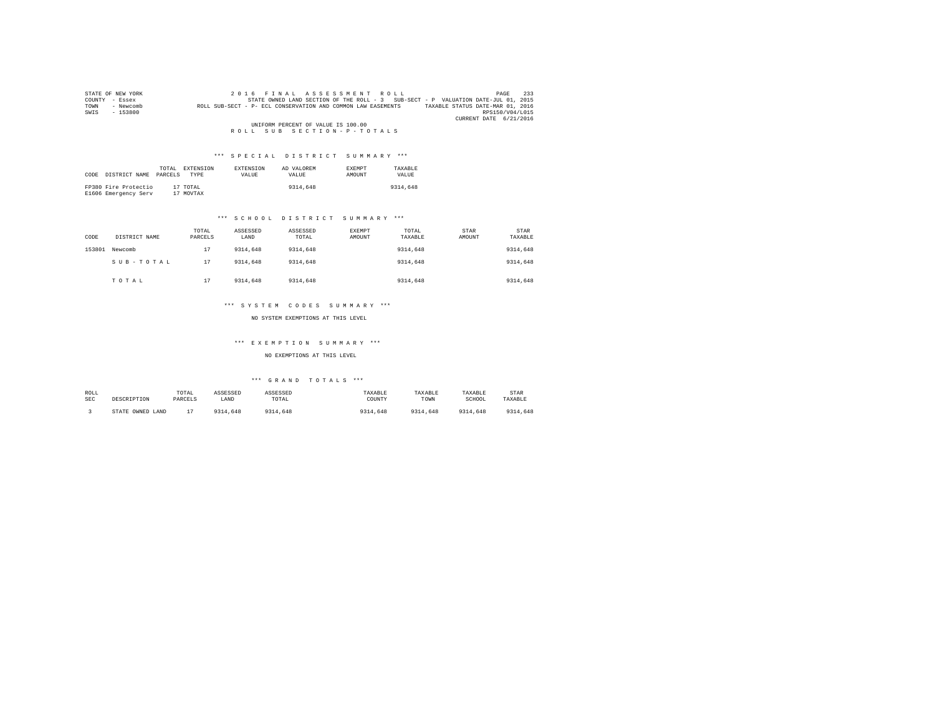| STATE OF NEW YORK |           | 2016 FINAL ASSESSMENT ROLL                                                                       | 233<br>PAGE     |
|-------------------|-----------|--------------------------------------------------------------------------------------------------|-----------------|
| COUNTY - Essex    |           | STATE OWNED LAND SECTION OF THE ROLL - 3 SUB-SECT - P VALUATION DATE-JUL 01, 2015                |                 |
| TOWN              | - Newcomb | TAXABLE STATUS DATE-MAR 01, 2016<br>ROLL SUB-SECT - P- ECL CONSERVATION AND COMMON LAW EASEMENTS |                 |
| SWIS              | $-153800$ |                                                                                                  | RPS150/V04/L015 |
|                   |           | CURRENT DATE 6/21/2016                                                                           |                 |
|                   |           | UNIFORM PERCENT OF VALUE IS 100.00                                                               |                 |
|                   |           | ROLL SUB SECTION-P-TOTALS                                                                        |                 |

| CODE | DISTRICT NAME                                | TOTAL<br>PARCELS | EXTENSION<br><b>TYPE</b> | <b>EXTENSION</b><br>VALUE | AD VALOREM<br>VALUE | <b>EXEMPT</b><br>AMOUNT | TAXARLE<br>VALUE |
|------|----------------------------------------------|------------------|--------------------------|---------------------------|---------------------|-------------------------|------------------|
|      | FP380 Fire Protectio<br>E1606 Emergency Serv |                  | 17 TOTAL<br>17 MOVTAX    |                           | 9314,648            |                         | 9314,648         |

## \*\*\* S C H O O L D I S T R I C T S U M M A R Y \*\*\*

| CODE   | DISTRICT NAME | TOTAL<br>PARCELS | ASSESSED<br>LAND | ASSESSED<br>TOTAL | <b>EXEMPT</b><br>AMOUNT | TOTAL<br>TAXABLE | STAR<br>AMOUNT | <b>STAR</b><br>TAXABLE |
|--------|---------------|------------------|------------------|-------------------|-------------------------|------------------|----------------|------------------------|
| 153801 | Newcomb       | 17               | 9314,648         | 9314,648          |                         | 9314,648         |                | 9314,648               |
|        | SUB-TOTAL     | 17               | 9314,648         | 9314,648          |                         | 9314,648         |                | 9314,648               |
|        | TOTAL         | 17               | 9314,648         | 9314,648          |                         | 9314,648         |                | 9314,648               |

## \*\*\* S Y S T E M C O D E S S U M M A R Y \*\*\*

NO SYSTEM EXEMPTIONS AT THIS LEVEL

#### \*\*\* E X E M P T I O N S U M M A R Y \*\*\*

NO EXEMPTIONS AT THIS LEVEL

| ROLL       | DESCRIPTION      | TOTAL   | ASSESSED | ASSESSED | TAXABLE  | TAXABLE  | TAXABLE  | STAR     |
|------------|------------------|---------|----------|----------|----------|----------|----------|----------|
| <b>SEC</b> |                  | PARCELS | LAND     | TOTAL    | COUNTY   | TOWN     | SCHOOL   | TAXABLE  |
|            | STATE OWNED LAND |         | 9314,648 | 9314,648 | 9314,648 | 9314.648 | 9314,648 | 9314,648 |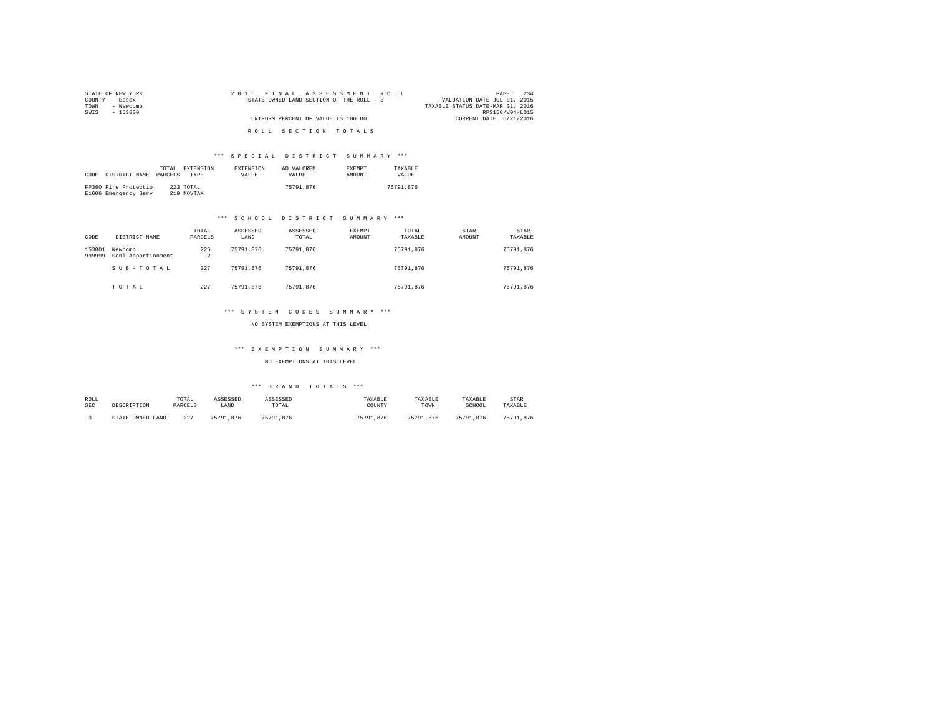| STATE OF NEW YORK | 2016 FINAL ASSESSMENT ROLL               | 234<br>PAGE                      |
|-------------------|------------------------------------------|----------------------------------|
| COUNTY - Essex    | STATE OWNED LAND SECTION OF THE ROLL - 3 | VALUATION DATE-JUL 01, 2015      |
| TOWN<br>- Newcomb |                                          | TAXABLE STATUS DATE-MAR 01, 2016 |
| SWTS<br>- 153800  |                                          | RPS150/V04/L015                  |
|                   | UNIFORM PERCENT OF VALUE IS 100.00       | CURRENT DATE 6/21/2016           |
|                   | ROLL SECTION TOTALS                      |                                  |

| CODE | DISTRICT NAME                                | TOTAL.<br>PARCELS | <b>EXTENSION</b><br><b>TYPE</b> | <b>EXTENSION</b><br>VALUE | AD VALOREM<br>VALUE. | <b>EXEMPT</b><br>AMOUNT | TAXARLE<br>VALUE |
|------|----------------------------------------------|-------------------|---------------------------------|---------------------------|----------------------|-------------------------|------------------|
|      | FP380 Fire Protectio<br>E1606 Emergency Serv |                   | 223 TOTAL<br>219 MOVTAX         |                           | 75791.876            |                         | 75791.876        |

## \*\*\* S C H O O L D I S T R I C T S U M M A R Y \*\*\*

| CODE             | DISTRICT NAME                 | TOTAL<br>PARCELS      | ASSESSED<br>LAND | ASSESSED<br>TOTAL | EXEMPT<br>AMOUNT | TOTAL<br>TAXABLE | <b>STAR</b><br>AMOUNT | <b>STAR</b><br>TAXABLE |
|------------------|-------------------------------|-----------------------|------------------|-------------------|------------------|------------------|-----------------------|------------------------|
| 153801<br>999999 | Newcomb<br>Schl Apportionment | 225<br>$\overline{a}$ | 75791.876        | 75791.876         |                  | 75791.876        |                       | 75791.876              |
|                  | SUB-TOTAL                     | 227                   | 75791.876        | 75791.876         |                  | 75791.876        |                       | 75791.876              |
|                  | TOTAL                         | 227                   | 75791.876        | 75791.876         |                  | 75791.876        |                       | 75791.876              |

#### \*\*\* S Y S T E M C O D E S S U M M A R Y \*\*\*

NO SYSTEM EXEMPTIONS AT THIS LEVEL

## \*\*\* E X E M P T I O N S U M M A R Y \*\*\*

## NO EXEMPTIONS AT THIS LEVEL

| ROLL       | DESCRIPTION         | TOTAL   | ASSESSED  | ASSESSED  | TAXABLE   | TAXABLE   | TAXABLE   | STAR      |
|------------|---------------------|---------|-----------|-----------|-----------|-----------|-----------|-----------|
| <b>SEC</b> |                     | PARCELS | LAND      | TOTAL     | COUNTY    | TOWN      | SCHOOL    | TAXABLE   |
|            | OWNED LAND<br>STATE | 227     | 75791.876 | 75791.876 | 75791.876 | 75791.876 | 75791.876 | 75791.876 |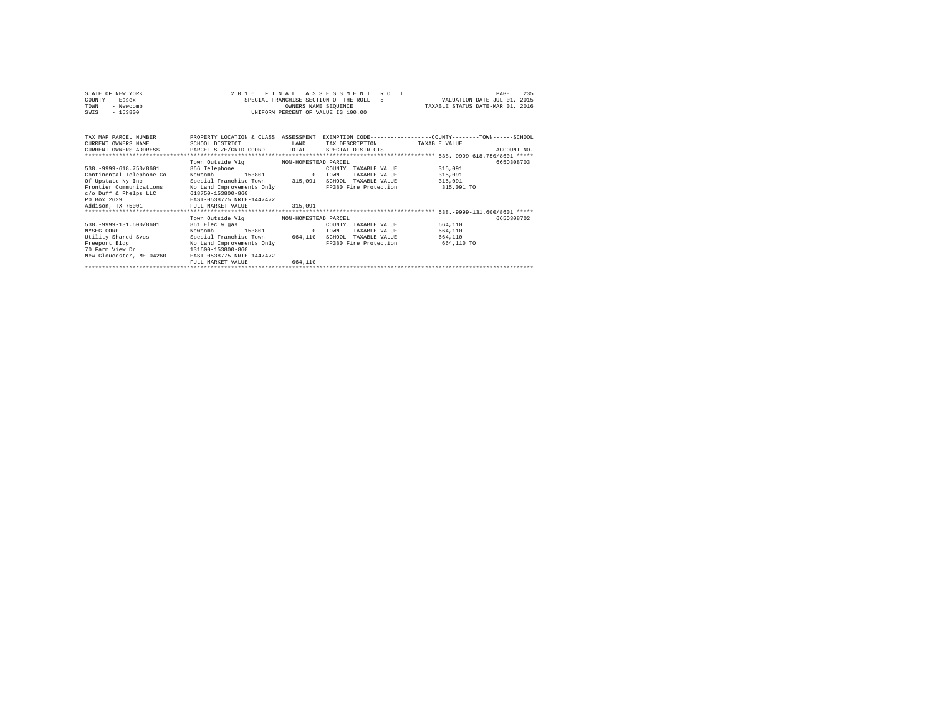| STATE OF NEW YORK | 2016 FINAL ASSESSMENT ROLL                | 235<br>PAGE                      |
|-------------------|-------------------------------------------|----------------------------------|
| COUNTY - Essex    | SPECIAL FRANCHISE SECTION OF THE ROLL - 5 | VALUATION DATE-JUL 01, 2015      |
| TOWN<br>- Newcomb | OWNERS NAME SEOUENCE                      | TAXABLE STATUS DATE-MAR 01, 2016 |
| - 153800<br>SWIS  | UNIFORM PERCENT OF VALUE IS 100.00        |                                  |

| TAX MAP PARCEL NUMBER<br>CURRENT OWNERS NAME<br>CURRENT OWNERS ADDRESS | PROPERTY LOCATION & CLASS<br>SCHOOL DISTRICT<br>PARCEL SIZE/GRID COORD      | ASSESSMENT<br>LAND<br>TOTAL | EXEMPTION CODE-----------------COUNTY-------TOWN-----SCHOOL<br>TAX DESCRIPTION<br>SPECIAL DISTRICTS | TAXABLE VALUE<br>************************* 538.-9999-618.750/8601 ***** | ACCOUNT NO. |
|------------------------------------------------------------------------|-----------------------------------------------------------------------------|-----------------------------|-----------------------------------------------------------------------------------------------------|-------------------------------------------------------------------------|-------------|
|                                                                        | Town Outside Vlg                                                            | NON-HOMESTEAD PARCEL        |                                                                                                     |                                                                         | 6650308703  |
| 538. - 9999-618. 750/8601                                              | 866 Telephone                                                               |                             | COUNTY<br>TAXABLE VALUE                                                                             | 315,091                                                                 |             |
| Continental Telephone Co                                               | Newcomb<br>153801                                                           | $^{\circ}$                  | TAXABLE VALUE<br>TOWN                                                                               | 315,091                                                                 |             |
| Of Upstate Ny Inc                                                      | Special Franchise Town 315,091                                              |                             | SCHOOL<br>TAXABLE VALUE                                                                             | 315,091                                                                 |             |
| Frontier Communications<br>c/o Duff & Phelps LLC<br>PO Box 2629        | No Land Improvements Only<br>618750-153800-860<br>EAST-0538775 NRTH-1447472 |                             | FP380 Fire Protection                                                                               | 315,091 TO                                                              |             |
| Addison, TX 75001                                                      | FULL MARKET VALUE                                                           | 315,091                     |                                                                                                     |                                                                         |             |
|                                                                        |                                                                             |                             |                                                                                                     |                                                                         |             |
|                                                                        | Town Outside Vla                                                            | NON-HOMESTEAD PARCEL        |                                                                                                     |                                                                         | 6650308702  |
| 538. - 9999-131.600/8601                                               | 861 Elec & gas                                                              |                             | TAXABLE VALUE<br>COUNTY                                                                             | 664,110                                                                 |             |
| NYSEG CORP                                                             | 153801<br>Newcomb                                                           | $^{\circ}$                  | TOWN<br>TAXABLE VALUE                                                                               | 664,110                                                                 |             |
| Utility Shared Sycs                                                    | Special Franchise Town                                                      | 664,110                     | SCHOOL<br>TAXABLE VALUE                                                                             | 664,110                                                                 |             |
| Freeport Bldg                                                          | No Land Improvements Only                                                   |                             | FP380 Fire Protection                                                                               | 664,110 TO                                                              |             |
| 70 Farm View Dr                                                        | 131600-153800-860                                                           |                             |                                                                                                     |                                                                         |             |
| New Gloucester, ME 04260                                               | EAST-0538775 NRTH-1447472                                                   |                             |                                                                                                     |                                                                         |             |
|                                                                        | FULL MARKET VALUE                                                           | 664,110                     |                                                                                                     |                                                                         |             |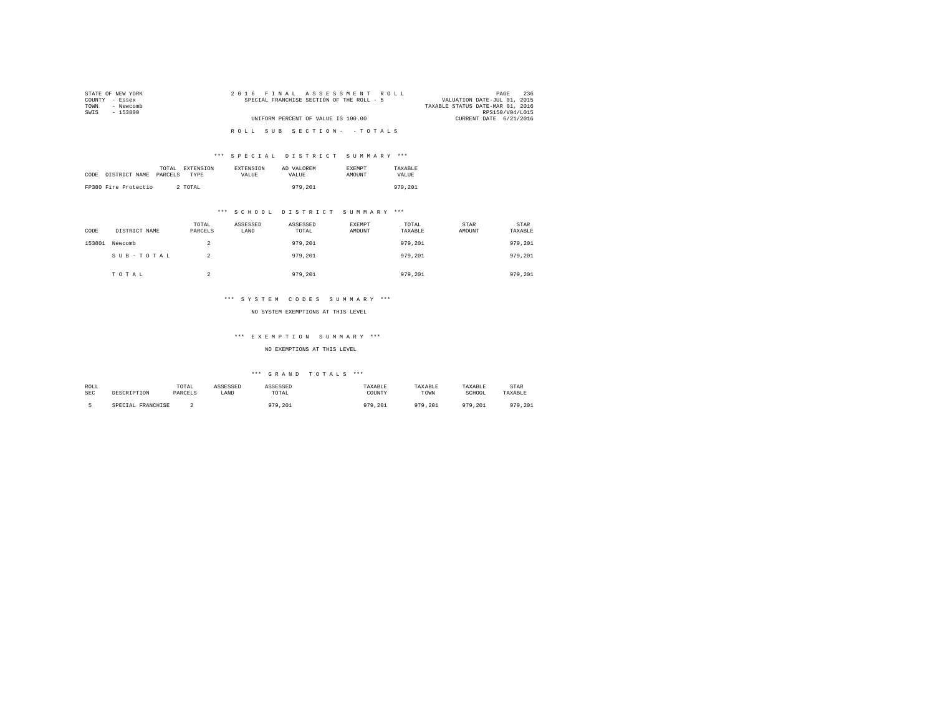| STATE OF NEW YORK | 2016 FINAL ASSESSMENT ROLL                | 236<br>PAGE                      |
|-------------------|-------------------------------------------|----------------------------------|
| COUNTY - Essex    | SPECIAL FRANCHISE SECTION OF THE ROLL - 5 | VALUATION DATE-JUL 01, 2015      |
| TOWN<br>- Newcomb |                                           | TAXABLE STATUS DATE-MAR 01, 2016 |
| SWTS<br>- 153800  |                                           | RPS150/V04/L015                  |
|                   | UNIFORM PERCENT OF VALUE IS 100.00        | CURRENT DATE 6/21/2016           |
|                   |                                           |                                  |
|                   | ROLL SUB SECTION- - TOTALS                |                                  |
|                   |                                           |                                  |

|                       | TOTAL<br>EXTENSION | <b>EXTENSION</b> | AD VALOREM | <b>EXEMPT</b> | TAXARLE |
|-----------------------|--------------------|------------------|------------|---------------|---------|
| CODE<br>DISTRICT NAME | PARCELS<br>TYPE    | VALUE            | VALUE.     | AMOUNT        | VALUE   |
|                       |                    |                  |            |               |         |
| FP380 Fire Protectio  | 2 TOTAL            |                  | 979,201    |               | 979,201 |

## \*\*\* S C H O O L D I S T R I C T S U M M A R Y \*\*\*

| CODE   | DISTRICT NAME | TOTAL<br>PARCELS | ASSESSED<br>LAND | ASSESSED<br>TOTAL | EXEMPT<br>AMOUNT | TOTAL<br>TAXABLE | STAR<br>AMOUNT | STAR<br>TAXABLE |
|--------|---------------|------------------|------------------|-------------------|------------------|------------------|----------------|-----------------|
| 153801 | Newcomb       | 2                |                  | 979,201           |                  | 979,201          |                | 979,201         |
|        | SUB-TOTAL     | 2                |                  | 979.201           |                  | 979,201          |                | 979,201         |
|        | TOTAL         | $\sim$           |                  | 979,201           |                  | 979,201          |                | 979.201         |

## \*\*\* S Y S T E M C O D E S S U M M A R Y \*\*\*

#### NO SYSTEM EXEMPTIONS AT THIS LEVEL

## \*\*\* E X E M P T I O N S U M M A R Y \*\*\*

## NO EXEMPTIONS AT THIS LEVEL

| ROLL       |                   | TOTAL   | ASSESSED | ASSESSED | TAXABLE | <b>AXABLE</b> | TAXABLE | STAR    |
|------------|-------------------|---------|----------|----------|---------|---------------|---------|---------|
| <b>SEC</b> | DESCRIPTION       | PARCELS | LAND     | TOTAL    | COUNTY  | TOWN          | SCHOOL  | TAXABLE |
|            | SPECIAL FRANCHISE |         |          | 979,201  | 979,201 | 979.201       | 979.201 | 979.201 |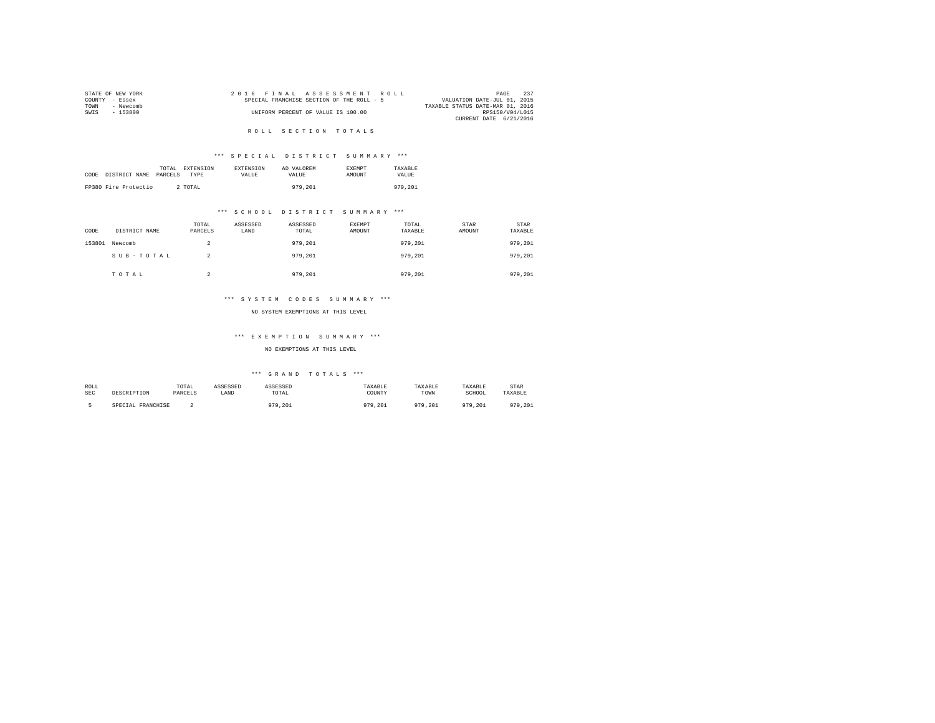|                | STATE OF NEW YORK |  | 2016 FINAL ASSESSMENT ROLL                |  |  |  |                                  | PAGE            | 237 |
|----------------|-------------------|--|-------------------------------------------|--|--|--|----------------------------------|-----------------|-----|
| COUNTY - Essex |                   |  | SPECIAL FRANCHISE SECTION OF THE ROLL - 5 |  |  |  | VALUATION DATE-JUL 01, 2015      |                 |     |
| TOWN           | - Newcomb         |  |                                           |  |  |  | TAXABLE STATUS DATE-MAR 01, 2016 |                 |     |
| SWTS           | - 153800          |  | UNIFORM PERCENT OF VALUE IS 100.00        |  |  |  |                                  | RPS150/V04/L015 |     |
|                |                   |  |                                           |  |  |  | CURRENT DATE 6/21/2016           |                 |     |

## R O L L S E C T I O N T O T A L S

## \*\*\* S P E C I A L D I S T R I C T S U M M A R Y \*\*\*

|      |                      | TOTAL EXTENSION        | <b>EXTENSION</b> | AD VALOREM | <b>EXEMPT</b> | TAXARLE |
|------|----------------------|------------------------|------------------|------------|---------------|---------|
| CODE | DISTRICT NAME        | PARCELS<br><b>TYPE</b> | VALUE.           | VALUE.     | AMOUNT        | VALUE   |
|      |                      |                        |                  |            |               |         |
|      | FP380 Fire Protectio | 2 TOTAL                |                  | 979,201    |               | 979.201 |

## \*\*\* S C H O O L D I S T R I C T S U M M A R Y \*\*\*

| CODE   | DISTRICT NAME | TOTAL<br>PARCELS | ASSESSED<br>LAND | ASSESSED<br>TOTAL | EXEMPT<br>AMOUNT | TOTAL<br>TAXABLE | STAR<br>AMOUNT | <b>STAR</b><br>TAXABLE |
|--------|---------------|------------------|------------------|-------------------|------------------|------------------|----------------|------------------------|
| 153801 | Newcomb       | 2                |                  | 979.201           |                  | 979,201          |                | 979,201                |
|        | SUB-TOTAL     |                  |                  | 979.201           |                  | 979,201          |                | 979,201                |
|        | TOTAL         | $\sim$           |                  | 979,201           |                  | 979,201          |                | 979.201                |

## \*\*\* S Y S T E M C O D E S S U M M A R Y \*\*\*

#### NO SYSTEM EXEMPTIONS AT THIS LEVEL

## \*\*\* E X E M P T I O N S U M M A R Y \*\*\*

## NO EXEMPTIONS AT THIS LEVEL

| ROLL       |                   | TOTAL   | ASSESSED | ASSESSED | TAXABLE | <b>AXABLE</b> | TAXABLE | STAR    |
|------------|-------------------|---------|----------|----------|---------|---------------|---------|---------|
| <b>SEC</b> | DESCRIPTION       | PARCELS | LAND     | TOTAL    | COUNTY  | TOWN          | SCHOOL  | TAXABLE |
|            | SPECIAL FRANCHISE |         |          | 979,201  | 979,201 | 979.201       | 979.201 | 979.201 |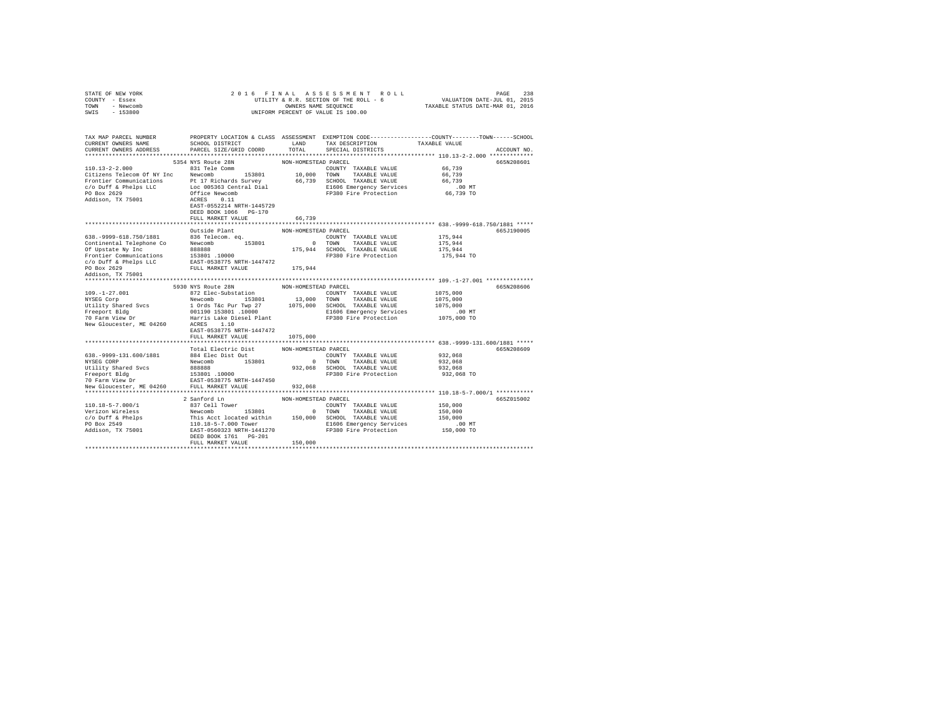| STATE OF NEW YORK<br>COUNTY - Essex<br>TOWN<br>- Newcomb<br>SWIS<br>$-153800$                                                                                            | 2016 FINAL                                                                                                                                                                                                                                                    | OWNERS NAME SEQUENCE                                   | ASSESSMENT ROLL<br>UTILITY & R.R. SECTION OF THE ROLL - 6<br>UNIFORM PERCENT OF VALUE IS 100.00                                        | PAGE<br>238<br>VALUATION DATE-JUL 01, 2015<br>TAXABLE STATUS DATE-MAR 01, 2016 |             |  |
|--------------------------------------------------------------------------------------------------------------------------------------------------------------------------|---------------------------------------------------------------------------------------------------------------------------------------------------------------------------------------------------------------------------------------------------------------|--------------------------------------------------------|----------------------------------------------------------------------------------------------------------------------------------------|--------------------------------------------------------------------------------|-------------|--|
| TAX MAP PARCEL NUMBER<br>CURRENT OWNERS NAME<br>CURRENT OWNERS ADDRESS                                                                                                   | SCHOOL DISTRICT<br>PARCEL SIZE/GRID COORD                                                                                                                                                                                                                     | LAND<br>TOTAL                                          | PROPERTY LOCATION & CLASS ASSESSMENT EXEMPTION CODE---------------COUNTY-------TOWN-----SCHOOL<br>TAX DESCRIPTION<br>SPECIAL DISTRICTS | TAXABLE VALUE                                                                  | ACCOUNT NO. |  |
|                                                                                                                                                                          |                                                                                                                                                                                                                                                               |                                                        |                                                                                                                                        |                                                                                |             |  |
| $110.13 - 2 - 2.000$<br>Citizens Telecom Of NY Inc Newcomb<br>Frontier Communications Pt 17 Richards Survey<br>c/o Duff & Phelps LLC<br>PO Box 2629<br>Addison, TX 75001 | 5354 NYS Route 28N<br>831 Tele Comm<br>153801<br>Loc 005363 Central Dial<br>Office Newcomb<br>Office Newcomb<br>ACRES 0.11<br>EAST-0552214 NRTH-1445729                                                                                                       | NON-HOMESTEAD PARCEL<br>10,000<br>66,739               | COUNTY TAXABLE VALUE<br>TOWN<br>TAXABLE VALUE<br>SCHOOL TAXABLE VALUE<br>E1606 Emergency Services<br>FP380 Fire Protection             | 66,739<br>66,739<br>66,739<br>$.00$ MT<br>66,739 TO                            | 665N208601  |  |
|                                                                                                                                                                          | DEED BOOK 1066 PG-170                                                                                                                                                                                                                                         |                                                        |                                                                                                                                        |                                                                                |             |  |
|                                                                                                                                                                          | FULL MARKET VALUE                                                                                                                                                                                                                                             | 66,739                                                 |                                                                                                                                        |                                                                                |             |  |
|                                                                                                                                                                          |                                                                                                                                                                                                                                                               |                                                        |                                                                                                                                        |                                                                                |             |  |
| 638. - 9999-618. 750/1881<br>Continental Telephone Co<br>Of Upstate Ny Inc<br>Frontier Communications                                                                    | Outside Plant<br>836 Telecom. ea.<br>Newcomb 153801<br>888888<br>153801 .10000                                                                                                                                                                                | NON-HOMESTEAD PARCEL                                   | COUNTY TAXABLE VALUE<br>0 TOWN<br>TAXABLE VALUE<br>175,944 SCHOOL TAXABLE VALUE<br>FP380 Fire Protection                               | 175,944<br>175,944<br>175,944<br>175,944 TO                                    | 665J190005  |  |
| c/o Duff & Phelps LLC<br>PO Box 2629<br>Addison, TX 75001                                                                                                                | EAST-0538775 NRTH-1447472<br>FULL MARKET VALUE                                                                                                                                                                                                                | 175,944                                                |                                                                                                                                        |                                                                                |             |  |
| ***********************                                                                                                                                                  |                                                                                                                                                                                                                                                               |                                                        |                                                                                                                                        |                                                                                |             |  |
|                                                                                                                                                                          | 5930 NYS Route 28N                                                                                                                                                                                                                                            | NON-HOMESTEAD PARCEL                                   |                                                                                                                                        |                                                                                | 665N208606  |  |
| $109. - 1 - 27.001$<br>NYSEG Corp<br>Utility Shared Svcs<br>Freeport Bldg<br>70 Farm View Dr                                                                             | 872 Elec-Substation<br>Newcomb 153801<br>1 Ords T&c Pur Twp 27 1075,000<br>001190 153801 .10000<br>001190 153801 .10000<br>Harris Lake Diesel Plant                                                                                                           | 13,000                                                 | COUNTY TAXABLE VALUE<br>TOWN<br>TAXABLE VALUE<br>SCHOOL TAXABLE VALUE<br>E1606 Emergency Services<br>FP380 Fire Protection             | 1075,000<br>1075,000<br>1075,000<br>$.00$ MT<br>1075,000 TO                    |             |  |
| New Gloucester, ME 04260                                                                                                                                                 | ACRES 1.10<br>EAST-0538775 NRTH-1447472<br>FULL MARKET VALUE                                                                                                                                                                                                  | 1075,000                                               |                                                                                                                                        |                                                                                |             |  |
|                                                                                                                                                                          |                                                                                                                                                                                                                                                               |                                                        |                                                                                                                                        |                                                                                |             |  |
| 638. - 9999 - 131. 600/1881<br>NYSEG CORP<br>Utility Shared Svcs<br>Freeport Bldg<br>70 Farm View Dr<br>New Gloucester, ME 04260                                         | Total Electric Dist<br>884 Elec Dist Out<br>Newcomb 153801<br>$888888$<br>153801.10000<br>nach in:<br>EAST-0538775 NRTH-1447450<br>FULL MARKET VALUE                                                                                                          | NON-HOMESTEAD PARCEL<br>$\sim$ 0<br>932,068<br>932,068 | COUNTY TAXABLE VALUE<br>TOWN<br>TAXABLE VALUE<br>SCHOOL TAXABLE VALUE<br>FP380 Fire Protection                                         | 932,068<br>932,068<br>932,068<br>932,068 TO                                    | 665N208609  |  |
|                                                                                                                                                                          |                                                                                                                                                                                                                                                               |                                                        |                                                                                                                                        |                                                                                |             |  |
| $110.18 - 5 - 7.000/1$<br>Verizon Wireless<br>$c$ /o Duff & Phelps<br>PO Box 2549<br>Addison, TX 75001                                                                   | 2 Sanford Ln<br>837 Cell Tower<br>153801<br>Newcomb<br>This Acct located within 150,000 SCHOOL TAXABLE VALUE<br>110.18-5-7.000 Tower El606 Emergency Service<br>EAST-0560323 NRTH-1441270 FP380 Fire Protection<br>DEED BOOK 1761 PG-201<br>FULL MARKET VALUE | NON-HOMESTEAD PARCEL<br>150,000                        | COUNTY TAXABLE VALUE<br>0 TOWN<br>TAXABLE VALUE<br>E1606 Emergency Services                                                            | 150,000<br>150,000<br>150,000<br>$.00$ MT<br>150,000 TO                        | 665Z015002  |  |
|                                                                                                                                                                          |                                                                                                                                                                                                                                                               |                                                        |                                                                                                                                        |                                                                                |             |  |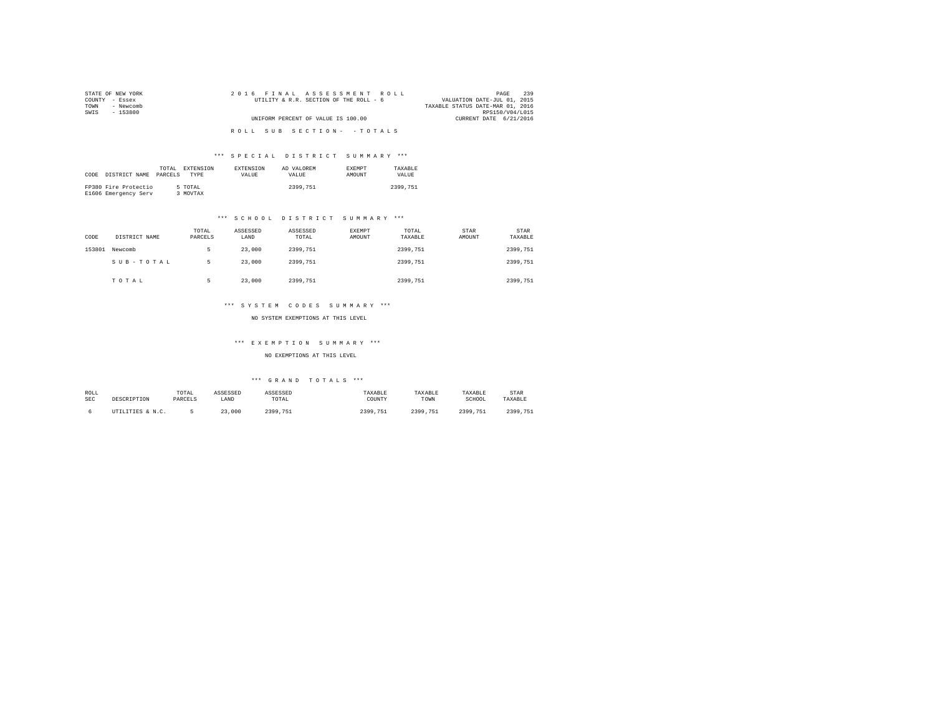| STATE OF NEW YORK | 2016 FINAL ASSESSMENT ROLL             | 239<br>PAGE                      |
|-------------------|----------------------------------------|----------------------------------|
| COUNTY - Essex    | UTILITY & R.R. SECTION OF THE ROLL - 6 | VALUATION DATE-JUL 01, 2015      |
| - Newcomb<br>TOWN |                                        | TAXABLE STATUS DATE-MAR 01, 2016 |
| SWIS<br>- 153800  |                                        | RPS150/V04/L015                  |
|                   | UNIFORM PERCENT OF VALUE IS 100.00     | CURRENT DATE 6/21/2016           |
|                   |                                        |                                  |
|                   | ROLL SUB SECTION- - TOTALS             |                                  |

|      |                      | TOTAL   | EXTENSION   | <b>EXTENSION</b> | AD VALOREM | <b>EXEMPT</b> | TAXARLE      |
|------|----------------------|---------|-------------|------------------|------------|---------------|--------------|
| CODE | DISTRICT NAME        | PARCELS | <b>TYPE</b> | <b>VALUE</b>     | VALUE.     | AMOUNT        | <b>VALUE</b> |
|      |                      |         |             |                  |            |               |              |
|      | FP380 Fire Protectio |         | 5 TOTAL     |                  | 2399.751   |               | 2399.751     |
|      | E1606 Emergency Serv |         | 3 MOVTAX    |                  |            |               |              |

## \*\*\* S C H O O L D I S T R I C T S U M M A R Y \*\*\*

| CODE   | DISTRICT NAME | TOTAL<br>PARCELS | ASSESSED<br>LAND | ASSESSED<br>TOTAL | EXEMPT<br>AMOUNT | TOTAL<br>TAXABLE | STAR<br>AMOUNT | STAR<br>TAXABLE |
|--------|---------------|------------------|------------------|-------------------|------------------|------------------|----------------|-----------------|
| 153801 | Newcomb       |                  | 23,000           | 2399.751          |                  | 2399.751         |                | 2399.751        |
|        | SUB-TOTAL     | ь                | 23,000           | 2399.751          |                  | 2399.751         |                | 2399,751        |
|        | TOTAL         | в                | 23,000           | 2399.751          |                  | 2399.751         |                | 2399,751        |

## \*\*\* S Y S T E M C O D E S S U M M A R Y \*\*\*

NO SYSTEM EXEMPTIONS AT THIS LEVEL

## \*\*\* E X E M P T I O N S U M M A R Y \*\*\*

NO EXEMPTIONS AT THIS LEVEL

| ROLL | DESCRIPTION      | TOTAL   | ASSESSED | ASSESSED         | TAXABLE  | TAXABLE  | TAXABLE  | STAR     |
|------|------------------|---------|----------|------------------|----------|----------|----------|----------|
| SEC  |                  | PARCELS | LAND     | TOTAL            | COUNTY   | TOWN     | SCHOOL   | TAXABLE  |
|      | UTILITIES & N.C. |         | 23,000   | 2399<br>2399.751 | 2399.751 | 2399.751 | 2399.751 | 2399.751 |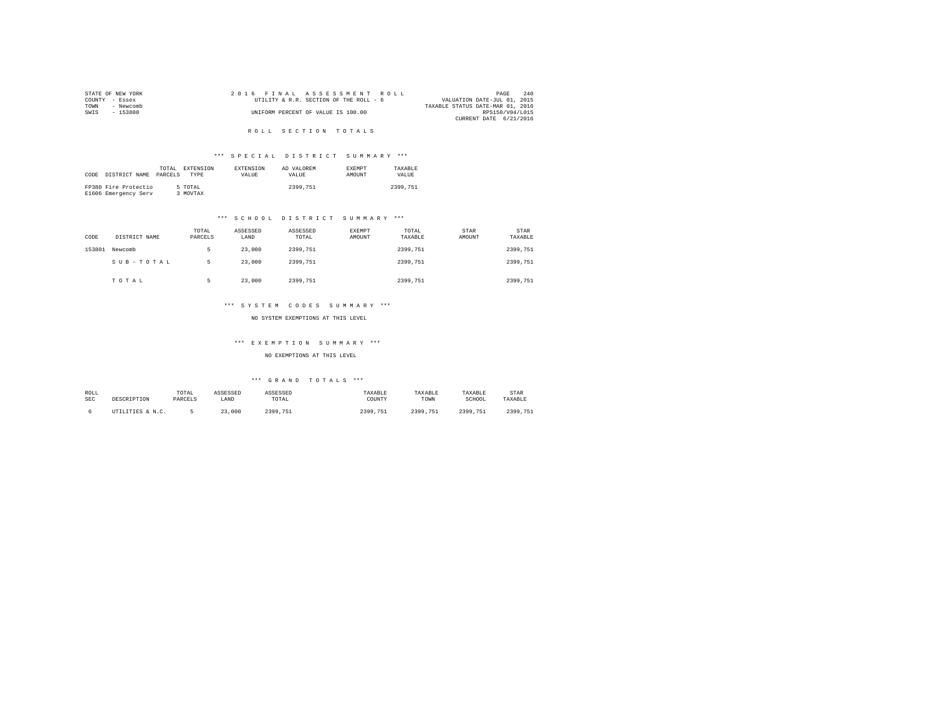|                | STATE OF NEW YORK |  |  |  | 2016 FINAL ASSESSMENT ROLL             |  |  |                                  | PAGE            | 240 |
|----------------|-------------------|--|--|--|----------------------------------------|--|--|----------------------------------|-----------------|-----|
| COUNTY - Essex |                   |  |  |  | UTILITY & R.R. SECTION OF THE ROLL - 6 |  |  | VALUATION DATE-JUL 01, 2015      |                 |     |
| TOWN           | - Newcomb         |  |  |  |                                        |  |  | TAXABLE STATUS DATE-MAR 01, 2016 |                 |     |
| SWTS           | $-153800$         |  |  |  | UNIFORM PERCENT OF VALUE IS 100.00     |  |  |                                  | RPS150/V04/L015 |     |
|                |                   |  |  |  |                                        |  |  | CURRENT DATE 6/21/2016           |                 |     |

## R O L L S E C T I O N T O T A L S

## \*\*\* S P E C I A L D I S T R I C T S U M M A R Y \*\*\*

|      |                      | TOTAL   | EXTENSION | <b>EXTENSION</b> | AD VALOREM | <b>EXEMPT</b> | TAXARLE  |
|------|----------------------|---------|-----------|------------------|------------|---------------|----------|
| CODE | DISTRICT NAME        | PARCELS | TYPE      | <b>VALUE</b>     | VALUE.     | <b>AMOUNT</b> | VALUE.   |
|      |                      |         |           |                  |            |               |          |
|      | FP380 Fire Protectio |         | 5 TOTAL   |                  | 2399.751   |               | 2399.751 |
|      | E1606 Emergency Serv |         | 3 MOVTAX  |                  |            |               |          |

## \*\*\* S C H O O L D I S T R I C T S U M M A R Y \*\*\*

| CODE   | DISTRICT NAME | TOTAL<br>PARCELS | ASSESSED<br>LAND | ASSESSED<br>TOTAL | EXEMPT<br>AMOUNT | TOTAL<br>TAXABLE | STAR<br>AMOUNT | STAR<br>TAXABLE |
|--------|---------------|------------------|------------------|-------------------|------------------|------------------|----------------|-----------------|
| 153801 | Newcomb       |                  | 23,000           | 2399.751          |                  | 2399.751         |                | 2399.751        |
|        | SUB-TOTAL     |                  | 23,000           | 2399.751          |                  | 2399.751         |                | 2399.751        |
|        | TOTAL         |                  | 23,000           | 2399.751          |                  | 2399.751         |                | 2399.751        |

## \*\*\* S Y S T E M C O D E S S U M M A R Y \*\*\*

NO SYSTEM EXEMPTIONS AT THIS LEVEL

#### \*\*\* E X E M P T I O N S U M M A R Y \*\*\*

NO EXEMPTIONS AT THIS LEVEL

| ROLL | DESCRIPTION      | TOTAL   | ASSESSED | ASSESSED         | TAXABLE  | TAXABLE  | TAXABLE  | STAR     |
|------|------------------|---------|----------|------------------|----------|----------|----------|----------|
| SEC  |                  | PARCELS | LAND     | TOTAL            | COUNTY   | TOWN     | SCHOOL   | TAXABLE  |
|      | UTILITIES & N.C. |         | 23,000   | 2399<br>2399.751 | 2399.751 | 2399.751 | 2399.751 | 2399.751 |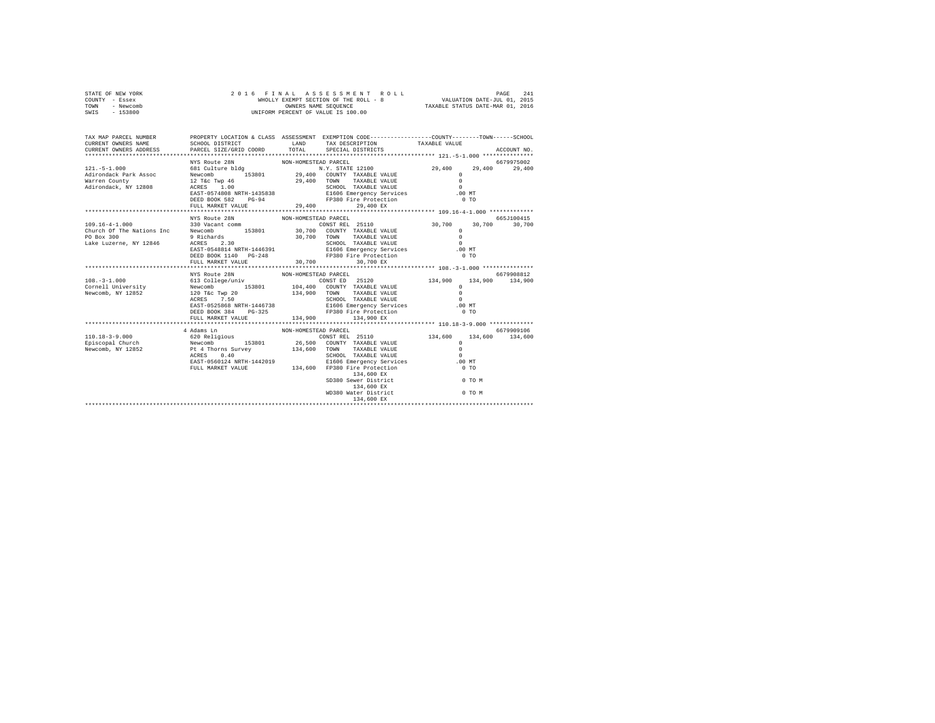| STATE OF NEW YORK | 2016 FINAL ASSESSMENT ROLL            | 241<br>PAGE                      |
|-------------------|---------------------------------------|----------------------------------|
| COUNTY - Essex    | WHOLLY EXEMPT SECTION OF THE ROLL - 8 | VALUATION DATE-JUL 01, 2015      |
| TOWN<br>- Newcomb | OWNERS NAME SEOUENCE                  | TAXABLE STATUS DATE-MAR 01, 2016 |
| - 153800<br>SWIS  | UNIFORM PERCENT OF VALUE IS 100.00    |                                  |

| TAX MAP PARCEL NUMBER<br>CURRENT OWNERS NAME                 |                                                                                                                                                                                                                                                                                                                                                                                                            |                                                             |                                                                                            |                    |               |            |
|--------------------------------------------------------------|------------------------------------------------------------------------------------------------------------------------------------------------------------------------------------------------------------------------------------------------------------------------------------------------------------------------------------------------------------------------------------------------------------|-------------------------------------------------------------|--------------------------------------------------------------------------------------------|--------------------|---------------|------------|
|                                                              | DEED BOOK 582 PG-94<br>FULL MARKET VALUE                                                                                                                                                                                                                                                                                                                                                                   | FP380 Fire Protection<br>29,400 29,400 Ex                   |                                                                                            | $0$ TO             | 29,400 29,400 | 6679975002 |
| $109.16 - 4 - 1.000$<br>PO Box 300<br>Lake Luzerne, NY 12846 | NYS Route 28N<br>330 Vacant comm<br>Church Of The Nations Inc Mewcomb 153801 30,700 COUNTY TAXABLE VALUE<br>DEED BOOK 1140 PG-248 FP380 Fire Protection                                                                                                                                                                                                                                                    | NON-HOMESTEAD PARCEL<br>CONSTREL 25110 30,700 30,700 30,700 |                                                                                            | $\Omega$<br>$0$ TO |               | 665J100415 |
|                                                              | NYS Route 28N<br>ACRES 7.50<br>EAST-0525868 NRTH-1446738<br>DEED BOOK 384 PG-325 FP380 Fire Protection<br>FULL MARKET VALUE                                                                                                                                                                                                                                                                                | NON-HOMESTEAD PARCEL<br>134,900 134,900 EX                  | SCHOOL TAXABLE VALUE<br>E1606 Emergency Services                                           | .00 MT<br>$0$ TO   |               | 6679908812 |
|                                                              | 4 Adams Ln<br>110.18-3-9.000 $\begin{array}{l l} \text{6.20}\text{ } \text{Religious} & \text{6.30}\text{ } \text{Religious} & \text{6.40}\text{ } \text{ } \text{CONST REL} & \text{25110} & 134,600 & 134,600 & 134,600\\ \text{Epiccopal Church} & \text{Newtonb} & 153801 & 26,500 & \text{CONTTY TAXABLE VALUE} & 0\\ \text{Rewcomb} & \text{Newcomb} & 134,600 & 134,600 & 134,600\\ \text{Newcomb}$ | NON-HOMESTEAD PARCEL                                        | 134,600 EX<br>SD380 Sewer District 0 TO M<br>$134,600$ EX<br>WD380 Water District $0$ TO M |                    |               | 6679909106 |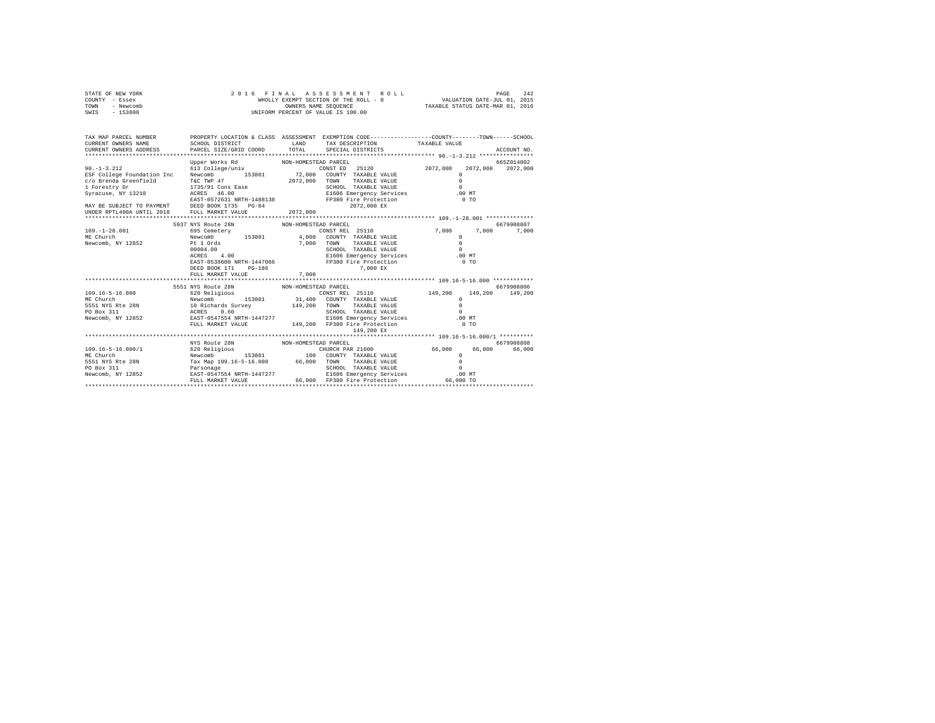| STATE OF NEW YORK | 2016 FINAL ASSESSMENT ROLL            | 242<br>PAGE                      |
|-------------------|---------------------------------------|----------------------------------|
| COUNTY - Essex    | WHOLLY EXEMPT SECTION OF THE ROLL - 8 | VALUATION DATE-JUL 01, 2015      |
| TOWN<br>- Newcomb | OWNERS NAME SEOUENCE                  | TAXABLE STATUS DATE-MAR 01, 2016 |
| - 153800<br>SWIS  | UNIFORM PERCENT OF VALUE IS 100.00    |                                  |

| TAX MAP PARCEL NUMBER<br>$\begin{array}{lllll} \texttt{CURERENT} & \texttt{OMNE} & \texttt{SAHD} & \texttt{TAX} & \texttt{DESCRIPTION} & \texttt{TAX ABLEY TUS} & \texttt{TAX A BLE VALUE} & \texttt{ACCOURT NO} \\ \texttt{CURERENT} & \texttt{OMNE} & \texttt{PACE} & \texttt{PACE} & \texttt{TPCTAL} & \texttt{SPECHIPTON} & \texttt{NOLUEN} & \texttt{ACCOURT NO} \\ & \texttt{V.131} & \texttt{S.142} & \texttt{S.143} & \texttt{S.154} & \texttt{S.154}$ | PROPERTY LOCATION & CLASS ASSESSMENT EXEMPTION CODE----------------COUNTY-------TOWN-----SCHOOL |                      |                                                                                                                                                                                                                                |               |                 |
|----------------------------------------------------------------------------------------------------------------------------------------------------------------------------------------------------------------------------------------------------------------------------------------------------------------------------------------------------------------------------------------------------------------------------------------------------------------|-------------------------------------------------------------------------------------------------|----------------------|--------------------------------------------------------------------------------------------------------------------------------------------------------------------------------------------------------------------------------|---------------|-----------------|
|                                                                                                                                                                                                                                                                                                                                                                                                                                                                |                                                                                                 |                      |                                                                                                                                                                                                                                |               |                 |
|                                                                                                                                                                                                                                                                                                                                                                                                                                                                | Upper Works Rd                                                                                  | NON-HOMESTEAD PARCEL |                                                                                                                                                                                                                                |               | 665Z014002      |
| $90. -1 - 3.212$                                                                                                                                                                                                                                                                                                                                                                                                                                               | 613 College/univ                                                                                |                      | CONST ED 25120 2072,000 2072,000 2072,000                                                                                                                                                                                      |               |                 |
| ESF College Foundation Inc Newcomb 153801 72,000 COUNTY TAXABLE VALUE                                                                                                                                                                                                                                                                                                                                                                                          |                                                                                                 |                      |                                                                                                                                                                                                                                | $\Omega$      |                 |
| c/o Brenda Greenfield                                                                                                                                                                                                                                                                                                                                                                                                                                          | T&C TWP 47 2072,000 TOWN                                                                        |                      | TAXABLE VALUE                                                                                                                                                                                                                  | $\Omega$      |                 |
| 1 Forestry Dr                                                                                                                                                                                                                                                                                                                                                                                                                                                  |                                                                                                 |                      |                                                                                                                                                                                                                                |               |                 |
| Syracuse, NY 13210                                                                                                                                                                                                                                                                                                                                                                                                                                             |                                                                                                 |                      |                                                                                                                                                                                                                                |               |                 |
|                                                                                                                                                                                                                                                                                                                                                                                                                                                                |                                                                                                 |                      |                                                                                                                                                                                                                                |               |                 |
| MAY BE SUBJECT TO PAYMENT DEED BOOK 1735 PG-84                                                                                                                                                                                                                                                                                                                                                                                                                 |                                                                                                 |                      | 2072.000 EX                                                                                                                                                                                                                    |               |                 |
| UNDER RPTL480A UNTIL 2018                                                                                                                                                                                                                                                                                                                                                                                                                                      | FULL MARKET VALUE                                                                               | 2072,000             |                                                                                                                                                                                                                                |               |                 |
|                                                                                                                                                                                                                                                                                                                                                                                                                                                                |                                                                                                 |                      |                                                                                                                                                                                                                                |               |                 |
|                                                                                                                                                                                                                                                                                                                                                                                                                                                                | 5937 NYS Route 28N                                                                              | NON-HOMESTEAD PARCEL |                                                                                                                                                                                                                                |               | 6679908807      |
| $109. - 1 - 28.001$                                                                                                                                                                                                                                                                                                                                                                                                                                            | 695 Cemetery                                                                                    |                      | CONSTREL 25110 7.000 7.000                                                                                                                                                                                                     |               | 7,000           |
| ME Church                                                                                                                                                                                                                                                                                                                                                                                                                                                      | Newcomb 153801 4,000 COUNTY TAXABLE VALUE                                                       |                      |                                                                                                                                                                                                                                | $^{\circ}$    |                 |
| Newcomb, NY 12852 Pt 1 Ords                                                                                                                                                                                                                                                                                                                                                                                                                                    |                                                                                                 | 7,000                | TOWN<br>TAXABLE VALUE                                                                                                                                                                                                          | $\Omega$      |                 |
|                                                                                                                                                                                                                                                                                                                                                                                                                                                                |                                                                                                 |                      | COMPLETE CONSUMERS AND THE SERVICES OF SETTING A SERVICES OF THE SERVICES OF STAR SERVICES OF SERVICES OF SERVICES OF SERVICES OF SERVICES OF SERVICES OF SERVICES OF SERVICES OF SERVICES OF SERVICES OF SERVICES OF SERVICES | $\Omega$      |                 |
|                                                                                                                                                                                                                                                                                                                                                                                                                                                                |                                                                                                 |                      |                                                                                                                                                                                                                                |               |                 |
|                                                                                                                                                                                                                                                                                                                                                                                                                                                                |                                                                                                 |                      |                                                                                                                                                                                                                                |               |                 |
|                                                                                                                                                                                                                                                                                                                                                                                                                                                                | DEED BOOK 171 PG-186                                                                            | 7,000                | 7.000 EX                                                                                                                                                                                                                       |               |                 |
|                                                                                                                                                                                                                                                                                                                                                                                                                                                                | FULL MARKET VALUE                                                                               |                      |                                                                                                                                                                                                                                |               |                 |
|                                                                                                                                                                                                                                                                                                                                                                                                                                                                | 5551 NYS Route 28N                                                                              | NON-HOMESTEAD PARCEL |                                                                                                                                                                                                                                |               | 6679908806      |
| $109.16 - 5 - 16.000$                                                                                                                                                                                                                                                                                                                                                                                                                                          |                                                                                                 |                      | CONSTREL 25110 149,200                                                                                                                                                                                                         |               | 149,200 149,200 |
| ME Church                                                                                                                                                                                                                                                                                                                                                                                                                                                      | 00 620 Religious 620 CONSTREL 25110<br>Newcomb 153801 31,400 COUNTY TAXABLE VALUE               |                      |                                                                                                                                                                                                                                | $\Omega$      |                 |
| 5551 NYS Rte 28N 10 Richards Survey 149,200 TOWN TAXABLE VALUE                                                                                                                                                                                                                                                                                                                                                                                                 |                                                                                                 |                      |                                                                                                                                                                                                                                | $\Omega$      |                 |
| ACRES 0.60<br>PO Box 311                                                                                                                                                                                                                                                                                                                                                                                                                                       |                                                                                                 |                      | SCHOOL TAXABLE VALUE                                                                                                                                                                                                           | $\Omega$      |                 |
| Newcomb, NY 12852 BAST-0547554 NRTH-1447277 E1606 Emergency Services .00 MT                                                                                                                                                                                                                                                                                                                                                                                    |                                                                                                 |                      |                                                                                                                                                                                                                                |               |                 |
|                                                                                                                                                                                                                                                                                                                                                                                                                                                                | FULL MARKET VALUE 49,200 FP380 Fire Protection                                                  |                      |                                                                                                                                                                                                                                | 0.70          |                 |
|                                                                                                                                                                                                                                                                                                                                                                                                                                                                |                                                                                                 |                      | 149,200 EX                                                                                                                                                                                                                     |               |                 |
|                                                                                                                                                                                                                                                                                                                                                                                                                                                                |                                                                                                 |                      |                                                                                                                                                                                                                                |               |                 |
|                                                                                                                                                                                                                                                                                                                                                                                                                                                                | NYS Route 28N                                                                                   | NON-HOMESTEAD PARCEL |                                                                                                                                                                                                                                |               | 6679908808      |
| $109.16 - 5 - 16.000 / 1$                                                                                                                                                                                                                                                                                                                                                                                                                                      | 620 Religious                                                                                   |                      | CHURCH PAR 21600                                                                                                                                                                                                               | 66,000 66,000 | 66,000          |
| ME Church                                                                                                                                                                                                                                                                                                                                                                                                                                                      |                                                                                                 |                      |                                                                                                                                                                                                                                | $^{\circ}$    |                 |
| 5551 NYS Rte 28N<br>PO Box 311                                                                                                                                                                                                                                                                                                                                                                                                                                 |                                                                                                 |                      | TAXABLE VALUE                                                                                                                                                                                                                  | $\Omega$      |                 |
| PO Box 311                                                                                                                                                                                                                                                                                                                                                                                                                                                     | Newcomb 153801 100 COUNT<br>Tax Map 109.16-5-16.000 66,000 TOWN<br>Parsonage SCHOO              |                      | SCHOOL TAXABLE VALUE                                                                                                                                                                                                           | $\Omega$      |                 |
| Newcomb, NY 12852 EAST-0547554 NRTH-1447277 E1606 Emergency Services .00 MT                                                                                                                                                                                                                                                                                                                                                                                    |                                                                                                 |                      |                                                                                                                                                                                                                                |               |                 |
|                                                                                                                                                                                                                                                                                                                                                                                                                                                                | FULL MARKET VALUE                                                                               |                      | 66,000 FP380 Fire Protection 66,000 TO                                                                                                                                                                                         |               |                 |
|                                                                                                                                                                                                                                                                                                                                                                                                                                                                | ******************************                                                                  |                      |                                                                                                                                                                                                                                |               |                 |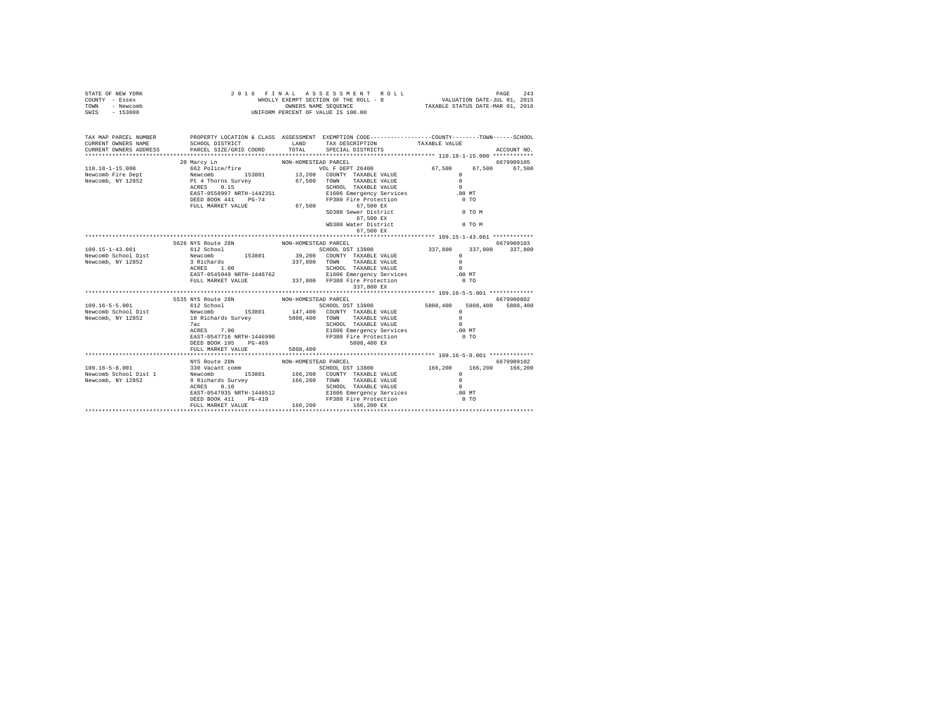| STATE OF NEW YORK<br>COUNTY - Essex<br>TOWN - Newcomb<br>SWIS - 153800                                                                                                                                                                                                                                                                                                                          | 2016 FINAL ASSESSMENT R<br>WHOLLY EXEMPT SECTION OF THE ROLL - 8<br>ONNERS NAME SEQUENCE<br>UNIFORM PERCENT OF VALUE IS 100.00<br>2016 FINAL ASSESSMENT ROLL | FINAL ASSES MENT ROLL<br>WHOLLY EXEMPT SECTION OF THE ROLL - 8<br>STRONM CREATE SCIENCE SEQUENCE - STAXABLE STATUS DATE-JUL 01, 2015<br>STRONM DEPOTENT OF MATTE- TO 1000 |                                                                                                                                                                                                                                        |               |             |
|-------------------------------------------------------------------------------------------------------------------------------------------------------------------------------------------------------------------------------------------------------------------------------------------------------------------------------------------------------------------------------------------------|--------------------------------------------------------------------------------------------------------------------------------------------------------------|---------------------------------------------------------------------------------------------------------------------------------------------------------------------------|----------------------------------------------------------------------------------------------------------------------------------------------------------------------------------------------------------------------------------------|---------------|-------------|
| TAX MAP PARCEL NUMBER PROPERTY LOCATION & CLASS ASSESSMENT EXEMPTION CODE--------------COUNTY-------TOWN-----SCHOOL                                                                                                                                                                                                                                                                             | SCHOOL DISTRICT TAND TAX DESCRIPTION                                                                                                                         |                                                                                                                                                                           |                                                                                                                                                                                                                                        | TAXABLE VALUE |             |
|                                                                                                                                                                                                                                                                                                                                                                                                 |                                                                                                                                                              |                                                                                                                                                                           |                                                                                                                                                                                                                                        |               | ACCOUNT NO. |
|                                                                                                                                                                                                                                                                                                                                                                                                 |                                                                                                                                                              |                                                                                                                                                                           |                                                                                                                                                                                                                                        |               |             |
| $\begin{tabular}{l c c c c c} \multicolumn{3}{c}{\textbf{10.18-1--15.000}} & \multicolumn{3}{c}{20~\texttt{Mary Ln}} & \multicolumn{3}{c}{\textbf{10.18-1--15.000}} & \multicolumn{3}{c}{67,500} & \multicolumn{3}{c}{67,500} & \multicolumn{3}{c}{67,500} & \multicolumn{3}{c}{67,500} & \multicolumn{3}{c}{67,500} & \multicolumn{3}{c}{67,500} & \multicolumn{3}{c}{67,500} & \multicolumn{$ |                                                                                                                                                              |                                                                                                                                                                           | VOL F DEPT 26400 67,500 67,500 67,500                                                                                                                                                                                                  |               | 6679909105  |
|                                                                                                                                                                                                                                                                                                                                                                                                 |                                                                                                                                                              |                                                                                                                                                                           |                                                                                                                                                                                                                                        |               |             |
|                                                                                                                                                                                                                                                                                                                                                                                                 |                                                                                                                                                              |                                                                                                                                                                           |                                                                                                                                                                                                                                        |               |             |
|                                                                                                                                                                                                                                                                                                                                                                                                 |                                                                                                                                                              |                                                                                                                                                                           |                                                                                                                                                                                                                                        |               |             |
|                                                                                                                                                                                                                                                                                                                                                                                                 |                                                                                                                                                              |                                                                                                                                                                           |                                                                                                                                                                                                                                        |               |             |
|                                                                                                                                                                                                                                                                                                                                                                                                 |                                                                                                                                                              |                                                                                                                                                                           |                                                                                                                                                                                                                                        |               |             |
|                                                                                                                                                                                                                                                                                                                                                                                                 |                                                                                                                                                              |                                                                                                                                                                           |                                                                                                                                                                                                                                        | 0 TO M        |             |
|                                                                                                                                                                                                                                                                                                                                                                                                 |                                                                                                                                                              |                                                                                                                                                                           |                                                                                                                                                                                                                                        |               |             |
|                                                                                                                                                                                                                                                                                                                                                                                                 |                                                                                                                                                              |                                                                                                                                                                           | WD380 Water District                                                                                                                                                                                                                   | 0 TO M        |             |
|                                                                                                                                                                                                                                                                                                                                                                                                 |                                                                                                                                                              |                                                                                                                                                                           | 67,500 EX                                                                                                                                                                                                                              |               |             |
|                                                                                                                                                                                                                                                                                                                                                                                                 |                                                                                                                                                              |                                                                                                                                                                           |                                                                                                                                                                                                                                        |               |             |
|                                                                                                                                                                                                                                                                                                                                                                                                 | 5626 NYS Route 28N NON-HOMESTEAD PARCEL                                                                                                                      |                                                                                                                                                                           |                                                                                                                                                                                                                                        |               | 6679909103  |
|                                                                                                                                                                                                                                                                                                                                                                                                 |                                                                                                                                                              |                                                                                                                                                                           |                                                                                                                                                                                                                                        |               |             |
|                                                                                                                                                                                                                                                                                                                                                                                                 |                                                                                                                                                              |                                                                                                                                                                           |                                                                                                                                                                                                                                        |               |             |
|                                                                                                                                                                                                                                                                                                                                                                                                 |                                                                                                                                                              |                                                                                                                                                                           |                                                                                                                                                                                                                                        |               |             |
|                                                                                                                                                                                                                                                                                                                                                                                                 |                                                                                                                                                              |                                                                                                                                                                           |                                                                                                                                                                                                                                        |               |             |
|                                                                                                                                                                                                                                                                                                                                                                                                 |                                                                                                                                                              |                                                                                                                                                                           |                                                                                                                                                                                                                                        |               |             |
|                                                                                                                                                                                                                                                                                                                                                                                                 |                                                                                                                                                              |                                                                                                                                                                           | 337,800 EX                                                                                                                                                                                                                             |               |             |
|                                                                                                                                                                                                                                                                                                                                                                                                 |                                                                                                                                                              |                                                                                                                                                                           |                                                                                                                                                                                                                                        |               |             |
|                                                                                                                                                                                                                                                                                                                                                                                                 | 5535 NYS Route 28N NON-HOMESTEAD PARCEL 612 School DST                                                                                                       |                                                                                                                                                                           |                                                                                                                                                                                                                                        |               | 6679908802  |
| 109.16-5-5.001                                                                                                                                                                                                                                                                                                                                                                                  |                                                                                                                                                              |                                                                                                                                                                           |                                                                                                                                                                                                                                        |               |             |
| Newcomb School Dist<br>Newcomb, NY 12852                                                                                                                                                                                                                                                                                                                                                        |                                                                                                                                                              |                                                                                                                                                                           | 6679908802<br>612 School 153801 147,400 COUNTY TAXABLE VALUE<br>19 Septemb 153801 147,400 COUNTY TAXABLE VALUE 10 SE08,400 5808,400<br>19 Septemb 10 School 153801 5808,400 TOWN TAXABLE VALUE 10<br>19 Septemb 10 September 10 Septem |               |             |
|                                                                                                                                                                                                                                                                                                                                                                                                 |                                                                                                                                                              |                                                                                                                                                                           |                                                                                                                                                                                                                                        |               |             |
|                                                                                                                                                                                                                                                                                                                                                                                                 |                                                                                                                                                              |                                                                                                                                                                           |                                                                                                                                                                                                                                        |               |             |
|                                                                                                                                                                                                                                                                                                                                                                                                 |                                                                                                                                                              |                                                                                                                                                                           |                                                                                                                                                                                                                                        |               |             |
|                                                                                                                                                                                                                                                                                                                                                                                                 |                                                                                                                                                              |                                                                                                                                                                           |                                                                                                                                                                                                                                        |               |             |
|                                                                                                                                                                                                                                                                                                                                                                                                 |                                                                                                                                                              | 5808,400                                                                                                                                                                  |                                                                                                                                                                                                                                        |               |             |
|                                                                                                                                                                                                                                                                                                                                                                                                 |                                                                                                                                                              |                                                                                                                                                                           |                                                                                                                                                                                                                                        |               |             |
|                                                                                                                                                                                                                                                                                                                                                                                                 | NYS Route 28N                                                                                                                                                | NON-HOMESTEAD PARCEL                                                                                                                                                      |                                                                                                                                                                                                                                        |               | 6679909102  |
|                                                                                                                                                                                                                                                                                                                                                                                                 |                                                                                                                                                              |                                                                                                                                                                           |                                                                                                                                                                                                                                        |               |             |
|                                                                                                                                                                                                                                                                                                                                                                                                 |                                                                                                                                                              |                                                                                                                                                                           |                                                                                                                                                                                                                                        |               |             |
|                                                                                                                                                                                                                                                                                                                                                                                                 |                                                                                                                                                              |                                                                                                                                                                           |                                                                                                                                                                                                                                        |               |             |
|                                                                                                                                                                                                                                                                                                                                                                                                 |                                                                                                                                                              |                                                                                                                                                                           |                                                                                                                                                                                                                                        |               |             |
|                                                                                                                                                                                                                                                                                                                                                                                                 |                                                                                                                                                              |                                                                                                                                                                           |                                                                                                                                                                                                                                        |               |             |
|                                                                                                                                                                                                                                                                                                                                                                                                 |                                                                                                                                                              |                                                                                                                                                                           |                                                                                                                                                                                                                                        |               |             |
|                                                                                                                                                                                                                                                                                                                                                                                                 |                                                                                                                                                              |                                                                                                                                                                           |                                                                                                                                                                                                                                        |               |             |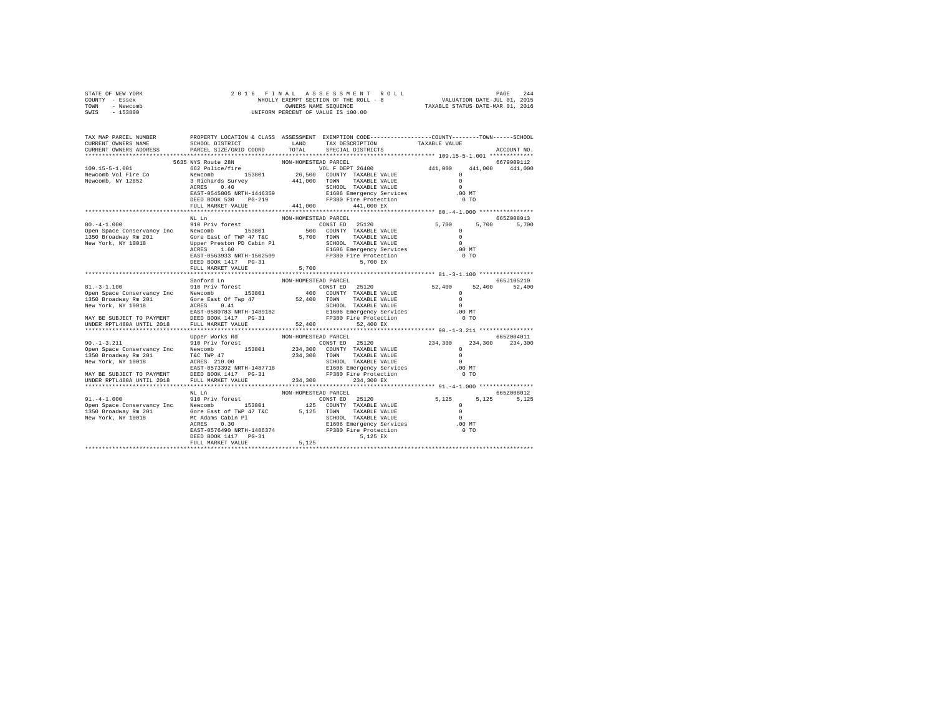| STATE OF NEW YORK                                                                                                                                                                                                                  | 2016 FINAL ASSESSMENT ROLI<br>WHOLLY EXEMPT SECTION OF THE ROLL - 8<br>UNIFORM PERCENT OF VALUE IS 100.00                                                                                                                             | FINAL ASSES MENT ROLL<br>WHOLLY EXEMPT SECTION OF THE ROLL - 8<br>WHOLLY EXEMPT SECTION OF THE ROLL - 8<br>TAXABLE STATUS DATE-MAR 01, 2016                |                                                                    |                                      |                 |
|------------------------------------------------------------------------------------------------------------------------------------------------------------------------------------------------------------------------------------|---------------------------------------------------------------------------------------------------------------------------------------------------------------------------------------------------------------------------------------|------------------------------------------------------------------------------------------------------------------------------------------------------------|--------------------------------------------------------------------|--------------------------------------|-----------------|
| COUNTY - Essex                                                                                                                                                                                                                     |                                                                                                                                                                                                                                       |                                                                                                                                                            |                                                                    |                                      |                 |
| TOWN - Newcomb<br>SWIS - 153800                                                                                                                                                                                                    |                                                                                                                                                                                                                                       |                                                                                                                                                            |                                                                    |                                      |                 |
|                                                                                                                                                                                                                                    |                                                                                                                                                                                                                                       |                                                                                                                                                            |                                                                    |                                      |                 |
|                                                                                                                                                                                                                                    |                                                                                                                                                                                                                                       |                                                                                                                                                            |                                                                    |                                      |                 |
|                                                                                                                                                                                                                                    |                                                                                                                                                                                                                                       |                                                                                                                                                            |                                                                    |                                      |                 |
| TAX MAP PARCEL NUMBER                                                                                                                                                                                                              | PROPERTY LOCATION & CLASS ASSESSMENT EXEMPTION CODE----------------COUNTY-------TOWN------SCHOOL                                                                                                                                      |                                                                                                                                                            |                                                                    |                                      |                 |
| CURRENT OWNERS NAME                                                                                                                                                                                                                | SCHOOL DISTRICT TAND TAX DESCRIPTION                                                                                                                                                                                                  |                                                                                                                                                            |                                                                    | TAXABLE VALUE                        |                 |
| CURRENT OWNERS ADDRESS                                                                                                                                                                                                             | PARCEL SIZE/GRID COORD                                                                                                                                                                                                                | TOTAL                                                                                                                                                      | SPECIAL DISTRICTS                                                  |                                      | ACCOUNT NO.     |
|                                                                                                                                                                                                                                    |                                                                                                                                                                                                                                       | NON-HOMESTEAD PARCEL                                                                                                                                       |                                                                    |                                      | 6679909112      |
| 109.15-5-1.001                                                                                                                                                                                                                     | 5635 NYS Route 28N<br>5635 NYS Route 28N<br>662 Police/fire                                                                                                                                                                           | VOL F DEPT 26400                                                                                                                                           |                                                                    | 441,000                              | 441.000 441.000 |
| Newcomb Vol Fire Co                                                                                                                                                                                                                | Newcomb 153801                                                                                                                                                                                                                        | 26,500 COUNTY TAXABLE VALUE                                                                                                                                |                                                                    |                                      |                 |
| Newcomb, NY 12852                                                                                                                                                                                                                  |                                                                                                                                                                                                                                       |                                                                                                                                                            |                                                                    |                                      |                 |
|                                                                                                                                                                                                                                    |                                                                                                                                                                                                                                       |                                                                                                                                                            |                                                                    |                                      |                 |
|                                                                                                                                                                                                                                    |                                                                                                                                                                                                                                       |                                                                                                                                                            |                                                                    |                                      |                 |
|                                                                                                                                                                                                                                    |                                                                                                                                                                                                                                       |                                                                                                                                                            |                                                                    |                                      |                 |
|                                                                                                                                                                                                                                    |                                                                                                                                                                                                                                       |                                                                                                                                                            |                                                                    |                                      |                 |
|                                                                                                                                                                                                                                    | Newcomb 153801<br>3 Richards Survey 441,000 TOWN 18AABLE VALUE 3 Richards Survey 441,000 TOWN 18AABLE VALUE ACRES 0.40 SCHOOL TAXABLE VALUE ASSOS NRTH-1446359 1600 MT<br>RAST-0545805 RRED BOOK 530 PG-219 441,000 FM 141,000 EX<br> |                                                                                                                                                            |                                                                    |                                      |                 |
|                                                                                                                                                                                                                                    |                                                                                                                                                                                                                                       |                                                                                                                                                            |                                                                    |                                      | 665Z008013      |
| Open Space Conservancy Inc Mewcomb Super Space Conservancy Inc Newcomb 153801 CONST ED 25120<br>1350 Broadway Fm 201 Newcomb 153801 500 COUNTY TAXABLE VALUE                                                                       |                                                                                                                                                                                                                                       |                                                                                                                                                            |                                                                    | 5,700                                | 5,700 5,700     |
|                                                                                                                                                                                                                                    |                                                                                                                                                                                                                                       |                                                                                                                                                            |                                                                    | $^{\circ}$                           |                 |
|                                                                                                                                                                                                                                    |                                                                                                                                                                                                                                       |                                                                                                                                                            |                                                                    | $\Omega$                             |                 |
|                                                                                                                                                                                                                                    |                                                                                                                                                                                                                                       |                                                                                                                                                            |                                                                    | $\sim$ 0                             |                 |
|                                                                                                                                                                                                                                    |                                                                                                                                                                                                                                       |                                                                                                                                                            |                                                                    | $.00$ MT                             |                 |
|                                                                                                                                                                                                                                    |                                                                                                                                                                                                                                       |                                                                                                                                                            |                                                                    | $0$ TO                               |                 |
|                                                                                                                                                                                                                                    | ACKES 1.60<br>E1606 Emergency Services<br>DEED BOOK 1417 PG-31<br>PERD BOOK 1417 PG-31                                                                                                                                                |                                                                                                                                                            |                                                                    |                                      |                 |
|                                                                                                                                                                                                                                    | FULL MARKET VALUE                                                                                                                                                                                                                     | 5,700                                                                                                                                                      |                                                                    |                                      |                 |
|                                                                                                                                                                                                                                    |                                                                                                                                                                                                                                       |                                                                                                                                                            |                                                                    |                                      |                 |
|                                                                                                                                                                                                                                    | Sanford Ln<br>910 Priv forest                                                                                                                                                                                                         | NON-HOMESTEAD PARCEL                                                                                                                                       |                                                                    |                                      | 665J105210      |
| $81, -3 - 1, 100$                                                                                                                                                                                                                  |                                                                                                                                                                                                                                       |                                                                                                                                                            |                                                                    |                                      |                 |
| Open Space Conservancy Inc Mewcomb 153801                                                                                                                                                                                          |                                                                                                                                                                                                                                       |                                                                                                                                                            |                                                                    | $\begin{matrix} 0 \\ 0 \end{matrix}$ |                 |
|                                                                                                                                                                                                                                    |                                                                                                                                                                                                                                       |                                                                                                                                                            | COUNTY TAXABLE VALUE<br>TOWN TAXABLE VALUE<br>SCHOOL TAXABLE VALUE |                                      |                 |
|                                                                                                                                                                                                                                    |                                                                                                                                                                                                                                       |                                                                                                                                                            |                                                                    | $\sim$ 0                             |                 |
|                                                                                                                                                                                                                                    |                                                                                                                                                                                                                                       |                                                                                                                                                            |                                                                    | $.00$ MT                             |                 |
|                                                                                                                                                                                                                                    |                                                                                                                                                                                                                                       |                                                                                                                                                            |                                                                    | $0$ TO                               |                 |
| UNDER RPTL480A UNTIL 2018                                                                                                                                                                                                          | FULL MARKET VALUE                                                                                                                                                                                                                     | 52,400 52,400 EX                                                                                                                                           |                                                                    |                                      |                 |
|                                                                                                                                                                                                                                    | Upper Works Rd                                                                                                                                                                                                                        | NON-HOMESTEAD PARCEL                                                                                                                                       |                                                                    |                                      | 665Z004011      |
| $90. - 1 - 3.211$                                                                                                                                                                                                                  | opper works ku<br>910 Priv forest                                                                                                                                                                                                     |                                                                                                                                                            |                                                                    | $234,300$ 0                          | 234,300 234,300 |
| Open Space Conservancy Inc Mewcomb 153801                                                                                                                                                                                          |                                                                                                                                                                                                                                       | $\begin{tabular}{lllllll} \multicolumn{4}{c}{\text{CONST ED}} & 25120 \\ 234,300 & \multicolumn{4}{c}{\text{COUNTY}} & \text{TAXABLE VALUE} \end{tabular}$ |                                                                    |                                      |                 |
|                                                                                                                                                                                                                                    |                                                                                                                                                                                                                                       |                                                                                                                                                            |                                                                    |                                      |                 |
|                                                                                                                                                                                                                                    |                                                                                                                                                                                                                                       |                                                                                                                                                            |                                                                    |                                      |                 |
|                                                                                                                                                                                                                                    |                                                                                                                                                                                                                                       |                                                                                                                                                            |                                                                    |                                      |                 |
| NATE SUBSECT TO PAYMENT THE THE PRODUCED AT A 234,300 TOWN TAXABLE VALUE ON A SCHOOL TAXABLE VALUE ON ACCESS 210.00<br>New York, NY 10018 BAST -0573392 NRTH-1487718 B1606 Emergency Services 2010.00<br>BAY BE SUBJECT TO PAYMENT |                                                                                                                                                                                                                                       |                                                                                                                                                            |                                                                    |                                      |                 |
| UNDER RPTL480A UNTIL 2018                                                                                                                                                                                                          | FULL MARKET VALUE                                                                                                                                                                                                                     | 234,300 234,300 EX                                                                                                                                         |                                                                    |                                      |                 |
|                                                                                                                                                                                                                                    |                                                                                                                                                                                                                                       |                                                                                                                                                            |                                                                    |                                      |                 |
|                                                                                                                                                                                                                                    | $\hbox{NL}$ $\hbox{Ln}$                                                                                                                                                                                                               | NON-HOMESTEAD PARCEL                                                                                                                                       |                                                                    |                                      | 6657008012      |
|                                                                                                                                                                                                                                    |                                                                                                                                                                                                                                       |                                                                                                                                                            |                                                                    |                                      | 5.125 5.125     |
|                                                                                                                                                                                                                                    |                                                                                                                                                                                                                                       |                                                                                                                                                            |                                                                    |                                      |                 |
|                                                                                                                                                                                                                                    |                                                                                                                                                                                                                                       |                                                                                                                                                            |                                                                    |                                      |                 |
|                                                                                                                                                                                                                                    |                                                                                                                                                                                                                                       |                                                                                                                                                            |                                                                    |                                      |                 |
|                                                                                                                                                                                                                                    |                                                                                                                                                                                                                                       |                                                                                                                                                            |                                                                    |                                      |                 |
|                                                                                                                                                                                                                                    |                                                                                                                                                                                                                                       |                                                                                                                                                            |                                                                    |                                      |                 |
|                                                                                                                                                                                                                                    |                                                                                                                                                                                                                                       |                                                                                                                                                            |                                                                    |                                      |                 |
|                                                                                                                                                                                                                                    |                                                                                                                                                                                                                                       |                                                                                                                                                            |                                                                    |                                      |                 |
|                                                                                                                                                                                                                                    |                                                                                                                                                                                                                                       |                                                                                                                                                            |                                                                    |                                      |                 |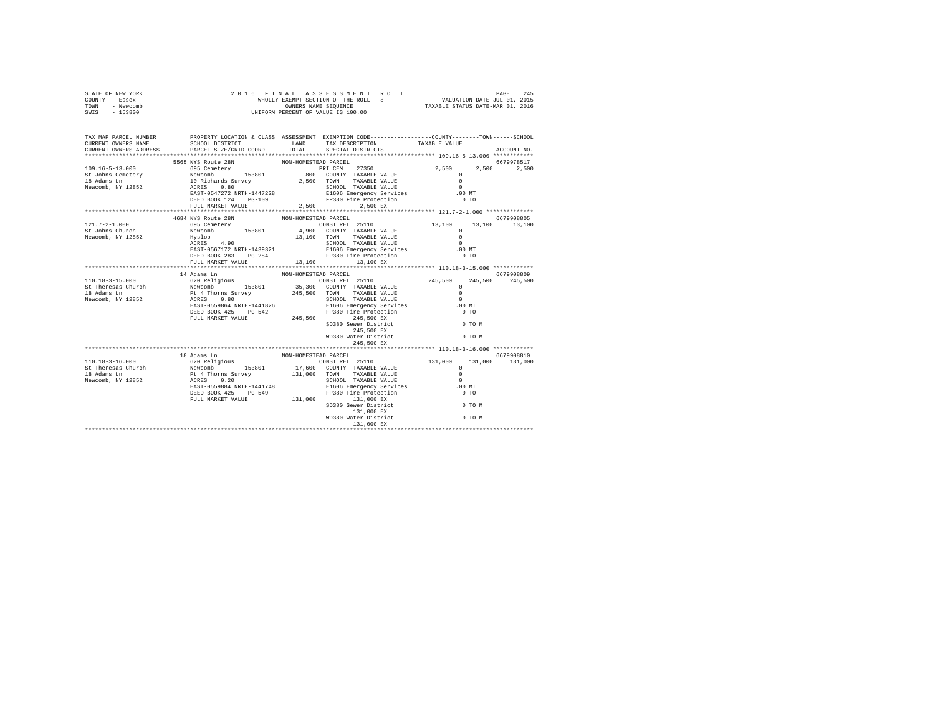| STATE OF NEW YORK<br>COUNTY - Essex<br>TOWN - Newcomb<br>SWIS - 153800                                                                                                                                                                                                                                                                                                    |                                         |                      |                                                                                                                                                                                                     |                   |                       |
|---------------------------------------------------------------------------------------------------------------------------------------------------------------------------------------------------------------------------------------------------------------------------------------------------------------------------------------------------------------------------|-----------------------------------------|----------------------|-----------------------------------------------------------------------------------------------------------------------------------------------------------------------------------------------------|-------------------|-----------------------|
| TAX MAP PARCEL NUMBER<br>CURRENT OWNERS NAME<br>CURRENT OWNERS ADDRESS                                                                                                                                                                                                                                                                                                    |                                         |                      | PROPERTY LOCATION & CLASS ASSESSMENT EXEMPTION CODE---------------COUNTY-------TOWN-----SCHOOL<br>SCHOOL DISTRICT LAND TAX DESCRIPTION TAXABLE VALUE PARCEL SIZE/GRID COORD TOTAL SPECIAL DISTRICTS |                   | ACCOUNT NO.           |
|                                                                                                                                                                                                                                                                                                                                                                           |                                         |                      |                                                                                                                                                                                                     |                   |                       |
|                                                                                                                                                                                                                                                                                                                                                                           | 5565 NYS Route 28N NON-HOMESTEAD PARCEL |                      |                                                                                                                                                                                                     |                   | 6679978517            |
|                                                                                                                                                                                                                                                                                                                                                                           |                                         |                      |                                                                                                                                                                                                     | 2,500 2,500 2,500 |                       |
|                                                                                                                                                                                                                                                                                                                                                                           |                                         |                      |                                                                                                                                                                                                     |                   |                       |
|                                                                                                                                                                                                                                                                                                                                                                           |                                         |                      |                                                                                                                                                                                                     |                   |                       |
|                                                                                                                                                                                                                                                                                                                                                                           |                                         |                      |                                                                                                                                                                                                     |                   |                       |
|                                                                                                                                                                                                                                                                                                                                                                           |                                         |                      |                                                                                                                                                                                                     |                   |                       |
|                                                                                                                                                                                                                                                                                                                                                                           |                                         |                      |                                                                                                                                                                                                     |                   |                       |
|                                                                                                                                                                                                                                                                                                                                                                           |                                         |                      |                                                                                                                                                                                                     |                   |                       |
|                                                                                                                                                                                                                                                                                                                                                                           | 4684 NYS Route 28N                      | NON-HOMESTEAD PARCEL |                                                                                                                                                                                                     |                   | 6679908805            |
|                                                                                                                                                                                                                                                                                                                                                                           |                                         |                      |                                                                                                                                                                                                     |                   |                       |
|                                                                                                                                                                                                                                                                                                                                                                           |                                         |                      |                                                                                                                                                                                                     |                   |                       |
|                                                                                                                                                                                                                                                                                                                                                                           |                                         |                      |                                                                                                                                                                                                     |                   |                       |
|                                                                                                                                                                                                                                                                                                                                                                           |                                         |                      |                                                                                                                                                                                                     |                   |                       |
|                                                                                                                                                                                                                                                                                                                                                                           |                                         |                      |                                                                                                                                                                                                     |                   |                       |
|                                                                                                                                                                                                                                                                                                                                                                           |                                         |                      |                                                                                                                                                                                                     |                   |                       |
| $\begin{array}{cccccccc} 121.7-2-1.000 & 46648 \, \mathrm{NTS} \, \mathrm{ROL} & 8679908895 & 8679908895 & 8679908895 & 8679908895 & 8679908895 & 8679908895 & 8679908895 & 8679908895 & 8679908895 & 8679908895 & 8679908895 & 8679908895 & 879908895 & 879908895 & 8799088$                                                                                             |                                         |                      |                                                                                                                                                                                                     |                   |                       |
|                                                                                                                                                                                                                                                                                                                                                                           |                                         |                      |                                                                                                                                                                                                     |                   |                       |
|                                                                                                                                                                                                                                                                                                                                                                           | 14 Adams Ln                             | NON-HOMESTEAD PARCEL |                                                                                                                                                                                                     |                   | 6679908809<br>245,500 |
|                                                                                                                                                                                                                                                                                                                                                                           |                                         |                      |                                                                                                                                                                                                     |                   |                       |
|                                                                                                                                                                                                                                                                                                                                                                           |                                         |                      |                                                                                                                                                                                                     |                   |                       |
|                                                                                                                                                                                                                                                                                                                                                                           |                                         |                      |                                                                                                                                                                                                     |                   |                       |
|                                                                                                                                                                                                                                                                                                                                                                           |                                         |                      |                                                                                                                                                                                                     |                   |                       |
|                                                                                                                                                                                                                                                                                                                                                                           |                                         |                      |                                                                                                                                                                                                     |                   |                       |
|                                                                                                                                                                                                                                                                                                                                                                           |                                         |                      |                                                                                                                                                                                                     |                   |                       |
|                                                                                                                                                                                                                                                                                                                                                                           |                                         |                      |                                                                                                                                                                                                     |                   |                       |
|                                                                                                                                                                                                                                                                                                                                                                           |                                         |                      |                                                                                                                                                                                                     |                   |                       |
|                                                                                                                                                                                                                                                                                                                                                                           |                                         |                      |                                                                                                                                                                                                     |                   |                       |
|                                                                                                                                                                                                                                                                                                                                                                           |                                         |                      |                                                                                                                                                                                                     |                   |                       |
|                                                                                                                                                                                                                                                                                                                                                                           |                                         |                      |                                                                                                                                                                                                     |                   |                       |
|                                                                                                                                                                                                                                                                                                                                                                           |                                         |                      |                                                                                                                                                                                                     |                   |                       |
|                                                                                                                                                                                                                                                                                                                                                                           |                                         |                      |                                                                                                                                                                                                     |                   |                       |
|                                                                                                                                                                                                                                                                                                                                                                           |                                         |                      |                                                                                                                                                                                                     |                   |                       |
|                                                                                                                                                                                                                                                                                                                                                                           |                                         |                      |                                                                                                                                                                                                     |                   |                       |
|                                                                                                                                                                                                                                                                                                                                                                           |                                         |                      |                                                                                                                                                                                                     |                   |                       |
|                                                                                                                                                                                                                                                                                                                                                                           |                                         |                      |                                                                                                                                                                                                     |                   |                       |
|                                                                                                                                                                                                                                                                                                                                                                           |                                         |                      |                                                                                                                                                                                                     |                   |                       |
|                                                                                                                                                                                                                                                                                                                                                                           |                                         |                      |                                                                                                                                                                                                     |                   |                       |
|                                                                                                                                                                                                                                                                                                                                                                           |                                         |                      |                                                                                                                                                                                                     |                   |                       |
|                                                                                                                                                                                                                                                                                                                                                                           |                                         |                      |                                                                                                                                                                                                     |                   |                       |
| $[10.18-3-16.000 \newline \hline 10.18-3-16.000 \newline \hline 10.18-3-16.000 \newline \hline 20.0218191008 \newline \hline 50.000 \newline \hline 6679908810 \newline \hline 820.0218191008 \newline \hline 90.0887.0842.0212 \newline \hline 110.10-3-16.000 \newline \hline 131,000 \newline \hline 131,000 \newline \hline 131,000 \newline \hline 131,000 \newline$ |                                         |                      |                                                                                                                                                                                                     |                   |                       |
|                                                                                                                                                                                                                                                                                                                                                                           |                                         |                      |                                                                                                                                                                                                     |                   |                       |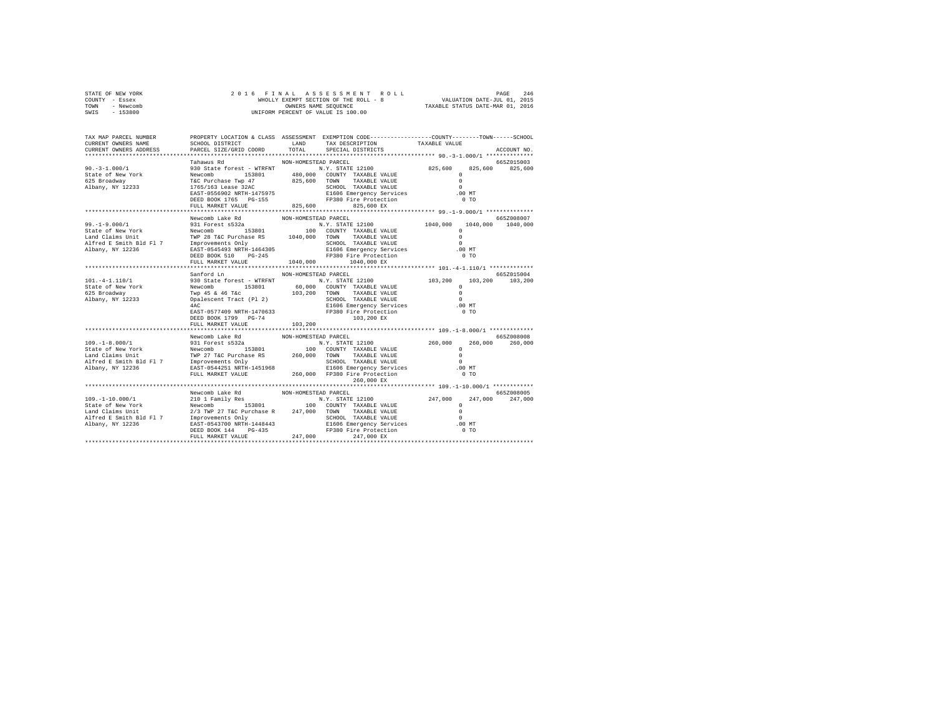| STATE OF NEW YORK<br>COUNTY - Essex<br>TOWN - Newcomb<br>SWIS<br>$-153800$ | 2016 FINAL                                                                                                                                             |                      |                                      | $\verb WHLLALAA SSE S S N E N T ROLDAD MITLON DATE-TULOLA 2465 \newline WHLALY EXEMPT SECTION OF THE ROLL - 8 \newline UNRURS NAME SZQURCE \newline UNIFORENPR CENT OF VALAB IS 100.00 \newline UNIFORN PERCENT OF VALUE IS 100.00 \newline \end{min}$ |                                                                     |        |                               |
|----------------------------------------------------------------------------|--------------------------------------------------------------------------------------------------------------------------------------------------------|----------------------|--------------------------------------|--------------------------------------------------------------------------------------------------------------------------------------------------------------------------------------------------------------------------------------------------------|---------------------------------------------------------------------|--------|-------------------------------|
| TAX MAP PARCEL NUMBER<br>CURRENT OWNERS NAME<br>CURRENT OWNERS ADDRESS     | PROPERTY LOCATION & CLASS ASSESSMENT EXEMPTION CODE---------------COUNTY-------TOWN-----SCHOOL<br>SCHOOL DISTRICT LAND<br>PARCEL SIZE/GRID COORD TOTAL |                      | TAX DESCRIPTION<br>SPECIAL DISTRICTS |                                                                                                                                                                                                                                                        | TAXABLE VALUE                                                       |        | ACCOUNT NO.                   |
|                                                                            | Tahawus Rd                                                                                                                                             | NON-HOMESTEAD PARCEL |                                      |                                                                                                                                                                                                                                                        |                                                                     |        | 665Z015003                    |
|                                                                            |                                                                                                                                                        |                      |                                      |                                                                                                                                                                                                                                                        |                                                                     |        | 825,600 825,600               |
|                                                                            | FULL MARKET VALUE 825,600 825,600 EX                                                                                                                   |                      |                                      |                                                                                                                                                                                                                                                        |                                                                     |        |                               |
|                                                                            |                                                                                                                                                        |                      |                                      |                                                                                                                                                                                                                                                        |                                                                     |        |                               |
|                                                                            | Newcomb Lake Rd                                                                                                                                        | NON-HOMESTEAD PARCEL |                                      |                                                                                                                                                                                                                                                        | 1040,000 1040,000 1040,000                                          |        | 665Z008007                    |
|                                                                            | FULL MARKET VALUE 1040,000 1040,000 EX                                                                                                                 |                      |                                      |                                                                                                                                                                                                                                                        |                                                                     |        |                               |
|                                                                            |                                                                                                                                                        |                      |                                      |                                                                                                                                                                                                                                                        |                                                                     |        |                               |
|                                                                            | Sanford Ln                                                                                                                                             | NON-HOMESTEAD PARCEL |                                      |                                                                                                                                                                                                                                                        |                                                                     |        | 665Z015004                    |
|                                                                            | DEED BOOK 1799 PG-74                                                                                                                                   |                      |                                      | 103,200 EX                                                                                                                                                                                                                                             | 103,200 103,200 103,200<br>$\Omega$<br>$\sim$ 0<br>$\sim$<br>.00 MT | $0$ TO |                               |
|                                                                            | FULL MARKET VALUE 103.200                                                                                                                              |                      |                                      |                                                                                                                                                                                                                                                        |                                                                     |        |                               |
|                                                                            |                                                                                                                                                        |                      |                                      |                                                                                                                                                                                                                                                        |                                                                     |        |                               |
|                                                                            | Newcomb Lake Rd                                                                                                                                        | NON-HOMESTEAD PARCEL | 260,000 EX                           |                                                                                                                                                                                                                                                        |                                                                     |        | 665Z008008<br>260,000 260,000 |
|                                                                            |                                                                                                                                                        |                      |                                      |                                                                                                                                                                                                                                                        |                                                                     |        |                               |
|                                                                            |                                                                                                                                                        |                      |                                      |                                                                                                                                                                                                                                                        |                                                                     |        | 665Z008005<br>247.000 247.000 |
|                                                                            |                                                                                                                                                        |                      |                                      |                                                                                                                                                                                                                                                        |                                                                     |        |                               |
|                                                                            |                                                                                                                                                        |                      |                                      |                                                                                                                                                                                                                                                        |                                                                     |        |                               |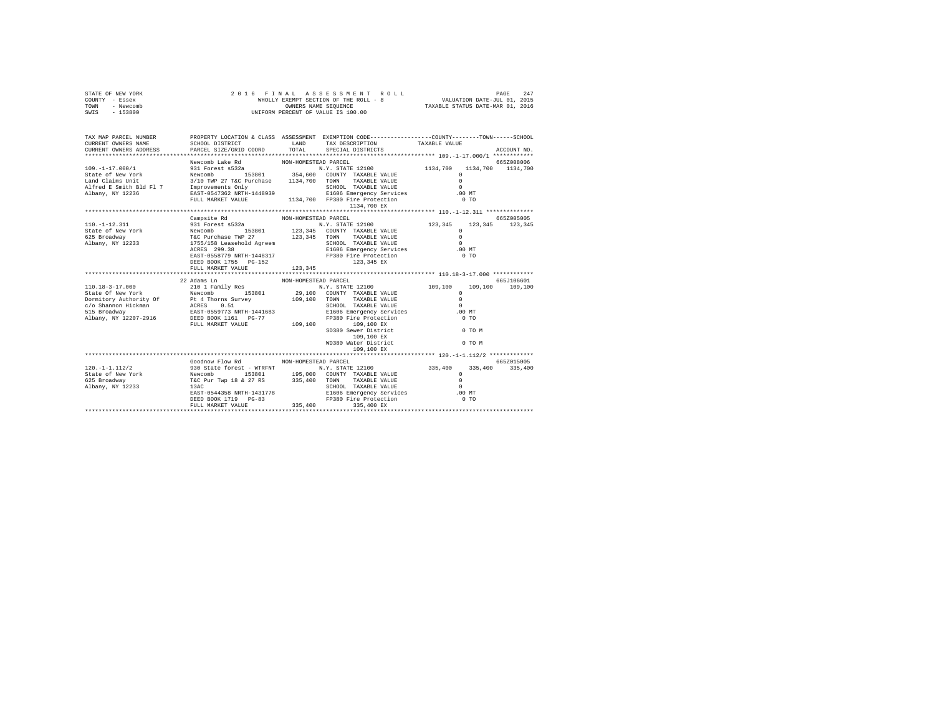| STATE OF NEW YORK<br>COUNTY - Essex<br>TOWN<br>- Newcomb<br>SWIS - 153800                                                                                                                                                                                                                                                                                                                                                                         | 2016 FINAL                                                                                                                                    |                      | UNIFORM PERCENT OF VALUE IS 100.00                                                                   |                                    |             |         |
|---------------------------------------------------------------------------------------------------------------------------------------------------------------------------------------------------------------------------------------------------------------------------------------------------------------------------------------------------------------------------------------------------------------------------------------------------|-----------------------------------------------------------------------------------------------------------------------------------------------|----------------------|------------------------------------------------------------------------------------------------------|------------------------------------|-------------|---------|
| TAX MAP PARCEL NUMBER<br>CURRENT OWNERS NAME<br>CURRENT OWNERS ADDRESS                                                                                                                                                                                                                                                                                                                                                                            | PROPERTY LOCATION & CLASS ASSESSMENT EXEMPTION CODE-----------------COUNTY-------TOWN-----SCHOOL<br>SCHOOL DISTRICT<br>PARCEL SIZE/GRID COORD | LAND                 | TAX DESCRIPTION<br>TOTAL SPECIAL DISTRICTS                                                           | TAXABLE VALUE                      | ACCOUNT NO. |         |
|                                                                                                                                                                                                                                                                                                                                                                                                                                                   |                                                                                                                                               |                      |                                                                                                      |                                    |             |         |
|                                                                                                                                                                                                                                                                                                                                                                                                                                                   | Newcomb Lake Rd                                                                                                                               | NON-HOMESTEAD PARCEL |                                                                                                      |                                    | 665Z008006  |         |
|                                                                                                                                                                                                                                                                                                                                                                                                                                                   |                                                                                                                                               |                      |                                                                                                      |                                    |             |         |
|                                                                                                                                                                                                                                                                                                                                                                                                                                                   |                                                                                                                                               |                      |                                                                                                      |                                    |             |         |
|                                                                                                                                                                                                                                                                                                                                                                                                                                                   |                                                                                                                                               |                      |                                                                                                      |                                    |             |         |
|                                                                                                                                                                                                                                                                                                                                                                                                                                                   |                                                                                                                                               |                      |                                                                                                      |                                    |             |         |
|                                                                                                                                                                                                                                                                                                                                                                                                                                                   |                                                                                                                                               |                      |                                                                                                      |                                    |             |         |
|                                                                                                                                                                                                                                                                                                                                                                                                                                                   |                                                                                                                                               |                      |                                                                                                      |                                    |             |         |
|                                                                                                                                                                                                                                                                                                                                                                                                                                                   |                                                                                                                                               |                      | 1134,700 EX                                                                                          |                                    |             |         |
|                                                                                                                                                                                                                                                                                                                                                                                                                                                   |                                                                                                                                               |                      |                                                                                                      |                                    | 665Z005005  |         |
|                                                                                                                                                                                                                                                                                                                                                                                                                                                   | Campsite Rd NON-HOMESTEAD PARCEL                                                                                                              |                      |                                                                                                      | 123.345 123.345 123.345            |             |         |
|                                                                                                                                                                                                                                                                                                                                                                                                                                                   |                                                                                                                                               |                      |                                                                                                      |                                    |             |         |
|                                                                                                                                                                                                                                                                                                                                                                                                                                                   |                                                                                                                                               |                      | $123,345$ COUNTY TAXABLE VALUE $123,345$ TOWN TAXABLE VALUE $0$                                      |                                    |             |         |
|                                                                                                                                                                                                                                                                                                                                                                                                                                                   |                                                                                                                                               |                      |                                                                                                      | $\sim$                             |             |         |
|                                                                                                                                                                                                                                                                                                                                                                                                                                                   |                                                                                                                                               |                      |                                                                                                      | $.00$ MT                           |             |         |
|                                                                                                                                                                                                                                                                                                                                                                                                                                                   |                                                                                                                                               |                      |                                                                                                      | $0$ TO                             |             |         |
|                                                                                                                                                                                                                                                                                                                                                                                                                                                   |                                                                                                                                               |                      |                                                                                                      |                                    |             |         |
|                                                                                                                                                                                                                                                                                                                                                                                                                                                   | FULL MARKET VALUE                                                                                                                             | 123,345              |                                                                                                      |                                    |             |         |
|                                                                                                                                                                                                                                                                                                                                                                                                                                                   |                                                                                                                                               |                      |                                                                                                      |                                    |             |         |
|                                                                                                                                                                                                                                                                                                                                                                                                                                                   | 22 Adams Ln                                                                                                                                   | NON-HOMESTEAD PARCEL |                                                                                                      |                                    | 665J106601  |         |
|                                                                                                                                                                                                                                                                                                                                                                                                                                                   |                                                                                                                                               |                      |                                                                                                      | $109\,,100$ VALUE                  | 109,100     | 109,100 |
|                                                                                                                                                                                                                                                                                                                                                                                                                                                   |                                                                                                                                               |                      |                                                                                                      | $\Omega$<br>$\Omega$               |             |         |
|                                                                                                                                                                                                                                                                                                                                                                                                                                                   |                                                                                                                                               |                      | SCHOOL TAXABLE VALUE                                                                                 | $\Omega$                           |             |         |
|                                                                                                                                                                                                                                                                                                                                                                                                                                                   |                                                                                                                                               |                      |                                                                                                      | $.00$ MT                           |             |         |
| $\begin{tabular}{l c c c c c} \multicolumn{1}{c}{\textbf{10.18}-3-17.000} & \multicolumn{1}{c}{\textbf{210 1 Famlily Res}} & \multicolumn{1}{c}{\textbf{310 1 Famlily Res}} & \multicolumn{1}{c}{\textbf{310 1 Famlily Res}} & \multicolumn{1}{c}{\textbf{310 1 Famlily Res}} & \multicolumn{1}{c}{\textbf{N.Y. STATE 12100}} \\ \multicolumn{1}{c}{\textbf{State Of New York} & \multicolumn{1}{c}{\textbf{Newtonity of} & \textbf{109.100} & \$ |                                                                                                                                               |                      | E1606 Emergency Services<br>FP380 Fire Protection                                                    | 0 <sub>T</sub>                     |             |         |
|                                                                                                                                                                                                                                                                                                                                                                                                                                                   | FULL MARKET VALUE                                                                                                                             |                      |                                                                                                      |                                    |             |         |
|                                                                                                                                                                                                                                                                                                                                                                                                                                                   |                                                                                                                                               |                      | 109,100 109,100 EX<br>SD380 Sever District<br>WD380 Water District<br>WD380 Water District<br>0 TO M |                                    |             |         |
|                                                                                                                                                                                                                                                                                                                                                                                                                                                   |                                                                                                                                               |                      |                                                                                                      |                                    |             |         |
|                                                                                                                                                                                                                                                                                                                                                                                                                                                   |                                                                                                                                               |                      |                                                                                                      |                                    |             |         |
|                                                                                                                                                                                                                                                                                                                                                                                                                                                   |                                                                                                                                               |                      | 109,100 EX                                                                                           |                                    |             |         |
|                                                                                                                                                                                                                                                                                                                                                                                                                                                   |                                                                                                                                               |                      |                                                                                                      |                                    |             |         |
|                                                                                                                                                                                                                                                                                                                                                                                                                                                   | Goodnow Flow Rd                                                                                                                               | NON-HOMESTEAD PARCEL |                                                                                                      |                                    | 665Z015005  |         |
|                                                                                                                                                                                                                                                                                                                                                                                                                                                   |                                                                                                                                               |                      |                                                                                                      |                                    |             |         |
|                                                                                                                                                                                                                                                                                                                                                                                                                                                   |                                                                                                                                               |                      |                                                                                                      | $335,400$ $335,400$ $335,400$<br>0 |             |         |
|                                                                                                                                                                                                                                                                                                                                                                                                                                                   |                                                                                                                                               |                      |                                                                                                      |                                    |             |         |
|                                                                                                                                                                                                                                                                                                                                                                                                                                                   |                                                                                                                                               |                      |                                                                                                      |                                    |             |         |
|                                                                                                                                                                                                                                                                                                                                                                                                                                                   |                                                                                                                                               |                      |                                                                                                      |                                    |             |         |
|                                                                                                                                                                                                                                                                                                                                                                                                                                                   |                                                                                                                                               |                      |                                                                                                      |                                    |             |         |
|                                                                                                                                                                                                                                                                                                                                                                                                                                                   |                                                                                                                                               |                      |                                                                                                      |                                    |             |         |
|                                                                                                                                                                                                                                                                                                                                                                                                                                                   |                                                                                                                                               |                      |                                                                                                      |                                    |             |         |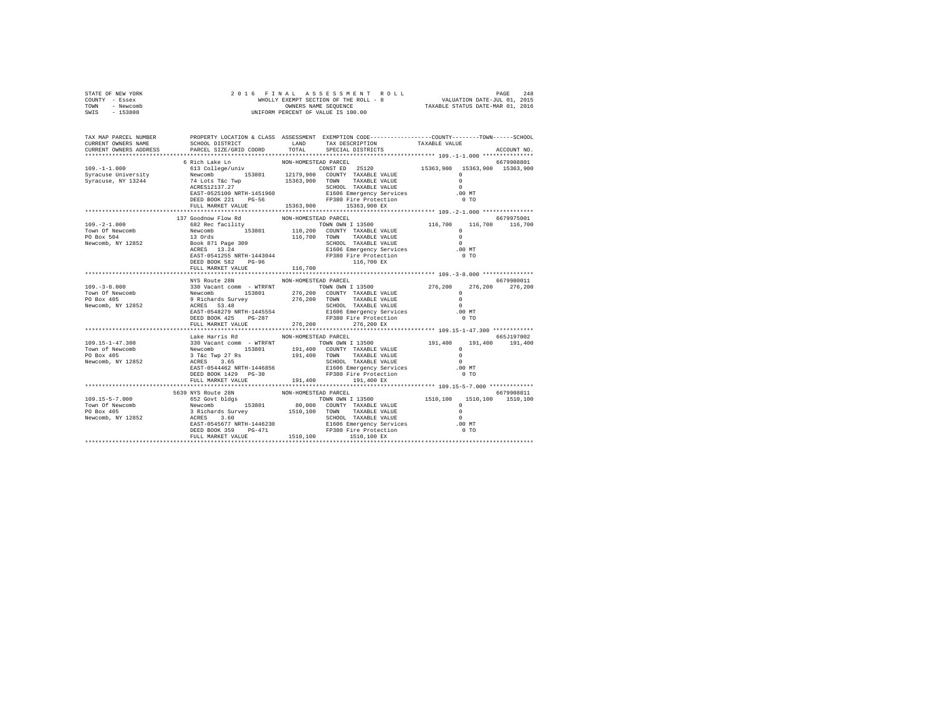|                | STATE OF NEW YORK |  | 2016 FINAL ASSESSMENT ROLL            |                      |  |  |                                  | PAGE | 248 |
|----------------|-------------------|--|---------------------------------------|----------------------|--|--|----------------------------------|------|-----|
| COUNTY - Essex |                   |  | WHOLLY EXEMPT SECTION OF THE ROLL - 8 |                      |  |  | VALUATION DATE-JUL 01, 2015      |      |     |
| TOWN           | - Newcomb         |  |                                       | OWNERS NAME SEOUENCE |  |  | TAXABLE STATUS DATE-MAR 01, 2016 |      |     |
| SWTS           | - 153800          |  | UNIFORM PERCENT OF VALUE IS 100.00    |                      |  |  |                                  |      |     |
|                |                   |  |                                       |                      |  |  |                                  |      |     |

| TAX MAP PARCEL NUMBER THE PROPERTY LOCATION & CLASS ASSESSMENT EXEMPTION CODE-------------COUNTY-------TOWN------SCHOOL                                                                                                                                                                                                                                                              |                                                                                           |                      |                                                                                                                                                                                                                                                                                                                                                                                                                                                                                    |                |                 |
|--------------------------------------------------------------------------------------------------------------------------------------------------------------------------------------------------------------------------------------------------------------------------------------------------------------------------------------------------------------------------------------|-------------------------------------------------------------------------------------------|----------------------|------------------------------------------------------------------------------------------------------------------------------------------------------------------------------------------------------------------------------------------------------------------------------------------------------------------------------------------------------------------------------------------------------------------------------------------------------------------------------------|----------------|-----------------|
| CURRENT OWNERS NAME                                                                                                                                                                                                                                                                                                                                                                  | SCHOOL DISTRICT                                                                           | LAND                 |                                                                                                                                                                                                                                                                                                                                                                                                                                                                                    |                |                 |
| CURRENT OWNERS ADDRESS PARCEL SIZE/GRID COORD TOTAL                                                                                                                                                                                                                                                                                                                                  |                                                                                           |                      | $\begin{tabular}{ll} \multicolumn{2}{c}{\textbf{1}} & \multicolumn{2}{c}{\textbf{1}} & \multicolumn{2}{c}{\textbf{1}} \\ \multicolumn{2}{c}{\textbf{1}} & \multicolumn{2}{c}{\textbf{2}} & \multicolumn{2}{c}{\textbf{2}} \\ \multicolumn{2}{c}{\textbf{3}} & \multicolumn{2}{c}{\textbf{3}} & \multicolumn{2}{c}{\textbf{4}} & \multicolumn{2}{c}{\textbf{5}} \\ \multicolumn{2}{c}{\textbf{1}} & \multicolumn{2}{c}{\textbf{1}} & \multicolumn{2}{c}{\textbf{2}} & \multicolumn$ |                | ACCOUNT NO.     |
|                                                                                                                                                                                                                                                                                                                                                                                      |                                                                                           |                      |                                                                                                                                                                                                                                                                                                                                                                                                                                                                                    |                |                 |
|                                                                                                                                                                                                                                                                                                                                                                                      | 6 Rich Lake Ln                                                                            | NON-HOMESTEAD PARCEL |                                                                                                                                                                                                                                                                                                                                                                                                                                                                                    |                | 6679908801      |
| $109. -1 - 1.000$                                                                                                                                                                                                                                                                                                                                                                    | 613 College/univ                                                                          |                      | CONST ED 25120 15363,900 15363,900 15363,900                                                                                                                                                                                                                                                                                                                                                                                                                                       |                |                 |
|                                                                                                                                                                                                                                                                                                                                                                                      |                                                                                           |                      |                                                                                                                                                                                                                                                                                                                                                                                                                                                                                    | $\Omega$       |                 |
|                                                                                                                                                                                                                                                                                                                                                                                      |                                                                                           |                      |                                                                                                                                                                                                                                                                                                                                                                                                                                                                                    | $\Omega$       |                 |
|                                                                                                                                                                                                                                                                                                                                                                                      |                                                                                           |                      |                                                                                                                                                                                                                                                                                                                                                                                                                                                                                    | $\Omega$       |                 |
|                                                                                                                                                                                                                                                                                                                                                                                      |                                                                                           |                      |                                                                                                                                                                                                                                                                                                                                                                                                                                                                                    | $.00$ MT       |                 |
|                                                                                                                                                                                                                                                                                                                                                                                      |                                                                                           |                      |                                                                                                                                                                                                                                                                                                                                                                                                                                                                                    | 0 <sub>T</sub> |                 |
|                                                                                                                                                                                                                                                                                                                                                                                      |                                                                                           |                      |                                                                                                                                                                                                                                                                                                                                                                                                                                                                                    |                |                 |
|                                                                                                                                                                                                                                                                                                                                                                                      |                                                                                           |                      |                                                                                                                                                                                                                                                                                                                                                                                                                                                                                    |                |                 |
|                                                                                                                                                                                                                                                                                                                                                                                      | 137 Goodnow Flow Rd                                                                       | NON-HOMESTEAD PARCEL |                                                                                                                                                                                                                                                                                                                                                                                                                                                                                    |                | 6679975001      |
|                                                                                                                                                                                                                                                                                                                                                                                      |                                                                                           |                      |                                                                                                                                                                                                                                                                                                                                                                                                                                                                                    |                | 116,700 116,700 |
|                                                                                                                                                                                                                                                                                                                                                                                      |                                                                                           |                      |                                                                                                                                                                                                                                                                                                                                                                                                                                                                                    |                |                 |
|                                                                                                                                                                                                                                                                                                                                                                                      |                                                                                           |                      |                                                                                                                                                                                                                                                                                                                                                                                                                                                                                    |                |                 |
|                                                                                                                                                                                                                                                                                                                                                                                      |                                                                                           |                      |                                                                                                                                                                                                                                                                                                                                                                                                                                                                                    |                |                 |
|                                                                                                                                                                                                                                                                                                                                                                                      |                                                                                           |                      |                                                                                                                                                                                                                                                                                                                                                                                                                                                                                    |                |                 |
|                                                                                                                                                                                                                                                                                                                                                                                      |                                                                                           |                      |                                                                                                                                                                                                                                                                                                                                                                                                                                                                                    |                |                 |
|                                                                                                                                                                                                                                                                                                                                                                                      |                                                                                           |                      |                                                                                                                                                                                                                                                                                                                                                                                                                                                                                    |                |                 |
|                                                                                                                                                                                                                                                                                                                                                                                      | FULL MARKET VALUE                                                                         | 116,700              |                                                                                                                                                                                                                                                                                                                                                                                                                                                                                    |                |                 |
|                                                                                                                                                                                                                                                                                                                                                                                      |                                                                                           |                      |                                                                                                                                                                                                                                                                                                                                                                                                                                                                                    |                |                 |
|                                                                                                                                                                                                                                                                                                                                                                                      |                                                                                           |                      |                                                                                                                                                                                                                                                                                                                                                                                                                                                                                    |                |                 |
| $\begin{array}{cccccc} \text{NOS ROL} & \text{NOS ROL} & \text{NOS ROL} & \text{NOS ROL} & \text{PARCEL} \\ \text{109.-3-8.000} & 330 & \text{Vacant comm} & - & \text{WRFRNT} & \text{TONN ONN 1 13500} & 276, 200 & 276, 200 & 276, 200 & 276, 200 \\ \text{Town of Newton} & \text{Newcomb} & \text{Newcomb} & 153801 & 276, 200 & \text{COMNT TAXABLE VALUE} & 0 & 276, 200 & 2$ |                                                                                           |                      |                                                                                                                                                                                                                                                                                                                                                                                                                                                                                    |                |                 |
|                                                                                                                                                                                                                                                                                                                                                                                      |                                                                                           |                      |                                                                                                                                                                                                                                                                                                                                                                                                                                                                                    |                |                 |
|                                                                                                                                                                                                                                                                                                                                                                                      |                                                                                           |                      |                                                                                                                                                                                                                                                                                                                                                                                                                                                                                    |                |                 |
|                                                                                                                                                                                                                                                                                                                                                                                      |                                                                                           |                      |                                                                                                                                                                                                                                                                                                                                                                                                                                                                                    |                |                 |
|                                                                                                                                                                                                                                                                                                                                                                                      |                                                                                           |                      |                                                                                                                                                                                                                                                                                                                                                                                                                                                                                    |                |                 |
|                                                                                                                                                                                                                                                                                                                                                                                      |                                                                                           |                      |                                                                                                                                                                                                                                                                                                                                                                                                                                                                                    |                |                 |
|                                                                                                                                                                                                                                                                                                                                                                                      | DEED BOOK 425 PG-287 PG-287 PP380 Fire Protection<br>FULL MARKET VALUE 276,200 276,200 EX |                      |                                                                                                                                                                                                                                                                                                                                                                                                                                                                                    | 0 <sub>T</sub> |                 |
|                                                                                                                                                                                                                                                                                                                                                                                      |                                                                                           |                      |                                                                                                                                                                                                                                                                                                                                                                                                                                                                                    |                |                 |
|                                                                                                                                                                                                                                                                                                                                                                                      |                                                                                           |                      |                                                                                                                                                                                                                                                                                                                                                                                                                                                                                    |                |                 |
|                                                                                                                                                                                                                                                                                                                                                                                      | Lake Harris Rd                                                                            | NON-HOMESTEAD PARCEL |                                                                                                                                                                                                                                                                                                                                                                                                                                                                                    |                | 665J197002      |
|                                                                                                                                                                                                                                                                                                                                                                                      |                                                                                           |                      |                                                                                                                                                                                                                                                                                                                                                                                                                                                                                    |                |                 |
|                                                                                                                                                                                                                                                                                                                                                                                      |                                                                                           |                      |                                                                                                                                                                                                                                                                                                                                                                                                                                                                                    |                |                 |
|                                                                                                                                                                                                                                                                                                                                                                                      |                                                                                           |                      |                                                                                                                                                                                                                                                                                                                                                                                                                                                                                    |                |                 |
|                                                                                                                                                                                                                                                                                                                                                                                      |                                                                                           |                      |                                                                                                                                                                                                                                                                                                                                                                                                                                                                                    |                |                 |
|                                                                                                                                                                                                                                                                                                                                                                                      |                                                                                           |                      |                                                                                                                                                                                                                                                                                                                                                                                                                                                                                    |                |                 |
|                                                                                                                                                                                                                                                                                                                                                                                      |                                                                                           |                      |                                                                                                                                                                                                                                                                                                                                                                                                                                                                                    |                |                 |
|                                                                                                                                                                                                                                                                                                                                                                                      | FULL MARKET VALUE 191,400 191,400 EX                                                      |                      |                                                                                                                                                                                                                                                                                                                                                                                                                                                                                    |                |                 |
|                                                                                                                                                                                                                                                                                                                                                                                      |                                                                                           |                      |                                                                                                                                                                                                                                                                                                                                                                                                                                                                                    |                |                 |
|                                                                                                                                                                                                                                                                                                                                                                                      | 5639 NYS Route 28N                                                                        | NON-HOMESTEAD PARCEL |                                                                                                                                                                                                                                                                                                                                                                                                                                                                                    |                | 6679908811      |
|                                                                                                                                                                                                                                                                                                                                                                                      |                                                                                           |                      |                                                                                                                                                                                                                                                                                                                                                                                                                                                                                    |                |                 |
|                                                                                                                                                                                                                                                                                                                                                                                      |                                                                                           |                      |                                                                                                                                                                                                                                                                                                                                                                                                                                                                                    |                |                 |
|                                                                                                                                                                                                                                                                                                                                                                                      |                                                                                           |                      |                                                                                                                                                                                                                                                                                                                                                                                                                                                                                    |                |                 |
|                                                                                                                                                                                                                                                                                                                                                                                      |                                                                                           |                      |                                                                                                                                                                                                                                                                                                                                                                                                                                                                                    |                |                 |
|                                                                                                                                                                                                                                                                                                                                                                                      |                                                                                           |                      |                                                                                                                                                                                                                                                                                                                                                                                                                                                                                    |                |                 |
|                                                                                                                                                                                                                                                                                                                                                                                      |                                                                                           |                      |                                                                                                                                                                                                                                                                                                                                                                                                                                                                                    |                |                 |
|                                                                                                                                                                                                                                                                                                                                                                                      |                                                                                           |                      |                                                                                                                                                                                                                                                                                                                                                                                                                                                                                    |                |                 |
|                                                                                                                                                                                                                                                                                                                                                                                      |                                                                                           |                      |                                                                                                                                                                                                                                                                                                                                                                                                                                                                                    |                |                 |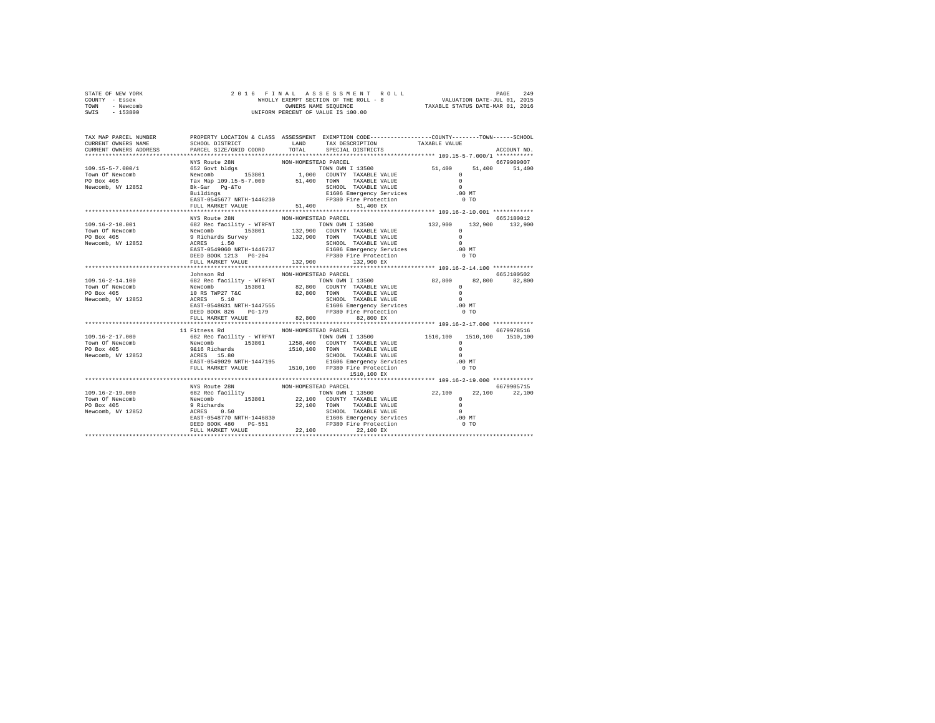| STATE OF NEW YORK | 2016 FINAL ASSESSMENT ROLL            | 249<br>PAGE                      |
|-------------------|---------------------------------------|----------------------------------|
| COUNTY - Essex    | WHOLLY EXEMPT SECTION OF THE ROLL - 8 | VALUATION DATE-JUL 01, 2015      |
| TOWN<br>- Newcomb | OWNERS NAME SEOUENCE                  | TAXABLE STATUS DATE-MAR 01, 2016 |
| - 153800<br>SWIS  | UNIFORM PERCENT OF VALUE IS 100.00    |                                  |

| TAX MAP PARCEL NUMBER<br>CURRENT OWNERS NAME<br>CURRENT OWNERS ADDRESS | SCHOOL DISTRICT TAND TAX DESCRIPTION<br>PARCEL SIZE/GRID COORD | TOTAL                | PROPERTY LOCATION & CLASS ASSESSMENT EXEMPTION CODE---------------COUNTY-------TOWN-----SCHOOL<br>SPECIAL DISTRICTS | TAXABLE VALUE  | ACCOUNT NO.          |
|------------------------------------------------------------------------|----------------------------------------------------------------|----------------------|---------------------------------------------------------------------------------------------------------------------|----------------|----------------------|
|                                                                        |                                                                |                      |                                                                                                                     |                |                      |
|                                                                        | FULL MARKET VALUE                                              | 51,400               | 51,400 EX                                                                                                           |                |                      |
|                                                                        | NYS Route 28N<br>DEED BOOK 1213 PG-204<br>FULL MARKET VALUE    | NON-HOMESTEAD PARCEL | 21000 Emergency Services<br>FP380 Fire Protection<br>132,900 132.900 PY                                             | 0 <sub>T</sub> | 665J180012           |
|                                                                        | Johnson Rd<br>DEED BOOK 826 PG-179                             | NON-HOMESTEAD PARCEL |                                                                                                                     |                | 665J100502<br>82,800 |
|                                                                        | FULL MARKET VALUE 82,800                                       |                      | 82,800 EX                                                                                                           |                |                      |
|                                                                        | 11 Fitness Rd                                                  | NON-HOMESTEAD PARCEL | 1510,100 EX                                                                                                         |                | 6679978516           |
|                                                                        | NYS Route 28N                                                  | NON-HOMESTEAD PARCEL |                                                                                                                     |                | 6679905715           |
|                                                                        |                                                                |                      |                                                                                                                     |                |                      |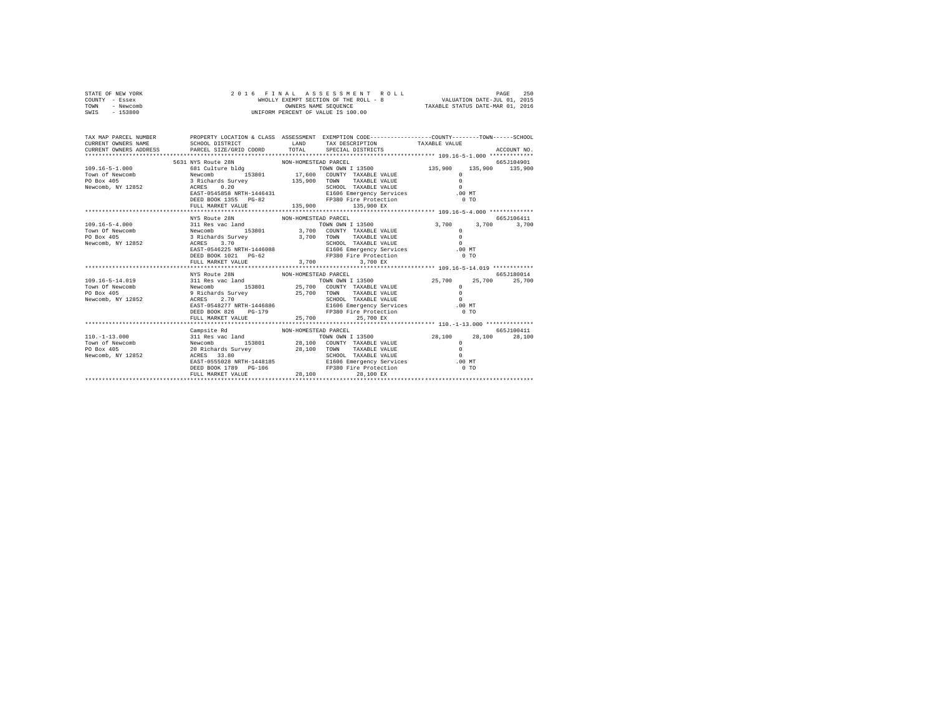| STATE OF NEW YORK | 2016 FINAL ASSESSMENT ROLL            | 250<br>PAGE                      |
|-------------------|---------------------------------------|----------------------------------|
| COUNTY - Essex    | WHOLLY EXEMPT SECTION OF THE ROLL - 8 | VALUATION DATE-JUL 01, 2015      |
| TOWN<br>- Newcomb | OWNERS NAME SEOUENCE                  | TAXABLE STATUS DATE-MAR 01, 2016 |
| $-153800$<br>SWIS | UNIFORM PERCENT OF VALUE IS 100.00    |                                  |

| TAX MAP PARCEL NUMBER                                                                                                                                                                        |                                                                                  |                      | PROPERTY LOCATION & CLASS ASSESSMENT EXEMPTION CODE----------------COUNTY-------TOWN------SCHOOL                                                                                                                                                                                                                                |                      |             |
|----------------------------------------------------------------------------------------------------------------------------------------------------------------------------------------------|----------------------------------------------------------------------------------|----------------------|---------------------------------------------------------------------------------------------------------------------------------------------------------------------------------------------------------------------------------------------------------------------------------------------------------------------------------|----------------------|-------------|
|                                                                                                                                                                                              | 5631 NYS Route 28N NON-HOMESTEAD PARCEL                                          |                      |                                                                                                                                                                                                                                                                                                                                 |                      | 665J104901  |
|                                                                                                                                                                                              |                                                                                  |                      |                                                                                                                                                                                                                                                                                                                                 |                      |             |
| Town of Newcomb Mewcomb 153801 17,600 COUNTY TAXABLE VALUE                                                                                                                                   |                                                                                  |                      |                                                                                                                                                                                                                                                                                                                                 | $\Omega$             |             |
|                                                                                                                                                                                              |                                                                                  |                      |                                                                                                                                                                                                                                                                                                                                 | $\Omega$             |             |
|                                                                                                                                                                                              |                                                                                  |                      |                                                                                                                                                                                                                                                                                                                                 | $\sim$ 0             |             |
| PO Box 405<br>PO Box 405<br>Newcomb, NY 12852<br>Newcomb, NY 12852<br>Newcomb, NY 12852<br>NEXT-0545858<br>NEXT-0545858<br>NEXT-0545858<br>NEXT-1446431<br>CALLECT ELSO DE EXERCISE SERVICES |                                                                                  |                      |                                                                                                                                                                                                                                                                                                                                 | $0$ .00 MT           |             |
|                                                                                                                                                                                              |                                                                                  |                      |                                                                                                                                                                                                                                                                                                                                 | 0.70                 |             |
|                                                                                                                                                                                              | DEED BOOK 1355 PG-82 PP380 Fire Protecti<br>FULL MARKET VALUE 135,900 135,900 EX |                      | FP380 Fire Protection                                                                                                                                                                                                                                                                                                           |                      |             |
|                                                                                                                                                                                              |                                                                                  |                      |                                                                                                                                                                                                                                                                                                                                 |                      |             |
|                                                                                                                                                                                              | NYS Route 28N<br>NON-HOMESTEAD PARCEL                                            |                      |                                                                                                                                                                                                                                                                                                                                 |                      | 665J106411  |
| 109.16-5-4.000 311 Res vac land                                                                                                                                                              |                                                                                  |                      | TOWN OWN I 13500 3,700 3,700                                                                                                                                                                                                                                                                                                    |                      | 3,700       |
|                                                                                                                                                                                              |                                                                                  |                      |                                                                                                                                                                                                                                                                                                                                 | $^{\circ}$           |             |
|                                                                                                                                                                                              |                                                                                  |                      |                                                                                                                                                                                                                                                                                                                                 | $\circ$              |             |
|                                                                                                                                                                                              |                                                                                  |                      |                                                                                                                                                                                                                                                                                                                                 | $\sim$ 0             |             |
|                                                                                                                                                                                              |                                                                                  |                      | ${\small \begin{tabular}{lcccc} ACRES & 3.70\\ EAST-0546225 NRTH-1446088 & & & & & & & & \\ EAST-0546225 NRTH-1446088 & & & & & & \\ EBSD BOD & 1021 & PG-62 & & & & & \\ EDSD BOD & 1021 & PG-62 & & & & & \\ EDSD BOD & 1021 & 1021 & 1021 & 1021 & 1021 & 1021 & 1021 & 1021 & 1021 & 1021 & 1021 & 1021 & 1021 & 1021 & 10$ | $.00$ MT             |             |
|                                                                                                                                                                                              |                                                                                  |                      |                                                                                                                                                                                                                                                                                                                                 |                      |             |
|                                                                                                                                                                                              |                                                                                  |                      |                                                                                                                                                                                                                                                                                                                                 |                      |             |
|                                                                                                                                                                                              |                                                                                  |                      |                                                                                                                                                                                                                                                                                                                                 |                      |             |
|                                                                                                                                                                                              | NYS Route 28N                                                                    | NON-HOMESTEAD PARCEL |                                                                                                                                                                                                                                                                                                                                 |                      | 665.T180014 |
|                                                                                                                                                                                              |                                                                                  |                      |                                                                                                                                                                                                                                                                                                                                 | 25,700 25,700 25,700 |             |
|                                                                                                                                                                                              |                                                                                  |                      |                                                                                                                                                                                                                                                                                                                                 |                      |             |
|                                                                                                                                                                                              |                                                                                  |                      |                                                                                                                                                                                                                                                                                                                                 |                      |             |
|                                                                                                                                                                                              |                                                                                  |                      |                                                                                                                                                                                                                                                                                                                                 |                      |             |
|                                                                                                                                                                                              |                                                                                  |                      | EAST-0548277 NRTH-1446886 E1606 Emergency Services .00 MT                                                                                                                                                                                                                                                                       |                      |             |
|                                                                                                                                                                                              |                                                                                  |                      | DEED BOOK 826 PG-179 PP380 Fire Protection 0 TO                                                                                                                                                                                                                                                                                 |                      |             |
|                                                                                                                                                                                              |                                                                                  |                      |                                                                                                                                                                                                                                                                                                                                 |                      |             |
|                                                                                                                                                                                              |                                                                                  |                      |                                                                                                                                                                                                                                                                                                                                 |                      |             |
|                                                                                                                                                                                              | Campsite Rd                                                                      | NON-HOMESTEAD PARCEL |                                                                                                                                                                                                                                                                                                                                 |                      | 665J100411  |
| $110. - 1 - 13.000$                                                                                                                                                                          |                                                                                  |                      |                                                                                                                                                                                                                                                                                                                                 | 28,100 28,100 28,100 |             |
| Town of Newcomb                                                                                                                                                                              |                                                                                  |                      |                                                                                                                                                                                                                                                                                                                                 | $\circ$              |             |
| PO Box 405                                                                                                                                                                                   |                                                                                  |                      | 28,100 CMW ONN T 13500<br>Newcomb 153801 28,100 COUNTY TAXABLE VALUE<br>29,100 COUNTY TAXABLE VALUE<br>29,100 TOWN TAXABLE VALUE<br>29,100 COUNT TAXABLE VALUE<br>29,100 COUNTY TAXABLE VALUE<br>29,100 COUNTY TAXABLE VALUE<br>29,100 COUNT                                                                                    | $^{\circ}$           |             |
| Newcomb, NY 12852 ACRES 33.80                                                                                                                                                                |                                                                                  |                      |                                                                                                                                                                                                                                                                                                                                 | $\Omega$             |             |
|                                                                                                                                                                                              |                                                                                  |                      | EAST-0555028 NRTH-1448185 E1606 Emergency Services .00 MT                                                                                                                                                                                                                                                                       |                      |             |
|                                                                                                                                                                                              | DEED BOOK 1789 PG-106                                                            |                      | FP380 Fire Protection 0 TO                                                                                                                                                                                                                                                                                                      |                      |             |
|                                                                                                                                                                                              |                                                                                  |                      |                                                                                                                                                                                                                                                                                                                                 |                      |             |
|                                                                                                                                                                                              |                                                                                  |                      |                                                                                                                                                                                                                                                                                                                                 |                      |             |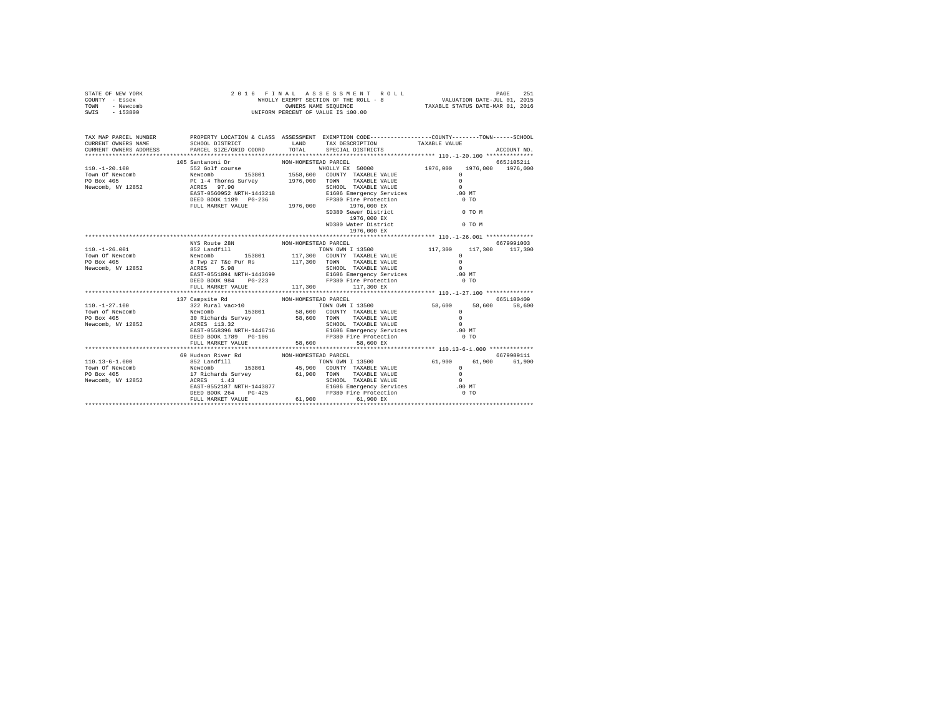| STATE OF NEW YORK<br>COUNTY - Essex<br>TOWN - Newcomb<br>SWIS - 153800    | 2016 FINAL ASSESSMENT R<br>WHOLLY EXEMPT SECTION OF THE ROLL - 8<br>OWNERS NAME SEQUENCE<br>UNIFORM PERCENT OF VALUE IS 100.00<br>FINAL ASSES MENT ROLL<br>WHOLLY EXEMPT SECTION OF THE ROLL - 8 WHOLLY EXEMPT SECTION OF THE SEQUENCE TO 1, 2015<br>TAXABLE STATUS DATE-MAR 01, 2016 |                                                                                                                                                                                                                                                                                                                                                              |                                                                                   |  |
|---------------------------------------------------------------------------|---------------------------------------------------------------------------------------------------------------------------------------------------------------------------------------------------------------------------------------------------------------------------------------|--------------------------------------------------------------------------------------------------------------------------------------------------------------------------------------------------------------------------------------------------------------------------------------------------------------------------------------------------------------|-----------------------------------------------------------------------------------|--|
| CURRENT OWNERS NAME<br>CURRENT OWNERS ADDRESS                             | SCHOOL DISTRICT<br>PARCEL SIZE/GRID COORD                                                                                                                                                                                                                                             | TAX MAP PARCEL NUMBER THE PROPERTY LOCATION & CLASS ASSESSMENT EXEMPTION CODE--------------COUNTY-------TOWN------SCHOOL<br>LAND TAX DESCRIPTION TAXABLE VALUE<br>TOTAL SPECIAL DISTRICTS                                                                                                                                                                    | ACCOUNT NO.                                                                       |  |
|                                                                           | 105 Santanoni Dr                                                                                                                                                                                                                                                                      | NON-HOMESTEAD PARCEL<br>$1976,000 \t\t \mathbb{EX}$ WD380 Water District $0 \t\t 0 \t\t 0$ M                                                                                                                                                                                                                                                                 | 665J105211                                                                        |  |
| $110. - 1 - 26.001$<br>Town Of Newcomb<br>PO Box 405<br>Newcomb, NY 12852 | NYS Route 28N NON-HOMESTEAD PARCEL<br>FULL MARKET VALUE                                                                                                                                                                                                                               | 1976,000 EX<br>NIS NORTHOMESTRY NORTHOMESTRY PARCEL 13500<br>NEW COMB 117,300<br>Newcomb 153801 117,300 COUNTY TAXABLE VALUE<br>8 TWP 27 T&C PUT RS 117,300 COUNTY TAXABLE VALUE<br>ACRES 5.98<br>BART-0551894 NRTH-1443699 BI606 Empregncy Services<br>D<br>SCHOOL TAXABLE VALUE<br>E1606 Emergency Services<br>FP380 Fire Protection<br>117,300 117,300 EX | 6679991003<br>117,300 117,300<br>$\Omega$<br>$\Omega$<br>$\cap$<br>.00 MT<br>0.70 |  |
|                                                                           | DEED BOOK 1789 PG-106<br>FULL MARKET VALUE                                                                                                                                                                                                                                            | NON-HOMESTEAD PARCEL<br>SCHOOL TAXABLE VALUE 0<br>E1606 Emergency Services 6.00 MT<br>FP380 Fire Protection<br>58,600<br>58,600 EX                                                                                                                                                                                                                           | 6651100409<br>0 <sub>T</sub>                                                      |  |
|                                                                           | 69 Hudson River Rd                                                                                                                                                                                                                                                                    | NON-HOMESTEAD PARCEL                                                                                                                                                                                                                                                                                                                                         | 6679909111<br>61,900 61,900 61,900                                                |  |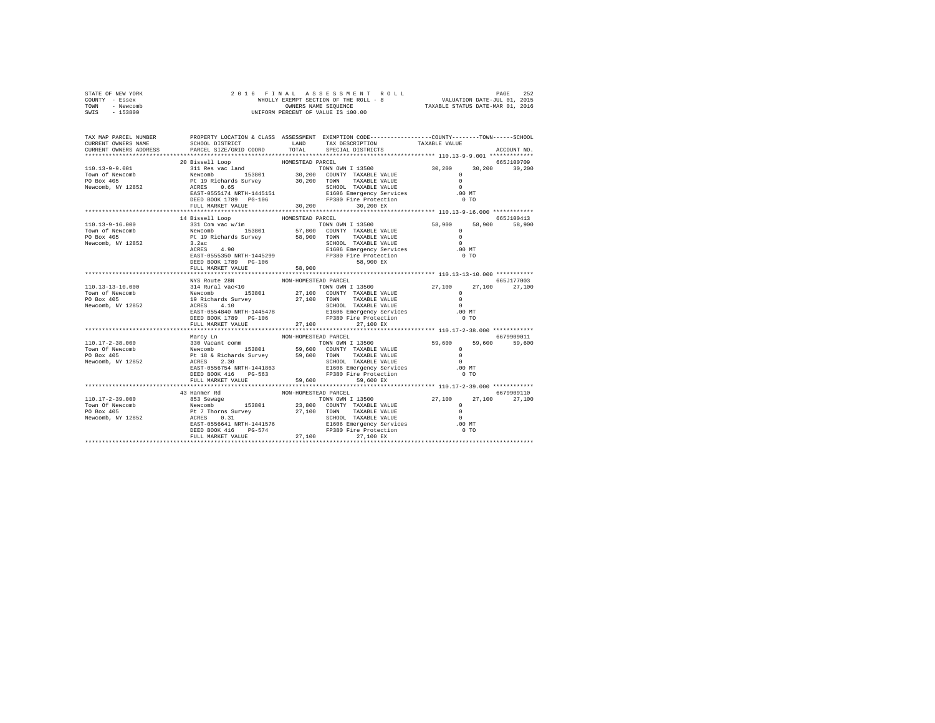|                | STATE OF NEW YORK | 2016 FINAL ASSESSMENT ROLL            | PAGE                             | 252 |
|----------------|-------------------|---------------------------------------|----------------------------------|-----|
| COUNTY - Essex |                   | WHOLLY EXEMPT SECTION OF THE ROLL - 8 | VALUATION DATE-JUL 01, 2015      |     |
| TOWN           | - Newcomb         | OWNERS NAME SEOUENCE                  | TAXABLE STATUS DATE-MAR 01, 2016 |     |
| SWIS           | - 153800          | UNIFORM PERCENT OF VALUE IS 100.00    |                                  |     |
|                |                   |                                       |                                  |     |

| TAX MAP PARCEL NUMBER                                                                                                                                                                                                                                        |                                                                                                                                                                                                                            |                      | PROPERTY LOCATION & CLASS ASSESSMENT EXEMPTION CODE---------------COUNTY-------TOWN-----SCHOOL                                                                           |                                 |             |
|--------------------------------------------------------------------------------------------------------------------------------------------------------------------------------------------------------------------------------------------------------------|----------------------------------------------------------------------------------------------------------------------------------------------------------------------------------------------------------------------------|----------------------|--------------------------------------------------------------------------------------------------------------------------------------------------------------------------|---------------------------------|-------------|
| CURRENT OWNERS NAME                                                                                                                                                                                                                                          | SCHOOL DISTRICT                                                                                                                                                                                                            | LAND                 | TAX DESCRIPTION                                                                                                                                                          | TAXABLE VALUE                   |             |
|                                                                                                                                                                                                                                                              |                                                                                                                                                                                                                            |                      | SPECIAL DISTRICTS                                                                                                                                                        |                                 | ACCOUNT NO. |
|                                                                                                                                                                                                                                                              |                                                                                                                                                                                                                            |                      |                                                                                                                                                                          |                                 |             |
|                                                                                                                                                                                                                                                              | 20 Bissell Loop                                                                                                                                                                                                            | HOMESTEAD PARCEL     |                                                                                                                                                                          |                                 | 665J100709  |
|                                                                                                                                                                                                                                                              |                                                                                                                                                                                                                            |                      |                                                                                                                                                                          |                                 |             |
| 110.13-9-9.001<br>TOWN OWN I 13500<br>TOWN OWN I 13500<br>TOWN OWN TAXABLE VALUE<br>TOWN TAXABLE VALUE<br>PO Box 405<br>Newcomb, NY 12852<br>$RCRS = 0.65$<br>REXES 0.65<br>REXES 0.65<br>DEXED BOX 1789<br>DEXED BOX 1789<br>PO BOX 1789<br>PO BOX 1789<br> |                                                                                                                                                                                                                            |                      |                                                                                                                                                                          | $30,200$ $30,200$ $30,200$<br>0 |             |
|                                                                                                                                                                                                                                                              |                                                                                                                                                                                                                            |                      |                                                                                                                                                                          |                                 |             |
|                                                                                                                                                                                                                                                              |                                                                                                                                                                                                                            |                      |                                                                                                                                                                          | $\sim$                          |             |
|                                                                                                                                                                                                                                                              |                                                                                                                                                                                                                            |                      |                                                                                                                                                                          | .00 MT                          |             |
|                                                                                                                                                                                                                                                              |                                                                                                                                                                                                                            |                      |                                                                                                                                                                          | 0 <sub>T</sub>                  |             |
|                                                                                                                                                                                                                                                              | FULL MARKET VALUE 30,200 30,200 EX                                                                                                                                                                                         |                      |                                                                                                                                                                          |                                 |             |
|                                                                                                                                                                                                                                                              |                                                                                                                                                                                                                            |                      |                                                                                                                                                                          |                                 |             |
|                                                                                                                                                                                                                                                              | 14 Bissell Loop                                                                                                                                                                                                            | HOMESTEAD PARCEL     |                                                                                                                                                                          |                                 | 665J100413  |
|                                                                                                                                                                                                                                                              |                                                                                                                                                                                                                            |                      | TOWN OWN I 13500 58,900                                                                                                                                                  | 58,900                          | 58,900      |
|                                                                                                                                                                                                                                                              |                                                                                                                                                                                                                            |                      |                                                                                                                                                                          | $\Omega$                        |             |
|                                                                                                                                                                                                                                                              |                                                                                                                                                                                                                            |                      |                                                                                                                                                                          | $\sim$ 0                        |             |
|                                                                                                                                                                                                                                                              |                                                                                                                                                                                                                            |                      |                                                                                                                                                                          | $\sim$ 0                        |             |
|                                                                                                                                                                                                                                                              | $\begin{tabular}{lllllllllllll} 3.2ac &&& & & & & & & \\ \hline \texttt{ACRES} && 4.90 && && & & & & \\ \texttt{EAST-0555350 NRTH-1445299} && && & & & \\ \texttt{EAST-0555350 NRTH-1445299} && && & & & \\ \end{tabular}$ |                      | SCHOOL TAXABLE VALUE<br>E1606 Emergency Services                                                                                                                         | $.00 \text{ MT}$                |             |
|                                                                                                                                                                                                                                                              |                                                                                                                                                                                                                            |                      |                                                                                                                                                                          | $0$ TO                          |             |
|                                                                                                                                                                                                                                                              | DEED BOOK 1789 PG-106                                                                                                                                                                                                      |                      | 58,900 EX                                                                                                                                                                |                                 |             |
|                                                                                                                                                                                                                                                              | FULL MARKET VALUE                                                                                                                                                                                                          | 58.900               |                                                                                                                                                                          |                                 |             |
|                                                                                                                                                                                                                                                              |                                                                                                                                                                                                                            |                      |                                                                                                                                                                          |                                 |             |
|                                                                                                                                                                                                                                                              |                                                                                                                                                                                                                            | NON-HOMESTEAD PARCEL |                                                                                                                                                                          |                                 | 665.1177003 |
| 110.13-13-10.000                                                                                                                                                                                                                                             | MYS Route 28N NON<br>314 Rural vac<br><10<br>Newcomb 153801<br>19 Richards Survey<br>                                                                                                                                      |                      | TOWN OWN I 13500 27,100 27,100 27,100                                                                                                                                    |                                 |             |
| Town of Newcomb                                                                                                                                                                                                                                              |                                                                                                                                                                                                                            |                      |                                                                                                                                                                          |                                 |             |
| PO Box 405                                                                                                                                                                                                                                                   |                                                                                                                                                                                                                            |                      |                                                                                                                                                                          |                                 |             |
|                                                                                                                                                                                                                                                              |                                                                                                                                                                                                                            |                      |                                                                                                                                                                          |                                 |             |
| Newcomb, NY 12852                                                                                                                                                                                                                                            |                                                                                                                                                                                                                            |                      |                                                                                                                                                                          |                                 |             |
|                                                                                                                                                                                                                                                              |                                                                                                                                                                                                                            |                      |                                                                                                                                                                          |                                 |             |
|                                                                                                                                                                                                                                                              | DEED BOOK 1789 PG-106<br>FULL MARKET VALUE                                                                                                                                                                                 |                      | FP380 Fire Protection                                                                                                                                                    | 0 <sub>T</sub>                  |             |
|                                                                                                                                                                                                                                                              |                                                                                                                                                                                                                            |                      | 27,100 27,100 EX                                                                                                                                                         |                                 |             |
|                                                                                                                                                                                                                                                              |                                                                                                                                                                                                                            |                      |                                                                                                                                                                          |                                 |             |
|                                                                                                                                                                                                                                                              | Marcy Ln                                                                                                                                                                                                                   | NON-HOMESTEAD PARCEL |                                                                                                                                                                          |                                 | 6679909011  |
|                                                                                                                                                                                                                                                              |                                                                                                                                                                                                                            |                      |                                                                                                                                                                          |                                 | 59,600      |
|                                                                                                                                                                                                                                                              |                                                                                                                                                                                                                            |                      |                                                                                                                                                                          |                                 |             |
|                                                                                                                                                                                                                                                              |                                                                                                                                                                                                                            |                      |                                                                                                                                                                          |                                 |             |
|                                                                                                                                                                                                                                                              |                                                                                                                                                                                                                            |                      |                                                                                                                                                                          |                                 |             |
|                                                                                                                                                                                                                                                              |                                                                                                                                                                                                                            |                      |                                                                                                                                                                          | .00 MT                          |             |
|                                                                                                                                                                                                                                                              |                                                                                                                                                                                                                            |                      |                                                                                                                                                                          | $0$ TO                          |             |
|                                                                                                                                                                                                                                                              | FULL MARKET VALUE 59,600                                                                                                                                                                                                   |                      | 59,600 EX                                                                                                                                                                |                                 |             |
|                                                                                                                                                                                                                                                              |                                                                                                                                                                                                                            |                      |                                                                                                                                                                          |                                 |             |
|                                                                                                                                                                                                                                                              |                                                                                                                                                                                                                            |                      |                                                                                                                                                                          |                                 | 6679909110  |
|                                                                                                                                                                                                                                                              |                                                                                                                                                                                                                            |                      | TOWN OWN I 13500 27,100 27,100 27,100<br>e – TOWN ONN ⊥ ISSUE – TOWN ON ISSUE VALUE<br>- 153801 – 23,800 COUNTY TAXABLE VALUE<br>--- Country – 27,100 TOWN TAXABLE VALUE |                                 |             |
|                                                                                                                                                                                                                                                              |                                                                                                                                                                                                                            |                      |                                                                                                                                                                          |                                 |             |
|                                                                                                                                                                                                                                                              |                                                                                                                                                                                                                            |                      |                                                                                                                                                                          |                                 |             |
|                                                                                                                                                                                                                                                              |                                                                                                                                                                                                                            |                      |                                                                                                                                                                          | $\sim$                          |             |
|                                                                                                                                                                                                                                                              |                                                                                                                                                                                                                            |                      |                                                                                                                                                                          | .00MT                           |             |
|                                                                                                                                                                                                                                                              |                                                                                                                                                                                                                            |                      |                                                                                                                                                                          | $0$ TO                          |             |
|                                                                                                                                                                                                                                                              |                                                                                                                                                                                                                            |                      |                                                                                                                                                                          |                                 |             |
|                                                                                                                                                                                                                                                              |                                                                                                                                                                                                                            |                      |                                                                                                                                                                          |                                 |             |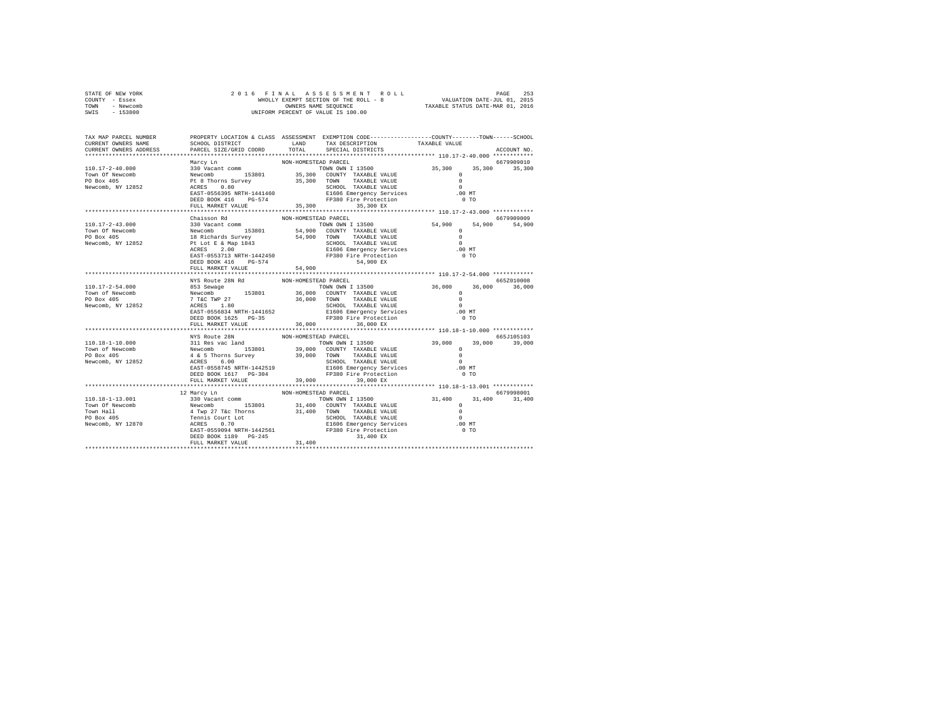| STATE OF NEW YORK | 2016 FINAL ASSESSMENT ROLL            | 253<br>PAGE                      |
|-------------------|---------------------------------------|----------------------------------|
| COUNTY - Essex    | WHOLLY EXEMPT SECTION OF THE ROLL - 8 | VALUATION DATE-JUL 01, 2015      |
| TOWN<br>- Newcomb | OWNERS NAME SEOUENCE                  | TAXABLE STATUS DATE-MAR 01, 2016 |
| - 153800<br>SWIS  | UNIFORM PERCENT OF VALUE IS 100.00    |                                  |

| TAX MAP PARCEL NUMBER<br>CURRENT OWNERS NAME | SCHOOL DISTRICT<br>PARCEL SIZE/GRID COORD    | TOTAL                    | PROPERTY LOCATION & CLASS ASSESSMENT EXEMPTION CODE----------------COUNTY-------TOWN------SCHOOL<br>LAND TAX DESCRIPTION | TAXABLE VALUE                                            |               |
|----------------------------------------------|----------------------------------------------|--------------------------|--------------------------------------------------------------------------------------------------------------------------|----------------------------------------------------------|---------------|
| CURRENT OWNERS ADDRESS                       |                                              |                          | SPECIAL DISTRICTS                                                                                                        |                                                          | ACCOUNT NO.   |
|                                              | Marcy Ln                                     | NON-HOMESTEAD PARCEL     |                                                                                                                          |                                                          | 6679909010    |
| 110.17-2-40.000                              |                                              |                          |                                                                                                                          |                                                          | 35,300        |
| Town Of Newcomb                              |                                              |                          |                                                                                                                          |                                                          |               |
| PO Box 405                                   |                                              |                          |                                                                                                                          |                                                          |               |
| Newcomb, NY 12852                            |                                              |                          |                                                                                                                          |                                                          |               |
|                                              |                                              |                          |                                                                                                                          |                                                          |               |
|                                              |                                              |                          |                                                                                                                          |                                                          |               |
|                                              |                                              |                          |                                                                                                                          |                                                          |               |
|                                              | Chaisson Rd                                  | NON-HOMESTEAD PARCEL     |                                                                                                                          |                                                          | 6679909009    |
|                                              |                                              |                          |                                                                                                                          |                                                          | 54,900 54,900 |
|                                              |                                              |                          |                                                                                                                          |                                                          |               |
|                                              |                                              |                          |                                                                                                                          |                                                          |               |
|                                              |                                              |                          |                                                                                                                          |                                                          |               |
|                                              |                                              |                          |                                                                                                                          |                                                          |               |
|                                              |                                              |                          |                                                                                                                          |                                                          |               |
|                                              |                                              |                          |                                                                                                                          |                                                          |               |
|                                              | FULL MARKET VALUE<br>*********************** | 54,900<br>************** |                                                                                                                          | ************************** 110.17-2-54.000 ************* |               |
|                                              | NYS Route 28N Rd                             | NON-HOMESTEAD PARCEL     |                                                                                                                          |                                                          | 665Z010008    |
|                                              |                                              |                          |                                                                                                                          |                                                          | 36,000        |
|                                              |                                              |                          |                                                                                                                          |                                                          |               |
|                                              |                                              |                          |                                                                                                                          |                                                          |               |
|                                              |                                              |                          |                                                                                                                          |                                                          |               |
|                                              |                                              |                          |                                                                                                                          |                                                          |               |
|                                              |                                              |                          |                                                                                                                          |                                                          |               |
|                                              |                                              |                          |                                                                                                                          |                                                          |               |
|                                              |                                              |                          |                                                                                                                          |                                                          |               |
|                                              | NYS Route 28N                                | NON-HOMESTEAD PARCEL     |                                                                                                                          |                                                          | 665J105103    |
|                                              |                                              |                          |                                                                                                                          |                                                          | 39,000 39,000 |
|                                              |                                              |                          |                                                                                                                          |                                                          |               |
|                                              |                                              |                          |                                                                                                                          |                                                          |               |
|                                              |                                              |                          |                                                                                                                          |                                                          |               |
|                                              |                                              |                          |                                                                                                                          |                                                          |               |
|                                              | FULL MARKET VALUE                            | 39,000                   | 39,000 EX                                                                                                                |                                                          |               |
|                                              |                                              |                          |                                                                                                                          |                                                          |               |
|                                              |                                              |                          |                                                                                                                          |                                                          | 6679998001    |
|                                              |                                              |                          |                                                                                                                          |                                                          | 31,400        |
|                                              |                                              |                          |                                                                                                                          |                                                          |               |
|                                              |                                              |                          |                                                                                                                          |                                                          |               |
|                                              |                                              |                          |                                                                                                                          |                                                          |               |
|                                              |                                              |                          |                                                                                                                          |                                                          |               |
|                                              |                                              |                          | 31,400 EX                                                                                                                |                                                          |               |
|                                              |                                              |                          |                                                                                                                          |                                                          |               |
|                                              |                                              |                          |                                                                                                                          |                                                          |               |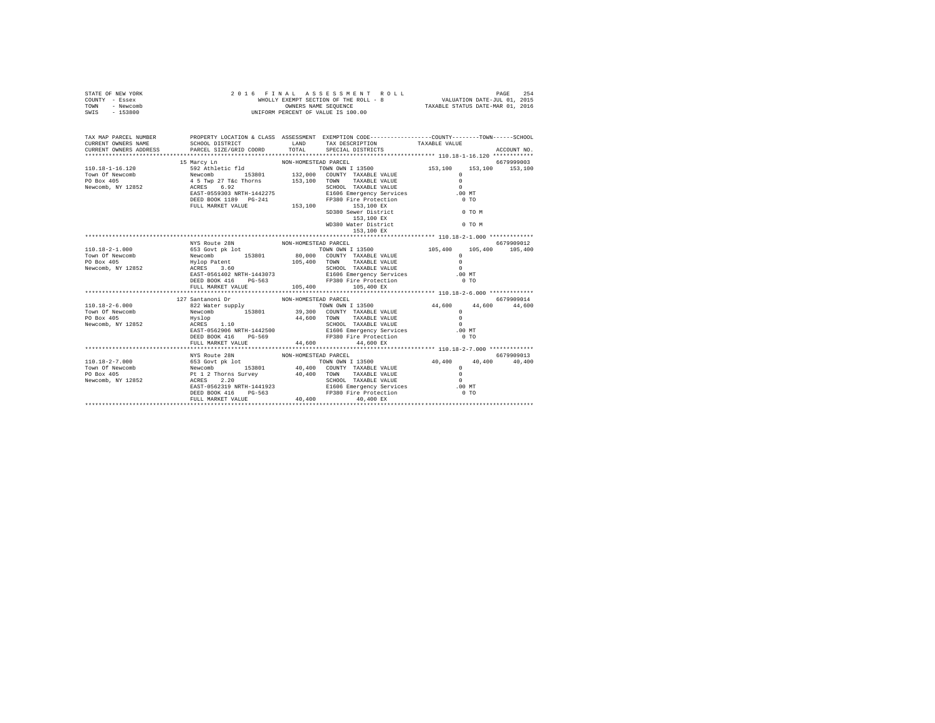| STATE OF NEW YORK<br>COUNTY - Essex<br>TOWN - Newcomb<br>SWIS - 153800     | 2016 FINAL ASSESSMENT R<br>WHOLLY EXEMPT SECTION OF THE ROLL - 8<br>ONNERS NAME SEQUENCE<br>UNIFORM PERCENT OF VALUE IS 100.00 | $\begin{tabular}{lcccccc} $\texttt{F} $\texttt{I} $\texttt{NA}$ L & $\texttt{AS} $\texttt{S} $\texttt{S}$ S$ A$ \\ $\texttt{WHOLLY EXRPT SCPTCNOT} $\texttt{S} $\texttt{S}$ S$ A$ B$ S$ A$ C$ L$ B$ A$ D$ A$ D$ E$ A$ D$ E$ A$ D$ E$ A$ D$ E$ A$ D$ E$ A$ D$ E$ A$ D$ E$ A$ D$ E$ A$ D$ E$ A$ D$ E$ A$ D$ E$ A$ D$ E$ A$ D$ E$ A$ D$ E$ A$ D$ E$ A$ D$ E$ A$ D$ E$ A$ D$ E$ A$ D$ E$ A$ D$ E$ |                                    |
|----------------------------------------------------------------------------|--------------------------------------------------------------------------------------------------------------------------------|-----------------------------------------------------------------------------------------------------------------------------------------------------------------------------------------------------------------------------------------------------------------------------------------------------------------------------------------------------------------------------------------------|------------------------------------|
| CURRENT OWNERS NAME<br>CURRENT OWNERS ADDRESS                              |                                                                                                                                | TAX MAP PARCEL NUMBER PROPERTY LOCATION & CLASS ASSESSMENT EXEMPTION CODE--------------COUNTY-------TOWN-----SCHOOL<br>SCHOOL DISTRICT                     LAND       TAX DESCRIPTION                TAXABLE VALUE<br>PARCEL SIZE/GRID COORD TOTAL SPECIAL DISTRICTS                                                                                                                          | ACCOUNT NO.                        |
|                                                                            | 15 Marcy Ln                                                                                                                    | NON-HOMESTEAD PARCEL                                                                                                                                                                                                                                                                                                                                                                          | 6679999003                         |
|                                                                            |                                                                                                                                |                                                                                                                                                                                                                                                                                                                                                                                               |                                    |
|                                                                            |                                                                                                                                | 153,100 EX                                                                                                                                                                                                                                                                                                                                                                                    |                                    |
| 110.18-2-1.000<br>Town Of Newcomb<br>PO Box 405<br>Newcomb, NY 12852       | NYS Route 28N NON-HOMESTEAD PARCEL                                                                                             | NYS NOUT-HOMESTAD NOW-HOMESTAD NATILE 2001<br>NOW TRANSPORT NOW CONTY TAXABLE VALUE<br>NOW PRESS 3.60 V. 153801 80,000 COUNTY TAXABLE VALUE<br>Hylop Patent 0<br>ACERS 3.60 TOWN TAXABLE VALUE<br>EAST-0561402 NRTH-1443073 SIGO6 EMPARE<br>FULL MARKET VALUE $105,400$ $105,400$ EX                                                                                                          | 6679909012<br>105,400 105,400      |
|                                                                            |                                                                                                                                |                                                                                                                                                                                                                                                                                                                                                                                               |                                    |
| $110.18 - 2 - 6.000$<br>Town Of Newcomb<br>PO Box 405<br>Newcomb, NY 12852 | FULL MARKET VALUE                                                                                                              | FP380 Fire Protection<br>44,600 44,600 EX                                                                                                                                                                                                                                                                                                                                                     |                                    |
|                                                                            |                                                                                                                                |                                                                                                                                                                                                                                                                                                                                                                                               |                                    |
|                                                                            | NYS Route 28N                                                                                                                  | NON-HOMESTEAD PARCEL                                                                                                                                                                                                                                                                                                                                                                          | 6679909013<br>40,400 40,400 40,400 |
|                                                                            |                                                                                                                                |                                                                                                                                                                                                                                                                                                                                                                                               |                                    |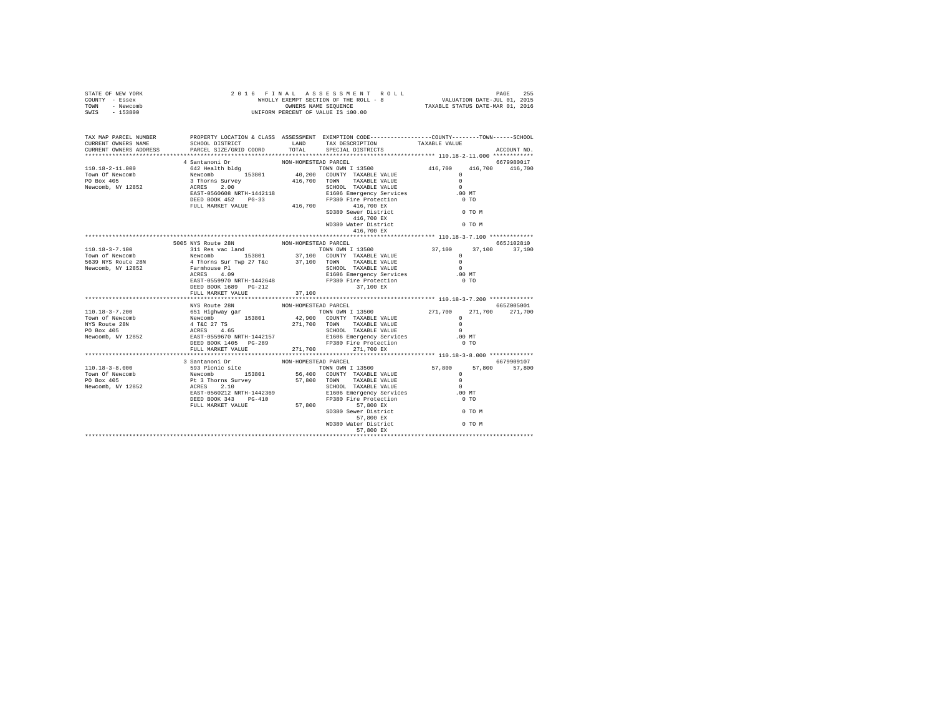| STATE OF NEW YORK<br>COUNTY - Essex<br>TOWN - Newcomb<br>SWIS - 153800                                                                                                                                                                 |               |                      |                                                                                                                                                                                                                                                                                                                                                                                                                                                                          |                |                 |
|----------------------------------------------------------------------------------------------------------------------------------------------------------------------------------------------------------------------------------------|---------------|----------------------|--------------------------------------------------------------------------------------------------------------------------------------------------------------------------------------------------------------------------------------------------------------------------------------------------------------------------------------------------------------------------------------------------------------------------------------------------------------------------|----------------|-----------------|
| TAX MAP PARCEL NUMBER<br>CURRENT OWNERS NAME<br>CURRENT OWNERS ADDRESS                                                                                                                                                                 |               |                      | PROPERTY LOCATION & CLASS ASSESSMENT EXEMPTION CODE---------------COUNTY-------TOWN-----SCHOOL                                                                                                                                                                                                                                                                                                                                                                           |                | ACCOUNT NO.     |
|                                                                                                                                                                                                                                        |               |                      |                                                                                                                                                                                                                                                                                                                                                                                                                                                                          |                |                 |
|                                                                                                                                                                                                                                        |               |                      |                                                                                                                                                                                                                                                                                                                                                                                                                                                                          |                |                 |
|                                                                                                                                                                                                                                        |               |                      |                                                                                                                                                                                                                                                                                                                                                                                                                                                                          |                |                 |
|                                                                                                                                                                                                                                        |               |                      |                                                                                                                                                                                                                                                                                                                                                                                                                                                                          |                |                 |
|                                                                                                                                                                                                                                        |               |                      |                                                                                                                                                                                                                                                                                                                                                                                                                                                                          |                |                 |
|                                                                                                                                                                                                                                        |               |                      |                                                                                                                                                                                                                                                                                                                                                                                                                                                                          |                |                 |
|                                                                                                                                                                                                                                        |               |                      |                                                                                                                                                                                                                                                                                                                                                                                                                                                                          |                |                 |
|                                                                                                                                                                                                                                        |               |                      | 1000 - 1000 - 1000 - 1000 - 1000 - 1000 - 1000 - 1000 - 1000 - 1000 - 1000 - 1000 - 1000 - 1000 - 1000 - 1000 - 1000 - 1000 - 1000 - 1000 - 1000 - 1000 - 1000 - 1000 - 1000 - 1000 - 1000 - 1000 - 1000 - 1000 - 1000 - 1000                                                                                                                                                                                                                                            |                |                 |
|                                                                                                                                                                                                                                        |               |                      |                                                                                                                                                                                                                                                                                                                                                                                                                                                                          |                |                 |
|                                                                                                                                                                                                                                        |               |                      |                                                                                                                                                                                                                                                                                                                                                                                                                                                                          |                |                 |
|                                                                                                                                                                                                                                        |               |                      |                                                                                                                                                                                                                                                                                                                                                                                                                                                                          |                |                 |
|                                                                                                                                                                                                                                        |               |                      |                                                                                                                                                                                                                                                                                                                                                                                                                                                                          |                |                 |
|                                                                                                                                                                                                                                        |               |                      |                                                                                                                                                                                                                                                                                                                                                                                                                                                                          |                |                 |
|                                                                                                                                                                                                                                        |               |                      |                                                                                                                                                                                                                                                                                                                                                                                                                                                                          |                |                 |
|                                                                                                                                                                                                                                        |               |                      |                                                                                                                                                                                                                                                                                                                                                                                                                                                                          |                |                 |
|                                                                                                                                                                                                                                        |               |                      |                                                                                                                                                                                                                                                                                                                                                                                                                                                                          |                |                 |
|                                                                                                                                                                                                                                        |               |                      |                                                                                                                                                                                                                                                                                                                                                                                                                                                                          |                |                 |
| 110.18-3-7.100 505 NYS ROUB 2RM NON-HOMESTEAD PARCEL<br>110.18-3-7.100 505 NYS ROUB 2RM NON-HOMESTEAD PARCEL<br>TOWN OWN I 135801 37,100 37,100 37,100 37,100 37,100<br>TOWN OWN ISS20 NEW PORT TRABLE VALUE 0<br>Newcomb, NY 12852 Fa |               |                      |                                                                                                                                                                                                                                                                                                                                                                                                                                                                          |                |                 |
|                                                                                                                                                                                                                                        |               |                      |                                                                                                                                                                                                                                                                                                                                                                                                                                                                          |                |                 |
|                                                                                                                                                                                                                                        |               |                      |                                                                                                                                                                                                                                                                                                                                                                                                                                                                          |                |                 |
|                                                                                                                                                                                                                                        | NYS Route 28N | NON-HOMESTEAD PARCEL |                                                                                                                                                                                                                                                                                                                                                                                                                                                                          |                | 665Z005001      |
|                                                                                                                                                                                                                                        |               |                      | $\begin{tabular}{c c c c} \multicolumn{1}{c}{\textbf{7-000}} & $\cdots$ & $\cdots$ & $\cdots$ & $\cdots$ & $\cdots$ & $\cdots$ \\ \multicolumn{1}{c}{\textbf{7-000}} & $\cdots$ & $\cdots$ & $\cdots$ & $\cdots$ & $\cdots$ & $\cdots$ \\ \multicolumn{1}{c}{\textbf{7-000}} & $\cdots$ & $\cdots$ & $\cdots$ & $\cdots$ & $\cdots$ & $\cdots$ & $\cdots$ \\ \multicolumn{1}{c}{\textbf{7-00}} & $\cdots$ & $\cdots$ & $\cdots$ & $\cdots$ & $\cdots$ & $\cdots$ & $\cd$ |                | 271,700 271,700 |
|                                                                                                                                                                                                                                        |               |                      |                                                                                                                                                                                                                                                                                                                                                                                                                                                                          |                |                 |
|                                                                                                                                                                                                                                        |               |                      |                                                                                                                                                                                                                                                                                                                                                                                                                                                                          |                |                 |
|                                                                                                                                                                                                                                        |               |                      |                                                                                                                                                                                                                                                                                                                                                                                                                                                                          | $\sim$         |                 |
|                                                                                                                                                                                                                                        |               |                      |                                                                                                                                                                                                                                                                                                                                                                                                                                                                          | .00 MT         |                 |
|                                                                                                                                                                                                                                        |               |                      |                                                                                                                                                                                                                                                                                                                                                                                                                                                                          | 0 <sub>T</sub> |                 |
|                                                                                                                                                                                                                                        |               |                      |                                                                                                                                                                                                                                                                                                                                                                                                                                                                          |                |                 |
|                                                                                                                                                                                                                                        |               |                      |                                                                                                                                                                                                                                                                                                                                                                                                                                                                          |                |                 |
|                                                                                                                                                                                                                                        |               |                      |                                                                                                                                                                                                                                                                                                                                                                                                                                                                          |                |                 |
|                                                                                                                                                                                                                                        |               |                      |                                                                                                                                                                                                                                                                                                                                                                                                                                                                          |                |                 |
|                                                                                                                                                                                                                                        |               |                      |                                                                                                                                                                                                                                                                                                                                                                                                                                                                          |                |                 |
|                                                                                                                                                                                                                                        |               |                      |                                                                                                                                                                                                                                                                                                                                                                                                                                                                          |                |                 |
|                                                                                                                                                                                                                                        |               |                      |                                                                                                                                                                                                                                                                                                                                                                                                                                                                          |                |                 |
|                                                                                                                                                                                                                                        |               |                      |                                                                                                                                                                                                                                                                                                                                                                                                                                                                          |                |                 |
|                                                                                                                                                                                                                                        |               |                      |                                                                                                                                                                                                                                                                                                                                                                                                                                                                          |                |                 |
|                                                                                                                                                                                                                                        |               |                      |                                                                                                                                                                                                                                                                                                                                                                                                                                                                          |                |                 |
|                                                                                                                                                                                                                                        |               |                      |                                                                                                                                                                                                                                                                                                                                                                                                                                                                          |                |                 |
|                                                                                                                                                                                                                                        |               |                      |                                                                                                                                                                                                                                                                                                                                                                                                                                                                          |                |                 |
|                                                                                                                                                                                                                                        |               |                      |                                                                                                                                                                                                                                                                                                                                                                                                                                                                          |                |                 |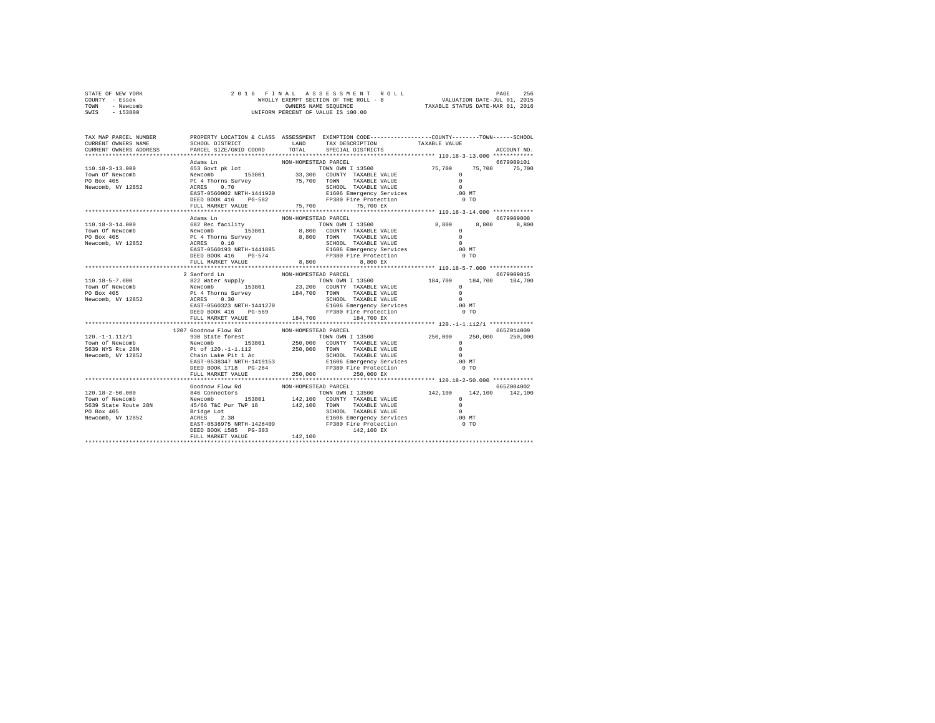| STATE OF NEW YORK | 2016 FINAL ASSESSMENT ROLL            | 256<br>PAGE                      |
|-------------------|---------------------------------------|----------------------------------|
| COUNTY - Essex    | WHOLLY EXEMPT SECTION OF THE ROLL - 8 | VALUATION DATE-JUL 01, 2015      |
| TOWN<br>- Newcomb | OWNERS NAME SEOUENCE                  | TAXABLE STATUS DATE-MAR 01, 2016 |
| - 153800<br>SWIS  | UNIFORM PERCENT OF VALUE IS 100.00    |                                  |

| TAX MAP PARCEL NUMBER<br>CURRENT OWNERS NAME<br>CURRENT OWNERS ADDRESS                                                                                                                                                                                                                                                                                                                                   | SCHOOL DISTRICT<br>PARCEL SIZE/GRID COORD  | TOTAL                | PROPERTY LOCATION & CLASS ASSESSMENT EXEMPTION CODE---------------COUNTY-------TOWN------SCHOOL<br>LAND TAX DESCRIPTION<br>SPECIAL DISTRICTS                                                                                                                         | TAXABLE VALUE           | ACCOUNT NO.     |
|----------------------------------------------------------------------------------------------------------------------------------------------------------------------------------------------------------------------------------------------------------------------------------------------------------------------------------------------------------------------------------------------------------|--------------------------------------------|----------------------|----------------------------------------------------------------------------------------------------------------------------------------------------------------------------------------------------------------------------------------------------------------------|-------------------------|-----------------|
|                                                                                                                                                                                                                                                                                                                                                                                                          | ****************************               |                      |                                                                                                                                                                                                                                                                      |                         |                 |
|                                                                                                                                                                                                                                                                                                                                                                                                          |                                            |                      |                                                                                                                                                                                                                                                                      |                         |                 |
|                                                                                                                                                                                                                                                                                                                                                                                                          |                                            |                      |                                                                                                                                                                                                                                                                      |                         |                 |
|                                                                                                                                                                                                                                                                                                                                                                                                          |                                            |                      |                                                                                                                                                                                                                                                                      |                         |                 |
|                                                                                                                                                                                                                                                                                                                                                                                                          |                                            |                      |                                                                                                                                                                                                                                                                      |                         |                 |
|                                                                                                                                                                                                                                                                                                                                                                                                          |                                            |                      |                                                                                                                                                                                                                                                                      |                         |                 |
|                                                                                                                                                                                                                                                                                                                                                                                                          |                                            |                      |                                                                                                                                                                                                                                                                      |                         |                 |
|                                                                                                                                                                                                                                                                                                                                                                                                          | DEED BOOK 416 PG-582<br>FULL MARKET VALUE  |                      | FP380 Fire Protection                                                                                                                                                                                                                                                |                         |                 |
|                                                                                                                                                                                                                                                                                                                                                                                                          |                                            |                      | 75,700 75,700 EX                                                                                                                                                                                                                                                     |                         |                 |
|                                                                                                                                                                                                                                                                                                                                                                                                          |                                            |                      |                                                                                                                                                                                                                                                                      |                         |                 |
|                                                                                                                                                                                                                                                                                                                                                                                                          | Adams Ln                                   | NON-HOMESTEAD PARCEL |                                                                                                                                                                                                                                                                      |                         | 6679909008      |
|                                                                                                                                                                                                                                                                                                                                                                                                          |                                            |                      |                                                                                                                                                                                                                                                                      | 8,800 8,800<br>$\Omega$ | 8,800           |
|                                                                                                                                                                                                                                                                                                                                                                                                          |                                            |                      |                                                                                                                                                                                                                                                                      | $\Omega$                |                 |
|                                                                                                                                                                                                                                                                                                                                                                                                          |                                            |                      |                                                                                                                                                                                                                                                                      | $\Omega$                |                 |
|                                                                                                                                                                                                                                                                                                                                                                                                          |                                            |                      |                                                                                                                                                                                                                                                                      | .00 MT                  |                 |
|                                                                                                                                                                                                                                                                                                                                                                                                          |                                            |                      |                                                                                                                                                                                                                                                                      | 0 <sub>T</sub>          |                 |
|                                                                                                                                                                                                                                                                                                                                                                                                          | FULL MARKET VALUE 8,800                    |                      | 8.800 EX                                                                                                                                                                                                                                                             |                         |                 |
|                                                                                                                                                                                                                                                                                                                                                                                                          |                                            |                      |                                                                                                                                                                                                                                                                      |                         |                 |
|                                                                                                                                                                                                                                                                                                                                                                                                          | 2 Sanford Ln                               | NON-HOMESTEAD PARCEL |                                                                                                                                                                                                                                                                      |                         | 6679909015      |
|                                                                                                                                                                                                                                                                                                                                                                                                          |                                            |                      |                                                                                                                                                                                                                                                                      |                         | 184,700 184,700 |
| $\begin{tabular}{l c c c c c} \multicolumn{3}{c}{110.18-5-7.000} & 2\,\,\mathrm{Sanford} \,\,\mathrm{In} & \multicolumn{3}{c}{\hspace{-0.8cm} \begin{tabular}{c} \multicolumn{3}{c}{25.10\,\mathrm{cm}} & 23.200 & 20.800 & 20.800 & 20.800 & 20.800 & 20.800 & 20.800 & 20.800 & 20.800 & 20.800 & 20.800 & 20.800 & 20.800 & 20.800$                                                                   |                                            |                      |                                                                                                                                                                                                                                                                      |                         |                 |
|                                                                                                                                                                                                                                                                                                                                                                                                          |                                            |                      |                                                                                                                                                                                                                                                                      |                         |                 |
|                                                                                                                                                                                                                                                                                                                                                                                                          |                                            |                      |                                                                                                                                                                                                                                                                      |                         |                 |
|                                                                                                                                                                                                                                                                                                                                                                                                          |                                            |                      |                                                                                                                                                                                                                                                                      |                         |                 |
|                                                                                                                                                                                                                                                                                                                                                                                                          | DEED BOOK 416 PG-569                       |                      | FP380 Fire Protection                                                                                                                                                                                                                                                | 0 <sub>T</sub>          |                 |
|                                                                                                                                                                                                                                                                                                                                                                                                          | FULL MARKET VALUE                          |                      | 184,700 184,700 EX                                                                                                                                                                                                                                                   |                         |                 |
|                                                                                                                                                                                                                                                                                                                                                                                                          |                                            |                      |                                                                                                                                                                                                                                                                      |                         |                 |
| $\begin{tabular}{l c c c c c} \multicolumn{3}{c c c} \multicolumn{3}{c c c} \multicolumn{3}{c c c} \multicolumn{3}{c c c} \multicolumn{3}{c c c} \multicolumn{3}{c c c} \multicolumn{3}{c c c} \multicolumn{3}{c c c} \multicolumn{3}{c c c} \multicolumn{3}{c c c} \multicolumn{3}{c c c} \multicolumn{3}{c c c} \multicolumn{3}{c c c} \multicolumn{3}{c c c} \multicolumn{3}{c c c} \multicolumn{3}{$ | 1207 Goodnow Flow Rd MON-HOMESTEAD PARCEL  |                      |                                                                                                                                                                                                                                                                      |                         | 665Z014009      |
|                                                                                                                                                                                                                                                                                                                                                                                                          |                                            |                      |                                                                                                                                                                                                                                                                      |                         |                 |
|                                                                                                                                                                                                                                                                                                                                                                                                          |                                            |                      |                                                                                                                                                                                                                                                                      |                         |                 |
|                                                                                                                                                                                                                                                                                                                                                                                                          |                                            |                      |                                                                                                                                                                                                                                                                      |                         |                 |
|                                                                                                                                                                                                                                                                                                                                                                                                          |                                            |                      |                                                                                                                                                                                                                                                                      |                         |                 |
|                                                                                                                                                                                                                                                                                                                                                                                                          |                                            |                      | FP380 Fire Protection                                                                                                                                                                                                                                                | 0 <sub>T</sub>          |                 |
|                                                                                                                                                                                                                                                                                                                                                                                                          | DEED BOOK 1718 PG-264<br>FULL MARKET VALUE | 250,000              | 250,000 EX                                                                                                                                                                                                                                                           |                         |                 |
|                                                                                                                                                                                                                                                                                                                                                                                                          |                                            |                      |                                                                                                                                                                                                                                                                      |                         |                 |
|                                                                                                                                                                                                                                                                                                                                                                                                          |                                            |                      |                                                                                                                                                                                                                                                                      |                         | 665Z004002      |
|                                                                                                                                                                                                                                                                                                                                                                                                          |                                            |                      |                                                                                                                                                                                                                                                                      |                         | 142,100         |
|                                                                                                                                                                                                                                                                                                                                                                                                          |                                            |                      | $\begin{tabular}{lcccc} TOWN OWN I & 13500 & 142,100 & 142,100 \\ \hline \multicolumn{3}{l}{\textbf{COUNTY}} & TAXABLE VALUE & 0 \\ \multicolumn{3}{l}{\textbf{TOWN}} & TAXABLE VALUE & 0 \\ \multicolumn{3}{l}{\textbf{TOWN}} & TAXABLE VALUE & 0 \\ \end{tabular}$ |                         |                 |
|                                                                                                                                                                                                                                                                                                                                                                                                          |                                            |                      |                                                                                                                                                                                                                                                                      |                         |                 |
|                                                                                                                                                                                                                                                                                                                                                                                                          |                                            |                      |                                                                                                                                                                                                                                                                      |                         |                 |
|                                                                                                                                                                                                                                                                                                                                                                                                          |                                            |                      |                                                                                                                                                                                                                                                                      |                         |                 |
|                                                                                                                                                                                                                                                                                                                                                                                                          |                                            |                      |                                                                                                                                                                                                                                                                      |                         |                 |
|                                                                                                                                                                                                                                                                                                                                                                                                          |                                            |                      |                                                                                                                                                                                                                                                                      |                         |                 |
|                                                                                                                                                                                                                                                                                                                                                                                                          |                                            |                      |                                                                                                                                                                                                                                                                      |                         |                 |
|                                                                                                                                                                                                                                                                                                                                                                                                          |                                            |                      |                                                                                                                                                                                                                                                                      |                         |                 |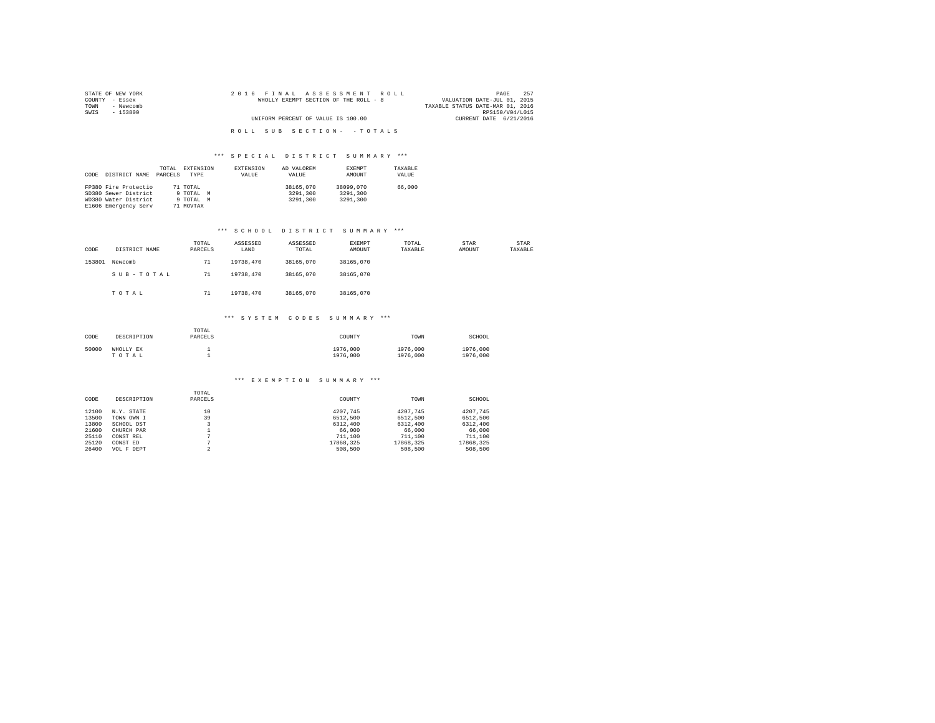| STATE OF NEW YORK | 2016 FINAL ASSESSMENT ROLL            | 257<br>PAGE                      |
|-------------------|---------------------------------------|----------------------------------|
| COUNTY - Essex    | WHOLLY EXEMPT SECTION OF THE ROLL - 8 | VALUATION DATE-JUL 01, 2015      |
| - Newcomb<br>TOWN |                                       | TAXABLE STATUS DATE-MAR 01, 2016 |
| SWIS<br>- 153800  |                                       | RPS150/V04/L015                  |
|                   | UNIFORM PERCENT OF VALUE IS 100.00    | CURRENT DATE 6/21/2016           |
|                   |                                       |                                  |
|                   | ROLL SUB SECTION- - TOTALS            |                                  |

| CODE | DISTRICT NAME        | TOTAL<br>PARCELS | EXTENSION<br><b>TYPE</b> | <b>EXTENSION</b><br>VALUE | AD VALOREM<br>VALUE | EXEMPT<br>AMOUNT | TAXABLE<br>VALUE |
|------|----------------------|------------------|--------------------------|---------------------------|---------------------|------------------|------------------|
|      | FP380 Fire Protectio |                  | 71 TOTAL                 |                           | 38165,070           | 38099,070        | 66,000           |
|      | SD380 Sewer District |                  | 9 TOTAL M                |                           | 3291,300            | 3291,300         |                  |
|      | WD380 Water District |                  | 9 TOTAL M                |                           | 3291,300            | 3291,300         |                  |
|      | E1606 Emergency Serv |                  | 71 MOVTAX                |                           |                     |                  |                  |

### \*\*\* S C H O O L D I S T R I C T S U M M A R Y \*\*\*

| CODE   | DISTRICT NAME | TOTAL<br>PARCELS | ASSESSED<br>LAND | ASSESSED<br>TOTAL | EXEMPT<br>AMOUNT | TOTAL<br>TAXABLE | STAR<br>AMOUNT | STAR<br>TAXABLE |
|--------|---------------|------------------|------------------|-------------------|------------------|------------------|----------------|-----------------|
| 153801 | Newcomb       | 71               | 19738.470        | 38165,070         | 38165,070        |                  |                |                 |
|        | SUB-TOTAL     | 71               | 19738.470        | 38165,070         | 38165,070        |                  |                |                 |
|        | TOTAL         | 71               | 19738.470        | 38165,070         | 38165,070        |                  |                |                 |

## \*\*\* S Y S T E M C O D E S S U M M A R Y \*\*\*

| CODE  | DESCRIPTION        | TOTAL<br>PARCELS | COUNTY               | TOWN                 | SCHOOL               |
|-------|--------------------|------------------|----------------------|----------------------|----------------------|
| 50000 | WHOLLY EX<br>TOTAL |                  | 1976,000<br>1976,000 | 1976,000<br>1976,000 | 1976,000<br>1976,000 |

#### \*\*\* E X E M P T I O N S U M M A R Y \*\*\*

|       |             | TOTAL   |           |           |           |
|-------|-------------|---------|-----------|-----------|-----------|
| CODE  | DESCRIPTION | PARCELS | COUNTY    | TOWN      | SCHOOL    |
| 12100 | N.Y. STATE  | 10      | 4207.745  | 4207.745  | 4207.745  |
| 13500 | TOWN OWN I  | 39      | 6512,500  | 6512,500  | 6512.500  |
| 13800 | SCHOOL DST  |         | 6312,400  | 6312,400  | 6312.400  |
| 21600 | CHURCH PAR  |         | 66,000    | 66,000    | 66,000    |
| 25110 | CONST REL   |         | 711,100   | 711,100   | 711,100   |
| 25120 | CONST ED    |         | 17868.325 | 17868.325 | 17868.325 |
| 26400 | VOL F DEPT  | $\sim$  | 508,500   | 508,500   | 508,500   |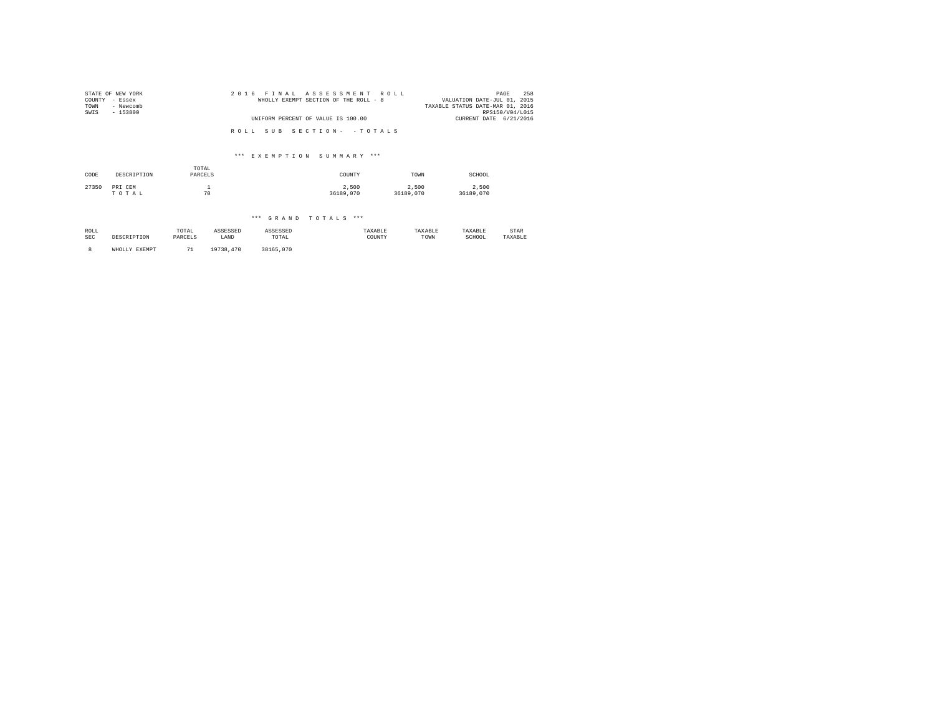| STATE OF NEW YORK<br>COUNTY - Essex<br>- Newcomb<br>TOWN<br>$-153800$<br>SWIS | 2016 FINAL ASSESSMENT ROLL<br>WHOLLY EXEMPT SECTION OF THE ROLL - 8 | 258<br>PAGE<br>VALUATION DATE-JUL 01, 2015<br>TAXABLE STATUS DATE-MAR 01, 2016<br>RPS150/V04/L015 |
|-------------------------------------------------------------------------------|---------------------------------------------------------------------|---------------------------------------------------------------------------------------------------|
|                                                                               | UNIFORM PERCENT OF VALUE IS 100.00                                  | CURRENT DATE 6/21/2016                                                                            |
|                                                                               | ROLL SUB SECTION- - TOTALS                                          |                                                                                                   |

### \*\*\* E X E M P T I O N S U M M A R Y \*\*\*

| CODE  | DESCRIPTION      | TOTAL<br>PARCELS | COUNTY             | TOWN               | SCHOOL             |
|-------|------------------|------------------|--------------------|--------------------|--------------------|
| 27350 | PRI CEM<br>TOTAL | 70               | 2,500<br>36189,070 | 2.500<br>36189,070 | 2.500<br>36189,070 |

## \*\*\* G R A N D T O T A L S \*\*\*

| ROLL       | DESCRIPTION   | TOTAL   | ASSESSED  | ASSESSED  | TAXABLE | TAXABLE | TAXABLE | STAR    |
|------------|---------------|---------|-----------|-----------|---------|---------|---------|---------|
| <b>SEC</b> |               | PARCELS | LAND      | TOTAL     | COUNTY  | TOWN    | SCHOOL  | TAXABLE |
|            | WHOLLY EXEMPT | 71      | 19738.470 | 38165,070 |         |         |         |         |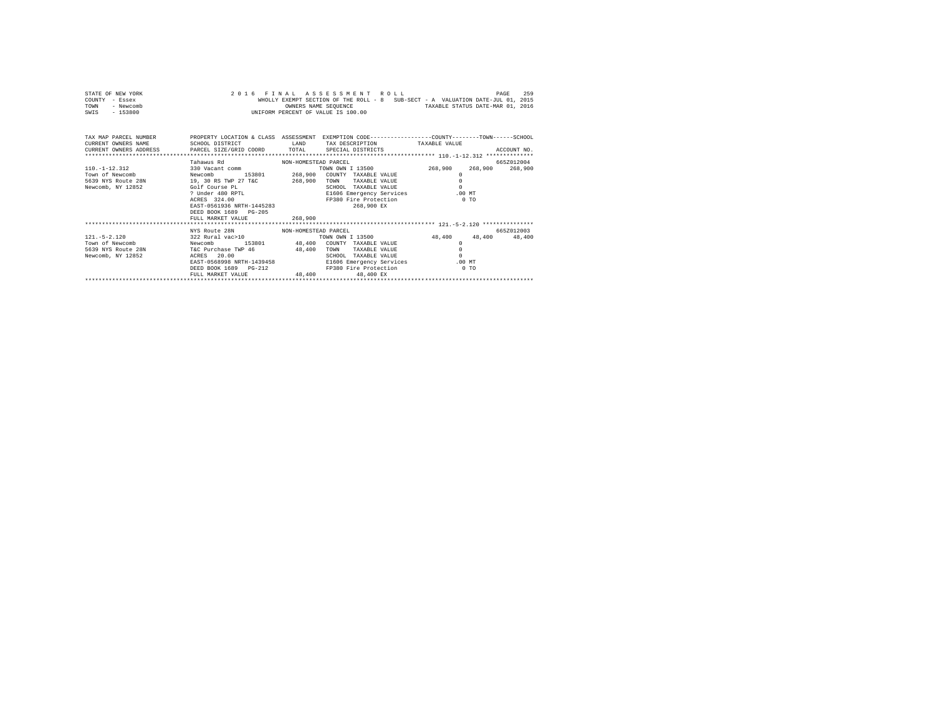| STATE OF NEW YORK |  | 2016 FINAL ASSESSMENT ROLL                                                     |                                  | PAGE | 259 |
|-------------------|--|--------------------------------------------------------------------------------|----------------------------------|------|-----|
| COUNTY - Essex    |  | WHOLLY EXEMPT SECTION OF THE ROLL - 8 SUB-SECT - A VALUATION DATE-JUL 01, 2015 |                                  |      |     |
| TOWN<br>- Newcomb |  | OWNERS NAME SEOUENCE                                                           | TAXABLE STATUS DATE-MAR 01, 2016 |      |     |
| $-153800$<br>SWIS |  | UNIFORM PERCENT OF VALUE IS 100.00                                             |                                  |      |     |

| TAX MAP PARCEL NUMBER<br>CURRENT OWNERS NAME<br>CURRENT OWNERS ADDRESS PARCEL SIZE/GRID COORD TOTAL | SCHOOL DISTRICT                                                                                                                                                                                                          | LAND                          | PROPERTY LOCATION & CLASS ASSESSMENT EXEMPTION CODE---------------COUNTY-------TOWN------SCHOOL<br>TAX DESCRIPTION<br>SPECIAL DISTRICTS                                             | TAXABLE VALUE                                                    | ACCOUNT NO.           |
|-----------------------------------------------------------------------------------------------------|--------------------------------------------------------------------------------------------------------------------------------------------------------------------------------------------------------------------------|-------------------------------|-------------------------------------------------------------------------------------------------------------------------------------------------------------------------------------|------------------------------------------------------------------|-----------------------|
| 110. -1-12.312<br>Newcomb<br>Town of Newcomb<br>5639 NYS Route 28N<br>Newcomb, NY 12852             | Tahawus Rd<br>NON-HOMESTEAD PARCEL<br>330 Vacant comm<br>153801<br>19, 30 RS TWP 27 T&C<br>Golf Course PL<br>? Under 480 RPTL<br>ACRES 324.00<br>EAST-0561936 NRTH-1445283<br>DEED BOOK 1689 PG-205<br>FULL MARKET VALUE | 268,900<br>268,900<br>268,900 | TOWN OWN I 13500<br>COUNTY TAXABLE VALUE<br>TAXABLE VALUE<br>TOWN<br>SCHOOL<br>TAXABLE VALUE<br>E1606 Emergency Services<br>FP380 Fire Protection<br>268,900 EX                     | 268,900<br>268,900<br>$\Omega$<br>$\Omega$<br>$.00$ MT<br>$0$ TO | 665Z012004<br>268,900 |
| $121. - 5 - 2.120$<br>Newcomb<br>Town of Newcomb<br>5639 NYS Route 28N<br>Newcomb, NY 12852         | NYS Route 28N<br>NON-HOMESTEAD PARCEL<br>322 Rural vac>10<br>T&C Purchase TWP 46 48,400<br>ACRES 20.00<br>EAST-0568998 NRTH-1439458<br>DEED BOOK 1689 PG-212<br>FULL MARKET VALUE                                        |                               | TOWN OWN I 13500<br>153801 48.400 COUNTY TAXABLE VALUE<br>TOWN<br>TAXABLE VALUE<br>SCHOOL<br>TAXABLE VALUE<br>E1606 Emergency Services<br>FP380 Fire Protection<br>48,400 48,400 EX | 48,400<br>48,400<br>$\Omega$<br>.00MT<br>$0$ TO                  | 665Z012003<br>48,400  |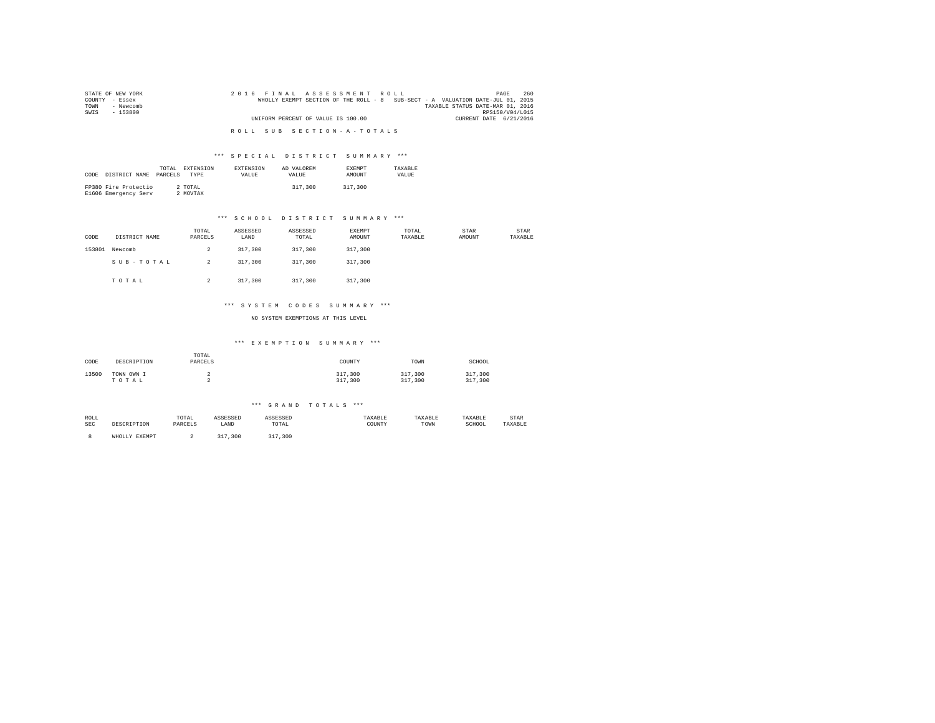| STATE OF NEW YORK | 2016 FINAL ASSESSMENT ROLL                                                     | 260<br>PAGE                      |
|-------------------|--------------------------------------------------------------------------------|----------------------------------|
| COUNTY - Essex    | WHOLLY EXEMPT SECTION OF THE ROLL - 8 SUB-SECT - A VALUATION DATE-JUL 01, 2015 |                                  |
| TOWN<br>- Newcomb |                                                                                | TAXABLE STATUS DATE-MAR 01, 2016 |
| SWIS<br>- 153800  |                                                                                | RPS150/V04/L015                  |
|                   | UNIFORM PERCENT OF VALUE IS 100.00                                             | CURRENT DATE 6/21/2016           |
|                   |                                                                                |                                  |
|                   | ROLL SUB SECTION-A-TOTALS                                                      |                                  |

| CODE | DISTRICT NAME                                | TOTAL.<br>PARCELS | EXTENSION<br><b>TYPE</b> | <b>EXTENSION</b><br>VALUE | AD VALOREM<br>VALUE. | <b>EXEMPT</b><br>AMOUNT | TAXARLE<br>VALUE |
|------|----------------------------------------------|-------------------|--------------------------|---------------------------|----------------------|-------------------------|------------------|
|      | FP380 Fire Protectio<br>E1606 Emergency Serv |                   | 2 TOTAL<br>2 MOVTAX      |                           | 317,300              | 317,300                 |                  |

### \*\*\* S C H O O L D I S T R I C T S U M M A R Y \*\*\*

| CODE   | DISTRICT NAME | TOTAL<br>PARCELS | ASSESSED<br>LAND | ASSESSED<br>TOTAL | EXEMPT<br>AMOUNT | TOTAL<br>TAXABLE | STAR<br>AMOUNT | STAR<br>TAXABLE |
|--------|---------------|------------------|------------------|-------------------|------------------|------------------|----------------|-----------------|
| 153801 | Newcomb       | 2                | 317,300          | 317,300           | 317,300          |                  |                |                 |
|        | SUB-TOTAL     | $\overline{a}$   | 317,300          | 317,300           | 317,300          |                  |                |                 |
|        | TOTAL         | $\overline{a}$   | 317,300          | 317,300           | 317,300          |                  |                |                 |

### \*\*\* S Y S T E M C O D E S S U M M A R Y \*\*\*

NO SYSTEM EXEMPTIONS AT THIS LEVEL

#### \*\*\* E X E M P T I O N S U M M A R Y \*\*\*

| CODE  | DESCRIPTION         | TOTAL<br>PARCELS | COUNTY             | TOWN               | SCHOOL             |
|-------|---------------------|------------------|--------------------|--------------------|--------------------|
| 13500 | TOWN OWN I<br>TOTAL |                  | 317,300<br>317,300 | 317,300<br>317,300 | 317,300<br>317,300 |

#### \*\*\* G R A N D T O T A L S \*\*\*

| ROLL       |      | TOTAL<br>the contract of the contract of the contract of | . מה היה ה | .                                                        | וכותי       |      | TAXABLE     | STAR   |  |
|------------|------|----------------------------------------------------------|------------|----------------------------------------------------------|-------------|------|-------------|--------|--|
| <b>SEC</b> | TION |                                                          | LAND       | TOTAL<br>the contract of the contract of the contract of | COUNTY<br>. | TOWN | SCHOOT<br>. | AXABLE |  |

8 WHOLLY EXEMPT 2 317,300 317,300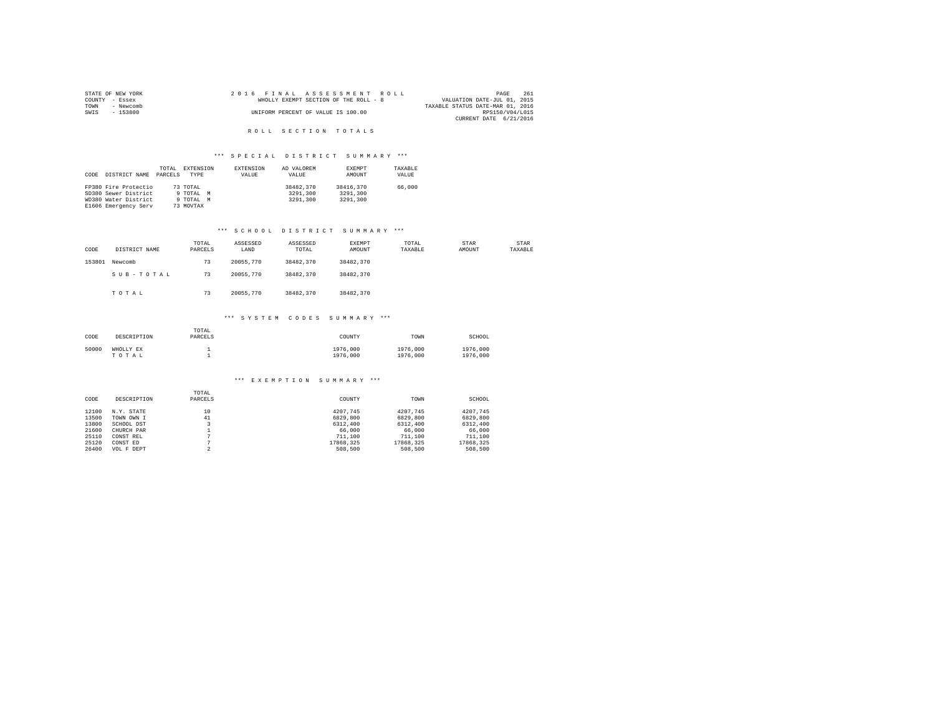|                | STATE OF NEW YORK |  | 2016 FINAL ASSESSMENT ROLL            |  |  |                                  | PAGE            | 261 |
|----------------|-------------------|--|---------------------------------------|--|--|----------------------------------|-----------------|-----|
| COUNTY - Essex |                   |  | WHOLLY EXEMPT SECTION OF THE ROLL - 8 |  |  | VALUATION DATE-JUL 01, 2015      |                 |     |
| TOWN           | - Newcomb         |  |                                       |  |  | TAXABLE STATUS DATE-MAR 01, 2016 |                 |     |
| SWIS           | - 153800          |  | UNIFORM PERCENT OF VALUE IS 100.00    |  |  |                                  | RPS150/V04/L015 |     |
|                |                   |  |                                       |  |  | CURRENT DATE 6/21/2016           |                 |     |

### ROLL SECTION TOTALS

# \*\*\* S P E C I A L D I S T R I C T S U M M A R Y \*\*\*

| CODE | DISTRICT NAME        | TOTAL<br>PARCELS | EXTENSION<br><b>TYPE</b> | EXTENSION<br>VALUE | AD VALOREM<br>VALUE | EXEMPT<br>AMOUNT | TAXABLE<br>VALUE |
|------|----------------------|------------------|--------------------------|--------------------|---------------------|------------------|------------------|
|      | FP380 Fire Protectio |                  | 73 TOTAL                 |                    | 38482,370           | 38416,370        | 66,000           |
|      | SD380 Sewer District |                  | 9 TOTAL<br>M             |                    | 3291,300            | 3291,300         |                  |
|      | WD380 Water District |                  | 9 TOTAL M                |                    | 3291,300            | 3291,300         |                  |
|      | E1606 Emergency Serv |                  | 73 MOVTAX                |                    |                     |                  |                  |

### \*\*\* S C H O O L D I S T R I C T S U M M A R Y \*\*\*

| CODE   | DISTRICT NAME | TOTAL<br>PARCELS | ASSESSED<br>LAND | ASSESSED<br>TOTAL | <b>EXEMPT</b><br>AMOUNT | TOTAL<br>TAXABLE | STAR<br>AMOUNT | STAR<br>TAXABLE |
|--------|---------------|------------------|------------------|-------------------|-------------------------|------------------|----------------|-----------------|
| 153801 | Newcomb       | 73               | 20055,770        | 38482,370         | 38482.370               |                  |                |                 |
|        | SUB-TOTAL     | 73               | 20055,770        | 38482,370         | 38482.370               |                  |                |                 |
|        | TOTAL         | 73               | 20055,770        | 38482,370         | 38482.370               |                  |                |                 |

#### \*\*\* S Y S T E M C O D E S S U M M A R Y \*\*\*

| CODE  | DESCRIPTION        | TOTAL<br>PARCELS | COUNTY               | TOWN                 | SCHOOL               |
|-------|--------------------|------------------|----------------------|----------------------|----------------------|
| 50000 | WHOLLY EX<br>TOTAL |                  | 1976,000<br>1976,000 | 1976,000<br>1976,000 | 1976,000<br>1976,000 |

#### \*\*\* E X E M P T I O N S U M M A R Y \*\*\*

|       |             | TOTAL   |           |           |           |
|-------|-------------|---------|-----------|-----------|-----------|
| CODE  | DESCRIPTION | PARCELS | COUNTY    | TOWN      | SCHOOL    |
| 12100 | N.Y. STATE  | 10      | 4207.745  | 4207.745  | 4207.745  |
| 13500 | TOWN OWN I  | 41      | 6829,800  | 6829,800  | 6829,800  |
| 13800 | SCHOOL DST  |         | 6312,400  | 6312,400  | 6312.400  |
| 21600 | CHURCH PAR  |         | 66,000    | 66,000    | 66,000    |
| 25110 | CONST REL   |         | 711,100   | 711,100   | 711,100   |
| 25120 | CONST ED    |         | 17868.325 | 17868.325 | 17868.325 |
| 26400 | VOL F DEPT  | $\sim$  | 508,500   | 508,500   | 508,500   |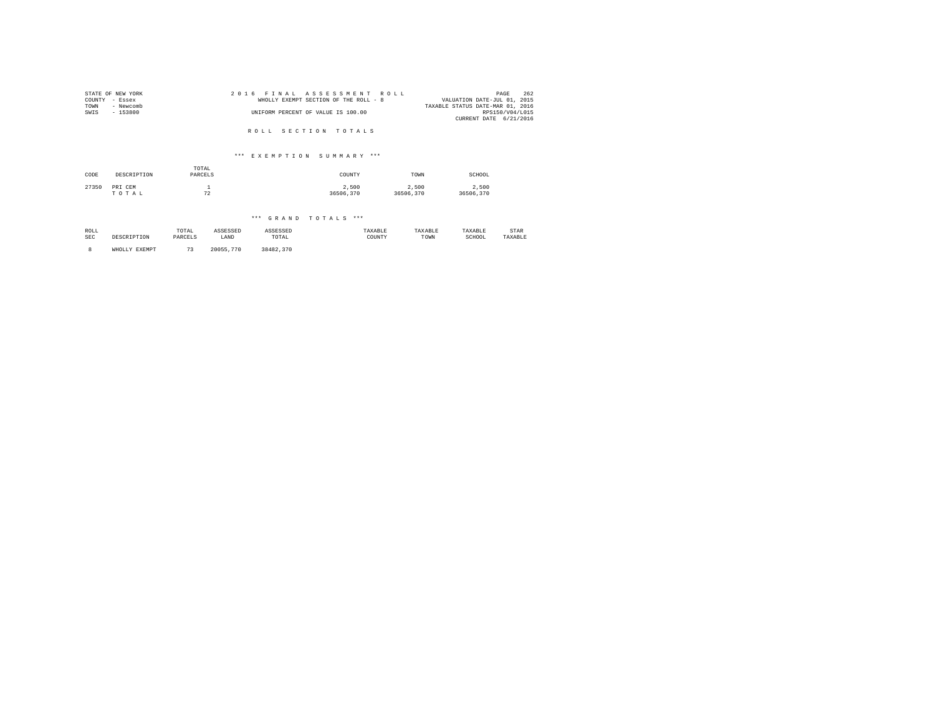| COUNTY<br>TOWN<br>SWIS | STATE OF NEW YORK<br>- Essex<br>- Newcomb<br>$-153800$ |                  | 2016     | FTNAL    | ASSESSMENT<br>WHOLLY EXEMPT SECTION OF THE ROLL - 8<br>UNIFORM PERCENT OF VALUE IS 100.00 | ROLL    |           | VALUATION DATE-JUL 01, 2015<br>TAXABLE STATUS DATE-MAR 01, 2016<br>CURRENT DATE 6/21/2016 | 262<br>PAGE<br>RPS150/V04/L015 |
|------------------------|--------------------------------------------------------|------------------|----------|----------|-------------------------------------------------------------------------------------------|---------|-----------|-------------------------------------------------------------------------------------------|--------------------------------|
|                        |                                                        |                  |          |          | ROLL SECTION TOTALS<br>*** EXEMPTION SUMMARY ***                                          |         |           |                                                                                           |                                |
| CODE                   | DESCRIPTION                                            | TOTAL<br>PARCELS |          |          | COUNTY                                                                                    |         | TOWN      | SCHOOL                                                                                    |                                |
|                        |                                                        |                  |          |          |                                                                                           |         |           |                                                                                           |                                |
| 27350                  | PRI CEM                                                | $\mathbf{1}$     |          |          | 2,500                                                                                     |         | 2,500     | 2,500                                                                                     |                                |
|                        | TOTAL                                                  | 72               |          |          | 36506.370                                                                                 |         | 36506,370 | 36506,370                                                                                 |                                |
|                        |                                                        |                  |          |          |                                                                                           |         |           |                                                                                           |                                |
|                        |                                                        |                  |          |          | *** GRAND TOTALS ***                                                                      |         |           |                                                                                           |                                |
| ROLL                   |                                                        | TOTAL            | ASSESSED | ASSESSED |                                                                                           | TAXABLE | TAXABLE   | TAXABLE                                                                                   | STAR                           |

| ------     |          | -------        | -------------- | --------------                                           | ---------- | ----------- | -----------                   | -------    |
|------------|----------|----------------|----------------|----------------------------------------------------------|------------|-------------|-------------------------------|------------|
| SEC<br>. . | TTON<br> | -------<br>レムト | 7.377<br>LANL  | TOTAL<br>the contract of the contract of the contract of | CUNT.<br>. | TOWN        | <b>CHICOT</b><br>.CHUUL.<br>. | - - -<br>. |
|            |          |                |                |                                                          |            |             |                               |            |

8 WHOLLY EXEMPT 73 20055,770 38482,370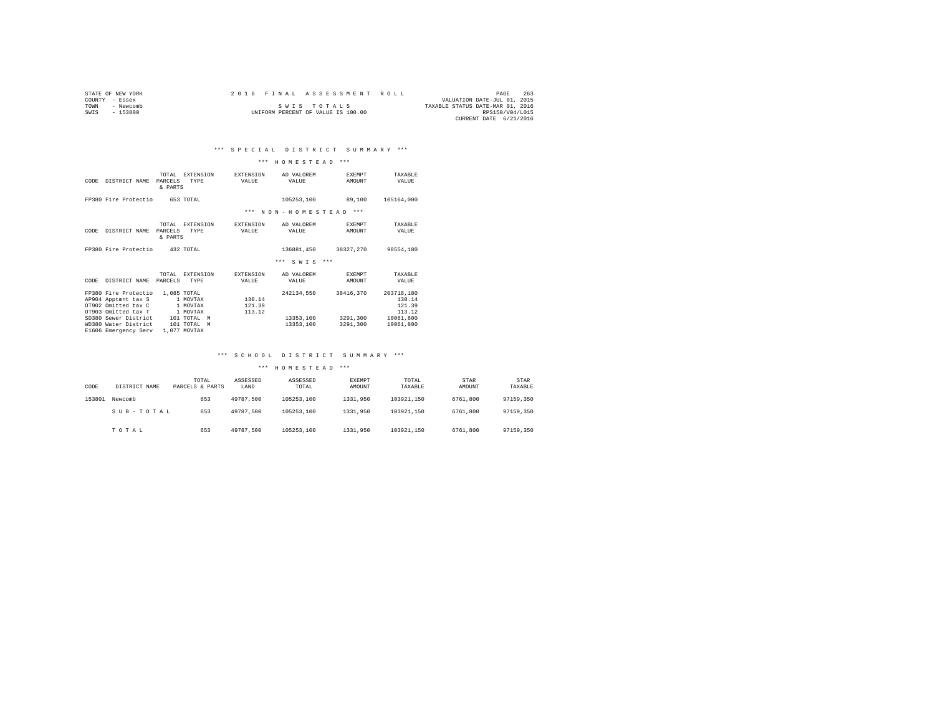| STATE OF NEW YORK |           | 2016 FINAL ASSESSMENT ROLL |  |  |             |                                    |  |                                  | PAGE            | 263 |
|-------------------|-----------|----------------------------|--|--|-------------|------------------------------------|--|----------------------------------|-----------------|-----|
| COUNTY - Essex    |           |                            |  |  |             |                                    |  | VALUATION DATE-JUL 01, 2015      |                 |     |
| TOWN              | - Newcomb |                            |  |  | SWIS TOTALS |                                    |  | TAXABLE STATUS DATE-MAR 01, 2016 |                 |     |
| SWIS              | $-153800$ |                            |  |  |             | UNIFORM PERCENT OF VALUE IS 100.00 |  |                                  | RPS150/V04/L015 |     |
|                   |           |                            |  |  |             |                                    |  | CURRENT DATE 6/21/2016           |                 |     |

### \*\*\* H O M E S T E A D \*\*\*

| CODE | DISTRICT NAME                                                                             | TOTAL.<br>PARCELS<br>& PARTS | <b>EXTENSION</b><br><b>TYPE</b>                  | <b>EXTENSION</b><br>VALUE  | AD VALOREM<br>VALUE    | <b>EXEMPT</b><br>AMOUNT | TAXARLE<br>VALUE                         |
|------|-------------------------------------------------------------------------------------------|------------------------------|--------------------------------------------------|----------------------------|------------------------|-------------------------|------------------------------------------|
|      | FP380 Fire Protectio                                                                      |                              | 653 TOTAL                                        |                            | 105253.100             | 89,100                  | 105164,000                               |
|      |                                                                                           |                              |                                                  | $***$                      | NON-HOMESTEAD          | $***$                   |                                          |
| CODE | DISTRICT NAME                                                                             | TOTAL<br>PARCELS<br>& PARTS  | <b>EXTENSION</b><br><b>TYPE</b>                  | <b>EXTENSION</b><br>VALUE  | AD VALOREM<br>VALUE    | <b>EXEMPT</b><br>AMOUNT | TAXABLE<br>VALUE                         |
|      | FP380 Fire Protectio                                                                      |                              | 432 TOTAL                                        |                            | 136881,450             | 38327.270               | 98554,180                                |
|      |                                                                                           |                              |                                                  |                            | $***$<br>$***$<br>SWTS |                         |                                          |
| CODE | DISTRICT NAME                                                                             | TOTAL<br>PARCELS             | <b>EXTENSION</b><br>TYPE                         | EXTENSION<br>VALUE         | AD VALOREM<br>VALUE    | <b>EXEMPT</b><br>AMOUNT | TAXARLE<br>VALUE                         |
|      | FP380 Fire Protectio<br>AP904 Apptmnt tax S<br>OT902 Omitted tax C<br>OT903 Omitted tax T |                              | 1,085 TOTAL<br>1 MOVTAX<br>1 MOVTAX<br>1 MOVTAX  | 130.14<br>121.39<br>113.12 | 242134.550             | 38416.370               | 203718,180<br>130.14<br>121.39<br>113.12 |
|      | SD380 Sewer District<br>WD380 Water District<br>E1606 Emergency Serv                      |                              | 101 TOTAL<br>M<br>101 TOTAL<br>M<br>1,077 MOVTAX |                            | 13353,100<br>13353,100 | 3291,300<br>3291,300    | 10061,800<br>10061,800                   |

### \*\*\* S C H O O L D I S T R I C T S U M M A R Y \*\*\*

| CODE   | DISTRICT NAME | TOTAL<br>PARCELS & PARTS | ASSESSED<br>LAND | ASSESSED<br>TOTAL | <b>EXEMPT</b><br>AMOUNT | TOTAL<br>TAXABLE | STAR<br>AMOUNT | STAR<br>TAXABLE |  |
|--------|---------------|--------------------------|------------------|-------------------|-------------------------|------------------|----------------|-----------------|--|
| 153801 | Newcomb       | 653                      | 49787.500        | 105253.100        | 1331,950                | 103921.150       | 6761,800       | 97159,350       |  |
|        | SUB-TOTAL     | 653                      | 49787.500        | 105253.100        | 1331,950                | 103921.150       | 6761,800       | 97159,350       |  |
|        | TOTAL         | 653                      | 49787.500        | 105253.100        | 1331,950                | 103921.150       | 6761.800       | 97159,350       |  |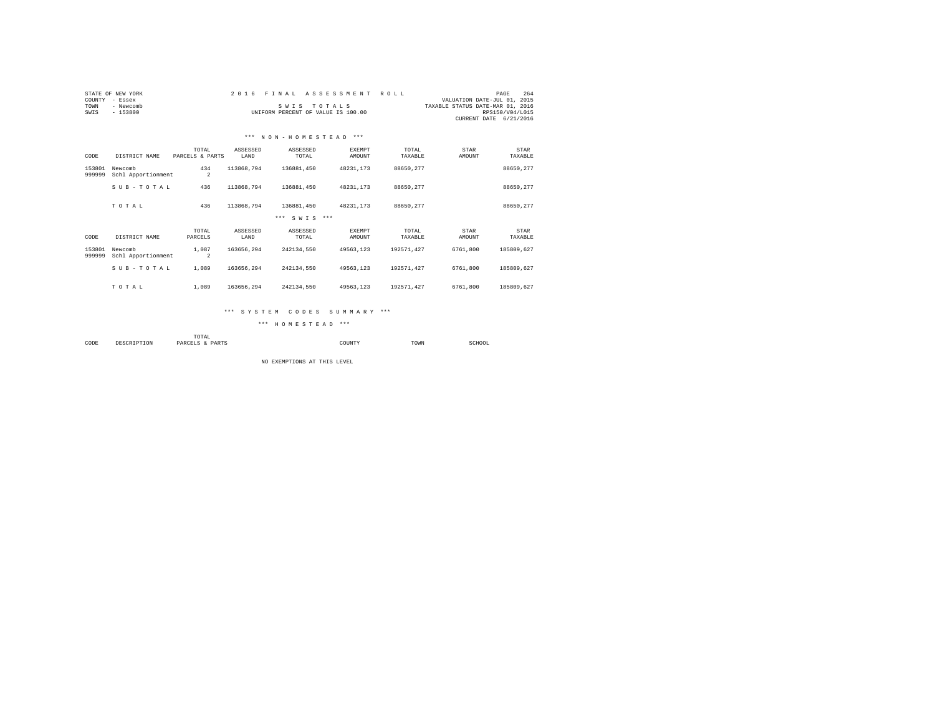| COUNTY<br>TOWN<br>SWIS | STATE OF NEW YORK<br>- Essex<br>- Newcomb<br>$-153800$ |                          | 2 0 1 6          | FINAL ASSESSMENT<br>SWIS TOTALS<br>UNIFORM PERCENT OF VALUE IS 100.00 |                         | ROLL             | VALUATION DATE-JUL 01, 2015<br>TAXABLE STATUS DATE-MAR 01, 2016 | 264<br>PAGE<br>RPS150/V04/L015<br>CURRENT DATE 6/21/2016 |
|------------------------|--------------------------------------------------------|--------------------------|------------------|-----------------------------------------------------------------------|-------------------------|------------------|-----------------------------------------------------------------|----------------------------------------------------------|
|                        |                                                        |                          |                  | *** NON-HOMESTEAD ***                                                 |                         |                  |                                                                 |                                                          |
| CODE                   | DISTRICT NAME                                          | TOTAL<br>PARCELS & PARTS | ASSESSED<br>LAND | ASSESSED<br>TOTAL                                                     | <b>EXEMPT</b><br>AMOUNT | TOTAL<br>TAXABLE | STAR<br>AMOUNT                                                  | STAR<br>TAXABLE                                          |
| 153801<br>999999       | Newcomb<br>Schl Apportionment                          | 434<br>$\overline{a}$    | 113868.794       | 136881.450                                                            | 48231.173               | 88650.277        |                                                                 | 88650.277                                                |
|                        | SUB-TOTAL                                              | 436                      | 113868.794       | 136881.450                                                            | 48231.173               | 88650.277        |                                                                 | 88650.277                                                |
|                        | TOTAL                                                  | 436                      | 113868.794       | 136881.450                                                            | 48231.173               | 88650.277        |                                                                 | 88650.277                                                |
|                        |                                                        |                          |                  | *** SWTS ***                                                          |                         |                  |                                                                 |                                                          |
| CODE                   | DISTRICT NAME                                          | TOTAL<br>PARCELS         | ASSESSED<br>LAND | ASSESSED<br>TOTAL                                                     | EXEMPT<br>AMOUNT        | TOTAL<br>TAXABLE | STAR<br>AMOUNT                                                  | <b>STAR</b><br>TAXABLE                                   |
| 153801<br>999999       | Newcomb<br>Schl Apportionment                          | 1,087<br>$\overline{2}$  | 163656.294       | 242134.550                                                            | 49563.123               | 192571.427       | 6761,800                                                        | 185809.627                                               |
|                        | SUB-TOTAL                                              | 1,089                    | 163656.294       | 242134.550                                                            | 49563.123               | 192571.427       | 6761,800                                                        | 185809.627                                               |
|                        | TOTAL                                                  | 1,089                    | 163656.294       | 242134.550                                                            | 49563.123               | 192571.427       | 6761,800                                                        | 185809.627                                               |

#### \*\*\* S Y S T E M C O D E S S U M M A R Y \*\*\*

\*\*\* H O M E S T E A D \*\*\*

 TOTAL COUNTY TOWN TOWN SCHOOL

NO EXEMPTIONS AT THIS LEVEL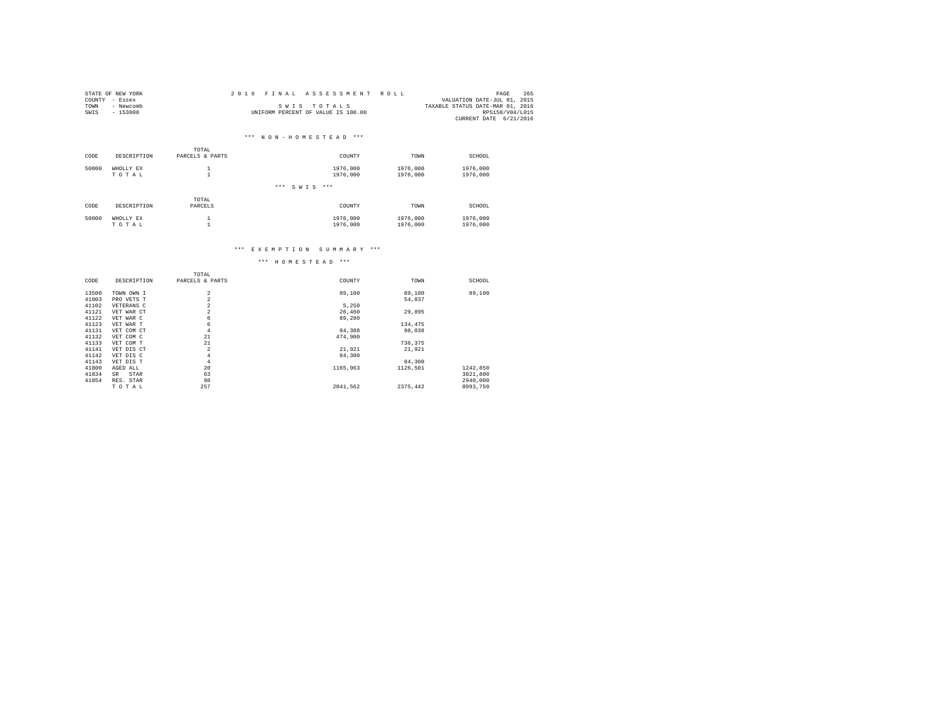|      | STATE OF NEW YORK | 2016 FINAL ASSESSMENT ROLL         |                                  | PAGE            | 265 |
|------|-------------------|------------------------------------|----------------------------------|-----------------|-----|
|      | COUNTY - Essex    |                                    | VALUATION DATE-JUL 01, 2015      |                 |     |
| TOWN | - Newcomb         | SWIS TOTALS                        | TAXABLE STATUS DATE-MAR 01, 2016 |                 |     |
| SWIS | $-153800$         | UNIFORM PERCENT OF VALUE IS 100.00 |                                  | RPS150/V04/L015 |     |
|      |                   |                                    | CURRENT DATE 6/21/2016           |                 |     |

|       |             | TOTAL           |                      |          |          |
|-------|-------------|-----------------|----------------------|----------|----------|
| CODE  | DESCRIPTION | PARCELS & PARTS | COUNTY               | TOWN     | SCHOOL   |
| 50000 | WHOLLY EX   |                 | 1976,000             | 1976,000 | 1976,000 |
|       | TOTAL       |                 | 1976,000             | 1976,000 | 1976,000 |
|       |             |                 | ***<br>$***$<br>SWIS |          |          |
|       |             | TOTAL           |                      |          |          |
| CODE  | DESCRIPTION | PARCELS         | COUNTY               | TOWN     | SCHOOL   |
| 50000 | WHOLLY EX   |                 | 1976,000             | 1976,000 | 1976,000 |
|       | TOTAL       | ×               | 1976,000             | 1976,000 | 1976,000 |

### \*\*\* E X E M P T I O N S U M M A R Y \*\*\*

|             | TOTAL                                  |                                                                      |                           |                            |
|-------------|----------------------------------------|----------------------------------------------------------------------|---------------------------|----------------------------|
| DESCRIPTION | PARCELS & PARTS                        | COUNTY                                                               | TOWN                      | SCHOOL                     |
|             |                                        |                                                                      |                           | 89,100                     |
|             |                                        |                                                                      |                           |                            |
|             |                                        |                                                                      |                           |                            |
|             |                                        |                                                                      |                           |                            |
| VET WAR CT  |                                        |                                                                      |                           |                            |
| VET WAR C   | 6                                      | 89,280                                                               |                           |                            |
| VET WAR T   | 6                                      |                                                                      | 134.475                   |                            |
| VET COM CT  | 4                                      | 84,388                                                               | 98,038                    |                            |
| VET COM C   | 21                                     | 474,900                                                              |                           |                            |
| VET COM T   | 21                                     |                                                                      | 736.375                   |                            |
| VET DIS CT  | $\overline{2}$                         | 21,921                                                               | 21,921                    |                            |
| VET DIS C   | 4                                      | 84,300                                                               |                           |                            |
| VET DIS T   | 4                                      |                                                                      | 84,300                    |                            |
| AGED ALL    | 20                                     | 1165,963                                                             | 1126,501                  | 1242.850                   |
| STAR<br>SR  | 63                                     |                                                                      |                           | 3821,800                   |
| RES. STAR   | 98                                     |                                                                      |                           | 2940,000                   |
| TOTAL       | 257                                    | 2041.562                                                             | 2375.442                  | 8093,750                   |
|             | TOWN OWN I<br>PRO VETS T<br>VETERANS C | $\overline{a}$<br>$\overline{a}$<br>$\overline{a}$<br>$\overline{2}$ | 89,100<br>5,250<br>26,460 | 89,100<br>54,837<br>29,895 |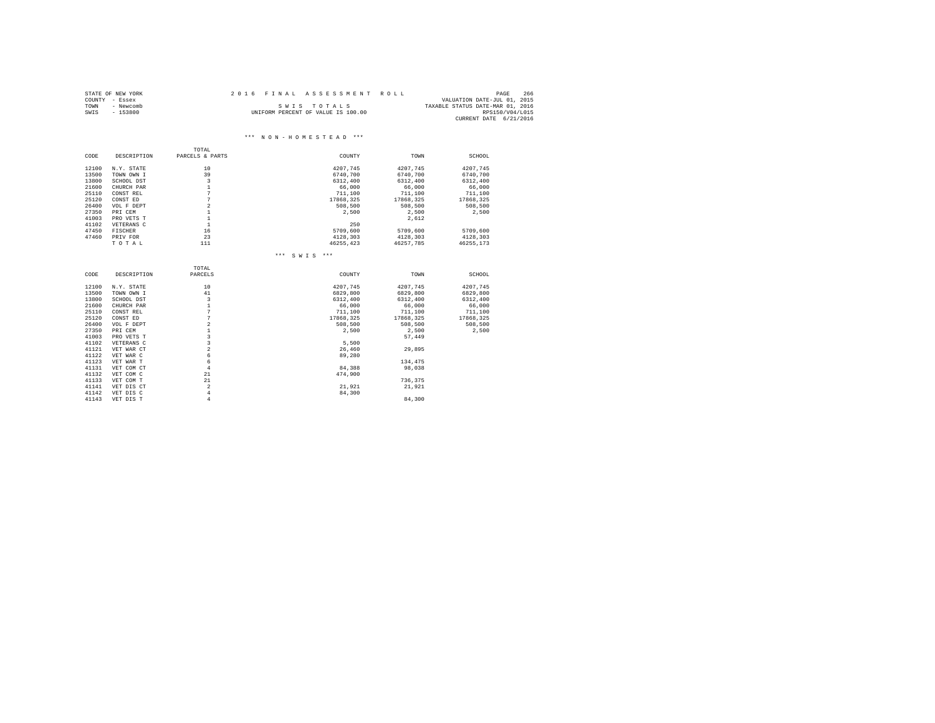|      | STATE OF NEW YORK | 2016 FINAL ASSESSMENT ROLL |                                    | PAGE                             | 266             |
|------|-------------------|----------------------------|------------------------------------|----------------------------------|-----------------|
|      | COUNTY - Essex    |                            |                                    | VALUATION DATE-JUL 01, 2015      |                 |
| TOWN | - Newcomb         |                            | SWIS TOTALS                        | TAXABLE STATUS DATE-MAR 01, 2016 |                 |
| SWIS | $-153800$         |                            | UNIFORM PERCENT OF VALUE IS 100.00 |                                  | RPS150/V04/L015 |
|      |                   |                            |                                    | CURRENT DATE 6/21/2016           |                 |

## TOTAL<br>PARCELS & PARTS CODE DESCRIPTION PARCELS & PARTS COUNTY TOWN SCHOOL 12100 N.Y. STATE 10 10<br>13500 TOWN OWN I 39 6740,700 6740,700 6740,700 6740,700 68740,700<br>13800 SCHOOL DST 3 3 6312,400 6312,400 6312,400 6312,400

| ----- | nemon nat   | -              | 0.34.4, 700       | 0.34.4, 7.0.0         | 0.312, 700 |
|-------|-------------|----------------|-------------------|-----------------------|------------|
| 21600 | CHURCH PAR  | $\mathbf{1}$   | 66,000            | 66,000                | 66,000     |
| 25110 | CONST REL   | 7              | 711,100           | 711,100               | 711,100    |
| 25120 | CONST ED    | 7              | 17868.325         | 17868,325             | 17868.325  |
| 26400 | VOL F DEPT  | $\overline{a}$ | 508,500           | 508,500               | 508,500    |
| 27350 | PRI CEM     | 1              | 2,500             | 2,500                 | 2,500      |
| 41003 | PRO VETS T  | 1              |                   | 2,612                 |            |
| 41102 | VETERANS C  | $\mathbf{1}$   | 250               |                       |            |
| 47450 | FISCHER     | 16             | 5709,600          | 5709,600              | 5709,600   |
| 47460 | PRIV FOR    | 23             | 4128.303          | 4128.303              | 4128,303   |
|       | TOTAL       | 111            |                   | 46255, 423 46257, 785 | 46255,173  |
|       |             |                | *** SWIS<br>$***$ |                       |            |
|       |             | TOTAL          |                   |                       |            |
| CODE  | DESCRIPTION | PARCELS        | COUNTY            | TOWN                  | SCHOOL     |
| 12100 | N.Y. STATE  | 10             | 4207.745          | 4207.745              | 4207.745   |
| 13500 | TOWN OWN I  | 41             | 6829,800          | 6829,800              | 6829,800   |
| 13800 | SCHOOL DST  | 3              | 6312,400          | 6312,400              | 6312,400   |
| 21600 | CHURCH PAR  | $\mathbf{1}$   | 66,000            | 66,000                | 66,000     |
| 25110 | CONST REL   | 7              | 711,100           | 711,100               | 711,100    |
| 25120 | CONST ED    | 7              | 17868.325         | 17868,325             | 17868,325  |
| 26400 | VOL F DEPT  | $\,2$          | 508,500           | 508,500               | 508,500    |
| 27350 | PRI CEM     | $\mathbf{1}$   | 2,500             | 2.500                 | 2.500      |
| 41003 | PRO VETS T  | 3              |                   | 57.449                |            |
| 41102 | VETERANS C  | 3              | 5.500             |                       |            |
| 41121 | VET WAR CT  | $\overline{a}$ | 26,460            | 29,895                |            |
| 41122 | VET WAR C   | 6              | 89,280            |                       |            |
| 41123 | VET WAR T   | 6              |                   | 134,475               |            |
| 41131 | VET COM CT  | $\overline{4}$ | 84,388            | 98,038                |            |
| 41132 | VET COM C   | 21             | 474.900           |                       |            |
| 41133 | VET COM T   | 21             |                   | 736,375               |            |
| 41141 | VET DIS CT  | $\overline{a}$ | 21,921            | 21,921                |            |
| 41142 | VET DIS C   | $\overline{4}$ | 84,300            |                       |            |
| 41143 | VET DIS T   | $\overline{4}$ |                   | 84,300                |            |
|       |             |                |                   |                       |            |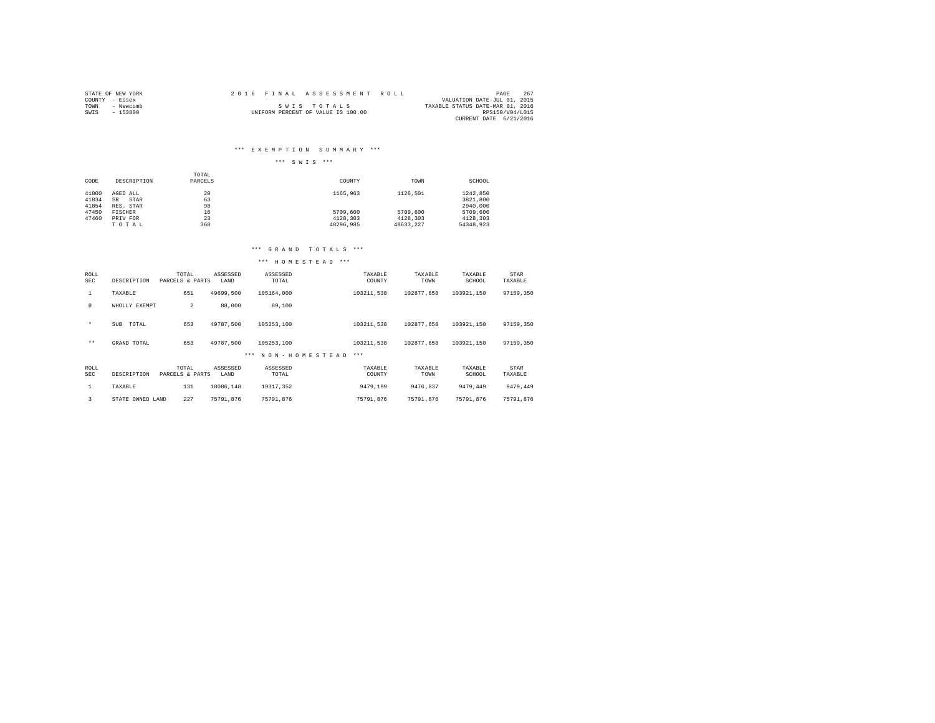| STATE OF NEW YORK | 2016 FINAL ASSESSMENT ROLL         | 267<br>PAGE                      |
|-------------------|------------------------------------|----------------------------------|
| COUNTY - Essex    |                                    | VALUATION DATE-JUL 01, 2015      |
| TOWN<br>- Newcomb | SWIS TOTALS                        | TAXABLE STATUS DATE-MAR 01, 2016 |
| SWIS<br>$-153800$ | UNIFORM PERCENT OF VALUE IS 100.00 | RPS150/V04/L015                  |
|                   |                                    | CURRENT DATE 6/21/2016           |

### \*\*\* E X E M P T I O N S U M M A R Y \*\*\*

### \*\*\* S W I S \*\*\*

|       |             | TOTAL   |           |           |           |
|-------|-------------|---------|-----------|-----------|-----------|
| CODE  | DESCRIPTION | PARCELS | COUNTY    | TOWN      | SCHOOL    |
|       |             |         |           |           |           |
| 41800 | AGED ALL    | 20      | 1165,963  | 1126.501  | 1242.850  |
| 41834 | STAR<br>SR  | 63      |           |           | 3821,800  |
| 41854 | RES. STAR   | 98      |           |           | 2940.000  |
| 47450 | FISCHER     | 16      | 5709,600  | 5709,600  | 5709.600  |
| 47460 | PRIV FOR    | 23      | 4128.303  | 4128.303  | 4128.303  |
|       | TOTAL       | 368     | 48296.985 | 48633.227 | 54348.923 |

### \*\*\* G R A N D T O T A L S \*\*\*

| ROLL<br>SEC        | DESCRIPTION         | TOTAL<br>PARCELS & PARTS | ASSESSED<br>LAND | ASSESSED<br>TOTAL        | TAXABLE<br>COUNTY | TAXABLE<br>TOWN | TAXABLE<br>SCHOOL | STAR<br>TAXABLE |
|--------------------|---------------------|--------------------------|------------------|--------------------------|-------------------|-----------------|-------------------|-----------------|
| 1                  | TAXABLE             | 651                      | 49699.500        | 105164,000               | 103211.538        | 102877.658      | 103921.150        | 97159.350       |
| 8                  | WHOLLY EXEMPT       | $\overline{2}$           | 88,000           | 89,100                   |                   |                 |                   |                 |
| $\star$            | TOTAL<br><b>SUB</b> | 653                      | 49787.500        | 105253.100               | 103211,538        | 102877.658      | 103921.150        | 97159.350       |
| $***$              | GRAND TOTAL         | 653                      | 49787.500        | 105253.100               | 103211.538        | 102877.658      | 103921.150        | 97159.350       |
|                    |                     |                          |                  | NON-HOMESTEAD<br>$* * *$ | $***$             |                 |                   |                 |
| ROLL<br><b>SEC</b> | DESCRIPTION         | TOTAL<br>PARCELS & PARTS | ASSESSED<br>LAND | ASSESSED<br>TOTAL        | TAXABLE<br>COUNTY | TAXABLE<br>TOWN | TAXABLE<br>SCHOOL | STAR<br>TAXABLE |
| 1                  | TAXABLE             | 131                      | 18086.148        | 19317.352                | 9479.199          | 9476.837        | 9479.449          | 9479.449        |
| 3                  | STATE OWNED LAND    | 227                      | 75791.876        | 75791.876                | 75791.876         | 75791.876       | 75791.876         | 75791.876       |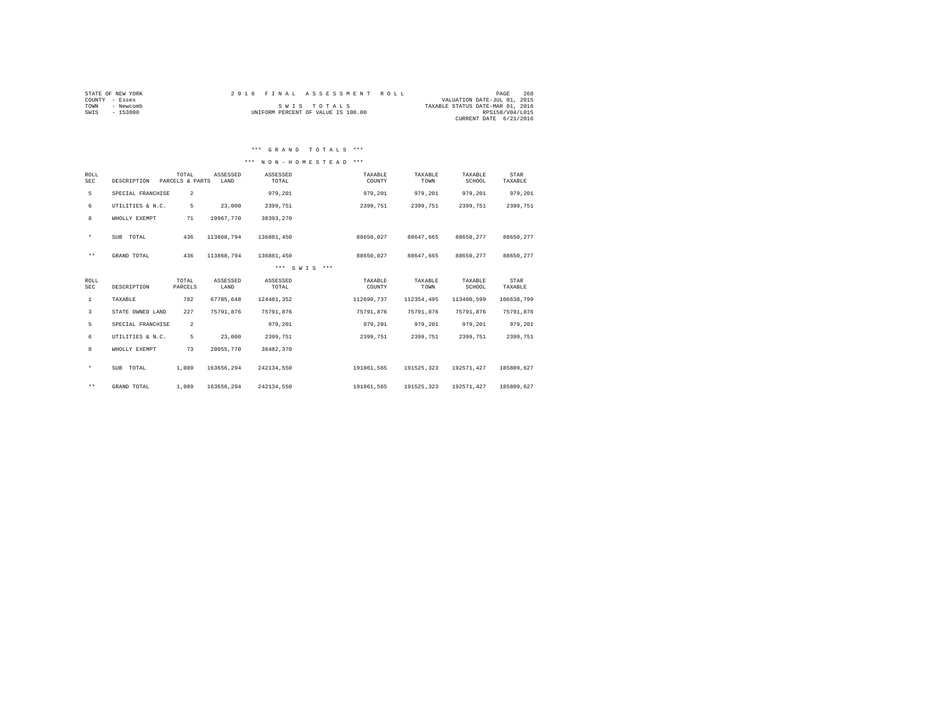| STATE OF NEW YORK<br>COUNTY - Essex | 2016 FINAL ASSESSMENT ROLL         | 268<br>PAGE<br>VALUATION DATE-JUL 01, 2015 |
|-------------------------------------|------------------------------------|--------------------------------------------|
| - Newcomb<br>TOWN                   | SWIS TOTALS                        | TAXABLE STATUS DATE-MAR 01, 2016           |
| $-153800$<br>SWIS                   | UNIFORM PERCENT OF VALUE IS 100.00 | RPS150/V04/L015                            |
|                                     |                                    | CURRENT DATE 6/21/2016                     |

### \*\*\* G R A N D T O T A L S \*\*\*

### \*\*\* N O N - H O M E S T E A D \*\*\*

| <b>ROLL</b><br><b>SEC</b> | DESCRIPTION       | TOTAL<br>PARCELS & PARTS | ASSESSED<br>LAND | ASSESSED<br>TOTAL | TAXABLE<br>COUNTY | TAXABLE<br>TOWN | TAXABLE<br>SCHOOL | STAR<br>TAXABLE |  |
|---------------------------|-------------------|--------------------------|------------------|-------------------|-------------------|-----------------|-------------------|-----------------|--|
| 5                         | SPECIAL FRANCHISE | $\overline{2}$           |                  | 979,201           | 979,201           | 979,201         | 979,201           | 979,201         |  |
| 6                         | UTILITIES & N.C.  | 5                        | 23,000           | 2399.751          | 2399.751          | 2399.751        | 2399.751          | 2399.751        |  |
| 8                         | WHOLLY EXEMPT     | 71                       | 19967.770        | 38393.270         |                   |                 |                   |                 |  |
| $\star$                   | SUB TOTAL         | 436                      | 113868.794       | 136881.450        | 88650.027         | 88647.665       | 88650.277         | 88650.277       |  |
| $\star\star$              | GRAND TOTAL       | 436                      | 113868.794       | 136881.450        | 88650.027         | 88647.665       | 88650.277         | 88650.277       |  |
|                           | *** SWTS ***      |                          |                  |                   |                   |                 |                   |                 |  |
| <b>ROLL</b><br><b>SEC</b> | DESCRIPTION       | TOTAL<br>PARCELS         | ASSESSED<br>LAND | ASSESSED<br>TOTAL | TAXABLE<br>COUNTY | TAXABLE<br>TOWN | TAXABLE<br>SCHOOL | STAR<br>TAXABLE |  |
| $\mathbf{1}$              | TAXABLE           | 782                      | 67785.648        | 124481.352        | 112690.737        | 112354.495      | 113400.599        | 106638,799      |  |
| 3                         | STATE OWNED LAND  | 227                      | 75791.876        | 75791.876         | 75791.876         | 75791.876       | 75791.876         | 75791.876       |  |
| 5                         | SPECIAL FRANCHISE | $\overline{a}$           |                  | 979,201           | 979,201           | 979,201         | 979,201           | 979,201         |  |
| 6                         | UTILITIES & N.C.  | 5                        | 23,000           | 2399.751          | 2399.751          | 2399.751        | 2399.751          | 2399.751        |  |
| 8                         | WHOLLY EXEMPT     | 73                       | 20055,770        | 38482.370         |                   |                 |                   |                 |  |
| $\star$                   | SUB TOTAL         | 1,089                    | 163656.294       | 242134.550        | 191861.565        | 191525.323      | 192571.427        | 185809.627      |  |
| $\star\star$              | GRAND TOTAL       | 1,089                    | 163656.294       | 242134.550        | 191861,565        | 191525.323      | 192571.427        | 185809.627      |  |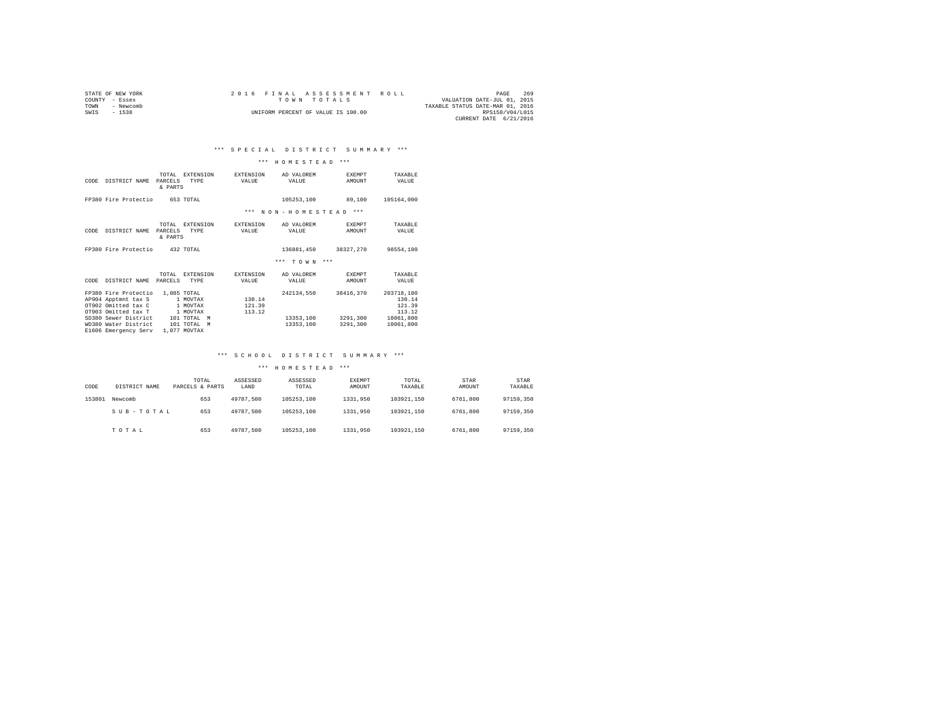| STATE OF NEW YORK |           |  |  |  |                                    |  | 2016 FINAL ASSESSMENT ROLL |                                  |                        | PAGE | 269 |
|-------------------|-----------|--|--|--|------------------------------------|--|----------------------------|----------------------------------|------------------------|------|-----|
| COUNTY - Essex    |           |  |  |  | TOWN TOTALS                        |  |                            | VALUATION DATE-JUL 01, 2015      |                        |      |     |
| TOWN              | - Newcomb |  |  |  |                                    |  |                            | TAXABLE STATUS DATE-MAR 01, 2016 |                        |      |     |
| SWIS - 1538       |           |  |  |  | UNIFORM PERCENT OF VALUE IS 100.00 |  |                            |                                  | RPS150/V04/L015        |      |     |
|                   |           |  |  |  |                                    |  |                            |                                  | CURRENT DATE 6/21/2016 |      |     |

#### \*\*\* H O M E S T E A D \*\*\*

| CODE | DISTRICT NAME                                                                                                                             | TOTAL<br>PARCELS<br>& PARTS | EXTENSION<br>TYPE                                                                   | EXTENSION<br>VALUE         | AD VALOREM<br>VALUE                  | <b>EXEMPT</b><br>AMOUNT           | TAXABLE<br>VALUE                                                   |
|------|-------------------------------------------------------------------------------------------------------------------------------------------|-----------------------------|-------------------------------------------------------------------------------------|----------------------------|--------------------------------------|-----------------------------------|--------------------------------------------------------------------|
|      | FP380 Fire Protectio                                                                                                                      |                             | 653 TOTAL                                                                           |                            | 105253,100                           | 89,100                            | 105164,000                                                         |
|      |                                                                                                                                           |                             |                                                                                     | $***$                      | NON-HOMESTEAD                        | $***$                             |                                                                    |
| CODE | DISTRICT NAME                                                                                                                             | TOTAL<br>PARCELS<br>& PARTS | <b>EXTENSION</b><br><b>TYPE</b>                                                     | <b>EXTENSION</b><br>VALUE  | AD VALOREM<br>VALUE                  | <b>EXEMPT</b><br>AMOUNT           | TAXABLE<br>VALUE                                                   |
|      | FP380 Fire Protectio                                                                                                                      |                             | 432 TOTAL                                                                           |                            | 136881,450                           | 38327.270                         | 98554,180                                                          |
|      |                                                                                                                                           |                             |                                                                                     |                            | $***$<br>TOWN                        | $***$                             |                                                                    |
| CODE | DISTRICT NAME                                                                                                                             | TOTAL<br>PARCELS            | <b>EXTENSION</b><br>TYPE                                                            | EXTENSION<br>VALUE         | AD VALOREM<br>VALUE                  | <b>EXEMPT</b><br>AMOUNT           | TAXABLE<br>VALUE                                                   |
|      | FP380 Fire Protectio<br>AP904 Apptmnt tax S<br>OT902 Omitted tax C<br>OT903 Omitted tax T<br>SD380 Sewer District<br>WD380 Water District |                             | 1,085 TOTAL<br>1 MOVTAX<br>1 MOVTAX<br>1 MOVTAX<br>101 TOTAL<br>M<br>101 TOTAL<br>M | 130.14<br>121.39<br>113.12 | 242134.550<br>13353,100<br>13353.100 | 38416,370<br>3291,300<br>3291,300 | 203718,180<br>130.14<br>121.39<br>113.12<br>10061,800<br>10061,800 |
|      | E1606 Emergency Serv                                                                                                                      |                             | 1,077 MOVTAX                                                                        |                            |                                      |                                   |                                                                    |

### \*\*\* S C H O O L D I S T R I C T S U M M A R Y \*\*\*

| CODE   | DISTRICT NAME | TOTAL<br>PARCELS & PARTS | ASSESSED<br>LAND | ASSESSED<br>TOTAL | <b>EXEMPT</b><br>AMOUNT | TOTAL<br>TAXABLE | STAR<br>AMOUNT | STAR<br>TAXABLE |
|--------|---------------|--------------------------|------------------|-------------------|-------------------------|------------------|----------------|-----------------|
| 153801 | Newcomb       | 653                      | 49787.500        | 105253.100        | 1331,950                | 103921.150       | 6761,800       | 97159,350       |
|        | SUB-TOTAL     | 653                      | 49787.500        | 105253.100        | 1331,950                | 103921.150       | 6761,800       | 97159,350       |
|        | TOTAL         | 653                      | 49787.500        | 105253.100        | 1331,950                | 103921.150       | 6761,800       | 97159,350       |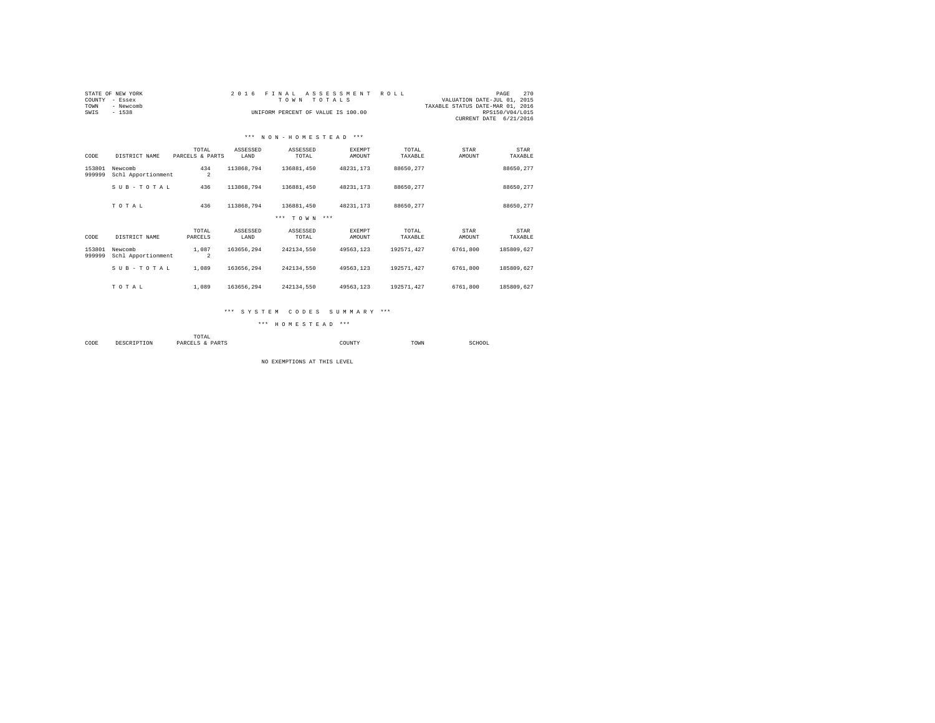| COUNTY<br>TOWN<br>SWIS | STATE OF NEW YORK<br>- Essex<br>- Newcomb<br>$-1538$ |                          | 2 0 1 6          | FINAL ASSESSMENT<br>TOWN TOTALS<br>UNIFORM PERCENT OF VALUE IS 100.00 |                         | ROLL             | VALUATION DATE-JUL 01, 2015<br>TAXABLE STATUS DATE-MAR 01, 2016 | 270<br>PAGE<br>RPS150/V04/L015<br>CURRENT DATE 6/21/2016 |
|------------------------|------------------------------------------------------|--------------------------|------------------|-----------------------------------------------------------------------|-------------------------|------------------|-----------------------------------------------------------------|----------------------------------------------------------|
|                        |                                                      |                          |                  | *** NON-HOMESTEAD ***                                                 |                         |                  |                                                                 |                                                          |
| CODE                   | DISTRICT NAME                                        | TOTAL<br>PARCELS & PARTS | ASSESSED<br>LAND | ASSESSED<br>TOTAL                                                     | <b>EXEMPT</b><br>AMOUNT | TOTAL<br>TAXABLE | STAR<br>AMOUNT                                                  | <b>STAR</b><br>TAXABLE                                   |
| 153801<br>999999       | Newcomb<br>Schl Apportionment                        | 434<br>$\overline{a}$    | 113868.794       | 136881.450                                                            | 48231.173               | 88650.277        |                                                                 | 88650.277                                                |
|                        | SUB-TOTAL                                            | 436                      | 113868.794       | 136881.450                                                            | 48231.173               | 88650.277        |                                                                 | 88650.277                                                |
|                        | TOTAL                                                | 436                      | 113868.794       | 136881,450                                                            | 48231.173               | 88650.277        |                                                                 | 88650.277                                                |
|                        |                                                      |                          |                  | *** TOWN ***                                                          |                         |                  |                                                                 |                                                          |
| CODE                   | DISTRICT NAME                                        | TOTAL<br>PARCELS         | ASSESSED<br>LAND | ASSESSED<br>TOTAL                                                     | <b>EXEMPT</b><br>AMOUNT | TOTAL<br>TAXABLE | STAR<br>AMOUNT                                                  | STAR<br>TAXABLE                                          |
| 153801<br>999999       | Newcomb<br>Schl Apportionment                        | 1,087<br>$\overline{2}$  | 163656.294       | 242134.550                                                            | 49563.123               | 192571.427       | 6761,800                                                        | 185809.627                                               |
|                        | SUB-TOTAL                                            | 1,089                    | 163656.294       | 242134.550                                                            | 49563.123               | 192571.427       | 6761,800                                                        | 185809.627                                               |
|                        | TOTAL                                                | 1,089                    | 163656.294       | 242134.550                                                            | 49563.123               | 192571.427       | 6761,800                                                        | 185809.627                                               |

#### \*\*\* S Y S T E M C O D E S S U M M A R Y \*\*\*

\*\*\* H O M E S T E A D \*\*\*

 TOTAL COUNTY TOWN TOWN SCHOOL

NO EXEMPTIONS AT THIS LEVEL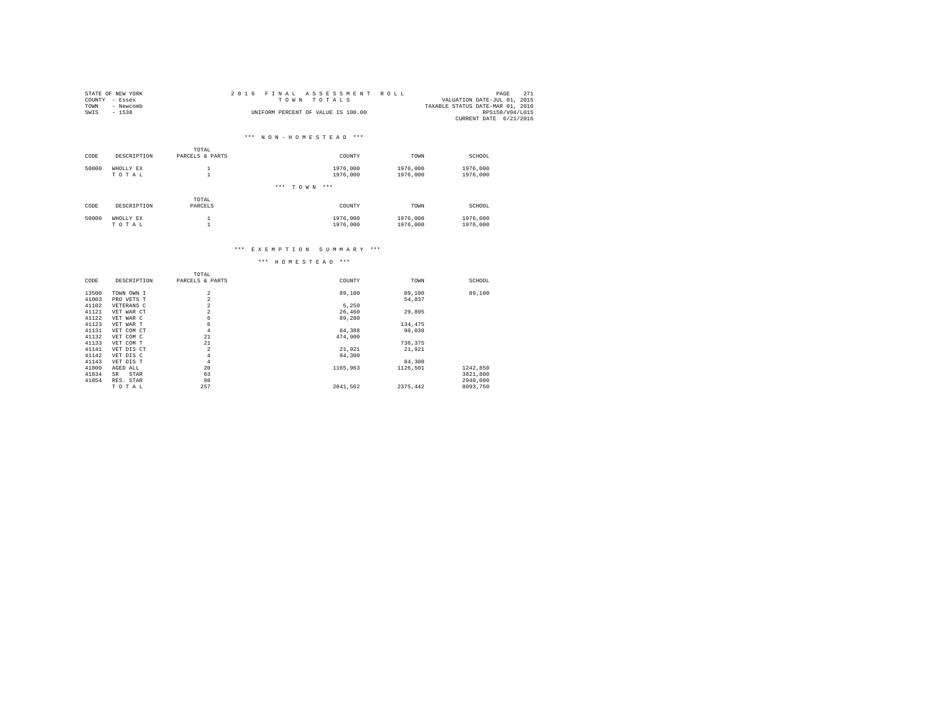|      | STATE OF NEW YORK | 2016 FINAL ASSESSMENT ROLL                 | PAGE                   | 271 |
|------|-------------------|--------------------------------------------|------------------------|-----|
|      | COUNTY - Essex    | VALUATION DATE-JUL 01, 2015<br>TOWN TOTALS |                        |     |
| TOWN | - Newcomb         | TAXABLE STATUS DATE-MAR 01, 2016           |                        |     |
| SWIS | - 1538            | UNIFORM PERCENT OF VALUE IS 100.00         | RPS150/V04/L015        |     |
|      |                   |                                            | CURRENT DATE 6/21/2016 |     |

|       |                    | TOTAL            |                          |                      |                      |
|-------|--------------------|------------------|--------------------------|----------------------|----------------------|
| CODE  | DESCRIPTION        | PARCELS & PARTS  | COUNTY                   | TOWN                 | SCHOOL               |
| 50000 | WHOLLY EX<br>TOTAL |                  | 1976,000<br>1976,000     | 1976,000<br>1976,000 | 1976,000<br>1976,000 |
|       |                    |                  | *** <b>TOWN</b><br>$***$ |                      |                      |
| CODE  | DESCRIPTION        | TOTAL<br>PARCELS | COUNTY                   | TOWN                 | SCHOOL               |
| 50000 | WHOLLY EX<br>TOTAL |                  | 1976,000<br>1976,000     | 1976,000<br>1976,000 | 1976,000<br>1976,000 |

### \*\*\* E X E M P T I O N S U M M A R Y \*\*\*

|       |             | TOTAL           |          |          |          |
|-------|-------------|-----------------|----------|----------|----------|
| CODE  | DESCRIPTION | PARCELS & PARTS | COUNTY   | TOWN     | SCHOOL   |
| 13500 | TOWN OWN I  | $\overline{a}$  | 89,100   | 89,100   | 89,100   |
| 41003 | PRO VETS T  | $\overline{a}$  |          | 54.837   |          |
| 41102 | VETERANS C  | $\overline{a}$  | 5.250    |          |          |
| 41121 | VET WAR CT  | $\overline{a}$  | 26,460   | 29,895   |          |
| 41122 | VET WAR C   | 6               | 89,280   |          |          |
| 41123 | VET WAR T   | 6               |          | 134.475  |          |
| 41131 | VET COM CT  | 4               | 84,388   | 98,038   |          |
| 41132 | VET COM C   | 21              | 474.900  |          |          |
| 41133 | VET COM T   | 21              |          | 736.375  |          |
| 41141 | VET DIS CT  | $\overline{2}$  | 21,921   | 21,921   |          |
| 41142 | VET DIS C   | 4               | 84,300   |          |          |
| 41143 | VET DIS T   | 4               |          | 84,300   |          |
| 41800 | AGED ALL    | 20              | 1165,963 | 1126.501 | 1242,850 |
| 41834 | STAR<br>SR  | 63              |          |          | 3821,800 |
| 41854 | RES. STAR   | 98              |          |          | 2940,000 |
|       | TOTAL       | 257             | 2041.562 | 2375.442 | 8093,750 |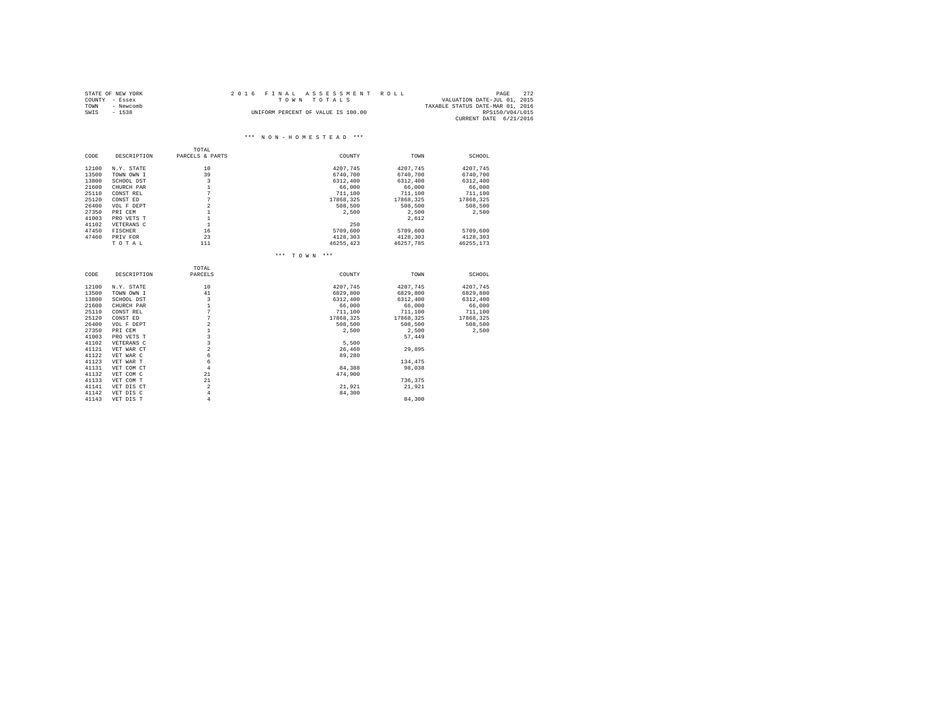|      | STATE OF NEW YORK | 2016 FINAL ASSESSMENT ROLL         | 272<br>PAGE                 |  |
|------|-------------------|------------------------------------|-----------------------------|--|
|      | COUNTY - Essex    | TOWN TOTALS                        | VALUATION DATE-JUL 01, 2015 |  |
| TOWN | - Newcomb         | TAXABLE STATUS DATE-MAR 01, 2016   |                             |  |
| SWIS | $-1538$           | UNIFORM PERCENT OF VALUE IS 100.00 | RPS150/V04/L015             |  |
|      |                   |                                    | CURRENT DATE 6/21/2016      |  |

|       |             | TOTAL           |              |           |           |
|-------|-------------|-----------------|--------------|-----------|-----------|
| CODE  | DESCRIPTION | PARCELS & PARTS | COUNTY       | TOWN      | SCHOOL    |
| 12100 | N.Y. STATE  | 10              | 4207.745     | 4207.745  | 4207.745  |
| 13500 | TOWN OWN I  | 39              | 6740.700     | 6740.700  | 6740.700  |
| 13800 | SCHOOL DST  | 3               | 6312,400     | 6312,400  | 6312,400  |
| 21600 | CHURCH PAR  | $\mathbf{1}$    | 66,000       | 66,000    | 66,000    |
| 25110 | CONST REL   | 7               | 711,100      | 711,100   | 711,100   |
| 25120 | CONST ED    | 7               | 17868,325    | 17868,325 | 17868,325 |
| 26400 | VOL F DEPT  | $\overline{a}$  | 508,500      | 508,500   | 508,500   |
| 27350 | PRI CEM     | $\mathbf{1}$    | 2,500        | 2.500     | 2.500     |
| 41003 | PRO VETS T  | $\mathbf{1}$    |              | 2,612     |           |
| 41102 | VETERANS C  | $\mathbf{1}$    | 250          |           |           |
| 47450 | FISCHER     | 16              | 5709,600     | 5709,600  | 5709,600  |
| 47460 | PRIV FOR    | 23              | 4128.303     | 4128.303  | 4128.303  |
|       | TOTAL       | 111             | 46255.423    | 46257,785 | 46255,173 |
|       |             |                 | *** TOWN *** |           |           |
|       |             | TOTAL           |              |           |           |
| CODE  | DESCRIPTION | PARCELS         | COUNTY       | TOWN      | SCHOOL    |
| 12100 | N.Y. STATE  | 10              | 4207.745     | 4207.745  | 4207.745  |
| 13500 | TOWN OWN I  | 41              | 6829,800     | 6829,800  | 6829,800  |
| 13800 | SCHOOL DST  | 3               | 6312,400     | 6312,400  | 6312,400  |
| 21600 | CHURCH PAR  | $\mathbf{1}$    | 66,000       | 66,000    | 66,000    |
| 25110 | CONST REL   | 7               | 711,100      | 711,100   | 711,100   |
| 25120 | CONST ED    | 7               | 17868.325    | 17868.325 | 17868.325 |
| 26400 | VOL F DEPT  | $\overline{a}$  | 508,500      | 508,500   | 508,500   |
| 27350 | PRI CEM     | $\mathbf{1}$    | 2,500        | 2,500     | 2.500     |
| 41003 | PRO VETS T  | 3               |              | 57.449    |           |
| 41102 | VETERANS C  | $\overline{3}$  | 5,500        |           |           |
| 41121 | VET WAR CT  | $\overline{a}$  | 26,460       | 29.895    |           |
| 41122 | VET WAR C   | 6               | 89,280       |           |           |
| 41123 | VET WAR T   | 6               |              | 134,475   |           |
| 41131 | VET COM CT  | $\overline{4}$  | 84,388       | 98,038    |           |
| 41132 | VET COM C   | 21              | 474.900      |           |           |
| 41133 | VET COM T   | 21              |              | 736.375   |           |
| 41141 | VET DIS CT  | $\overline{a}$  | 21,921       | 21,921    |           |
| 41142 | VET DIS C   | $\overline{4}$  | 84,300       |           |           |
| 41143 | VET DIS T   | $\overline{4}$  |              | 84,300    |           |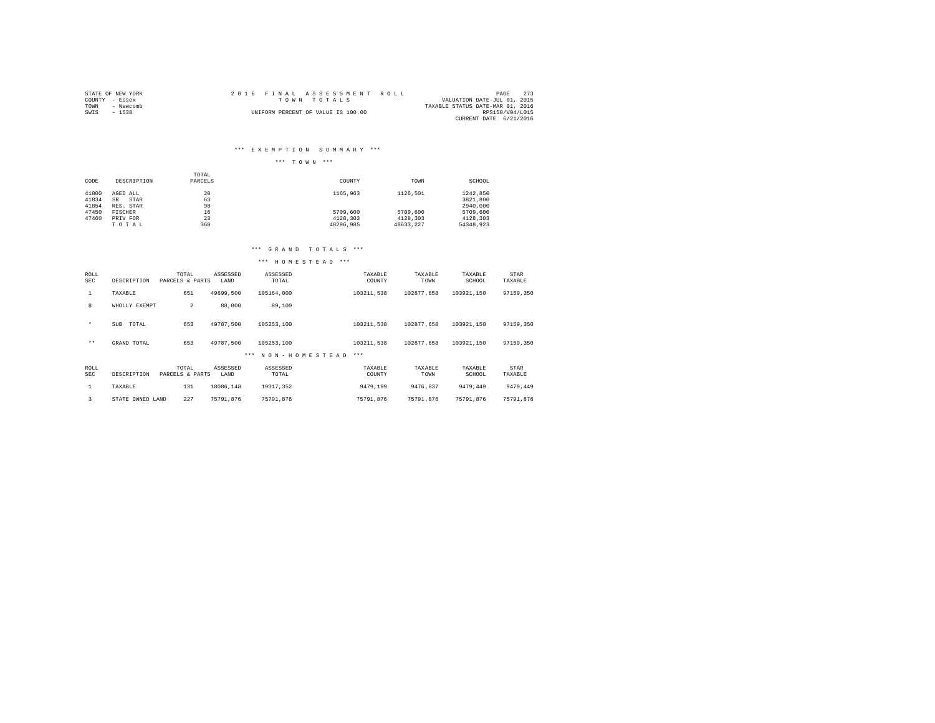|      | STATE OF NEW YORK | 2016 FINAL ASSESSMENT ROLL                 | PAGE 273               |  |
|------|-------------------|--------------------------------------------|------------------------|--|
|      | COUNTY - Essex    | VALUATION DATE-JUL 01, 2015<br>TOWN TOTALS |                        |  |
| TOWN | - Newcomb         | TAXABLE STATUS DATE-MAR 01, 2016           |                        |  |
| SWIS | $-1538$           | UNIFORM PERCENT OF VALUE IS 100.00         | RPS150/V04/L015        |  |
|      |                   |                                            | CURRENT DATE 6/21/2016 |  |

### \*\*\* E X E M P T I O N S U M M A R Y \*\*\*

### \*\*\* T O W N \*\*\*

|       |             | TOTAL   |           |           |           |
|-------|-------------|---------|-----------|-----------|-----------|
| CODE  | DESCRIPTION | PARCELS | COUNTY    | TOWN      | SCHOOL    |
|       |             |         |           |           |           |
| 41800 | AGED ALL    | 20      | 1165,963  | 1126.501  | 1242.850  |
| 41834 | STAR<br>SR  | 63      |           |           | 3821,800  |
| 41854 | RES. STAR   | 98      |           |           | 2940.000  |
| 47450 | FISCHER     | 16      | 5709,600  | 5709,600  | 5709,600  |
| 47460 | PRIV FOR    | 23      | 4128.303  | 4128.303  | 4128.303  |
|       | TOTAL       | 368     | 48296.985 | 48633.227 | 54348.923 |

### \*\*\* G R A N D T O T A L S \*\*\*

| ROLL<br><b>SEC</b> | DESCRIPTION         | TOTAL<br>PARCELS & PARTS | ASSESSED<br>LAND | ASSESSED<br>TOTAL    | TAXABLE<br>COUNTY | TAXABLE<br>TOWN | TAXABLE<br>SCHOOL | STAR<br>TAXABLE |
|--------------------|---------------------|--------------------------|------------------|----------------------|-------------------|-----------------|-------------------|-----------------|
| 1                  | TAXABLE             | 651                      | 49699.500        | 105164,000           | 103211.538        | 102877.658      | 103921.150        | 97159.350       |
| 8                  | WHOLLY EXEMPT       | $\overline{2}$           | 88,000           | 89,100               |                   |                 |                   |                 |
| $\star$            | <b>SUB</b><br>TOTAL | 653                      | 49787.500        | 105253.100           | 103211.538        | 102877.658      | 103921.150        | 97159.350       |
| $***$              | GRAND TOTAL         | 653                      | 49787.500        | 105253.100           | 103211.538        | 102877.658      | 103921.150        | 97159.350       |
|                    |                     |                          |                  | NON-HOMESTEAD<br>*** | $***$             |                 |                   |                 |
| ROLL<br><b>SEC</b> | DESCRIPTION         | TOTAL<br>PARCELS & PARTS | ASSESSED<br>LAND | ASSESSED<br>TOTAL    | TAXABLE<br>COUNTY | TAXABLE<br>TOWN | TAXABLE<br>SCHOOL | STAR<br>TAXABLE |
| 1                  | TAXABLE             | 131                      | 18086.148        | 19317.352            | 9479.199          | 9476.837        | 9479.449          | 9479.449        |
| 3                  | STATE OWNED LAND    | 227                      | 75791.876        | 75791.876            | 75791.876         | 75791.876       | 75791.876         | 75791.876       |